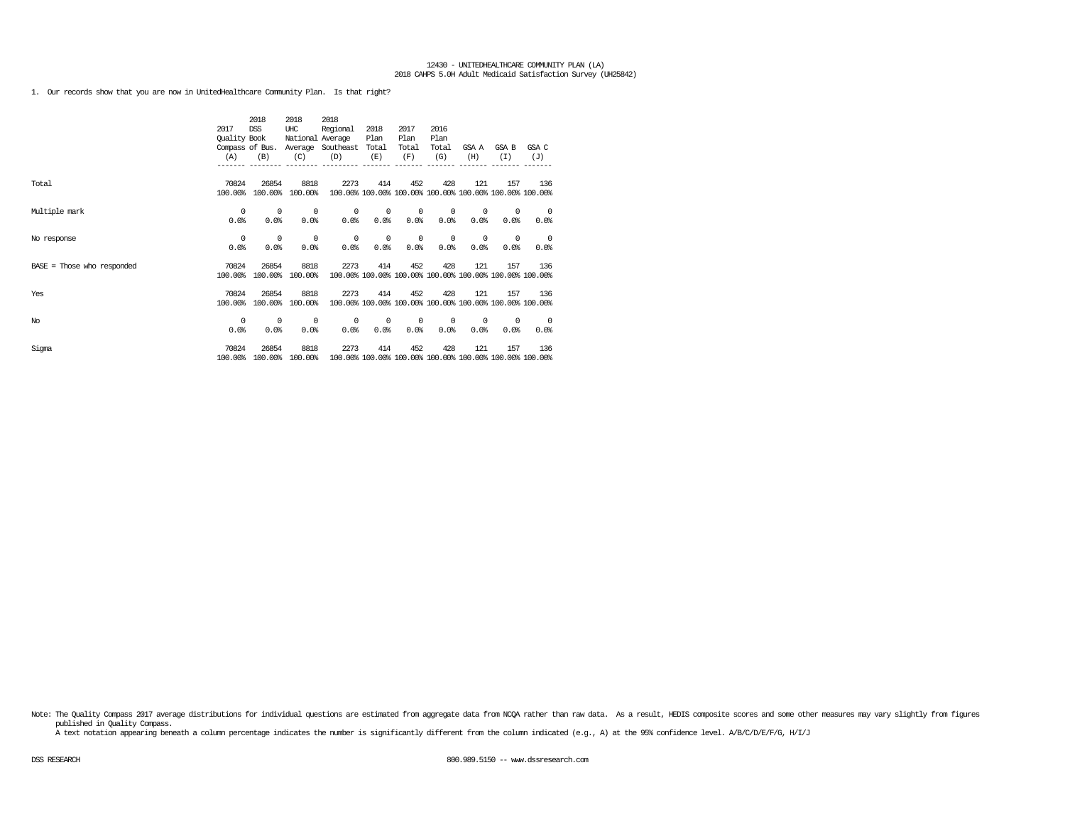1. Our records show that you are now in UnitedHealthcare Community Plan. Is that right?

|                              |              | 2018            | 2018             | 2018              |       |                                                         |       |            |       |                                                         |
|------------------------------|--------------|-----------------|------------------|-------------------|-------|---------------------------------------------------------|-------|------------|-------|---------------------------------------------------------|
|                              | 2017         | <b>DSS</b>      | UHC              | Regional          | 2018  | 2017                                                    | 2016  |            |       |                                                         |
|                              | Quality Book |                 | National Average |                   | Plan  | Plan                                                    | Plan  |            |       |                                                         |
|                              |              | Compass of Bus. |                  | Average Southeast | Total | Total                                                   | Total | GSA A      | GSA B | GSA C                                                   |
|                              | (A)          | (B)             | (C)              | (D)               | (E)   | (F)                                                     | (G)   | (H)        | (T)   | (J)                                                     |
|                              |              |                 |                  |                   |       |                                                         |       |            |       |                                                         |
|                              |              |                 |                  |                   |       |                                                         |       |            |       |                                                         |
| Total                        | 70824        | 26854           | 8818             | 2273              | 414   | 452                                                     | 428   | 121        | 157   | 136                                                     |
|                              | 100.00%      | 100.00%         | 100.00%          |                   |       | 100.00% 100.00% 100.00% 100.00% 100.00% 100.00% 100.00% |       |            |       |                                                         |
|                              |              |                 |                  |                   |       |                                                         |       |            |       |                                                         |
| Multiple mark                | 0            | 0               | 0                | 0                 | 0     | 0                                                       | 0     | $^{\circ}$ | 0     | $^{\circ}$                                              |
|                              | 0.0%         | 0.0%            | 0.0%             | 0.0%              | 0.0%  | 0.0%                                                    | 0.0%  | 0.0%       | 0.0%  | 0.0%                                                    |
|                              |              |                 |                  |                   |       |                                                         |       |            |       |                                                         |
| No response                  | 0            | $^{\circ}$      | 0                | 0                 | 0     | 0                                                       | 0     | $^{\circ}$ | 0     | $^{\circ}$                                              |
|                              | 0.0%         | 0.0%            | 0.0%             | 0.0%              | 0.0%  | 0.0                                                     | 0.0%  | 0.0%       | 0.0%  | 0.0%                                                    |
|                              | 70824        | 26854           | 8818             | 2273              | 414   | 452                                                     | 428   | 121        | 157   | 136                                                     |
| $BASE = Those who responded$ | 100.00%      | 100.00%         | 100.00%          |                   |       |                                                         |       |            |       | 100.00% 100.00% 100.00% 100.00% 100.00% 100.00% 100.00% |
|                              |              |                 |                  |                   |       |                                                         |       |            |       |                                                         |
| Yes                          | 70824        | 26854           | 8818             | 2273              | 414   | 452                                                     | 428   | 121        | 157   | 136                                                     |
|                              | 100.00%      | 100.00%         | 100.00%          |                   |       | 100.00% 100.00% 100.00% 100.00% 100.00% 100.00% 100.00% |       |            |       |                                                         |
|                              |              |                 |                  |                   |       |                                                         |       |            |       |                                                         |
| No                           | 0            | 0               | 0                | 0                 | 0     | 0                                                       | 0     | $^{\circ}$ | 0     | - 0                                                     |
|                              | 0.0%         | 0.0%            | 0.0%             | 0.0%              | 0.0%  | 0.0%                                                    | 0.0%  | 0.0        | 0.0%  | 0.0%                                                    |
|                              |              |                 |                  |                   |       |                                                         |       |            |       |                                                         |
| Sigma                        | 70824        | 26854           | 8818             | 2273              | 414   | 452                                                     | 428   | 121        | 157   | 136                                                     |
|                              | 100.00%      | 100.00%         | 100.00%          |                   |       | 100.00% 100.00% 100.00% 100.00% 100.00% 100.00% 100.00% |       |            |       |                                                         |

Note: The Quality Compass 2017 average distributions for individual questions are estimated from aggregate data from NCQA rather than raw data. As a result, HEDIS composite scores and some other measures may vary slightly published in Quality Compass.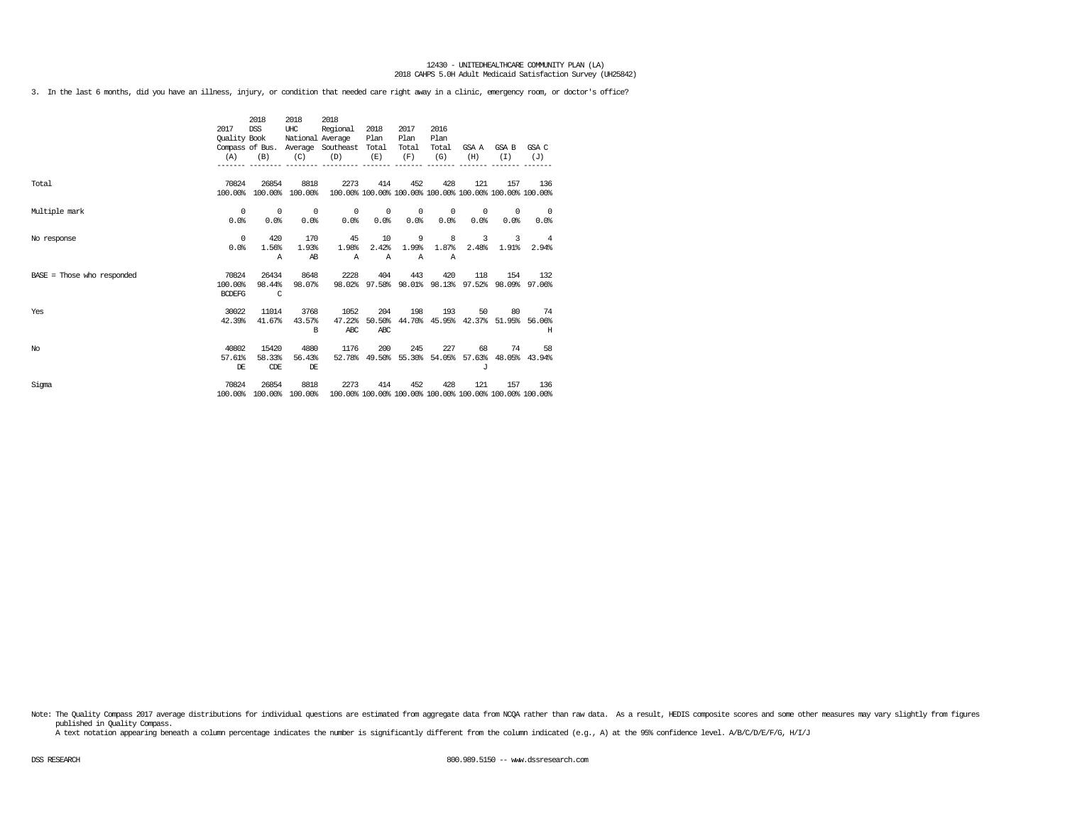3. In the last 6 months, did you have an illness, injury, or condition that needed care right away in a clinic, emergency room, or doctor's office?

|                              | 2017<br>Quality Book<br>(A)       | 2018<br><b>DSS</b><br>(B)         | 2018<br>UHC<br>National Average<br>(C) | 2018<br>Regional<br>Compass of Bus. Average Southeast Total<br>(D)<br>---------- ------- | 2018<br>Plan<br>(E)         | 2017<br>Plan<br>Total<br>(F) | 2016<br>Plan<br>Total<br>(G) | (H)                | GSAA GSAB<br>(T)                                        | GSA C<br>(J)                     |
|------------------------------|-----------------------------------|-----------------------------------|----------------------------------------|------------------------------------------------------------------------------------------|-----------------------------|------------------------------|------------------------------|--------------------|---------------------------------------------------------|----------------------------------|
| Total                        | 70824<br>100.00%                  | 26854                             | 8818<br>100.00% 100.00%                | 2273<br>100.00% 100.00% 100.00% 100.00% 100.00% 100.00% 100.00%                          | 414                         | 452                          | 428                          | 121                | 157                                                     | 136                              |
| Multiple mark                | $^{\circ}$<br>0.0%                | $\overline{\phantom{0}}$<br>0.0%  | $\overline{0}$<br>0.0%                 | 0.0%                                                                                     | $0\qquad 0$<br>0.0%         | $\sim$ 0<br>0.0%             | $^{\circ}$<br>0.0%           | $^{\circ}$<br>0.0% | $^{\circ}$<br>0.0%                                      | $\overline{\phantom{0}}$<br>0.0% |
| No response                  | $^{\circ}$<br>0.0%                | 420<br>1.56%<br>Α                 | 170<br>1.93%<br>AB                     | 45<br>1.98%<br>$\mathbb{A}$                                                              | 10<br>2.42%<br>$\mathbb{A}$ | -9<br>1.99%<br>$\mathbb{A}$  | 8<br>1.87%<br>$\mathbb{A}$   | 3                  | 3<br>$2.48\%$ 1.91%                                     | $\overline{4}$<br>2.94%          |
| $BASE = Those who responded$ | 70824<br>100.00%<br><b>BCDEFG</b> | 26434<br>98.44%<br>$\overline{c}$ | 8648<br>98.07%                         | 2228                                                                                     | 404                         | 443                          | 420                          | 118                | 154<br>98.02% 97.58% 98.01% 98.13% 97.52% 98.09% 97.06% | 132                              |
| Yes                          | 30022<br>42.39%                   | 11014<br>41.67%                   | 3768<br>43.57%<br><sub>R</sub>         | 1052<br>47.22%<br>ABC                                                                    | 204<br>50.50%<br>ABC        | 198                          | 193                          | 50                 | 80<br>44.70% 45.95% 42.37% 51.95% 56.06%                | 74<br>H                          |
| No                           | 40802<br>57.61%<br>DE             | 15420<br>58.33%<br>CDE            | 4880<br>56.43%<br>DE                   | 1176                                                                                     | 200                         | 245                          | 227                          | 68<br>$\cdot$ T    | 52.78% 49.50% 55.30% 54.05% 57.63% 48.05% 43.94%        | 74 —<br>58                       |
| Sigma                        | 70824<br>100.00%                  | 26854                             | 8818<br>100.00% 100.00%                | 2273<br>100.00% 100.00% 100.00% 100.00% 100.00% 100.00% 100.00%                          | 414                         | 452                          | 428                          | 121                | 157                                                     | 136                              |

Note: The Quality Compass 2017 average distributions for individual questions are estimated from aggregate data from NOQA rather than raw data. As a result, HEDIS composite scores and some other measures may vary slightly published in Quality Compass.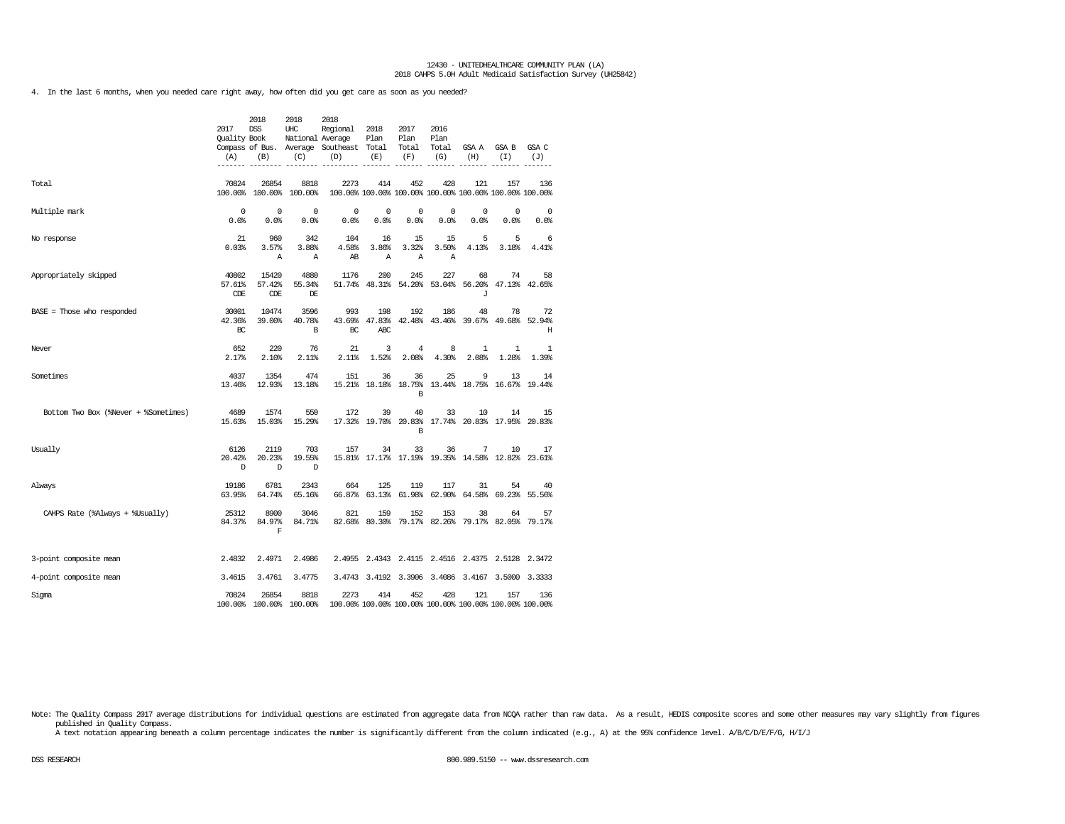4. In the last 6 months, when you needed care right away, how often did you get care as soon as you needed?

|                                      | 2017<br><b>Ouality Book</b><br>(A) | 2018<br><b>DSS</b><br>(B)     | 2018<br>UHC<br>National Average<br>(C) | 2018<br>Regional<br>Compass of Bus. Average Southeast<br>(D) | 2018<br>Plan<br>Total<br>(E) | 2017<br>Plan<br>Total<br>(F)    | 2016<br>Plan<br>Total<br>(G) | GSA A<br>(H)                      | GSA B<br>(T)                                                   | GSA C<br>(J)        |
|--------------------------------------|------------------------------------|-------------------------------|----------------------------------------|--------------------------------------------------------------|------------------------------|---------------------------------|------------------------------|-----------------------------------|----------------------------------------------------------------|---------------------|
| Total                                | 70824                              | 26854                         | 8818<br>100.00% 100.00% 100.00%        | 2273                                                         | 414                          | 452                             | 428                          | 121                               | 157<br>100.00% 100.00% 100.00% 100.00% 100.00% 100.00% 100.00% | 136                 |
| Multiple mark                        | $\Omega$<br>0.0%                   | $^{\circ}$<br>0.0%            | $^{\circ}$<br>0.0%                     | $^{\circ}$<br>0.0%                                           | $^{\circ}$<br>0.0%           | $^{\circ}$<br>0.0%              | $^{\circ}$<br>0.0%           | 0<br>0.0%                         | $\mathbf 0$<br>0.0                                             | 0<br>0.0%           |
| No response                          | 21<br>0.03%                        | 960<br>3.57%<br>Α             | 342<br>3.88%<br>Α                      | 104<br>4.58%<br>AB                                           | 16<br>3.86%<br>$\mathbb{A}$  | 15<br>3.32%<br>Α                | 15<br>3.50%<br>Α             | 5<br>4.13%                        | 5<br>3.18%                                                     | 6<br>4.41%          |
| Appropriately skipped                | 40802<br>57.61%<br>CDE             | 15420<br>57.42%<br>CDE        | 4880<br>55.34%<br>DE                   | 1176                                                         | 200                          | 245<br>51.74% 48.31% 54.20%     | 227                          | 68<br>53.04% 56.20%<br>J          | 74<br>47.13% 42.65%                                            | 58                  |
| BASE = Those who responded           | 30001<br>42.36%<br>BC              | 10474<br>39.00%               | 3596<br>40.78%<br>B                    | 993<br>43.69%<br>BC                                          | 198<br>47.83%<br>ABC         | 192                             | 186                          | 48<br>42.48% 43.46% 39.67% 49.68% | 78                                                             | 72<br>52.94%<br>н   |
| Never                                | 652<br>2.17%                       | 220<br>2.10%                  | 76<br>2.11%                            | 21<br>2.11%                                                  | 3<br>1.52%                   | $\overline{4}$<br>2.08%         | 8<br>4.30%                   | 1<br>2.08%                        | 1<br>1.28%                                                     | 1<br>1.39%          |
| Sometimes                            | 4037<br>13.46%                     | 1354<br>12.93%                | 474<br>13.18%                          | 151                                                          | 36                           | 36<br>15.21% 18.18% 18.75%<br>B | 25                           | 9<br>13.44% 18.75% 16.67%         | 13                                                             | 14<br>19.44%        |
| Bottom Two Box (%Never + %Sometimes) | 4689<br>15.63%                     | 1574<br>15.03%                | 550<br>15.29%                          | 172                                                          | 39                           | 40<br>17.32% 19.70% 20.83%<br>B | 33                           | 10                                | 14<br>17.74% 20.83% 17.95% 20.83%                              | 15                  |
| Usually                              | 6126<br>20.42%<br>D                | 2119<br>20.23%<br>D           | 703<br>19.55%<br>D                     | 157                                                          | 34                           | 33                              | 36                           | 7                                 | 10<br>15.81% 17.17% 17.19% 19.35% 14.58% 12.82% 23.61%         | 17                  |
| Always                               | 19186<br>63.95%                    | 6781<br>64.74%                | 2343<br>65.16%                         | 664                                                          | 125                          | 119<br>66.87% 63.13% 61.98%     | 117                          | 31<br>62.90% 64.58%               | 54                                                             | 40<br>69.23% 55.56% |
| CAHPS Rate (%Always + %Usually)      | 25312<br>84.37%                    | 8900<br>84.97%<br>$\mathbf F$ | 3046<br>84.71%                         | 821                                                          | 159                          | 152                             | 153                          | 38                                | 64<br>82.68% 80.30% 79.17% 82.26% 79.17% 82.05%                | 57<br>79.17%        |
| 3-point composite mean               | 2.4832                             | 2.4971                        | 2.4986                                 |                                                              |                              |                                 |                              |                                   | 2.4955 2.4343 2.4115 2.4516 2.4375 2.5128 2.3472               |                     |
| 4-point composite mean               | 3.4615                             | 3.4761                        | 3.4775                                 |                                                              |                              |                                 | 3.4743 3.4192 3.3906 3.4086  | 3.4167                            | 3.5000                                                         | 3.3333              |
| Sigma                                | 70824                              | 26854<br>100.00% 100.00%      | 8818<br>100.00%                        | 2273                                                         | 414                          | 452                             | 428                          | 121                               | 157<br>100.00% 100.00% 100.00% 100.00% 100.00% 100.00% 100.00% | 136                 |

Note: The Quality Compass 2017 average distributions for individual questions are estimated from aggregate data from NCQA rather than raw data. As a result, HEDIS composite scores and some other measures may vary slightly published in Quality Compass.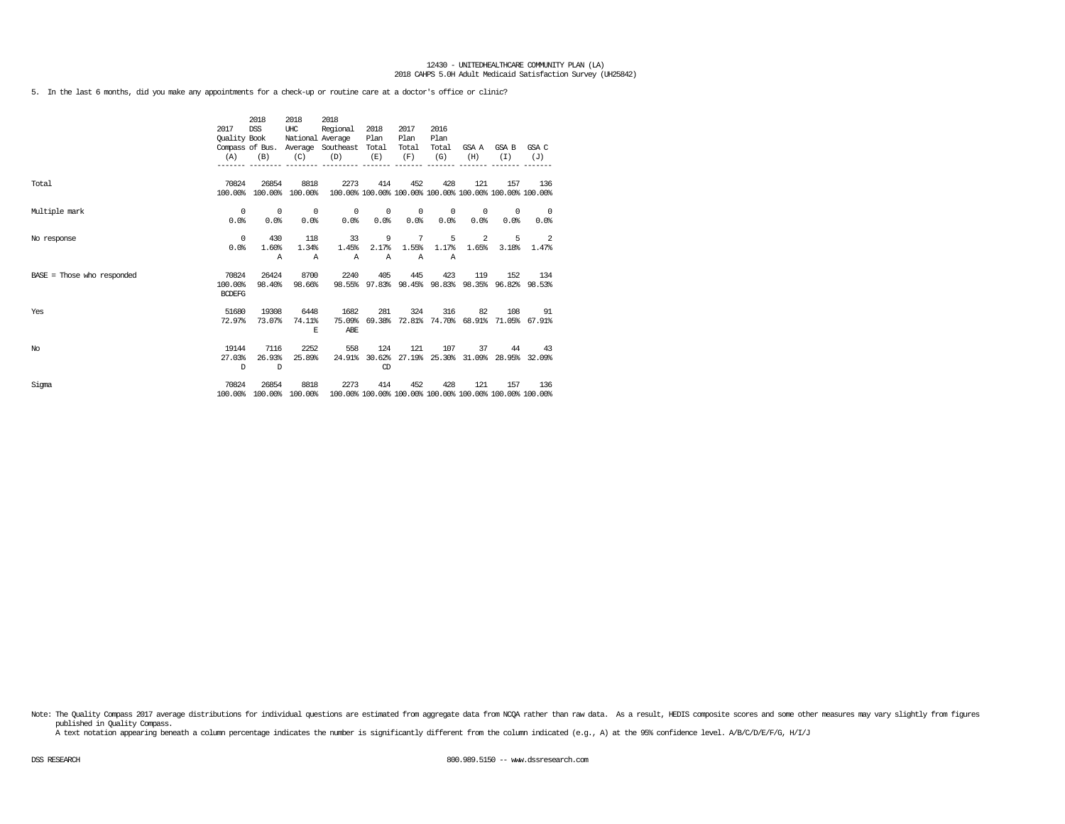5. In the last 6 months, did you make any appointments for a check-up or routine care at a doctor's office or clinic?

|                              | 2017<br>Quality Book<br>(A)       | 2018<br><b>DSS</b><br>(B) | 2018<br>UHC<br>National Average<br>(C) | 2018<br>Regional<br>Compass of Bus. Average Southeast Total<br>(D)<br>---------- ------- | 2018<br>Plan<br>(E)        | 2017<br>Plan<br>Total<br>(F)     | 2016<br>Plan<br>Total<br>(G) | (H)                | GSA A GSA B<br>(T)                               | GSA C<br>(J)                                            |
|------------------------------|-----------------------------------|---------------------------|----------------------------------------|------------------------------------------------------------------------------------------|----------------------------|----------------------------------|------------------------------|--------------------|--------------------------------------------------|---------------------------------------------------------|
| Total                        | 70824<br>100.00%                  | 26854                     | 8818<br>100.00% 100.00%                | 2273<br>100.00% 100.00% 100.00% 100.00% 100.00% 100.00% 100.00%                          | 414                        | 452                              | 428                          | 121                | 157                                              | 136                                                     |
| Multiple mark                | $^{\circ}$<br>0.0%                | $^{\circ}$<br>0.0%        | $\overline{\phantom{0}}$<br>0.0%       | $^{\circ}$<br>0.0%                                                                       | $\sim$ 0<br>0.0%           | $\overline{\phantom{0}}$<br>0.0% | $^{\circ}$<br>0.0%           | $^{\circ}$<br>0.0% | $^{\circ}$<br>0.0%                               | $\overline{\phantom{0}}$<br>0.0%                        |
| No response                  | $^{\circ}$<br>0.0%                | 430<br>1.60%<br>Α         | 118<br>1.34%<br>$\mathbb{A}$           | 33<br>1.45%<br>$\mathbb{A}$                                                              | 9<br>2.17%<br>$\mathbb{A}$ | 7<br>1.55%<br>$\mathbb{A}$       | 5<br>1.17%<br>$\mathbb{A}$   | 2<br>1.65%         | 5<br>3.18%                                       | $\overline{\phantom{0}}$ 2<br>1.47%                     |
| $BASE = Those who responded$ | 70824<br>100.00%<br><b>BCDEFG</b> | 26424<br>98.40%           | 8700<br>98.66%                         | 2240                                                                                     | 405                        | 445                              | 423                          | 119                | 152                                              | 134<br>98.55% 97.83% 98.45% 98.83% 98.35% 96.82% 98.53% |
| Yes                          | 51680<br>72.97%                   | 19308<br>73.07%           | 6448<br>74.11%<br>E.                   | 1682<br>75.09%<br>ABE                                                                    | 281                        | 324                              | 316                          | 82                 | 108<br>69.38% 72.81% 74.70% 68.91% 71.05% 67.91% | 91                                                      |
| No.                          | 19144<br>27.03%<br>D              | 7116<br>26.93%<br>D       | 2252<br>25.89%                         | 558<br>24.91%                                                                            | 124<br>CD                  | 121                              | 107                          | 37                 | 44<br>30.62% 27.19% 25.30% 31.09% 28.95% 32.09%  | 43                                                      |
| Sigma                        | 70824<br>100.00%                  | 26854                     | 8818<br>100.00% 100.00%                | 2273<br>100.00% 100.00% 100.00% 100.00% 100.00% 100.00% 100.00%                          | 414                        | 452                              | 428                          | 121                | 157                                              | 136                                                     |

Note: The Quality Compass 2017 average distributions for individual questions are estimated from aggregate data from NCQA rather than raw data. As a result, HEDIS composite scores and some other measures may vary slightly published in Quality Compass.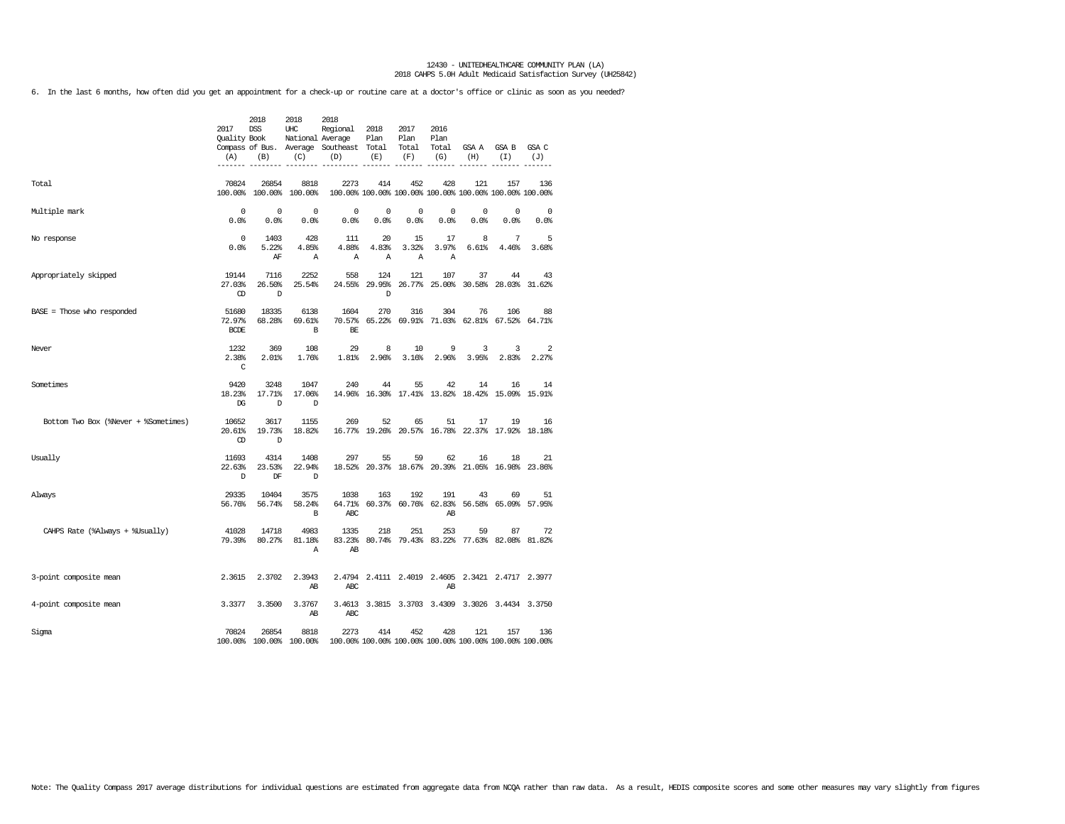6. In the last 6 months, how often did you get an appointment for a check-up or routine care at a doctor's office or clinic as soon as you needed?

|                                      | 2017<br>Quality Book<br>(A)      | 2018<br><b>DSS</b><br>(B) | 2018<br>UHC<br>National Average<br>(C) | 2018<br>Regional<br>Compass of Bus. Average Southeast Total<br>(D) | 2018<br>Plan<br>(E) | 2017<br>Plan<br>Total<br>(F) | 2016<br>Plan<br>Total<br>(G) | GSA A<br>(H)                                                   | GSA B<br>(I)  | GSA C<br>(J) |
|--------------------------------------|----------------------------------|---------------------------|----------------------------------------|--------------------------------------------------------------------|---------------------|------------------------------|------------------------------|----------------------------------------------------------------|---------------|--------------|
| Total                                | 70824<br>100.00%                 | 26854<br>100.00%          | 8818<br>100.00%                        | 2273                                                               | 414                 | 452                          | 428                          | 121<br>100.00% 100.00% 100.00% 100.00% 100.00% 100.00% 100.00% | 157           | 136          |
| Multiple mark                        | $\mathbf 0$<br>0.0%              | $^{\circ}$<br>0.0%        | $\mathbf 0$<br>0.0%                    | 0<br>0.0%                                                          | 0<br>0.0%           | $^{\circ}$<br>0.0%           | 0<br>0.0%                    | 0<br>0.0%                                                      | 0<br>0.0%     | 0<br>0.0%    |
| No response                          | $\mathbf 0$<br>0.0%              | 1403<br>5.22%<br>ΑF       | 428<br>4.85%<br>Α                      | 111<br>4.88%<br>Α                                                  | 20<br>4.83%<br>Α    | 15<br>3.32%<br>Α             | 17<br>3.97%<br>Α             | 8<br>6.61%                                                     | 7<br>4.46%    | 5<br>3.68%   |
| Appropriately skipped                | 19144<br>27.03%<br>$\mathbb{CD}$ | 7116<br>26.50%<br>D       | 2252<br>25.54%                         | 558<br>24.55%                                                      | 124<br>29.95%<br>D  | 121<br>26.77%                | 107                          | 37<br>25.00% 30.58% 28.03%                                     | 44            | 43<br>31.62% |
| BASE = Those who responded           | 51680<br>72.97%<br><b>BCDE</b>   | 18335<br>68.28%           | 6138<br>69.61%<br>B                    | 1604<br>70.57%<br>BE                                               | 270<br>65.22%       | 316                          | 304                          | 76<br>69.91% 71.03% 62.81%                                     | 106<br>67.52% | 88<br>64.71% |
| Never                                | 1232<br>2.38%<br>C               | 369<br>2.01%              | 108<br>1.76%                           | 29<br>1.81%                                                        | 8<br>2.96%          | 10<br>3.16%                  | 9<br>2.96%                   | 3<br>3.95%                                                     | 3<br>2.83%    | 2<br>2.27%   |
| Sometimes                            | 9420<br>18.23%<br>DG             | 3248<br>17.71%<br>D       | 1047<br>17.06%<br>D                    | 240                                                                | 44                  | 55                           | 42                           | 14<br>14.96% 16.30% 17.41% 13.82% 18.42%                       | 16<br>15.09%  | 14<br>15.91% |
| Bottom Two Box (%Never + %Sometimes) | 10652<br>20.61%<br>$\mathbb{CD}$ | 3617<br>19.73%<br>D       | 1155<br>18.82%                         | 269                                                                | 52                  | 65                           | 51                           | 17<br>16.77% 19.26% 20.57% 16.78% 22.37% 17.92% 18.18%         | 19            | 16           |
| Usually                              | 11693<br>22.63%<br>D             | 4314<br>23.53%<br>DF      | 1408<br>22.94%<br>D                    | 297                                                                | 55                  | 59<br>18.52% 20.37% 18.67%   | 62                           | 16<br>20.39% 21.05% 16.98% 23.86%                              | 18            | 21           |
| Always                               | 29335<br>56.76%                  | 10404<br>56.74%           | 3575<br>58.24%<br>B                    | 1038<br>64.71%<br>ABC                                              | 163                 | 192                          | 191<br>AB                    | 43<br>60.37% 60.76% 62.83% 56.58% 65.09% 57.95%                | 69            | 51           |
| CAHPS Rate (%Always + %Usually)      | 41028<br>79.39%                  | 14718<br>80.27%           | 4983<br>81.18%<br>Α                    | 1335<br>83.23%<br>AB                                               | 218                 | 251                          | 253                          | 59<br>80.74% 79.43% 83.22% 77.63% 82.08% 81.82%                | 87            | 72           |
| 3-point composite mean               | 2.3615                           | 2.3702                    | 2.3943<br>AB                           | ABC                                                                |                     |                              | AB                           | 2.4794 2.4111 2.4019 2.4605 2.3421 2.4717 2.3977               |               |              |
| 4-point composite mean               | 3.3377                           | 3.3500                    | 3.3767<br>AB                           | ABC                                                                |                     |                              |                              | 3.4613 3.3815 3.3703 3.4309 3.3026 3.4434 3.3750               |               |              |
| Sigma                                | 70824                            | 26854                     | 8818<br>100.00% 100.00% 100.00%        | 2273<br>100.00% 100.00% 100.00% 100.00% 100.00% 100.00% 100.00%    | 414                 | 452                          | 428                          | 121                                                            | 157           | 136          |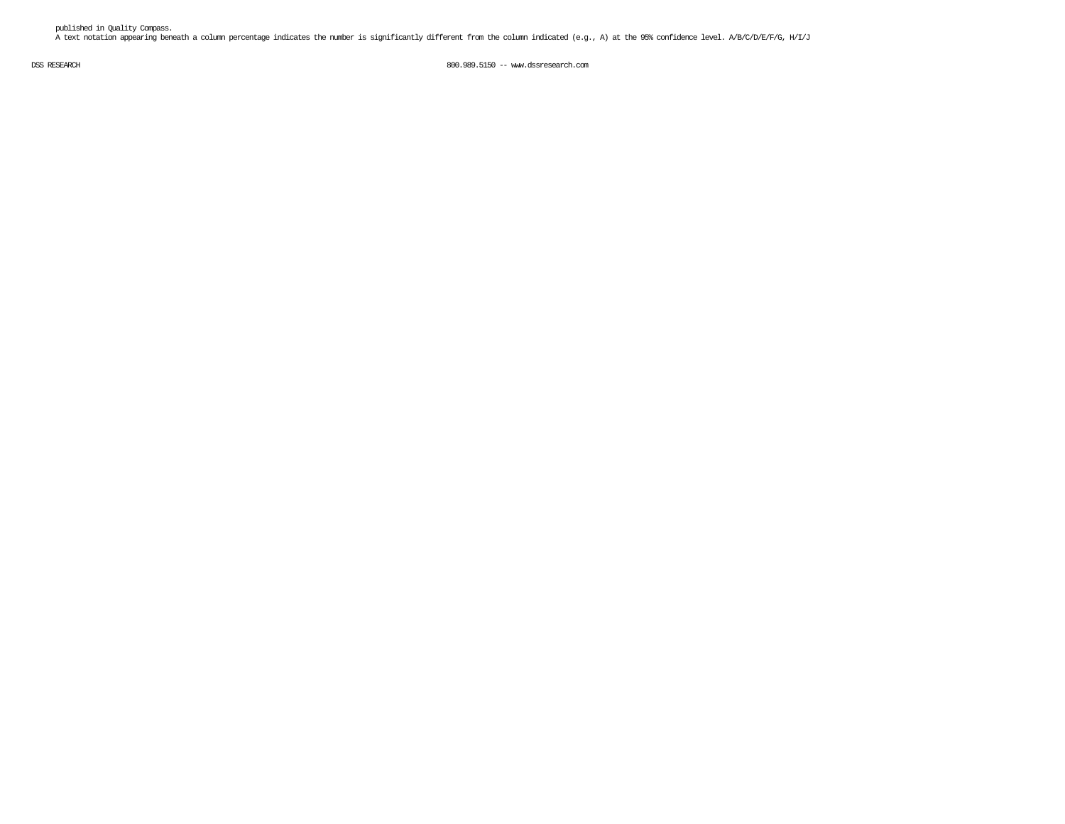published in Quality Compass. A text notation appearing beneath a column percentage indicates the number is significantly different from the column indicated (e.g., A) at the 95% confidence level. A/B/C/D/E/F/G, H/I/J

DSS RESEARCH 800.989.5150 -- www.dssresearch.com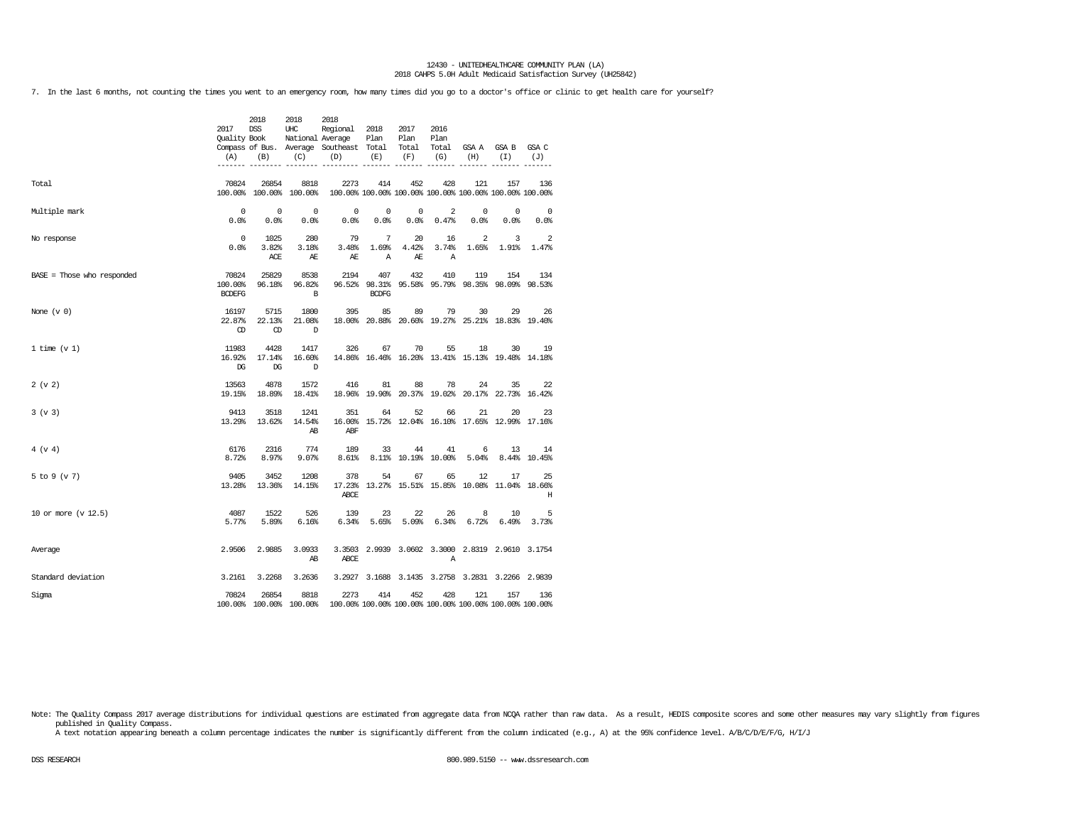7. In the last 6 months, not counting the times you went to an emergency room, how many times did you go to a doctor's office or clinic to get health care for yourself?

|                            | 2017<br>Quality Book              | 2018<br><b>DSS</b><br>$(A)$ $(B)$ | 2018<br>UHC<br>(C)              | 2018<br>Regional 2018<br>National Average<br>Compass of Bus. Average Southeast Total Total<br>(D) | Plan<br>(E)                  | 2017<br>Plan<br>(F)              | 2016<br>Plan<br>Total<br>(G) | (H)                                                            | GSA A GSA B<br>(T)         | GSA C<br>(J)                     |
|----------------------------|-----------------------------------|-----------------------------------|---------------------------------|---------------------------------------------------------------------------------------------------|------------------------------|----------------------------------|------------------------------|----------------------------------------------------------------|----------------------------|----------------------------------|
|                            |                                   |                                   |                                 |                                                                                                   |                              |                                  |                              |                                                                |                            |                                  |
| Total                      | 70824                             | 26854                             | 8818<br>100.00% 100.00% 100.00% | 2273<br>100.00% 100.00% 100.00% 100.00% 100.00% 100.00% 100.00%                                   | 414                          | 452                              | 428                          | 121                                                            | 157                        | 136                              |
| Multiple mark              | $\overline{0}$<br>0.0%            | $\overline{0}$<br>0.0%            | $\overline{0}$<br>0.0%          | $\overline{0}$<br>0.0%                                                                            | $\overline{0}$<br>0.0%       | $\overline{\phantom{0}}$<br>0.0% | $\overline{a}$<br>0.47%      | $\mathbb O$<br>0.0%                                            | $\sim$ 0<br>0.0%           | $\overline{\phantom{0}}$<br>0.0% |
| No response                | $\overline{0}$<br>0.0%            | 1025<br>3.82%<br>ACE              | 280<br>3.18%<br><b>AE</b>       | 79<br>3.48%<br>AE                                                                                 | $7\phantom{0}$<br>1.69%<br>Α | 20<br>4.42%<br>AE                | 16<br>3.74%<br>Α             | $\overline{2}$<br>1.65%                                        | $\overline{3}$<br>$1.91$ % | 2<br>1.47%                       |
| BASE = Those who responded | 70824<br>100.00%<br><b>BCDEFG</b> | 25829<br>96.18%                   | 8538<br>96.82%<br>B             | 2194                                                                                              | 407<br><b>BCDFG</b>          | 432                              | 410                          | 119<br>96.52% 98.31% 95.58% 95.79% 98.35% 98.09% 98.53%        | 154                        | 134                              |
| None $(v 0)$               | 16197<br>22.87%<br>$\mathbb{C}$   | 5715<br>22.13%<br>$\circled{D}$   | 1800<br>21.08%<br>$\mathbb{D}$  | 395                                                                                               | 85                           | 89                               | 79                           | 30<br>18.00% 20.88% 20.60% 19.27% 25.21% 18.83% 19.40%         | 29                         | 26                               |
| 1 time $(v 1)$             | 11983<br>16.92%<br>$_{\rm DG}$    | 4428<br>17.14%<br>DG              | 1417<br>16.60%<br>$\mathbb{D}$  | 326                                                                                               | 67                           | 70                               | 55                           | 18<br>14.86% 16.46% 16.20% 13.41% 15.13% 19.48% 14.18%         | 30                         | 19                               |
| 2 (v 2)                    | 13563<br>19.15%                   | 4878<br>18.89%                    | 1572<br>18.41%                  | 416                                                                                               | 81                           | 88                               | 78                           | 24<br>18.96% 19.90% 20.37% 19.02% 20.17% 22.73% 16.42%         | 35                         | 22                               |
| 3 (v 3)                    | 9413<br>13.29%                    | 3518<br>13.62%                    | 1241<br>14.54%<br>AB            | 351<br>ABF                                                                                        | 64                           | 52                               | 66                           | 21<br>16.00% 15.72% 12.04% 16.10% 17.65% 12.99% 17.16%         | 20                         | 23                               |
| 4 (v 4)                    | 6176<br>8.72%                     | 2316<br>8.97%                     | 774<br>9.07%                    | 189<br>8.61%                                                                                      | 33                           | 44<br>8.11% 10.19% 10.00%        | 41                           | 6<br>5.04%                                                     | 13                         | 14<br>8.44% 10.45%               |
| 5 to 9 (v 7)               | 9405<br>13.28%                    | 3452<br>13.36%                    | 1208<br>14.15%                  | 378<br>ABCE                                                                                       | 54                           | 67                               | 65                           | 12<br>17.23% 13.27% 15.51% 15.85% 10.08% 11.04% 18.66%         | 17                         | 25<br>Н                          |
| 10 or more (v 12.5)        | 4087<br>5.77%                     | 1522<br>5.89%                     | 526<br>6.16%                    | 139<br>6.34%                                                                                      | 23                           | 22<br>$5.65\%$ 5.09%             | 26<br>6.34%                  | 8<br>6.72%                                                     | 10<br>6.49%                | 5<br>3.73%                       |
| Average                    | 2.9506                            | 2.9885                            | 3.0933<br>AB                    | ABCE                                                                                              |                              |                                  | Α                            | 3.3503 2.9939 3.0602 3.3000 2.8319 2.9610 3.1754               |                            |                                  |
| Standard deviation         | 3.2161                            | 3.2268                            | 3.2636                          |                                                                                                   |                              |                                  |                              | 3.2927 3.1688 3.1435 3.2758 3.2831 3.2266 2.9839               |                            |                                  |
| Sigma                      | 70824                             | 26854                             | 8818<br>100.00% 100.00% 100.00% | 2273                                                                                              | 414                          | 452                              | 428                          | 121<br>100.00% 100.00% 100.00% 100.00% 100.00% 100.00% 100.00% | 157                        | 136                              |

Note: The Quality Compass 2017 average distributions for individual questions are estimated from aggregate data from NCQA rather than raw data. As a result, HEDIS composite scores and some other measures may vary slightly published in Quality Compass.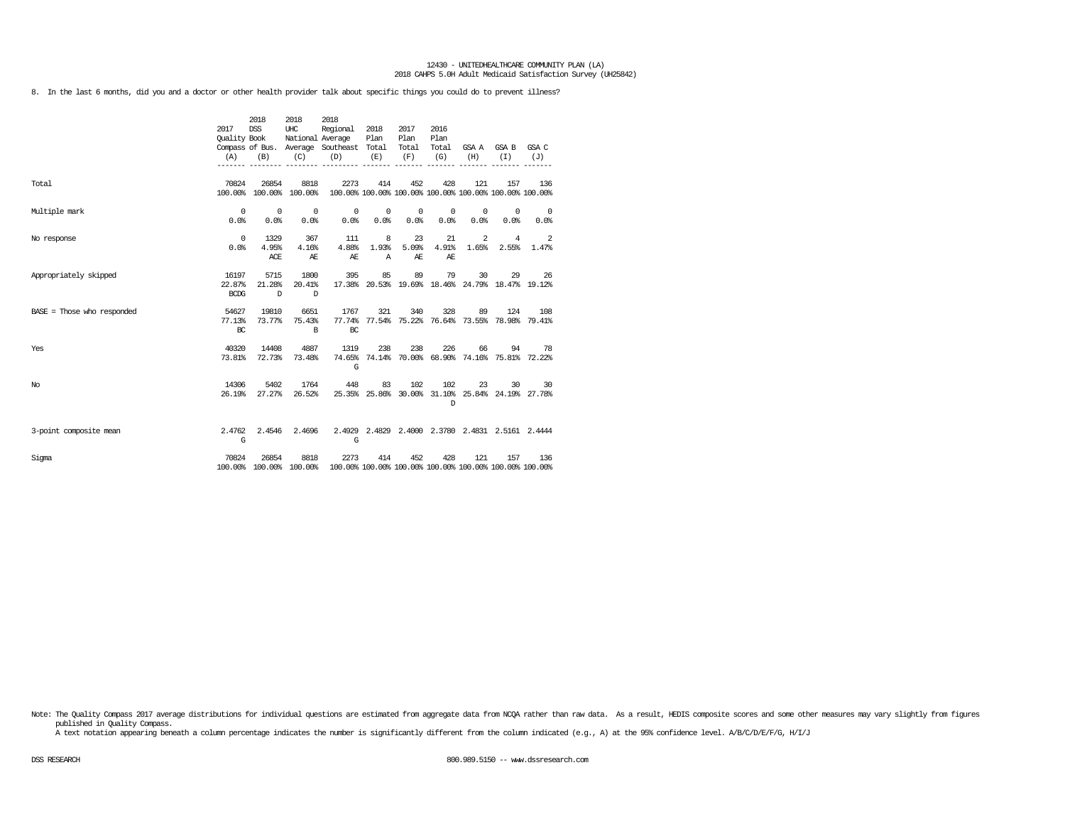8. In the last 6 months, did you and a doctor or other health provider talk about specific things you could do to prevent illness?

|                              | 2017<br>Quality Book<br>(A)    | 2018<br><b>DSS</b><br>(B)      | 2018<br>UHC<br>National Average<br>(C) | 2018<br>Regional<br>Compass of Bus. Average Southeast Total<br>(D) | 2018<br>Plan<br>(E) | 2017<br>Plan<br>Total<br>(F) | 2016<br>Plan<br>Total<br>(G) | (H)                | GSA A GSA B<br>(T) | GSA C<br>(J)                                                   |
|------------------------------|--------------------------------|--------------------------------|----------------------------------------|--------------------------------------------------------------------|---------------------|------------------------------|------------------------------|--------------------|--------------------|----------------------------------------------------------------|
| Total                        | 70824<br>100.00%               | 26854                          | 8818<br>100.00% 100.00%                | 2273<br>100.00% 100.00% 100.00% 100.00% 100.00% 100.00% 100.00%    | 414                 | 452                          | 428                          | 121                | 157                | 136                                                            |
| Multiple mark                | $^{\circ}$<br>0.0%             | $^{\circ}$<br>0.0%             | $^{\circ}$<br>0.0%                     | 0<br>0.0%                                                          | $^{\circ}$<br>0.0%  | 0<br>0.0%                    | 0<br>0.0%                    | $^{\circ}$<br>0.0% | 0<br>0.0%          | $\overline{0}$<br>0.0%                                         |
| No response                  | $^{\circ}$<br>0.0%             | 1329<br>4.95%<br>ACE           | 367<br>4.16%<br>AE                     | 111<br>4.88%<br>AЕ                                                 | 8<br>1.93%<br>Α     | 23<br>5.09%<br>AЕ            | 21<br>4.91%<br>AE            | 2<br>1.65%         | 4<br>2.55%         | 2<br>1.47%                                                     |
| Appropriately skipped        | 16197<br>22.87%<br><b>BCDG</b> | 5715<br>21.28%<br>$\mathbb{D}$ | 1800<br>20.41%<br>D                    | 395                                                                | 85                  | 89                           | 79                           | 30                 | 29                 | 26<br>17.38% 20.53% 19.69% 18.46% 24.79% 18.47% 19.12%         |
| $BASE = Those who responded$ | 54627<br>77.13%<br>BC          | 19810<br>73.77%                | 6651<br>75.43%<br>B                    | 1767<br>BC                                                         | 321                 | 340                          | 328                          | 89                 | 124                | 108<br>77.74% 77.54% 75.22% 76.64% 73.55% 78.98% 79.41%        |
| Yes                          | 40320<br>73.81%                | 14408<br>72.73%                | 4887<br>73.48%                         | 1319<br>G                                                          | 238                 | 238                          | 226                          | 66                 | 94                 | 78<br>74.65% 74.14% 70.00% 68.90% 74.16% 75.81% 72.22%         |
| No                           | 14306<br>26.19%                | 5402<br>27.27%                 | 1764<br>26.52%                         | 448                                                                | 83                  | 102                          | 102<br>D                     | 23                 | 30                 | 30<br>25.35% 25.86% 30.00% 31.10% 25.84% 24.19% 27.78%         |
| 3-point composite mean       | 2.4762<br>G                    | 2.4546                         | 2.4696                                 | G                                                                  |                     |                              |                              |                    |                    | 2.4929 2.4829 2.4000 2.3780 2.4831 2.5161 2.4444               |
| Sigma                        | 70824                          | 26854                          | 8818<br>100.00% 100.00% 100.00%        | 2273                                                               | 414                 | 452                          | 428                          | 121                | 157                | 136<br>100.00% 100.00% 100.00% 100.00% 100.00% 100.00% 100.00% |

Note: The Quality Compass 2017 average distributions for individual questions are estimated from aggregate data from NOQA rather than raw data. As a result, HEDIS composite scores and some other measures may vary slightly published in Quality Compass.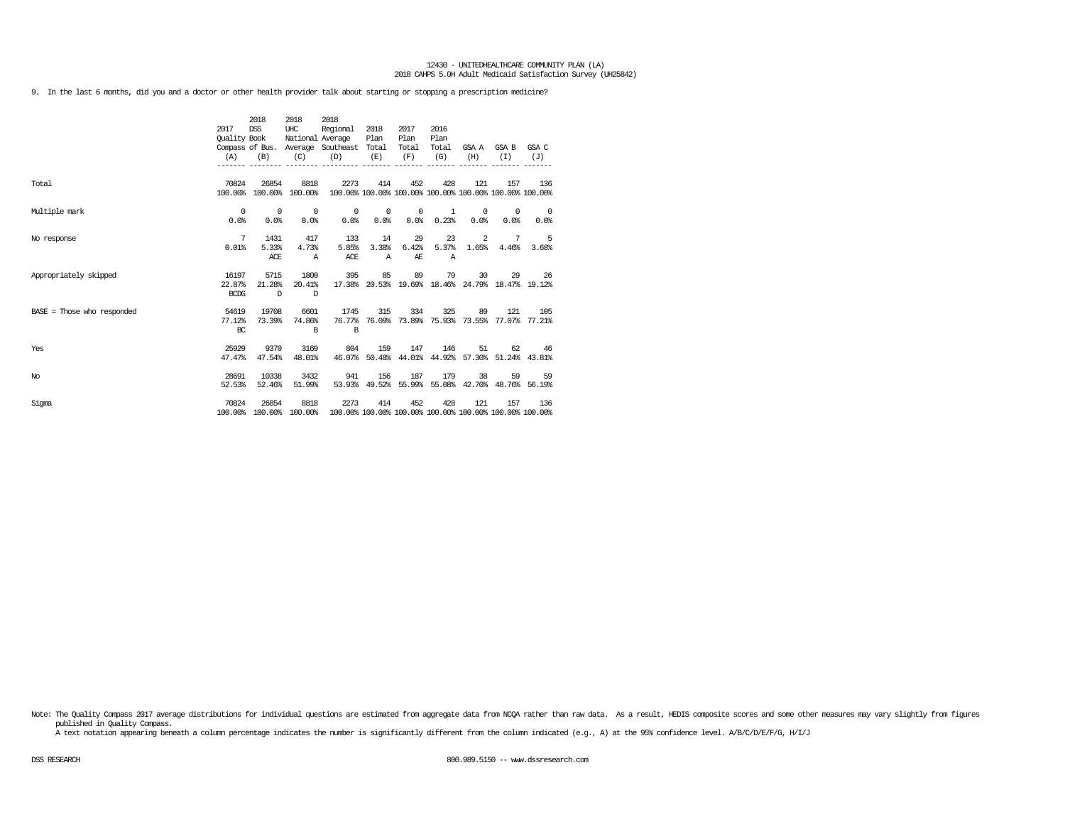9. In the last 6 months, did you and a doctor or other health provider talk about starting or stopping a prescription medicine?

|                              | 2017<br><b>Ouality Book</b><br>(A) | 2018<br><b>DSS</b><br>(B) | 2018<br>UHC<br>National Average<br>(C) | 2018<br>Regional<br>Compass of Bus. Average Southeast Total<br>(D) | 2018<br>Plan<br>(E)         | 2017<br>Plan<br>Total<br>(F) | 2016<br>Plan<br>Total<br>(G) | (H)                | GSA A GSA B<br>(T)                                     | GSA C<br>(J)                                                   |
|------------------------------|------------------------------------|---------------------------|----------------------------------------|--------------------------------------------------------------------|-----------------------------|------------------------------|------------------------------|--------------------|--------------------------------------------------------|----------------------------------------------------------------|
| Total                        | 70824<br>100.00%                   | 26854                     | 8818<br>100.00% 100.00%                | 2273                                                               | 414                         | 452                          | 428                          | 121                | 157                                                    | 136<br>100.00% 100.00% 100.00% 100.00% 100.00% 100.00% 100.00% |
| Multiple mark                | 0<br>0.0%                          | $\circ$<br>0.0%           | $\overline{0}$<br>0.0%                 | 0<br>0.0%                                                          | $^{\circ}$<br>0.0%          | $^{\circ}$<br>0.0%           | 1<br>0.23%                   | $^{\circ}$<br>0.0% | $^{\circ}$<br>0.0%                                     | $\overline{\phantom{0}}$<br>0.0%                               |
| No response                  | 7<br>0.01%                         | 1431<br>5.33%<br>ACE      | 417<br>4.73%<br>$\mathbb{A}$           | 133<br>5.85%<br>ACE                                                | 14<br>3.38%<br>$\mathbb{A}$ | 29<br>6.42%<br>AЕ            | 23<br>5.37%<br>$\mathbb{A}$  | 2<br>1.65%         | $7\phantom{.0}$<br>4.46%                               | $-5$<br>3.68%                                                  |
| Appropriately skipped        | 16197<br>22.87%<br><b>BCDG</b>     | 5715<br>21.28%<br>D       | 1800<br>20.41%<br>D                    | 395                                                                | 85                          | 89                           | 79                           | 30                 | 29<br>17.38% 20.53% 19.69% 18.46% 24.79% 18.47% 19.12% | 26                                                             |
| $BASE = Those who responded$ | 54619<br>77.12%<br>BC              | 19708<br>73.39%           | 6601<br>74.86%<br><sub>R</sub>         | 1745<br>B                                                          | 315                         | 334                          | 325                          | 89                 | 121                                                    | 105<br>76.77% 76.09% 73.89% 75.93% 73.55% 77.07% 77.21%        |
| Yes                          | 25929<br>47.47%                    | 9370<br>47.54%            | 3169<br>48.01%                         | 804<br>46.07%                                                      | 159                         | 147                          | 146                          | 51                 | 62<br>50.48% 44.01% 44.92% 57.30% 51.24% 43.81%        | 46                                                             |
| No                           | 28691<br>52.53%                    | 10338<br>52.46%           | 3432<br>51.99%                         | 941                                                                | 156                         | 187                          | 179                          | 38                 | 59<br>53.93% 49.52% 55.99% 55.08% 42.70% 48.76% 56.19% | 59                                                             |
| Sigma                        | 70824<br>100.00%                   | 26854                     | 8818<br>100.00% 100.00%                | 2273                                                               | 414                         | 452                          | 428                          | 121                | 157                                                    | 136<br>100.00% 100.00% 100.00% 100.00% 100.00% 100.00% 100.00% |

Note: The Quality Compass 2017 average distributions for individual questions are estimated from aggregate data from NOQA rather than raw data. As a result, HEDIS composite scores and some other measures may vary slightly published in Quality Compass.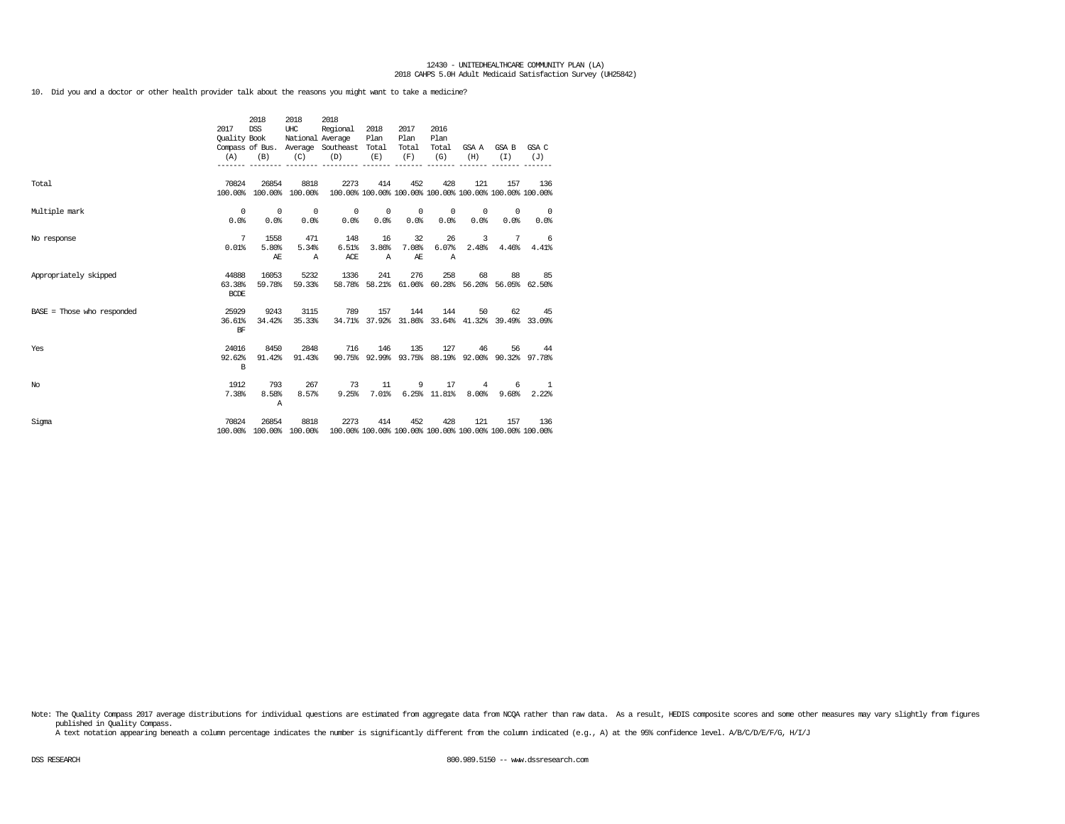10. Did you and a doctor or other health provider talk about the reasons you might want to take a medicine?

|                              | 2017<br>Quality Book<br>(A)    | 2018<br>DSS<br>(B)               | 2018<br>UHC<br>(C)               | 2018<br>Regional<br>National Average<br>Compass of Bus. Average Southeast Total<br>(D)  | 2018<br>Plan<br>(E)         | 2017<br>Plan<br>Total<br>(F)     | 2016<br>Plan<br>Total<br>(G) | (H)                              | GSA A GSA B GSA C<br>(T)   | (J)                                                            |
|------------------------------|--------------------------------|----------------------------------|----------------------------------|-----------------------------------------------------------------------------------------|-----------------------------|----------------------------------|------------------------------|----------------------------------|----------------------------|----------------------------------------------------------------|
| Total                        | 70824                          | 26854                            | 8818<br>100.00% 100.00% 100.00%  | 2273                                                                                    | 414                         | 452                              | 428                          | 121                              | 157                        | 136<br>100.00% 100.00% 100.00% 100.00% 100.00% 100.00% 100.00% |
| Multiple mark                | $^{\circ}$<br>0.0              | $\overline{\phantom{0}}$<br>0.0% | $\overline{\phantom{0}}$<br>0.0% | $\circ$<br>0.0%                                                                         | $\circ$<br>0.0%             | $\overline{\phantom{0}}$<br>0.0% | $\circ$<br>0.0%              | $\circ$<br>0.0%                  | $^{\circ}$<br>0.0%         | $\overline{\phantom{0}}$<br>0.0%                               |
| No response                  | 7<br>0.01%                     | 1558<br>5.80%<br>AЕ              | 471<br>5.34%<br>$\mathbb{A}$     | 148<br>6.51%<br>ACE                                                                     | 16<br>3.86%<br>$\mathbb{A}$ | 32<br>7.08%<br>AE                | 26<br>6.07%<br>$\mathbb{A}$  | $\overline{\mathbf{3}}$<br>2.48% |                            | 7 6<br>$4.46\%$ $4.41\%$                                       |
| Appropriately skipped        | 44888<br>63.38%<br><b>BCDE</b> | 16053<br>59.78%                  | 5232<br>59.33%                   | 1336                                                                                    | 241                         | 276                              | 258                          | 68                               | 88                         | 85<br>58.78% 58.21% 61.06% 60.28% 56.20% 56.05% 62.50%         |
| $BASE = Those who responded$ | 25929<br>36.61%<br>BF          | 9243<br>34.42%                   | 3115<br>35.33%                   | 789                                                                                     | 157                         | 144                              | 144                          |                                  | 50<br>62.                  | 45<br>34.71% 37.92% 31.86% 33.64% 41.32% 39.49% 33.09%         |
| Yes                          | 24016<br>92.62%<br>B           | 8450<br>91.42%                   | 2848<br>91.43%                   | 716                                                                                     | 146                         | 135                              | 127                          | 46                               |                            | 56 44<br>90.75% 92.99% 93.75% 88.19% 92.00% 90.32% 97.78%      |
| No                           | 1912<br>7.38%                  | 793<br>8.58%<br>A                | 267<br>8.57%                     | 73<br>9.25%                                                                             | 11<br>7.01%                 |                                  | 9 17<br>$6.25\%$ 11.81%      | 8.00%                            | $4 \qquad \qquad$<br>9.68% | 6 1<br>2.22%                                                   |
| Sigma                        | 70824                          | 26854                            | 8818                             | 2273<br>100.00% 100.00% 100.00% 100.00% 100.00% 100.00% 100.00% 100.00% 100.00% 100.00% | 414                         | 452                              | 428                          | 121                              | 157                        | 136                                                            |

Note: The Quality Compass 2017 average distributions for individual questions are estimated from aggregate data from NCQA rather than raw data. As a result, HEDIS composite scores and some other measures may vary slightly published in Quality Compass.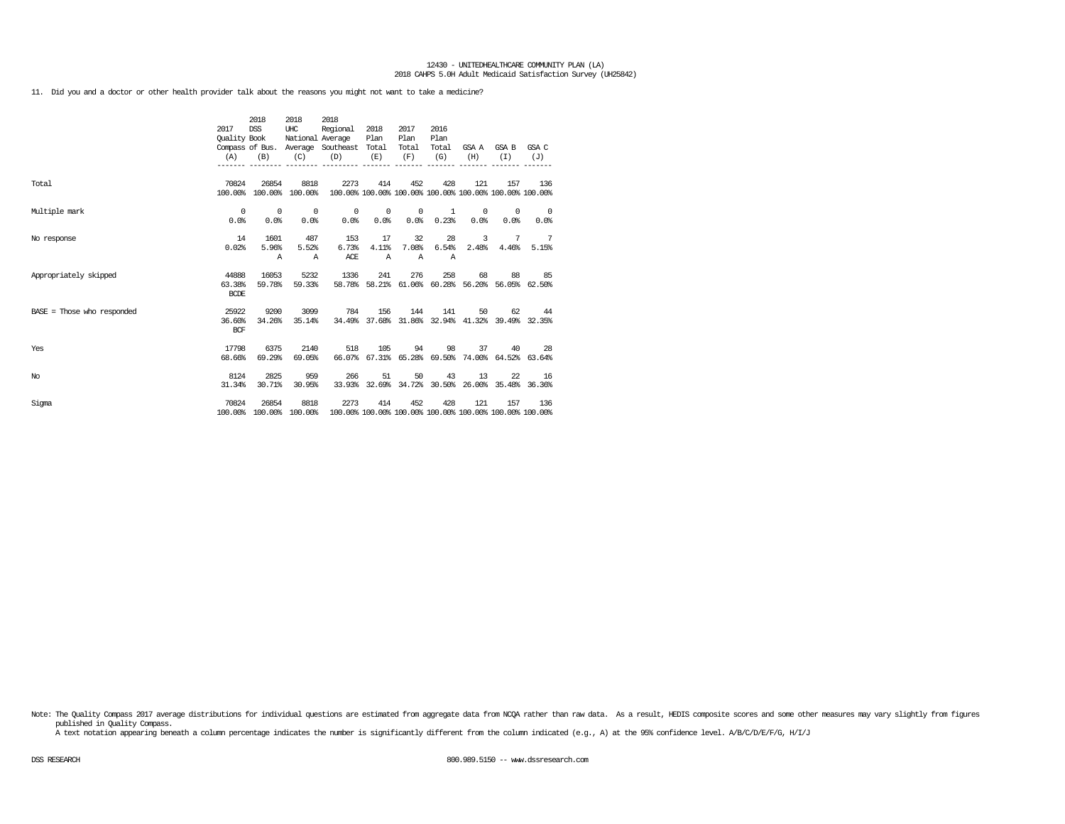11. Did you and a doctor or other health provider talk about the reasons you might not want to take a medicine?

|                              | 2017<br>Quality Book<br>(A)    | 2018<br><b>DSS</b><br>(B)        | 2018<br>UHC<br>(C)               | 2018<br>Regional<br>National Average<br>Compass of Bus. Average Southeast Total<br>(D) | 2018<br>Plan<br>(E)         | 2017<br>Plan<br>Total<br>(F) | 2016<br>Plan<br>Total<br>(G) | (H)                     | GSAA GSAB<br>(I)                                       | GSA C<br>(J)                                                   |
|------------------------------|--------------------------------|----------------------------------|----------------------------------|----------------------------------------------------------------------------------------|-----------------------------|------------------------------|------------------------------|-------------------------|--------------------------------------------------------|----------------------------------------------------------------|
| Total                        | 70824                          | 26854<br>100.00% 100.00% 100.00% | 8818                             | 2273                                                                                   | 414                         | 452                          | 428                          | 121                     | 157                                                    | 136<br>100.00% 100.00% 100.00% 100.00% 100.00% 100.00% 100.00% |
| Multiple mark                | $^{\circ}$<br>0.0%             | $\overline{\phantom{0}}$<br>0.0% | $\overline{\phantom{0}}$<br>0.0% | 0.0                                                                                    | $0\qquad 0$<br>$0.0$ %      | $0.0$ %                      | $0 \t 1$<br>0.23%            | 0.0%                    | $0 \qquad \qquad$<br>$\circ$<br>0.0%                   | $\overline{\phantom{0}}$<br>0.0%                               |
| No response                  | 14<br>0.02%                    | 1601<br>5.96%<br>Α               | 487<br>5.52%<br>$\mathbb{A}$     | 153<br>6.73%<br>ACE                                                                    | 17<br>4.11%<br>$\mathbb{A}$ | 32<br>7.08%<br>$\mathbb{A}$  | 28<br>6.54%<br>$\mathbb{A}$  | $\overline{3}$<br>2.48% |                                                        | 7 7<br>4.46% 5.15%                                             |
| Appropriately skipped        | 44888<br>63.38%<br><b>BCDE</b> | 16053<br>59.78%                  | 5232<br>59.33%                   | 1336                                                                                   | 241                         | 276                          | 258                          |                         | 68<br>58.78% 58.21% 61.06% 60.28% 56.20% 56.05% 62.50% | 88 85                                                          |
| $BASE = Those who responded$ | 25922<br>36.60%<br><b>BCF</b>  | 9200<br>34.26%                   | 3099<br>35.14%                   | 784                                                                                    | 156                         | 144                          | 141                          | 50                      |                                                        | 62 44<br>34.49% 37.68% 31.86% 32.94% 41.32% 39.49% 32.35%      |
| Yes                          | 17798<br>68.66%                | 6375<br>69.29%                   | 2140<br>69.05%                   | 518                                                                                    |                             | 105                          | 94 —<br>98                   |                         | 37<br>66.07% 67.31% 65.28% 69.50% 74.00% 64.52% 63.64% | 28                                                             |
| No                           | 8124<br>31.34%                 | 2825<br>30.71%                   | 959<br>30.95%                    | 266                                                                                    | 51                          | 50                           | 43                           | 13                      | 22<br>33.93% 32.69% 34.72% 30.50% 26.00% 35.48% 36.36% | 16                                                             |
| Sigma                        | 70824<br>100.00%               | 26854                            | 8818<br>100.00% 100.00%          | 2273                                                                                   | 414                         | 452                          | 428                          | 121                     | 157                                                    | 136<br>100.00% 100.00% 100.00% 100.00% 100.00% 100.00% 100.00% |

Note: The Quality Compass 2017 average distributions for individual questions are estimated from aggregate data from NCQA rather than raw data. As a result, HEDIS composite scores and some other measures may vary slightly published in Quality Compass.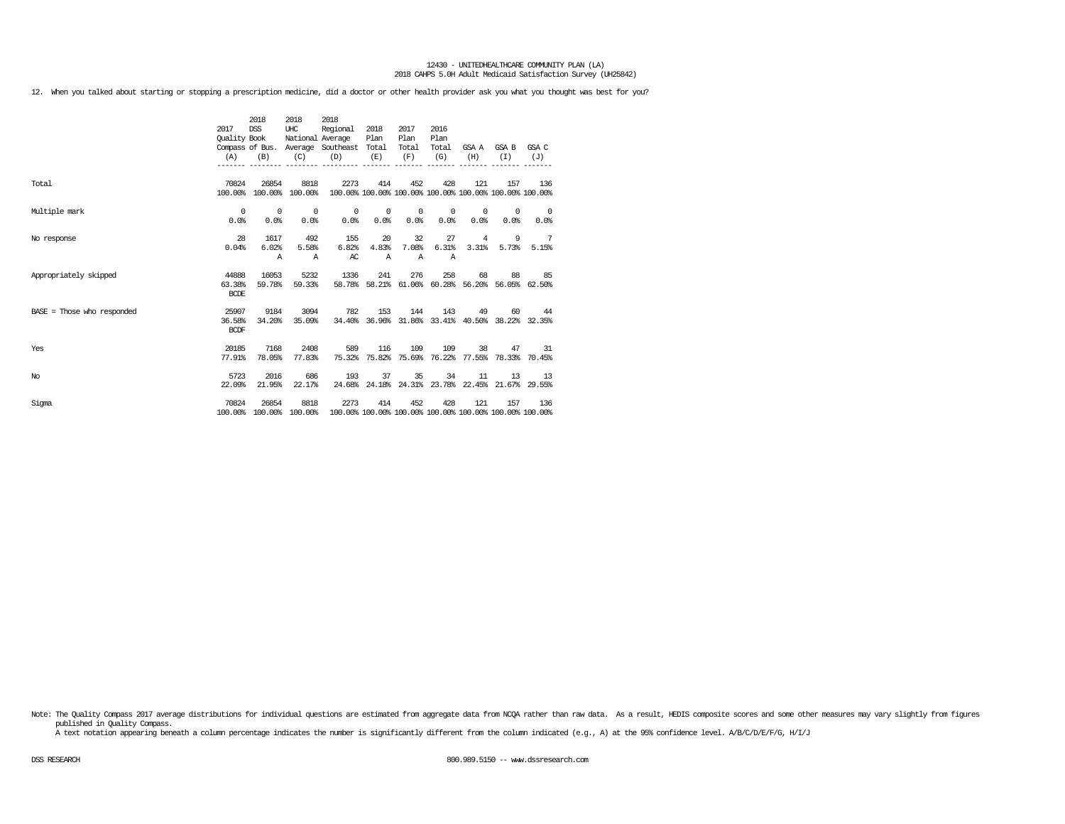12. When you talked about starting or stopping a prescription medicine, did a doctor or other health provider ask you what you thought was best for you?

|                              | 2017<br>Quality Book<br>(A)    | 2018<br><b>DSS</b><br>(B)        | 2018<br>UHC<br>(C)               | 2018<br>Regional<br>National Average<br>Compass of Bus. Average Southeast Total<br>(D) | 2018<br>Plan<br>(E)         | 2017<br>Plan<br>Total<br>(F)     | 2016<br>Plan<br>Total<br>(G) | (H)        | GSA A GSA B<br>(T)                                             | GSA C<br>(J)                     |
|------------------------------|--------------------------------|----------------------------------|----------------------------------|----------------------------------------------------------------------------------------|-----------------------------|----------------------------------|------------------------------|------------|----------------------------------------------------------------|----------------------------------|
|                              |                                |                                  |                                  |                                                                                        |                             |                                  |                              |            |                                                                |                                  |
| Total                        | 70824                          | 26854<br>100.00% 100.00% 100.00% | 8818                             | 2273                                                                                   | 414                         | 452                              | 428                          | 121        | 157<br>100.00% 100.00% 100.00% 100.00% 100.00% 100.00% 100.00% | 136                              |
| Multiple mark                | $^{\circ}$<br>0.0%             | $\overline{0}$<br>0.0%           | $\overline{\phantom{0}}$<br>0.0% | 0.0%                                                                                   | $0\qquad 0$<br>0.0%         | $\overline{\phantom{0}}$<br>0.0% | $^{\circ}$<br>0.0%           | 0.0%       | $0 \qquad \qquad$<br>$^{\circ}$<br>0.0%                        | $\overline{\phantom{0}}$<br>0.0% |
| No response                  | 28<br>0.04%                    | 1617<br>6.02%<br>$\mathbb{A}$    | 492<br>5.58%<br>$\mathbb{A}$     | 155<br>6.82%<br>AC                                                                     | 20<br>4.83%<br>$\mathbb{A}$ | 32<br>7.08%<br>$\mathbb{A}$      | 27<br>6.31%<br>Α             | 4<br>3.31% | 9<br>5.73%                                                     | $\overline{7}$<br>5.15%          |
| Appropriately skipped        | 44888<br>63.38%<br><b>BCDE</b> | 16053<br>59.78%                  | 5232<br>59.33%                   | 1336                                                                                   | 241                         | 276                              | 258                          | 68         | 88<br>58.78% 58.21% 61.06% 60.28% 56.20% 56.05% 62.50%         | 85                               |
| $BASE = Those who responded$ | 25907<br>36.58%<br><b>BCDF</b> | 9184<br>34.20%                   | 3094<br>35.09%                   | 782                                                                                    | 153                         | 144                              | 143                          | 49         | 60<br>34.40% 36.96% 31.86% 33.41% 40.50% 38.22% 32.35%         | 44                               |
| Yes                          | 20185<br>77.91%                | 7168<br>78.05%                   | 2408<br>77.83%                   | 589                                                                                    | 116                         | 109                              | 109                          |            | 38<br>47<br>75.32% 75.82% 75.69% 76.22% 77.55% 78.33% 70.45%   | 31                               |
| No                           | 5723<br>22.09%                 | 2016<br>21.95%                   | 686<br>22.17%                    | 193                                                                                    | 37                          | 35                               | 34                           | 11         | 13<br>24.68% 24.18% 24.31% 23.78% 22.45% 21.67% 29.55%         | 13                               |
| Sigma                        | 70824<br>100.00%               | 26854                            | 8818<br>100.00% 100.00%          | 2273                                                                                   | 414                         | 452                              | 428                          | 121        | 157<br>100.00% 100.00% 100.00% 100.00% 100.00% 100.00% 100.00% | 136                              |

Note: The Quality Compass 2017 average distributions for individual questions are estimated from aggregate data from NCQA rather than raw data. As a result, HEDIS composite scores and some other measures may vary slightly published in Quality Compass.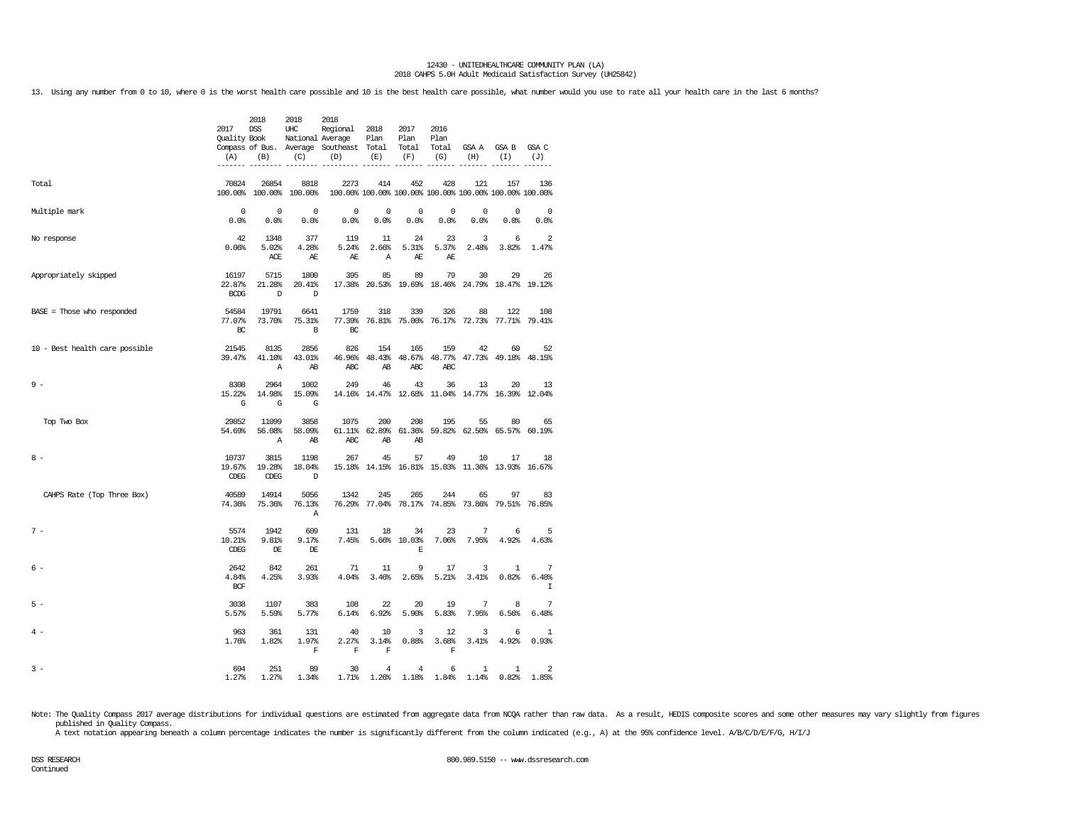13. Using any number from 0 to 10, where 0 is the worst health care possible and 10 is the best health care possible, what number would you use to rate all your health care in the last 6 months?

|                                | 2017<br>Quality Book<br>(A)    | 2018<br><b>DSS</b><br>(B) | 2018<br>UHC<br>National Average<br>(C) | 2018<br>Regional<br>Compass of Bus. Average Southeast<br>(D) | 2018<br>Plan<br>Total<br>(E) | 2017<br>Plan<br>Total<br>(F)       | 2016<br>Plan<br>Total<br>(G) | GSA A<br>(H)          | GSA B<br>(I)                                                   | GSA C<br>(J)            |
|--------------------------------|--------------------------------|---------------------------|----------------------------------------|--------------------------------------------------------------|------------------------------|------------------------------------|------------------------------|-----------------------|----------------------------------------------------------------|-------------------------|
| Total                          | 70824<br>100.00%               | 26854<br>100.00%          | 8818<br>100.00%                        | 2273                                                         | 414                          | 452                                | 428                          | 121                   | 157<br>100.00% 100.00% 100.00% 100.00% 100.00% 100.00% 100.00% | 136                     |
| Multiple mark                  | $\mathbf 0$<br>0.0%            | 0<br>0.0%                 | $^{\circ}$<br>0.0%                     | $\mathbf 0$<br>0.0%                                          | $\mathbf 0$<br>0.0%          | 0<br>0.0%                          | 0<br>0.0%                    | 0<br>0.0%             | $\mathbf 0$<br>0.0%                                            | $^{\circ}$<br>0.0%      |
| No response                    | 42<br>0.06%                    | 1348<br>5.02%<br>ACE      | 377<br>4.28%<br>AE                     | 119<br>5.24%<br>AE                                           | 11<br>2.66%<br>Α             | 24<br>5.31%<br>AE                  | 23<br>5.37%<br>AE            | 3<br>2.48%            | 6<br>3.82%                                                     | $\overline{2}$<br>1.47% |
| Appropriately skipped          | 16197<br>22.87%<br>BCDG        | 5715<br>21.28%<br>D       | 1800<br>20.41%<br>D                    | 395<br>17.38%                                                | 85<br>20.53%                 | 89<br>19.69%                       | 79<br>18.46%                 | 30<br>24.79%          | 29<br>18.47% 19.12%                                            | 26                      |
| $BASE = Those who responded$   | 54584<br>77.07%<br>BC          | 19791<br>73.70%           | 6641<br>75.31%<br>B                    | 1759<br>77.39%<br>BC                                         | 318                          | 339<br>76.81% 75.00% 76.17% 72.73% | 326                          | 88                    | 122<br>77.71%                                                  | 108<br>79.41%           |
| 10 - Best health care possible | 21545<br>39.47%                | 8135<br>41.10%<br>Α       | 2856<br>43.01%<br>AB                   | 826<br>46.96%<br>ABC                                         | 154<br>48.43%<br>AB          | 165<br>48.67%<br>ABC               | 159<br>48.77%<br>ABC         | 42                    | 60<br>47.73% 49.18%                                            | 52<br>48.15%            |
| $9 -$                          | 8308<br>15.22%<br>G            | 2964<br>14.98%<br>G       | 1002<br>15.09%<br>G                    | 249                                                          | 46                           | 43                                 | 36                           | 13                    | 20<br>14.16% 14.47% 12.68% 11.04% 14.77% 16.39% 12.04%         | 13                      |
| Top Two Box                    | 29852<br>54.69%                | 11099<br>56.08%<br>Α      | 3858<br>58.09%<br>AB                   | 1075<br>61.11%<br>ABC                                        | 200<br>62.89%<br>AB          | 208<br>61.36%<br>AB                | 195                          | 55<br>59.82% 62.50%   | 80<br>65.57%                                                   | 65<br>60.19%            |
| $8 -$                          | 10737<br>19.67%<br><b>CDEG</b> | 3815<br>19.28%<br>CDEG    | 1198<br>18.04%<br>D                    | 267                                                          | 45                           | 57                                 | 49                           | 10                    | 17<br>15.18% 14.15% 16.81% 15.03% 11.36% 13.93%                | 18<br>16.67%            |
| CAHPS Rate (Top Three Box)     | 40589<br>74.36%                | 14914<br>75.36%           | 5056<br>76.13%<br>Α                    | 1342                                                         | 245                          | 265                                | 244                          | 65                    | 97<br>76.29% 77.04% 78.17% 74.85% 73.86% 79.51%                | 83<br>76.85%            |
| $7 -$                          | 5574<br>10.21%<br><b>CDEG</b>  | 1942<br>9.81%<br>DE       | 609<br>9.17%<br>DE                     | 131<br>7.45%                                                 | 18                           | 34<br>5.66% 10.03%<br>$\mathbb E$  | 23<br>7.06%                  | 7<br>7.95%            | 6<br>4.92%                                                     | 5<br>4.63%              |
| $6 -$                          | 2642<br>4.84%<br><b>BCF</b>    | 842<br>4.25%              | 261<br>3.93%                           | 71<br>4.04%                                                  | 11<br>3.46%                  | 9<br>2.65%                         | 17<br>5.21%                  | 3<br>3.41%            | $\mathbf{1}$<br>0.82%                                          | 7<br>6.48%<br>I         |
| $5 -$                          | 3038<br>5.57%                  | 1107<br>5.59%             | 383<br>5.77%                           | 108<br>6.14%                                                 | 22<br>6.92%                  | 20<br>5.90%                        | 19<br>5.83%                  | 7<br>7.95%            | 8<br>6.56%                                                     | 7<br>6.48%              |
| 4 -                            | 963<br>1.76%                   | 361<br>1.82%              | 131<br>1.97%<br>F                      | 40<br>2.27%<br>$\mathbb F$                                   | 10<br>3.14%<br>$\mathbb F$   | 3<br>0.88%                         | 12<br>3.68%<br>$\mathbf F$   | 3<br>3.41%            | 6<br>4.92%                                                     | $\mathbf{1}$<br>0.93%   |
| $3 -$                          | 694<br>1.27%                   | 251<br>1.27%              | 89<br>1.34%                            | 30<br>1.71%                                                  | $\bf{4}$<br>1.26%            | $\bf{4}$<br>1.18%                  | 6<br>1.84%                   | $\mathbf{1}$<br>1.14% | $\mathbf{1}$<br>0.82%                                          | $\overline{a}$<br>1.85% |

Note: The Quality Compass 2017 average distributions for individual questions are estimated from aggregate data from NCQA rather than raw data. As a result, HEDIS composite scores and some other measures may vary slightly published in Quality Compass.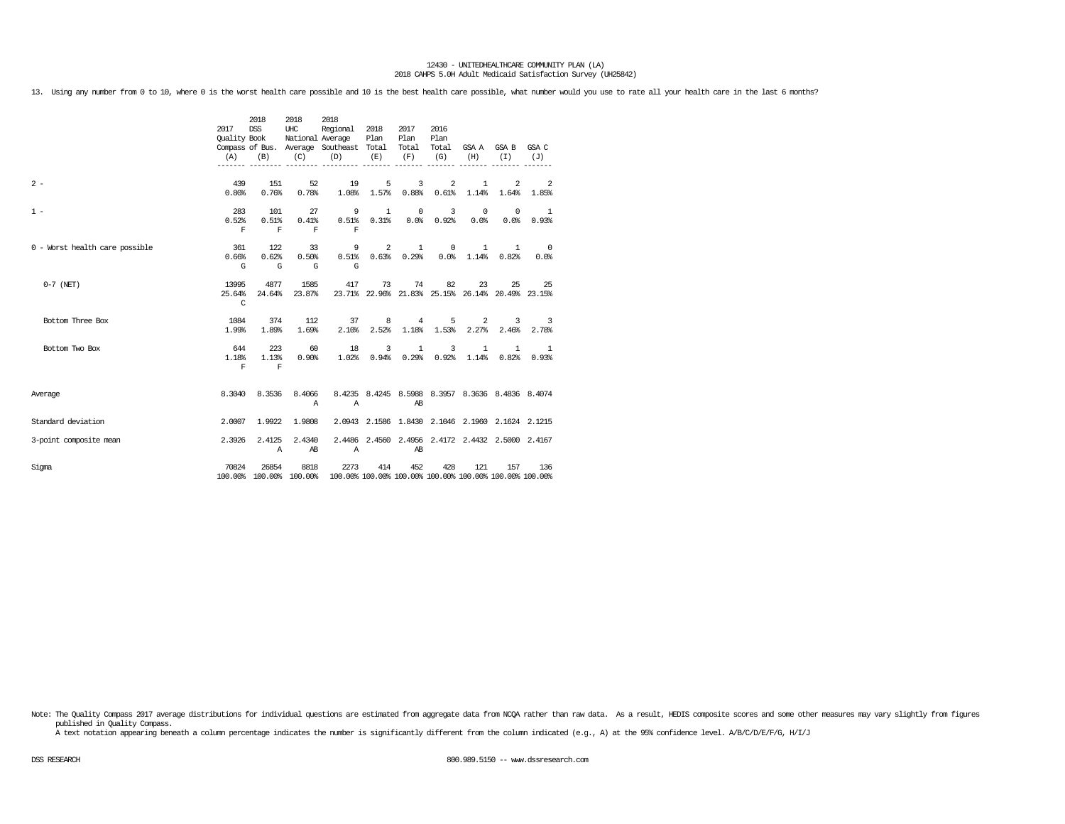13. Using any number from 0 to 10, where 0 is the worst health care possible and 10 is the best health care possible, what number would you use to rate all your health care in the last 6 months?

|                                | 2017<br>(A)                    | 2018<br><b>DSS</b><br>Quality Book<br>(B) | 2018<br>UHC<br>(C)          | 2018<br>Regional<br>National Average<br>Compass of Bus. Average Southeast Total<br>(D)  | 2018<br>Plan<br>(E)             | 2017<br>Plan<br>Total<br>(F) | 2016<br>Plan<br>Total<br>(G) | (H)                                                 | GSA A GSA B GSA C<br>(I)                         | (J)                                                       |
|--------------------------------|--------------------------------|-------------------------------------------|-----------------------------|-----------------------------------------------------------------------------------------|---------------------------------|------------------------------|------------------------------|-----------------------------------------------------|--------------------------------------------------|-----------------------------------------------------------|
| $2 -$                          | 439<br>0.80%                   | 151<br>0.76%                              | 52<br>0.78%                 | 19<br>1.08%                                                                             | 5<br>1.57%                      | 3<br>0.88%                   | 2<br>0.61%                   | $\mathbf{1}$<br>1.14%                               | 2<br>1.64%                                       | $\overline{\phantom{0}}^2$<br>1.85%                       |
| $1 -$                          | 283<br>0.52%<br>$\mathbf F$    | 101<br>0.51%<br>$\mathbf F$               | 27<br>0.41%<br>$\mathbf{F}$ | $\mathbf F$                                                                             | $9 \qquad 1$<br>$0.51\$ $0.31\$ | $^{\circ}$                   | $\overline{3}$<br>0.0% 0.92% | $\circ$<br>0.0%                                     | $^{\circ}$<br>0.0%                               | 1<br>0.93%                                                |
| 0 - Worst health care possible | 361<br>0.66%<br>G              | 122<br>0.62%<br>G                         | 33<br>0.50%<br>G            | $\mathsf{G}$                                                                            | $9^{\circ}$                     | $2^{\circ}$<br>1             | $\circ$                      | 1<br>$0.51\$ $0.63\$ $0.29\$ $0.0\$ $1.14\$ $0.82\$ | $\mathbf{1}$                                     | $\overline{\phantom{0}}$<br>0.0%                          |
| $0-7$ (NET)                    | 13995<br>25.64%<br>$\mathbf C$ | 4877<br>24.64%                            | 1585<br>23.87%              | 417                                                                                     | 73                              |                              | 74 82                        |                                                     | 23                                               | 25 25<br>23.71% 22.96% 21.83% 25.15% 26.14% 20.49% 23.15% |
| Bottom Three Box               | 1084<br>1.99%                  | 374<br>1.89%                              | 112<br>1.69%                | 2.10%                                                                                   | 37 —<br>8                       | 2.52% 1.18%                  | $4\degree$<br>5<br>1.53%     |                                                     | $2 \left( \frac{1}{2} \right)$<br>$2.27\%$ 2.46% | $3 \t3$<br>2.78%                                          |
| Bottom Two Box                 | 644<br>1.18%<br>F              | 223<br>1.13%<br>$\mathbf{F}$              | 60<br>0.90%                 | 18<br>1.02%                                                                             | 3<br>0.94%                      | 1<br>0.29%                   | 3<br>0.92%                   | $\mathbf{1}$<br>1.14%                               | 1<br>0.82%                                       | -1<br>0.93%                                               |
| Average                        | 8.3040                         | 8.3536                                    | 8,4066<br>$\mathbb{A}$      | $\mathbf{A}$                                                                            |                                 | AB                           |                              |                                                     |                                                  | 8.4235 8.4245 8.5988 8.3957 8.3636 8.4836 8.4074          |
| Standard deviation             | 2.0007                         | 1.9922                                    | 1.9808                      |                                                                                         |                                 |                              |                              |                                                     |                                                  | 2.0943 2.1586 1.8430 2.1046 2.1960 2.1624 2.1215          |
| 3-point composite mean         | 2.3926                         | 2.4125<br>$\mathbb{A}$                    | 2.4340<br>AB                | $\mathbb{A}$                                                                            |                                 | AB                           |                              |                                                     |                                                  | 2.4486 2.4560 2.4956 2.4172 2.4432 2.5000 2.4167          |
| Sigma                          | 70824                          | 26854                                     | 8818                        | 2273<br>100.00% 100.00% 100.00% 100.00% 100.00% 100.00% 100.00% 100.00% 100.00% 100.00% | 414                             | 452                          | 428                          | 121                                                 | 157                                              | 136                                                       |

Note: The Quality Compass 2017 average distributions for individual questions are estimated from aggregate data from NCQA rather than raw data. As a result, HEDIS composite scores and some other measures may vary slightly published in Quality Compass.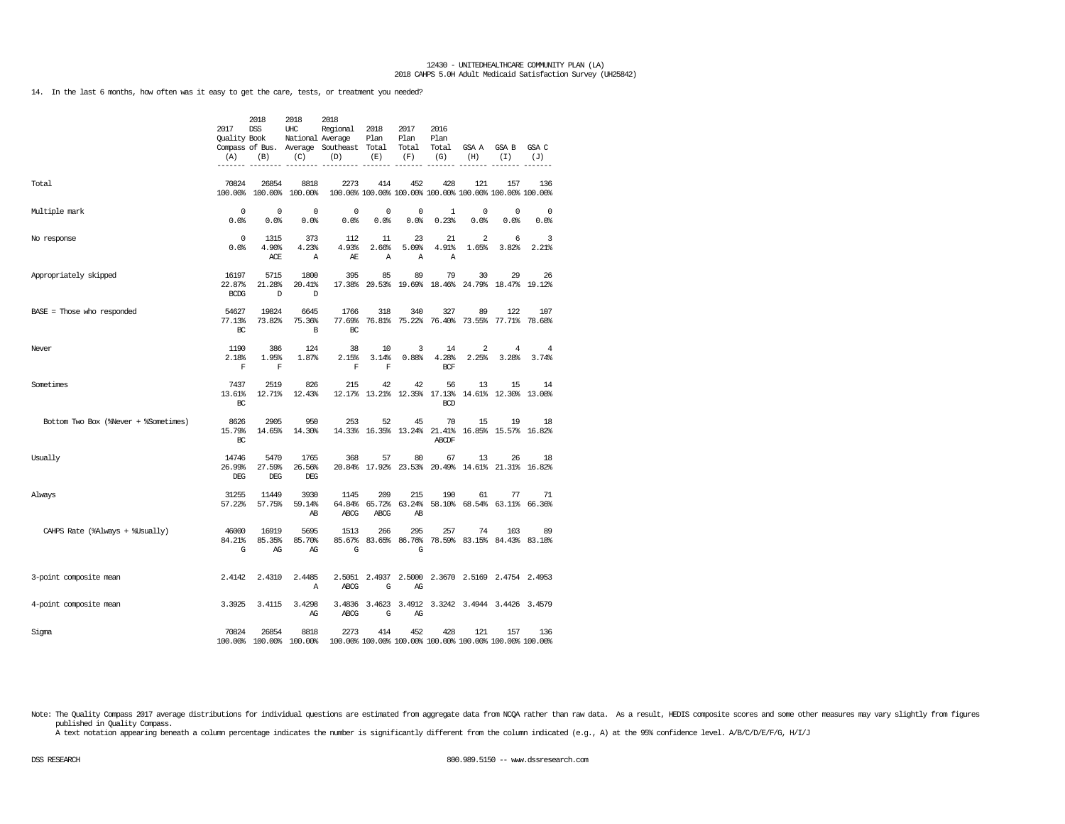14. In the last 6 months, how often was it easy to get the care, tests, or treatment you needed?

|                                      | 2017<br>Quality Book<br>(A)    | 2018<br><b>DSS</b><br>(B)    | 2018<br>UHC<br>National Average<br>(C) | 2018<br>Regional<br>Compass of Bus. Average Southeast Total<br>(D) | 2018<br>Plan<br>(E)        | 2017<br>Plan<br>Total<br>(F)      | 2016<br>Plan<br>Total<br>(G) | GSA A<br>(H)       | GSA B<br>(T)                                                   | GSA C<br>(J)        |
|--------------------------------------|--------------------------------|------------------------------|----------------------------------------|--------------------------------------------------------------------|----------------------------|-----------------------------------|------------------------------|--------------------|----------------------------------------------------------------|---------------------|
| Total                                | 70824<br>100.00%               | 26854<br>100.00%             | 8818<br>100.00%                        | 2273                                                               | 414                        | 452                               | 428                          | 121                | 157<br>100.00% 100.00% 100.00% 100.00% 100.00% 100.00% 100.00% | 136                 |
| Multiple mark                        | 0<br>0.0%                      | 0<br>0.0%                    | 0<br>0.0%                              | 0<br>0.0%                                                          | 0<br>0.0%                  | 0<br>0.0%                         | 1<br>0.23%                   | $\mathbf 0$<br>0.0 | 0<br>0.0%                                                      | $\mathbf 0$<br>0.0% |
| No response                          | $\mathbf 0$<br>0.0%            | 1315<br>4.90%<br>ACE         | 373<br>4.23%<br>Α                      | 112<br>4.93%<br>AЕ                                                 | 11<br>2.66%<br>Α           | 23<br>5.09%<br>Α                  | 21<br>4.91%<br>Α             | 2<br>1.65%         | 6<br>3.82%                                                     | 3<br>2.21%          |
| Appropriately skipped                | 16197<br>22.87%<br><b>BCDG</b> | 5715<br>21.28%<br>D          | 1800<br>20.41%<br>D                    | 395                                                                | 85                         | 89                                | 79                           | 30                 | 29<br>17.38% 20.53% 19.69% 18.46% 24.79% 18.47% 19.12%         | 26                  |
| $BASE = Those who responded$         | 54627<br>77.13%<br>BC          | 19824<br>73.82%              | 6645<br>75.36%<br>B                    | 1766<br>77.69%<br>BC                                               | 318                        | 340                               | 327                          | 89                 | 122<br>76.81% 75.22% 76.40% 73.55% 77.71% 78.68%               | 107                 |
| Never                                | 1190<br>2.18%<br>$\mathbf F$   | 386<br>1.95%<br>$\mathbf F$  | 124<br>1.87%                           | 38<br>2.15%<br>F                                                   | 10<br>3.14%<br>$\mathbf F$ | 3<br>0.88%                        | 14<br>4.28%<br><b>BCF</b>    | 2<br>2.25%         | 4<br>3.28%                                                     | 4<br>3.74%          |
| Sometimes                            | 7437<br>13.61%<br>BC           | 2519<br>12.71%               | 826<br>12.43%                          | 215                                                                | 42                         | 42<br>12.17% 13.21% 12.35% 17.13% | 56<br><b>BCD</b>             | 13                 | 15<br>14.61% 12.30% 13.08%                                     | 14                  |
| Bottom Two Box (%Never + %Sometimes) | 8626<br>15.79%<br>BC           | 2905<br>14.65%               | 950<br>14.30%                          | 253                                                                | 52                         | 45<br>14.33% 16.35% 13.24%        | 70<br>21.41%<br>ABCDF        | 15                 | 19<br>16.85% 15.57% 16.82%                                     | 18                  |
| Usually                              | 14746<br>26.99%<br>DEG         | 5470<br>27.59%<br><b>DEG</b> | 1765<br>26.56%<br>DEG                  | 368                                                                | 57                         | 80<br>20.84% 17.92% 23.53%        | 67                           | 13                 | 26<br>20.49% 14.61% 21.31% 16.82%                              | 18                  |
| Always                               | 31255<br>57.22%                | 11449<br>57.75%              | 3930<br>59.14%<br>AB                   | 1145<br>64.84%<br><b>ABCG</b>                                      | 209<br><b>ABCG</b>         | 215<br>65.72% 63.24%<br>AB        | 190                          | 61                 | 77<br>58.10% 68.54% 63.11% 66.36%                              | 71                  |
| CAHPS Rate (%Always + %Usually)      | 46000<br>84.21%<br>G           | 16919<br>85.35%<br>AG        | 5695<br>85.70%<br>AG                   | 1513<br>85.67%<br>G                                                | 266                        | 295<br>83.65% 86.76%<br>G         | 257                          | 74                 | 103<br>78.59% 83.15% 84.43% 83.18%                             | 89                  |
| 3-point composite mean               | 2.4142                         | 2.4310                       | 2.4485<br>Α                            | <b>ABCG</b>                                                        | G                          | AG                                |                              |                    | 2.5051 2.4937 2.5000 2.3670 2.5169 2.4754 2.4953               |                     |
| 4-point composite mean               | 3.3925                         | 3.4115                       | 3.4298<br>AG                           | 3.4836<br><b>ABCG</b>                                              | G                          | AG                                |                              |                    | 3.4623 3.4912 3.3242 3.4944 3.4426 3.4579                      |                     |
| Sigma                                | 70824                          | 26854                        | 8818<br>100.00% 100.00% 100.00%        | 2273                                                               | 414                        | 452                               | 428                          | 121                | 157<br>100.00% 100.00% 100.00% 100.00% 100.00% 100.00% 100.00% | 136                 |

Note: The Quality Compass 2017 average distributions for individual questions are estimated from aggregate data from NCQA rather than raw data. As a result, HEDIS composite scores and some other measures may vary slightly published in Quality Compass.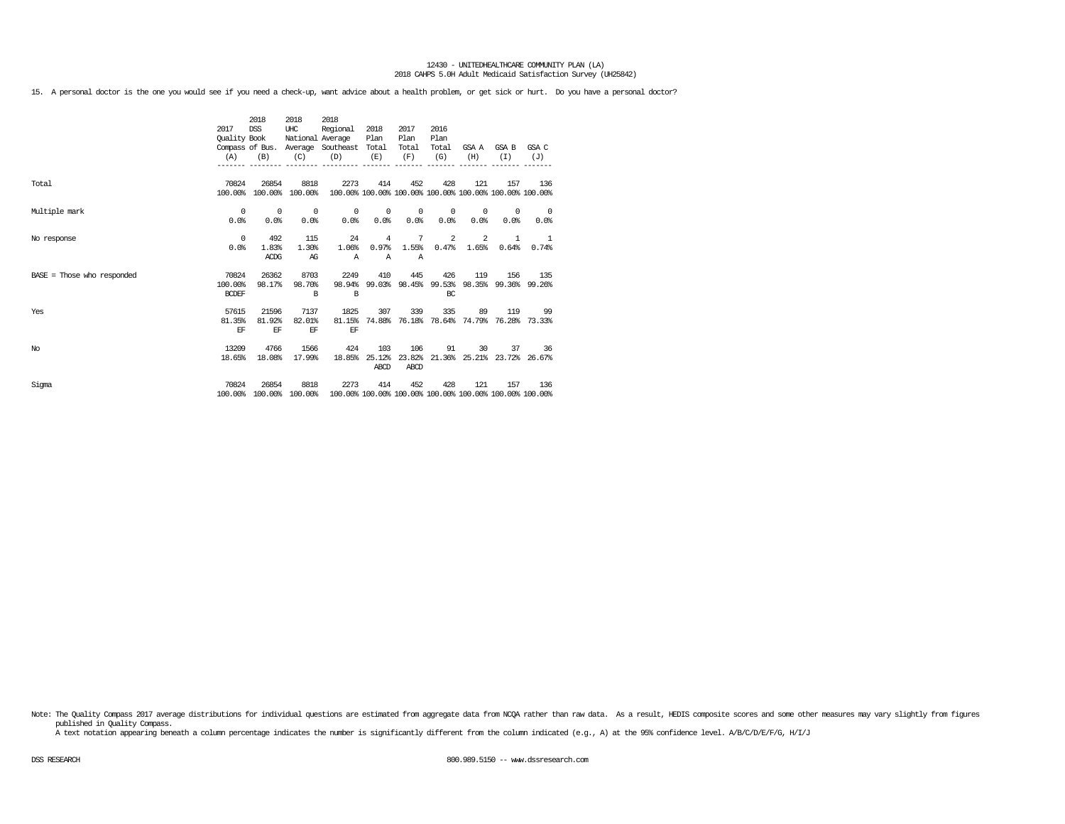15. A personal doctor is the one you would see if you need a check-up, want advice about a health problem, or get sick or hurt. Do you have a personal doctor?

|                              | 2017         | 2018<br><b>DSS</b>      | 2018<br>UHC      | 2018<br>Regional                        | 2018           | 2017           | 2016                 |            |                                                         |                          |
|------------------------------|--------------|-------------------------|------------------|-----------------------------------------|----------------|----------------|----------------------|------------|---------------------------------------------------------|--------------------------|
|                              | Quality Book |                         | National Average |                                         | Plan           | Plan           | Plan                 |            |                                                         |                          |
|                              |              |                         |                  | Compass of Bus. Average Southeast Total |                | Total          | Total                | GSA A      | GSA B                                                   | GSA C                    |
|                              | (A)          | (B)                     | (C)              | (D)                                     | (E)            | (F)            | (G)                  | (H)        | (T)                                                     | (J)                      |
|                              |              |                         |                  |                                         |                |                |                      |            |                                                         |                          |
|                              |              |                         |                  |                                         |                |                |                      |            |                                                         |                          |
| Total                        | 70824        | 26854                   | 8818             | 2273                                    | 414            | 452            | 428                  | 121        | 157                                                     | 136                      |
|                              | 100.00%      |                         | 100.00% 100.00%  |                                         |                |                |                      |            | 100.00% 100.00% 100.00% 100.00% 100.00% 100.00% 100.00% |                          |
|                              |              |                         |                  |                                         |                |                |                      |            |                                                         |                          |
| Multiple mark                | $^{\circ}$   | $\circ$                 | $^{\circ}$       | $\circ$                                 | $\overline{0}$ | $\overline{0}$ | $^{\circ}$           | $^{\circ}$ | $^{\circ}$                                              | $\overline{\phantom{0}}$ |
|                              | 0.0%         | 0.0%                    | 0.0%             | 0.0%                                    | 0.0%           | 0.0%           | 0.0%                 | 0.0%       | 0.0%                                                    | 0.0%                     |
|                              | $^{\circ}$   | 492                     | 115              | 24                                      | $\overline{4}$ | 7              | 2                    | 2          | 1                                                       |                          |
| No response                  | 0.0%         | 1.83%                   | 1.30%            | 1.06%                                   | 0.97%          | 1.55%          | 0.47%                | 1.65%      | 0.64%                                                   | $\overline{1}$<br>0.74%  |
|                              |              | <b>ACDG</b>             | AG               | $\mathbb{A}$                            | $\mathbb{A}$   | A              |                      |            |                                                         |                          |
|                              |              |                         |                  |                                         |                |                |                      |            |                                                         |                          |
| $BASE = Those who responded$ | 70824        | 26362                   | 8703             | 2249                                    | 410            | 445            | 426                  | 119        | 156                                                     | 135                      |
|                              | 100.00%      | 98.17%                  | 98.70%           | 98.94%                                  |                |                | 99.03% 98.45% 99.53% |            | 98.35% 99.36% 99.26%                                    |                          |
|                              | <b>BCDEF</b> |                         | <sub>R</sub>     | B                                       |                |                | BC                   |            |                                                         |                          |
|                              |              |                         |                  |                                         |                |                |                      |            |                                                         |                          |
| Yes                          | 57615        | 21596                   | 7137             | 1825                                    | 307            | 339            | 335                  | 89         | 119                                                     | 99                       |
|                              | 81.35%       | 81.92%                  | 82.01%           | 81.15%                                  | 74.88%         |                |                      |            | 76.18% 78.64% 74.79% 76.28% 73.33%                      |                          |
|                              | EF           | EF                      | EF               | EF                                      |                |                |                      |            |                                                         |                          |
| No                           | 13209        | 4766                    | 1566             | 424                                     | 103            | 106            | 91                   |            | $30 -$<br>37                                            | 36                       |
|                              | 18.65%       | 18.08%                  | 17.99%           | 18.85%                                  | 25.12%         |                |                      |            | 23.82% 21.36% 25.21% 23.72% 26.67%                      |                          |
|                              |              |                         |                  |                                         | ABCD           | ABCD           |                      |            |                                                         |                          |
|                              |              |                         |                  |                                         |                |                |                      |            |                                                         |                          |
| Sigma                        | 70824        | 26854                   | 8818             | 2273                                    | 414            | 452            | 428                  | 121        | 157                                                     | 136                      |
|                              |              | 100.00% 100.00% 100.00% |                  |                                         |                |                |                      |            | 100.00% 100.00% 100.00% 100.00% 100.00% 100.00% 100.00% |                          |

Note: The Quality Compass 2017 average distributions for individual questions are estimated from aggregate data from NCQA rather than raw data. As a result, HEDIS composite scores and some other measures may vary slightly published in Quality Compass.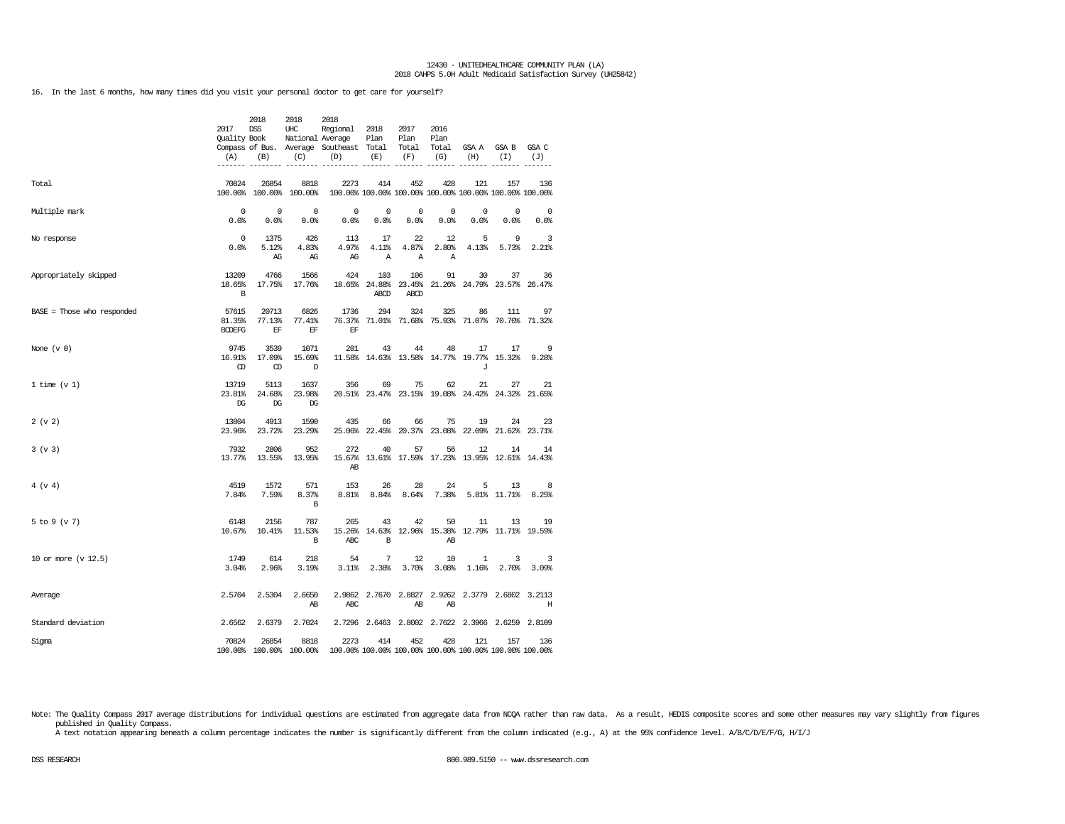16. In the last 6 months, how many times did you visit your personal doctor to get care for yourself?

|                            | 2017<br>Quality Book<br>(A)<br>------- | 2018<br><b>DSS</b><br>(B)        | 2018<br>UHC<br>National Average<br>(C) | 2018<br>Regional<br>Compass of Bus. Average Southeast Total<br>(D) | 2018<br>Plan<br>(E)         | 2017<br>Plan<br>Total<br>(F)        | 2016<br>Plan<br>Total<br>(G)      | GSA A<br>(H)                                                   | GSA B<br>(I)               | GSA C<br>(J)<br>------ |
|----------------------------|----------------------------------------|----------------------------------|----------------------------------------|--------------------------------------------------------------------|-----------------------------|-------------------------------------|-----------------------------------|----------------------------------------------------------------|----------------------------|------------------------|
| Total                      | 70824                                  | 26854<br>100.00% 100.00%         | 8818<br>100.00%                        | 2273                                                               | 414                         | 452                                 | 428                               | 121<br>100.00% 100.00% 100.00% 100.00% 100.00% 100.00% 100.00% | 157                        | 136                    |
| Multiple mark              | 0<br>0.0%                              | 0<br>0.0%                        | 0<br>0.0%                              | 0<br>0.0%                                                          | 0<br>0.0%                   | 0<br>0.0%                           | 0<br>0.0%                         | 0<br>0.0%                                                      | 0<br>0.0%                  | 0<br>0.0%              |
| No response                | $\Omega$<br>0.0%                       | 1375<br>5.12%<br>AG              | 426<br>4.83%<br>AG                     | 113<br>4.97%<br>AG                                                 | 17<br>4.11%<br>$\mathbb{A}$ | 22<br>4.87%<br>$\mathbb{A}$         | 12<br>2.80%<br>$\mathbb{A}$       | 5<br>4.13%                                                     | 9<br>5.73%                 | 3<br>2.21%             |
| Appropriately skipped      | 13209<br>18.65%<br>B                   | 4766<br>17.75%                   | 1566<br>17.76%                         | 424                                                                | 103<br>ABCD                 | 106<br>18.65% 24.88% 23.45%<br>ABCD | 91                                | 30<br>21.26% 24.79% 23.57%                                     | 37                         | 36<br>26.47%           |
| BASE = Those who responded | 57615<br>81.35%<br><b>BCDEFG</b>       | 20713<br>77.13%<br>EF            | 6826<br>77.41%<br>EF                   | 1736<br>76.37%<br>EF                                               | 294<br>71.01%               | 324<br>71.68%                       | 325<br>75.93%                     | 86<br>71.07%                                                   | 111<br>70.70%              | 97<br>71.32%           |
| None $(v 0)$               | 9745<br>16.91%<br>CD                   | 3539<br>17.09%<br>CD             | 1071<br>15.69%<br>D                    | 201                                                                | 43                          | 44<br>11.58% 14.63% 13.58%          | 48                                | 17<br>14.77% 19.77%<br>J                                       | 17<br>15.32%               | 9<br>9.28%             |
| 1 time $(v 1)$             | 13719<br>23.81%<br>DG                  | 5113<br>24.68%<br>DG             | 1637<br>23.98%<br>DG                   | 356                                                                | 69                          | 75                                  | 62<br>20.51% 23.47% 23.15% 19.08% | 21<br>24.42%                                                   | 27<br>24.32%               | 21<br>21.65%           |
| 2 (v 2)                    | 13804<br>23.96%                        | 4913<br>23.72%                   | 1590<br>23.29%                         | 435<br>25.06%                                                      | 66<br>22.45%                | 66<br>20.37%                        | 75<br>23.08%                      | 19<br>22.09%                                                   | 24<br>21.62%               | 23<br>23.71%           |
| 3 (v 3)                    | 7932<br>13.77%                         | 2806<br>13.55%                   | 952<br>13.95%                          | 272<br>15.67%<br>AB                                                | 40                          | 57<br>13.61% 17.59%                 | 56<br>17.23%                      | 12<br>13.95% 12.61%                                            | 14                         | 14<br>14.43%           |
| 4 (v 4)                    | 4519<br>7.84%                          | 1572<br>7.59%                    | 571<br>8.37%<br>B                      | 153<br>8.81%                                                       | 26<br>8.84%                 | 28<br>8.64%                         | 24<br>7.38%                       | 5                                                              | 13<br>5.81% 11.71%         | 8<br>8.25%             |
| 5 to 9 (v 7)               | 6148<br>10.67%                         | 2156<br>10.41%                   | 787<br>11.53%<br>B                     | 265<br>15.26%<br>ABC                                               | 43<br>14.63%<br>B           | 42                                  | 50<br>12.96% 15.38%<br>AB         | 11                                                             | 13<br>12.79% 11.71% 19.59% | 19                     |
| 10 or more (v 12.5)        | 1749<br>3.04%                          | 614<br>2.96%                     | 218<br>3.19%                           | 54<br>3.11%                                                        | 7<br>2.38%                  | 12<br>3.70%                         | 10<br>3.08%                       | 1<br>1.16%                                                     | 3<br>2.70%                 | 3<br>3.09%             |
| Average                    | 2.5704                                 | 2.5304                           | 2.6650<br>AB                           | 2.9862<br>ABC                                                      |                             | 2.7670 2.8827<br>AB                 | 2.9262<br>AB                      |                                                                | 2.3779 2.6802              | 3.2113<br>Н            |
| Standard deviation         | 2.6562                                 | 2.6379                           | 2.7024                                 |                                                                    |                             |                                     |                                   | 2.7296 2.6463 2.8002 2.7622 2.3966 2.6259 2.8109               |                            |                        |
| Sigma                      | 70824                                  | 26854<br>100.00% 100.00% 100.00% | 8818                                   | 2273                                                               | 414                         | 452                                 | 428                               | 121<br>100.00% 100.00% 100.00% 100.00% 100.00% 100.00% 100.00% | 157                        | 136                    |

Note: The Quality Compass 2017 average distributions for individual questions are estimated from aggregate data from NCQA rather than raw data. As a result, HEDIS composite scores and some other measures may vary slightly published in Quality Compass.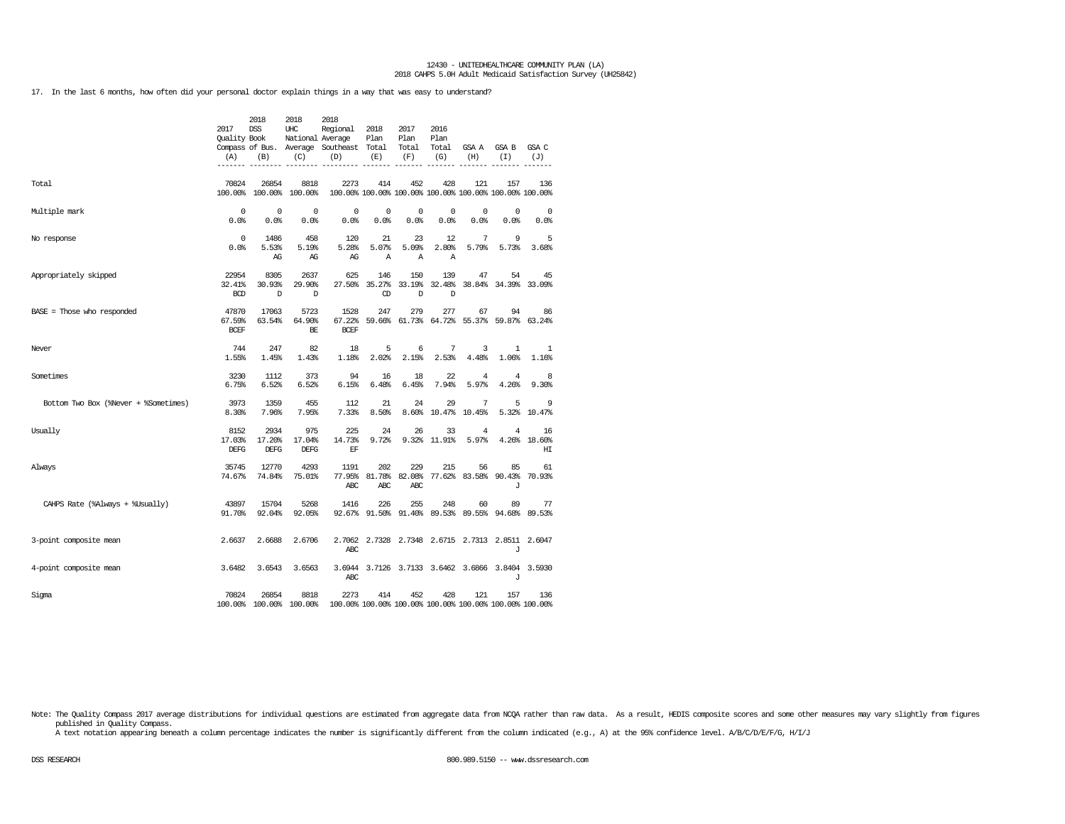17. In the last 6 months, how often did your personal doctor explain things in a way that was easy to understand?

|                                      | 2017<br><b>Ouality Book</b><br>(A) | 2018<br>DSS<br>(B)            | 2018<br>UHC<br>National Average<br>(C) | 2018<br>Regional<br>Compass of Bus. Average Southeast Total<br>(D) | 2018<br>Plan<br>(E)         | 2017<br>Plan<br>Total<br>(F)     | 2016<br>Plan<br>Total<br>(G) | GSA A<br>(H)            | GSA B<br>(T)                                                   | GSA C<br>(J)             |
|--------------------------------------|------------------------------------|-------------------------------|----------------------------------------|--------------------------------------------------------------------|-----------------------------|----------------------------------|------------------------------|-------------------------|----------------------------------------------------------------|--------------------------|
| Total                                | 70824                              | 26854                         | 8818<br>100.00% 100.00% 100.00%        | 2273                                                               | 414                         | 452                              | 428                          | 121                     | 157<br>100.00% 100.00% 100.00% 100.00% 100.00% 100.00% 100.00% | 136                      |
| Multiple mark                        | $^{\circ}$<br>0.0%                 | $^{\circ}$<br>0.0%            | $^{\circ}$<br>0.0                      | 0<br>0.0%                                                          | $\mathbf 0$<br>0.0%         | 0<br>0.0%                        | 0<br>0.0%                    | 0<br>0.0%               | 0<br>0.0%                                                      | $\overline{0}$<br>0.0%   |
| No response                          | $^{\circ}$<br>0.0%                 | 1486<br>5.53%<br>AG           | 458<br>5.19%<br>AG                     | 120<br>5.28%<br>AG                                                 | 21<br>5.07%<br>$\mathbb{A}$ | 23<br>5.09%<br>$\mathbb{A}$      | 12<br>2.80%<br>Α             | 7<br>5.79%              | 9<br>5.73%                                                     | 5<br>3.68%               |
| Appropriately skipped                | 22954<br>32.41%<br><b>BCD</b>      | 8305<br>30.93%<br>D           | 2637<br>29.90%<br>D                    | 625                                                                | 146<br>CD                   | 150<br>27.50% 35.27% 33.19%<br>D | 139<br>32.48%<br>D           | 47                      | 54<br>38.84% 34.39% 33.09%                                     | 45                       |
| BASE = Those who responded           | 47870<br>67.59%<br><b>BCEF</b>     | 17063<br>63.54%               | 5723<br>64.90%<br>BE                   | 1528<br>67.22%<br><b>BCEF</b>                                      | 247                         | 279                              | 277                          | 67                      | 94<br>59.66% 61.73% 64.72% 55.37% 59.87% 63.24%                | 86                       |
| Never                                | 744<br>1.55%                       | 247<br>1.45%                  | 82<br>1.43%                            | 18<br>1.18%                                                        | 5<br>2.02%                  | 6<br>2.15%                       | 7<br>2.53%                   | 3<br>4.48%              | 1<br>1.06%                                                     | 1<br>1.16%               |
| Sometimes                            | 3230<br>6.75%                      | 1112<br>6.52%                 | 373<br>6.52%                           | 94<br>6.15%                                                        | 16<br>6.48%                 | 18<br>6.45%                      | 22<br>7.94%                  | $\overline{4}$<br>5.97% | 4<br>4.26%                                                     | 8<br>9.30%               |
| Bottom Two Box (%Never + %Sometimes) | 3973<br>8.30%                      | 1359<br>7.96%                 | 455<br>7.95%                           | 112<br>7.33%                                                       | 21<br>8.50%                 | 24<br>8.60%                      | 29<br>10.47%                 | 7<br>10.45%             | 5<br>5.32%                                                     | 9<br>10.47%              |
| Usually                              | 8152<br>17.03%<br><b>DEFG</b>      | 2934<br>17.20%<br><b>DEFG</b> | 975<br>17.04%<br><b>DEFG</b>           | 225<br>14.73%<br>EF                                                | 24<br>9.72%                 | 26                               | 33<br>9.32% 11.91%           | 4<br>5.97%              | 4                                                              | 16<br>4.26% 18.60%<br>HI |
| Always                               | 35745<br>74.67%                    | 12770<br>74.84%               | 4293<br>75.01%                         | 1191<br>77.95%<br>ABC                                              | 202<br>ABC                  | 229<br>ABC                       | 215                          | 56                      | 85<br>81.78% 82.08% 77.62% 83.58% 90.43%<br>J                  | 61<br>70.93%             |
| CAHPS Rate (%Always + %Usually)      | 43897<br>91.70%                    | 15704<br>92.04%               | 5268<br>92.05%                         | 1416                                                               | 226                         | 255                              | 248                          | 60                      | 89<br>92.67% 91.50% 91.40% 89.53% 89.55% 94.68% 89.53%         | 77                       |
| 3-point composite mean               | 2.6637                             | 2.6688                        | 2.6706                                 | ABC                                                                |                             |                                  |                              |                         | 2.7062 2.7328 2.7348 2.6715 2.7313 2.8511 2.6047<br>J          |                          |
| 4-point composite mean               | 3.6482                             | 3.6543                        | 3.6563                                 | ABC                                                                |                             |                                  |                              |                         | 3.6944 3.7126 3.7133 3.6462 3.6866 3.8404 3.5930<br>J          |                          |
| Sigma                                | 70824                              | 26854                         | 8818<br>100.00% 100.00% 100.00%        | 2273                                                               | 414                         | 452                              | 428                          | 121                     | 157<br>100.00% 100.00% 100.00% 100.00% 100.00% 100.00% 100.00% | 136                      |

Note: The Quality Compass 2017 average distributions for individual questions are estimated from aggregate data from NCQA rather than raw data. As a result, HEDIS composite scores and some other measures may vary slightly published in Quality Compass.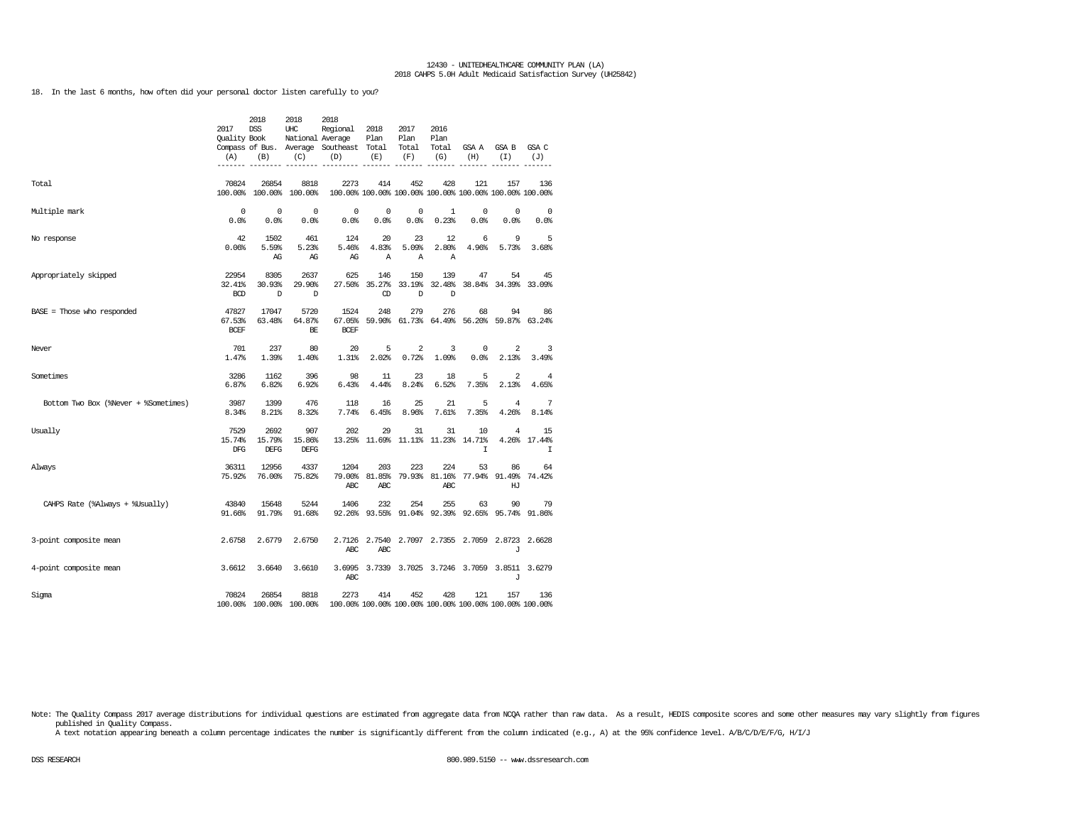18. In the last 6 months, how often did your personal doctor listen carefully to you?

|                                      | 2017<br><b>Ouality Book</b><br>(A) | 2018<br><b>DSS</b><br>(B) | 2018<br>UHC<br>National Average<br>(C) | 2018<br>Regional<br>Compass of Bus. Average Southeast Total<br>(D) | 2018<br>Plan<br>(E)  | 2017<br>Plan<br>Total<br>(F)             | 2016<br>Plan<br>Total<br>(G) | GSA A<br>(H) | GSA B<br>(I)                                                   | GSA C<br>(J)      |
|--------------------------------------|------------------------------------|---------------------------|----------------------------------------|--------------------------------------------------------------------|----------------------|------------------------------------------|------------------------------|--------------|----------------------------------------------------------------|-------------------|
|                                      |                                    |                           |                                        |                                                                    |                      |                                          |                              |              |                                                                |                   |
| Total                                | 70824                              | 26854                     | 8818<br>100.00% 100.00% 100.00%        | 2273                                                               | 414                  | 452                                      | 428                          | 121          | 157<br>100.00% 100.00% 100.00% 100.00% 100.00% 100.00% 100.00% | 136               |
| Multiple mark                        | $^{\circ}$<br>0.0%                 | $\mathbf 0$<br>0.0%       | $^{\circ}$<br>0.0%                     | 0<br>0.0%                                                          | 0<br>0.0%            | 0<br>0.0%                                | 1<br>0.23%                   | 0<br>0.0%    | $^{\circ}$<br>0.0%                                             | 0<br>0.0%         |
| No response                          | 42<br>0.06%                        | 1502<br>5.59%<br>AG       | 461<br>5.23%<br>AG                     | 124<br>5.46%<br>AG                                                 | 20<br>4.83%<br>Α     | 23<br>5.09%<br>$\mathbb{A}$              | 12<br>2.80%<br>Α             | 6<br>4.96%   | 9<br>5.73%                                                     | 5<br>3.68%        |
| Appropriately skipped                | 22954<br>32.41%<br><b>BCD</b>      | 8305<br>30.93%<br>D       | 2637<br>29.90%<br>D                    | 625<br>27.50%                                                      | 146<br>CD            | 150<br>35.27% 33.19%<br>D                | 139<br>32.48%<br>D           | 47           | 54<br>38.84% 34.39% 33.09%                                     | 45                |
| BASE = Those who responded           | 47827<br>67.53%<br><b>BCEF</b>     | 17047<br>63.48%           | 5720<br>64.87%<br>BE                   | 1524<br>67.05%<br><b>BCEF</b>                                      | 248                  | 279                                      | 276                          | 68           | 94<br>59.90% 61.73% 64.49% 56.20% 59.87% 63.24%                | 86                |
| Never                                | 701<br>1.47%                       | 237<br>1.39%              | 80<br>1.40%                            | 20<br>1.31%                                                        | 5<br>2.02%           | 2<br>0.72%                               | 3<br>1.09%                   | 0<br>0.0%    | 2<br>2.13%                                                     | 3<br>3.49%        |
| Sometimes                            | 3286<br>6.87%                      | 1162<br>6.82%             | 396<br>6.92%                           | 98<br>6.43%                                                        | 11<br>4.44%          | 23<br>8.24%                              | 18<br>6.52%                  | 5<br>7.35%   | 2<br>2.13%                                                     | 4<br>4.65%        |
| Bottom Two Box (%Never + %Sometimes) | 3987<br>8.34%                      | 1399<br>8.21%             | 476<br>8.32%                           | 118<br>7.74%                                                       | 16<br>6.45%          | 25<br>8.96%                              | 21<br>7.61%                  | 5<br>7.35%   | 4<br>4.26%                                                     | 7<br>8.14%        |
| Usually                              | 7529<br>15.74%<br>DFG              | 2692<br>15.79%<br>DEFG    | 907<br>15.86%<br><b>DEFG</b>           | 202                                                                | 29                   | 31<br>13.25% 11.69% 11.11% 11.23% 14.71% | 31                           | 10<br>I      | 4<br>4.26%                                                     | 15<br>17.44%<br>I |
| Always                               | 36311<br>75.92%                    | 12956<br>76.00%           | 4337<br>75.82%                         | 1204<br>79.00%<br>ABC                                              | 203<br>81.85%<br>ABC | 223<br>79.93%                            | 224<br>81.16%<br>ABC         | 53           | 86<br>77.94% 91.49%<br>HJ                                      | 64<br>74.42%      |
| CAHPS Rate (%Always + %Usually)      | 43840<br>91.66%                    | 15648<br>91.79%           | 5244<br>91.68%                         | 1406                                                               | 232                  | 254                                      | 255                          | 63           | 90<br>92.26% 93.55% 91.04% 92.39% 92.65% 95.74% 91.86%         | 79                |
| 3-point composite mean               | 2.6758                             | 2.6779                    | 2.6750                                 | 2.7126<br>ABC                                                      | 2.7540<br>ABC        |                                          |                              |              | 2.7097 2.7355 2.7059 2.8723 2.6628<br>J                        |                   |
| 4-point composite mean               | 3.6612                             | 3.6640                    | 3.6610                                 | 3.6995<br>ABC                                                      |                      |                                          |                              |              | 3.7339 3.7025 3.7246 3.7059 3.8511 3.6279<br>J                 |                   |
| Sigma                                | 70824                              | 26854                     | 8818<br>100.00% 100.00% 100.00%        | 2273                                                               | 414                  | 452                                      | 428                          | 121          | 157<br>100.00% 100.00% 100.00% 100.00% 100.00% 100.00% 100.00% | 136               |

Note: The Quality Compass 2017 average distributions for individual questions are estimated from aggregate data from NCQA rather than raw data. As a result, HEDIS composite scores and some other measures may vary slightly published in Quality Compass.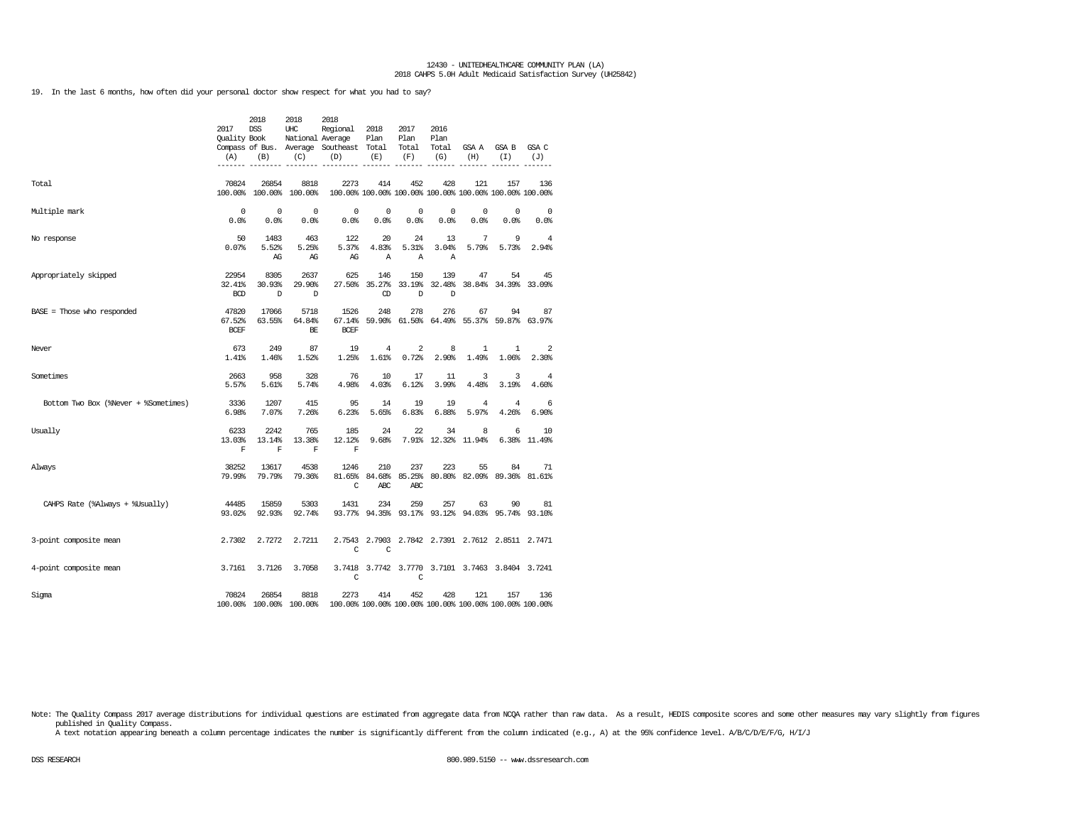19. In the last 6 months, how often did your personal doctor show respect for what you had to say?

|                                      | 2017<br><b>Ouality Book</b><br>(A) | 2018<br><b>DSS</b><br>(B)     | 2018<br>UHC<br>National Average<br>(C) | 2018<br>Regional<br>Compass of Bus. Average Southeast Total<br>(D) | 2018<br>Plan<br>(E)  | 2017<br>Plan<br>Total<br>(F) | 2016<br>Plan<br>Total<br>(G) | GSA A<br>(H)                                                   | GSA B<br>(I)               | GSA C<br>(J) |
|--------------------------------------|------------------------------------|-------------------------------|----------------------------------------|--------------------------------------------------------------------|----------------------|------------------------------|------------------------------|----------------------------------------------------------------|----------------------------|--------------|
|                                      |                                    |                               |                                        |                                                                    |                      |                              |                              |                                                                |                            |              |
| Total                                | 70824                              | 26854                         | 8818<br>100.00% 100.00% 100.00%        | 2273                                                               | 414                  | 452                          | 428                          | 121<br>100.00% 100.00% 100.00% 100.00% 100.00% 100.00% 100.00% | 157                        | 136          |
| Multiple mark                        | 0<br>0.0%                          | $^{\circ}$<br>0.0%            | $\mathbf 0$<br>0.0%                    | $\mathbf 0$<br>0.0%                                                | $^{\circ}$<br>0.0%   | $^{\circ}$<br>0.0%           | $^{\circ}$<br>0.0%           | $\mathbf 0$<br>0.0%                                            | $\mathbf 0$<br>0.0%        | 0<br>0.0%    |
| No response                          | 50<br>0.07%                        | 1483<br>5.52%<br>AG           | 463<br>5.25%<br>AG                     | 122<br>5.37%<br>AG                                                 | 20<br>4.83%<br>Α     | 24<br>5.31%<br>Α             | 13<br>3.04%<br>Α             | 7<br>5.79%                                                     | 9<br>5.73%                 | 4<br>2.94%   |
| Appropriately skipped                | 22954<br>32.41%<br><b>BCD</b>      | 8305<br>30.93%<br>D           | 2637<br>29.90%<br>D                    | 625<br>27.50%                                                      | 146<br>$\circled{D}$ | 150<br>35.27% 33.19%<br>D    | 139<br>32.48%<br>D           | 47                                                             | 54<br>38.84% 34.39% 33.09% | 45           |
| BASE = Those who responded           | 47820<br>67.52%<br><b>BCEF</b>     | 17066<br>63.55%               | 5718<br>64.84%<br>BE                   | 1526<br>67.14%<br><b>BCEF</b>                                      | 248                  | 278                          | 276                          | 67<br>59.90% 61.50% 64.49% 55.37% 59.87% 63.97%                | 94                         | 87           |
| Never                                | 673<br>1.41%                       | 249<br>1.46%                  | 87<br>1.52%                            | 19<br>1.25%                                                        | 4<br>1.61%           | 2<br>0.72%                   | 8<br>2.90%                   | $\mathbf{1}$<br>1.49%                                          | 1<br>1.06%                 | 2<br>2.30%   |
| Sometimes                            | 2663<br>5.57%                      | 958<br>5.61%                  | 328<br>5.74%                           | 76<br>4.98%                                                        | 10<br>4.03%          | 17<br>6.12%                  | 11<br>3.99%                  | 3<br>4.48%                                                     | 3<br>3.19%                 | 4<br>4.60%   |
| Bottom Two Box (%Never + %Sometimes) | 3336<br>6.98%                      | 1207<br>7.07%                 | 415<br>7.26%                           | 95<br>6.23%                                                        | 14<br>5.65%          | 19<br>6.83%                  | 19<br>6.88%                  | 4<br>5.97%                                                     | 4<br>4.26%                 | 6<br>6.90%   |
| Usually                              | 6233<br>13.03%<br>$\mathbf F$      | 2242<br>13.14%<br>$\mathbf F$ | 765<br>13.38%<br>$\mathbf F$           | 185<br>12.12%<br>$\mathbf F$                                       | 24<br>9.68%          | 22                           | 34<br>7.91% 12.32% 11.94%    | 8                                                              | 6<br>6.38%                 | 10<br>11.49% |
| Always                               | 38252<br>79.99%                    | 13617<br>79.79%               | 4538<br>79.36%                         | 1246<br>81.65%<br>C                                                | 210<br>ABC           | 237<br>84.68% 85.25%<br>ABC  | 223                          | 55<br>80.80% 82.09% 89.36% 81.61%                              | 84                         | 71           |
| CAHPS Rate (%Always + %Usually)      | 44485<br>93.02%                    | 15859<br>92.93%               | 5303<br>92.74%                         | 1431                                                               | 234                  | 259<br>93.77% 94.35% 93.17%  | 257                          | 63<br>93.12% 94.03% 95.74% 93.10%                              | 90                         | 81           |
| 3-point composite mean               | 2.7302                             | 2.7272                        | 2.7211                                 | C                                                                  | C                    |                              |                              | 2.7543 2.7903 2.7842 2.7391 2.7612 2.8511 2.7471               |                            |              |
| 4-point composite mean               | 3.7161                             | 3.7126                        | 3.7058                                 | C                                                                  |                      | 3.7418 3.7742 3.7770<br>C    |                              | 3.7101 3.7463 3.8404 3.7241                                    |                            |              |
| Sigma                                | 70824                              | 26854                         | 8818<br>100.00% 100.00% 100.00%        | 2273                                                               | 414                  | 452                          | 428                          | 121<br>100.00% 100.00% 100.00% 100.00% 100.00% 100.00% 100.00% | 157                        | 136          |

Note: The Quality Compass 2017 average distributions for individual questions are estimated from aggregate data from NCQA rather than raw data. As a result, HEDIS composite scores and some other measures may vary slightly published in Quality Compass.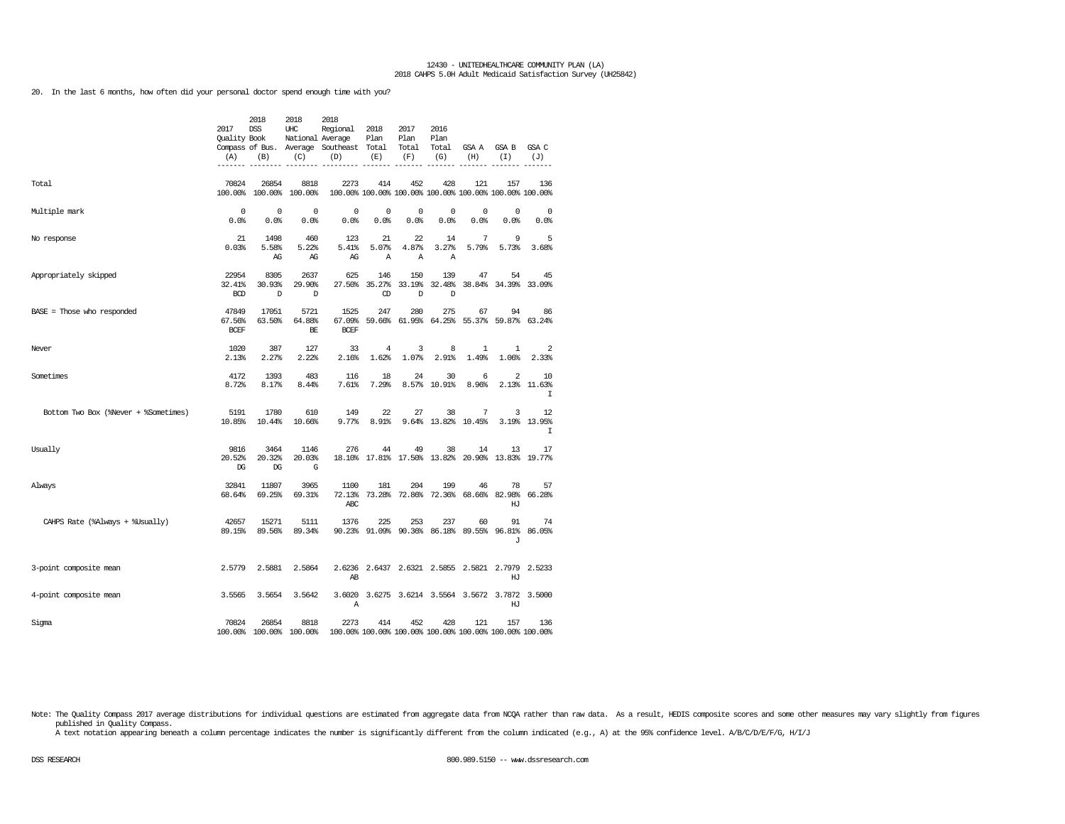20. In the last 6 months, how often did your personal doctor spend enough time with you?

|                                      | 2017<br>Quality Book<br>(A)    | 2018<br><b>DSS</b><br>(B)        | 2018<br>UHC<br>National Average<br>(C) | 2018<br>Regional<br>Compass of Bus. Average Southeast<br>(D) | 2018<br>Plan<br>Total<br>(E) | 2017<br>Plan<br>Total<br>(F) | 2016<br>Plan<br>Total<br>(G) | GSA A<br>(H)                       | GSA B<br>(T)                                                   | GSA C<br>(J)        |
|--------------------------------------|--------------------------------|----------------------------------|----------------------------------------|--------------------------------------------------------------|------------------------------|------------------------------|------------------------------|------------------------------------|----------------------------------------------------------------|---------------------|
| Total                                | 70824                          | 26854<br>100.00% 100.00% 100.00% | 8818                                   | 2273                                                         | 414                          | 452                          | 428                          | 121                                | 157<br>100.00% 100.00% 100.00% 100.00% 100.00% 100.00% 100.00% | 136                 |
| Multiple mark                        | $\mathbf 0$<br>0.0%            | $^{\circ}$<br>0.0%               | $\mathbf 0$<br>0.0%                    | $\mathsf 0$<br>0.0%                                          | 0<br>0.0                     | 0<br>0.0%                    | 0<br>0.0%                    | 0<br>0.0%                          | 0<br>0.0%                                                      | $\mathbf 0$<br>0.0% |
| No response                          | 21<br>0.03%                    | 1498<br>5.58%<br>AG              | 460<br>5.22%<br>AG                     | 123<br>5.41%<br>AG                                           | 21<br>5.07%<br>$\mathbb{A}$  | 22<br>4.87%<br>$\mathbb{A}$  | 14<br>3.27%<br>$\mathbb{A}$  | 7<br>5.79%                         | 9<br>5.73%                                                     | 5<br>3.68%          |
| Appropriately skipped                | 22954<br>32.41%<br><b>BCD</b>  | 8305<br>30.93%<br>D              | 2637<br>29.90%<br>$\mathbb{D}$         | 625<br>27.50%                                                | 146<br>35.27%<br>CD          | 150<br>33.19%<br>D           | 139<br>32.48%<br>D           | 47                                 | 54<br>38.84% 34.39%                                            | 45<br>33.09%        |
| $BASE = Those who responded$         | 47849<br>67.56%<br><b>BCEF</b> | 17051<br>63.50%                  | 5721<br>64.88%<br>BE                   | 1525<br>67.09%<br><b>BCEF</b>                                | 247<br>59.66%                | 280                          | 275<br>61.95% 64.25%         | 67<br>55.37%                       | 94<br>59.87%                                                   | 86<br>63.24%        |
| Never                                | 1020<br>2.13%                  | 387<br>2.27%                     | 127<br>2.22%                           | 33<br>2.16%                                                  | 4<br>1.62%                   | 3<br>1.07%                   | 8<br>2.91%                   | $\mathbf{1}$<br>1.49%              | $\mathbf{1}$<br>1.06%                                          | 2<br>2.33%          |
| Sometimes                            | 4172<br>8.72%                  | 1393<br>8.17%                    | 483<br>8.44%                           | 116<br>7.61%                                                 | 18<br>7.29%                  | 24<br>8.57%                  | 30<br>10.91%                 | 6<br>8.96%                         | $\overline{2}$<br>2.13%                                        | 10<br>11.63%<br>I   |
| Bottom Two Box (%Never + %Sometimes) | 5191<br>10.85%                 | 1780<br>10.44%                   | 610<br>10.66%                          | 149<br>9.77%                                                 | 22<br>8.91%                  | 27<br>9.64%                  | 38<br>13.82%                 | 7<br>10.45%                        | 3<br>3.19%                                                     | 12<br>13.95%<br>I   |
| Usually                              | 9816<br>20.52%<br>$_{\rm DG}$  | 3464<br>20.32%<br>$_{\rm DG}$    | 1146<br>20.03%<br>G                    | 276                                                          | 44                           | 49                           | 38                           | 14                                 | 13<br>18.10% 17.81% 17.50% 13.82% 20.90% 13.83% 19.77%         | 17                  |
| Always                               | 32841<br>68.64%                | 11807<br>69.25%                  | 3965<br>69.31%                         | 1100<br>72.13%<br>ABC                                        | 181                          | 204<br>73.28% 72.86%         | 199                          | 46<br>72.36% 68.66% 82.98%         | 78<br>HJ                                                       | 57<br>66.28%        |
| CAHPS Rate (%Always + %Usually)      | 42657<br>89.15%                | 15271<br>89.56%                  | 5111<br>89.34%                         | 1376                                                         | 225                          | 253<br>90.23% 91.09% 90.36%  | 237                          | 60<br>86.18% 89.55%                | 91<br>96.81%<br>J                                              | 74<br>86.05%        |
| 3-point composite mean               | 2.5779                         | 2.5881                           | 2.5864                                 | 2.6236<br>AВ                                                 |                              |                              |                              |                                    | 2.6437 2.6321 2.5855 2.5821 2.7979<br>HJ                       | 2.5233              |
| 4-point composite mean               | 3.5565                         | 3.5654                           | 3.5642                                 | 3.6020<br>Α                                                  |                              |                              |                              | 3.6275 3.6214 3.5564 3.5672 3.7872 | HJ                                                             | 3.5000              |
| Sigma                                | 70824                          | 26854<br>100.00% 100.00% 100.00% | 8818                                   | 2273                                                         | 414                          | 452                          | 428                          | 121                                | 157<br>100.00% 100.00% 100.00% 100.00% 100.00% 100.00% 100.00% | 136                 |

Note: The Quality Compass 2017 average distributions for individual questions are estimated from aggregate data from NCQA rather than raw data. As a result, HEDIS composite scores and some other measures may vary slightly published in Quality Compass.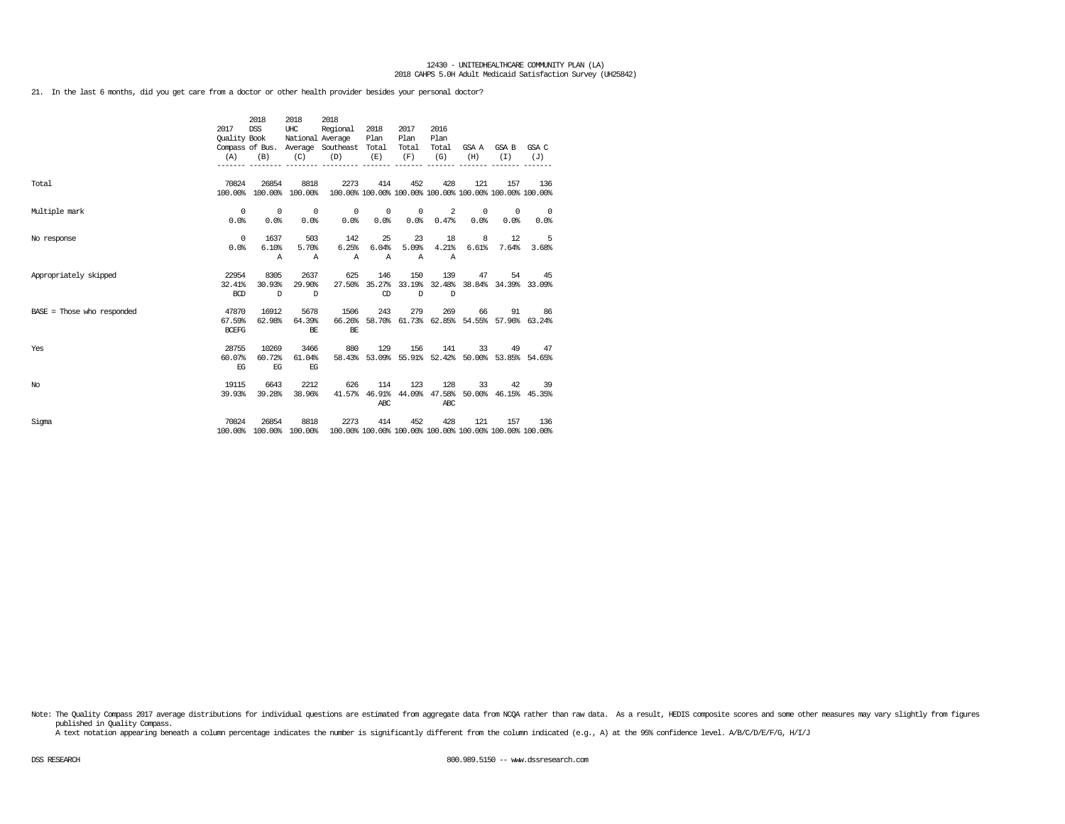21. In the last 6 months, did you get care from a doctor or other health provider besides your personal doctor?

|                              | 2017<br>Quality Book<br>(A)     | 2018<br>DSS<br>(B)             | 2018<br>UHC<br>(C)               | 2018<br>Regional<br>National Average<br>Compass of Bus. Average Southeast Total<br>(D)  | 2018<br>Plan<br>(E)         | 2017<br>Plan<br>Total<br>(F) | 2016<br>Plan<br>Total<br>(G)       | (H)             | GSA A GSA B GSA C<br>(T) | (J)                                                            |
|------------------------------|---------------------------------|--------------------------------|----------------------------------|-----------------------------------------------------------------------------------------|-----------------------------|------------------------------|------------------------------------|-----------------|--------------------------|----------------------------------------------------------------|
| Total                        | 70824                           | 26854                          | 8818<br>100.00% 100.00% 100.00%  | 2273                                                                                    | 414                         | 452                          | 428                                | 121             | 157                      | 136<br>100.00% 100.00% 100.00% 100.00% 100.00% 100.00% 100.00% |
| Multiple mark                | $^{\circ}$<br>0.0%              | $\sim$ 0<br>0.0%               | $\overline{\phantom{0}}$<br>0.0% | $\circ$<br>0.0%                                                                         | $\circ$<br>0.0%             | $\circ$<br>0.0%              | 2<br>0.47%                         | $\circ$<br>0.0% | $^{\circ}$<br>0.0%       | $\overline{\phantom{0}}$<br>0.0%                               |
| No response                  | $^{\circ}$<br>0.0%              | 1637<br>6.10%<br>$\mathbb{A}$  | 503<br>5.70%<br>$\mathbb{A}$     | 142<br>6.25%<br>$\mathbb{A}$                                                            | 25<br>6.04%<br>$\mathbb{A}$ | 23<br>5.09%<br>$\mathbb{A}$  | 18<br>4.21%<br>Α                   | 8<br>6.61%      | 12<br>7.64%              | $-5$<br>3.68%                                                  |
| Appropriately skipped        | 22954<br>32.41%<br><b>BCD</b>   | 8305<br>30.93%<br>$\mathbb{D}$ | 2637<br>29.90%<br>$\Box$         | 625                                                                                     | 146<br>CD                   | 150<br>$\mathbb{D}$          | 139<br>D                           | 47              | 54                       | -45<br>27.50% 35.27% 33.19% 32.48% 38.84% 34.39% 33.09%        |
| $BASE = Those who responded$ | 47870<br>67.59%<br><b>BCEFG</b> | 16912<br>62.98%                | 5678<br>64.39%<br>BE             | 1506<br>66.26%<br>BE                                                                    | 243                         | 279                          | 269                                |                 | 66<br>91                 | 86<br>58.70% 61.73% 62.85% 54.55% 57.96% 63.24%                |
| Yes                          | 28755<br>60.07%<br>EG           | 10269<br>60.72%<br>EG          | 3466<br>61.04%<br>EG             | 880                                                                                     | 129                         | 156                          | 141                                | 33              |                          | 49 47<br>58.43% 53.09% 55.91% 52.42% 50.00% 53.85% 54.65%      |
| No                           | 19115<br>39.93%                 | 6643<br>39.28%                 | 2212<br>38.96%                   | 626<br>41.57%                                                                           | 114<br>ABC                  | 123                          | 128<br>46.91% 44.09% 47.58%<br>ABC | 33              | 42                       | 39<br>50.00% 46.15% 45.35%                                     |
| Sigma                        | 70824                           | 26854                          | 8818                             | 2273<br>100.00% 100.00% 100.00% 100.00% 100.00% 100.00% 100.00% 100.00% 100.00% 100.00% | 414                         | 452                          | 428                                | 121             | 157                      | 136                                                            |

Note: The Quality Compass 2017 average distributions for individual questions are estimated from aggregate data from NOQA rather than raw data. As a result, HEDIS composite scores and some other measures may vary slightly published in Quality Compass.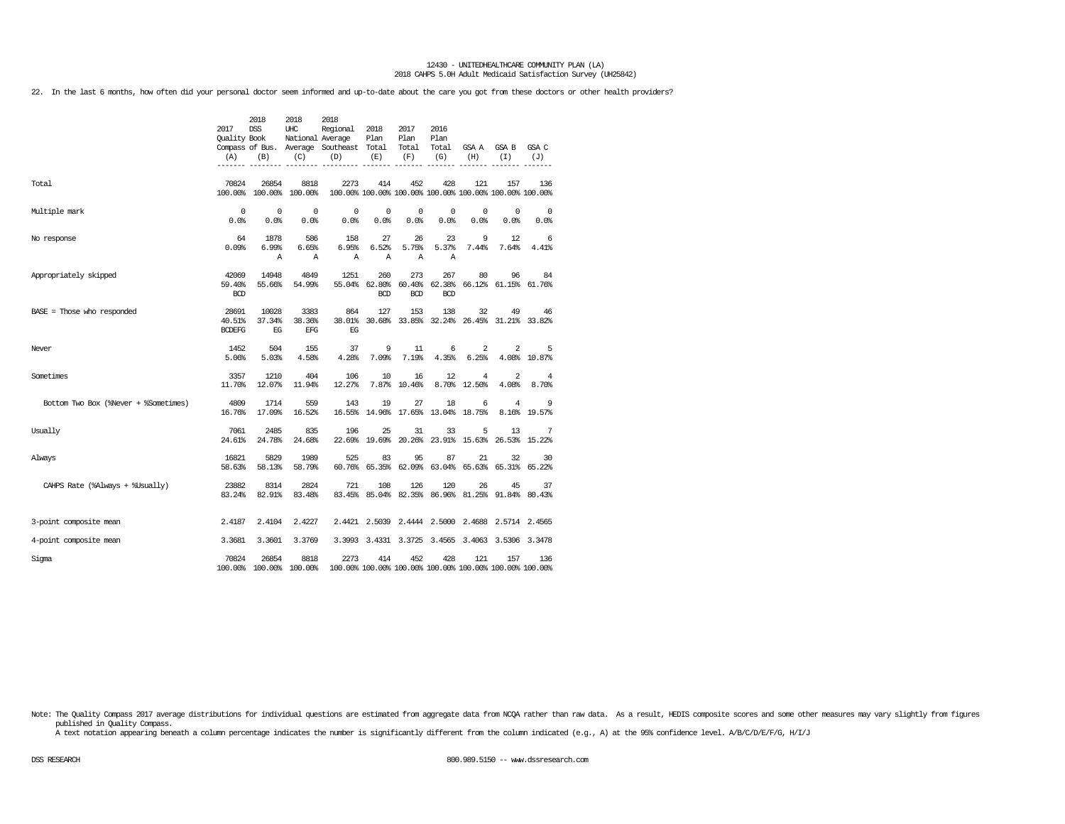22. In the last 6 months, how often did your personal doctor seem informed and up-to-date about the care you got from these doctors or other health providers?

|                                      |                      | 2018            | 2018                    | 2018                                    |                      |                                    |                      |                                |                                                         |              |
|--------------------------------------|----------------------|-----------------|-------------------------|-----------------------------------------|----------------------|------------------------------------|----------------------|--------------------------------|---------------------------------------------------------|--------------|
|                                      | 2017<br>Quality Book | <b>DSS</b>      | UHC<br>National Average | Regional                                | 2018<br>Plan         | 2017<br>Plan                       | 2016<br>Plan         |                                |                                                         |              |
|                                      |                      |                 |                         | Compass of Bus. Average Southeast Total |                      | Total                              | Total                | GSA A                          | GSA B                                                   | GSA C        |
|                                      | (A)                  | (B)             | (C)                     | (D)                                     | (E)                  | (F)                                | (G)                  | (H)                            | (T)                                                     | (J)          |
| Total                                | 70824                | 26854           | 8818                    | 2273                                    | 414                  | 452                                | 428                  | 121                            | 157                                                     | 136          |
|                                      |                      | 100.00% 100.00% | 100.00%                 |                                         |                      |                                    |                      |                                | 100.00% 100.00% 100.00% 100.00% 100.00% 100.00% 100.00% |              |
| Multiple mark                        | $\Omega$             | $^{\circ}$      | $\Omega$                | 0                                       | 0                    | 0                                  | 0                    | 0                              | 0                                                       | 0            |
|                                      | 0.0%                 | 0.0%            | 0.0%                    | 0.0%                                    | 0.0%                 | 0.0%                               | 0.0                  | 0.0%                           | 0.0%                                                    | 0.0%         |
| No response                          | 64<br>0.09%          | 1878<br>6.99%   | 586<br>6.65%            | 158<br>6.95%                            | 27<br>6.52%          | 26<br>5.75%                        | 23<br>5.37%          | 9<br>7.44%                     | 12<br>7.64%                                             | 6<br>4.41%   |
|                                      |                      | Α               | $\mathbb{A}$            | Α                                       | Α                    | $\mathbb{A}$                       | Α                    |                                |                                                         |              |
| Appropriately skipped                | 42069                | 14948           | 4849                    | 1251                                    | 260                  | 273                                | 267                  | 80                             | 96                                                      | 84           |
|                                      | 59.40%<br><b>BCD</b> | 55.66%          | 54.99%                  | 55.04%                                  | 62.80%<br><b>BCD</b> | 60.40%<br><b>BCD</b>               | 62.38%<br><b>BCD</b> |                                | 66.12% 61.15% 61.76%                                    |              |
|                                      |                      |                 |                         |                                         |                      |                                    |                      |                                |                                                         |              |
| BASE = Those who responded           | 28691<br>40.51%      | 10028<br>37.34% | 3383<br>38.36%          | 864<br>38.01%                           | 127                  | 153                                | 138                  | 32                             | 49<br>30.68% 33.85% 32.24% 26.45% 31.21% 33.82%         | 46           |
|                                      | <b>BCDEFG</b>        | EG              | EFG                     | EG                                      |                      |                                    |                      |                                |                                                         |              |
| Never                                | 1452                 | 504             | 155                     | 37                                      | 9                    | 11                                 | 6                    | 2                              | 2                                                       | 5            |
|                                      | 5.06%                | 5.03%           | 4.58%                   | 4.28%                                   | 7.09%                | 7.19%                              | 4.35%                | 6.25%                          |                                                         | 4.08% 10.87% |
| Sometimes                            | 3357<br>11.70%       | 1210<br>12.07%  | 404<br>11.94%           | 106<br>12.27%                           | 10<br>7.87%          | 16<br>10.46%                       | 12                   | $\overline{4}$<br>8.70% 12.50% | 2<br>4.08%                                              | 4<br>8.70%   |
|                                      |                      |                 |                         |                                         |                      |                                    |                      |                                |                                                         |              |
| Bottom Two Box (%Never + %Sometimes) | 4809<br>16.76%       | 1714<br>17.09%  | 559<br>16.52%           | 143<br>16.55%                           | 19<br>14.96%         | 27<br>17.65%                       | 18<br>13.04%         | 6<br>18.75%                    | 4<br>8.16%                                              | 9<br>19.57%  |
| Usually                              | 7061                 | 2485            | 835                     | 196                                     | 25                   | 31                                 | 33                   | 5                              | 13                                                      | 7            |
|                                      | 24.61%               | 24.78%          | 24.68%                  | 22.69%                                  | 19.69%               | 20.26%                             |                      | 23.91% 15.63%                  | 26.53%                                                  | 15.22%       |
| Always                               | 16821                | 5829            | 1989                    | 525                                     | 83                   | 95                                 | 87                   | 21                             | 32                                                      | 30           |
|                                      | 58.63%               | 58.13%          | 58.79%                  | 60.76%                                  |                      | 65.35% 62.09% 63.04% 65.63% 65.31% |                      |                                |                                                         | 65.22%       |
| CAHPS Rate (%Always + %Usually)      | 23882                | 8314            | 2824                    | 721                                     | 108                  | 126                                | 120                  | 26                             | 45                                                      | 37           |
|                                      | 83.24%               | 82.91%          | 83.48%                  |                                         |                      |                                    |                      |                                | 83.45% 85.04% 82.35% 86.96% 81.25% 91.84% 80.43%        |              |
| 3-point composite mean               | 2.4187               | 2.4104          | 2.4227                  |                                         |                      |                                    |                      |                                | 2.4421 2.5039 2.4444 2.5000 2.4688 2.5714 2.4565        |              |
| 4-point composite mean               | 3.3681               | 3.3601          | 3.3769                  |                                         |                      |                                    |                      |                                | 3.3993 3.4331 3.3725 3.4565 3.4063 3.5306 3.3478        |              |
| Sigma                                | 70824                | 26854           | 8818                    | 2273                                    | 414                  | 452                                | 428                  | 121                            | 157                                                     | 136          |
|                                      |                      |                 | 100.00% 100.00% 100.00% |                                         |                      |                                    |                      |                                | 100.00% 100.00% 100.00% 100.00% 100.00% 100.00% 100.00% |              |

Note: The Quality Compass 2017 average distributions for individual questions are estimated from aggregate data from NCQA rather than raw data. As a result, HEDIS composite scores and some other measures may vary slightly published in Quality Compass.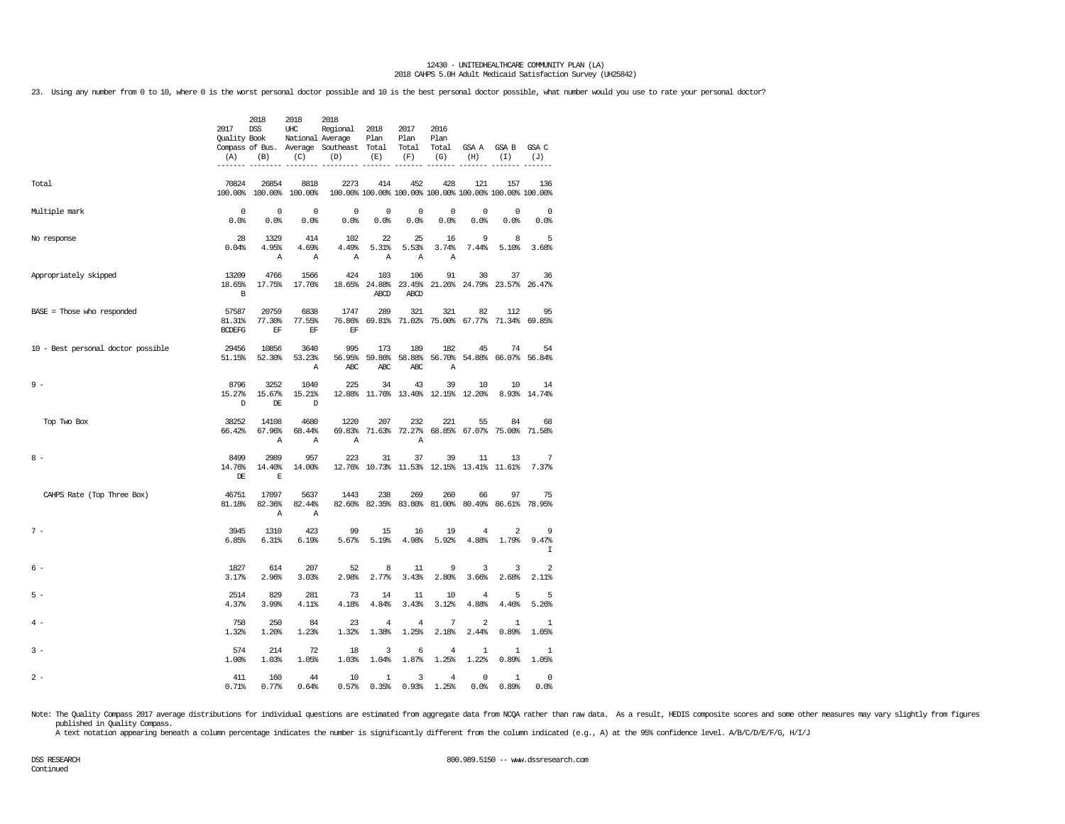23. Using any number from 0 to 10, where 0 is the worst personal doctor possible and 10 is the best personal doctor possible, what number would you use to rate your personal doctor?

|                                    | 2017<br>Quality Book<br>(A)<br>------- | 2018<br><b>DSS</b><br>(B)       | 2018<br>$_{\rm UHC}$<br>National Average<br>(C) | 2018<br>Regional<br>Compass of Bus. Average Southeast<br>(D)    | 2018<br>Plan<br>Total<br>(E) | 2017<br>Plan<br>Total<br>(F)                    | 2016<br>Plan<br>Total<br>(G) | GSA A<br>(H)       | GSA B<br>(I)                      | GSA C<br>(J)<br>------    |
|------------------------------------|----------------------------------------|---------------------------------|-------------------------------------------------|-----------------------------------------------------------------|------------------------------|-------------------------------------------------|------------------------------|--------------------|-----------------------------------|---------------------------|
| Total                              | 70824                                  | 26854<br>100.00% 100.00%        | 8818<br>100.00%                                 | 2273<br>100.00% 100.00% 100.00% 100.00% 100.00% 100.00% 100.00% | 414                          | 452                                             | 428                          | 121                | 157                               | 136                       |
| Multiple mark                      | $\mathbf 0$<br>0.0%                    | $\mathbf 0$<br>0.0%             | $^{\circ}$<br>0.0%                              | $\mathsf 0$<br>0.0%                                             | $\mathbf 0$<br>0.0%          | $\mathbf 0$<br>0.0%                             | $\mathbf 0$<br>0.0%          | 0<br>0.0%          | $\mathbf 0$<br>0.0%               | $\mathbf 0$<br>0.0%       |
| No response                        | 28<br>0.04%                            | 1329<br>4.95%<br>Α              | 414<br>4.69%<br>Α                               | 102<br>4.49%<br>Α                                               | 22<br>5.31%<br>Α             | 25<br>5.53%<br>Α                                | 16<br>3.74%<br>Α             | 9<br>7.44%         | 8<br>5.10%                        | 5<br>3.68%                |
| Appropriately skipped              | 13209<br>18.65%<br>$\, {\bf B}$        | 4766<br>17.75%                  | 1566<br>17.76%                                  | 424                                                             | 103<br>18.65% 24.88%<br>ABCD | 106<br>23.45%<br>ABCD                           | 91<br>21.26%                 | 30                 | 37<br>24.79% 23.57%               | 36<br>26.47%              |
| BASE = Those who responded         | 57587<br>81.31%<br><b>BCDEFG</b>       | 20759<br>77.30%<br>$\rm EF$     | 6838<br>77.55%<br>$\operatorname{EF}$           | 1747<br>76.86%<br>EF                                            | 289                          | 321<br>69.81% 71.02%                            | 321                          | 82                 | 112<br>75.00% 67.77% 71.34%       | 95<br>69.85%              |
| 10 - Best personal doctor possible | 29456<br>51.15%                        | 10856<br>52.30%                 | 3640<br>53.23%<br>Α                             | 995<br>56.95%<br>ABC                                            | 173<br>59.86%<br>ABC         | 189<br>58.88%<br>ABC                            | 182<br>56.70%<br>Α           | 45<br>54.88%       | 74<br>66.07%                      | 54<br>56.84%              |
| $9 -$                              | 8796<br>15.27%<br>D                    | 3252<br>15.67%<br>DE            | 1040<br>15.21%<br>D                             | 225<br>12.88%                                                   | 34                           | 43<br>11.76% 13.40%                             | 39<br>12.15% 12.20%          | 10                 | 10                                | 14<br>8.93% 14.74%        |
| Top Two Box                        | 38252<br>66.42%                        | 14108<br>67.96%<br>$\mathbb{A}$ | 4680<br>68.44%<br>$\mathbb{A}$                  | 1220<br>69.83%<br>$\mathbb{A}$                                  | 207                          | 232<br>71.63% 72.27%<br>A                       | 221                          | 55                 | 84<br>68.85% 67.07% 75.00% 71.58% | 68                        |
| $8 -$                              | 8499<br>14.76%<br>DE                   | 2989<br>14.40%<br>$\mathbb E$   | 957<br>14.00%                                   | 223                                                             | 31                           | 37<br>12.76% 10.73% 11.53% 12.15% 13.41% 11.61% | 39                           | 11                 | 13                                | $\boldsymbol{7}$<br>7.37% |
| CAHPS Rate (Top Three Box)         | 46751<br>81.18%                        | 17097<br>82.36%<br>Α            | 5637<br>82.44%<br>$\mathbb{A}$                  | 1443                                                            | 238<br>82.60% 82.35%         | 269<br>83.80%                                   | 260<br>81.00%                | 66<br>80.49%       | 97<br>86.61%                      | 75<br>78.95%              |
| $7 -$                              | 3945<br>6.85%                          | 1310<br>6.31%                   | 423<br>6.19%                                    | 99<br>5.67%                                                     | 15<br>5.19%                  | 16<br>4.98%                                     | 19<br>5.92%                  | 4<br>4.88%         | $\overline{2}$<br>1.79%           | 9<br>9.47%<br>I           |
| 6 -                                | 1827<br>3.17%                          | 614<br>2.96%                    | 207<br>3.03%                                    | 52<br>2.98%                                                     | 8<br>2.77%                   | 11<br>3.43%                                     | 9<br>2.80%                   | 3<br>3.66%         | 3<br>2.68%                        | $\overline{2}$<br>2.11%   |
| $5 -$                              | 2514<br>4.37%                          | 829<br>3.99%                    | 281<br>4.11%                                    | 73<br>4.18%                                                     | 14<br>4.84%                  | 11<br>3.43%                                     | 10<br>3.12%                  | 4<br>4.88%         | 5<br>4.46%                        | 5<br>5.26%                |
| $4 -$                              | 758<br>1.32%                           | 250<br>1.20%                    | 84<br>1.23%                                     | 23<br>1.32%                                                     | $\overline{4}$<br>1.38%      | $\overline{4}$<br>1.25%                         | 7<br>2.18%                   | 2<br>2.44%         | $\mathbf{1}$<br>0.89%             | $\mathbf{1}$<br>1.05%     |
| $3 -$                              | 574<br>1.00%                           | 214<br>1.03%                    | 72<br>1.05%                                     | 18<br>1.03%                                                     | 3<br>1.04%                   | 6<br>1.87%                                      | $\overline{4}$<br>1.25%      | 1<br>1.22%         | $\mathbf{1}$<br>0.89%             | 1<br>1.05%                |
| $2 -$                              | 411<br>0.71%                           | 160<br>0.77%                    | 44<br>0.64%                                     | 10<br>0.57%                                                     | 1<br>0.35%                   | 3<br>0.93%                                      | 4<br>1.25%                   | $^{\circ}$<br>0.0% | $\mathbf{1}$<br>0.89%             | $\mathbf 0$<br>0.0%       |

Note: The Quality Compass 2017 average distributions for individual questions are estimated from aggregate data from NCQA rather than raw data. As a result, HEDIS composite scores and some other measures may vary slightly published in Quality Compass.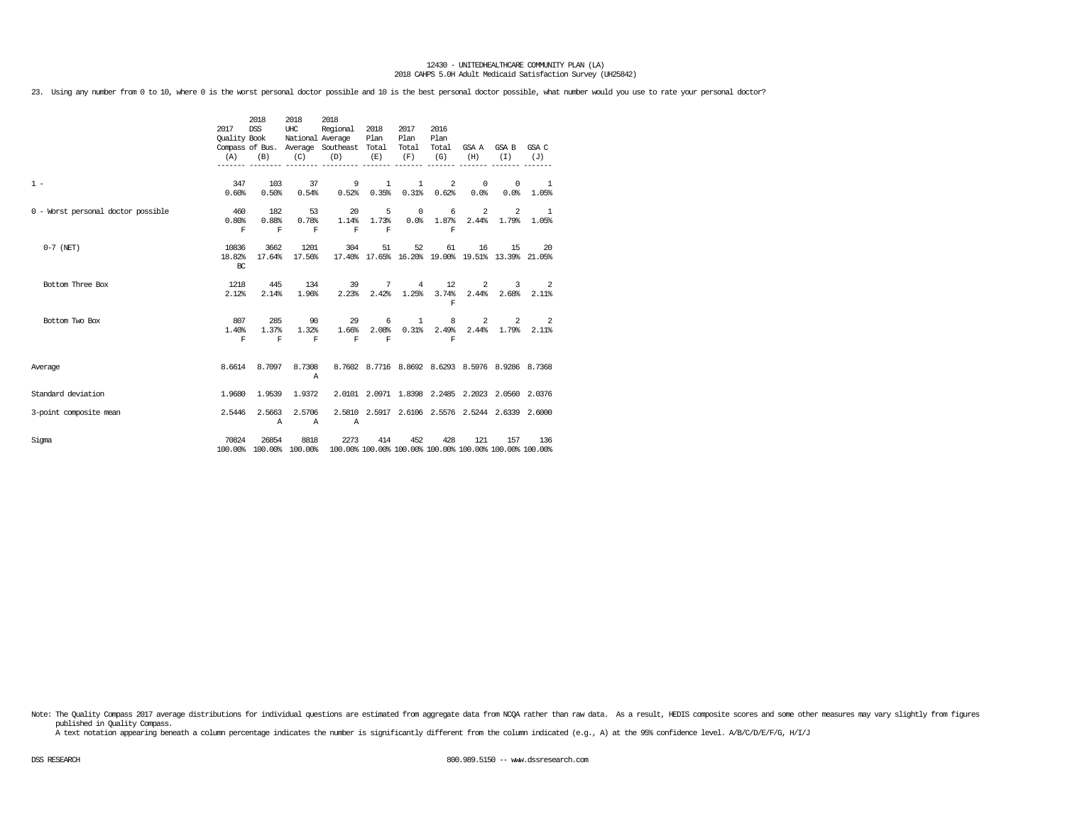23. Using any number from 0 to 10, where 0 is the worst personal doctor possible and 10 is the best personal doctor possible, what number would you use to rate your personal doctor?

|                                    | 2017<br><b>Ouality Book</b><br>(A) | 2018<br><b>DSS</b><br>(B)    | 2018<br>UHC<br>National Average<br>(C) | 2018<br>Regional<br>Compass of Bus. Average Southeast Total<br>(D)                      | 2018<br>Plan<br>(E)                        | 2017<br>Plan<br>Total<br>(F) | 2016<br>Plan<br>Total<br>(G)      | (H)                | GSA A GSA B<br>(T)                                                          | GSA C<br>(J)                                     |
|------------------------------------|------------------------------------|------------------------------|----------------------------------------|-----------------------------------------------------------------------------------------|--------------------------------------------|------------------------------|-----------------------------------|--------------------|-----------------------------------------------------------------------------|--------------------------------------------------|
| $1 -$                              | 347<br>0.60%                       | 103<br>0.50%                 | 37<br>0.54%                            | 9                                                                                       | $\mathbf{1}$<br>$0.52\%$ $0.35\%$ $0.31\%$ | $\mathbf{1}$                 | 2<br>0.62%                        | $^{\circ}$<br>0.0% | $^{\circ}$<br>0.0%                                                          | $\overline{\phantom{1}}$<br>1.05%                |
| 0 - Worst personal doctor possible | 460<br>0.80%<br>F                  | 182<br>0.88%<br>F            | 53<br>0.78%<br>$\mathbf{F}$            | 20<br>F                                                                                 | 5<br>1.14% 1.73%<br>F                      | $\overline{0}$               | 6<br>F                            | 2                  | 2<br>$0.0\%$ 1.87% 2.44% 1.79% 1.05%                                        | $\mathbf{1}$                                     |
| $0-7$ (NET)                        | 10836<br>18.82%<br>BC              | 3662<br>17.64%               | 1201<br>17.56%                         | 304                                                                                     | 51                                         | 52                           | 61                                | 16                 | 15<br>17.40% 17.65% 16.20% 19.00% 19.51% 13.39% 21.05%                      | 20                                               |
| Bottom Three Box                   | 1218<br>2.12%                      | 445<br>2.14%                 | 134<br>1.96%                           |                                                                                         | 39<br>$2.23\%$ $2.42\%$ $1.25\%$           |                              | 7 4 12<br>F                       |                    | $2^{\circ}$                                                                 | $3 \t 2$<br>3.74% 2.44% 2.68% 2.11%              |
| Bottom Two Box                     | 807<br>1.40%<br>F                  | 285<br>1.37%<br>$\mathbf{F}$ | 1.32%<br>$\mathbf{F}$                  | 90                                                                                      | 29<br>$F$ $F$ $F$                          | 6 1                          | 8<br><b>Particularly Property</b> |                    | $2 \left( \frac{1}{2} \right)$<br>1.66% 2.08% 0.31% 2.49% 2.44% 1.79% 2.11% | $2 \qquad \qquad 2$                              |
| Average                            | 8.6614                             |                              | 8.7097 8.7308<br>$\mathbb{A}$          |                                                                                         |                                            |                              |                                   |                    |                                                                             | 8.7602 8.7716 8.8692 8.6293 8.5976 8.9286 8.7368 |
| Standard deviation                 | 1,9680                             | 1.9539                       | 1.9372                                 |                                                                                         |                                            |                              |                                   |                    | 2.0101 2.0971 1.8398 2.2485 2.2023 2.0560 2.0376                            |                                                  |
| 3-point composite mean             | 2.5446                             | 2.5663<br>Α                  | 2.5706<br>$\mathbb{A}$                 | $\mathbb{A}$                                                                            |                                            |                              |                                   |                    | 2.5810 2.5917 2.6106 2.5576 2.5244 2.6339 2.6000                            |                                                  |
| Sigma                              | 70824                              | 26854                        | 8818                                   | 2273<br>100.00% 100.00% 100.00% 100.00% 100.00% 100.00% 100.00% 100.00% 100.00% 100.00% | 414                                        | 452                          | 428                               | 121                | 157                                                                         | 136                                              |

Note: The Quality Compass 2017 average distributions for individual questions are estimated from aggregate data from NCQA rather than raw data. As a result, HEDIS composite scores and some other measures may vary slightly published in Quality Compass.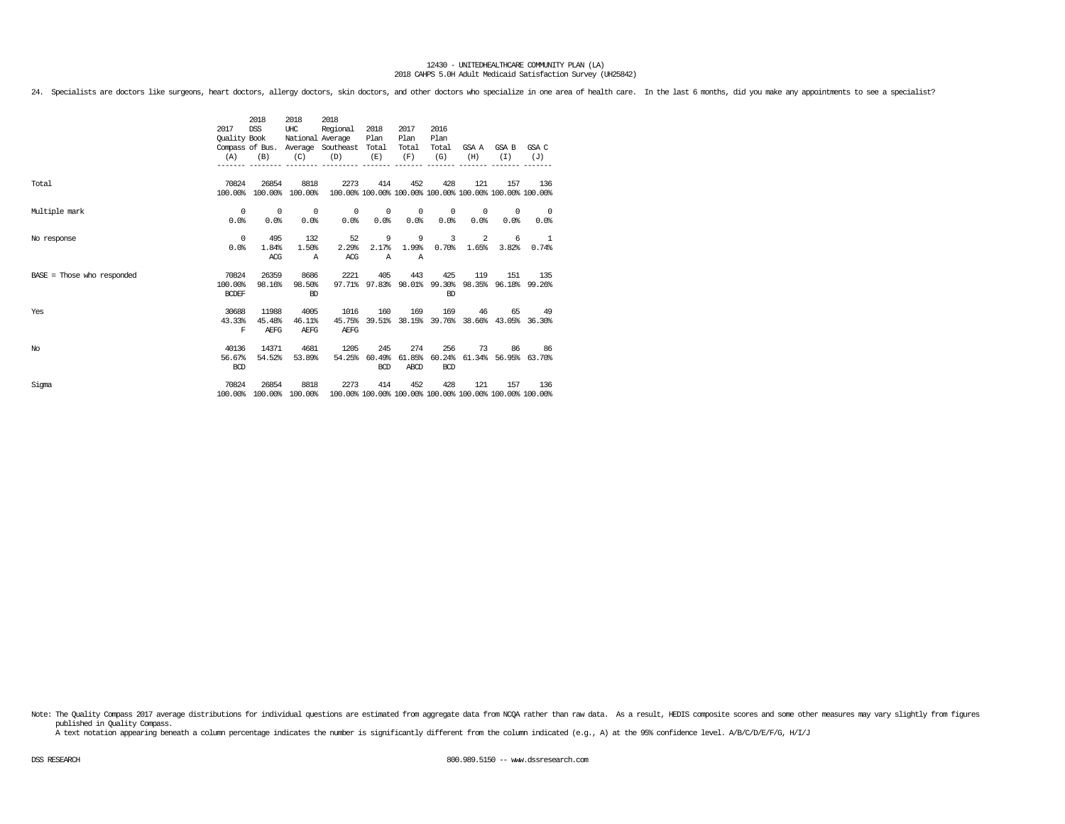24. Specialists are doctors like surgeons, heart doctors, allergy doctors, skin doctors, and other doctors who specialize in one area of health care. In the last 6 months, did you make any appointments to see a specialist?

|                              |              | 2018            | 2018             | 2018                                                    |            |            |                      |            |                                                         |                          |
|------------------------------|--------------|-----------------|------------------|---------------------------------------------------------|------------|------------|----------------------|------------|---------------------------------------------------------|--------------------------|
|                              | 2017         | <b>DSS</b>      | UHC              | Regional                                                | 2018       | 2017       | 2016                 |            |                                                         |                          |
|                              | Quality Book |                 | National Average |                                                         | Plan       | Plan       | Plan                 |            |                                                         |                          |
|                              |              | Compass of Bus. |                  | Average Southeast                                       | Total      | Total      | Total                | GSA A      | GSA B                                                   | GSA C                    |
|                              | (A)          | (B)             | (C)              | (D)                                                     | (E)        | (F)        | (G)                  | (H)        | (T)                                                     | (J)                      |
|                              |              |                 |                  |                                                         |            |            |                      |            |                                                         |                          |
|                              |              |                 |                  |                                                         |            |            |                      |            |                                                         |                          |
| Total                        | 70824        | 26854           | 8818             | 2273                                                    | 414        | 452        | 428                  | 121        | 157                                                     | 136                      |
|                              | 100.00%      |                 | 100.00% 100.00%  |                                                         |            |            |                      |            | 100.00% 100.00% 100.00% 100.00% 100.00% 100.00% 100.00% |                          |
| Multiple mark                | 0            | $^{\circ}$      | 0                | $^{\circ}$                                              | $^{\circ}$ | $^{\circ}$ | $^{\circ}$           | $^{\circ}$ | 0                                                       | $\overline{\phantom{0}}$ |
|                              | 0.0%         | 0.0%            | 0.0%             | 0.0%                                                    | 0.0%       | 0.0%       | 0.0%                 | 0.0%       | 0.0%                                                    | 0.0%                     |
|                              |              |                 |                  |                                                         |            |            |                      |            |                                                         |                          |
| No response                  | $^{\circ}$   | 495             | 132              | 52                                                      | 9          | 9          | 3                    | 2          | 6                                                       | <sup>1</sup>             |
|                              | 0.0%         | 1.84%           | 1.50%            | 2.29%                                                   | 2.17%      | 1.99%      | 0.70%                | 1.65%      | 3.82%                                                   | 0.74%                    |
|                              |              | ACG             | $\mathbb{A}$     | ACG                                                     | Α          | A          |                      |            |                                                         |                          |
|                              |              |                 |                  |                                                         |            |            |                      |            |                                                         |                          |
| $BASE = Those who responded$ | 70824        | 26359           | 8686             | 2221                                                    | 405        | 443        | 425                  | 119        | 151                                                     | 135                      |
|                              | 100.00%      | 98.16%          | 98.50%           | 97.71%                                                  |            |            | 97.83% 98.01% 99.30% |            | 98.35% 96.18% 99.26%                                    |                          |
|                              | <b>BCDEF</b> |                 | <b>RD</b>        |                                                         |            |            | <b>BD</b>            |            |                                                         |                          |
| Yes                          | 30688        | 11988           | 4005             | 1016                                                    | 160        | 169        | 169                  | 46         | 65                                                      | 49                       |
|                              | 43.33%       | 45.48%          | 46.11%           | 45.75%                                                  |            |            |                      |            | 39.51% 38.15% 39.76% 38.66% 43.05% 36.30%               |                          |
|                              | F            | AEFG            | <b>AEFG</b>      | AEFG                                                    |            |            |                      |            |                                                         |                          |
|                              |              |                 |                  |                                                         |            |            |                      |            |                                                         |                          |
| No                           | 40136        | 14371           | 4681             | 1205                                                    | 245        | 274        | 256                  | 73         | 86                                                      | 86                       |
|                              | 56.67%       | 54.52%          | 53.89%           | 54.25%                                                  | 60.49%     |            | 61.85% 60.24%        |            | 61.34% 56.95% 63.70%                                    |                          |
|                              | <b>BCD</b>   |                 |                  |                                                         | <b>BCD</b> | ABCD       | <b>BCD</b>           |            |                                                         |                          |
|                              |              |                 |                  |                                                         |            |            |                      |            |                                                         |                          |
| Sigma                        | 70824        | 26854           | 8818             | 2273                                                    | 414        | 452        | 428                  | 121        | 157                                                     | 136                      |
|                              | 100.00%      |                 | 100.00% 100.00%  | 100.00% 100.00% 100.00% 100.00% 100.00% 100.00% 100.00% |            |            |                      |            |                                                         |                          |

Note: The Quality Compass 2017 average distributions for individual questions are estimated from aggregate data from NCQA rather than raw data. As a result, HEDIS composite scores and some other measures may vary slightly published in Quality Compass.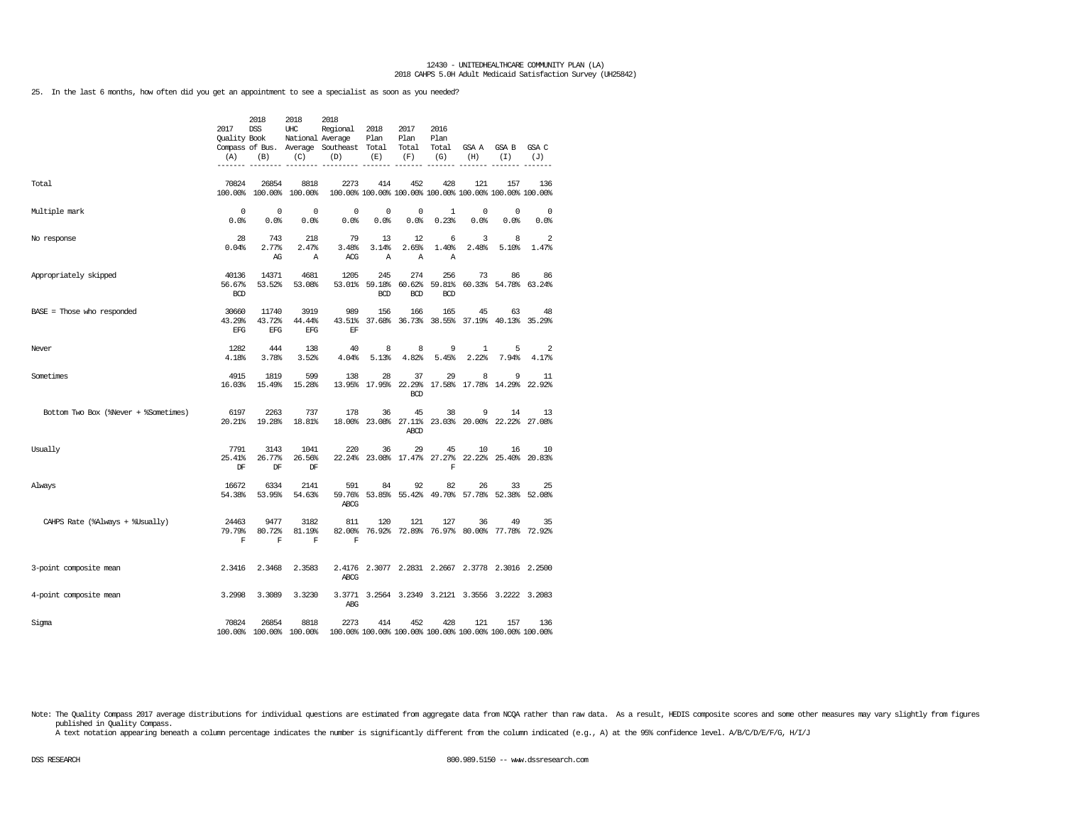25. In the last 6 months, how often did you get an appointment to see a specialist as soon as you needed?

|                                      | 2017<br><b>Ouality Book</b><br>(A) | 2018<br><b>DSS</b><br>(B)     | 2018<br>UHC<br>National Average<br>(C) | 2018<br>Regional<br>Compass of Bus. Average Southeast Total<br>(D) | 2018<br>Plan<br>(E)         | 2017<br>Plan<br>Total<br>(F)       | 2016<br>Plan<br>Total<br>(G) | GSA A<br>(H)                                                   | GSA B<br>(I)        | GSA C<br>(J)       |
|--------------------------------------|------------------------------------|-------------------------------|----------------------------------------|--------------------------------------------------------------------|-----------------------------|------------------------------------|------------------------------|----------------------------------------------------------------|---------------------|--------------------|
| Total                                | 70824<br>100.00%                   | 26854<br>100.00%              | 8818<br>100.00%                        | 2273                                                               | 414                         | 452                                | 428                          | 121<br>100.00% 100.00% 100.00% 100.00% 100.00% 100.00% 100.00% | 157                 | 136                |
| Multiple mark                        | $\Omega$<br>0.0%                   | $^{\circ}$<br>0.0%            | $\Omega$<br>0.0%                       | 0<br>0.0%                                                          | $^{\circ}$<br>0.0%          | $\mathbf 0$<br>0.0%                | $\mathbf{1}$<br>0.23%        | $^{\circ}$<br>0.0%                                             | $\mathbf 0$<br>0.0% | $^{\circ}$<br>0.0% |
| No response                          | 28<br>0.04%                        | 743<br>2.77%<br>AG            | 218<br>2.47%<br>Α                      | 79<br>3.48%<br>ACG                                                 | 13<br>3.14%<br>$\mathbb{A}$ | 12<br>2.65%<br>Α                   | 6<br>1.40%<br>Α              | 3<br>2.48%                                                     | 8<br>5.10%          | 2<br>1.47%         |
| Appropriately skipped                | 40136<br>56.67%<br><b>BCD</b>      | 14371<br>53.52%               | 4681<br>53.08%                         | 1205<br>53.01%                                                     | 245<br>59.18%<br><b>BCD</b> | 274<br>60.62%<br><b>BCD</b>        | 256<br>59.81%<br><b>BCD</b>  | 73<br>60.33%                                                   | 86<br>54.78%        | 86<br>63.24%       |
| BASE = Those who responded           | 30660<br>43.29%<br>EFG             | 11740<br>43.72%<br><b>EFG</b> | 3919<br>44.44%<br>EFG                  | 989<br>43.51%<br>EF                                                | 156<br>37.68%               | 166<br>36.73%                      | 165                          | 45<br>38.55% 37.19%                                            | 63<br>40.13%        | 48<br>35.29%       |
| Never                                | 1282<br>4.18%                      | 444<br>3.78%                  | 138<br>3.52%                           | 40<br>4.04%                                                        | 8<br>5.13%                  | 8<br>4.82%                         | 9<br>5.45%                   | 1<br>2.22%                                                     | 5<br>7.94%          | 2<br>4.17%         |
| Sometimes                            | 4915<br>16.03%                     | 1819<br>15.49%                | 599<br>15.28%                          | 138                                                                | 28<br>13.95% 17.95%         | 37<br>22.29%<br><b>BCD</b>         | 29                           | 8<br>17.58% 17.78%                                             | 9<br>14.29%         | 11<br>22.92%       |
| Bottom Two Box (%Never + %Sometimes) | 6197<br>20.21%                     | 2263<br>19.28%                | 737<br>18.81%                          | 178                                                                | 36                          | 45<br>18.00% 23.08% 27.11%<br>ABCD | 38                           | 9<br>23.03% 20.00% 22.22% 27.08%                               | 14                  | 13                 |
| Usually                              | 7791<br>25.41%<br>$\rm DF$         | 3143<br>26.77%<br>$\rm DF$    | 1041<br>26.56%<br>DF                   | 220                                                                | 36                          | 29                                 | 45<br>$\mathbb F$            | 10<br>22.24% 23.08% 17.47% 27.27% 22.22% 25.40%                | 16                  | 10<br>20.83%       |
| Always                               | 16672<br>54.38%                    | 6334<br>53.95%                | 2141<br>54.63%                         | 591<br>59.76%<br>ABCG                                              | 84                          | 92<br>53.85% 55.42%                | 82                           | 26<br>49.70% 57.78%                                            | 33<br>52.38%        | 25<br>52.08%       |
| CAHPS Rate (%Always + %Usually)      | 24463<br>79.79%<br>$\mathbf F$     | 9477<br>80.72%<br>$\mathbf F$ | 3182<br>81.19%<br>F                    | 811<br>82.00%<br>$\mathbf F$                                       | 120                         | 121                                | 127                          | 36<br>76.92% 72.89% 76.97% 80.00% 77.78% 72.92%                | 49                  | 35                 |
| 3-point composite mean               | 2.3416                             | 2.3468                        | 2.3583                                 | ABCG                                                               |                             |                                    |                              | 2.4176 2.3077 2.2831 2.2667 2.3778 2.3016 2.2500               |                     |                    |
| 4-point composite mean               | 3.2998                             | 3.3089                        | 3.3230                                 | ABG                                                                |                             |                                    |                              | 3.3771 3.2564 3.2349 3.2121 3.3556 3.2222 3.2083               |                     |                    |
| Sigma                                | 70824                              | 26854                         | 8818<br>100.00% 100.00% 100.00%        | 2273                                                               | 414                         | 452                                | 428                          | 121<br>100.00% 100.00% 100.00% 100.00% 100.00% 100.00% 100.00% | 157                 | 136                |

Note: The Quality Compass 2017 average distributions for individual questions are estimated from aggregate data from NCQA rather than raw data. As a result, HEDIS composite scores and some other measures may vary slightly published in Quality Compass.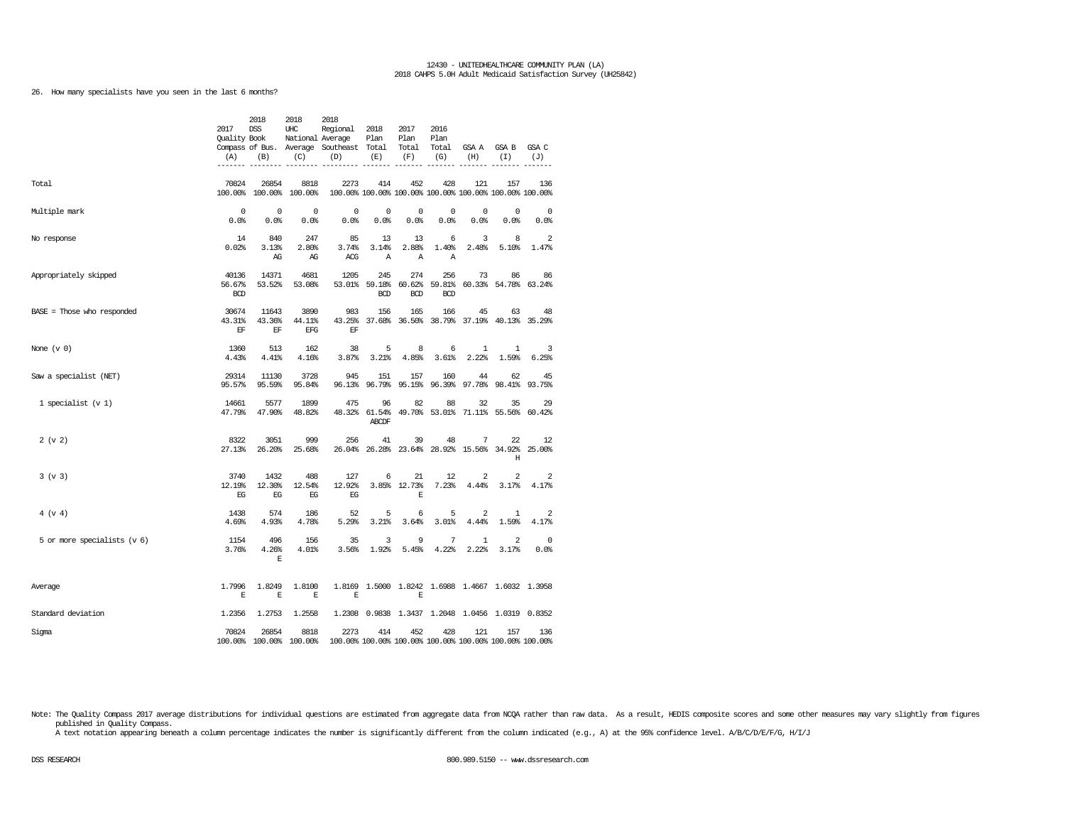26. How many specialists have you seen in the last 6 months?

|                              | 2017<br>Quality Book<br>(A)            | 2018<br><b>DSS</b><br>(B)   | 2018<br>UHC<br>National Average<br>(C) | 2018<br>Regional<br>Compass of Bus. Average Southeast<br>(D) | 2018<br>Plan<br>Total<br>(E) | 2017<br>Plan<br>Total<br>(F)              | 2016<br>Plan<br>Total<br>(G) | GSA A<br>(H)                                                   | GSA B<br>(I)        | GSA C<br>(J)    |
|------------------------------|----------------------------------------|-----------------------------|----------------------------------------|--------------------------------------------------------------|------------------------------|-------------------------------------------|------------------------------|----------------------------------------------------------------|---------------------|-----------------|
| Total                        | 70824                                  | 26854                       | 8818<br>100.00% 100.00% 100.00%        | 2273                                                         | 414                          | 452                                       | 428                          | 121<br>100.00% 100.00% 100.00% 100.00% 100.00% 100.00% 100.00% | 157                 | 136             |
| Multiple mark                | $\mathbf 0$<br>0.0%                    | 0<br>0.0%                   | $\mathbf 0$<br>0.0%                    | 0<br>0.0%                                                    | 0<br>0.0%                    | 0<br>0.0%                                 | 0<br>0.0%                    | 0<br>0.0%                                                      | 0<br>0.0%           | 0<br>0.0%       |
| No response                  | 14<br>0.02%                            | 840<br>3.13%<br>AG          | 247<br>2.80%<br>AG                     | 85<br>3.74%<br>ACG                                           | 13<br>3.14%<br>Α             | 13<br>2.88%<br>Α                          | 6<br>1.40%<br>Α              | 3<br>2.48%                                                     | 8<br>5.10%          | 2<br>1.47%      |
| Appropriately skipped        | 40136<br>56.67%<br><b>BCD</b>          | 14371<br>53.52%             | 4681<br>53.08%                         | 1205                                                         | 245<br><b>BCD</b>            | 274<br>53.01% 59.18% 60.62%<br><b>BCD</b> | 256<br>59.81%<br><b>BCD</b>  | 73                                                             | 86<br>60.33% 54.78% | 86<br>63.24%    |
| $BASE = Those who responded$ | 30674<br>43.31%<br>$\operatorname{EF}$ | 11643<br>43.36%<br>$\rm EF$ | 3890<br>44.11%<br>EFG                  | 983<br>43.25%<br>EF                                          | 156                          | 165<br>37.68% 36.50%                      | 166                          | 45<br>38.79% 37.19% 40.13% 35.29%                              | 63                  | 48              |
| None $(v 0)$                 | 1360<br>4.43%                          | 513<br>4.41%                | 162<br>4.16%                           | 38<br>3.87%                                                  | 5<br>3.21%                   | 8<br>4.85%                                | 6<br>3.61%                   | $\mathbf{1}$<br>2.22%                                          | 1<br>1.59%          | 3<br>6.25%      |
| Saw a specialist (NET)       | 29314<br>95.57%                        | 11130<br>95.59%             | 3728<br>95.84%                         | 945<br>96.13%                                                | 151<br>96.79%                | 157<br>95.15%                             | 160<br>96.39%                | 44<br>97.78%                                                   | 62<br>98.41%        | 45<br>93.75%    |
| 1 specialist $(v 1)$         | 14661<br>47.79%                        | 5577<br>47.90%              | 1899<br>48.82%                         | 475                                                          | 96<br><b>ABCDF</b>           | 82<br>48.32% 61.54% 49.70%                | 88                           | 32<br>53.01% 71.11% 55.56%                                     | 35                  | 29<br>60.42%    |
| 2 (v 2)                      | 8322<br>27.13%                         | 3051<br>26.20%              | 999<br>25.68%                          | 256<br>26.04%                                                | 41                           | 39<br>26.28% 23.64%                       | 48                           | 7<br>28.92% 15.56% 34.92%                                      | 22<br>Н             | 12<br>25.00%    |
| 3 (v 3)                      | 3740<br>12.19%<br>$_{\rm EG}$          | 1432<br>12.30%<br>$EG$      | 488<br>12.54%<br>EG                    | 127<br>12.92%<br>$_{\rm EG}$                                 | 6                            | 21<br>3.85% 12.73%<br>E                   | 12<br>7.23%                  | 2<br>4.44%                                                     | 2<br>3.17%          | 2<br>4.17%      |
| 4 (v 4)                      | 1438<br>4.69%                          | 574<br>4.93%                | 186<br>4.78%                           | 52<br>5.29%                                                  | 5<br>3.21%                   | 6<br>3.64%                                | 5<br>3.01%                   | $\overline{2}$<br>4.44%                                        | 1<br>1.59%          | 2<br>4.17%      |
| 5 or more specialists (v 6)  | 1154<br>3.76%                          | 496<br>4.26%<br>E           | 156<br>4.01%                           | 35<br>3.56%                                                  | 3<br>1.92%                   | 9<br>5.45%                                | 7<br>4.22%                   | 1<br>2.22%                                                     | 2<br>3.17%          | $\circ$<br>0.0% |
| Average                      | 1.7996<br>E                            | 1.8249<br>E                 | 1.8100<br>E                            | E                                                            |                              | E                                         |                              | 1.8169 1.5000 1.8242 1.6988 1.4667 1.6032 1.3958               |                     |                 |
| Standard deviation           | 1.2356                                 | 1.2753                      | 1.2558                                 |                                                              |                              |                                           |                              | 1.2308 0.9838 1.3437 1.2048 1.0456 1.0319 0.8352               |                     |                 |
| Sigma                        | 70824                                  | 26854                       | 8818<br>100.00% 100.00% 100.00%        | 2273                                                         | 414                          | 452                                       | 428                          | 121<br>100.00% 100.00% 100.00% 100.00% 100.00% 100.00% 100.00% | 157                 | 136             |

Note: The Quality Compass 2017 average distributions for individual questions are estimated from aggregate data from NCQA rather than raw data. As a result, HEDIS composite scores and some other measures may vary slightly published in Quality Compass.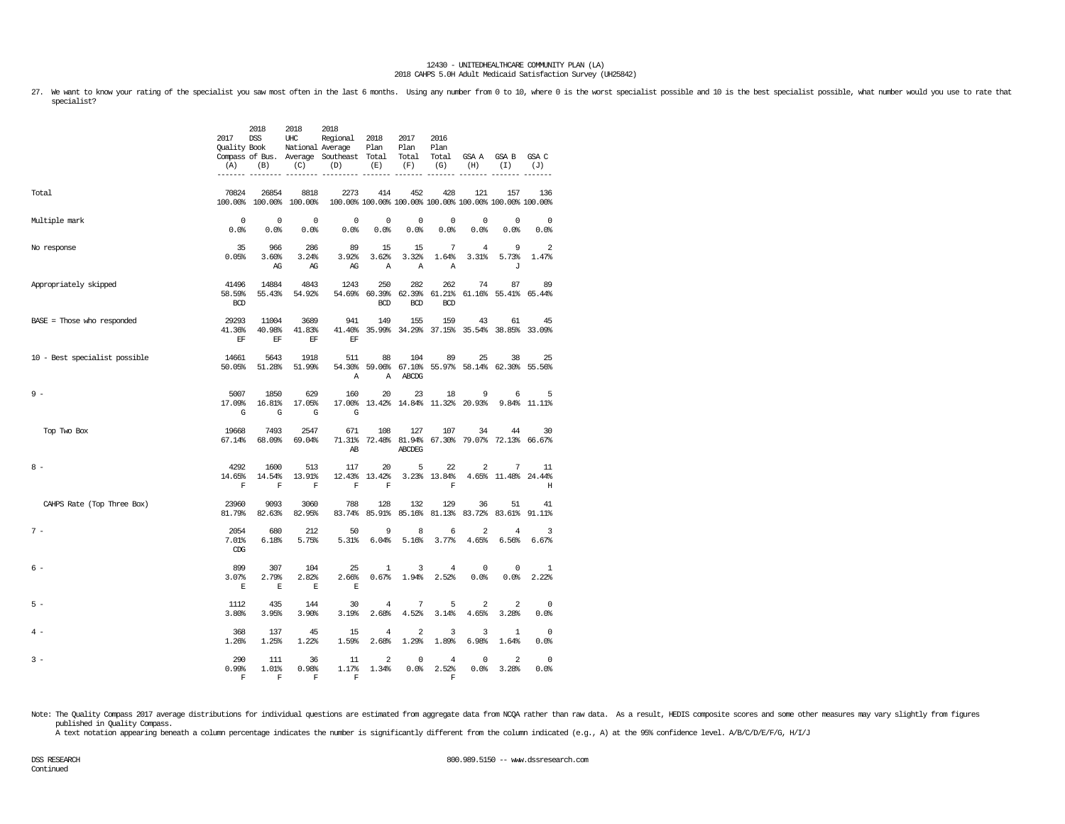27. We want to know your rating of the specialist you saw most often in the last 6 months. Using any number from 0 to 10, where 0 is the worst specialist possible and 10 is the best specialist possible, what number would y specialist?

|                               | 2017<br>Quality Book<br>(A)<br>------- | 2018<br><b>DSS</b><br>(B)              | 2018<br>UHC<br>National Average<br>(C) | 2018<br>Regional<br>Compass of Bus. Average Southeast Total<br>(D) | 2018<br>Plan<br>(E)         | 2017<br>Plan<br>Total<br>(F)              | 2016<br>Plan<br>Total<br>(G)      | GSA A<br>(H)                                                   | <b>GSA B</b><br>(I)     | GSA C<br>(J)                 |
|-------------------------------|----------------------------------------|----------------------------------------|----------------------------------------|--------------------------------------------------------------------|-----------------------------|-------------------------------------------|-----------------------------------|----------------------------------------------------------------|-------------------------|------------------------------|
| Total                         | 70824                                  | 26854<br>100.00% 100.00% 100.00%       | 8818                                   | 2273                                                               | 414                         | 452                                       | 428                               | 121<br>100.00% 100.00% 100.00% 100.00% 100.00% 100.00% 100.00% | 157                     | 136                          |
| Multiple mark                 | $\mathbf 0$<br>0.0%                    | $\Omega$<br>0.0%                       | $\Omega$<br>0.0%                       | $\mathbf 0$<br>0.0%                                                | $\mathbf 0$<br>0.0%         | $\mathbf 0$<br>0.0%                       | $\mathbf 0$<br>0.0%               | $\mathbf 0$<br>0.0%                                            | $\Omega$<br>0.0%        | $\mathbf 0$<br>0.0%          |
| No response                   | 35<br>0.05%                            | 966<br>3.60%<br>AG                     | 286<br>3.24%<br>AG                     | 89<br>3.92%<br>AG                                                  | 15<br>3.62%<br>$\mathbb{A}$ | 15<br>3.32%<br>$\mathbb{A}$               | 7<br>1.64%<br>$\overline{A}$      | $\overline{4}$<br>3.31%                                        | 9<br>5.73%<br>J         | 2<br>1.47%                   |
| Appropriately skipped         | 41496<br>58.59%<br><b>BCD</b>          | 14884<br>55.43%                        | 4843<br>54.92%                         | 1243                                                               | 250<br><b>BCD</b>           | 282<br>54.69% 60.39% 62.39%<br><b>BCD</b> | 262<br><b>BCD</b>                 | 74<br>61.21% 61.16% 55.41% 65.44%                              | 87                      | 89                           |
| BASE = Those who responded    | 29293<br>41.36%<br>EF                  | 11004<br>40.98%<br>$\operatorname{EF}$ | 3689<br>41.83%<br>EF                   | 941<br>41.40%<br>EF                                                | 149                         | 155<br>35.99% 34.29%                      | 159                               | 43<br>37.15% 35.54% 38.85% 33.09%                              | 61                      | 45                           |
| 10 - Best specialist possible | 14661<br>50.05%                        | 5643<br>51.28%                         | 1918<br>51.99%                         | 511<br>54.30%<br>Α                                                 | 88<br>$\boldsymbol{A}$      | 104<br>59.06% 67.10%<br>ABCDG             | 89                                | 25<br>55.97% 58.14% 62.30% 55.56%                              | 38                      | 25                           |
| $9 -$                         | 5007<br>17.09%<br>G                    | 1850<br>16.81%<br>G                    | 629<br>17.05%<br>G                     | 160<br>17.00%<br>G                                                 | 20                          | 23<br>13.42% 14.84%                       | 18<br>11.32%                      | 9<br>20.93%                                                    | 6<br>9.84%              | 5<br>$11.11$ $8$             |
| Top Two Box                   | 19668<br>67.14%                        | 7493<br>68.09%                         | 2547<br>69.04%                         | 671<br>71.31%<br>AB                                                | 108                         | 127<br>72.48% 81.94%<br><b>ABCDEG</b>     | 107                               | 34<br>67.30% 79.07% 72.13% 66.67%                              | 44                      | 30                           |
| $8 -$                         | 4292<br>14.65%<br>$\mathbf F$          | 1600<br>14.54%<br>$\mathbf F$          | 513<br>13.91%<br>$\mathbf F$           | 117<br>12.43%<br>$\mathbf F$                                       | 20<br>13.42%<br>$\mathbf F$ | 5                                         | 22<br>3.23% 13.84%<br>$\mathbb F$ | 2                                                              | 7<br>4.65% 11.48%       | 11<br>24.44%<br>$\, {\rm H}$ |
| CAHPS Rate (Top Three Box)    | 23960<br>81.79%                        | 9093<br>82.63%                         | 3060<br>82.95%                         | 788<br>83.74%                                                      | 128                         | 132<br>85.91% 85.16%                      | 129                               | 36<br>81.13% 83.72% 83.61%                                     | 51                      | 41<br>91.11%                 |
| $7 -$                         | 2054<br>7.01%<br>CDG                   | 680<br>6.18%                           | 212<br>5.75%                           | 50<br>5.31%                                                        | 9<br>6.04%                  | 8<br>5.16%                                | 6<br>3.77%                        | $\overline{2}$<br>4.65%                                        | 4<br>6.56%              | 3<br>6.67%                   |
| $6 -$                         | 899<br>3.07%<br>$\mathbf E$            | 307<br>2.79%<br>$\mathbf E$            | 104<br>2.82%<br>$\mathbf E$            | 25<br>2.66%<br>E                                                   | $\mathbf{1}$<br>0.67%       | 3<br>1.94%                                | 4<br>2.52%                        | 0<br>0.0%                                                      | $^{\circ}$<br>0.0%      | 1<br>2.22%                   |
| $5 -$                         | 1112<br>3.80%                          | 435<br>3.95%                           | 144<br>3.90%                           | 30<br>3.19%                                                        | 4<br>2.68%                  | 7<br>4.52%                                | 5<br>3.14%                        | $\overline{a}$<br>4.65%                                        | $\overline{a}$<br>3.28% | $\circ$<br>0.0%              |
| $4 -$                         | 368<br>1.26%                           | 137<br>1.25%                           | 45<br>1.22%                            | 15<br>1.59%                                                        | $\overline{4}$<br>2.68%     | $\overline{2}$<br>1.29%                   | 3<br>1.89%                        | 3<br>6.98%                                                     | $\mathbf{1}$<br>1.64%   | $\mathbf{0}$<br>0.0%         |
| $3 -$                         | 290<br>0.99%<br>F                      | 111<br>1.01%<br>$\mathbf F$            | 36<br>0.98%<br>$\mathbf F$             | 11<br>1.17%<br>F                                                   | $\overline{a}$<br>1.34%     | $\mathbf 0$<br>0.0%                       | 4<br>2.52%<br>F                   | $^{\circ}$<br>0.0%                                             | $\overline{a}$<br>3.28% | $\circ$<br>0.0%              |

Note: The Quality Compass 2017 average distributions for individual questions are estimated from aggregate data from NCQA rather than raw data. As a result, HEDIS composite scores and some other measures may vary slightly published in Quality Compass.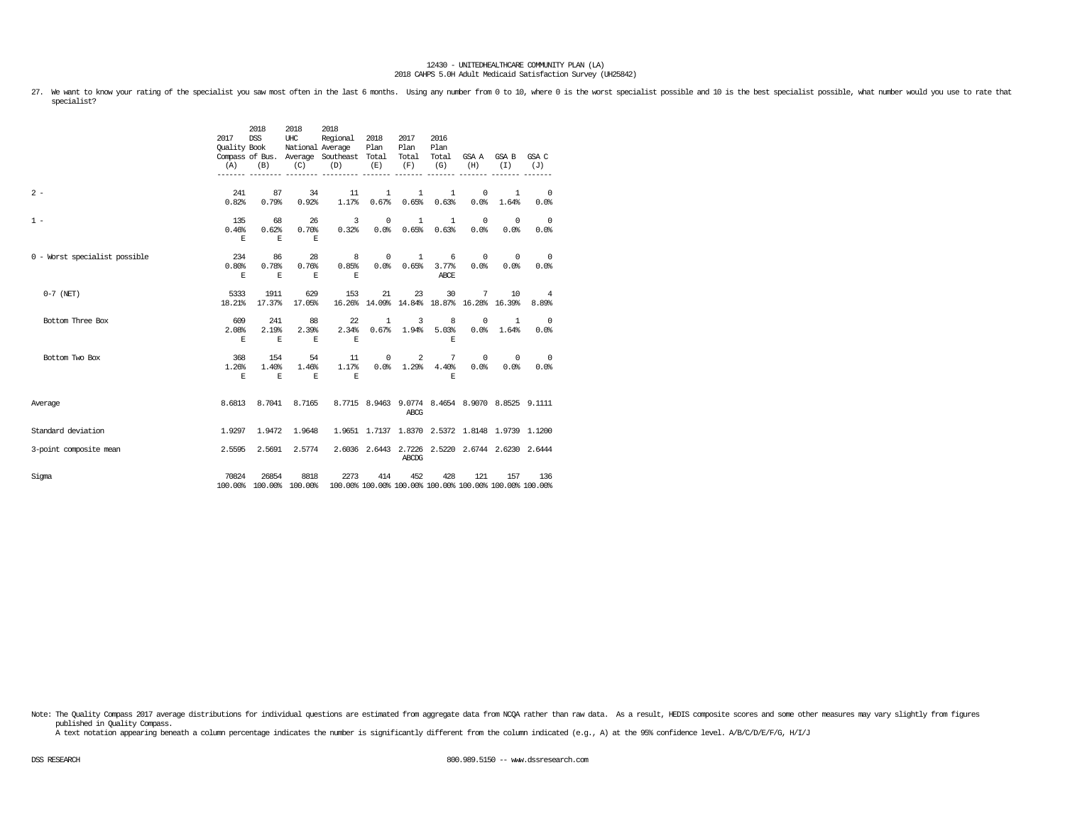27. We want to know your rating of the specialist you saw most often in the last 6 months. Using any number from 0 to 10, where 0 is the worst specialist possible and 10 is the best specialist possible, what number would y specialist?

|                               | 2017<br>Quality Book<br>(A) | 2018<br><b>DSS</b><br>(B)   | 2018<br>UHC<br>(C)         | 2018<br>Regional<br>National Average<br>Compass of Bus. Average Southeast Total<br>(D)  | 2018<br>Plan<br>(E)   | 2017<br>Plan<br>Total<br>(F) | 2016<br>Plan<br>Total<br>(G)       | (H)                | GSA A GSA B<br>(I)                               | GSA C<br>(J)                                     |
|-------------------------------|-----------------------------|-----------------------------|----------------------------|-----------------------------------------------------------------------------------------|-----------------------|------------------------------|------------------------------------|--------------------|--------------------------------------------------|--------------------------------------------------|
| $2 -$                         | 241<br>0.82%                | 87<br>0.79%                 | 34<br>0.92%                | 11<br>1.17%                                                                             | $\mathbf{1}$<br>0.67% | 1<br>0.65%                   | $\mathbf{1}$<br>0.63%              | $^{\circ}$<br>0.0% | $\mathbf{1}$<br>1.64%                            | $\overline{\phantom{0}}$<br>0.0%                 |
| $1 -$                         | 135<br>0.46%<br>$\mathbf E$ | 68<br>0.62%<br>$\mathbf E$  | 26<br>0.70%<br>E.          | 3<br>0.32%                                                                              | $^{\circ}$            | <sup>1</sup><br>0.0% 0.65%   | 1<br>0.63%                         | $^{\circ}$<br>0.0% | $^{\circ}$<br>0.0%                               | $\overline{\phantom{0}}$<br>0.0%                 |
| 0 - Worst specialist possible | 234<br>0.80%<br>E.          | 86<br>0.78%<br>$\mathbf E$  | 28<br>0.76%<br>E.          | $\overline{\phantom{0}}$ 8<br>0.85%<br>E.                                               | $\circ$               | 1<br>0.0% 0.65%              | 6<br>3.77%<br>ABCE                 | 0.0%               | $0 \qquad \qquad$<br>$^{\circ}$<br>0.0%          | $\overline{0}$<br>0.0%                           |
| $0-7$ (NET)                   | 5333<br>18.21%              | 1911<br>17.37%              | 629<br>17.05%              | 153                                                                                     | 21                    | 23                           | 30                                 | 7                  | 10<br>16.26% 14.09% 14.84% 18.87% 16.28% 16.39%  | $\overline{4}$<br>8.89%                          |
| Bottom Three Box              | 609<br>2.08%<br>E.          | 241<br>2.19%<br>$\mathbf E$ | 88<br>2.39%<br>$\mathbf E$ | 22<br>2.34%<br>$\,$ E                                                                   | 1                     | 3                            | 8<br>$0.67\$ $1.94\$ $5.03\$<br>E. | $\mathbf 0$        | $\mathbf{1}$<br>$0.0%$ 1.64%                     | $\overline{\phantom{0}}$<br>0.0%                 |
| Bottom Two Box                | 368<br>1.26%<br>E.          | 154<br>1.40%<br>$\,$ E      | 54<br>1.46%<br>E           | 11<br>1.17%<br>E                                                                        |                       | $0\qquad 2$<br>$0.0%$ 1.29%  | 7<br>4.40%<br>E.                   | 0.0%               | $0 \qquad \qquad$<br>$\Omega$<br>0.0%            | $\sim$ 0<br>0.0%                                 |
| Average                       | 8.6813                      |                             | 8.7041 8.7165              |                                                                                         |                       | ABCG                         |                                    |                    |                                                  | 8.7715 8.9463 9.0774 8.4654 8.9070 8.8525 9.1111 |
| Standard deviation            | 1.9297                      | 1.9472                      | 1.9648                     |                                                                                         |                       |                              |                                    |                    | 1.9651 1.7137 1.8370 2.5372 1.8148 1.9739 1.1200 |                                                  |
| 3-point composite mean        | 2.5595                      | 2.5691                      | 2.5774                     |                                                                                         |                       | ABCDG                        |                                    |                    | 2.6036 2.6443 2.7226 2.5220 2.6744 2.6230 2.6444 |                                                  |
| Sigma                         | 70824                       | 26854                       | 8818                       | 2273<br>100.00% 100.00% 100.00% 100.00% 100.00% 100.00% 100.00% 100.00% 100.00% 100.00% | 414                   | 452                          | 428                                | 121                | 157                                              | 136                                              |

Note: The Quality Compass 2017 average distributions for individual questions are estimated from aggregate data from NCQA rather than raw data. As a result, HEDIS composite scores and some other measures may vary slightly published in Quality Compass.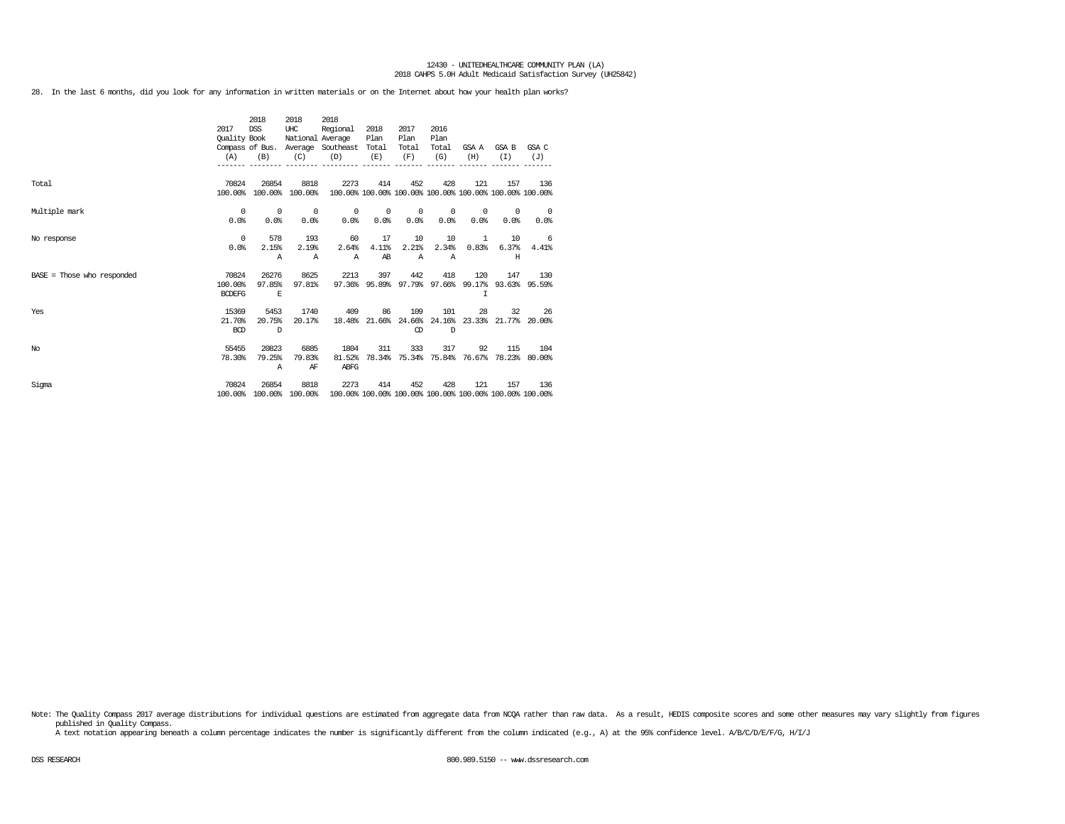28. In the last 6 months, did you look for any information in written materials or on the Internet about how your health plan works?

|                              | 2017<br>Quality Book<br>(A)       | 2018<br><b>DSS</b><br>(B) | 2018<br>UHC<br>National Average<br>(C) | 2018<br>Regional<br>Compass of Bus. Average Southeast Total<br>(D) | 2018<br>Plan<br>(E)                | 2017<br>Plan<br>Total<br>(F)     | 2016<br>Plan<br>Total<br>(G)     | GSA A<br>(H)       | GSA B<br>(T)                | GSA C<br>(J)                     |
|------------------------------|-----------------------------------|---------------------------|----------------------------------------|--------------------------------------------------------------------|------------------------------------|----------------------------------|----------------------------------|--------------------|-----------------------------|----------------------------------|
| Total                        | 70824<br>100.00%                  | 26854                     | 8818<br>100.00% 100.00%                | 2273<br>100.00% 100.00% 100.00% 100.00% 100.00% 100.00% 100.00%    | 414                                | 452                              | 428                              | 121                | 157                         | 136                              |
| Multiple mark                | $^{\circ}$<br>0.0%                | $^{\circ}$<br>0.0%        | $\overline{\phantom{0}}$<br>0.0%       | $\circ$<br>0.0%                                                    | $\sim$ 0<br>0.0%                   | $\overline{\phantom{0}}$<br>0.0% | $^{\circ}$<br>0.0%               | $^{\circ}$<br>0.0% | $^{\circ}$<br>0.0%          | $\overline{\phantom{0}}$<br>0.0% |
| No response                  | $^{\circ}$<br>0.0%                | 578<br>2.15%<br>Α         | 193<br>2.19%<br>$\mathbb{A}$           | 60<br>2.64%<br>$\mathbb{A}$                                        | 17<br>4.11%<br>AB                  | 10<br>2.21%<br>$\mathbb{A}$      | 10<br>2.34%<br>$\mathbb{A}$      | 1<br>0.83%         | 10<br>6.37%<br>H            | - 6<br>4.41%                     |
| $BASE = Those who responded$ | 70824<br>100.00%<br><b>BCDEFG</b> | 26276<br>97.85%<br>E      | 8625<br>97.81%                         | 2213                                                               | 397<br>97.36% 95.89% 97.79% 97.66% | 442                              | 418                              | 120<br>I           | 147                         | 130<br>99.17% 93.63% 95.59%      |
| Yes                          | 15369<br>21.70%<br><b>BCD</b>     | 5453<br>20.75%<br>D       | 1740<br>20.17%                         | 409<br>18.48%                                                      | 86                                 | 109<br>Œ                         | 101<br>21.66% 24.66% 24.16%<br>D | 28                 | 32<br>23.33% 21.77% 20.00%  | 26                               |
| No                           | 55455<br>78.30%                   | 20823<br>79.25%<br>Α      | 6885<br>79.83%<br>ΑF                   | 1804<br>81.52%<br>ABFG                                             | 311                                | 333                              | 317<br>78.34% 75.34% 75.84%      | 92                 | 115<br>76.67% 78.23% 80.00% | 104                              |
| Sigma                        | 70824<br>100.00%                  | 26854                     | 8818<br>100.00% 100.00%                | 2273<br>100.00% 100.00% 100.00% 100.00% 100.00% 100.00% 100.00%    | 414                                | 452                              | 428                              | 121                | 157                         | 136                              |

Note: The Quality Compass 2017 average distributions for individual questions are estimated from aggregate data from NOQA rather than raw data. As a result, HEDIS composite scores and some other measures may vary slightly published in Quality Compass.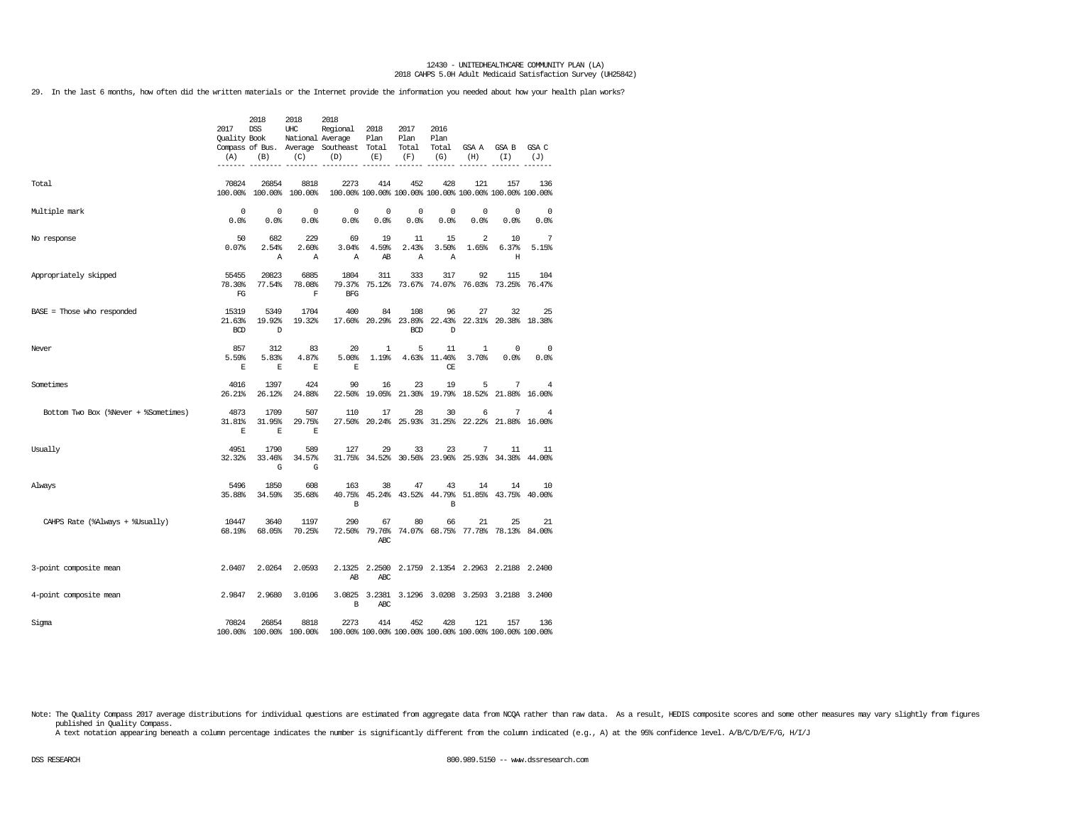29. In the last 6 months, how often did the written materials or the Internet provide the information you needed about how your health plan works?

|                                      | 2017<br><b>Ouality Book</b><br>(A) | 2018<br><b>DSS</b><br>(B) | 2018<br>UHC<br>National Average<br>(C) | 2018<br>Regional<br>Compass of Bus. Average Southeast Total<br>(D) | 2018<br>Plan<br>(E) | 2017<br>Plan<br>Total<br>(F)       | 2016<br>Plan<br>Total<br>(G) | GSA A<br>(H)          | GSA B<br>(I)                                                   | GSA C<br>(J)       |
|--------------------------------------|------------------------------------|---------------------------|----------------------------------------|--------------------------------------------------------------------|---------------------|------------------------------------|------------------------------|-----------------------|----------------------------------------------------------------|--------------------|
| Total                                | 70824                              | 26854<br>100.00% 100.00%  | 8818<br>100.00%                        | 2273                                                               | 414                 | 452                                | 428                          | 121                   | 157<br>100.00% 100.00% 100.00% 100.00% 100.00% 100.00% 100.00% | 136                |
| Multiple mark                        | $^{\circ}$<br>0.0%                 | $^{\circ}$<br>0.0%        | 0<br>0.0%                              | 0<br>0.0%                                                          | 0<br>0.0%           | $^{\circ}$<br>0.0%                 | $^{\circ}$<br>0.0%           | 0<br>0.0%             | $\mathbf 0$<br>0.0%                                            | $^{\circ}$<br>0.0% |
| No response                          | 50<br>0.07%                        | 682<br>2.54%<br>Α         | 229<br>2.60%<br>Α                      | 69<br>3.04%<br>Α                                                   | 19<br>4.59%<br>AB   | 11<br>2.43%<br>Α                   | 15<br>3.50%<br>Α             | 2<br>1.65%            | 10<br>6.37%<br>Н                                               | 7<br>5.15%         |
| Appropriately skipped                | 55455<br>78.30%<br>FG              | 20823<br>77.54%           | 6885<br>78.08%<br>F                    | 1804<br>79.37%<br><b>BFG</b>                                       | 311                 | 333<br>75.12% 73.67%               | 317<br>74.07%                | 92                    | 115<br>76.03% 73.25%                                           | 104<br>76.47%      |
| $BASE = Those who responded$         | 15319<br>21.63%<br><b>BCD</b>      | 5349<br>19.92%<br>D       | 1704<br>19.32%                         | 400<br>17.60%                                                      | 84                  | 108<br>20.29% 23.89%<br><b>BCD</b> | 96<br>22.43%<br>D            | 27                    | 32<br>22.31% 20.38% 18.38%                                     | 25                 |
| Never                                | 857<br>5.59%<br>E                  | 312<br>5.83%<br>E         | 83<br>4.87%<br>E                       | 20<br>5.00%<br>E                                                   | 1<br>1.19%          | 5                                  | 11<br>4.63% 11.46%<br>CE     | $\mathbf{1}$<br>3.70% | 0<br>0.0%                                                      | 0<br>0.0%          |
| Sometimes                            | 4016<br>26.21%                     | 1397<br>26.12%            | 424<br>24.88%                          | 90<br>22.50%                                                       | 16<br>19.05%        | 23<br>21.30%                       | 19                           | 5<br>19.79% 18.52%    | 7<br>21.88%                                                    | 4<br>16.00%        |
| Bottom Two Box (%Never + %Sometimes) | 4873<br>31.81%<br>E                | 1709<br>31.95%<br>Е       | 507<br>29.75%<br>Е                     | 110                                                                | 17                  | 28                                 | 30                           | 6                     | 7<br>27.50% 20.24% 25.93% 31.25% 22.22% 21.88% 16.00%          | 4                  |
| Usually                              | 4951<br>32.32%                     | 1790<br>33.46%<br>G       | 589<br>34.57%<br>G                     | 127                                                                | 29                  | 33                                 | 23                           | 7                     | 11<br>31.75% 34.52% 30.56% 23.96% 25.93% 34.38%                | 11<br>44.00%       |
| Always                               | 5496<br>35.88%                     | 1850<br>34.59%            | 608<br>35.68%                          | 163<br>40.75%<br>B                                                 | 38                  | 47<br>45.24% 43.52% 44.79%         | 43<br>B                      | 14                    | 14<br>51.85% 43.75%                                            | 10<br>40.00%       |
| CAHPS Rate (%Always + %Usually)      | 10447<br>68.19%                    | 3640<br>68.05%            | 1197<br>70.25%                         | 290<br>72.50%                                                      | 67<br>79.76%<br>ABC | 80                                 | 66                           | 21                    | 25<br>74.07% 68.75% 77.78% 78.13% 84.00%                       | 21                 |
| 3-point composite mean               | 2.0407                             | 2.0264                    | 2.0593                                 | 2.1325<br>AB                                                       | <b>ABC</b>          |                                    |                              |                       | 2.2500 2.1759 2.1354 2.2963 2.2188 2.2400                      |                    |
| 4-point composite mean               | 2.9847                             | 2.9680                    | 3.0106                                 | B                                                                  | ABC                 |                                    |                              |                       | 3.0825 3.2381 3.1296 3.0208 3.2593 3.2188 3.2400               |                    |
| Sigma                                | 70824                              | 26854                     | 8818<br>100.00% 100.00% 100.00%        | 2273                                                               | 414                 | 452                                | 428                          | 121                   | 157<br>100.00% 100.00% 100.00% 100.00% 100.00% 100.00% 100.00% | 136                |

Note: The Quality Compass 2017 average distributions for individual questions are estimated from aggregate data from NOQA rather than raw data. As a result, HEDIS composite scores and some other measures may vary slightly published in Quality Compass.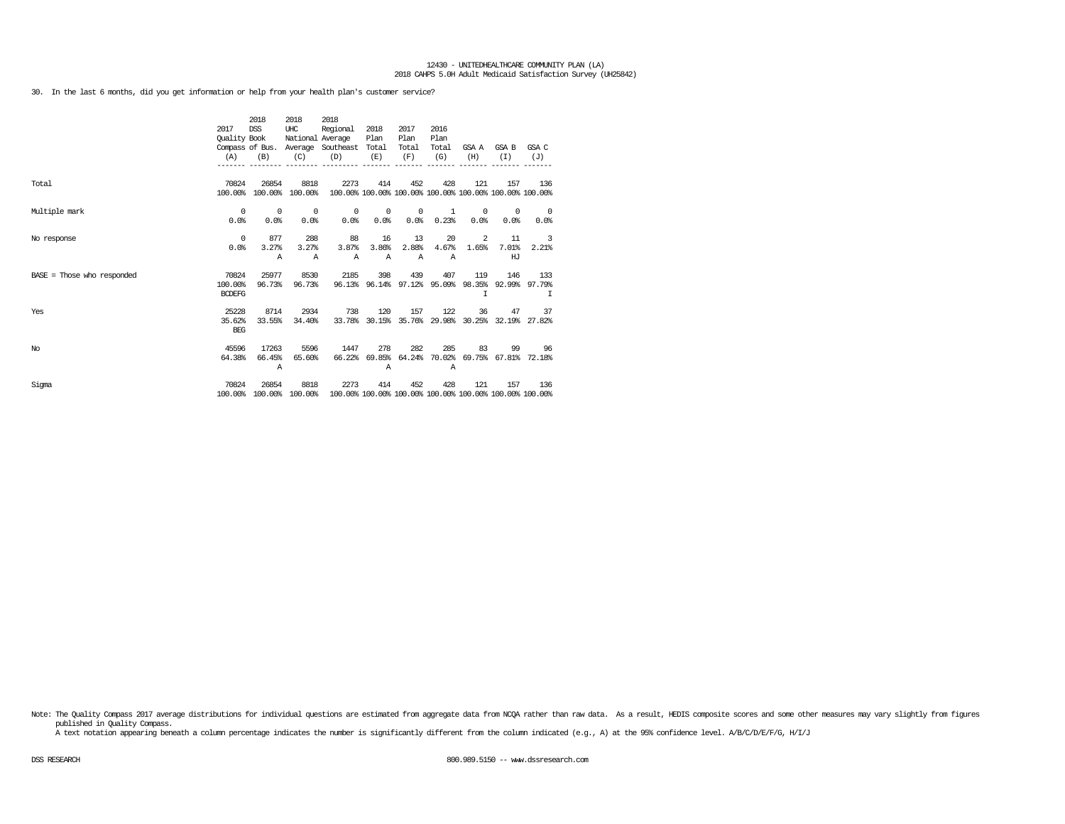30. In the last 6 months, did you get information or help from your health plan's customer service?

|                              | 2017<br>Quality Book              | 2018<br><b>DSS</b>              | 2018<br>UHC<br>National Average | 2018<br>Regional<br>Compass of Bus. Average Southeast Total     | 2018<br>Plan                            | 2017<br>Plan<br>Total       | 2016<br>Plan<br>Total       |                    | GSA A GSA B                                     | GSA C                             |
|------------------------------|-----------------------------------|---------------------------------|---------------------------------|-----------------------------------------------------------------|-----------------------------------------|-----------------------------|-----------------------------|--------------------|-------------------------------------------------|-----------------------------------|
|                              | (A)                               | (B)                             | (C)                             | (D)                                                             | (E)                                     | (F)                         | (G)                         | (H)                | (T)                                             | (J)                               |
| Total                        | 70824<br>100.00%                  | 26854                           | 8818<br>100.00% 100.00%         | 2273<br>100.00% 100.00% 100.00% 100.00% 100.00% 100.00% 100.00% | 414                                     | 452                         | 428                         | 121                | 157                                             | 136                               |
| Multiple mark                | $^{\circ}$<br>0.0%                | $^{\circ}$<br>0.0%              | $^{\circ}$<br>0.0%              | $\circ$<br>0.0%                                                 | $\overline{\phantom{0}}$<br>0.0%        | $^{\circ}$<br>0.0%          | 1<br>0.23%                  | $^{\circ}$<br>0.0% | $^{\circ}$<br>0.0%                              | $\overline{\phantom{0}}$<br>0.0%  |
| No response                  | $^{\circ}$<br>0.0%                | 877<br>3.27%<br>Α               | 288<br>3.27%<br>$\mathbb{A}$    | 88<br>3.87%<br>$\mathbb{A}$                                     | 16<br>3.86%<br>$\mathbb{A}$             | 13<br>2.88%<br>$\mathbb{A}$ | 20<br>4.67%<br>$\mathbb{A}$ | 2<br>1.65%         | 11<br>7.01%<br>HJ                               | $\overline{\phantom{a}}$<br>2.21% |
| $BASE = Those who responded$ | 70824<br>100.00%<br><b>BCDEFG</b> | 25977<br>96.73%                 | 8530<br>96.73%                  | 2185                                                            | 398<br>96.13% 96.14% 97.12% 95.09%      | 439                         | 407                         | 119<br>I           | 146                                             | 133<br>98.35% 92.99% 97.79%<br>I  |
| Yes                          | 25228<br>35.62%<br><b>BEG</b>     | 8714<br>33.55%                  | 2934<br>34.40%                  | 738<br>33.78%                                                   | 120                                     | 157                         | 122                         | 36                 | 47<br>30.15% 35.76% 29.98% 30.25% 32.19% 27.82% | 37                                |
| No                           | 45596<br>64.38%                   | 17263<br>66.45%<br>$\mathbb{A}$ | 5596<br>65.60%                  | 1447                                                            | 278<br>66.22% 69.85% 64.24% 70.02%<br>Α | 282                         | 285<br>Α                    | 83                 | 99<br>69.75% 67.81% 72.18%                      | 96                                |
| Sigma                        | 70824<br>100.00%                  | 26854                           | 8818<br>100.00% 100.00%         | 2273<br>100.00% 100.00% 100.00% 100.00% 100.00% 100.00% 100.00% | 414                                     | 452                         | 428                         | 121                | 157                                             | 136                               |

Note: The Quality Compass 2017 average distributions for individual questions are estimated from aggregate data from NCQA rather than raw data. As a result, HEDIS composite scores and some other measures may vary slightly published in Quality Compass.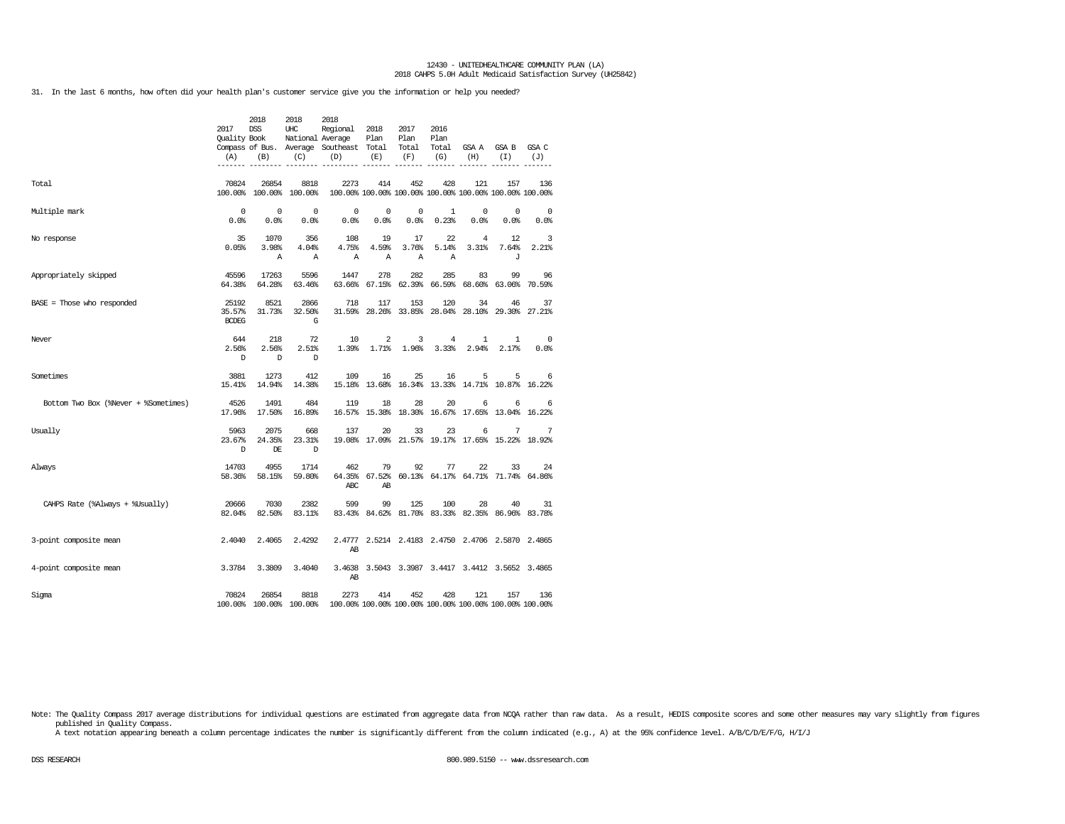31. In the last 6 months, how often did your health plan's customer service give you the information or help you needed?

|                                      | 2017<br>Quality Book<br>(A)     | 2018<br><b>DSS</b><br>(B) | 2018<br>UHC<br>National Average<br>(C) | 2018<br>Regional<br>Compass of Bus. Average Southeast Total<br>(D) | 2018<br>Plan<br>(E) | 2017<br>Plan<br>Total<br>(F) | 2016<br>Plan<br>Total<br>(G) | GSA A<br>(H)                                                   | GSA B<br>(I)        | GSA C<br>(J)    |
|--------------------------------------|---------------------------------|---------------------------|----------------------------------------|--------------------------------------------------------------------|---------------------|------------------------------|------------------------------|----------------------------------------------------------------|---------------------|-----------------|
| Total                                | 70824                           | 26854                     | 8818<br>100.00% 100.00% 100.00%        | 2273<br>100.00% 100.00% 100.00% 100.00% 100.00% 100.00% 100.00%    | 414                 | 452                          | 428                          | 121                                                            | 157                 | 136             |
| Multiple mark                        | 0<br>0.0%                       | $\mathbf 0$<br>0.0%       | $^{\circ}$<br>0.0%                     | 0<br>0.0%                                                          | 0<br>0.0%           | 0<br>0.0%                    | 1<br>0.23%                   | 0<br>0.0%                                                      | $^{\circ}$<br>0.0%  | $\circ$<br>0.0% |
| No response                          | 35<br>0.05%                     | 1070<br>3.98%<br>Α        | 356<br>4.04%<br>$\mathbb{A}$           | 108<br>4.75%<br>Α                                                  | 19<br>4.59%<br>Α    | 17<br>3.76%<br>$\mathbb{A}$  | 22<br>5.14%<br>Α             | $\overline{4}$<br>3.31%                                        | 12<br>7.64%<br>J    | 3<br>2.21%      |
| Appropriately skipped                | 45596<br>64.38%                 | 17263<br>64.28%           | 5596<br>63.46%                         | 1447<br>63.66%                                                     | 278                 | 282<br>67.15% 62.39%         | 285<br>66.59%                | 83                                                             | 99<br>68.60% 63.06% | 96<br>70.59%    |
| BASE = Those who responded           | 25192<br>35.57%<br><b>BCDEG</b> | 8521<br>31.73%            | 2866<br>32.50%<br>G                    | 718                                                                | 117                 | 153                          | 120                          | 34<br>31.59% 28.26% 33.85% 28.04% 28.10% 29.30% 27.21%         | 46                  | 37              |
| Never                                | 644<br>2.56%<br>D               | 218<br>2.56%<br>D         | 72<br>2.51%<br>D                       | 10<br>1.39%                                                        | 2<br>1.71%          | 3<br>1.96%                   | 4<br>3.33%                   | 1<br>2.94%                                                     | 1<br>2.17%          | 0<br>0.0%       |
| Sometimes                            | 3881<br>15.41%                  | 1273<br>14.94%            | 412<br>14.38%                          | 109                                                                | 16                  | 25                           | 16                           | 5<br>15.18% 13.68% 16.34% 13.33% 14.71% 10.87% 16.22%          | 5                   | 6               |
| Bottom Two Box (%Never + %Sometimes) | 4526<br>17.96%                  | 1491<br>17.50%            | 484<br>16.89%                          | 119                                                                | 18                  | 28                           | 20                           | 6<br>16.57% 15.38% 18.30% 16.67% 17.65% 13.04% 16.22%          | 6                   | 6               |
| Usually                              | 5963<br>23.67%<br>D             | 2075<br>24.35%<br>DE      | 668<br>23.31%<br>D                     | 137                                                                | 20                  | 33                           | 23                           | 6<br>19.08% 17.09% 21.57% 19.17% 17.65% 15.22% 18.92%          | 7                   | 7               |
| Always                               | 14703<br>58.36%                 | 4955<br>58.15%            | 1714<br>59.80%                         | 462<br>ABC                                                         | 79<br>AB            | 92                           | 77                           | 22<br>64.35% 67.52% 60.13% 64.17% 64.71% 71.74% 64.86%         | 33                  | 24              |
| CAHPS Rate (%Always + %Usually)      | 20666<br>82.04%                 | 7030<br>82.50%            | 2382<br>83.11%                         | 599                                                                | 99                  | 125                          | 100                          | 28<br>83.43% 84.62% 81.70% 83.33% 82.35% 86.96% 83.78%         | 40                  | 31              |
| 3-point composite mean               | 2.4040                          | 2.4065                    | 2.4292                                 | AB                                                                 |                     |                              |                              | 2.4777 2.5214 2.4183 2.4750 2.4706 2.5870 2.4865               |                     |                 |
| 4-point composite mean               | 3.3784                          | 3.3809                    | 3.4040                                 | 3.4638<br>AB                                                       |                     |                              |                              | 3.5043 3.3987 3.4417 3.4412 3.5652 3.4865                      |                     |                 |
| Sigma                                | 70824                           | 26854                     | 8818<br>100.00% 100.00% 100.00%        | 2273                                                               | 414                 | 452                          | 428                          | 121<br>100.00% 100.00% 100.00% 100.00% 100.00% 100.00% 100.00% | 157                 | 136             |

Note: The Quality Compass 2017 average distributions for individual questions are estimated from aggregate data from NOQA rather than raw data. As a result, HEDIS composite scores and some other measures may vary slightly published in Quality Compass.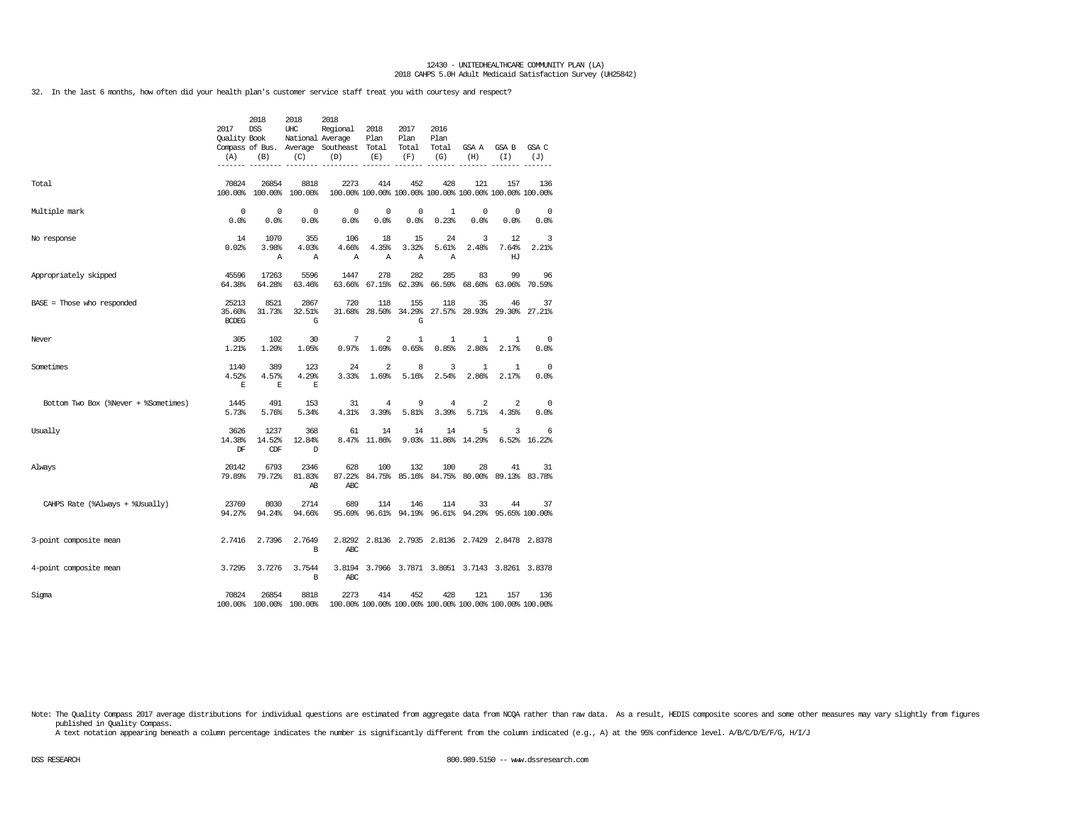32. In the last 6 months, how often did your health plan's customer service staff treat you with courtesy and respect?

|                                      | 2017<br><b>Ouality Book</b><br>(A) | 2018<br><b>DSS</b><br>(B) | 2018<br>UHC<br>National Average<br>(C) | 2018<br>Regional<br>Compass of Bus. Average Southeast Total<br>(D) | 2018<br>Plan<br>(E) | 2017<br>Plan<br>Total<br>(F) | 2016<br>Plan<br>Total<br>(G) | GSA A<br>(H)               | GSA B<br>(T)                                                   | GSA C<br>(J)           |
|--------------------------------------|------------------------------------|---------------------------|----------------------------------------|--------------------------------------------------------------------|---------------------|------------------------------|------------------------------|----------------------------|----------------------------------------------------------------|------------------------|
| Total                                | 70824                              | 26854                     | 8818<br>100.00% 100.00% 100.00%        | 2273                                                               | 414                 | 452                          | 428                          | 121                        | 157<br>100.00% 100.00% 100.00% 100.00% 100.00% 100.00% 100.00% | 136                    |
| Multiple mark                        | $^{\circ}$<br>0.0%                 | $^{\circ}$<br>0.0%        | 0<br>0.0                               | $\mathbf 0$<br>0.0%                                                | $^{\circ}$<br>0.0%  | 0<br>0.0%                    | $\mathbf{1}$<br>0.23%        | $^{\circ}$<br>0.0%         | $\mathbf 0$<br>$0.0$ %                                         | $\overline{0}$<br>0.0% |
| No response                          | 14<br>0.02%                        | 1070<br>3.98%<br>Α        | 355<br>4.03%<br>Α                      | 106<br>4.66%<br>Α                                                  | 18<br>4.35%<br>А    | 15<br>3.32%<br>А             | 24<br>5.61%<br>Α             | 3<br>2.48%                 | 12<br>7.64%<br>HJ                                              | 3<br>2.21%             |
| Appropriately skipped                | 45596<br>64.38%                    | 17263<br>64.28%           | 5596<br>63.46%                         | 1447<br>63.66%                                                     | 278                 | 282<br>67.15% 62.39%         | 285<br>66.59%                | 83                         | 99<br>68.60% 63.06%                                            | 96<br>70.59%           |
| $BASE = Those who responded$         | 25213<br>35.60%<br><b>BCDEG</b>    | 8521<br>31.73%            | 2867<br>32.51%<br>G                    | 720<br>31.68%                                                      | 118<br>28.50%       | 155<br>34.29%<br>G           | 118                          | 35<br>27.57% 28.93% 29.30% | 46                                                             | 37<br>27.21%           |
| Never                                | 305<br>1.21%                       | 102<br>1.20%              | 30<br>1.05%                            | 7<br>0.97%                                                         | 2<br>1.69%          | 1<br>0.65%                   | 1<br>0.85%                   | 1<br>2.86%                 | 1<br>2.17%                                                     | $^{\circ}$<br>0.0%     |
| Sometimes                            | 1140<br>4.52%<br>E                 | 389<br>4.57%<br>Е         | 123<br>4.29%<br>E                      | 24<br>3.33%                                                        | 2<br>1.69%          | 8<br>5.16%                   | 3<br>2.54%                   | $\mathbf{1}$<br>2.86%      | $\mathbf{1}$<br>2.17%                                          | $\circ$<br>0.0%        |
| Bottom Two Box (%Never + %Sometimes) | 1445<br>5.73%                      | 491<br>5.76%              | 153<br>5.34%                           | 31<br>4.31%                                                        | 4<br>3.39%          | 9<br>5.81%                   | 4<br>3.39%                   | 2<br>5.71%                 | $\overline{\mathbf{c}}$<br>4.35%                               | $\overline{0}$<br>0.0% |
| Usually                              | 3626<br>14.38%<br>DF               | 1237<br>14.52%<br>CDF     | 368<br>12.84%<br>D                     | 61                                                                 | 14<br>8.47% 11.86%  | 14                           | 14                           | 5<br>9.03% 11.86% 14.29%   | 3                                                              | 6<br>6.52% 16.22%      |
| Always                               | 20142<br>79.89%                    | 6793<br>79.72%            | 2346<br>81.83%<br>AB                   | 628<br>87.22%<br><b>ABC</b>                                        | 100                 | 132                          | 100                          | 28                         | 41<br>84.75% 85.16% 84.75% 80.00% 89.13% 83.78%                | 31                     |
| CAHPS Rate (%Always + %Usually)      | 23769<br>94.27%                    | 8030<br>94.24%            | 2714<br>94.66%                         | 689                                                                | 114                 | 146                          | 114                          | 33                         | 44<br>95.69% 96.61% 94.19% 96.61% 94.29% 95.65% 100.00%        | 37                     |
| 3-point composite mean               | 2.7416                             | 2.7396                    | 2.7649<br>B                            | 2.8292<br>ABC                                                      |                     |                              |                              |                            | 2.8136 2.7935 2.8136 2.7429 2.8478 2.8378                      |                        |
| 4-point composite mean               | 3.7295                             | 3.7276                    | 3.7544<br>B                            | 3.8194<br>ABC                                                      |                     |                              |                              |                            | 3.7966 3.7871 3.8051 3.7143 3.8261 3.8378                      |                        |
| Sigma                                | 70824                              | 26854                     | 8818<br>100.00% 100.00% 100.00%        | 2273                                                               | 414                 | 452                          | 428                          | 121                        | 157<br>100.00% 100.00% 100.00% 100.00% 100.00% 100.00% 100.00% | 136                    |

Note: The Quality Compass 2017 average distributions for individual questions are estimated from aggregate data from NOQA rather than raw data. As a result, HEDIS composite scores and some other measures may vary slightly published in Quality Compass.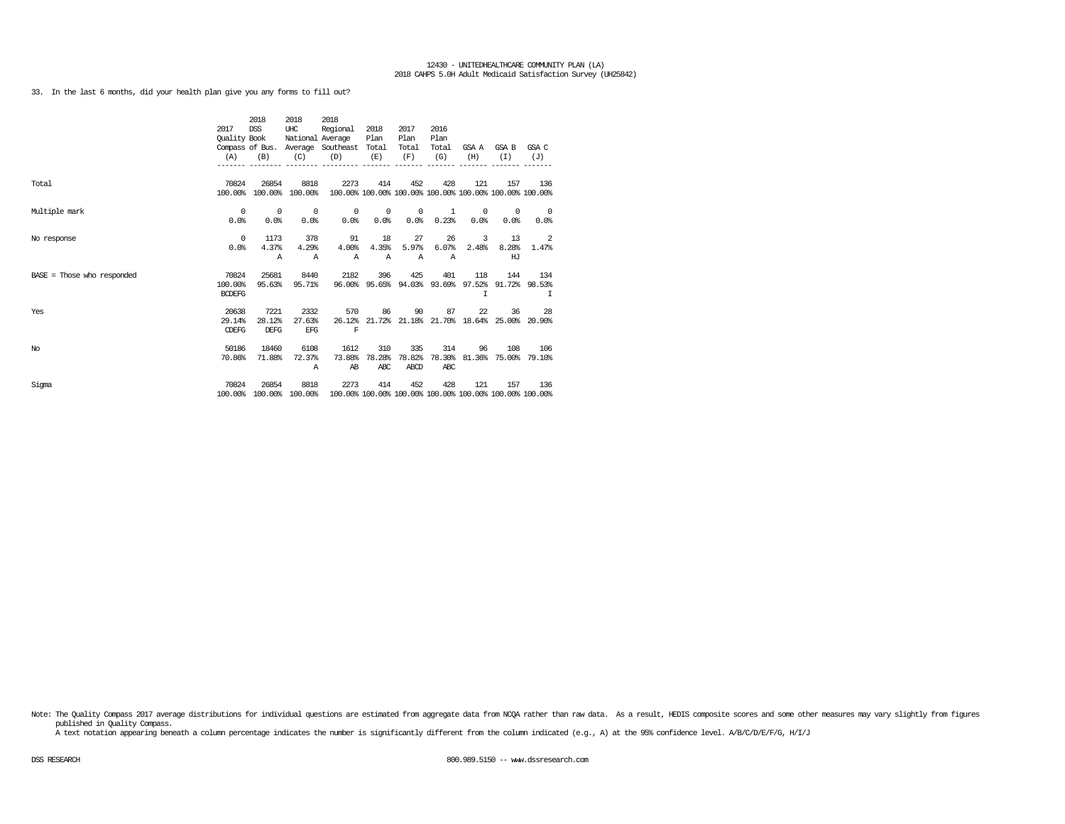33. In the last 6 months, did your health plan give you any forms to fill out?

|                              | 2017<br>Quality Book | 2018<br><b>DSS</b> | 2018<br>UHC<br>National Average | 2018<br>Regional                        | 2018<br>Plan | 2017<br>Plan | 2016<br>Plan |            |                                                                |                            |
|------------------------------|----------------------|--------------------|---------------------------------|-----------------------------------------|--------------|--------------|--------------|------------|----------------------------------------------------------------|----------------------------|
|                              |                      |                    |                                 | Compass of Bus. Average Southeast Total |              | Total        | Total        | GSA A      | GSA B                                                          | GSA C                      |
|                              | (A)                  | (B)                | (C)                             | (D)                                     | (E)          | (F)          | (G)          | (H)        | (T)                                                            | (J)                        |
|                              |                      |                    |                                 |                                         |              |              |              |            |                                                                |                            |
|                              |                      |                    |                                 |                                         |              |              |              |            |                                                                |                            |
| Total                        | 70824                | 26854              | 8818<br>100.00% 100.00%         | 2273                                    | 414          | 452          | 428          | 121        | 157<br>100.00% 100.00% 100.00% 100.00% 100.00% 100.00% 100.00% | 136                        |
|                              | 100.00%              |                    |                                 |                                         |              |              |              |            |                                                                |                            |
| Multiple mark                | $^{\circ}$           | $\circ$            | $^{\circ}$                      | $^{\circ}$                              | $^{\circ}$   | $^{\circ}$   | 1            | $^{\circ}$ | $^{\circ}$                                                     | $\overline{\phantom{0}}$   |
|                              | 0.0%                 | 0.0%               | 0.0%                            | 0.0%                                    | 0.0%         | 0.0%         | 0.23%        | 0.0%       | 0.0%                                                           | 0.0%                       |
|                              |                      |                    |                                 |                                         |              |              |              |            |                                                                |                            |
| No response                  | $^{\circ}$           | 1173               | 378                             | 91                                      | 18           | 27           | 26           | 3          | 13                                                             | $\overline{\phantom{0}}^2$ |
|                              | 0.0%                 | 4.37%              | 4.29%                           | 4.00%                                   | 4.35%        | 5.97%        | 6.07%        | 2.48%      | 8.28%                                                          | 1.47%                      |
|                              |                      | Α                  | $\mathbb{A}$                    | $\mathbb{A}$                            | $\mathbb{A}$ | $\mathbb{A}$ | Α            |            | HJ                                                             |                            |
| $BASE = Those who responded$ | 70824                | 25681              | 8440                            | 2182                                    | 396          | 425          | 401          | 118        | 144                                                            | 134                        |
|                              | 100.00%              | 95.63%             | 95.71%                          | 96.00%                                  |              |              |              |            | 95.65% 94.03% 93.69% 97.52% 91.72% 98.53%                      |                            |
|                              | <b>BCDEFG</b>        |                    |                                 |                                         |              |              |              | T          |                                                                | I                          |
|                              |                      |                    |                                 |                                         |              |              |              |            |                                                                |                            |
| Yes                          | 20638                | 7221               | 2332                            | 570                                     | 86           | 90           | 87           | 22         | 36                                                             | 28                         |
|                              | 29.14%               | 28.12%             | 27.63%                          | 26.12%                                  |              |              |              |            | 21.72% 21.18% 21.70% 18.64% 25.00% 20.90%                      |                            |
|                              | <b>CDEFG</b>         | DEFG               | <b>EFG</b>                      | F                                       |              |              |              |            |                                                                |                            |
| No                           | 50186                | 18460              | 6108                            | 1612                                    | 310          | 335          | 314          | 96         | 108                                                            | 106                        |
|                              | 70.86%               | 71.88%             | 72.37%                          | 73.88%                                  | 78.28%       | 78.82%       | 78.30%       |            | 81.36% 75.00% 79.10%                                           |                            |
|                              |                      |                    | A                               | AB                                      | ABC          | ABCD         | ABC          |            |                                                                |                            |
|                              |                      |                    |                                 |                                         |              |              |              |            |                                                                |                            |
| Sigma                        | 70824                | 26854              | 8818                            | 2273                                    | 414          | 452          | 428          | 121        | 157                                                            | 136                        |
|                              | 100.00%              |                    | 100.00% 100.00%                 |                                         |              |              |              |            | 100.00% 100.00% 100.00% 100.00% 100.00% 100.00% 100.00%        |                            |

Note: The Quality Compass 2017 average distributions for individual questions are estimated from aggregate data from NCQA rather than raw data. As a result, HEDIS composite scores and some other measures may vary slightly published in Quality Compass.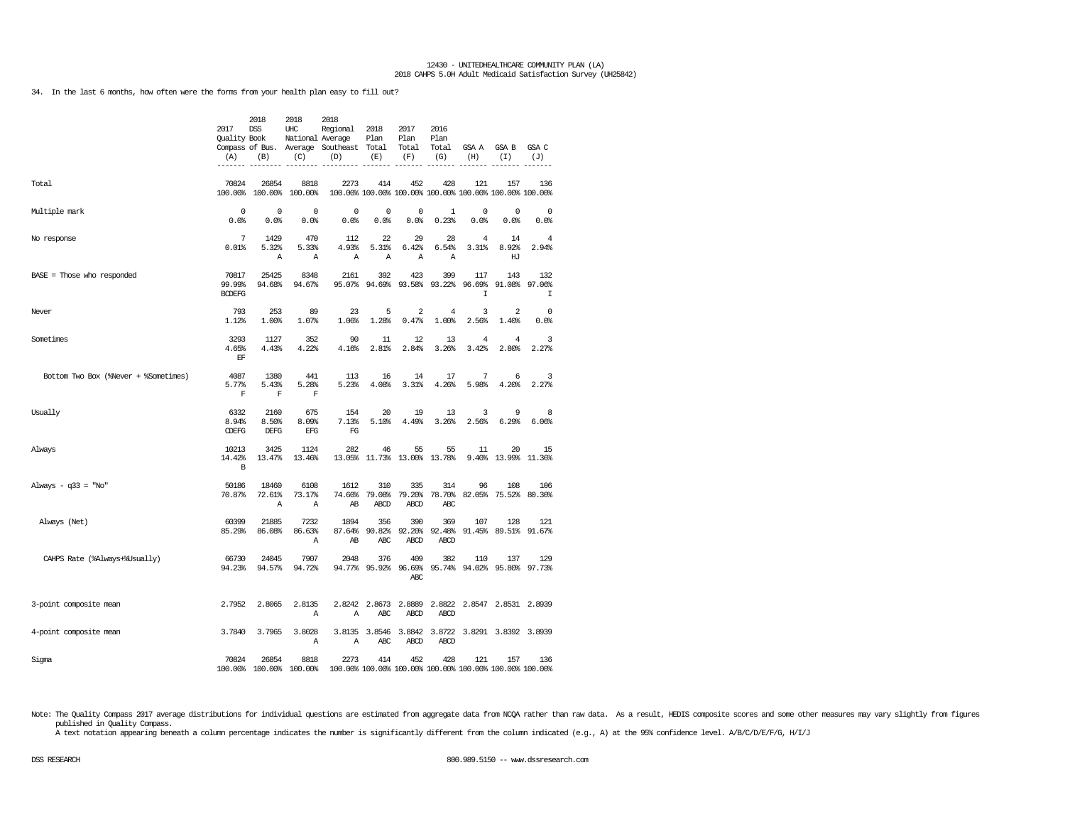34. In the last 6 months, how often were the forms from your health plan easy to fill out?

|                                      | 2017<br>Quality Book<br>(A)<br>------- | 2018<br><b>DSS</b><br>(B)    | 2018<br>UHC<br>National Average<br>(C) | 2018<br>Regional<br>Compass of Bus. Average Southeast<br>(D) | 2018<br>Plan<br>Total<br>(E) | 2017<br>Plan<br>Total<br>(F)                                   | 2016<br>Plan<br>Total<br>(G)               | GSA A<br>(H)       | GSA B<br>(T)         | GSA C<br>(J)<br>------ |
|--------------------------------------|----------------------------------------|------------------------------|----------------------------------------|--------------------------------------------------------------|------------------------------|----------------------------------------------------------------|--------------------------------------------|--------------------|----------------------|------------------------|
| Total                                | 70824<br>100.00%                       | 26854<br>100.00%             | 8818<br>100.00%                        | 2273                                                         | 414                          | 452<br>100.00% 100.00% 100.00% 100.00% 100.00% 100.00% 100.00% | 428                                        | 121                | 157                  | 136                    |
| Multiple mark                        | $\mathbb O$<br>0.0%                    | $\mathbf 0$<br>0.0%          | 0<br>0.0%                              | 0<br>0.0%                                                    | 0<br>0.0%                    | 0<br>0.0%                                                      | $\mathbf{1}$<br>0.23%                      | 0<br>0.0%          | 0<br>0.0%            | $\mathbf 0$<br>0.0%    |
| No response                          | $\overline{7}$<br>0.01%                | 1429<br>5.32%<br>Α           | 470<br>5.33%<br>Α                      | 112<br>4.93%<br>Α                                            | 22<br>5.31%<br>$\mathbb{A}$  | 29<br>6.42%<br>Α                                               | 28<br>6.54%<br>A                           | 4<br>3.31%         | 14<br>8.92%<br>HJ    | 4<br>2.94%             |
| BASE = Those who responded           | 70817<br>99.99%<br><b>BCDEFG</b>       | 25425<br>94.68%              | 8348<br>94.67%                         | 2161<br>95.07%                                               | 392<br>94.69%                | 423<br>93.58%                                                  | 399<br>93.22%                              | 117<br>96.69%<br>I | 143<br>91.08%        | 132<br>97.06%<br>T     |
| Never                                | 793<br>1.12%                           | 253<br>1.00%                 | 89<br>1.07%                            | 23<br>1.06%                                                  | 5<br>1.28%                   | 2<br>0.47%                                                     | 4<br>1.00%                                 | 3<br>2.56%         | 2<br>1.40%           | 0<br>0.0%              |
| Sometimes                            | 3293<br>4.65%<br>EF                    | 1127<br>4.43%                | 352<br>4.22%                           | 90<br>4.16%                                                  | 11<br>2.81%                  | 12<br>2.84%                                                    | 13<br>3.26%                                | 4<br>3.42%         | 4<br>2.80%           | 3<br>2.27%             |
| Bottom Two Box (%Never + %Sometimes) | 4087<br>5.77%<br>F                     | 1380<br>5.43%<br>F           | 441<br>5.28%<br>F                      | 113<br>5.23%                                                 | 16<br>4.08%                  | 14<br>3.31%                                                    | 17<br>4.26%                                | 7<br>5.98%         | 6<br>4.20%           | 3<br>2.27%             |
| Usually                              | 6332<br>8.94%<br>CDEFG                 | 2160<br>8.50%<br><b>DEFG</b> | 675<br>8.09%<br>EFG                    | 154<br>7.13%<br>FG                                           | 20<br>5.10%                  | 19<br>4.49%                                                    | 13<br>3.26%                                | 3<br>2.56%         | 9<br>6.29%           | 8<br>6.06%             |
| Always                               | 10213<br>14.42%<br>B                   | 3425<br>13.47%               | 1124<br>13.46%                         | 282<br>13.05%                                                | 46                           | 55<br>11.73% 13.00%                                            | 55<br>13.78%                               | 11<br>9.40%        | 20<br>13.99%         | 15<br>11.36%           |
| Always - $q33 = "No"$                | 50186<br>70.87%                        | 18460<br>72.61%<br>Α         | 6108<br>73.17%<br>Α                    | 1612<br>74.60%<br>AB                                         | 310<br>79.08%<br>ABCD        | 335<br>79.20%<br>ABCD                                          | 314<br>78.70%<br>ABC                       | 96<br>82.05%       | 108<br>75.52%        | 106<br>80.30%          |
| Always (Net)                         | 60399<br>85.29%                        | 21885<br>86.08%              | 7232<br>86.63%<br>Α                    | 1894<br>87.64%<br>AB                                         | 356<br>90.82%<br>ABC         | 390<br>92.20%<br>ABCD                                          | 369<br>92.48%<br>ABCD                      | 107<br>91.45%      | 128<br>89.51%        | 121<br>91.67%          |
| CAHPS Rate (%Always+%Usually)        | 66730<br>94.23%                        | 24045<br>94.57%              | 7907<br>94.72%                         | 2048<br>94.77%                                               | 376<br>95.92%                | 409<br>96.69%<br>ABC                                           | 382<br>95.74%                              | 110<br>94.02%      | 137<br>95.80%        | 129<br>97.73%          |
| 3-point composite mean               | 2.7952                                 | 2.8065                       | 2.8135<br>$\mathbb{A}$                 | 2.8242<br>$\mathbb{A}$                                       | 2.8673<br><b>ABC</b>         | 2.8889<br><b>ABCD</b>                                          | 2.8822<br>ABCD                             |                    | 2.8547 2.8531 2.8939 |                        |
| 4-point composite mean               | 3.7840                                 | 3.7965                       | 3.8028<br>Α                            | 3.8135<br>Α                                                  | 3.8546<br>ABC                | ABCD                                                           | 3.8842 3.8722 3.8291 3.8392 3.8939<br>ABCD |                    |                      |                        |
| Sigma                                | 70824                                  | 26854<br>100.00% 100.00%     | 8818<br>100.00%                        | 2273                                                         | 414                          | 452<br>100.00% 100.00% 100.00% 100.00% 100.00% 100.00% 100.00% | 428                                        | 121                | 157                  | 136                    |

Note: The Quality Compass 2017 average distributions for individual questions are estimated from aggregate data from NCQA rather than raw data. As a result, HEDIS composite scores and some other measures may vary slightly published in Quality Compass.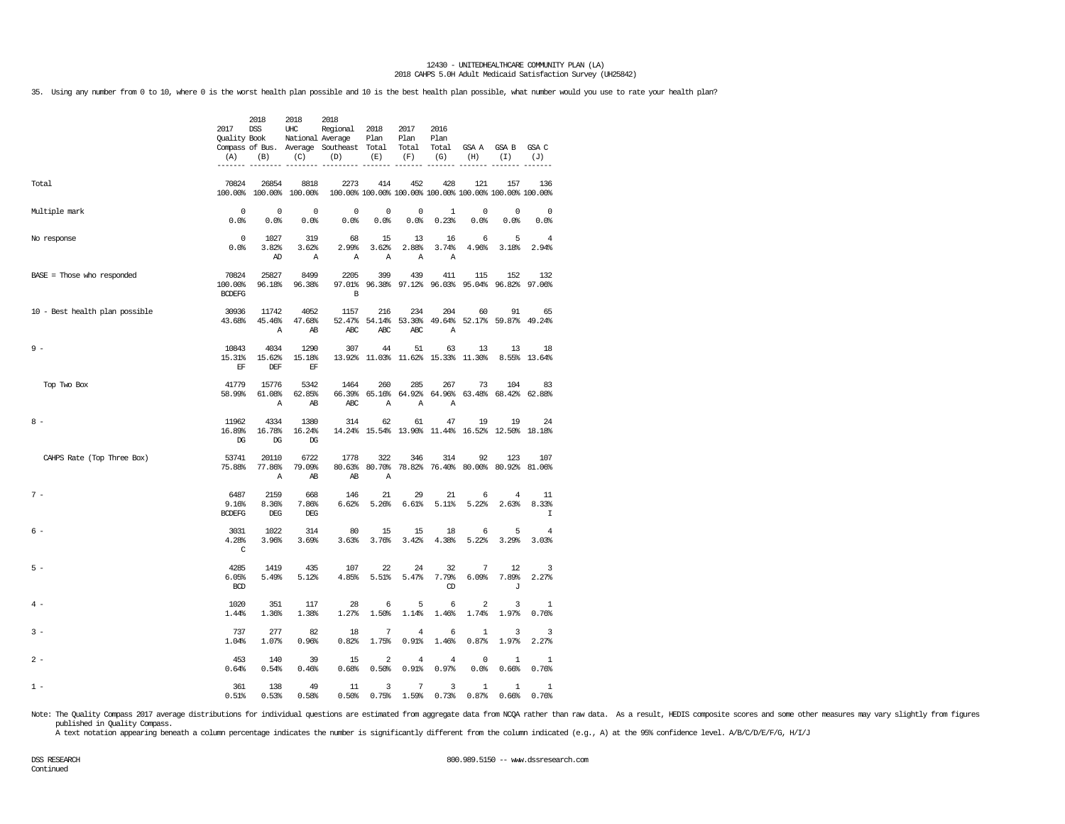35. Using any number from 0 to 10, where 0 is the worst health plan possible and 10 is the best health plan possible, what number would you use to rate your health plan?

|                                | 2017<br>Quality Book<br>(A)            | 2018<br>DSS<br>(B)<br>------- ------- | 2018<br>UHC<br>(C)<br>$- - - - - - -$ | 2018<br>Regional<br>National Average<br>Compass of Bus. Average Southeast Total<br>(D) | 2018<br>Plan<br>(E)<br>-----     | 2017<br>Plan<br>Total<br>(F)<br>--------                       | 2016<br>Plan<br>(G)                              | (H)                              | Total GSA A GSA B GSA C<br>(I) | (J)<br>-------                |
|--------------------------------|----------------------------------------|---------------------------------------|---------------------------------------|----------------------------------------------------------------------------------------|----------------------------------|----------------------------------------------------------------|--------------------------------------------------|----------------------------------|--------------------------------|-------------------------------|
| Total                          | 70824                                  | 26854<br>100.00% 100.00% 100.00%      | 8818                                  | 2273<br>100.00% 100.00% 100.00% 100.00% 100.00% 100.00% 100.00%                        | 414                              | 452                                                            | 428                                              | 121                              | 157                            | 136                           |
| Multiple mark                  | $\overline{0}$<br>0.0%                 | $\overline{0}$<br>0.0%                | $\overline{0}$<br>0.0%                | $\overline{0}$<br>0.0%                                                                 | $^{\circ}$<br>0.0%               | $\mathbf 0$<br>0.0%                                            | <sup>1</sup><br>0.23%                            | $\overline{\phantom{0}}$<br>0.0% | $^{\circ}$<br>0.0%             | $\sim$ 0<br>0.0%              |
| No response                    | $\sqrt{ }$<br>0.0%                     | 1027<br>3.82%<br>AD                   | 319<br>3.62%<br>A                     | 68<br>2.99%<br>$\mathbb{A}$                                                            | 15<br>3.62%<br>Α                 | 13<br>2.88%<br>Α                                               | 16<br>3.74%<br>Α                                 | - 6<br>4.96%                     | 5<br>3.18%                     | $\overline{4}$<br>2.94%       |
| $BASE = Those who responded$   | 70824<br>100.00%<br><b>BCDEFG</b>      | 25827<br>96.18%                       | 8499<br>96.38%                        | 2205<br>B                                                                              | 399                              | 439<br>97.01% 96.38% 97.12% 96.03% 95.04% 96.82% 97.06%        | 411                                              | 115                              | 152                            | 132                           |
| 10 - Best health plan possible | 30936<br>43.68%                        | 11742<br>45.46%<br>$\mathbb{A}$       | 4052<br>47.68%<br>AB                  | 1157<br>ABC                                                                            | 216<br>ABC                       | 234<br>52.47% 54.14% 53.30% 49.64% 52.17% 59.87% 49.24%<br>ABC | 204<br>Α                                         | 60                               | 91                             | 65                            |
| $9 -$                          | 10843<br>15.31%<br>$\operatorname{EF}$ | 4034<br>15.62%<br>DEF                 | 1290<br>15.18%<br>EF                  | 307                                                                                    | 44                               | 51<br>13.92% 11.03% 11.62% 15.33% 11.30%                       | 63                                               | 13                               | 13                             | 18<br>8.55% 13.64%            |
| Top Two Box                    | 41779<br>58.99%                        | 15776<br>61.08%<br>$\mathbb{A}$       | 5342<br>62.85%<br>AB                  | 1464<br>ABC                                                                            | 260<br>66.39% 65.16%<br>Α        | 285<br>Α                                                       | 267<br>64.92% 64.96%<br>A                        | 73                               | 104<br>63.48% 68.42% 62.88%    | 83                            |
| $8 -$                          | 11962<br>16.89%<br>DG                  | 4334<br>16.78%<br>DG                  | 1380<br>16.24%<br>DG                  | 314                                                                                    | 62                               | 61<br>14.24% 15.54% 13.90% 11.44% 16.52% 12.50% 18.18%         | 47                                               | 19                               | 19                             | 24                            |
| CAHPS Rate (Top Three Box)     | 53741<br>75.88%                        | 20110<br>77.86%<br>$\mathbb{A}$       | 6722<br>79.09%<br>AB                  | 1778<br>AB                                                                             | 322<br>$\mathbb{A}$              | 346<br>80.63% 80.70% 78.82% 76.40% 80.00% 80.92% 81.06%        | 314                                              | 92                               | 123                            | 107                           |
| $7 -$                          | 6487<br>9.16%<br><b>BCDEFG</b>         | 2159<br>8.36%<br>$DEG$                | 668<br>7.86%<br>DEG                   | 146<br>6.62%                                                                           | 21<br>5.26%                      | 29<br>6.61%                                                    | 21<br>5.11%                                      | 6<br>5.22%                       | $\overline{4}$<br>2.63%        | - 11<br>8.33%<br>$\mathsf{T}$ |
| 6 -                            | 3031<br>4.28%<br>C                     | 1022<br>3.96%                         | 314<br>3.69%                          | 80<br>3.63%                                                                            | 15<br>3.76%                      | 15<br>3.42%                                                    | 18<br>4.38%                                      | 6<br>5.22%                       | 5<br>3.29%                     | 4<br>3.03%                    |
| $5 -$                          | 4285<br>6.05%<br><b>BCD</b>            | 1419<br>5.49%                         | 435<br>5.12%                          | 107<br>4.85%                                                                           | 22<br>5.51%                      | 24<br>5.47%                                                    | 32<br>7.79%<br>$_{\tiny \textcircled{\tiny{1}}}$ | 7<br>6.09%                       | 12<br>7.89%<br>J               | 3<br>2.27%                    |
| $4 -$                          | 1020<br>1.44%                          | 351<br>1.36%                          | 117<br>1.38%                          | 28<br>1.27%                                                                            | 6<br>1.50%                       | 5<br>1.14%                                                     | 6<br>1.46%                                       | 2<br>1.74%                       | 3<br>1.97%                     | 1<br>0.76%                    |
| $3 -$                          | 737<br>1.04%                           | 277<br>1.07%                          | 82<br>0.96%                           | 18<br>0.82%                                                                            | 7<br>1.75%                       | 4<br>0.91%                                                     | 6<br>1.46%                                       | $\mathbf{1}$<br>0.87%            | 3<br>1.97%                     | 3<br>2.27%                    |
| $2 -$                          | 453<br>0.64%                           | 140<br>0.54%                          | 39<br>0.46%                           | 15<br>0.68%                                                                            | $\overline{\mathbf{c}}$<br>0.50% | 4<br>0.91%                                                     | $\overline{4}$<br>0.97%                          | $\mathbf 0$<br>0.0%              | 1<br>0.66%                     | $\mathbf{1}$<br>0.76%         |
| $1 -$                          | 361<br>0.51%                           | 138<br>0.53%                          | 49<br>0.58%                           | 11<br>0.50%                                                                            | 3<br>0.75%                       | 7<br>1.59%                                                     | 3<br>0.73%                                       | 1<br>0.87%                       | 1<br>0.66%                     | $\mathbf{1}$<br>0.76%         |

Note: The Quality Compass 2017 average distributions for individual questions are estimated from aggregate data from NCQA rather than raw data. As a result, HEDIS composite scores and some other measures may vary slightly published in Quality Compass.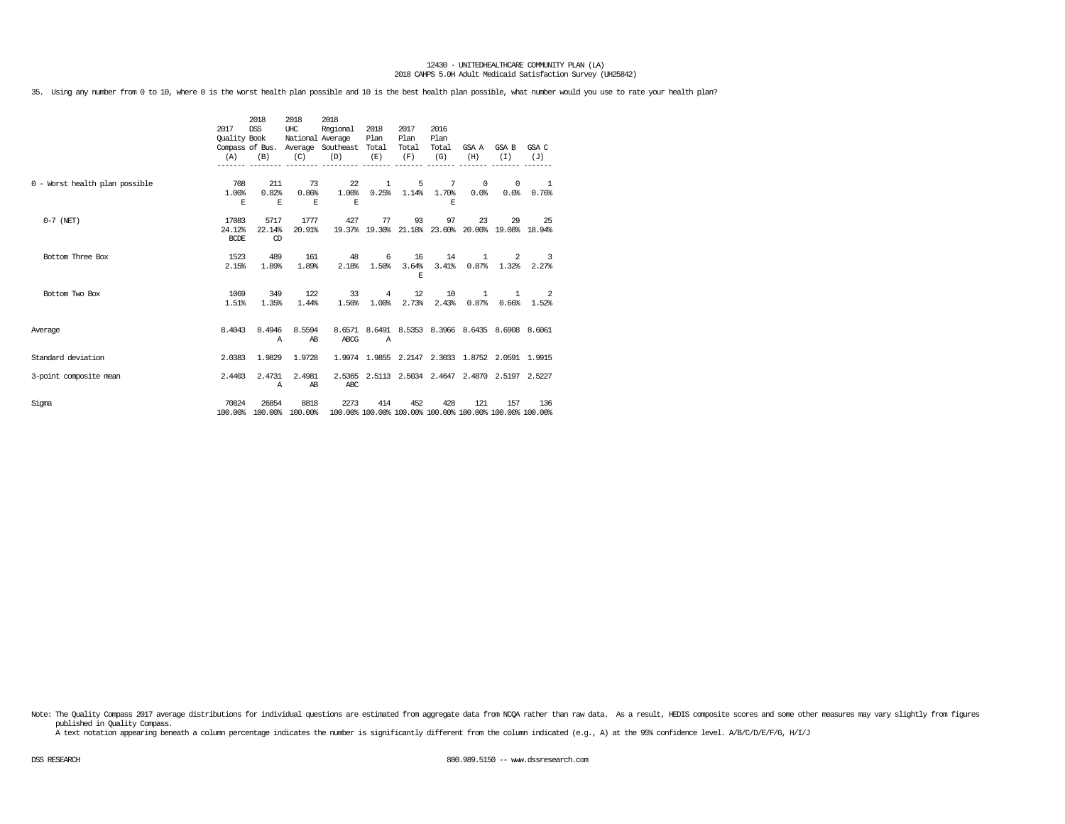35. Using any number from 0 to 10, where 0 is the worst health plan possible and 10 is the best health plan possible, what number would you use to rate your health plan?

|                                | 2017<br>Quality Book<br>(A)    | 2018<br><b>DSS</b><br>(B) | 2018<br>UHC<br>National Average<br>(C) | 2018<br>Regional<br>Compass of Bus. Average Southeast Total<br>(D)                      | 2018<br>Plan<br>(E)               | 2017<br>Plan<br>Total<br>(F) | 2016<br>Plan<br>Total<br>(G)    | (H)                                              | GSA A GSA B<br>(T)                      | GSA C<br>(J)                                     |
|--------------------------------|--------------------------------|---------------------------|----------------------------------------|-----------------------------------------------------------------------------------------|-----------------------------------|------------------------------|---------------------------------|--------------------------------------------------|-----------------------------------------|--------------------------------------------------|
| 0 - Worst health plan possible | 708<br>1.00%<br>F.             | 211<br>0.82%<br>E.        | 73<br>0.86%<br>E.                      | 22<br>1.00%<br>E.                                                                       | 1                                 | 5                            | 7<br>$0.25\%$ 1.14% 1.70%<br>F. | $^{\circ}$<br>0.0%                               | 0<br>0.0%                               | $\overline{\phantom{0}}$<br>0.76%                |
| $0-7$ (NET)                    | 17083<br>24.12%<br><b>BCDE</b> | 5717<br>22.14%<br>CD      | 1777<br>20.91%                         | 427                                                                                     | 77<br>19.37% 19.30% 21.18% 23.60% | 93                           | 97                              | 23                                               | 29                                      | -25<br>20.00% 19.08% 18.94%                      |
| Bottom Three Box               | 1523<br>2.15%                  | 489<br>1.89%              | 161<br>1.89%                           | 48<br>2.18%                                                                             | 6<br>1.50%                        | 16<br>3.64%<br>F.            | 14<br>3.41%                     | $\mathbf{1}$                                     | 2<br>$0.87\%$ 1.32%                     | 3<br>2.27%                                       |
| Bottom Two Box                 | 1069<br>1.51%                  | 349<br>1.35%              | 122<br>1.44%                           | 33<br>1.50%                                                                             | $4\overline{ }$<br>1.00%          | 12<br>2.73%                  | 10<br>2.43%                     | $\mathbf{1}$                                     | $\mathbf{1}$<br>$0.87\%$ $0.66\%$ 1.52% | -2                                               |
| Average                        | 8,4043                         | 8.4946<br>A               | 8.5594<br>AB                           | ABCG                                                                                    | $\mathbb{A}$                      |                              |                                 |                                                  |                                         | 8.6571 8.6491 8.5353 8.3966 8.6435 8.6908 8.6061 |
| Standard deviation             | 2.0383                         | 1.9829                    | 1.9728                                 |                                                                                         |                                   |                              |                                 | 1.9974 1.9855 2.2147 2.3033 1.8752 2.0591 1.9915 |                                         |                                                  |
| 3-point composite mean         | 2.4403                         | 2.4731<br>A               | 2.4981<br>AB                           | ABC                                                                                     |                                   |                              |                                 | 2.5365 2.5113 2.5034 2.4647 2.4870 2.5197 2.5227 |                                         |                                                  |
| Sigma                          | 70824                          | 26854                     | 8818                                   | 2273<br>100.00% 100.00% 100.00% 100.00% 100.00% 100.00% 100.00% 100.00% 100.00% 100.00% | 414                               | 452                          | 428                             | 121                                              | 157                                     | 136                                              |

Note: The Quality Compass 2017 average distributions for individual questions are estimated from aggregate data from NCQA rather than raw data. As a result, HEDIS composite scores and some other measures may vary slightly published in Quality Compass.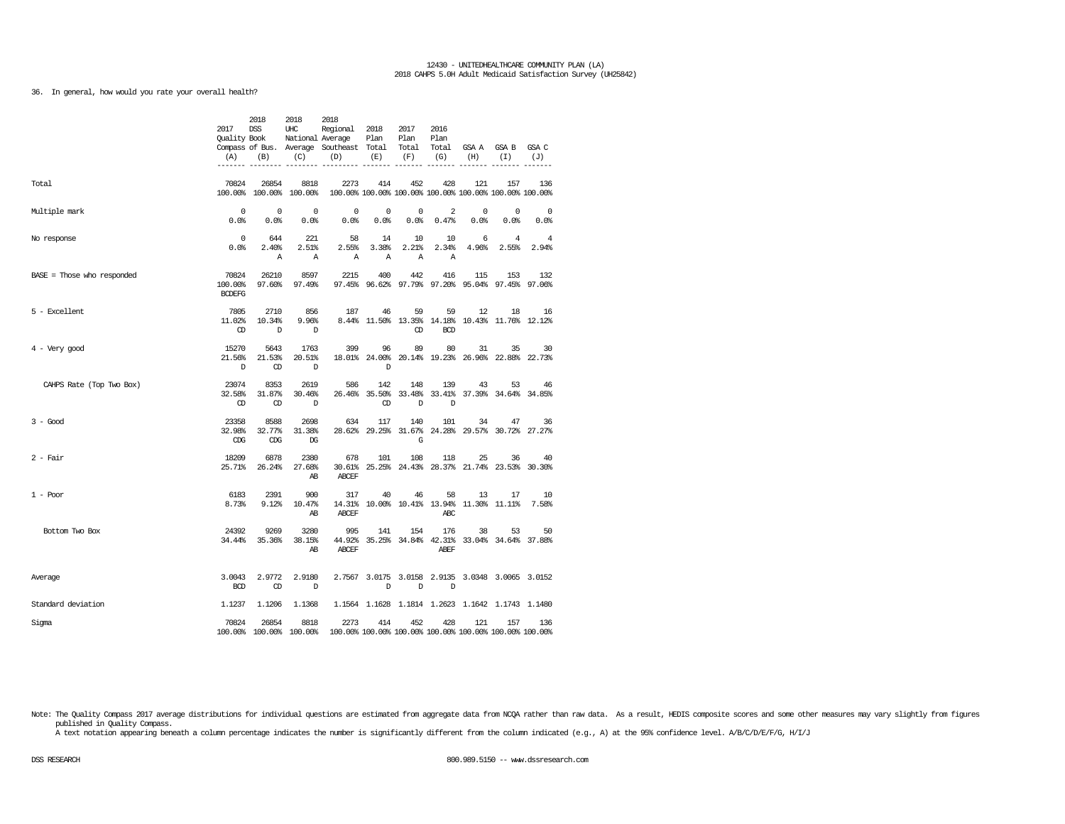36. In general, how would you rate your overall health?

|                            | 2017<br>Quality Book<br>(A)       | 2018<br><b>DSS</b><br>(B)<br>------- -------- | 2018<br>UHC<br>(C)              | 2018<br>Regional<br>National Average<br>Compass of Bus. Average Southeast Total Total Total<br>(D) | 2018<br>Plan<br>(E)  | 2017<br>Plan<br>(F)                             | 2016<br>Plan<br>(G)     | (H)                | GSA A GSA B<br>(I)                                             | GSA C<br>(J)    |
|----------------------------|-----------------------------------|-----------------------------------------------|---------------------------------|----------------------------------------------------------------------------------------------------|----------------------|-------------------------------------------------|-------------------------|--------------------|----------------------------------------------------------------|-----------------|
| Total                      | 70824                             | 26854                                         | 8818<br>100.00% 100.00% 100.00% | 2273                                                                                               | 414                  | 452                                             | 428                     | 121                | 157<br>100.00% 100.00% 100.00% 100.00% 100.00% 100.00% 100.00% | 136             |
| Multiple mark              | $\Omega$<br>0.0%                  | $\mathbf 0$<br>0.0%                           | $\Omega$<br>0.0%                | $\mathbf 0$<br>0.0%                                                                                | $\mathbf 0$<br>0.0%  | $\mathbf 0$<br>0.0%                             | $\overline{2}$<br>0.47% | $^{\circ}$<br>0.0% | $\mathbf 0$<br>0.0%                                            | $\circ$<br>0.0% |
| No response                | $\mathbf 0$<br>0.0%               | 644<br>2.40%<br>Α                             | 221<br>2.51%<br>Α               | 58<br>2.55%<br>Α                                                                                   | 14<br>3.38%<br>Α     | 10<br>2.21%<br>Α                                | 10<br>2.34%<br>Α        | 6<br>4.96%         | 4<br>2.55%                                                     | 4<br>2.94%      |
| BASE = Those who responded | 70824<br>100.00%<br><b>BCDEFG</b> | 26210<br>97.60%                               | 8597<br>97.49%                  | 2215                                                                                               | 400                  | 442                                             | 416                     | 115                | 153<br>97.45% 96.62% 97.79% 97.20% 95.04% 97.45% 97.06%        | 132             |
| 5 - Excellent              | 7805<br>11.02%<br>Œ               | 2710<br>10.34%<br>D                           | 856<br>9.96%<br>D               | 187                                                                                                | 46                   | 59<br>Œ                                         | 59<br><b>BCD</b>        | 12                 | 18<br>8.44% 11.50% 13.35% 14.18% 10.43% 11.76% 12.12%          | 16              |
| $4 - Very good$            | 15270<br>21.56%<br>D              | 5643<br>21.53%<br>CD                          | 1763<br>20.51%<br>D             | 399                                                                                                | 96<br>D              | 89                                              | 80                      | 31                 | 35<br>18.01% 24.00% 20.14% 19.23% 26.96% 22.88% 22.73%         | 30              |
| CAHPS Rate (Top Two Box)   | 23074<br>32.58%<br>$\circled{r}$  | 8353<br>31.87%<br>$\mathbb{C}$                | 2619<br>30.46%<br>$\mathbb{D}$  | 586                                                                                                | 142<br>$\mathbb{CD}$ | 148<br>D                                        | 139<br>D                | 43                 | 53<br>26.46% 35.50% 33.48% 33.41% 37.39% 34.64% 34.85%         | 46              |
| $3 - Good$                 | 23358<br>32.98%<br>CDG            | 8588<br>32.77%<br>CDG                         | 2698<br>31.38%<br>DG            | 634                                                                                                | 117                  | 140<br>28.62% 29.25% 31.67%<br>G                | 101                     | 34                 | 47<br>24.28% 29.57% 30.72% 27.27%                              | 36              |
| $2$ - Fair                 | 18209<br>25.71%                   | 6878<br>26.24%                                | 2380<br>27.68%<br>AB            | 678<br>ABCEF                                                                                       | 101                  | 108                                             | 118                     | 25                 | 36<br>30.61% 25.25% 24.43% 28.37% 21.74% 23.53% 30.30%         | 40              |
| $1 - Poor$                 | 6183<br>8.73%                     | 2391<br>9.12%                                 | 900<br>10.47%<br>AB             | 317<br>ABCEF                                                                                       | 40                   | 46<br>14.31% 10.00% 10.41% 13.94% 11.30% 11.11% | 58<br>ABC               | 13                 | 17                                                             | 10<br>7.58%     |
| Bottom Two Box             | 24392<br>34.44%                   | 9269<br>35.36%                                | 3280<br>38.15%<br>AB            | 995<br><b>ABCEF</b>                                                                                | 141                  | 154                                             | 176<br>ABEF             | 38                 | 53<br>44.92% 35.25% 34.84% 42.31% 33.04% 34.64% 37.88%         | 50              |
| Average                    | 3.0043<br><b>BCD</b>              | 2.9772<br>$\mathbb{C}$                        | 2.9180<br>D                     |                                                                                                    | D                    | D                                               | D                       |                    | 2.7567 3.0175 3.0158 2.9135 3.0348 3.0065 3.0152               |                 |
| Standard deviation         | 1.1237                            | 1.1206                                        | 1.1368                          |                                                                                                    |                      |                                                 |                         |                    | 1.1564 1.1628 1.1814 1.2623 1.1642 1.1743 1.1480               |                 |
| Sigma                      | 70824                             | 26854                                         | 8818<br>100.00% 100.00% 100.00% | 2273                                                                                               | 414                  | 452                                             | 428                     | 121                | 157<br>100.00% 100.00% 100.00% 100.00% 100.00% 100.00% 100.00% | 136             |

Note: The Quality Compass 2017 average distributions for individual questions are estimated from aggregate data from NCQA rather than raw data. As a result, HEDIS composite scores and some other measures may vary slightly published in Quality Compass.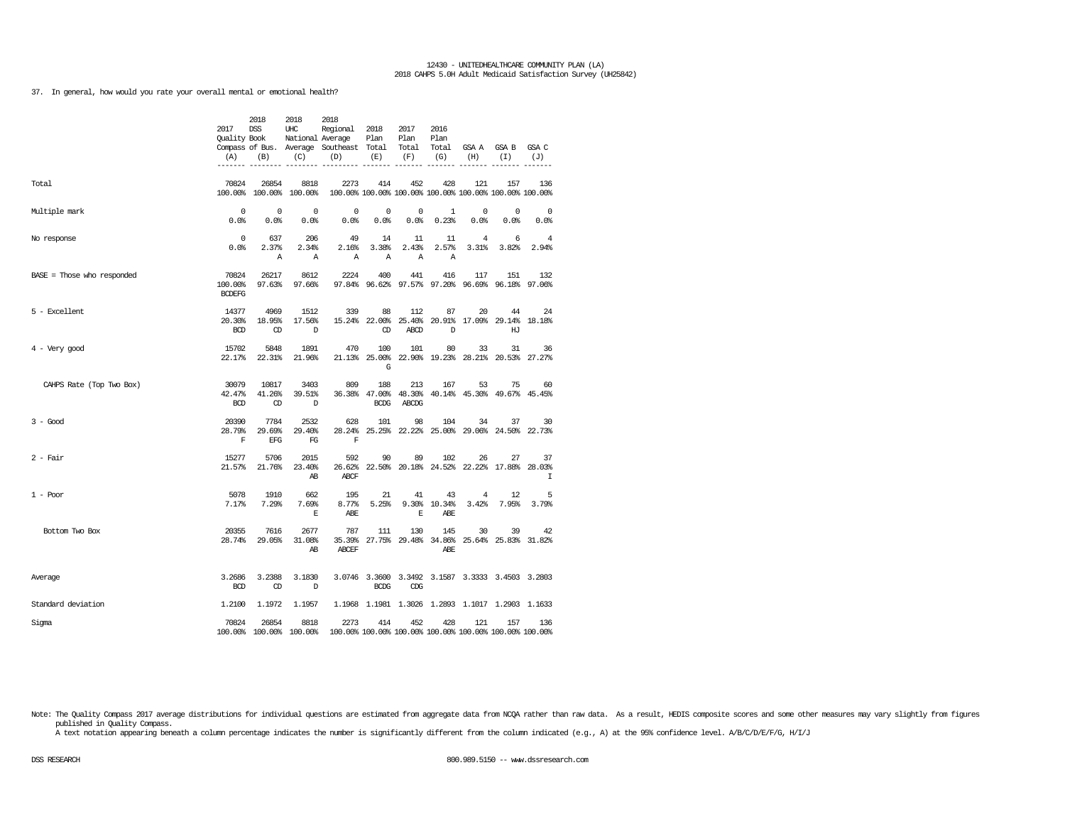37. In general, how would you rate your overall mental or emotional health?

|                              | 2017<br><b>Ouality Book</b><br>(A)<br>------- ----- | 2018<br><b>DSS</b><br>(B) | 2018<br>UHC<br>National Average<br>(C) | 2018<br>Regional<br>Compass of Bus. Average Southeast Total<br>(D) | 2018<br>Plan<br>(E)      | 2017<br>Plan<br>Total<br>(F) | 2016<br>Plan<br>Total<br>(G) | GSA A<br>(H)                             | GSA B<br>(T)                                                   | GSA C<br>(J)      |
|------------------------------|-----------------------------------------------------|---------------------------|----------------------------------------|--------------------------------------------------------------------|--------------------------|------------------------------|------------------------------|------------------------------------------|----------------------------------------------------------------|-------------------|
| Total                        | 70824                                               | 26854                     | 8818<br>100.00% 100.00% 100.00%        | 2273                                                               | 414                      | 452                          | 428                          | 121                                      | 157<br>100.00% 100.00% 100.00% 100.00% 100.00% 100.00% 100.00% | 136               |
| Multiple mark                | $\mathbf 0$<br>0.0%                                 | 0<br>0.0%                 | $^{\circ}$<br>0.0%                     | 0<br>0.0%                                                          | 0<br>0.0%                | 0<br>0.0%                    | 1<br>0.23%                   | 0<br>0.0%                                | 0<br>0.0%                                                      | 0<br>0.0%         |
| No response                  | 0<br>0.0%                                           | 637<br>2.37%<br>Α         | 206<br>2.34%<br>Α                      | 49<br>2.16%<br>Α                                                   | 14<br>3.38%<br>Α         | 11<br>2.43%<br>Α             | 11<br>2.57%<br>Α             | 4<br>3.31%                               | 6<br>3.82%                                                     | 4<br>2.94%        |
| $BASE = Those who responded$ | 70824<br>100.00%<br><b>BCDEFG</b>                   | 26217<br>97.63%           | 8612<br>97.66%                         | 2224                                                               | 400                      | 441<br>97.84% 96.62% 97.57%  | 416<br>97.20%                | 117                                      | 151<br>96.69% 96.18% 97.06%                                    | 132               |
| 5 - Excellent                | 14377<br>20.30%<br><b>BCD</b>                       | 4969<br>18.95%<br>OD      | 1512<br>17.56%<br>$\mathbb{D}$         | 339                                                                | 88<br>15.24% 22.00%<br>Œ | 112<br>25.40%<br><b>ABCD</b> | 87<br>20.91%<br>D            | 20                                       | 44<br>17.09% 29.14% 18.18%<br>HT                               | 24                |
| $4 -$ Very good              | 15702<br>22.17%                                     | 5848<br>22.31%            | 1891<br>21.96%                         | 470                                                                | 100<br>G                 | 101                          | 80                           | 33                                       | 31<br>21.13% 25.00% 22.90% 19.23% 28.21% 20.53% 27.27%         | 36                |
| CAHPS Rate (Top Two Box)     | 30079<br>42.47%<br><b>BCD</b>                       | 10817<br>41.26%<br>CD     | 3403<br>39.51%<br>D                    | 809                                                                | 188<br><b>BCDG</b>       | 213<br>ABCDG                 | 167                          | 53                                       | 75<br>36.38% 47.00% 48.30% 40.14% 45.30% 49.67% 45.45%         | 60                |
| $3 - Good$                   | 20390<br>28.79%<br>F                                | 7784<br>29.69%<br>EFG     | 2532<br>29.40%<br>FG                   | 628<br>28.24%<br>F                                                 | 101                      | 98                           | 104                          | 34                                       | 37<br>25.25% 22.22% 25.00% 29.06% 24.50% 22.73%                | 30                |
| $2 - Fair$                   | 15277<br>21.57%                                     | 5706<br>21.76%            | 2015<br>23.40%<br>AB                   | 592<br>26.62%<br>ABCF                                              | 90                       | 89                           | 102                          | 26<br>22.50% 20.18% 24.52% 22.22% 17.88% | 27                                                             | 37<br>28,03%<br>I |
| $1 - Poor$                   | 5078<br>7.17%                                       | 1910<br>7.29%             | 662<br>7.69%<br>E                      | 195<br>8.77%<br>ABE                                                | 21<br>5.25%              | 41<br>9.30%<br>E             | 43<br>10.34%<br>ABE          | $\bf{4}$<br>3.42%                        | 12<br>7.95%                                                    | 5<br>3.79%        |
| Bottom Two Box               | 20355<br>28.74%                                     | 7616<br>29.05%            | 2677<br>31.08%<br>AB                   | 787<br>35.39%<br>ABCEF                                             | 111                      | 130                          | 145<br>ABE.                  | 30                                       | 39<br>27.75% 29.48% 34.86% 25.64% 25.83% 31.82%                | 42                |
| Average                      | 3.2686<br><b>BCD</b>                                | 3.2388<br>Œ               | 3.1830<br>D                            |                                                                    | <b>BCDG</b>              | CDG                          |                              |                                          | 3.0746 3.3600 3.3492 3.1587 3.3333 3.4503 3.2803               |                   |
| Standard deviation           | 1.2100                                              | 1.1972                    | 1.1957                                 |                                                                    |                          |                              |                              |                                          | 1.1968 1.1981 1.3026 1.2893 1.1017 1.2903 1.1633               |                   |
| Sigma                        | 70824                                               | 26854                     | 8818<br>100.00% 100.00% 100.00%        | 2273                                                               | 414                      | 452                          | 428                          | 121                                      | 157<br>100.00% 100.00% 100.00% 100.00% 100.00% 100.00% 100.00% | 136               |

Note: The Quality Compass 2017 average distributions for individual questions are estimated from aggregate data from NCQA rather than raw data. As a result, HEDIS composite scores and some other measures may vary slightly published in Quality Compass.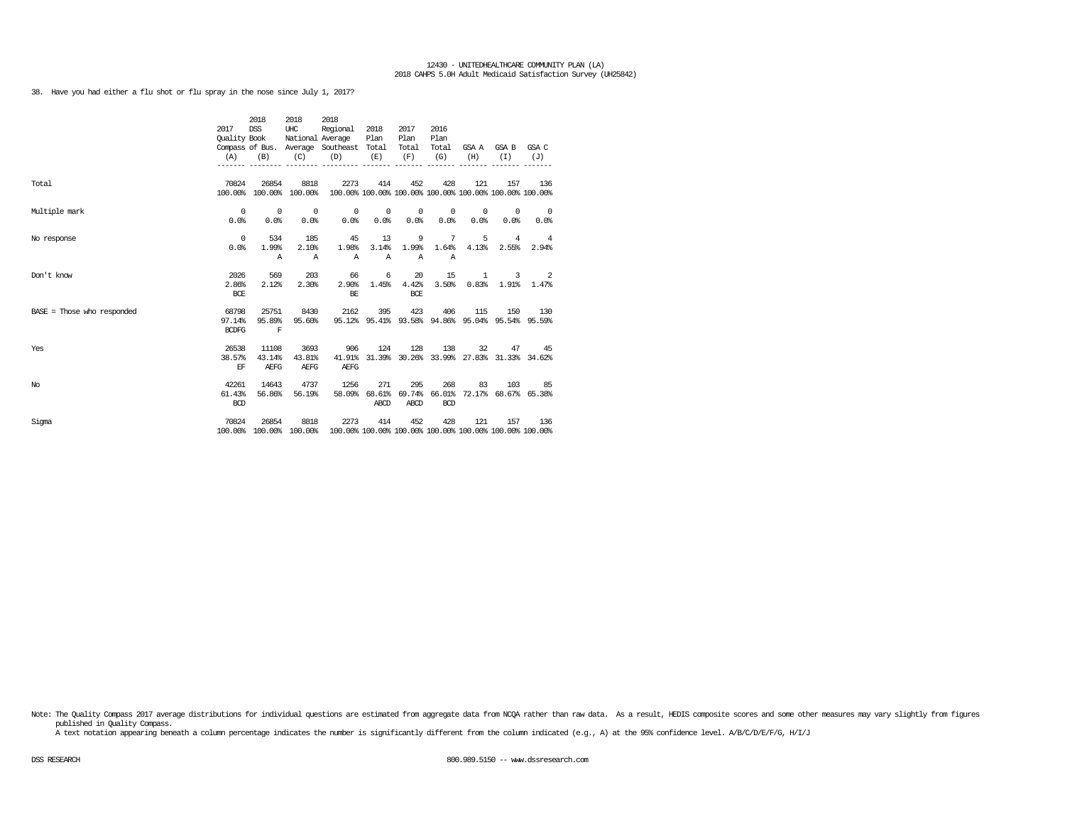38. Have you had either a flu shot or flu spray in the nose since July 1, 2017?

|                              |              | 2018                            | 2018                    | 2018                                                                                   |              |                      |                |                                                  |                                              |                         |
|------------------------------|--------------|---------------------------------|-------------------------|----------------------------------------------------------------------------------------|--------------|----------------------|----------------|--------------------------------------------------|----------------------------------------------|-------------------------|
|                              | 2017         | DSS                             | UHC                     | Regional 2018                                                                          |              | 2017                 | 2016           |                                                  |                                              |                         |
|                              | Ouality Book |                                 |                         | National Average                                                                       | Plan         | Plan                 | Plan           |                                                  |                                              |                         |
|                              |              |                                 |                         | Compass of Bus. Average Southeast Total                                                |              | Total                | Total          |                                                  | GSAA GSAB GSAC                               |                         |
|                              |              | $(A)$ $(B)$                     | $(C)$ $(D)$             |                                                                                        | (E)          | (F)                  | (G)            | (H)                                              | (T)                                          | (J)                     |
|                              |              |                                 |                         | --------- --------- -------                                                            |              |                      |                |                                                  |                                              |                         |
| Total                        | 70824        | 26854                           | 8818                    | 2273                                                                                   | 414          | 452                  | 428            | 121                                              | 157                                          | 136                     |
|                              |              |                                 | 100.00% 100.00% 100.00% | 100.00% 100.00% 100.00% 100.00% 100.00% 100.00% 100.00%                                |              |                      |                |                                                  |                                              |                         |
| Multiple mark                |              | $\begin{matrix}0&0\end{matrix}$ | $\sim$ 0                | $\begin{array}{ccccccccccccccccc} & & & & & & 0 & & & 0 & & & 0 & & 0 & & \end{array}$ |              |                      |                |                                                  | $\begin{array}{ccc} & & 0 & & 0 \end{array}$ | $\sim$ 0                |
|                              | 0.0%         | 0.0%                            |                         | 0.0%                                                                                   | 0.0% 0.0%    | 0.0%                 | 0.0%           | 0.0%                                             | $0.0$ $^{\circ}$                             | 0.0%                    |
| No response                  | $\sim$ 0     | 534                             | 185                     | 45                                                                                     | 13           | 9                    | $\overline{7}$ |                                                  | $5 \t 4$                                     | $\overline{4}$          |
|                              | 0.0%         | 1.99%                           | 2.10%                   | 1.98%                                                                                  | 3.14%        | 1.99%                | 1.64%          | 4.13%                                            | 2.55%                                        | 2.94%                   |
|                              |              | $\Delta$                        | A                       | $\mathbb{A}$                                                                           | $\mathbb{A}$ | $\mathbb{A}$         | $\mathbb{A}$   |                                                  |                                              |                         |
| Don't know                   | 2026         | 569                             | 203                     | 66                                                                                     | 6            | 20                   | 15             |                                                  | $1 \quad \cdots$                             | $3 \t 2$                |
|                              | 2.86%        | 2.12%                           | 2.30%                   |                                                                                        |              | $2.90\%$ 1.45% 4.42% | 3.50%          |                                                  |                                              | $0.83\$ $1.91\$ $1.47\$ |
|                              | <b>BCE</b>   |                                 |                         | BE                                                                                     |              | BCE                  |                |                                                  |                                              |                         |
| $BASE = Those who responded$ | 68798        |                                 | 25751 8430              | 2162                                                                                   | 395          |                      | 423 406        | 115                                              |                                              | 150 130                 |
|                              | 97.14%       | 95.89%                          | 95.60%                  |                                                                                        |              |                      |                | 95.12% 95.41% 93.58% 94.86% 95.04% 95.54% 95.59% |                                              |                         |
|                              | <b>BCDFG</b> | $\mathbb{F}$                    |                         |                                                                                        |              |                      |                |                                                  |                                              |                         |
| Yes                          | 26538        | 11108                           | 3693                    | 906                                                                                    | 124          |                      | 128 138        |                                                  | 32                                           | 47 45                   |
|                              | 38.57%       | 43.14%                          | 43.81%                  | 41.91%                                                                                 |              |                      |                | 31.39% 30.26% 33.99% 27.83% 31.33% 34.62%        |                                              |                         |
|                              | EF           | AEFG                            | AEFG                    | AEFG                                                                                   |              |                      |                |                                                  |                                              |                         |
| No.                          | 42261        | 14643                           | 4737                    | 1256                                                                                   | 271          | 295                  | 268            | 83                                               |                                              | 103 85                  |
|                              | 61.43%       | 56.86%                          | 56.19%                  |                                                                                        |              |                      |                | 58.09% 68.61% 69.74% 66.01% 72.17% 68.67% 65.38% |                                              |                         |
|                              | <b>BCD</b>   |                                 |                         |                                                                                        | ABCD         | ABCD                 | <b>BCD</b>     |                                                  |                                              |                         |
| Sigma                        | 70824        | 26854                           | 8818                    | 2273                                                                                   | 414          | 452                  | 428            | 121                                              | 157                                          | 136                     |
|                              |              |                                 |                         | 100.00% 100.00% 100.00% 100.00% 100.00% 100.00% 100.00% 100.00% 100.00% 100.00%        |              |                      |                |                                                  |                                              |                         |

Note: The Quality Compass 2017 average distributions for individual questions are estimated from aggregate data from NCQA rather than raw data. As a result, HEDIS composite scores and some other measures may vary slightly published in Quality Compass.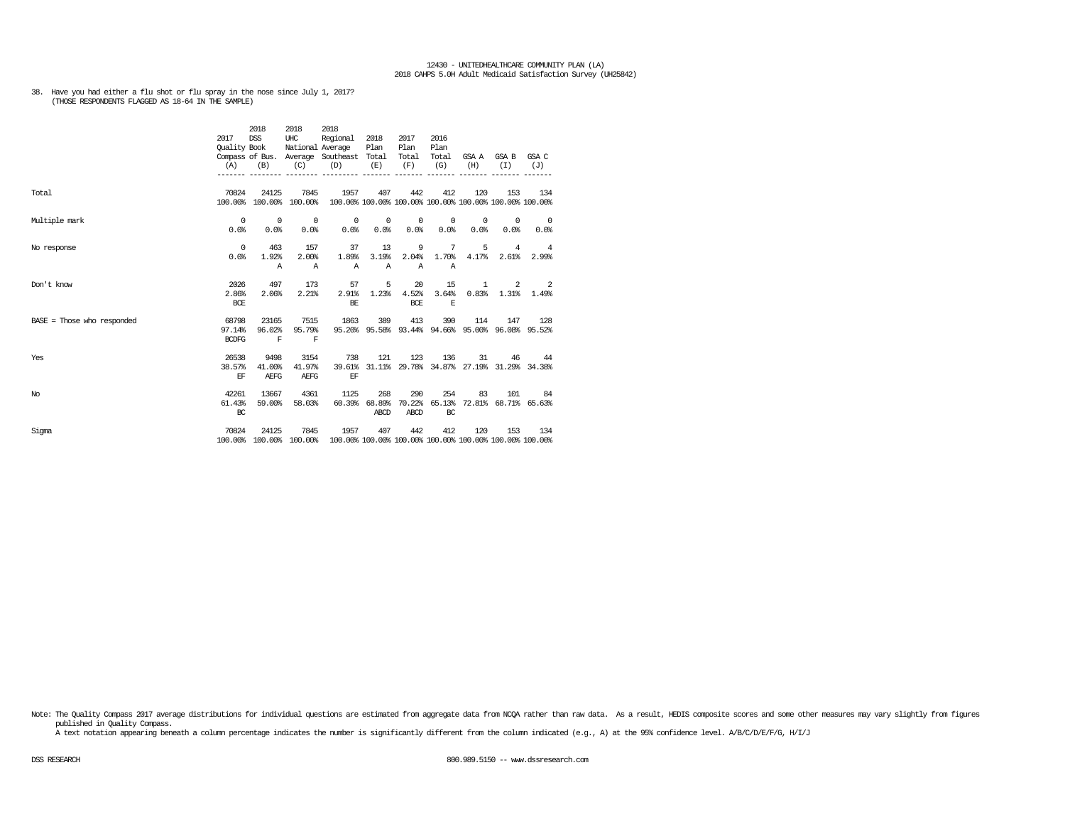# 38. Have you had either a flu shot or flu spray in the nose since July 1, 2017? (THOSE RESPONDENTS FLAGGED AS 18-64 IN THE SAMPLE)

|                              | 2017<br>Quality Book<br>(A)     | 2018<br><b>DSS</b><br>(B)      | 2018<br>UHC<br>(C)              | 2018<br>Regional<br>National Average<br>Compass of Bus. Average Southeast Total<br>(D) | 2018<br>Plan<br>(E)   | 2017<br>Plan<br>Total<br>(F)     | 2016<br>Plan<br>Total<br>(G)  | (H)             | GSA A GSA B<br>(T)      | GSA C<br>(J)                                                   |
|------------------------------|---------------------------------|--------------------------------|---------------------------------|----------------------------------------------------------------------------------------|-----------------------|----------------------------------|-------------------------------|-----------------|-------------------------|----------------------------------------------------------------|
| Total                        | 70824                           | 24125                          | 7845<br>100.00% 100.00% 100.00% | 1957                                                                                   | 407                   | 442                              | 412                           | 120             | 153                     | 134<br>100.00% 100.00% 100.00% 100.00% 100.00% 100.00% 100.00% |
| Multiple mark                | $^{\circ}$<br>0.0%              | $\sim$ 0<br>0.0%               | $\overline{0}$<br>0.0%          | $\circ$<br>0.0%                                                                        | $\circ$<br>0.0%       | $\overline{\phantom{0}}$<br>0.0% | $\circ$<br>0.0%               | $\circ$<br>0.0% | $^{\circ}$<br>0.0%      | $\overline{\phantom{0}}$<br>0.0%                               |
| No response                  | $^{\circ}$<br>0.0%              | 463<br>1.92%<br>$\mathbb{A}$   | 157<br>2.00%<br>$\mathbb{A}$    | 37<br>1.89%<br>$\mathbb{A}$                                                            | 13<br>3.19%<br>Α      | 9<br>2.04%<br>$\mathbb{A}$       | $7\phantom{.0}$<br>1.70%<br>Α | 5<br>4.17%      | $\overline{4}$<br>2.61% | $\overline{4}$<br>2.99%                                        |
| Don't know                   | 2026<br>2.86%<br><b>BCE</b>     | 497<br>2.06%                   | 173<br>2.21%                    | 57<br>2.91%<br>BE                                                                      | 5<br>1.23%            | 20<br>4.52%<br>BCE               | 15<br>3.64%<br>E              | $\mathbf{1}$    | 2<br>$0.83\%$ 1.31%     | $\overline{\phantom{0}}$ 2<br>1.49%                            |
| $BASE = Those who responded$ | 68798<br>97.14%<br><b>BCDFG</b> | 23165<br>96.02%<br>$\mathbf F$ | 7515<br>95.79%<br>F             | 1863                                                                                   | 389                   | 413                              | 390                           | 114             | 147                     | 128<br>95.20% 95.58% 93.44% 94.66% 95.00% 96.08% 95.52%        |
| Yes                          | 26538<br>38.57%<br>EF           | 9498<br>41.00%<br><b>AEFG</b>  | 3154<br>41.97%<br>AEFG          | 738<br>39.61%<br>EF                                                                    | 121                   | 123                              | 136                           | 31              | 46                      | 44<br>31.11% 29.78% 34.87% 27.19% 31.29% 34.38%                |
| No                           | 42261<br>61.43%<br>BC           | 13667<br>59.00%                | 4361<br>58.03%                  | 1125<br>60.39%                                                                         | 268<br>68.89%<br>ABCD | 290<br>ABCD                      | 254<br>BC                     | 83              | 101                     | 84<br>70.22% 65.13% 72.81% 68.71% 65.63%                       |
| Sigma                        | 70824                           | 24125                          | 7845<br>100.00% 100.00% 100.00% | 1957                                                                                   | 407                   | 442                              | 412                           | 120             | 153                     | 134<br>100.00% 100.00% 100.00% 100.00% 100.00% 100.00% 100.00% |

Note: The Quality Compass 2017 average distributions for individual questions are estimated from aggregate data from NOQA rather than raw data. As a result, HEDIS composite scores and some other measures may vary slightly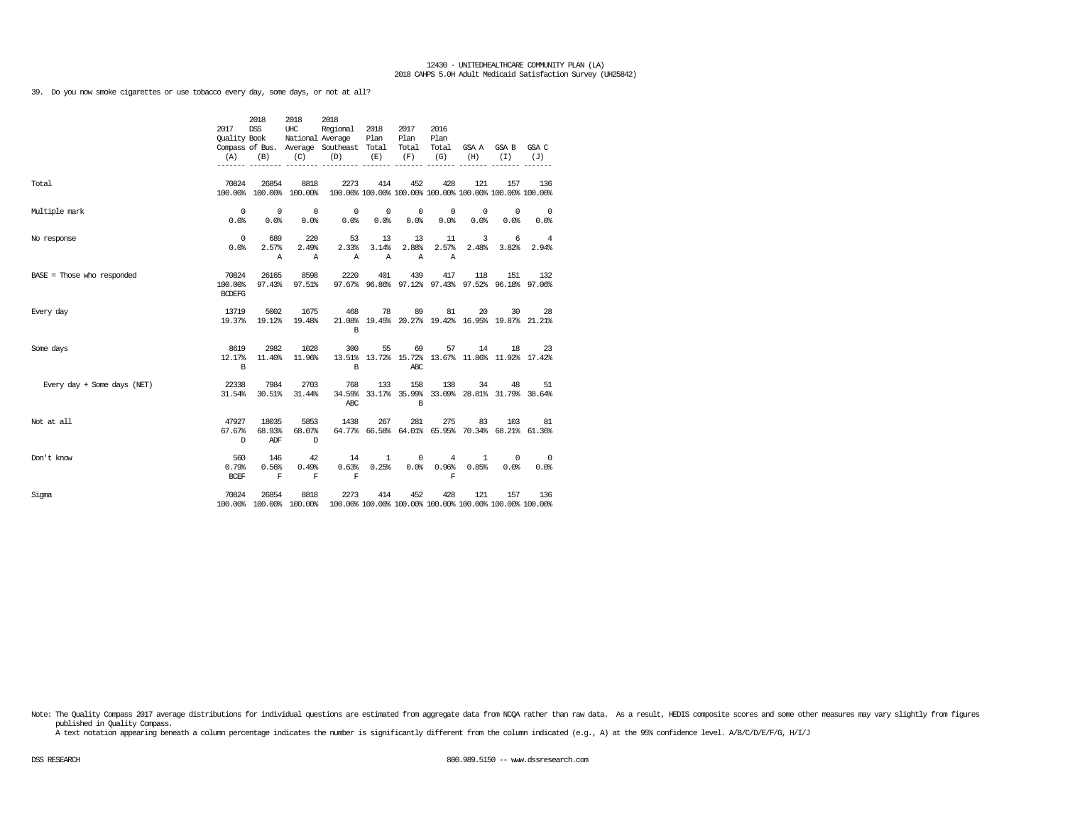39. Do you now smoke cigarettes or use tobacco every day, some days, or not at all?

|                              | 2017<br><b>Ouality Book</b><br>(A) | 2018<br><b>DSS</b><br>(B) | 2018<br>UHC<br>(C)               | 2018<br>Regional<br>National Average<br>Compass of Bus. Average Southeast Total<br>(D)  | 2018<br>Plan<br>(E)   | 2017<br>Plan<br>Total<br>(F) | 2016<br>Plan<br>Total<br>(G) | (H)                                                    | GSAA GSAB<br>(T)   | GSA C<br>(J)                                            |
|------------------------------|------------------------------------|---------------------------|----------------------------------|-----------------------------------------------------------------------------------------|-----------------------|------------------------------|------------------------------|--------------------------------------------------------|--------------------|---------------------------------------------------------|
| Total                        | 70824                              | 26854                     | 8818<br>100.00% 100.00% 100.00%  | 2273<br>100.00% 100.00% 100.00% 100.00% 100.00% 100.00% 100.00%                         | 414                   | 452                          | 428                          | 121                                                    | 157                | 136                                                     |
| Multiple mark                | 0<br>0.0%                          | $^{\circ}$<br>0.0%        | $\overline{\phantom{0}}$<br>0.0% | $\mathbf 0$<br>0.0%                                                                     | $\circ$<br>0.0%       | $\overline{0}$<br>0.0%       | 0<br>0.0%                    | $^{\circ}$<br>0.0%                                     | 0<br>0.0%          | - 0<br>0.0%                                             |
| No response                  | 0<br>0.0%                          | 689<br>2.57%<br>Α         | 220<br>2.49%<br>Α                | 53<br>2.33%<br>Α                                                                        | 13<br>3.14%<br>Α      | 13<br>2.88%<br>$\mathbb{A}$  | 11<br>2.57%<br>Α             | 3<br>2.48%                                             | 6<br>3.82%         | 4<br>2.94%                                              |
| $BASE = Those who responded$ | 70824<br>100.00%<br><b>BCDEFG</b>  | 26165<br>97.43%           | 8598<br>97.51%                   | 2220                                                                                    | 401                   | 439                          | 417                          | 118                                                    | 151                | 132<br>97.67% 96.86% 97.12% 97.43% 97.52% 96.18% 97.06% |
| Every day                    | 13719<br>19.37%                    | 5002<br>19.12%            | 1675<br>19.48%                   | 468<br><b>B</b>                                                                         | 78                    | 89                           | 81                           | 20                                                     | 30                 | 28<br>21.08% 19.45% 20.27% 19.42% 16.95% 19.87% 21.21%  |
| Some days                    | 8619<br>12.17%<br>$\mathbf B$      | 2982<br>11.40%            | 1028<br>11.96%                   | 300<br>B                                                                                | 55                    | 69<br>ABC                    | 57                           | 14<br>13.51% 13.72% 15.72% 13.67% 11.86% 11.92% 17.42% | 18                 | 23                                                      |
| Every day + Some days (NET)  | 22338<br>31.54%                    | 7984<br>30.51%            | 2703<br>31.44%                   | 768<br>ABC                                                                              | 133                   | 158<br><b>B</b>              | 138                          | 34                                                     | 48                 | 51<br>34.59% 33.17% 35.99% 33.09% 28.81% 31.79% 38.64%  |
| Not at all                   | 47927<br>67.67%<br>D               | 18035<br>68.93%<br>ADF    | 5853<br>68.07%<br>D              | 1438                                                                                    | 267                   | 281                          | 275                          | 83                                                     | 103                | 81<br>64.77% 66.58% 64.01% 65.95% 70.34% 68.21% 61.36%  |
| Don't know                   | 560<br>0.79%<br><b>BCEF</b>        | 146<br>0.56%<br>F         | 42<br>0.49%<br>F                 | 14<br>0.63%<br>F                                                                        | $\mathbf{1}$<br>0.25% | $\circ$                      | 4<br>0.0% 0.96%<br>F         | $\mathbf{1}$<br>0.85%                                  | $^{\circ}$<br>0.0% | $^{\circ}$<br>0.0%                                      |
| Sigma                        | 70824                              | 26854                     | 8818                             | 2273<br>100.00% 100.00% 100.00% 100.00% 100.00% 100.00% 100.00% 100.00% 100.00% 100.00% | 414                   | 452                          | 428                          | 121                                                    | 157                | 136                                                     |

Note: The Quality Compass 2017 average distributions for individual questions are estimated from aggregate data from NCQA rather than raw data. As a result, HEDIS composite scores and some other measures may vary slightly published in Quality Compass.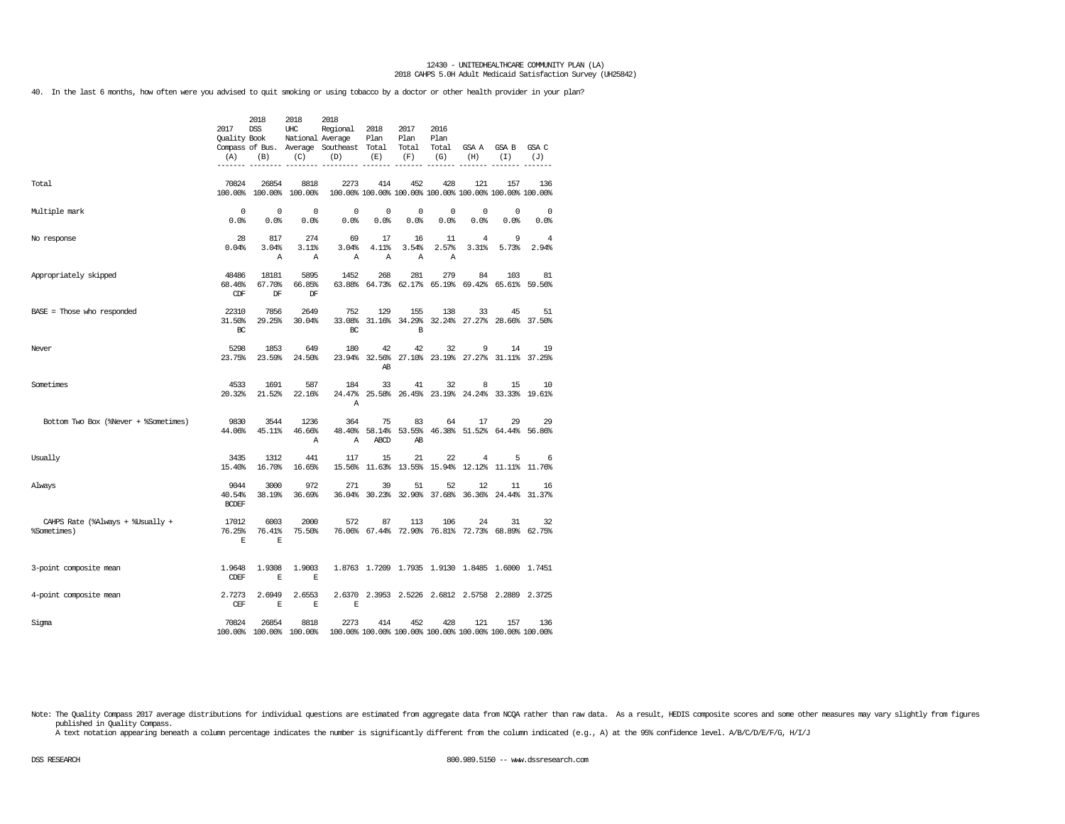40. In the last 6 months, how often were you advised to quit smoking or using tobacco by a doctor or other health provider in your plan?

|                                                 | 2017<br><b>Ouality Book</b><br>(A) | 2018<br><b>DSS</b><br>(B) | 2018<br>UHC<br>National Average<br>(C) | 2018<br>Regional<br>Compass of Bus. Average Southeast Total<br>(D) | 2018<br>Plan<br>(E)  | 2017<br>Plan<br>Total<br>(F) | 2016<br>Plan<br>Total<br>(G) | GSA A<br>(H)               | GSA B<br>(I)                                                   | GSA C<br>(J) |
|-------------------------------------------------|------------------------------------|---------------------------|----------------------------------------|--------------------------------------------------------------------|----------------------|------------------------------|------------------------------|----------------------------|----------------------------------------------------------------|--------------|
| Total                                           | 70824<br>100.00%                   | 26854<br>100.00%          | 8818<br>100.00%                        | 2273                                                               | 414                  | 452                          | 428                          | 121                        | 157<br>100.00% 100.00% 100.00% 100.00% 100.00% 100.00% 100.00% | 136          |
| Multiple mark                                   | $\Omega$<br>0.0%                   | $\mathbf 0$<br>0.0%       | $\Omega$<br>0.0%                       | $^{\circ}$<br>0.0%                                                 | $^{\circ}$<br>0.0%   | $\mathbf 0$<br>0.0%          | 0<br>0.0%                    | $\mathbf 0$<br>0.0%        | 0<br>0.0%                                                      | 0<br>0.0%    |
| No response                                     | 28<br>0.04%                        | 817<br>3.04%<br>Α         | 274<br>$3.11$ $8$<br>Α                 | 69<br>3.04%<br>Α                                                   | 17<br>4.11%<br>A     | 16<br>3.54%<br>Α             | 11<br>2.57%<br>Α             | 4<br>3.31%                 | 9<br>5.73%                                                     | 4<br>2.94%   |
| Appropriately skipped                           | 48486<br>68.46%<br>CDF             | 18181<br>67.70%<br>DF     | 5895<br>66.85%<br>DF                   | 1452<br>63.88%                                                     | 268<br>64.73%        | 281<br>62.17%                | 279<br>65.19%                | 84<br>69.42%               | 103<br>65.61%                                                  | 81<br>59.56% |
| BASE = Those who responded                      | 22310<br>31.50%<br>BC              | 7856<br>29.25%            | 2649<br>30.04%                         | 752<br>33.08%<br>RC.                                               | 129                  | 155<br>31.16% 34.29%<br>B    | 138                          | 33<br>32.24% 27.27% 28.66% | 45                                                             | 51<br>37.50% |
| Never                                           | 5298<br>23.75%                     | 1853<br>23.59%            | 649<br>24.50%                          | 180<br>23.94%                                                      | 42<br>32.56%<br>AB   | 42                           | 32                           | 9                          | 14<br>27.10% 23.19% 27.27% 31.11%                              | 19<br>37.25% |
| Sometimes                                       | 4533<br>20.32%                     | 1691<br>21.52%            | 587<br>22.16%                          | 184<br>24.47%<br>Α                                                 | 33                   | 41                           | 32                           | 8                          | 15<br>25.58% 26.45% 23.19% 24.24% 33.33% 19.61%                | 10           |
| Bottom Two Box (%Never + %Sometimes)            | 9830<br>44.06%                     | 3544<br>45.11%            | 1236<br>46.66%<br>Α                    | 364<br>48.40%<br>Α                                                 | 75<br>58.14%<br>ABCD | 83<br>53.55%<br>AB           | 64                           | 17                         | 29<br>46.38% 51.52% 64.44% 56.86%                              | 29           |
| Usually                                         | 3435<br>15.40%                     | 1312<br>16.70%            | 441<br>16.65%                          | 117<br>15.56%                                                      | 15                   | 21<br>11.63% 13.55%          | 22<br>15.94%                 | $\overline{4}$<br>12.12%   | 5<br>$11.11$ $8$                                               | 6<br>11.76%  |
| Always                                          | 9044<br>40.54%<br><b>BCDEF</b>     | 3000<br>38.19%            | 972<br>36.69%                          | 271<br>36.04%                                                      | 39<br>30.23%         | 51<br>32.90%                 | 52<br>37.68%                 | 12<br>36.36%               | 11<br>24.44%                                                   | 16<br>31.37% |
| CAHPS Rate (%Always + %Usually +<br>%Sometimes) | 17012<br>76.25%<br>$\mathbb E$     | 6003<br>76.41%<br>E       | 2000<br>75.50%                         | 572                                                                | 87                   | 113                          | 106                          | 24                         | 31<br>76.06% 67.44% 72.90% 76.81% 72.73% 68.89% 62.75%         | 32           |
| 3-point composite mean                          | 1.9648<br><b>CDEF</b>              | 1.9308<br>E               | 1,9003<br>$\mathbf E$                  |                                                                    |                      |                              |                              |                            | 1.8763 1.7209 1.7935 1.9130 1.8485 1.6000 1.7451               |              |
| 4-point composite mean                          | 2.7273<br><b>CEF</b>               | 2.6949<br>E               | 2.6553<br>E                            | E                                                                  |                      |                              |                              |                            | 2.6370 2.3953 2.5226 2.6812 2.5758 2.2889 2.3725               |              |
| Sigma                                           | 70824                              | 26854                     | 8818<br>100.00% 100.00% 100.00%        | 2273                                                               | 414                  | 452                          | 428                          | 121                        | 157<br>100.00% 100.00% 100.00% 100.00% 100.00% 100.00% 100.00% | 136          |

Note: The Quality Compass 2017 average distributions for individual questions are estimated from aggregate data from NCQA rather than raw data. As a result, HEDIS composite scores and some other measures may vary slightly published in Quality Compass.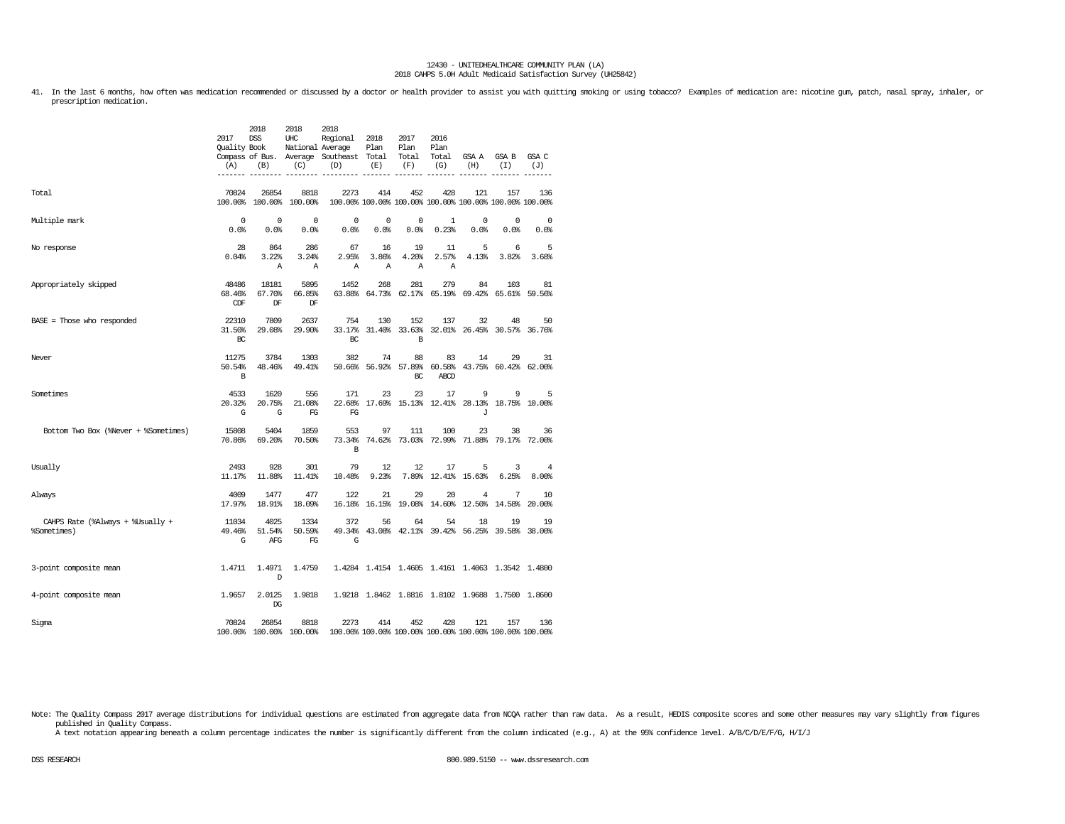41. In the last 6 months, how often was medication recommended or discussed by a doctor or health provider to assist you with quitting smoking or using tobacco? Examples of medication are: nicotine gum, patch, nasal spray, prescription medication.

|                                                 | 2017<br>Quality Book<br>(A) | 2018<br><b>DSS</b><br>(B)    | 2018<br>UHC<br>National Average<br>(C) | 2018<br>Regional<br>Compass of Bus. Average Southeast Total<br>(D) | 2018<br>Plan<br>(E) | 2017<br>Plan<br>Total<br>(F)     | 2016<br>Plan<br>Total<br>(G) | GSA A<br>(H)             | GSA B<br>(I)                                                   | GSA C<br>(J)           |
|-------------------------------------------------|-----------------------------|------------------------------|----------------------------------------|--------------------------------------------------------------------|---------------------|----------------------------------|------------------------------|--------------------------|----------------------------------------------------------------|------------------------|
| Total                                           | 70824                       | 26854                        | 8818<br>100.00% 100.00% 100.00%        | 2273                                                               | 414                 | 452                              | 428                          | 121                      | 157<br>100.00% 100.00% 100.00% 100.00% 100.00% 100.00% 100.00% | 136                    |
| Multiple mark                                   | 0<br>0.0%                   | $^{\circ}$<br>0.0%           | 0<br>0.0%                              | 0<br>0.0%                                                          | 0<br>0.0%           | 0<br>0.0%                        | 1<br>0.23%                   | 0<br>0.0%                | 0<br>0.0%                                                      | $\overline{0}$<br>0.0% |
| No response                                     | 28<br>0.04%                 | 864<br>3.22%<br>$\mathbb{A}$ | 286<br>3.24%<br>Α                      | 67<br>2.95%<br>Α                                                   | 16<br>3.86%<br>Α    | 19<br>4.20%<br>Α                 | 11<br>2.57%<br>Α             | 5<br>4.13%               | 6<br>3.82%                                                     | 5<br>3.68%             |
| Appropriately skipped                           | 48486<br>68.46%<br>CDF      | 18181<br>67.70%<br>DF        | 5895<br>66.85%<br>DF                   | 1452                                                               | 268                 | 281                              | 279                          | 84                       | 103<br>63.88% 64.73% 62.17% 65.19% 69.42% 65.61% 59.56%        | 81                     |
| BASE = Those who responded                      | 22310<br>31.50%<br>BC       | 7809<br>29.08%               | 2637<br>29.90%                         | 754<br>BC                                                          | 130                 | 152<br>B                         | 137                          | 32                       | 48<br>33.17% 31.40% 33.63% 32.01% 26.45% 30.57% 36.76%         | 50                     |
| Never                                           | 11275<br>50.54%<br>B        | 3784<br>48.46%               | 1303<br>49.41%                         | 382                                                                | 74                  | 88<br>50.66% 56.92% 57.89%<br>BC | 83<br>60.58%<br>ABCD         | 14                       | 29<br>43.75% 60.42% 62.00%                                     | 31                     |
| Sometimes                                       | 4533<br>20.32%<br>G         | 1620<br>20.75%<br>G          | 556<br>21.08%<br>FG                    | 171<br>FG                                                          | 23                  | 23                               | 17                           | 9<br>J                   | 9<br>22.68% 17.69% 15.13% 12.41% 28.13% 18.75% 10.00%          | 5                      |
| Bottom Two Box (%Never + %Sometimes)            | 15808<br>70.86%             | 5404<br>69.20%               | 1859<br>70.50%                         | 553<br>73.34%<br>B                                                 | 97                  | 111                              | 100                          | 23                       | 38<br>74.62% 73.03% 72.99% 71.88% 79.17% 72.00%                | 36                     |
| Usually                                         | 2493<br>11.17%              | 928<br>11.88%                | 301<br>11.41%                          | 79<br>10.48%                                                       | 12<br>9.23%         | 12                               | 17                           | 5<br>7.89% 12.41% 15.63% | 3<br>6.25%                                                     | 4<br>8,00%             |
| Always                                          | 4009<br>17.97%              | 1477<br>18.91%               | 477<br>18.09%                          | 122                                                                | 21                  | 29                               | 20                           | 4                        | 7<br>16.18% 16.15% 19.08% 14.60% 12.50% 14.58%                 | 10<br>20.00%           |
| CAHPS Rate (%Always + %Usually +<br>%Sometimes) | 11034<br>49.46%<br>G        | 4025<br>51.54%<br>AFG        | 1334<br>50.59%<br>FG                   | 372<br>G                                                           | 56                  | 64                               | 54                           | 18                       | 19<br>49.34% 43.08% 42.11% 39.42% 56.25% 39.58% 38.00%         | 19                     |
| 3-point composite mean                          | 1.4711                      | 1.4971<br>D                  | 1.4759                                 |                                                                    |                     |                                  |                              |                          | 1.4284 1.4154 1.4605 1.4161 1.4063 1.3542 1.4800               |                        |
| 4-point composite mean                          | 1.9657                      | 2.0125<br>DG                 | 1.9818                                 |                                                                    |                     |                                  |                              |                          | 1.9218 1.8462 1.8816 1.8102 1.9688 1.7500 1.8600               |                        |
| Sigma                                           | 70824                       | 26854                        | 8818<br>100.00% 100.00% 100.00%        | 2273                                                               | 414                 | 452                              | 428                          | 121                      | 157<br>100.00% 100.00% 100.00% 100.00% 100.00% 100.00% 100.00% | 136                    |

Note: The Quality Compass 2017 average distributions for individual questions are estimated from aggregate data from NCQA rather than raw data. As a result, HEDIS composite scores and some other measures may vary slightly published in Quality Compass.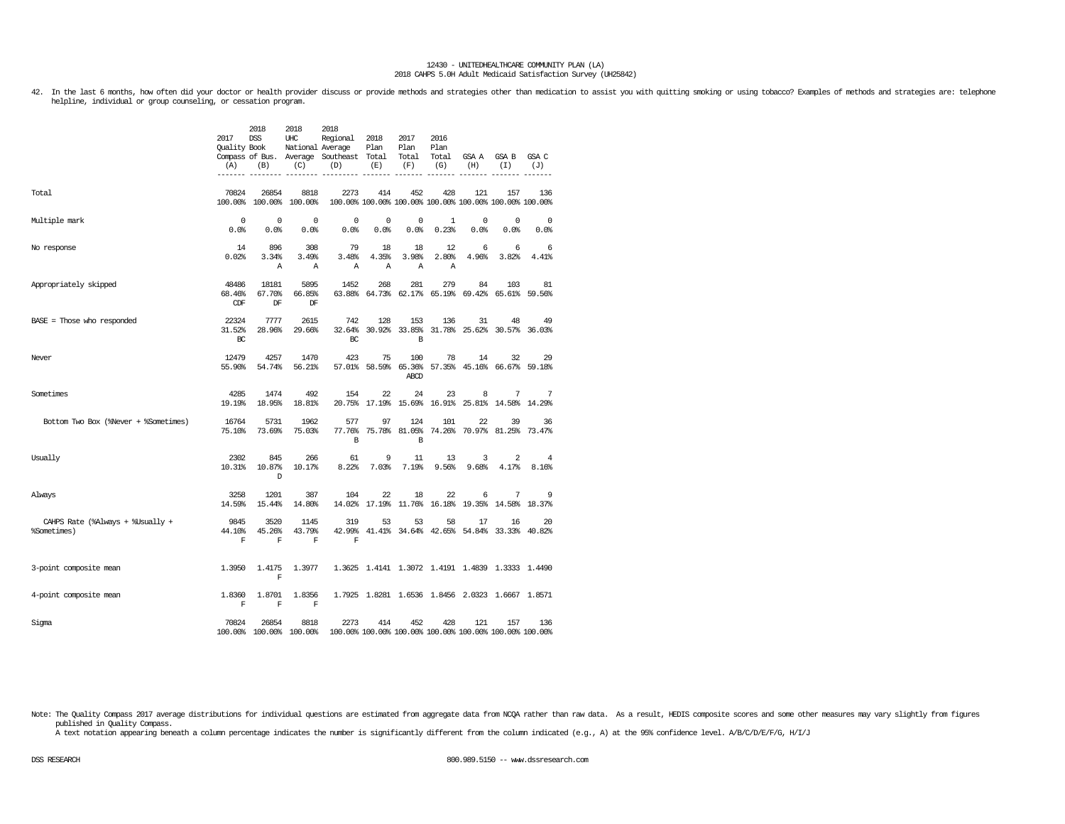42. In the last 6 months, how often did your doctor or health provider discuss or provide methods and strategies other than medication to assist you with quitting smoking or using tobacco? Examples of methods and strategie helpline, individual or group counseling, or cessation program.

|                                                 | 2017<br><b>Ouality Book</b><br>(A) | 2018<br><b>DSS</b><br>(B)        | 2018<br>UHC<br>National Average<br>(C) | 2018<br>Regional<br>Compass of Bus. Average Southeast Total<br>(D) | 2018<br>Plan<br>(E) | 2017<br>Plan<br>Total<br>(F)       | 2016<br>Plan<br>Total<br>(G) | GSA A<br>(H) | GSA B<br>(T)                                                   | GSA C<br>(J)       |
|-------------------------------------------------|------------------------------------|----------------------------------|----------------------------------------|--------------------------------------------------------------------|---------------------|------------------------------------|------------------------------|--------------|----------------------------------------------------------------|--------------------|
| Total                                           | 70824                              | 26854<br>100.00% 100.00%         | 8818<br>100.00%                        | 2273                                                               | 414                 | 452                                | 428                          | 121          | 157<br>100.00% 100.00% 100.00% 100.00% 100.00% 100.00% 100.00% | 136                |
| Multiple mark                                   | $^{\circ}$<br>0.0%                 | $^{\circ}$<br>0.0%               | $\Omega$<br>0.0%                       | 0<br>0.0%                                                          | 0<br>0.0%           | 0<br>0.0%                          | 1<br>0.23%                   | 0<br>0.0%    | 0<br>0.0%                                                      | $^{\circ}$<br>0.0% |
| No response                                     | 14<br>0.02%                        | 896<br>3.34%<br>Α                | 308<br>3.49%<br>Α                      | 79<br>3.48%<br>Α                                                   | 18<br>4.35%<br>Α    | 18<br>3.98%<br>Α                   | 12<br>2.80%<br>A             | 6<br>4.96%   | 6<br>3.82%                                                     | 6<br>4.41%         |
| Appropriately skipped                           | 48486<br>68.46%<br><b>CDF</b>      | 18181<br>67.70%<br>DF            | 5895<br>66.85%<br>DF                   | 1452                                                               | 268                 | 281<br>63.88% 64.73% 62.17% 65.19% | 279                          | 84           | 103<br>69.42% 65.61% 59.56%                                    | 81                 |
| $BASE = Those who responded$                    | 22324<br>31.52%<br>BC              | 7777<br>28.96%                   | 2615<br>29.66%                         | 742<br>32.64%<br>BC                                                | 128<br>30.92%       | 153<br>33.85%<br>B                 | 136                          | 31           | 48<br>31.78% 25.62% 30.57% 36.03%                              | 49                 |
| Never                                           | 12479<br>55.90%                    | 4257<br>54.74%                   | 1470<br>56.21%                         | 423                                                                | 75                  | 100<br>ABCD                        | 78                           | 14           | 32<br>57.01% 58.59% 65.36% 57.35% 45.16% 66.67% 59.18%         | 29                 |
| Sometimes                                       | 4285<br>19.19%                     | 1474<br>18.95%                   | 492<br>18.81%                          | 154<br>20.75%                                                      | 22<br>17.19%        | 24<br>15.69%                       | 23<br>16.91%                 | 8            | 7<br>25.81% 14.58% 14.29%                                      | 7                  |
| Bottom Two Box (%Never + %Sometimes)            | 16764<br>75.10%                    | 5731<br>73.69%                   | 1962<br>75.03%                         | 577<br>77.76%<br>B                                                 | 97                  | 124<br>75.78% 81.05%<br>B          | 101<br>74.26%                | 22           | 39<br>70.97% 81.25%                                            | 36<br>73.47%       |
| Usually                                         | 2302<br>10.31%                     | 845<br>10.87%<br>D               | 266<br>10.17%                          | 61<br>8.22%                                                        | 9<br>7.03%          | 11<br>7.19%                        | 13<br>9.56%                  | 3<br>9.68%   | 2<br>4.17%                                                     | 4<br>8.16%         |
| Always                                          | 3258<br>14.59%                     | 1201<br>15.44%                   | 387<br>14.80%                          | 104                                                                | 22                  | 18                                 | 22                           | 6            | 7<br>14.02% 17.19% 11.76% 16.18% 19.35% 14.58% 18.37%          | 9                  |
| CAHPS Rate (%Always + %Usually +<br>%Sometimes) | 9845<br>44.10%<br>F                | 3520<br>45.26%<br>$\mathbf F$    | 1145<br>43.79%<br>F                    | 319<br>$\mathbf F$                                                 | 53                  | 53                                 | 58                           | 17           | 16<br>42.99% 41.41% 34.64% 42.65% 54.84% 33.33% 40.82%         | 20                 |
| 3-point composite mean                          | 1.3950                             | 1.4175<br>F                      | 1.3977                                 |                                                                    |                     |                                    |                              |              | 1.3625 1.4141 1.3072 1.4191 1.4839 1.3333 1.4490               |                    |
| 4-point composite mean                          | 1.8360<br>F                        | 1.8701<br>$\mathbf F$            | 1.8356<br>$\mathbf F$                  |                                                                    |                     |                                    |                              |              | 1.7925 1.8281 1.6536 1.8456 2.0323 1.6667 1.8571               |                    |
| Sigma                                           | 70824                              | 26854<br>100.00% 100.00% 100.00% | 8818                                   | 2273                                                               | 414                 | 452                                | 428                          | 121          | 157<br>100.00% 100.00% 100.00% 100.00% 100.00% 100.00% 100.00% | 136                |

Note: The Quality Compass 2017 average distributions for individual questions are estimated from aggregate data from NCQA rather than raw data. As a result, HEDIS composite scores and some other measures may vary slightly published in Quality Compass.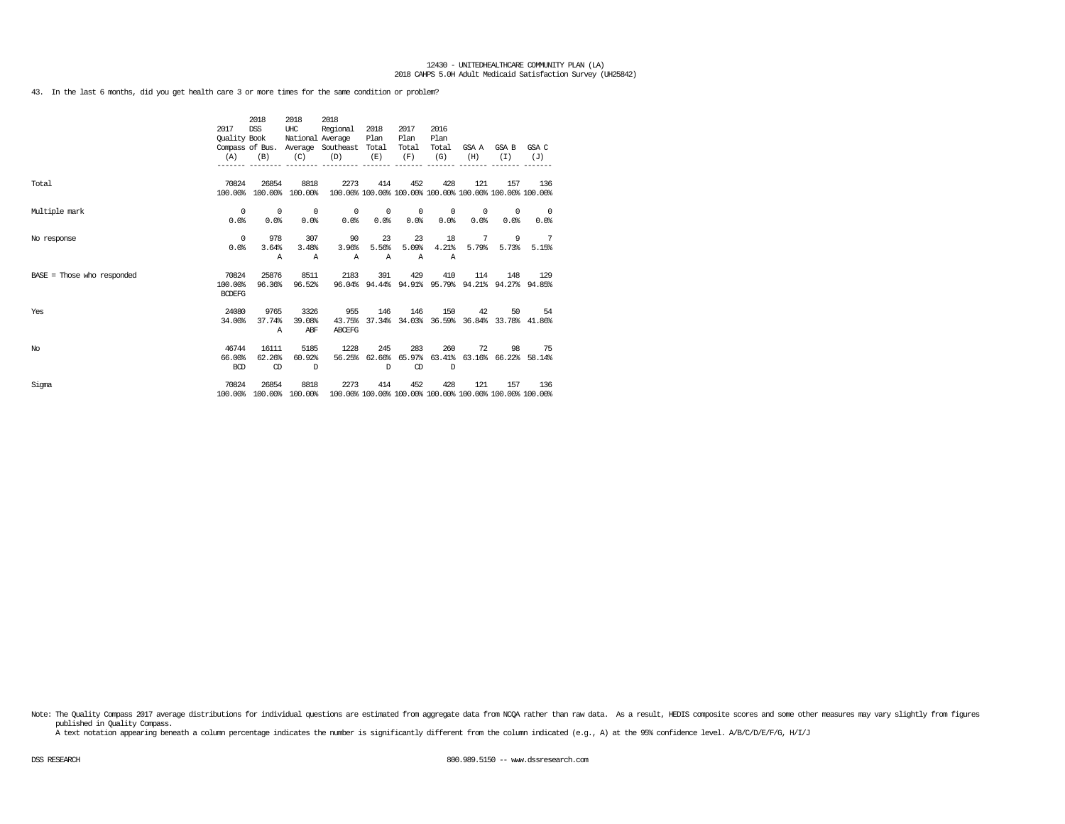43. In the last 6 months, did you get health care 3 or more times for the same condition or problem?

|                              | 2017<br>Quality Book | 2018<br><b>DSS</b> | 2018<br>UHC<br>National Average | 2018<br>Regional                                                        | 2018<br>Plan | 2017<br>Plan             | 2016<br>Plan |         |                                                         |                          |
|------------------------------|----------------------|--------------------|---------------------------------|-------------------------------------------------------------------------|--------------|--------------------------|--------------|---------|---------------------------------------------------------|--------------------------|
|                              |                      |                    |                                 | Compass of Bus. Average Southeast Total                                 |              | Total                    | Total        |         | GSA A GSA B                                             | GSA C                    |
|                              | (A)                  | (B)                | (C)                             | (D)                                                                     | (E)          | (F)                      | (G)          | (H)     | (T)                                                     | (J)                      |
|                              |                      |                    |                                 |                                                                         |              |                          |              |         |                                                         |                          |
|                              |                      |                    |                                 |                                                                         |              |                          |              |         |                                                         |                          |
| Total                        | 70824                | 26854              | 8818                            | 2273                                                                    | 414          | 452                      | 428          | 121     | 157                                                     | 136                      |
|                              | 100.00%              |                    | 100.00% 100.00%                 |                                                                         |              |                          |              |         | 100.00% 100.00% 100.00% 100.00% 100.00% 100.00% 100.00% |                          |
| Multiple mark                | $^{\circ}$           | $^{\circ}$         | $\overline{\phantom{0}}$        | $\circ$                                                                 | $\sim$ 0     | $\overline{\phantom{0}}$ | $^{\circ}$   | $\circ$ | $^{\circ}$                                              | $\overline{\phantom{0}}$ |
|                              | 0.0%                 | 0.0%               | 0.0%                            | 0.0%                                                                    | 0.0%         | 0.0%                     | 0.0%         | 0.0%    | 0.0%                                                    | 0.0%                     |
|                              |                      |                    |                                 |                                                                         |              |                          |              |         |                                                         |                          |
| No response                  | $^{\circ}$           | 978                | 307                             | 90                                                                      | 23           | 23                       | 18           | 7       | 9                                                       | - 7                      |
|                              | 0.0%                 | 3.64%              | 3.48%                           | 3.96%                                                                   | 5.56%        | 5.09%                    | 4.21%        |         | $5.79\%$ 5.73%                                          | 5.15%                    |
|                              |                      | Α                  | $\mathbb{A}$                    | $\mathbb{A}$                                                            | $\mathbb{A}$ | $\mathbb{A}$             | $\mathbb{A}$ |         |                                                         |                          |
| $BASE = Those who responded$ | 70824                | 25876              | 8511                            | 2183                                                                    | 391          | 429                      | 410          | 114     | 148                                                     | 129                      |
|                              | 100.00%              | 96.36%             | 96.52%                          |                                                                         |              |                          |              |         | 96.04% 94.44% 94.91% 95.79% 94.21% 94.27% 94.85%        |                          |
|                              | <b>BCDEFG</b>        |                    |                                 |                                                                         |              |                          |              |         |                                                         |                          |
|                              |                      |                    |                                 |                                                                         |              |                          |              |         |                                                         |                          |
| Yes                          | 24080                | 9765               | 3326                            | 955                                                                     | 146          | 146                      | 150          | 42      | 50                                                      | -54                      |
|                              | 34.00%               | 37.74%             | 39.08%                          | 43.75%                                                                  |              |                          |              |         | 37.34% 34.03% 36.59% 36.84% 33.78% 41.86%               |                          |
|                              |                      | $\mathbb{A}$       | ABF                             | ABCEFG                                                                  |              |                          |              |         |                                                         |                          |
|                              |                      |                    |                                 |                                                                         |              |                          |              |         |                                                         |                          |
| No                           | 46744                | 16111              | 5185                            | 1228                                                                    | 245          | 283                      | 260          | 72      | 98                                                      | 75                       |
|                              | 66.00%<br><b>BCD</b> | 62.26%<br>CD       | 60.92%<br>D                     |                                                                         | $\mathbb{D}$ |                          |              |         | 56.25% 62.66% 65.97% 63.41% 63.16% 66.22% 58.14%        |                          |
|                              |                      |                    |                                 |                                                                         |              | CD                       | D            |         |                                                         |                          |
| Sigma                        | 70824                | 26854              | 8818                            | 2273                                                                    | 414          | 452                      | 428          | 121     | 157                                                     | 136                      |
|                              | 100.00%              |                    |                                 | 100.00% 100.00% 100.00% 100.00% 100.00% 100.00% 100.00% 100.00% 100.00% |              |                          |              |         |                                                         |                          |

Note: The Quality Compass 2017 average distributions for individual questions are estimated from aggregate data from NCQA rather than raw data. As a result, HEDIS composite scores and some other measures may vary slightly published in Quality Compass.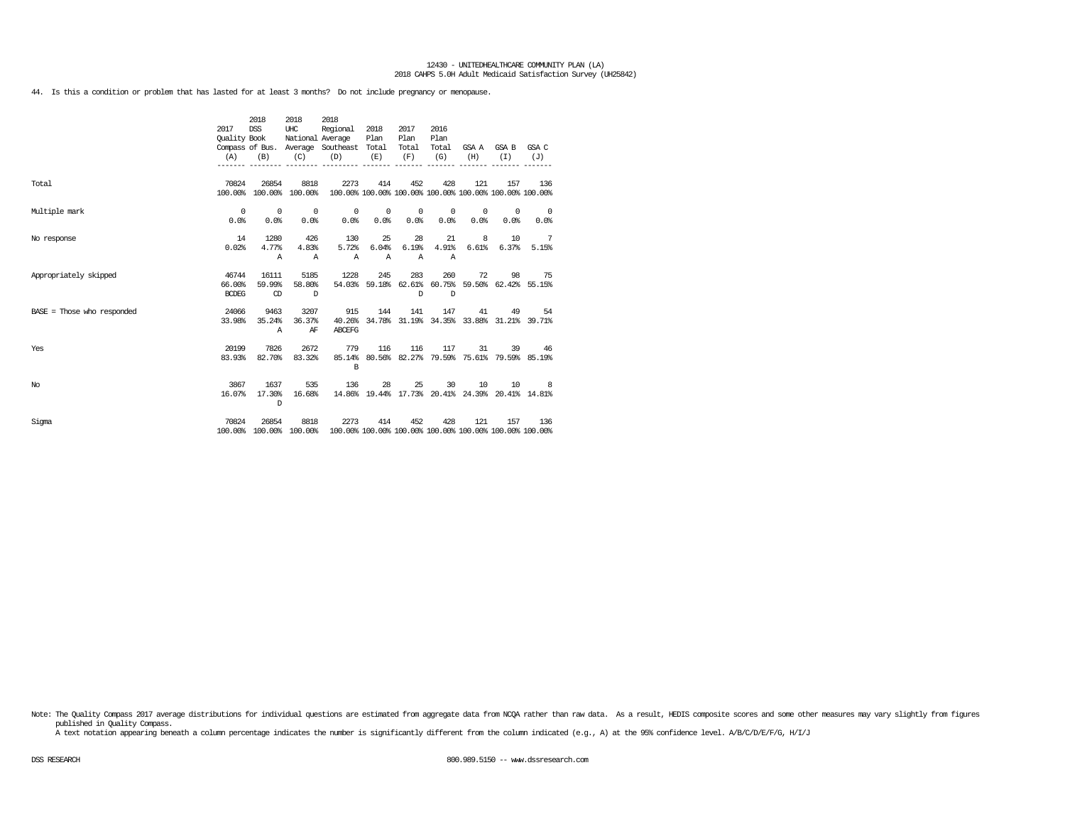44. Is this a condition or problem that has lasted for at least 3 months? Do not include pregnancy or menopause.

|                              |              | 2018                    | 2018     | 2018                                                                            |                                                    |                 |              |                 |                                                         |                |
|------------------------------|--------------|-------------------------|----------|---------------------------------------------------------------------------------|----------------------------------------------------|-----------------|--------------|-----------------|---------------------------------------------------------|----------------|
|                              | 2017         | <b>DSS</b>              | UHC      | Regional                                                                        | 2018                                               | 2017            | 2016         |                 |                                                         |                |
|                              | Quality Book |                         |          | National Average                                                                | Plan                                               | Plan            | Plan         |                 |                                                         |                |
|                              |              |                         |          | Compass of Bus. Average Southeast Total                                         |                                                    | Total           | Total        |                 | GSA A GSA B GSA C                                       |                |
|                              | (A)          | (B)                     | (C)      | (D)                                                                             | (E)                                                | (F)             | (G)          | (H)             | (T)                                                     | (J)            |
|                              |              |                         |          | --------- --------- ------                                                      |                                                    | $- - - - - - -$ |              |                 |                                                         |                |
| Total                        | 70824        | 26854                   | 8818     | 2273                                                                            | 414                                                | 452             | 428          | 121             | 157                                                     | 136            |
|                              |              | 100.00% 100.00% 100.00% |          |                                                                                 |                                                    |                 |              |                 | 100.00% 100.00% 100.00% 100.00% 100.00% 100.00% 100.00% |                |
| Multiple mark                | $\sim$ 0     | $\overline{0}$          | $\sim$ 0 |                                                                                 | $\begin{array}{ccc} & & 0 & \quad & 0 \end{array}$ | $\sim$ 0        | $\circ$      |                 | $0 \qquad \qquad$<br>$\circ$                            | $\sim$ 0       |
|                              | 0.0%         | 0.0%                    | 0.0%     | 0.0%                                                                            | 0.0%                                               | 0.0%            | 0.0%         | 0.0%            | 0.0%                                                    | 0.0%           |
| No response                  | 14           | 1280                    | 426      | 130                                                                             | 25                                                 | 28              | 21           |                 | 8<br>10                                                 | $\overline{7}$ |
|                              | 0.02%        | 4.77%                   | 4.83%    | 5.72%                                                                           | 6.04%                                              | 6.19%           | 4.91%        |                 | $6.61\%$ $6.37\%$                                       | 5.15%          |
|                              |              | $\mathbb{A}$            | A        | $\mathbb{A}$                                                                    | $\mathbb{A}$                                       | $\mathbb{A}$    | $\mathbb{A}$ |                 |                                                         |                |
| Appropriately skipped        | 46744        | 16111                   | 5185     | 1228                                                                            | 245                                                | 283             | 260          | 72              | 98                                                      | 75             |
|                              | 66.00%       | 59.99%                  | 58.80%   |                                                                                 |                                                    |                 |              |                 | 54.03% 59.18% 62.61% 60.75% 59.50% 62.42% 55.15%        |                |
|                              | <b>BCDEG</b> | CD                      | $\Box$   |                                                                                 |                                                    | $\mathbb{D}$    | $\Box$       |                 |                                                         |                |
| $BASE = Those who responded$ | 24066        | 9463                    | 3207     | 915                                                                             | 144                                                | 141             | 147          |                 | 41 - 1                                                  | 49 54          |
|                              | 33.98%       | 35.24%                  | 36.37%   | 40.26%                                                                          |                                                    |                 |              |                 | 34.78% 31.19% 34.35% 33.88% 31.21% 39.71%               |                |
|                              |              | A                       | ΑF       | <b>ABCEFG</b>                                                                   |                                                    |                 |              |                 |                                                         |                |
| Yes                          | 20199        | 7826                    | 2672     | 779                                                                             | 116                                                |                 | 116 117      |                 | 31                                                      | 39 46          |
|                              | 83.93%       | 82.70%                  | 83.32%   |                                                                                 |                                                    |                 |              |                 | 85.14% 80.56% 82.27% 79.59% 75.61% 79.59% 85.19%        |                |
|                              |              |                         |          | $\mathbf{B}$                                                                    |                                                    |                 |              |                 |                                                         |                |
| No                           | 3867         | 1637                    | 535      | 136                                                                             |                                                    | 28              | 25           | 30 <sup>7</sup> | 10                                                      | 10 8           |
|                              | 16.07%       | 17.30%                  | 16.68%   |                                                                                 |                                                    |                 |              |                 | 14.86% 19.44% 17.73% 20.41% 24.39% 20.41% 14.81%        |                |
|                              |              | $\mathbb{D}$            |          |                                                                                 |                                                    |                 |              |                 |                                                         |                |
| Sigma                        | 70824        | 26854                   | 8818     | 2273                                                                            | 414                                                | 452             | 428          | 121             | 157                                                     | 136            |
|                              |              |                         |          | 100.00% 100.00% 100.00% 100.00% 100.00% 100.00% 100.00% 100.00% 100.00% 100.00% |                                                    |                 |              |                 |                                                         |                |

Note: The Quality Compass 2017 average distributions for individual questions are estimated from aggregate data from NCQA rather than raw data. As a result, HEDIS composite scores and some other measures may vary slightly published in Quality Compass.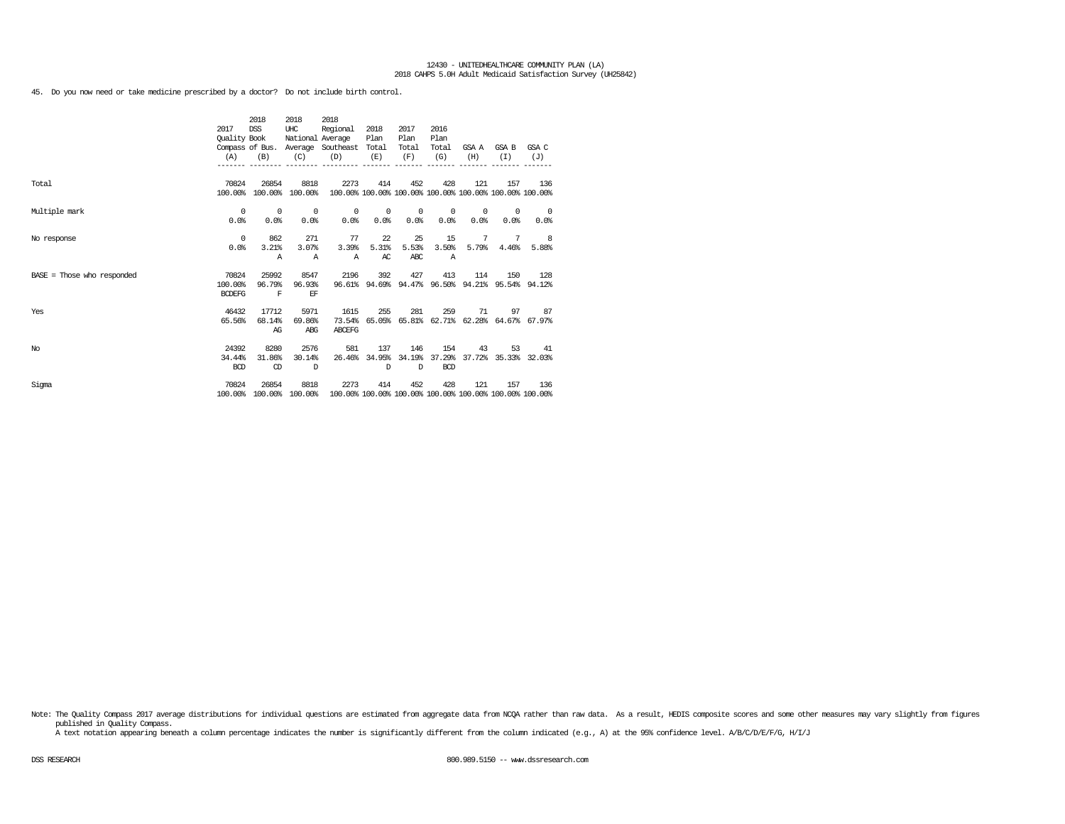45. Do you now need or take medicine prescribed by a doctor? Do not include birth control.

|                              |               | 2018           | 2018             | 2018                              |            |         |                      |            |                                                         |                          |
|------------------------------|---------------|----------------|------------------|-----------------------------------|------------|---------|----------------------|------------|---------------------------------------------------------|--------------------------|
|                              | 2017          | <b>DSS</b>     | UHC              | Regional                          | 2018       | 2017    | 2016                 |            |                                                         |                          |
|                              | Quality Book  |                | National Average |                                   | Plan       | Plan    | Plan                 |            |                                                         |                          |
|                              |               |                |                  | Compass of Bus. Average Southeast | Total      | Total   | Total                | GSA A      | GSA B                                                   | GSA C                    |
|                              | (A)           | (B)            | (C)              | (D)                               | (E)        | (F)     | (G)                  | (H)        | (T)                                                     | (J)                      |
|                              |               |                |                  |                                   |            |         |                      |            |                                                         |                          |
| Total                        | 70824         | 26854          | 8818             | 2273                              | 414        | 452     | 428                  | 121        | 157                                                     | 136                      |
|                              | 100.00%       |                | 100.00% 100.00%  |                                   |            |         |                      |            | 100.00% 100.00% 100.00% 100.00% 100.00% 100.00% 100.00% |                          |
|                              |               |                |                  |                                   |            |         |                      |            |                                                         |                          |
| Multiple mark                | $^{\circ}$    | $\overline{0}$ | 0                | $^{\circ}$                        | $^{\circ}$ | $\circ$ | 0                    | $^{\circ}$ | 0                                                       | $\overline{\phantom{0}}$ |
|                              | 0.0%          | 0.0%           | 0.0%             | 0.0%                              | 0.0%       | 0.0%    | 0.0%                 | 0.0%       | 0.0%                                                    | 0.0%                     |
|                              |               |                |                  |                                   |            |         |                      |            |                                                         |                          |
| No response                  | $^{\circ}$    | 862            | 271              | 77                                | 22         | 25      | 15                   | 7          | 7                                                       | $_{\rm 8}$               |
|                              | 0.0%          | 3.21%          | 3.07%            | 3.39%                             | 5.31%      | 5.53%   | 3.50%                | 5.79%      | 4.46%                                                   | 5.88%                    |
|                              |               | Α              | Α                | $\mathbb{A}$                      | AC         | ABC     | $\mathbb{A}$         |            |                                                         |                          |
| $BASE = Those who responded$ | 70824         | 25992          | 8547             | 2196                              | 392        | 427     | 413                  | 114        | 150                                                     | 128                      |
|                              | 100.00%       | 96.79%         | 96.93%           |                                   |            |         |                      |            | 96.61% 94.69% 94.47% 96.50% 94.21% 95.54% 94.12%        |                          |
|                              | <b>BCDEFG</b> | $\mathbf F$    | EF               |                                   |            |         |                      |            |                                                         |                          |
|                              |               |                |                  |                                   |            |         |                      |            |                                                         |                          |
| Yes                          | 46432         | 17712          | 5971             | 1615                              | 255        | 281     | 259                  | 71         | 97                                                      | 87                       |
|                              | 65.56%        | 68.14%         | 69.86%           | 73.54%                            |            |         |                      |            | 65.05% 65.81% 62.71% 62.28% 64.67% 67.97%               |                          |
|                              |               | AG             | ABG              | ABCEFG                            |            |         |                      |            |                                                         |                          |
| No                           | 24392         | 8280           | 2576             | 581                               | 137        | 146     | 154                  | 43         | 53                                                      | 41                       |
|                              | 34.44%        | 31.86%         | 30.14%           | 26.46%                            |            |         | 34.95% 34.19% 37.29% |            | 37.72% 35.33% 32.03%                                    |                          |
|                              | <b>BCD</b>    | CD             | D                |                                   | D          | D       | <b>BCD</b>           |            |                                                         |                          |
|                              |               |                |                  |                                   |            |         |                      |            |                                                         |                          |
| Sigma                        | 70824         | 26854          | 8818             | 2273                              | 414        | 452     | 428                  | 121        | 157                                                     | 136                      |
|                              | 100.00%       |                | 100.00% 100.00%  |                                   |            |         |                      |            | 100.00% 100.00% 100.00% 100.00% 100.00% 100.00% 100.00% |                          |

Note: The Quality Compass 2017 average distributions for individual questions are estimated from aggregate data from NCQA rather than raw data. As a result, HEDIS composite scores and some other measures may vary slightly published in Quality Compass.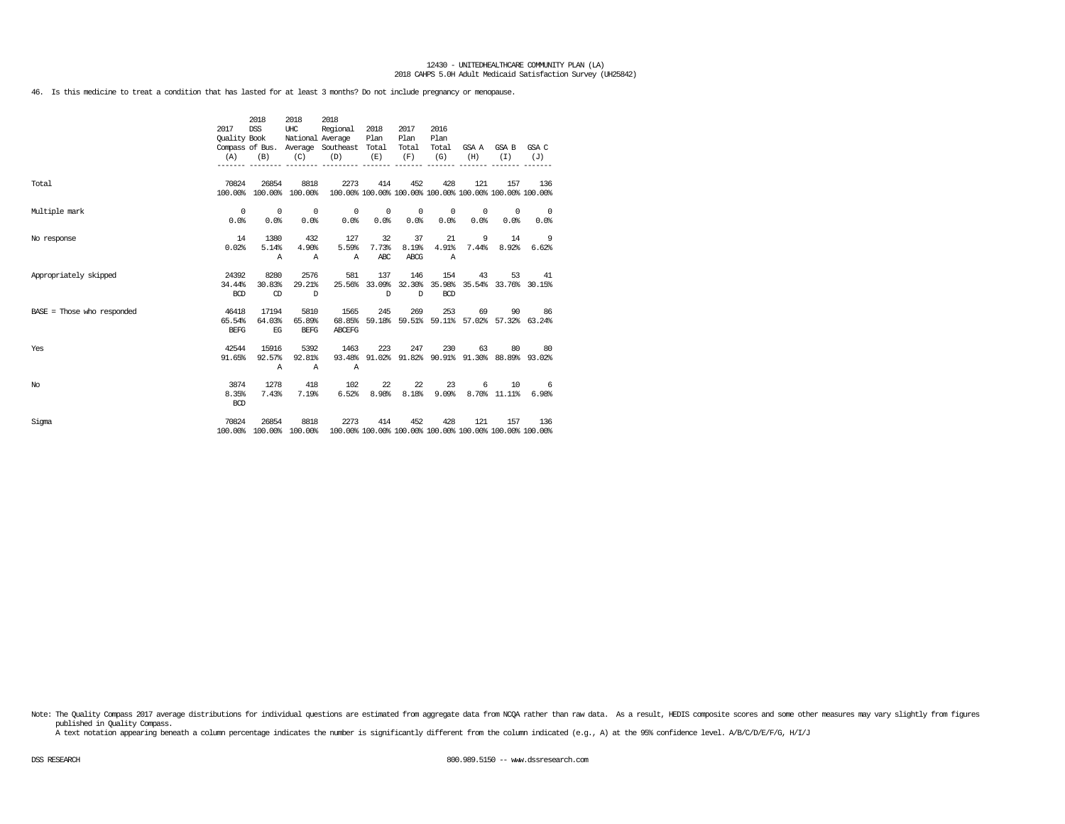46. Is this medicine to treat a condition that has lasted for at least 3 months? Do not include pregnancy or menopause.

|                              | 2017<br>Quality Book<br>(A)    | 2018<br>DSS<br>(B)               | 2018<br>UHC<br>(C)               | 2018<br>Regional<br>National Average<br>Compass of Bus. Average Southeast Total<br>(D) | 2018<br>Plan<br>(E)<br>$\frac{1}{2} \left( \frac{1}{2} \right) \left( \frac{1}{2} \right) \left( \frac{1}{2} \right) \left( \frac{1}{2} \right) \left( \frac{1}{2} \right) \left( \frac{1}{2} \right) \left( \frac{1}{2} \right) \left( \frac{1}{2} \right) \left( \frac{1}{2} \right) \left( \frac{1}{2} \right) \left( \frac{1}{2} \right) \left( \frac{1}{2} \right) \left( \frac{1}{2} \right) \left( \frac{1}{2} \right) \left( \frac{1}{2} \right) \left( \frac{1}{2} \right) \left( \frac$ | 2017<br>Plan<br>Total<br>(F) | 2016<br>Plan<br>Total<br>(G) | (H)             | GSA A GSA B GSA C<br>(T)                                       | (J)                                                       |
|------------------------------|--------------------------------|----------------------------------|----------------------------------|----------------------------------------------------------------------------------------|---------------------------------------------------------------------------------------------------------------------------------------------------------------------------------------------------------------------------------------------------------------------------------------------------------------------------------------------------------------------------------------------------------------------------------------------------------------------------------------------------|------------------------------|------------------------------|-----------------|----------------------------------------------------------------|-----------------------------------------------------------|
| Total                        | 70824                          | 26854                            | 8818<br>100.00% 100.00% 100.00%  | 2273                                                                                   | 414                                                                                                                                                                                                                                                                                                                                                                                                                                                                                               | 452                          | 428                          | 121             | 157<br>100.00% 100.00% 100.00% 100.00% 100.00% 100.00% 100.00% | 136                                                       |
| Multiple mark                | $^{\circ}$<br>0.0%             | $\overline{\phantom{0}}$<br>0.0% | $\sim$ 0<br>0.0%                 | 0.0%                                                                                   | $0\qquad 0$<br>0.0%                                                                                                                                                                                                                                                                                                                                                                                                                                                                               | $\overline{0}$<br>0.0%       | $^{\circ}$<br>0.0%           | $\circ$<br>0.0% | $^{\circ}$<br>0.0%                                             | $\sim$ 0<br>0.0%                                          |
| No response                  | 14<br>0.02%                    | 1380<br>5.14%<br>$\mathbb{A}$    | 432<br>4.90%<br>$\mathbb{A}$     | 127<br>5.59%<br>$\mathbb{A}$                                                           | 32<br>7.73%<br>ABC                                                                                                                                                                                                                                                                                                                                                                                                                                                                                | 37<br>8.19%<br>ABCG          | 21<br>4.91%<br>$\mathbb{A}$  |                 | 9<br>14                                                        | 9<br>7.44% 8.92% 6.62%                                    |
| Appropriately skipped        | 24392<br>34.44%<br><b>BCD</b>  | 8280<br>30.83%<br>$\circled{D}$  | 2576<br>29.21%<br>$\overline{D}$ | 581                                                                                    | 137<br>$\Box$                                                                                                                                                                                                                                                                                                                                                                                                                                                                                     | 146<br>$\mathbb{D}$          | 154<br><b>BCD</b>            | 43              | 53                                                             | 41<br>25.56% 33.09% 32.30% 35.98% 35.54% 33.76% 30.15%    |
| $BASE = Those who responded$ | 46418<br>65.54%<br><b>BEFG</b> | 17194<br>64.03%<br>EG            | 5810<br>65.89%<br><b>BEFG</b>    | 1565<br>68.85%<br><b>ABCEFG</b>                                                        | 245                                                                                                                                                                                                                                                                                                                                                                                                                                                                                               | 269                          | 253                          |                 | 69                                                             | 90 86<br>59.18% 59.51% 59.11% 57.02% 57.32% 63.24%        |
| Yes                          | 42544<br>91.65%                | 15916<br>92.57%<br>Α             | 5392<br>92.81%<br>$\mathbb{A}$   | 1463<br>$\mathbb{A}$                                                                   | 223                                                                                                                                                                                                                                                                                                                                                                                                                                                                                               |                              | 247<br>230                   |                 | 63                                                             | 80 80<br>93.48% 91.02% 91.82% 90.91% 91.30% 88.89% 93.02% |
| No                           | 3874<br>8.35%<br><b>BCD</b>    | 1278<br>7.43%                    | 418<br>7.19%                     | 102<br>6.52%                                                                           | 8.98%                                                                                                                                                                                                                                                                                                                                                                                                                                                                                             | 22<br>22<br>8.18%            | 23<br>9.09%                  |                 | 6<br>10<br>8.70% 11.11%                                        | - 6<br>6.98%                                              |
| Sigma                        | 70824<br>100.00%               | 26854                            | 8818                             | 2273<br>100.00% 100.00% 100.00% 100.00% 100.00% 100.00% 100.00% 100.00% 100.00%        | 414                                                                                                                                                                                                                                                                                                                                                                                                                                                                                               | 452                          | 428                          | 121             | 157                                                            | 136                                                       |

Note: The Quality Compass 2017 average distributions for individual questions are estimated from aggregate data from NCQA rather than raw data. As a result, HEDIS composite scores and some other measures may vary slightly published in Quality Compass.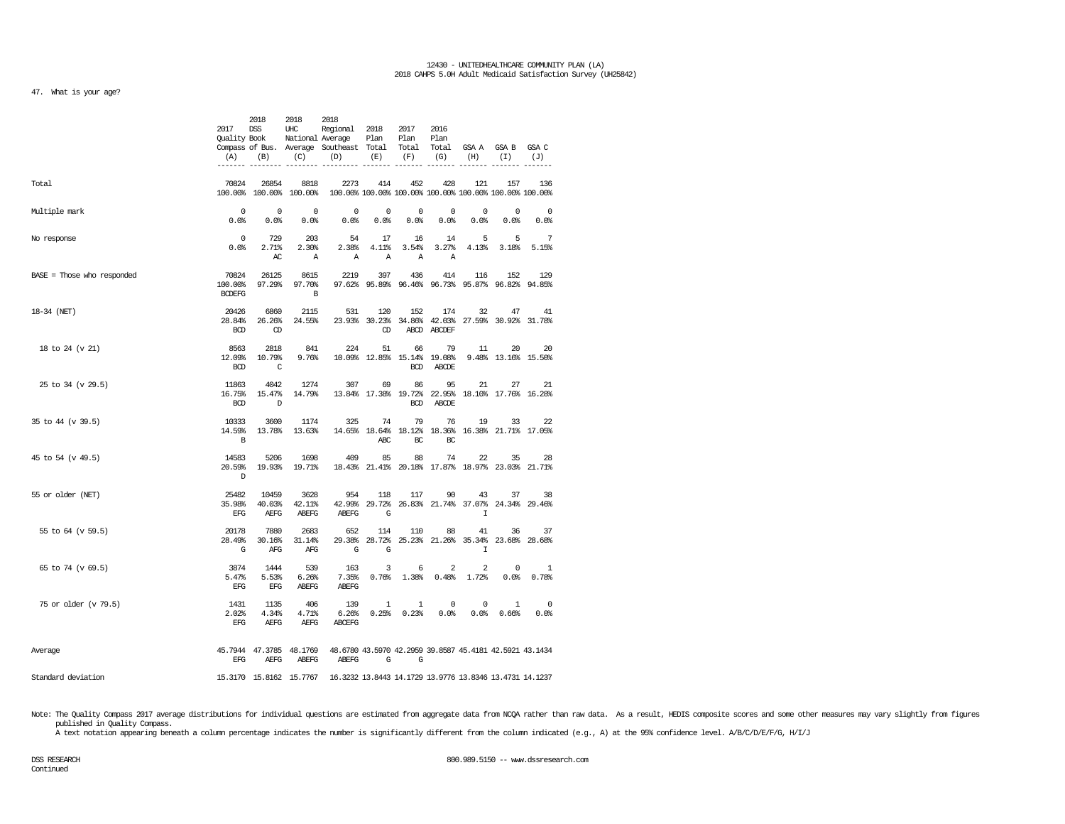# 47. What is your age?

|                              | (A)                             | 2018<br>2017 DSS UHC<br>$(B)$ $(C)$ | 2018                              | 2018<br>Regional 2018 2017<br>Quality Book National Average Plan Plan Plan<br>Compass of Bus. Average Southeast Total Total Total GSA A GSA B GSA C<br>$(D)$ $(E)$ $(F)$ $(G)$ |                      |                  | 2016                     | (H)                                             | $(I)$ $(J)$                                                  |                                        |
|------------------------------|---------------------------------|-------------------------------------|-----------------------------------|--------------------------------------------------------------------------------------------------------------------------------------------------------------------------------|----------------------|------------------|--------------------------|-------------------------------------------------|--------------------------------------------------------------|----------------------------------------|
| Total                        | 70824                           |                                     | 26854 8818                        | 2273<br>100.00% 100.00% 100.00% 100.00% 100.00% 100.00% 100.00% 100.00% 100.00% 100.00%                                                                                        | 414                  | 452              | 428                      | 121                                             |                                                              | 157 136                                |
| Multiple mark                | $\sim$ 0<br>0.0%                | $\sim$ 0                            |                                   | $0 \qquad \qquad 0$<br>$0.0\%$ $0.0\%$ $0.0\%$ $0.0\%$ $0.0\%$ $0.0\%$ $0.0\%$ $0.0\%$                                                                                         |                      | $0 \qquad 0$     | $\overline{0}$           |                                                 | $\begin{matrix}0&0\end{matrix}$                              | $\overline{\phantom{0}}$<br>0.0%       |
| No response                  | $\overline{0}$<br>0.0%          | 2.71%<br>AC                         | 729 203<br>2.30%<br>A             |                                                                                                                                                                                | 54 17 16 14<br>A A A |                  | $\overline{A}$           |                                                 | 555<br>2.38% 4.11% 3.54% 3.27% 4.13% 3.18% 5.15%             | - 7                                    |
| $BASE = Those who responded$ | 70824<br><b>BCDEFG</b>          | 26125<br>100.00% 97.29%             | 8615<br>97.70%<br>$\overline{B}$  | 2219                                                                                                                                                                           | 397                  | 436              | 414                      | 116                                             | 152<br>97.62% 95.89% 96.46% 96.73% 95.87% 96.82% 94.85%      | 129                                    |
| 18-34 (NET)                  | 20426<br><b>BCD</b>             | CD                                  | 6860 2115<br>28.84% 26.26% 24.55% | 531                                                                                                                                                                            | 120<br>Œ             | 152              | 174<br>ABCD ABCDEF       | 32                                              | 47<br>23.93% 30.23% 34.86% 42.03% 27.59% 30.92% 31.78%       | 41                                     |
| 18 to 24 (v 21)              | 8563<br><b>BCD</b>              | 12.09% 10.79%<br>$\overline{c}$     | 2818 841                          | 224<br>9.76% 10.09% 12.85% 15.14% 19.08% 9.48% 13.16% 15.50%                                                                                                                   | 51                   | 66<br><b>BCD</b> | 79<br>ABCDE              | 11                                              | 20                                                           | 20                                     |
| 25 to 34 (v 29.5)            | 11863<br><b>BCD</b>             | 4042<br>$\Box$                      | 16.75% 15.47% 14.79%              | 1274 307                                                                                                                                                                       | 69                   | 86<br><b>BCD</b> | 95<br>ABCDE              | 21                                              | 27<br>13.84% 17.38% 19.72% 22.95% 18.10% 17.76% 16.28%       | 21                                     |
| 35 to 44 (v 39.5)            | 10333<br>$\overline{B}$         | 3600                                | 14.59% 13.78% 13.63%              | 1174 325 74                                                                                                                                                                    | ABC                  | 79<br>BC         | 76<br>BC                 |                                                 | 33<br>19<br>14.65% 18.64% 18.12% 18.36% 16.38% 21.71% 17.05% | 22                                     |
| 45 to 54 (v 49.5)            | 14583<br>20.59%<br>$\mathbb{D}$ | 5206                                | 1698<br>19.93% 19.71%             | 409                                                                                                                                                                            | 85                   | 88               | 74                       | 22                                              | 35<br>18.43% 21.41% 20.18% 17.87% 18.97% 23.03% 21.71%       | 28                                     |
| 55 or older (NET)            | 25482<br>EFG                    | 10459<br>35.98% 40.03%<br>AEFG      | 3628<br>42.11%<br>ABEFG           | 954<br>ABEFG                                                                                                                                                                   | 118<br>$\mathbf{G}$  | 117              | 90                       | 43<br>$\mathbb{I}$                              | 42.99% 29.72% 26.83% 21.74% 37.07% 24.34% 29.46%             | 37 38                                  |
| 55 to 64 (v 59.5)            | 20178<br>$\mathbb{G}$           | 7880<br>28.49% 30.16%<br>AFG        | 2683<br>31.14%<br>AFG             | 652<br>$\overline{\mathbf{G}}$                                                                                                                                                 | 114<br>G             | 110              | 88                       | 41<br>T                                         | 36<br>29.38% 28.72% 25.23% 21.26% 35.34% 23.68% 28.68%       | -37                                    |
| 65 to 74 (v 69.5)            | 3874<br>5.47%<br>EFG            | 1444<br>5.53%<br>EFG                | 539<br>6.26%<br>ABEFG             | 163<br>7.35%<br>ABEFG                                                                                                                                                          | 3                    | $6\overline{6}$  | $\overline{\phantom{0}}$ | $\overline{2}$<br>$0.76\%$ 1.38% $0.48\%$ 1.72% | $\overline{0}$                                               | $\overline{\phantom{0}}$<br>0.0% 0.78% |
| 75 or older (v 79.5)         | 1431<br>2.02%<br>EFG            | 1135<br>4.34%<br>AEFG               | 406<br>4.71%<br>AEFG              | 139<br>ABCEFG                                                                                                                                                                  |                      | $1 \quad 1$      | $\overline{\phantom{0}}$ | $\overline{\phantom{0}}$                        | $\overline{1}$<br>$6.26\%$ 0.25% 0.23% 0.0% 0.0% 0.66% 0.0%  | $\overline{\phantom{0}}$               |
| Average                      |                                 |                                     |                                   | 45.7944 47.3785 48.1769 48.6780 43.5970 42.2959 39.8587 45.4181 42.5921 43.1434<br>EFG AEFG ABEFG ABEFG G G                                                                    |                      |                  |                          |                                                 |                                                              |                                        |
| Standard deviation           |                                 |                                     |                                   | 15.3170 15.8162 15.7767 16.3232 13.8443 14.1729 13.9776 13.8346 13.4731 14.1237                                                                                                |                      |                  |                          |                                                 |                                                              |                                        |

Note: The Quality Compass 2017 average distributions for individual questions are estimated from aggregate data from NCQA rather than raw data. As a result, HEDIS composite scores and some other measures may vary slightly published in Quality Compass.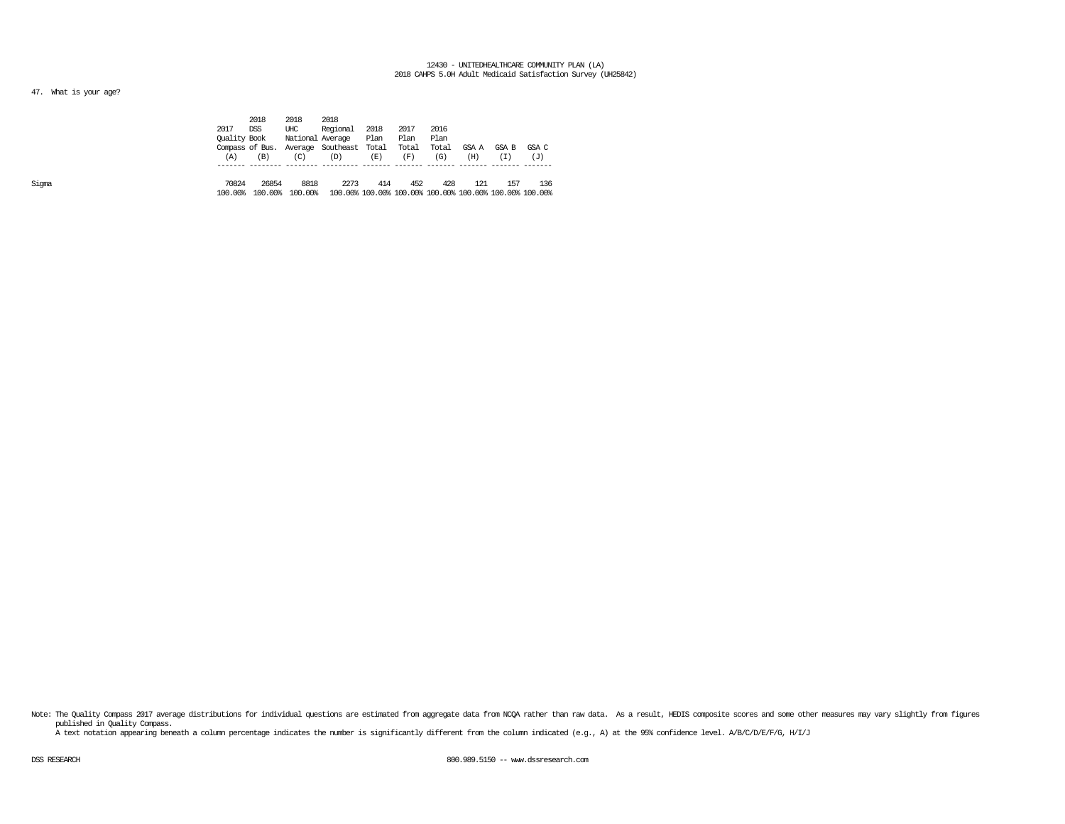# 47. What is your age?

|       |                  | 2018             | 2018             | 2018                                                            |      |       |       |       |       |       |
|-------|------------------|------------------|------------------|-----------------------------------------------------------------|------|-------|-------|-------|-------|-------|
|       | 2017             | <b>DSS</b>       | UHC              | Regional                                                        | 2018 | 2017  | 2016  |       |       |       |
|       | Ouality Book     |                  | National Average |                                                                 | Plan | Plan  | Plan  |       |       |       |
|       |                  | Compass of Bus.  |                  | Average Southeast Total                                         |      | Total | Total | GSA A | GSA B | GSA C |
|       | (A)              | (B)              | (C)              | (D)                                                             | (E)  | (F)   | (G)   | (H)   | (T)   | (J)   |
|       |                  |                  |                  |                                                                 |      |       |       |       |       |       |
| Sigma | 70824<br>100.00% | 26854<br>100.00% | 8818<br>100.00%  | 2273<br>100.00% 100.00% 100.00% 100.00% 100.00% 100.00% 100.00% | 414  | 452   | 428   | 121   | 157   | 136   |
|       |                  |                  |                  |                                                                 |      |       |       |       |       |       |

Note: The Quality Compass 2017 average distributions for individual questions are estimated from aggregate data from NOQA rather than raw data. As a result, HEDIS composite scores and some other measures may vary slightly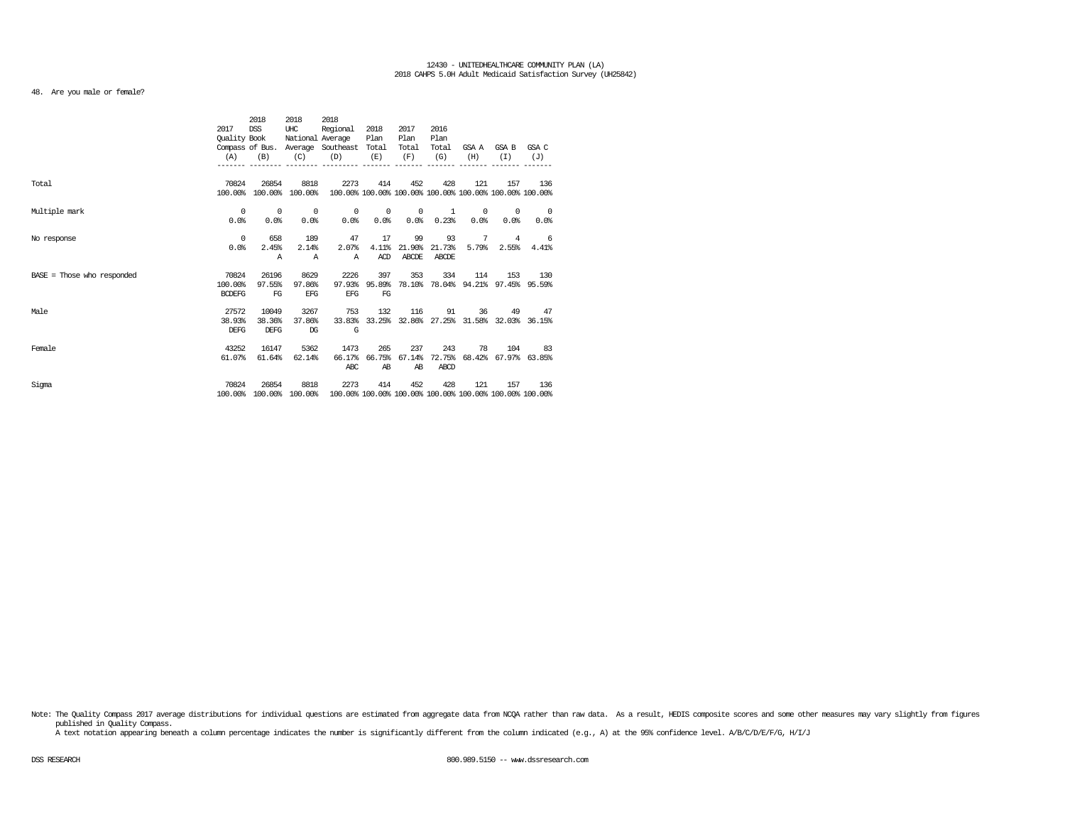# 48. Are you male or female?

|                              |               | 2018            | 2018             | 2018                                                    |            |            |        |            |                                                         |                                    |
|------------------------------|---------------|-----------------|------------------|---------------------------------------------------------|------------|------------|--------|------------|---------------------------------------------------------|------------------------------------|
|                              | 2017          | <b>DSS</b>      | UHC              | Regional                                                | 2018       | 2017       | 2016   |            |                                                         |                                    |
|                              | Quality Book  |                 | National Average |                                                         | Plan       | Plan       | Plan   |            |                                                         |                                    |
|                              |               | Compass of Bus. |                  | Average Southeast                                       | Total      | Total      | Total  | GSA A      | GSA B                                                   | GSA C                              |
|                              | (A)           | (B)             | (C)              | (D)                                                     | (E)        | (F)        | (G)    | (H)        | (T)                                                     | (J)                                |
|                              |               |                 |                  |                                                         |            |            |        |            |                                                         |                                    |
|                              |               |                 |                  |                                                         |            |            |        |            |                                                         |                                    |
| Total                        | 70824         | 26854           | 8818             | 2273                                                    | 414        | 452        | 428    | 121        | 157                                                     | 136                                |
|                              | 100.00%       | 100.00%         | 100.00%          |                                                         |            |            |        |            | 100.00% 100.00% 100.00% 100.00% 100.00% 100.00% 100.00% |                                    |
| Multiple mark                | $^{\circ}$    | $^{\circ}$      | 0                | $^{\circ}$                                              | $^{\circ}$ | $^{\circ}$ | 1      | $^{\circ}$ | 0                                                       | $^{\circ}$                         |
|                              | 0.0%          | 0.0%            | 0.0%             | 0.0%                                                    | 0.0%       | 0.0%       | 0.23%  | 0.0%       | 0.0%                                                    | 0.0%                               |
|                              |               |                 |                  |                                                         |            |            |        |            |                                                         |                                    |
| No response                  | $^{\circ}$    | 658             | 189              | 47                                                      | 17         | 99         | 93     | 7          | $\overline{4}$                                          | - 6                                |
|                              | 0.0%          | 2.45%           | 2.14%            | 2.07%                                                   | 4.11%      | 21.90%     | 21.73% | 5.79%      | 2.55%                                                   | 4.41%                              |
|                              |               | Α               | Α                | Α                                                       | ACD        | ABCDE      | ABCDE  |            |                                                         |                                    |
|                              |               |                 |                  |                                                         |            |            |        |            |                                                         |                                    |
| $BASE = Those who responded$ | 70824         | 26196           | 8629             | 2226                                                    | 397        | 353        | 334    | 114        | 153                                                     | 130                                |
|                              | 100.00%       | 97.55%          | 97.86%           | 97.93%                                                  | 95.89%     |            |        |            |                                                         | 78.10% 78.04% 94.21% 97.45% 95.59% |
|                              | <b>BCDEFG</b> | FG              | <b>EFG</b>       | <b>EFG</b>                                              | FG         |            |        |            |                                                         |                                    |
| Male                         | 27572         | 10049           | 3267             | 753                                                     | 132        | 116        | 91     | 36         | 49                                                      | 47                                 |
|                              | 38.93%        | 38.36%          | 37.86%           | 33.83%                                                  |            |            |        |            | 33.25% 32.86% 27.25% 31.58% 32.03% 36.15%               |                                    |
|                              | <b>DEFG</b>   | <b>DEFG</b>     | $_{\text{DG}}$   | G                                                       |            |            |        |            |                                                         |                                    |
|                              |               |                 |                  |                                                         |            |            |        |            |                                                         |                                    |
| Female                       | 43252         | 16147           | 5362             | 1473                                                    | 265        | 237        | 243    | 78         | 104                                                     | 83                                 |
|                              | 61.07%        | 61.64%          | 62.14%           | 66.17%                                                  | 66.75%     | 67.14%     | 72.75% |            | 68.42% 67.97% 63.85%                                    |                                    |
|                              |               |                 |                  | ABC                                                     | AB         | AB         | ABCD   |            |                                                         |                                    |
| Sigma                        | 70824         | 26854           | 8818             | 2273                                                    | 414        | 452        | 428    | 121        | 157                                                     | 136                                |
|                              | 100.00%       |                 | 100.00% 100.00%  | 100.00% 100.00% 100.00% 100.00% 100.00% 100.00% 100.00% |            |            |        |            |                                                         |                                    |

Note: The Quality Compass 2017 average distributions for individual questions are estimated from aggregate data from NOQA rather than raw data. As a result, HEDIS composite scores and some other measures may vary slightly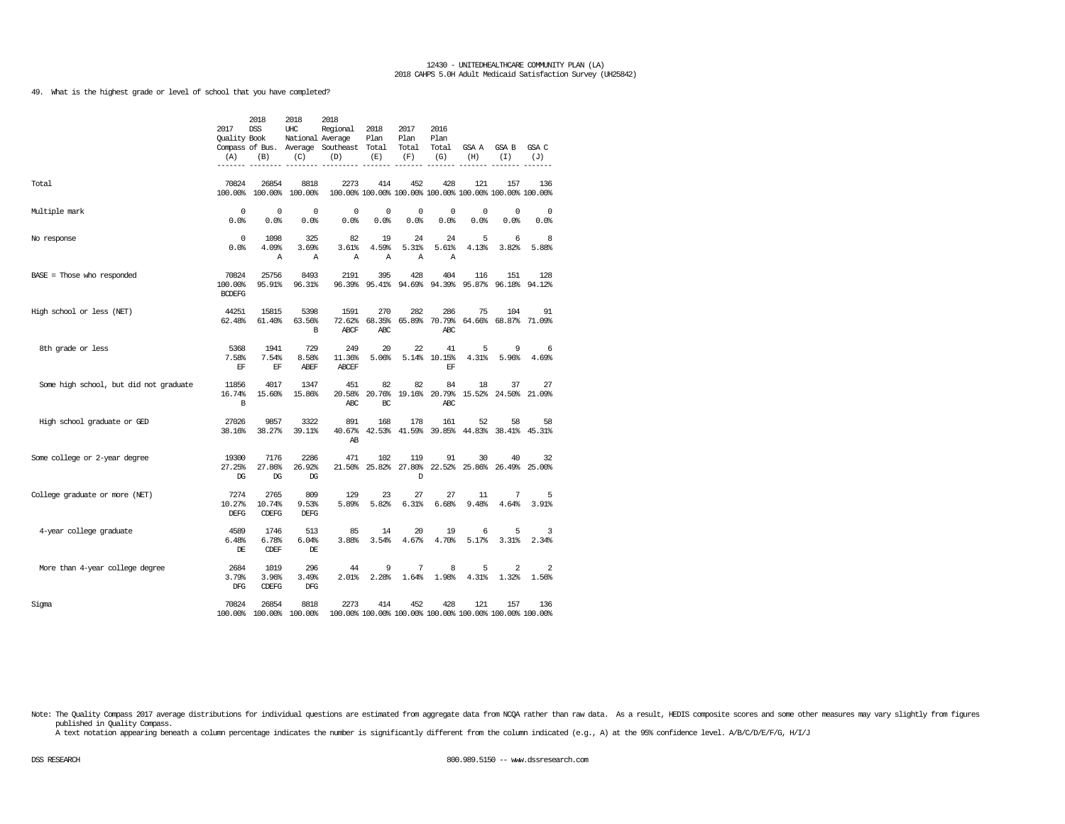49. What is the highest grade or level of school that you have completed?

|                                        | 2017<br><b>Ouality Book</b><br>(A) | 2018<br><b>DSS</b><br>(B)      | 2018<br>UHC<br>National Average<br>(C) | 2018<br>Regional<br>Compass of Bus. Average Southeast Total<br>(D) | 2018<br>Plan<br>(E)  | 2017<br>Plan<br>Total<br>(F)     | 2016<br>Plan<br>Total<br>(G) | GSA A<br>(H)               | GSA B<br>(I)                                                   | GSA C<br>(J) |
|----------------------------------------|------------------------------------|--------------------------------|----------------------------------------|--------------------------------------------------------------------|----------------------|----------------------------------|------------------------------|----------------------------|----------------------------------------------------------------|--------------|
|                                        |                                    |                                |                                        |                                                                    |                      |                                  |                              |                            |                                                                |              |
| Total                                  | 70824<br>100.00%                   | 26854<br>100.00%               | 8818<br>100.00%                        | 2273                                                               | 414                  | 452                              | 428                          | 121                        | 157<br>100.00% 100.00% 100.00% 100.00% 100.00% 100.00% 100.00% | 136          |
| Multiple mark                          | 0<br>0.0%                          | $\mathbf 0$<br>0.0%            | $^{\circ}$<br>0.0%                     | 0<br>0.0%                                                          | 0<br>0.0             | $\mathbf 0$<br>0.0%              | 0<br>0.0%                    | 0<br>0.0%                  | $\mathbf 0$<br>0.0%                                            | 0<br>0.0%    |
| No response                            | $^{\circ}$<br>0.0%                 | 1098<br>4.09%<br>А             | 325<br>3.69%<br>Α                      | 82<br>3.61%<br>Α                                                   | 19<br>4.59%<br>Α     | 24<br>5.31%<br>Α                 | 24<br>5.61%<br>Α             | 5<br>4.13%                 | 6<br>3.82%                                                     | 8<br>5.88%   |
| $BASE = Those who responded$           | 70824<br>100.00%<br><b>BCDEFG</b>  | 25756<br>95.91%                | 8493<br>96.31%                         | 2191                                                               | 395                  | 428<br>96.39% 95.41% 94.69%      | 404                          | 116                        | 151<br>94.39% 95.87% 96.18% 94.12%                             | 128          |
| High school or less (NET)              | 44251<br>62.48%                    | 15815<br>61.40%                | 5398<br>63.56%<br>в                    | 1591<br>72.62%<br>ABCF                                             | 270<br>68.35%<br>ABC | 282<br>65.89%                    | 286<br>70.79%<br>ABC         | 75                         | 104<br>64.66% 68.87%                                           | 91<br>71.09% |
| 8th grade or less                      | 5368<br>7.58%<br>EF                | 1941<br>7.54%<br>EF            | 729<br>8.58%<br>ABEF                   | 249<br>11.36%<br><b>ABCEF</b>                                      | 20<br>5.06%          | 22                               | 41<br>5.14% 10.15%<br>EF     | 5<br>4.31%                 | 9<br>5.96%                                                     | 6<br>4.69%   |
| Some high school, but did not graduate | 11856<br>16.74%<br>B               | 4017<br>15.60%                 | 1347<br>15.86%                         | 451<br>20.58%<br>ABC                                               | 82<br>20.76%<br>BC   | 82<br>19.16%                     | 84<br>20.79%<br>ABC          | 18                         | 37<br>15.52% 24.50%                                            | 27<br>21.09% |
| High school graduate or GED            | 27026<br>38.16%                    | 9857<br>38.27%                 | 3322<br>39.11%                         | 891<br>40.67%<br>AB                                                | 168                  | 178                              | 161                          | 52                         | 58<br>42.53% 41.59% 39.85% 44.83% 38.41% 45.31%                | 58           |
| Some college or 2-year degree          | 19300<br>27.25%<br>DG              | 7176<br>27.86%<br>DG           | 2286<br>26.92%<br>DG                   | 471                                                                | 102                  | 119<br>21.50% 25.82% 27.80%<br>D | 91                           | 30<br>22.52% 25.86% 26.49% | 40                                                             | 32<br>25.00% |
| College graduate or more (NET)         | 7274<br>10.27%<br>DEFG             | 2765<br>10.74%<br><b>CDEFG</b> | 809<br>9.53%<br>DEFG                   | 129<br>5.89%                                                       | 23<br>5.82%          | 27<br>6.31%                      | 27<br>6.68%                  | 11<br>9.48%                | 7<br>4.64%                                                     | 5<br>3.91%   |
| 4-year college graduate                | 4589<br>6.48%<br>DE                | 1746<br>6.78%<br><b>CDEF</b>   | 513<br>6.04%<br>DE                     | 85<br>3.88%                                                        | 14<br>3.54%          | 20<br>4.67%                      | 19<br>4.70%                  | 6<br>5.17%                 | 5<br>3.31%                                                     | 3<br>2.34%   |
| More than 4-year college degree        | 2684<br>3.79%<br>DFG               | 1019<br>3.96%<br><b>CDEFG</b>  | 296<br>3.49%<br>DFG                    | 44<br>2.01%                                                        | 9<br>2.28%           | 7<br>1.64%                       | 8<br>1.98%                   | 5<br>4.31%                 | 2<br>1.32%                                                     | 2<br>1.56%   |
| Sigma                                  | 70824                              | 26854                          | 8818<br>100.00% 100.00% 100.00%        | 2273<br>100.00% 100.00% 100.00% 100.00% 100.00% 100.00% 100.00%    | 414                  | 452                              | 428                          | 121                        | 157                                                            | 136          |

Note: The Quality Compass 2017 average distributions for individual questions are estimated from aggregate data from NCQA rather than raw data. As a result, HEDIS composite scores and some other measures may vary slightly published in Quality Compass.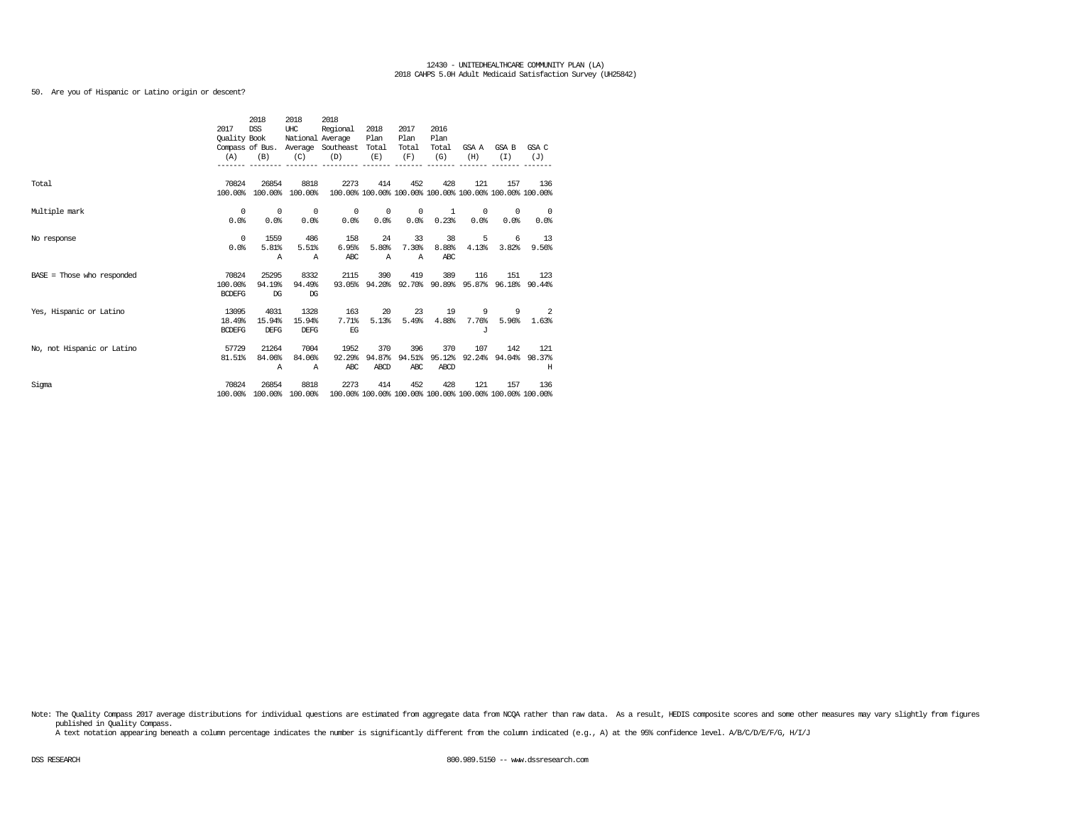50. Are you of Hispanic or Latino origin or descent?

|                              |               | 2018       | 2018             | 2018                              |        |              |               |            |                                                         |            |
|------------------------------|---------------|------------|------------------|-----------------------------------|--------|--------------|---------------|------------|---------------------------------------------------------|------------|
|                              | 2017          | <b>DSS</b> | UHC              | Regional                          | 2018   | 2017         | 2016          |            |                                                         |            |
|                              | Quality Book  |            | National Average |                                   | Plan   | Plan         | Plan          |            |                                                         |            |
|                              |               |            |                  | Compass of Bus. Average Southeast | Total  | Total        | Total         | GSA A      | GSA B                                                   | GSA C      |
|                              | (A)           | (B)        | (C)              | (D)                               | (E)    | (F)          | (G)           | (H)        | (T)                                                     | (J)        |
|                              |               |            |                  |                                   |        |              |               |            |                                                         |            |
| Total                        | 70824         | 26854      | 8818             | 2273                              | 414    | 452          | 428           | 121        | 157                                                     | 136        |
|                              | 100.00%       | 100.00%    | 100.00%          |                                   |        |              |               |            | 100.00% 100.00% 100.00% 100.00% 100.00% 100.00% 100.00% |            |
| Multiple mark                | 0             | $^{\circ}$ | 0                | 0                                 | 0      | 0            | 1             | $^{\circ}$ | 0                                                       | $^{\circ}$ |
|                              | 0.0%          | 0.0%       | 0.0%             | 0.0%                              | 0.0%   | 0.0%         | 0.23%         | 0.0%       | 0.0%                                                    | 0.0%       |
|                              |               |            |                  |                                   |        |              |               |            |                                                         |            |
| No response                  | $^{\circ}$    | 1559       | 486              | 158                               | 24     | 33           | 38            | 5          | 6                                                       | 13         |
|                              | 0.0%          | 5.81%      | 5.51%            | 6.95%                             | 5.80%  | 7.30%        | 8.88%         | 4.13%      | 3.82%                                                   | 9.56%      |
|                              |               | Α          | Α                | ABC                               | Α      | $\mathbb{A}$ | <b>ABC</b>    |            |                                                         |            |
| $BASE = Those who responded$ | 70824         | 25295      | 8332             | 2115                              | 390    | 419          | 389           | 116        | 151                                                     | 123        |
|                              | 100.00%       | 94.19%     | 94.49%           | 93.05%                            | 94.20% |              | 92.70% 90.89% |            | 95.87% 96.18% 90.44%                                    |            |
|                              | <b>BCDEFG</b> | DG         | DG               |                                   |        |              |               |            |                                                         |            |
| Yes, Hispanic or Latino      | 13095         | 4031       | 1328             | 163                               | 20     | 23           | 19            | 9          | 9                                                       | 2          |
|                              | 18.49%        | 15.94%     | 15.94%           | 7.71%                             | 5.13%  | 5.49%        | 4.88%         | 7.76%      | 5.96%                                                   | 1.63%      |
|                              | <b>BCDEFG</b> | DEFG       | <b>DEFG</b>      | EG                                |        |              |               | $\cdot$ T  |                                                         |            |
| No, not Hispanic or Latino   | 57729         | 21264      | 7004             | 1952                              | 370    | 396          | 370           | 107        | 142                                                     | 121        |
|                              | 81.51%        | 84.06%     | 84.06%           | 92.29%                            | 94.87% | 94.51%       | 95.12%        |            | 92.24% 94.04%                                           | 98.37%     |
|                              |               | Α          | Α                | ABC                               | ABCD   | ABC          | ABCD          |            |                                                         | Н          |
|                              |               |            |                  |                                   |        |              |               |            |                                                         |            |
| Sigma                        | 70824         | 26854      | 8818             | 2273                              | 414    | 452          | 428           | 121        | 157                                                     | 136        |
|                              | 100.00%       |            | 100.00% 100.00%  |                                   |        |              |               |            | 100.00% 100.00% 100.00% 100.00% 100.00% 100.00% 100.00% |            |

Note: The Quality Compass 2017 average distributions for individual questions are estimated from aggregate data from NCQA rather than raw data. As a result, HEDIS composite scores and some other measures may vary slightly published in Quality Compass.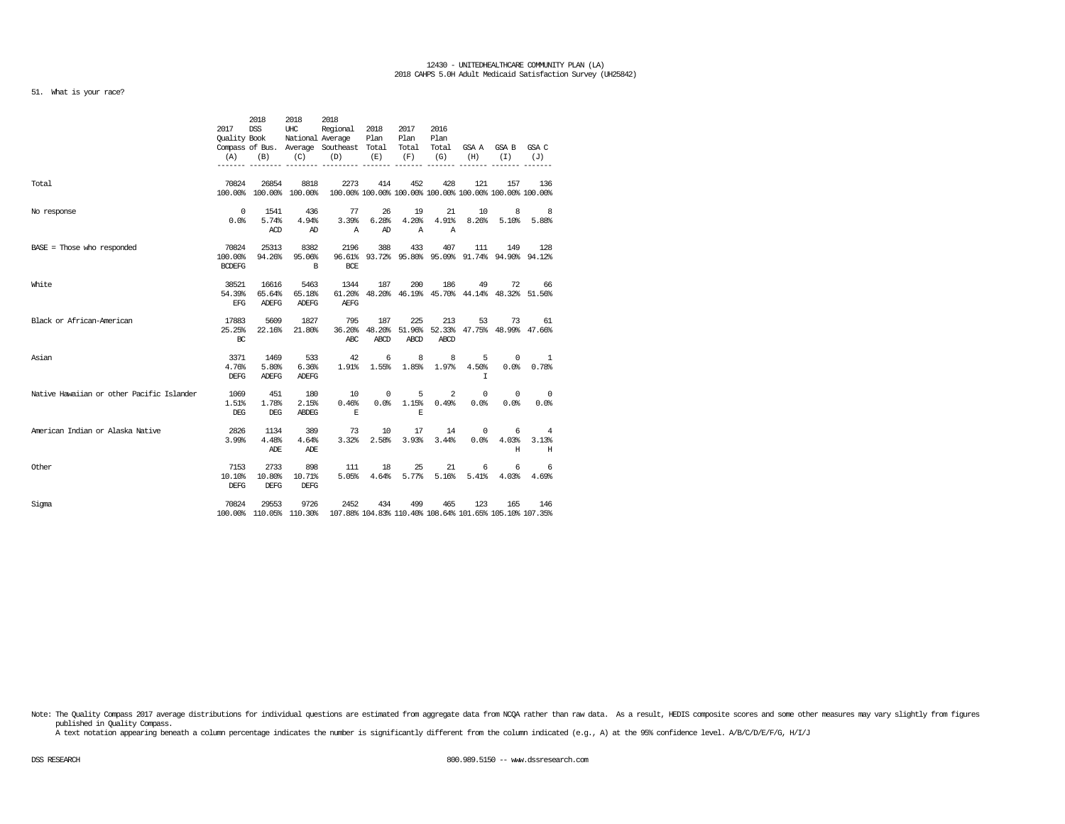# 51. What is your race?

|                                           | 2017<br>Ouality Book<br>(A)       | 2018<br><b>DSS</b><br>(B)       | 2018<br>UHC<br>(C)              | 2018<br>Regional<br>National Average<br>Compass of Bus. Average Southeast Total<br>(D) | 2018<br>Plan<br>(E) | 2017<br>Plan<br>Total<br>(F) | 2016<br>Plan<br>Total<br>(G) | (H)                        | GSA A GSA B<br>(T)                                             | GSA C<br>(J)                     |
|-------------------------------------------|-----------------------------------|---------------------------------|---------------------------------|----------------------------------------------------------------------------------------|---------------------|------------------------------|------------------------------|----------------------------|----------------------------------------------------------------|----------------------------------|
|                                           |                                   |                                 |                                 |                                                                                        |                     |                              |                              |                            |                                                                |                                  |
| Total                                     | 70824                             | 26854                           | 8818<br>100.00% 100.00% 100.00% | 2273                                                                                   | 414                 | 452                          | 428                          | 121                        | 157<br>100.00% 100.00% 100.00% 100.00% 100.00% 100.00% 100.00% | 136                              |
| No response                               | 0<br>0.0%                         | 1541<br>5.74%<br>ACD            | 436<br>4.94%<br>AD              | 77<br>3.39%<br>$\mathbb{A}$                                                            | 26<br>6.28%<br>AD   | 19<br>4.20%<br>$\mathbb{A}$  | 21<br>4.91%<br>Α             | 10<br>8.26%                | 8<br>5.10%                                                     | 8<br>5.88%                       |
| $BASE = Those who responded$              | 70824<br>100.00%<br><b>BCDEFG</b> | 25313<br>94.26%                 | 8382<br>95.06%<br>B             | 2196<br>96.61%<br>BCE                                                                  | 388                 | 433                          | 407                          | 111                        | 149<br>93.72% 95.80% 95.09% 91.74% 94.90% 94.12%               | 128                              |
| White                                     | 38521<br>54.39%<br><b>EFG</b>     | 16616<br>65.64%<br><b>ADEFG</b> | 5463<br>65.18%<br><b>ADEFG</b>  | 1344<br>61.20%<br><b>AEFG</b>                                                          | 187                 | 200                          | 186                          | 49                         | 72<br>48.20% 46.19% 45.70% 44.14% 48.32% 51.56%                | 66                               |
| Black or African-American                 | 17883<br>25.25%<br>BC             | 5609<br>22.16%                  | 1827<br>21.80%                  | 795<br>36.20%<br>ABC                                                                   | 187<br>ABCD         | 225<br><b>ABCD</b>           | 213<br>ABCD                  | 53                         | 73<br>48.20% 51.96% 52.33% 47.75% 48.99% 47.66%                | 61                               |
| Asian                                     | 3371<br>4.76%<br><b>DEFG</b>      | 1469<br>5.80%<br><b>ADEFG</b>   | 533<br>6.36%<br><b>ADEFG</b>    | 42<br>1.91%                                                                            | 6<br>1.55%          | 8<br>1.85%                   | 8                            | 5<br>1.97% 4.50%<br>$\tau$ | 0<br>0.0%                                                      | 1<br>0.78%                       |
| Native Hawaiian or other Pacific Islander | 1069<br>1.51%<br>DEG              | 451<br>1.78%<br>DEG             | 180<br>2.15%<br>ABDEG           | 10<br>0.46%<br>Е                                                                       | 0<br>0.0%           | 5<br>1.15%<br>Е              | 2<br>0.49%                   | 0<br>0.0%                  | 0<br>0.0%                                                      | $\overline{\phantom{0}}$<br>0.0% |
| American Indian or Alaska Native          | 2826<br>3.99%                     | 1134<br>4.48%<br>ADE            | 389<br>4.64%<br>ADE             | 73<br>3.32%                                                                            | 10<br>2.58%         | 17<br>3.93%                  | 14<br>3.44%                  | $^{\circ}$<br>0.0%         | 6<br>4.03%<br>H                                                | 4<br>3.13%<br>Н                  |
| Other                                     | 7153<br>10.10%<br><b>DEFG</b>     | 2733<br>10.80%<br><b>DEFG</b>   | 898<br>10.71%<br><b>DEFG</b>    | 111<br>5.05%                                                                           | 18<br>4.64%         | 25<br>5.77%                  | 21<br>5.16%                  | 6<br>5.41%                 | 6<br>4.03%                                                     | 6<br>4.69%                       |
| Sigma                                     | 70824                             | 29553                           | 9726<br>100.00% 110.05% 110.30% | 2452<br>107.88% 104.83% 110.40% 108.64% 101.65% 105.10% 107.35%                        | 434                 | 499                          | 465                          | 123                        | 165                                                            | 146                              |

Note: The Quality Compass 2017 average distributions for individual questions are estimated from aggregate data from NCQA rather than raw data. As a result, HEDIS composite scores and some other measures may vary slightly published in Quality Compass.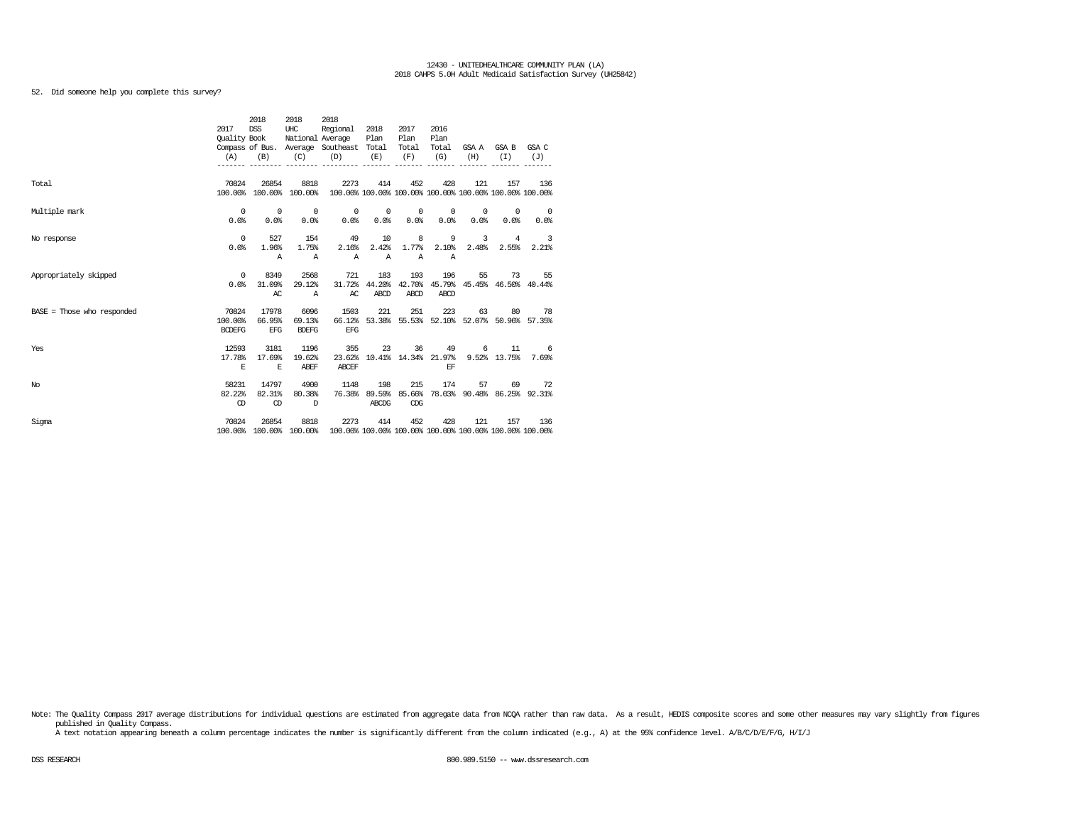# 52. Did someone help you complete this survey?

|                              |                          | 2018                    | 2018           | 2018                                                                            |              |                            |                          |            |                                           |                                                  |
|------------------------------|--------------------------|-------------------------|----------------|---------------------------------------------------------------------------------|--------------|----------------------------|--------------------------|------------|-------------------------------------------|--------------------------------------------------|
|                              | 2017                     | DSS                     | UHC            | Regional 2018                                                                   |              | 2017                       | 2016                     |            |                                           |                                                  |
|                              | Ouality Book             |                         |                | National Average                                                                | Plan         | Plan                       | Plan                     |            |                                           |                                                  |
|                              |                          |                         |                | Compass of Bus. Average Southeast Total                                         |              | Total                      | Total                    |            | GSAA GSAB GSAC                            |                                                  |
|                              | (A)                      | (B)                     | (C)            | (D)                                                                             | (E)          | (F)                        | (G)                      | (H)        | (T)                                       | (J)                                              |
|                              |                          |                         |                | ---------------------------                                                     |              |                            |                          |            |                                           |                                                  |
| Total                        | 70824                    | 26854                   | 8818           | 2273                                                                            | 414          | 452                        | 428                      | 121        | 157                                       | 136                                              |
|                              |                          | 100.00% 100.00% 100.00% |                | 100.00% 100.00% 100.00% 100.00% 100.00% 100.00% 100.00%                         |              |                            |                          |            |                                           |                                                  |
| Multiple mark                | $\overline{0}$           | $\sim$ 0                | $\sim$ 0       |                                                                                 |              |                            | $\sim$ 0                 |            | $\sim$ 0<br>$^{\circ}$                    | $\sim$ 0                                         |
|                              | 0.0%                     | 0.0%                    | 0.0%           | 0.0%                                                                            | 0.0%         | 0.0%                       | 0.0%                     | $0.0\%$    | 0.0%                                      | 0.0%                                             |
| No response                  | $\overline{0}$           | 527                     | 154            | 49                                                                              | 10           | $\overline{\phantom{0}}$ 8 | $\overline{\phantom{a}}$ |            | 3 4 3                                     |                                                  |
|                              | 0.0%                     | 1.96%                   | 1.75%          | 2.16%                                                                           | 2.42%        | 1.77%                      | 2.10%                    |            | 2.48% 2.55%                               | 2.21%                                            |
|                              |                          | $\triangleright$        | $\mathbb{A}$   | $\mathbb{A}$                                                                    | $\mathbb{A}$ | $\mathbb{A}$               | $\mathbb{A}$             |            |                                           |                                                  |
|                              |                          |                         |                |                                                                                 |              |                            |                          |            |                                           |                                                  |
| Appropriately skipped        | $\overline{\phantom{0}}$ | 8349                    | 2568           | 721                                                                             | 183          | 193                        | 196                      |            | 55<br>73                                  | 55                                               |
|                              | 0.0%                     | 31.09%                  | 29.12%         | 31.72%                                                                          |              |                            |                          |            |                                           | 44.20% 42.70% 45.79% 45.45% 46.50% 40.44%        |
|                              |                          | AC                      | $\overline{A}$ | AC                                                                              | ABCD         | <b>ABCD</b>                | ABCD                     |            |                                           |                                                  |
| $BASE = Those who responded$ | 70824                    | 17978                   | 6096           | 1503                                                                            | 221          | 251                        | 223                      |            | 63 80 78                                  |                                                  |
|                              | 100.00%                  | 66.95%                  | 69.13%         | 66.12%                                                                          |              |                            |                          |            | 53.38% 55.53% 52.10% 52.07% 50.96% 57.35% |                                                  |
|                              | <b>BCDEFG</b>            | <b>EFG</b>              | <b>BDEFG</b>   | EFG                                                                             |              |                            |                          |            |                                           |                                                  |
| Yes                          | 12593                    | 3181                    | 1196           | 355                                                                             |              |                            |                          | 23 36 49 6 |                                           | $11 \qquad 6$                                    |
|                              | 17.78%                   | 17.69%                  | 19.62%         | 23.62%                                                                          |              | 10.41% 14.34% 21.97%       |                          |            |                                           | 9.52% 13.75% 7.69%                               |
|                              | $\,$ E                   | $\mathbb{E}$            | ABEF           | ABCEF                                                                           |              |                            | EF                       |            |                                           |                                                  |
| No.                          | 58231                    | 14797                   | 4900           | 1148                                                                            | 198          | 215                        | 174                      |            | 57 —                                      | 69 72                                            |
|                              | 82.22%                   | 82.31%                  | 80.38%         |                                                                                 |              |                            |                          |            |                                           | 76.38% 89.59% 85.66% 78.03% 90.48% 86.25% 92.31% |
|                              | Œ                        | CD                      | $\Box$         |                                                                                 | ABCDG        | CDG                        |                          |            |                                           |                                                  |
| Sigma                        | 70824                    | 26854                   | 8818           | 2273                                                                            | 414          | 452                        | 428                      | 121        | 157                                       | 136                                              |
|                              |                          |                         |                | 100.00% 100.00% 100.00% 100.00% 100.00% 100.00% 100.00% 100.00% 100.00% 100.00% |              |                            |                          |            |                                           |                                                  |

Note: The Quality Compass 2017 average distributions for individual questions are estimated from aggregate data from NCQA rather than raw data. As a result, HEDIS composite scores and some other measures may vary slightly published in Quality Compass.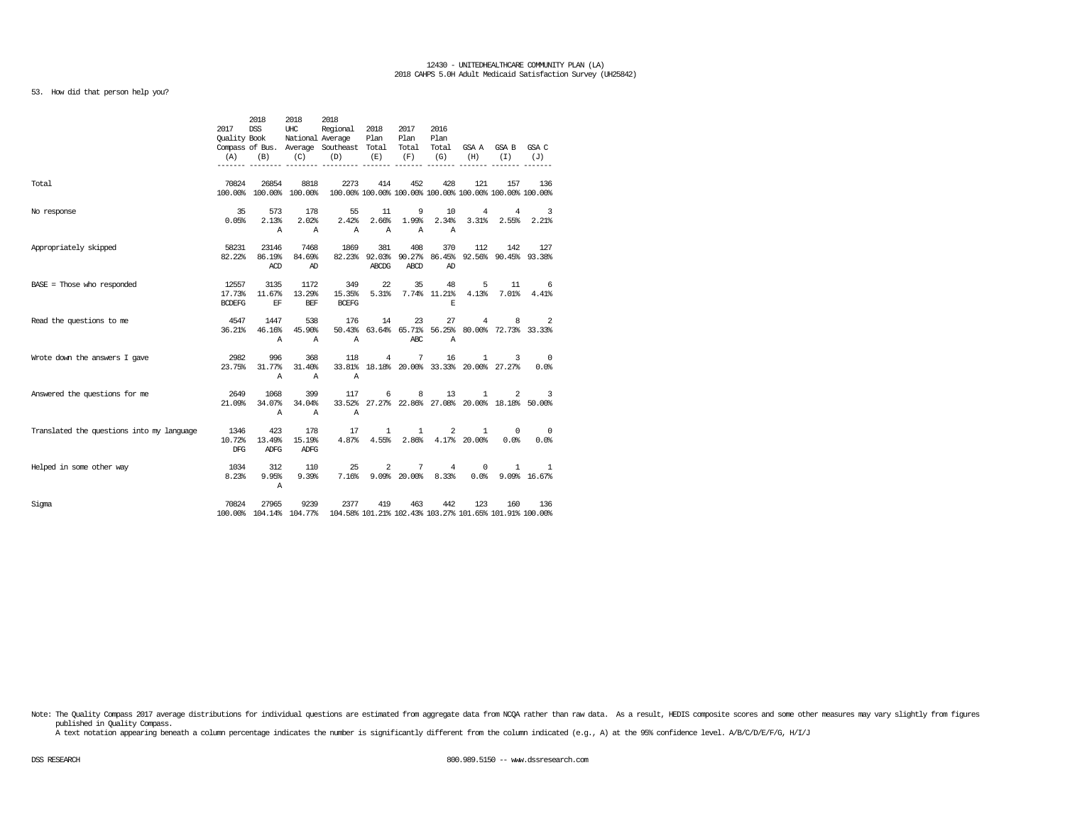# 53. How did that person help you?

|                                           | 2017<br><b>Ouality Book</b><br>(A) | 2018<br><b>DSS</b><br>(B)        | 2018<br>UHC<br>(C)            | 2018<br>Regional<br>National Average<br>Compass of Bus. Average Southeast Total<br>(D) | 2018<br>Plan<br>(E)         | 2017<br>Plan<br>Total<br>(F)        | 2016<br>Plan<br>Total<br>(G) | (H)                          | GSAA GSAB<br>(T)                                      | GSA C<br>(J)                     |
|-------------------------------------------|------------------------------------|----------------------------------|-------------------------------|----------------------------------------------------------------------------------------|-----------------------------|-------------------------------------|------------------------------|------------------------------|-------------------------------------------------------|----------------------------------|
| Total                                     | 70824                              | 26854<br>100.00% 100.00% 100.00% | 8818                          | 2273<br>100.00% 100.00% 100.00% 100.00% 100.00% 100.00% 100.00%                        | 414                         | 452                                 | 428                          | 121                          | 157                                                   | 136                              |
| No response                               | 35<br>0.05%                        | 573<br>2.13%<br>Α                | 178<br>2.02%<br>$\mathbb{A}$  | 55<br>2.42%<br>$\mathbb{A}$                                                            | 11<br>2.66%<br>$\mathbb{A}$ | 9<br>1.99%<br>$\mathbb{A}$          | 10<br>2.34%<br>Α             | 4<br>3.31%                   | 4<br>2.55%                                            | 3<br>$2.21$ <sup>8</sup>         |
| Appropriately skipped                     | 58231<br>82.22%                    | 23146<br>86.19%<br>ACD           | 7468<br>84.69%<br>AD          | 1869<br>82.23%                                                                         | 381<br>ABCDG                | 408<br>92.03% 90.27% 86.45%<br>ABCD | 370<br>AD                    | 112                          | 142<br>92.56% 90.45% 93.38%                           | 127                              |
| $BASE = Those who responded$              | 12557<br>17.73%<br><b>BCDEFG</b>   | 3135<br>11.67%<br>$\mathbf{EF}$  | 1172<br>13.29%<br>BEF         | 349<br>15.35%<br><b>BCEFG</b>                                                          | 22<br>5.31%                 | 35                                  | 48<br>7.74% 11.21%<br>E.     | 5<br>4.13%                   | 11<br>$7.01$ $8$                                      | 6<br>4.41%                       |
| Read the questions to me                  | 4547<br>36.21%                     | 1447<br>46.16%<br>Α              | 538<br>45.90%<br>$\mathbb{A}$ | 176<br>Α                                                                               | 14                          | 23<br>ABC                           | 27<br>Α                      | 4                            | 8<br>50.43% 63.64% 65.71% 56.25% 80.00% 72.73% 33.33% | 2                                |
| Wrote down the answers I gave             | 2982<br>23.75%                     | 996<br>31.77%<br>Α               | 368<br>31.40%<br>$\mathbf{A}$ | 118<br>Α                                                                               | 4                           | 7                                   | 16                           | $\mathbf{1}$                 | 3<br>33.81% 18.18% 20.00% 33.33% 20.00% 27.27%        | $\overline{\phantom{0}}$<br>0.0% |
| Answered the questions for me             | 2649<br>21.09%                     | 1068<br>34.07%<br>A              | 399<br>34.04%<br>A            | 117<br>Α                                                                               | 6                           | 8                                   | 13                           | 1                            | 2<br>33.52% 27.27% 22.86% 27.08% 20.00% 18.18% 50.00% | 3                                |
| Translated the questions into my language | 1346<br>10.72%<br><b>DFG</b>       | 423<br>13.49%<br>ADFG            | 178<br>15.19%<br><b>ADFG</b>  | 17<br>4.87%                                                                            | $\mathbf{1}$<br>4.55%       | $\mathbf{1}$<br>2.86%               | 2                            | $\mathbf{1}$<br>4.17% 20.00% | $^{\circ}$<br>0.0%                                    | $\overline{0}$<br>0.0%           |
| Helped in some other way                  | 1034<br>8.23%                      | 312<br>9.95%<br>$\mathbb{A}$     | 110<br>9.39%                  | 25<br>7.16%                                                                            | 2                           | 7<br>$9.09\%$ 20.00%                | 4<br>8.33%                   | 0                            | 1<br>$0.0%$ 9.09% 16.67%                              | 1                                |
| Sigma                                     | 70824                              | 27965<br>100.00% 104.14% 104.77% | 9239                          | 2377<br>104.58% 101.21% 102.43% 103.27% 101.65% 101.91% 100.00%                        | 419                         | 463                                 | 442                          | 123                          | 160                                                   | 136                              |

Note: The Quality Compass 2017 average distributions for individual questions are estimated from aggregate data from NCQA rather than raw data. As a result, HEDIS composite scores and some other measures may vary slightly published in Quality Compass.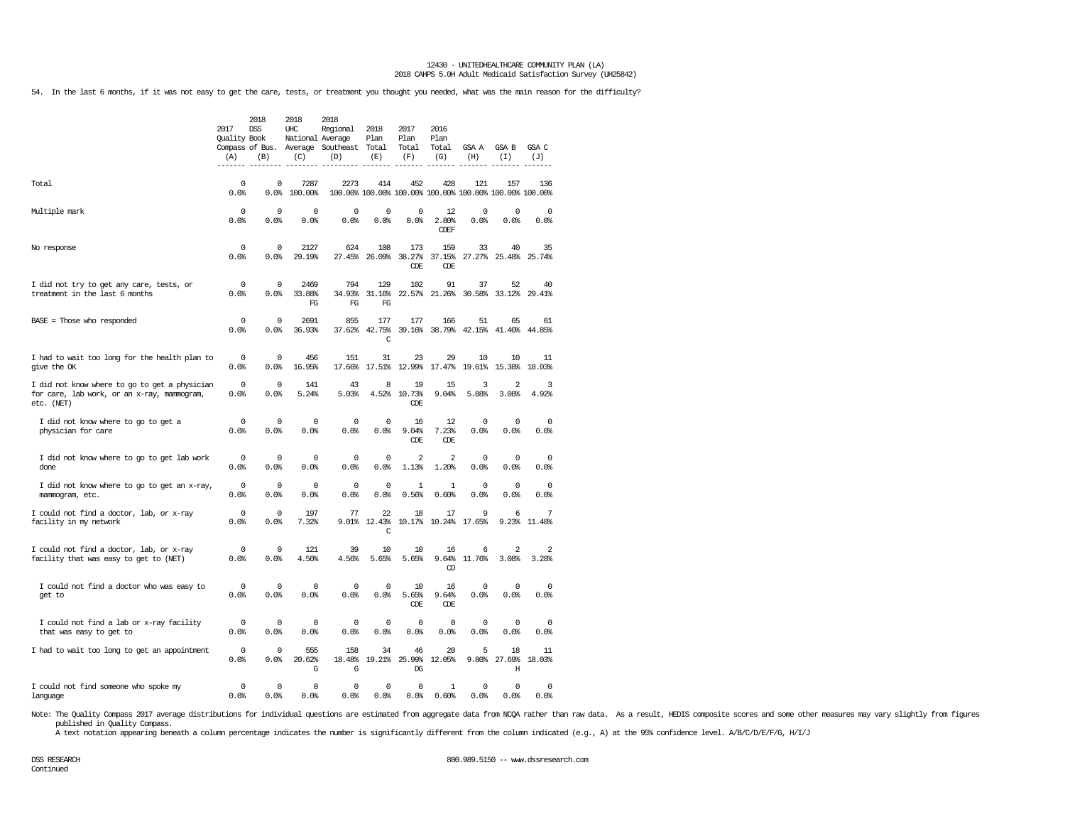54. In the last 6 months, if it was not easy to get the care, tests, or treatment you thought you needed, what was the main reason for the difficulty?

|                                                                                                            | 2017<br>Quality Book<br>(A) | 2018<br><b>DSS</b><br>(B) | 2018<br>UHC<br>National Average<br>(C) | 2018<br>Regional<br>Compass of Bus. Average Southeast<br>(D) | 2018<br>Plan<br>Total<br>(E)  | 2017<br>Plan<br>Total<br>(F)                                   | 2016<br>Plan<br>Total<br>(G) | GSA A<br>(H)     | GSA B<br>(I)                     | GSA C<br>(J)<br>----- |
|------------------------------------------------------------------------------------------------------------|-----------------------------|---------------------------|----------------------------------------|--------------------------------------------------------------|-------------------------------|----------------------------------------------------------------|------------------------------|------------------|----------------------------------|-----------------------|
| Total                                                                                                      | 0<br>0.0%                   | $\mathbf 0$<br>0.0%       | 7287<br>100.00%                        | 2273                                                         | 414                           | 452<br>100.00% 100.00% 100.00% 100.00% 100.00% 100.00% 100.00% | 428                          | 121              | 157                              | 136                   |
| Multiple mark                                                                                              | $^{\circ}$<br>0.0%          | 0<br>0.0%                 | 0<br>0.0%                              | 0<br>0.0%                                                    | 0<br>0.0%                     | 0<br>0.0%                                                      | 12<br>2.80%<br>CDEF          | 0<br>0.0%        | 0<br>0.0%                        | 0<br>0.0%             |
| No response                                                                                                | 0<br>0.0%                   | $\mathbf 0$<br>0.0%       | 2127<br>29.19%                         | 624<br>27.45%                                                | 108<br>26.09%                 | 173<br>38.27%<br>CDE                                           | 159<br>37.15%<br>CDE         | 33<br>27.27%     | 40<br>25.48%                     | 35<br>25.74%          |
| I did not try to get any care, tests, or<br>treatment in the last 6 months                                 | 0<br>0.0%                   | $\mathbf 0$<br>0.0%       | 2469<br>33.88%<br>FG                   | 794<br>34.93%<br>FG                                          | 129<br>31.16%<br>FG           | 102<br>22.57%                                                  | 91<br>21.26%                 | 37<br>30.58%     | 52<br>33.12%                     | 40<br>29.41%          |
| $BASE = Those who responded$                                                                               | 0<br>0.0%                   | $\mathbf 0$<br>0.0%       | 2691<br>36.93%                         | 855<br>37.62%                                                | 177<br>42.75%<br>$\mathsf{C}$ | 177<br>39.16%                                                  | 166<br>38.79%                | 51<br>42.15%     | 65<br>41.40%                     | 61<br>44.85%          |
| I had to wait too long for the health plan to<br>give the OK                                               | 0<br>0.0%                   | 0<br>0.0%                 | 456<br>16.95%                          | 151<br>17.66%                                                | 31<br>17.51%                  | 23<br>12.99%                                                   | 29<br>17.47%                 | 10<br>19.61%     | 10<br>15.38%                     | 11<br>18.03%          |
| I did not know where to go to get a physician<br>for care, lab work, or an x-ray, mammogram,<br>etc. (NET) | 0<br>0.0%                   | $\mathbf 0$<br>0.0%       | 141<br>5.24%                           | 43<br>5.03%                                                  | 8<br>4.52%                    | 19<br>10.73%<br>CDE.                                           | 15<br>9.04%                  | 3<br>5.88%       | $\overline{2}$<br>3.08%          | 3<br>4.92%            |
| I did not know where to go to get a<br>physician for care                                                  | $\Omega$<br>0.0%            | $\Omega$<br>0.0%          | $\Omega$<br>0.0%                       | $\mathbf 0$<br>0.0%                                          | $\mathbf 0$<br>0.0%           | 16<br>9.04%<br>CDE                                             | 12<br>7.23%<br>CDE           | $\Omega$<br>0.0% | $\Omega$<br>0.0%                 | $\Omega$<br>0.0%      |
| I did not know where to go to get lab work<br>done                                                         | 0<br>0.0%                   | $^{\circ}$<br>0.0%        | $\mathbf 0$<br>0.0%                    | 0<br>0.0%                                                    | 0<br>0.0%                     | $\overline{2}$<br>1.13%                                        | $\overline{2}$<br>1.20%      | 0<br>0.0%        | $^{\circ}$<br>0.0%               | $^{\circ}$<br>0.0%    |
| I did not know where to go to get an x-ray,<br>mammogram, etc.                                             | 0<br>0.0%                   | $\mathbf 0$<br>0.0%       | 0<br>0.0%                              | 0<br>0.0%                                                    | 0<br>0.0%                     | 1<br>0.56%                                                     | $\mathbf{1}$<br>0.60%        | 0<br>0.0%        | 0<br>0.0%                        | $\mathbf 0$<br>0.0%   |
| I could not find a doctor, lab, or x-ray<br>facility in my network                                         | 0<br>0.0%                   | $\mathbf 0$<br>0.0%       | 197<br>7.32%                           | 77<br>9.01%                                                  | 22<br>12.43%<br>$\mathsf C$   | 18<br>10.17%                                                   | 17<br>10.24%                 | 9<br>17.65%      | 6<br>9.23%                       | 7<br>11.48%           |
| I could not find a doctor, lab, or x-ray<br>facility that was easy to get to (NET)                         | 0<br>0.0%                   | 0<br>0.0%                 | 121<br>4.50%                           | 39<br>4.56%                                                  | 10<br>5.65%                   | 10<br>5.65%                                                    | 16<br>9.64%<br>CD            | 6<br>11.76%      | $\overline{\mathbf{c}}$<br>3.08% | 2<br>3.28%            |
| I could not find a doctor who was easy to<br>get to                                                        | $^{\circ}$<br>0.0%          | $\mathbf 0$<br>0.0%       | 0<br>0.0%                              | $\mathbf 0$<br>0.0%                                          | $\mathbf 0$<br>0.0%           | 10<br>5.65%<br><b>CDE</b>                                      | 16<br>9.64%<br>CDE           | 0<br>0.0%        | $^{\circ}$<br>0.0%               | $\mathbf 0$<br>0.0%   |
| I could not find a lab or x-ray facility<br>that was easy to get to                                        | 0<br>0.0                    | 0<br>0.0%                 | 0<br>0.0%                              | 0<br>0.0%                                                    | 0<br>0.0%                     | 0<br>0.0%                                                      | 0<br>0.0%                    | 0<br>0.0%        | 0<br>0.0                         | 0<br>0.0%             |
| I had to wait too long to get an appointment                                                               | 0<br>0.0%                   | 0<br>0.0%                 | 555<br>20.62%<br>G                     | 158<br>18.48%<br>G                                           | 34<br>19.21%                  | 46<br>25.99%<br>DG                                             | 20<br>12.05%                 | 5<br>9.80%       | 18<br>27.69%<br>H                | 11<br>18.03%          |
| I could not find someone who spoke my<br>language                                                          | 0<br>0.0%                   | 0<br>0.0%                 | 0<br>0.0%                              | 0<br>0.0%                                                    | 0<br>0.0%                     | 0<br>0.0%                                                      | 1<br>0.60%                   | 0<br>0.0%        | 0<br>0.0%                        | $\mathbf 0$<br>0.0%   |

Note: The Quality Compass 2017 average distributions for individual questions are estimated from aggregate data from NCQA rather than raw data. As a result, HEDIS composite scores and some other measures may vary slightly published in Quality Compass.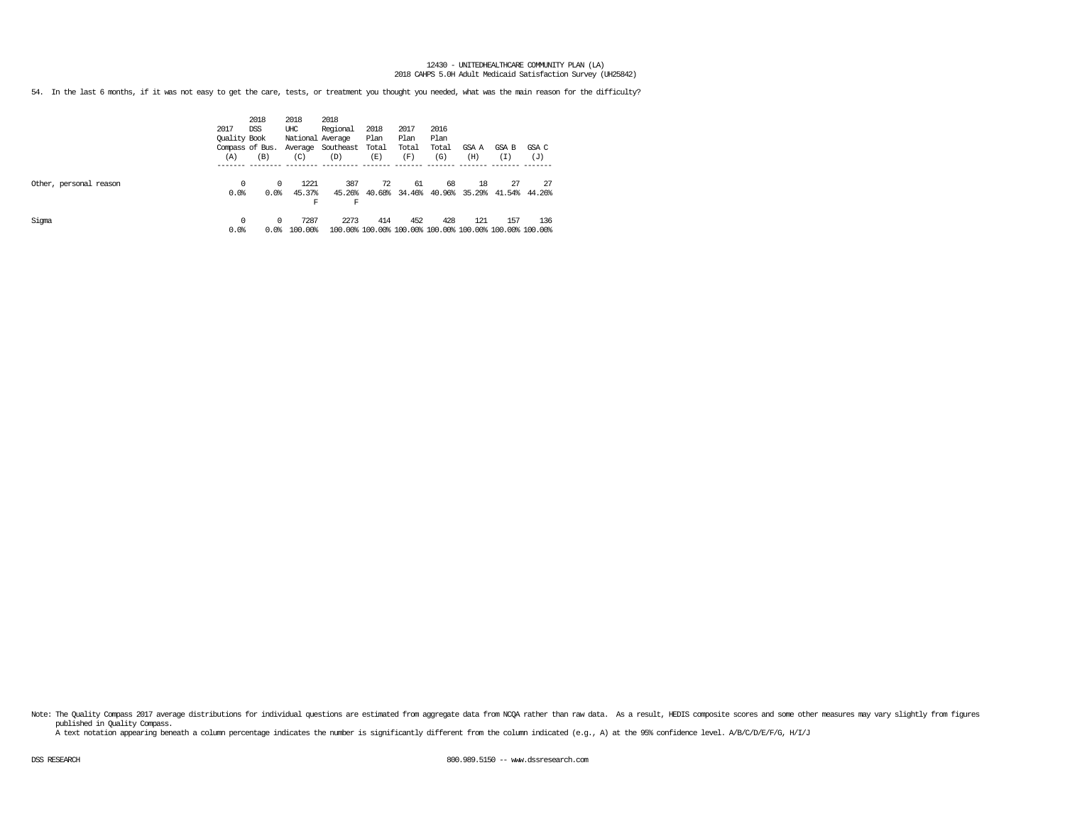54. In the last 6 months, if it was not easy to get the care, tests, or treatment you thought you needed, what was the main reason for the difficulty?

|                        | 2017<br>Quality Book | 2018<br><b>DSS</b><br>Compass of Bus. | 2018<br>UHC<br>National Average | 2018<br>Regional<br>Average Southeast | 2018<br>Plan<br>Total | 2017<br>Plan<br>Total | 2016<br>Plan<br>Total | GSA A               | GSA B                                                          | GSA C        |
|------------------------|----------------------|---------------------------------------|---------------------------------|---------------------------------------|-----------------------|-----------------------|-----------------------|---------------------|----------------------------------------------------------------|--------------|
|                        | (A)                  | (B)                                   | (C)                             | (D)                                   | (E)                   | (F)                   | (G)                   | (H)                 | (I)                                                            | (J)          |
| Other, personal reason | 0<br>0.0%            | $\Omega$<br>0.0%                      | 1221<br>45.37%<br>F             | 387<br>45.26%<br>F                    | 72<br>40.68%          | 61<br>34.46%          | 68                    | 18<br>40.96% 35.29% | 27<br>41.54%                                                   | 27<br>44.26% |
| Sigma                  | $\Omega$<br>0.0%     | $\Omega$<br>0.0%                      | 7287<br>100.00%                 | 2273                                  | 414                   | 452                   | 428                   | 121                 | 157<br>100.00% 100.00% 100.00% 100.00% 100.00% 100.00% 100.00% | 136          |

Note: The Quality Compass 2017 average distributions for individual questions are estimated from aggregate data from NOQA rather than raw data. As a result, HEDIS composite scores and some other measures may vary slightly published in Quality Compass.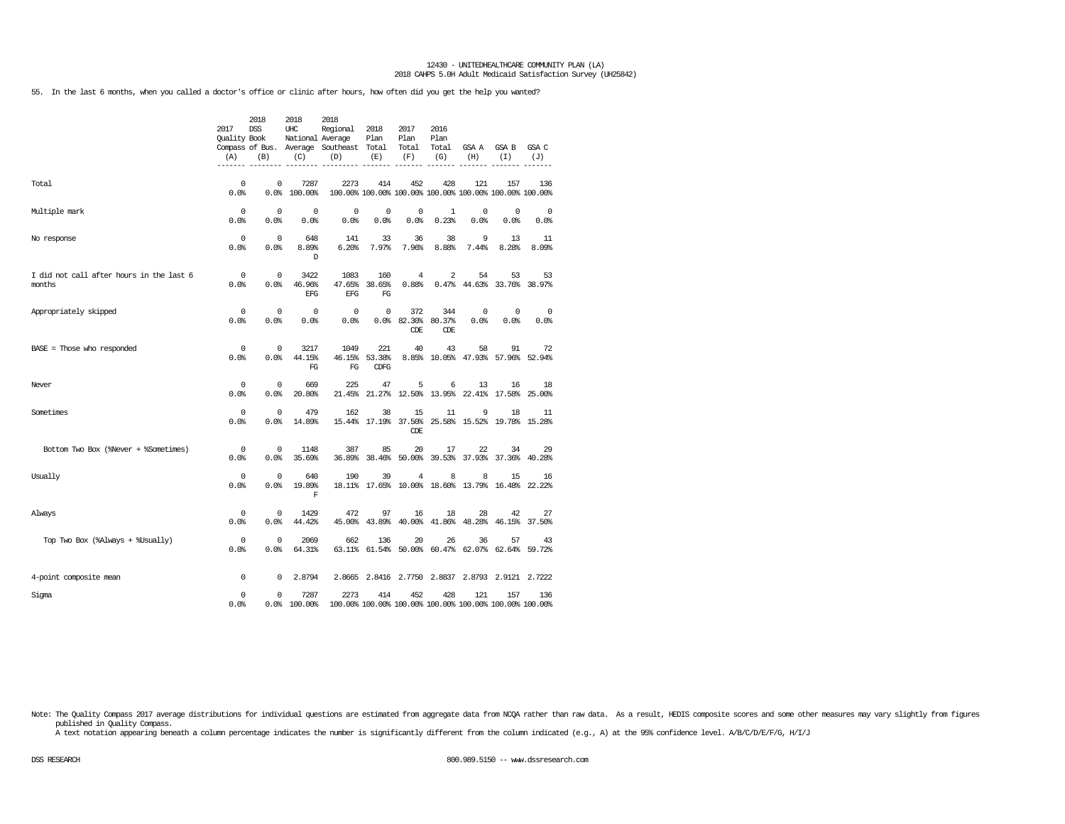55. In the last 6 months, when you called a doctor's office or clinic after hours, how often did you get the help you wanted?

|                                                    | 2017<br><b>Ouality Book</b><br>(A) | 2018<br><b>DSS</b><br>(B) | 2018<br>UHC<br>National Average<br>(C) | 2018<br>Regional<br>Compass of Bus. Average Southeast Total<br>(D) | 2018<br>Plan<br>(E)   | 2017<br>Plan<br>Total<br>(F)     | 2016<br>Plan<br>Total<br>(G) | GSA A<br>(H)       | GSA B<br>(T)                                                   | GSA C<br>(J)       |
|----------------------------------------------------|------------------------------------|---------------------------|----------------------------------------|--------------------------------------------------------------------|-----------------------|----------------------------------|------------------------------|--------------------|----------------------------------------------------------------|--------------------|
| Total                                              | $^{\circ}$<br>0.0%                 | 0<br>0.0%                 | 7287<br>100.00%                        | 2273                                                               | 414                   | 452                              | 428                          | 121                | 157<br>100.00% 100.00% 100.00% 100.00% 100.00% 100.00% 100.00% | 136                |
| Multiple mark                                      | 0<br>0.0%                          | $\mathbf 0$<br>0.0%       | $^{\circ}$<br>0.0                      | 0<br>0.0%                                                          | $^{\circ}$<br>0.0%    | 0<br>0.0%                        | $\mathbf{1}$<br>0.23%        | $^{\circ}$<br>0.0% | $\mathbf 0$<br>0.0%                                            | $^{\circ}$<br>0.0% |
| No response                                        | $\mathbf 0$<br>0.0                 | $\mathbf 0$<br>0.0%       | 648<br>8.89%<br>D                      | 141<br>6.20%                                                       | 33<br>7.97%           | 36<br>7.96%                      | 38<br>8.88%                  | 9<br>7.44%         | 13<br>8.28%                                                    | 11<br>8.09%        |
| I did not call after hours in the last 6<br>months | 0<br>0.0%                          | $^{\circ}$<br>0.0%        | 3422<br>46.96%<br>EFG                  | 1083<br>47.65%<br>EFG                                              | 160<br>38.65%<br>FG   | $\overline{4}$<br>0.88%          | 2                            | 54                 | 53<br>$0.47\%$ $44.63\%$ 33.76%                                | 53<br>38.97%       |
| Appropriately skipped                              | $\mathbf 0$<br>0.0%                | 0<br>0.0%                 | 0<br>0.0                               | $\mathbf 0$<br>0.0%                                                | 0                     | 372<br>0.0% 82.30% 80.37%<br>CDE | 344<br>CDE                   | $^{\circ}$<br>0.0% | 0<br>0.0%                                                      | $^{\circ}$<br>0.0% |
| $BASE = Those who responded$                       | $^{\circ}$<br>0.0                  | $^{\circ}$<br>0.0%        | 3217<br>44.15%<br>FG                   | 1049<br>46.15%<br>FG                                               | 221<br>53.38%<br>CDFG | 40                               | 43                           | 58                 | 91<br>8.85% 10.05% 47.93% 57.96% 52.94%                        | 72                 |
| Never                                              | $^{\circ}$<br>0.0%                 | 0<br>0.0%                 | 669<br>20.80%                          | 225                                                                | 47<br>21.45% 21.27%   | 5                                | 6                            | 13                 | 16<br>12.50% 13.95% 22.41% 17.58%                              | 18<br>25.00%       |
| Sometimes                                          | 0<br>0.0%                          | $\mathbb O$<br>0.0%       | 479<br>14.89%                          | 162                                                                | 38<br>15.44% 17.19%   | 15<br>37.50%<br>CDE              | 11                           | 9                  | 18<br>25.58% 15.52% 19.78% 15.28%                              | 11                 |
| Bottom Two Box (%Never + %Sometimes)               | 0<br>0.0%                          | 0<br>0.0%                 | 1148<br>35.69%                         | 387<br>36.89%                                                      | 85<br>38.46%          | 20<br>50.00%                     | 17<br>39.53%                 | 22                 | 34<br>37.93% 37.36%                                            | 29<br>40.28%       |
| Usually                                            | $\Omega$<br>0.0%                   | $\Omega$<br>0.0%          | 640<br>19.89%<br>F                     | 190                                                                | 39                    | 4                                | 8                            | 8                  | 15<br>18.11% 17.65% 10.00% 18.60% 13.79% 16.48% 22.22%         | 16                 |
| Always                                             | 0<br>0.0%                          | $^{\circ}$<br>0.0%        | 1429<br>44.42%                         | 472                                                                | 97                    | 16                               | 18                           | 28                 | 42<br>45.00% 43.89% 40.00% 41.86% 48.28% 46.15% 37.50%         | 27                 |
| Top Two Box (%Always + %Usually)                   | $^{\circ}$<br>0.0%                 | $\mathbf 0$<br>0.0%       | 2069<br>64.31%                         | 662                                                                | 136                   | 20                               | 26                           | 36                 | 57<br>63.11% 61.54% 50.00% 60.47% 62.07% 62.64% 59.72%         | 43                 |
| 4-point composite mean                             | 0                                  | 0                         | 2.8794                                 |                                                                    |                       |                                  |                              |                    | 2.8665 2.8416 2.7750 2.8837 2.8793 2.9121 2.7222               |                    |
| Sigma                                              | 0<br>0.0%                          | 0                         | 7287<br>0.0% 100.00%                   | 2273                                                               | 414                   | 452                              | 428                          | 121                | 157<br>100.00% 100.00% 100.00% 100.00% 100.00% 100.00% 100.00% | 136                |

Note: The Quality Compass 2017 average distributions for individual questions are estimated from aggregate data from NOQA rather than raw data. As a result, HEDIS composite scores and some other measures may vary slightly published in Quality Compass.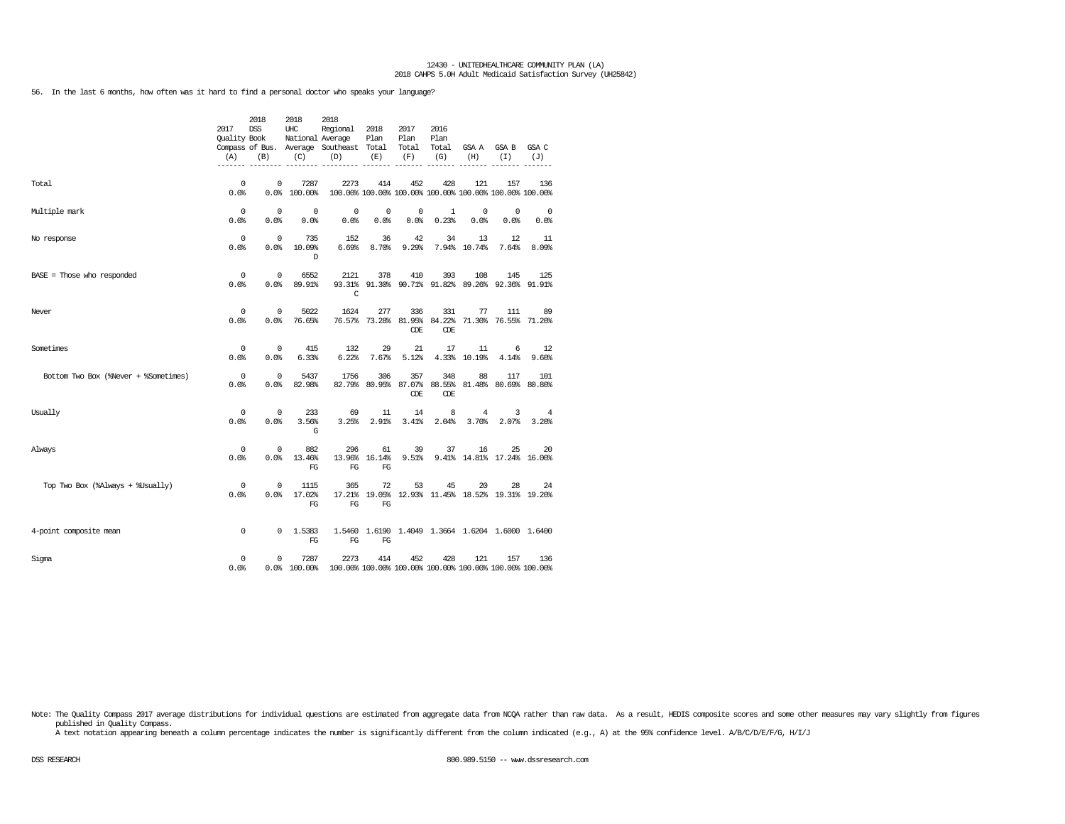56. In the last 6 months, how often was it hard to find a personal doctor who speaks your language?

|                                      | 2017<br><b>Ouality Book</b><br>(A) | 2018<br><b>DSS</b><br>(B) | 2018<br>UHC<br>National Average<br>(C) | 2018<br>Regional<br>Compass of Bus. Average Southeast Total<br>(D) | 2018<br>Plan<br>(E)                | 2017<br>Plan<br>Total<br>(F) | 2016<br>Plan<br>Total<br>(G) | GSA A<br>(H)                                                   | GSA B<br>(I)                | GSA C<br>(J)       |
|--------------------------------------|------------------------------------|---------------------------|----------------------------------------|--------------------------------------------------------------------|------------------------------------|------------------------------|------------------------------|----------------------------------------------------------------|-----------------------------|--------------------|
| Total                                | $\mathbf 0$<br>0.0%                | $\Omega$<br>0.0%          | 7287<br>100.00%                        | 2273                                                               | 414                                | 452                          | 428                          | 121<br>100.00% 100.00% 100.00% 100.00% 100.00% 100.00% 100.00% | 157                         | 136                |
| Multiple mark                        | 0<br>0.0%                          | $^{\circ}$<br>0.0%        | $^{\circ}$<br>0.0%                     | 0<br>0.0%                                                          | 0<br>0.0%                          | 0<br>0.0%                    | $\mathbf{1}$<br>0.23%        | $^{\circ}$<br>0.0                                              | 0<br>0.0%                   | $^{\circ}$<br>0.0% |
| No response                          | $^{\circ}$<br>0.0%                 | $^{\circ}$<br>0.0%        | 735<br>10.09%<br>D                     | 152<br>6.69%                                                       | 36<br>8.70%                        | 42<br>9.29%                  | 34                           | 13<br>7.94% 10.74%                                             | 12<br>7.64%                 | 11<br>8.09%        |
| $BASE = Those who responded$         | 0<br>0.0%                          | $\Omega$<br>0.0%          | 6552<br>89.91%                         | 2121<br>C                                                          | 378                                | 410                          | 393                          | 108<br>93.31% 91.30% 90.71% 91.82% 89.26% 92.36% 91.91%        | 145                         | 125                |
| Never                                | 0<br>0.0%                          | $\Omega$<br>0.0%          | 5022<br>76.65%                         | 1624                                                               | 277<br>76.57% 73.28% 81.95% 84.22% | 336<br>CDE                   | 331<br>CDE                   | 77                                                             | 111<br>71.30% 76.55% 71.20% | -89                |
| Sometimes                            | $^{\circ}$<br>0.0%                 | $^{\circ}$<br>0.0%        | 415<br>6.33%                           | 132<br>6.22%                                                       | 29<br>7.67%                        | 21<br>5.12%                  | 17                           | 11<br>4.33% 10.19%                                             | 6<br>4.14%                  | 12<br>9.60%        |
| Bottom Two Box (%Never + %Sometimes) | $\mathbf 0$<br>0.0                 | $\mathbf{0}$<br>0.0%      | 5437<br>82.98%                         | 1756                                                               | 306<br>82.79% 80.95% 87.07%        | 357<br>CDE                   | 348<br>88.55%<br>CDE         | 88                                                             | 117<br>81.48% 80.69% 80.80% | 101                |
| Usually                              | 0<br>0.0%                          | $\mathbf{0}$<br>0.0%      | 233<br>3.56%<br>G                      | 69<br>3.25%                                                        | 11<br>$2.91$ $%$                   | 14<br>3.41%                  | 8<br>2.04%                   | $\overline{4}$<br>3.70%                                        | 3<br>2.07%                  | - 4<br>3.20%       |
| Always                               | 0<br>0.0%                          | 0<br>0.0%                 | 882<br>13.46%<br>FG                    | 296<br>FG                                                          | 61<br>13.96% 16.14%<br>FG          | 39                           | 37                           | 16<br>9.51% 9.41% 14.81% 17.24% 16.00%                         | 25                          | 20                 |
| Top Two Box (%Always + %Usually)     | $^{\circ}$<br>0.0%                 | $^{\circ}$<br>0.0%        | 1115<br>17.02%<br>FG                   | 365<br>$_{\rm FG}$                                                 | 72<br>FG                           | 53                           | 45                           | 20<br>17.21% 19.05% 12.93% 11.45% 18.52% 19.31% 19.20%         | 28                          | 24                 |
| 4-point composite mean               | 0                                  | 0                         | 1.5383<br>FG                           | $_{\rm FG}$                                                        | $_{\rm FG}$                        |                              |                              | 1.5460 1.6190 1.4049 1.3664 1.6204 1.6000 1.6400               |                             |                    |
| Sigma                                | 0<br>0.0%                          | 0                         | 7287<br>0.0% 100.00%                   | 2273                                                               | 414                                | 452                          | 428                          | 121<br>100.00% 100.00% 100.00% 100.00% 100.00% 100.00% 100.00% | 157                         | 136                |

Note: The Quality Compass 2017 average distributions for individual questions are estimated from aggregate data from NCQA rather than raw data. As a result, HEDIS composite scores and some other measures may vary slightly published in Quality Compass.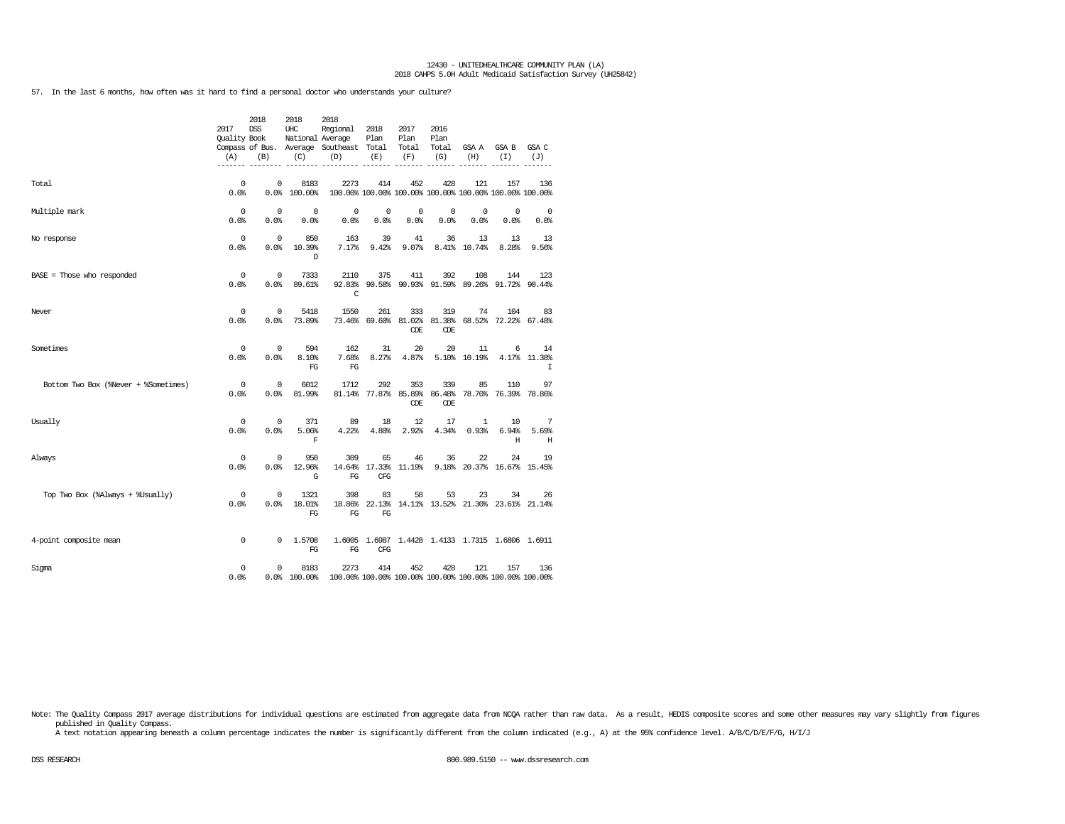57. In the last 6 months, how often was it hard to find a personal doctor who understands your culture?

|                                      | 2017<br><b>Ouality Book</b><br>(A) | 2018<br>DSS<br>(B)  | 2018<br>UHC<br>National Average<br>(C) | 2018<br>Regional<br>Compass of Bus. Average Southeast Total<br>(D) | 2018<br>Plan<br>(E)                | 2017<br>Plan<br>Total<br>(F) | 2016<br>Plan<br>Total<br>(G) | GSA A<br>(H)                                            | GSA B<br>(I)                | GSA C<br>(J)                                     |
|--------------------------------------|------------------------------------|---------------------|----------------------------------------|--------------------------------------------------------------------|------------------------------------|------------------------------|------------------------------|---------------------------------------------------------|-----------------------------|--------------------------------------------------|
| Total                                | $^{\circ}$<br>0.0%                 | $\Omega$<br>0.0%    | 8183<br>100.00%                        | 2273<br>100.00% 100.00% 100.00% 100.00% 100.00% 100.00% 100.00%    | 414                                | 452                          | 428                          | 121                                                     | 157                         | 136                                              |
| Multiple mark                        | $^{\circ}$<br>0.0%                 | $^{\circ}$<br>0.0%  | 0<br>0.0%                              | 0<br>0.0%                                                          | $^{\circ}$<br>0.0%                 | 0<br>0.0%                    | $^{\circ}$<br>0.0%           | 0<br>0.0%                                               | $\mathbf 0$<br>0.0%         | $\mathbf{0}$<br>0.0%                             |
| No response                          | $^{\circ}$<br>0.0%                 | $^{\circ}$<br>0.0%  | 850<br>10.39%<br><sup>D</sup>          | 163<br>7.17%                                                       | 39<br>9.42%                        | 41<br>9.07%                  | 36                           | 13<br>8.41% 10.74%                                      | 13<br>8.28%                 | 13<br>9.56%                                      |
| $BASE = Those who responded$         | 0<br>0.0                           | $^{\circ}$<br>0.0%  | 7333<br>89.61%                         | 2110<br>C                                                          | 375                                | 411                          | 392                          | 108<br>92.83% 90.58% 90.93% 91.59% 89.26% 91.72% 90.44% | 144                         | 123                                              |
| Never                                | 0<br>0.0%                          | $\mathbf 0$<br>0.0% | 5418<br>73.89%                         | 1550                                                               | 261<br>73.46% 69.60% 81.02%        | 333<br>CDE                   | 319<br>81.38%<br>CDE         | 74                                                      | 104<br>68.52% 72.22% 67.48% | 83                                               |
| Sometimes                            | 0<br>0.0%                          | $^{\circ}$<br>0.0%  | 594<br>8.10%<br>FG                     | 162<br>7.68%<br>FG                                                 | 31<br>8.27%                        | 20<br>4.87%                  | 20                           | 11<br>5.10% 10.19%                                      | 6                           | 14<br>4.17% 11.38%<br>I                          |
| Bottom Two Box (%Never + %Sometimes) | 0<br>0.0%                          | $^{\circ}$<br>0.0%  | 6012<br>81.99%                         | 1712                                                               | 292<br>81.14% 77.87% 85.89% 86.48% | 353<br>CDE                   | 339<br>CDE                   | 85                                                      | 110<br>78.70% 76.39% 78.86% | 97                                               |
| Usually                              | $^{\circ}$<br>0.0                  | $^{\circ}$<br>0.0%  | 371<br>5.06%<br>F                      | 89<br>4.22%                                                        | 18<br>4.80%                        | 12<br>2.92%                  | 17<br>4.34%                  | 1<br>0.93%                                              | 10<br>6.94%<br>Н            | 7<br>5.69%<br>Н                                  |
| Always                               | 0<br>0.0%                          | $^{\circ}$<br>0.0%  | 950<br>12.96%<br>G                     | 309<br>14.64%<br>FG                                                | 65<br>17.33% 11.19%<br><b>CFG</b>  | 46                           | 36                           | 22<br>9.18% 20.37% 16.67% 15.45%                        | 24                          | 19                                               |
| Top Two Box (%Always + %Usually)     | $^{\circ}$<br>0.0%                 | $^{\circ}$<br>0.0%  | 1321<br>18.01%<br>FG                   | 398<br>18.86%<br>FG                                                | 83<br>FG                           | 58                           | 53                           | 23<br>22.13% 14.11% 13.52% 21.30% 23.61% 21.14%         | 34                          | 26                                               |
| 4-point composite mean               | 0                                  | 0                   | 1.5708<br>FG                           | $_{\rm FG}$                                                        | CFG                                |                              |                              |                                                         |                             | 1.6005 1.6987 1.4428 1.4133 1.7315 1.6806 1.6911 |
| Sigma                                | 0<br>0.0%                          | 0                   | 8183<br>0.0% 100.00%                   | 2273<br>100.00% 100.00% 100.00% 100.00% 100.00% 100.00% 100.00%    | 414                                | 452                          | 428                          | 121                                                     | 157                         | 136                                              |

Note: The Quality Compass 2017 average distributions for individual questions are estimated from aggregate data from NOQA rather than raw data. As a result, HEDIS composite scores and some other measures may vary slightly published in Quality Compass.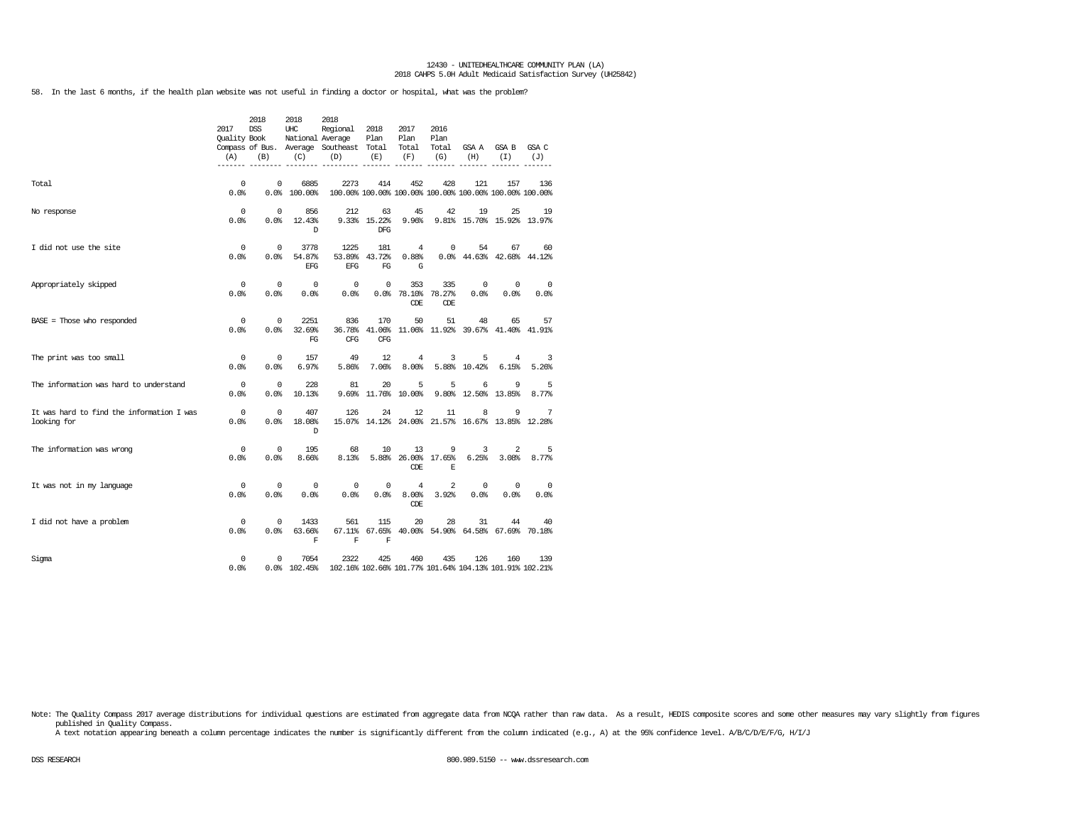58. In the last 6 months, if the health plan website was not useful in finding a doctor or hospital, what was the problem?

|                                                          | 2017<br><b>Ouality Book</b><br>(A) | 2018<br><b>DSS</b><br>(B) | 2018<br>UHC<br>National Average<br>(C) | 2018<br>Regional<br>Compass of Bus. Average Southeast Total<br>(D) | 2018<br>Plan<br>(E)       | 2017<br>Plan<br>Total<br>(F)    | 2016<br>Plan<br>Total<br>(G) | GSA A<br>(H)                                                   | GSA B<br>(I)       | GSA C<br>(J) |
|----------------------------------------------------------|------------------------------------|---------------------------|----------------------------------------|--------------------------------------------------------------------|---------------------------|---------------------------------|------------------------------|----------------------------------------------------------------|--------------------|--------------|
| Total                                                    | $\mathbf 0$<br>0.0%                | $^{\circ}$<br>0.0%        | 6885<br>100.00%                        | 2273                                                               | 414                       | 452                             | 428                          | 121<br>100.00% 100.00% 100.00% 100.00% 100.00% 100.00% 100.00% | 157                | 136          |
| No response                                              | 0<br>0.0%                          | $^{\circ}$<br>0.0%        | 856<br>12.43%<br>D                     | 212                                                                | 63<br>9.33% 15.22%<br>DFG | 45<br>9.96%                     | 42                           | 19<br>9.81% 15.70% 15.92% 13.97%                               | 25                 | 19           |
| I did not use the site                                   | 0<br>0.0%                          | $^{\circ}$<br>0.0%        | 3778<br>54.87%<br><b>EFG</b>           | 1225<br>53.89%<br>EFG                                              | 181<br>43.72%<br>FG       | $\overline{4}$<br>0.88%<br>G    | $\mathbf 0$                  | 54<br>0.0% 44.63% 42.68% 44.12%                                | 67                 | 60           |
| Appropriately skipped                                    | $\mathbf 0$<br>0.0%                | $^{\circ}$<br>0.0%        | $\mathbf 0$<br>0.0%                    | 0<br>0.0%                                                          | 0                         | 353<br>0.0%78.10%<br><b>CDE</b> | 335<br>78.27%<br>CDE         | 0<br>0.0%                                                      | $^{\circ}$<br>0.0% | 0<br>0.0%    |
| $BASE = Those who responded$                             | 0<br>0.0%                          | $^{\circ}$<br>0.0%        | 2251<br>32.69%<br>FG                   | 836<br>36.78%<br>CFG                                               | 170<br>41.06%<br>CFG      | 50<br>11.06%                    | 51                           | 48<br>11.92% 39.67% 41.40% 41.91%                              | 65                 | 57           |
| The print was too small                                  | 0<br>0.0%                          | $^{\circ}$<br>0.0%        | 157<br>6.97%                           | 49<br>5.86%                                                        | 12<br>7.06%               | $\overline{4}$<br>8.00%         | 3                            | 5<br>5.88% 10.42%                                              | 4<br>6.15%         | 3<br>5.26%   |
| The information was hard to understand                   | 0<br>0.0%                          | $^{\circ}$<br>0.0%        | 228<br>10.13%                          | 81<br>9.69%                                                        | 20                        | 5<br>11.76% 10.00%              | 5                            | 6<br>9.80% 12.50%                                              | 9<br>13.85%        | 5<br>8.77%   |
| It was hard to find the information I was<br>looking for | $^{\circ}$<br>0.0%                 | $^{\circ}$<br>0.0%        | 407<br>18.08%<br>D                     | 126                                                                | 24                        | 12                              | 11                           | 8<br>15.07% 14.12% 24.00% 21.57% 16.67% 13.85%                 | 9                  | 7<br>12.28%  |
| The information was wrong                                | 0<br>0.0%                          | 0<br>0.0%                 | 195<br>8.66%                           | 68<br>8.13%                                                        | 10                        | 13<br>5.88% 26.00%<br>CDE       | 9<br>17.65%<br>E             | 3<br>6.25%                                                     | 2<br>3.08%         | 5<br>8.77%   |
| It was not in my language                                | 0<br>0.0%                          | 0<br>0.0%                 | $^{\circ}$<br>0.0%                     | 0<br>0.0                                                           | 0<br>0.0%                 | $\overline{4}$<br>8.00%<br>CDE  | 2<br>3.92%                   | 0<br>0.0%                                                      | 0<br>0.0%          | 0<br>0.0%    |
| I did not have a problem                                 | $\mathbf 0$<br>0.0%                | 0<br>0.0                  | 1433<br>63.66%<br>$\mathbf F$          | 561<br>67.11%<br>F                                                 | 115<br>$\mathbf F$        | 20                              | 28                           | 31<br>67.65% 40.00% 54.90% 64.58% 67.69%                       | 44                 | 40<br>70.18% |
| Sigma                                                    | 0<br>0.0%                          | 0                         | 7054<br>$0.0%$ 102.45%                 | 2322<br>102.16% 102.66% 101.77% 101.64% 104.13% 101.91% 102.21%    | 425                       | 460                             | 435                          | 126                                                            | 160                | 139          |

Note: The Quality Compass 2017 average distributions for individual questions are estimated from aggregate data from NCQA rather than raw data. As a result, HEDIS composite scores and some other measures may vary slightly published in Quality Compass.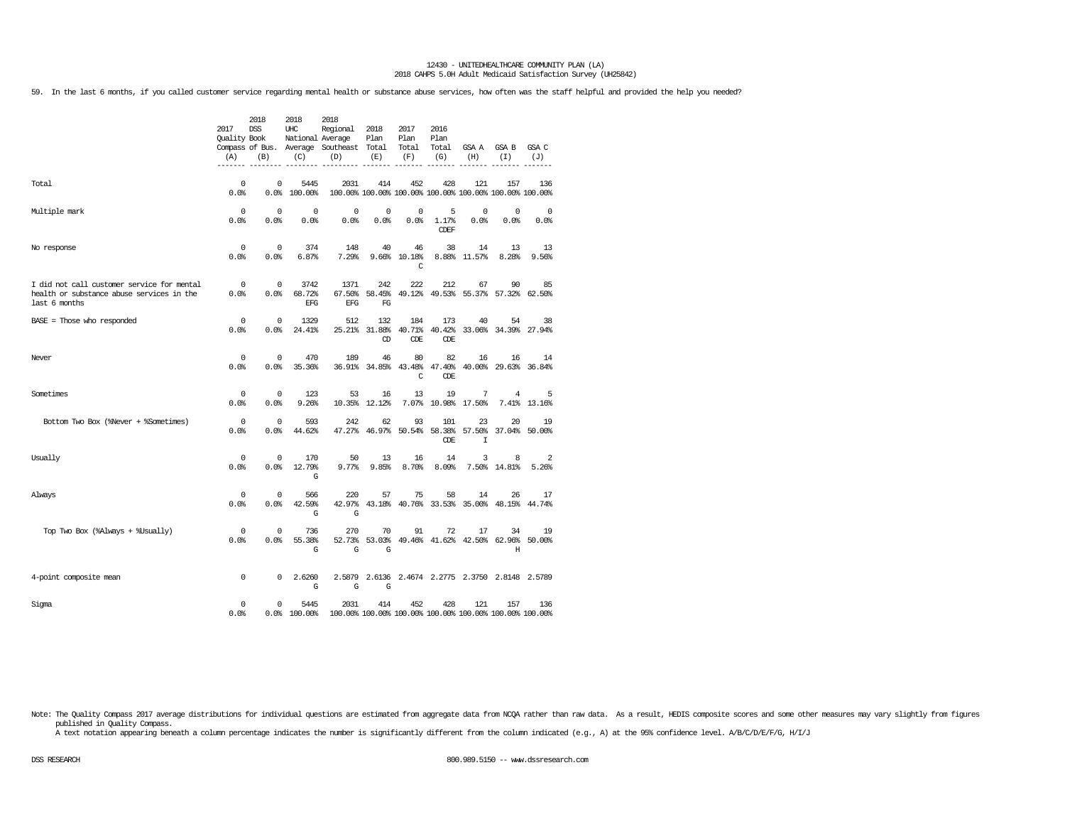59. In the last 6 months, if you called customer service regarding mental health or substance abuse services, how often was the staff helpful and provided the help you needed?

|                                                                                                          | 2017<br>Quality Book<br>(A) | 2018<br><b>DSS</b><br>(B) | 2018<br>UHC<br>National Average<br>(C) | 2018<br>Regional<br>Compass of Bus. Average Southeast Total<br>(D)                        | 2018<br>Plan<br>(E)              | 2017<br>Plan<br>Total<br>(F)    | 2016<br>Plan<br>Total<br>(G) | GSA A<br>(H)                                                   | GSA B<br>(I)               | GSA C<br>(J)      |
|----------------------------------------------------------------------------------------------------------|-----------------------------|---------------------------|----------------------------------------|-------------------------------------------------------------------------------------------|----------------------------------|---------------------------------|------------------------------|----------------------------------------------------------------|----------------------------|-------------------|
| Total                                                                                                    | 0<br>0.0%                   | 0                         | 5445<br>0.0% 100.00%                   | 2031                                                                                      | 414                              | 452                             | 428                          | 121<br>100.00% 100.00% 100.00% 100.00% 100.00% 100.00% 100.00% | 157                        | 136               |
| Multiple mark                                                                                            | 0<br>0.0%                   | 0<br>0.0%                 | $\mathbf 0$<br>0.0%                    | 0<br>0.0%                                                                                 | 0<br>0.0%                        | 0<br>0.0%                       | 5<br>1.17%<br><b>CDEF</b>    | 0<br>0.0%                                                      | $^{\circ}$<br>0.0%         | 0<br>0.0%         |
| No response                                                                                              | 0<br>0.0%                   | 0<br>0.0%                 | 374<br>6.87%                           | 148<br>7.29%                                                                              | 40                               | 46<br>9.66% 10.18%<br>C         | 38                           | 14<br>8.88% 11.57%                                             | 13<br>8.28%                | 13<br>9.56%       |
| I did not call customer service for mental<br>health or substance abuse services in the<br>last 6 months | $\overline{0}$<br>0.0%      | $^{\circ}$<br>0.0%        | 3742<br>68.72%<br>EFG                  | 1371<br>67.50%<br>EFG                                                                     | 242<br>FG                        | 222                             | 212                          | 67<br>58.45% 49.12% 49.53% 55.37% 57.32% 62.50%                | 90                         | 85                |
| $BASE = Those who responded$                                                                             | 0<br>0.0%                   | 0<br>0.0%                 | 1329<br>24.41%                         | 512                                                                                       | 132<br>25.21% 31.88% 40.71%<br>Œ | 184<br><b>CDE</b>               | 173<br>40.42%<br>CDE         | 40                                                             | 54<br>33.06% 34.39% 27.94% | 38                |
| Never                                                                                                    | $\Omega$<br>0.0%            | $\Omega$<br>0.0%          | 470<br>35.36%                          | 189                                                                                       | 46                               | 80<br>36.91% 34.85% 43.48%<br>C | 82<br>47.40%<br>CDE          | 16                                                             | 16<br>40.00% 29.63% 36.84% | 14                |
| Sometimes                                                                                                | 0<br>0.0%                   | 0<br>0.0%                 | 123<br>9.26%                           | 53                                                                                        | 16<br>10.35% 12.12%              | 13                              | 19<br>7.07% 10.98% 17.50%    | 7                                                              | 4                          | 5<br>7.41% 13.16% |
| Bottom Two Box (%Never + %Sometimes)                                                                     | 0<br>0.0%                   | $\mathbf 0$<br>0.0%       | 593<br>44.62%                          | 242                                                                                       | 62                               | 93                              | 101<br>CDE                   | 23<br>47.27% 46.97% 50.54% 58.38% 57.50%<br>I                  | 20<br>37.04% 50.00%        | 19                |
| Usually                                                                                                  | 0<br>0.0%                   | 0<br>0.0%                 | 170<br>12.79%<br>G                     | 50<br>9.77%                                                                               | 13<br>9.85%                      | 16<br>8.70%                     | 14<br>8.09%                  | 3                                                              | 8<br>7.50% 14.81%          | 2<br>5.26%        |
| Always                                                                                                   | 0<br>0.0%                   | $^{\circ}$<br>0.0%        | 566<br>42.59%<br>G                     | 220<br>G                                                                                  | 57                               | 75                              | 58                           | 14<br>42.97% 43.18% 40.76% 33.53% 35.00% 48.15% 44.74%         | 26                         | 17                |
| Top Two Box (%Always + %Usually)                                                                         | 0<br>0.0%                   | 0<br>0.0%                 | 736<br>55.38%<br>G                     | 270<br>G                                                                                  | 70<br>G                          | 91                              | 72                           | 17<br>52.73% 53.03% 49.46% 41.62% 42.50% 62.96% 50.00%         | 34<br>Н                    | 19                |
| 4-point composite mean                                                                                   | 0                           | 0                         | 2.6260<br>G                            | G                                                                                         | G                                |                                 |                              | 2.5879 2.6136 2.4674 2.2775 2.3750 2.8148 2.5789               |                            |                   |
| Sigma                                                                                                    | 0<br>0.0%                   | 0                         | 5445                                   | 2031<br>$0.0$ 100.00 $100.00$ 100.00 100.00 100.00 100.00 100.00 100.00 100.00 100.00 100 |                                  | 414 452                         | 428                          | 121                                                            | 157                        | 136               |

Note: The Quality Compass 2017 average distributions for individual questions are estimated from aggregate data from NCQA rather than raw data. As a result, HEDIS composite scores and some other measures may vary slightly published in Quality Compass.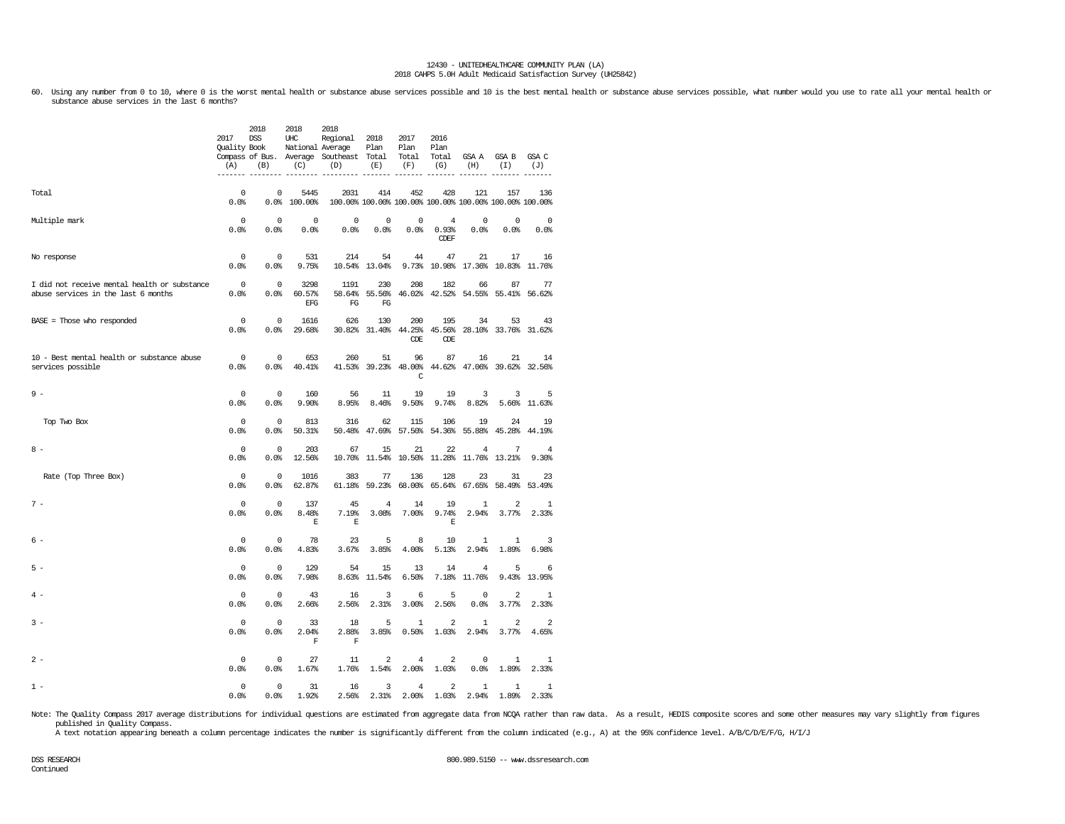60. Using any number from 0 to 10, where 0 is the worst mental health or substance abuse services possible and 10 is the best mental health or substance abuse services possible, what number would you use to rate all your m

|                                                                                     | 2017<br>Quality Book<br>(A)<br>------- | 2018<br>DSS<br>(B)<br>$- - - - -$ | 2018<br>UHC<br>(C)           | 2018<br>Regional<br>National Average<br>Compass of Bus. Average Southeast Total<br>(D)<br>------ | 2018<br>Plan<br>(E)<br>$- - - - - -$ | 2017<br>Plan<br>Total<br>(F)              | 2016<br>Plan<br>Total<br>(G)           | GSA A GSA B<br>(H)                | (I)                                                            | GSA C<br>(J)<br>------- |
|-------------------------------------------------------------------------------------|----------------------------------------|-----------------------------------|------------------------------|--------------------------------------------------------------------------------------------------|--------------------------------------|-------------------------------------------|----------------------------------------|-----------------------------------|----------------------------------------------------------------|-------------------------|
| Total                                                                               | $\Omega$<br>0.0%                       | $\mathbf 0$                       | 5445<br>0.0% 100.00%         | 2031                                                                                             | 414                                  | 452                                       | 428                                    | 121                               | 157<br>100.00% 100.00% 100.00% 100.00% 100.00% 100.00% 100.00% | 136                     |
| Multiple mark                                                                       | $\Omega$<br>0.0%                       | $\mathbf 0$<br>0.0%               | $\Omega$<br>0.0%             | $\mathbf 0$<br>0.0%                                                                              | $\Omega$<br>0.0%                     | $\mathbf 0$<br>0.0%                       | $\overline{4}$<br>0.93%<br><b>CDEF</b> | $\Omega$<br>0.0%                  | $\Omega$<br>0.0%                                               | $\overline{0}$<br>0.0%  |
| No response                                                                         | $\mathbf 0$<br>0.0%                    | $\mathbf 0$<br>0.0%               | 531<br>9.75%                 | 214                                                                                              | 54<br>10.54% 13.04%                  | 44                                        | 47                                     | 21                                | 17<br>9.73% 10.98% 17.36% 10.83% 11.76%                        | 16                      |
| I did not receive mental health or substance<br>abuse services in the last 6 months | $\overline{\phantom{0}}$<br>0.0%       | $\mathbb O$<br>0.0%               | 3298<br>60.57%<br><b>EFG</b> | 1191<br>58.64%<br>FG                                                                             | 230<br>55.56%<br>FG                  | 208                                       | 182                                    | 66<br>46.02% 42.52% 54.55% 55.41% | 87                                                             | 77<br>56.62%            |
| $BASE = Those who responded$                                                        | $\mathbf 0$<br>0.0%                    | $\mathbf 0$<br>0.0%               | 1616<br>29.68%               | 626                                                                                              | 130                                  | 200<br>30.82% 31.40% 44.25%<br><b>CDE</b> | 195<br>45.56%<br><b>CDE</b>            | 34                                | 53<br>28.10% 33.76% 31.62%                                     | 43                      |
| 10 - Best mental health or substance abuse<br>services possible                     | $\overline{0}$<br>0.0%                 | $\mathbf 0$<br>0.0%               | 653<br>40.41%                | 260<br>41.53%                                                                                    | 51                                   | 96<br>39.23% 48.00%<br>C                  | 87                                     | 16                                | 21<br>44.62% 47.06% 39.62% 32.56%                              | 14                      |
| $9 -$                                                                               | $\Omega$<br>0.0%                       | $^{\circ}$<br>0.0%                | 160<br>9.90%                 | 56<br>8.95%                                                                                      | 11<br>8.46%                          | 19<br>9.50%                               | 19<br>9.74%                            | 3<br>8.82%                        | 3                                                              | 5<br>5.66% 11.63%       |
| Top Two Box                                                                         | $\mathbf 0$<br>0.0%                    | $\mathsf 0$<br>0.0%               | 813<br>50.31%                | 316<br>50.48%                                                                                    | 62                                   | 115<br>47.69% 57.50%                      | 106<br>54.36%                          | 19<br>55.88%                      | 24<br>45.28%                                                   | 19<br>44.19%            |
| $8 -$                                                                               | $^{\circ}$<br>0.0%                     | $\mathbf 0$<br>0.0%               | 203<br>12.56%                | 67<br>10.70%                                                                                     | 15                                   | 21<br>11.54% 10.50%                       | 22                                     | 4<br>11.28% 11.76% 13.21%         | 7                                                              | 4<br>9.30%              |
| Rate (Top Three Box)                                                                | $\mathbf 0$<br>0.0%                    | $\mathbf 0$<br>0.0%               | 1016<br>62.87%               | 383<br>61.18%                                                                                    | 77<br>59.23%                         | 136<br>68.00%                             | 128<br>65.64%                          | 23<br>67.65%                      | 31<br>58.49%                                                   | 23<br>53.49%            |
| $7 -$                                                                               | $\Omega$<br>0.0%                       | $\Omega$<br>0.0%                  | 137<br>8.48%<br>$\mathbf E$  | 45<br>7.19%<br>E                                                                                 | $\overline{4}$<br>3.08%              | 14<br>7.00%                               | 19<br>9.74%<br>E                       | $\mathbf{1}$<br>2.94%             | $\overline{a}$<br>3.77%                                        | 1<br>2.33%              |
| $6 -$                                                                               | $\Omega$<br>0.0%                       | $\Omega$<br>0.0%                  | 78<br>4.83%                  | 23<br>3.67%                                                                                      | 5<br>3.85%                           | 8<br>4.00%                                | 10<br>5.13%                            | 1<br>2.94%                        | 1<br>1.89%                                                     | 3<br>6.98%              |
| $5 -$                                                                               | $\mathbf 0$<br>0.0%                    | $\mathbf 0$<br>0.0%               | 129<br>7.98%                 | 54<br>8.63%                                                                                      | 15<br>11.54%                         | 13<br>6.50%                               | 14<br>7.18%                            | $\overline{4}$<br>11.76%          | 5<br>9.43%                                                     | 6<br>13.95%             |
| $\Delta$ -                                                                          | $\Omega$<br>0.0%                       | $\Omega$<br>0.0%                  | 43<br>2.66%                  | 16<br>2.56%                                                                                      | 3<br>2.31%                           | 6<br>3.00%                                | 5<br>2.56%                             | $\Omega$<br>0.0%                  | $\overline{a}$<br>3.77%                                        | $\mathbf{1}$<br>2.33%   |
| $3 -$                                                                               | $^{\circ}$<br>0.0%                     | $\mathbf 0$<br>0.0%               | 33<br>2.04%<br>$\mathbf{F}$  | 18<br>2.88%<br>$\mathbf F$                                                                       | 5<br>3.85%                           | $\mathbf{1}$<br>0.50%                     | $\overline{\mathbf{c}}$<br>1.03%       | 1<br>2.94%                        | $\overline{a}$<br>3.77%                                        | $\overline{a}$<br>4.65% |
| $2 -$                                                                               | 0<br>0.0%                              | $\mathbb O$<br>0.0                | 27<br>1.67%                  | 11<br>1.76%                                                                                      | $\overline{a}$<br>1.54%              | $\bf 4$<br>2.00%                          | $\overline{2}$<br>1.03%                | $\mathsf 0$<br>0.0%               | 1<br>1.89%                                                     | 1<br>2.33%              |
| $1 -$                                                                               | $^{\circ}$<br>0.0%                     | $\mathbf 0$<br>0.0%               | 31<br>1.92%                  | 16<br>2.56%                                                                                      | 3<br>2.31%                           | 4                                         | $\overline{a}$<br>$2.00*$ 1.03%        | $\mathbf{1}$                      | 1<br>$2.94%$ 1.89%                                             | $\mathbf{1}$<br>2.33%   |

Note: The Quality Compass 2017 average distributions for individual questions are estimated from aggregate data from NCQA rather than raw data. As a result, HEDIS composite scores and some other measures may vary slightly published in Quality Compass.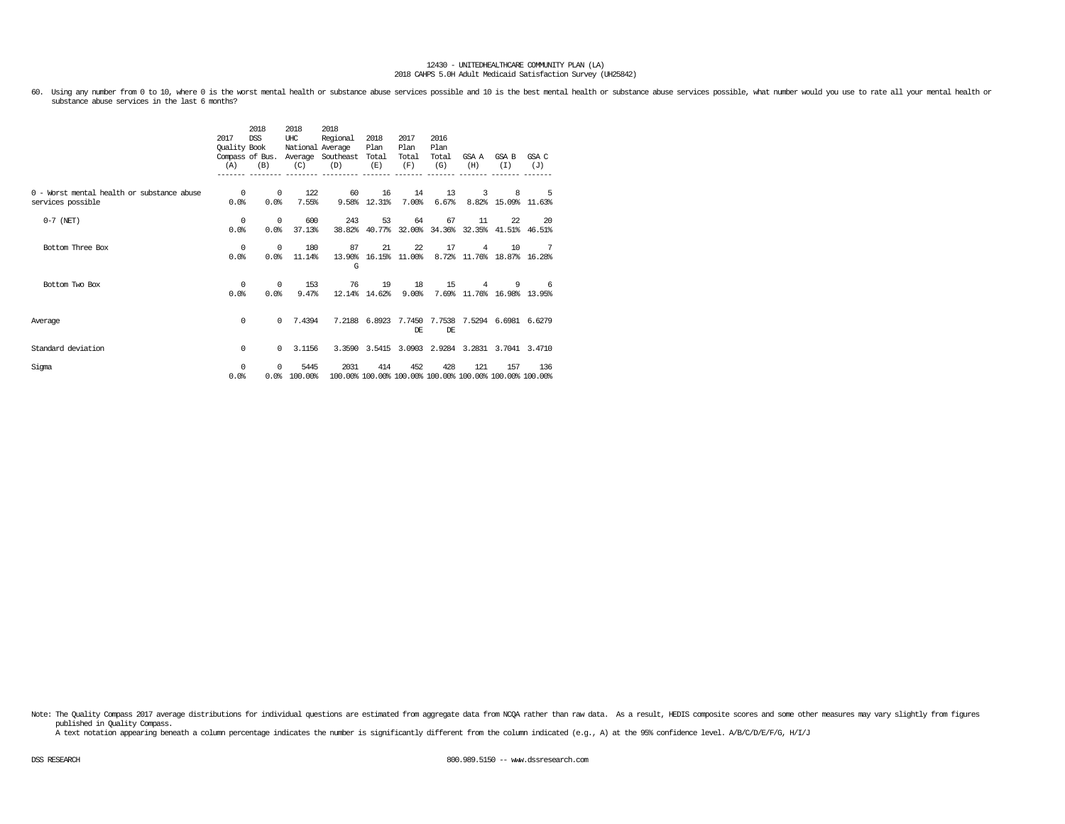60. Using any number from 0 to 10, where 0 is the worst mental health or substance abuse services possible and 10 is the best mental health or substance abuse services possible, what number would you use to rate all your m

|                                                                 | 2017<br>Quality Book<br>(A) | 2018<br><b>DSS</b><br>(B) | 2018<br>UHC<br>National Average<br>(C) | 2018<br>Regional<br>Compass of Bus. Average Southeast<br>(D) | 2018<br>Plan<br>Total<br>(E) | 2017<br>Plan<br>Total<br>(F)                     | 2016<br>Plan<br>Total<br>(G) | GSA A<br>(H)   | GSA B<br>(T)                              | GSA C<br>(J) |
|-----------------------------------------------------------------|-----------------------------|---------------------------|----------------------------------------|--------------------------------------------------------------|------------------------------|--------------------------------------------------|------------------------------|----------------|-------------------------------------------|--------------|
|                                                                 |                             |                           |                                        |                                                              |                              |                                                  |                              |                |                                           |              |
| 0 - Worst mental health or substance abuse<br>services possible | $^{\circ}$<br>0.0%          | $^{\circ}$<br>0.0%        | 122<br>7.55%                           | 60                                                           | 16<br>9.58% 12.31%           | 14<br>7.00%                                      | 13<br>6.67%                  | 3              | 8<br>8.82% 15.09% 11.63%                  | -5           |
|                                                                 |                             |                           |                                        |                                                              |                              |                                                  |                              |                |                                           |              |
| $0-7$ (NET)                                                     | 0<br>0.0%                   | $^{\circ}$<br>0.0%        | 600<br>37.13%                          | 243<br>38.82%                                                | 53<br>40.77%                 | 64                                               | 67                           | 11             | 22.<br>32.00% 34.36% 32.35% 41.51% 46.51% | 20           |
|                                                                 |                             |                           |                                        |                                                              |                              |                                                  |                              |                |                                           |              |
| Bottom Three Box                                                | 0                           | $^{\circ}$                | 180                                    | 87                                                           | 21                           | 22                                               | 17                           | $\overline{4}$ | 10                                        | 7            |
|                                                                 | 0.0%                        | 0.0%                      | 11.14%                                 | G                                                            |                              | 13.90% 16.15% 11.00%                             |                              |                | 8.72% 11.76% 18.87% 16.28%                |              |
| Bottom Two Box                                                  | $\Omega$                    | $\Omega$                  | 153                                    | 76                                                           | 19                           | 18                                               | 15                           | $\overline{4}$ | 9                                         | -6           |
|                                                                 | 0.0%                        | 0.0%                      | 9.47%                                  | 12.14%                                                       | 14.62%                       | 9.00%                                            |                              |                | 7.69% 11.76% 16.98% 13.95%                |              |
|                                                                 |                             |                           |                                        |                                                              |                              |                                                  |                              |                |                                           |              |
| Average                                                         | 0                           | $\Omega$                  | 7.4394                                 |                                                              |                              | 7.2188 6.8923 7.7450 7.7538 7.5294 6.6981 6.6279 |                              |                |                                           |              |
|                                                                 |                             |                           |                                        |                                                              |                              | DE.                                              | DE.                          |                |                                           |              |
| Standard deviation                                              | 0                           | $\Omega$                  | 3.1156                                 |                                                              |                              | 3.3590 3.5415 3.0903 2.9284 3.2831 3.7041 3.4710 |                              |                |                                           |              |
| Sigma                                                           | $\Omega$                    | $\Omega$                  | 5445                                   | 2031                                                         | 414                          | 452                                              | 428                          | 121            | 157                                       | 136          |
|                                                                 | 0.0%                        |                           | 0.0%100.00%                            | 100.00% 100.00% 100.00% 100.00% 100.00% 100.00% 100.00%      |                              |                                                  |                              |                |                                           |              |

Note: The Quality Compass 2017 average distributions for individual questions are estimated from aggregate data from NCQA rather than raw data. As a result, HEDIS composite scores and some other measures may vary slightly published in Quality Compass.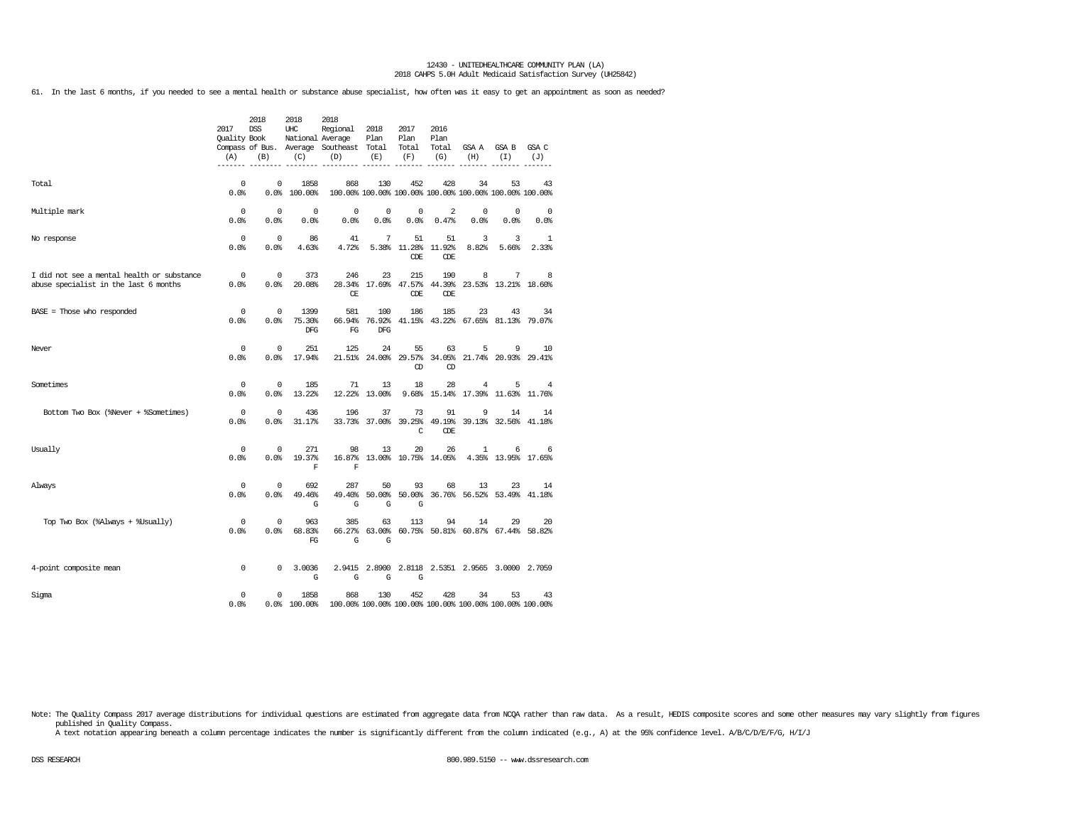61. In the last 6 months, if you needed to see a mental health or substance abuse specialist, how often was it easy to get an appointment as soon as needed?

|                                                                                     | 2017<br><b>Ouality Book</b><br>(A) | 2018<br><b>DSS</b><br>(B) | 2018<br>UHC<br>National Average<br>(C) | 2018<br>Regional<br>Compass of Bus. Average Southeast Total<br>(D) | 2018<br>Plan<br>(E) | 2017<br>Plan<br>Total<br>(F)      | 2016<br>Plan<br>Total<br>(G) | GSA A<br>(H)              | GSA B<br>(I)                                                  | GSA C<br>(J)        |
|-------------------------------------------------------------------------------------|------------------------------------|---------------------------|----------------------------------------|--------------------------------------------------------------------|---------------------|-----------------------------------|------------------------------|---------------------------|---------------------------------------------------------------|---------------------|
| Total                                                                               | 0<br>0.0%                          | 0<br>0.0%                 | 1858<br>100.00%                        | 868                                                                | 130                 | 452                               | 428                          | 34                        | 53<br>100.00% 100.00% 100.00% 100.00% 100.00% 100.00% 100.00% | 43                  |
| Multiple mark                                                                       | 0<br>0.0%                          | $^{\circ}$<br>0.0%        | $^{\circ}$<br>0.0%                     | 0<br>0.0%                                                          | $^{\circ}$<br>0.0%  | 0<br>0.0%                         | 2<br>0.47%                   | 0<br>0.0%                 | $^{\circ}$<br>0.0%                                            | $\mathbf 0$<br>0.0% |
| No response                                                                         | 0<br>0.0%                          | $\mathbf{0}$<br>0.0%      | 86<br>4.63%                            | 41<br>4.72%                                                        | 7                   | 51<br>5.38% 11.28%<br>CDE         | 51<br>11.92%<br>CDE          | 3<br>8.82%                | 3<br>5.66%                                                    | 1<br>2.33%          |
| I did not see a mental health or substance<br>abuse specialist in the last 6 months | 0<br>0.0%                          | $^{\circ}$<br>0.0%        | 373<br>20.08%                          | 246<br>28.34%<br><b>CE</b>                                         | 23                  | 215<br>17.69% 47.57%<br>CDE       | 190<br>CDE                   | 8                         | 7<br>44.39% 23.53% 13.21% 18.60%                              | 8                   |
| BASE = Those who responded                                                          | 0<br>0.0%                          | $^{\circ}$<br>0.0%        | 1399<br>75.30%<br>DFG                  | 581<br>66.94%<br>FG                                                | 100<br><b>DFG</b>   | 186                               | 185                          | 23                        | 43<br>76.92% 41.15% 43.22% 67.65% 81.13% 79.07%               | 34                  |
| Never                                                                               | $^{\circ}$<br>0.0                  | $^{\circ}$<br>0.0%        | 251<br>17.94%                          | 125                                                                | 24                  | 55<br>CD                          | 63<br>CD                     | 5                         | 9<br>21.51% 24.00% 29.57% 34.05% 21.74% 20.93% 29.41%         | 10                  |
| Sometimes                                                                           | 0<br>0.0%                          | 0<br>0.0%                 | 185<br>13.22%                          | 71                                                                 | 13<br>12.22% 13.00% | 18<br>9.68%                       | 28                           | 4<br>15.14% 17.39% 11.63% | 5                                                             | 4<br>11.76%         |
| Bottom Two Box (%Never + %Sometimes)                                                | 0<br>0.0%                          | $\mathbf 0$<br>0.0%       | 436<br>31.17%                          | 196                                                                | 37                  | 73<br>33.73% 37.00% 39.25%<br>C   | 91<br>49.19%<br><b>CDE</b>   | 9                         | 14<br>39.13% 32.56%                                           | 14<br>41.18%        |
| Usually                                                                             | $^{\circ}$<br>0.0%                 | $\mathbf 0$<br>0.0%       | 271<br>19.37%<br>F                     | 98<br>$\mathbf F$                                                  | 13                  | 20<br>16.87% 13.00% 10.75% 14.05% | 26                           | $\mathbf{1}$              | 6<br>4.35% 13.95% 17.65%                                      | 6                   |
| Always                                                                              | 0<br>0.0%                          | $^{\circ}$<br>0.0%        | 692<br>49.46%<br>G                     | 287<br>49.40%<br>G                                                 | 50<br>G             | 93<br>50.00% 50.00%<br>G          | 68                           | 13                        | 23<br>36.76% 56.52% 53.49% 41.18%                             | 14                  |
| Top Two Box (%Always + %Usually)                                                    | 0<br>0.0%                          | $^{\circ}$<br>0.0%        | 963<br>68.83%<br>FG                    | 385<br>G                                                           | 63<br>G             | 113                               | 94                           | 14                        | 29<br>66.27% 63.00% 60.75% 50.81% 60.87% 67.44% 58.82%        | 20                  |
| 4-point composite mean                                                              | $\mathbf 0$                        | 0                         | 3.0036<br>G                            | G                                                                  | G                   | G                                 |                              |                           | 2.9415 2.8900 2.8118 2.5351 2.9565 3.0000 2.7059              |                     |
| Sigma                                                                               | 0<br>0.0%                          | 0                         | 1858<br>0.0% 100.00%                   | 868                                                                | 130                 | 452                               | 428                          | 34                        | 53<br>100.00% 100.00% 100.00% 100.00% 100.00% 100.00% 100.00% | 43                  |

Note: The Quality Compass 2017 average distributions for individual questions are estimated from aggregate data from NCQA rather than raw data. As a result, HEDIS composite scores and some other measures may vary slightly published in Quality Compass.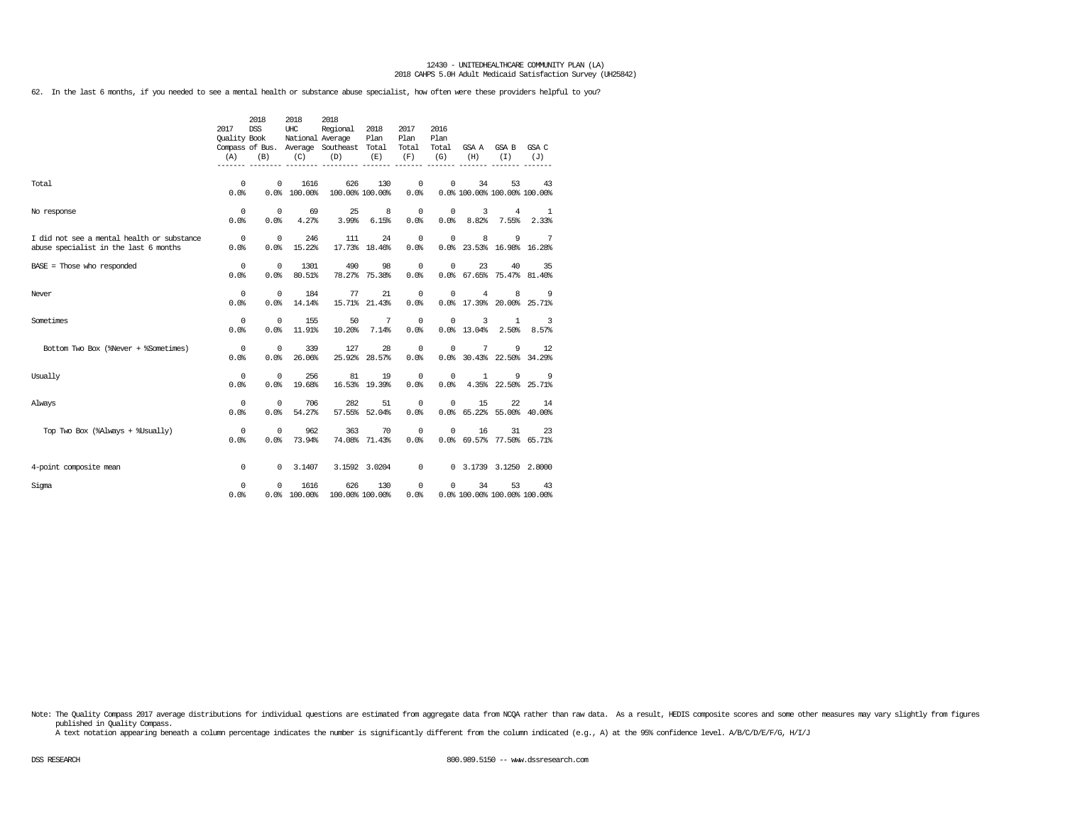62. In the last 6 months, if you needed to see a mental health or substance abuse specialist, how often were these providers helpful to you?

|                                                                                     | 2017<br><b>Ouality Book</b><br>(A) | 2018<br><b>DSS</b><br>(B) | 2018<br>UHC<br>(C)   | 2018<br>Regional<br>National Average<br>Compass of Bus. Average Southeast Total<br>(D) | 2018<br>Plan<br>(E) | 2017<br>Plan<br>Total<br>(F) | 2016<br>Plan<br>Total<br>(G) | (H)                                          | GSA A GSA B<br>(T)       | GSA C<br>(J)                     |
|-------------------------------------------------------------------------------------|------------------------------------|---------------------------|----------------------|----------------------------------------------------------------------------------------|---------------------|------------------------------|------------------------------|----------------------------------------------|--------------------------|----------------------------------|
| Total                                                                               | 0<br>0.0%                          | 0                         | 1616<br>0.0%100.00%  | 626<br>100.00% 100.00%                                                                 | 130                 | 0<br>0.0%                    | 0                            | 34<br>0.0% 100.00% 100.00% 100.00%           | 53                       | 43                               |
| No response                                                                         | 0<br>$0.0$ .                       | $^{\circ}$<br>0.0%        | 69<br>4.27%          | 25<br>3.99%                                                                            | 8<br>6.15%          | $\overline{0}$<br>$0.0$ .    | $^{\circ}$<br>0.0%           | $\overline{3}$<br>8.82%                      | 4<br>7.55%               | 1<br>2.33%                       |
| I did not see a mental health or substance<br>abuse specialist in the last 6 months | $\overline{0}$<br>0.0%             | $\mathbf 0$<br>0.0%       | 246<br>15.22%        | 111                                                                                    | 24<br>17.73% 18.46% | $\mathbb O$<br>0.0%          | 0                            | 8<br>0.0% 23.53% 16.98% 16.28%               | 9                        | $\overline{7}$                   |
| $BASE = Those who responded$                                                        | $\circ$<br>0.0%                    | $^{\circ}$<br>0.0%        | 1301<br>80.51%       | 490                                                                                    | 98<br>78.27% 75.38% | 0<br>0.0%                    | 0                            | 23<br>0.0% 67.65% 75.47% 81.40%              | 40                       | 35                               |
| Never                                                                               | $\mathbf{0}$<br>0.0%               | $\mathbf{0}$<br>0.0%      | 184<br>14.14%        | 77                                                                                     | 21<br>15.71% 21.43% | $^{\circ}$<br>0.0%           | 0                            | $\overline{4}$<br>0.0% 17.39% 20.00% 25.71%  | 8                        | - 9                              |
| Sometimes                                                                           | $^{\circ}$<br>0.0%                 | $^{\circ}$<br>0.0%        | 155<br>11.91%        | 50<br>10.20%                                                                           | 7<br>7.14%          | $^{\circ}$<br>0.0            | 0                            | 3<br>0.0% 13.04%                             | $\mathbf{1}$<br>2.50%    | $\overline{\mathbf{3}}$<br>8.57% |
| Bottom Two Box (%Never + %Sometimes)                                                | $\circ$<br>0.0%                    | $^{\circ}$<br>0.0%        | 339<br>26.06%        | 127                                                                                    | 28<br>25.92% 28.57% | 0<br>0.0%                    | 0                            | $7\phantom{.0}$<br>0.0% 30.43% 22.50% 34.29% | 9                        | 12                               |
| Usually                                                                             | 0<br>0.0%                          | 0<br>0.0%                 | 256<br>19.68%        | 81                                                                                     | 19<br>16.53% 19.39% | $\overline{0}$<br>0.0%       | $^{\circ}$<br>0.0%           | 1                                            | 9<br>4.35% 22.50% 25.71% | - 9                              |
| Always                                                                              | 0<br>0.0%                          | 0<br>0.0%                 | 706<br>54.27%        | 282                                                                                    | 51<br>57.55% 52.04% | 0<br>0.0%                    | 0                            | 15<br>0.0% 65.22% 55.00% 40.00%              | 22                       | 14                               |
| Top Two Box (%Always + %Usually)                                                    | $^{\circ}$<br>$0.0$ .              | 0<br>0.0%                 | 962<br>73.94%        | 363                                                                                    | 70<br>74.08% 71.43% | 0<br>$0.0$ .                 | 0                            | 16<br>0.0% 69.57% 77.50% 65.71%              | 31                       | 23                               |
| 4-point composite mean                                                              | $^{\circ}$                         | $^{\circ}$                | 3.1407               |                                                                                        | 3.1592 3.0204       | $\circ$                      |                              | 0 3.1739 3.1250 2.8000                       |                          |                                  |
| Sigma                                                                               | 0<br>0.0%                          | 0                         | 1616<br>0.0% 100.00% | 626<br>100.00% 100.00%                                                                 | 130                 | 0<br>0.0%                    | $^{\circ}$                   | 34<br>0.0% 100.00% 100.00% 100.00%           | 53                       | 43                               |

Note: The Quality Compass 2017 average distributions for individual questions are estimated from aggregate data from NCQA rather than raw data. As a result, HEDIS composite scores and some other measures may vary slightly published in Quality Compass.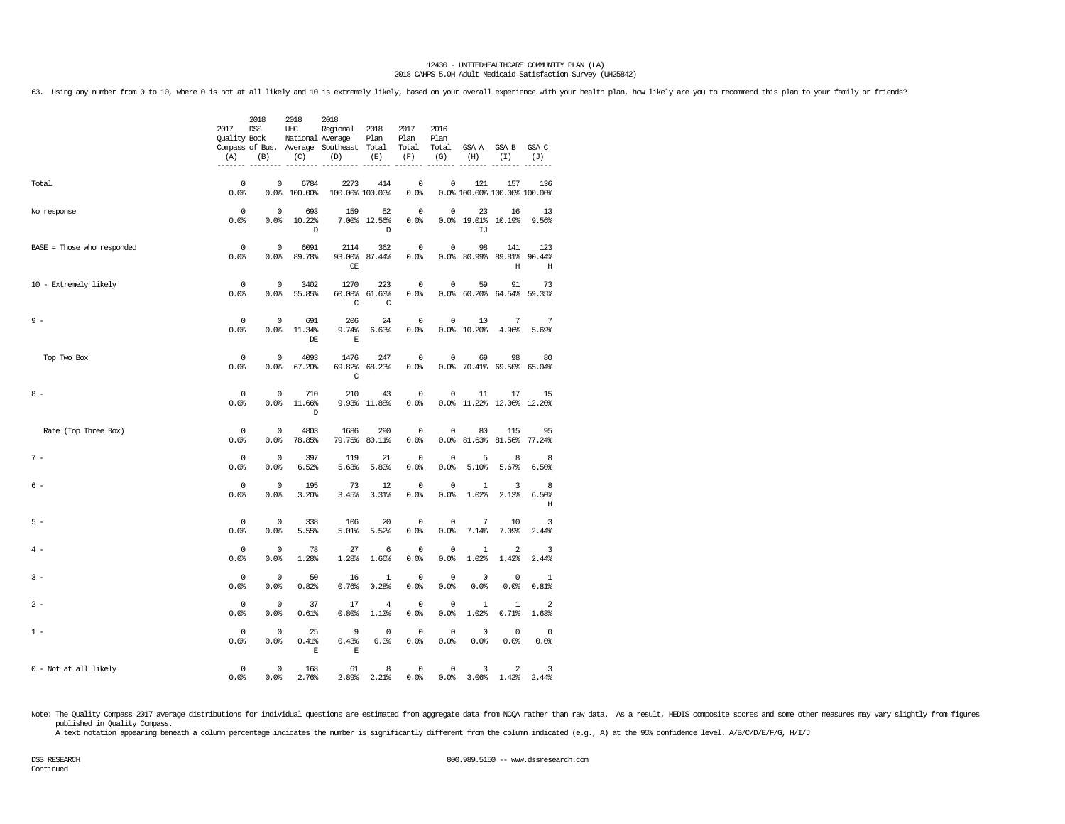63. Using any number from 0 to 10, where 0 is not at all likely and 10 is extremely likely, based on your overall experience with your health plan, how likely are you to recommend this plan to your family or friends?

|                            | 2017<br>Quality Book<br>(A) | 2018<br>DSS<br>(B)  | 2018<br>UHC<br>National Average<br>(C) | 2018<br>Regional<br>Compass of Bus. Average Southeast Total<br>(D) | 2018<br>Plan<br>(E)                | 2017<br>Plan<br>Total<br>(F)<br>$------$ | 2016<br>Plan<br>(G)<br>------ | (H)                            | Total GSAA GSAB<br>(I)<br>$- - - - - - -$ | GSA C<br>(J)<br>$------$          |
|----------------------------|-----------------------------|---------------------|----------------------------------------|--------------------------------------------------------------------|------------------------------------|------------------------------------------|-------------------------------|--------------------------------|-------------------------------------------|-----------------------------------|
| Total                      | $\Omega$<br>0.0%            | 0<br>0.0            | 6784<br>100.00%                        | 2273<br>100.00% 100.00%                                            | 414                                | $^{\circ}$<br>0.0%                       | 0                             | 121                            | 157<br>0.0% 100.00% 100.00% 100.00%       | 136                               |
| No response                | $\mathsf 0$<br>0.0%         | $\mathbb O$<br>0.0% | 693<br>10.22%<br>D                     | 159                                                                | 52<br>7.00% 12.56%<br>$\mathbb{D}$ | $\mathbf 0$<br>0.0%                      | $\mathsf{O}\xspace$           | 23<br>0.0% 19.01% 10.19%<br>IJ | 16                                        | 13<br>9.56%                       |
| BASE = Those who responded | $^{\circ}$<br>0.0%          | $^{\circ}$<br>0.0%  | 6091<br>89.78%                         | 2114<br>СE                                                         | 362<br>93.00% 87.44%               | $^{\circ}$<br>0.0%                       | 0                             | 98                             | 141<br>$0.0\$ $80.99\$ $89.81\$<br>Η      | 123<br>90.44%<br>H                |
| 10 - Extremely likely      | $\mathbf 0$<br>0.0%         | $\mathbb O$<br>0.0% | 3402<br>55.85%                         | 1270<br>60.08%<br>C                                                | 223<br>61.60%<br>C                 | $\mathbf 0$<br>0.0%                      | $\mathsf 0$                   | 59                             | 91<br>$0.0%$ 60.20% 64.54%                | 73<br>59.35%                      |
| $9 -$                      | 0<br>0.0%                   | $\mathbf 0$<br>0.0% | 691<br>11.34%<br>DE                    | 206<br>9.74%<br>E                                                  | 24<br>6.63%                        | 0<br>0.0%                                | 0                             | 10<br>0.0% 10.20%              | 7<br>4.96%                                | 7<br>5.69%                        |
| Top Two Box                | 0<br>0.0%                   | $^{\circ}$<br>0.0%  | 4093<br>67.20%                         | 1476<br>C                                                          | 247<br>69.82% 68.23%               | $^{\circ}$<br>0.0%                       | 0                             | 69                             | 98<br>0.0% 70.41% 69.50% 65.04%           | 80                                |
| $8 -$                      | $^{\circ}$<br>0.0%          | 0<br>0.0%           | 710<br>11.66%<br>D                     | 210                                                                | 43<br>9.93% 11.88%                 | 0<br>0.0%                                | 0                             | 11                             | 17<br>0.0% 11.22% 12.06% 12.20%           | 15                                |
| Rate (Top Three Box)       | $\Omega$<br>0.0%            | $\mathbf 0$<br>0.0% | 4803<br>78.85%                         | 1686<br>79.75%                                                     | 290<br>80.11%                      | $\mathbf 0$<br>0.0%                      | $\mathbf 0$                   | 80<br>$0.0%$ 81.63%            | 115<br>81.56%                             | 95<br>77.24%                      |
| $7 -$                      | 0<br>0.0%                   | $^{\circ}$<br>0.0%  | 397<br>6.52%                           | 119<br>5.63%                                                       | 21<br>5.80%                        | 0<br>0.0%                                | 0<br>0.0%                     | 5<br>5.10%                     | 8<br>5.67%                                | 8<br>6.50%                        |
| $6 -$                      | $\mathbf 0$<br>0.0%         | $\mathbf 0$<br>0.0% | 195<br>3.20%                           | 73<br>3.45%                                                        | 12<br>3.31%                        | $\mathbf 0$<br>0.0%                      | $\mathbf 0$<br>0.0%           | $\mathbf{1}$<br>1.02%          | 3<br>2.13%                                | 8<br>6.50%<br>$\, {\rm H}$        |
| $5 -$                      | $^{\circ}$<br>0.0%          | $\mathbb O$<br>0.0% | 338<br>5.55%                           | 106<br>5.01%                                                       | 20<br>5.52%                        | 0<br>0.0%                                | 0<br>0.0%                     | $\overline{7}$<br>7.14%        | 10<br>7.09%                               | 3<br>2.44%                        |
| $4 -$                      | $^{\circ}$<br>0.0%          | $\mathbf 0$<br>0.0% | 78<br>1.28%                            | 27<br>1.28%                                                        | 6<br>1.66%                         | $^{\circ}$<br>0.0%                       | $^{\circ}$<br>0.0%            | $\mathbf{1}$<br>1.02%          | $\overline{a}$<br>1.42%                   | 3<br>2.44%                        |
| $3 -$                      | 0<br>0.0%                   | $\mathbb O$<br>0.0% | 50<br>0.82%                            | 16<br>0.76%                                                        | $\mathbf{1}$<br>0.28%              | 0<br>0.0%                                | 0<br>0.0%                     | 0<br>0.0%                      | 0<br>0.0%                                 | 1<br>0.81%                        |
| $2 -$                      | $\mathsf 0$<br>0.0%         | $\mathbb O$<br>0.0% | 37<br>0.61%                            | 17<br>0.80%                                                        | $\overline{4}$<br>1.10%            | $\mathsf 0$<br>0.0%                      | $\mathsf 0$<br>0.0%           | $\mathbf{1}$<br>1.02%          | $\mathbf{1}$<br>0.71%                     | $\overline{a}$<br>1.63%           |
| $1 -$                      | $\Omega$<br>0.0%            | $\Omega$<br>0.0%    | 25<br>0.41%<br>E                       | 9<br>0.43%<br>Ε                                                    | $\Omega$<br>0.0%                   | $\Omega$<br>0.0%                         | $\mathbf 0$<br>0.0%           | $\mathbf 0$<br>0.0%            | $\Omega$<br>0.0%                          | $^{\circ}$<br>$0.0$ %             |
| 0 - Not at all likely      | $\mathsf 0$<br>0.0%         | $\mathbb O$<br>0.0% | 168<br>2.76%                           | 61<br>2.89%                                                        | 8<br>2.21%                         | $\mathbf 0$<br>0.0%                      | $\mathbb O$                   | 3                              | $\overline{a}$<br>$0.0\%$ 3.06% 1.42%     | $\overline{\phantom{a}}$<br>2.44% |

Note: The Quality Compass 2017 average distributions for individual questions are estimated from aggregate data from NCQA rather than raw data. As a result, HEDIS composite scores and some other measures may vary slightly published in Quality Compass.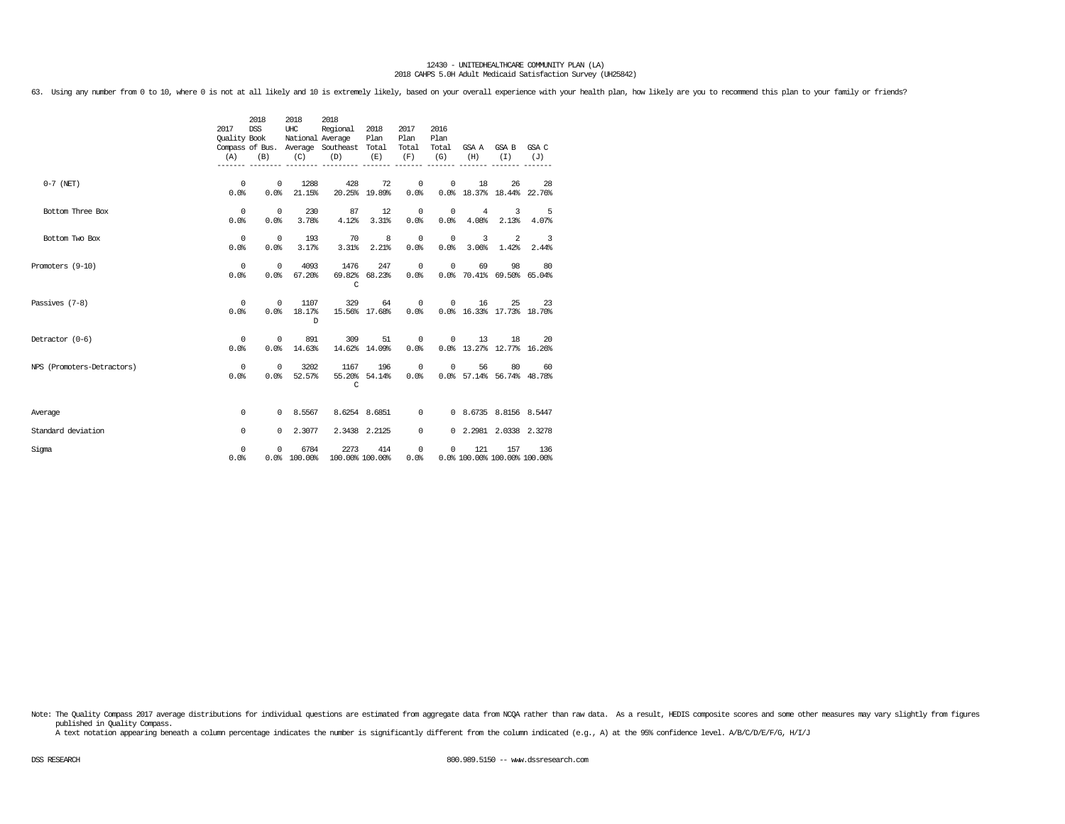63. Using any number from 0 to 10, where 0 is not at all likely and 10 is extremely likely, based on your overall experience with your health plan, how likely are you to recommend this plan to your family or friends?

|                            | 2017<br>(A)            | 2018<br><b>DSS</b><br>Ouality Book<br>(B) | 2018<br>UHC<br>(C)  | 2018<br>Regional<br>National Average<br>Compass of Bus. Average Southeast Total<br>(D) | 2018<br>Plan<br>(E)                 | 2017<br>Plan<br>Total<br>(F) | 2016<br>Plan<br>Total<br>(G) | (H)                                         | GSA A GSA B<br>(T)                    | GSA C<br>(J)                                        |
|----------------------------|------------------------|-------------------------------------------|---------------------|----------------------------------------------------------------------------------------|-------------------------------------|------------------------------|------------------------------|---------------------------------------------|---------------------------------------|-----------------------------------------------------|
| $0-7$ (NET)                | $^{\circ}$<br>0.0%     | $^{\circ}$<br>0.0%                        | 1288<br>21.15%      | 428                                                                                    | 72<br>20.25% 19.89%                 | $\mathbf 0$<br>0.0%          | 0                            | 18<br>0.0% 18.37% 18.44% 22.76%             | 26                                    | 28                                                  |
| Bottom Three Box           | $^{\circ}$<br>0.0%     | $\overline{0}$<br>0.0%                    | 230<br>3.78%        | 87<br>4.12%                                                                            | 12<br>3.31%                         | $\overline{0}$<br>0.0%       | $\mathbf{0}$<br>0.0%         | 4.08%                                       | $4\degree$<br>$\overline{3}$<br>2.13% | $5^{\circ}$<br>4.07%                                |
| Bottom Two Box             | $^{\circ}$<br>0.0%     | $^{\circ}$<br>0.0%                        | 193<br>3.17%        | 70<br>3.31%                                                                            | $\overline{\phantom{0}}$ 8<br>2.21% | $\overline{0}$<br>0.0%       | $\mathbf{0}$<br>0.0%         | 3.06%                                       | $3^{\circ}$<br>2<br>1.42%             | $\sim$ 3<br>2.44%                                   |
| Promoters (9-10)           | $^{\circ}$<br>0.0%     | $\overline{0}$<br>0.0%                    | 4093<br>67.20%      | 1476<br>69.82%<br>$\mathcal{C}$                                                        | 247<br>68.23%                       | $\overline{0}$<br>0.0%       | $\circ$                      | 69                                          | 98                                    | 80<br>0.0% 70.41% 69.50% 65.04%                     |
| Passives (7-8)             | $^{\circ}$<br>0.0%     | $\overline{0}$<br>0.0%                    | 1107<br>18.17%<br>D |                                                                                        | 329 64<br>15.56% 17.68%             | $\overline{0}$               | $\sim$ 0                     |                                             | 16                                    | 25 23<br>0.0% 0.0% 16.33% 17.73% 18.70%             |
| Detractor (0-6)            | $^{\circ}$<br>0.0%     | $^{\circ}$<br>0.0%                        | 891<br>14.63%       | 309                                                                                    | 51<br>14.62% 14.09%                 | $\sim$ 0<br>0.0%             |                              | $\overline{0}$<br>0.0% 13.27% 12.77% 16.26% | 13                                    | 18 20                                               |
| NPS (Promoters-Detractors) | $\overline{0}$<br>0.0% | $\overline{0}$<br>0.0%                    | 3202<br>52.57%      | 1167<br>$\mathsf{C}$                                                                   | 196<br>55.20% 54.14%                | $\overline{0}$<br>0.0%       |                              | $0 \qquad \qquad$<br>56                     | 80                                    | 60<br>0.0% 57.14% 56.74% 48.78%                     |
| Average                    | $\Omega$               |                                           | 0 8.5567            |                                                                                        | 8.6254 8.6851                       |                              | $0 \qquad \qquad$            |                                             |                                       | 0 8.6735 8.8156 8.5447                              |
| Standard deviation         | $\Omega$               | $\Omega$                                  | 2.3077              |                                                                                        | 2.3438 2.2125                       | $\mathbf 0$                  |                              | 0 2.2981 2.0338 2.3278                      |                                       |                                                     |
| Sigma                      | $^{\circ}$<br>0.0%     | $\circ$                                   | 6784                | 2273<br>$0.0$ 100.00 $100.00$ 100.00 100.00 $\sqrt{2}$                                 | 414                                 | $\circ$                      |                              | 0<br>121                                    | 157                                   | 136<br>$0.0$ $0.0$ $0.0$ $100.00$ $100.00$ $100.00$ |

Note: The Quality Compass 2017 average distributions for individual questions are estimated from aggregate data from NCQA rather than raw data. As a result, HEDIS composite scores and some other measures may vary slightly published in Quality Compass.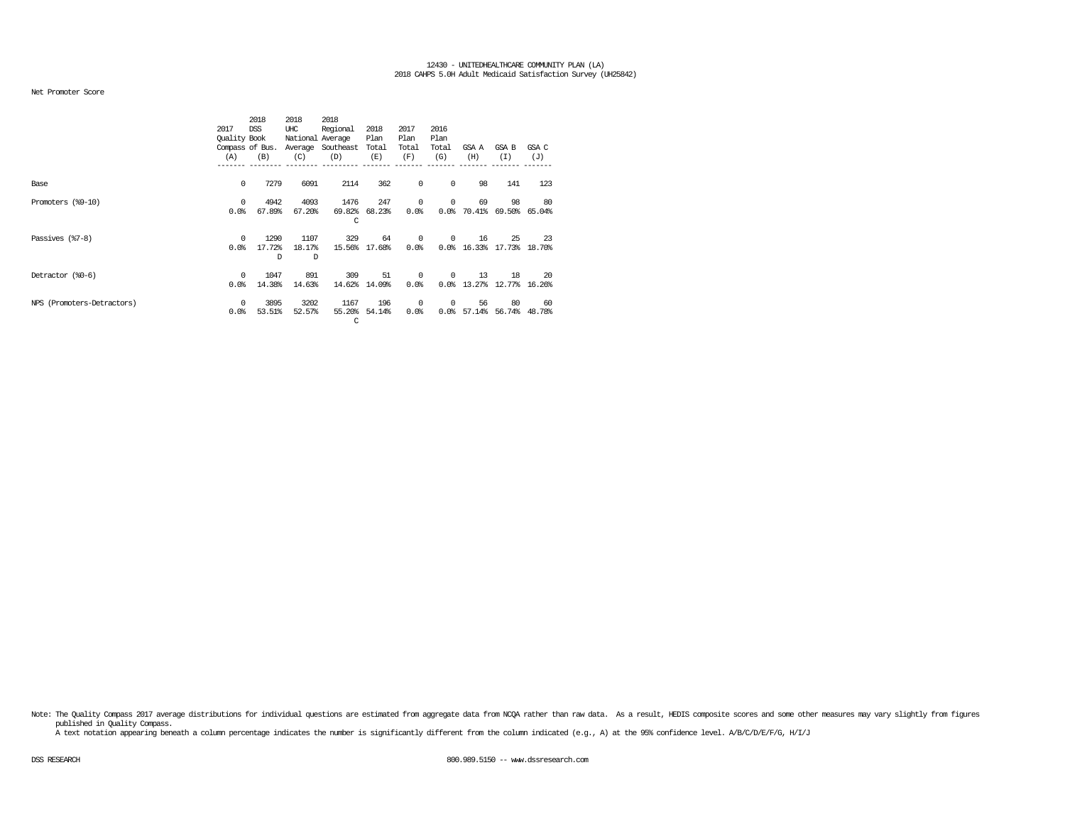#### Net Promoter Score

|                            |              | 2018            | 2018             | 2018      |        |       |            |        |        |        |
|----------------------------|--------------|-----------------|------------------|-----------|--------|-------|------------|--------|--------|--------|
|                            | 2017         | <b>DSS</b>      | UHC              | Regional  | 2018   | 2017  | 2016       |        |        |        |
|                            | Quality Book |                 | National Average |           | Plan   | Plan  | Plan       |        |        |        |
|                            |              | Compass of Bus. | Average          | Southeast | Total  | Total | Total      | GSA A  | GSA B  | GSA C  |
|                            | (A)          | (B)             | (C)              | (D)       | (E)    | (F)   | (G)        | (H)    | (I)    | (J)    |
|                            |              |                 |                  |           |        |       |            |        |        |        |
| Base                       | 0            | 7279            | 6091             | 2114      | 362    | 0     | 0          | 98     | 141    | 123    |
| Promoters (%9-10)          | $\Omega$     | 4942            | 4093             | 1476      | 247    | 0     | $^{\circ}$ | 69     | 98     | 80     |
|                            | 0.0%         | 67.89%          | 67.20%           | 69.82%    | 68.23% | 0.0%  | 0.0%       | 70.41% | 69.50% | 65.04% |
|                            |              |                 |                  | C         |        |       |            |        |        |        |
| Passives (%7-8)            | 0            | 1290            | 1107             | 329       | 64     | 0     | 0          | 16     | 25     | 23     |
|                            | 0.0%         | 17.72%          | 18.17%           | 15.56%    | 17.68% | 0.0%  | 0.0%       | 16.33% | 17.73% | 18.70% |
|                            |              | <sup>D</sup>    | D                |           |        |       |            |        |        |        |
| Detractor (%0-6)           | $\Omega$     | 1047            | 891              | 309       | 51     | 0     | 0          | 13     | 18     | 20     |
|                            | 0.0%         | 14.38%          | 14.63%           | 14.62%    | 14.09% | 0.0%  | 0.0%       | 13.27% | 12.77% | 16.26% |
| NPS (Promoters-Detractors) | $\Omega$     | 3895            | 3202             | 1167      | 196    | 0     | 0          | 56     | 80     | 60     |
|                            | 0.0%         | 53.51%          | 52.57%           | 55.20%    | 54.14% | 0.0%  | 0.0%       | 57.14% | 56.74% | 48.78% |
|                            |              |                 |                  | C         |        |       |            |        |        |        |

Note: The Quality Compass 2017 average distributions for individual questions are estimated from aggregate data from NOQA rather than raw data. As a result, HEDIS composite scores and some other measures may vary slightly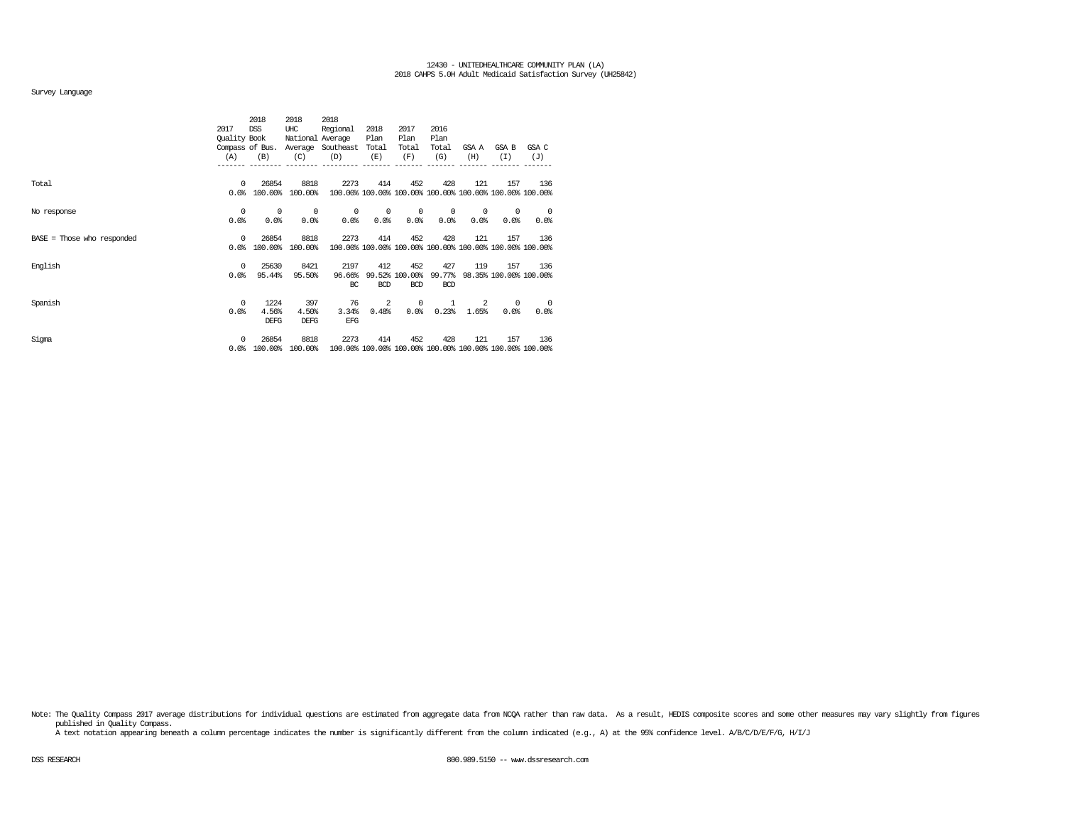### Survey Language

|                              |              | 2018            | 2018             | 2018      |            |                |            |            |            |                                                         |
|------------------------------|--------------|-----------------|------------------|-----------|------------|----------------|------------|------------|------------|---------------------------------------------------------|
|                              | 2017         | <b>DSS</b>      | UHC              | Regional  | 2018       | 2017           | 2016       |            |            |                                                         |
|                              | Quality Book |                 | National Average |           | Plan       | Plan           | Plan       |            |            |                                                         |
|                              |              | Compass of Bus. | Average          | Southeast | Total      | Total          | Total      | GSA A      | GSA B      | GSA C                                                   |
|                              | (A)          | (B)             | (C)              | (D)       | (E)        | (F)            | (G)        | (H)        | (I)        | (J)                                                     |
|                              |              |                 |                  |           |            |                |            |            |            |                                                         |
| Total                        | $^{\circ}$   | 26854           | 8818             | 2273      | 414        | 452            | 428        | 121        | 157        | 136                                                     |
|                              | 0.0%         | 100.00%         | 100.00%          |           |            |                |            |            |            | 100.00% 100.00% 100.00% 100.00% 100.00% 100.00% 100.00% |
| No response                  | 0            | $^{\circ}$      | $^{\circ}$       | 0         | $^{\circ}$ | $^{\circ}$     | 0          | $^{\circ}$ | 0          | 0                                                       |
|                              | 0.0%         | 0.0%            | 0.0%             | 0.0%      | 0.0%       | 0.0            | 0.0%       | 0.0        | 0.0%       | 0.0%                                                    |
| $BASE = Those who responded$ | 0            | 26854           | 8818             | 2273      | 414        | 452            | 428        | 121        | 157        | 136                                                     |
|                              | 0.0%         | 100.00%         | 100.00%          |           |            |                |            |            |            | 100.00% 100.00% 100.00% 100.00% 100.00% 100.00% 100.00% |
| English                      | $\Omega$     | 25630           | 8421             | 2197      | 412        | 452            | 427        | 119        | 157        | 136                                                     |
|                              | 0.0%         | 95.44%          | 95.50%           | 96.66%    |            | 99.52% 100.00% | 99.77%     |            |            | 98.35% 100.00% 100.00%                                  |
|                              |              |                 |                  | BC        | <b>BCD</b> | <b>BCD</b>     | <b>BCD</b> |            |            |                                                         |
| Spanish                      | 0            | 1224            | 397              | 76        | 2          | 0              | 1          | 2          | $^{\circ}$ | $^{\circ}$                                              |
|                              | 0.0%         | 4.56%           | 4.50%            | 3.34%     | 0.48%      | 0.0%           | 0.23%      | 1.65%      | 0.0%       | 0.0%                                                    |
|                              |              | DEFG            | <b>DEFG</b>      | EFG       |            |                |            |            |            |                                                         |
| Sigma                        | 0            | 26854           | 8818             | 2273      | 414        | 452            | 428        | 121        | 157        | 136                                                     |
|                              | 0.0%         | 100.00%         | 100.00%          |           |            |                |            |            |            | 100.00% 100.00% 100.00% 100.00% 100.00% 100.00% 100.00% |

Note: The Quality Compass 2017 average distributions for individual questions are estimated from aggregate data from NOQA rather than raw data. As a result, HEDIS composite scores and some other measures may vary slightly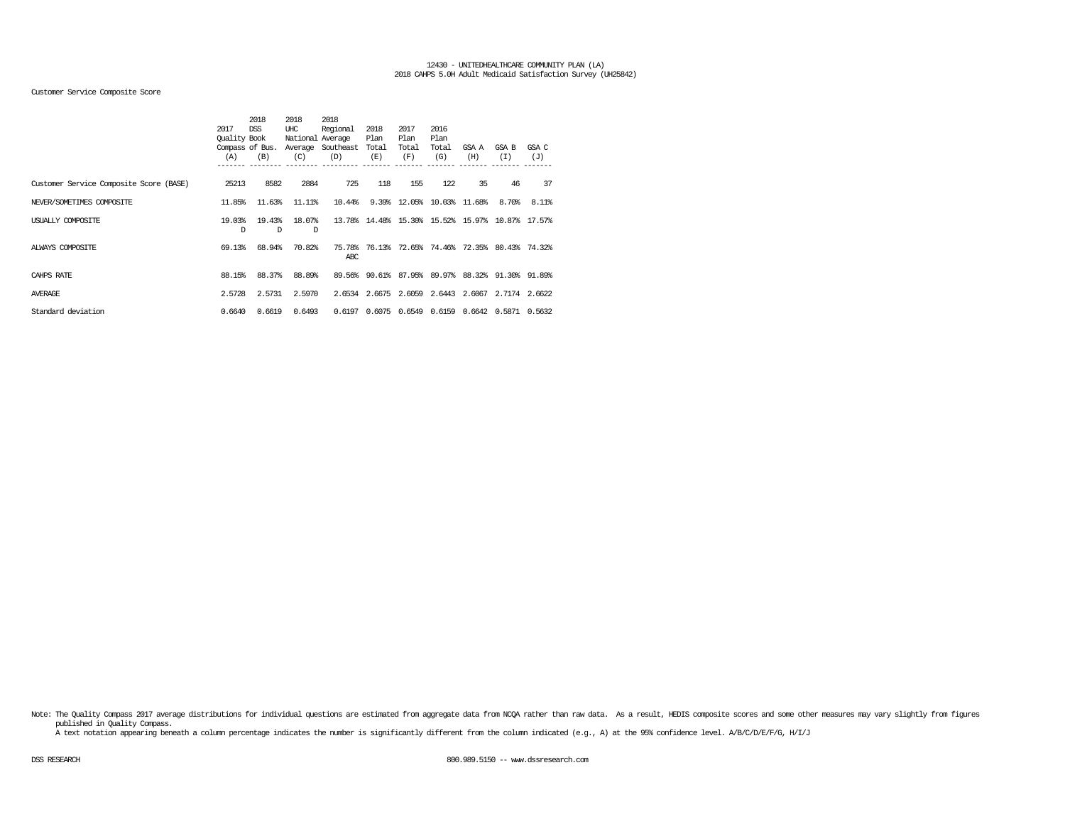# Customer Service Composite Score

|                                         | 2017         | 2018<br>DSS     | 2018<br>UHC      | 2018<br>Regional | 2018   | 2017   | 2016                 |       |                                           |        |
|-----------------------------------------|--------------|-----------------|------------------|------------------|--------|--------|----------------------|-------|-------------------------------------------|--------|
|                                         | Quality Book |                 | National Average |                  | Plan   | Plan   | Plan                 |       |                                           |        |
|                                         |              | Compass of Bus. | Average          | Southeast        | Total  | Total  | Total                | GSA A | GSA B                                     | GSA C  |
|                                         | (A)          | (B)             | (C)              | (D)              | (E)    | (F)    | (G)                  | (H)   | (I)                                       | (J)    |
| Customer Service Composite Score (BASE) | 25213        | 8582            | 2884             | 725              | 118    | 155    | 122                  | 35    | 46                                        | 37     |
| NEVER/SOMETIMES COMPOSITE               | 11.85%       | 11.63%          | 11.11%           | 10.44%           | 9.39%  |        | 12.05% 10.03% 11.68% |       | 8.70%                                     | 8.11%  |
| USUALLY COMPOSITE                       | 19.03%<br>D  | 19.43%<br>D     | 18.07%<br>D      | 13.78%           |        |        |                      |       | 14.48% 15.30% 15.52% 15.97% 10.87% 17.57% |        |
| ALWAYS COMPOSITE                        | 69.13%       | 68.94%          | 70.82%           | 75.78%<br>ABC    |        |        |                      |       | 76.13% 72.65% 74.46% 72.35% 80.43% 74.32% |        |
| CAHPS RATE                              | 88.15%       | 88.37%          | 88.89%           | 89.56%           |        |        | 90.61% 87.95% 89.97% |       | 88.32% 91.30% 91.89%                      |        |
| <b>AVERAGE</b>                          | 2.5728       | 2.5731          | 2.5970           | 2.6534           |        |        |                      |       | 2.6675 2.6059 2.6443 2.6067 2.7174 2.6622 |        |
| Standard deviation                      | 0.6640       | 0.6619          | 0.6493           | 0.6197           | 0.6075 | 0.6549 | 0.6159               |       | 0.6642 0.5871                             | 0.5632 |

Note: The Quality Compass 2017 average distributions for individual questions are estimated from aggregate data from NCQA rather than raw data. As a result, HEDIS composite scores and some other measures may vary slightly published in Quality Compass.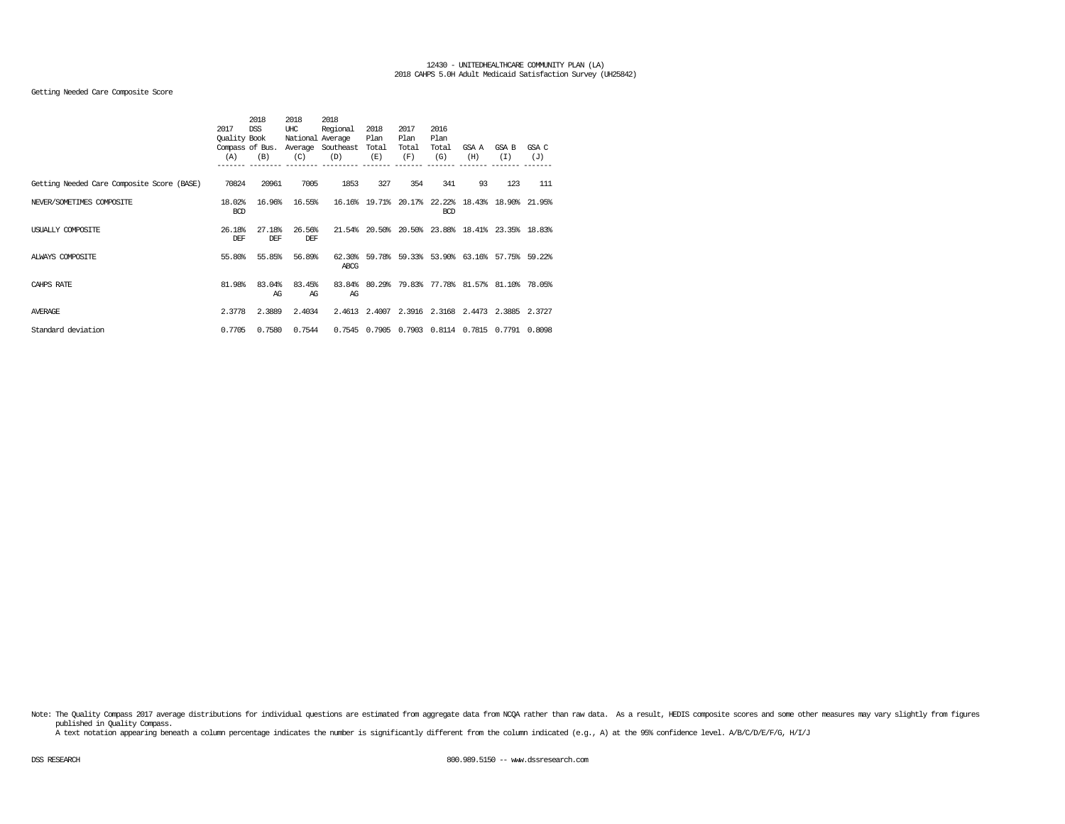# Getting Needed Care Composite Score

|                                            |                      | 2018            | 2018   | 2018                                  |               |              |               |                                           |               |        |
|--------------------------------------------|----------------------|-----------------|--------|---------------------------------------|---------------|--------------|---------------|-------------------------------------------|---------------|--------|
|                                            | 2017<br>Quality Book | <b>DSS</b>      | UHC    | Regional                              | 2018          | 2017<br>Plan | 2016          |                                           |               |        |
|                                            |                      | Compass of Bus. |        | National Average<br>Average Southeast | Plan<br>Total | Total        | Plan<br>Total | GSA A                                     | <b>GSA B</b>  | GSA C  |
|                                            | (A)                  | (B)             | (C)    | (D)                                   | (E)           | (F)          | (G)           | (H)                                       | (I)           | (J)    |
|                                            |                      |                 |        |                                       |               |              |               |                                           |               |        |
|                                            |                      |                 |        |                                       |               |              |               |                                           |               |        |
| Getting Needed Care Composite Score (BASE) | 70824                | 20961           | 7005   | 1853                                  | 327           | 354          | 341           | 93                                        | 123           | 111    |
| NEVER/SOMETIMES COMPOSITE                  | 18.02%               | 16.96%          | 16.55% |                                       | 16.16% 19.71% | 20.17%       | 22.22%        | 18.43%                                    | 18.90% 21.95% |        |
|                                            | <b>BCD</b>           |                 |        |                                       |               |              | <b>BCD</b>    |                                           |               |        |
|                                            |                      |                 |        |                                       |               |              |               |                                           |               |        |
| USUALLY COMPOSITE                          | 26.18%               | 27.18%          | 26.56% | 21.54%                                | 20.50%        | 20.50%       |               | 23.88% 18.41% 23.35% 18.83%               |               |        |
|                                            | DEF                  | DEF             | DEF    |                                       |               |              |               |                                           |               |        |
| ALWAYS COMPOSITE                           | 55.80%               | 55.85%          | 56.89% | 62.30%                                |               |              |               | 59.78% 59.33% 53.90% 63.16% 57.75% 59.22% |               |        |
|                                            |                      |                 |        | ABCG                                  |               |              |               |                                           |               |        |
|                                            |                      |                 |        |                                       |               |              |               |                                           |               |        |
| CAHPS RATE                                 | 81.98%               | 83.04%          | 83.45% | 83.84%                                |               |              |               | 80.29% 79.83% 77.78% 81.57% 81.10%        |               | 78.05% |
|                                            |                      | AG              | AG     | AG                                    |               |              |               |                                           |               |        |
| AVERAGE                                    | 2.3778               | 2.3889          | 2.4034 | 2.4613                                |               |              |               | 2.4007 2.3916 2.3168 2.4473               | 2.3885        | 2.3727 |
|                                            |                      |                 |        |                                       |               |              |               |                                           |               |        |
| Standard deviation                         | 0.7705               | 0.7580          | 0.7544 | 0.7545                                | 0.7905        | 0.7903       |               | 0.8114 0.7815                             | 0.7791        | 0.8098 |
|                                            |                      |                 |        |                                       |               |              |               |                                           |               |        |

Note: The Quality Compass 2017 average distributions for individual questions are estimated from aggregate data from NCQA rather than raw data. As a result, HEDIS composite scores and some other measures may vary slightly published in Quality Compass.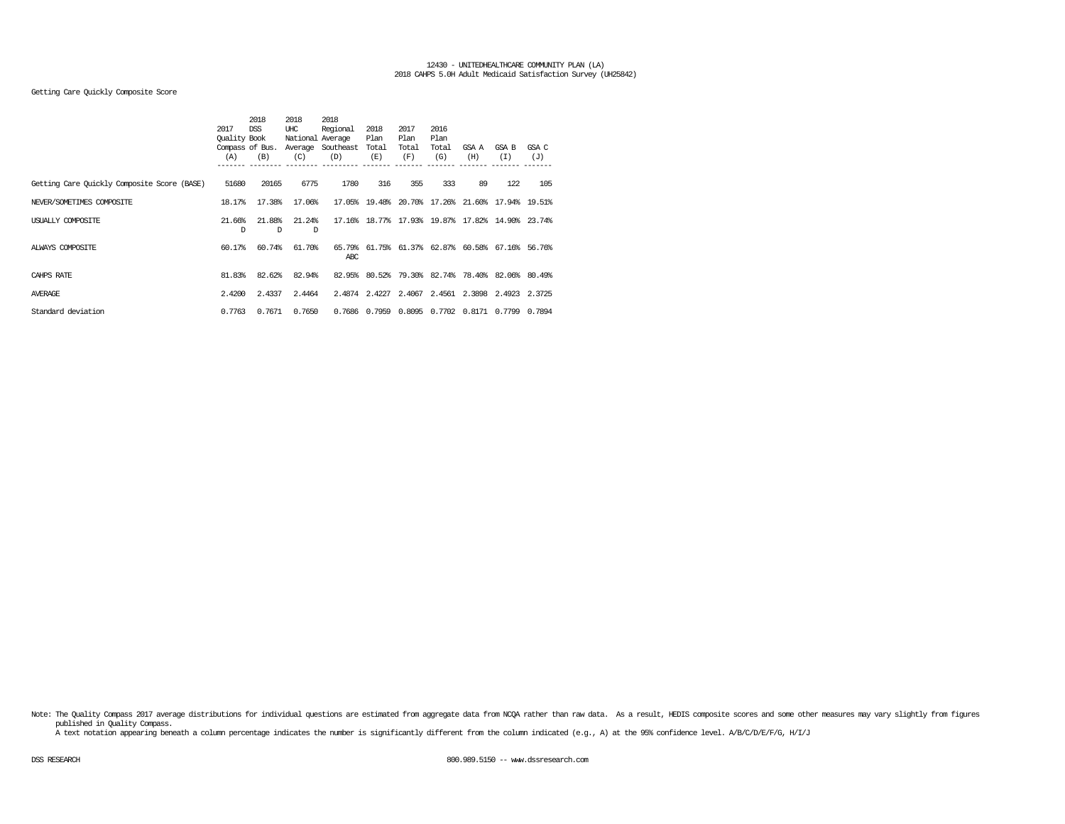# Getting Care Quickly Composite Score

|                                             |              | 2018            | 2018             | 2018      |        |        |        |       |                                           |        |
|---------------------------------------------|--------------|-----------------|------------------|-----------|--------|--------|--------|-------|-------------------------------------------|--------|
|                                             | 2017         | <b>DSS</b>      | UHC              | Regional  | 2018   | 2017   | 2016   |       |                                           |        |
|                                             | Quality Book |                 | National Average |           | Plan   | Plan   | Plan   |       |                                           |        |
|                                             |              | Compass of Bus. | Average          | Southeast | Total  | Total  | Total  | GSA A | GSA B                                     | GSA C  |
|                                             | (A)          | (B)             | (C)              | (D)       | (E)    | (F)    | (G)    | (H)   | (I)                                       | (J)    |
|                                             |              |                 |                  |           |        |        |        |       |                                           |        |
| Getting Care Quickly Composite Score (BASE) | 51680        | 20165           | 6775             | 1780      | 316    | 355    | 333    | 89    | 122                                       | 105    |
| NEVER/SOMETIMES COMPOSITE                   | 18.17%       | 17.38%          | 17.06%           | 17.05%    |        |        |        |       | 19.48% 20.70% 17.26% 21.60% 17.94% 19.51% |        |
| USUALLY COMPOSITE                           | 21.66%       | 21.88%          | 21.24%           | 17.16%    |        |        |        |       | 18.77% 17.93% 19.87% 17.82% 14.90%        | 23.74% |
|                                             | D            | D               | D                |           |        |        |        |       |                                           |        |
| ALWAYS COMPOSITE                            | 60.17%       | 60.74%          | 61.70%           | 65.79%    |        |        |        |       | 61.75% 61.37% 62.87% 60.58% 67.16% 56.76% |        |
|                                             |              |                 |                  | ABC       |        |        |        |       |                                           |        |
| CAHPS RATE                                  | 81.83%       | 82.62%          | 82.94%           | 82.95%    |        |        |        |       | 80.52% 79.30% 82.74% 78.40% 82.06% 80.49% |        |
| <b>AVERAGE</b>                              | 2.4200       | 2.4337          | 2.4464           | 2.4874    | 2.4227 |        |        |       | 2.4067 2.4561 2.3898 2.4923 2.3725        |        |
|                                             |              |                 |                  |           |        |        |        |       |                                           |        |
| Standard deviation                          | 0.7763       | 0.7671          | 0.7650           | 0.7686    | 0.7959 | 0.8095 | 0.7702 |       | 0.8171 0.7799                             | 0.7894 |

Note: The Quality Compass 2017 average distributions for individual questions are estimated from aggregate data from NCQA rather than raw data. As a result, HEDIS composite scores and some other measures may vary slightly published in Quality Compass.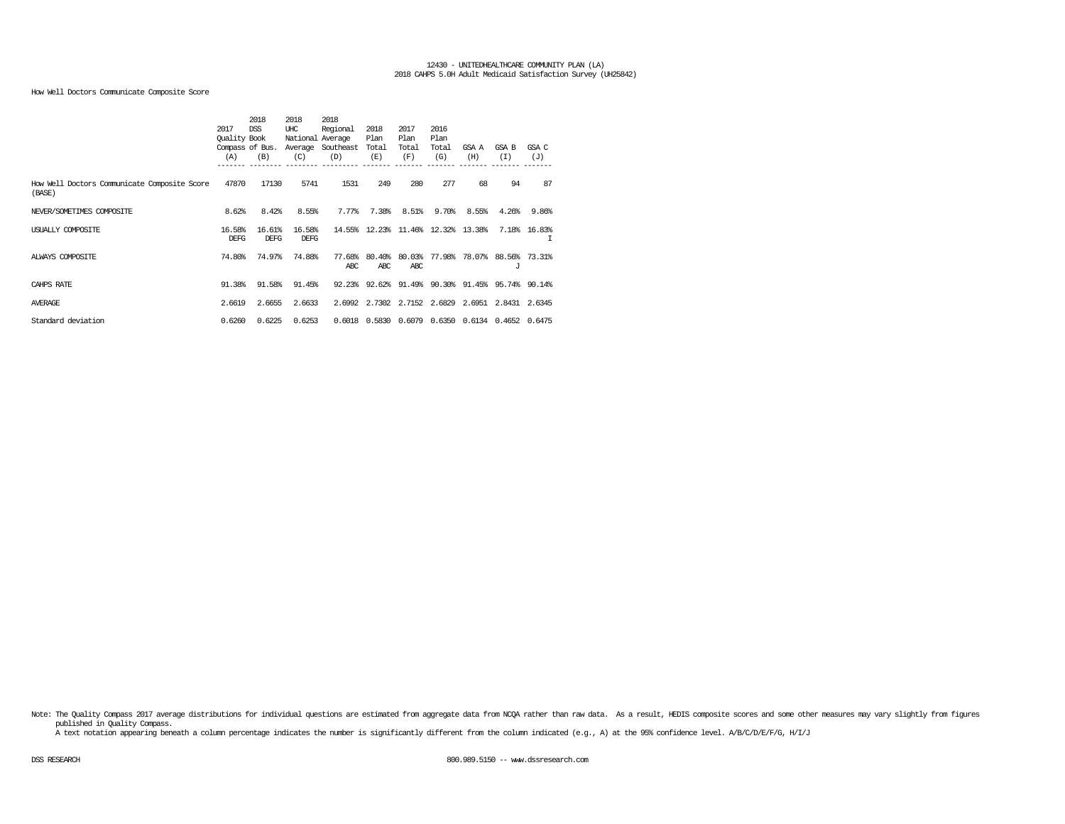How Well Doctors Communicate Composite Score

|                                              |              | 2018            | 2018             | 2018      |                                    |        |        |                                                  |                      |              |
|----------------------------------------------|--------------|-----------------|------------------|-----------|------------------------------------|--------|--------|--------------------------------------------------|----------------------|--------------|
|                                              | 2017         | <b>DSS</b>      | UHC              | Regional  | 2018                               | 2017   | 2016   |                                                  |                      |              |
|                                              | Quality Book |                 | National Average |           | Plan                               | Plan   | Plan   |                                                  |                      |              |
|                                              |              | Compass of Bus. | Average          | Southeast | Total                              | Total  | Total  | GSA A                                            | GSA B                | GSA C        |
|                                              | (A)          | (B)             | (C)              | (D)       | (E)                                | (F)    | (G)    | (H)                                              | (T)                  | (J)          |
|                                              |              |                 |                  |           |                                    |        |        |                                                  |                      |              |
| How Well Doctors Communicate Composite Score | 47870        | 17130           | 5741             | 1531      | 249                                | 280    | 277    | 68                                               | 94                   | 87           |
| (BASE)                                       |              |                 |                  |           |                                    |        |        |                                                  |                      |              |
| NEVER/SOMETIMES COMPOSITE                    | 8.62%        | 8.42%           | 8.55%            | 7.77%     | 7.38%                              | 8.51%  | 9.70%  | 8.55%                                            | 4.26%                | 9.86%        |
|                                              |              |                 |                  |           |                                    |        |        |                                                  |                      |              |
| USUALLY COMPOSITE                            | 16.58%       | 16.61%          | 16.58%           |           | 14.55% 12.23% 11.46% 12.32% 13.38% |        |        |                                                  |                      | 7.18% 16.83% |
|                                              | <b>DEFG</b>  | <b>DEFG</b>     | DEFG             |           |                                    |        |        |                                                  |                      | т            |
| ALWAYS COMPOSITE                             | 74.80%       | 74.97%          | 74.88%           | 77.68%    | 80.40%                             | 80.03% |        | 77.98% 78.07% 88.56% 73.31%                      |                      |              |
|                                              |              |                 |                  | ARC.      | ARC.                               | ARC.   |        |                                                  | J                    |              |
| CAHPS RATE                                   | 91.38%       | 91.58%          | 91.45%           |           |                                    |        |        | 92.23% 92.62% 91.49% 90.30% 91.45% 95.74% 90.14% |                      |              |
|                                              |              |                 |                  |           |                                    |        |        |                                                  |                      |              |
| <b>AVERAGE</b>                               | 2.6619       | 2.6655          | 2.6633           | 2.6992    | 2.7302 2.7152 2.6829               |        |        |                                                  | 2.6951 2.8431 2.6345 |              |
| Standard deviation                           | 0.6260       | 0.6225          | 0.6253           | 0.6018    | 0.5830                             | 0.6079 | 0.6350 | 0.6134                                           | 0.4652               | 0.6475       |
|                                              |              |                 |                  |           |                                    |        |        |                                                  |                      |              |

Note: The Quality Compass 2017 average distributions for individual questions are estimated from aggregate data from NCQA rather than raw data. As a result, HEDIS composite scores and some other measures may vary slightly published in Quality Compass.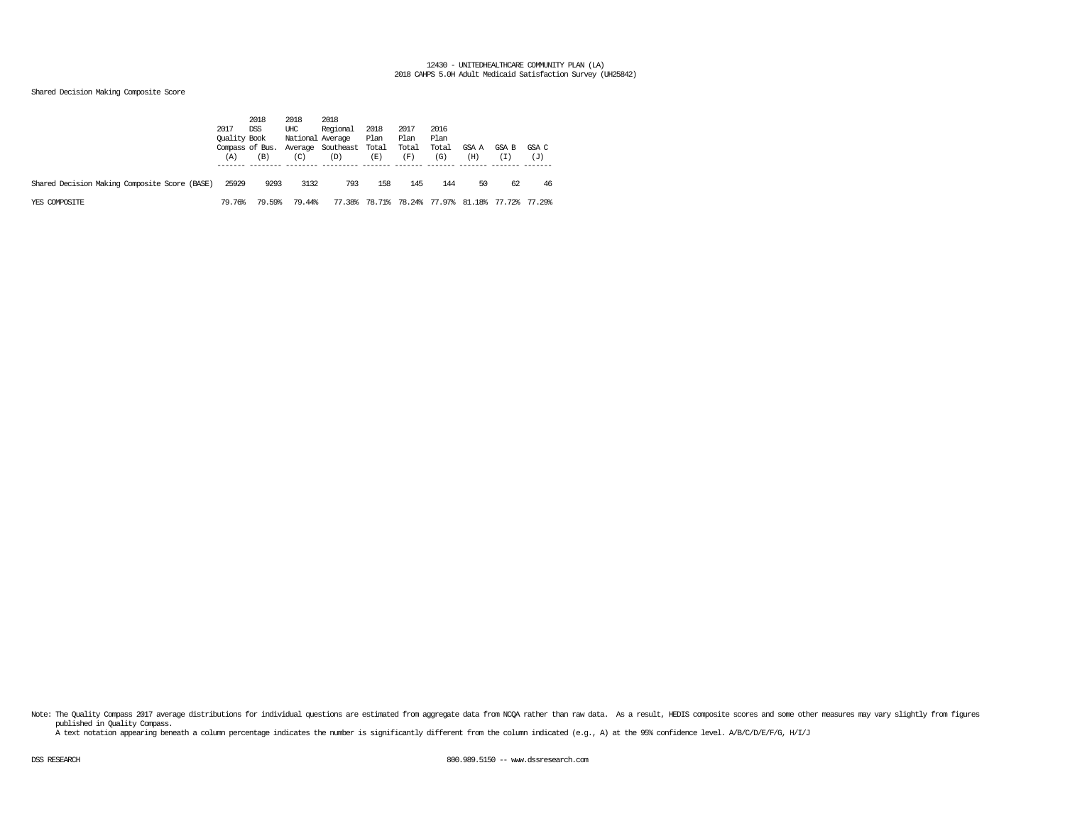# Shared Decision Making Composite Score

|                                               | 2017<br>Quality Book<br>(A) | 2018<br><b>DSS</b><br>Compass of Bus.<br>(B) | 2018<br>UHC<br>National Average<br>(C) | 2018<br>Regional<br>Average Southeast Total<br>(D) | 2018<br>Plan<br>(E) | 2017<br>Plan<br>Total<br>(F) | 2016<br>Plan<br>Total<br>(G) | GSA A<br>(H) | GSA B<br>(I) | GSA C<br>(J) |
|-----------------------------------------------|-----------------------------|----------------------------------------------|----------------------------------------|----------------------------------------------------|---------------------|------------------------------|------------------------------|--------------|--------------|--------------|
| Shared Decision Making Composite Score (BASE) | 25929                       | 9293                                         | 3132                                   | 793                                                | 158                 | 145                          | 144                          | 50           | 62           | 46           |
| YES COMPOSITE                                 | 79.76%                      | 79.59%                                       | 79.44%                                 | 77.38%                                             |                     | 78.71% 78.24% 77.97%         |                              | 81.18%       | 77.72%       | 77.29%       |

Note: The Quality Compass 2017 average distributions for individual questions are estimated from aggregate data from NCQA rather than raw data. As a result, HEDIS composite scores and some other measures may vary slightly published in Quality Compass.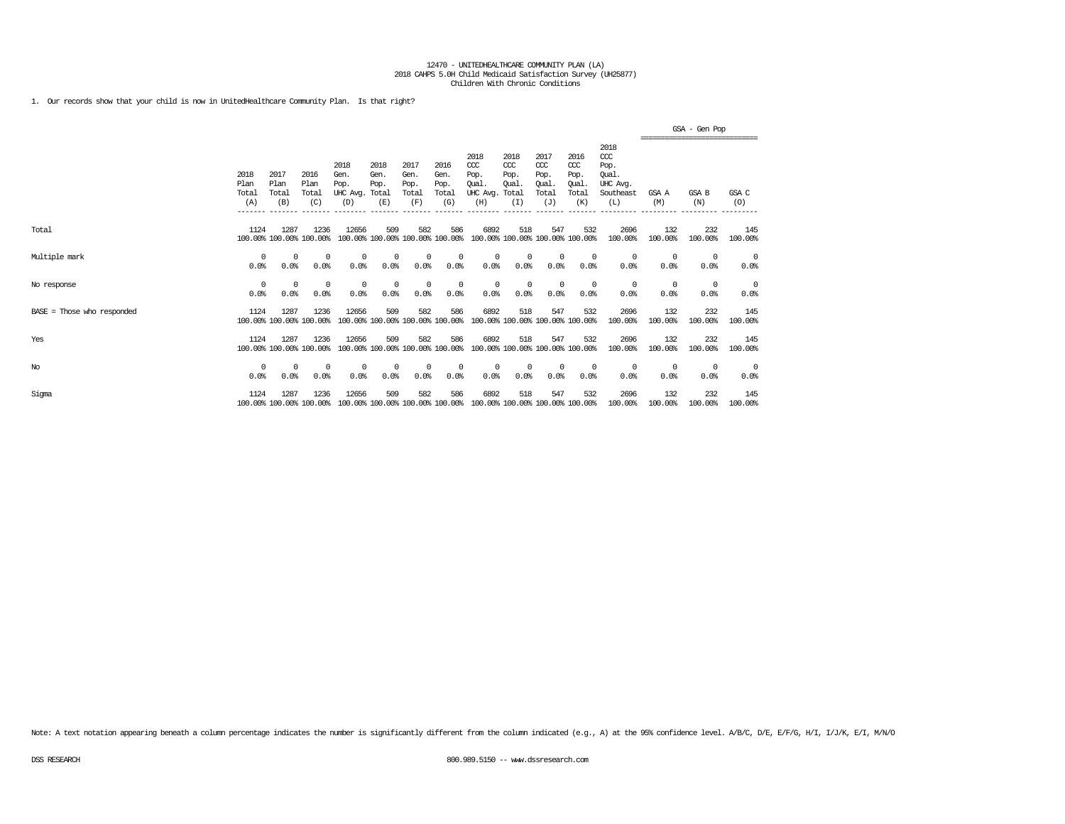1. Our records show that your child is now in UnitedHealthcare Community Plan. Is that right?

|                              |                              |                                         |                                         |                                                     |                                                 |                                                 |                                                 |                                                                         |                                             |                                                                   |                                                            |                                                                                |                           | GSA - Gen Pop<br>-------------------------------- |                    |
|------------------------------|------------------------------|-----------------------------------------|-----------------------------------------|-----------------------------------------------------|-------------------------------------------------|-------------------------------------------------|-------------------------------------------------|-------------------------------------------------------------------------|---------------------------------------------|-------------------------------------------------------------------|------------------------------------------------------------|--------------------------------------------------------------------------------|---------------------------|---------------------------------------------------|--------------------|
|                              | 2018<br>Plan<br>Total<br>(A) | 2017<br>Plan<br>Total<br>(B)<br>------- | 2016<br>Plan<br>Total<br>(C)<br>------- | 2018<br>Gen.<br>Pop.<br>UHC Ava.<br>(D)<br>-------- | 2018<br>Gen.<br>Pop.<br>Total<br>(E)<br>------- | 2017<br>Gen.<br>Pop.<br>Total<br>(F)<br>------- | 2016<br>Gen.<br>Pop.<br>Total<br>(G)<br>------- | 2018<br>$CC$<br>Pop.<br>Oual<br>UHC Avg.<br>(H)<br>--------             | 2018<br>CCC<br>Pop.<br>Oual<br>Total<br>(I) | 2017<br>$\alpha$<br>Pop.<br><b>Oual</b><br>Total<br>(J)<br>______ | 2016<br>$\alpha$<br>Pop.<br>Oual<br>Total<br>(K)<br>------ | 2018<br>$\alpha$<br>Pop.<br>Oual.<br>UHC Avg.<br>Southeast<br>(L)<br>_________ | GSA A<br>(M)<br>_________ | <b>GSA B</b><br>(N)<br>_________                  | GSA C<br>(O)       |
| Total                        | 1124                         | 1287                                    | 1236<br>100.00% 100.00% 100.00%         | 12656                                               | 509<br>100.00% 100.00% 100.00% 100.00%          | 582                                             | 586                                             | 6892                                                                    | 518                                         | 547<br>100.00% 100.00% 100.00% 100.00%                            | 532                                                        | 2696<br>100.00%                                                                | 132<br>100.00%            | 232<br>100,00%                                    | 145<br>100.00%     |
| Multiple mark                | $\Omega$<br>0.0%             | 0<br>0.0%                               | $^{\circ}$<br>0.0%                      | 0<br>0.0%                                           | 0<br>0.0%                                       | $\circ$<br>0.0%                                 | 0<br>0.0%                                       | 0<br>0.0%                                                               | $^{\circ}$<br>0.0%                          | 0<br>0.0%                                                         | $^{\circ}$<br>0.0%                                         | $^{\circ}$<br>0.0%                                                             | 0<br>0.0%                 | 0<br>0.0%                                         | 0<br>0.0%          |
| No response                  | 0<br>0.0%                    | 0<br>0.0%                               | $^{\circ}$<br>0.0%                      | $^{\circ}$<br>0.0%                                  | 0<br>0.0%                                       | $\mathbf 0$<br>0.0%                             | $^{\circ}$<br>0.0%                              | $^{\circ}$<br>0.0%                                                      | $^{\circ}$<br>0.0%                          | $^{\circ}$<br>0.0%                                                | $^{\circ}$<br>0.0%                                         | $^{\circ}$<br>0.0%                                                             | 0<br>0.0%                 | 0<br>0.0%                                         | $^{\circ}$<br>0.0% |
| $BASE = Those who responded$ | 1124                         | 1287                                    | 1236<br>100.00% 100.00% 100.00%         | 12656                                               | 509<br>100.00% 100.00% 100.00% 100.00%          | 582                                             | 586                                             | 6892                                                                    | 518                                         | 547<br>100.00% 100.00% 100.00% 100.00%                            | 532                                                        | 2696<br>100.00%                                                                | 132<br>100.00%            | 232<br>100.00%                                    | 145<br>100.00%     |
| Yes                          | 1124                         | 1287                                    | 1236<br>100.00% 100.00% 100.00%         | 12656                                               | 509                                             | 582                                             | 586                                             | 6892<br>100.00% 100.00% 100.00% 100.00% 100.00% 100.00% 100.00% 100.00% | 518                                         | 547                                                               | 532                                                        | 2696<br>100.00%                                                                | 132<br>100.00%            | 232<br>100.00%                                    | 145<br>100.00%     |
| No                           | 0<br>0.0%                    | 0<br>0.0%                               | $^{\circ}$<br>0.0%                      | $^{\circ}$<br>0.0%                                  | 0<br>0.0%                                       | $^{\circ}$<br>0.0%                              | 0<br>0.0%                                       | 0<br>0.0%                                                               | $^{\circ}$<br>0.0%                          | 0<br>0.0%                                                         | 0<br>0.0%                                                  | $^{\circ}$<br>0.0%                                                             | 0<br>0.0%                 | 0<br>0.0%                                         | $^{\circ}$<br>0.0% |
| Sigma                        | 1124                         | 1287                                    | 1236<br>100.00% 100.00% 100.00%         | 12656                                               | 509<br>100.00% 100.00% 100.00% 100.00%          | 582                                             | 586                                             | 6892                                                                    | 518                                         | 547<br>100.00% 100.00% 100.00% 100.00%                            | 532                                                        | 2696<br>100.00%                                                                | 132<br>100.00%            | 232<br>100.00%                                    | 145<br>100.00%     |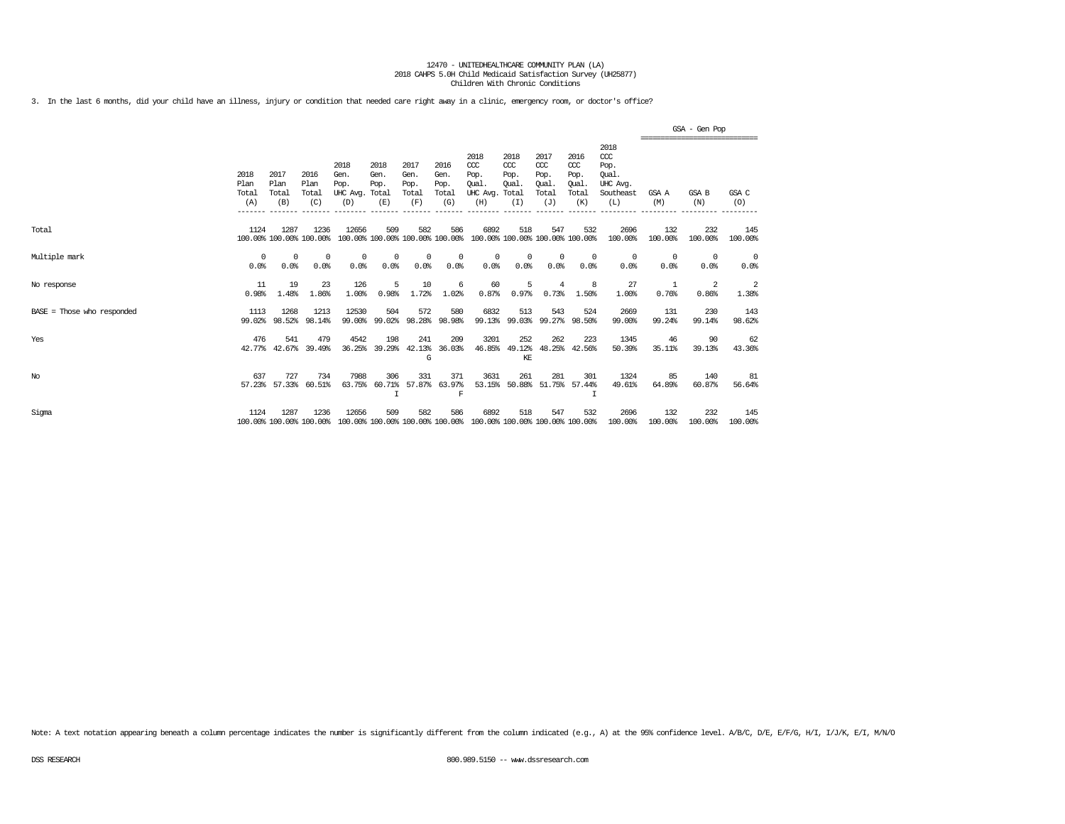3. In the last 6 months, did your child have an illness, injury or condition that needed care right away in a clinic, emergency room, or doctor's office?

|                            |                                         |                                         |                                 |                                                           |                                        |                                                 |                                                 |                                                                         |                                                         |                                                               |                                                         |                                                                                 |                                 | GSA - Gen Pop                                                   |                    |
|----------------------------|-----------------------------------------|-----------------------------------------|---------------------------------|-----------------------------------------------------------|----------------------------------------|-------------------------------------------------|-------------------------------------------------|-------------------------------------------------------------------------|---------------------------------------------------------|---------------------------------------------------------------|---------------------------------------------------------|---------------------------------------------------------------------------------|---------------------------------|-----------------------------------------------------------------|--------------------|
|                            | 2018<br>Plan<br>Total<br>(A)<br>------- | 2017<br>Plan<br>Total<br>(B)<br>------- | 2016<br>Plan<br>Total<br>(C)    | 2018<br>Gen.<br>Pop.<br>UHC Avg. Total<br>(D)<br>-------- | 2018<br>Gen.<br>Pop.<br>(E)<br>------- | 2017<br>Gen.<br>Pop.<br>Total<br>(F)<br>------- | 2016<br>Gen.<br>Pop.<br>Total<br>(G)<br>------- | 2018<br>$CC$<br>Pop.<br>Oual.<br>UHC Avg.<br>(H)<br>--------            | 2018<br>CCC<br>Pop.<br>Oual.<br>Total<br>(I)<br>------- | 2017<br>$\alpha$<br>Pop.<br>Oual.<br>Total<br>(J)<br>-------- | 2016<br>ccc<br>Pop.<br>Oual<br>Total<br>(K)<br>-------- | 2018<br>$\alpha$<br>Pop.<br>Oual.<br>UHC Avg.<br>Southeast<br>(L)<br>__________ | GSA A<br>(M)<br>--------------- | ,,,,,,,,,,,,,,,,,,,,,,,,,,,,,,<br>GSA B<br>(N)<br>------------- | GSA C<br>(O)       |
| Total                      | 1124                                    | 1287                                    | 1236<br>100.00% 100.00% 100.00% | 12656                                                     | 509<br>100.00% 100.00% 100.00% 100.00% | 582                                             | 586                                             | 6892                                                                    | 518<br>100.00% 100.00% 100.00% 100.00%                  | 547                                                           | 532                                                     | 2696<br>100.00%                                                                 | 132<br>100.00%                  | 232<br>100.00%                                                  | 145<br>100.00%     |
| Multiple mark              | $\Omega$<br>0.0%                        | $\Omega$<br>0.0%                        | $^{\circ}$<br>0.0%              | $^{\circ}$<br>0.0%                                        | $\Omega$<br>0.0%                       | $\Omega$<br>0.0%                                | $^{\circ}$<br>0.0%                              | $\Omega$<br>0.0%                                                        | $^{\circ}$<br>0.0%                                      | $\Omega$<br>0.0%                                              | $\Omega$<br>0.0%                                        | 0<br>0.0%                                                                       | $\Omega$<br>0.0%                | $\Omega$<br>0.0%                                                | $^{\circ}$<br>0.0% |
| No response                | 11<br>0.98%                             | 19<br>1.48%                             | 23<br>1.86%                     | 126<br>1.00%                                              | 5<br>0.98%                             | 10<br>1.72%                                     | 6<br>1.02%                                      | 60<br>0.87%                                                             | 5<br>0.97%                                              | 4<br>0.73%                                                    | 1.50%                                                   | 27<br>1.00%                                                                     | 1<br>0.76%                      | 2<br>0.86%                                                      | 2<br>1.38%         |
| BASE = Those who responded | 1113<br>99.02%                          | 1268<br>98.52%                          | 1213<br>98.14%                  | 12530<br>99.00%                                           | 504<br>99.02%                          | 572<br>98.28%                                   | 580<br>98.98%                                   | 6832                                                                    | 513<br>99.13% 99.03%                                    | 543<br>99.27%                                                 | 524<br>98.50%                                           | 2669<br>99.00%                                                                  | 131<br>99.24%                   | 230<br>99.14%                                                   | 143<br>98.62%      |
| Yes                        | 476<br>42.77%                           | 541<br>42.67%                           | 479<br>39.49%                   | 4542<br>36.25%                                            | 198<br>39.29%                          | 241<br>42.13%<br>G                              | 209<br>36.03%                                   | 3201<br>46.85%                                                          | 252<br>49.12%<br>KE                                     | 262<br>48.25%                                                 | 223<br>42.56%                                           | 1345<br>50.39%                                                                  | 46<br>35.11%                    | 90<br>39.13%                                                    | 62<br>43.36%       |
| $_{\mathrm{No}}$           | 637<br>57.23%                           | 727<br>57.33%                           | 734<br>60.51%                   | 7988<br>63.75%                                            | 306<br>60.71%                          | 331<br>57.87%                                   | 371<br>63.97%<br>F                              | 3631<br>53.15%                                                          | 261<br>50.88%                                           | 281                                                           | 301<br>51.75% 57.44%                                    | 1324<br>49.61%                                                                  | 85<br>64.89%                    | 140<br>60.87%                                                   | 81<br>56.64%       |
| Sigma                      | 1124                                    | 1287                                    | 1236<br>100.00% 100.00% 100.00% | 12656                                                     | 509                                    | 582                                             | 586                                             | 6892<br>100.00% 100.00% 100.00% 100.00% 100.00% 100.00% 100.00% 100.00% | 518                                                     | 547                                                           | 532                                                     | 2696<br>100.00%                                                                 | 132<br>100.00%                  | 232<br>100.00%                                                  | 145<br>100.00%     |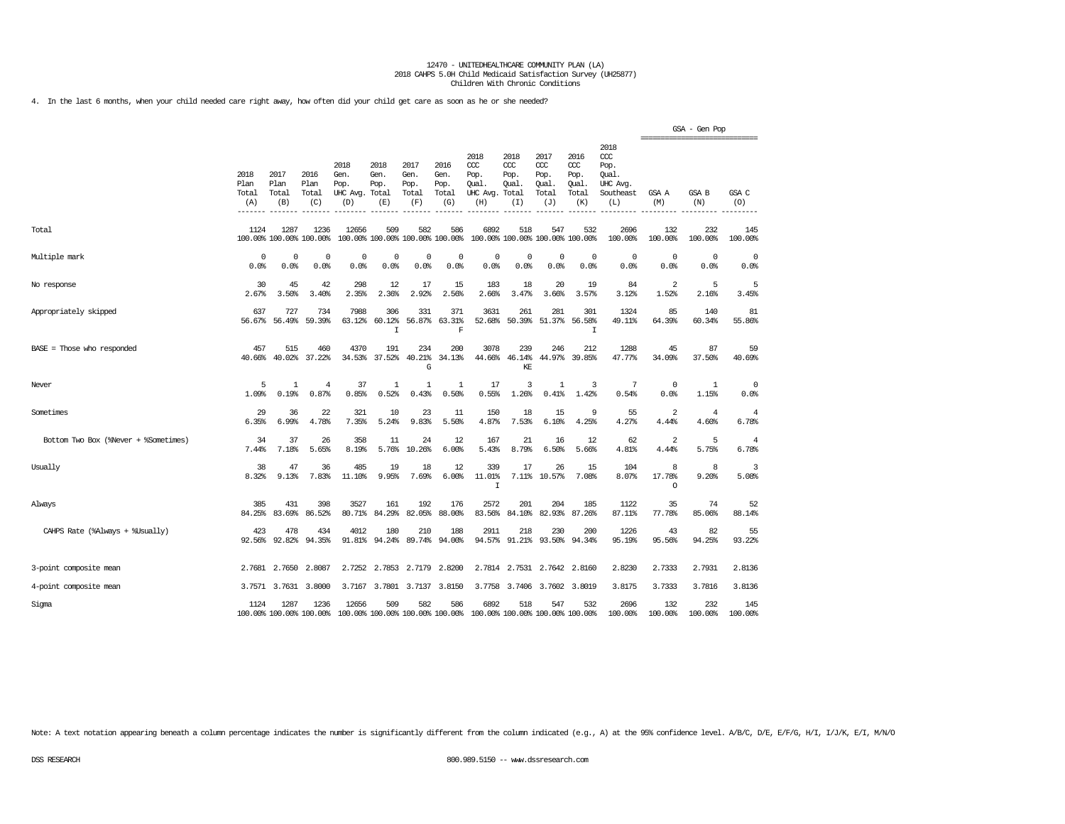4. In the last 6 months, when your child needed care right away, how often did your child get care as soon as he or she needed?

|                                      |                              |                              |                                 |                                               |                             |                                        |                                      |                                                                         |                                              |                                              |                                              |                                                                   |                        | GSA - Gen Pop<br>------------------------------ |                         |
|--------------------------------------|------------------------------|------------------------------|---------------------------------|-----------------------------------------------|-----------------------------|----------------------------------------|--------------------------------------|-------------------------------------------------------------------------|----------------------------------------------|----------------------------------------------|----------------------------------------------|-------------------------------------------------------------------|------------------------|-------------------------------------------------|-------------------------|
|                                      | 2018<br>Plan<br>Total<br>(A) | 2017<br>Plan<br>Total<br>(B) | 2016<br>Plan<br>Total<br>(C)    | 2018<br>Gen.<br>Pop.<br>UHC Avg. Total<br>(D) | 2018<br>Gen.<br>Pop.<br>(E) | 2017<br>Gen.<br>Pop.<br>Total<br>(F)   | 2016<br>Gen.<br>Pop.<br>Total<br>(G) | 2018<br>CCC<br>Pop.<br>Oual<br>UHC Avg.<br>(H)                          | 2018<br>ccc<br>Pop.<br>Oual.<br>Total<br>(I) | 2017<br>ccc<br>Pop.<br>Oual.<br>Total<br>(J) | 2016<br>ccc<br>Pop.<br>Oual.<br>Total<br>(K) | 2018<br>$\alpha$<br>Pop.<br>Oual.<br>UHC Avg.<br>Southeast<br>(L) | GSA A<br>(M)           | <b>GSA B</b><br>(N)                             | GSA C<br>(O)            |
| Total                                | 1124                         | 1287                         | 1236<br>100.00% 100.00% 100.00% | 12656                                         | 509                         | 582<br>100.00% 100.00% 100.00% 100.00% | 586                                  | 6892                                                                    | 518                                          | 547<br>100.00% 100.00% 100.00% 100.00%       | 532                                          | 2696<br>100.00%                                                   | 132<br>100.00%         | 232<br>100.00%                                  | 145<br>100.00%          |
| Multiple mark                        | 0<br>0.0%                    | $^{\circ}$<br>0.0%           | $^{\circ}$<br>0.0%              | $^{\circ}$<br>0.0%                            | $\Omega$<br>0.0%            | $^{\circ}$<br>0.0%                     | $\Omega$<br>0.0%                     | 0<br>0.0%                                                               | 0<br>0.0%                                    | $^{\circ}$<br>0.0%                           | $\Omega$<br>0.0%                             | 0<br>0.0%                                                         | 0<br>0.0%              | $\Omega$<br>0.0%                                | 0<br>0.0%               |
| No response                          | 30<br>2.67%                  | 45<br>3.50%                  | 42<br>3.40%                     | 298<br>2.35%                                  | 12<br>2.36%                 | 17<br>2.92%                            | 15<br>2.56%                          | 183<br>2.66%                                                            | 18<br>3.47%                                  | 20<br>3.66%                                  | 19<br>3.57%                                  | 84<br>3.12%                                                       | 2<br>1.52%             | 5<br>2.16%                                      | 5<br>3.45%              |
| Appropriately skipped                | 637<br>56.67%                | 727<br>56.49%                | 734<br>59.39%                   | 7988<br>63.12%                                | 306<br>60.12%<br>I          | 331<br>56.87%                          | 371<br>63.31%<br>F                   | 3631<br>52.68%                                                          | 261<br>50.39%                                | 281<br>51.37%                                | 301<br>56.58%<br>I                           | 1324<br>49.11%                                                    | 85<br>64.39%           | 140<br>60.34%                                   | 81<br>55.86%            |
| $BASE = Those who responded$         | 457<br>40.66%                | 515<br>40.02%                | 460<br>37.22%                   | 4370<br>34.53%                                | 191<br>37.52%               | 234<br>40.21%<br>G                     | 200<br>34.13%                        | 3078<br>44.66%                                                          | 239<br>46.14%<br>KE                          | 246<br>44.97%                                | 212<br>39.85%                                | 1288<br>47.77%                                                    | 45<br>34.09%           | 87<br>37.50%                                    | 59<br>40.69%            |
| Never                                | 5<br>1.09%                   | $\mathbf{1}$<br>0.19%        | $\overline{4}$<br>0.87%         | 37<br>0.85%                                   | 1<br>0.52%                  | $\mathbf{1}$<br>0.43%                  | 1<br>0.50%                           | 17<br>0.55%                                                             | 3<br>1.26%                                   | 1<br>0.41%                                   | 3<br>1.42%                                   | 7<br>0.54%                                                        | $\mathbf 0$<br>0.0%    | 1<br>1.15%                                      | $\mathbf 0$<br>0.0%     |
| Sometimes                            | 29<br>6.35%                  | 36<br>6.99%                  | 22<br>4.78%                     | 321<br>7.35%                                  | 10<br>5.24%                 | 23<br>9.83%                            | 11<br>5.50%                          | 150<br>4.87%                                                            | 18<br>7.53%                                  | 15<br>6.10%                                  | 9<br>4.25%                                   | 55<br>4.27%                                                       | 2<br>4.44%             | $\overline{4}$<br>4.60%                         | $\overline{4}$<br>6.78% |
| Bottom Two Box (%Never + %Sometimes) | 34<br>7.44%                  | 37<br>7.18%                  | 26<br>5.65%                     | 358<br>8.19%                                  | 11<br>5.76%                 | 24<br>10.26%                           | 12<br>6.00%                          | 167<br>5.43%                                                            | 21<br>8.79%                                  | 16<br>6.50%                                  | 12<br>5.66%                                  | 62<br>4.81%                                                       | 2<br>4.44%             | 5<br>5.75%                                      | $\overline{4}$<br>6.78% |
| Usually                              | 38<br>8.32%                  | 47<br>9.13%                  | 36<br>7.83%                     | 485<br>11.10%                                 | 19<br>9.95%                 | 18<br>7.69%                            | 12<br>6.00%                          | 339<br>11.01%<br>I                                                      | 17                                           | 26<br>7.11% 10.57%                           | 15<br>7.08%                                  | 104<br>8.07%                                                      | 8<br>17.78%<br>$\circ$ | 8<br>9.20%                                      | 3<br>5.08%              |
| Always                               | 385<br>84.25%                | 431<br>83.69%                | 398<br>86.52%                   | 3527<br>80.71%                                | 161<br>84.29%               | 192<br>82.05%                          | 176<br>88.00%                        | 2572<br>83.56%                                                          | 201<br>84.10%                                | 204<br>82.93%                                | 185<br>87.26%                                | 1122<br>87.11%                                                    | 35<br>77.78%           | 74<br>85.06%                                    | 52<br>88.14%            |
| CAHPS Rate (%Always + %Usually)      | 423<br>92.56%                | 478<br>92.82%                | 434<br>94.35%                   | 4012<br>91.81%                                | 180<br>94.24%               | 210<br>89.74%                          | 188<br>94.00%                        | 2911<br>94.57%                                                          | 218<br>91.21%                                | 230<br>93.50%                                | 200<br>94.34%                                | 1226<br>95.19%                                                    | 43<br>95.56%           | 82<br>94.25%                                    | 55<br>93.22%            |
| 3-point composite mean               |                              | 2.7681 2.7650                | 2.8087                          | 2.7252                                        | 2.7853                      | 2.7179                                 | 2.8200                               |                                                                         | 2.7814 2.7531                                | 2.7642                                       | 2.8160                                       | 2.8230                                                            | 2.7333                 | 2.7931                                          | 2.8136                  |
| 4-point composite mean               | 3.7571                       | 3.7631                       | 3.8000                          | 3.7167                                        | 3.7801                      | 3.7137                                 | 3.8150                               | 3.7758                                                                  | 3.7406                                       | 3.7602                                       | 3.8019                                       | 3.8175                                                            | 3.7333                 | 3.7816                                          | 3.8136                  |
| Sigma                                | 1124                         | 1287                         | 1236<br>100.00% 100.00% 100.00% | 12656                                         | 509                         | 582                                    | 586                                  | 6892<br>100.00% 100.00% 100.00% 100.00% 100.00% 100.00% 100.00% 100.00% | 518                                          | 547                                          | 532                                          | 2696<br>100.00%                                                   | 132<br>100.00%         | 232<br>100.00%                                  | 145<br>100.00%          |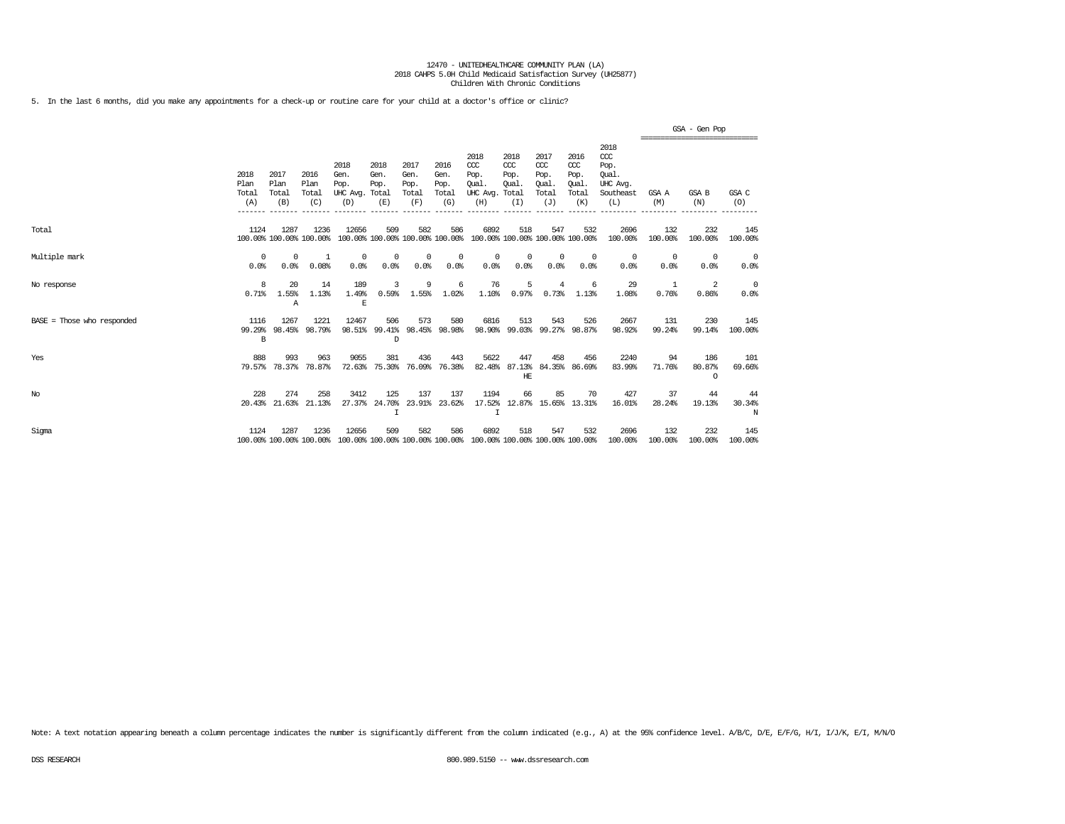5. In the last 6 months, did you make any appointments for a check-up or routine care for your child at a doctor's office or clinic?

|                            |                              |                              |                                 |                                               |                                        |                                      |                                      |                                                                         |                                              |                                                   |                                              |                                                              |                         | GSA - Gen Pop<br>================================ |                        |
|----------------------------|------------------------------|------------------------------|---------------------------------|-----------------------------------------------|----------------------------------------|--------------------------------------|--------------------------------------|-------------------------------------------------------------------------|----------------------------------------------|---------------------------------------------------|----------------------------------------------|--------------------------------------------------------------|-------------------------|---------------------------------------------------|------------------------|
|                            | 2018<br>Plan<br>Total<br>(A) | 2017<br>Plan<br>Total<br>(B) | 2016<br>Plan<br>Total<br>(C)    | 2018<br>Gen.<br>Pop.<br>UHC Avg. Total<br>(D) | 2018<br>Gen.<br>Pop.<br>(E)            | 2017<br>Gen.<br>Pop.<br>Total<br>(F) | 2016<br>Gen.<br>Pop.<br>Total<br>(G) | 2018<br>$CC$<br>Pop.<br>Oual.<br>UHC Avg.<br>(H)                        | 2018<br>CCC<br>Pop.<br>Oual.<br>Total<br>(I) | 2017<br>$\alpha$<br>Pop.<br>Oual.<br>Total<br>(J) | 2016<br>ccc<br>Pop.<br>Oual.<br>Total<br>(K) | 2018<br>ccc<br>Pop.<br>Oual.<br>UHC Avg.<br>Southeast<br>(L) | GSA A<br>(M)            | GSA B<br>(N)                                      | GSA C<br>(O)           |
| Total                      | 1124                         | 1287                         | 1236<br>100.00% 100.00% 100.00% | 12656                                         | 509<br>100.00% 100.00% 100.00% 100.00% | 582                                  | 586                                  | 6892                                                                    | 518                                          | 547                                               | 532<br>100.00% 100.00% 100.00% 100.00%       | 2696<br>100.00%                                              | 132<br>100.00%          | 232<br>100.00%                                    | 145<br>100.00%         |
| Multiple mark              | 0<br>0.0%                    | 0<br>0.0%                    | -1<br>0.08%                     | $^{\circ}$<br>0.0%                            | 0<br>0.0%                              | $^{\circ}$<br>0.0%                   | 0<br>0.0%                            | 0<br>0.0%                                                               | 0<br>0.0%                                    | $^{\circ}$<br>0.0%                                | $\Omega$<br>0.0%                             | $^{\circ}$<br>0.0%                                           | $\overline{0}$<br>0.0%  | $^{\circ}$<br>0.0%                                | $\overline{0}$<br>0.0% |
| No response                | 8<br>0.71%                   | 20<br>1.55%<br>Α             | 14<br>1.13%                     | 189<br>1.49%<br>Ε                             | 3<br>0.59%                             | 9<br>1.55%                           | 6<br>1.02%                           | 76<br>1.10%                                                             | 5<br>0.97%                                   | 4<br>0.73%                                        | -6<br>1.13%                                  | 29<br>1.08%                                                  | $\overline{1}$<br>0.76% | 2<br>0.86%                                        | $\overline{0}$<br>0.0% |
| BASE = Those who responded | 1116<br>99.29%<br>B          | 1267                         | 1221<br>98.45% 98.79%           | 12467                                         | 506<br>98.51% 99.41%<br>D              | 573                                  | 580<br>98.45% 98.98%                 | 6816                                                                    | 513                                          | 543                                               | 526<br>98.90% 99.03% 99.27% 98.87%           | 2667<br>98.92%                                               | 131<br>99.24%           | 230<br>99.14%                                     | 145<br>100.00%         |
| Yes                        | 888<br>79.57%                | 993<br>78.37%                | 963<br>78.87%                   | 9055<br>72.63%                                | 381<br>75.30%                          | 436<br>76.09%                        | 443<br>76.38%                        | 5622<br>82.48%                                                          | 447<br>HE                                    | 458                                               | 456<br>87.13% 84.35% 86.69%                  | 2240<br>83.99%                                               | 94<br>71.76%            | 186<br>80.87%<br>$\cap$                           | 101<br>69.66%          |
| $_{\mathrm{No}}$           | 228                          | 274<br>20.43% 21.63%         | 258<br>21.13%                   | 3412<br>27.37%                                | 125<br>24.70%                          | 137                                  | 137<br>23.91% 23.62%                 | 1194                                                                    | 66                                           | 85                                                | 70<br>17.52% 12.87% 15.65% 13.31%            | 427<br>16.01%                                                | 37<br>28.24%            | 44<br>19.13%                                      | 44<br>30.34%<br>N      |
| Sigma                      | 1124                         | 1287                         | 1236<br>100.00% 100.00% 100.00% | 12656                                         | 509                                    | 582                                  | 586                                  | 6892<br>100.00% 100.00% 100.00% 100.00% 100.00% 100.00% 100.00% 100.00% | 518                                          | 547                                               | 532                                          | 2696<br>100.00%                                              | 132<br>100.00%          | 232<br>100.00%                                    | 145<br>100.00%         |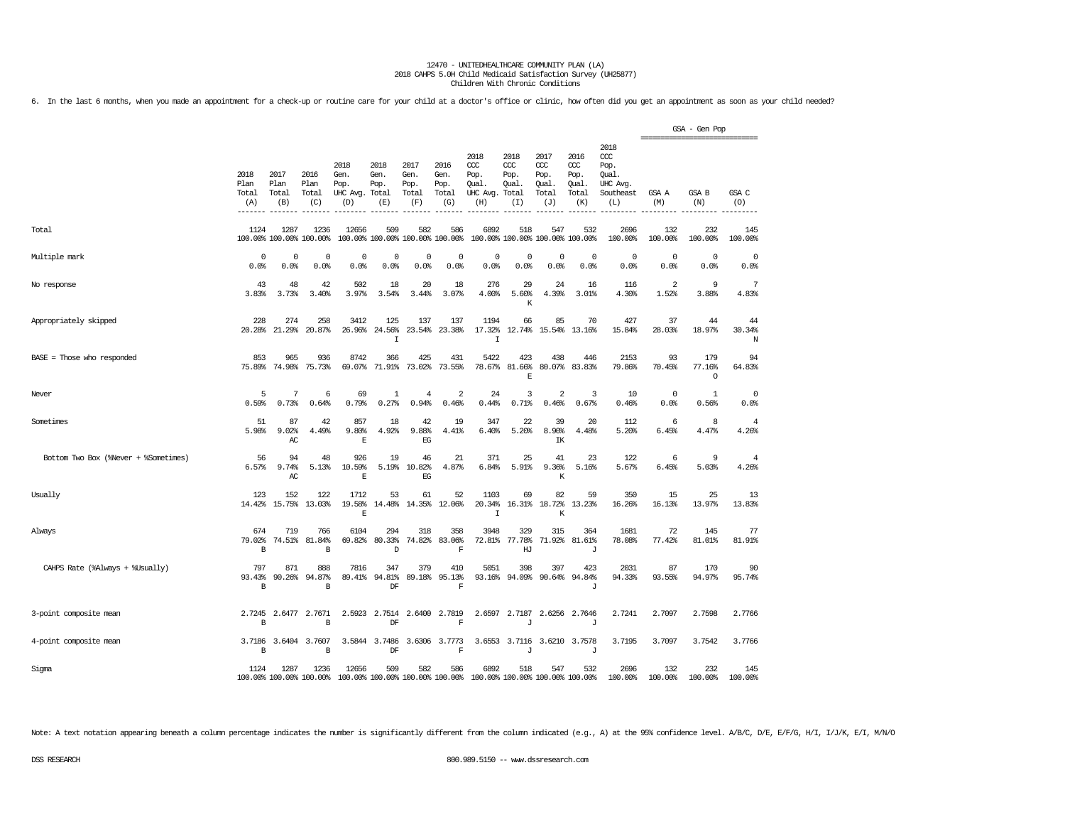6. In the last 6 months, when you made an appointment for a check-up or routine care for your child at a doctor's office or clinic, how often did you get an appointment as soon as your child needed?

|                                      |                              |                              |                                      |                                         |                                      |                                        |                                      |                                                 |                                              |                                                   |                                                   |                                                                   | ================================ | GSA - Gen Pop            |                         |
|--------------------------------------|------------------------------|------------------------------|--------------------------------------|-----------------------------------------|--------------------------------------|----------------------------------------|--------------------------------------|-------------------------------------------------|----------------------------------------------|---------------------------------------------------|---------------------------------------------------|-------------------------------------------------------------------|----------------------------------|--------------------------|-------------------------|
|                                      | 2018<br>Plan<br>Total<br>(A) | 2017<br>Plan<br>Total<br>(B) | 2016<br>Plan<br>Total<br>(C)         | 2018<br>Gen.<br>Pop.<br>UHC Avg.<br>(D) | 2018<br>Gen.<br>Pop.<br>Total<br>(E) | 2017<br>Gen.<br>Pop.<br>Total<br>(F)   | 2016<br>Gen.<br>Pop.<br>Total<br>(G) | 2018<br>CCC<br>Pop.<br>Qual.<br>UHC Avg.<br>(H) | 2018<br>CCC<br>Pop.<br>Qual.<br>Total<br>(I) | 2017<br>$\alpha$<br>Pop.<br>Qual.<br>Total<br>(J) | 2016<br>$\alpha$<br>Pop.<br>Qual.<br>Total<br>(K) | 2018<br>$\alpha$<br>Pop.<br>Qual.<br>UHC Avg.<br>Southeast<br>(L) | GSA A<br>(M)                     | <b>GSA B</b><br>(N)      | GSA C<br>(0)            |
| Total                                | 1124                         | 1287                         | 1236<br>100.00% 100.00% 100.00%      | 12656                                   | 509                                  | 582<br>100.00% 100.00% 100.00% 100.00% | 586                                  | 6892                                            | 518                                          | 547<br>100.00% 100.00% 100.00%                    | 532<br>100.00%                                    | 2696<br>100.00%                                                   | 132<br>100.00%                   | 232<br>100.00%           | 145<br>100.00%          |
| Multiple mark                        | 0<br>0.0%                    | $\mathbf 0$<br>0.0%          | $\mathbf 0$<br>0.0%                  | $\mathbf 0$<br>0.0%                     | $\mathbf 0$<br>0.0%                  | $\mathbf 0$<br>0.0%                    | $\mathbf 0$<br>0.0%                  | $\mathbf 0$<br>0.0%                             | $\mathbf 0$<br>0.0%                          | $\circ$<br>0.0%                                   | $\circ$<br>0.0%                                   | $\Omega$<br>0.0%                                                  | $\circ$<br>0.0%                  | $\mathbf 0$<br>0.0%      | $^{\circ}$<br>0.0%      |
| No response                          | 43<br>3.83%                  | 48<br>3.73%                  | 42<br>3.40%                          | 502<br>3.97%                            | 18<br>3.54%                          | 20<br>3.44%                            | 18<br>3.07%                          | 276<br>4.00%                                    | 29<br>5.60%<br>K                             | 24<br>4.39%                                       | 16<br>3.01%                                       | 116<br>4.30%                                                      | $\overline{2}$<br>1.52%          | 9<br>3.88%               | 7<br>4.83%              |
| Appropriately skipped                | 228<br>20.28%                | 274<br>21.29%                | 258<br>20.87%                        | 3412<br>26.96%                          | 125<br>24.56%<br>$\mathbf I$         | 137<br>23.54%                          | 137<br>23.38%                        | 1194<br>17.32%<br>I.                            | 66                                           | 85                                                | 70<br>12.74% 15.54% 13.16%                        | 427<br>15.84%                                                     | 37<br>28.03%                     | 44<br>18.97%             | 44<br>30.34%<br>N       |
| $BASE = Those who responded$         | 853<br>75.89%                | 965<br>74.98%                | 936<br>75.73%                        | 8742<br>69.07%                          | 366<br>71.91%                        | 425<br>73.02%                          | 431<br>73.55%                        | 5422<br>78.67%                                  | 423<br>81.66%<br>E                           | 438                                               | 446<br>80.07% 83.83%                              | 2153<br>79.86%                                                    | 93<br>70.45%                     | 179<br>77.16%<br>$\circ$ | 94<br>64.83%            |
| Never                                | 5<br>0.59%                   | 7<br>0.73%                   | 6<br>0.64%                           | 69<br>0.79%                             | 1<br>0.27%                           | $\overline{4}$<br>0.94%                | $\overline{2}$<br>0.46%              | 24<br>0.44%                                     | 3<br>0.71%                                   | $\overline{2}$<br>0.46%                           | 3<br>0.67%                                        | 10<br>0.46%                                                       | $\circ$<br>0.0%                  | 1<br>0.56%               | $\mathbf 0$<br>0.0%     |
| Sometimes                            | 51<br>5.98%                  | 87<br>9.02%<br>AC            | 42<br>4.49%                          | 857<br>9.80%<br>E                       | 18<br>4.92%                          | 42<br>9.88%<br>EG                      | 19<br>4.41%                          | 347<br>6.40%                                    | 22<br>5.20%                                  | 39<br>8.90%<br>IΚ                                 | 20<br>4.48%                                       | 112<br>5.20%                                                      | 6<br>6.45%                       | 8<br>4.47%               | $\overline{4}$<br>4.26% |
| Bottom Two Box (%Never + %Sometimes) | 56<br>6.57%                  | 94<br>9.74%<br>AC            | 48<br>5.13%                          | 926<br>10.59%<br>$\mathbf E$            | 19<br>5.19%                          | 46<br>10.82%<br>EG                     | 21<br>4.87%                          | 371<br>6.84%                                    | 25<br>5.91%                                  | 41<br>9.36%<br>К                                  | 23<br>5.16%                                       | 122<br>5.67%                                                      | 6<br>6.45%                       | 9<br>5.03%               | 4<br>4.26%              |
| Usually                              | 123<br>14.42%                | 152<br>15.75%                | 122<br>13.03%                        | 1712<br>19.58%<br>E                     | 53<br>14.48%                         | 61<br>14.35%                           | 52<br>12.06%                         | 1103<br>20.34%<br>$\mathbf I$                   | 69                                           | 82<br>16.31% 18.72%<br>К                          | 59<br>13.23%                                      | 350<br>16.26%                                                     | 15<br>16.13%                     | 25<br>13.97%             | 13<br>13.83%            |
| Always                               | 674<br>79.02%<br>В           | 719<br>74.51%                | 766<br>81.84%<br>В                   | 6104<br>69.82%                          | 294<br>80.33%<br>D                   | 318<br>74.82%                          | 358<br>83.06%<br>$\mathbf F$         | 3948<br>72.81%                                  | 329<br>77.78%<br>HJ                          | 315<br>71.92%                                     | 364<br>81.61%<br>J                                | 1681<br>78.08%                                                    | 72<br>77.42%                     | 145<br>81.01%            | 77<br>81.91%            |
| CAHPS Rate (%Always + %Usually)      | 797<br>93.43%<br>B           | 871<br>90.26%                | 888<br>94.87%<br>B                   | 7816<br>89.41%                          | 347<br>94.81%<br>DF                  | 379<br>89.18%                          | 410<br>95.13%<br>$\mathbf F$         | 5051<br>93.16%                                  | 398<br>94.09%                                | 397                                               | 423<br>90.64% 94.84%<br>J                         | 2031<br>94.33%                                                    | 87<br>93.55%                     | 170<br>94.97%            | 90<br>95.74%            |
| 3-point composite mean               | 2.7245<br>B                  | 2.6477                       | 2.7671<br>B                          | 2.5923                                  | 2.7514<br>DF                         | 2.6400                                 | 2.7819<br>$\overline{\mathbf{F}}$    | 2.6597                                          | 2.7187<br>J                                  | 2.6256                                            | 2.7646<br>J                                       | 2.7241                                                            | 2.7097                           | 2.7598                   | 2.7766                  |
| 4-point composite mean               | $\, {\bf B}$                 |                              | 3.7186 3.6404 3.7607<br>$\, {\bf B}$ |                                         | 3.5844 3.7486<br>DF                  |                                        | 3.6306 3.7773<br>$\mathbf F$         |                                                 | 3.6553 3.7116<br>J                           |                                                   | 3.6210 3.7578<br>J                                | 3.7195                                                            | 3.7097                           | 3.7542                   | 3.7766                  |
| Sigma                                | 1124                         | 1287                         | 1236<br>100.00% 100.00% 100.00%      | 12656                                   | 509                                  | 582<br>100.00% 100.00% 100.00% 100.00% | 586                                  | 6892<br>100.00% 100.00% 100.00% 100.00%         | 518                                          | 547                                               | 532                                               | 2696<br>100.00%                                                   | 132<br>100.00%                   | 232<br>100.00%           | 145<br>100.00%          |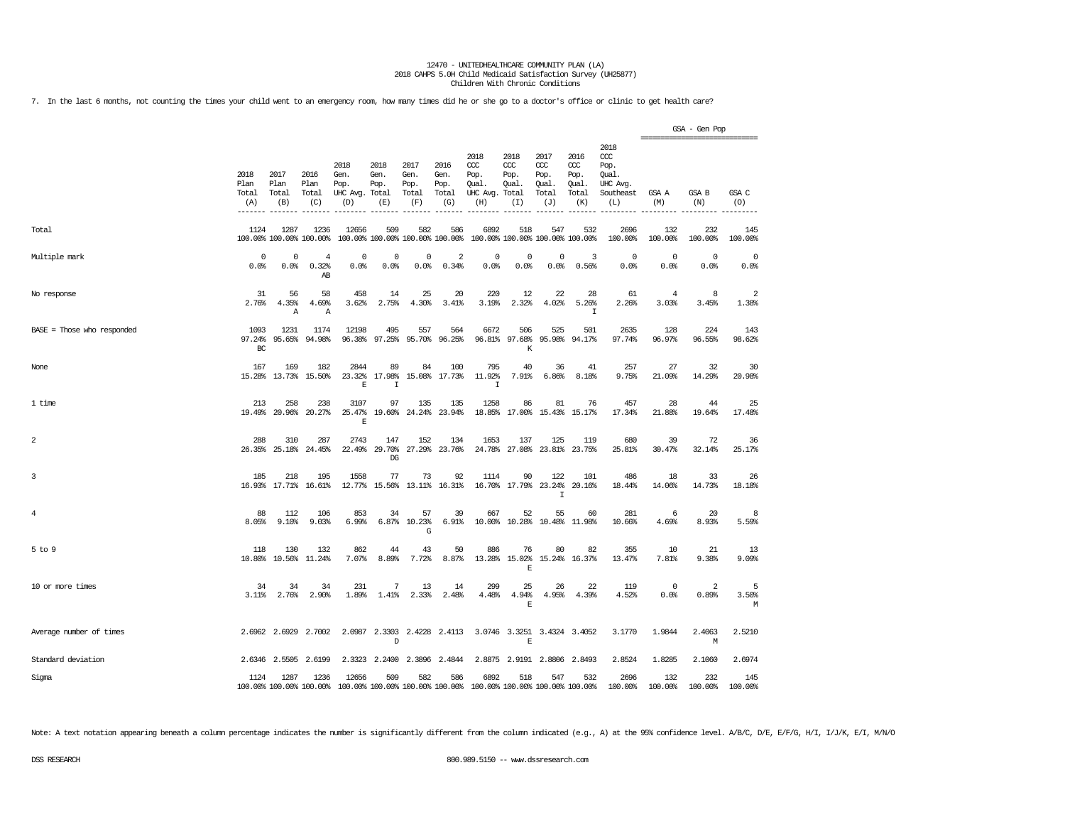7. In the last 6 months, not counting the times your child went to an emergency room, how many times did he or she go to a doctor's office or clinic to get health care?

|                            |                              |                              |                                 |                                         |                                        |                                      |                                      |                                                       |                                        |                                                   |                                                   |                                                                   |                 | GSA - Gen Pop<br>================================ |                         |
|----------------------------|------------------------------|------------------------------|---------------------------------|-----------------------------------------|----------------------------------------|--------------------------------------|--------------------------------------|-------------------------------------------------------|----------------------------------------|---------------------------------------------------|---------------------------------------------------|-------------------------------------------------------------------|-----------------|---------------------------------------------------|-------------------------|
|                            | 2018<br>Plan<br>Total<br>(A) | 2017<br>Plan<br>Total<br>(B) | 2016<br>Plan<br>Total<br>(C)    | 2018<br>Gen.<br>Pop.<br>UHC Avg.<br>(D) | 2018<br>Gen.<br>Pop.<br>Total<br>(E)   | 2017<br>Gen.<br>Pop.<br>Total<br>(F) | 2016<br>Gen.<br>Pop.<br>Total<br>(G) | 2018<br>ccc<br>Pop.<br>Qual.<br>UHC Avg. Total<br>(H) | 2018<br>CCC<br>Pop.<br>Qual.<br>(I)    | 2017<br>$\alpha$<br>Pop.<br>Qual.<br>Total<br>(J) | 2016<br>$\alpha$<br>Pop.<br>Qual.<br>Total<br>(K) | 2018<br>$\alpha$<br>Pop.<br>Oual.<br>UHC Avg.<br>Southeast<br>(L) | GSA A<br>(M)    | GSA B<br>(N)                                      | GSA C<br>(O)            |
| Total                      | 1124                         | 1287                         | 1236<br>100.00% 100.00% 100.00% | 12656                                   | 509<br>100.00% 100.00% 100.00% 100.00% | 582                                  | 586                                  | 6892                                                  | 518<br>100.00% 100.00% 100.00% 100.00% | 547                                               | 532                                               | 2696<br>100.00%                                                   | 132<br>100.00%  | 232<br>100.00%                                    | 145<br>100.00%          |
| Multiple mark              | $^{\circ}$<br>0.0%           | 0<br>0.0%                    | 4<br>0.32%<br>AB                | 0<br>0.0%                               | 0<br>0.0%                              | 0<br>0.0%                            | 2<br>0.34%                           | $\Omega$<br>0.0%                                      | $^{\circ}$<br>0.0%                     | 0<br>0.0%                                         | 3<br>0.56%                                        | $\circ$<br>0.0%                                                   | $\circ$<br>0.0% | $\circ$<br>0.0%                                   | $\mathbf 0$<br>0.0%     |
| No response                | 31<br>2.76%                  | 56<br>4.35%<br>Α             | 58<br>4.69%<br>Α                | 458<br>3.62%                            | 14<br>2.75%                            | 25<br>4.30%                          | 20<br>3.41%                          | 220<br>3.19%                                          | 12<br>2.32%                            | 22<br>4.02%                                       | 28<br>5.26%<br>$\mathbb{I}$                       | 61<br>2.26%                                                       | 4<br>3.03%      | 8<br>3.45%                                        | $\overline{2}$<br>1.38% |
| BASE = Those who responded | 1093<br>97.24%<br>$BC$       | 1231<br>95.65%               | 1174<br>94.98%                  | 12198<br>96.38%                         | 495<br>97.25%                          | 557<br>95.70%                        | 564<br>96.25%                        | 6672                                                  | 506<br>96.81% 97.68%<br>K              | 525<br>95.98%                                     | 501<br>94.17%                                     | 2635<br>97.74%                                                    | 128<br>96.97%   | 224<br>96.55%                                     | 143<br>98.62%           |
| None                       | 167<br>15.28%                | 169<br>13.73%                | 182<br>15.50%                   | 2844<br>23.32%<br>E                     | 89<br>17.98%<br>I                      | 84<br>15.08%                         | 100<br>17.73%                        | 795<br>11.92%<br>$\mathbf I$                          | 40<br>7.91%                            | 36<br>6.86%                                       | 41<br>8.18%                                       | 257<br>9.75%                                                      | 27<br>21.09%    | 32<br>14.29%                                      | 30<br>20.98%            |
| 1 time                     | 213                          | 258<br>19.49% 20.96%         | 238<br>20.27%                   | 3107<br>25.47%<br>E                     | 97                                     | 135<br>19.60% 24.24%                 | 135<br>23.94%                        | 1258                                                  | 86<br>18.85% 17.00% 15.43% 15.17%      | 81                                                | 76                                                | 457<br>17.34%                                                     | 28<br>21.88%    | 44<br>19.64%                                      | 25<br>17.48%            |
| $\sqrt{2}$                 | 288                          | 310<br>26.35% 25.18%         | 287<br>24.45%                   | 2743                                    | 147<br>22.49% 29.70%<br>DG             | 152                                  | 134<br>27.29% 23.76%                 | 1653                                                  | 137<br>24.78% 27.08% 23.81% 23.75%     | 125                                               | 119                                               | 680<br>25.81%                                                     | 39<br>30.47%    | 72<br>32.14%                                      | 36<br>25.17%            |
| 3                          | 185<br>16.93%                | 218<br>17.71%                | 195<br>16.61%                   | 1558<br>12.77%                          | 77                                     | 73                                   | 92<br>15.56% 13.11% 16.31%           | 1114<br>16.70%                                        | 90                                     | 122<br>17.79% 23.24%<br>$\mathsf{T}$              | 101<br>20.16%                                     | 486<br>18.44%                                                     | 18<br>14.06%    | 33<br>14.73%                                      | 26<br>18.18%            |
| $\overline{4}$             | 88<br>8.05%                  | 112<br>9.10%                 | 106<br>9.03%                    | 853<br>6.99%                            | 34                                     | 57<br>6.87% 10.23%<br>$\mathbb{G}$   | 39<br>6.91%                          | 667                                                   | 52<br>10.00% 10.28% 10.48% 11.98%      | 55                                                | 60                                                | 281<br>10.66%                                                     | 6<br>4.69%      | 20<br>8.93%                                       | 8<br>5.59%              |
| $5$ to $9$                 | 118<br>10.80%                | 130<br>10.56%                | 132<br>11.24%                   | 862<br>7.07%                            | 44<br>8.89%                            | 43<br>7.72%                          | 50<br>8.87%                          | 886<br>13.28%                                         | 76<br>15.02%<br>$\mathbf E$            | 80                                                | 82<br>15.24% 16.37%                               | 355<br>13.47%                                                     | 10<br>7.81%     | 21<br>9.38%                                       | 13<br>9.09%             |
| 10 or more times           | 34<br>$3.11$ %               | 34<br>2.76%                  | 34<br>2.90%                     | 231<br>1.89%                            | 7<br>1.41%                             | 13<br>2.33%                          | 14<br>2.48%                          | 299<br>4.48%                                          | 25<br>4.94%<br>$\mathbb E$             | 26<br>4.95%                                       | 22<br>4.39%                                       | 119<br>4.52%                                                      | $\circ$<br>0.0% | 2<br>0.89%                                        | 5<br>3.50%<br>М         |
| Average number of times    |                              | 2.6962 2.6929                | 2.7002                          |                                         | 2.0987 2.3303<br>D                     |                                      | 2.4228 2.4113                        |                                                       | 3.0746 3.3251 3.4324 3.4052<br>E       |                                                   |                                                   | 3.1770                                                            | 1.9844          | 2.4063<br>М                                       | 2.5210                  |
| Standard deviation         |                              | 2.6346 2.5505                | 2.6199                          |                                         | 2.3323 2.2400 2.3896 2.4844            |                                      |                                      |                                                       | 2.8875 2.9191 2.8806 2.8493            |                                                   |                                                   | 2.8524                                                            | 1.8285          | 2.1060                                            | 2.6974                  |
| Sigma                      | 1124                         | 1287                         | 1236<br>100.00% 100.00% 100.00% | 12656                                   | 509<br>100.00% 100.00% 100.00% 100.00% | 582                                  | 586                                  | 6892                                                  | 518<br>100.00% 100.00% 100.00% 100.00% | 547                                               | 532                                               | 2696<br>100.00%                                                   | 132<br>100.00%  | 232<br>100.00%                                    | 145<br>100.00%          |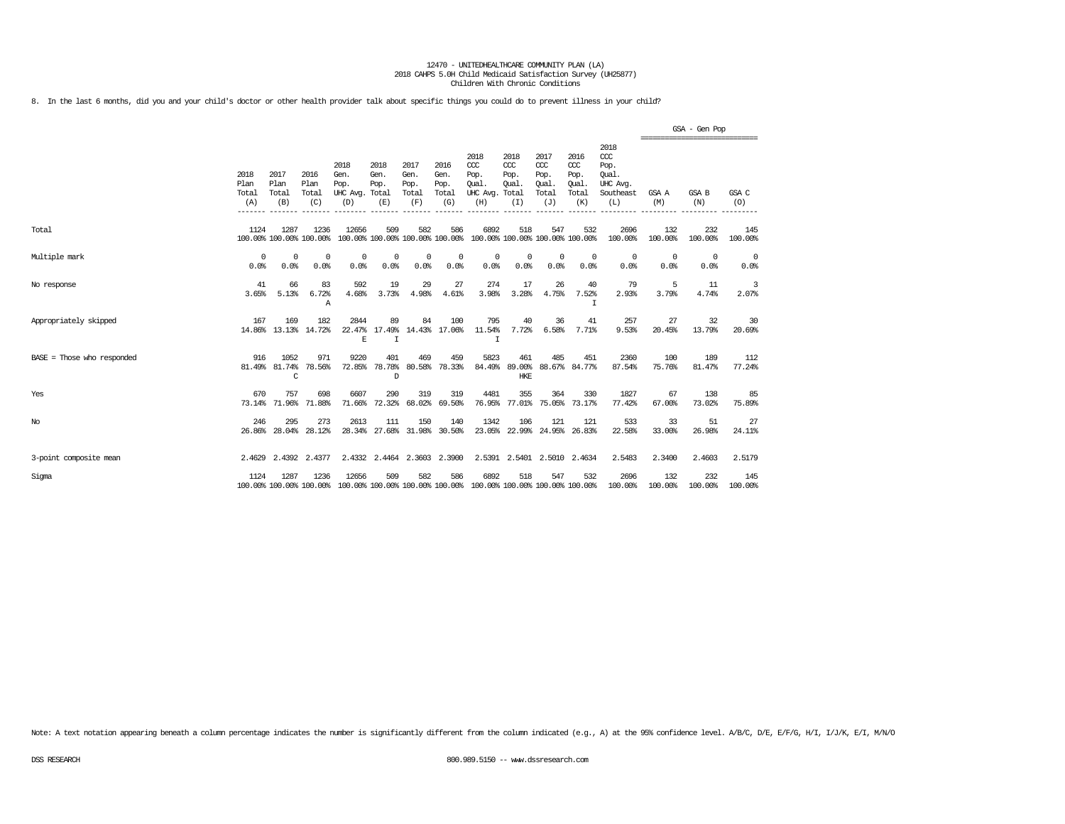8. In the last 6 months, did you and your child's doctor or other health provider talk about specific things you could do to prevent illness in your child?

|                              |                              |                                 |                              |                                                                                          |                                    |                                      |                                      |                                                                         |                                               |                                                   |                                              |                                                                   |                                                  | GSA - Gen Pop    |                |
|------------------------------|------------------------------|---------------------------------|------------------------------|------------------------------------------------------------------------------------------|------------------------------------|--------------------------------------|--------------------------------------|-------------------------------------------------------------------------|-----------------------------------------------|---------------------------------------------------|----------------------------------------------|-------------------------------------------------------------------|--------------------------------------------------|------------------|----------------|
|                              | 2018<br>Plan<br>Total<br>(A) | 2017<br>Plan<br>Total<br>(B)    | 2016<br>Plan<br>Total<br>(C) | 2018<br>Gen.<br>Pop.<br>UHC Avg. Total<br>(D)                                            | 2018<br>Gen.<br>Pop.<br>(E)        | 2017<br>Gen.<br>Pop.<br>Total<br>(F) | 2016<br>Gen.<br>Pop.<br>Total<br>(G) | 2018<br>CCC<br>Pop.<br>Oual.<br>UHC Avg.<br>(H)                         | 2018<br>$CC$<br>Pop.<br>Oual.<br>Total<br>(I) | 2017<br>$\alpha$<br>Pop.<br>Oual.<br>Total<br>(J) | 2016<br>ccc<br>Pop.<br>Oual.<br>Total<br>(K) | 2018<br>$\alpha$<br>Pop.<br>Oual.<br>UHC Avg.<br>Southeast<br>(L) | ================================<br>GSA A<br>(M) | GSA B<br>(N)     | GSA C<br>(O)   |
| Total                        | 1124                         | 1287<br>100.00% 100.00% 100.00% | 1236                         | 12656                                                                                    | 509                                | 582                                  | 586                                  | 6892<br>100.00% 100.00% 100.00% 100.00% 100.00% 100.00% 100.00% 100.00% | 518                                           | 547                                               | 532                                          | 2696<br>100.00%                                                   | 132<br>100.00%                                   | 232<br>100.00%   | 145<br>100.00% |
| Multiple mark                | $^{\circ}$<br>0.0%           | $^{\circ}$<br>0.0%              | $^{\circ}$<br>0.0%           | $^{\circ}$<br>0.0%                                                                       | $\Omega$<br>0.0%                   | $\Omega$<br>0.0%                     | 0<br>0.0%                            | 0<br>0.0%                                                               | 0<br>0.0%                                     | $^{\circ}$<br>0.0%                                | $\Omega$<br>0.0%                             | 0<br>0.0%                                                         | $\Omega$<br>0.0%                                 | $\Omega$<br>0.0% | 0<br>0.0%      |
| No response                  | 41<br>3.65%                  | 66<br>5.13%                     | 83<br>6.72%<br>$\mathbb{A}$  | 592<br>4.68%                                                                             | 19<br>3.73%                        | 29<br>4.98%                          | 27<br>4.61%                          | 274<br>3.98%                                                            | 17<br>3.28%                                   | 26<br>4.75%                                       | 40<br>7.52%<br>T                             | 79<br>2.93%                                                       | 5<br>3.79%                                       | 11<br>4.74%      | 3<br>2.07%     |
| Appropriately skipped        | 167                          | 169<br>14.86% 13.13%            | 182<br>14.72%                | 2844<br>E                                                                                | 89<br>22.47% 17.49%<br>I           | 84                                   | 100<br>14.43% 17.06%                 | 795<br>11.54%<br>$\mathbf I$                                            | 40<br>7.72%                                   | 36<br>6.58%                                       | 41<br>7.71%                                  | 257<br>9.53%                                                      | 27<br>20.45%                                     | 32<br>13.79%     | 30<br>20.69%   |
| $BASE = Those who responded$ | 916                          | 1052<br>81.49% 81.74%<br>C      | 971<br>78.56%                | 9220<br>72.85%                                                                           | 401<br>78.78%<br>D                 | 469<br>80.58%                        | 459<br>78.33%                        | 5823<br>84.49%                                                          | 461<br><b>HKE</b>                             | 485<br>89.00% 88.67% 84.77%                       | 451                                          | 2360<br>87.54%                                                    | 100<br>75.76%                                    | 189<br>81.47%    | 112<br>77.24%  |
| Yes                          | 670<br>73.14%                | 757<br>71.96%                   | 698<br>71.88%                | 6607<br>71.66%                                                                           | 290<br>72.32%                      | 319<br>68.02%                        | 319<br>69.50%                        | 4481<br>76.95%                                                          | 355<br>77.01%                                 | 364                                               | 330<br>75.05% 73.17%                         | 1827<br>77.42%                                                    | 67<br>67.00%                                     | 138<br>73.02%    | 85<br>75.89%   |
| No                           | 246<br>26.86%                | 295<br>28.04%                   | 273<br>28.12%                | 2613                                                                                     | 111<br>28.34% 27.68% 31.98% 30.50% | 150                                  | 140                                  | 1342                                                                    | 106<br>23.05% 22.99% 24.95% 26.83%            | 121                                               | 121                                          | 533<br>22.58%                                                     | 33<br>33.00%                                     | 51<br>26.98%     | 27<br>24.11%   |
| 3-point composite mean       |                              | 2.4629 2.4392 2.4377            |                              |                                                                                          | 2.4332 2.4464 2.3603 2.3900        |                                      |                                      |                                                                         | 2.5391 2.5401 2.5010 2.4634                   |                                                   |                                              | 2.5483                                                            | 2.3400                                           | 2.4603           | 2.5179         |
| Sigma                        | 1124                         | 1287                            | 1236                         | 12656<br>100.00% 100.00% 100.00% 100.00% 100.00% 100.00% 100.00% 100.00% 100.00% 100.00% | 509                                | 582                                  | 586                                  | 6892                                                                    | 518                                           | 547                                               | 532                                          | 2696<br>100.00%                                                   | 132<br>100.00%                                   | 232<br>100.00%   | 145<br>100.00% |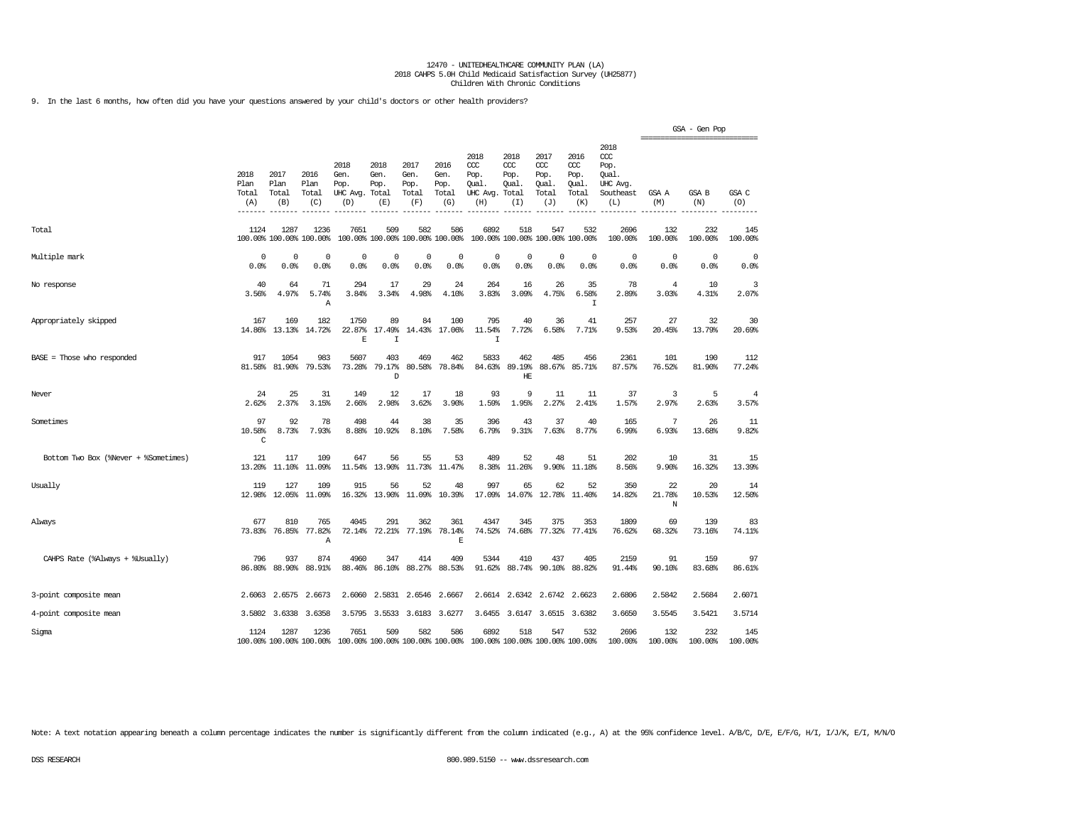9. In the last 6 months, how often did you have your questions answered by your child's doctors or other health providers?

|                                      |                                      |                              |                                 |                                         |                                        |                                      |                                      |                                                 |                                               |                                                   |                                                   |                                                              |                   | GSA - Gen Pop                                          |                         |
|--------------------------------------|--------------------------------------|------------------------------|---------------------------------|-----------------------------------------|----------------------------------------|--------------------------------------|--------------------------------------|-------------------------------------------------|-----------------------------------------------|---------------------------------------------------|---------------------------------------------------|--------------------------------------------------------------|-------------------|--------------------------------------------------------|-------------------------|
|                                      | 2018<br>Plan<br>Total<br>(A)<br>---- | 2017<br>Plan<br>Total<br>(B) | 2016<br>Plan<br>Total<br>(C)    | 2018<br>Gen.<br>Pop.<br>UHC Avg.<br>(D) | 2018<br>Gen.<br>Pop.<br>Total<br>(E)   | 2017<br>Gen.<br>Pop.<br>Total<br>(F) | 2016<br>Gen.<br>Pop.<br>Total<br>(G) | 2018<br>CCC<br>Pop.<br>Oual.<br>UHC Avg.<br>(H) | 2018<br>$CC$<br>Pop.<br>Oual.<br>Total<br>(I) | 2017<br>$\alpha$<br>Pop.<br>Oual.<br>Total<br>(J) | 2016<br>$\alpha$<br>Pop.<br>Oual.<br>Total<br>(K) | 2018<br>ccc<br>Pop.<br>Qual.<br>UHC Avg.<br>Southeast<br>(L) | GSA A<br>(M)      | -------------------------------<br><b>GSA B</b><br>(N) | GSA C<br>(O)            |
| Total                                | 1124                                 | 1287                         | 1236<br>100.00% 100.00% 100.00% | 7651                                    | 509<br>100.00% 100.00% 100.00% 100.00% | 582                                  | 586                                  | 6892                                            | 518                                           | 547<br>100.00% 100.00% 100.00% 100.00%            | 532                                               | 2696<br>100.00%                                              | 132<br>100.00%    | 232<br>100.00%                                         | 145<br>100.00%          |
| Multiple mark                        | $\Omega$<br>0.0%                     | 0<br>0.0%                    | $^{\circ}$<br>0.0%              | $\Omega$<br>0.0%                        | $\Omega$<br>0.0%                       | 0<br>0.0%                            | 0<br>0.0%                            | 0<br>0.0%                                       | $\Omega$<br>0.0%                              | $\Omega$<br>0.0%                                  | $\Omega$<br>0.0%                                  | $\circ$<br>0.0%                                              | 0<br>0.0%         | $^{\circ}$<br>0.0%                                     | 0<br>0.0%               |
| No response                          | 40<br>3.56%                          | 64<br>4.97%                  | 71<br>5.74%<br>Α                | 294<br>3.84%                            | 17<br>3.34%                            | 29<br>4.98%                          | 24<br>4.10%                          | 264<br>3.83%                                    | 16<br>3.09%                                   | 26<br>4.75%                                       | 35<br>6.58%<br>I                                  | 78<br>2.89%                                                  | 4<br>3.03%        | 10<br>4.31%                                            | 3<br>2.07%              |
| Appropriately skipped                | 167<br>14.86%                        | 169<br>13.13%                | 182<br>14.72%                   | 1750<br>22.87%<br>E                     | 89<br>17.49%<br>I                      | 84<br>14.43%                         | 100<br>17.06%                        | 795<br>11.54%<br>$\mathbf I$                    | 40<br>7.72%                                   | 36<br>6.58%                                       | 41<br>7.71%                                       | 257<br>9.53%                                                 | 27<br>20.45%      | 32<br>13.79%                                           | 30<br>20.69%            |
| $BASE = Those who responded$         | 917<br>81.58%                        | 1054<br>81.90%               | 983<br>79.53%                   | 5607<br>73.28%                          | 403<br>79.17%<br>D                     | 469<br>80.58%                        | 462<br>78.84%                        | 5833<br>84.63%                                  | 462<br>89.19%<br>HE                           | 485<br>88.67%                                     | 456<br>85.71%                                     | 2361<br>87.57%                                               | 101<br>76.52%     | 190<br>81.90%                                          | 112<br>77.24%           |
| Never                                | 24<br>2.62%                          | 25<br>2.37%                  | 31<br>3.15%                     | 149<br>2.66%                            | 12<br>2.98%                            | 17<br>3.62%                          | 18<br>3.90%                          | 93<br>1.59%                                     | 9<br>1.95%                                    | 11<br>2.27%                                       | 11<br>2.41%                                       | 37<br>1.57%                                                  | 3<br>2.97%        | 5<br>2.63%                                             | $\overline{4}$<br>3.57% |
| Sometimes                            | 97<br>10.58%<br>C                    | 92<br>8.73%                  | 78<br>7.93%                     | 498<br>8.88%                            | 44<br>10.92%                           | 38<br>8.10%                          | 35<br>7.58%                          | 396<br>6.79%                                    | 43<br>9.31%                                   | 37<br>7.63%                                       | 40<br>8.77%                                       | 165<br>6.99%                                                 | 7<br>6.93%        | 26<br>13.68%                                           | 11<br>9.82%             |
| Bottom Two Box (%Never + %Sometimes) | 121<br>13.20%                        | 117<br>11.10%                | 109<br>11.09%                   | 647<br>11.54%                           | 56<br>13.90%                           | 55<br>11.73%                         | 53<br>11.47%                         | 489<br>8.38%                                    | 52<br>11.26%                                  | 48<br>9.90%                                       | 51<br>11.18%                                      | 202<br>8.56%                                                 | 10<br>9.90%       | 31<br>16.32%                                           | 15<br>13.39%            |
| Usually                              | 119<br>12.98%                        | 127<br>12.05%                | 109<br>11.09%                   | 915<br>16.32%                           | 56<br>13.90%                           | 52<br>11.09%                         | 48<br>10.39%                         | 997<br>17.09%                                   | 65<br>14.07%                                  | 62<br>12.78%                                      | 52<br>11.40%                                      | 350<br>14.82%                                                | 22<br>21.78%<br>N | 20<br>10.53%                                           | 14<br>12.50%            |
| Always                               | 677<br>73.83%                        | 810<br>76.85%                | 765<br>77.82%<br>Α              | 4045<br>72.14%                          | 291<br>72.21%                          | 362<br>77.19%                        | 361<br>78.14%<br>E                   | 4347<br>74.52%                                  | 345<br>74.68%                                 | 375<br>77.32%                                     | 353<br>77.41%                                     | 1809<br>76.62%                                               | 69<br>68.32%      | 139<br>73.16%                                          | 83<br>74.11%            |
| CAHPS Rate (%Always + %Usually)      | 796<br>86.80%                        | 937<br>88.90%                | 874<br>88.91%                   | 4960<br>88.46%                          | 347<br>86.10%                          | 414<br>88.27%                        | 409<br>88.53%                        | 5344<br>91.62%                                  | 410<br>88.74%                                 | 437<br>90.10%                                     | 405<br>88.82%                                     | 2159<br>91.44%                                               | 91<br>90.10%      | 159<br>83.68%                                          | 97<br>86.61%            |
| 3-point composite mean               |                                      | 2.6063 2.6575                | 2.6673                          | 2.6060                                  | 2.5831                                 | 2.6546                               | 2.6667                               |                                                 |                                               | 2.6614 2.6342 2.6742                              | 2.6623                                            | 2.6806                                                       | 2.5842            | 2.5684                                                 | 2.6071                  |
| 4-point composite mean               |                                      | 3.5802 3.6338                | 3.6358                          | 3.5795                                  | 3.5533                                 | 3.6183                               | 3.6277                               | 3.6455                                          | 3.6147                                        | 3.6515                                            | 3.6382                                            | 3.6650                                                       | 3.5545            | 3.5421                                                 | 3.5714                  |
| Sigma                                | 1124                                 | 1287                         | 1236<br>100.00% 100.00% 100.00% | 7651<br>100.00% 100.00% 100.00% 100.00% | 509                                    | 582                                  | 586                                  | 6892<br>100.00% 100.00% 100.00% 100.00%         | 518                                           | 547                                               | 532                                               | 2696<br>100.00%                                              | 132<br>100.00%    | 232<br>100.00%                                         | 145<br>100.00%          |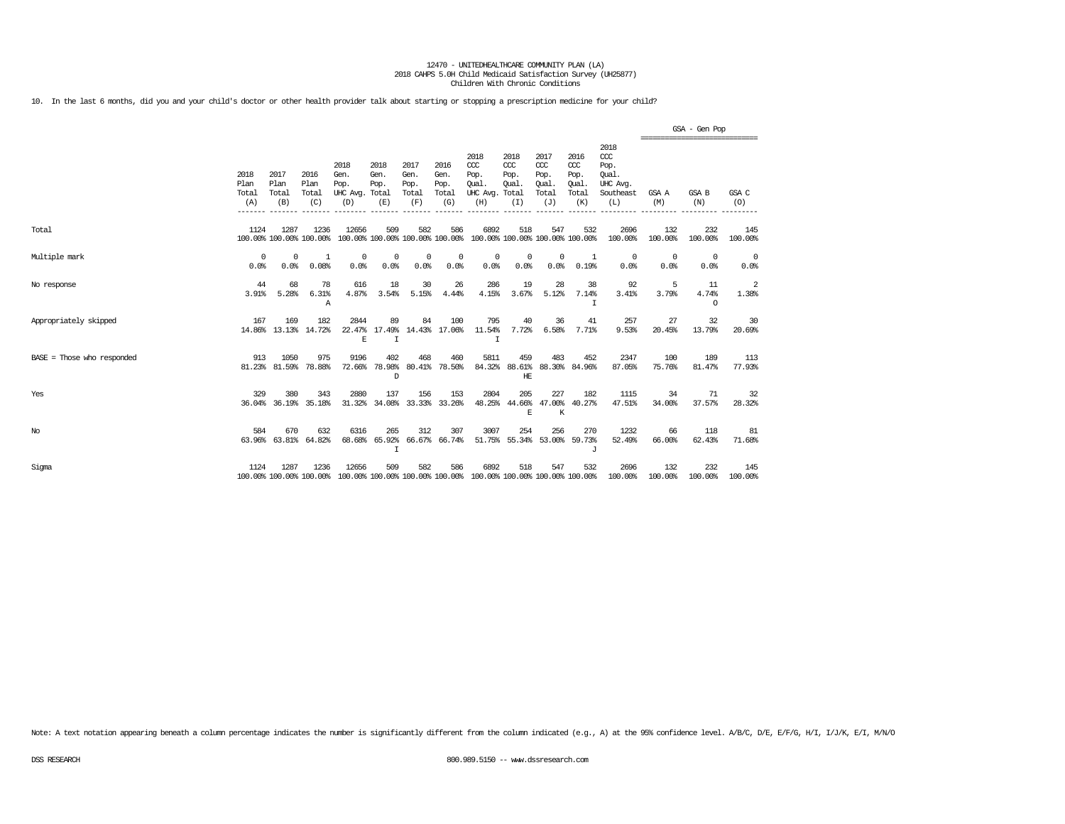10. In the last 6 months, did you and your child's doctor or other health provider talk about starting or stopping a prescription medicine for your child?

|                            |                              |                              |                                 |                                               |                               |                                      |                                      |                                                                         |                                     |                                                   |                                              |                                                              |                                                 | GSA - Gen Pop          |                    |
|----------------------------|------------------------------|------------------------------|---------------------------------|-----------------------------------------------|-------------------------------|--------------------------------------|--------------------------------------|-------------------------------------------------------------------------|-------------------------------------|---------------------------------------------------|----------------------------------------------|--------------------------------------------------------------|-------------------------------------------------|------------------------|--------------------|
|                            | 2018<br>Plan<br>Total<br>(A) | 2017<br>Plan<br>Total<br>(B) | 2016<br>Plan<br>Total<br>(C)    | 2018<br>Gen.<br>Pop.<br>UHC Avg. Total<br>(D) | 2018<br>Gen.<br>Pop.<br>(E)   | 2017<br>Gen.<br>Pop.<br>Total<br>(F) | 2016<br>Gen.<br>Pop.<br>Total<br>(G) | 2018<br>$CC$<br>Pop.<br>Oual.<br>UHC Avg. Total<br>(H)                  | 2018<br>CCC<br>Pop.<br>Oual.<br>(I) | 2017<br>$\alpha$<br>Pop.<br>Oual.<br>Total<br>(J) | 2016<br>ccc<br>Pop.<br>Oual.<br>Total<br>(K) | 2018<br>ccc<br>Pop.<br>Oual.<br>UHC Avg.<br>Southeast<br>(L) | ===============================<br>GSA A<br>(M) | GSA B<br>(N)           | GSA C<br>(O)       |
| Total                      | 1124                         | 1287                         | 1236<br>100.00% 100.00% 100.00% | 12656                                         | 509                           | 582                                  | 586                                  | 6892<br>100.00% 100.00% 100.00% 100.00% 100.00% 100.00% 100.00% 100.00% | 518                                 | 547                                               | 532                                          | 2696<br>100.00%                                              | 132<br>100.00%                                  | 232<br>100.00%         | 145<br>100.00%     |
| Multiple mark              | $^{\circ}$<br>0.0%           | 0<br>0.0%                    | -1<br>0.08%                     | $^{\circ}$<br>0.0%                            | 0<br>0.0%                     | $^{\circ}$<br>0.0%                   | 0<br>0.0%                            | $^{\circ}$<br>0.0%                                                      | $^{\circ}$<br>0.0%                  | $\mathbf{0}$<br>0.0%                              | 1<br>0.19%                                   | $^{\circ}$<br>0.0%                                           | $\Omega$<br>0.0%                                | 0<br>0.0%              | $^{\circ}$<br>0.0% |
| No response                | 44<br>3.91%                  | 68<br>5.28%                  | 78<br>6.31%<br>Α                | 616<br>4.87%                                  | 18<br>3.54%                   | 30<br>5.15%                          | 26<br>4.44%                          | 286<br>4.15%                                                            | 19<br>3.67%                         | 28<br>5.12%                                       | 38<br>7.14%<br>I                             | 92<br>3.41%                                                  | 5<br>3.79%                                      | 11<br>4.74%<br>$\circ$ | 2<br>1.38%         |
| Appropriately skipped      | 167                          | 169                          | 182<br>14.86% 13.13% 14.72%     | 2844<br>E                                     | 89<br>22.47% 17.49%<br>I      | 84                                   | 100<br>14.43% 17.06%                 | 795<br>11.54%<br>I                                                      | 40<br>7.72%                         | 36<br>6.58%                                       | 41<br>7.71%                                  | 257<br>9.53%                                                 | 27<br>20.45%                                    | 32<br>13.79%           | 30<br>20.69%       |
| BASE = Those who responded | 913                          | 1050<br>81.23% 81.59%        | 975<br>78.88%                   | 9196<br>72.66%                                | 402<br>78.98%<br>$\mathbb{D}$ | 468                                  | 460<br>80.41% 78.50%                 | 5811                                                                    | 459<br>HF.                          | 483                                               | 452<br>84.32% 88.61% 88.30% 84.96%           | 2347<br>87.05%                                               | 100<br>75.76%                                   | 189<br>81.47%          | 113<br>77.93%      |
| Yes                        | 329                          | 380<br>36.04% 36.19%         | 343<br>35.18%                   | 2880<br>31.32%                                | 137<br>34.08%                 | 156                                  | 153<br>33.33% 33.26%                 | 2804                                                                    | 205<br>E                            | 227<br>48.25% 44.66% 47.00%<br>K                  | 182<br>40.27%                                | 1115<br>47.51%                                               | 34<br>34.00%                                    | 71<br>37.57%           | 32<br>28.32%       |
| No                         | 584                          | 670<br>63.96% 63.81%         | 632<br>64.82%                   | 6316<br>68.68%                                | 265<br>65.92%<br>I            | 312                                  | 307<br>66.67% 66.74%                 | 3007                                                                    | 254                                 | 256<br>51.75% 55.34% 53.00%                       | 270<br>59.73%<br>J                           | 1232<br>52.49%                                               | 66<br>66.00%                                    | 118<br>62.43%          | 81<br>71.68%       |
| Sigma                      | 1124                         | 1287                         | 1236<br>100.00% 100.00% 100.00% | 12656                                         | 509                           | 582                                  | 586                                  | 6892<br>100.00% 100.00% 100.00% 100.00% 100.00% 100.00% 100.00% 100.00% | 518                                 | 547                                               | 532                                          | 2696<br>100.00%                                              | 132<br>100.00%                                  | 232<br>100.00%         | 145<br>100.00%     |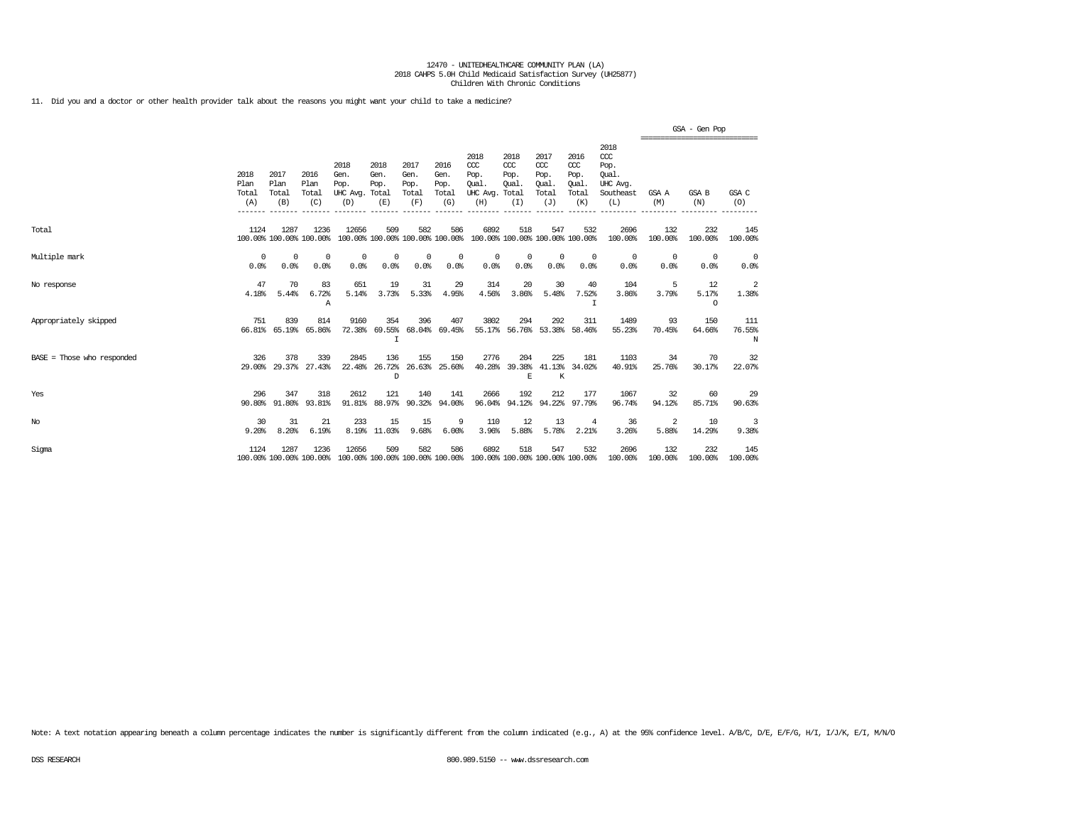11. Did you and a doctor or other health provider talk about the reasons you might want your child to take a medicine?

|                              |                              |                              |                                 |                                               |                                     |                                      |                                      |                                                                         |                                     |                                                   |                                              |                                                                 |                    | GSA - Gen Pop                                   |                    |
|------------------------------|------------------------------|------------------------------|---------------------------------|-----------------------------------------------|-------------------------------------|--------------------------------------|--------------------------------------|-------------------------------------------------------------------------|-------------------------------------|---------------------------------------------------|----------------------------------------------|-----------------------------------------------------------------|--------------------|-------------------------------------------------|--------------------|
|                              | 2018<br>Plan<br>Total<br>(A) | 2017<br>Plan<br>Total<br>(B) | 2016<br>Plan<br>Total<br>(C)    | 2018<br>Gen.<br>Pop.<br>UHC Avg. Total<br>(D) | 2018<br>Gen.<br>Pop.<br>(E)         | 2017<br>Gen.<br>Pop.<br>Total<br>(F) | 2016<br>Gen.<br>Pop.<br>Total<br>(G) | 2018<br>CCC<br>Pop.<br><b>Oual</b><br>UHC Avg. Total<br>(H)             | 2018<br>ccc<br>Pop.<br>Qual.<br>(I) | 2017<br>$\alpha$<br>Pop.<br>Qual.<br>Total<br>(J) | 2016<br>ccc<br>Pop.<br>Qual.<br>Total<br>(K) | 2018<br>$\csc$<br>Pop.<br>Oual.<br>UHC Avg.<br>Southeast<br>(L) | GSA A<br>(M)       | -------------------------------<br>GSA B<br>(N) | GSA C<br>(0)       |
| Total                        | 1124                         | 1287                         | 1236<br>100.00% 100.00% 100.00% | 12656                                         | 509                                 | 582                                  | 586                                  | 6892<br>100.00% 100.00% 100.00% 100.00% 100.00% 100.00% 100.00% 100.00% | 518                                 | 547                                               | 532                                          | 2696<br>100.00%                                                 | 132<br>100.00%     | 232<br>100.00%                                  | 145<br>100.00%     |
| Multiple mark                | $\Omega$<br>0.0%             | $^{\circ}$<br>0.0%           | $\Omega$<br>0.0%                | $\Omega$<br>0.0%                              | 0<br>0.0%                           | $^{\circ}$<br>0.0%                   | 0<br>0.0%                            | $^{\circ}$<br>0.0%                                                      | 0<br>0.0%                           | $\Omega$<br>0.0%                                  | $^{\circ}$<br>0.0%                           | $^{\circ}$<br>0.0%                                              | $^{\circ}$<br>0.0% | $\Omega$<br>0.0%                                | $^{\circ}$<br>0.0% |
| No response                  | 47<br>4.18%                  | 70<br>5.44%                  | 83<br>6.72%<br>Α                | 651<br>5.14%                                  | 19<br>3.73%                         | 31<br>5.33%                          | 29<br>4.95%                          | 314<br>4.56%                                                            | 20<br>3.86%                         | 30<br>5.48%                                       | 40<br>7.52%<br>T                             | 104<br>3.86%                                                    | -5<br>3.79%        | 12<br>5.17%<br>$\Omega$                         | -2<br>1.38%        |
| Appropriately skipped        | 751<br>66.81%                | 839<br>65.19%                | 814<br>65.86%                   | 9160                                          | 354<br>72.38% 69.55%<br>$\mathbf I$ | 396                                  | 407<br>68.04% 69.45%                 | 3802                                                                    | 294                                 | 292                                               | 311<br>55.17% 56.76% 53.38% 58.46%           | 1489<br>55.23%                                                  | 93<br>70.45%       | 150<br>64.66%                                   | 111<br>76.55%<br>N |
| $BASE = Those who responded$ | 326<br>29,00%                | 378<br>29.37%                | 339<br>27.43%                   | 2845<br>22.48%                                | 136<br>26.72%<br>D                  | 155                                  | 150<br>26.63% 25.60%                 | 2776<br>40.28%                                                          | 204<br>E                            | 225<br>$\,$ K                                     | 181<br>39.38% 41.13% 34.02%                  | 1103<br>40.91%                                                  | 34<br>25.76%       | 70<br>30.17%                                    | 32<br>22.07%       |
| Yes                          | 296<br>90.80%                | 347<br>91.80%                | 318<br>93.81%                   | 2612<br>91.81%                                | 121<br>88.97%                       | 140<br>90.32%                        | 141<br>94.00%                        | 2666<br>96.04%                                                          | 192                                 | 212<br>94.12% 94.22%                              | 177<br>97.79%                                | 1067<br>96.74%                                                  | 32<br>94.12%       | 60<br>85.71%                                    | 29<br>90.63%       |
| $_{\mathrm{No}}$             | 30<br>9.20%                  | 31<br>8.20%                  | 21<br>6.19%                     | 233                                           | 15<br>8.19% 11.03%                  | 15<br>9.68%                          | 9<br>6.00%                           | 110<br>3.96%                                                            | 12<br>5.88%                         | 13<br>5.78%                                       | 4<br>2.21%                                   | 36<br>3.26%                                                     | 2<br>5.88%         | 10<br>14.29%                                    | 3<br>9.38%         |
| Sigma                        | 1124                         | 1287                         | 1236<br>100.00% 100.00% 100.00% | 12656                                         | 509                                 | 582                                  | 586                                  | 6892<br>100.00% 100.00% 100.00% 100.00% 100.00% 100.00% 100.00% 100.00% | 518                                 | 547                                               | 532                                          | 2696<br>100.00%                                                 | 132<br>100.00%     | 232<br>100.00%                                  | 145<br>100.00%     |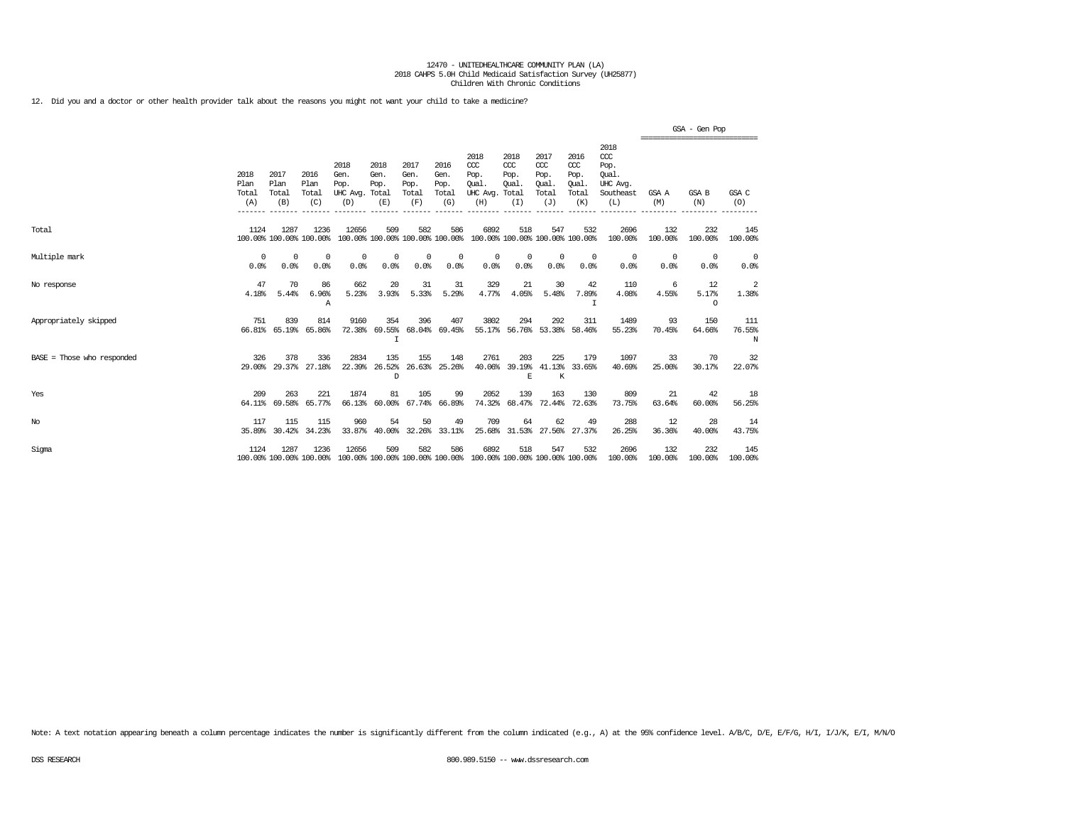12. Did you and a doctor or other health provider talk about the reasons you might not want your child to take a medicine?

|                            |                              |                              |                                 |                                                                                                  |                             |                                      |                                      |                                                                         |                                       |                                                   |                                                   |                                                                 |                    | GSA - Gen Pop<br>------------------------------- |                    |
|----------------------------|------------------------------|------------------------------|---------------------------------|--------------------------------------------------------------------------------------------------|-----------------------------|--------------------------------------|--------------------------------------|-------------------------------------------------------------------------|---------------------------------------|---------------------------------------------------|---------------------------------------------------|-----------------------------------------------------------------|--------------------|--------------------------------------------------|--------------------|
|                            | 2018<br>Plan<br>Total<br>(A) | 2017<br>Plan<br>Total<br>(B) | 2016<br>Plan<br>Total<br>(C)    | 2018<br>Gen.<br>Pop.<br>UHC Avg. Total<br>(D)                                                    | 2018<br>Gen.<br>Pop.<br>(E) | 2017<br>Gen.<br>Pop.<br>Total<br>(F) | 2016<br>Gen.<br>Pop.<br>Total<br>(G) | 2018<br>$CC$<br>Pop.<br>Oual.<br>UHC Avg. Total<br>(H)                  | 2018<br>$ccc$<br>Pop.<br>Qual.<br>(T) | 2017<br>$\alpha$<br>Pop.<br>Qual.<br>Total<br>(J) | 2016<br>$\alpha$<br>Pop.<br>Qual.<br>Total<br>(K) | 2018<br>$\csc$<br>Pop.<br>Oual.<br>UHC Avg.<br>Southeast<br>(L) | GSA A<br>(M)       | GSA B<br>(N)                                     | GSA C<br>(O)       |
| Total                      | 1124                         | 1287                         | 1236<br>100.00% 100.00% 100.00% | 12656                                                                                            | 509                         | 582                                  | 586                                  | 6892<br>100.00% 100.00% 100.00% 100.00% 100.00% 100.00% 100.00% 100.00% | 518                                   | 547                                               | 532                                               | 2696<br>100.00%                                                 | 132<br>100.00%     | 232<br>100.00%                                   | 145<br>100.00%     |
| Multiple mark              | $\Omega$<br>0.0%             | $^{\circ}$<br>0.0%           | $\Omega$<br>0.0%                | $\Omega$<br>0.0%                                                                                 | $^{\circ}$<br>0.0%          | $^{\circ}$<br>0.0%                   | 0<br>0.0%                            | $^{\circ}$<br>0.0%                                                      | $^{\circ}$<br>0.0%                    | $^{\circ}$<br>0.0%                                | $^{\circ}$<br>0.0%                                | 0<br>0.0%                                                       | $^{\circ}$<br>0.0% | $\Omega$<br>0.0%                                 | $^{\circ}$<br>0.0% |
| No response                | 47<br>4.18%                  | 70<br>5.44%                  | 86<br>6.96%<br>Α                | 662<br>5.23%                                                                                     | 20<br>3.93%                 | 31<br>5.33%                          | 31<br>5.29%                          | 329<br>4.77%                                                            | 21<br>4.05%                           | 30<br>5.48%                                       | 42<br>7.89%<br>I                                  | 110<br>4.08%                                                    | 6<br>4.55%         | 12<br>5.17%<br>$\Omega$                          | -2<br>1.38%        |
| Appropriately skipped      | 751<br>66.81%                | 839<br>65.19%                | 814<br>65.86%                   | 9160<br>72.38%                                                                                   | 354<br>$\mathbf I$          | 396                                  | 407<br>69.55% 68.04% 69.45%          | 3802                                                                    | 294                                   | 292<br>55.17% 56.76% 53.38% 58.46%                | 311                                               | 1489<br>55.23%                                                  | 93<br>70.45%       | 150<br>64.66%                                    | 111<br>76.55%<br>N |
| BASE = Those who responded | 326<br>29,00%                | 378<br>29.37%                | 336<br>27.18%                   | 2834                                                                                             | 135<br>22.39% 26.52%<br>D   | 155                                  | 148<br>26.63% 25.26%                 | 2761<br>40.06%                                                          | 203<br>E                              | 225<br>39.19% 41.13% 33.65%<br>К                  | 179                                               | 1097<br>40.69%                                                  | 33<br>25,00%       | 70<br>30.17%                                     | 32<br>22.07%       |
| Yes                        | 209<br>64.11%                | 263<br>69.58%                | 221<br>65.77%                   | 1874<br>66.13%                                                                                   | 81<br>$60.00$ <sup>\$</sup> | 105<br>67.74%                        | 99<br>66.89%                         | 2052<br>74.32%                                                          | 139                                   | 163<br>68.47% 72.44% 72.63%                       | 130                                               | 809<br>73.75%                                                   | 21<br>63.64%       | 42<br>60.00%                                     | 18<br>56.25%       |
| $_{\mathrm{No}}$           | 117<br>35.89%                | 115<br>30.42%                | 115<br>34.23%                   | 960<br>33.87%                                                                                    | 54<br>40.00%                | 50<br>32.26%                         | 49<br>33.11%                         | 709<br>25.68%                                                           | 64                                    | 62<br>31.53% 27.56%                               | 49<br>27.37%                                      | 288<br>26.25%                                                   | 12<br>36.36%       | 28<br>40.00%                                     | 14<br>43.75%       |
| Sigma                      | 1124                         | 1287                         | 1236                            | 12656<br>100.00% 100.00% 100.00% 100.00% 100.00% 100.00% 100.00% 100.00% 100.00% 100.00% 100.00% | 509                         | 582                                  | 586                                  | 6892                                                                    | 518                                   | 547                                               | 532                                               | 2696<br>100.00%                                                 | 132<br>100.00%     | 232<br>100.00%                                   | 145<br>100.00%     |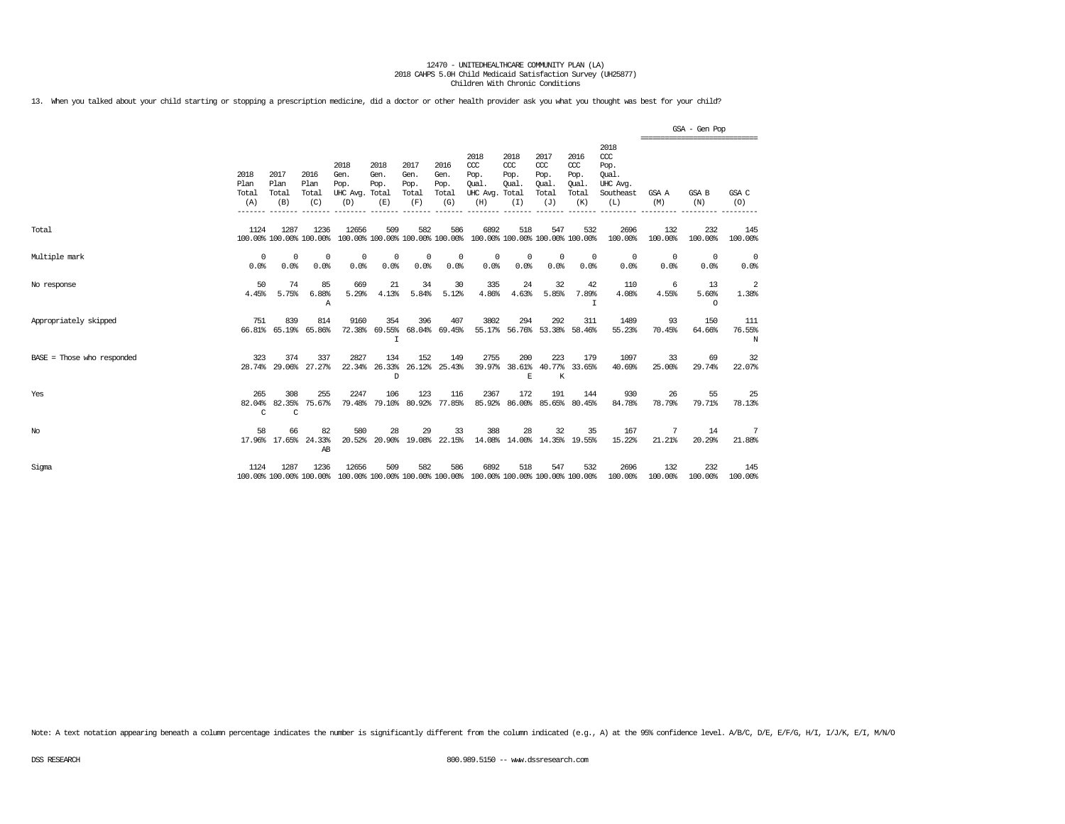13. When you talked about your child starting or stopping a prescription medicine, did a doctor or other health provider ask you what you thought was best for your child?

|                            |                              |                                |                                 |                                                                                          |                                         |                                      |                                      |                                                                         |                                      |                                                   |                                              |                                                                 |                                                  | GSA - Gen Pop          |                    |
|----------------------------|------------------------------|--------------------------------|---------------------------------|------------------------------------------------------------------------------------------|-----------------------------------------|--------------------------------------|--------------------------------------|-------------------------------------------------------------------------|--------------------------------------|---------------------------------------------------|----------------------------------------------|-----------------------------------------------------------------|--------------------------------------------------|------------------------|--------------------|
|                            | 2018<br>Plan<br>Total<br>(A) | 2017<br>Plan<br>Total<br>(B)   | 2016<br>Plan<br>Total<br>(C)    | 2018<br>Gen.<br>Pop.<br>UHC Avg. Total<br>(D)                                            | 2018<br>Gen.<br>Pop.<br>(E)             | 2017<br>Gen.<br>Pop.<br>Total<br>(F) | 2016<br>Gen.<br>Pop.<br>Total<br>(G) | 2018<br>CCC<br>Pop.<br>Oual.<br>UHC Avg. Total<br>(H)                   | 2018<br>$CC$<br>Pop.<br>Oual.<br>(I) | 2017<br>$\alpha$<br>Pop.<br>Oual.<br>Total<br>(J) | 2016<br>ccc<br>Pop.<br>Oual.<br>Total<br>(K) | 2018<br>$\csc$<br>Pop.<br>Oual.<br>UHC Avg.<br>Southeast<br>(L) | ================================<br>GSA A<br>(M) | GSA B<br>(N)           | GSA C<br>(0)       |
| Total                      | 1124                         | 1287                           | 1236<br>100.00% 100.00% 100.00% | 12656                                                                                    | 509                                     | 582                                  | 586                                  | 6892<br>100.00% 100.00% 100.00% 100.00% 100.00% 100.00% 100.00% 100.00% | 518                                  | 547                                               | 532                                          | 2696<br>100.00%                                                 | 132<br>100.00%                                   | 232<br>100.00%         | 145<br>100.00%     |
| Multiple mark              | $\Omega$<br>0.0%             | $\Omega$<br>0.0%               | $\Omega$<br>0.0%                | 0<br>0.0%                                                                                | 0<br>0.0%                               | 0<br>0.0%                            | 0<br>0.0%                            | 0<br>0.0%                                                               | 0<br>0.0%                            | 0<br>0.0%                                         | $^{\circ}$<br>0.0%                           | 0<br>0.0%                                                       | 0<br>0.0%                                        | $^{\circ}$<br>0.0%     | 0<br>0.0%          |
| No response                | 50<br>4.45%                  | 74<br>5.75%                    | 85<br>6.88%<br>Α                | 669<br>5.29%                                                                             | 21<br>4.13%                             | 34<br>5.84%                          | 30<br>5.12%                          | 335<br>4.86%                                                            | 24<br>4.63%                          | 32<br>5.85%                                       | 42<br>7.89%<br>I                             | 110<br>4.08%                                                    | -6<br>4.55%                                      | 13<br>5.60%<br>$\circ$ | 2<br>1.38%         |
| Appropriately skipped      | 751                          | 839<br>66.81% 65.19%           | 814<br>65.86%                   | 9160                                                                                     | 354<br>72.38% 69.55% 68.04% 69.45%<br>I | 396                                  | 407                                  | 3802                                                                    | 294                                  | 292                                               | 311<br>55.17% 56.76% 53.38% 58.46%           | 1489<br>55.23%                                                  | 93<br>70.45%                                     | 150<br>64.66%          | 111<br>76.55%<br>N |
| BASE = Those who responded | 323                          | 374                            | 337<br>28.74% 29.06% 27.27%     | 2827<br>22.34%                                                                           | 134<br>26.33%<br>D                      | 152                                  | 149<br>26.12% 25.43%                 | 2755<br>39.97%                                                          | 200<br>E                             | 223<br>K                                          | 179<br>38.61% 40.77% 33.65%                  | 1097<br>40.69%                                                  | 33<br>25,00%                                     | 69<br>29.74%           | 32<br>22.07%       |
| Yes                        | 265<br>82.04%<br>C           | 308<br>82.35%<br>$\mathcal{C}$ | 255<br>75.67%                   | 2247<br>79.48%                                                                           | 106<br>79.10%                           | 123                                  | 116<br>80.92% 77.85%                 | 2367<br>85.92%                                                          | 172<br>86.00%                        | 191                                               | 144<br>85.65% 80.45%                         | 930<br>84.78%                                                   | 26<br>78.79%                                     | 55<br>79.71%           | 25<br>78.13%       |
| No                         | 58                           | 66<br>17.96% 17.65%            | 82<br>24.33%<br>AB              | 580<br>20.52%                                                                            | 28                                      | 29                                   | 33<br>20.90% 19.08% 22.15%           | 388                                                                     | 28                                   | 32                                                | 35<br>14.08% 14.00% 14.35% 19.55%            | 167<br>15.22%                                                   | 7<br>21.21%                                      | 14<br>20.29%           | -7<br>21.88%       |
| Sigma                      | 1124                         | 1287                           | 1236                            | 12656<br>100.00% 100.00% 100.00% 100.00% 100.00% 100.00% 100.00% 100.00% 100.00% 100.00% | 509                                     | 582                                  | 586                                  | 6892                                                                    | 518                                  | 547                                               | 532                                          | 2696<br>100.00%                                                 | 132<br>100.00%                                   | 232<br>100.00%         | 145<br>100.00%     |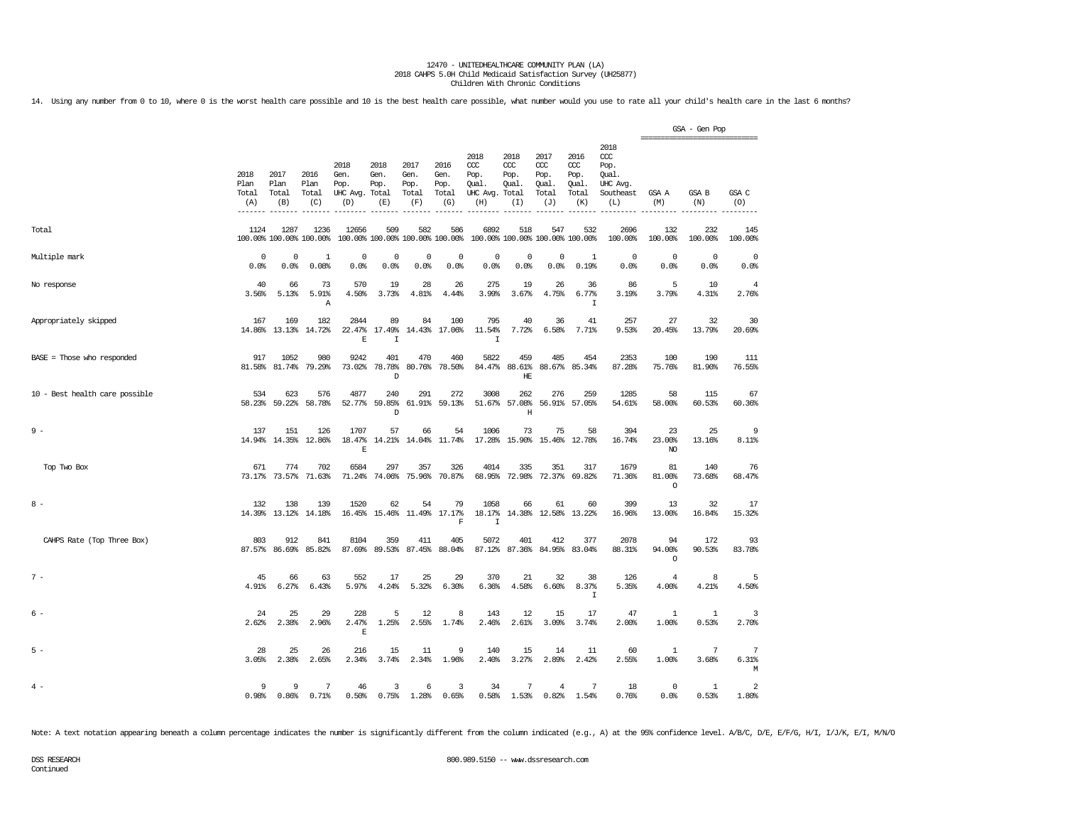14. Using any number from 0 to 10, where 0 is the worst health care possible and 10 is the best health care possible, what number would you use to rate all your child's health care in the last 6 months?

|                                |                              |                                 |                              |                                               |                             |                                        |                                      |                                                       |                                     |                                              |                                              |                                                              | =============================== | GSA - Gen Pop         |                         |
|--------------------------------|------------------------------|---------------------------------|------------------------------|-----------------------------------------------|-----------------------------|----------------------------------------|--------------------------------------|-------------------------------------------------------|-------------------------------------|----------------------------------------------|----------------------------------------------|--------------------------------------------------------------|---------------------------------|-----------------------|-------------------------|
|                                | 2018<br>Plan<br>Total<br>(A) | 2017<br>Plan<br>Total<br>(B)    | 2016<br>Plan<br>Total<br>(C) | 2018<br>Gen.<br>Pop.<br>UHC Avg. Total<br>(D) | 2018<br>Gen.<br>Pop.<br>(E) | 2017<br>Gen.<br>Pop.<br>Total<br>(F)   | 2016<br>Gen.<br>Pop.<br>Total<br>(G) | 2018<br>ccc<br>Pop.<br>Qual.<br>UHC Avg. Total<br>(H) | 2018<br>ccc<br>Pop.<br>Qual.<br>(I) | 2017<br>ccc<br>Pop.<br>Qual.<br>Total<br>(J) | 2016<br>ccc<br>Pop.<br>Qual.<br>Total<br>(K) | 2018<br>ccc<br>Pop.<br>Oual.<br>UHC Avg.<br>Southeast<br>(L) | GSA A<br>(M)                    | GSA B<br>(N)          | GSA C<br>(O)            |
| Total                          | 1124                         | 1287<br>100.00% 100.00% 100.00% | 1236                         | 12656                                         | 509                         | 582<br>100.00% 100.00% 100.00% 100.00% | 586                                  | 6892<br>100.00% 100.00% 100.00% 100.00%               | 518                                 | 547                                          | 532                                          | 2696<br>100.00%                                              | 132<br>100.00%                  | 232<br>100.00%        | 145<br>100.00%          |
| Multiple mark                  | 0<br>0.0%                    | 0<br>0.0%                       | 1<br>0.08%                   | 0<br>0.0%                                     | 0<br>0.0%                   | $\mathbf 0$<br>0.0%                    | $\mathbf 0$<br>0.0%                  | $\mathsf 0$<br>0.0%                                   | $\mathbb O$<br>0.0%                 | 0<br>0.0%                                    | 1<br>0.19%                                   | $\mathbf{0}$<br>0.0%                                         | $^{\circ}$<br>0.0%              | $\mathbf 0$<br>0.0%   | $\mathbf 0$<br>0.0%     |
| No response                    | 40<br>3.56%                  | 66<br>5.13%                     | 73<br>5.91%<br>Α             | 570<br>4.50%                                  | 19<br>3.73%                 | 28<br>4.81%                            | 26<br>4.44%                          | 275<br>3.99%                                          | 19<br>3.67%                         | 26<br>4.75%                                  | 36<br>6.77%<br>$\mathbbm{I}$                 | 86<br>3.19%                                                  | 5<br>3.79%                      | 10<br>4.31%           | $\overline{4}$<br>2.76% |
| Appropriately skipped          | 167<br>14.86%                | 169                             | 182<br>13.13% 14.72%         | 2844<br>22.47%<br>E                           | 89<br>17.49%<br>I           | 84                                     | 100<br>14.43% 17.06%                 | 795<br>11.54%<br>I                                    | 40<br>7.72%                         | 36<br>6.58%                                  | 41<br>7.71%                                  | 257<br>9.53%                                                 | 27<br>20.45%                    | 32<br>13.79%          | 30<br>20.69%            |
| BASE = Those who responded     | 917<br>81.58%                | 1052<br>81.74%                  | 980<br>79.29%                | 9242<br>73.02%                                | 401<br>78.78%<br>D          | 470<br>80.76%                          | 460<br>78.50%                        | 5822<br>84.47%                                        | 459<br>88.61%<br>$\rm{HE}$          | 485<br>88.67%                                | 454<br>85.34%                                | 2353<br>87.28%                                               | 100<br>75.76%                   | 190<br>81.90%         | 111<br>76.55%           |
| 10 - Best health care possible | 534<br>58.23%                | 623<br>59.22%                   | 576<br>58.78%                | 4877<br>52.77%                                | 240<br>59.85%<br>D          | 291<br>61.91%                          | 272<br>59.13%                        | 3008                                                  | 262<br>51.67% 57.08%<br>$\rm H$     | 276                                          | 259<br>56.91% 57.05%                         | 1285<br>54.61%                                               | 58<br>58.00%                    | 115<br>60.53%         | 67<br>60.36%            |
| $9 -$                          | 137                          | 151<br>14.94% 14.35% 12.86%     | 126                          | 1707<br>18.47%<br>E                           | 57                          | 66<br>14.21% 14.04% 11.74%             | 54                                   | 1006                                                  | 73                                  | 75<br>17.28% 15.90% 15.46% 12.78%            | 58                                           | 394<br>16.74%                                                | 23<br>23.00%<br>NO.             | 25<br>13.16%          | 9<br>8.11%              |
| Top Two Box                    | 671<br>73.17%                | 774<br>73.57%                   | 702<br>71.63%                | 6584<br>71.24%                                | 297<br>74.06%               | 357<br>75.96%                          | 326<br>70.87%                        | 4014<br>68.95%                                        | 335<br>72.98%                       | 351<br>72.37%                                | 317<br>69.82%                                | 1679<br>71.36%                                               | 81<br>81.00%<br>$\circ$         | 140<br>73.68%         | 76<br>68.47%            |
| $8 -$                          | 132                          | 138<br>14.39% 13.12%            | 139<br>14.18%                | 1520<br>16.45%                                | 62<br>15.46%                | 54<br>11.49%                           | 79<br>17.17%<br>F                    | 1058<br>18.17%<br>I                                   | 66<br>14.38%                        | 61                                           | 60<br>12.58% 13.22%                          | 399<br>16.96%                                                | 13<br>13.00%                    | 32<br>16.84%          | 17<br>15.32%            |
| CAHPS Rate (Top Three Box)     | 803<br>87.57%                | 912<br>86.69%                   | 841<br>85.82%                | 8104<br>87.69%                                | 359<br>89.53%               | 411<br>87.45%                          | 405<br>88.04%                        | 5072<br>87.12%                                        | 401<br>87.36%                       | 412                                          | 377<br>84.95% 83.04%                         | 2078<br>88.31%                                               | 94<br>94.00%<br>$\Omega$        | 172<br>90.53%         | 93<br>83.78%            |
| $7 -$                          | 45<br>4.91%                  | 66<br>6.27%                     | 63<br>6.43%                  | 552<br>5.97%                                  | 17<br>4.24%                 | 25<br>5.32%                            | 29<br>6.30%                          | 370<br>6.36%                                          | 21<br>4.58%                         | 32<br>6.60%                                  | 38<br>8.37%<br>$\mathbf I$                   | 126<br>5.35%                                                 | $\overline{4}$<br>4.00%         | 8<br>4.21%            | 5<br>4.50%              |
| 6 -                            | 24<br>2.62%                  | 25<br>2.38%                     | 29<br>2.96%                  | 228<br>2.47%<br>E                             | 5<br>1.25%                  | 12<br>2.55%                            | 8<br>1.74%                           | 143<br>2.46%                                          | 12<br>2.61%                         | 15<br>3.09%                                  | 17<br>3.74%                                  | 47<br>2.00%                                                  | 1<br>1.00%                      | $\mathbf{1}$<br>0.53% | 3<br>2.70%              |
| $5 -$                          | 28<br>3.05%                  | 25<br>2.38%                     | 26<br>2.65%                  | 216<br>2.34%                                  | 15<br>3.74%                 | 11<br>2.34%                            | 9<br>1.96%                           | 140<br>2.40%                                          | 15<br>3.27%                         | 14<br>2.89%                                  | 11<br>2.42%                                  | 60<br>2.55%                                                  | 1<br>1.00%                      | 7<br>3.68%            | 7<br>6.31%<br>М         |
| $4 -$                          | 9<br>0.98%                   | 9<br>0.86%                      | 7<br>0.71%                   | 46<br>0.50%                                   | 3<br>0.75%                  | 6<br>1.28%                             | 3<br>0.65%                           | 34<br>0.58%                                           | 7<br>1.53%                          | 4<br>0.82%                                   | 7<br>1.54%                                   | 18<br>0.76%                                                  | $^{\circ}$<br>0.0%              | 1<br>0.53%            | $\overline{a}$<br>1.80% |

Note: A text notation appearing beneath a column percentage indicates the number is significantly different from the column indicated (e.g., A) at the 95% confidence level. A/B/C, D/E, E/F/G, H/I, I/J/K, E/I, M/N/O

Continued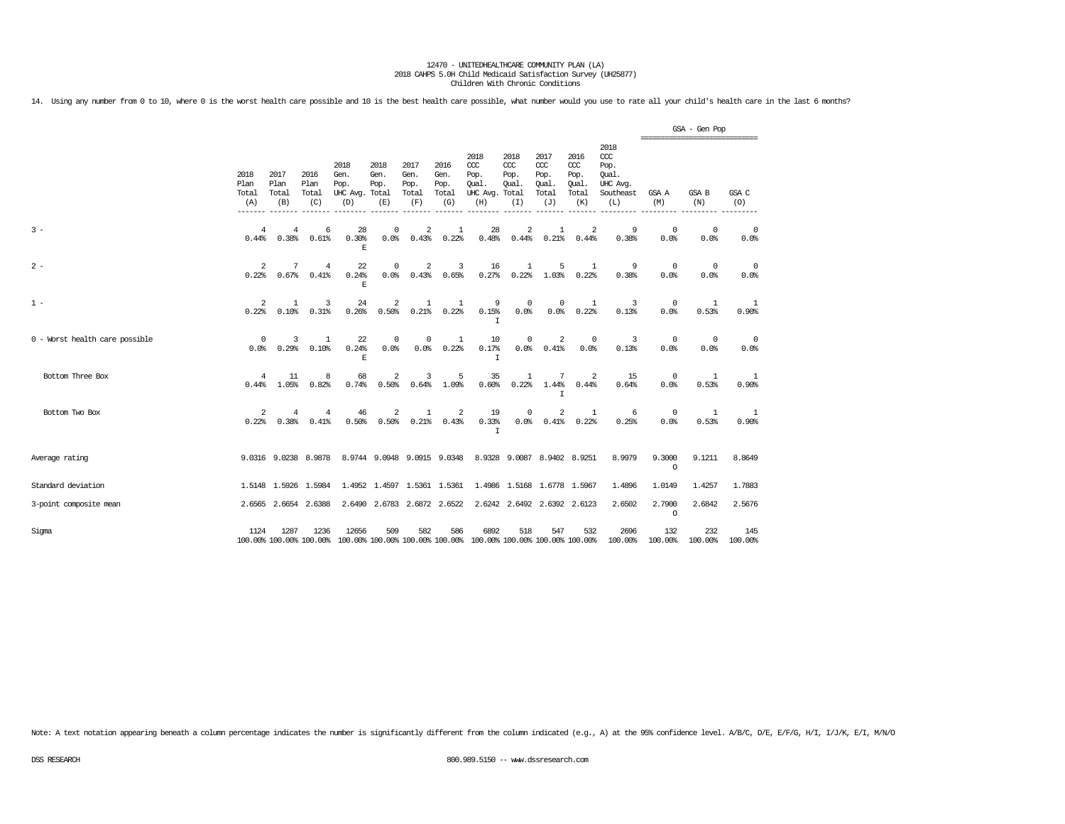14. Using any number from 0 to 10, where 0 is the worst health care possible and 10 is the best health care possible, what number would you use to rate all your child's health care in the last 6 months?

|                                |                              |                              |                                   |                                               |                             |                                      |                                      |                                                                                                 |                                      |                                              |                                              |                                                              |                    | GSA - Gen Pop<br>================================ |                        |
|--------------------------------|------------------------------|------------------------------|-----------------------------------|-----------------------------------------------|-----------------------------|--------------------------------------|--------------------------------------|-------------------------------------------------------------------------------------------------|--------------------------------------|----------------------------------------------|----------------------------------------------|--------------------------------------------------------------|--------------------|---------------------------------------------------|------------------------|
|                                | 2018<br>Plan<br>Total<br>(A) | 2017<br>Plan<br>Total<br>(B) | 2016<br>Plan<br>Total<br>(C)      | 2018<br>Gen.<br>Pop.<br>UHC Avg. Total<br>(D) | 2018<br>Gen.<br>Pop.<br>(E) | 2017<br>Gen.<br>Pop.<br>Total<br>(F) | 2016<br>Gen.<br>Pop.<br>Total<br>(G) | 2018<br>ccc<br>Pop.<br>Oual.<br>UHC Avg. Total<br>(H)                                           | 2018<br>$CC$<br>Pop.<br>Oual.<br>(I) | 2017<br>ccc<br>Pop.<br>Qual.<br>Total<br>(J) | 2016<br>ccc<br>Pop.<br>Qual.<br>Total<br>(K) | 2018<br>ccc<br>Pop.<br>Oual.<br>UHC Avg.<br>Southeast<br>(L) | GSA A<br>(M)       | GSA B<br>(N)                                      | GSA C<br>(O)           |
| $3 -$                          | $\overline{4}$<br>0.44%      | 4<br>0.38                    | 6<br>0.61%                        | 28<br>0.30%<br>E.                             | 0<br>$0.0$ %                | 2<br>0.43%                           | 1<br>0.22%                           | 28<br>0.48%                                                                                     | 2<br>0.44%                           | $\mathbf{1}$<br>0.21%                        | 2<br>0.44%                                   | 9<br>0.38%                                                   | $\Omega$<br>0.0%   | $\Omega$<br>0.0%                                  | $\circ$<br>0.0%        |
| $2 -$                          | 2<br>0.22%                   | 7                            | $\overline{4}$<br>$0.67%$ $0.41%$ | 22<br>0.24%<br>E.                             | 0                           | 2                                    | 3<br>$0.0%$ $0.43%$ $0.65%$          | 16<br>0.27%                                                                                     | <sup>1</sup><br>0.22%                | 5                                            | <sup>1</sup><br>1.03% 0.22%                  | 9<br>0.38%                                                   | $\Omega$<br>0.0%   | $\Omega$<br>0.0%                                  | $\overline{0}$<br>0.0% |
| $1 -$                          | 2<br>0.22%                   | 1<br>0.10%                   | 3<br>0.31%                        | 24<br>0.26%                                   | 2<br>0.50%                  | -1                                   | 1<br>$0.21\$ $0.22\$                 | 9<br>0.15%<br>I                                                                                 | $^{\circ}$<br>$0.0$ %                | $^{\circ}$                                   | 1<br>0.0% 0.22%                              | 3<br>0.13%                                                   | $^{\circ}$<br>0.0% | 1<br>0.53%                                        | -1<br>0.90%            |
| 0 - Worst health care possible | $\circ$<br>0.0%              | 3<br>0.29%                   | 1<br>0.10%                        | 22<br>0.24%<br>$\mathbb E$                    | $^{\circ}$<br>0.0%          | $^{\circ}$<br>0.0%                   | <sup>1</sup><br>0.22%                | 10<br>0.17%<br>T                                                                                | $^{\circ}$                           | 2<br>0.0% 0.41%                              | $\circ$<br>0.0%                              | 3<br>0.13%                                                   | 0<br>0.0%          | 0<br>0.0%                                         | - 0<br>0.0%            |
| Bottom Three Box               | 4                            | 11<br>$0.44\$ $1.05\$        | 8<br>0.82%                        | 68<br>0.74%                                   | 2<br>0.50%                  | 3                                    | 5<br>$0.64\$ $1.09\$                 | 35<br>0.60%                                                                                     | 1                                    | 7<br>$0.22\$ $1.44\$ $0.44\$<br>T.           | 2                                            | 15<br>0.64%                                                  | $\Omega$<br>0.0%   | -1<br>0.53%                                       | -1<br>0.90%            |
| Bottom Two Box                 | 2<br>0.22%                   | 4<br>0.38%                   | $\overline{4}$<br>0.41%           | 46                                            | 2<br>$0.50\%$ 0.50%         | 1                                    | 2<br>$0.21\$ $0.43\$                 | 19<br>0.33%<br>T                                                                                | $^{\circ}$                           | 2<br>$0.0%$ $0.41%$ $0.22%$                  | 1                                            | -6<br>0.25%                                                  | $\Omega$<br>0.0%   | -1<br>0.53%                                       | -1<br>0.90%            |
| Average rating                 |                              |                              |                                   |                                               |                             |                                      |                                      | 9.0316 9.0238 8.9878 8.9744 9.0948 9.0915 9.0348 8.9328 9.0087 8.9402 8.9251                    |                                      |                                              |                                              | 8.9979                                                       | 9,3000<br>$\circ$  | 9.1211                                            | 8.8649                 |
| Standard deviation             |                              |                              | 1.5148 1.5926 1.5984              |                                               |                             |                                      |                                      | 1.4952 1.4597 1.5361 1.5361 1.4986 1.5168 1.6778 1.5967                                         |                                      |                                              |                                              | 1.4896                                                       | 1.0149             | 1.4257                                            | 1.7883                 |
| 3-point composite mean         |                              |                              | 2.6565 2.6654 2.6388              |                                               | 2.6490 2.6783 2.6872 2.6522 |                                      |                                      |                                                                                                 |                                      | 2.6242 2.6492 2.6392 2.6123                  |                                              | 2.6502                                                       | 2,7900<br>$\Omega$ | 2.6842                                            | 2.5676                 |
| Sigma                          | 1124                         | 1287                         | 1236                              | 12656                                         | 509                         | 582                                  | 586                                  | 6892<br>100.00% 100.00% 100.00% 100.00% 100.00% 100.00% 100.00% 100.00% 100.00% 100.00% 100.00% | 518                                  | 547                                          | 532                                          | 2696<br>100.00%                                              | 132<br>100.00%     | 232<br>100.00%                                    | 145<br>100.00%         |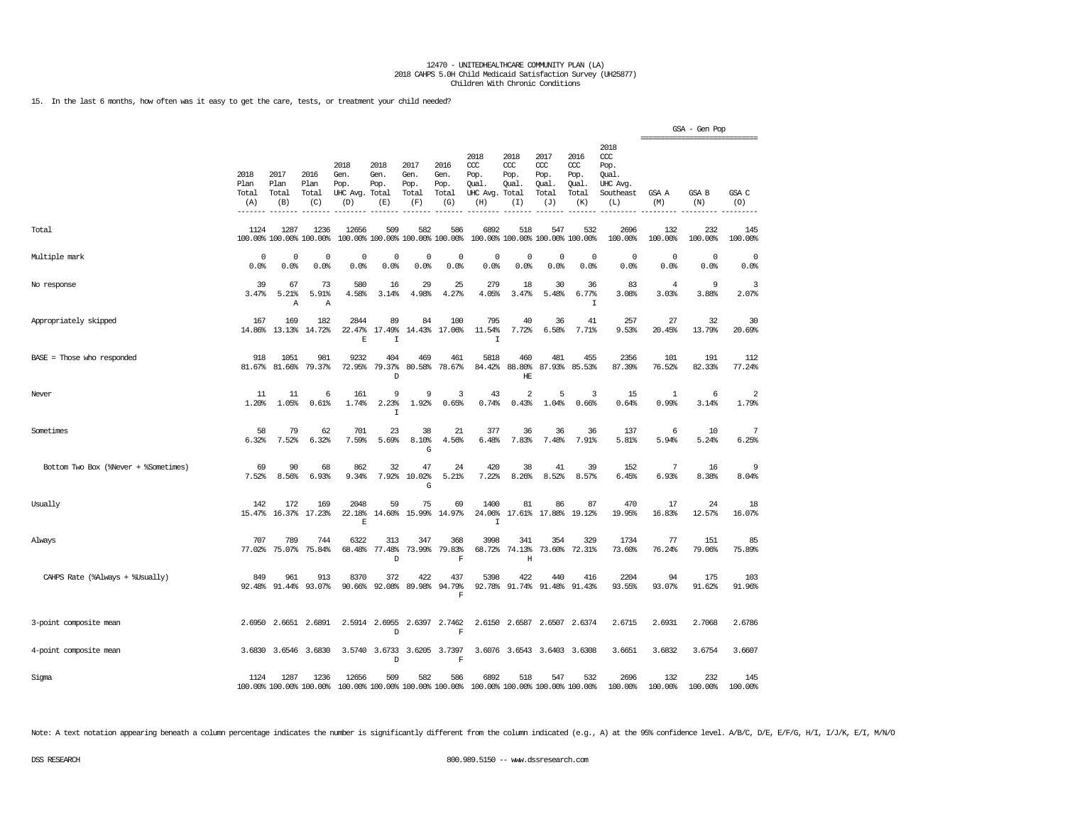15. In the last 6 months, how often was it easy to get the care, tests, or treatment your child needed?

|                                      |                              |                              |                                 |                                                                                          |                             |                                        |                                      |                                                       |                                     |                                              |                                              |                                                              |                                                  | GSA - Gen Pop       |                         |
|--------------------------------------|------------------------------|------------------------------|---------------------------------|------------------------------------------------------------------------------------------|-----------------------------|----------------------------------------|--------------------------------------|-------------------------------------------------------|-------------------------------------|----------------------------------------------|----------------------------------------------|--------------------------------------------------------------|--------------------------------------------------|---------------------|-------------------------|
|                                      | 2018<br>Plan<br>Total<br>(A) | 2017<br>Plan<br>Total<br>(B) | 2016<br>Plan<br>Total<br>(C)    | 2018<br>Gen.<br>Pop.<br>UHC Avg. Total<br>(D)                                            | 2018<br>Gen.<br>Pop.<br>(E) | 2017<br>Gen.<br>Pop.<br>Total<br>(F)   | 2016<br>Gen.<br>Pop.<br>Total<br>(G) | 2018<br>ccc<br>Pop.<br>Qual.<br>UHC Avg. Total<br>(H) | 2018<br>ccc<br>Pop.<br>Oual.<br>(I) | 2017<br>ccc<br>Pop.<br>Qual.<br>Total<br>(J) | 2016<br>ccc<br>Pop.<br>Qual.<br>Total<br>(K) | 2018<br>ccc<br>Pop.<br>Qual.<br>UHC Avg.<br>Southeast<br>(L) | ================================<br>GSA A<br>(M) | <b>GSA B</b><br>(N) | GSA C<br>(O)            |
| Total                                | 1124                         | 1287                         | 1236<br>100.00% 100.00% 100.00% | 12656                                                                                    | 509                         | 582<br>100.00% 100.00% 100.00% 100.00% | 586                                  | 6892                                                  | 518                                 | 547<br>100.00% 100.00% 100.00% 100.00%       | 532                                          | 2696<br>100.00%                                              | 132<br>100.00%                                   | 232<br>100.00%      | 145<br>100.00%          |
| Multiple mark                        | 0<br>0.0%                    | $^{\circ}$<br>0.0%           | $^{\circ}$<br>0.0%              | 0<br>0.0%                                                                                | 0<br>0.0%                   | $\mathbf 0$<br>0.0%                    | 0<br>0.0%                            | 0<br>0.0%                                             | 0<br>0.0%                           | $\circ$<br>0.0%                              | $^{\circ}$<br>0.0%                           | 0<br>0.0%                                                    | 0<br>0.0%                                        | $\Omega$<br>0.0%    | $\mathbf 0$<br>0.0%     |
| No response                          | 39<br>3.47%                  | 67<br>5.21%<br>Α             | 73<br>5.91%<br>Α                | 580<br>4.58%                                                                             | 16<br>3.14%                 | 29<br>4.98%                            | 25<br>4.27%                          | 279<br>4.05%                                          | 18<br>3.47%                         | 30<br>5.48%                                  | 36<br>6.77%<br>$\mathbbm{I}$                 | 83<br>3.08%                                                  | 4<br>3.03%                                       | 9<br>3.88%          | 3<br>2.07%              |
| Appropriately skipped                | 167<br>14.86%                | 169<br>13.13%                | 182<br>14.72%                   | 2844<br>22.47%<br>E                                                                      | 89<br>17.49%<br>I           | 84<br>14.43%                           | 100<br>17.06%                        | 795<br>11.54%<br>$\top$                               | 40<br>7.72%                         | 36<br>6.58%                                  | 41<br>7.71%                                  | 257<br>9.53%                                                 | 27<br>20.45%                                     | 32<br>13.79%        | 30<br>20.69%            |
| BASE = Those who responded           | 918<br>81.67%                | 1051<br>81.66%               | 981<br>79.37%                   | 9232<br>72.95%                                                                           | 404<br>79.37%<br>D          | 469<br>80.58%                          | 461<br>78.67%                        | 5818<br>84.42%                                        | 460<br>88.80%<br>HE                 | 481<br>87.93%                                | 455<br>85.53%                                | 2356<br>87.39%                                               | 101<br>76.52%                                    | 191<br>82.33%       | 112<br>77.24%           |
| Never                                | 11<br>1.20%                  | 11<br>1.05%                  | 6<br>0.61%                      | 161<br>1.74%                                                                             | 9<br>2.23%<br>$\mathbbm{I}$ | 9<br>1.92%                             | 3<br>0.65%                           | 43<br>0.74%                                           | $\overline{2}$<br>0.43%             | 5<br>1.04%                                   | 3<br>0.66%                                   | 15<br>0.64%                                                  | 1<br>0.99%                                       | 6<br>3.14%          | $\overline{2}$<br>1.79% |
| Sometimes                            | 58<br>6.32%                  | 79<br>7.52%                  | 62<br>6.32%                     | 701<br>7.59%                                                                             | 23<br>5.69%                 | 38<br>8.10%<br>G                       | 21<br>4.56%                          | 377<br>6.48%                                          | 36<br>7.83%                         | 36<br>7.48%                                  | 36<br>7.91%                                  | 137<br>5.81%                                                 | 6<br>5.94%                                       | 10<br>5.24%         | 7<br>6.25%              |
| Bottom Two Box (%Never + %Sometimes) | 69<br>7.52%                  | 90<br>8.56%                  | 68<br>6.93%                     | 862<br>9.34%                                                                             | 32<br>7.92%                 | 47<br>10.02%<br>G                      | 24<br>5.21%                          | 420<br>7.22%                                          | 38<br>8.26%                         | 41<br>8.52%                                  | 39<br>8.57%                                  | 152<br>6.45%                                                 | 7<br>6.93%                                       | 16<br>8.38%         | 9<br>8.04%              |
| Usually                              | 142<br>15.47%                | 172<br>16.37%                | 169<br>17.23%                   | 2048<br>22.18%<br>E                                                                      | 59<br>14.60%                | 75<br>15.99%                           | 69<br>14.97%                         | 1400<br>24.06%<br>I                                   | 81<br>17.61%                        | 86<br>17.88%                                 | 87<br>19.12%                                 | 470<br>19.95%                                                | 17<br>16.83%                                     | 24<br>12.57%        | 18<br>16.07%            |
| Always                               | 707                          | 789<br>77.02% 75.07%         | 744<br>75.84%                   | 6322<br>68.48%                                                                           | 313<br>77.48%<br>D          | 347<br>73.99%                          | 368<br>79.83%<br>F                   | 3998<br>68.72%                                        | 341<br>74.13%<br>Η                  | 354                                          | 329<br>73.60% 72.31%                         | 1734<br>73.60%                                               | 77<br>76.24%                                     | 151<br>79.06%       | 85<br>75.89%            |
| CAHPS Rate (%Always + %Usually)      | 849                          | 961                          | 913<br>92.48% 91.44% 93.07%     | 8370<br>90.66%                                                                           | 372<br>92.08%               | 422<br>89.98%                          | 437<br>94.79%<br>F                   | 5398                                                  | 422                                 | 440<br>92.78% 91.74% 91.48% 91.43%           | 416                                          | 2204<br>93.55%                                               | 94<br>93.07%                                     | 175<br>91.62%       | 103<br>91.96%           |
| 3-point composite mean               | 2.6950                       | 2.6651                       | 2.6891                          | 2.5914                                                                                   | 2.6955<br>D                 |                                        | 2.6397 2.7462<br>F                   |                                                       |                                     | 2.6150 2.6587 2.6507 2.6374                  |                                              | 2.6715                                                       | 2.6931                                           | 2.7068              | 2.6786                  |
| 4-point composite mean               |                              | 3.6830 3.6546                | 3.6830                          |                                                                                          | 3.5740 3.6733<br>D          |                                        | 3.6205 3.7397<br>F                   |                                                       |                                     | 3.6076 3.6543 3.6403 3.6308                  |                                              | 3.6651                                                       | 3.6832                                           | 3.6754              | 3.6607                  |
| Sigma                                | 1124                         | 1287                         | 1236                            | 12656<br>100.00% 100.00% 100.00% 100.00% 100.00% 100.00% 100.00% 100.00% 100.00% 100.00% | 509                         | 582                                    | 586                                  | 6892                                                  | 518                                 | 547                                          | 532                                          | 2696<br>100.00%                                              | 132<br>100.00%                                   | 232<br>100.00%      | 145<br>100.00%          |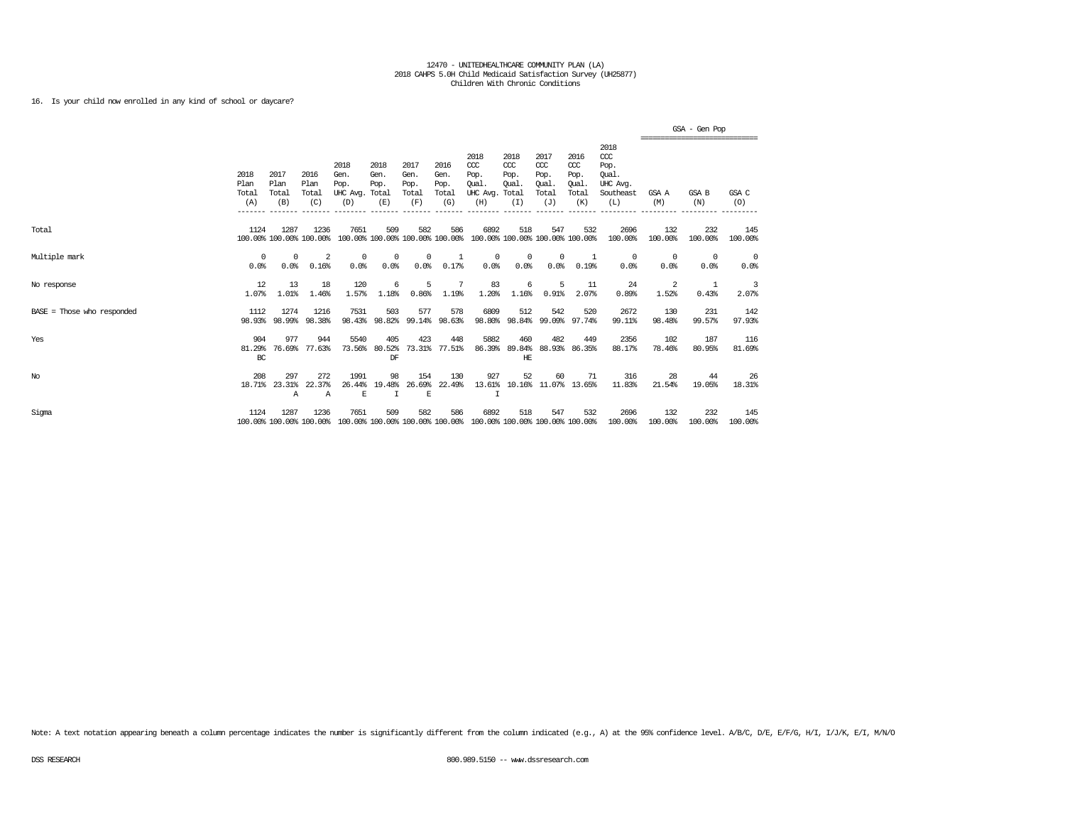# 16. Is your child now enrolled in any kind of school or daycare?

|                            |                              |                              |                                 |                                               |                                        |                                      |                                      |                                                                         |                                                     |                                                   |                                             |                                                              |                    | GSA - Gen Pop                                   |                    |
|----------------------------|------------------------------|------------------------------|---------------------------------|-----------------------------------------------|----------------------------------------|--------------------------------------|--------------------------------------|-------------------------------------------------------------------------|-----------------------------------------------------|---------------------------------------------------|---------------------------------------------|--------------------------------------------------------------|--------------------|-------------------------------------------------|--------------------|
|                            | 2018<br>Plan<br>Total<br>(A) | 2017<br>Plan<br>Total<br>(B) | 2016<br>Plan<br>Total<br>(C)    | 2018<br>Gen.<br>Pop.<br>UHC Avg. Total<br>(D) | 2018<br>Gen.<br>Pop.<br>(E)            | 2017<br>Gen.<br>Pop.<br>Total<br>(F) | 2016<br>Gen.<br>Pop.<br>Total<br>(G) | 2018<br>$CC$<br>Pop.<br>Oual.<br>UHC Avg.<br>(H)                        | 2018<br>$CC$<br>Pop.<br><b>Oual</b><br>Total<br>(I) | 2017<br>$\alpha$<br>Pop.<br>Oual.<br>Total<br>(J) | 2016<br>ccc<br>Pop.<br>Qual<br>Total<br>(K) | 2018<br>ccc<br>Pop.<br>Oual.<br>UHC Avg.<br>Southeast<br>(L) | GSA A<br>(M)       | -------------------------------<br>GSA B<br>(N) | GSA C<br>(O)       |
| Total                      | 1124                         | 1287                         | 1236<br>100.00% 100.00% 100.00% | 7651                                          | 509<br>100.00% 100.00% 100.00% 100.00% | 582                                  | 586                                  | 6892                                                                    | 518<br>100.00% 100.00% 100.00% 100.00%              | 547                                               | 532                                         | 2696<br>100.00%                                              | 132<br>100.00%     | 232<br>100.00%                                  | 145<br>100.00%     |
| Multiple mark              | 0<br>0.0%                    | 0<br>0.0%                    | 2<br>0.16%                      | $^{\circ}$<br>0.0%                            | 0<br>0.0%                              | 0<br>0.0%                            | 0.17%                                | 0<br>0.0%                                                               | 0<br>0.0%                                           | $^{\circ}$<br>0.0%                                | 0.19%                                       | 0<br>0.0%                                                    | $^{\circ}$<br>0.0% | $^{\circ}$<br>0.0%                              | $^{\circ}$<br>0.0% |
| No response                | 12<br>1.07%                  | 13<br>1.01%                  | 18<br>1.46%                     | 120<br>1.57%                                  | 6<br>1.18%                             | 5<br>0.86%                           | 7<br>1.19%                           | 83<br>1.20%                                                             | 6<br>1.16%                                          | 5<br>0.91%                                        | 11<br>2.07%                                 | 24<br>0.89%                                                  | 2<br>1.52%         | -1<br>0.43%                                     | 3<br>2.07%         |
| BASE = Those who responded | 1112<br>98.93%               | 1274<br>98.99%               | 1216<br>98.38%                  | 7531<br>98.43%                                | 503<br>98.82%                          | 577<br>99.14%                        | 578<br>98.63%                        | 6809                                                                    | 512<br>98.80% 98.84%                                | 542                                               | 520<br>99.09% 97.74%                        | 2672<br>99.11%                                               | 130<br>98.48%      | 231<br>99.57%                                   | 142<br>97.93%      |
| Yes                        | 904<br>81.29%<br>BC          | 977<br>76.69%                | 944<br>77.63%                   | 5540<br>73.56%                                | 405<br>80.52%<br>DF                    | 423<br>73.31%                        | 448<br>77.51%                        | 5882<br>86.39%                                                          | 460<br>89.84%<br>HE                                 | 482<br>88.93%                                     | 449<br>86.35%                               | 2356<br>88.17%                                               | 102<br>78.46%      | 187<br>80.95%                                   | 116<br>81.69%      |
| $_{\mathrm{No}}$           | 208<br>18.71%                | 297<br>23.31%<br>Α           | 272<br>22.37%<br>$\mathbb{A}$   | 1991<br>26.44%<br>E                           | 98<br>19.48%<br>I                      | 154<br>26.69%<br>E                   | 130<br>22.49%                        | 927<br>13.61%                                                           | 52                                                  | 60<br>10.16% 11.07% 13.65%                        | 71                                          | 316<br>11.83%                                                | 28<br>21.54%       | 44<br>19.05%                                    | 26<br>18.31%       |
| Sigma                      | 1124                         | 1287                         | 1236<br>100.00% 100.00% 100.00% | 7651                                          | 509                                    | 582                                  | 586                                  | 6892<br>100.00% 100.00% 100.00% 100.00% 100.00% 100.00% 100.00% 100.00% | 518                                                 | 547                                               | 532                                         | 2696<br>100.00%                                              | 132<br>100.00%     | 232<br>100.00%                                  | 145<br>100.00%     |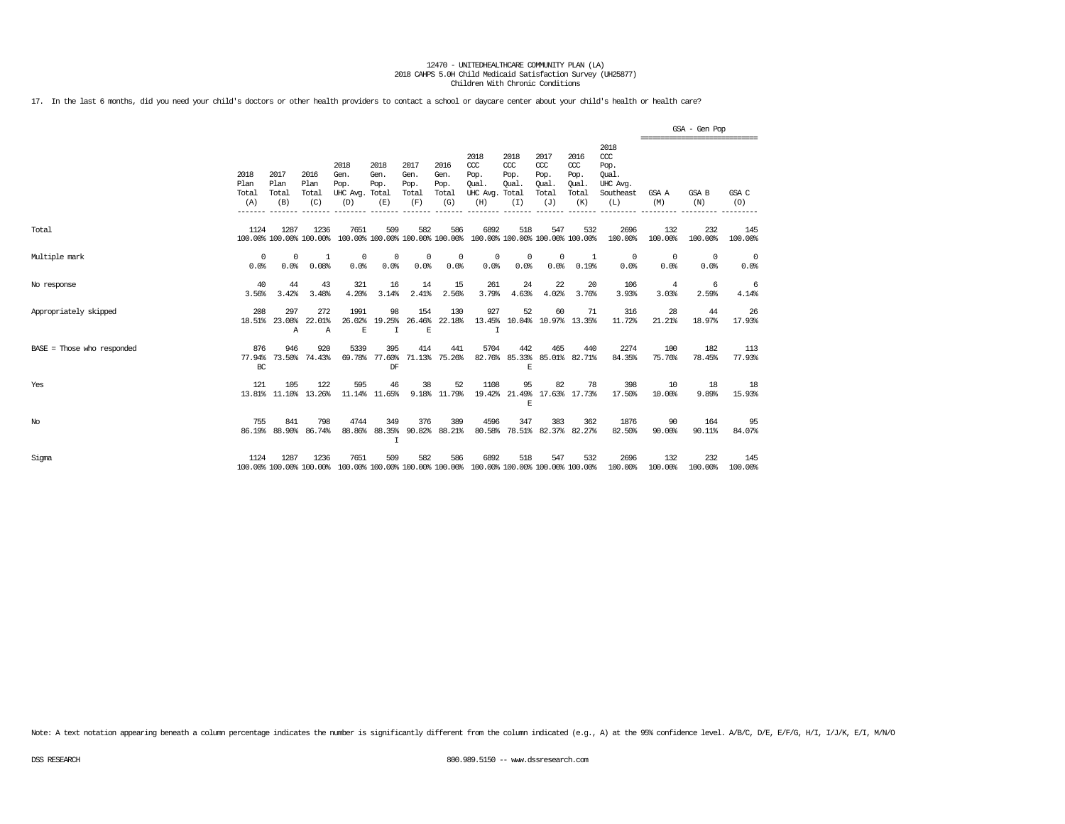17. In the last 6 months, did you need your child's doctors or other health providers to contact a school or daycare center about your child's health or health care?

|                            |                                        |                              |                                 |                                               |                             |                                      |                                      |                                                                         |                                     |                                                   |                                              |                                                                   |                                                 | GSA - Gen Pop      |                        |
|----------------------------|----------------------------------------|------------------------------|---------------------------------|-----------------------------------------------|-----------------------------|--------------------------------------|--------------------------------------|-------------------------------------------------------------------------|-------------------------------------|---------------------------------------------------|----------------------------------------------|-------------------------------------------------------------------|-------------------------------------------------|--------------------|------------------------|
|                            | 2018<br>Plan<br>Total<br>(A)<br>______ | 2017<br>Plan<br>Total<br>(B) | 2016<br>Plan<br>Total<br>(C)    | 2018<br>Gen.<br>Pop.<br>UHC Avg. Total<br>(D) | 2018<br>Gen.<br>Pop.<br>(E) | 2017<br>Gen.<br>Pop.<br>Total<br>(F) | 2016<br>Gen.<br>Pop.<br>Total<br>(G) | 2018<br>CCC<br>Pop.<br>Oual.<br>UHC Avg. Total<br>(H)                   | 2018<br>CCC<br>Pop.<br>Oual.<br>(I) | 2017<br>$\alpha$<br>Pop.<br>Oual.<br>Total<br>(J) | 2016<br>ccc<br>Pop.<br>Oual.<br>Total<br>(K) | 2018<br>$\alpha$<br>Pop.<br>Oual.<br>UHC Avg.<br>Southeast<br>(L) | ===============================<br>GSA A<br>(M) | GSA B<br>(N)       | GSA C<br>(O)           |
| Total                      | 1124                                   | 1287                         | 1236<br>100.00% 100.00% 100.00% | 7651                                          | 509                         | 582                                  | 586                                  | 6892<br>100.00% 100.00% 100.00% 100.00% 100.00% 100.00% 100.00% 100.00% | 518                                 | 547                                               | 532                                          | 2696<br>100.00%                                                   | 132<br>100.00%                                  | 232<br>100.00%     | 145<br>100.00%         |
| Multiple mark              | $\Omega$<br>0.0%                       | $\Omega$<br>0.0%             | -1<br>0.08%                     | 0<br>0.0%                                     | 0<br>0.0%                   | 0<br>0.0%                            | 0<br>0.0%                            | 0<br>0.0%                                                               | 0<br>0.0%                           | 0<br>0.0%                                         | 1<br>0.19%                                   | 0<br>0.0%                                                         | 0<br>0.0%                                       | $^{\circ}$<br>0.0% | $\overline{0}$<br>0.0% |
| No response                | 40<br>3.56%                            | 44<br>3.42%                  | 43<br>3.48%                     | 321<br>4.20%                                  | 16<br>3.14%                 | 14<br>2.41%                          | 15<br>2.56%                          | 261<br>3.79%                                                            | 24<br>4.63%                         | 22<br>4.02%                                       | 20<br>3.76%                                  | 106<br>3.93%                                                      | $\overline{4}$<br>3.03%                         | -6<br>2.59%        | -6<br>4.14%            |
| Appropriately skipped      | 208<br>18.51%                          | 297<br>23.08%<br>А           | 272<br>22.01%<br>A              | 1991<br>26.02%<br>E                           | 98<br>19.25%<br>I           | 154<br>26.46%<br>E                   | 130<br>22.18%                        | 927<br>13.45%<br>Ι                                                      | 52                                  | 60                                                | 71<br>10.04% 10.97% 13.35%                   | 316<br>11.72%                                                     | 28<br>21.21%                                    | 44<br>18.97%       | 26<br>17.93%           |
| BASE = Those who responded | 876<br>77.94%<br>BC                    | 946<br>73.50%                | 920<br>74.43%                   | 5339<br>69.78%                                | 395<br>77.60%<br>DF         | 414<br>71.13%                        | 441<br>75.26%                        | 5704<br>82.76%                                                          | 442<br>85.33%<br>E                  | 465                                               | 440<br>85.01% 82.71%                         | 2274<br>84.35%                                                    | 100<br>75.76%                                   | 182<br>78.45%      | 113<br>77.93%          |
| Yes                        | 121                                    | 105<br>13.81% 11.10% 13.26%  | 122                             | 595                                           | 46<br>11.14% 11.65%         | 38<br>9.18%                          | 52<br>11.79%                         | 1108<br>19.42%                                                          | 95<br>E                             | 82                                                | 78<br>21.49% 17.63% 17.73%                   | 398<br>17.50%                                                     | 10<br>10.00%                                    | 18<br>9.89%        | 18<br>15.93%           |
| No                         | 755<br>86.19%                          | 841<br>88.90%                | 798<br>86.74%                   | 4744<br>88.86%                                | 349<br>88.35%<br>I          | 376<br>90.82%                        | 389<br>88.21%                        | 4596<br>80.58%                                                          | 347                                 | 383                                               | 362<br>78.51% 82.37% 82.27%                  | 1876<br>82.50%                                                    | 90<br>90.00%                                    | 164<br>90.11%      | 95<br>84.07%           |
| Sigma                      | 1124                                   | 1287                         | 1236<br>100.00% 100.00% 100.00% | 7651                                          | 509                         | 582                                  | 586                                  | 6892<br>100.00% 100.00% 100.00% 100.00% 100.00% 100.00% 100.00% 100.00% | 518                                 | 547                                               | 532                                          | 2696<br>100.00%                                                   | 132<br>100.00%                                  | 232<br>100.00%     | 145<br>100.00%         |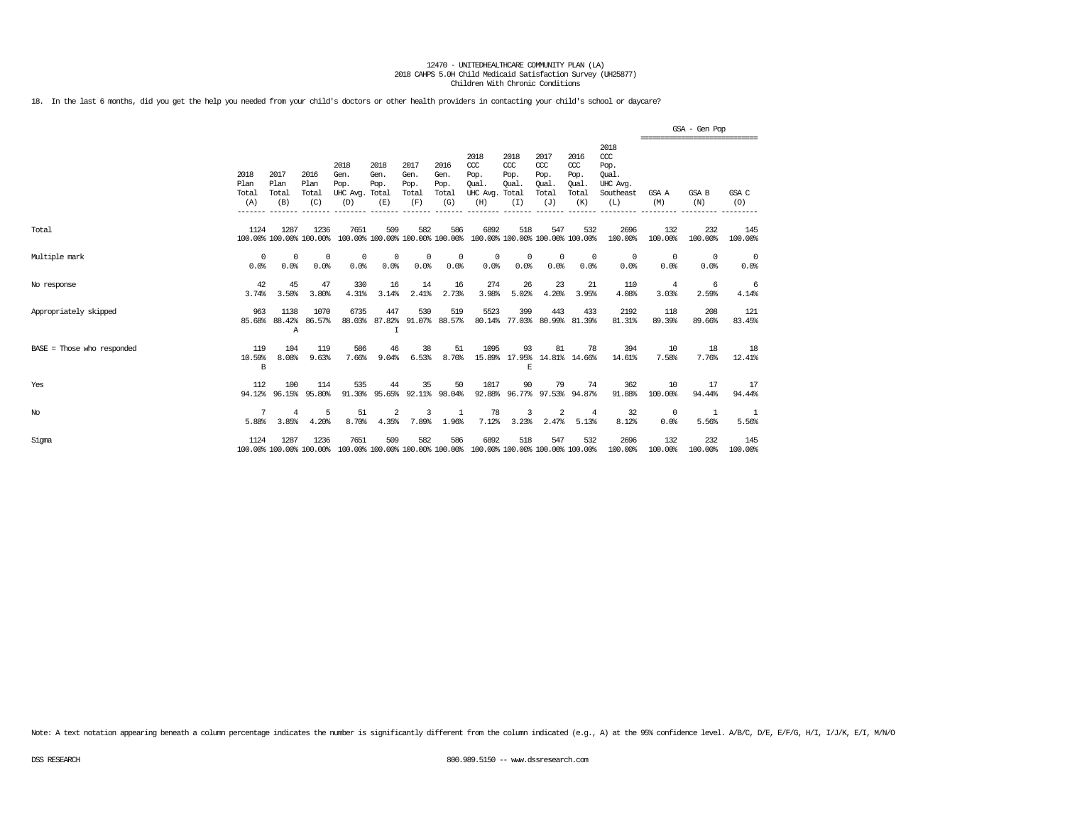18. In the last 6 months, did you get the help you needed from your child's doctors or other health providers in contacting your child's school or daycare?

|                            |                              |                              |                              |                                                                                                 |                                   |                                      |                                      |                                                 |                                              |                                                   |                                                   |                                                              |                | GSA - Gen Pop                                        |                    |
|----------------------------|------------------------------|------------------------------|------------------------------|-------------------------------------------------------------------------------------------------|-----------------------------------|--------------------------------------|--------------------------------------|-------------------------------------------------|----------------------------------------------|---------------------------------------------------|---------------------------------------------------|--------------------------------------------------------------|----------------|------------------------------------------------------|--------------------|
|                            | 2018<br>Plan<br>Total<br>(A) | 2017<br>Plan<br>Total<br>(B) | 2016<br>Plan<br>Total<br>(C) | 2018<br>Gen.<br>Pop.<br>UHC Avg. Total<br>(D)                                                   | 2018<br>Gen.<br>Pop.<br>(E)       | 2017<br>Gen.<br>Pop.<br>Total<br>(F) | 2016<br>Gen.<br>Pop.<br>Total<br>(G) | 2018<br>CCC<br>Pop.<br>Oual.<br>UHC Avg.<br>(H) | 2018<br>CCC<br>Pop.<br>Oual.<br>Total<br>(I) | 2017<br>$\alpha$<br>Pop.<br>Oual.<br>Total<br>(J) | 2016<br>$\alpha$<br>Pop.<br>Oual.<br>Total<br>(K) | 2018<br>ccc<br>Pop.<br>Oual.<br>UHC Avq.<br>Southeast<br>(L) | GSA A<br>(M)   | -----------------------------<br><b>GSA B</b><br>(N) | GSA C<br>(0)       |
| Total                      | 1124                         | 1287                         | 1236                         | 7651<br>100.00% 100.00% 100.00% 100.00% 100.00% 100.00% 100.00% 100.00% 100.00% 100.00%         | 509                               | 582                                  | 586                                  | 6892                                            | 518                                          | 547                                               | 532                                               | 2696<br>100.00%                                              | 132<br>100.00% | 232<br>100.00%                                       | 145<br>100.00%     |
| Multiple mark              | $^{\circ}$<br>0.0%           | 0<br>0.0%                    | 0<br>0.0%                    | 0<br>0.0%                                                                                       | $\Omega$<br>0.0%                  | 0<br>0.0%                            | 0<br>0.0%                            | 0<br>0.0%                                       | 0<br>0.0%                                    | $\circ$<br>0.0%                                   | $^{\circ}$<br>0.0%                                | $^{\circ}$<br>0.0%                                           | 0<br>0.0%      | $^{\circ}$<br>0.0%                                   | $^{\circ}$<br>0.0% |
| No response                | 42<br>3.74%                  | 45<br>3.50%                  | 47<br>3.80%                  | 330<br>4.31%                                                                                    | 16<br>3.14%                       | 14<br>2.41%                          | 16<br>2.73%                          | 274<br>3.98%                                    | 26<br>5.02%                                  | 23<br>4.20%                                       | 21<br>3.95%                                       | 110<br>4.08%                                                 | 4<br>3.03%     | -6<br>2.59%                                          | 6<br>4.14%         |
| Appropriately skipped      | 963<br>85.68%                | 1138<br>88.42%<br>Α          | 1070<br>86.57%               | 6735<br>88.03%                                                                                  | 447<br>87.82%<br>I                | 530<br>91.07%                        | 519<br>88.57%                        | 5523<br>80.14%                                  | 399                                          | 443<br>77.03% 80.99% 81.39%                       | 433                                               | 2192<br>81.31%                                               | 118<br>89.39%  | 208<br>89.66%                                        | 121<br>83.45%      |
| BASE = Those who responded | 119<br>10.59%<br>B           | 104<br>8.08%                 | 119<br>9.63%                 | 586<br>7.66%                                                                                    | 46<br>9.04%                       | 38<br>6.53%                          | 51<br>8.70%                          | 1095                                            | 93<br>F.                                     | 81<br>15.89% 17.95% 14.81% 14.66%                 | 78                                                | 394<br>14.61%                                                | 10<br>7.58%    | 18<br>7.76%                                          | 18<br>12.41%       |
| Yes                        | 112<br>94.12%                | 100<br>96.15%                | 114<br>95.80%                | 535                                                                                             | 44<br>91.30% 95.65% 92.11% 98.04% | 35                                   | 50                                   | 1017                                            | 90                                           | 79<br>92.88% 96.77% 97.53% 94.87%                 | 74                                                | 362<br>91.88%                                                | 10<br>100.00%  | 17<br>94.44%                                         | 17<br>94.44%       |
| No                         | 7<br>5.88%                   | 4<br>3.85%                   | 5<br>4.20%                   | 51<br>8.70%                                                                                     | $\overline{2}$<br>4.35%           | $\mathbf{z}$<br>7.89%                | 1<br>1.96%                           | 78<br>7.12%                                     | 3<br>3.23%                                   | 2<br>2.47%                                        | 4<br>5.13%                                        | 32<br>8.12%                                                  | 0<br>0.0%      | 1<br>5.56%                                           | 5.56%              |
| Sigma                      | 1124                         | 1287                         | 1236                         | 7651<br>100.00% 100.00% 100.00% 100.00% 100.00% 100.00% 100.00% 100.00% 100.00% 100.00% 100.00% | 509                               | 582                                  | 586                                  | 6892                                            | 518                                          | 547                                               | 532                                               | 2696<br>100.00%                                              | 132<br>100.00% | 232<br>100.00%                                       | 145<br>100.00%     |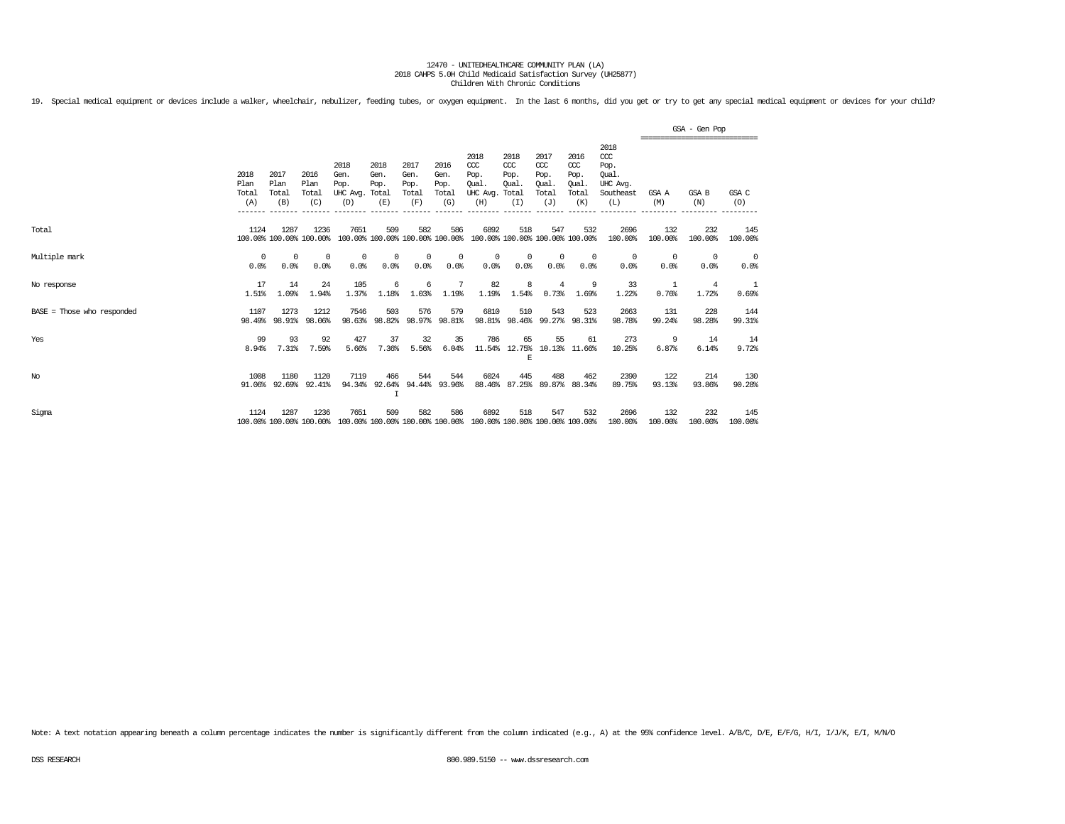19. Special medical equipment or devices include a walker, wheelchair, nebulizer, feeding tubes, or oxygen equipment. In the last 6 months, did you get or try to get any special medical equipment or devices for your child?

|                            |                              |                              |                                 |                                               |                                        |                                      |                                                 |                                                      |                                        |                                                   |                                              |                                                                   | GSA - Gen Pop<br>================================ |                         |                |  |  |
|----------------------------|------------------------------|------------------------------|---------------------------------|-----------------------------------------------|----------------------------------------|--------------------------------------|-------------------------------------------------|------------------------------------------------------|----------------------------------------|---------------------------------------------------|----------------------------------------------|-------------------------------------------------------------------|---------------------------------------------------|-------------------------|----------------|--|--|
|                            | 2018<br>Plan<br>Total<br>(A) | 2017<br>Plan<br>Total<br>(B) | 2016<br>Plan<br>Total<br>(C)    | 2018<br>Gen.<br>Pop.<br>UHC Avg. Total<br>(D) | 2018<br>Gen.<br>Pop.<br>(E)            | 2017<br>Gen.<br>Pop.<br>Total<br>(F) | 2016<br>Gen.<br>Pop.<br>Total<br>(G)<br>------- | 2018<br>CCC<br>Pop.<br>Oual<br>UHC Avg. Total<br>(H) | 2018<br>$CC$<br>Pop.<br>Oual.<br>(I)   | 2017<br>$\alpha$<br>Pop.<br>Oual.<br>Total<br>(J) | 2016<br>ccc<br>Pop.<br>Oual.<br>Total<br>(K) | 2018<br>$\alpha$<br>Pop.<br>Oual.<br>UHC Avg.<br>Southeast<br>(L) | GSA A<br>(M)                                      | <b>GSA B</b><br>(N)     | GSA C<br>(O)   |  |  |
| Total                      | 1124                         | 1287                         | 1236<br>100.00% 100.00% 100.00% | 7651                                          | 509<br>100.00% 100.00% 100.00% 100.00% | 582                                  | 586                                             | 6892                                                 | 518<br>100.00% 100.00% 100.00% 100.00% | 547                                               | 532                                          | 2696<br>100.00%                                                   | 132<br>100.00%                                    | 232<br>100.00%          | 145<br>100.00% |  |  |
| Multiple mark              | 0<br>0.0%                    | 0<br>0.0%                    | 0<br>0.0%                       | $^{\circ}$<br>0.0%                            | 0<br>0.0%                              | 0<br>0.0%                            | 0<br>0.0%                                       | 0<br>0.0%                                            | 0<br>0.0%                              | $\mathbf 0$<br>0.0%                               | $^{\circ}$<br>0.0%                           | $^{\circ}$<br>0.0%                                                | 0<br>0.0%                                         | $\Omega$<br>0.0%        | 0<br>0.0%      |  |  |
| No response                | 17<br>1.51%                  | 14<br>1.09%                  | 24<br>1.94%                     | 105<br>1.37%                                  | 6<br>1.18%                             | 6<br>1.03%                           | 7<br>1.19%                                      | 82<br>1.19%                                          | 8<br>1.54%                             | 4<br>0.73%                                        | 9<br>1.69%                                   | 33<br>1.22%                                                       | 1<br>0.76%                                        | $\overline{4}$<br>1.72% | 0.69%          |  |  |
| BASE = Those who responded | 1107                         | 1273<br>98.49% 98.91%        | 1212<br>98.06%                  | 7546<br>98.63%                                | 503<br>98.82%                          | 576<br>98.97%                        | 579<br>98.81%                                   | 6810<br>98.81%                                       | 510<br>98.46%                          | 543<br>99.27%                                     | 523<br>98.31%                                | 2663<br>98.78%                                                    | 131<br>99.24%                                     | 228<br>98.28%           | 144<br>99.31%  |  |  |
| Yes                        | 99<br>8.94%                  | 93<br>7.31%                  | 92<br>7.59%                     | 427<br>5.66%                                  | 37<br>7.36%                            | 32<br>5.56%                          | 35<br>6.04%                                     | 786<br>11.54%                                        | 65<br>12.75%<br>E                      | 55                                                | 61<br>10.13% 11.66%                          | 273<br>10.25%                                                     | 9<br>6.87%                                        | 14<br>6.14%             | 14<br>9.72%    |  |  |
| No                         | 1008<br>91.06%               | 1180<br>92.69%               | 1120<br>92.41%                  | 7119<br>94.34%                                | 466<br>92.64%<br>$\top$                | 544<br>94.44%                        | 544<br>93.96%                                   | 6024<br>88.46%                                       | 445<br>87.25%                          | 488<br>89.87%                                     | 462<br>88.34%                                | 2390<br>89.75%                                                    | 122<br>93.13%                                     | 214<br>93.86%           | 130<br>90.28%  |  |  |
| Sigma                      | 1124                         | 1287                         | 1236<br>100.00% 100.00% 100.00% | 7651<br>100.00% 100.00% 100.00% 100.00%       | 509                                    | 582                                  | 586                                             | 6892<br>100.00% 100.00% 100.00% 100.00%              | 518                                    | 547                                               | 532                                          | 2696<br>100.00%                                                   | 132<br>100.00%                                    | 232<br>100.00%          | 145<br>100.00% |  |  |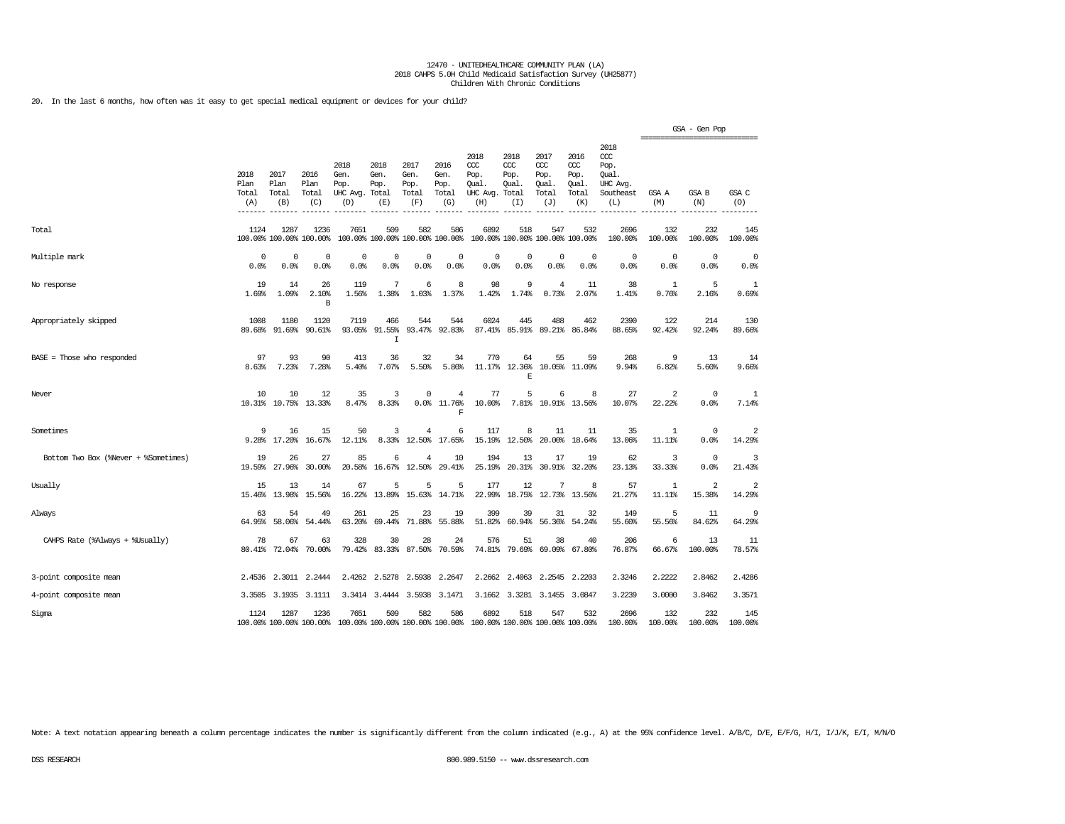20. In the last 6 months, how often was it easy to get special medical equipment or devices for your child?

|                                      |                              |                              |                                 |                                                                                         |                                        |                                      |                                      |                                                 |                                               |                                                  |                                                   |                                                                   | ================================ | GSA - Gen Pop            |                |
|--------------------------------------|------------------------------|------------------------------|---------------------------------|-----------------------------------------------------------------------------------------|----------------------------------------|--------------------------------------|--------------------------------------|-------------------------------------------------|-----------------------------------------------|--------------------------------------------------|---------------------------------------------------|-------------------------------------------------------------------|----------------------------------|--------------------------|----------------|
|                                      | 2018<br>Plan<br>Total<br>(A) | 2017<br>Plan<br>Total<br>(B) | 2016<br>Plan<br>Total<br>(C)    | 2018<br>Gen.<br>Pop.<br>UHC Avg. Total<br>(D)                                           | 2018<br>Gen.<br>Pop.<br>(E)            | 2017<br>Gen.<br>Pop.<br>Total<br>(F) | 2016<br>Gen.<br>Pop.<br>Total<br>(G) | 2018<br>ccc<br>Pop.<br>Qual.<br>UHC Avg.<br>(H) | 2018<br>$CC$<br>Pop.<br>Qual.<br>Total<br>(I) | 2017<br>$\alpha$<br>Pop.<br>Qual<br>Total<br>(J) | 2016<br>$\alpha$<br>Pop.<br>Qual.<br>Total<br>(K) | 2018<br>$\alpha$<br>Pop.<br>Oual.<br>UHC Avg.<br>Southeast<br>(L) | GSA A<br>(M)                     | GSA B<br>(N)             | GSA C<br>(O)   |
| Total                                | 1124                         | 1287                         | 1236<br>100.00% 100.00% 100.00% | 7651                                                                                    | 509<br>100.00% 100.00% 100.00% 100.00% | 582                                  | 586                                  | 6892                                            | 518                                           | 547<br>100.00% 100.00% 100.00% 100.00%           | 532                                               | 2696<br>100.00%                                                   | 132<br>100.00%                   | 232<br>100.00%           | 145<br>100.00% |
| Multiple mark                        | $\Omega$<br>0.0%             | 0<br>0.0%                    | $^{\circ}$<br>0.0%              | 0<br>0.0%                                                                               | 0<br>0.0%                              | 0<br>0.0%                            | $\Omega$<br>0.0%                     | $\mathbf 0$<br>0.0%                             | $\Omega$<br>0.0%                              | $\mathbf 0$<br>0.0%                              | 0<br>0.0%                                         | $\circ$<br>0.0%                                                   | 0<br>0.0%                        | $\circ$<br>0.0%          | 0<br>0.0%      |
| No response                          | 19<br>1.69%                  | 14<br>1.09%                  | 26<br>2.10%<br>B                | 119<br>1.56%                                                                            | 7<br>1.38%                             | 6<br>1.03%                           | 8<br>1.37%                           | 98<br>1.42%                                     | 9<br>1.74%                                    | $\overline{4}$<br>0.73%                          | 11<br>2.07%                                       | 38<br>1.41%                                                       | 1<br>0.76%                       | 5<br>2.16%               | 1<br>0.69%     |
| Appropriately skipped                | 1008<br>89.68%               | 1180<br>91.69%               | 1120<br>90.61%                  | 7119<br>93.05%                                                                          | 466<br>91.55%<br>I                     | 544<br>93.47%                        | 544<br>92.83%                        | 6024                                            | 445<br>87.41% 85.91%                          | 488<br>89.21%                                    | 462<br>86.84%                                     | 2390<br>88.65%                                                    | 122<br>92.42%                    | 214<br>92.24%            | 130<br>89.66%  |
| BASE = Those who responded           | 97<br>8.63%                  | 93<br>7.23%                  | 90<br>7.28%                     | 413<br>5.40%                                                                            | 36<br>7.07%                            | 32<br>5.50%                          | 34<br>5.80%                          | 770<br>11.17%                                   | 64<br>12.36%<br>F.                            | 55<br>10.05%                                     | 59<br>11.09%                                      | 268<br>9.94%                                                      | 9<br>6.82%                       | 13<br>5.60%              | 14<br>9.66%    |
| Never                                | 10                           | 10                           | 12<br>10.31% 10.75% 13.33%      | 35<br>8.47%                                                                             | 3<br>8.33%                             | 0                                    | 4<br>$0.0%$ 11.76%<br>F              | 77<br>10.00%                                    | 5                                             | 6<br>7.81% 10.91% 13.56%                         | 8                                                 | 27<br>10.07%                                                      | 2<br>22.22%                      | $\circ$<br>0.0%          | 1<br>7.14%     |
| Sometimes                            | 9                            | 16<br>9.28% 17.20%           | 15<br>16.67%                    | 50<br>12.11%                                                                            | 3<br>8.33%                             | 4<br>12.50%                          | 6<br>17.65%                          | 117<br>15.19%                                   | 8<br>12.50%                                   | 11<br>20.00%                                     | 11<br>18.64%                                      | 35<br>13.06%                                                      | 1<br>11.11%                      | 0<br>0.0%                | 2<br>14.29%    |
| Bottom Two Box (%Never + %Sometimes) | 19<br>19.59%                 | 26<br>27.96%                 | 27<br>30.00%                    | 85<br>20.58%                                                                            | 6<br>16.67%                            | 4<br>12.50%                          | 10<br>29.41%                         | 194<br>25.19%                                   | 13<br>20.31%                                  | 17<br>30.91%                                     | 19<br>32.20%                                      | 62<br>23.13%                                                      | 3<br>33.33%                      | $\circ$<br>0.0%          | 3<br>21.43%    |
| Usually                              | 15<br>15.46%                 | 13<br>13.98%                 | 14<br>15.56%                    | 67<br>16.22%                                                                            | 5<br>13.89%                            | 5<br>15.63%                          | 5<br>14.71%                          | 177<br>22.99%                                   | 12<br>18.75%                                  | 7<br>12.73%                                      | 8<br>13.56%                                       | 57<br>21.27%                                                      | $\mathbf{1}$<br>11.11%           | $\overline{2}$<br>15.38% | 2<br>14.29%    |
| Always                               | 63<br>64.95%                 | 54<br>58.06%                 | 49<br>54.44%                    | 261<br>63.20%                                                                           | 25<br>69.44%                           | 23<br>71.88%                         | 19<br>55.88%                         | 399<br>51.82%                                   | 39<br>60.94%                                  | 31<br>56.36%                                     | 32<br>54.24%                                      | 149<br>55.60%                                                     | 5<br>55.56%                      | 11<br>84.62%             | 9<br>64.29%    |
| CAHPS Rate (%Always + %Usually)      | 78<br>80.41%                 | 67<br>72.04%                 | 63<br>70.00%                    | 328<br>79.42%                                                                           | 30<br>83.33%                           | 28<br>87.50%                         | 24<br>70.59%                         | 576<br>74.81%                                   | 51<br>79.69%                                  | 38<br>69.09%                                     | 40<br>67.80%                                      | 206<br>76.87%                                                     | 6<br>66.67%                      | 13<br>100.00%            | 11<br>78.57%   |
| 3-point composite mean               |                              | 2.4536 2.3011                | 2.2444                          | 2.4262                                                                                  | 2.5278                                 | 2.5938                               | 2.2647                               |                                                 | 2.2662 2.4063                                 | 2.2545                                           | 2.2203                                            | 2.3246                                                            | 2.2222                           | 2.8462                   | 2.4286         |
| 4-point composite mean               |                              | 3.3505 3.1935                | 3.1111                          |                                                                                         | 3.3414 3.4444 3.5938                   |                                      | 3.1471                               |                                                 |                                               | 3.1662 3.3281 3.1455                             | 3.0847                                            | 3.2239                                                            | 3.0000                           | 3.8462                   | 3.3571         |
| Sigma                                | 1124                         | 1287                         | 1236                            | 7651<br>100.00% 100.00% 100.00% 100.00% 100.00% 100.00% 100.00% 100.00% 100.00% 100.00% | 509                                    | 582                                  | 586                                  | 6892                                            | 518                                           | 547                                              | 532                                               | 2696<br>100.00%                                                   | 132<br>100.00%                   | 232<br>100.00%           | 145<br>100.00% |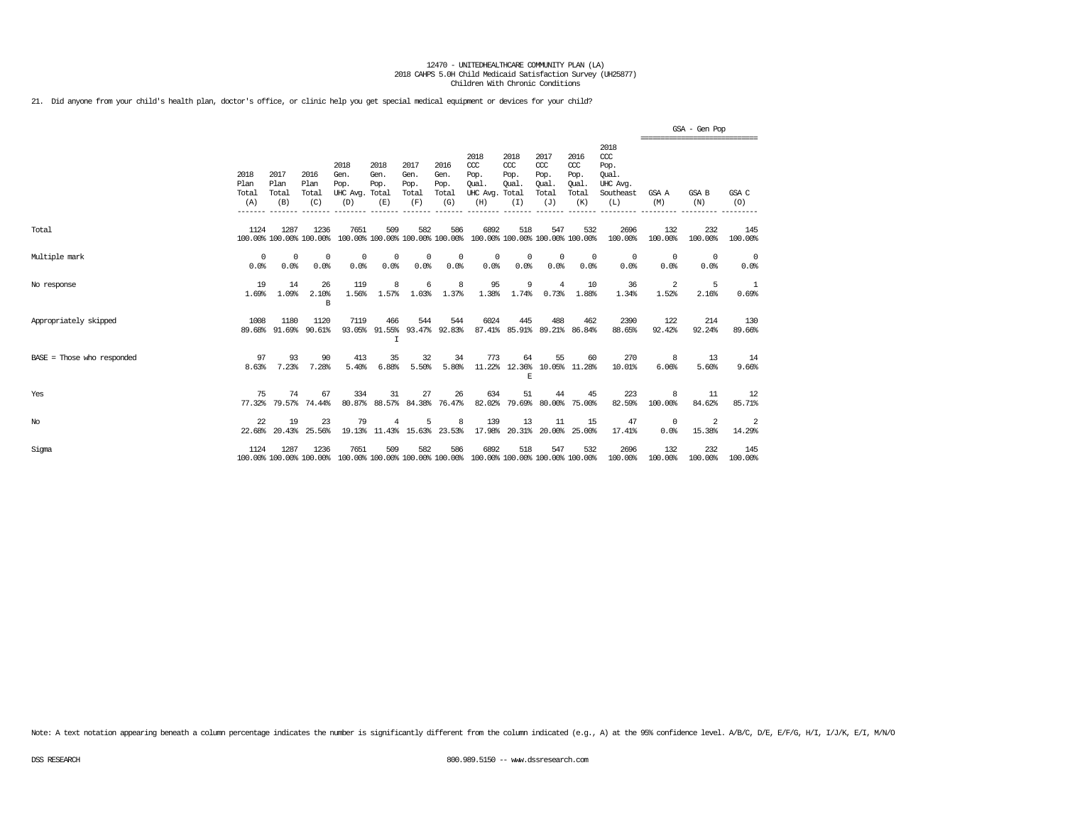21. Did anyone from your child's health plan, doctor's office, or clinic help you get special medical equipment or devices for your child?

|                            |                              |                              |                                 |                                                                                         |                                         |                                      |                                      |                                                                         |                                      |                                                   |                                                   |                                                                   |                                                | GSA - Gen Pop      |                    |
|----------------------------|------------------------------|------------------------------|---------------------------------|-----------------------------------------------------------------------------------------|-----------------------------------------|--------------------------------------|--------------------------------------|-------------------------------------------------------------------------|--------------------------------------|---------------------------------------------------|---------------------------------------------------|-------------------------------------------------------------------|------------------------------------------------|--------------------|--------------------|
|                            | 2018<br>Plan<br>Total<br>(A) | 2017<br>Plan<br>Total<br>(B) | 2016<br>Plan<br>Total<br>(C)    | 2018<br>Gen.<br>Pop.<br>UHC Avg. Total<br>(D)                                           | 2018<br>Gen.<br>Pop.<br>(E)             | 2017<br>Gen.<br>Pop.<br>Total<br>(F) | 2016<br>Gen.<br>Pop.<br>Total<br>(G) | 2018<br>CCC<br>Pop.<br>Oual.<br>UHC Avg. Total<br>(H)                   | 2018<br>$CC$<br>Pop.<br>Oual.<br>(I) | 2017<br>$\alpha$<br>Pop.<br>Oual.<br>Total<br>(J) | 2016<br>$\alpha$<br>Pop.<br>Oual.<br>Total<br>(K) | 2018<br>$\alpha$<br>Pop.<br>Oual.<br>UHC Avq.<br>Southeast<br>(L) | ==============================<br>GSA A<br>(M) | GSA B<br>(N)       | GSA C<br>(0)       |
| Total                      | 1124                         | 1287                         | 1236<br>100.00% 100.00% 100.00% | 7651                                                                                    | 509                                     | 582                                  | 586                                  | 6892<br>100.00% 100.00% 100.00% 100.00% 100.00% 100.00% 100.00% 100.00% | 518                                  | 547                                               | 532                                               | 2696<br>100.00%                                                   | 132<br>100.00%                                 | 232<br>100.00%     | 145<br>100.00%     |
| Multiple mark              | $\Omega$<br>0.0%             | $^{\circ}$<br>0.0%           | 0<br>0.0%                       | $^{\circ}$<br>0.0%                                                                      | $^{\circ}$<br>0.0%                      | $^{\circ}$<br>0.0%                   | 0<br>0.0%                            | $^{\circ}$<br>0.0%                                                      | 0<br>0.0%                            | $^{\circ}$<br>0.0%                                | $^{\circ}$<br>0.0%                                | $^{\circ}$<br>0.0%                                                | $^{\circ}$<br>0.0%                             | $^{\circ}$<br>0.0% | $^{\circ}$<br>0.0% |
| No response                | 19<br>1.69%                  | 14<br>1.09%                  | 26<br>2.10%<br>B                | 119<br>1.56%                                                                            | 8<br>1.57%                              | 6<br>1.03%                           | 8<br>1.37%                           | 95<br>1.38%                                                             | 9<br>1.74%                           | 4<br>0.73%                                        | 10<br>1.88%                                       | 36<br>1.34%                                                       | 2<br>1.52%                                     | 5<br>2.16%         | -1<br>0.69%        |
| Appropriately skipped      | 1008<br>89.68%               | 1180<br>91.69%               | 1120<br>90.61%                  | 7119                                                                                    | 466<br>93.05% 91.55% 93.47% 92.83%<br>I | 544                                  | 544                                  | 6024                                                                    | 445                                  | 488                                               | 462<br>87.41% 85.91% 89.21% 86.84%                | 2390<br>88.65%                                                    | 122<br>92.42%                                  | 214<br>92.24%      | 130<br>89.66%      |
| BASE = Those who responded | 97<br>8.63%                  | 93<br>7.23%                  | 90<br>7.28%                     | 413<br>5.40%                                                                            | 35<br>6.88%                             | 32<br>5.50%                          | 34<br>5.80%                          | 773                                                                     | 64<br>E                              | 55                                                | 60<br>11.22% 12.36% 10.05% 11.28%                 | 270<br>10.01%                                                     | 8<br>6.06%                                     | 13<br>5.60%        | 14<br>9.66%        |
| Yes                        | 75<br>77.32%                 | 74<br>79.57%                 | 67<br>74.44%                    | 334                                                                                     | 31<br>80.87% 88.57% 84.38% 76.47%       | 27                                   | 26                                   | 634<br>82.02%                                                           | 51                                   | 44<br>79.69% 80.00%                               | 45<br>75.00%                                      | 223<br>82.59%                                                     | 8<br>100.00%                                   | 11<br>84.62%       | 12<br>85.71%       |
| $_{\mathrm{No}}$           | 22<br>22.68%                 | 19<br>20.43%                 | 23<br>25.56%                    | 79                                                                                      | 4<br>19.13% 11.43% 15.63% 23.53%        | 5                                    | 8                                    | 139<br>17.98%                                                           | 13                                   | 11                                                | 15<br>20.31% 20.00% 25.00%                        | 47<br>17.41%                                                      | $^{\circ}$<br>0.0%                             | 2<br>15.38%        | -2<br>14.29%       |
| Sigma                      | 1124                         | 1287                         | 1236                            | 7651<br>100.00% 100.00% 100.00% 100.00% 100.00% 100.00% 100.00% 100.00% 100.00% 100.00% | 509                                     | 582                                  | 586                                  | 6892                                                                    | 518                                  | 547                                               | 532                                               | 2696<br>100.00%                                                   | 132<br>100.00%                                 | 232<br>100.00%     | 145<br>100.00%     |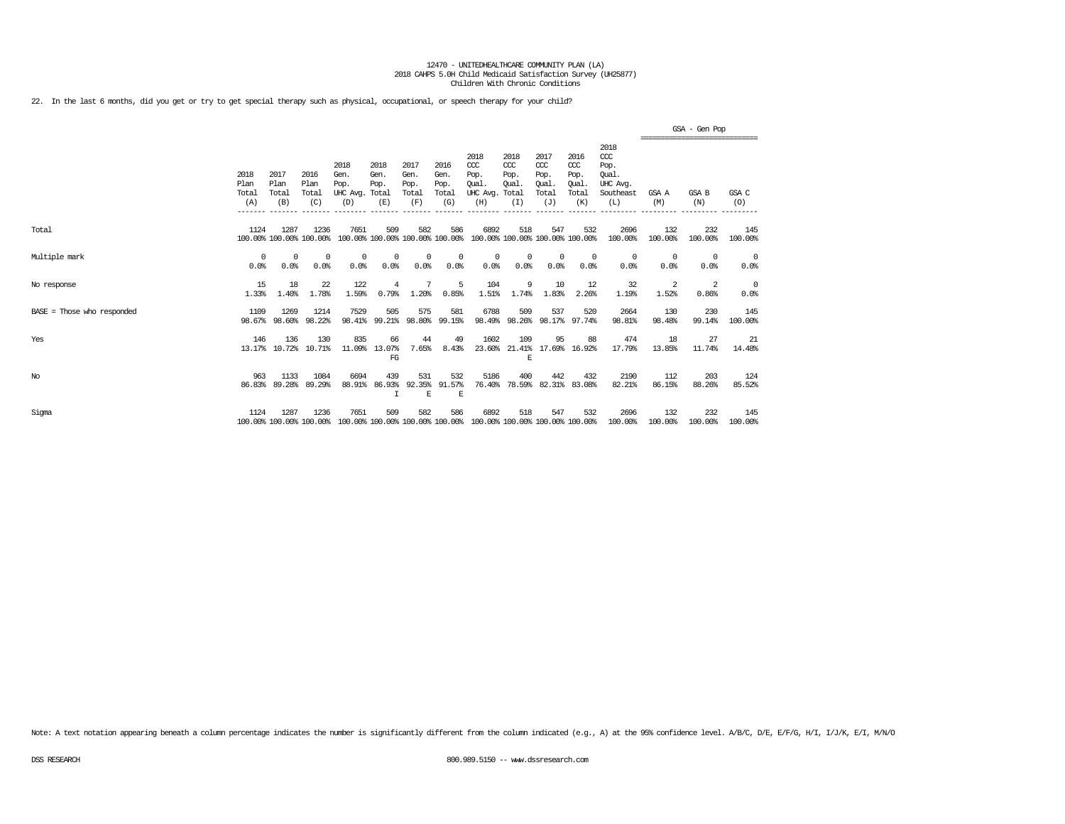22. In the last 6 months, did you get or try to get special therapy such as physical, occupational, or speech therapy for your child?

|                              |                                         |                                         |                                         |                                                     |                                                 |                                                 |                                                 |                                                                         |                                                         |                                                                |                                                        |                                                                                            |                  | GSA - Gen Pop<br>,,,,,,,,,,,,,,,,,,,,,,,,,,,,,,, |                    |
|------------------------------|-----------------------------------------|-----------------------------------------|-----------------------------------------|-----------------------------------------------------|-------------------------------------------------|-------------------------------------------------|-------------------------------------------------|-------------------------------------------------------------------------|---------------------------------------------------------|----------------------------------------------------------------|--------------------------------------------------------|--------------------------------------------------------------------------------------------|------------------|--------------------------------------------------|--------------------|
|                              | 2018<br>Plan<br>Total<br>(A)<br>------- | 2017<br>Plan<br>Total<br>(B)<br>------- | 2016<br>Plan<br>Total<br>(C)<br>------- | 2018<br>Gen.<br>Pop.<br>UHC Avg.<br>(D)<br>-------- | 2018<br>Gen.<br>Pop.<br>Total<br>(E)<br>------- | 2017<br>Gen.<br>Pop.<br>Total<br>(F)<br>------- | 2016<br>Gen.<br>Pop.<br>Total<br>(G)<br>------- | 2018<br>CCC<br>Pop.<br>Oual<br>UHC Avg.<br>(H)<br>________              | 2018<br>CCC<br>Pop.<br>Oual.<br>Total<br>(I)<br>------- | 2017<br>$\alpha$<br>Pop.<br>Oual.<br>Total<br>(J)<br>--------- | 2016<br>ccc<br>Pop.<br>Oual.<br>Total<br>(K)<br>______ | 2018<br>$\alpha$<br>Pop.<br>Oual.<br>UHC Avq.<br>Southeast<br>(L)<br>--------------------- | GSA A<br>(M)     | GSA B<br>(N)<br>-------------                    | GSA C<br>(O)       |
| Total                        | 1124                                    | 1287                                    | 1236<br>100.00% 100.00% 100.00%         | 7651                                                | 509<br>100.00% 100.00% 100.00% 100.00%          | 582                                             | 586                                             | 6892<br>100.00% 100.00% 100.00% 100.00%                                 | 518                                                     | 547                                                            | 532                                                    | 2696<br>100.00%                                                                            | 132<br>100.00%   | 232<br>100.00%                                   | 145<br>100.00%     |
| Multiple mark                | $\Omega$<br>0.0%                        | $\Omega$<br>0.0%                        | $^{\circ}$<br>0.0%                      | 0<br>0.0%                                           | 0<br>0.0%                                       | $\Omega$<br>0.0%                                | $\Omega$<br>0.0%                                | $\Omega$<br>0.0%                                                        | $\Omega$<br>0.0%                                        | $\mathbf 0$<br>0.0%                                            | 0<br>0.0%                                              | $^{\circ}$<br>0.0%                                                                         | $\Omega$<br>0.0% | $^{\circ}$<br>0.0%                               | $^{\circ}$<br>0.0% |
| No response                  | 15<br>1.33%                             | 18<br>1.40%                             | 22<br>1.78%                             | 122<br>1.59%                                        | 4<br>0.79%                                      | 1.20%                                           | 5<br>0.85%                                      | 104<br>1.51%                                                            | 9<br>1.74%                                              | 10<br>1.83%                                                    | 12<br>2.26%                                            | 32<br>1.19%                                                                                | 2<br>1.52%       | 2<br>0.86%                                       | 0<br>0.0%          |
| $BASE = Those who responded$ | 1109<br>98.67%                          | 1269<br>98.60%                          | 1214<br>98.22%                          | 7529<br>98.41%                                      | 505<br>99.21%                                   | 575<br>98.80%                                   | 581<br>99.15%                                   | 6788                                                                    | 509<br>98.49% 98.26% 98.17% 97.74%                      | 537                                                            | 520                                                    | 2664<br>98.81%                                                                             | 130<br>98.48%    | 230<br>99.14%                                    | 145<br>100.00%     |
| Yes                          | 146<br>13.17%                           | 136<br>10.72%                           | 130<br>10.71%                           | 835<br>11.09%                                       | 66<br>13.07%<br>FG                              | 44<br>7.65%                                     | 49<br>8.43%                                     | 1602<br>23.60%                                                          | 109<br>21.41%<br>E                                      | 95                                                             | 88<br>17.69% 16.92%                                    | 474<br>17.79%                                                                              | 18<br>13.85%     | 27<br>11.74%                                     | -21<br>14.48%      |
| $_{\mathrm{No}}$             | 963<br>86.83%                           | 1133<br>89.28%                          | 1084<br>89.29%                          | 6694<br>88.91%                                      | 439<br>86.93%<br>T                              | 531<br>92.35%<br>E                              | 532<br>91.57%<br>E                              | 5186<br>76.40%                                                          | 400<br>78.59%                                           | 442                                                            | 432<br>82.31% 83.08%                                   | 2190<br>82.21%                                                                             | 112<br>86.15%    | 203<br>88.26%                                    | 124<br>85.52%      |
| Sigma                        | 1124                                    | 1287                                    | 1236<br>100.00% 100.00% 100.00%         | 7651                                                | 509                                             | 582                                             | 586                                             | 6892<br>100.00% 100.00% 100.00% 100.00% 100.00% 100.00% 100.00% 100.00% | 518                                                     | 547                                                            | 532                                                    | 2696<br>100.00%                                                                            | 132<br>100.00%   | 232<br>100.00%                                   | 145<br>100.00%     |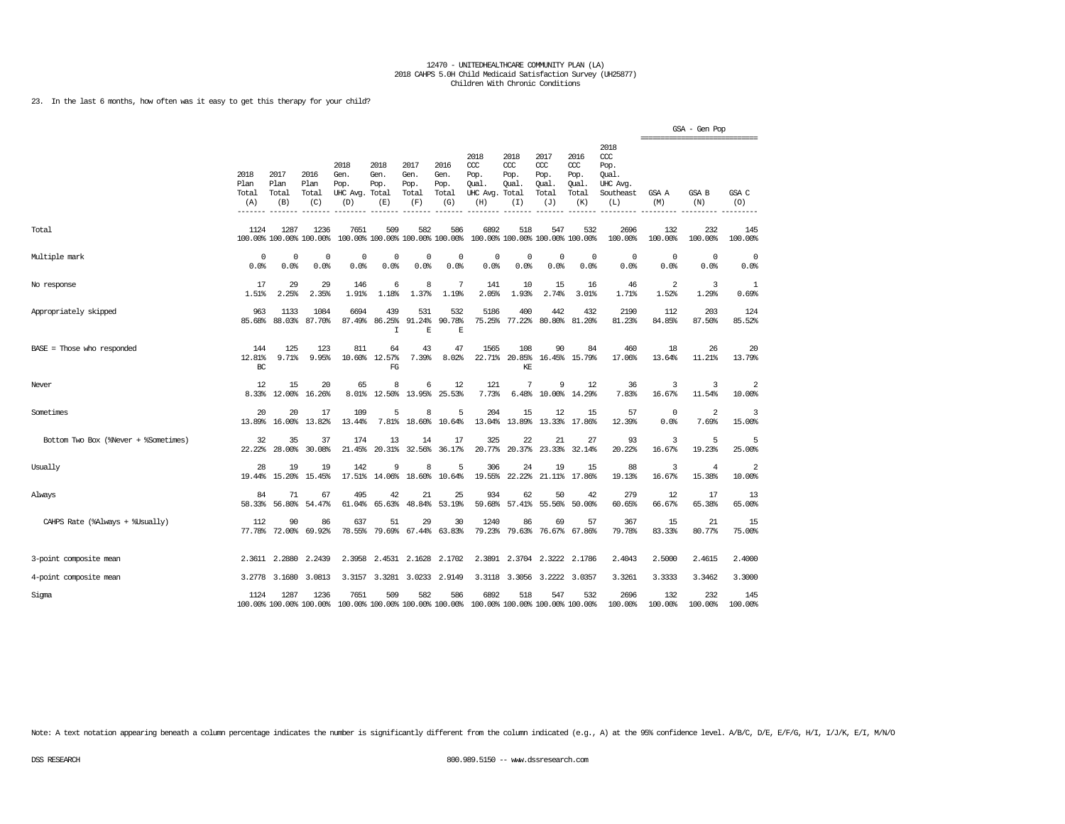23. In the last 6 months, how often was it easy to get this therapy for your child?

|                                      |                              |                              |                                 |                                                                                         |                                      |                                      |                                        |                                                      |                                     |                                              |                                              |                                                                   | ===================== | GSA - Gen Pop  |                |
|--------------------------------------|------------------------------|------------------------------|---------------------------------|-----------------------------------------------------------------------------------------|--------------------------------------|--------------------------------------|----------------------------------------|------------------------------------------------------|-------------------------------------|----------------------------------------------|----------------------------------------------|-------------------------------------------------------------------|-----------------------|----------------|----------------|
|                                      | 2018<br>Plan<br>Total<br>(A) | 2017<br>Plan<br>Total<br>(B) | 2016<br>Plan<br>Total<br>(C)    | 2018<br>Gen.<br>Pop.<br>UHC Avg.<br>(D)                                                 | 2018<br>Gen.<br>Pop.<br>Total<br>(E) | 2017<br>Gen.<br>Pop.<br>Total<br>(F) | 2016<br>Gen.<br>Pop.<br>Total<br>(G)   | 2018<br>CCC<br>Pop.<br>Oual<br>UHC Avg. Total<br>(H) | 2018<br>ccc<br>Pop.<br>Oual.<br>(I) | 2017<br>ccc<br>Pop.<br>Oual.<br>Total<br>(J) | 2016<br>ccc<br>Pop.<br>Oual.<br>Total<br>(K) | 2018<br>$\alpha$<br>Pop.<br>Oual.<br>UHC Avg.<br>Southeast<br>(L) | GSA A<br>(M)          | GSA B<br>(N)   | GSA C<br>(0)   |
| Total                                | 1124                         | 1287                         | 1236<br>100.00% 100.00% 100.00% | 7651                                                                                    | 509                                  | 582                                  | 586<br>100.00% 100.00% 100.00% 100.00% | 6892                                                 | 518                                 | 547<br>100.00% 100.00% 100.00% 100.00%       | 532                                          | 2696<br>100.00%                                                   | 132<br>100.00%        | 232<br>100.00% | 145<br>100.00% |
| Multiple mark                        | 0                            | $^{\circ}$                   | $^{\circ}$                      | $^{\circ}$                                                                              | 0                                    | $^{\circ}$                           | 0                                      | $\mathbf 0$                                          | $\mathbf 0$                         | $\circ$                                      | $\mathbf{0}$                                 | $^{\circ}$                                                        | $\mathbf 0$           | $^{\circ}$     | $\mathbf 0$    |
|                                      | 0.0%                         | 0.0%                         | 0.0%                            | 0.0%                                                                                    | 0.0%                                 | 0.0%                                 | 0.0%                                   | 0.0%                                                 | 0.0%                                | 0.0%                                         | 0.0%                                         | 0.0%                                                              | 0.0%                  | 0.0%           | 0.0%           |
| No response                          | 17                           | 29                           | 29                              | 146                                                                                     | 6                                    | 8                                    | 7                                      | 141                                                  | 10                                  | 15                                           | 16                                           | 46                                                                | $\overline{2}$        | 3              | 1              |
|                                      | 1.51%                        | 2.25%                        | 2.35%                           | 1.91%                                                                                   | 1.18%                                | 1.37%                                | 1.19%                                  | 2.05%                                                | 1.93%                               | 2.74%                                        | 3.01%                                        | 1.71%                                                             | 1.52%                 | 1.29%          | 0.69%          |
| Appropriately skipped                | 963<br>85.68%                | 1133<br>88.03%               | 1084<br>87.70%                  | 6694<br>87.49%                                                                          | 439<br>86.25%<br>$\mathbf I$         | 531<br>91.24%<br>$\mathbf E$         | 532<br>90.78%<br>E                     | 5186<br>75.25%                                       | 400<br>77.22%                       | 442<br>80.80%                                | 432<br>81.20%                                | 2190<br>81.23%                                                    | 112<br>84.85%         | 203<br>87.50%  | 124<br>85.52%  |
| $BASE = Those who responded$         | 144<br>12.81%<br>BC          | 125<br>9.71%                 | 123<br>9.95%                    | 811<br>10.60%                                                                           | 64<br>12.57%<br>FG                   | 43<br>7.39%                          | 47<br>8.02%                            | 1565<br>22.71%                                       | 108<br>20.85%<br>KE                 | 90                                           | 84<br>16.45% 15.79%                          | 460<br>17.06%                                                     | 18<br>13.64%          | 26<br>11.21%   | 20<br>13.79%   |
| Never                                | 12                           | 15                           | 20                              | 65                                                                                      | 8                                    | 6                                    | 12                                     | 121                                                  | 7                                   | 9                                            | 12                                           | 36                                                                | 3                     | 3              | $\overline{2}$ |
|                                      | 8.33%                        | 12.00%                       | 16.26%                          | 8.01%                                                                                   | 12.50%                               | 13.95%                               | 25.53%                                 | 7.73%                                                | 6.48%                               | 10.00%                                       | 14.29%                                       | 7.83%                                                             | 16.67%                | 11.54%         | 10.00%         |
| Sometimes                            | 20                           | 20                           | 17                              | 109                                                                                     | 5                                    | 8                                    | 5                                      | 204                                                  | 15                                  | 12                                           | 15                                           | 57                                                                | $\circ$               | $\overline{2}$ | 3              |
|                                      | 13.89%                       | 16.00%                       | 13.82%                          | 13.44%                                                                                  | 7.81%                                | 18.60%                               | 10.64%                                 | 13.04%                                               | 13.89%                              | 13.33%                                       | 17.86%                                       | 12.39%                                                            | 0.0%                  | 7.69%          | 15.00%         |
| Bottom Two Box (%Never + %Sometimes) | 32                           | 35                           | 37                              | 174                                                                                     | 13                                   | 14                                   | 17                                     | 325                                                  | 22                                  | 21                                           | 27                                           | 93                                                                | 3                     | 5              | 5              |
|                                      | 22.22%                       | 28,00%                       | 30.08%                          | 21.45%                                                                                  | 20.31%                               | 32.56%                               | 36.17%                                 | 20.77%                                               | 20.37%                              | 23.33%                                       | 32.14%                                       | 20.22%                                                            | 16.67%                | 19.23%         | 25.00%         |
| Usually                              | 28                           | 19                           | 19                              | 142                                                                                     | 9                                    | 8                                    | 5                                      | 306                                                  | 24                                  | 19                                           | 15                                           | 88                                                                | 3                     | $\overline{4}$ | 2              |
|                                      | 19.44%                       | 15.20%                       | 15.45%                          | 17.51%                                                                                  | 14.06%                               | 18.60%                               | 10.64%                                 | 19.55%                                               | 22.22%                              | 21.11%                                       | 17.86%                                       | 19.13%                                                            | 16.67%                | 15.38%         | 10.00%         |
| Always                               | 84                           | 71                           | 67                              | 495                                                                                     | 42                                   | 21                                   | 25                                     | 934                                                  | 62                                  | 50                                           | 42                                           | 279                                                               | 12                    | 17             | 13             |
|                                      | 58.33%                       | 56.80%                       | 54.47%                          | 61.04%                                                                                  | 65.63%                               | 48.84%                               | 53.19%                                 | 59.68%                                               | 57.41%                              | 55.56%                                       | 50.00%                                       | 60.65%                                                            | 66.67%                | 65.38%         | 65.00%         |
| CAHPS Rate (%Always + %Usually)      | 112                          | 90                           | 86                              | 637                                                                                     | 51                                   | 29                                   | 30                                     | 1240                                                 | 86                                  | 69                                           | 57                                           | 367                                                               | 15                    | 21             | 15             |
|                                      | 77.78%                       | 72.00%                       | 69.92%                          | 78.55%                                                                                  | 79.69%                               | 67.44%                               | 63.83%                                 | 79.23%                                               | 79.63%                              | 76.67%                                       | 67.86%                                       | 79.78%                                                            | 83.33%                | 80.77%         | 75.00%         |
| 3-point composite mean               |                              | 2.3611 2.2880                | 2.2439                          | 2.3958                                                                                  | 2.4531                               | 2.1628                               | 2.1702                                 | 2.3891                                               | 2.3704                              | 2.3222                                       | 2.1786                                       | 2.4043                                                            | 2.5000                | 2.4615         | 2.4000         |
| 4-point composite mean               | 3.2778                       | 3.1680                       | 3.0813                          | 3.3157                                                                                  | 3.3281                               | 3.0233                               | 2.9149                                 | 3.3118                                               | 3.3056                              | 3.2222                                       | 3.0357                                       | 3.3261                                                            | 3.3333                | 3.3462         | 3.3000         |
| Sigma                                | 1124                         | 1287                         | 1236                            | 7651<br>100.00% 100.00% 100.00% 100.00% 100.00% 100.00% 100.00% 100.00% 100.00% 100.00% | 509                                  | 582                                  | 586                                    | 6892                                                 | 518                                 | 547                                          | 532                                          | 2696<br>100.00%                                                   | 132<br>100.00%        | 232<br>100.00% | 145<br>100.00% |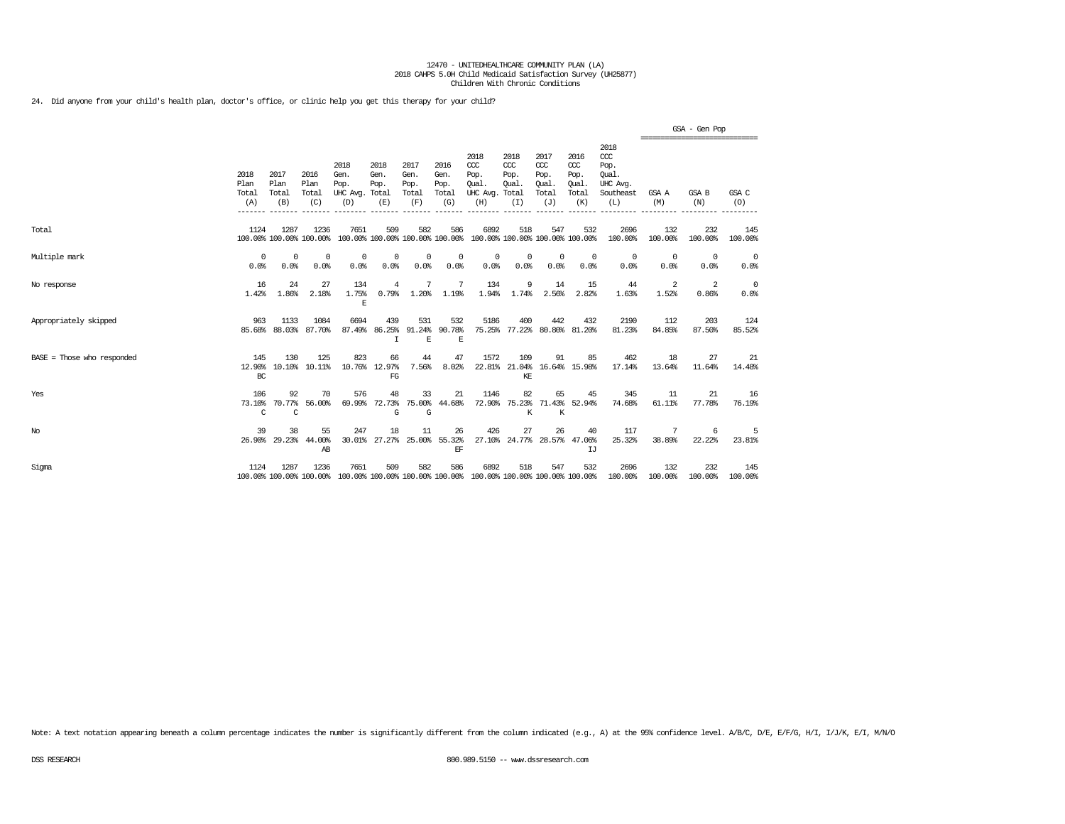24. Did anyone from your child's health plan, doctor's office, or clinic help you get this therapy for your child?

|                              |                              |                              |                                 |                                                                                                 |                             |                                      |                                      |                                                                         |                                          |                                                   |                                              |                                                                   |                                                 | GSA - Gen Pop      |                    |
|------------------------------|------------------------------|------------------------------|---------------------------------|-------------------------------------------------------------------------------------------------|-----------------------------|--------------------------------------|--------------------------------------|-------------------------------------------------------------------------|------------------------------------------|---------------------------------------------------|----------------------------------------------|-------------------------------------------------------------------|-------------------------------------------------|--------------------|--------------------|
|                              | 2018<br>Plan<br>Total<br>(A) | 2017<br>Plan<br>Total<br>(B) | 2016<br>Plan<br>Total<br>(C)    | 2018<br>Gen.<br>Pop.<br>UHC Avg. Total<br>(D)                                                   | 2018<br>Gen.<br>Pop.<br>(E) | 2017<br>Gen.<br>Pop.<br>Total<br>(F) | 2016<br>Gen.<br>Pop.<br>Total<br>(G) | 2018<br>CCC<br>Pop.<br>Oual.<br>UHC Avg. Total<br>(H)                   | 2018<br>CCC<br>Pop.<br>Oual.<br>(I)      | 2017<br>$\alpha$<br>Pop.<br>Oual.<br>Total<br>(J) | 2016<br>ccc<br>Pop.<br>Oual.<br>Total<br>(K) | 2018<br>$\alpha$<br>Pop.<br>Oual.<br>UHC Avg.<br>Southeast<br>(L) | ===============================<br>GSA A<br>(M) | GSA B<br>(N)       | GSA C<br>(O)       |
| Total                        | 1124                         | 1287                         | 1236<br>100.00% 100.00% 100.00% | 7651                                                                                            | 509                         | 582                                  | 586                                  | 6892<br>100.00% 100.00% 100.00% 100.00% 100.00% 100.00% 100.00% 100.00% | 518                                      | 547                                               | 532                                          | 2696<br>100.00%                                                   | 132<br>100.00%                                  | 232<br>100.00%     | 145<br>100.00%     |
| Multiple mark                | $\Omega$<br>0.0%             | $\Omega$<br>0.0%             | $\Omega$<br>0.0%                | 0<br>0.0%                                                                                       | 0<br>0.0%                   | 0<br>0.0%                            | 0<br>0.0%                            | $^{\circ}$<br>0.0%                                                      | 0<br>0.0%                                | 0<br>0.0%                                         | $^{\circ}$<br>0.0%                           | $^{\circ}$<br>0.0%                                                | $^{\circ}$<br>0.0%                              | $^{\circ}$<br>0.0% | $^{\circ}$<br>0.0% |
| No response                  | 16<br>1.42%                  | 24<br>1.86%                  | 27<br>2.18%                     | 134<br>1.75%<br>E                                                                               | 4<br>0.79%                  | 7<br>1.20%                           | 7<br>1.19%                           | 134<br>1.94%                                                            | 9<br>1.74%                               | 14<br>2.56%                                       | 15<br>2.82%                                  | 44<br>1.63%                                                       | 2<br>1.52%                                      | 2<br>0.86%         | $^{\circ}$<br>0.0% |
| Appropriately skipped        | 963<br>85.68%                | 1133<br>88.03%               | 1084<br>87.70%                  | 6694<br>87.49%                                                                                  | 439<br>86.25%<br>I          | 531<br>91.24%<br>E                   | 532<br>90.78%<br>E                   | 5186                                                                    | 400<br>75.25% 77.22% 80.80% 81.20%       | 442                                               | 432                                          | 2190<br>81.23%                                                    | 112<br>84.85%                                   | 203<br>87.50%      | 124<br>85.52%      |
| $BASE = Those who responded$ | 145<br>12.90%<br>BC          | 130<br>10.10%                | 125<br>10.11%                   | 823                                                                                             | 66<br>10.76% 12.97%<br>FG   | 44<br>7.56%                          | 47<br>8.02%                          | 1572                                                                    | 109<br>22.81% 21.04% 16.64% 15.98%<br>KE | 91                                                | 85                                           | 462<br>17.14%                                                     | 18<br>13.64%                                    | 27<br>11.64%       | 21<br>14.48%       |
| Yes                          | 106<br>73.10%<br>C           | 92<br>70.77%<br>C            | 70<br>56,00%                    | 576                                                                                             | 48<br>69.99% 72.73%<br>G    | 33<br>G                              | 21<br>75.00% 44.68%                  | 1146<br>72.90%                                                          | 82<br>К                                  | 65<br>К                                           | 45<br>75.23% 71.43% 52.94%                   | 345<br>74.68%                                                     | 11<br>61.11%                                    | 21<br>77.78%       | 16<br>76.19%       |
| No                           | 39                           | 38<br>26.90% 29.23%          | 55<br>44.00%<br>AB              | 247<br>30.01%                                                                                   | 18                          | 11<br>27.27% 25.00%                  | 26<br>55.32%<br>EF                   | 426                                                                     | 27                                       | 26                                                | 40<br>27.10% 24.77% 28.57% 47.06%<br>IJ      | 117<br>25.32%                                                     | 38.89%                                          | 22.22%             | 23.81%             |
| Sigma                        | 1124                         | 1287                         | 1236                            | 7651<br>100.00% 100.00% 100.00% 100.00% 100.00% 100.00% 100.00% 100.00% 100.00% 100.00% 100.00% | 509                         | 582                                  | 586                                  | 6892                                                                    | 518                                      | 547                                               | 532                                          | 2696<br>100.00%                                                   | 132<br>100.00%                                  | 232<br>100.00%     | 145<br>100.00%     |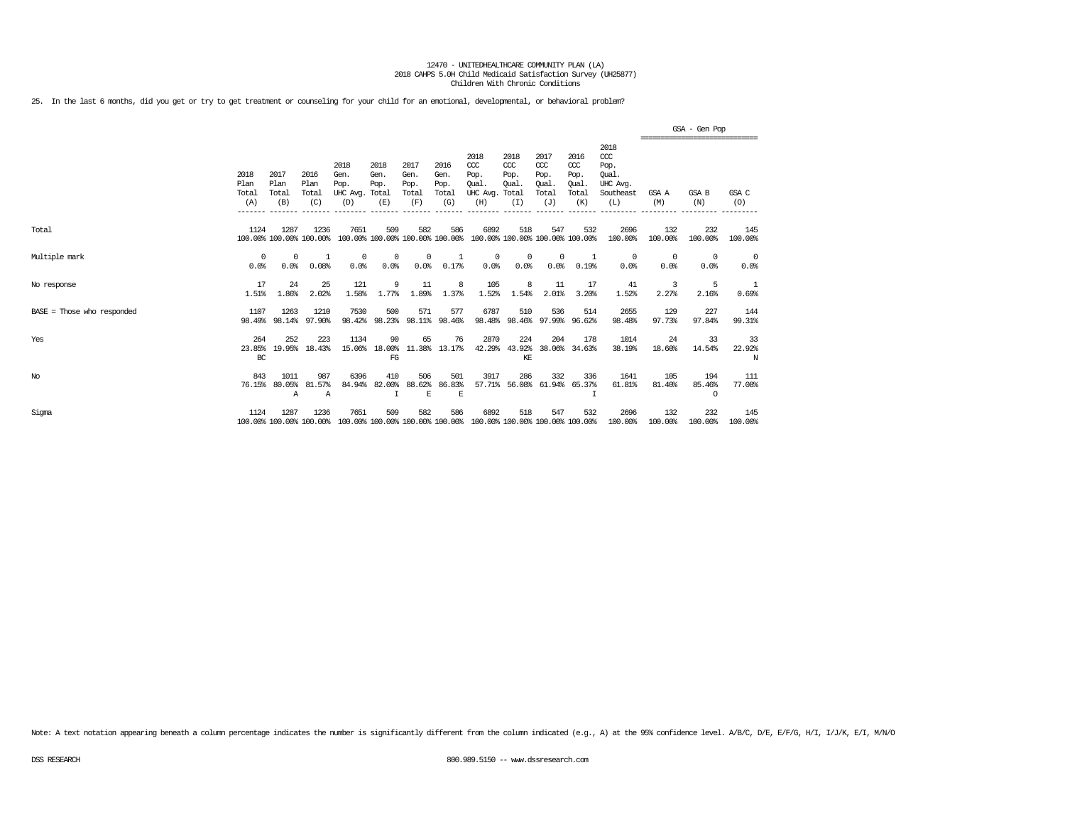25. In the last 6 months, did you get or try to get treatment or counseling for your child for an emotional, developmental, or behavioral problem?

|                              |                              |                              |                                 |                                               |                                        |                                      |                                      |                                                 |                                              |                                                   |                                              |                                                                   |                  | GSA - Gen Pop                                  |                    |
|------------------------------|------------------------------|------------------------------|---------------------------------|-----------------------------------------------|----------------------------------------|--------------------------------------|--------------------------------------|-------------------------------------------------|----------------------------------------------|---------------------------------------------------|----------------------------------------------|-------------------------------------------------------------------|------------------|------------------------------------------------|--------------------|
|                              | 2018<br>Plan<br>Total<br>(A) | 2017<br>Plan<br>Total<br>(B) | 2016<br>Plan<br>Total<br>(C)    | 2018<br>Gen.<br>Pop.<br>UHC Avg. Total<br>(D) | 2018<br>Gen.<br>Pop.<br>(E)            | 2017<br>Gen.<br>Pop.<br>Total<br>(F) | 2016<br>Gen.<br>Pop.<br>Total<br>(G) | 2018<br>CCC<br>Pop.<br>Oual.<br>UHC Avg.<br>(H) | 2018<br>$CC$<br>Pop.<br>Oual<br>Total<br>(I) | 2017<br>$\alpha$<br>Pop.<br>Oual.<br>Total<br>(J) | 2016<br>ccc<br>Pop.<br>Oual.<br>Total<br>(K) | 2018<br>$\alpha$<br>Pop.<br>Oual.<br>UHC Avg.<br>Southeast<br>(L) | GSA A<br>(M)     | ,,,,,,,,,,,,,,,,,,,,,,,,,,,,,,<br>GSA B<br>(N) | GSA C<br>(0)       |
| Total                        | 1124                         | 1287                         | 1236<br>100.00% 100.00% 100.00% | 7651                                          | 509<br>100.00% 100.00% 100.00% 100.00% | 582                                  | 586                                  | 6892                                            | 518                                          | 547<br>100.00% 100.00% 100.00% 100.00%            | 532                                          | 2696<br>100.00%                                                   | 132<br>100.00%   | 232<br>100.00%                                 | 145<br>100.00%     |
| Multiple mark                | $^{\circ}$<br>0.0%           | $\Omega$<br>0.0%             | -1<br>0.08%                     | $\Omega$<br>0.0%                              | $\Omega$<br>0.0%                       | $\Omega$<br>0.0%                     | 0.17%                                | $\Omega$<br>0.0%                                | $\Omega$<br>0.0%                             | $\mathbf 0$<br>0.0%                               | 0.19%                                        | $^{\circ}$<br>0.0%                                                | $\Omega$<br>0.0% | $^{\circ}$<br>0.0%                             | $^{\circ}$<br>0.0% |
| No response                  | 17<br>1.51%                  | 24<br>1.86%                  | 25<br>2.02%                     | 121<br>1.58%                                  | 9<br>1.77%                             | 11<br>1.89%                          | 8<br>1.37%                           | 105<br>1.52%                                    | 8<br>1.54%                                   | 11<br>2.01%                                       | 17<br>3.20%                                  | 41<br>1.52%                                                       | 3<br>2.27%       | 5<br>2.16%                                     | 0.69%              |
| $BASE = Those who responded$ | 1107<br>98.49%               | 1263<br>98.14%               | 1210<br>97.90%                  | 7530<br>98.42%                                | 500<br>98.23%                          | 571<br>98.11%                        | 577<br>98.46%                        | 6787<br>98.48%                                  | 510<br>98.46%                                | 536<br>97.99%                                     | 514<br>96.62%                                | 2655<br>98.48%                                                    | 129<br>97.73%    | 227<br>97.84%                                  | 144<br>99.31%      |
| Yes                          | 264<br>23.85%<br>BC          | 252<br>19.95%                | 223<br>18.43%                   | 1134<br>15.06%                                | 90<br>18.00%<br>FG                     | 65<br>11.38%                         | 76<br>13.17%                         | 2870<br>42.29%                                  | 224<br>43.92%<br>KE                          | 204<br>38.06%                                     | 178<br>34.63%                                | 1014<br>38.19%                                                    | 24<br>18.60%     | 33<br>14.54%                                   | 33<br>22.92%<br>N  |
| No                           | 843<br>76.15%                | 1011<br>80.05%<br>Α          | 987<br>81.57%<br>$\mathbb{A}$   | 6396<br>84.94%                                | 410<br>82.00%                          | 506<br>88.62%<br>E                   | 501<br>86.83%<br>E                   | 3917<br>57.71%                                  | 286<br>56.08%                                | 332<br>61.94%                                     | 336<br>65.37%<br>т                           | 1641<br>61.81%                                                    | 105<br>81.40%    | 194<br>85.46%<br>$\circ$                       | 111<br>77.08%      |
| Sigma                        | 1124                         | 1287                         | 1236<br>100.00% 100.00% 100.00% | 7651                                          | 509<br>100.00% 100.00% 100.00% 100.00% | 582                                  | 586                                  | 6892<br>100.00% 100.00% 100.00% 100.00%         | 518                                          | 547                                               | 532                                          | 2696<br>100.00%                                                   | 132<br>100.00%   | 232<br>100.00%                                 | 145<br>100.00%     |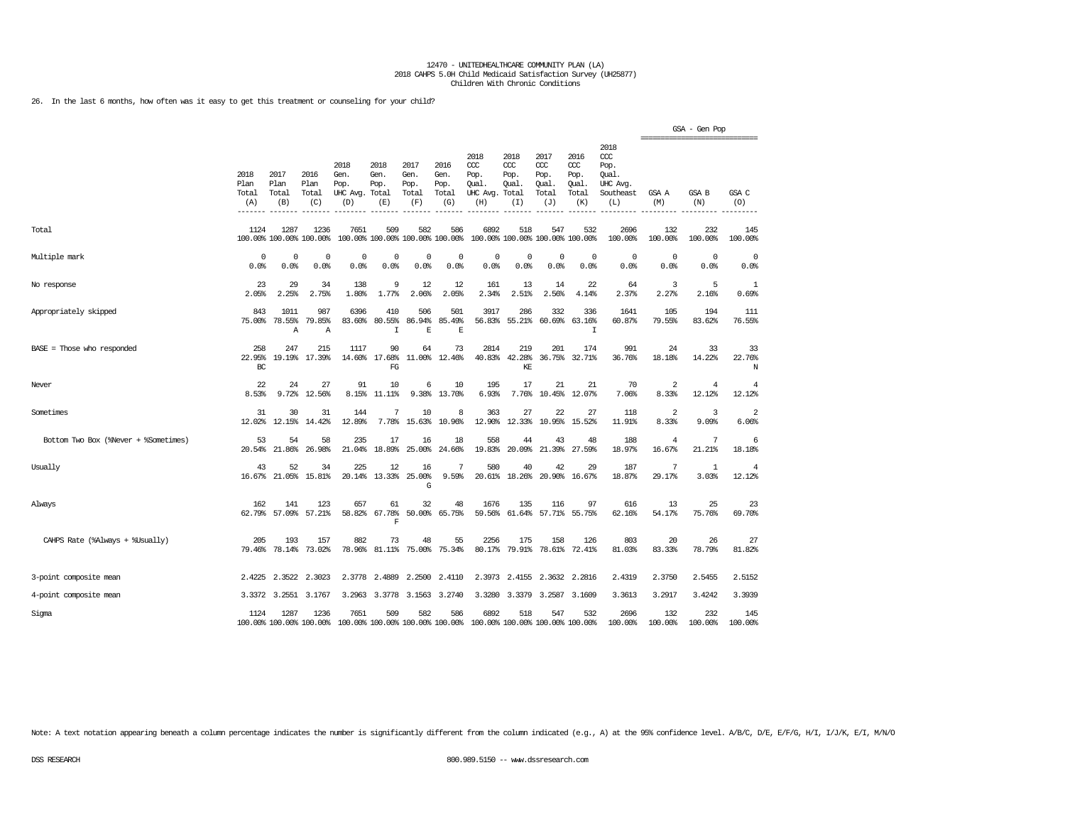26. In the last 6 months, how often was it easy to get this treatment or counseling for your child?

|                                      |                                               |                                |                                 |                                                                                                 |                                           |                                      |                                      |                                                 |                                              |                                                   |                                              |                                                              | =============================== | GSA - Gen Pop         |                          |
|--------------------------------------|-----------------------------------------------|--------------------------------|---------------------------------|-------------------------------------------------------------------------------------------------|-------------------------------------------|--------------------------------------|--------------------------------------|-------------------------------------------------|----------------------------------------------|---------------------------------------------------|----------------------------------------------|--------------------------------------------------------------|---------------------------------|-----------------------|--------------------------|
|                                      | 2018<br>Plan<br>Total<br>(A)<br>$- - - - - -$ | 2017<br>Plan<br>Total<br>(B)   | 2016<br>Plan<br>Total<br>(C)    | 2018<br>Gen.<br>Pop.<br>UHC Avg.<br>(D)                                                         | 2018<br>Gen.<br>Pop.<br>Total<br>(E)      | 2017<br>Gen.<br>Pop.<br>Total<br>(F) | 2016<br>Gen.<br>Pop.<br>Total<br>(G) | 2018<br>CCC<br>Pop.<br>Oual.<br>UHC Avg.<br>(H) | 2018<br>ccc<br>Pop.<br>Oual.<br>Total<br>(I) | 2017<br>$\alpha$<br>Pop.<br>Oual.<br>Total<br>(J) | 2016<br>ccc<br>Pop.<br>Oual.<br>Total<br>(K) | 2018<br>ccc<br>Pop.<br>Oual.<br>UHC Avg.<br>Southeast<br>(L) | GSA A<br>(M)                    | GSA B<br>(N)          | GSA C<br>(O)             |
| Total                                | 1124                                          | 1287                           | 1236<br>100.00% 100.00% 100.00% | 7651                                                                                            | 509<br>100.00% 100.00% 100.00% 100.00%    | 582                                  | 586                                  | 6892                                            | 518                                          | 547<br>100.00% 100.00% 100.00% 100.00%            | 532                                          | 2696<br>100.00%                                              | 132<br>100.00%                  | 232<br>100.00%        | 145<br>100.00%           |
| Multiple mark                        | 0<br>0.0%                                     | 0<br>0.0%                      | 0<br>0.0%                       | $\mathbf 0$<br>0.0%                                                                             | $\Omega$<br>0.0%                          | $\mathbf 0$<br>0.0%                  | $^{\circ}$<br>0.0%                   | $^{\circ}$<br>0.0%                              | $^{\circ}$<br>0.0%                           | $\Omega$<br>0.0%                                  | $\Omega$<br>0.0%                             | $^{\circ}$<br>0.0%                                           | $^{\circ}$<br>0.0%              | $\circ$<br>0.0%       | 0<br>0.0%                |
| No response                          | 23<br>2.05%                                   | 29<br>2.25%                    | 34<br>2.75%                     | 138<br>1.80%                                                                                    | 9<br>1.77%                                | 12<br>2.06%                          | 12<br>2.05%                          | 161<br>2.34%                                    | 13<br>2.51%                                  | 14<br>2.56%                                       | 22<br>4.14%                                  | 64<br>2.37%                                                  | 3<br>2.27%                      | 5<br>2.16%            | 1<br>0.69%               |
| Appropriately skipped                | 843<br>75.00%                                 | 1011<br>78.55%<br>$\mathbb{A}$ | 987<br>79.85%<br>$\mathbb{A}$   | 6396<br>83.60%                                                                                  | 410<br>80.55%<br>$\top$                   | 506<br>86.94%<br>E                   | 501<br>85.49%<br>E                   | 3917<br>56.83%                                  | 286<br>55.21%                                | 332<br>60.69%                                     | 336<br>63.16%<br>$\mathsf{T}$                | 1641<br>60.87%                                               | 105<br>79.55%                   | 194<br>83.62%         | 111<br>76.55%            |
| $BASE = Those who responded$         | 258<br>22.95%<br>$_{\rm BC}$                  | 247<br>19.19%                  | 215<br>17.39%                   | 1117<br>14.60%                                                                                  | 90<br>17.68%<br>${\mathbb F} {\mathbb G}$ | 64<br>11.00%                         | 73<br>12.46%                         | 2814                                            | 219<br>40.83% 42.28%<br>KE                   | 201<br>36.75%                                     | 174<br>32.71%                                | 991<br>36.76%                                                | 24<br>18.18%                    | 33<br>14.22%          | 33<br>22.76%<br>N        |
| Never                                | 22<br>8.53%                                   | 24<br>9.72%                    | 27<br>12.56%                    | 91<br>8.15%                                                                                     | 10<br>11.11%                              | 6<br>9.38%                           | 10<br>13.70%                         | 195<br>6.93%                                    | 17<br>7.76%                                  | 21<br>10.45%                                      | 21<br>12.07%                                 | 70<br>7.06%                                                  | $\overline{a}$<br>8.33%         | 4<br>12.12%           | 4<br>12.12%              |
| Sometimes                            | 31<br>12.02%                                  | 30<br>12.15%                   | 31<br>14.42%                    | 144<br>12.89%                                                                                   | 7<br>7.78%                                | 10<br>15.63%                         | 8<br>10.96%                          | 363<br>12.90%                                   | 27<br>12.33%                                 | 22<br>10.95%                                      | 27<br>15.52%                                 | 118<br>11.91%                                                | $\overline{2}$<br>8.33%         | 3<br>9.09%            | $\overline{2}$<br>6.06%  |
| Bottom Two Box (%Never + %Sometimes) | 53<br>20.54%                                  | 54<br>21.86%                   | 58<br>26.98%                    | 235<br>21.04%                                                                                   | 17<br>18.89%                              | 16<br>25.00%                         | 18<br>24.66%                         | 558<br>19.83%                                   | 44<br>20.09%                                 | 43<br>21.39%                                      | 48<br>27.59%                                 | 188<br>18.97%                                                | 4<br>16.67%                     | 7<br>21.21%           | 6<br>18.18%              |
| Usually                              | 43<br>16.67%                                  | 52<br>21.05%                   | 34<br>15.81%                    | 225<br>20.14%                                                                                   | 12<br>13.33%                              | 16<br>25.00%<br>G                    | 7<br>9.59%                           | 580<br>20.61%                                   | 40<br>18.26%                                 | 42<br>20.90%                                      | 29<br>16.67%                                 | 187<br>18.87%                                                | 7<br>29.17%                     | $\mathbf{1}$<br>3.03% | $\overline{4}$<br>12.12% |
| Always                               | 162<br>62.79%                                 | 141<br>57.09%                  | 123<br>57.21%                   | 657<br>58.82%                                                                                   | 61<br>67.78%<br>F                         | 32                                   | 48<br>50.00% 65.75%                  | 1676                                            | 135<br>59.56% 61.64%                         | 116                                               | 97<br>57.71% 55.75%                          | 616<br>62.16%                                                | 13<br>54.17%                    | 25<br>75.76%          | 23<br>69.70%             |
| CAHPS Rate (%Always + %Usually)      | 205<br>79.46%                                 | 193<br>78.14%                  | 157<br>73.02%                   | 882<br>78.96%                                                                                   | 73<br>81.11%                              | 48<br>75.00%                         | 55<br>75.34%                         | 2256<br>80.17%                                  | 175<br>79.91%                                | 158<br>78.61%                                     | 126<br>72.41%                                | 803<br>81.03%                                                | 20<br>83.33%                    | 26<br>78.79%          | 27<br>81.82%             |
| 3-point composite mean               | 2.4225                                        | 2.3522                         | 2.3023                          | 2.3778                                                                                          | 2.4889                                    | 2.2500                               | 2.4110                               | 2.3973                                          | 2.4155                                       | 2.3632                                            | 2.2816                                       | 2.4319                                                       | 2.3750                          | 2.5455                | 2.5152                   |
| 4-point composite mean               |                                               | 3.3372 3.2551                  | 3.1767                          |                                                                                                 | 3.2963 3.3778                             |                                      | 3.1563 3.2740                        | 3.3280                                          | 3.3379                                       |                                                   | 3.2587 3.1609                                | 3.3613                                                       | 3.2917                          | 3.4242                | 3.3939                   |
| Sigma                                | 1124                                          | 1287                           | 1236                            | 7651<br>100.00% 100.00% 100.00% 100.00% 100.00% 100.00% 100.00% 100.00% 100.00% 100.00% 100.00% | 509                                       | 582                                  | 586                                  | 6892                                            | 518                                          | 547                                               | 532                                          | 2696<br>100.00%                                              | 132<br>100.00%                  | 232<br>100.00%        | 145<br>100.00%           |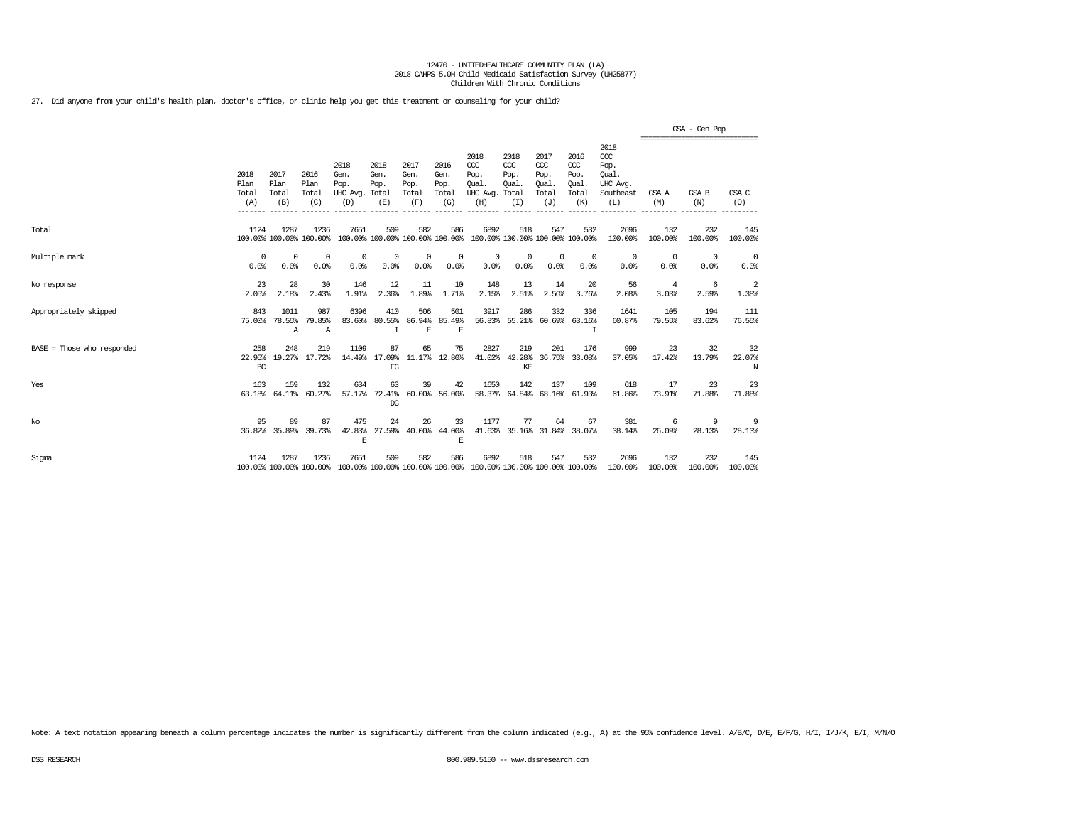27. Did anyone from your child's health plan, doctor's office, or clinic help you get this treatment or counseling for your child?

|                            |                              |                                 |                              |                                               |                                        |                                      |                                      |                                                                         |                                      |                                                   |                                              |                                                              |                         | GSA - Gen Pop                                  |                    |
|----------------------------|------------------------------|---------------------------------|------------------------------|-----------------------------------------------|----------------------------------------|--------------------------------------|--------------------------------------|-------------------------------------------------------------------------|--------------------------------------|---------------------------------------------------|----------------------------------------------|--------------------------------------------------------------|-------------------------|------------------------------------------------|--------------------|
|                            | 2018<br>Plan<br>Total<br>(A) | 2017<br>Plan<br>Total<br>(B)    | 2016<br>Plan<br>Total<br>(C) | 2018<br>Gen.<br>Pop.<br>UHC Avg. Total<br>(D) | 2018<br>Gen.<br>Pop.<br>(E)            | 2017<br>Gen.<br>Pop.<br>Total<br>(F) | 2016<br>Gen.<br>Pop.<br>Total<br>(G) | 2018<br>CCC<br>Pop.<br>Oual.<br>UHC Avg. Total<br>(H)                   | 2018<br>$CC$<br>Pop.<br>Oual.<br>(I) | 2017<br>$\alpha$<br>Pop.<br>Oual.<br>Total<br>(J) | 2016<br>ccc<br>Pop.<br>Oual.<br>Total<br>(K) | 2018<br>ccc<br>Pop.<br>Oual.<br>UHC Avg.<br>Southeast<br>(L) | GSA A<br>(M)            | ------------------------------<br>GSA B<br>(N) | GSA C<br>(O)       |
| Total                      | 1124                         | 1287<br>100.00% 100.00% 100.00% | 1236                         | 7651                                          | 509<br>100.00% 100.00% 100.00% 100.00% | 582                                  | 586                                  | 6892<br>100.00% 100.00% 100.00% 100.00%                                 | 518                                  | 547                                               | 532                                          | 2696<br>100.00%                                              | 132<br>100.00%          | 232<br>100.00%                                 | 145<br>100.00%     |
| Multiple mark              | $\Omega$<br>0.0%             | $^{\circ}$<br>0.0%              | 0<br>0.0%                    | $^{\circ}$<br>0.0%                            | 0<br>0.0%                              | $^{\circ}$<br>0.0%                   | 0<br>0.0%                            | $^{\circ}$<br>0.0%                                                      | 0<br>0.0%                            | $\mathbf 0$<br>0.0%                               | $\mathbf{0}$<br>0.0%                         | $^{\circ}$<br>0.0%                                           | 0<br>0.0%               | $^{\circ}$<br>0.0%                             | $^{\circ}$<br>0.0% |
| No response                | 23<br>2.05%                  | 28<br>2.18%                     | 30<br>2.43%                  | 146<br>1.91%                                  | 12<br>2.36%                            | 11<br>1.89%                          | 10<br>1.71%                          | 148<br>2.15%                                                            | 13<br>2.51%                          | 14<br>2.56%                                       | 20<br>3.76%                                  | 56<br>2.08%                                                  | $\overline{4}$<br>3.03% | 6<br>2.59%                                     | 2<br>1.38%         |
| Appropriately skipped      | 843<br>75.00%                | 1011<br>78.55%<br>Α             | 987<br>79.85%<br>Α           | 6396<br>83.60%                                | 410<br>80.55%<br>I                     | 506<br>86.94%<br>E                   | 501<br>85.49%<br>E                   | 3917<br>56.83%                                                          | 286                                  | 332<br>55.21% 60.69%                              | 336<br>63.16%<br>I                           | 1641<br>60.87%                                               | 105<br>79.55%           | 194<br>83.62%                                  | 111<br>76.55%      |
| BASE = Those who responded | 258<br>22.95%<br>BC          | 248                             | 219<br>19.27% 17.72%         | 1109<br>14.49%                                | 87<br>17.09%<br>$_{\rm FG}$            | 65                                   | 75<br>11.17% 12.80%                  | 2827<br>41.02%                                                          | 219<br>42.28%<br>KE                  | 201<br>36.75%                                     | 176<br>33.08%                                | 999<br>37.05%                                                | 23<br>17.42%            | 32<br>13.79%                                   | 32<br>22.07%<br>N  |
| Yes                        | 163<br>63.18%                | 159<br>64.11%                   | 132<br>60.27%                | 634<br>57.17%                                 | 63<br>72.41%<br>DG                     | 39<br>60.00%                         | 42<br>56.00%                         | 1650                                                                    | 142                                  | 137                                               | 109<br>58.37% 64.84% 68.16% 61.93%           | 618<br>61.86%                                                | 17<br>73.91%            | 23<br>71.88%                                   | 23<br>71.88%       |
| $_{\mathrm{No}}$           | 95                           | 89<br>36.82% 35.89%             | 87<br>39.73%                 | 475<br>42.83%<br>Ε                            | 24<br>27.59%                           | 26<br>40.00%                         | 33<br>44.00%<br>F.                   | 1177                                                                    | 77                                   | 64                                                | 67<br>41.63% 35.16% 31.84% 38.07%            | 381<br>38.14%                                                | 6<br>26.09%             | 9<br>28.13%                                    | 9<br>28.13%        |
| Sigma                      | 1124                         | 1287<br>100.00% 100.00% 100.00% | 1236                         | 7651                                          | 509                                    | 582                                  | 586                                  | 6892<br>100.00% 100.00% 100.00% 100.00% 100.00% 100.00% 100.00% 100.00% | 518                                  | 547                                               | 532                                          | 2696<br>100.00%                                              | 132<br>100.00%          | 232<br>100.00%                                 | 145<br>100.00%     |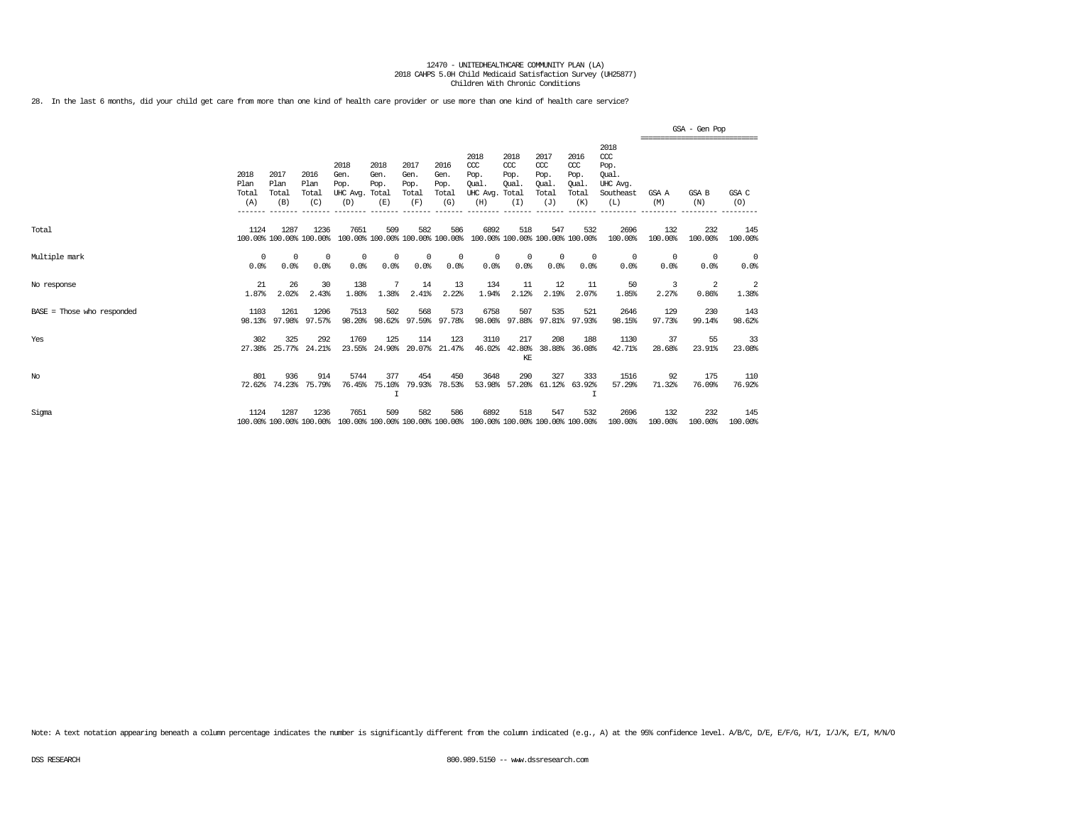28. In the last 6 months, did your child get care from more than one kind of health care provider or use more than one kind of health care service?

|                              |                                         |                                         |                                         |                                                           |                                        |                                                 |                                                 |                                                                         |                                                         |                                                               |                                                        |                                                                                 | GSA - Gen Pop<br>---------------------------- |                                 |                    |  |  |
|------------------------------|-----------------------------------------|-----------------------------------------|-----------------------------------------|-----------------------------------------------------------|----------------------------------------|-------------------------------------------------|-------------------------------------------------|-------------------------------------------------------------------------|---------------------------------------------------------|---------------------------------------------------------------|--------------------------------------------------------|---------------------------------------------------------------------------------|-----------------------------------------------|---------------------------------|--------------------|--|--|
|                              | 2018<br>Plan<br>Total<br>(A)<br>------- | 2017<br>Plan<br>Total<br>(B)<br>------- | 2016<br>Plan<br>Total<br>(C)<br>------- | 2018<br>Gen.<br>Pop.<br>UHC Avg. Total<br>(D)<br>-------- | 2018<br>Gen.<br>Pop.<br>(E)<br>------- | 2017<br>Gen.<br>Pop.<br>Total<br>(F)<br>------- | 2016<br>Gen.<br>Pop.<br>Total<br>(G)<br>------- | 2018<br>$CC$<br>Pop.<br>Oual.<br>UHC Avg.<br>(H)<br>--------            | 2018<br>CCC<br>Pop.<br>Oual.<br>Total<br>(I)<br>------- | 2017<br>$\alpha$<br>Pop.<br>Oual.<br>Total<br>(J)<br>-------- | 2016<br>ccc<br>Pop.<br>Oual<br>Total<br>(K)<br>_______ | 2018<br>$\alpha$<br>Pop.<br>Oual.<br>UHC Avg.<br>Southeast<br>(L)<br>---------- | GSA A<br>(M)<br>---------------               | GSA B<br>(N)<br>--------------- | GSA C<br>(O)       |  |  |
| Total                        | 1124                                    | 1287                                    | 1236<br>100.00% 100.00% 100.00%         | 7651                                                      | 509<br>100.00% 100.00% 100.00% 100.00% | 582                                             | 586                                             | 6892                                                                    | 518                                                     | 547<br>100.00% 100.00% 100.00% 100.00%                        | 532                                                    | 2696<br>100.00%                                                                 | 132<br>100.00%                                | 232<br>100.00%                  | 145<br>100.00%     |  |  |
| Multiple mark                | $^{\circ}$<br>0.0%                      | $\Omega$<br>0.0%                        | $^{\circ}$<br>0.0%                      | $^{\circ}$<br>0.0%                                        | $\Omega$<br>0.0%                       | $\Omega$<br>0.0%                                | $^{\circ}$<br>0.0%                              | $\Omega$<br>0.0%                                                        | $^{\circ}$<br>0.0%                                      | $\Omega$<br>0.0%                                              | $\Omega$<br>0.0%                                       | 0<br>0.0%                                                                       | $\Omega$<br>0.0%                              | $\Omega$<br>0.0%                | $^{\circ}$<br>0.0% |  |  |
| No response                  | 21<br>1.87%                             | 26<br>2.02%                             | 30<br>2.43%                             | 138<br>1.80%                                              | 1.38%                                  | 14<br>2.41%                                     | 13<br>2.22%                                     | 134<br>1.94%                                                            | 11<br>2.12%                                             | 12<br>2.19%                                                   | 11<br>2.07%                                            | 50<br>1.85%                                                                     | 3<br>2.27%                                    | 2<br>0.86%                      | 2<br>1.38%         |  |  |
| $BASE = Those who responded$ | 1103<br>98.13%                          | 1261<br>97.98%                          | 1206<br>97.57%                          | 7513<br>98.20%                                            | 502<br>98.62%                          | 568                                             | 573<br>97.59% 97.78%                            | 6758<br>98.06%                                                          | 507<br>97.88%                                           | 535                                                           | 521<br>97.81% 97.93%                                   | 2646<br>98.15%                                                                  | 129<br>97.73%                                 | 230<br>99.14%                   | 143<br>98.62%      |  |  |
| Yes                          | 302<br>27.38%                           | 325<br>25.77%                           | 292<br>24.21%                           | 1769<br>23.55%                                            | 125<br>24.90%                          | 114<br>20.07%                                   | 123<br>21.47%                                   | 3110<br>46.02%                                                          | 217<br>42.80%<br>KE                                     | 208<br>38.88%                                                 | 188<br>36.08%                                          | 1130<br>42.71%                                                                  | 37<br>28.68%                                  | 55<br>23.91%                    | 33<br>23.08%       |  |  |
| $_{\mathrm{No}}$             | 801<br>72.62%                           | 936<br>74.23%                           | 914<br>75.79%                           | 5744<br>76.45%                                            | 377<br>75.10%                          | 454<br>79.93%                                   | 450<br>78.53%                                   | 3648<br>53.98%                                                          | 290                                                     | 327<br>57.20% 61.12%                                          | 333<br>63.92%                                          | 1516<br>57.29%                                                                  | 92<br>71.32%                                  | 175<br>76.09%                   | 110<br>76.92%      |  |  |
| Sigma                        | 1124                                    | 1287                                    | 1236<br>100.00% 100.00% 100.00%         | 7651                                                      | 509                                    | 582                                             | 586                                             | 6892<br>100.00% 100.00% 100.00% 100.00% 100.00% 100.00% 100.00% 100.00% | 518                                                     | 547                                                           | 532                                                    | 2696<br>100.00%                                                                 | 132<br>100.00%                                | 232<br>100.00%                  | 145<br>100.00%     |  |  |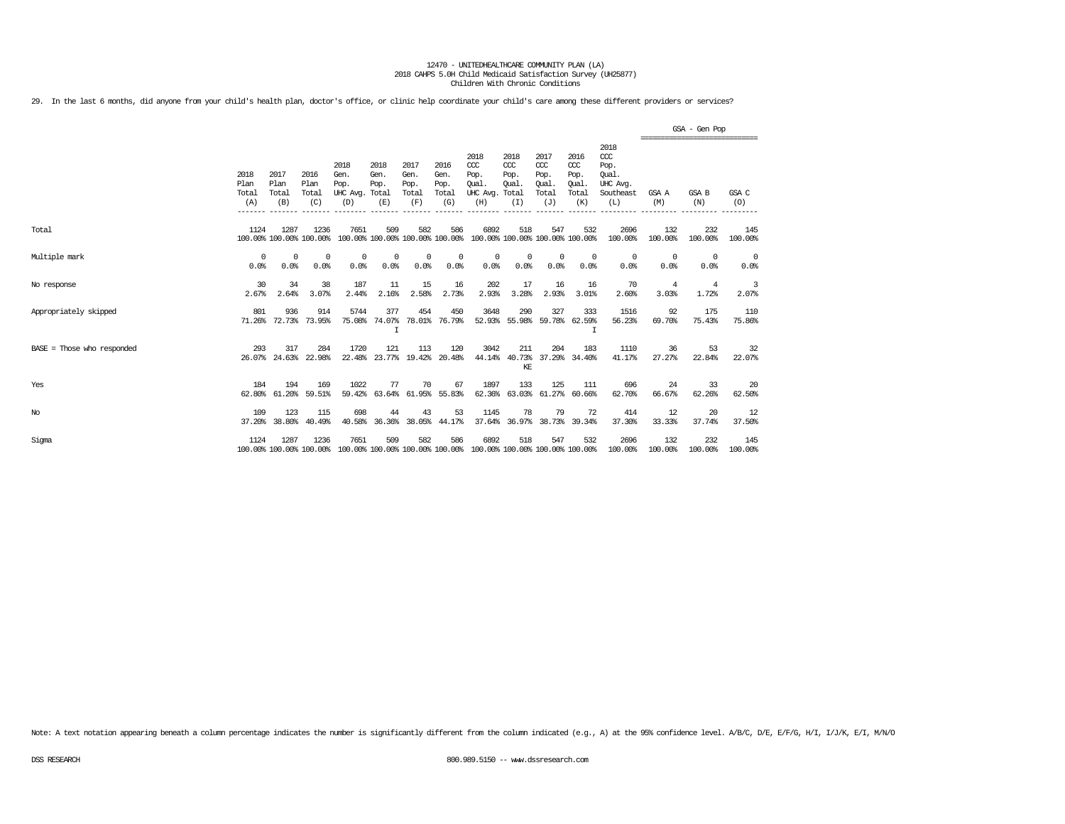29. In the last 6 months, did anyone from your child's health plan, doctor's office, or clinic help coordinate your child's care among these different providers or services?

|                              |                              |                              |                                 |                                         |                                        |                                      |                                      |                                                                         |                                              |                                                   |                                              |                                                              |                        | GSA - Gen Pop                                   |                        |
|------------------------------|------------------------------|------------------------------|---------------------------------|-----------------------------------------|----------------------------------------|--------------------------------------|--------------------------------------|-------------------------------------------------------------------------|----------------------------------------------|---------------------------------------------------|----------------------------------------------|--------------------------------------------------------------|------------------------|-------------------------------------------------|------------------------|
|                              | 2018<br>Plan<br>Total<br>(A) | 2017<br>Plan<br>Total<br>(B) | 2016<br>Plan<br>Total<br>(C)    | 2018<br>Gen.<br>Pop.<br>UHC Avg.<br>(D) | 2018<br>Gen.<br>Pop.<br>Total<br>(E)   | 2017<br>Gen.<br>Pop.<br>Total<br>(F) | 2016<br>Gen.<br>Pop.<br>Total<br>(G) | 2018<br>$CC$<br>Pop.<br>Oual.<br>UHC Avg.<br>(H)                        | 2018<br>CCC<br>Pop.<br>Qual.<br>Total<br>(I) | 2017<br>$\alpha$<br>Pop.<br>Oual.<br>Total<br>(J) | 2016<br>ccc<br>Pop.<br>Oual.<br>Total<br>(K) | 2018<br>ccc<br>Pop.<br>Oual.<br>UHC Avg.<br>Southeast<br>(L) | GSA A<br>(M)           | -------------------------------<br>GSA B<br>(N) | GSA C<br>(O)           |
| Total                        | 1124                         | 1287                         | 1236<br>100.00% 100.00% 100.00% | 7651                                    | 509<br>100.00% 100.00% 100.00% 100.00% | 582                                  | 586                                  | 6892                                                                    | 518                                          | 547                                               | 532<br>100.00% 100.00% 100.00% 100.00%       | 2696<br>100.00%                                              | 132<br>100.00%         | 232<br>100.00%                                  | 145<br>100.00%         |
| Multiple mark                | $^{\circ}$<br>0.0%           | $^{\circ}$<br>0.0%           | $^{\circ}$<br>0.0%              | $^{\circ}$<br>0.0%                      | 0<br>0.0%                              | $^{\circ}$<br>0.0%                   | 0<br>0.0%                            | $^{\circ}$<br>0.0%                                                      | $^{\circ}$<br>0.0%                           | $^{\circ}$<br>0.0%                                | $^{\circ}$<br>0.0%                           | $\circ$<br>0.0%                                              | $\overline{0}$<br>0.0% | $^{\circ}$<br>0.0%                              | $\overline{0}$<br>0.0% |
| No response                  | 30<br>2.67%                  | 34<br>2.64%                  | 38<br>3.07%                     | 187<br>2.44%                            | 11<br>2.16%                            | 15<br>2.58%                          | 16<br>2.73%                          | 202<br>2.93%                                                            | 17<br>3.28%                                  | 16<br>2.93%                                       | 16<br>3.01%                                  | 70<br>2.60%                                                  | 4<br>3.03%             | $\overline{4}$<br>1.72%                         | 3<br>2.07%             |
| Appropriately skipped        | 801                          | 936                          | 914<br>71.26% 72.73% 73.95%     | 5744<br>75.08%                          | 377<br>74.07%                          | 454                                  | 450<br>78.01% 76.79%                 | 3648                                                                    | 290                                          | 327<br>52.93% 55.98% 59.78% 62.59%                | 333                                          | 1516<br>56.23%                                               | 92<br>69.70%           | 175<br>75.43%                                   | 110<br>75.86%          |
| $BASE = Those who responded$ | 293                          | 317<br>26.07% 24.63%         | 284<br>22.98%                   | 1720<br>22.48%                          | 121<br>23.77%                          | 113                                  | 120<br>19.42% 20.48%                 | 3042                                                                    | 211<br>KE                                    | 204                                               | 183<br>44.14% 40.73% 37.29% 34.40%           | 1110<br>41.17%                                               | 36<br>27.27%           | 53<br>22.84%                                    | 32<br>22.07%           |
| Yes                          | 184<br>62.80%                | 194<br>61.20%                | 169<br>59.51%                   | 1022<br>59.42%                          | 77<br>63.64%                           | 70                                   | 67<br>61.95% 55.83%                  | 1897                                                                    | 133                                          | 125<br>62.36% 63.03% 61.27%                       | 111<br>60.66%                                | 696<br>62.70%                                                | 24<br>66.67%           | 33<br>62.26%                                    | 20<br>62.50%           |
| No                           | 109<br>37.20%                | 123<br>38.80%                | 115<br>40.49%                   | 698<br>40.58%                           | 44<br>36.36%                           | 43                                   | 53<br>38.05% 44.17%                  | 1145                                                                    | 78                                           | 79                                                | 72<br>37.64% 36.97% 38.73% 39.34%            | 414<br>37.30%                                                | 12<br>33.33%           | 20<br>37.74%                                    | 12<br>37.50%           |
| Sigma                        | 1124                         | 1287                         | 1236<br>100.00% 100.00% 100.00% | 7651                                    | 509                                    | 582                                  | 586                                  | 6892<br>100.00% 100.00% 100.00% 100.00% 100.00% 100.00% 100.00% 100.00% | 518                                          | 547                                               | 532                                          | 2696<br>100.00%                                              | 132<br>100.00%         | 232<br>100.00%                                  | 145<br>100.00%         |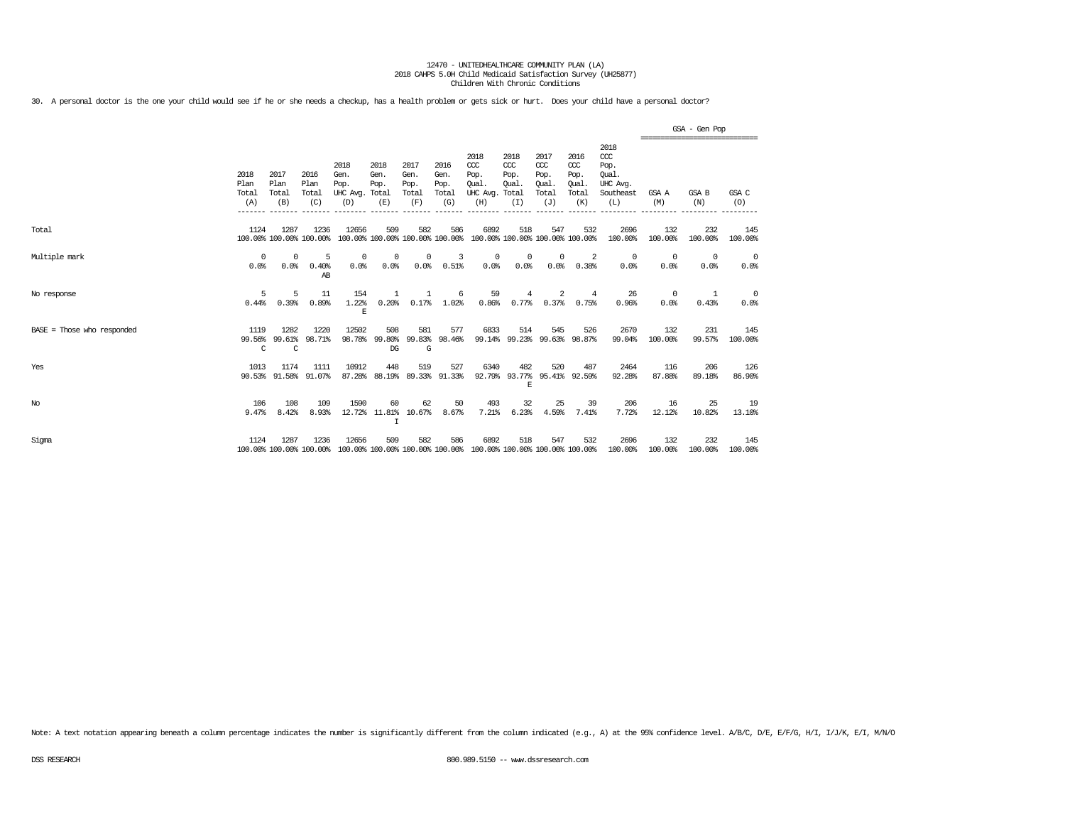30. A personal doctor is the one your child would see if he or she needs a checkup, has a health problem or gets sick or hurt. Does your child have a personal doctor?

|                              |                              |                              |                                 |                                               |                                            |                                      |                                      |                                                                         |                                               |                                                   |                                                   |                                                                   |                        | GSA - Gen Pop<br>================================ |                                 |
|------------------------------|------------------------------|------------------------------|---------------------------------|-----------------------------------------------|--------------------------------------------|--------------------------------------|--------------------------------------|-------------------------------------------------------------------------|-----------------------------------------------|---------------------------------------------------|---------------------------------------------------|-------------------------------------------------------------------|------------------------|---------------------------------------------------|---------------------------------|
|                              | 2018<br>Plan<br>Total<br>(A) | 2017<br>Plan<br>Total<br>(B) | 2016<br>Plan<br>Total<br>(C)    | 2018<br>Gen.<br>Pop.<br>UHC Avg. Total<br>(D) | 2018<br>Gen.<br>Pop.<br>(E)                | 2017<br>Gen.<br>Pop.<br>Total<br>(F) | 2016<br>Gen.<br>Pop.<br>Total<br>(G) | 2018<br>CCC<br>Pop.<br>Qual.<br>UHC Avg.<br>(H)                         | 2018<br>$CC$<br>Pop.<br>Qual.<br>Total<br>(I) | 2017<br>$\alpha$<br>Pop.<br>Oual.<br>Total<br>(J) | 2016<br>$\alpha$<br>Pop.<br>Qual.<br>Total<br>(K) | 2018<br>$\alpha$<br>Pop.<br>Oual.<br>UHC Avg.<br>Southeast<br>(L) | GSA A<br>(M)           | GSA B<br>(N)                                      | GSA C<br>(O)                    |
| Total                        | 1124                         | 1287                         | 1236<br>100.00% 100.00% 100.00% | 12656                                         | 509                                        | 582                                  | 586                                  | 6892<br>100.00% 100.00% 100.00% 100.00% 100.00% 100.00% 100.00% 100.00% | 518                                           | 547                                               | 532                                               | 2696<br>100.00%                                                   | 132<br>100.00%         | 232<br>100.00%                                    | 145<br>100.00%                  |
| Multiple mark                | 0<br>0.0%                    | 0<br>0.0%                    | 5<br>0.40%<br>AB                | 0<br>0.0%                                     | 0<br>0.0%                                  | $^{\circ}$<br>0.0%                   | 3<br>0.51%                           | 0<br>0.0%                                                               | 0<br>0.0%                                     | 0<br>0.0%                                         | 2<br>0.38%                                        | $\circ$<br>0.0%                                                   | $\overline{0}$<br>0.0% | 0<br>0.0%                                         | $\overline{\mathbf{0}}$<br>0.0% |
| No response                  | 5<br>0.44%                   | 5<br>0.39%                   | 11<br>0.89%                     | 154<br>1.22%<br>E                             | 1<br>0.20%                                 | 0.17%                                | 6<br>1.02%                           | 59<br>0.86%                                                             | 4<br>0.77%                                    | 2<br>0.37%                                        | 4<br>0.75%                                        | 26<br>0.96%                                                       | 0<br>0.0%              | -1<br>0.43%                                       | $\overline{0}$<br>0.0%          |
| $BASE = Those who responded$ | 1119<br>99.56%<br>C          | 1282<br>99.61%<br>C          | 1220<br>98.71%                  | 12502<br>98.78%                               | 508<br>99.80%<br>DG                        | 581<br>99.83%<br>G                   | 577<br>98.46%                        | 6833                                                                    | 514                                           | 545<br>99.14% 99.23% 99.63% 98.87%                | 526                                               | 2670<br>99.04%                                                    | 132<br>100.00%         | 231<br>99.57%                                     | 145<br>100.00%                  |
| Yes                          | 1013                         | 1174<br>90.53% 91.58%        | 1111<br>91.07%                  | 10912<br>87.28%                               | 448<br>88.19% 89.33% 91.33%                | 519                                  | 527                                  | 6340                                                                    | 482<br>F.                                     | 520<br>92.79% 93.77% 95.41% 92.59%                | 487                                               | 2464<br>92.28%                                                    | 116<br>87.88%          | 206<br>89.18%                                     | 126<br>86.90%                   |
| No                           | 106<br>9.47%                 | 108<br>8.42%                 | 109<br>8.93%                    | 1590                                          | 60<br>12.72% 11.81% 10.67%<br>$\mathsf{T}$ | 62                                   | 50<br>8.67%                          | 493<br>7.21%                                                            | 32<br>6.23%                                   | 25<br>4.59%                                       | 39<br>7.41%                                       | 206<br>7.72%                                                      | 16<br>12.12%           | 25<br>10.82%                                      | 19<br>13.10%                    |
| Sigma                        | 1124                         | 1287                         | 1236<br>100.00% 100.00% 100.00% | 12656                                         | 509                                        | 582                                  | 586                                  | 6892<br>100.00% 100.00% 100.00% 100.00% 100.00% 100.00% 100.00% 100.00% | 518                                           | 547                                               | 532                                               | 2696<br>100.00%                                                   | 132<br>100.00%         | 232<br>100.00%                                    | 145<br>100.00%                  |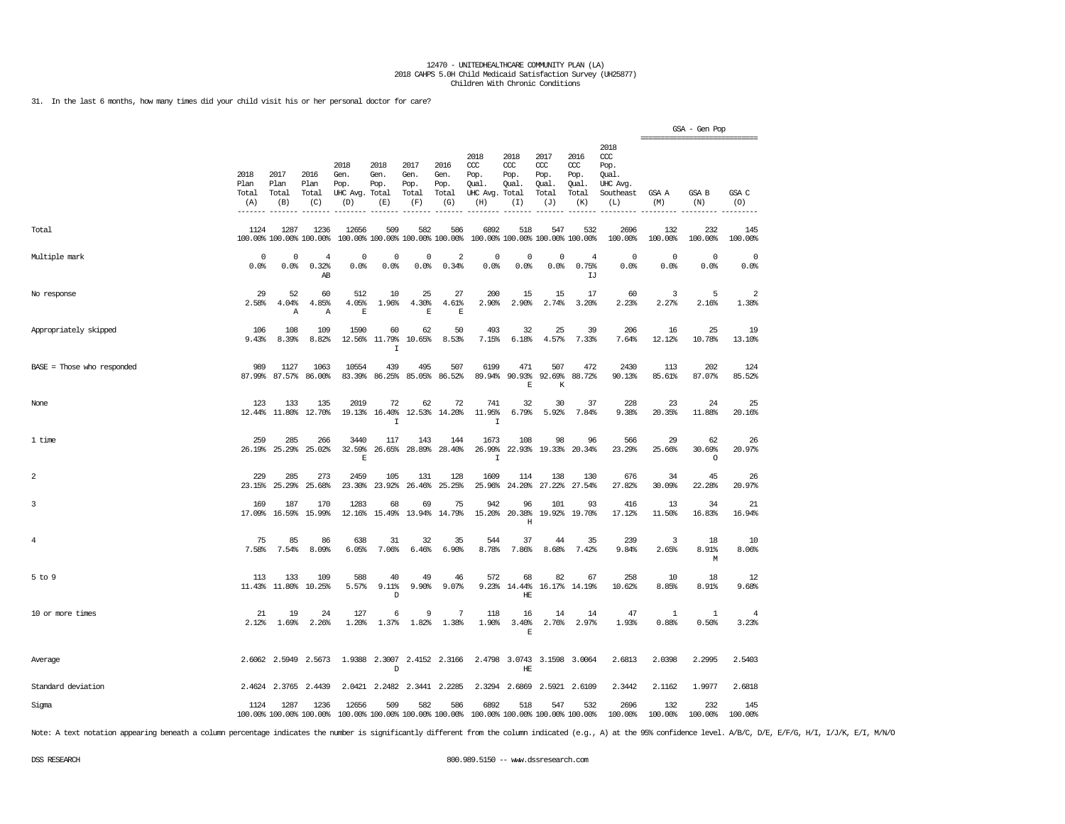31. In the last 6 months, how many times did your child visit his or her personal doctor for care?

|                              |                              |                                 |                               |                                         |                                        |                                      |                                      |                                                                                                 |                                     |                                              |                                              |                                                              |                         | GSA - Gen Pop           |                |
|------------------------------|------------------------------|---------------------------------|-------------------------------|-----------------------------------------|----------------------------------------|--------------------------------------|--------------------------------------|-------------------------------------------------------------------------------------------------|-------------------------------------|----------------------------------------------|----------------------------------------------|--------------------------------------------------------------|-------------------------|-------------------------|----------------|
|                              | 2018<br>Plan<br>Total<br>(A) | 2017<br>Plan<br>Total<br>(B)    | 2016<br>Plan<br>Total<br>(C)  | 2018<br>Gen.<br>Pop.<br>UHC Avg.<br>(D) | 2018<br>Gen.<br>Pop.<br>Total<br>(E)   | 2017<br>Gen.<br>Pop.<br>Total<br>(F) | 2016<br>Gen.<br>Pop.<br>Total<br>(G) | 2018<br>CCC<br>Pop.<br>Qual.<br>UHC Avg. Total<br>(H)                                           | 2018<br>ccc<br>Pop.<br>Qual.<br>(I) | 2017<br>ccc<br>Pop.<br>Qual.<br>Total<br>(J) | 2016<br>ccc<br>Pop.<br>Qual.<br>Total<br>(K) | 2018<br>ccc<br>Pop.<br>Oual.<br>UHC Avg.<br>Southeast<br>(L) | GSA A<br>(M)            | GSA B<br>(N)            | GSA C<br>(0)   |
| Total                        | 1124                         | 1287<br>100.00% 100.00% 100.00% | 1236                          | 12656                                   | 509<br>100.00% 100.00% 100.00% 100.00% | 582                                  | 586                                  | 6892                                                                                            | 518                                 | 547<br>100.00% 100.00% 100.00% 100.00%       | 532                                          | 2696<br>100.00%                                              | 132<br>100.00%          | 232<br>100.00%          | 145<br>100.00% |
| Multiple mark                | 0<br>0.0%                    | $\Omega$<br>0.0%                | $\overline{4}$<br>0.32%<br>AB | $\Omega$<br>0.0%                        | $^{\circ}$<br>0.0%                     | 0<br>0.0%                            | $\overline{2}$<br>0.34%              | 0<br>0.0%                                                                                       | 0<br>0.0%                           | $\mathbf 0$<br>0.0%                          | $\overline{4}$<br>0.75%<br>IJ                | $\mathbf 0$<br>0.0%                                          | $\circ$<br>0.0%         | $\mathbf 0$<br>0.0%     | 0<br>0.0%      |
| No response                  | 29<br>2.58%                  | 52<br>4.04%<br>$\mathbb{A}$     | 60<br>4.85%<br>Α              | 512<br>4.05%<br>E                       | 10<br>1.96%                            | 25<br>4.30%<br>E                     | 27<br>4.61%<br>E                     | 200<br>2.90%                                                                                    | 15<br>2.90%                         | 15<br>2.74%                                  | 17<br>3.20%                                  | 60<br>2.23%                                                  | 3<br>2.27%              | 5<br>2.16%              | 2<br>1.38%     |
| Appropriately skipped        | 106<br>9.43%                 | 108<br>8.39%                    | 109<br>8.82%                  | 1590<br>12.56%                          | 60<br>11.79%<br>$\mathbf I$            | 62<br>10.65%                         | 50<br>8.53%                          | 493<br>7.15%                                                                                    | 32<br>6.18%                         | 25<br>4.57%                                  | 39<br>7.33%                                  | 206<br>7.64%                                                 | 16<br>12.12%            | 25<br>10.78%            | 19<br>13.10%   |
| $BASE = Those who responded$ | 989<br>87.99%                | 1127<br>87.57%                  | 1063<br>86.00%                | 10554<br>83.39%                         | 439<br>86.25%                          | 495<br>85.05%                        | 507<br>86.52%                        | 6199<br>89.94%                                                                                  | 471<br>90.93%<br>$\mathbb E$        | 507<br>92.69%<br>К                           | 472<br>88.72%                                | 2430<br>90.13%                                               | 113<br>85.61%           | 202<br>87.07%           | 124<br>85.52%  |
| None                         | 123<br>12.44%                | 133<br>11.80%                   | 135<br>12.70%                 | 2019<br>19.13%                          | 72<br>16.40%<br>I                      | 62                                   | 72<br>12.53% 14.20%                  | 741<br>11.95%<br>$\mathbf I$                                                                    | 32<br>6.79%                         | 30<br>5.92%                                  | 37<br>7.84%                                  | 228<br>9.38%                                                 | 23<br>20.35%            | 24<br>11.88%            | 25<br>20.16%   |
| 1 time                       | 259<br>26.19%                | 285<br>25.29%                   | 266<br>25.02%                 | 3440<br>32.59%<br>F                     | 117<br>26.65%                          | 143<br>28.89%                        | 144<br>28.40%                        | 1673<br>26.99%<br>$\mathbf I$                                                                   | 108<br>22.93%                       | 98                                           | 96<br>19.33% 20.34%                          | 566<br>23.29%                                                | 29<br>25.66%            | 62<br>30.69%<br>$\circ$ | 26<br>20.97%   |
| $\overline{a}$               | 229<br>23.15%                | 285<br>25.29%                   | 273<br>25.68%                 | 2459<br>23.30%                          | 105<br>23.92%                          | 131<br>26.46%                        | 128<br>25.25%                        | 1609<br>25.96%                                                                                  | 114<br>24.20%                       | 138<br>27.22%                                | 130<br>27.54%                                | 676<br>27.82%                                                | 34<br>30.09%            | 45<br>22.28%            | 26<br>20.97%   |
| 3                            | 169<br>17.09%                | 187<br>16.59%                   | 170<br>15.99%                 | 1283<br>12.16%                          | 68<br>15.49%                           | 69<br>13.94%                         | 75<br>14.79%                         | 942<br>15.20%                                                                                   | 96<br>20.38%<br>$\mathbf H$         | 101                                          | 93<br>19.92% 19.70%                          | 416<br>17.12%                                                | 13<br>11.50%            | 34<br>16.83%            | 21<br>16.94%   |
| 4                            | 75<br>7.58%                  | 85<br>7.54%                     | 86<br>8.09%                   | 638<br>6.05%                            | 31<br>7.06%                            | 32<br>6.46%                          | 35<br>6.90%                          | 544<br>8.78%                                                                                    | 37<br>7.86%                         | 44<br>8.68%                                  | 35<br>7.42%                                  | 239<br>9.84%                                                 | $\overline{3}$<br>2.65% | 18<br>8.91%<br>M        | 10<br>8.06%    |
| $5$ to $9$                   | 113<br>11.43%                | 133<br>11.80%                   | 109<br>10.25%                 | 588<br>5.57%                            | 40<br>9.11%<br>D                       | 49<br>9.90%                          | 46<br>9.07%                          | 572<br>9.23%                                                                                    | 68<br>14.44%<br>HE                  | 82<br>16.17%                                 | 67<br>14.19%                                 | 258<br>10.62%                                                | 10<br>8.85%             | 18<br>8.91%             | 12<br>9.68%    |
| 10 or more times             | 21<br>2.12%                  | 19<br>1.69%                     | 24<br>2.26%                   | 127<br>1.20%                            | 6<br>1.37%                             | 9<br>1.82%                           | 7<br>1.38%                           | 118<br>1.90%                                                                                    | 16<br>3.40%<br>$\mathbb E$          | 14<br>2.76%                                  | 14<br>2.97%                                  | 47<br>1.93%                                                  | 1<br>0.88%              | $\mathbf{1}$<br>0.50%   | 4<br>3.23%     |
| Average                      |                              | 2.6062 2.5949                   | 2.5673                        |                                         | 1.9388 2.3007<br>D                     |                                      | 2.4152 2.3166                        |                                                                                                 | 2.4798 3.0743<br>$\rm{HE}$          |                                              | 3.1598 3.0064                                | 2.6813                                                       | 2.0398                  | 2.2995                  | 2.5403         |
| Standard deviation           |                              | 2.4624 2.3765                   | 2.4439                        |                                         | 2.0421 2.2482                          |                                      | 2.3441 2.2285                        |                                                                                                 | 2.3294 2.6869                       |                                              | 2.5921 2.6109                                | 2.3442                                                       | 2.1162                  | 1.9977                  | 2.6818         |
| Sigma                        | 1124                         | 1287                            | 1236                          | 12656                                   | 509                                    | 582                                  | 586                                  | 6892<br>100.00% 100.00% 100.00% 100.00% 100.00% 100.00% 100.00% 100.00% 100.00% 100.00% 100.00% | 518                                 | 547                                          | 532                                          | 2696<br>100.00%                                              | 132<br>100.00%          | 232<br>100.00%          | 145<br>100.00% |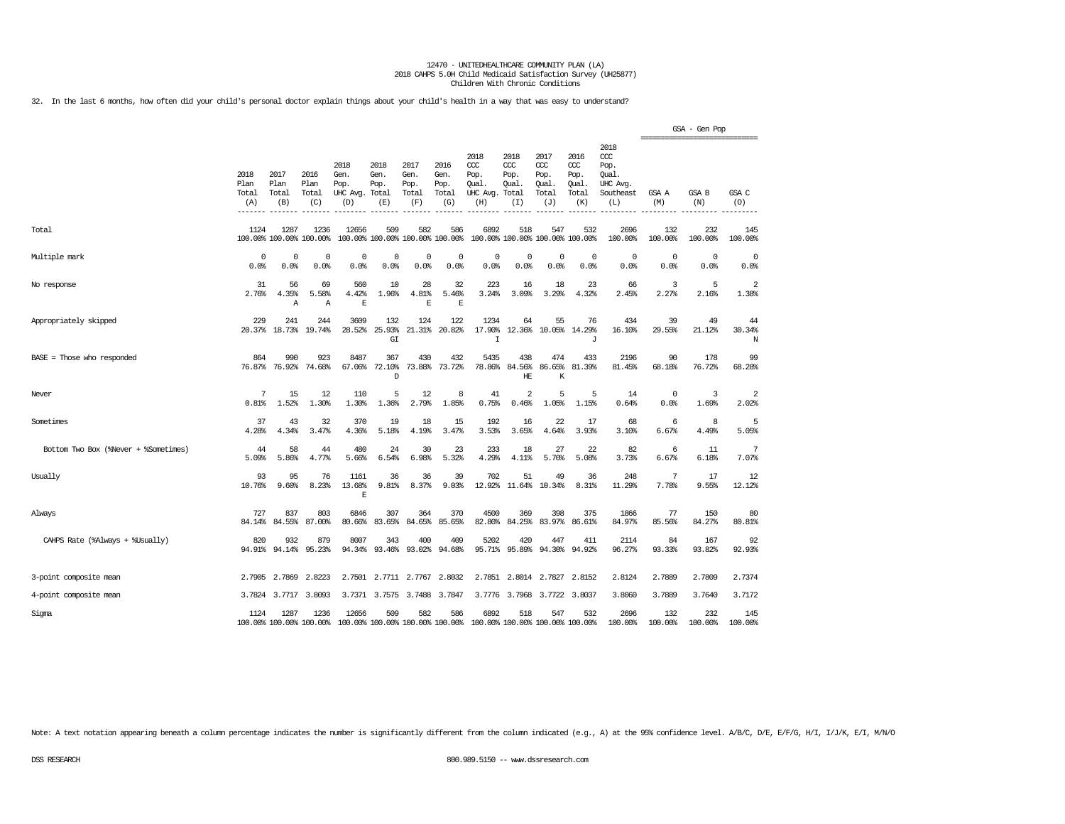32. In the last 6 months, how often did your child's personal doctor explain things about your child's health in a way that was easy to understand?

|                                      |                              |                                 |                              |                                               |                             |                                        |                                      |                                                 |                                              |                                              |                                              |                                                                   | =============================== | GSA - Gen Pop  |                     |
|--------------------------------------|------------------------------|---------------------------------|------------------------------|-----------------------------------------------|-----------------------------|----------------------------------------|--------------------------------------|-------------------------------------------------|----------------------------------------------|----------------------------------------------|----------------------------------------------|-------------------------------------------------------------------|---------------------------------|----------------|---------------------|
|                                      | 2018<br>Plan<br>Total<br>(A) | 2017<br>Plan<br>Total<br>(B)    | 2016<br>Plan<br>Total<br>(C) | 2018<br>Gen.<br>Pop.<br>UHC Avg. Total<br>(D) | 2018<br>Gen.<br>Pop.<br>(E) | 2017<br>Gen.<br>Pop.<br>Total<br>(F)   | 2016<br>Gen.<br>Pop.<br>Total<br>(G) | 2018<br>CCC<br>Pop.<br>Qual.<br>UHC Avg.<br>(H) | 2018<br>ccc<br>Pop.<br>Oual.<br>Total<br>(I) | 2017<br>ccc<br>Pop.<br>Oual.<br>Total<br>(J) | 2016<br>ccc<br>Pop.<br>Oual.<br>Total<br>(K) | 2018<br>$\alpha$<br>Pop.<br>Oual.<br>UHC Avg.<br>Southeast<br>(L) | GSA A<br>(M)                    | GSA B<br>(N)   | GSA C<br>(O)        |
| Total                                | 1124                         | 1287<br>100.00% 100.00% 100.00% | 1236                         | 12656                                         | 509                         | 582<br>100.00% 100.00% 100.00% 100.00% | 586                                  | 6892                                            | 518                                          | 547<br>100.00% 100.00% 100.00% 100.00%       | 532                                          | 2696<br>100.00%                                                   | 132<br>100.00%                  | 232<br>100.00% | 145<br>100.00%      |
| Multiple mark                        | 0<br>0.0%                    | $\Omega$<br>0.0%                | $^{\circ}$<br>0.0%           | 0<br>0.0%                                     | 0<br>0.0%                   | $^{\circ}$<br>0.0%                     | 0<br>0.0%                            | 0<br>0.0%                                       | 0<br>0.0%                                    | 0<br>0.0%                                    | 0<br>0.0%                                    | 0<br>0.0%                                                         | $\mathbf 0$<br>0.0%             | 0<br>0.0%      | $\mathbf 0$<br>0.0% |
| No response                          | 31<br>2.76%                  | 56<br>4.35%<br>Α                | 69<br>5.58%<br>Α             | 560<br>4.42%<br>E                             | 10<br>1.96%                 | 28<br>4.81%<br>$\mathbf E$             | 32<br>5.46%<br>$\mathbf E$           | 223<br>3.24%                                    | 16<br>3.09%                                  | 18<br>3.29%                                  | 23<br>4.32%                                  | 66<br>2.45%                                                       | 3<br>2.27%                      | 5<br>2.16%     | 2<br>1.38%          |
| Appropriately skipped                | 229<br>20.37%                | 241<br>18.73%                   | 244<br>19.74%                | 3609<br>28.52%                                | 132<br>25.93%<br>G I        | 124<br>21.31%                          | 122<br>20.82%                        | 1234<br>17.90%<br>$\mathsf{T}$                  | 64<br>12.36%                                 | 55<br>10.05%                                 | 76<br>14.29%<br>J                            | 434<br>16.10%                                                     | 39<br>29.55%                    | 49<br>21.12%   | 44<br>30.34%<br>N   |
| BASE = Those who responded           | 864<br>76.87%                | 990<br>76.92%                   | 923<br>74.68%                | 8487<br>67.06%                                | 367<br>72.10%<br>D          | 430<br>73.88%                          | 432<br>73.72%                        | 5435<br>78.86%                                  | 438<br>84.56%<br>HE                          | 474<br>86.65%<br>$\rm K$                     | 433<br>81.39%                                | 2196<br>81.45%                                                    | 90<br>68.18%                    | 178<br>76.72%  | 99<br>68.28%        |
| Never                                | 7<br>0.81%                   | 15<br>1.52%                     | 12<br>1.30%                  | 110<br>1.30%                                  | 5<br>1.36%                  | 12<br>2.79%                            | 8<br>1.85%                           | 41<br>0.75%                                     | 2<br>0.46%                                   | 5<br>1.05%                                   | 5<br>1.15%                                   | 14<br>0.64%                                                       | $\mathbf 0$<br>0.0%             | 3<br>1.69%     | 2<br>2.02%          |
| Sometimes                            | 37<br>4.28%                  | 43<br>4.34%                     | 32<br>3.47%                  | 370<br>4.36%                                  | 19<br>5.18%                 | 18<br>4.19%                            | 15<br>3.47%                          | 192<br>3.53%                                    | 16<br>3.65%                                  | 22<br>4.64%                                  | 17<br>3.93%                                  | 68<br>3.10%                                                       | 6<br>6.67%                      | 8<br>4.49%     | 5<br>5.05%          |
| Bottom Two Box (%Never + %Sometimes) | 44<br>5.09%                  | 58<br>5.86%                     | 44<br>4.77%                  | 480<br>5.66%                                  | 24<br>6.54%                 | 30<br>6.98%                            | 23<br>5.32%                          | 233<br>4.29%                                    | 18<br>4.11%                                  | 27<br>5.70%                                  | 22<br>5.08%                                  | 82<br>3.73%                                                       | 6<br>6.67%                      | 11<br>6.18%    | 7<br>7.07%          |
| Usually                              | 93<br>10.76%                 | 95<br>9.60%                     | 76<br>8.23%                  | 1161<br>13.68%<br>$\mathbf E$                 | 36<br>9.81%                 | 36<br>8.37%                            | 39<br>9.03%                          | 702<br>12.92%                                   | 51<br>11.64%                                 | 49<br>10.34%                                 | 36<br>8.31%                                  | 248<br>11.29%                                                     | 7<br>7.78%                      | 17<br>9.55%    | 12<br>12.12%        |
| Always                               | 727<br>84.14%                | 837<br>84.55%                   | 803<br>87.00%                | 6846<br>80.66%                                | 307<br>83.65%               | 364<br>84.65%                          | 370<br>85.65%                        | 4500<br>82.80%                                  | 369<br>84.25%                                | 398<br>83.97%                                | 375<br>86.61%                                | 1866<br>84.97%                                                    | 77<br>85.56%                    | 150<br>84.27%  | 80<br>80.81%        |
| CAHPS Rate (%Always + %Usually)      | 820<br>94.91%                | 932<br>94.14%                   | 879<br>95.23%                | 8007<br>94.34%                                | 343<br>93.46%               | 400<br>93.02%                          | 409<br>94.68%                        | 5202<br>95.71%                                  | 420<br>95.89%                                | 447<br>94.30%                                | 411<br>94.92%                                | 2114<br>96.27%                                                    | 84<br>93.33%                    | 167<br>93.82%  | 92<br>92.93%        |
| 3-point composite mean               | 2.7905                       | 2.7869                          | 2.8223                       | 2.7501                                        | 2.7711                      | 2.7767                                 | 2.8032                               | 2.7851                                          |                                              | 2.8014 2.7827                                | 2.8152                                       | 2.8124                                                            | 2.7889                          | 2.7809         | 2.7374              |
| 4-point composite mean               | 3.7824                       | 3.7717                          | 3.8093                       | 3.7371                                        | 3.7575                      | 3.7488                                 | 3.7847                               | 3.7776                                          | 3.7968                                       | 3.7722                                       | 3.8037                                       | 3.8060                                                            | 3.7889                          | 3.7640         | 3.7172              |
| Sigma                                | 1124                         | 1287<br>100.00% 100.00% 100.00% | 1236                         | 12656                                         | 509                         | 582<br>100.00% 100.00% 100.00% 100.00% | 586                                  | 6892                                            | 518                                          | 547<br>100.00% 100.00% 100.00% 100.00%       | 532                                          | 2696<br>100.00%                                                   | 132<br>100.00%                  | 232<br>100.00% | 145<br>100.00%      |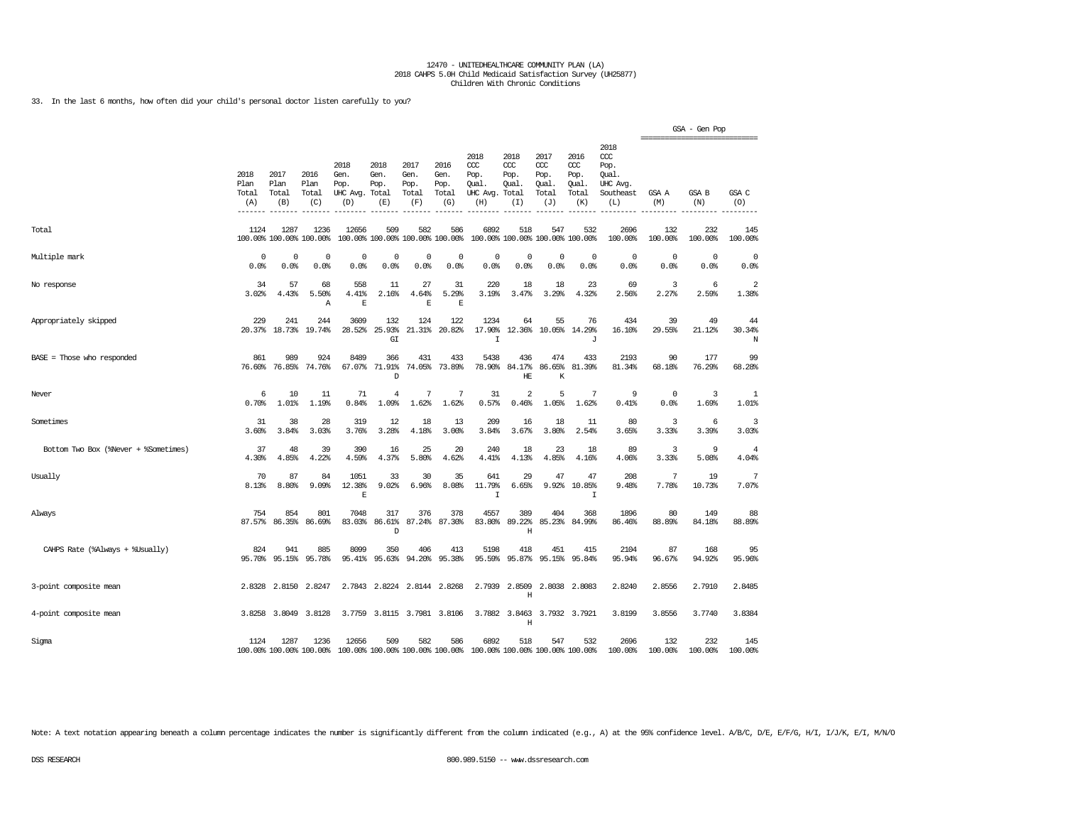33. In the last 6 months, how often did your child's personal doctor listen carefully to you?

|                                      |                              |                              |                                 |                                         |                                      |                                      |                                        |                                                       |                                        |                                              |                                              |                                                                   |                | GSA - Gen Pop<br>================================ |                                  |
|--------------------------------------|------------------------------|------------------------------|---------------------------------|-----------------------------------------|--------------------------------------|--------------------------------------|----------------------------------------|-------------------------------------------------------|----------------------------------------|----------------------------------------------|----------------------------------------------|-------------------------------------------------------------------|----------------|---------------------------------------------------|----------------------------------|
|                                      | 2018<br>Plan<br>Total<br>(A) | 2017<br>Plan<br>Total<br>(B) | 2016<br>Plan<br>Total<br>(C)    | 2018<br>Gen.<br>Pop.<br>UHC Avg.<br>(D) | 2018<br>Gen.<br>Pop.<br>Total<br>(E) | 2017<br>Gen.<br>Pop.<br>Total<br>(F) | 2016<br>Gen.<br>Pop.<br>Total<br>(G)   | 2018<br>ccc<br>Pop.<br>Qual.<br>UHC Avg. Total<br>(H) | 2018<br>CCC<br>Pop.<br>Qual.<br>(I)    | 2017<br>ccc<br>Pop.<br>Qual.<br>Total<br>(J) | 2016<br>ccc<br>Pop.<br>Qual.<br>Total<br>(K) | 2018<br>$\alpha$<br>Pop.<br>Qual.<br>UHC Avg.<br>Southeast<br>(L) | GSA A<br>(M)   | GSA B<br>(N)                                      | GSA C<br>(O)                     |
| Total                                | 1124                         | 1287                         | 1236<br>100.00% 100.00% 100.00% | 12656                                   | 509                                  | 582                                  | 586<br>100.00% 100.00% 100.00% 100.00% | 6892                                                  | 518<br>100.00% 100.00% 100.00% 100.00% | 547                                          | 532                                          | 2696<br>100.00%                                                   | 132<br>100.00% | 232<br>100.00%                                    | 145<br>100.00%                   |
| Multiple mark                        | 0<br>0.0%                    | 0<br>0.0%                    | 0<br>0.0%                       | $\mathbf 0$<br>0.0%                     | $\mathbf 0$<br>0.0%                  | $\mathbf 0$<br>0.0%                  | $\mathbf 0$<br>0.0%                    | $\Omega$<br>0.0%                                      | 0<br>0.0%                              | 0<br>0.0%                                    | $\mathbf 0$<br>0.0%                          | $\circ$<br>0.0%                                                   | 0<br>0.0%      | $\mathbf 0$<br>0.0%                               | 0<br>0.0%                        |
| No response                          | 34<br>3.02%                  | 57<br>4.43%                  | 68<br>5.50%<br>Α                | 558<br>4.41%<br>E                       | 11<br>2.16%                          | 27<br>4.64%<br>$\mathbf E$           | 31<br>5.29%<br>$\mathbb E$             | 220<br>3.19%                                          | 18<br>3.47%                            | 18<br>3.29%                                  | 23<br>4.32%                                  | 69<br>2.56%                                                       | 3<br>2.27%     | 6<br>2.59%                                        | $\overline{\mathbf{2}}$<br>1.38% |
| Appropriately skipped                | 229<br>20.37%                | 241<br>18.73%                | 244<br>19.74%                   | 3609<br>28.52%                          | 132<br>25.93%<br>GI                  | 124<br>21.31%                        | 122<br>20.82%                          | 1234<br>17.90%<br>$\mathsf{T}$                        | 64<br>12.36%                           | 55                                           | 76<br>10.05% 14.29%<br>J                     | 434<br>16.10%                                                     | 39<br>29.55%   | 49<br>21.12%                                      | 44<br>30.34%<br>N                |
| $BASE = Those who responded$         | 861<br>76.60%                | 989<br>76.85%                | 924<br>74.76%                   | 8489<br>67.07%                          | 366<br>71.91%<br>D                   | 431<br>74.05%                        | 433<br>73.89%                          | 5438<br>78.90%                                        | 436<br>84.17%<br>HE                    | 474<br>86.65%<br>K                           | 433<br>81.39%                                | 2193<br>81.34%                                                    | 90<br>68.18%   | 177<br>76.29%                                     | 99<br>68.28%                     |
| Never                                | 6<br>0.70%                   | 10<br>1.01%                  | 11<br>1.19%                     | 71<br>0.84%                             | 4<br>1.09%                           | 7<br>1.62%                           | 7<br>1.62%                             | 31<br>0.57%                                           | 2<br>0.46%                             | 5<br>1.05%                                   | 7<br>1.62%                                   | 9<br>0.41%                                                        | 0<br>0.0%      | 3<br>1.69%                                        | 1<br>1.01%                       |
| Sometimes                            | 31<br>3.60%                  | 38<br>3.84%                  | 28<br>3.03%                     | 319<br>3.76%                            | 12<br>3.28%                          | 18<br>4.18%                          | 13<br>3.00%                            | 209<br>3.84%                                          | 16<br>3.67%                            | 18<br>3.80%                                  | 11<br>2.54%                                  | 80<br>3.65%                                                       | 3<br>3.33%     | 6<br>3.39%                                        | 3<br>3.03%                       |
| Bottom Two Box (%Never + %Sometimes) | 37<br>4.30%                  | 48<br>4.85%                  | 39<br>4.22%                     | 390<br>4.59%                            | 16<br>4.37%                          | 25<br>5.80%                          | 20<br>4.62%                            | 240<br>4.41%                                          | 18<br>4.13%                            | 23<br>4.85%                                  | 18<br>4.16%                                  | 89<br>4.06%                                                       | 3<br>3.33%     | 9<br>5.08%                                        | $\overline{4}$<br>4.04%          |
| Usually                              | 70<br>8.13%                  | 87<br>8.80%                  | 84<br>9.09%                     | 1051<br>12.38%<br>E                     | 33<br>9.02%                          | 30<br>6.96%                          | 35<br>8.08%                            | 641<br>11.79%<br>$\mathbf I$                          | 29<br>6.65%                            | 47<br>9.92%                                  | 47<br>10.85%<br>I                            | 208<br>9.48%                                                      | 7<br>7.78%     | 19<br>10.73%                                      | 7<br>7.07%                       |
| Always                               | 754<br>87.57%                | 854<br>86.35%                | 801<br>86.69%                   | 7048<br>83.03%                          | 317<br>86.61%<br>D                   | 376<br>87.24%                        | 378<br>87.30%                          | 4557<br>83.80%                                        | 389<br>89.22%<br>Η                     | 404<br>85.23%                                | 368<br>84.99%                                | 1896<br>86.46%                                                    | 80<br>88.89%   | 149<br>84.18%                                     | 88<br>88.89%                     |
| CAHPS Rate (%Always + %Usually)      | 824<br>95.70%                | 941<br>95.15%                | 885<br>95.78%                   | 8099<br>95.41%                          | 350<br>95.63%                        | 406<br>94.20%                        | 413<br>95.38%                          | 5198<br>95.59%                                        | 418<br>95.87%                          | 451<br>95.15%                                | 415<br>95.84%                                | 2104<br>95.94%                                                    | 87<br>96.67%   | 168<br>94.92%                                     | 95<br>95.96%                     |
| 3-point composite mean               | 2.8328                       | 2.8150                       | 2.8247                          |                                         | 2.7843 2.8224                        | 2.8144                               | 2.8268                                 | 2.7939                                                | 2.8509<br>Η                            |                                              | 2.8038 2.8083                                | 2.8240                                                            | 2.8556         | 2.7910                                            | 2.8485                           |
| 4-point composite mean               |                              | 3.8258 3.8049                | 3.8128                          |                                         |                                      |                                      | 3.7759 3.8115 3.7981 3.8106            |                                                       | 3.7882 3.8463<br>H                     |                                              | 3.7932 3.7921                                | 3.8199                                                            | 3.8556         | 3.7740                                            | 3.8384                           |
| Sigma                                | 1124                         | 1287                         | 1236<br>100.00% 100.00% 100.00% | 12656                                   | 509                                  | 582                                  | 586<br>100.00% 100.00% 100.00% 100.00% | 6892<br>100.00% 100.00% 100.00% 100.00%               | 518                                    | 547                                          | 532                                          | 2696<br>100.00%                                                   | 132<br>100.00% | 232<br>100.00%                                    | 145<br>100.00%                   |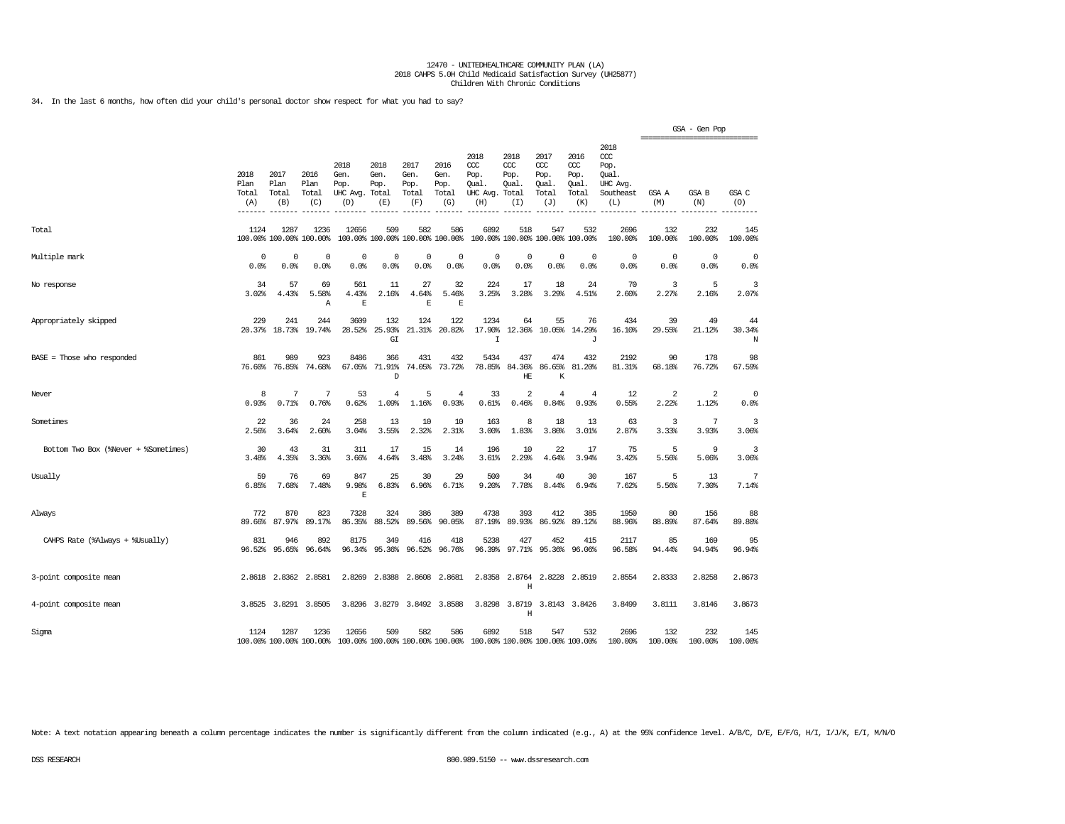34. In the last 6 months, how often did your child's personal doctor show respect for what you had to say?

|                                      |                              |                              |                                 |                                         |                                      |                                        |                                      |                                                                         |                                              |                                              |                                              |                                                                     | =============================== | GSA - Gen Pop       |                    |
|--------------------------------------|------------------------------|------------------------------|---------------------------------|-----------------------------------------|--------------------------------------|----------------------------------------|--------------------------------------|-------------------------------------------------------------------------|----------------------------------------------|----------------------------------------------|----------------------------------------------|---------------------------------------------------------------------|---------------------------------|---------------------|--------------------|
|                                      | 2018<br>Plan<br>Total<br>(A) | 2017<br>Plan<br>Total<br>(B) | 2016<br>Plan<br>Total<br>(C)    | 2018<br>Gen.<br>Pop.<br>UHC Avg.<br>(D) | 2018<br>Gen.<br>Pop.<br>Total<br>(E) | 2017<br>Gen.<br>Pop.<br>Total<br>(F)   | 2016<br>Gen.<br>Pop.<br>Total<br>(G) | 2018<br>CCC<br>Pop.<br>Qual.<br>UHC Avg.<br>(H)                         | 2018<br>CCC<br>Pop.<br>Qual.<br>Total<br>(I) | 2017<br>ccc<br>Pop.<br>Qual.<br>Total<br>(J) | 2016<br>ccc<br>Pop.<br>Qual.<br>Total<br>(K) | 2018<br><b>CCC</b><br>Pop.<br>Oual.<br>UHC Avg.<br>Southeast<br>(L) | GSA A<br>(M)                    | <b>GSA B</b><br>(N) | GSA C<br>(0)       |
| Total                                | 1124                         | 1287                         | 1236<br>100.00% 100.00% 100.00% | 12656                                   | 509                                  | 582<br>100.00% 100.00% 100.00% 100.00% | 586                                  | 6892                                                                    | 518                                          | 547<br>100.00% 100.00% 100.00% 100.00%       | 532                                          | 2696<br>100.00%                                                     | 132<br>100.00%                  | 232<br>100.00%      | 145<br>100.00%     |
| Multiple mark                        | $\Omega$<br>0.0%             | $^{\circ}$<br>0.0%           | $^{\circ}$<br>0.0%              | $\Omega$<br>0.0%                        | $\Omega$<br>0.0%                     | $^{\circ}$<br>0.0%                     | $\Omega$<br>0.0%                     | $\Omega$<br>0.0%                                                        | 0<br>0.0%                                    | $\Omega$<br>0.0%                             | $\Omega$<br>0.0%                             | $\Omega$<br>0.0%                                                    | $\mathbf 0$<br>0.0%             | $\Omega$<br>0.0%    | $^{\circ}$<br>0.0% |
| No response                          | 34<br>3.02%                  | 57<br>4.43%                  | 69<br>5.58%<br>Α                | 561<br>4.43%<br>$\mathbf E$             | 11<br>2.16%                          | 27<br>4.64%<br>$\mathbb E$             | 32<br>5.46%<br>E                     | 224<br>3.25%                                                            | 17<br>3.28%                                  | 18<br>3.29%                                  | 24<br>4.51%                                  | 70<br>2.60%                                                         | 3<br>2.27%                      | 5<br>2.16%          | 3<br>2.07%         |
| Appropriately skipped                | 229<br>20.37%                | 241<br>18.73%                | 244<br>19.74%                   | 3609<br>28.52%                          | 132<br>25.93%<br>GI                  | 124<br>21.31%                          | 122<br>20.82%                        | 1234<br>17.90%<br>$\top$                                                | 64<br>12.36%                                 | 55<br>10.05%                                 | 76<br>14.29%<br>J                            | 434<br>16.10%                                                       | 39<br>29.55%                    | 49<br>21.12%        | 44<br>30.34%<br>N  |
| BASE = Those who responded           | 861                          | 989<br>76.60% 76.85%         | 923<br>74.68%                   | 8486<br>67.05%                          | 366<br>71.91%<br>D                   | 431<br>74.05%                          | 432<br>73.72%                        | 5434<br>78.85%                                                          | 437<br>84.36%<br>HE                          | 474<br>86.65%<br>K                           | 432<br>81.20%                                | 2192<br>81.31%                                                      | 90<br>68.18%                    | 178<br>76.72%       | 98<br>67.59%       |
| Never                                | 8<br>0.93%                   | 7<br>0.71%                   | 7<br>0.76%                      | 53<br>0.62%                             | 4<br>1.09%                           | 5<br>1.16%                             | $\overline{4}$<br>0.93%              | 33<br>0.61%                                                             | $\overline{2}$<br>0.46%                      | $\overline{4}$<br>0.84%                      | $\overline{4}$<br>0.93%                      | 12<br>0.55%                                                         | 2<br>2.22%                      | 2<br>1.12%          | 0<br>0.0%          |
| Sometimes                            | 22<br>2.56%                  | 36<br>3.64%                  | 24<br>2.60%                     | 258<br>3.04%                            | 13<br>3.55%                          | 10<br>2.32%                            | 10<br>2.31%                          | 163<br>3.00%                                                            | 8<br>1.83%                                   | 18<br>3.80%                                  | 13<br>3.01%                                  | 63<br>2.87%                                                         | 3<br>3.33%                      | 7<br>3.93%          | 3<br>3.06%         |
| Bottom Two Box (%Never + %Sometimes) | 30<br>3.48%                  | 43<br>4.35%                  | 31<br>3.36%                     | 311<br>3.66%                            | 17<br>4.64%                          | 15<br>3.48%                            | 14<br>3.24%                          | 196<br>3.61%                                                            | 10<br>2.29%                                  | 22<br>4.64%                                  | 17<br>3.94%                                  | 75<br>3.42%                                                         | 5<br>5.56%                      | 9<br>5.06%          | 3<br>3.06%         |
| Usually                              | 59<br>6.85%                  | 76<br>7.68%                  | 69<br>7.48%                     | 847<br>9.98%<br>$\mathbf E$             | 25<br>6.83%                          | 30<br>6.96%                            | 29<br>6.71%                          | 500<br>9.20%                                                            | 34<br>7.78%                                  | 40<br>8.44%                                  | 30<br>6.94%                                  | 167<br>7.62%                                                        | 5<br>5.56%                      | 13<br>7.30%         | 7<br>7.14%         |
| Always                               | 772<br>89.66%                | 870<br>87.97%                | 823<br>89.17%                   | 7328<br>86.35%                          | 324<br>88.52%                        | 386<br>89.56%                          | 389<br>90.05%                        | 4738<br>87.19%                                                          | 393<br>89.93%                                | 412<br>86.92%                                | 385<br>89.12%                                | 1950<br>88.96%                                                      | 80<br>88.89%                    | 156<br>87.64%       | 88<br>89.80%       |
| CAHPS Rate (%Always + %Usually)      | 831<br>96.52%                | 946<br>95.65%                | 892<br>96.64%                   | 8175<br>96.34%                          | 349<br>95.36%                        | 416<br>96.52%                          | 418<br>96.76%                        | 5238<br>96.39%                                                          | 427<br>97.71%                                | 452<br>95.36%                                | 415<br>96.06%                                | 2117<br>96.58%                                                      | 85<br>94.44%                    | 169<br>94.94%       | 95<br>96.94%       |
| 3-point composite mean               |                              | 2.8618 2.8362                | 2.8581                          | 2.8269                                  | 2.8388                               | 2.8608                                 | 2.8681                               | 2.8358                                                                  | 2.8764<br>Η                                  | 2.8228                                       | 2.8519                                       | 2.8554                                                              | 2.8333                          | 2.8258              | 2.8673             |
| 4-point composite mean               | 3.8525                       | 3.8291                       | 3.8505                          | 3.8206                                  | 3.8279                               | 3.8492                                 | 3.8588                               | 3.8298                                                                  | 3.8719<br>Η                                  | 3.8143                                       | 3.8426                                       | 3.8499                                                              | 3.8111                          | 3.8146              | 3.8673             |
| Sigma                                | 1124                         | 1287                         | 1236<br>100.00% 100.00% 100.00% | 12656                                   | 509                                  | 582                                    | 586                                  | 6892<br>100.00% 100.00% 100.00% 100.00% 100.00% 100.00% 100.00% 100.00% | 518                                          | 547                                          | 532                                          | 2696<br>100.00%                                                     | 132<br>100.00%                  | 232<br>100.00%      | 145<br>100.00%     |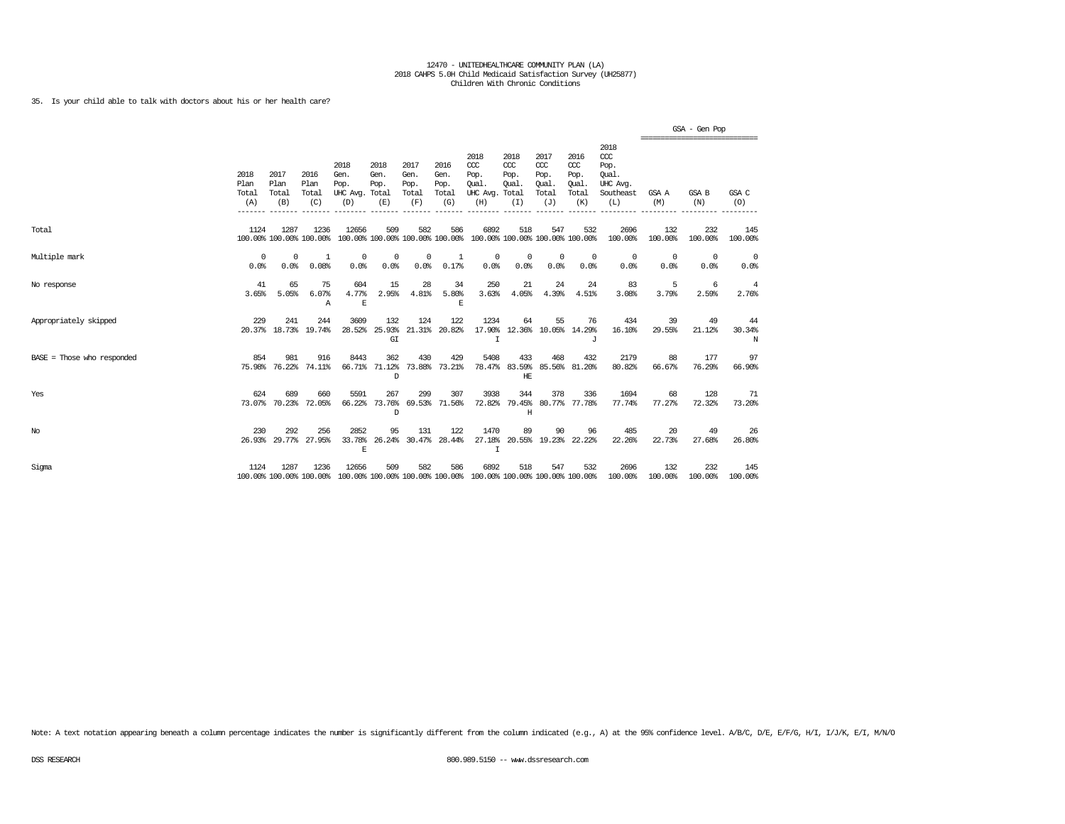# 35. Is your child able to talk with doctors about his or her health care?

|                              |                              |                                         |                                 |                                               |                                        |                                      |                                      |                                                                         |                                      |                                                   |                                              |                                                              |                                              | GSA - Gen Pop  |                    |
|------------------------------|------------------------------|-----------------------------------------|---------------------------------|-----------------------------------------------|----------------------------------------|--------------------------------------|--------------------------------------|-------------------------------------------------------------------------|--------------------------------------|---------------------------------------------------|----------------------------------------------|--------------------------------------------------------------|----------------------------------------------|----------------|--------------------|
|                              | 2018<br>Plan<br>Total<br>(A) | 2017<br>Plan<br>Total<br>(B)<br>------- | 2016<br>Plan<br>Total<br>(C)    | 2018<br>Gen.<br>Pop.<br>UHC Avg. Total<br>(D) | 2018<br>Gen.<br>Pop.<br>(E)            | 2017<br>Gen.<br>Pop.<br>Total<br>(F) | 2016<br>Gen.<br>Pop.<br>Total<br>(G) | 2018<br>CCC<br>Pop.<br>Oual.<br>UHC Avg. Total<br>(H)                   | 2018<br>$CC$<br>Pop.<br>Oual.<br>(I) | 2017<br>$\alpha$<br>Pop.<br>Oual.<br>Total<br>(J) | 2016<br>ccc<br>Pop.<br>Oual.<br>Total<br>(K) | 2018<br>ccc<br>Pop.<br>Oual.<br>UHC Avq.<br>Southeast<br>(L) | ----------------------------<br>GSA A<br>(M) | GSA B<br>(N)   | GSA C<br>(0)       |
| Total                        | 1124                         | 1287                                    | 1236<br>100.00% 100.00% 100.00% | 12656                                         | 509<br>100.00% 100.00% 100.00% 100.00% | 582                                  | 586                                  | 6892<br>100.00% 100.00% 100.00% 100.00%                                 | 518                                  | 547                                               | 532                                          | 2696<br>100.00%                                              | 132<br>100.00%                               | 232<br>100.00% | 145<br>100.00%     |
| Multiple mark                | $\Omega$<br>0.0%             | 0<br>0.0%                               | 1<br>0.08%                      | 0<br>0.0%                                     | 0<br>0.0%                              | 0<br>0.0%                            | 1<br>0.17%                           | 0<br>0.0%                                                               | 0<br>0.0%                            | $\circ$<br>0.0%                                   | $\mathbf{0}$<br>0.0%                         | 0<br>0.0%                                                    | 0<br>0.0%                                    | 0<br>0.0%      | $^{\circ}$<br>0.0% |
| No response                  | 41<br>3.65%                  | 65<br>5.05%                             | 75<br>6.07%<br>A                | 604<br>4.77%<br>E                             | 15<br>2.95%                            | 28<br>4.81%                          | 34<br>5.80%<br>E                     | 250<br>3.63%                                                            | 21<br>4.05%                          | 24<br>4.39%                                       | 24<br>4.51%                                  | 83<br>3.08%                                                  | 5<br>3.79%                                   | 6<br>2.59%     | 4<br>2.76%         |
| Appropriately skipped        | 229                          | 241                                     | 244<br>20.37% 18.73% 19.74%     | 3609                                          | 132<br>28.52% 25.93%<br>GI             | 124                                  | 122<br>21.31% 20.82%                 | 1234<br>$\mathbf I$                                                     | 64                                   | 55                                                | 76<br>17.90% 12.36% 10.05% 14.29%<br>T.      | 434<br>16.10%                                                | 39<br>29.55%                                 | 49<br>21.12%   | 44<br>30.34%<br>N  |
| $BASE = Those who responded$ | 854                          | 981<br>75.98% 76.22%                    | 916<br>74.11%                   | 8443                                          | 362<br>66.71% 71.12%<br>D              | 430                                  | 429<br>73.88% 73.21%                 | 5408                                                                    | 433<br>78.47% 83.59%<br>HE           | 468                                               | 432<br>85.56% 81.20%                         | 2179<br>80.82%                                               | 88<br>66.67%                                 | 177<br>76.29%  | 97<br>66.90%       |
| Yes                          | 624<br>73.07%                | 689<br>70.23%                           | 660<br>72.05%                   | 5591<br>66.22%                                | 267<br>73.76%<br><sup>D</sup>          | 299                                  | 307<br>69.53% 71.56%                 | 3938<br>72.82%                                                          | 344<br>Н                             | 378                                               | 336<br>79.45% 80.77% 77.78%                  | 1694<br>77.74%                                               | 68<br>77.27%                                 | 128<br>72.32%  | 71<br>73.20%       |
| $_{\mathrm{No}}$             | 230                          | 292<br>26.93% 29.77%                    | 256<br>27.95%                   | 2852<br>33.78%<br>E                           | 95<br>26.24%                           | 131                                  | 122<br>30.47% 28.44%                 | 1470<br>27.18%<br>$\mathbf I$                                           | 89                                   | 90                                                | 96<br>20.55% 19.23% 22.22%                   | 485<br>22.26%                                                | 20<br>22.73%                                 | 49<br>27.68%   | 26<br>26.80%       |
| Sigma                        | 1124                         | 1287                                    | 1236<br>100.00% 100.00% 100.00% | 12656                                         | 509                                    | 582                                  | 586                                  | 6892<br>100.00% 100.00% 100.00% 100.00% 100.00% 100.00% 100.00% 100.00% | 518                                  | 547                                               | 532                                          | 2696<br>100.00%                                              | 132<br>100.00%                               | 232<br>100.00% | 145<br>100.00%     |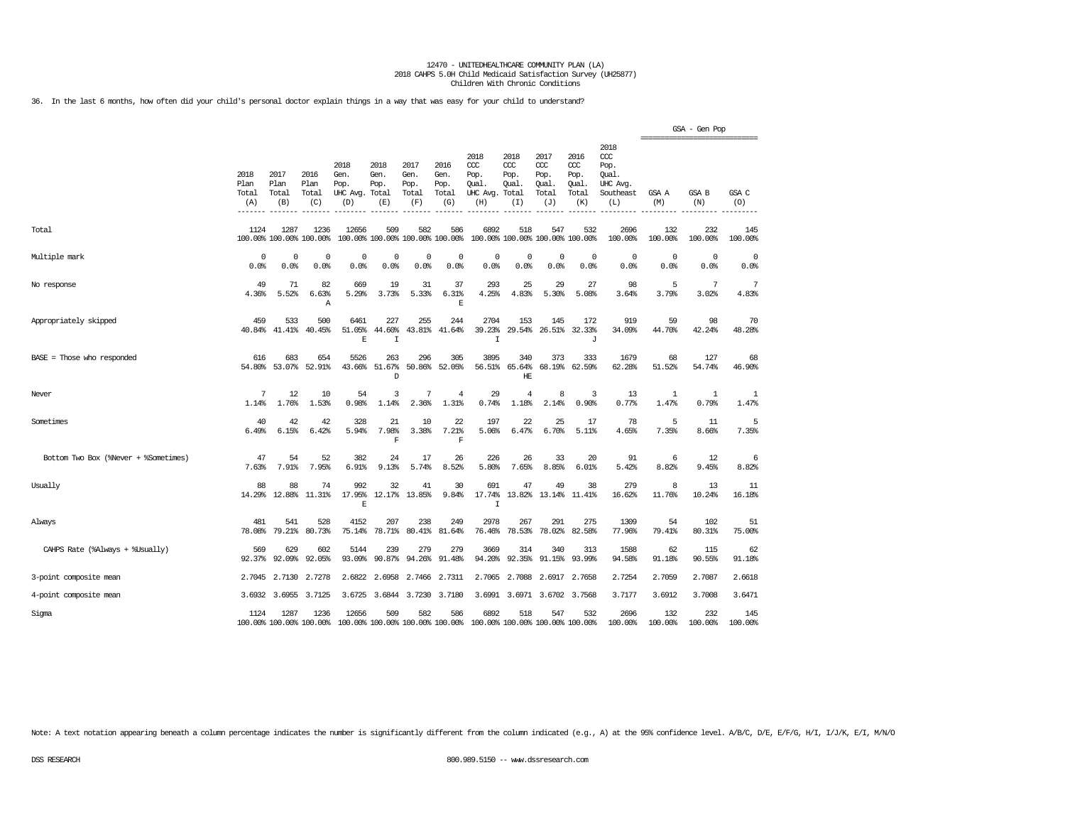36. In the last 6 months, how often did your child's personal doctor explain things in a way that was easy for your child to understand?

|                                      |                                             |                                 |                              |                                         |                                      |                                        |                                      |                                                 |                                             |                                                  |                                              |                                                              |                | GSA - Gen Pop<br>=============================== |                |
|--------------------------------------|---------------------------------------------|---------------------------------|------------------------------|-----------------------------------------|--------------------------------------|----------------------------------------|--------------------------------------|-------------------------------------------------|---------------------------------------------|--------------------------------------------------|----------------------------------------------|--------------------------------------------------------------|----------------|--------------------------------------------------|----------------|
|                                      | 2018<br>Plan<br>Total<br>(A)<br>$- - - - -$ | 2017<br>Plan<br>Total<br>(B)    | 2016<br>Plan<br>Total<br>(C) | 2018<br>Gen.<br>Pop.<br>UHC Avg.<br>(D) | 2018<br>Gen.<br>Pop.<br>Total<br>(E) | 2017<br>Gen.<br>Pop.<br>Total<br>(F)   | 2016<br>Gen.<br>Pop.<br>Total<br>(G) | 2018<br>CCC<br>Pop.<br>Oual.<br>UHC Avg.<br>(H) | 2018<br>CCC<br>Pop.<br>Oual<br>Total<br>(I) | 2017<br>$\alpha$<br>Pop.<br>Oual<br>Total<br>(J) | 2016<br>ccc<br>Pop.<br>Oual.<br>Total<br>(K) | 2018<br>ccc<br>Pop.<br>Oual.<br>UHC Avg.<br>Southeast<br>(L) | GSA A<br>(M)   | GSA B<br>(N)                                     | GSA C<br>(O)   |
| Total                                | 1124                                        | 1287<br>100.00% 100.00% 100.00% | 1236                         | 12656                                   | 509                                  | 582<br>100.00% 100.00% 100.00% 100.00% | 586                                  | 6892                                            | 518<br>100.00% 100.00% 100.00% 100.00%      | 547                                              | 532                                          | 2696<br>100.00%                                              | 132<br>100.00% | 232<br>100.00%                                   | 145<br>100.00% |
| Multiple mark                        | 0<br>0.0%                                   | $\Omega$<br>0.0%                | 0<br>0.0%                    | $\mathbf 0$<br>0.0%                     | 0<br>0.0%                            | $\mathbf 0$<br>0.0%                    | $\mathbf 0$<br>0.0%                  | $\Omega$<br>0.0%                                | 0<br>0.0%                                   | 0<br>0.0%                                        | $\circ$<br>0.0%                              | $\mathbf 0$<br>0.0%                                          | 0<br>0.0%      | $\mathbf 0$<br>0.0%                              | 0<br>0.0%      |
| No response                          | 49<br>4.36%                                 | 71<br>5.52%                     | 82<br>6.63%<br>$\mathbb{A}$  | 669<br>5.29%                            | 19<br>3.73%                          | 31<br>5.33%                            | 37<br>6.31%<br>$\mathbf E$           | 293<br>4.25%                                    | 25<br>4.83%                                 | 29<br>5.30%                                      | 27<br>5.08%                                  | 98<br>3.64%                                                  | 5<br>3.79%     | 7<br>3.02%                                       | 7<br>4.83%     |
| Appropriately skipped                | 459<br>40.84%                               | 533<br>41.41%                   | 500<br>40.45%                | 6461<br>51.05%<br>E                     | 227<br>44.60%<br>I                   | 255<br>43.81%                          | 244<br>41.64%                        | 2704<br>39.23%<br>$\mathbf I$                   | 153<br>29.54%                               | 145<br>26.51%                                    | 172<br>32.33%<br>J                           | 919<br>34.09%                                                | 59<br>44.70%   | 98<br>42.24%                                     | 70<br>48.28%   |
| BASE = Those who responded           | 616<br>54.80%                               | 683<br>53.07%                   | 654<br>52.91%                | 5526<br>43.66%                          | 263<br>51.67%<br>D                   | 296<br>50.86%                          | 305<br>52.05%                        | 3895<br>56.51%                                  | 340<br>65.64%<br>HE                         | 373<br>68.19%                                    | 333<br>62.59%                                | 1679<br>62.28%                                               | 68<br>51.52%   | 127<br>54.74%                                    | 68<br>46.90%   |
| Never                                | 7<br>1.14%                                  | 12<br>1.76%                     | 10<br>1.53%                  | 54<br>0.98%                             | 3<br>1.14%                           | 7<br>2.36%                             | 4<br>1.31%                           | 29<br>0.74%                                     | $\overline{4}$<br>1.18%                     | 8<br>2.14%                                       | 3<br>0.90%                                   | 13<br>0.77%                                                  | 1<br>1.47%     | $\mathbf{1}$<br>0.79%                            | 1<br>1.47%     |
| Sometimes                            | 40<br>6.49%                                 | 42<br>6.15%                     | 42<br>6.42%                  | 328<br>5.94%                            | 21<br>7.98%<br>F                     | 10<br>3.38%                            | 22<br>7.21%<br>F                     | 197<br>5.06%                                    | 22<br>6.47%                                 | 25<br>6.70%                                      | 17<br>5.11%                                  | 78<br>4.65%                                                  | 5<br>7.35%     | 11<br>8.66%                                      | 5<br>7.35%     |
| Bottom Two Box (%Never + %Sometimes) | 47<br>7.63%                                 | 54<br>7.91%                     | 52<br>7.95%                  | 382<br>6.91%                            | 24<br>9.13%                          | 17<br>5.74%                            | 26<br>8.52%                          | 226<br>5.80%                                    | 26<br>7.65%                                 | 33<br>8.85%                                      | 20<br>6.01%                                  | 91<br>5.42%                                                  | 6<br>8.82%     | 12<br>9.45%                                      | 6<br>8.82%     |
| Usually                              | 88<br>14.29%                                | 88<br>12.88%                    | 74<br>11.31%                 | 992<br>17.95%<br>$\mathbf{E}$           | 32<br>12.17%                         | 41<br>13.85%                           | 30<br>9.84%                          | 691<br>17.74%<br>$\mathsf{T}$                   | 47<br>13.82%                                | 49<br>13.14%                                     | 38<br>11.41%                                 | 279<br>16.62%                                                | 8<br>11.76%    | 13<br>10.24%                                     | 11<br>16.18%   |
| Always                               | 481<br>78.08%                               | 541<br>79.21%                   | 528<br>80.73%                | 4152<br>75.14%                          | 207<br>78.71%                        | 238<br>80.41%                          | 249<br>81.64%                        | 2978<br>76.46%                                  | 267<br>78.53%                               | 291<br>78.02%                                    | 275<br>82.58%                                | 1309<br>77.96%                                               | 54<br>79.41%   | 102<br>80.31%                                    | 51<br>75.00%   |
| CAHPS Rate (%Always + %Usually)      | 569<br>92.37%                               | 629<br>92.09%                   | 602<br>92.05%                | 5144<br>93.09%                          | 239<br>90.87%                        | 279<br>94.26%                          | 279<br>91.48%                        | 3669<br>94.20%                                  | 314<br>92.35%                               | 340<br>91.15%                                    | 313<br>93.99%                                | 1588<br>94.58%                                               | 62<br>91.18%   | 115<br>90.55%                                    | 62<br>91.18%   |
| 3-point composite mean               | 2.7045                                      | 2.7130                          | 2.7278                       | 2.6822                                  | 2.6958                               | 2.7466                                 | 2.7311                               | 2.7065                                          | 2.7088                                      | 2.6917                                           | 2.7658                                       | 2.7254                                                       | 2.7059         | 2.7087                                           | 2.6618         |
| 4-point composite mean               |                                             | 3.6932 3.6955                   | 3.7125                       | 3.6725                                  | 3.6844                               | 3.7230                                 | 3.7180                               | 3.6991                                          | 3.6971                                      | 3.6702 3.7568                                    |                                              | 3.7177                                                       | 3.6912         | 3.7008                                           | 3.6471         |
| Sigma                                | 1124                                        | 1287<br>100.00% 100.00% 100.00% | 1236                         | 12656                                   | 509                                  | 582<br>100.00% 100.00% 100.00% 100.00% | 586                                  | 6892<br>100.00% 100.00% 100.00% 100.00%         | 518                                         | 547                                              | 532                                          | 2696<br>100.00%                                              | 132<br>100.00% | 232<br>100.00%                                   | 145<br>100.00% |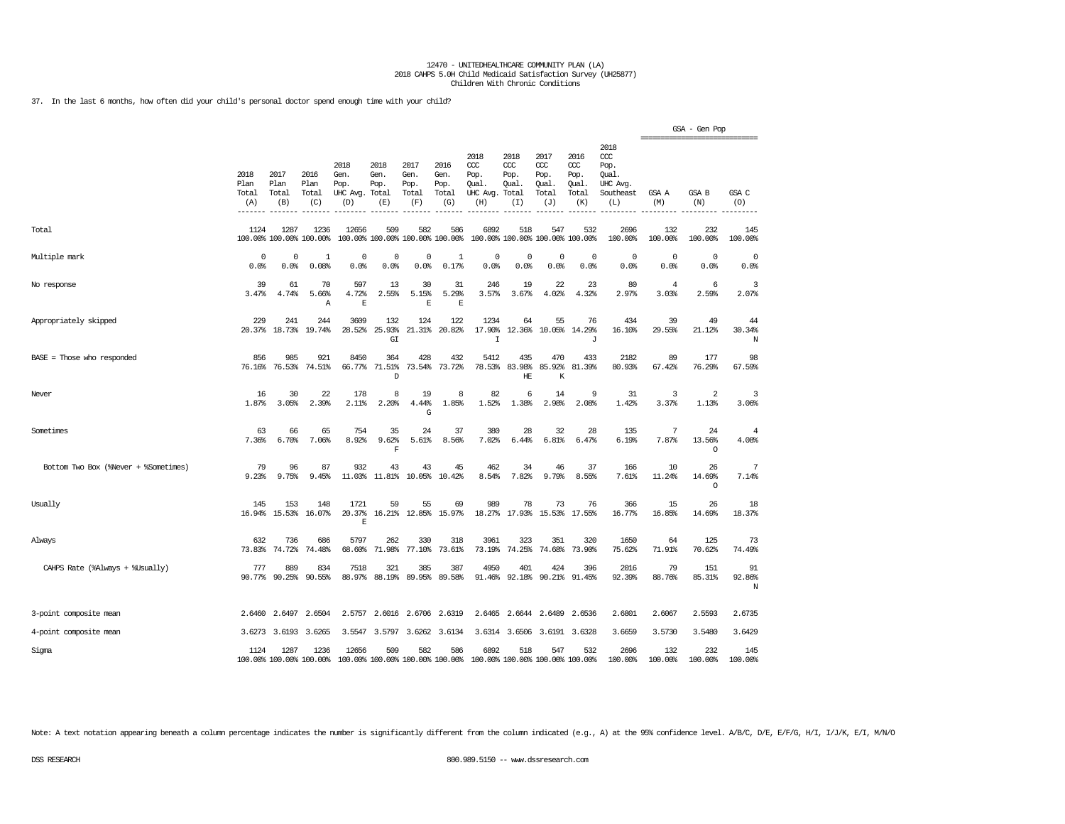37. In the last 6 months, how often did your child's personal doctor spend enough time with your child?

|                                      |                              |                              |                                 |                                         |                                      |                                      |                                        |                                                 |                                              |                                              |                                              |                                                              | ============================== | GSA - Gen Pop           |                          |
|--------------------------------------|------------------------------|------------------------------|---------------------------------|-----------------------------------------|--------------------------------------|--------------------------------------|----------------------------------------|-------------------------------------------------|----------------------------------------------|----------------------------------------------|----------------------------------------------|--------------------------------------------------------------|--------------------------------|-------------------------|--------------------------|
|                                      | 2018<br>Plan<br>Total<br>(A) | 2017<br>Plan<br>Total<br>(B) | 2016<br>Plan<br>Total<br>(C)    | 2018<br>Gen.<br>Pop.<br>UHC Avg.<br>(D) | 2018<br>Gen.<br>Pop.<br>Total<br>(E) | 2017<br>Gen.<br>Pop.<br>Total<br>(F) | 2016<br>Gen.<br>Pop.<br>Total<br>(G)   | 2018<br>ccc<br>Pop.<br>Oual.<br>UHC Avg.<br>(H) | 2018<br>CCC<br>Pop.<br>Oual.<br>Total<br>(T) | 2017<br>ccc<br>Pop.<br>Qual.<br>Total<br>(J) | 2016<br>ccc<br>Pop.<br>Qual.<br>Total<br>(K) | 2018<br>ccc<br>Pop.<br>Oual.<br>UHC Avq.<br>Southeast<br>(L) | GSA A<br>(M)                   | <b>GSA B</b><br>(N)     | GSA C<br>(O)<br>-------- |
| Total                                | 1124                         | 1287                         | 1236<br>100.00% 100.00% 100.00% | 12656                                   | 509                                  | 582                                  | 586<br>100.00% 100.00% 100.00% 100.00% | 6892                                            | 518                                          | 547<br>100.00% 100.00% 100.00% 100.00%       | 532                                          | 2696<br>100.00%                                              | 132<br>100.00%                 | 232<br>100.00%          | 145<br>100.00%           |
| Multiple mark                        | 0<br>0.0%                    | 0<br>0.0%                    | 1<br>0.08%                      | 0<br>0.0%                               | 0<br>0.0%                            | 0<br>0.0%                            | 1<br>0.17%                             | $\mathsf 0$<br>0.0%                             | $\mathbb O$<br>0.0%                          | 0<br>0.0%                                    | 0<br>0.0%                                    | 0<br>0.0%                                                    | $\circ$<br>0.0%                | 0<br>0.0%               | 0<br>0.0%                |
| No response                          | 39<br>3.47%                  | 61<br>4.74%                  | 70<br>5.66%<br>Α                | 597<br>4.72%<br>$\mathbf E$             | 13<br>2.55%                          | 30<br>5.15%<br>$\mathbf{E}% _{0}$    | 31<br>5.29%<br>$\mathbf E$             | 246<br>3.57%                                    | 19<br>3.67%                                  | 22<br>4.02%                                  | 23<br>4.32%                                  | 80<br>2.97%                                                  | $\overline{4}$<br>3.03%        | 6<br>2.59%              | 3<br>2.07%               |
| Appropriately skipped                | 229<br>20.37%                | 241<br>18.73%                | 244<br>19.74%                   | 3609<br>28.52%                          | 132<br>25.93%<br>GI                  | 124<br>21.31%                        | 122<br>20.82%                          | 1234<br>17.90%<br>$\mathbf I$                   | 64<br>12.36%                                 | 55<br>10.05%                                 | 76<br>14.29%<br>J                            | 434<br>16.10%                                                | 39<br>29.55%                   | 49<br>21.12%            | 44<br>30.34%<br>N        |
| BASE = Those who responded           | 856<br>76.16%                | 985<br>76.53%                | 921<br>74.51%                   | 8450<br>66.77%                          | 364<br>71.51%<br>$\mathbb{D}$        | 428<br>73.54%                        | 432<br>73.72%                          | 5412<br>78.53%                                  | 435<br>83.98%<br>HE                          | 470<br>85.92%<br>K                           | 433<br>81.39%                                | 2182<br>80.93%                                               | 89<br>67.42%                   | 177<br>76.29%           | 98<br>67.59%             |
| Never                                | 16<br>1.87%                  | 30<br>3.05%                  | 22<br>2.39%                     | 178<br>2.11%                            | 8<br>2.20%                           | 19<br>4.44%<br>G                     | 8<br>1.85%                             | 82<br>1.52%                                     | 6<br>1.38%                                   | 14<br>2.98%                                  | 9<br>2.08%                                   | 31<br>1.42%                                                  | 3<br>3.37%                     | 2<br>1.13%              | 3<br>3.06%               |
| Sometimes                            | 63<br>7.36%                  | 66<br>6.70%                  | 65<br>7.06%                     | 754<br>8.92%                            | 35<br>9.62%<br>F                     | 24<br>5.61%                          | 37<br>8.56%                            | 380<br>7.02%                                    | 28<br>6.44%                                  | 32<br>6.81%                                  | 28<br>6.47%                                  | 135<br>6.19%                                                 | 7<br>7.87%                     | 24<br>13.56%<br>$\circ$ | 4<br>4.08%               |
| Bottom Two Box (%Never + %Sometimes) | 79<br>9.23%                  | 96<br>9.75%                  | 87<br>9.45%                     | 932<br>11.03%                           | 43<br>11.81%                         | 43<br>10.05%                         | 45<br>10.42%                           | 462<br>8.54%                                    | 34<br>7.82%                                  | 46<br>9.79%                                  | 37<br>8.55%                                  | 166<br>7.61%                                                 | 10<br>11.24%                   | 26<br>14.69%<br>$\circ$ | 7<br>7.14%               |
| Usually                              | 145<br>16.94%                | 153<br>15.53%                | 148<br>16.07%                   | 1721<br>20.37%<br>F                     | 59                                   | 55<br>16.21% 12.85%                  | 69<br>15.97%                           | 989<br>18.27%                                   | 78<br>17.93%                                 | 73<br>15.53%                                 | 76<br>17.55%                                 | 366<br>16.77%                                                | 15<br>16.85%                   | 26<br>14.69%            | 18<br>18.37%             |
| Always                               | 632<br>73.83%                | 736<br>74.72%                | 686<br>74.48%                   | 5797<br>68.60%                          | 262<br>71.98%                        | 330<br>77.10%                        | 318<br>73.61%                          | 3961<br>73.19%                                  | 323<br>74.25%                                | 351<br>74.68%                                | 320<br>73.90%                                | 1650<br>75.62%                                               | 64<br>71.91%                   | 125<br>70.62%           | 73<br>74.49%             |
| CAHPS Rate (%Always + %Usually)      | 777<br>90.77%                | 889<br>90.25%                | 834<br>90.55%                   | 7518<br>88.97%                          | 321<br>88.19%                        | 385<br>89.95%                        | 387<br>89.58%                          | 4950<br>91.46%                                  | 401<br>92.18%                                | 424                                          | 396<br>90.21% 91.45%                         | 2016<br>92.39%                                               | 79<br>88.76%                   | 151<br>85.31%           | 91<br>92.86%<br>N        |
| 3-point composite mean               | 2.6460                       | 2.6497                       | 2.6504                          | 2.5757                                  | 2.6016                               | 2.6706                               | 2.6319                                 | 2.6465                                          | 2.6644                                       | 2.6489                                       | 2.6536                                       | 2.6801                                                       | 2.6067                         | 2.5593                  | 2.6735                   |
| 4-point composite mean               | 3.6273                       | 3.6193                       | 3.6265                          |                                         | 3.5547 3.5797                        |                                      | 3.6262 3.6134                          |                                                 | 3.6314 3.6506                                |                                              | 3.6191 3.6328                                | 3.6659                                                       | 3.5730                         | 3.5480                  | 3.6429                   |
| Sigma                                | 1124                         | 1287                         | 1236<br>100.00% 100.00% 100.00% | 12656                                   | 509                                  | 582                                  | 586<br>100.00% 100.00% 100.00% 100.00% | 6892<br>100.00% 100.00% 100.00% 100.00%         | 518                                          | 547                                          | 532                                          | 2696<br>100.00%                                              | 132<br>100.00%                 | 232<br>100.00%          | 145<br>100.00%           |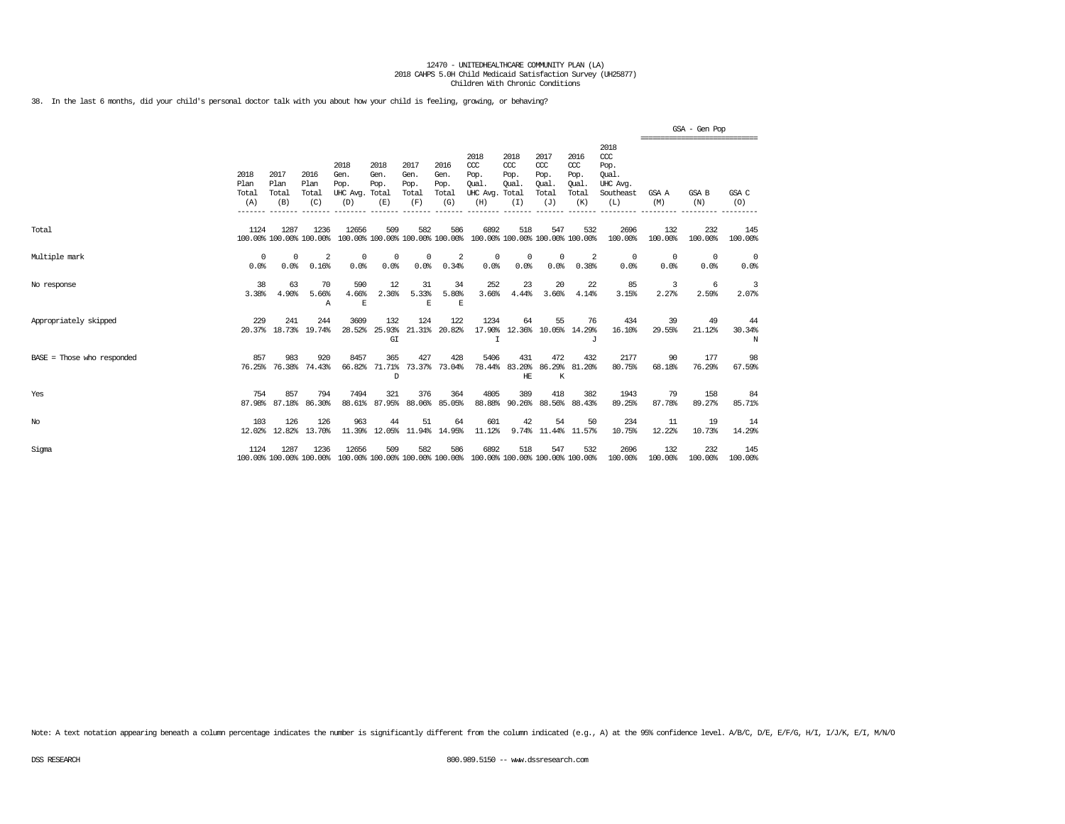38. In the last 6 months, did your child's personal doctor talk with you about how your child is feeling, growing, or behaving?

|                            |                                         |                                           |                                         |                                                                                          |                                        |                                                 |                                                 |                                                                         |                                                 |                                                                        |                                                              |                                                                           |                                                                        | GSA - Gen Pop             |                           |
|----------------------------|-----------------------------------------|-------------------------------------------|-----------------------------------------|------------------------------------------------------------------------------------------|----------------------------------------|-------------------------------------------------|-------------------------------------------------|-------------------------------------------------------------------------|-------------------------------------------------|------------------------------------------------------------------------|--------------------------------------------------------------|---------------------------------------------------------------------------|------------------------------------------------------------------------|---------------------------|---------------------------|
|                            | 2018<br>Plan<br>Total<br>(A)<br>------- | 2017<br>Plan<br>Total<br>(B)<br>$-------$ | 2016<br>Plan<br>Total<br>(C)<br>------- | 2018<br>Gen.<br>Pop.<br>UHC Avg. Total<br>(D)<br>$----------$                            | 2018<br>Gen.<br>Pop.<br>(E)<br>------- | 2017<br>Gen.<br>Pop.<br>Total<br>(F)<br>------- | 2016<br>Gen.<br>Pop.<br>Total<br>(G)<br>------- | 2018<br>CCC<br>Pop.<br>Oual.<br>UHC Avg. Total<br>(H)<br>________       | 2018<br>$CC$<br>Pop.<br>Oual.<br>(I)<br>------- | 2017<br>$\alpha$<br>Pop.<br>Oual.<br>Total<br>(J)<br>$- - - - - - - -$ | 2016<br>$\alpha$<br>Pop.<br>Oual.<br>Total<br>(K)<br>------- | 2018<br>ccc<br>Pop.<br>Oual.<br>UHC Avg.<br>Southeast<br>(L)<br>--------- | -------------------------------<br>GSA A<br>(M)<br>$- - - - - - - - -$ | GSA B<br>(N)<br>--------- | GSA C<br>(0)<br>--------- |
| Total                      | 1124                                    | 1287                                      | 1236<br>100.00% 100.00% 100.00%         | 12656                                                                                    | 509                                    | 582                                             | 586                                             | 6892<br>100.00% 100.00% 100.00% 100.00% 100.00% 100.00% 100.00% 100.00% | 518                                             | 547                                                                    | 532                                                          | 2696<br>100.00%                                                           | 132<br>100.00%                                                         | 232<br>100.00%            | 145<br>100.00%            |
| Multiple mark              | $\Omega$<br>0.0%                        | $\Omega$<br>0.0%                          | 2<br>0.16%                              | $^{\circ}$<br>0.0%                                                                       | 0<br>0.0%                              | $^{\circ}$<br>0.0%                              | 2<br>0.34%                                      | $^{\circ}$<br>0.0%                                                      | 0<br>0.0%                                       | $\Omega$<br>0.0%                                                       | 2<br>0.38%                                                   | $^{\circ}$<br>0.0%                                                        | $^{\circ}$<br>0.0%                                                     | $^{\circ}$<br>0.0%        | $^{\circ}$<br>0.0%        |
| No response                | 38<br>3.38%                             | 63<br>4.90%                               | 70<br>5.66%<br>A                        | 590<br>4.66%<br>E                                                                        | 12<br>2.36%                            | 31<br>5.33%<br>E                                | 34<br>5.80%<br>E                                | 252<br>3.66%                                                            | 23<br>4.44%                                     | 20<br>3.66%                                                            | 22<br>4.14%                                                  | 85<br>3.15%                                                               | 3<br>2.27%                                                             | -6<br>2.59%               | 3<br>2.07%                |
| Appropriately skipped      | 229<br>20.37%                           | 241                                       | 244<br>18.73% 19.74%                    | 3609                                                                                     | 132<br>28.52% 25.93%<br>GI             | 124                                             | 122<br>21.31% 20.82%                            | 1234<br>I                                                               | 64                                              | 55                                                                     | 76<br>17.90% 12.36% 10.05% 14.29%<br>٠T.                     | 434<br>16.10%                                                             | 39<br>29.55%                                                           | 49<br>21.12%              | 44<br>30.34%<br>N         |
| BASE = Those who responded | 857<br>76.25%                           | 983<br>76.38%                             | 920<br>74.43%                           | 8457<br>66.82%                                                                           | 365<br>71.71%<br>D                     | 427                                             | 428<br>73.37% 73.04%                            | 5406<br>78.44%                                                          | 431<br>83.20%<br>HE                             | 472<br>K                                                               | 432<br>86.29% 81.20%                                         | 2177<br>80.75%                                                            | 90<br>68.18%                                                           | 177<br>76.29%             | 98<br>67.59%              |
| Yes                        | 754<br>87.98%                           | 857<br>87.18%                             | 794<br>86.30%                           | 7494<br>88.61%                                                                           | 321<br>87.95%                          | 376<br>88.06%                                   | 364<br>85.05%                                   | 4805<br>88.88%                                                          | 389                                             | 418<br>90.26% 88.56%                                                   | 382<br>88.43%                                                | 1943<br>89.25%                                                            | 79<br>87.78%                                                           | 158<br>89.27%             | 84<br>85.71%              |
| $_{\mathrm{No}}$           | 103<br>12.02%                           | 126<br>12.82%                             | 126<br>13.70%                           | 963<br>11.39%                                                                            | 44<br>12.05%                           | 51                                              | 64<br>11.94% 14.95%                             | 601<br>11.12%                                                           | 42                                              | 54                                                                     | 50<br>9.74% 11.44% 11.57%                                    | 234<br>10.75%                                                             | 11<br>12.22%                                                           | 19<br>10.73%              | 14<br>14.29%              |
| Sigma                      | 1124                                    | 1287                                      | 1236                                    | 12656<br>100.00% 100.00% 100.00% 100.00% 100.00% 100.00% 100.00% 100.00% 100.00% 100.00% | 509                                    | 582                                             | 586                                             | 6892                                                                    | 518                                             | 547                                                                    | 532                                                          | 2696<br>100.00%                                                           | 132<br>100.00%                                                         | 232<br>100.00%            | 145<br>100.00%            |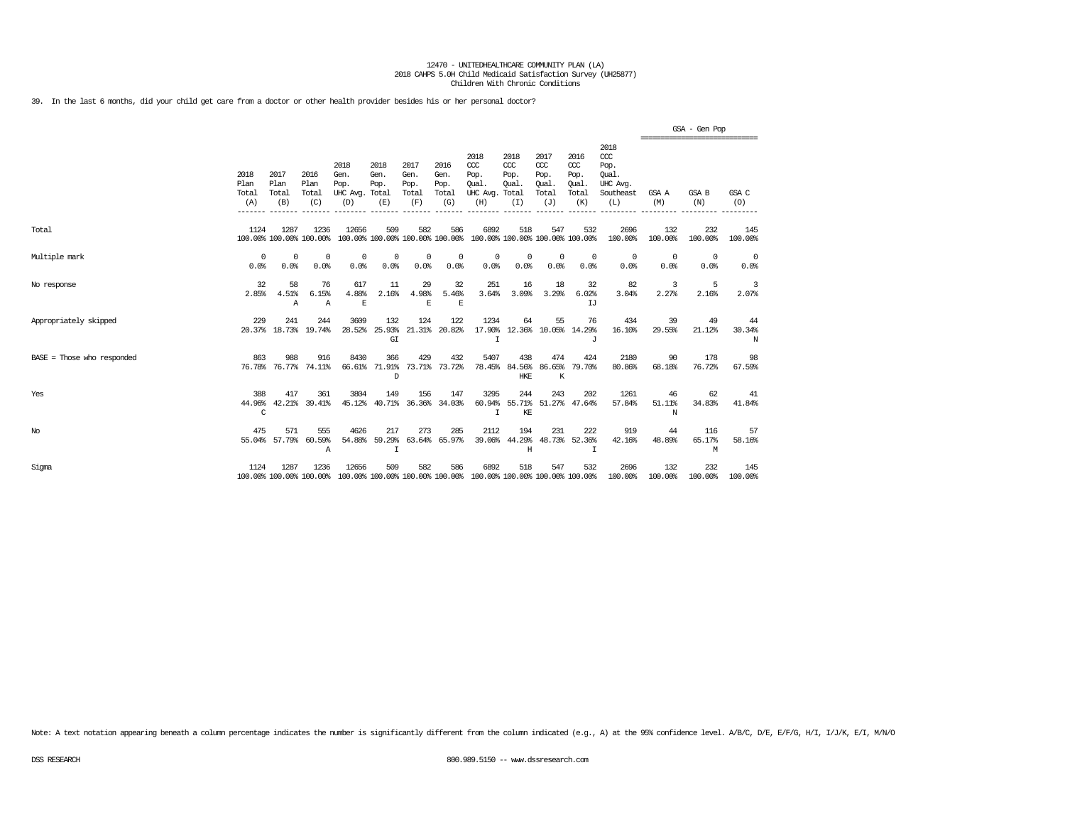39. In the last 6 months, did your child get care from a doctor or other health provider besides his or her personal doctor?

|                            |                              |                              |                                 |                                               |                              |                                      |                                      |                                                                         |                                      |                                                   |                                              |                                                              |                                                | GSA - Gen Pop      |                    |
|----------------------------|------------------------------|------------------------------|---------------------------------|-----------------------------------------------|------------------------------|--------------------------------------|--------------------------------------|-------------------------------------------------------------------------|--------------------------------------|---------------------------------------------------|----------------------------------------------|--------------------------------------------------------------|------------------------------------------------|--------------------|--------------------|
|                            | 2018<br>Plan<br>Total<br>(A) | 2017<br>Plan<br>Total<br>(B) | 2016<br>Plan<br>Total<br>(C)    | 2018<br>Gen.<br>Pop.<br>UHC Avg. Total<br>(D) | 2018<br>Gen.<br>Pop.<br>(E)  | 2017<br>Gen.<br>Pop.<br>Total<br>(F) | 2016<br>Gen.<br>Pop.<br>Total<br>(G) | 2018<br>CCC<br>Pop.<br>Oual.<br>UHC Avg. Total<br>(H)                   | 2018<br>$CC$<br>Pop.<br>Oual.<br>(I) | 2017<br>$\alpha$<br>Pop.<br>Oual.<br>Total<br>(J) | 2016<br>ccc<br>Pop.<br>Oual.<br>Total<br>(K) | 2018<br>ccc<br>Pop.<br>Oual.<br>UHC Avg.<br>Southeast<br>(L) | ------------------------------<br>GSA A<br>(M) | GSA B<br>(N)       | GSA C<br>(O)       |
| Total                      | 1124                         | 1287                         | 1236<br>100.00% 100.00% 100.00% | 12656                                         | 509                          | 582                                  | 586                                  | 6892<br>100.00% 100.00% 100.00% 100.00% 100.00% 100.00% 100.00% 100.00% | 518                                  | 547                                               | 532                                          | 2696<br>100.00%                                              | 132<br>100.00%                                 | 232<br>100.00%     | 145<br>100.00%     |
| Multiple mark              | 0<br>0.0%                    | $\Omega$<br>0.0%             | $^{\circ}$<br>0.0%              | 0<br>0.0%                                     | 0<br>0.0%                    | $^{\circ}$<br>0.0%                   | $^{\circ}$<br>0.0%                   | $^{\circ}$<br>0.0%                                                      | 0<br>0.0%                            | $\mathbf 0$<br>0.0%                               | $^{\circ}$<br>0.0%                           | 0<br>0.0%                                                    | $\circ$<br>0.0%                                | $^{\circ}$<br>0.0% | $^{\circ}$<br>0.0% |
| No response                | 32<br>2.85%                  | 58<br>4.51%<br>$\mathbb{A}$  | 76<br>6.15%<br>Α                | 617<br>4.88%<br>E                             | 11<br>2.16%                  | 29<br>4.98%<br>E                     | 32<br>5.46%<br>E                     | 251<br>3.64%                                                            | 16<br>3.09%                          | 18<br>3.29%                                       | 32<br>6.02%<br>TJ                            | 82<br>3.04%                                                  | 3<br>2.27%                                     | 5<br>2.16%         | 3<br>2.07%         |
| Appropriately skipped      | 229                          | 241                          | 244<br>20.37% 18.73% 19.74%     | 3609<br>28.52%                                | 132<br>25.93%<br>G I         | 124                                  | 122<br>21.31% 20.82%                 | 1234<br>17.90%<br>$\top$                                                | 64                                   | 55                                                | 76<br>12.36% 10.05% 14.29%<br>T.             | 434<br>16.10%                                                | 39<br>29.55%                                   | 49<br>21.12%       | 44<br>30.34%<br>N  |
| BASE = Those who responded | 863                          | 988                          | 916<br>76.78% 76.77% 74.11%     | 8430<br>66.61%                                | 366<br>71.91%<br>D           | 429                                  | 432<br>73.71% 73.72%                 | 5407                                                                    | 438<br>78.45% 84.56%<br>HKE          | 474<br>86.65%<br>K                                | 424<br>79.70%                                | 2180<br>80.86%                                               | 90<br>68.18%                                   | 178<br>76.72%      | 98<br>67.59%       |
| Yes                        | 388<br>44.96%<br>C           | 417                          | 361<br>42.21% 39.41%            | 3804<br>45.12%                                | 149<br>40.71%                | 156<br>36.36%                        | 147<br>34.03%                        | 3295<br>60.94%<br>Ι.                                                    | 244<br>KE                            | 243                                               | 202<br>55.71% 51.27% 47.64%                  | 1261<br>57.84%                                               | 46<br>51.11%<br>N                              | 62<br>34.83%       | 41<br>41.84%       |
| No                         | 475                          | 571<br>55.04% 57.79%         | 555<br>60.59%<br>Α              | 4626<br>54.88%                                | 217<br>59.29%<br>$\mathbf I$ | 273<br>63.64%                        | 285<br>65.97%                        | 2112<br>39.06%                                                          | 194<br>Η                             | 231<br>44.29% 48.73%                              | 222<br>52.36%<br>I                           | 919<br>42.16%                                                | 44<br>48.89%                                   | 116<br>65.17%<br>М | 57<br>58.16%       |
| Sigma                      | 1124                         | 1287                         | 1236<br>100.00% 100.00% 100.00% | 12656                                         | 509                          | 582                                  | 586                                  | 6892<br>100.00% 100.00% 100.00% 100.00% 100.00% 100.00% 100.00% 100.00% | 518                                  | 547                                               | 532                                          | 2696<br>100.00%                                              | 132<br>100.00%                                 | 232<br>100.00%     | 145<br>100.00%     |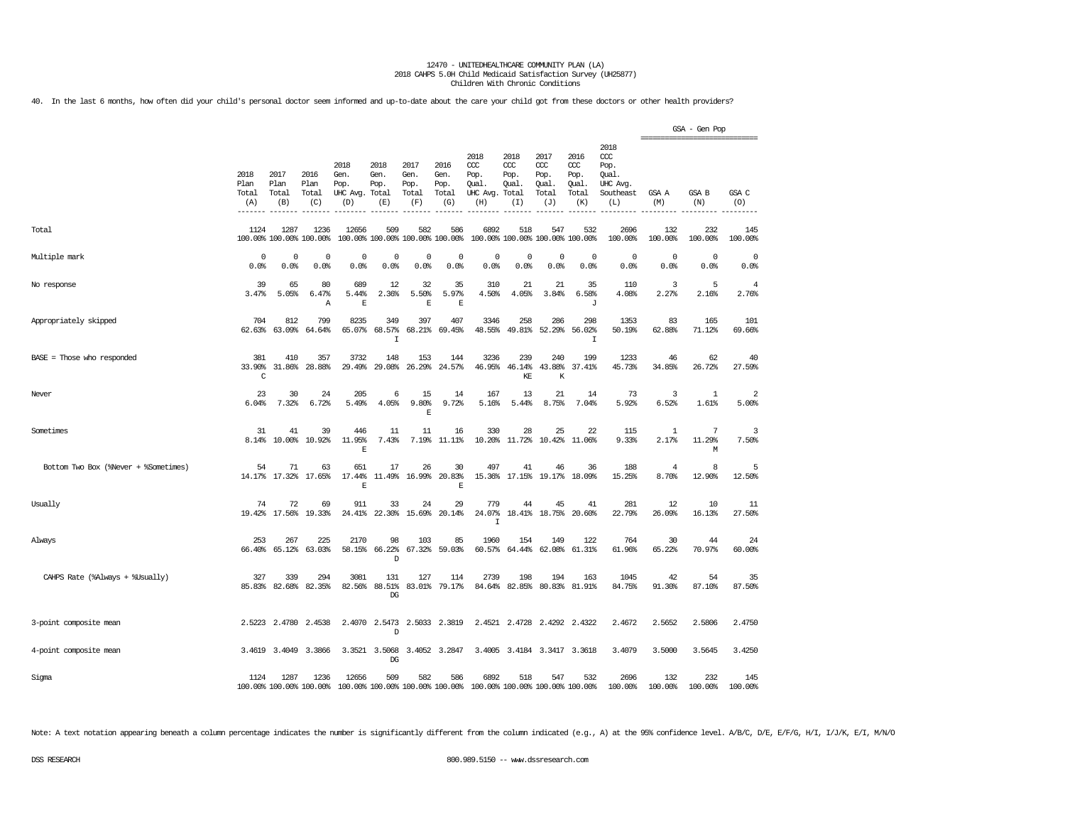40. In the last 6 months, how often did your child's personal doctor seem informed and up-to-date about the care your child got from these doctors or other health providers?

|                                      |                              |                              |                                 |                                               |                                        |                                      |                                      |                                                                         |                                     |                                              |                                              |                                                              | ================================ | GSA - Gen Pop    |                                  |
|--------------------------------------|------------------------------|------------------------------|---------------------------------|-----------------------------------------------|----------------------------------------|--------------------------------------|--------------------------------------|-------------------------------------------------------------------------|-------------------------------------|----------------------------------------------|----------------------------------------------|--------------------------------------------------------------|----------------------------------|------------------|----------------------------------|
|                                      | 2018<br>Plan<br>Total<br>(A) | 2017<br>Plan<br>Total<br>(B) | 2016<br>Plan<br>Total<br>(C)    | 2018<br>Gen.<br>Pop.<br>UHC Avg. Total<br>(D) | 2018<br>Gen.<br>Pop.<br>(E)            | 2017<br>Gen.<br>Pop.<br>Total<br>(F) | 2016<br>Gen.<br>Pop.<br>Total<br>(G) | 2018<br>ccc<br>Pop.<br>Qual.<br>UHC Avg. Total<br>(H)                   | 2018<br>CCC<br>Pop.<br>Qual.<br>(I) | 2017<br>ccc<br>Pop.<br>Qual.<br>Total<br>(J) | 2016<br>ccc<br>Pop.<br>Qual.<br>Total<br>(K) | 2018<br>ccc<br>Pop.<br>Qual.<br>UHC Avg.<br>Southeast<br>(L) | GSA A<br>(M)                     | GSA B<br>(N)     | GSA C<br>(O)                     |
| Total                                | 1124                         | 1287                         | 1236<br>100.00% 100.00% 100.00% | 12656                                         | 509<br>100.00% 100.00% 100.00% 100.00% | 582                                  | 586                                  | 6892                                                                    | 518                                 | 547<br>100.00% 100.00% 100.00% 100.00%       | 532                                          | 2696<br>100.00%                                              | 132<br>100.00%                   | 232<br>100.00%   | 145<br>100.00%                   |
| Multiple mark                        | 0<br>0.0%                    | 0<br>0.0%                    | 0<br>0.0%                       | 0<br>0.0%                                     | 0<br>0.0%                              | 0<br>0.0%                            | 0<br>0.0%                            | 0<br>0.0%                                                               | 0<br>0.0%                           | 0<br>0.0%                                    | $\circ$<br>0.0%                              | 0<br>0.0%                                                    | 0<br>0.0%                        | 0<br>0.0%        | 0<br>0.0%                        |
| No response                          | 39<br>3.47%                  | 65<br>5.05%                  | 80<br>6.47%<br>Α                | 689<br>5.44%<br>$\mathbb E$                   | 12<br>2.36%                            | 32<br>5.50%<br>E                     | 35<br>5.97%<br>E                     | 310<br>4.50%                                                            | 21<br>4.05%                         | 21<br>3.84%                                  | 35<br>6.58%<br>J                             | 110<br>4.08%                                                 | 3<br>2.27%                       | 5<br>2.16%       | $\overline{4}$<br>2.76%          |
| Appropriately skipped                | 704<br>62.63%                | 812<br>63.09%                | 799<br>64.64%                   | 8235<br>65.07%                                | 349<br>68.57%<br>I                     | 397<br>68.21%                        | 407<br>69.45%                        | 3346<br>48.55%                                                          | 258<br>49.81%                       | 286<br>52.29%                                | 298<br>56.02%<br>I                           | 1353<br>50.19%                                               | 83<br>62.88%                     | 165<br>71.12%    | 101<br>69.66%                    |
| BASE = Those who responded           | 381<br>33.90%<br>C           | 410<br>31.86%                | 357<br>28.88%                   | 3732<br>29.49%                                | 148<br>29.08%                          | 153<br>26.29%                        | 144<br>24.57%                        | 3236<br>46.95%                                                          | 239<br>46.14%<br>KE                 | 240<br>43.88%<br>K                           | 199<br>37.41%                                | 1233<br>45.73%                                               | 46<br>34.85%                     | 62<br>26.72%     | 40<br>27.59%                     |
| Never                                | 23<br>6.04%                  | 30<br>7.32%                  | 24<br>6.72%                     | 205<br>5.49%                                  | 6<br>4.05%                             | 15<br>9.80%<br>E                     | 14<br>9.72%                          | 167<br>5.16%                                                            | 13<br>5.44%                         | 21<br>8.75%                                  | 14<br>7.04%                                  | 73<br>5.92%                                                  | 3<br>6.52%                       | 1<br>1.61%       | $\overline{\mathbf{2}}$<br>5.00% |
| Sometimes                            | 31<br>8.14%                  | 41<br>10.00%                 | 39<br>10.92%                    | 446<br>11.95%<br>E                            | 11<br>7.43%                            | 11                                   | 16<br>7.19% 11.11%                   | 330<br>10.20%                                                           | 28<br>11.72%                        | 25<br>10.42%                                 | 22<br>11.06%                                 | 115<br>9.33%                                                 | 1<br>2.17%                       | 7<br>11.29%<br>М | 3<br>7.50%                       |
| Bottom Two Box (%Never + %Sometimes) | 54                           | 71                           | 63<br>14.17% 17.32% 17.65%      | 651<br>17.44%<br>E                            | 17                                     | 26<br>11.49% 16.99%                  | 30<br>20.83%<br>E                    | 497<br>15.36%                                                           | 41<br>17.15%                        | 46                                           | 36<br>19.17% 18.09%                          | 188<br>15.25%                                                | $\overline{4}$<br>8.70%          | 8<br>12.90%      | 5<br>12.50%                      |
| Usually                              | 74                           | 72<br>19.42% 17.56%          | 69<br>19.33%                    | 911<br>24.41%                                 | 33<br>22.30%                           | 24<br>15.69%                         | 29<br>20.14%                         | 779<br>24.07%<br>$\mathbf I$                                            | 44                                  | 45<br>18.41% 18.75%                          | 41<br>20.60%                                 | 281<br>22.79%                                                | 12<br>26.09%                     | 10<br>16.13%     | 11<br>27.50%                     |
| Always                               | 253                          | 267<br>66.40% 65.12%         | 225<br>63.03%                   | 2170<br>58.15%                                | 98<br>66.22%<br>D                      | 103<br>67.32%                        | 85<br>59.03%                         | 1960<br>60.57%                                                          | 154<br>64.44%                       | 149<br>62.08%                                | 122<br>61.31%                                | 764<br>61.96%                                                | 30<br>65.22%                     | 44<br>70.97%     | 24<br>60.00%                     |
| CAHPS Rate (%Always + %Usually)      | 327                          | 339                          | 294<br>85.83% 82.68% 82.35%     | 3081                                          | 131<br>82.56% 88.51%<br>DG             | 127                                  | 114<br>83.01% 79.17%                 | 2739                                                                    | 198                                 | 194<br>84.64% 82.85% 80.83% 81.91%           | 163                                          | 1045<br>84.75%                                               | 42<br>91.30%                     | 54<br>87.10%     | 35<br>87.50%                     |
| 3-point composite mean               |                              |                              | 2.5223 2.4780 2.4538            | 2.4070                                        | 2.5473<br>D                            |                                      | 2.5033 2.3819                        |                                                                         |                                     | 2.4521 2.4728 2.4292                         | 2.4322                                       | 2.4672                                                       | 2.5652                           | 2.5806           | 2.4750                           |
| 4-point composite mean               |                              | 3.4619 3.4049                | 3.3866                          |                                               | 3.3521 3.5068<br>DG                    |                                      | 3.4052 3.2847                        |                                                                         |                                     | 3.4005 3.4184 3.3417 3.3618                  |                                              | 3.4079                                                       | 3.5000                           | 3.5645           | 3.4250                           |
| Sigma                                | 1124                         | 1287                         | 1236<br>100.00% 100.00% 100.00% | 12656                                         | 509                                    | 582                                  | 586                                  | 6892<br>100.00% 100.00% 100.00% 100.00% 100.00% 100.00% 100.00% 100.00% | 518                                 | 547                                          | 532                                          | 2696<br>100.00%                                              | 132<br>100.00%                   | 232<br>100.00%   | 145<br>100.00%                   |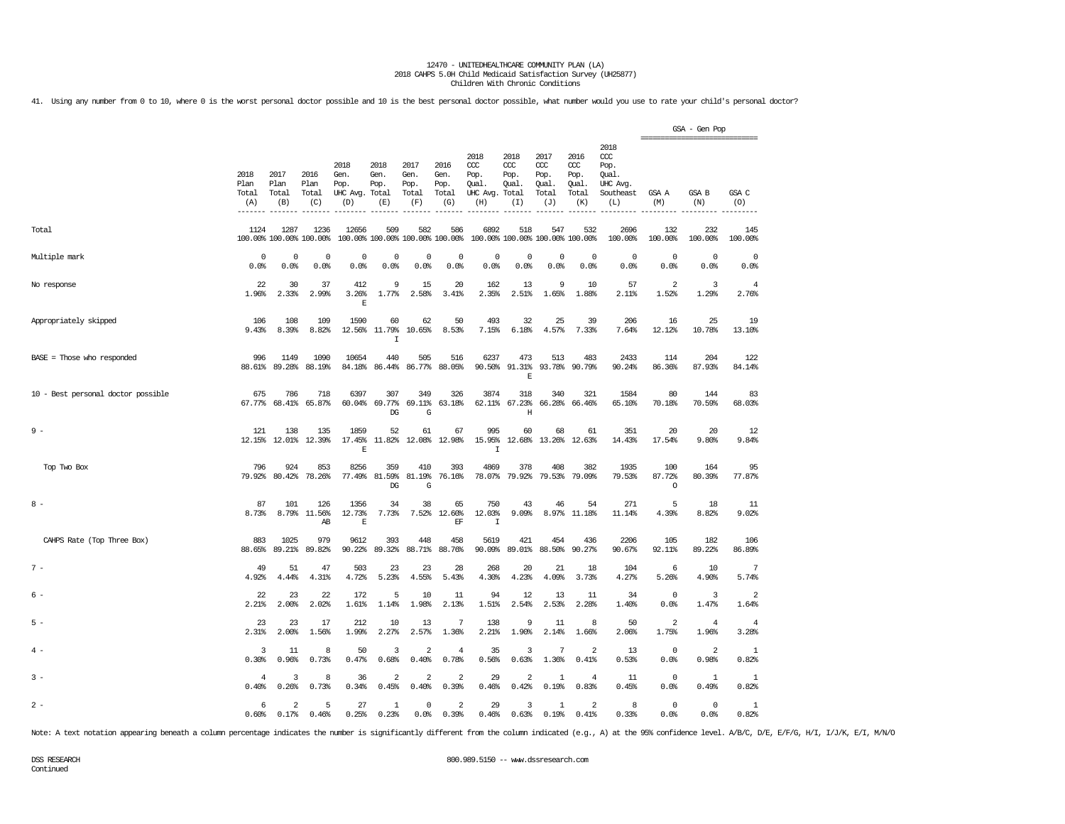41. Using any number from 0 to 10, where 0 is the worst personal doctor possible and 10 is the best personal doctor possible, what number would you use to rate your child's personal doctor?

|                                    |                              |                                 |                              |                                         |                                      |                                        |                                           |                                                       |                                     |                                              |                                              |                                                                   | =============================== | GSA - Gen Pop  |                                  |
|------------------------------------|------------------------------|---------------------------------|------------------------------|-----------------------------------------|--------------------------------------|----------------------------------------|-------------------------------------------|-------------------------------------------------------|-------------------------------------|----------------------------------------------|----------------------------------------------|-------------------------------------------------------------------|---------------------------------|----------------|----------------------------------|
|                                    | 2018<br>Plan<br>Total<br>(A) | 2017<br>Plan<br>Total<br>(B)    | 2016<br>Plan<br>Total<br>(C) | 2018<br>Gen.<br>Pop.<br>UHC Avg.<br>(D) | 2018<br>Gen.<br>Pop.<br>Total<br>(E) | 2017<br>Gen.<br>Pop.<br>Total<br>(F)   | 2016<br>Gen.<br>Pop.<br>Total<br>(G)      | 2018<br>ccc<br>Pop.<br>Qual.<br>UHC Avg. Total<br>(H) | 2018<br>CCC<br>Pop.<br>Qual.<br>(I) | 2017<br>ccc<br>Pop.<br>Qual.<br>Total<br>(J) | 2016<br>ccc<br>Pop.<br>Qual.<br>Total<br>(K) | 2018<br>$\alpha$<br>Pop.<br>Oual.<br>UHC Avg.<br>Southeast<br>(L) | GSA A<br>(M)                    | GSA B<br>(N)   | GSA C<br>(O)                     |
| Total                              | 1124                         | 1287<br>100.00% 100.00% 100.00% | 1236                         | 12656                                   | 509                                  | 582<br>100.00% 100.00% 100.00% 100.00% | 586                                       | 6892<br>100.00% 100.00% 100.00% 100.00%               | 518                                 | 547                                          | 532                                          | 2696<br>100.00%                                                   | 132<br>100.00%                  | 232<br>100.00% | 145<br>100.00%                   |
| Multiple mark                      | 0<br>0.0%                    | 0<br>0.0%                       | 0<br>0.0%                    | 0<br>0.0%                               | 0<br>0.0%                            | 0<br>0.0%                              | 0<br>0.0%                                 | 0<br>0.0%                                             | 0<br>0.0%                           | 0<br>0.0%                                    | 0<br>0.0%                                    | $\mathbf 0$<br>0.0%                                               | 0<br>0.0%                       | 0<br>0.0%      | 0<br>0.0%                        |
| No response                        | 22<br>1.96%                  | 30<br>2.33%                     | 37<br>2.99%                  | 412<br>3.26%<br>E                       | 9<br>1.77%                           | 15<br>2.58%                            | 20<br>3.41%                               | 162<br>2.35%                                          | 13<br>2.51%                         | 9<br>1.65%                                   | 10<br>1.88%                                  | 57<br>2.11%                                                       | $\overline{a}$<br>1.52%         | 3<br>1.29%     | $\overline{4}$<br>2.76%          |
| Appropriately skipped              | 106<br>9.43%                 | 108<br>8.39%                    | 109<br>8.82%                 | 1590<br>12.56%                          | 60<br>11.79%<br>$\mathbf I$          | 62<br>10.65%                           | 50<br>8.53%                               | 493<br>7.15%                                          | 32<br>6.18%                         | 25<br>4.57%                                  | 39<br>7.33%                                  | 206<br>7.64%                                                      | 16<br>12.12%                    | 25<br>10.78%   | 19<br>13.10%                     |
| $BASE = Those who responded$       | 996<br>88.61%                | 1149<br>89.28%                  | 1090<br>88.19%               | 10654<br>84.18%                         | 440<br>86.44%                        | 505<br>86.77%                          | 516<br>88.05%                             | 6237<br>90.50%                                        | 473<br>91.31%<br>$\mathbf E$        | 513<br>93.78%                                | 483<br>90.79%                                | 2433<br>90.24%                                                    | 114<br>86.36%                   | 204<br>87.93%  | 122<br>84.14%                    |
| 10 - Best personal doctor possible | 675<br>67.77%                | 786<br>68.41%                   | 718<br>65.87%                | 6397                                    | 307<br>60.04% 69.77%<br>DG           | 349<br>69.11%<br>G                     | 326<br>63.18%                             | 3874                                                  | 318<br>62.11% 67.23%<br>Η           | 340                                          | 321<br>66.28% 66.46%                         | 1584<br>65.10%                                                    | 80<br>70.18%                    | 144<br>70.59%  | 83<br>68.03%                     |
| $9 -$                              | 121<br>12.15%                | 138<br>12.01%                   | 135<br>12.39%                | 1859<br>17.45%<br>E                     | 52<br>11.82%                         | 61<br>12.08%                           | 67<br>12.98%                              | 995<br>15.95%<br>I                                    | 60<br>12.68%                        | 68<br>13.26%                                 | 61<br>12.63%                                 | 351<br>14.43%                                                     | 20<br>17.54%                    | 20<br>9.80%    | 12<br>9.84%                      |
| Top Two Box                        | 796<br>79.92%                | 924<br>80.42%                   | 853<br>78.26%                | 8256<br>77.49%                          | 359<br>81.59%<br>$_{\rm DG}$         | 410<br>81.19%<br>G                     | 393<br>76.16%                             | 4869<br>78.07%                                        | 378<br>79.92%                       | 408<br>79.53%                                | 382<br>79.09%                                | 1935<br>79.53%                                                    | 100<br>87.72%<br>$\circ$        | 164<br>80.39%  | 95<br>77.87%                     |
| $8 -$                              | 87<br>8.73%                  | 101                             | 126<br>8.79% 11.56%<br>AB    | 1356<br>12.73%<br>E                     | 34<br>7.73%                          | 38                                     | 65<br>7.52% 12.60%<br>$\operatorname{EF}$ | 750<br>12.03%<br>I                                    | 43<br>9.09%                         | 46<br>8.97%                                  | 54<br>11.18%                                 | 271<br>11.14%                                                     | 5<br>4.39%                      | 18<br>8.82%    | 11<br>9.02%                      |
| CAHPS Rate (Top Three Box)         | 883<br>88.65%                | 1025<br>89.21%                  | 979<br>89.82%                | 9612<br>90.22%                          | 393<br>89.32%                        | 448<br>88.71%                          | 458<br>88.76%                             | 5619<br>90.09%                                        | 421<br>89.01%                       | 454<br>88.50%                                | 436<br>90.27%                                | 2206<br>90.67%                                                    | 105<br>92.11%                   | 182<br>89.22%  | 106<br>86.89%                    |
| $7 -$                              | 49<br>4.92%                  | 51<br>4.44%                     | 47<br>4.31%                  | 503<br>4.72%                            | 23<br>5.23%                          | 23<br>4.55%                            | 28<br>5.43%                               | 268<br>4.30%                                          | 20<br>4.23%                         | 21<br>4.09%                                  | 18<br>3.73%                                  | 104<br>4.27%                                                      | 6<br>5.26%                      | 10<br>4.90%    | 7<br>5.74%                       |
| 6 -                                | 22<br>2.21%                  | 23<br>2.00%                     | 22<br>2.02%                  | 172<br>1.61%                            | 5<br>1.14%                           | 10<br>1.98%                            | 11<br>2.13%                               | 94<br>1.51%                                           | 12<br>2.54%                         | 13<br>2.53%                                  | 11<br>2.28%                                  | 34<br>1.40%                                                       | $\mathbf 0$<br>0.0%             | 3<br>1.47%     | $\overline{\mathbf{c}}$<br>1.64% |
| $5 -$                              | 23<br>2.31%                  | 23<br>2.00%                     | 17<br>1.56%                  | 212<br>1.99%                            | 10<br>2.27%                          | 13<br>2.57%                            | 7<br>1.36%                                | 138<br>2.21%                                          | 9<br>1.90%                          | 11<br>2.14%                                  | 8<br>1.66%                                   | 50<br>2.06%                                                       | 2<br>1.75%                      | 4<br>1.96%     | $\overline{4}$<br>3.28%          |
| $4 -$                              | 3<br>0.30%                   | 11<br>0.96%                     | 8<br>0.73%                   | 50<br>0.47%                             | 3<br>0.68%                           | 2<br>0.40%                             | 4<br>0.78%                                | 35<br>0.56%                                           | 3<br>0.63%                          | 7<br>1.36%                                   | $\overline{\mathbf{2}}$<br>0.41%             | 13<br>0.53%                                                       | $\mathbf 0$<br>0.0%             | 2<br>0.98%     | 1<br>0.82%                       |
| $3 -$                              | $\overline{4}$<br>0.40%      | 3<br>0.26%                      | 8<br>0.73%                   | 36<br>0.34%                             | 2<br>0.45%                           | 2<br>0.40%                             | 2<br>0.39%                                | 29<br>0.46%                                           | $\overline{\mathbf{c}}$<br>0.42%    | 1<br>0.19%                                   | $\overline{4}$<br>0.83%                      | 11<br>0.45%                                                       | $\circ$<br>0.0%                 | 1<br>0.49%     | 1<br>0.82%                       |
| $2 -$                              | 6<br>0.60%                   | 2<br>0.17%                      | 5<br>0.46%                   | 27<br>0.25%                             | 1<br>0.23%                           | 0<br>0.0%                              | 2<br>0.39%                                | 29<br>0.46%                                           | 3<br>0.63%                          | 1<br>0.19%                                   | $\overline{2}$<br>0.41%                      | 8<br>0.33%                                                        | $\mathbf 0$<br>0.0%             | 0<br>0.0%      | 1<br>0.82%                       |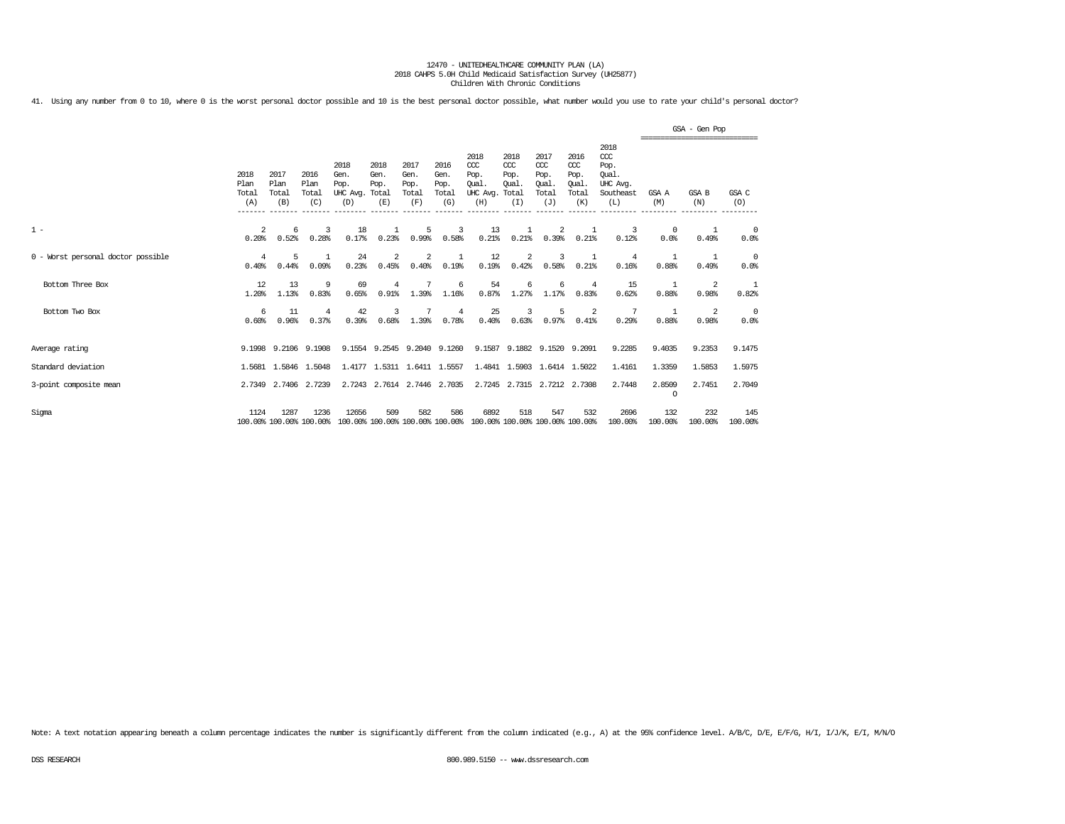41. Using any number from 0 to 10, where 0 is the worst personal doctor possible and 10 is the best personal doctor possible, what number would you use to rate your child's personal doctor?

|                                    |                              |                              |                                 |                                               |                             |                                      |                                      |                                                                         |                                              |                                                   |                                              |                                                              |                         | GSA - Gen Pop  |                        |
|------------------------------------|------------------------------|------------------------------|---------------------------------|-----------------------------------------------|-----------------------------|--------------------------------------|--------------------------------------|-------------------------------------------------------------------------|----------------------------------------------|---------------------------------------------------|----------------------------------------------|--------------------------------------------------------------|-------------------------|----------------|------------------------|
|                                    | 2018<br>Plan<br>Total<br>(A) | 2017<br>Plan<br>Total<br>(B) | 2016<br>Plan<br>Total<br>(C)    | 2018<br>Gen.<br>Pop.<br>UHC Avg. Total<br>(D) | 2018<br>Gen.<br>Pop.<br>(E) | 2017<br>Gen.<br>Pop.<br>Total<br>(F) | 2016<br>Gen.<br>Pop.<br>Total<br>(G) | 2018<br>$CC$<br>Pop.<br>Oual.<br>UHC Avg.<br>(H)                        | 2018<br>CCC<br>Pop.<br>Oual.<br>Total<br>(I) | 2017<br>$\alpha$<br>Pop.<br>Oual.<br>Total<br>(J) | 2016<br>ccc<br>Pop.<br>Oual.<br>Total<br>(K) | 2018<br>ccc<br>Pop.<br>Oual.<br>UHC Avg.<br>Southeast<br>(L) | GSA A<br>(M)            | GSA B<br>(N)   | GSA C<br>(O)           |
| $1 -$                              | 2<br>0.20%                   | 6<br>0.52%                   | 3<br>0.28%                      | 18<br>0.17%                                   | 0.23%                       | 5<br>0.99%                           | 3<br>0.58%                           | 13<br>0.21%                                                             | 1<br>0.21%                                   | 2<br>0.39%                                        | -1<br>0.21%                                  | 3<br>0.12%                                                   | $^{\circ}$<br>0.0%      | 0.49%          | $\overline{0}$<br>0.0% |
| 0 - Worst personal doctor possible | 4<br>0.40%                   | 5<br>0.44%                   | $\overline{1}$<br>0.09%         | 24<br>0.23%                                   | 2<br>0.45%                  | 2<br>0.40%                           | $\mathbf{1}$<br>0.19%                | 12<br>0.19%                                                             | 2<br>0.42%                                   | 3<br>0.58%                                        | -1<br>0.21%                                  | $\overline{4}$<br>0.16%                                      | -1<br>0.88%             | 0.49%          | $\overline{0}$<br>0.0% |
| Bottom Three Box                   | 12<br>1.20%                  | 13<br>1.13%                  | -9<br>0.83%                     | 69<br>0.65%                                   | $\overline{4}$<br>0.91%     | 1.39%                                | 6<br>1.16%                           | 54<br>0.87%                                                             | 6<br>1.27%                                   | 6<br>1.17%                                        | $\overline{4}$<br>0.83%                      | 15<br>0.62%                                                  | -1<br>0.88%             | 2<br>0.98%     | 1<br>0.82%             |
| Bottom Two Box                     | 6<br>0.60%                   | 11<br>0.96%                  | $\overline{4}$<br>0.37%         | 42<br>0.39%                                   | 3<br>0.68%                  | 1.39%                                | 4<br>0.78%                           | 25<br>0.40%                                                             | 3<br>0.63%                                   | 5<br>0.97%                                        | -2<br>0.41%                                  | 7<br>0.29%                                                   | $\overline{1}$<br>0.88% | 2<br>0.98%     | $\overline{0}$<br>0.0% |
| Average rating                     |                              |                              | 9.1998 9.2106 9.1908            |                                               | 9.1554 9.2545 9.2040 9.1260 |                                      |                                      |                                                                         |                                              | 9.1587 9.1882 9.1520 9.2091                       |                                              | 9.2285                                                       | 9.4035                  | 9.2353         | 9.1475                 |
| Standard deviation                 |                              | 1.5681 1.5846 1.5048         |                                 |                                               | 1.4177 1.5311 1.6411 1.5557 |                                      |                                      |                                                                         |                                              | 1.4841 1.5903 1.6414 1.5022                       |                                              | 1.4161                                                       | 1.3359                  | 1.5853         | 1.5975                 |
| 3-point composite mean             |                              | 2.7349 2.7406 2.7239         |                                 |                                               | 2.7243 2.7614 2.7446 2.7035 |                                      |                                      |                                                                         |                                              | 2.7245 2.7315 2.7212 2.7308                       |                                              | 2.7448                                                       | 2.8509<br>$\Omega$      | 2.7451         | 2.7049                 |
| Sigma                              | 1124                         | 1287                         | 1236<br>100.00% 100.00% 100.00% | 12656                                         | 509                         | 582                                  | 586                                  | 6892<br>100.00% 100.00% 100.00% 100.00% 100.00% 100.00% 100.00% 100.00% | 518                                          | 547                                               | 532                                          | 2696<br>100.00%                                              | 132<br>100.00%          | 232<br>100.00% | 145<br>100.00%         |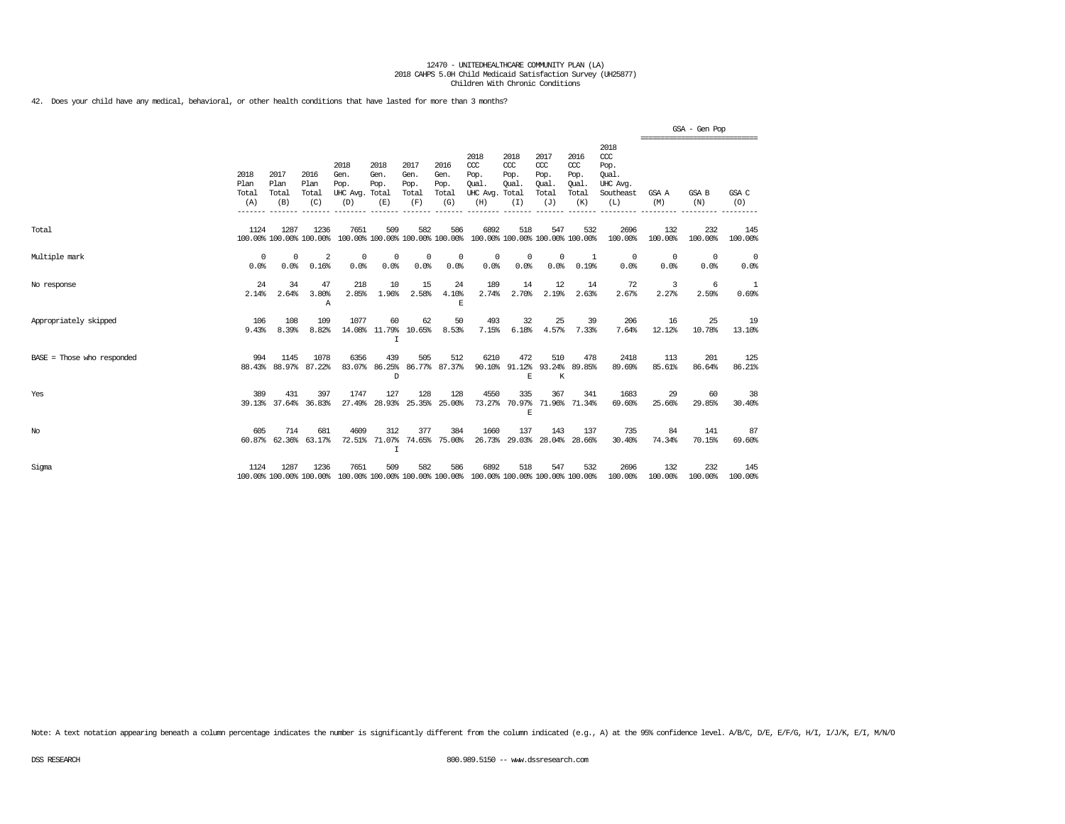42. Does your child have any medical, behavioral, or other health conditions that have lasted for more than 3 months?

|                            |                              |                              |                                  |                                               |                              |                                      |                                      |                                                                         |                                      |                                                   |                                              |                                                                 |                                          | GSA - Gen Pop      |                |
|----------------------------|------------------------------|------------------------------|----------------------------------|-----------------------------------------------|------------------------------|--------------------------------------|--------------------------------------|-------------------------------------------------------------------------|--------------------------------------|---------------------------------------------------|----------------------------------------------|-----------------------------------------------------------------|------------------------------------------|--------------------|----------------|
|                            | 2018<br>Plan<br>Total<br>(A) | 2017<br>Plan<br>Total<br>(B) | 2016<br>Plan<br>Total<br>(C)     | 2018<br>Gen.<br>Pop.<br>UHC Avg. Total<br>(D) | 2018<br>Gen.<br>Pop.<br>(E)  | 2017<br>Gen.<br>Pop.<br>Total<br>(F) | 2016<br>Gen.<br>Pop.<br>Total<br>(G) | 2018<br>CCC<br>Pop.<br>Oual.<br>UHC Avg. Total<br>(H)                   | 2018<br>$CC$<br>Pop.<br>Oual.<br>(I) | 2017<br>$\alpha$<br>Pop.<br>Oual.<br>Total<br>(J) | 2016<br>ccc<br>Pop.<br>Oual.<br>Total<br>(K) | 2018<br>$\csc$<br>Pop.<br>Oual.<br>UHC Avg.<br>Southeast<br>(L) | ------------------------<br>GSA A<br>(M) | GSA B<br>(N)       | GSA C<br>(O)   |
| Total                      | 1124                         | 1287                         | 1236<br>100.00% 100.00% 100.00%  | 7651                                          | 509                          | 582                                  | 586                                  | 6892<br>100.00% 100.00% 100.00% 100.00% 100.00% 100.00% 100.00% 100.00% | 518                                  | 547                                               | 532                                          | 2696<br>100.00%                                                 | 132<br>100.00%                           | 232<br>100.00%     | 145<br>100.00% |
| Multiple mark              | 0<br>0.0%                    | $^{\circ}$<br>0.0%           | $\overline{\mathbf{2}}$<br>0.16% | $^{\circ}$<br>0.0%                            | 0<br>0.0%                    | $^{\circ}$<br>0.0%                   | $^{\circ}$<br>0.0%                   | $^{\circ}$<br>0.0%                                                      | 0<br>0.0%                            | $\mathbf 0$<br>0.0%                               | -1<br>0.19%                                  | $^{\circ}$<br>0.0%                                              | $\circ$<br>0.0%                          | $^{\circ}$<br>0.0% | - 0<br>0.0%    |
| No response                | 24<br>2.14%                  | 34<br>2.64%                  | 47<br>3.80%<br>Α                 | 218<br>2.85%                                  | 10<br>1.96%                  | 15<br>2.58%                          | 24<br>4.10%<br>F.                    | 189<br>2.74%                                                            | 14<br>2.70%                          | 12<br>2.19%                                       | 14<br>2.63%                                  | 72<br>2.67%                                                     | 3<br>2.27%                               | 6<br>2.59%         | -1<br>0.69%    |
| Appropriately skipped      | 106<br>9.43%                 | 108<br>8.39%                 | 109<br>8.82%                     | 1077                                          | 60<br>14.08% 11.79%<br>I     | 62<br>10.65%                         | 50<br>8.53%                          | 493<br>7.15%                                                            | 32<br>6.18%                          | 25<br>4.57%                                       | 39<br>7.33%                                  | 206<br>7.64%                                                    | 16<br>12.12%                             | 25<br>10.78%       | 19<br>13.10%   |
| BASE = Those who responded | 994                          | 1145<br>88.43% 88.97%        | 1078<br>87.22%                   | 6356                                          | 439<br>83.07% 86.25%<br>D    | 505                                  | 512<br>86.77% 87.37%                 | 6210                                                                    | 472<br>90.10% 91.12% 93.24%<br>E     | 510<br>K                                          | 478<br>89.85%                                | 2418<br>89.69%                                                  | 113<br>85.61%                            | 201<br>86.64%      | 125<br>86.21%  |
| Yes                        | 389                          | 431<br>39.13% 37.64%         | 397<br>36.83%                    | 1747<br>27.49%                                | 127<br>28.93%                | 128                                  | 128<br>25.35% 25.00%                 | 4550<br>73.27%                                                          | 335<br>70.97%<br>E                   | 367                                               | 341<br>71.96% 71.34%                         | 1683<br>69.60%                                                  | 29<br>25.66%                             | 60<br>29.85%       | -38<br>30.40%  |
| No                         | 605                          | 714<br>60.87% 62.36%         | 681<br>63.17%                    | 4609<br>72.51%                                | 312<br>71.07%<br>$\mathbf I$ | 377                                  | 384<br>74.65% 75.00%                 | 1660                                                                    | 137<br>26.73% 29.03% 28.04% 28.66%   | 143                                               | 137                                          | 735<br>30.40%                                                   | 84<br>74.34%                             | 141<br>70.15%      | 87<br>69.60%   |
| Sigma                      | 1124                         | 1287                         | 1236<br>100.00% 100.00% 100.00%  | 7651                                          | 509                          | 582                                  | 586                                  | 6892<br>100.00% 100.00% 100.00% 100.00% 100.00% 100.00% 100.00% 100.00% | 518                                  | 547                                               | 532                                          | 2696<br>100.00%                                                 | 132<br>100.00%                           | 232<br>100.00%     | 145<br>100.00% |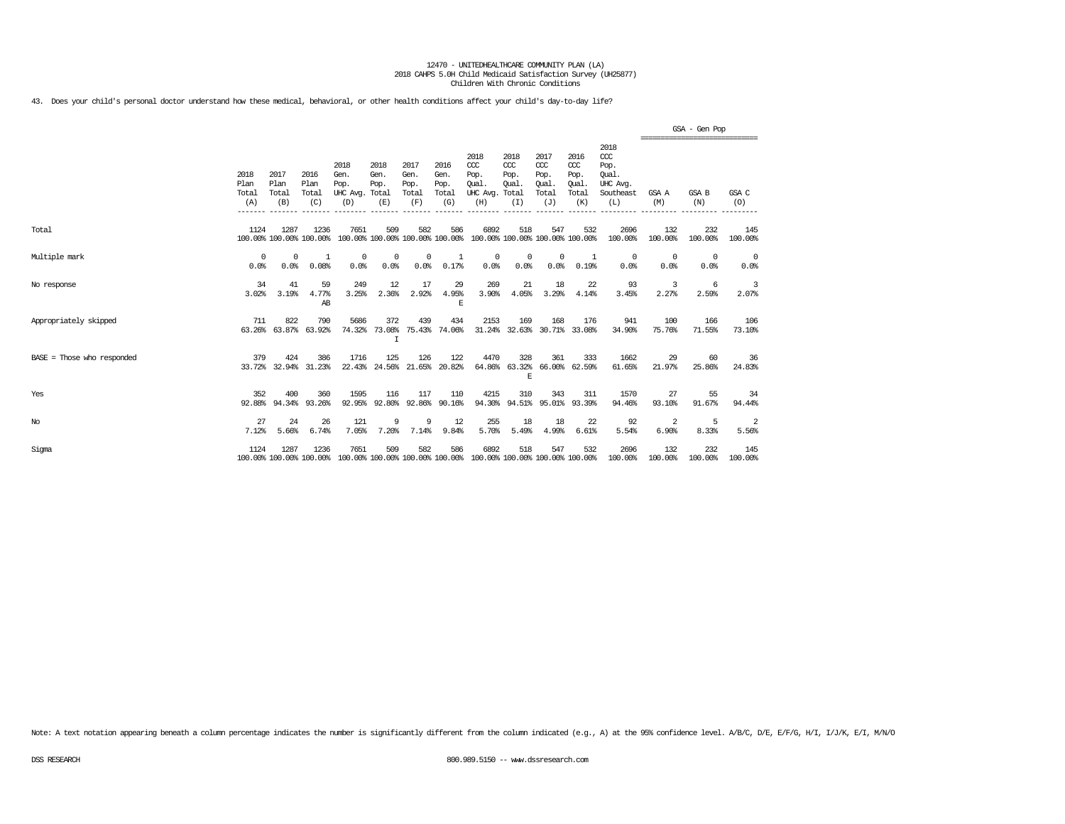43. Does your child's personal doctor understand how these medical, behavioral, or other health conditions affect your child's day-to-day life?

|                            |                                 |                              |                              |                                                                                         |                             |                                      |                                      |                                                                         |                                              |                                                   |                                                   |                                                              |                        | GSA - Gen Pop                                  |                        |
|----------------------------|---------------------------------|------------------------------|------------------------------|-----------------------------------------------------------------------------------------|-----------------------------|--------------------------------------|--------------------------------------|-------------------------------------------------------------------------|----------------------------------------------|---------------------------------------------------|---------------------------------------------------|--------------------------------------------------------------|------------------------|------------------------------------------------|------------------------|
|                            | 2018<br>Plan<br>Total<br>(A)    | 2017<br>Plan<br>Total<br>(B) | 2016<br>Plan<br>Total<br>(C) | 2018<br>Gen.<br>Pop.<br>UHC Avg. Total<br>(D)                                           | 2018<br>Gen.<br>Pop.<br>(E) | 2017<br>Gen.<br>Pop.<br>Total<br>(F) | 2016<br>Gen.<br>Pop.<br>Total<br>(G) | 2018<br>CCC<br>Pop.<br>Oual.<br>UHC Avg.<br>(H)                         | 2018<br>CCC<br>Pop.<br>Oual.<br>Total<br>(I) | 2017<br>$\alpha$<br>Pop.<br>Oual.<br>Total<br>(J) | 2016<br>$\alpha$<br>Pop.<br>Oual.<br>Total<br>(K) | 2018<br>ccc<br>Pop.<br>Oual.<br>UHC Avg.<br>Southeast<br>(L) | GSA A<br>(M)           | ==============================<br>GSA B<br>(N) | GSA C<br>(O)           |
| Total                      | 1124<br>100.00% 100.00% 100.00% | 1287                         | 1236                         | 7651                                                                                    | 509                         | 582                                  | 586                                  | 6892<br>100.00% 100.00% 100.00% 100.00% 100.00% 100.00% 100.00% 100.00% | 518                                          | 547                                               | 532                                               | 2696<br>100.00%                                              | 132<br>100.00%         | 232<br>100.00%                                 | 145<br>100.00%         |
| Multiple mark              | $^{\circ}$<br>0.0%              | $^{\circ}$<br>0.0%           | -1<br>0.08%                  | $^{\circ}$<br>0.0%                                                                      | 0<br>0.0%                   | $^{\circ}$<br>0.0%                   | 1<br>0.17%                           | $^{\circ}$<br>0.0%                                                      | $^{\circ}$<br>0.0%                           | $\mathbf{0}$<br>0.0%                              | -1<br>0.19%                                       | $^{\circ}$<br>0.0%                                           | $\overline{0}$<br>0.0% | $^{\circ}$<br>0.0%                             | $\overline{0}$<br>0.0% |
| No response                | 34<br>3.02%                     | 41<br>3.19%                  | 59<br>4.77%<br>AB            | 249<br>3.25%                                                                            | 12<br>2.36%                 | 17<br>2.92%                          | 29<br>4.95%<br>E                     | 269<br>3.90%                                                            | 21<br>4.05%                                  | 18<br>3.29%                                       | 22<br>4.14%                                       | 93<br>3.45%                                                  | 3<br>2.27%             | -6<br>2.59%                                    | 3<br>2.07%             |
| Appropriately skipped      | 711<br>63.26%                   | 822<br>63.87%                | 790<br>63.92%                | 5686<br>74.32%                                                                          | 372<br>73.08%<br>I          | 439                                  | 434<br>75.43% 74.06%                 | 2153                                                                    | 169                                          | 168                                               | 176<br>31.24% 32.63% 30.71% 33.08%                | 941<br>34.90%                                                | 100<br>75.76%          | 166<br>71.55%                                  | 106<br>73.10%          |
| BASE = Those who responded | 379                             | 424                          | 386<br>33.72% 32.94% 31.23%  | 1716<br>22.43%                                                                          | 125<br>24.56%               | 126                                  | 122<br>21.65% 20.82%                 | 4470                                                                    | 328<br>E                                     | 361                                               | 333<br>64.86% 63.32% 66.00% 62.59%                | 1662<br>61.65%                                               | 29<br>21.97%           | 60<br>25.86%                                   | 36<br>24.83%           |
| Yes                        | 352<br>92.88%                   | 400<br>94.34%                | 360<br>93.26%                | 1595<br>92.95%                                                                          | 116                         | 117<br>92.80% 92.86%                 | 110<br>90.16%                        | 4215                                                                    | 310<br>94.30% 94.51% 95.01% 93.39%           | 343                                               | 311                                               | 1570<br>94.46%                                               | 27<br>93.10%           | 55<br>91.67%                                   | 34<br>94.44%           |
| $_{\mathrm{No}}$           | 27<br>7.12%                     | 24<br>5.66%                  | 26<br>6.74%                  | 121<br>7.05%                                                                            | 9<br>7.20%                  | 9<br>7.14%                           | 12<br>9.84%                          | 255<br>5.70%                                                            | 18<br>5.49%                                  | 18<br>4.99%                                       | 22<br>6.61%                                       | 92<br>5.54%                                                  | 2<br>6.90%             | 5<br>8.33%                                     | 2<br>5.56%             |
| Sigma                      | 1124                            | 1287                         | 1236                         | 7651<br>100.00% 100.00% 100.00% 100.00% 100.00% 100.00% 100.00% 100.00% 100.00% 100.00% | 509                         | 582                                  | 586                                  | 6892                                                                    | 518                                          | 547                                               | 532                                               | 2696<br>100.00%                                              | 132<br>100.00%         | 232<br>100.00%                                 | 145<br>100.00%         |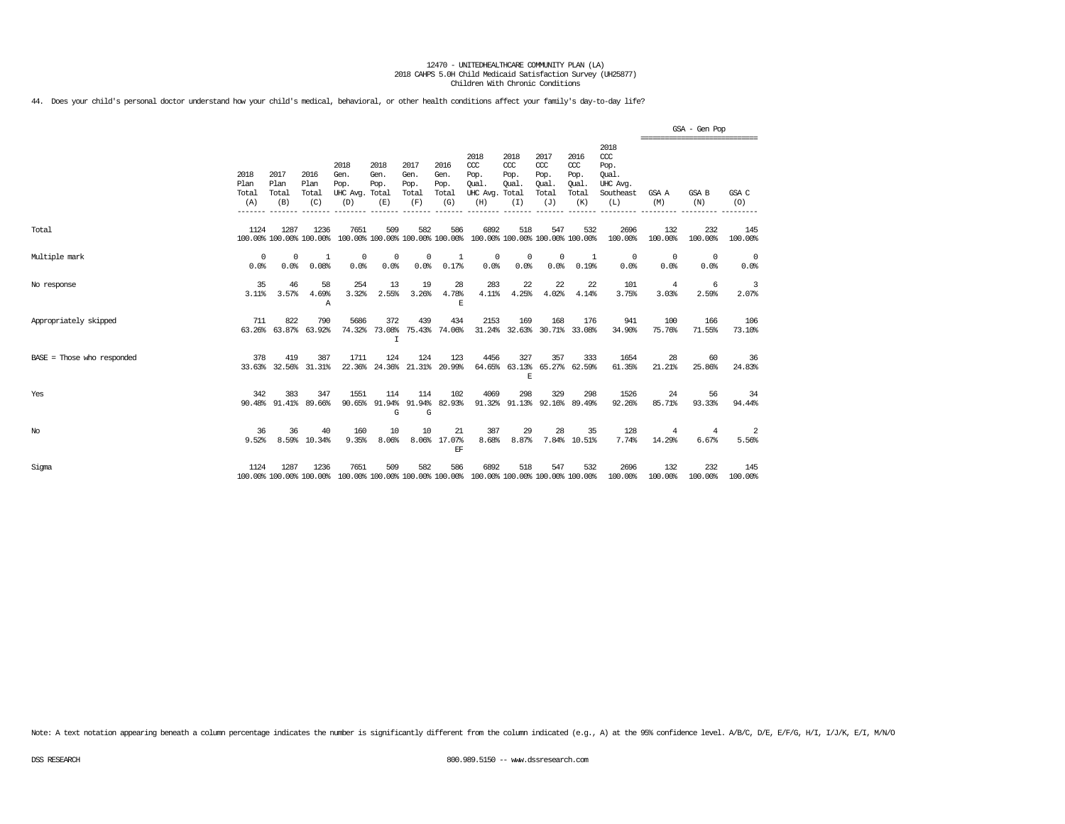44. Does your child's personal doctor understand how your child's medical, behavioral, or other health conditions affect your family's day-to-day life?

|                            |                              |                              |                              |                                                                                         |                                         |                                      |                                      |                                                       |                                          |                                                   |                                              |                                                              |                                                | GSA - Gen Pop    |                    |
|----------------------------|------------------------------|------------------------------|------------------------------|-----------------------------------------------------------------------------------------|-----------------------------------------|--------------------------------------|--------------------------------------|-------------------------------------------------------|------------------------------------------|---------------------------------------------------|----------------------------------------------|--------------------------------------------------------------|------------------------------------------------|------------------|--------------------|
|                            | 2018<br>Plan<br>Total<br>(A) | 2017<br>Plan<br>Total<br>(B) | 2016<br>Plan<br>Total<br>(C) | 2018<br>Gen.<br>Pop.<br>UHC Avg. Total<br>(D)                                           | 2018<br>Gen.<br>Pop.<br>(E)             | 2017<br>Gen.<br>Pop.<br>Total<br>(F) | 2016<br>Gen.<br>Pop.<br>Total<br>(G) | 2018<br>CCC<br>Pop.<br>Oual.<br>UHC Avg. Total<br>(H) | 2018<br>CCC<br>Pop.<br>Oual.<br>(I)      | 2017<br>$\alpha$<br>Pop.<br>Oual.<br>Total<br>(J) | 2016<br>ccc<br>Pop.<br>Oual.<br>Total<br>(K) | 2018<br>ccc<br>Pop.<br>Oual.<br>UHC Avg.<br>Southeast<br>(L) | ==============================<br>GSA A<br>(M) | GSA B<br>(N)     | GSA C<br>(O)       |
| Total                      | 1124                         | 1287                         | 1236                         | 7651<br>100.00% 100.00% 100.00% 100.00% 100.00% 100.00% 100.00% 100.00% 100.00% 100.00% | 509                                     | 582                                  | 586                                  | 6892                                                  | 518                                      | 547                                               | 532                                          | 2696<br>100.00%                                              | 132<br>100.00%                                 | 232<br>100.00%   | 145<br>100.00%     |
| Multiple mark              | 0<br>0.0%                    | 0<br>0.0%                    | 1<br>0.08%                   | $^{\circ}$<br>0.0%                                                                      | 0<br>0.0%                               | 0<br>0.0%                            | $\mathbf{1}$<br>0.17%                | 0<br>0.0%                                             | $^{\circ}$<br>0.0%                       | $\mathbf{0}$<br>0.0%                              | 1<br>0.19%                                   | 0<br>0.0%                                                    | $^{\circ}$<br>0.0%                             | $\Omega$<br>0.0% | $^{\circ}$<br>0.0% |
| No response                | 35<br>3.11%                  | 46<br>3.57%                  | 58<br>4.69%<br>Α             | 254<br>3.32%                                                                            | 13<br>2.55%                             | 19<br>3.26%                          | 28<br>4.78%<br>E                     | 283<br>4.11%                                          | 22<br>4.25%                              | 22<br>4.02%                                       | 22<br>4.14%                                  | 101<br>3.75%                                                 | 4<br>3.03%                                     | 6<br>2.59%       | 3<br>2.07%         |
| Appropriately skipped      | 711                          | 822<br>63.26% 63.87%         | 790<br>63.92%                | 5686<br>74.32%                                                                          | 372<br>73.08%<br>$\mathsf{T}$           | 439                                  | 434<br>75.43% 74.06%                 | 2153                                                  | 169<br>31.24% 32.63% 30.71% 33.08%       | 168                                               | 176                                          | 941<br>34.90%                                                | 100<br>75.76%                                  | 166<br>71.55%    | 106<br>73.10%      |
| BASE = Those who responded | 378                          | 419                          | 387<br>33.63% 32.56% 31.31%  | 1711                                                                                    | 124<br>22.36% 24.36% 21.31% 20.99%      | 124                                  | 123                                  | 4456                                                  | 327<br>64.65% 63.13% 65.27% 62.59%<br>F. | 357                                               | 333                                          | 1654<br>61.35%                                               | 28<br>21.21%                                   | 60<br>25.86%     | 36<br>24.83%       |
| Yes                        | 342                          | 383<br>90.48% 91.41%         | 347<br>89.66%                | 1551                                                                                    | 114<br>90.65% 91.94% 91.94% 82.93%<br>G | 114<br>G                             | 102                                  | 4069                                                  | 298<br>91.32% 91.13% 92.16% 89.49%       | 329                                               | 298                                          | 1526<br>92.26%                                               | 24<br>85.71%                                   | 56<br>93.33%     | 34<br>94.44%       |
| No                         | 36<br>9.52%                  | 36<br>8.59%                  | 40<br>10.34%                 | 160<br>9.35%                                                                            | 10<br>8.06%                             | 10                                   | 21<br>8.06% 17.07%<br>EF             | 387<br>8.68%                                          | 29<br>8.87%                              | 28                                                | 35<br>7.84% 10.51%                           | 128<br>7.74%                                                 | 4<br>14.29%                                    | 4<br>6.67%       | 2<br>5.56%         |
| Sigma                      | 1124                         | 1287                         | 1236                         | 7651<br>100.00% 100.00% 100.00% 100.00% 100.00% 100.00% 100.00% 100.00% 100.00% 100.00% | 509                                     | 582                                  | 586                                  | 6892                                                  | 518                                      | 547                                               | 532                                          | 2696<br>100.00%                                              | 132<br>100.00%                                 | 232<br>100.00%   | 145<br>100.00%     |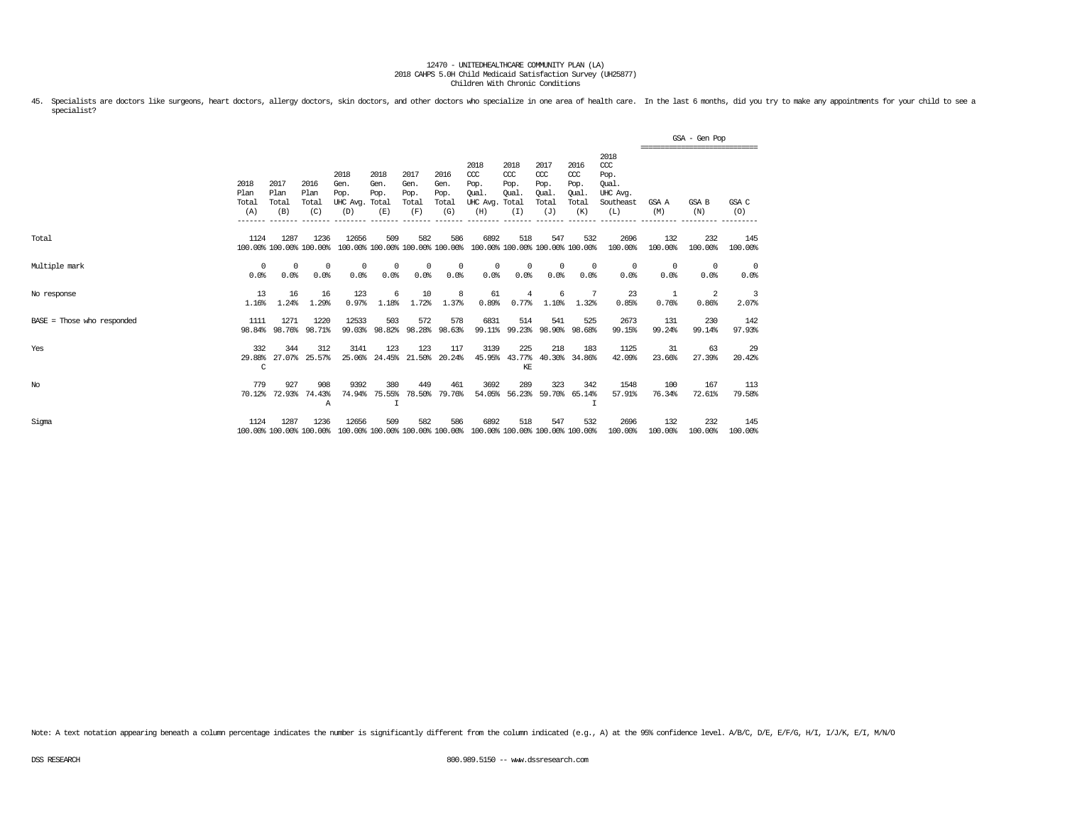45. Specialists are doctors like surgeons, heart doctors, allergy doctors, skin doctors, and other doctors who specialize in one area of health care. In the last 6 months, did you try to make any appointments for your chil specialist?

|                            |                              |                                 |                                 |                                               |                                        |                                      |                                      |                                                                         |                                              |                                                   |                                              |                                                                   |                    | GSA - Gen Pop<br>;========================== |                 |
|----------------------------|------------------------------|---------------------------------|---------------------------------|-----------------------------------------------|----------------------------------------|--------------------------------------|--------------------------------------|-------------------------------------------------------------------------|----------------------------------------------|---------------------------------------------------|----------------------------------------------|-------------------------------------------------------------------|--------------------|----------------------------------------------|-----------------|
|                            | 2018<br>Plan<br>Total<br>(A) | 2017<br>Plan<br>Total<br>(B)    | 2016<br>Plan<br>Total<br>(C)    | 2018<br>Gen.<br>Pop.<br>UHC Avg. Total<br>(D) | 2018<br>Gen.<br>Pop.<br>(E)            | 2017<br>Gen.<br>Pop.<br>Total<br>(F) | 2016<br>Gen.<br>Pop.<br>Total<br>(G) | 2018<br>CCC<br>Pop.<br>Oual.<br>UHC Avg.<br>(H)                         | 2018<br>CCC<br>Pop.<br>Oual.<br>Total<br>(I) | 2017<br>$\alpha$<br>Pop.<br>Oual.<br>Total<br>(J) | 2016<br>ccc<br>Pop.<br>Oual.<br>Total<br>(K) | 2018<br>$\alpha$<br>Pop.<br>Oual.<br>UHC Avg.<br>Southeast<br>(L) | GSA A<br>(M)       | <b>GSA B</b><br>(N)                          | GSA C<br>(0)    |
| Total                      | 1124                         | 1287<br>100.00% 100.00% 100.00% | 1236                            | 12656                                         | 509<br>100.00% 100.00% 100.00% 100.00% | 582                                  | 586                                  | 6892                                                                    | 518                                          | 547<br>100.00% 100.00% 100.00% 100.00%            | 532                                          | 2696<br>100.00%                                                   | 132<br>100.00%     | 232<br>100.00%                               | 145<br>100.00%  |
| Multiple mark              | $^{\circ}$<br>0.0%           | $^{\circ}$<br>0.0%              | $^{\circ}$<br>0.0%              | $^{\circ}$<br>0.0%                            | $^{\circ}$<br>0.0%                     | $^{\circ}$<br>0.0%                   | 0<br>0.0%                            | $^{\circ}$<br>0.0%                                                      | $^{\circ}$<br>0.0%                           | $\mathbf 0$<br>0.0%                               | $^{\circ}$<br>0.0%                           | $\overline{0}$<br>0.0%                                            | $^{\circ}$<br>0.0% | $^{\circ}$<br>0.0%                           | $\circ$<br>0.0% |
| No response                | 13<br>1.16%                  | 16<br>1.24%                     | 16<br>1.29%                     | 123<br>0.97%                                  | 6<br>1.18%                             | 10<br>1.72%                          | 8<br>1.37%                           | 61<br>0.89%                                                             | 4<br>0.77%                                   | 6<br>1.10%                                        | -7<br>1.32%                                  | 23<br>0.85%                                                       | 0.76%              | 2<br>0.86%                                   | 3<br>2.07%      |
| BASE = Those who responded | 1111<br>98.84%               | 1271<br>98.76%                  | 1220<br>98.71%                  | 12533<br>99.03%                               | 503<br>98.82%                          | 572<br>98.28%                        | 578<br>98.63%                        | 6831<br>99.11%                                                          | 514<br>99.23%                                | 541<br>98.90%                                     | 525<br>98.68%                                | 2673<br>99.15%                                                    | 131<br>99.24%      | 230<br>99.14%                                | 142<br>97.93%   |
| Yes                        | 332<br>29.88%<br>C           | 344<br>27.07%                   | 312<br>25.57%                   | 3141<br>25.06%                                | 123<br>24.45%                          | 123                                  | 117<br>21.50% 20.24%                 | 3139                                                                    | 225<br>45.95% 43.77%<br>KE                   | 218<br>40.30%                                     | 183<br>34.86%                                | 1125<br>42.09%                                                    | 31<br>23.66%       | 63<br>27.39%                                 | 29<br>20.42%    |
| $_{\mathrm{No}}$           | 779<br>70.12%                | 927<br>72.93%                   | 908<br>74.43%<br>Α              | 9392<br>74.94%                                | 380<br>75.55%                          | 449                                  | 461<br>78.50% 79.76%                 | 3692                                                                    | 289<br>54.05% 56.23%                         | 323<br>59.70%                                     | 342<br>65.14%                                | 1548<br>57.91%                                                    | 100<br>76.34%      | 167<br>72.61%                                | 113<br>79.58%   |
| Sigma                      | 1124                         | 1287                            | 1236<br>100.00% 100.00% 100.00% | 12656                                         | 509                                    | 582                                  | 586                                  | 6892<br>100.00% 100.00% 100.00% 100.00% 100.00% 100.00% 100.00% 100.00% | 518                                          | 547                                               | 532                                          | 2696<br>100.00%                                                   | 132<br>100.00%     | 232<br>100.00%                               | 145<br>100.00%  |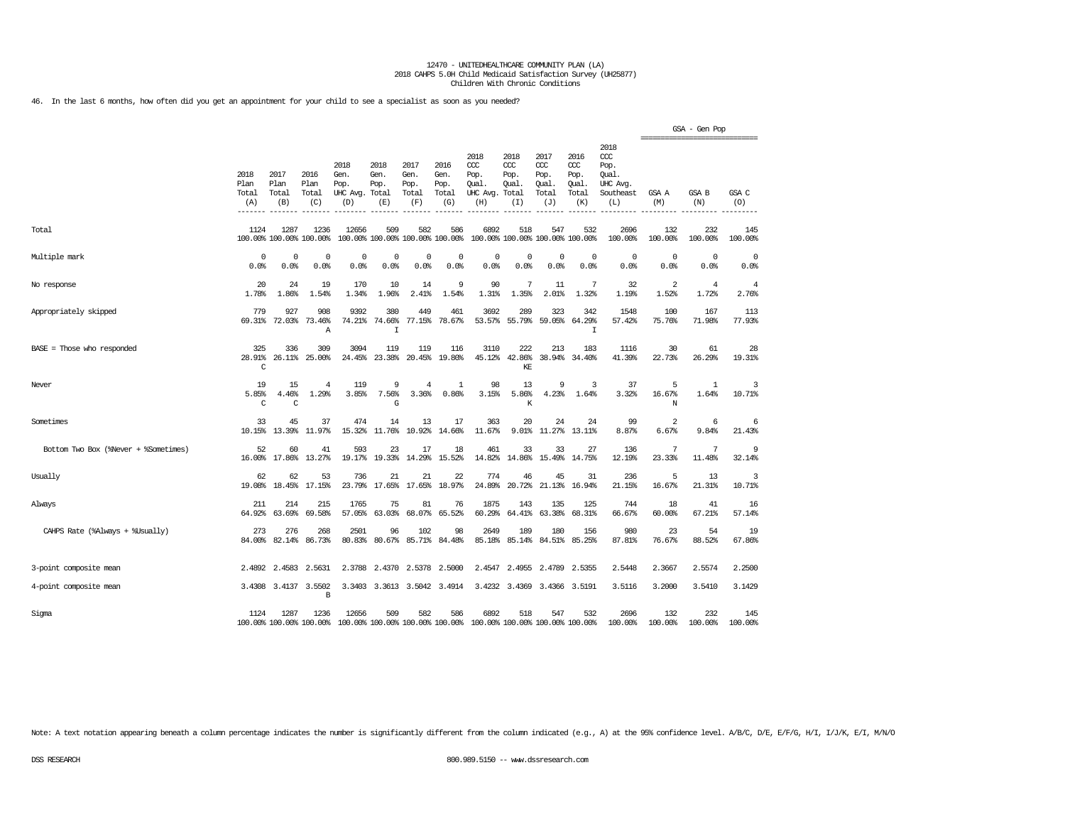46. In the last 6 months, how often did you get an appointment for your child to see a specialist as soon as you needed?

|                                      |                                             |                              |                                 |                                         |                                      |                                        |                                      |                                                       |                                     |                                              |                                                   |                                                              | ================================ | GSA - Gen Pop           |                         |
|--------------------------------------|---------------------------------------------|------------------------------|---------------------------------|-----------------------------------------|--------------------------------------|----------------------------------------|--------------------------------------|-------------------------------------------------------|-------------------------------------|----------------------------------------------|---------------------------------------------------|--------------------------------------------------------------|----------------------------------|-------------------------|-------------------------|
|                                      | 2018<br>Plan<br>Total<br>(A)<br>$- - - - -$ | 2017<br>Plan<br>Total<br>(B) | 2016<br>Plan<br>Total<br>(C)    | 2018<br>Gen.<br>Pop.<br>UHC Avg.<br>(D) | 2018<br>Gen.<br>Pop.<br>Total<br>(E) | 2017<br>Gen.<br>Pop.<br>Total<br>(F)   | 2016<br>Gen.<br>Pop.<br>Total<br>(G) | 2018<br>CCC<br>Pop.<br>Qual.<br>UHC Avg. Total<br>(H) | 2018<br>ccc<br>Pop.<br>Oual.<br>(T) | 2017<br>ccc<br>Pop.<br>Qual.<br>Total<br>(J) | 2016<br>$\alpha$<br>Pop.<br>Qual.<br>Total<br>(K) | 2018<br>ccc<br>Pop.<br>Oual.<br>UHC Avg.<br>Southeast<br>(L) | GSA A<br>(M)                     | GSA B<br>(N)            | GSA C<br>(O)            |
| Total                                | 1124                                        | 1287                         | 1236<br>100.00% 100.00% 100.00% | 12656                                   | 509                                  | 582<br>100.00% 100.00% 100.00% 100.00% | 586                                  | 6892                                                  | 518                                 | 547<br>100.00% 100.00% 100.00% 100.00%       | 532                                               | 2696<br>100.00%                                              | 132<br>100.00%                   | 232<br>100.00%          | 145<br>100.00%          |
| Multiple mark                        | 0<br>0.0%                                   | 0<br>0.0%                    | $\mathbf 0$<br>0.0%             | $\Omega$<br>0.0%                        | $\Omega$<br>0.0%                     | $\Omega$<br>0.0%                       | $\Omega$<br>0.0%                     | $\Omega$<br>0.0%                                      | $\Omega$<br>0.0%                    | $\mathbf 0$<br>0.0%                          | $\mathbf 0$<br>0.0%                               | $\mathbf 0$<br>0.0%                                          | 0<br>0.0%                        | $\mathbf 0$<br>0.0%     | $^{\circ}$<br>0.0%      |
| No response                          | 20<br>1.78%                                 | 24<br>1.86%                  | 19<br>1.54%                     | 170<br>1.34%                            | 10<br>1.96%                          | 14<br>2.41%                            | 9<br>1.54%                           | 90<br>1.31%                                           | 7<br>1.35%                          | 11<br>2.01%                                  | 7<br>1.32%                                        | 32<br>1.19%                                                  | 2<br>1.52%                       | $\overline{4}$<br>1.72% | $\overline{4}$<br>2.76% |
| Appropriately skipped                | 779<br>69.31%                               | 927<br>72.03%                | 908<br>73.46%<br>$\mathbb{A}$   | 9392<br>74.21%                          | 380<br>74.66%<br>$\mathbf I$         | 449<br>77.15%                          | 461<br>78.67%                        | 3692<br>53.57%                                        | 289<br>55.79%                       | 323<br>59.05%                                | 342<br>64.29%<br>I                                | 1548<br>57.42%                                               | 100<br>75.76%                    | 167<br>71.98%           | 113<br>77.93%           |
| BASE = Those who responded           | 325<br>28.91%<br>C                          | 336<br>26.11%                | 309<br>25,00%                   | 3094<br>24.45%                          | 119<br>23.38%                        | 119<br>20.45%                          | 116<br>19.80%                        | 3110<br>45.12%                                        | 222<br>42.86%<br>KE                 | 213<br>38.94%                                | 183<br>34.40%                                     | 1116<br>41.39%                                               | 30<br>22.73%                     | 61<br>26.29%            | 28<br>19.31%            |
| Never                                | 19<br>5.85%<br>C                            | 15<br>4.46%<br>C             | 4<br>1.29%                      | 119<br>3.85%                            | 9<br>7.56%<br>G                      | $\overline{4}$<br>3.36%                | 1<br>0.86%                           | 98<br>3.15%                                           | 13<br>5.86%<br>К                    | 9<br>4.23%                                   | 3<br>1.64%                                        | 37<br>3.32%                                                  | 5<br>16.67%<br>N                 | $\mathbf{1}$<br>1.64%   | 3<br>10.71%             |
| Sometimes                            | 33<br>10.15%                                | 45<br>13.39%                 | 37<br>11.97%                    | 474<br>15.32%                           | 14<br>11.76%                         | 13<br>10.92%                           | 17<br>14.66%                         | 363<br>11.67%                                         | 20<br>9.01%                         | 24<br>11.27%                                 | 24<br>13.11%                                      | 99<br>8.87%                                                  | 2<br>6.67%                       | 6<br>9.84%              | 6<br>21.43%             |
| Bottom Two Box (%Never + %Sometimes) | 52<br>16.00%                                | 60<br>17.86%                 | 41<br>13.27%                    | 593<br>19.17%                           | 23<br>19.33%                         | 17<br>14.29%                           | 18<br>15.52%                         | 461<br>14.82%                                         | 33<br>14.86%                        | 33<br>15.49%                                 | 27<br>14.75%                                      | 136<br>12.19%                                                | 7<br>23.33%                      | 7<br>11.48%             | 9<br>32.14%             |
| Usually                              | 62<br>19.08%                                | 62<br>18.45%                 | 53<br>17.15%                    | 736<br>23.79%                           | 21<br>17.65%                         | 21<br>17.65%                           | 22<br>18.97%                         | 774<br>24.89%                                         | 46<br>20.72%                        | 45<br>21.13%                                 | 31<br>16.94%                                      | 236<br>21.15%                                                | 5<br>16.67%                      | 13<br>21.31%            | 3<br>10.71%             |
| Always                               | 211<br>64.92%                               | 214<br>63.69%                | 215<br>69.58%                   | 1765<br>57.05%                          | 75<br>63.03%                         | 81<br>68.07%                           | 76<br>65.52%                         | 1875<br>60.29%                                        | 143<br>64.41%                       | 135<br>63.38%                                | 125<br>68.31%                                     | 744<br>66.67%                                                | 18<br>60.00%                     | 41<br>67.21%            | 16<br>57.14%            |
| CAHPS Rate (%Always + %Usually)      | 273<br>84.00%                               | 276<br>82.14%                | 268<br>86.73%                   | 2501<br>80.83%                          | 96<br>80.67%                         | 102<br>85.71%                          | 98<br>84.48%                         | 2649<br>85.18%                                        | 189<br>85.14%                       | 180<br>84.51%                                | 156<br>85.25%                                     | 980<br>87.81%                                                | 23<br>76.67%                     | 54<br>88.52%            | 19<br>67.86%            |
| 3-point composite mean               |                                             | 2.4892 2.4583                | 2.5631                          | 2.3788                                  | 2.4370                               | 2.5378                                 | 2,5000                               | 2.4547                                                | 2.4955                              | 2.4789                                       | 2.5355                                            | 2.5448                                                       | 2.3667                           | 2.5574                  | 2,2500                  |
| 4-point composite mean               |                                             | 3.4308 3.4137                | 3.5502<br>В                     |                                         |                                      | 3.3403 3.3613 3.5042 3.4914            |                                      |                                                       | 3.4232 3.4369                       |                                              | 3.4366 3.5191                                     | 3.5116                                                       | 3.2000                           | 3.5410                  | 3.1429                  |
| Sigma                                | 1124                                        | 1287                         | 1236<br>100.00% 100.00% 100.00% | 12656                                   | 509                                  | 582<br>100.00% 100.00% 100.00% 100.00% | 586                                  | 6892<br>100.00% 100.00% 100.00% 100.00%               | 518                                 | 547                                          | 532                                               | 2696<br>100.00%                                              | 132<br>100.00%                   | 232<br>100.00%          | 145<br>100.00%          |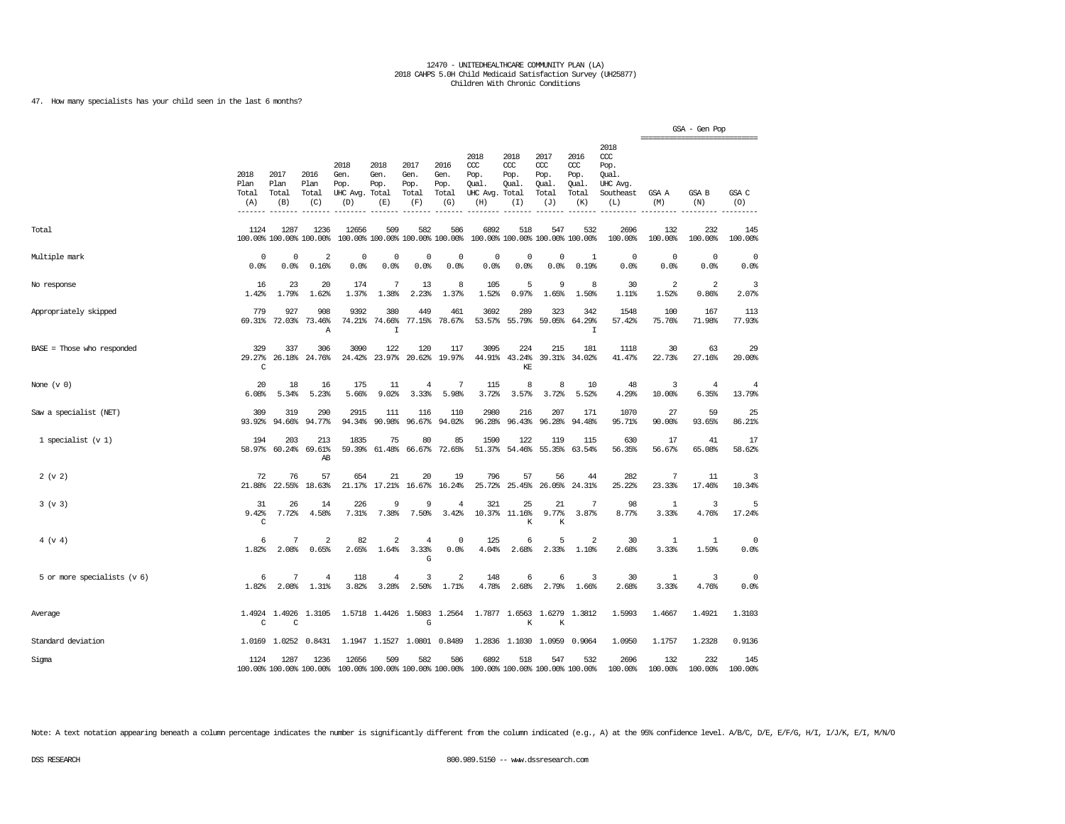47. How many specialists has your child seen in the last 6 months?

|                             |                              |                              |                                 |                                                                  |                                        |                                      |                                      |                                                 |                                              |                                              |                                                   |                                                              | ------------------      | GSA - Gen Pop           |                          |
|-----------------------------|------------------------------|------------------------------|---------------------------------|------------------------------------------------------------------|----------------------------------------|--------------------------------------|--------------------------------------|-------------------------------------------------|----------------------------------------------|----------------------------------------------|---------------------------------------------------|--------------------------------------------------------------|-------------------------|-------------------------|--------------------------|
|                             | 2018<br>Plan<br>Total<br>(A) | 2017<br>Plan<br>Total<br>(B) | 2016<br>Plan<br>Total<br>(C)    | 2018<br>Gen.<br>Pop.<br>UHC Avg. Total<br>(D)                    | 2018<br>Gen.<br>Pop.<br>(E)            | 2017<br>Gen.<br>Pop.<br>Total<br>(F) | 2016<br>Gen.<br>Pop.<br>Total<br>(G) | 2018<br>ccc<br>Pop.<br>Qual.<br>UHC Avg.<br>(H) | 2018<br>ccc<br>Pop.<br>Qual.<br>Total<br>(I) | 2017<br>ccc<br>Pop.<br>Qual.<br>Total<br>(J) | 2016<br>$\alpha$<br>Pop.<br>Qual.<br>Total<br>(K) | 2018<br>ccc<br>Pop.<br>Qual.<br>UHC Avg.<br>Southeast<br>(L) | GSA A<br>(M)            | GSA B<br>(N)            | GSA C<br>(0)             |
| Total                       | 1124                         | 1287                         | 1236<br>100.00% 100.00% 100.00% | 12656                                                            | 509<br>100.00% 100.00% 100.00% 100.00% | 582                                  | 586                                  | 6892                                            | 518                                          | 547<br>100.00% 100.00% 100.00% 100.00%       | 532                                               | 2696<br>100.00%                                              | 132<br>100.00%          | 232<br>100.00%          | 145<br>100.00%           |
| Multiple mark               | $^{\circ}$<br>0.0%           | 0<br>0.0%                    | $\overline{2}$<br>0.16%         | $^{\circ}$<br>0.0%                                               | 0<br>0.0%                              | $^{\circ}$<br>0.0%                   | $\Omega$<br>0.0%                     | $\mathbf 0$<br>0.0%                             | $\mathbf 0$<br>0.0%                          | $\Omega$<br>$0.0$ %                          | 1<br>0.19%                                        | $\mathbf{0}$<br>0.0%                                         | $^{\circ}$<br>0.0%      | $\Omega$<br>0.0%        | $\mathbf 0$<br>0.0%      |
| No response                 | 16<br>1.42%                  | 23<br>1.79%                  | 20<br>1.62%                     | 174<br>1.37%                                                     | 7<br>1.38%                             | 13<br>2.23%                          | 8<br>1.37%                           | 105<br>1.52%                                    | 5<br>0.97%                                   | 9<br>1.65%                                   | 8<br>1.50%                                        | 30<br>1.11%                                                  | $\overline{2}$<br>1.52% | $\overline{2}$<br>0.86% | 3<br>2.07%               |
| Appropriately skipped       | 779<br>69.31%                | 927                          | 908<br>72.03% 73.46%<br>Α       | 9392                                                             | 380<br>74.21% 74.66%<br>$\mathbf I$    | 449                                  | 461<br>77.15% 78.67%                 | 3692                                            | 289<br>53.57% 55.79%                         | 323                                          | 342<br>59.05% 64.29%<br>I                         | 1548<br>57.42%                                               | 100<br>75.76%           | 167<br>71.98%           | 113<br>77.93%            |
| BASE = Those who responded  | 329<br>29.27%<br>C           | 337<br>26.18%                | 306<br>24.76%                   | 3090<br>24.42%                                                   | 122<br>23.97%                          | 120                                  | 117<br>20.62% 19.97%                 | 3095<br>44.91%                                  | 224<br>43.24%<br>KE                          | 215                                          | 181<br>39.31% 34.02%                              | 1118<br>41.47%                                               | 30<br>22.73%            | 63<br>27.16%            | 29<br>20.00%             |
| None $(v 0)$                | 20<br>6.08%                  | 18<br>5.34%                  | 16<br>5.23%                     | 175<br>5.66%                                                     | 11<br>9.02%                            | $\bf{4}$<br>3.33%                    | 7<br>5.98%                           | 115<br>3.72%                                    | 8<br>3.57%                                   | 8<br>3.72%                                   | 10<br>5.52%                                       | 48<br>4.29%                                                  | 3<br>10.00%             | $\overline{4}$<br>6.35% | $\overline{4}$<br>13.79% |
| Saw a specialist (NET)      | 309<br>93.92%                | 319<br>94.66%                | 290<br>94.77%                   | 2915<br>94.34%                                                   | 111<br>90.98%                          | 116<br>96.67%                        | 110<br>94.02%                        | 2980<br>96.28%                                  | 216<br>96.43%                                | 207<br>96.28%                                | 171<br>94.48%                                     | 1070<br>95.71%                                               | 27<br>90.00%            | 59<br>93.65%            | 25<br>86.21%             |
| 1 specialist $(v 1)$        | 194<br>58.97%                | 203<br>60.24%                | 213<br>69.61%<br>AB             | 1835<br>59.39%                                                   | 75<br>61.48%                           | 80<br>66.67%                         | 85<br>72.65%                         | 1590<br>51.37%                                  | 122<br>54.46%                                | 119<br>55.35%                                | 115<br>63.54%                                     | 630<br>56.35%                                                | 17<br>56.67%            | 41<br>65.08%            | 17<br>58.62%             |
| 2 (v 2)                     | 72<br>21.88%                 | 76<br>22.55%                 | 57<br>18.63%                    | 654<br>21.17%                                                    | 21<br>17.21%                           | 20<br>16.67%                         | 19<br>16.24%                         | 796<br>25.72%                                   | 57<br>25.45%                                 | 56<br>26.05%                                 | 44<br>24.31%                                      | 282<br>25.22%                                                | 7<br>23.33%             | 11<br>17.46%            | 3<br>10.34%              |
| 3 (v 3)                     | 31<br>9.42%<br>C             | 26<br>7.72%                  | 14<br>4.58%                     | 226<br>7.31%                                                     | 9<br>7.38%                             | 9<br>7.50%                           | $\overline{4}$<br>3.42%              | 321                                             | 25<br>10.37% 11.16%<br>K                     | 21<br>9.77%<br>K                             | 7<br>3.87%                                        | 98<br>8.77%                                                  | 1<br>3.33%              | 3<br>4.76%              | 5<br>17.24%              |
| 4 (v 4)                     | 6<br>1.82%                   | 7<br>2.08%                   | $\overline{2}$<br>0.65%         | 82<br>2.65%                                                      | $\overline{\mathbf{c}}$<br>1.64%       | $\bf{4}$<br>3.33%<br>G               | 0<br>0.0%                            | 125<br>4.04%                                    | 6<br>2.68%                                   | 5<br>2.33%                                   | $\overline{2}$<br>1.10%                           | 30<br>2.68%                                                  | 1<br>3.33%              | 1<br>1.59%              | $^{\circ}$<br>0.0%       |
| 5 or more specialists (v 6) | 6<br>1.82%                   | 7<br>2.08%                   | $\overline{4}$<br>1.31%         | 118<br>3.82%                                                     | 4<br>3.28%                             | 3<br>2.50%                           | 2<br>1.71%                           | 148<br>4.78%                                    | 6<br>2.68%                                   | 6<br>2.79%                                   | 3<br>1.66%                                        | 30<br>2.68%                                                  | 1<br>3.33%              | $\overline{3}$<br>4.76% | $^{\circ}$<br>0.0%       |
| Average                     | C                            | 1.4924 1.4926<br>C           | 1.3105                          |                                                                  | 1.5718 1.4426 1.5083                   | G                                    | 1.2564                               |                                                 | K                                            | 1.7877 1.6563 1.6279<br>К                    | 1.3812                                            | 1.5993                                                       | 1.4667                  | 1.4921                  | 1.3103                   |
| Standard deviation          |                              | 1.0169 1.0252                | 0.8431                          |                                                                  | 1.1947 1.1527 1.0801 0.8489            |                                      |                                      |                                                 |                                              | 1.2836 1.1030 1.0959                         | 0.9064                                            | 1.0950                                                       | 1.1757                  | 1.2328                  | 0.9136                   |
| Sigma                       | 1124                         | 1287                         | 1236                            | 12656<br>100.00% 100.00% 100.00% 100.00% 100.00% 100.00% 100.00% | 509                                    | 582                                  | 586                                  | 6892<br>100.00% 100.00% 100.00% 100.00%         | 518                                          | 547                                          | 532                                               | 2696<br>100.00%                                              | 132<br>100.00%          | 232<br>100.00%          | 145<br>100.00%           |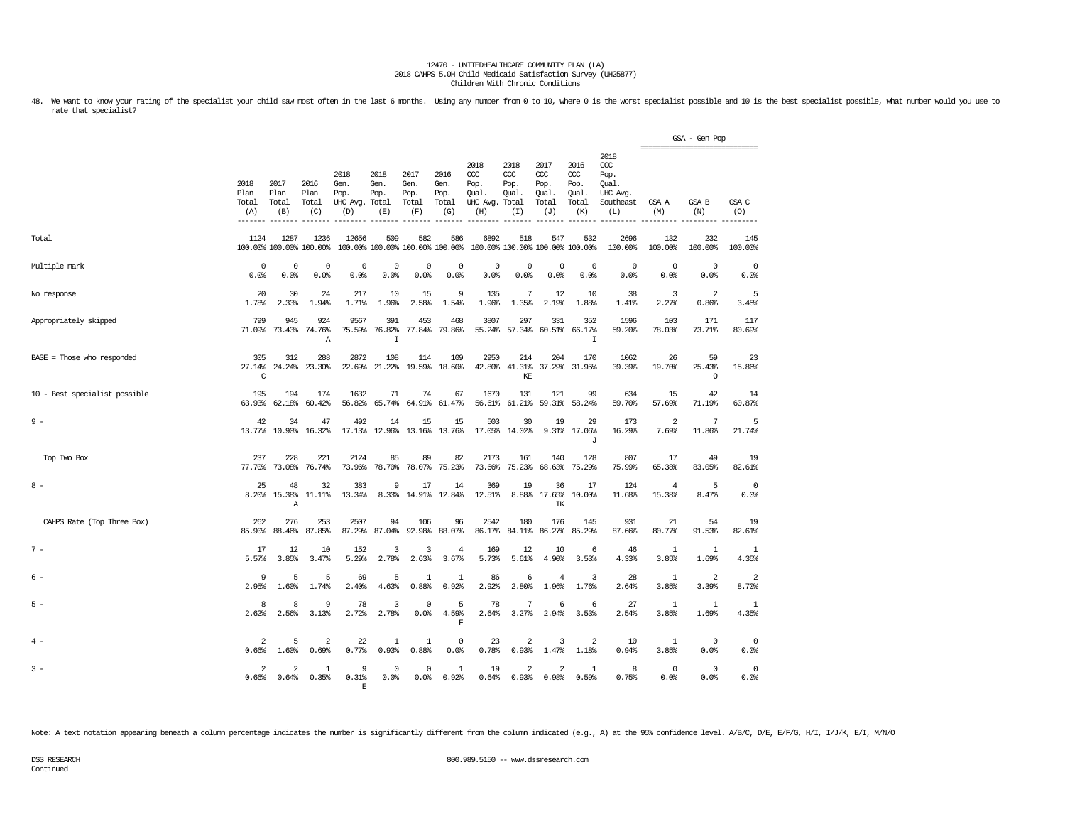48. We want to know your rating of the specialist your child saw most often in the last 6 months. Using any number from 0 to 10, where 0 is the worst specialist possible and 10 is the best specialist possible, what number rate that specialist?

|                               |                                  |                                  |                                 |                                               |                                        |                                      |                                      |                                                       |                                        |                                              |                                             |                                                                   |                         | GSA - Gen Pop<br>=============================== |                         |
|-------------------------------|----------------------------------|----------------------------------|---------------------------------|-----------------------------------------------|----------------------------------------|--------------------------------------|--------------------------------------|-------------------------------------------------------|----------------------------------------|----------------------------------------------|---------------------------------------------|-------------------------------------------------------------------|-------------------------|--------------------------------------------------|-------------------------|
|                               | 2018<br>Plan<br>Total<br>(A)     | 2017<br>Plan<br>Total<br>(B)     | 2016<br>Plan<br>Total<br>(C)    | 2018<br>Gen.<br>Pop.<br>UHC Avg. Total<br>(D) | 2018<br>Gen.<br>Pop.<br>(E)            | 2017<br>Gen.<br>Pop.<br>Total<br>(F) | 2016<br>Gen.<br>Pop.<br>Total<br>(G) | 2018<br>CCC<br>Pop.<br>Qual.<br>UHC Avg. Total<br>(H) | 2018<br>CCC<br>Pop.<br>Oual.<br>(I)    | 2017<br>ccc<br>Pop.<br>Qual.<br>Total<br>(J) | 2016<br>ccc<br>Pop.<br>Oual<br>Total<br>(K) | 2018<br>$\alpha$<br>Pop.<br>Oual.<br>UHC Avg.<br>Southeast<br>(L) | GSA A<br>(M)            | <b>GSA B</b><br>(N)                              | GSA C<br>(0)            |
| Total                         | 1124                             | 1287                             | 1236<br>100.00% 100.00% 100.00% | 12656                                         | 509<br>100.00% 100.00% 100.00% 100.00% | 582                                  | 586                                  | 6892                                                  | 518<br>100.00% 100.00% 100.00% 100.00% | 547                                          | 532                                         | 2696<br>100.00%                                                   | 132<br>100.00%          | 232<br>100.00%                                   | 145<br>100.00%          |
| Multiple mark                 | $^{\circ}$<br>0.0%               | $^{\circ}$<br>0.0%               | $^{\circ}$<br>0.0%              | $^{\circ}$<br>0.0%                            | $\mathbf 0$<br>0.0%                    | $^{\circ}$<br>0.0%                   | $\mathbf 0$<br>0.0%                  | $^{\circ}$<br>0.0%                                    | $^{\circ}$<br>0.0%                     | $\mathbf 0$<br>0.0%                          | $^{\circ}$<br>0.0%                          | $^{\circ}$<br>0.0%                                                | $\overline{0}$<br>0.0%  | $^{\circ}$<br>0.0%                               | $^{\circ}$<br>0.0%      |
| No response                   | 20<br>1.78%                      | 30<br>2.33%                      | 24<br>1.94%                     | 217<br>1.71%                                  | 10<br>1.96%                            | 15<br>2.58%                          | 9<br>1.54%                           | 135<br>1.96%                                          | 7<br>1.35%                             | 12<br>2.19%                                  | 10<br>1.88%                                 | 38<br>1.41%                                                       | 3<br>2.27%              | 2<br>0.86%                                       | 5<br>3.45%              |
| Appropriately skipped         | 799<br>71.09%                    | 945<br>73.43%                    | 924<br>74.76%<br>Α              | 9567<br>75.59%                                | 391<br>76.82%<br>$\mathbf I$           | 453<br>77.84%                        | 468<br>79.86%                        | 3807<br>55.24%                                        | 297<br>57.34%                          | 331                                          | 352<br>60.51% 66.17%<br>I                   | 1596<br>59.20%                                                    | 103<br>78.03%           | 171<br>73.71%                                    | 117<br>80.69%           |
| BASE = Those who responded    | 305<br>27.14%<br>$\mathsf{C}$    | 312<br>24.24%                    | 288<br>23.30%                   | 2872<br>22.69%                                | 108<br>21.22%                          | 114                                  | 109<br>19.59% 18.60%                 | 2950<br>42.80%                                        | 214<br>41.31%<br>KF.                   | 204                                          | 170<br>37.29% 31.95%                        | 1062<br>39.39%                                                    | 26<br>19.70%            | 59<br>25.43%<br>$\Omega$                         | 23<br>15.86%            |
| 10 - Best specialist possible | 195<br>63.93%                    | 194<br>62.18%                    | 174<br>60.42%                   | 1632<br>56.82%                                | 71<br>65.74%                           | 74<br>64.91%                         | 67<br>61.47%                         | 1670<br>56.61%                                        | 131<br>61.21%                          | 121<br>59.31%                                | 99<br>58.24%                                | 634<br>59.70%                                                     | 15<br>57.69%            | 42<br>71.19%                                     | 14<br>60.87%            |
| $9 -$                         | 42                               | 34<br>13.77% 10.90%              | 47<br>16.32%                    | 492<br>17.13%                                 | 14                                     | 15<br>12.96% 13.16% 13.76%           | 15                                   | 503                                                   | 30<br>17.05% 14.02%                    | 19                                           | 29<br>9.31% 17.06%<br>$\mathbf{J}$          | 173<br>16.29%                                                     | $\overline{a}$<br>7.69% | 7<br>11.86%                                      | 5<br>21.74%             |
| Top Two Box                   | 237                              | 228<br>77.70% 73.08%             | 221<br>76.74%                   | 2124<br>73.96%                                | 85<br>78.70%                           | 89<br>78.07%                         | 82<br>75.23%                         | 2173<br>73.66%                                        | 161<br>75.23%                          | 140<br>68.63%                                | 128<br>75.29%                               | 807<br>75.99%                                                     | 17<br>65.38%            | 49<br>83.05%                                     | 19<br>82.61%            |
| $8 -$                         | 25<br>8.20%                      | 48<br>15.38%<br>$\mathbb{A}$     | 32<br>11.11%                    | 383<br>13.34%                                 | 9<br>8.33%                             | 17                                   | 14<br>14.91% 12.84%                  | 369<br>12.51%                                         | 19                                     | 36<br>8.88% 17.65%<br>IK                     | 17<br>10.00%                                | 124<br>11.68%                                                     | 4<br>15.38%             | 5<br>8.47%                                       | $^{\circ}$<br>0.0%      |
| CAHPS Rate (Top Three Box)    | 262<br>85.90%                    | 276<br>88.46%                    | 253<br>87.85%                   | 2507<br>87.29%                                | 94<br>87.04%                           | 106<br>92.98%                        | 96<br>88.07%                         | 2542<br>86.17%                                        | 180<br>84.11%                          | 176<br>86.27%                                | 145<br>85.29%                               | 931<br>87.66%                                                     | 21<br>80.77%            | 54<br>91.53%                                     | 19<br>82.61%            |
| $7 -$                         | 17<br>5.57%                      | 12<br>3.85%                      | 10<br>3.47%                     | 152<br>5.29%                                  | 3<br>2.78%                             | 3<br>2.63%                           | 4<br>3.67%                           | 169<br>5.73%                                          | 12<br>5.61%                            | 10<br>4.90%                                  | 6<br>3.53%                                  | 46<br>4.33%                                                       | -1<br>3.85%             | 1<br>1.69%                                       | 1<br>4.35%              |
| 6 -                           | 9<br>2.95%                       | 5<br>1.60%                       | 5<br>1.74%                      | 69<br>2.40%                                   | 5<br>4.63%                             | 1<br>0.88%                           | 1<br>0.92%                           | 86<br>2.92%                                           | 6<br>2.80%                             | 4<br>1.96%                                   | 3<br>1.76%                                  | 28<br>2.64%                                                       | -1<br>3.85%             | 2<br>3.39%                                       | $\overline{2}$<br>8.70% |
| $5 -$                         | 8<br>2.62%                       | 8<br>2.56%                       | 9<br>3.13%                      | 78<br>2.72%                                   | 3<br>2.78%                             | $\Omega$<br>0.0%                     | 5<br>4.59%<br>$\mathbf F$            | 78<br>2.64%                                           | 7<br>3.27%                             | 6<br>2.94%                                   | 6<br>3.53%                                  | 27<br>2.54%                                                       | $\overline{1}$<br>3.85% | 1<br>1.69%                                       | 1<br>4.35%              |
| $4 -$                         | $\overline{\mathbf{2}}$<br>0.66% | 5<br>1.60%                       | $\overline{2}$<br>0.69%         | 22<br>0.77%                                   | 1<br>0.93%                             | 1<br>0.88%                           | $^{\circ}$<br>0.0%                   | 23<br>0.78%                                           | $\overline{2}$<br>0.93%                | 3<br>1.47%                                   | 2<br>1.18%                                  | 10<br>0.94%                                                       | 1<br>3.85%              | $\mathbf{0}$<br>0.0%                             | $^{\circ}$<br>0.0%      |
| $3 -$                         | $\overline{2}$<br>0.66%          | $\overline{\mathbf{c}}$<br>0.64% | 1<br>0.35%                      | $\mathbf{Q}$<br>0.31%<br>F                    | $\Omega$<br>0.0%                       | $^{\circ}$<br>0.0%                   | 1<br>0.92%                           | 19<br>0.64%                                           | 2<br>0.93%                             | 2<br>0.98%                                   | $\mathbf{1}$<br>0.59%                       | 8<br>0.75%                                                        | $\Omega$<br>0.0%        | $\mathbf{0}$<br>0.0%                             | $\mathbf 0$<br>0.0%     |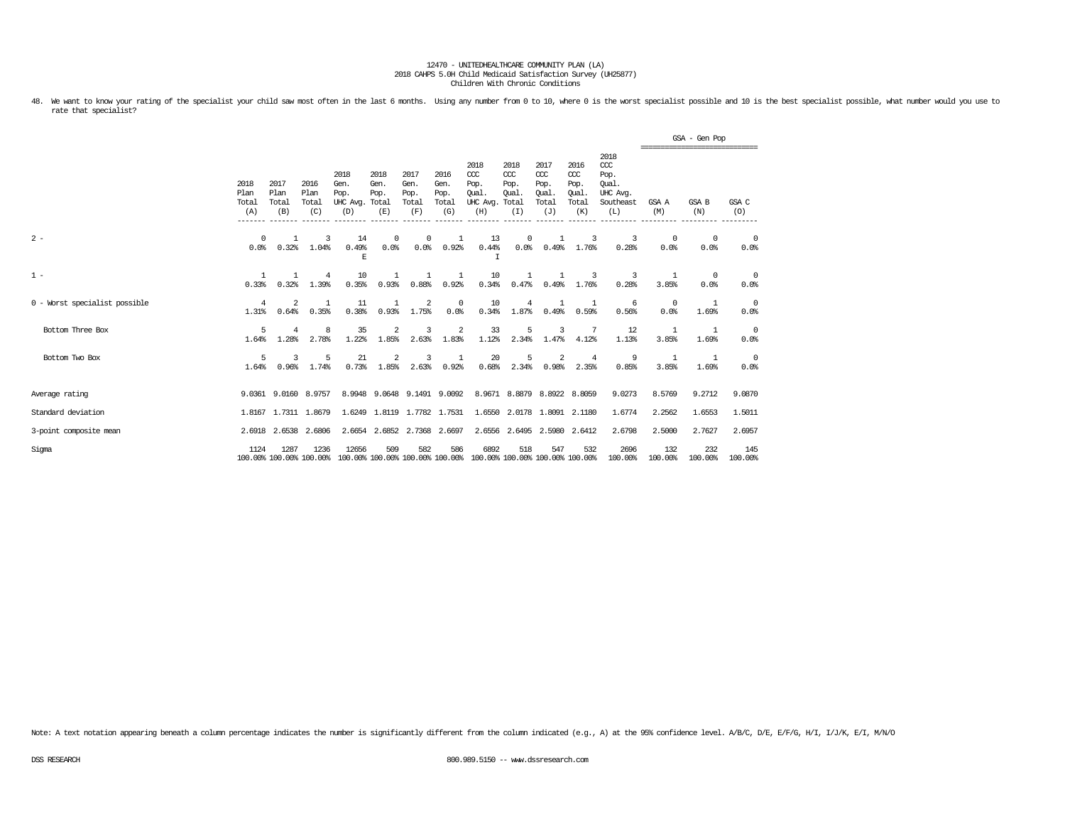48. We want to know your rating of the specialist your child saw most often in the last 6 months. Using any number from 0 to 10, where 0 is the worst specialist possible and 10 is the best specialist possible, what number rate that specialist?

|                               |                              |                              |                                 |                                               |                             |                                      |                                      |                                                                         |                                     |                                                   |                                                   |                                                                 |                                                | GSA - Gen Pop      |                        |
|-------------------------------|------------------------------|------------------------------|---------------------------------|-----------------------------------------------|-----------------------------|--------------------------------------|--------------------------------------|-------------------------------------------------------------------------|-------------------------------------|---------------------------------------------------|---------------------------------------------------|-----------------------------------------------------------------|------------------------------------------------|--------------------|------------------------|
|                               | 2018<br>Plan<br>Total<br>(A) | 2017<br>Plan<br>Total<br>(B) | 2016<br>Plan<br>Total<br>(C)    | 2018<br>Gen.<br>Pop.<br>UHC Avg. Total<br>(D) | 2018<br>Gen.<br>Pop.<br>(E) | 2017<br>Gen.<br>Pop.<br>Total<br>(F) | 2016<br>Gen.<br>Pop.<br>Total<br>(G) | 2018<br>CCC<br>Pop.<br>Oual.<br>UHC Avg. Total<br>(H)                   | 2018<br>CCC<br>Pop.<br>Oual.<br>(I) | 2017<br>$\alpha$<br>Pop.<br>Oual.<br>Total<br>(J) | 2016<br>$\alpha$<br>Pop.<br>Oual.<br>Total<br>(K) | 2018<br>$\csc$<br>Pop.<br>Oual.<br>UHC Avg.<br>Southeast<br>(L) | ------------------------------<br>GSA A<br>(M) | GSA B<br>(N)       | GSA C<br>(O)           |
| $2 -$                         | $^{\circ}$<br>0.0%           | $\mathbf{1}$<br>0.32%        | 3<br>1.04%                      | 14<br>0.49%<br>Е                              | 0<br>0.0%                   | $^{\circ}$<br>0.0%                   | $\mathbf{1}$<br>0.92%                | 13<br>0.44%<br>Ι                                                        | 0<br>0.0%                           | 1<br>0.49%                                        | 3<br>1.76%                                        | 3<br>0.28%                                                      | $^{\circ}$<br>0.0%                             | $^{\circ}$<br>0.0% | $\circ$<br>0.0%        |
| $1 -$                         | $\mathbf{1}$<br>0.33%        | 0.32%                        | $\overline{4}$<br>1.39%         | 10<br>0.35%                                   | 1<br>0.93%                  | 0.88%                                | -1<br>0.92%                          | 10<br>0.34%                                                             | 1<br>0.47%                          | 1<br>0.49%                                        | 3<br>1.76%                                        | 3<br>0.28%                                                      | -1<br>3.85%                                    | $^{\circ}$<br>0.0% | $\circ$<br>0.0%        |
| 0 - Worst specialist possible | $\overline{4}$<br>1.31%      | 2<br>0.64%                   | -1<br>0.35%                     | 11<br>0.38%                                   | 1<br>0.93%                  | $\overline{2}$<br>1.75%              | $^{\circ}$<br>0.0%                   | 10<br>0.34%                                                             | 4<br>1.87%                          | 1<br>0.49%                                        | -1<br>0.59%                                       | -6<br>0.56%                                                     | $^{\circ}$<br>0.0%                             | 1<br>1.69%         | $\overline{0}$<br>0.0% |
| Bottom Three Box              | 5<br>1.64%                   | 4<br>1.28%                   | 8<br>2.78%                      | 35<br>1.22%                                   | $\overline{2}$<br>1.85%     | 3<br>2.63%                           | 2<br>1.83%                           | 33<br>1.12%                                                             | 5<br>2.34%                          | 3<br>1.47%                                        | -7<br>4.12%                                       | 12<br>1.13%                                                     | 3.85%                                          | 1<br>1.69%         | - 0<br>0.0%            |
| Bottom Two Box                | 5<br>1.64%                   | 3<br>0.96%                   | 5<br>1.74%                      | 21<br>0.73%                                   | 2<br>1.85%                  | 3<br>2.63%                           | 1<br>0.92%                           | 20<br>0.68%                                                             | 5<br>2.34%                          | 2<br>0.98%                                        | $\overline{4}$<br>2.35%                           | 9<br>0.85%                                                      | -1<br>3.85%                                    | 1<br>1.69%         | $\overline{0}$<br>0.0% |
| Average rating                |                              |                              | 9.0361 9.0160 8.9757            | 8.9948                                        |                             |                                      | 9.0648 9.1491 9.0092                 |                                                                         |                                     | 8.9671 8.8879 8.8922 8.8059                       |                                                   | 9.0273                                                          | 8.5769                                         | 9.2712             | 9.0870                 |
| Standard deviation            |                              |                              | 1.8167 1.7311 1.8679            |                                               | 1.6249 1.8119 1.7782 1.7531 |                                      |                                      | 1.6550                                                                  |                                     | 2.0178 1.8091 2.1180                              |                                                   | 1.6774                                                          | 2.2562                                         | 1.6553             | 1.5011                 |
| 3-point composite mean        |                              | 2.6918 2.6538                | 2.6806                          |                                               | 2.6654 2.6852 2.7368 2.6697 |                                      |                                      |                                                                         |                                     | 2.6556 2.6495 2.5980 2.6412                       |                                                   | 2.6798                                                          | 2.5000                                         | 2.7627             | 2.6957                 |
| Sigma                         | 1124                         | 1287                         | 1236<br>100.00% 100.00% 100.00% | 12656                                         | 509                         | 582                                  | 586                                  | 6892<br>100.00% 100.00% 100.00% 100.00% 100.00% 100.00% 100.00% 100.00% | 518                                 | 547                                               | 532                                               | 2696<br>100.00%                                                 | 132<br>100.00%                                 | 232<br>100.00%     | 145<br>100.00%         |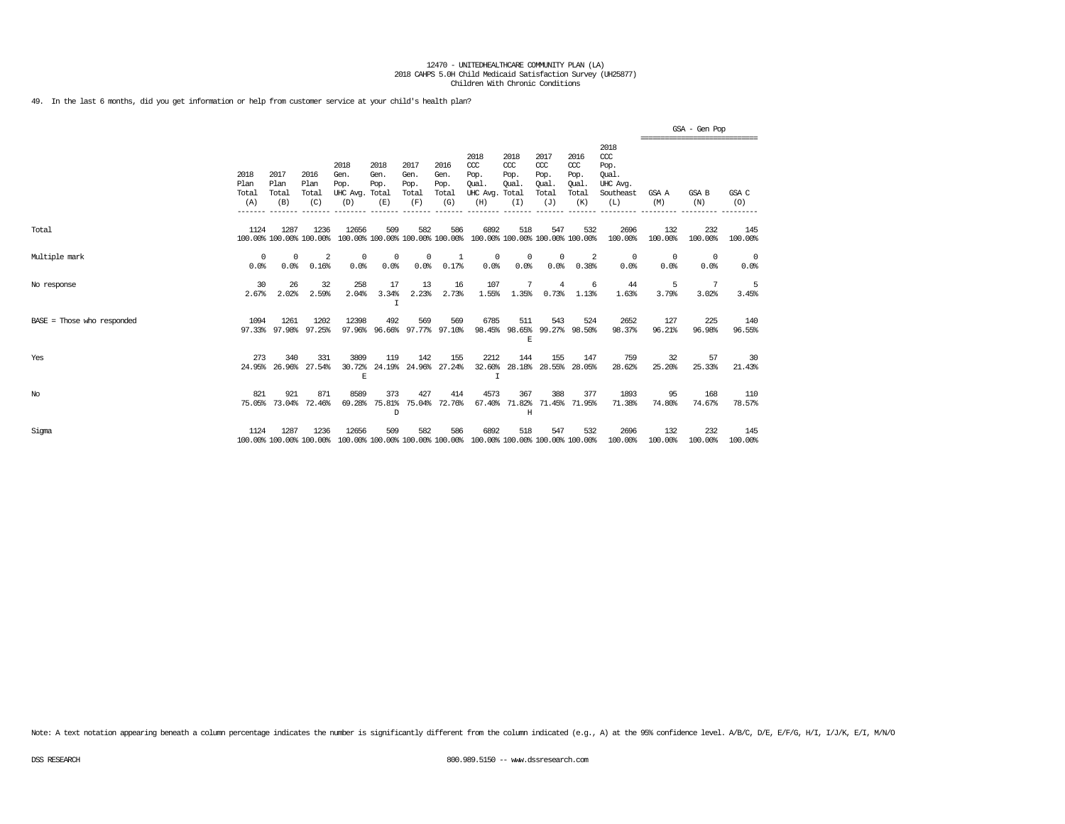49. In the last 6 months, did you get information or help from customer service at your child's health plan?

|                            |                              |                              |                                 |                                               |                                        |                                      |                                      |                                                                         |                                     |                                              |                                              |                                                                   |                    | GSA - Gen Pop<br>;============================= |                |
|----------------------------|------------------------------|------------------------------|---------------------------------|-----------------------------------------------|----------------------------------------|--------------------------------------|--------------------------------------|-------------------------------------------------------------------------|-------------------------------------|----------------------------------------------|----------------------------------------------|-------------------------------------------------------------------|--------------------|-------------------------------------------------|----------------|
|                            | 2018<br>Plan<br>Total<br>(A) | 2017<br>Plan<br>Total<br>(B) | 2016<br>Plan<br>Total<br>(C)    | 2018<br>Gen.<br>Pop.<br>UHC Avg. Total<br>(D) | 2018<br>Gen.<br>Pop.<br>(E)            | 2017<br>Gen.<br>Pop.<br>Total<br>(F) | 2016<br>Gen.<br>Pop.<br>Total<br>(G) | 2018<br>CCC<br>Pop.<br>Oual.<br>UHC Avg. Total<br>(H)                   | 2018<br>CCC<br>Pop.<br>Oual.<br>(I) | 2017<br>ccc<br>Pop.<br>Oual.<br>Total<br>(J) | 2016<br>ccc<br>Pop.<br>Oual.<br>Total<br>(K) | 2018<br>$\alpha$<br>Pop.<br>Oual.<br>UHC Avg.<br>Southeast<br>(L) | GSA A<br>(M)       | GSA B<br>(N)                                    | GSA C<br>(O)   |
| Total                      | 1124                         | 1287                         | 1236<br>100.00% 100.00% 100.00% | 12656                                         | 509<br>100.00% 100.00% 100.00% 100.00% | 582                                  | 586                                  | 6892<br>100.00% 100.00% 100.00% 100.00%                                 | 518                                 | 547                                          | 532                                          | 2696<br>100.00%                                                   | 132<br>100.00%     | 232<br>100.00%                                  | 145<br>100.00% |
| Multiple mark              | $\Omega$<br>0.0%             | 0<br>0.0%                    | 2<br>0.16%                      | $^{\circ}$<br>0.0%                            | $^{\circ}$<br>0.0%                     | $^{\circ}$<br>0.0%                   | -1<br>0.17%                          | $^{\circ}$<br>0.0%                                                      | $^{\circ}$<br>0.0%                  | $^{\circ}$<br>0.0%                           | 2<br>0.38%                                   | 0<br>0.0%                                                         | $^{\circ}$<br>0.0% | 0<br>0.0%                                       | - 0<br>0.0%    |
| No response                | 30<br>2.67%                  | 26<br>2.02%                  | 32<br>2.59%                     | 258<br>2.04%                                  | 17<br>3.34%<br>I                       | 13<br>2.23%                          | 16<br>2.73%                          | 107<br>1.55%                                                            | 7<br>1.35%                          | 4<br>0.73%                                   | 6<br>1.13%                                   | 44<br>1.63%                                                       | 5<br>3.79%         | -7<br>3.02%                                     | -5<br>3.45%    |
| BASE = Those who responded | 1094                         | 1261<br>97.33% 97.98%        | 1202<br>97.25%                  | 12398                                         | 492<br>97.96% 96.66% 97.77% 97.10%     | 569                                  | 569                                  | 6785                                                                    | 511<br>$\mathbb E$                  | 543                                          | 524<br>98.45% 98.65% 99.27% 98.50%           | 2652<br>98.37%                                                    | 127<br>96.21%      | 225<br>96.98%                                   | 140<br>96.55%  |
| Yes                        | 273                          | 340<br>24.95% 26.96%         | 331<br>27.54%                   | 3809<br>30.72%<br>$\mathbf E$                 | 119<br>24.19%                          | 142                                  | 155<br>24.96% 27.24%                 | 2212<br>32.60%<br>$\mathsf{T}$                                          | 144                                 | 155<br>28.18% 28.55%                         | 147<br>28.05%                                | 759<br>28.62%                                                     | 32<br>25.20%       | 57<br>25.33%                                    | 30<br>21.43%   |
| $_{\mathrm{No}}$           | 821                          | 921<br>75.05% 73.04%         | 871<br>72.46%                   | 8589<br>69.28%                                | 373<br>75.81%<br>D                     | 427<br>75.04%                        | 414<br>72.76%                        | 4573<br>67.40%                                                          | 367<br>71.82%<br>H                  | 388                                          | 377<br>71.45% 71.95%                         | 1893<br>71.38%                                                    | 95<br>74.80%       | 168<br>74.67%                                   | 110<br>78.57%  |
| Sigma                      | 1124                         | 1287                         | 1236<br>100.00% 100.00% 100.00% | 12656                                         | 509                                    | 582                                  | 586                                  | 6892<br>100.00% 100.00% 100.00% 100.00% 100.00% 100.00% 100.00% 100.00% | 518                                 | 547                                          | 532                                          | 2696<br>100.00%                                                   | 132<br>100.00%     | 232<br>100.00%                                  | 145<br>100.00% |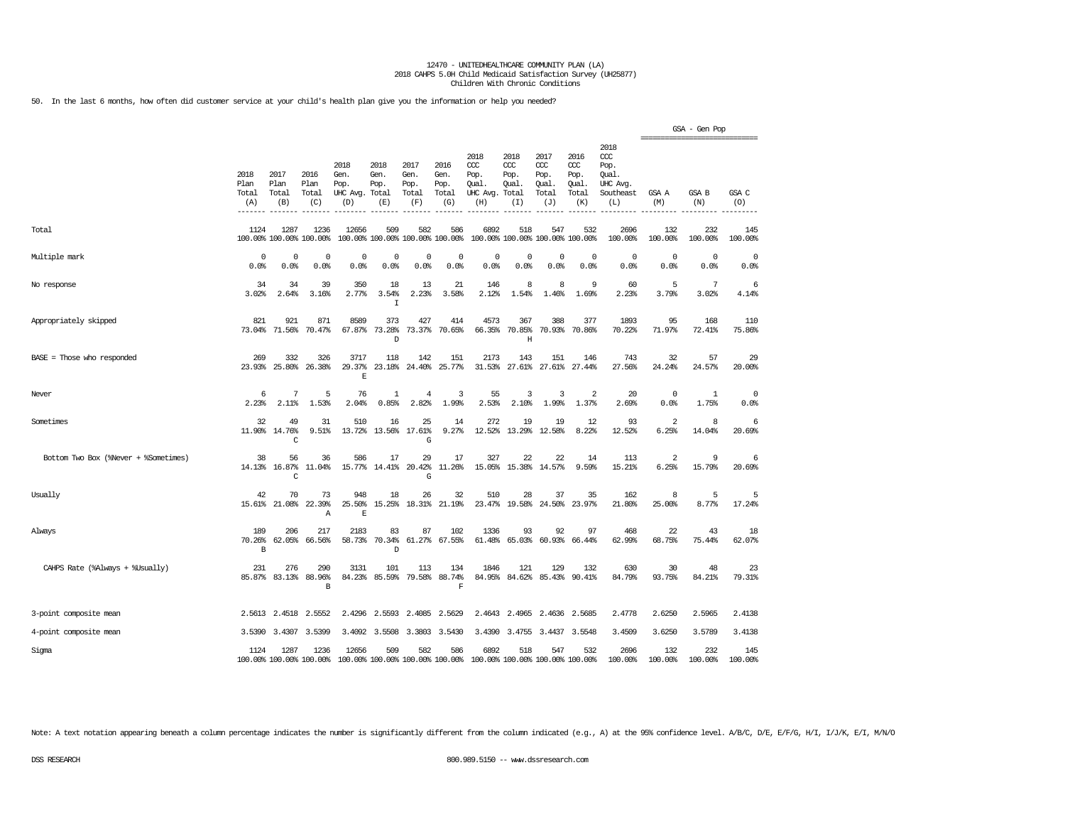50. In the last 6 months, how often did customer service at your child's health plan give you the information or help you needed?

|                                      |                              |                              |                                 |                                          |                                      |                                      |                                        |                                                 |                                              |                                              |                                              |                                                              | ------------------------- | GSA - Gen Pop      |                |
|--------------------------------------|------------------------------|------------------------------|---------------------------------|------------------------------------------|--------------------------------------|--------------------------------------|----------------------------------------|-------------------------------------------------|----------------------------------------------|----------------------------------------------|----------------------------------------------|--------------------------------------------------------------|---------------------------|--------------------|----------------|
|                                      | 2018<br>Plan<br>Total<br>(A) | 2017<br>Plan<br>Total<br>(B) | 2016<br>Plan<br>Total<br>(C)    | 2018<br>Gen.<br>Pop.<br>UHC Avg.<br>(D)  | 2018<br>Gen.<br>Pop.<br>Total<br>(E) | 2017<br>Gen.<br>Pop.<br>Total<br>(F) | 2016<br>Gen.<br>Pop.<br>Total<br>(G)   | 2018<br>ccc<br>Pop.<br>Oual.<br>UHC Avg.<br>(H) | 2018<br>CCC<br>Pop.<br>Oual.<br>Total<br>(I) | 2017<br>ccc<br>Pop.<br>Qual.<br>Total<br>(J) | 2016<br>ccc<br>Pop.<br>Qual.<br>Total<br>(K) | 2018<br>ccc<br>Pop.<br>Oual.<br>UHC Avg.<br>Southeast<br>(L) | GSA A<br>(M)              | GSA B<br>(N)       | GSA C<br>(O)   |
| Total                                | 1124                         | 1287                         | 1236<br>100.00% 100.00% 100.00% | 12656                                    | 509                                  | 582                                  | 586<br>100.00% 100.00% 100.00% 100.00% | 6892                                            | 518                                          | 547                                          | 532<br>100.00% 100.00% 100.00% 100.00%       | 2696<br>100.00%                                              | 132<br>100.00%            | 232<br>100.00%     | 145<br>100.00% |
| Multiple mark                        | 0<br>0.0%                    | $^{\circ}$<br>0.0%           | $^{\circ}$<br>0.0%              | $^{\circ}$<br>0.0%                       | $^{\circ}$<br>0.0%                   | 0<br>0.0%                            | $^{\circ}$<br>0.0%                     | 0<br>0.0%                                       | 0<br>0.0%                                    | 0<br>0.0%                                    | $\mathbf 0$<br>0.0%                          | $\mathbf 0$<br>0.0%                                          | $^{\circ}$<br>0.0%        | $^{\circ}$<br>0.0% | 0<br>0.0%      |
| No response                          | 34<br>3.02%                  | 34<br>2.64%                  | 39<br>3.16%                     | 350<br>2.77%                             | 18<br>3.54%<br>I                     | 13<br>2.23%                          | 21<br>3.58%                            | 146<br>2.12%                                    | 8<br>1.54%                                   | 8<br>1.46%                                   | 9<br>1.69%                                   | 60<br>2.23%                                                  | 5<br>3.79%                | 7<br>3.02%         | 6<br>4.14%     |
| Appropriately skipped                | 821<br>73.04%                | 921<br>71.56%                | 871<br>70.47%                   | 8589<br>67.87%                           | 373<br>73.28%<br>D                   | 427<br>73.37%                        | 414<br>70.65%                          | 4573<br>66.35%                                  | 367<br>70.85%<br>$\mathbf H$                 | 388<br>70.93%                                | 377<br>70.86%                                | 1893<br>70.22%                                               | 95<br>71.97%              | 168<br>72.41%      | 110<br>75.86%  |
| BASE = Those who responded           | 269<br>23.93%                | 332<br>25.80%                | 326<br>26.38%                   | 3717<br>29.37%<br>F                      | 118<br>23.18%                        | 142<br>24.40%                        | 151<br>25.77%                          | 2173<br>31.53%                                  | 143<br>27.61%                                | 151<br>27.61%                                | 146<br>27.44%                                | 743<br>27.56%                                                | 32<br>24.24%              | 57<br>24.57%       | 29<br>20.00%   |
| Never                                | 6<br>2.23%                   | 7<br>2.11%                   | 5<br>1.53%                      | 76<br>2.04%                              | -1<br>0.85%                          | $\overline{4}$<br>2.82%              | 3<br>1.99%                             | 55<br>2.53%                                     | 3<br>2.10%                                   | 3<br>1.99%                                   | 2<br>1.37%                                   | 20<br>2.69%                                                  | $^{\circ}$<br>0.0%        | 1<br>1.75%         | 0<br>0.0%      |
| Sometimes                            | 32                           | 49<br>11.90% 14.76%<br>C     | 31<br>9.51%                     | 510<br>13.72%                            | 16<br>13.56%                         | 25<br>17.61%<br>G                    | 14<br>9.27%                            | 272<br>12.52%                                   | 19<br>13.29%                                 | 19<br>12.58%                                 | 12<br>8.22%                                  | 93<br>12.52%                                                 | 2<br>6.25%                | 8<br>14.04%        | 6<br>20.69%    |
| Bottom Two Box (%Never + %Sometimes) | 38<br>14.13%                 | 56<br>16.87%<br>C            | 36<br>11.04%                    | 586<br>15.77%                            | 17<br>14.41%                         | 29<br>20.42%<br>G                    | 17<br>11.26%                           | 327<br>15.05%                                   | 22<br>15.38%                                 | 22<br>14.57%                                 | 14<br>9.59%                                  | 113<br>15.21%                                                | $\overline{c}$<br>6.25%   | 9<br>15.79%        | 6<br>20.69%    |
| Usually                              | 42<br>15.61%                 | 70<br>21.08%                 | 73<br>22.39%<br>Α               | 948<br>25.50%<br>$\mathbf E$             | 18<br>15.25%                         | 26<br>18.31%                         | 32<br>21.19%                           | 510<br>23.47%                                   | 28<br>19.58%                                 | 37<br>24.50%                                 | 35<br>23.97%                                 | 162<br>21.80%                                                | 8<br>25.00%               | 5<br>8.77%         | 5<br>17.24%    |
| Always                               | 189<br>70.26%<br>B           | 206<br>62.05%                | 217<br>66.56%                   | 2183<br>58.73%                           | 83<br>70.34%<br>D                    | 87<br>61.27%                         | 102<br>67.55%                          | 1336<br>61.48%                                  | 93<br>65.03%                                 | 92<br>60.93%                                 | 97<br>66.44%                                 | 468<br>62.99%                                                | 22<br>68.75%              | 43<br>75.44%       | 18<br>62.07%   |
| CAHPS Rate (%Always + %Usually)      | 231<br>85.87%                | 276<br>83.13%                | 290<br>88.96%<br>B              | 3131<br>84.23%                           | 101<br>85.59%                        | 113<br>79.58%                        | 134<br>88.74%<br>$\mathbf F$           | 1846<br>84.95%                                  | 121<br>84.62%                                | 129<br>85.43%                                | 132<br>90.41%                                | 630<br>84.79%                                                | 30<br>93.75%              | 48<br>84.21%       | 23<br>79.31%   |
| 3-point composite mean               | 2.5613                       | 2.4518                       | 2.5552                          | 2.4296                                   | 2.5593                               | 2.4085                               | 2.5629                                 | 2.4643                                          | 2.4965                                       | 2.4636                                       | 2.5685                                       | 2.4778                                                       | 2.6250                    | 2.5965             | 2.4138         |
| 4-point composite mean               | 3.5390                       | 3.4307                       | 3.5399                          |                                          | 3.4092 3.5508                        |                                      | 3.3803 3.5430                          |                                                 | 3.4390 3.4755                                |                                              | 3.4437 3.5548                                | 3.4509                                                       | 3.6250                    | 3.5789             | 3.4138         |
| Sigma                                | 1124                         | 1287                         | 1236<br>100.00% 100.00% 100.00% | 12656<br>100.00% 100.00% 100.00% 100.00% | 509                                  | 582                                  | 586                                    | 6892<br>100.00% 100.00% 100.00% 100.00%         | 518                                          | 547                                          | 532                                          | 2696<br>100.00%                                              | 132<br>100.00%            | 232<br>100.00%     | 145<br>100.00% |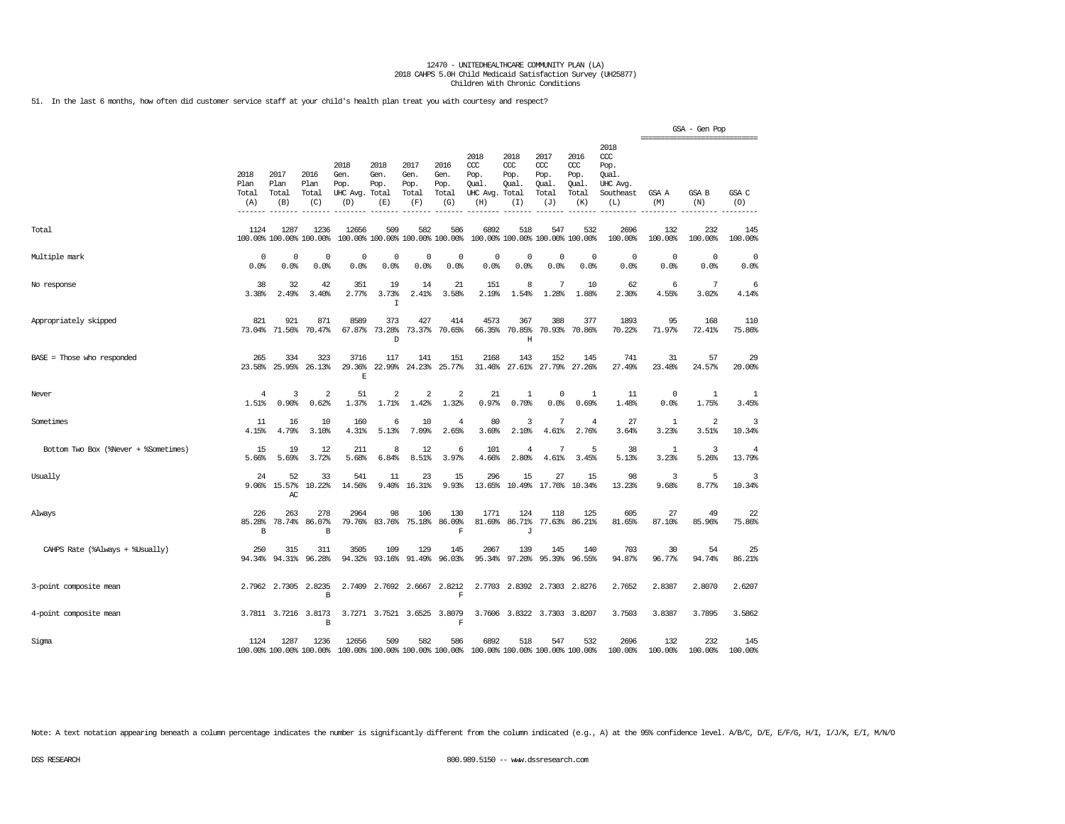51. In the last 6 months, how often did customer service staff at your child's health plan treat you with courtesy and respect?

|                                      |                              |                              |                                 |                                         |                                      |                                        |                                      |                                                                                                 |                                     |                                              |                                              |                                                                   |                                                 | GSA - Gen Pop       |                          |
|--------------------------------------|------------------------------|------------------------------|---------------------------------|-----------------------------------------|--------------------------------------|----------------------------------------|--------------------------------------|-------------------------------------------------------------------------------------------------|-------------------------------------|----------------------------------------------|----------------------------------------------|-------------------------------------------------------------------|-------------------------------------------------|---------------------|--------------------------|
|                                      | 2018<br>Plan<br>Total<br>(A) | 2017<br>Plan<br>Total<br>(B) | 2016<br>Plan<br>Total<br>(C)    | 2018<br>Gen.<br>Pop.<br>UHC Avg.<br>(D) | 2018<br>Gen.<br>Pop.<br>Total<br>(E) | 2017<br>Gen.<br>Pop.<br>Total<br>(F)   | 2016<br>Gen.<br>Pop.<br>Total<br>(G) | 2018<br>ccc<br>Pop.<br>Oual.<br>UHC Avg. Total<br>(H)                                           | 2018<br>CCC<br>Pop.<br>Oual.<br>(I) | 2017<br>ccc<br>Pop.<br>Qual.<br>Total<br>(J) | 2016<br>ccc<br>Pop.<br>Oual.<br>Total<br>(K) | 2018<br>$\alpha$<br>Pop.<br>Oual.<br>UHC Avg.<br>Southeast<br>(L) | ===============================<br>GSA A<br>(M) | <b>GSA B</b><br>(N) | GSA C<br>(O)             |
| Total                                | 1124                         | 1287                         | 1236<br>100.00% 100.00% 100.00% | 12656                                   | 509                                  | 582<br>100.00% 100.00% 100.00% 100.00% | 586                                  | 6892                                                                                            | 518                                 | 547<br>100.00% 100.00% 100.00% 100.00%       | 532                                          | 2696<br>100.00%                                                   | 132<br>100.00%                                  | 232<br>100.00%      | 145<br>100.00%           |
| Multiple mark                        | 0<br>0.0%                    | 0<br>0.0%                    | 0<br>0.0%                       | $\Omega$<br>0.0%                        | $\Omega$<br>0.0%                     | 0<br>0.0%                              | 0<br>0.0%                            | 0<br>0.0%                                                                                       | 0<br>0.0%                           | $\circ$<br>0.0%                              | $\mathbf 0$<br>0.0%                          | $\mathbf 0$<br>0.0%                                               | 0<br>0.0%                                       | $\mathbf 0$<br>0.0% | $\mathbf 0$<br>0.0%      |
| No response                          | 38<br>3.38%                  | 32<br>2.49%                  | 42<br>3.40%                     | 351<br>2.77%                            | 19<br>3.73%<br>$\mathbf I$           | 14<br>2.41%                            | 21<br>3.58%                          | 151<br>2.19%                                                                                    | 8<br>1.54%                          | 7<br>1.28%                                   | 10<br>1.88%                                  | 62<br>2.30%                                                       | 6<br>4.55%                                      | 7<br>3.02%          | 6<br>4.14%               |
| Appropriately skipped                | 821                          | 921<br>73.04% 71.56%         | 871<br>70.47%                   | 8589<br>67.87%                          | 373<br>73.28%<br>D                   | 427<br>73.37%                          | 414<br>70.65%                        | 4573<br>66.35%                                                                                  | 367<br>70.85%<br>Η                  | 388                                          | 377<br>70.93% 70.86%                         | 1893<br>70.22%                                                    | 95<br>71.97%                                    | 168<br>72.41%       | 110<br>75.86%            |
| $BASE = Those who responded$         | 265<br>23.58%                | 334<br>25.95%                | 323<br>26.13%                   | 3716<br>29.36%<br>$\mathbb E$           | 117<br>22.99%                        | 141<br>24.23%                          | 151<br>25.77%                        | 2168<br>31.46%                                                                                  | 143                                 | 152<br>27.61% 27.79%                         | 145<br>27.26%                                | 741<br>27.49%                                                     | 31<br>23.48%                                    | 57<br>24.57%        | 29<br>20.00%             |
| Never                                | $\overline{4}$<br>1.51%      | 3<br>0.90%                   | $\overline{2}$<br>0.62%         | 51<br>1.37%                             | 2<br>1.71%                           | 2<br>1.42%                             | 2<br>1.32%                           | 21<br>0.97%                                                                                     | 1<br>0.70%                          | $\circ$<br>0.0%                              | 1<br>0.69%                                   | 11<br>1.48%                                                       | 0<br>0.0%                                       | 1<br>1.75%          | 1<br>3.45%               |
| Sometimes                            | 11<br>4.15%                  | 16<br>4.79%                  | 10<br>3.10%                     | 160<br>4.31%                            | 6<br>5.13%                           | 10<br>7.09%                            | 4<br>2.65%                           | 80<br>3.69%                                                                                     | 3<br>2.10%                          | 7<br>4.61%                                   | 4<br>2.76%                                   | 27<br>3.64%                                                       | 1<br>3.23%                                      | 2<br>3.51%          | 3<br>10.34%              |
| Bottom Two Box (%Never + %Sometimes) | 15<br>5.66%                  | 19<br>5.69%                  | 12<br>3.72%                     | 211<br>5.68%                            | 8<br>6.84%                           | 12<br>8.51%                            | 6<br>3.97%                           | 101<br>4.66%                                                                                    | $\overline{4}$<br>2.80%             | 7<br>4.61%                                   | 5<br>3.45%                                   | 38<br>5.13%                                                       | 1<br>3.23%                                      | 3<br>5.26%          | $\overline{4}$<br>13.79% |
| Usually                              | 24<br>9.06%                  | 52<br>15.57%<br>AC           | 33<br>10.22%                    | 541<br>14.56%                           | 11<br>9.40%                          | 23<br>16.31%                           | 15<br>9.93%                          | 296<br>13.65%                                                                                   | 15                                  | 27<br>10.49% 17.76%                          | 15<br>10.34%                                 | 98<br>13.23%                                                      | 3<br>9.68%                                      | 5<br>8.77%          | 3<br>10.34%              |
| Always                               | 226<br>85.28%<br>В           | 263<br>78.74%                | 278<br>86.07%<br>B              | 2964<br>79.76%                          | 98<br>83.76%                         | 106<br>75.18%                          | 130<br>86.09%<br>$\mathbf F$         | 1771<br>81.69%                                                                                  | 124<br>86.71%<br>J                  | 118<br>77.63%                                | 125<br>86.21%                                | 605<br>81.65%                                                     | 27<br>87.10%                                    | 49<br>85.96%        | 22<br>75.86%             |
| CAHPS Rate (%Always + %Usually)      | 250<br>94.34%                | 315<br>94.31%                | 311<br>96.28%                   | 3505<br>94.32%                          | 109<br>93.16%                        | 129<br>91.49%                          | 145<br>96.03%                        | 2067<br>95.34%                                                                                  | 139<br>97.20%                       | 145<br>95.39%                                | 140<br>96.55%                                | 703<br>94.87%                                                     | 30<br>96.77%                                    | 54<br>94.74%        | 25<br>86.21%             |
| 3-point composite mean               |                              | 2.7962 2.7305                | 2.8235<br>B                     |                                         |                                      | 2.7409 2.7692 2.6667 2.8212            | F                                    |                                                                                                 |                                     | 2.7703 2.8392 2.7303 2.8276                  |                                              | 2.7652                                                            | 2.8387                                          | 2.8070              | 2.6207                   |
| 4-point composite mean               |                              |                              | 3.7811 3.7216 3.8173<br>B       |                                         |                                      | 3.7271 3.7521 3.6525 3.8079            | F                                    |                                                                                                 |                                     | 3.7606 3.8322 3.7303 3.8207                  |                                              | 3.7503                                                            | 3.8387                                          | 3.7895              | 3.5862                   |
| Sigma                                | 1124                         | 1287                         | 1236                            | 12656                                   | 509                                  | 582                                    | 586                                  | 6892<br>100.00% 100.00% 100.00% 100.00% 100.00% 100.00% 100.00% 100.00% 100.00% 100.00% 100.00% | 518                                 | 547                                          | 532                                          | 2696<br>100.00%                                                   | 132<br>100.00%                                  | 232<br>100.00%      | 145<br>100.00%           |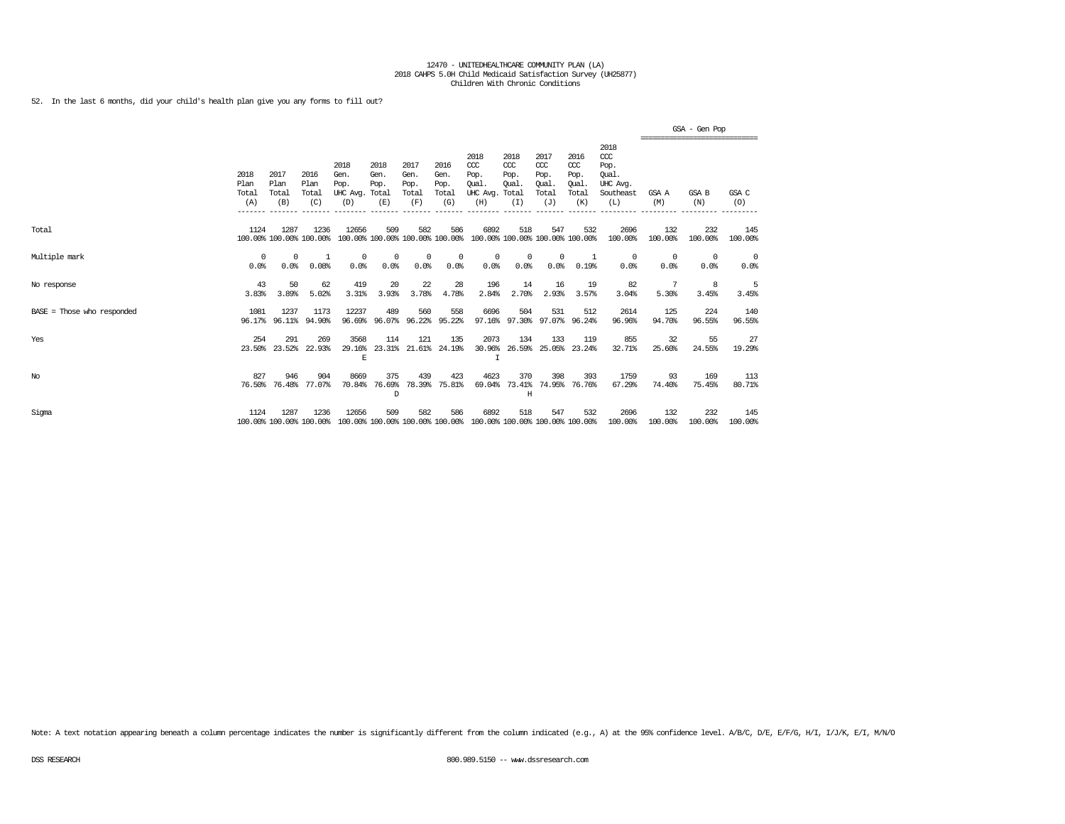52. In the last 6 months, did your child's health plan give you any forms to fill out?

|                              |                              |                                 |                                 |                                               |                             |                                      |                                        |                                                                         |                                     |                                                   |                                                   |                                                                   | ------------------------------- | GSA - Gen Pop       |                 |
|------------------------------|------------------------------|---------------------------------|---------------------------------|-----------------------------------------------|-----------------------------|--------------------------------------|----------------------------------------|-------------------------------------------------------------------------|-------------------------------------|---------------------------------------------------|---------------------------------------------------|-------------------------------------------------------------------|---------------------------------|---------------------|-----------------|
|                              | 2018<br>Plan<br>Total<br>(A) | 2017<br>Plan<br>Total<br>(B)    | 2016<br>Plan<br>Total<br>(C)    | 2018<br>Gen.<br>Pop.<br>UHC Avg. Total<br>(D) | 2018<br>Gen.<br>Pop.<br>(E) | 2017<br>Gen.<br>Pop.<br>Total<br>(F) | 2016<br>Gen.<br>Pop.<br>Total<br>(G)   | 2018<br>CCC<br>Pop.<br>Oual<br>UHC Avg. Total<br>(H)                    | 2018<br>CCC<br>Pop.<br>Oual.<br>(I) | 2017<br>$\alpha$<br>Pop.<br>Oual.<br>Total<br>(J) | 2016<br>$\alpha$<br>Pop.<br>Oual.<br>Total<br>(K) | 2018<br>$\alpha$<br>Pop.<br>Oual.<br>UHC Avg.<br>Southeast<br>(L) | GSA A<br>(M)                    | <b>GSA B</b><br>(N) | GSA C<br>(O)    |
| Total                        | 1124                         | 1287<br>100.00% 100.00% 100.00% | 1236                            | 12656                                         | 509                         | 582                                  | 586<br>100.00% 100.00% 100.00% 100.00% | 6892                                                                    | 518                                 | 547<br>100.00% 100.00% 100.00% 100.00%            | 532                                               | 2696<br>100.00%                                                   | 132<br>100.00%                  | 232<br>100.00%      | 145<br>100.00%  |
| Multiple mark                | 0<br>0.0%                    | $\Omega$<br>0.0%                | -1<br>0.08%                     | $^{\circ}$<br>0.0%                            | 0<br>0.0%                   | $^{\circ}$<br>0.0%                   | 0<br>0.0%                              | $^{\circ}$<br>0.0%                                                      | $^{\circ}$<br>0.0%                  | $\mathbf 0$<br>0.0%                               | 1<br>0.19%                                        | 0<br>0.0%                                                         | $^{\circ}$<br>0.0%              | $^{\circ}$<br>0.0%  | $\circ$<br>0.0% |
| No response                  | 43<br>3.83%                  | 50<br>3.89%                     | 62<br>5.02%                     | 419<br>3.31%                                  | 20<br>3.93%                 | 22<br>3.78%                          | 28<br>4.78%                            | 196<br>2.84%                                                            | 14<br>2.70%                         | 16<br>2.93%                                       | 19<br>3.57%                                       | 82<br>3.04%                                                       | 5.30%                           | 8<br>3.45%          | 5<br>3.45%      |
| $BASE = Those who responded$ | 1081<br>96.17%               | 1237<br>96.11%                  | 1173<br>94.90%                  | 12237<br>96.69%                               | 489<br>96.07%               | 560<br>96.22%                        | 558<br>95.22%                          | 6696<br>97.16%                                                          | 504<br>97.30%                       | 531<br>97.07%                                     | 512<br>96.24%                                     | 2614<br>96.96%                                                    | 125<br>94.70%                   | 224<br>96.55%       | 140<br>96.55%   |
| Yes                          | 254<br>23.50%                | 291<br>23.52%                   | 269<br>22.93%                   | 3568<br>29.16%<br>E                           | 114<br>23.31%               | 121<br>21.61%                        | 135<br>24.19%                          | 2073<br>30.96%<br>$\mathbf I$                                           | 134<br>26.59%                       | 133<br>25.05%                                     | 119<br>23.24%                                     | 855<br>32.71%                                                     | 32<br>25.60%                    | 55<br>24.55%        | 27<br>19.29%    |
| $_{\mathrm{No}}$             | 827<br>76.50%                | 946<br>76.48%                   | 904<br>77.07%                   | 8669<br>70.84%                                | 375<br>76.69%<br>D          | 439<br>78.39%                        | 423<br>75.81%                          | 4623<br>69.04%                                                          | 370<br>73.41%<br>Η                  | 398<br>74.95%                                     | 393<br>76.76%                                     | 1759<br>67.29%                                                    | 93<br>74.40%                    | 169<br>75.45%       | 113<br>80.71%   |
| Sigma                        | 1124                         | 1287                            | 1236<br>100.00% 100.00% 100.00% | 12656                                         | 509                         | 582                                  | 586                                    | 6892<br>100.00% 100.00% 100.00% 100.00% 100.00% 100.00% 100.00% 100.00% | 518                                 | 547                                               | 532                                               | 2696<br>100.00%                                                   | 132<br>100.00%                  | 232<br>100.00%      | 145<br>100.00%  |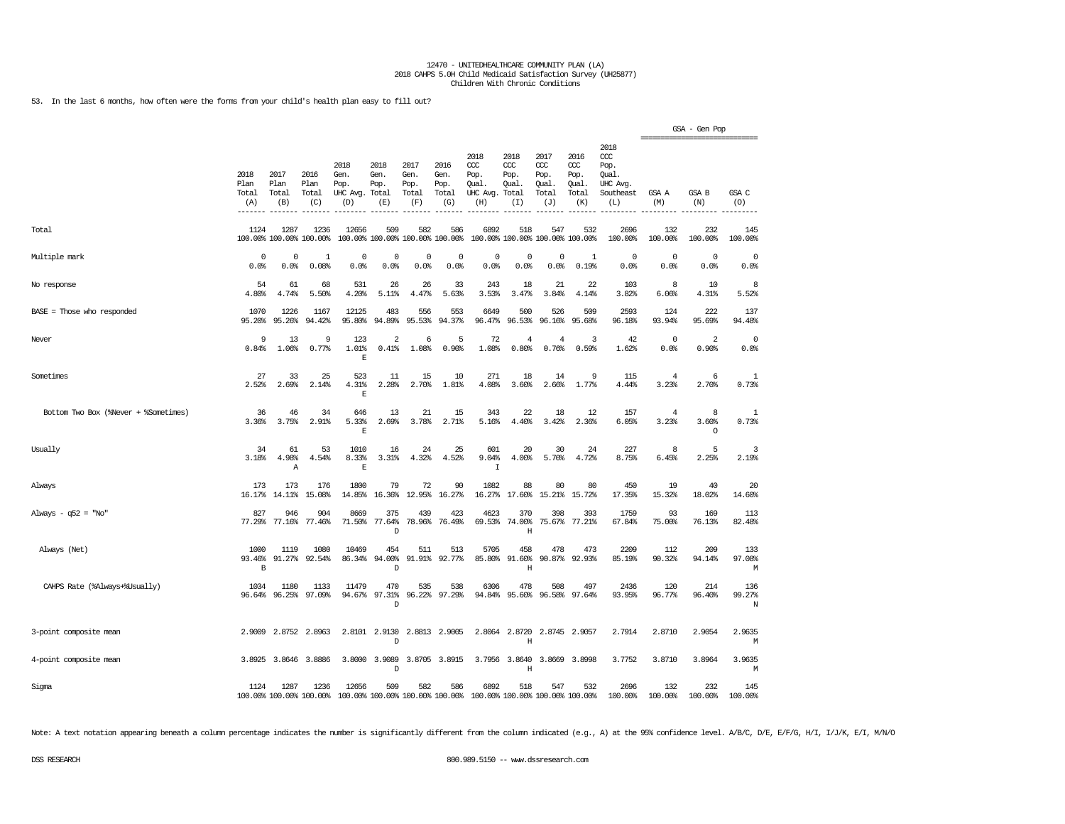53. In the last 6 months, how often were the forms from your child's health plan easy to fill out?

|                                      |                                |                              |                                 |                                               |                             |                                      |                                        |                                                 |                                              |                                              |                                              |                                                                     |                         | GSA - Gen Pop         |                    |
|--------------------------------------|--------------------------------|------------------------------|---------------------------------|-----------------------------------------------|-----------------------------|--------------------------------------|----------------------------------------|-------------------------------------------------|----------------------------------------------|----------------------------------------------|----------------------------------------------|---------------------------------------------------------------------|-------------------------|-----------------------|--------------------|
|                                      | 2018<br>Plan<br>Total<br>(A)   | 2017<br>Plan<br>Total<br>(B) | 2016<br>Plan<br>Total<br>(C)    | 2018<br>Gen.<br>Pop.<br>UHC Avg. Total<br>(D) | 2018<br>Gen.<br>Pop.<br>(E) | 2017<br>Gen.<br>Pop.<br>Total<br>(F) | 2016<br>Gen.<br>Pop.<br>Total<br>(G)   | 2018<br>CCC<br>Pop.<br>Qual.<br>UHC Avg.<br>(H) | 2018<br>ccc<br>Pop.<br>Qual.<br>Total<br>(I) | 2017<br>ccc<br>Pop.<br>Qual.<br>Total<br>(J) | 2016<br>ccc<br>Pop.<br>Qual.<br>Total<br>(K) | 2018<br><b>CCC</b><br>Pop.<br>Qual.<br>UHC Avg.<br>Southeast<br>(L) | GSA A<br>(M)            | <b>GSA B</b><br>(N)   | GSA C<br>(O)       |
| Total                                | 1124                           | 1287                         | 1236<br>100.00% 100.00% 100.00% | 12656                                         | 509                         | 582                                  | 586<br>100.00% 100.00% 100.00% 100.00% | 6892                                            | 518<br>100.00% 100.00% 100.00% 100.00%       | 547                                          | 532                                          | 2696<br>100.00%                                                     | 132<br>100.00%          | 232<br>100.00%        | 145<br>100.00%     |
| Multiple mark                        | 0<br>0.0%                      | $^{\circ}$<br>0.0%           | $\mathbf{1}$<br>0.08%           | $\Omega$<br>0.0%                              | $\Omega$<br>0.0%            | $\Omega$<br>0.0%                     | $\Omega$<br>0.0%                       | $\Omega$<br>0.0%                                | $^{\circ}$<br>0.0%                           | $\Omega$<br>0.0%                             | $\mathbf{1}$<br>0.19%                        | $\Omega$<br>0.0%                                                    | $\mathbf 0$<br>0.0%     | $\Omega$<br>0.0%      | $^{\circ}$<br>0.0% |
| No response                          | 54<br>4.80%                    | 61<br>4.74%                  | 68<br>5.50%                     | 531<br>4.20%                                  | 26<br>5.11%                 | 26<br>4.47%                          | 33<br>5.63%                            | 243<br>3.53%                                    | 18<br>3.47%                                  | 21<br>3.84%                                  | 22<br>4.14%                                  | 103<br>3.82%                                                        | 8<br>6.06%              | 10<br>4.31%           | 8<br>5.52%         |
| BASE = Those who responded           | 1070<br>95.20%                 | 1226<br>95.26%               | 1167<br>94.42%                  | 12125<br>95.80%                               | 483<br>94.89%               | 556<br>95.53%                        | 553<br>94.37%                          | 6649<br>96.47%                                  | 500<br>96.53%                                | 526<br>96.16%                                | 509<br>95.68%                                | 2593<br>96.18%                                                      | 124<br>93.94%           | 222<br>95.69%         | 137<br>94.48%      |
| Never                                | 9<br>0.84%                     | 13<br>1.06%                  | 9<br>0.77%                      | 123<br>1.01%<br>$\mathbb E$                   | 2<br>0.41%                  | 6<br>1.08%                           | 5<br>0.90%                             | 72<br>1.08%                                     | $\overline{4}$<br>0.80%                      | $\overline{4}$<br>0.76%                      | 3<br>0.59%                                   | 42<br>1.62%                                                         | 0<br>0.0%               | 2<br>0.90%            | $\circ$<br>0.0%    |
| Sometimes                            | 27<br>2.52%                    | 33<br>2.69%                  | 25<br>2.14%                     | 523<br>4.31%<br>$\mathbb E$                   | 11<br>2.28%                 | 15<br>2.70%                          | 10<br>1.81%                            | 271<br>4.08%                                    | 18<br>3.60%                                  | 14<br>2.66%                                  | 9<br>1.77%                                   | 115<br>4.44%                                                        | $\overline{4}$<br>3.23% | 6<br>2.70%            | 1<br>0.73%         |
| Bottom Two Box (%Never + %Sometimes) | 36<br>3.36%                    | 46<br>3.75%                  | 34<br>2.91%                     | 646<br>5.33%<br>$\mathbf{E}% _{0}$            | 13<br>2.69%                 | 21<br>3.78%                          | 15<br>2.71%                            | 343<br>5.16%                                    | 22<br>4.40%                                  | 18<br>3.42%                                  | 12<br>2.36%                                  | 157<br>6.05%                                                        | 4<br>3.23%              | 8<br>3.60%<br>$\circ$ | 1<br>0.73%         |
| Usually                              | 34<br>3.18%                    | 61<br>4.98%<br>Α             | 53<br>4.54%                     | 1010<br>8.33%<br>$\mathbb E$                  | 16<br>3.31%                 | 24<br>4.32%                          | 25<br>4.52%                            | 601<br>9.04%<br>I                               | 20<br>4.00%                                  | 30<br>5.70%                                  | 24<br>4.72%                                  | 227<br>8.75%                                                        | 8<br>6.45%              | 5<br>2.25%            | 3<br>2.19%         |
| Always                               | 173<br>16.17%                  | 173<br>14.11%                | 176<br>15.08%                   | 1800<br>14.85%                                | 79<br>16.36%                | 72<br>12.95%                         | 90<br>16.27%                           | 1082<br>16.27%                                  | 88<br>17.60%                                 | 80<br>15.21%                                 | 80<br>15.72%                                 | 450<br>17.35%                                                       | 19<br>15.32%            | 40<br>18.02%          | 20<br>14.60%       |
| Always - $q52 = "No"$                | 827<br>77.29%                  | 946<br>77.16%                | 904<br>77.46%                   | 8669<br>71.50%                                | 375<br>77.64%<br>D          | 439<br>78.96%                        | 423<br>76.49%                          | 4623<br>69.53%                                  | 370<br>74.00%<br>$\mathbf H$                 | 398<br>75.67%                                | 393<br>77.21%                                | 1759<br>67.84%                                                      | 93<br>75.00%            | 169<br>76.13%         | 113<br>82.48%      |
| Always (Net)                         | 1000<br>93.46%<br>$\, {\bf B}$ | 1119<br>91.27%               | 1080<br>92.54%                  | 10469<br>86.34%                               | 454<br>94.00%<br>D          | 511<br>91.91%                        | 513<br>92.77%                          | 5705<br>85.80%                                  | 458<br>91.60%<br>Η                           | 478<br>90.87%                                | 473<br>92.93%                                | 2209<br>85.19%                                                      | 112<br>90.32%           | 209<br>94.14%         | 133<br>97.08%<br>М |
| CAHPS Rate (%Always+%Usually)        | 1034                           | 1180<br>96.64% 96.25%        | 1133<br>97.09%                  | 11479<br>94.67%                               | 470<br>97.31%<br>D          | 535                                  | 538<br>96.22% 97.29%                   | 6306<br>94.84%                                  | 478<br>95.60%                                | 508                                          | 497<br>96.58% 97.64%                         | 2436<br>93.95%                                                      | 120<br>96.77%           | 214<br>96.40%         | 136<br>99.27%<br>N |
| 3-point composite mean               | 2.9009                         | 2.8752                       | 2.8963                          | 2.8101                                        | 2.9130<br>D                 | 2.8813                               | 2.9005                                 | 2.8064                                          | 2.8720<br>Η                                  |                                              | 2.8745 2.9057                                | 2.7914                                                              | 2.8710                  | 2.9054                | 2.9635<br>М        |
| 4-point composite mean               |                                | 3.8925 3.8646                | 3.8886                          |                                               | 3.8000 3.9089<br>D          |                                      | 3.8705 3.8915                          |                                                 | 3.7956 3.8640<br>Η                           |                                              | 3.8669 3.8998                                | 3.7752                                                              | 3.8710                  | 3.8964                | 3.9635<br>M        |
| Sigma                                | 1124                           | 1287                         | 1236<br>100.00% 100.00% 100.00% | 12656<br>100.00% 100.00% 100.00% 100.00%      | 509                         | 582                                  | 586                                    | 6892<br>100.00% 100.00% 100.00% 100.00%         | 518                                          | 547                                          | 532                                          | 2696<br>100.00%                                                     | 132<br>100.00%          | 232<br>100.00%        | 145<br>100.00%     |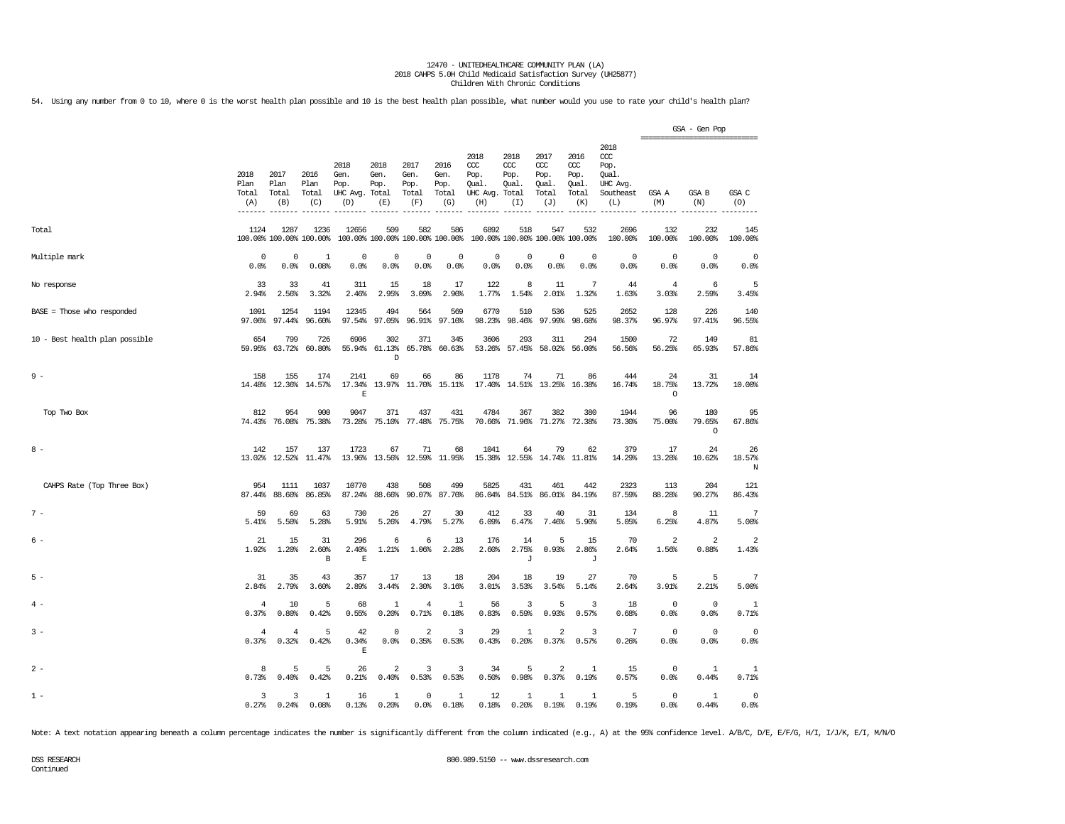54. Using any number from 0 to 10, where 0 is the worst health plan possible and 10 is the best health plan possible, what number would you use to rate your child's health plan?

|                                |                              |                                 |                              |                                               |                             |                                        |                                      |                                                       |                                     |                                              |                                              |                                                                         | ------------------------------ | GSA - Gen Pop            |                         |
|--------------------------------|------------------------------|---------------------------------|------------------------------|-----------------------------------------------|-----------------------------|----------------------------------------|--------------------------------------|-------------------------------------------------------|-------------------------------------|----------------------------------------------|----------------------------------------------|-------------------------------------------------------------------------|--------------------------------|--------------------------|-------------------------|
|                                | 2018<br>Plan<br>Total<br>(A) | 2017<br>Plan<br>Total<br>(B)    | 2016<br>Plan<br>Total<br>(C) | 2018<br>Gen.<br>Pop.<br>UHC Avg. Total<br>(D) | 2018<br>Gen.<br>Pop.<br>(E) | 2017<br>Gen.<br>Pop.<br>Total<br>(F)   | 2016<br>Gen.<br>Pop.<br>Total<br>(G) | 2018<br>CCC<br>Pop.<br>Oual.<br>UHC Avg. Total<br>(H) | 2018<br>CCC<br>Pop.<br>Oual.<br>(I) | 2017<br>ccc<br>Pop.<br>Oual.<br>Total<br>(J) | 2016<br>ccc<br>Pop.<br>Oual.<br>Total<br>(K) | 2018<br>$\alpha$<br>Pop.<br>Qual.<br><b>UHC</b> Avg<br>Southeast<br>(L) | GSA A<br>(M)                   | GSA B<br>(N)             | GSA C<br>(O)            |
| Total                          | 1124                         | 1287<br>100.00% 100.00% 100.00% | 1236                         | 12656                                         | 509                         | 582<br>100.00% 100.00% 100.00% 100.00% | 586                                  | 6892<br>100.00% 100.00% 100.00% 100.00%               | 518                                 | 547                                          | 532                                          | 2696<br>100.00%                                                         | 132<br>100.00%                 | 232<br>100.00%           | 145<br>100.00%          |
| Multiple mark                  | 0                            | $\Omega$                        | 1                            | $\Omega$                                      | $^{\circ}$                  | $\overline{0}$                         | $\Omega$                             | $^{\circ}$                                            | $^{\circ}$                          | $\Omega$                                     | $\Omega$                                     | $\mathbf 0$                                                             | $\Omega$                       | $\Omega$                 | 0                       |
|                                | 0.0%                         | 0.0%                            | 0.08%                        | 0.0%                                          | 0.0%                        | 0.0%                                   | 0.0%                                 | 0.0%                                                  | 0.0%                                | 0.0%                                         | 0.0%                                         | 0.0%                                                                    | 0.0%                           | 0.0%                     | 0.0%                    |
| No response                    | 33                           | 33                              | 41                           | 311                                           | 15                          | 18                                     | 17                                   | 122                                                   | 8                                   | 11                                           | 7                                            | 44                                                                      | $\overline{4}$                 | 6                        | 5                       |
|                                | 2.94%                        | 2.56%                           | 3.32%                        | 2.46%                                         | 2.95%                       | 3.09%                                  | 2.90%                                | 1.77%                                                 | 1.54%                               | 2.01%                                        | 1.32%                                        | 1.63%                                                                   | 3.03%                          | 2.59%                    | 3.45%                   |
| BASE = Those who responded     | 1091                         | 1254                            | 1194                         | 12345                                         | 494                         | 564                                    | 569                                  | 6770                                                  | 510                                 | 536                                          | 525                                          | 2652                                                                    | 128                            | 226                      | 140                     |
|                                | 97.06%                       | 97.44%                          | 96.60%                       | 97.54%                                        | 97.05%                      | 96.91%                                 | 97.10%                               | 98.23%                                                | 98.46%                              | 97.99%                                       | 98.68%                                       | 98.37%                                                                  | 96.97%                         | 97.41%                   | 96.55%                  |
| 10 - Best health plan possible | 654<br>59.95%                | 799<br>63.72%                   | 726<br>60.80%                | 6906<br>55.94%                                | 302<br>61.13%<br>D          | 371                                    | 345<br>65.78% 60.63%                 | 3606                                                  | 293<br>53.26% 57.45%                | 311                                          | 294<br>58.02% 56.00%                         | 1500<br>56.56%                                                          | 72<br>56.25%                   | 149<br>65.93%            | 81<br>57.86%            |
| $9 -$                          | 158<br>14.48%                | 155<br>12.36%                   | 174<br>14.57%                | 2141<br>17.34%<br>E                           | 69                          | 66<br>13.97% 11.70% 15.11%             | 86                                   | 1178                                                  | 74                                  | 71<br>17.40% 14.51% 13.25% 16.38%            | 86                                           | 444<br>16.74%                                                           | 24<br>18.75%<br>$\circ$        | 31<br>13.72%             | 14<br>10.00%            |
| Top Two Box                    | 812                          | 954<br>74.43% 76.08% 75.38%     | 900                          | 9047                                          | 371                         | 437<br>73.28% 75.10% 77.48% 75.75%     | 431                                  | 4784                                                  | 367                                 | 382<br>70.66% 71.96% 71.27% 72.38%           | 380                                          | 1944<br>73.30%                                                          | 96<br>75.00%                   | 180<br>79.65%<br>$\circ$ | 95<br>67.86%            |
| $8 -$                          | 142                          | 157<br>13.02% 12.52%            | 137<br>11.47%                | 1723                                          | 67                          | 71<br>13.96% 13.56% 12.59%             | 68<br>11.95%                         | 1041                                                  | 64<br>15.38% 12.55%                 | 79                                           | 62<br>14.74% 11.81%                          | 379<br>14.29%                                                           | 17<br>13.28%                   | 24<br>10.62%             | 26<br>18.57%<br>N       |
| CAHPS Rate (Top Three Box)     | 954                          | 1111                            | 1037                         | 10770                                         | 438                         | 508                                    | 499                                  | 5825                                                  | 431                                 | 461                                          | 442                                          | 2323                                                                    | 113                            | 204                      | 121                     |
|                                | 87.44%                       | 88.60%                          | 86.85%                       | 87.24%                                        | 88.66%                      | 90.07%                                 | 87.70%                               | 86.04%                                                | 84.51%                              | 86.01%                                       | 84.19%                                       | 87.59%                                                                  | 88.28%                         | 90.27%                   | 86.43%                  |
| $7 -$                          | 59                           | 69                              | 63                           | 730                                           | 26                          | 27                                     | 30                                   | 412                                                   | 33                                  | 40                                           | 31                                           | 134                                                                     | 8                              | 11                       | 7                       |
|                                | 5.41%                        | 5.50%                           | 5.28%                        | 5.91%                                         | 5.26%                       | 4.79%                                  | 5.27%                                | 6.09%                                                 | 6.47%                               | 7.46%                                        | 5.90%                                        | 5.05%                                                                   | 6.25%                          | 4.87%                    | 5.00%                   |
| $6 -$                          | 21<br>1.92%                  | 15<br>1.20%                     | 31<br>2.60%<br>$\, {\bf B}$  | 296<br>2.40%<br>$\mathbf E$                   | 6<br>1.21%                  | 6<br>1.06%                             | 13<br>2.28%                          | 176<br>2.60%                                          | 14<br>2.75%<br>J                    | 5<br>0.93%                                   | 15<br>2.86%<br>J                             | 70<br>2.64%                                                             | 2<br>1.56%                     | 2<br>0.88%               | $\overline{2}$<br>1.43% |
| $5 -$                          | 31                           | 35                              | 43                           | 357                                           | 17                          | 13                                     | 18                                   | 204                                                   | 18                                  | 19                                           | 27                                           | 70                                                                      | 5                              | 5                        | 7                       |
|                                | 2.84%                        | 2.79%                           | 3.60%                        | 2.89%                                         | 3.44%                       | 2.30%                                  | 3.16%                                | 3.01%                                                 | 3.53%                               | 3.54%                                        | 5.14%                                        | 2.64%                                                                   | 3.91%                          | 2.21%                    | 5.00%                   |
| $4 -$                          | 4                            | 10                              | 5                            | 68                                            | 1                           | $\overline{4}$                         | 1                                    | 56                                                    | 3                                   | 5                                            | 3                                            | 18                                                                      | 0                              | $\mathbf 0$              | 1                       |
|                                | 0.37%                        | 0.80%                           | 0.42%                        | 0.55%                                         | 0.20%                       | 0.71%                                  | 0.18%                                | 0.83%                                                 | 0.59%                               | 0.93%                                        | 0.57%                                        | 0.68%                                                                   | 0.0%                           | 0.0%                     | 0.71%                   |
| $3 -$                          | 4<br>0.37%                   | 4<br>0.32%                      | 5<br>0.42%                   | 42<br>0.34%<br>$\mathbf E$                    | $^{\circ}$<br>0.0%          | $\overline{a}$<br>0.35%                | 3<br>0.53%                           | 29<br>0.43%                                           | 1<br>0.20%                          | $\overline{2}$<br>0.37%                      | 3<br>0.57%                                   | 7<br>0.26%                                                              | $^{\circ}$<br>0.0%             | $^{\circ}$<br>0.0%       | $^{\circ}$<br>0.0%      |
| $2 -$                          | 8                            | 5                               | 5                            | 26                                            | 2                           | 3                                      | 3                                    | 34                                                    | 5                                   | 2                                            | 1                                            | 15                                                                      | 0                              | 1                        | 1                       |
|                                | 0.73%                        | 0.40%                           | 0.42%                        | 0.21%                                         | 0.40%                       | 0.53%                                  | 0.53%                                | 0.50%                                                 | 0.98%                               | 0.37%                                        | 0.19%                                        | 0.57%                                                                   | 0.0%                           | 0.44%                    | 0.71%                   |
| $1 -$                          | 3                            | 3                               | 1                            | 16                                            | 1                           | $\mathbf 0$                            | 1                                    | 12                                                    | 1                                   | $\mathbf{1}$                                 | $\mathbf{1}$                                 | 5                                                                       | $\mathbf 0$                    | 1                        | $\mathbb O$             |
|                                | 0.27%                        | 0.24%                           | 0.08%                        | 0.13%                                         | 0.20%                       | 0.0%                                   | 0.18%                                | 0.18%                                                 | 0.20%                               | 0.19%                                        | 0.19%                                        | 0.19%                                                                   | 0.0%                           | 0.44%                    | 0.0%                    |

Note: A text notation appearing beneath a column percentage indicates the number is significantly different from the column indicated (e.g., A) at the 95% confidence level. A/B/C, D/E, E/F/G, H/I, I/J/K, E/I, M/N/O

Continued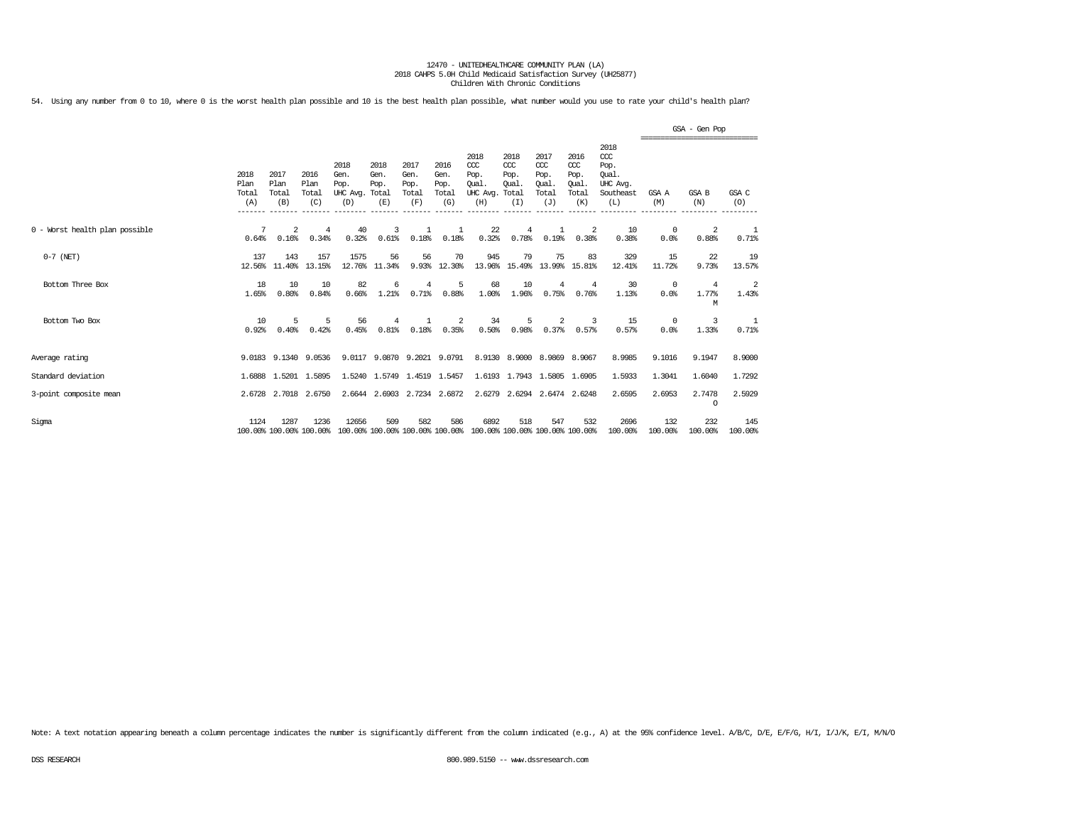54. Using any number from 0 to 10, where 0 is the worst health plan possible and 10 is the best health plan possible, what number would you use to rate your child's health plan?

|                                |                              |                                 |                              |                                               |                             |                                      |                                      |                                                 |                                              |                                                   |                                                   |                                                              |                    | GSA - Gen Pop     |                         |
|--------------------------------|------------------------------|---------------------------------|------------------------------|-----------------------------------------------|-----------------------------|--------------------------------------|--------------------------------------|-------------------------------------------------|----------------------------------------------|---------------------------------------------------|---------------------------------------------------|--------------------------------------------------------------|--------------------|-------------------|-------------------------|
|                                | 2018<br>Plan<br>Total<br>(A) | 2017<br>Plan<br>Total<br>(B)    | 2016<br>Plan<br>Total<br>(C) | 2018<br>Gen.<br>Pop.<br>UHC Avg. Total<br>(D) | 2018<br>Gen.<br>Pop.<br>(E) | 2017<br>Gen.<br>Pop.<br>Total<br>(F) | 2016<br>Gen.<br>Pop.<br>Total<br>(G) | 2018<br>CCC<br>Pop.<br>Oual.<br>UHC Avg.<br>(H) | 2018<br>CCC<br>Pop.<br>Oual.<br>Total<br>(I) | 2017<br>$\alpha$<br>Pop.<br>Oual.<br>Total<br>(J) | 2016<br>$\alpha$<br>Pop.<br>Oual.<br>Total<br>(K) | 2018<br>ccc<br>Pop.<br>Oual.<br>UHC Avq.<br>Southeast<br>(L) | GSA A<br>(M)       | GSA B<br>(N)      | GSA C<br>(O)            |
| 0 - Worst health plan possible | 7<br>0.64%                   | 2<br>0.16%                      | $\overline{4}$<br>0.34%      | 40<br>0.32%                                   | 3<br>0.61%                  | 0.18%                                | -1<br>0.18%                          | 22<br>0.32%                                     | 4<br>0.78%                                   | 1<br>0.19%                                        | 2<br>0.38%                                        | 10<br>0.38%                                                  | $^{\circ}$<br>0.0% | 2<br>0.88%        | 1<br>0.71%              |
| $0-7$ (NET)                    | 137<br>12.56%                | 143<br>11.40%                   | 157<br>13.15%                | 1575<br>12.76%                                | 56<br>11.34%                | 56                                   | 70<br>9.93% 12.30%                   | 945                                             | 79<br>13.96% 15.49% 13.99% 15.81%            | 75                                                | 83                                                | 329<br>12.41%                                                | 15<br>11.72%       | 22<br>9.73%       | 19<br>13.57%            |
| Bottom Three Box               | 18<br>1.65%                  | 10<br>0.80%                     | 10<br>0.84%                  | 82<br>0.66%                                   | 6<br>1.21%                  | 4<br>0.71%                           | 5<br>0.88%                           | 68<br>1,00%                                     | 10<br>1.96%                                  | 4<br>0.75%                                        | $\overline{4}$<br>0.76%                           | 30<br>1.13%                                                  | $^{\circ}$<br>0.0% | 4<br>1.77%<br>M   | $\overline{2}$<br>1.43% |
| Bottom Two Box                 | 10<br>0.92%                  | 5<br>0.40%                      | -5<br>0.42%                  | 56<br>0.45%                                   | 4<br>0.81%                  | 0.18%                                | 2<br>0.35%                           | 34<br>0.50%                                     | 5<br>0.98%                                   | 2<br>0.37%                                        | 3<br>0.57%                                        | 15<br>0.57%                                                  | $^{\circ}$<br>0.0% | 3<br>1.33%        | 1<br>0.71%              |
| Average rating                 |                              | 9.0183 9.1340 9.0536            |                              |                                               | 9.0117 9.0870 9.2021 9.0791 |                                      |                                      |                                                 | 8.9130 8.9000 8.9869 8.9067                  |                                                   |                                                   | 8.9985                                                       | 9.1016             | 9.1947            | 8.9000                  |
| Standard deviation             |                              | 1.6888 1.5201                   | 1.5895                       |                                               | 1.5240 1.5749               |                                      | 1.4519 1.5457                        |                                                 | 1.6193 1.7943                                | 1.5805 1.6905                                     |                                                   | 1.5933                                                       | 1.3041             | 1.6040            | 1.7292                  |
| 3-point composite mean         |                              | 2.6728 2.7018                   | 2.6750                       |                                               | 2.6644 2.6903 2.7234 2.6872 |                                      |                                      | 2.6279                                          |                                              | 2.6294 2.6474 2.6248                              |                                                   | 2.6595                                                       | 2.6953             | 2.7478<br>$\circ$ | 2.5929                  |
| Sigma                          | 1124                         | 1287<br>100.00% 100.00% 100.00% | 1236                         | 12656<br>100.00% 100.00% 100.00% 100.00%      | 509                         | 582                                  | 586                                  | 6892<br>100.00% 100.00% 100.00% 100.00%         | 518                                          | 547                                               | 532                                               | 2696<br>100.00%                                              | 132<br>100.00%     | 232<br>100.00%    | 145<br>100.00%          |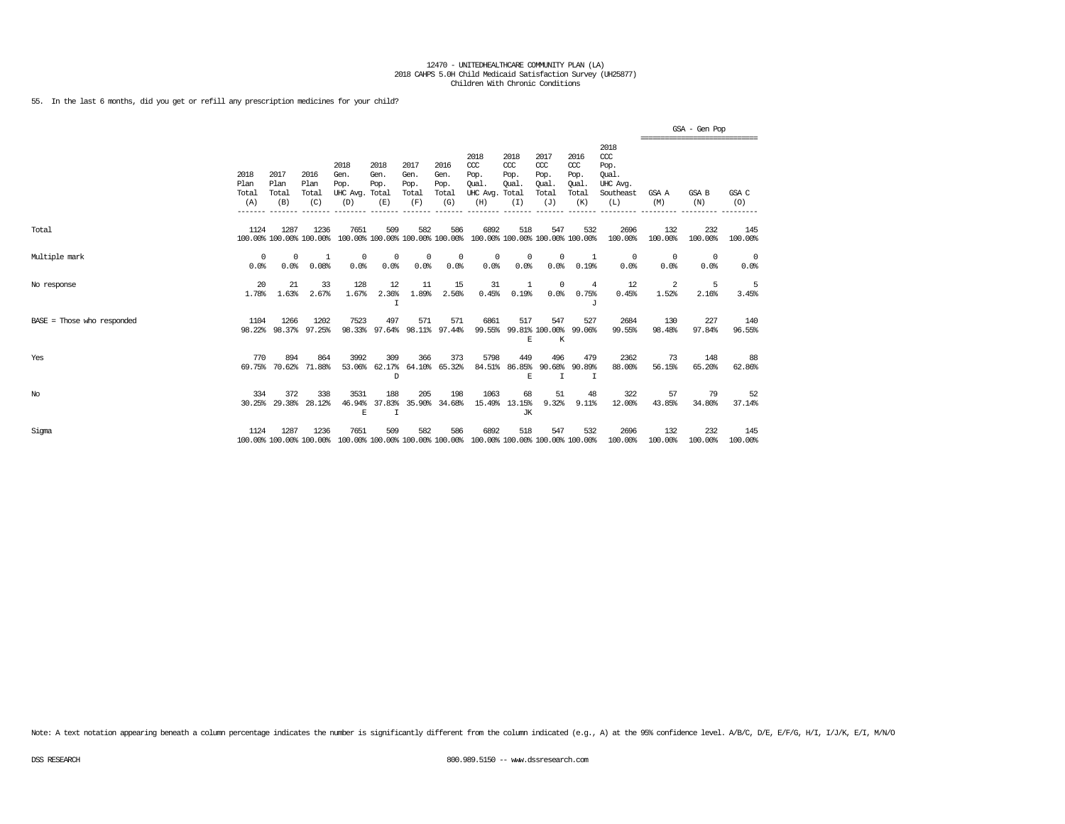55. In the last 6 months, did you get or refill any prescription medicines for your child?

|                              |                              |                              |                                 |                                         |                                        |                                      |                                      |                                                                         |                                               |                                              |                                              |                                                                   |                  | GSA - Gen Pop<br>============================ |                |
|------------------------------|------------------------------|------------------------------|---------------------------------|-----------------------------------------|----------------------------------------|--------------------------------------|--------------------------------------|-------------------------------------------------------------------------|-----------------------------------------------|----------------------------------------------|----------------------------------------------|-------------------------------------------------------------------|------------------|-----------------------------------------------|----------------|
|                              | 2018<br>Plan<br>Total<br>(A) | 2017<br>Plan<br>Total<br>(B) | 2016<br>Plan<br>Total<br>(C)    | 2018<br>Gen.<br>Pop.<br>UHC Avg.<br>(D) | 2018<br>Gen.<br>Pop.<br>Total<br>(E)   | 2017<br>Gen.<br>Pop.<br>Total<br>(F) | 2016<br>Gen.<br>Pop.<br>Total<br>(G) | 2018<br>$CC$<br>Pop.<br>Oual.<br>UHC Avg.<br>(H)                        | 2018<br>$CC$<br>Pop.<br>Oual.<br>Total<br>(I) | 2017<br>ccc<br>Pop.<br>Oual.<br>Total<br>(J) | 2016<br>ccc<br>Pop.<br>Oual.<br>Total<br>(K) | 2018<br>$\alpha$<br>Pop.<br>Oual.<br>UHC Avg.<br>Southeast<br>(L) | GSA A<br>(M)     | GSA B<br>(N)                                  | GSA C<br>(0)   |
| Total                        | 1124                         | 1287                         | 1236<br>100.00% 100.00% 100.00% | 7651                                    | 509<br>100.00% 100.00% 100.00% 100.00% | 582                                  | 586                                  | 6892                                                                    | 518                                           | 547<br>100.00% 100.00% 100.00% 100.00%       | 532                                          | 2696<br>100.00%                                                   | 132<br>100.00%   | 232<br>100.00%                                | 145<br>100.00% |
| Multiple mark                | $\Omega$<br>0.0%             | $\Omega$<br>0.0%             | 1<br>0.08%                      | $^{\circ}$<br>0.0%                      | 0<br>0.0%                              | $\circ$<br>0.0%                      | 0<br>0.0%                            | 0<br>0.0%                                                               | $^{\circ}$<br>0.0%                            | $\Omega$<br>0.0%                             | 1<br>0.19%                                   | $\Omega$<br>0.0%                                                  | $\Omega$<br>0.0% | $\Omega$<br>0.0%                              | 0<br>0.0%      |
| No response                  | 20<br>1.78%                  | 21<br>1.63%                  | 33<br>2.67%                     | 128<br>1.67%                            | 12<br>2.36%<br>I                       | 11<br>1.89%                          | 15<br>2.56%                          | 31<br>0.45%                                                             | 1<br>0.19%                                    | $\circ$<br>0.0%                              | 4<br>0.75%<br>J                              | 12<br>0.45%                                                       | -2<br>1.52%      | 5<br>2.16%                                    | -5<br>3.45%    |
| $BASE = Those who responded$ | 1104                         | 1266<br>98.22% 98.37%        | 1202<br>97.25%                  | 7523<br>98.33%                          | 497<br>97.64%                          | 571<br>98.11%                        | 571<br>97.44%                        | 6861<br>99.55%                                                          | 517<br>E                                      | 547<br>99.81% 100.00%<br>K                   | 527<br>99.06%                                | 2684<br>99.55%                                                    | 130<br>98.48%    | 227<br>97.84%                                 | 140<br>96.55%  |
| Yes                          | 770<br>69.75%                | 894<br>70.62%                | 864<br>71.88%                   | 3992<br>53.06%                          | 309<br>62.17%<br>D                     | 366<br>64.10%                        | 373<br>65.32%                        | 5798<br>84.51%                                                          | 449<br>86.85%<br>E                            | 496<br>90.68%<br>I                           | 479<br>90.89%<br>I                           | 2362<br>88,00%                                                    | 73<br>56.15%     | 148<br>65.20%                                 | 88<br>62.86%   |
| $_{\mathrm{No}}$             | 334<br>30.25%                | 372<br>29.38%                | 338<br>28.12%                   | 3531<br>46.94%<br>E                     | 188<br>37.83%<br>T                     | 205<br>35.90%                        | 198<br>34.68%                        | 1063                                                                    | 68<br>15.49% 13.15%<br>JK                     | 51<br>9.32%                                  | 48<br>9.11%                                  | 322<br>12.00%                                                     | 57<br>43.85%     | 79<br>34.80%                                  | 52<br>37.14%   |
| Sigma                        | 1124                         | 1287                         | 1236<br>100.00% 100.00% 100.00% | 7651                                    | 509                                    | 582                                  | 586                                  | 6892<br>100.00% 100.00% 100.00% 100.00% 100.00% 100.00% 100.00% 100.00% | 518                                           | 547                                          | 532                                          | 2696<br>100.00%                                                   | 132<br>100.00%   | 232<br>100.00%                                | 145<br>100.00% |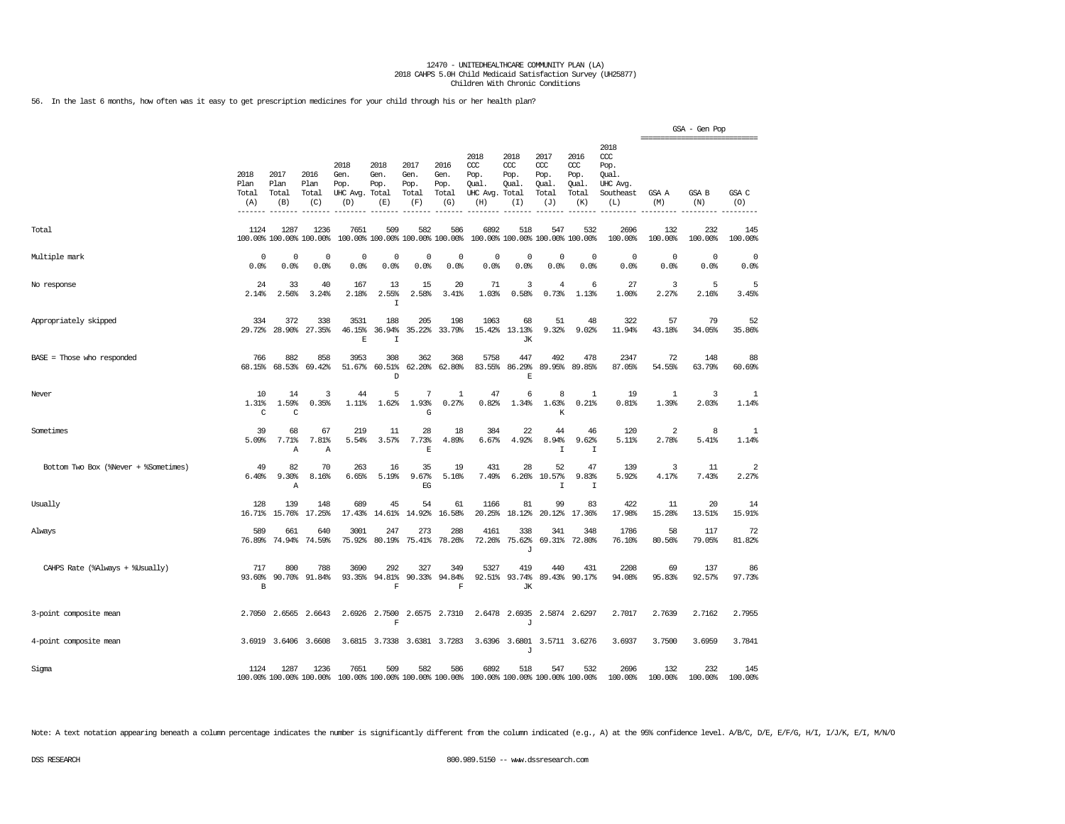56. In the last 6 months, how often was it easy to get prescription medicines for your child through his or her health plan?

|                                      |                               |                              |                              |                                                                 |                                        |                                      |                                      |                                                       |                                     |                                              |                                              |                                                              | =============================== | GSA - Gen Pop       |                         |
|--------------------------------------|-------------------------------|------------------------------|------------------------------|-----------------------------------------------------------------|----------------------------------------|--------------------------------------|--------------------------------------|-------------------------------------------------------|-------------------------------------|----------------------------------------------|----------------------------------------------|--------------------------------------------------------------|---------------------------------|---------------------|-------------------------|
|                                      | 2018<br>Plan<br>Total<br>(A)  | 2017<br>Plan<br>Total<br>(B) | 2016<br>Plan<br>Total<br>(C) | 2018<br>Gen.<br>Pop.<br>UHC Avg. Total<br>(D)                   | 2018<br>Gen.<br>Pop.<br>(E)            | 2017<br>Gen.<br>Pop.<br>Total<br>(F) | 2016<br>Gen.<br>Pop.<br>Total<br>(G) | 2018<br>CCC<br>Pop.<br>Oual.<br>UHC Avg. Total<br>(H) | 2018<br>ccc<br>Pop.<br>Oual.<br>(I) | 2017<br>ccc<br>Pop.<br>Oual.<br>Total<br>(J) | 2016<br>ccc<br>Pop.<br>Oual.<br>Total<br>(K) | 2018<br>ccc<br>Pop.<br>Qual.<br>UHC Avg.<br>Southeast<br>(L) | GSA A<br>(M)                    | GSA B<br>(N)        | GSA C<br>(O)            |
| Total                                | 1124                          | 1287<br>100.00% 100.00%      | 1236<br>100.00%              | 7651                                                            | 509<br>100.00% 100.00% 100.00% 100.00% | 582                                  | 586                                  | 6892                                                  | 518                                 | 547<br>100.00% 100.00% 100.00% 100.00%       | 532                                          | 2696<br>100.00%                                              | 132<br>100.00%                  | 232<br>100.00%      | 145<br>100.00%          |
| Multiple mark                        | 0<br>0.0%                     | 0<br>0.0%                    | 0<br>0.0%                    | $\mathbf 0$<br>0.0%                                             | 0<br>0.0%                              | 0<br>0.0%                            | 0<br>0.0%                            | $^{\circ}$<br>0.0%                                    | 0<br>0.0%                           | $\circ$<br>0.0%                              | $\circ$<br>0.0%                              | 0<br>0.0%                                                    | 0<br>0.0%                       | $\mathbf 0$<br>0.0% | $\mathbf 0$<br>0.0%     |
| No response                          | 24<br>2.14%                   | 33<br>2.56%                  | 40<br>3.24%                  | 167<br>2.18%                                                    | 13<br>2.55%<br>$\mathbf I$             | 15<br>2.58%                          | 20<br>3.41%                          | 71<br>1.03%                                           | 3<br>0.58%                          | $\overline{4}$<br>0.73%                      | 6<br>1.13%                                   | 27<br>1.00%                                                  | 3<br>2.27%                      | 5<br>2.16%          | 5<br>3.45%              |
| Appropriately skipped                | 334<br>29.72%                 | 372<br>28.90%                | 338<br>27.35%                | 3531<br>46.15%<br>E                                             | 188<br>36.94%<br>I                     | 205<br>35.22%                        | 198<br>33.79%                        | 1063<br>15.42%                                        | 68<br>13.13%<br>JК                  | 51<br>9.32%                                  | 48<br>9.02%                                  | 322<br>11.94%                                                | 57<br>43.18%                    | 79<br>34.05%        | 52<br>35.86%            |
| $BASE = Those who responded$         | 766<br>68.15%                 | 882<br>68.53%                | 858<br>69.42%                | 3953<br>51.67%                                                  | 308<br>60.51%<br>D                     | 362<br>62.20%                        | 368<br>62.80%                        | 5758<br>83.55%                                        | 447<br>86.29%<br>$\mathbf E$        | 492<br>89.95%                                | 478<br>89.85%                                | 2347<br>87.05%                                               | 72<br>54.55%                    | 148<br>63.79%       | 88<br>60.69%            |
| Never                                | 10<br>1.31%<br>C              | 14<br>1.59%<br>C             | 3<br>0.35%                   | 44<br>1.11%                                                     | 5<br>1.62%                             | 7<br>1.93%<br>G                      | 1<br>0.27%                           | 47<br>0.82%                                           | 6<br>1.34%                          | 8<br>1.63%<br>K                              | 1<br>0.21%                                   | 19<br>0.81%                                                  | 1<br>1.39%                      | 3<br>2.03%          | 1<br>1.14%              |
| Sometimes                            | 39<br>5.09%                   | 68<br>7.71%<br>Α             | 67<br>7.81%<br>Α             | 219<br>5.54%                                                    | 11<br>3.57%                            | 28<br>7.73%<br>E                     | 18<br>4.89%                          | 384<br>6.67%                                          | 22<br>4.92%                         | 44<br>8.94%<br>$\mathbbm{I}$                 | 46<br>9.62%<br>I                             | 120<br>5.11%                                                 | 2<br>2.78%                      | 8<br>5.41%          | 1<br>1.14%              |
| Bottom Two Box (%Never + %Sometimes) | 49<br>6.40%                   | 82<br>9.30%<br>Α             | 70<br>8.16%                  | 263<br>6.65%                                                    | 16<br>5.19%                            | 35<br>9.67%<br>$_{\rm EG}$           | 19<br>5.16%                          | 431<br>7.49%                                          | 28<br>6.26%                         | 52<br>10.57%<br>$\mathbb{I}$                 | 47<br>9.83%<br>I                             | 139<br>5.92%                                                 | 3<br>4.17%                      | 11<br>7.43%         | $\overline{2}$<br>2.27% |
| Usually                              | 128<br>16.71%                 | 139<br>15.76%                | 148<br>17.25%                | 689<br>17.43%                                                   | 45<br>14.61%                           | 54<br>14.92%                         | 61<br>16.58%                         | 1166<br>20.25%                                        | 81<br>18.12%                        | 99<br>20.12%                                 | 83<br>17.36%                                 | 422<br>17.98%                                                | 11<br>15.28%                    | 20<br>13.51%        | 14<br>15.91%            |
| Always                               | 589<br>76.89%                 | 661<br>74.94%                | 640<br>74.59%                | 3001<br>75.92%                                                  | 247<br>80.19%                          | 273<br>75.41%                        | 288<br>78.26%                        | 4161<br>72.26%                                        | 338<br>75.62%<br>J                  | 341<br>69.31%                                | 348<br>72.80%                                | 1786<br>76.10%                                               | 58<br>80.56%                    | 117<br>79.05%       | 72<br>81.82%            |
| CAHPS Rate (%Always + %Usually)      | 717<br>93.60%<br>$\, {\bf B}$ | 800<br>90.70%                | 788<br>91.84%                | 3690<br>93.35%                                                  | 292<br>94.81%<br>$\mathbf F$           | 327<br>90.33%                        | 349<br>94.84%<br>$\mathbf F$         | 5327<br>92.51%                                        | 419<br>93.74%<br>JК                 | 440<br>89.43%                                | 431<br>90.17%                                | 2208<br>94.08%                                               | 69<br>95.83%                    | 137<br>92.57%       | 86<br>97.73%            |
| 3-point composite mean               | 2.7050                        | 2.6565                       | 2.6643                       | 2.6926                                                          | 2.7500<br>F                            | 2.6575                               | 2.7310                               | 2.6478                                                | 2.6935<br>J                         |                                              | 2.5874 2.6297                                | 2.7017                                                       | 2.7639                          | 2.7162              | 2.7955                  |
| 4-point composite mean               |                               | 3.6919 3.6406                | 3.6608                       |                                                                 | 3.6815 3.7338                          |                                      | 3.6381 3.7283                        |                                                       | J                                   | 3.6396 3.6801 3.5711 3.6276                  |                                              | 3.6937                                                       | 3.7500                          | 3.6959              | 3.7841                  |
| Sigma                                | 1124                          | 1287                         | 1236                         | 7651<br>100.00% 100.00% 100.00% 100.00% 100.00% 100.00% 100.00% | 509                                    | 582                                  | 586                                  | 6892<br>100.00% 100.00% 100.00% 100.00%               | 518                                 | 547                                          | 532                                          | 2696<br>100.00%                                              | 132<br>100.00%                  | 232<br>100.00%      | 145<br>100.00%          |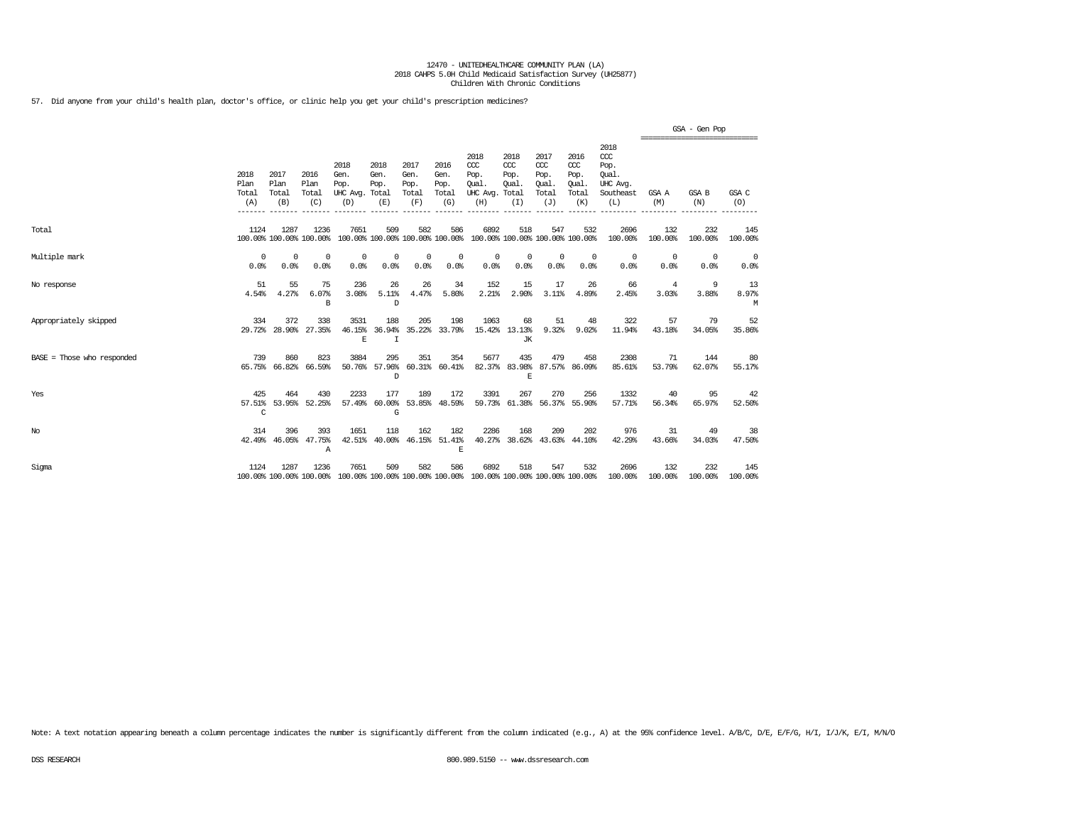57. Did anyone from your child's health plan, doctor's office, or clinic help you get your child's prescription medicines?

|                            |                              |                              |                                  |                                               |                                         |                                      |                                      |                                                                                                 |                                     |                                              |                                              |                                                                 |                                                   | GSA - Gen Pop  |                  |
|----------------------------|------------------------------|------------------------------|----------------------------------|-----------------------------------------------|-----------------------------------------|--------------------------------------|--------------------------------------|-------------------------------------------------------------------------------------------------|-------------------------------------|----------------------------------------------|----------------------------------------------|-----------------------------------------------------------------|---------------------------------------------------|----------------|------------------|
|                            | 2018<br>Plan<br>Total<br>(A) | 2017<br>Plan<br>Total<br>(B) | 2016<br>Plan<br>Total<br>(C)     | 2018<br>Gen.<br>Pop.<br>UHC Avg. Total<br>(D) | 2018<br>Gen.<br>Pop.<br>(E)             | 2017<br>Gen.<br>Pop.<br>Total<br>(F) | 2016<br>Gen.<br>Pop.<br>Total<br>(G) | 2018<br>ccc<br>Pop.<br>Oual.<br>UHC Avg. Total<br>(H)                                           | 2018<br>CCC<br>Pop.<br>Oual.<br>(I) | 2017<br>ccc<br>Pop.<br>Oual.<br>Total<br>(J) | 2016<br>ccc<br>Pop.<br>Oual.<br>Total<br>(K) | 2018<br>$\csc$<br>Pop.<br>Oual.<br>UHC Avq.<br>Southeast<br>(L) | ,,,,,,,,,,,,,,,,,,,,,,,,,,,,,,,,,<br>GSA A<br>(M) | GSA B<br>(N)   | GSA C<br>(O)     |
| Total                      | 1124                         | 1287                         | 1236<br>100.00% 100.00% 100.00%  | 7651                                          | 509                                     | 582                                  | 586                                  | 6892<br>100.00% 100.00% 100.00% 100.00% 100.00% 100.00% 100.00% 100.00%                         | 518                                 | 547                                          | 532                                          | 2696<br>100.00%                                                 | 132<br>100.00%                                    | 232<br>100.00% | 145<br>100.00%   |
| Multiple mark              | $^{\circ}$<br>0.0%           | 0<br>0.0%                    | $\Omega$<br>0.0%                 | $^{\circ}$<br>0.0%                            | $^{\circ}$<br>0.0%                      | $^{\circ}$<br>0.0%                   | 0<br>0.0%                            | $^{\circ}$<br>0.0%                                                                              | $^{\circ}$<br>0.0%                  | $^{\circ}$<br>0.0%                           | $^{\circ}$<br>0.0%                           | $^{\circ}$<br>0.0%                                              | $^{\circ}$<br>0.0%                                | 0<br>0.0%      | - 0<br>0.0%      |
| No response                | 51<br>4.54%                  | 55<br>4.27%                  | 75<br>6.07%<br>В                 | 236<br>3.08%                                  | 26<br>5.11%<br>D                        | 26<br>4.47%                          | 34<br>5.80%                          | 152<br>2.21%                                                                                    | 15<br>2.90%                         | 17<br>3.11%                                  | 26<br>4.89%                                  | 66<br>2.45%                                                     | 4<br>3.03%                                        | -9<br>3.88%    | 13<br>8.97%<br>M |
| Appropriately skipped      | 334                          | 372                          | 338<br>29.72% 28.90% 27.35%      | 3531<br>$\mathbb E$                           | 188<br>46.15% 36.94%<br>$\mathbf I$     | 205                                  | 198<br>35.22% 33.79%                 | 1063                                                                                            | 68<br>15.42% 13.13%<br>JК           | 51<br>9.32%                                  | 48<br>9.02%                                  | 322<br>11.94%                                                   | 57<br>43.18%                                      | 79<br>34.05%   | 52<br>35.86%     |
| BASE = Those who responded | 739                          | 860<br>65.75% 66.82%         | 823<br>66.59%                    | 3884                                          | 295<br>50.76% 57.96%<br>D               | 351                                  | 354<br>60.31% 60.41%                 | 5677                                                                                            | 435<br>82.37% 83.98%<br>E           | 479                                          | 458<br>87.57% 86.09%                         | 2308<br>85.61%                                                  | 71<br>53.79%                                      | 144<br>62.07%  | 80<br>55.17%     |
| Yes                        | 425<br>$\mathsf{C}$          | 464                          | 430<br>57.51% 53.95% 52.25%      | 2233                                          | 177<br>57.49% 60.00% 53.85% 48.59%<br>G | 189                                  | 172                                  | 3391                                                                                            | 267                                 | 270                                          | 256<br>59.73% 61.38% 56.37% 55.90%           | 1332<br>57.71%                                                  | 40<br>56.34%                                      | 95<br>65.97%   | 42<br>52.50%     |
| $_{\mathrm{No}}$           | 314                          | 396                          | 393<br>42.49% 46.05% 47.75%<br>Α | 1651<br>42.51%                                | 118                                     | 162                                  | 182<br>40.00% 46.15% 51.41%<br>E     | 2286                                                                                            | 168                                 | 209                                          | 202<br>40.27% 38.62% 43.63% 44.10%           | 976<br>42.29%                                                   | 31<br>43.66%                                      | 49<br>34.03%   | 38<br>47.50%     |
| Sigma                      | 1124                         | 1287                         | 1236                             | 7651                                          | 509                                     | 582                                  | 586                                  | 6892<br>100.00% 100.00% 100.00% 100.00% 100.00% 100.00% 100.00% 100.00% 100.00% 100.00% 100.00% | 518                                 | 547                                          | 532                                          | 2696<br>100.00%                                                 | 132<br>100.00%                                    | 232<br>100.00% | 145<br>100.00%   |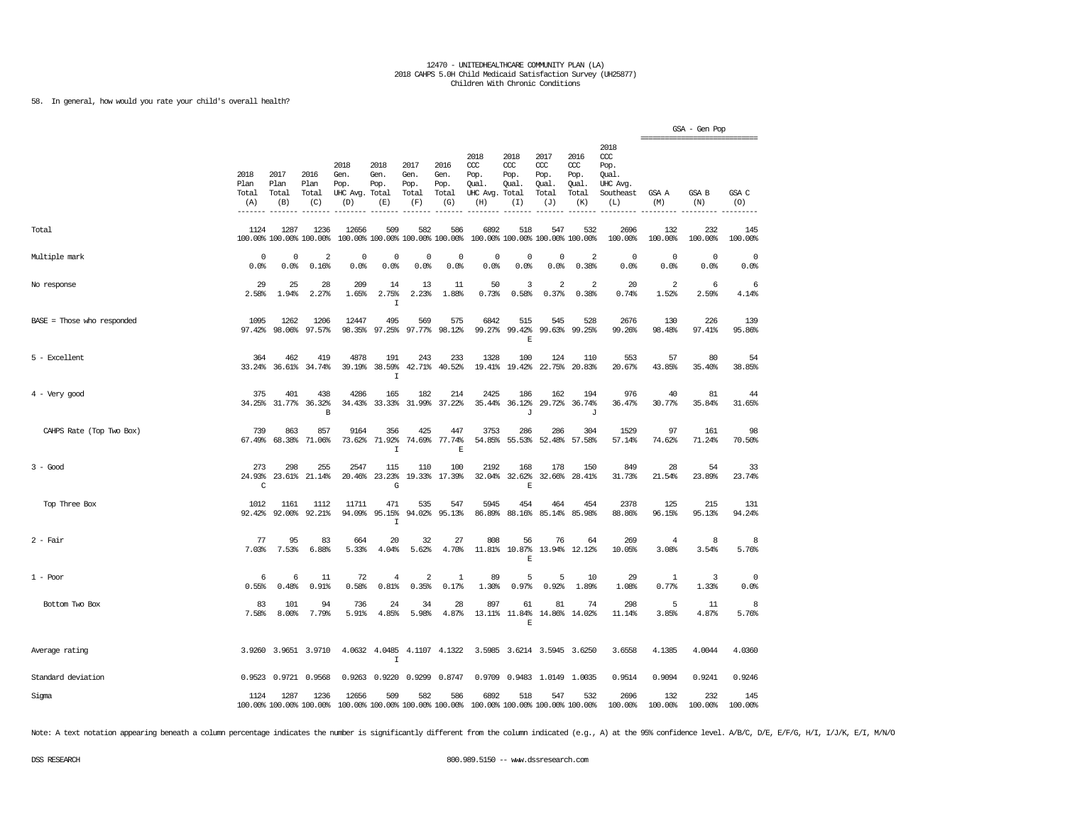58. In general, how would you rate your child's overall health?

|                              |                              |                                 |                                 |                                               |                                        |                                      |                                      |                                                                         |                                     |                                              |                                                   |                                                                   | ,,,,,,,,,,,,,,,,,,,,,,,,, | GSA - Gen Pop           |                        |
|------------------------------|------------------------------|---------------------------------|---------------------------------|-----------------------------------------------|----------------------------------------|--------------------------------------|--------------------------------------|-------------------------------------------------------------------------|-------------------------------------|----------------------------------------------|---------------------------------------------------|-------------------------------------------------------------------|---------------------------|-------------------------|------------------------|
|                              | 2018<br>Plan<br>Total<br>(A) | 2017<br>Plan<br>Total<br>(B)    | 2016<br>Plan<br>Total<br>(C)    | 2018<br>Gen.<br>Pop.<br>UHC Avg. Total<br>(D) | 2018<br>Gen.<br>Pop.<br>(E)            | 2017<br>Gen.<br>Pop.<br>Total<br>(F) | 2016<br>Gen.<br>Pop.<br>Total<br>(G) | 2018<br>ccc<br>Pop.<br>Oual.<br>UHC Avg. Total<br>(H)                   | 2018<br>CCC<br>Pop.<br>Oual.<br>(I) | 2017<br>ccc<br>Pop.<br>Oual.<br>Total<br>(J) | 2016<br>$\alpha$<br>Pop.<br>Oual.<br>Total<br>(K) | 2018<br>$\alpha$<br>Pop.<br>Qual.<br>UHC Avg.<br>Southeast<br>(L) | GSA A<br>(M)              | GSA B<br>(N)            | GSA C<br>(0)           |
| Total                        | 1124                         | 1287<br>100.00% 100.00% 100.00% | 1236                            | 12656                                         | 509<br>100.00% 100.00% 100.00% 100.00% | 582                                  | 586                                  | 6892                                                                    | 518                                 | 547<br>100.00% 100.00% 100.00% 100.00%       | 532                                               | 2696<br>100.00%                                                   | 132<br>100.00%            | 232<br>100.00%          | 145<br>100.00%         |
| Multiple mark                | $^{\circ}$<br>0.0%           | $\Omega$<br>0.0%                | 2<br>0.16%                      | $\Omega$<br>0.0%                              | 0<br>0.0%                              | $^{\circ}$<br>0.0%                   | 0<br>0.0%                            | $\Omega$<br>0.0%                                                        | $\Omega$<br>0.0%                    | $\Omega$<br>0.0%                             | 2<br>0.38%                                        | $\circ$<br>0.0%                                                   | 0<br>0.0%                 | 0<br>0.0%               | $\circ$<br>0.0%        |
| No response                  | 29<br>2.58%                  | 25<br>1.94%                     | 28<br>2.27%                     | 209<br>1.65%                                  | 14<br>2.75%<br>$\mathbf I$             | 13<br>2.23%                          | 11<br>1.88%                          | 50<br>0.73%                                                             | 3<br>0.58%                          | $\sqrt{2}$<br>0.37%                          | 2<br>0.38%                                        | 20<br>0.74%                                                       | $\overline{2}$<br>1.52%   | 6<br>2.59%              | 6<br>4.14%             |
| $BASE = Those who responded$ | 1095<br>97.42%               | 1262<br>98.06%                  | 1206<br>97.57%                  | 12447<br>98.35%                               | 495<br>97.25%                          | 569<br>97.77%                        | 575<br>98.12%                        | 6842<br>99.27%                                                          | 515<br>99.42%<br>E                  | 545<br>99.63%                                | 528<br>99.25%                                     | 2676<br>99.26%                                                    | 130<br>98.48%             | 226<br>97.41%           | 139<br>95.86%          |
| 5 - Excellent                | 364                          | 462<br>33.24% 36.61% 34.74%     | 419                             | 4878                                          | 191<br>39.19% 38.59%<br>$\mathtt I$    | 243                                  | 233<br>42.71% 40.52%                 | 1328                                                                    | 100<br>19.41% 19.42%                | 124                                          | 110<br>22.75% 20.83%                              | 553<br>20.67%                                                     | 57<br>43.85%              | 80<br>35.40%            | 54<br>38.85%           |
| $4 -$ Very good              | 375<br>34.25%                | 401<br>31.77%                   | 438<br>36.32%<br>B              | 4286<br>34.43%                                | 165<br>33.33%                          | 182<br>31.99%                        | 214<br>37.22%                        | 2425<br>35.44%                                                          | 186<br>36.12%<br>J                  | 162<br>29.72%                                | 194<br>36.74%<br>J                                | 976<br>36.47%                                                     | 40<br>30.77%              | 81<br>35.84%            | 44<br>31.65%           |
| CAHPS Rate (Top Two Box)     | 739<br>67.49%                | 863<br>68.38%                   | 857<br>71.06%                   | 9164<br>73.62%                                | 356<br>71.92%<br>$\mathbbm{1}$         | 425<br>74.69%                        | 447<br>77.74%<br>$\mathbb E$         | 3753<br>54.85%                                                          | 286                                 | 286<br>55.53% 52.48%                         | 304<br>57.58%                                     | 1529<br>57.14%                                                    | 97<br>74.62%              | 161<br>71.24%           | 98<br>70.50%           |
| $3 - Good$                   | 273<br>24.93%<br>C           | 298                             | 255<br>23.61% 21.14%            | 2547<br>20.46%                                | 115<br>23.23%<br>G                     | 110                                  | 100<br>19.33% 17.39%                 | 2192<br>32.04%                                                          | 168<br>32.62%<br>Е                  | 178                                          | 150<br>32.66% 28.41%                              | 849<br>31.73%                                                     | 28<br>21.54%              | 54<br>23.89%            | 33<br>23.74%           |
| Top Three Box                | 1012<br>92.42%               | 1161<br>92.00%                  | 1112<br>92.21%                  | 11711<br>94.09%                               | 471<br>95.15%<br>$\mathbf I$           | 535<br>94.02%                        | 547<br>95.13%                        | 5945<br>86.89%                                                          | 454<br>88.16%                       | 464<br>85.14%                                | 454<br>85.98%                                     | 2378<br>88.86%                                                    | 125<br>96.15%             | 215<br>95.13%           | 131<br>94.24%          |
| $2 - Fair$                   | 77<br>7.03%                  | 95<br>7.53%                     | 83<br>6.88%                     | 664<br>5.33%                                  | 20<br>4.04%                            | 32<br>5.62%                          | 27<br>4.70%                          | 808<br>11.81%                                                           | 56<br>10.87%<br>$\mathbb E$         | 76<br>13.94%                                 | 64<br>12.12%                                      | 269<br>10.05%                                                     | 4<br>3.08%                | 8<br>3.54%              | 8<br>5.76%             |
| $1 - Poor$                   | 6<br>0.55%                   | 6<br>0.48%                      | 11<br>0.91%                     | 72<br>0.58%                                   | 4<br>0.81%                             | $\overline{2}$<br>0.35%              | 1<br>0.17%                           | 89<br>1.30%                                                             | 5<br>0.97%                          | 5<br>0.92%                                   | 10<br>1.89%                                       | 29<br>1.08%                                                       | 1<br>0.77%                | $\overline{3}$<br>1.33% | $\overline{0}$<br>0.0% |
| Bottom Two Box               | 83<br>7.58%                  | 101<br>8.00%                    | 94<br>7.79%                     | 736<br>5.91%                                  | 24<br>4.85%                            | 34<br>5.98%                          | 28<br>4.87%                          | 897                                                                     | 61<br>13.11% 11.84%<br>E            | 81<br>14.86%                                 | 74<br>14.02%                                      | 298<br>11.14%                                                     | 5<br>3.85%                | 11<br>4.87%             | 8<br>5.76%             |
| Average rating               |                              | 3.9260 3.9651 3.9710            |                                 |                                               | 4.0632 4.0485<br>$\mathbbm{1}$         |                                      | 4.1107 4.1322                        |                                                                         |                                     | 3.5985 3.6214 3.5945 3.6250                  |                                                   | 3.6558                                                            | 4.1385                    | 4.0044                  | 4.0360                 |
| Standard deviation           |                              | 0.9523 0.9721                   | 0.9568                          | 0.9263                                        | 0.9220                                 | 0.9299                               | 0.8747                               | 0.9709                                                                  |                                     | 0.9483 1.0149                                | 1.0035                                            | 0.9514                                                            | 0.9094                    | 0.9241                  | 0.9246                 |
| Sigma                        | 1124                         | 1287                            | 1236<br>100.00% 100.00% 100.00% | 12656                                         | 509                                    | 582                                  | 586                                  | 6892<br>100.00% 100.00% 100.00% 100.00% 100.00% 100.00% 100.00% 100.00% | 518                                 | 547                                          | 532                                               | 2696<br>100.00%                                                   | 132<br>100.00%            | 232<br>100.00%          | 145<br>100.00%         |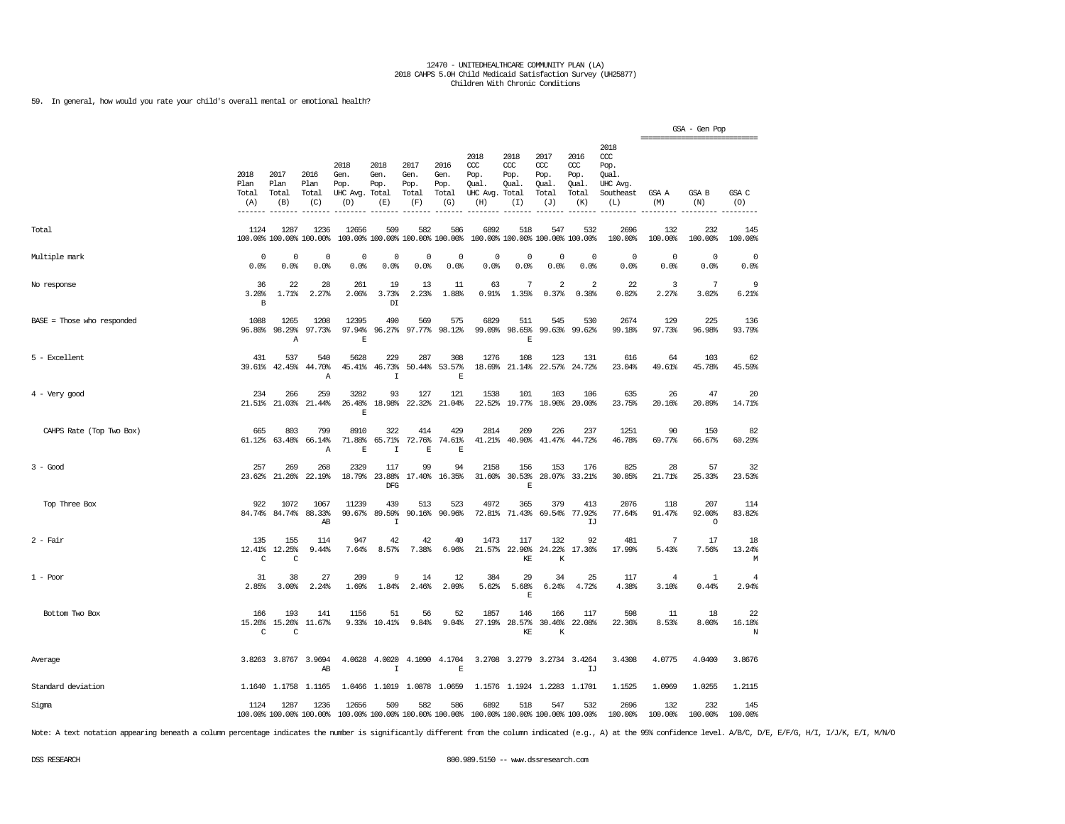59. In general, how would you rate your child's overall mental or emotional health?

|                              |                              |                                 |                               |                                         |                                        |                                      |                                      |                                                       |                                        |                                              |                                              |                                                                   | ------------------------------ | GSA - Gen Pop            |                    |
|------------------------------|------------------------------|---------------------------------|-------------------------------|-----------------------------------------|----------------------------------------|--------------------------------------|--------------------------------------|-------------------------------------------------------|----------------------------------------|----------------------------------------------|----------------------------------------------|-------------------------------------------------------------------|--------------------------------|--------------------------|--------------------|
|                              | 2018<br>Plan<br>Total<br>(A) | 2017<br>Plan<br>Total<br>(B)    | 2016<br>Plan<br>Total<br>(C)  | 2018<br>Gen.<br>Pop.<br>UHC Avg.<br>(D) | 2018<br>Gen.<br>Pop.<br>Total<br>(E)   | 2017<br>Gen.<br>Pop.<br>Total<br>(F) | 2016<br>Gen.<br>Pop.<br>Total<br>(G) | 2018<br>CCC<br>Pop.<br>Qual.<br>UHC Avg. Total<br>(H) | 2018<br>ccc<br>Pop.<br>Qual.<br>(I)    | 2017<br>ccc<br>Pop.<br>Qual.<br>Total<br>(J) | 2016<br>ccc<br>Pop.<br>Qual.<br>Total<br>(K) | 2018<br>$\alpha$<br>Pop.<br>Oual.<br>UHC Avg.<br>Southeast<br>(L) | GSA A<br>(M)                   | <b>GSA B</b><br>(N)      | GSA C<br>(0)       |
| Total                        | 1124                         | 1287<br>100.00% 100.00% 100.00% | 1236                          | 12656                                   | 509<br>100.00% 100.00% 100.00% 100.00% | 582                                  | 586                                  | 6892                                                  | 518<br>100.00% 100.00% 100.00% 100.00% | 547                                          | 532                                          | 2696<br>100.00%                                                   | 132<br>100.00%                 | 232<br>100.00%           | 145<br>100.00%     |
| Multiple mark                | 0<br>0.0%                    | 0<br>0.0%                       | 0<br>0.0%                     | 0<br>0.0%                               | 0<br>0.0%                              | 0<br>0.0%                            | $^{\circ}$<br>0.0%                   | 0<br>0.0%                                             | 0<br>0.0%                              | 0<br>0.0%                                    | $\mathbf 0$<br>0.0%                          | $\Omega$<br>0.0%                                                  | $\circ$<br>0.0%                | $\mathbf 0$<br>0.0%      | $^{\circ}$<br>0.0% |
| No response                  | 36<br>3.20%<br>В             | 22<br>1.71%                     | 28<br>2.27%                   | 261<br>2.06%                            | 19<br>3.73%<br>DI                      | 13<br>2.23%                          | 11<br>1.88%                          | 63<br>0.91%                                           | 7<br>1.35%                             | $\overline{2}$<br>0.37%                      | 2<br>0.38%                                   | 22<br>0.82%                                                       | $\overline{3}$<br>2.27%        | 7<br>3.02%               | 9<br>6.21%         |
| $BASE = Those who responded$ | 1088<br>96.80%               | 1265<br>98.29%<br>Α             | 1208<br>97.73%                | 12395<br>97.94%<br>$\mathbf E$          | 490<br>96.27%                          | 569<br>97.77%                        | 575<br>98.12%                        | 6829<br>99.09%                                        | 511<br>98.65%<br>$\mathbb E$           | 545                                          | 530<br>99.63% 99.62%                         | 2674<br>99.18%                                                    | 129<br>97.73%                  | 225<br>96.98%            | 136<br>93.79%      |
| 5 - Excellent                | 431<br>39.61%                | 537<br>42.45%                   | 540<br>44.70%<br>Α            | 5628<br>45.41%                          | 229<br>46.73%<br>$\mathbbm{1}$         | 287<br>50.44%                        | 308<br>53.57%<br>$\mathbb E$         | 1276<br>18.69%                                        | 108<br>21.14%                          | 123<br>22.57%                                | 131<br>24.72%                                | 616<br>23.04%                                                     | 64<br>49.61%                   | 103<br>45.78%            | 62<br>45.59%       |
| $4$ - Very good              | 234                          | 266<br>21.51% 21.03%            | 259<br>21.44%                 | 3282<br>26.48%<br>E                     | 93<br>18.98%                           | 127<br>22.32%                        | 121<br>21.04%                        | 1538<br>22.52%                                        | 101                                    | 103<br>19.77% 18.90%                         | 106<br>20.00%                                | 635<br>23.75%                                                     | 26<br>20.16%                   | 47<br>20.89%             | 20<br>14.71%       |
| CAHPS Rate (Top Two Box)     | 665<br>61.12%                | 803<br>63.48%                   | 799<br>66.14%<br>$\mathbb{A}$ | 8910<br>71.88%<br>$\mathbf{E}% _{0}$    | 322<br>65.71%<br>$\mathbf I$           | 414<br>72.76%<br>$\mathbf{E}% _{0}$  | 429<br>74.61%<br>$\mathbf{E}$        | 2814<br>41.21%                                        | 209<br>40.90%                          | 226<br>41.47%                                | 237<br>44.72%                                | 1251<br>46.78%                                                    | 90<br>69.77%                   | 150<br>66.67%            | 82<br>60.29%       |
| $3 - Good$                   | 257<br>23.62%                | 269<br>21.26%                   | 268<br>22.19%                 | 2329<br>18.79%                          | 117<br>23.88%<br><b>DFG</b>            | 99<br>17.40%                         | 94<br>16.35%                         | 2158<br>31.60%                                        | 156<br>30.53%<br>$\mathbb E$           | 153                                          | 176<br>28.07% 33.21%                         | 825<br>30.85%                                                     | 28<br>21.71%                   | 57<br>25.33%             | 32<br>23.53%       |
| Top Three Box                | 922<br>84.74%                | 1072<br>84.74%                  | 1067<br>88.33%<br>AB          | 11239<br>90.67%                         | 439<br>89.59%<br>$\mathbf I$           | 513<br>90.16%                        | 523<br>90.96%                        | 4972<br>72.81%                                        | 365<br>71.43%                          | 379<br>69.54%                                | 413<br>77.92%<br>IJ                          | 2076<br>77.64%                                                    | 118<br>91.47%                  | 207<br>92.00%<br>$\circ$ | 114<br>83.82%      |
| $2$ - Fair                   | 135<br>12.41%<br>$\mathsf C$ | 155<br>12.25%<br>$\rm{C}$       | 114<br>9.44%                  | 947<br>7.64%                            | 42<br>8.57%                            | 42<br>7.38%                          | 40<br>6.96%                          | 1473<br>21.57%                                        | 117<br>22.90%<br>$\mathbb{KE}$         | 132<br>24.22%<br>К                           | 92<br>17.36%                                 | 481<br>17.99%                                                     | 7<br>5.43%                     | 17<br>7.56%              | 18<br>13.24%<br>М  |
| $1 - Poor$                   | 31<br>2.85%                  | 38<br>3.00%                     | 27<br>2.24%                   | 209<br>1.69%                            | 9<br>1.84%                             | 14<br>2.46%                          | 12<br>2.09%                          | 384<br>5.62%                                          | 29<br>5.68%<br>$\mathbb E$             | 34<br>6.24%                                  | 25<br>4.72%                                  | 117<br>4.38%                                                      | $\overline{4}$<br>3.10%        | 1<br>0.44%               | 4<br>2.94%         |
| Bottom Two Box               | 166<br>C                     | 193<br>15.26% 15.26%<br>C       | 141<br>11.67%                 | 1156                                    | 51<br>9.33% 10.41%                     | 56<br>9.84%                          | 52<br>9.04%                          | 1857<br>27.19%                                        | 146<br>28.57%<br>KE                    | 166<br>30.46%<br>К                           | 117<br>22.08%                                | 598<br>22.36%                                                     | 11<br>8.53%                    | 18<br>8.00%              | 22<br>16.18%<br>N  |
| Average                      |                              | 3.8263 3.8767 3.9694            | AB                            | 4.0628                                  | 4.0020<br>$\mathbf I$                  |                                      | 4.1090 4.1704<br>$\mathbf E$         |                                                       | 3.2708 3.2779                          |                                              | 3.2734 3.4264<br>IJ                          | 3.4308                                                            | 4.0775                         | 4.0400                   | 3.8676             |
| Standard deviation           |                              | 1.1640 1.1758 1.1165            |                               |                                         | 1.0466 1.1019 1.0878 1.0659            |                                      |                                      |                                                       | 1.1576 1.1924 1.2283 1.1701            |                                              |                                              | 1.1525                                                            | 1.0969                         | 1.0255                   | 1.2115             |
| Sigma                        | 1124                         | 1287<br>100.00% 100.00% 100.00% | 1236                          | 12656                                   | 509<br>100.00% 100.00% 100.00% 100.00% | 582                                  | 586                                  | 6892<br>100.00% 100.00% 100.00% 100.00%               | 518                                    | 547                                          | 532                                          | 2696<br>100.00%                                                   | 132<br>100.00%                 | 232<br>100.00%           | 145<br>100.00%     |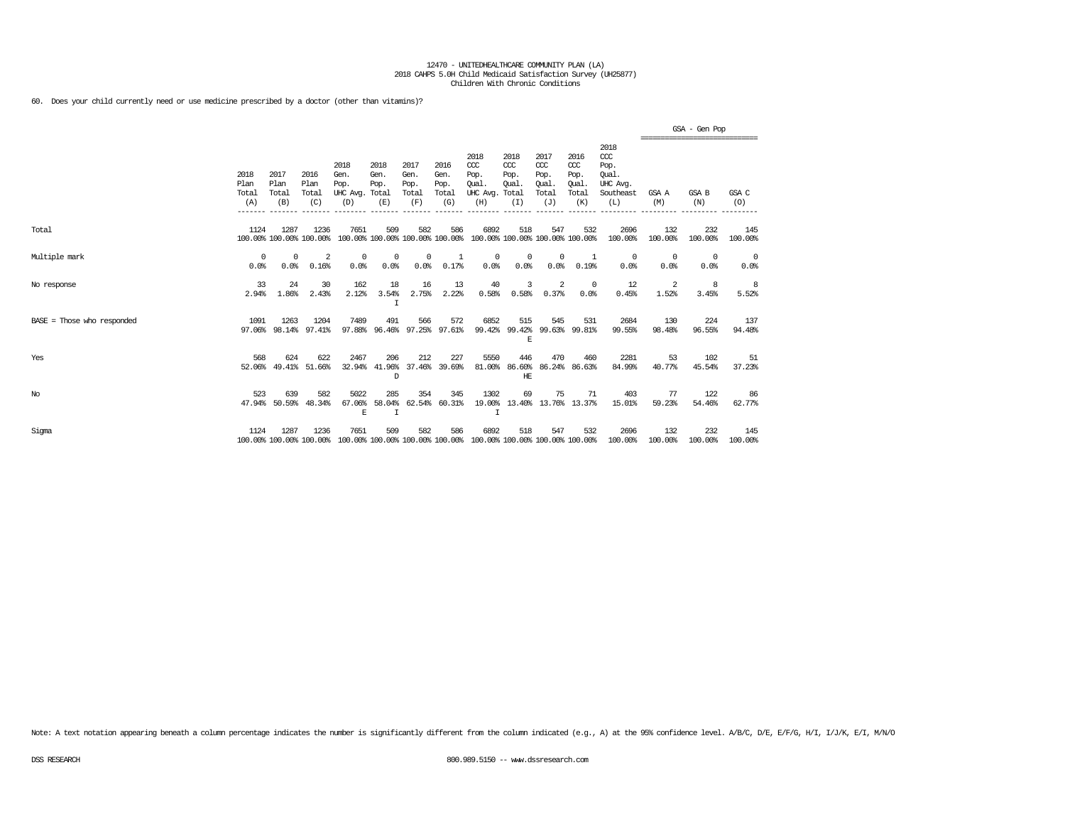60. Does your child currently need or use medicine prescribed by a doctor (other than vitamins)?

|                              |                              |                              |                                 |                                         |                                        |                                      |                                      |                                                                                         |                                               |                                                   |                                              |                                                                   |                  | GSA - Gen Pop<br>---------------------------- |                |
|------------------------------|------------------------------|------------------------------|---------------------------------|-----------------------------------------|----------------------------------------|--------------------------------------|--------------------------------------|-----------------------------------------------------------------------------------------|-----------------------------------------------|---------------------------------------------------|----------------------------------------------|-------------------------------------------------------------------|------------------|-----------------------------------------------|----------------|
|                              | 2018<br>Plan<br>Total<br>(A) | 2017<br>Plan<br>Total<br>(B) | 2016<br>Plan<br>Total<br>(C)    | 2018<br>Gen.<br>Pop.<br>UHC Avg.<br>(D) | 2018<br>Gen.<br>Pop.<br>Total<br>(E)   | 2017<br>Gen.<br>Pop.<br>Total<br>(F) | 2016<br>Gen.<br>Pop.<br>Total<br>(G) | 2018<br>$CC$<br>Pop.<br>Oual.<br>UHC Avg.<br>(H)                                        | 2018<br>$CC$<br>Pop.<br>Oual.<br>Total<br>(I) | 2017<br>$\alpha$<br>Pop.<br>Oual.<br>Total<br>(J) | 2016<br>ccc<br>Pop.<br>Oual.<br>Total<br>(K) | 2018<br>$\alpha$<br>Pop.<br>Oual.<br>UHC Avg.<br>Southeast<br>(L) | GSA A<br>(M)     | <b>GSA B</b><br>(N)                           | GSA C<br>(0)   |
| Total                        | 1124                         | 1287                         | 1236<br>100.00% 100.00% 100.00% | 7651                                    | 509<br>100.00% 100.00% 100.00% 100.00% | 582                                  | 586                                  | 6892<br>100.00% 100.00% 100.00% 100.00%                                                 | 518                                           | 547                                               | 532                                          | 2696<br>100.00%                                                   | 132<br>100.00%   | 232<br>100.00%                                | 145<br>100.00% |
| Multiple mark                | 0<br>0.0%                    | 0<br>0.0%                    | -2<br>0.16%                     | $^{\circ}$<br>0.0%                      | $^{\circ}$<br>0.0%                     | $^{\circ}$<br>0.0%                   | -1<br>0.17%                          | $^{\circ}$<br>0.0%                                                                      | $^{\circ}$<br>0.0%                            | $^{\circ}$<br>0.0%                                | 1<br>0.19%                                   | $^{\circ}$<br>0.0%                                                | $\Omega$<br>0.0% | $^{\circ}$<br>0.0%                            | 0<br>0.0%      |
| No response                  | 33<br>2.94%                  | 24<br>1.86%                  | 30<br>2.43%                     | 162<br>2.12%                            | 18<br>3.54%<br>I                       | 16<br>2.75%                          | 13<br>2.22%                          | 40<br>0.58%                                                                             | 3<br>0.58%                                    | 2<br>0.37%                                        | $^{\circ}$<br>0.0%                           | 12<br>0.45%                                                       | 2<br>1.52%       | 8<br>3.45%                                    | 8<br>5.52%     |
| $BASE = Those who responded$ | 1091<br>97.06%               | 1263<br>98.14%               | 1204<br>97.41%                  | 7489<br>97.88%                          | 491<br>96.46%                          | 566<br>97.25%                        | 572<br>97.61%                        | 6852<br>99.42%                                                                          | 515<br>99.42%<br>Е                            | 545<br>99.63%                                     | 531<br>99.81%                                | 2684<br>99.55%                                                    | 130<br>98.48%    | 224<br>96.55%                                 | 137<br>94.48%  |
| Yes                          | 568<br>52.06%                | 624<br>49.41%                | 622<br>51.66%                   | 2467<br>32.94%                          | 206<br>41.96%<br>D                     | 212<br>37.46%                        | 227<br>39.69%                        | 5550<br>81.00%                                                                          | 446<br>HE                                     | 470<br>86.60% 86.24%                              | 460<br>86.63%                                | 2281<br>84.99%                                                    | 53<br>40.77%     | 102<br>45.54%                                 | 51<br>37.23%   |
| No                           | 523                          | 639<br>47.94% 50.59%         | 582<br>48.34%                   | 5022<br>67.06%<br>E                     | 285<br>58.04%<br>$\mathbf I$           | 354<br>62.54%                        | 345<br>60.31%                        | 1302<br>19.00%<br>$\top$                                                                | 69                                            | 75<br>13.40% 13.76% 13.37%                        | 71                                           | 403<br>15.01%                                                     | 77<br>59.23%     | 122<br>54.46%                                 | 86<br>62.77%   |
| Sigma                        | 1124                         | 1287                         | 1236                            | 7651                                    | 509                                    | 582                                  | 586                                  | 6892<br>100.00% 100.00% 100.00% 100.00% 100.00% 100.00% 100.00% 100.00% 100.00% 100.00% | 518                                           | 547                                               | 532                                          | 2696<br>100.00%                                                   | 132<br>100.00%   | 232<br>100.00%                                | 145<br>100.00% |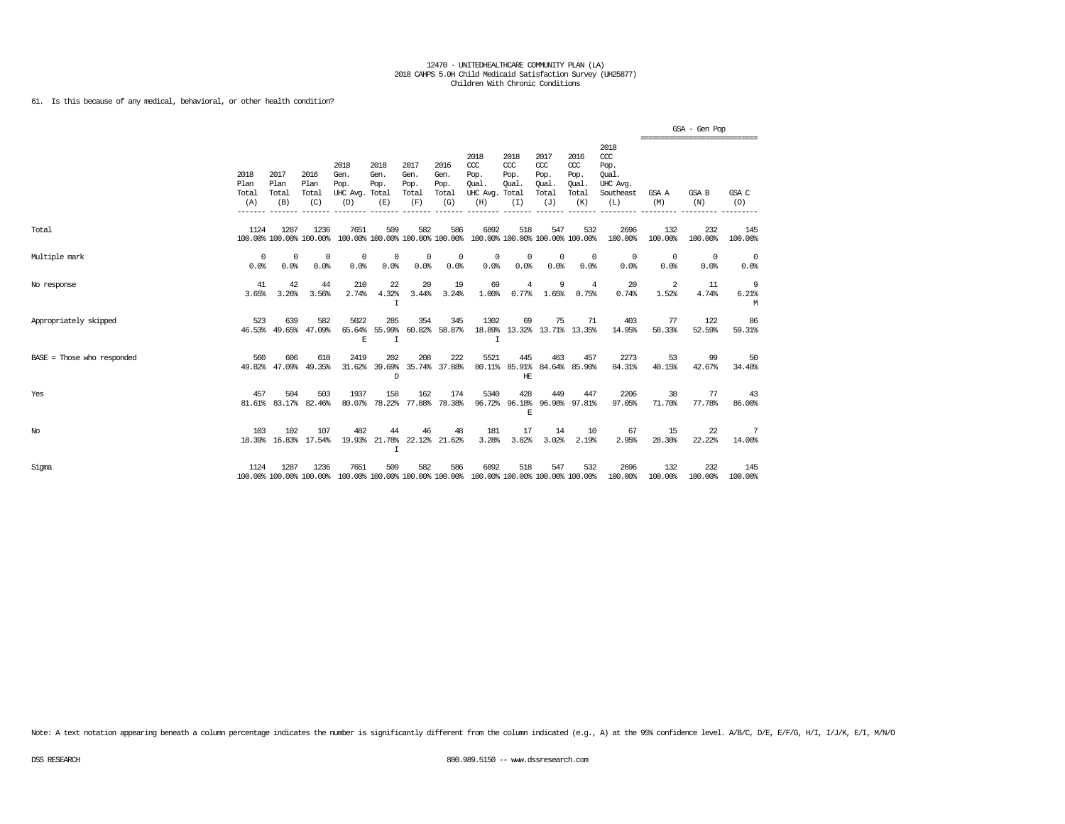61. Is this because of any medical, behavioral, or other health condition?

|                            |                              |                              |                                 |                                                                                                 |                             |                                      |                                      |                                                                         |                                     |                                                   |                                                   |                                                                   | ================================ | GSA - Gen Pop      |                    |
|----------------------------|------------------------------|------------------------------|---------------------------------|-------------------------------------------------------------------------------------------------|-----------------------------|--------------------------------------|--------------------------------------|-------------------------------------------------------------------------|-------------------------------------|---------------------------------------------------|---------------------------------------------------|-------------------------------------------------------------------|----------------------------------|--------------------|--------------------|
|                            | 2018<br>Plan<br>Total<br>(A) | 2017<br>Plan<br>Total<br>(B) | 2016<br>Plan<br>Total<br>(C)    | 2018<br>Gen.<br>Pop.<br>UHC Avg. Total<br>(D)                                                   | 2018<br>Gen.<br>Pop.<br>(E) | 2017<br>Gen.<br>Pop.<br>Total<br>(F) | 2016<br>Gen.<br>Pop.<br>Total<br>(G) | 2018<br>CCC<br>Pop.<br>Oual.<br>UHC Avg. Total<br>(H)                   | 2018<br>CCC<br>Pop.<br>Qual.<br>(I) | 2017<br>$\alpha$<br>Pop.<br>Oual.<br>Total<br>(J) | 2016<br>$\alpha$<br>Pop.<br>Qual.<br>Total<br>(K) | 2018<br>$\alpha$<br>Pop.<br>Oual.<br>UHC Avg.<br>Southeast<br>(L) | GSA A<br>(M)                     | GSA B<br>(N)       | GSA C<br>(0)       |
| Total                      | 1124                         | 1287                         | 1236<br>100.00% 100.00% 100.00% | 7651                                                                                            | 509                         | 582                                  | 586                                  | 6892<br>100.00% 100.00% 100.00% 100.00% 100.00% 100.00% 100.00% 100.00% | 518                                 | 547                                               | 532                                               | 2696<br>100.00%                                                   | 132<br>100.00%                   | 232<br>100.00%     | 145<br>100.00%     |
| Multiple mark              | $^{\circ}$<br>0.0%           | 0<br>0.0%                    | $^{\circ}$<br>0.0%              | 0<br>0.0%                                                                                       | 0<br>0.0%                   | 0<br>0.0%                            | 0<br>0.0%                            | $^{\circ}$<br>0.0%                                                      | 0<br>0.0%                           | $^{\circ}$<br>0.0%                                | $^{\circ}$<br>0.0%                                | $^{\circ}$<br>0.0%                                                | $^{\circ}$<br>0.0%               | $^{\circ}$<br>0.0% | $^{\circ}$<br>0.0% |
| No response                | 41<br>3.65%                  | 42<br>3.26%                  | 44<br>3.56%                     | 210<br>2.74%                                                                                    | 22<br>4.32%<br>I            | 20<br>3.44%                          | 19<br>3.24%                          | 69<br>1.00%                                                             | $\overline{4}$<br>0.77%             | 9<br>1.65%                                        | $\overline{4}$<br>0.75%                           | 20<br>0.74%                                                       | 2<br>1.52%                       | 11<br>4.74%        | 9<br>6.21%<br>M    |
| Appropriately skipped      | 523                          | 639                          | 582<br>46.53% 49.65% 47.09%     | 5022<br>65.64%<br>E                                                                             | 285<br>55.99%<br>I          | 354                                  | 345<br>60.82% 58.87%                 | 1302<br>I                                                               | 69                                  | 75                                                | 71<br>18.89% 13.32% 13.71% 13.35%                 | 403<br>14.95%                                                     | 77<br>58.33%                     | 122<br>52.59%      | 86<br>59.31%       |
| BASE = Those who responded | 560                          | 606                          | 610<br>49.82% 47.09% 49.35%     | 2419                                                                                            | 202<br>31.62% 39.69%<br>D.  | 208                                  | 222<br>35.74% 37.88%                 | 5521                                                                    | 445<br>HF.                          | 463                                               | 457<br>80.11% 85.91% 84.64% 85.90%                | 2273<br>84.31%                                                    | 53<br>40.15%                     | 99<br>42.67%       | 50<br>34.48%       |
| Yes                        | 457                          | 504                          | 503<br>81.61% 83.17% 82.46%     | 1937                                                                                            | 158                         | 162                                  | 174<br>80.07% 78.22% 77.88% 78.38%   | 5340                                                                    | 428<br>E                            | 449                                               | 447<br>96.72% 96.18% 96.98% 97.81%                | 2206<br>97.05%                                                    | 38<br>71.70%                     | 77<br>77.78%       | -43<br>86,00%      |
| $_{\mathrm{No}}$           | 103                          | 102                          | 107<br>18.39% 16.83% 17.54%     | 482<br>19.93%                                                                                   | 44<br>I                     | 46                                   | 48<br>21.78% 22.12% 21.62%           | 181<br>3.28%                                                            | 17<br>3.82%                         | 14<br>3.02%                                       | 10<br>2.19%                                       | 67<br>2.95%                                                       | 15<br>28.30%                     | 22<br>22.22%       | 7<br>14.00%        |
| Sigma                      | 1124                         | 1287                         | 1236                            | 7651<br>100.00% 100.00% 100.00% 100.00% 100.00% 100.00% 100.00% 100.00% 100.00% 100.00% 100.00% | 509                         | 582                                  | 586                                  | 6892                                                                    | 518                                 | 547                                               | 532                                               | 2696<br>100.00%                                                   | 132<br>100.00%                   | 232<br>100.00%     | 145<br>100.00%     |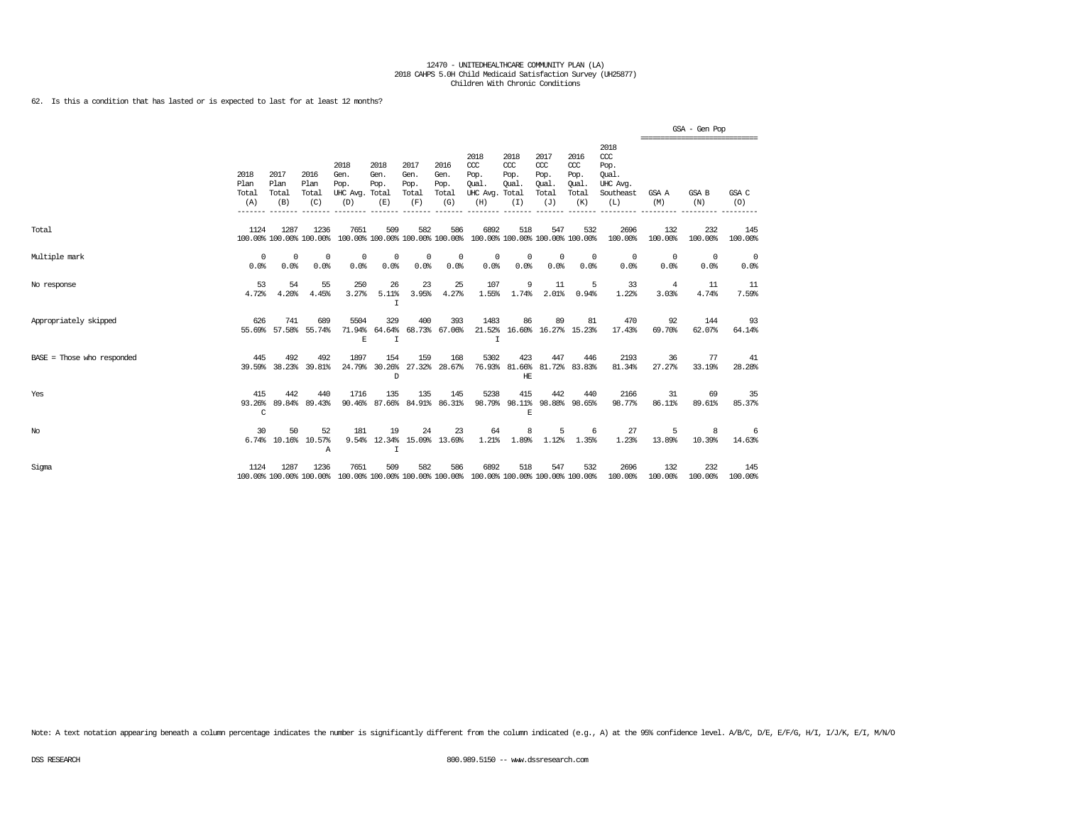62. Is this a condition that has lasted or is expected to last for at least 12 months?

|                              |                              |                              |                                |                                                                                                 |                             |                                      |                                      |                                                       |                                     |                                              |                                              |                                                                 | ================================ | GSA - Gen Pop  |                |
|------------------------------|------------------------------|------------------------------|--------------------------------|-------------------------------------------------------------------------------------------------|-----------------------------|--------------------------------------|--------------------------------------|-------------------------------------------------------|-------------------------------------|----------------------------------------------|----------------------------------------------|-----------------------------------------------------------------|----------------------------------|----------------|----------------|
|                              | 2018<br>Plan<br>Total<br>(A) | 2017<br>Plan<br>Total<br>(B) | 2016<br>Plan<br>Total<br>(C)   | 2018<br>Gen.<br>Pop.<br>UHC Avg. Total<br>(D)                                                   | 2018<br>Gen.<br>Pop.<br>(E) | 2017<br>Gen.<br>Pop.<br>Total<br>(F) | 2016<br>Gen.<br>Pop.<br>Total<br>(G) | 2018<br>CCC<br>Pop.<br>Oual.<br>UHC Avg. Total<br>(H) | 2018<br>CCC<br>Pop.<br>Oual.<br>(I) | 2017<br>ccc<br>Pop.<br>Oual.<br>Total<br>(J) | 2016<br>ccc<br>Pop.<br>Qual.<br>Total<br>(K) | 2018<br>$\csc$<br>Pop.<br>Oual.<br>UHC Avg.<br>Southeast<br>(L) | GSA A<br>(M)                     | GSA B<br>(N)   | GSA C<br>(O)   |
| Total                        | 1124                         | 1287                         | 1236                           | 7651<br>100.00% 100.00% 100.00% 100.00% 100.00% 100.00% 100.00% 100.00% 100.00% 100.00% 100.00% | 509                         | 582                                  | 586                                  | 6892                                                  | 518                                 | 547                                          | 532                                          | 2696<br>100.00%                                                 | 132<br>100.00%                   | 232<br>100.00% | 145<br>100.00% |
| Multiple mark                | $^{\circ}$<br>0.0%           | 0<br>0.0%                    | $\Omega$<br>0.0%               | 0<br>0.0%                                                                                       | 0<br>0.0%                   | $^{\circ}$<br>0.0%                   | 0<br>0.0%                            | $^{\circ}$<br>0.0%                                    | $^{\circ}$<br>0.0%                  | $^{\circ}$<br>0.0%                           | $^{\circ}$<br>0.0%                           | $^{\circ}$<br>0.0%                                              | $^{\circ}$<br>0.0%               | 0<br>0.0%      | - 0<br>0.0%    |
| No response                  | 53<br>4.72%                  | 54<br>4.20%                  | 55<br>4.45%                    | 250<br>3.27%                                                                                    | 26<br>5.11%<br>I            | 23<br>3.95%                          | 25<br>4.27%                          | 107<br>1.55%                                          | 9<br>1.74%                          | 11<br>2.01%                                  | 5<br>0.94%                                   | 33<br>1.22%                                                     | $\overline{4}$<br>3.03%          | 11<br>4.74%    | 11<br>7.59%    |
| Appropriately skipped        | 626                          | 741                          | 689<br>55.69% 57.58% 55.74%    | 5504<br>71.94%<br>$\mathbf E$                                                                   | 329<br>64.64%<br>T          | 400                                  | 393<br>68.73% 67.06%                 | 1483<br>$\top$                                        | 86                                  | 89                                           | 81<br>21.52% 16.60% 16.27% 15.23%            | 470<br>17.43%                                                   | 92<br>69.70%                     | 144<br>62.07%  | -93<br>64.14%  |
| $BASE = Those who responded$ | 445                          | 492                          | 492<br>39.59% 38.23% 39.81%    | 1897                                                                                            | 154<br>24.79% 30.26%<br>D   | 159                                  | 168<br>27.32% 28.67%                 | 5302                                                  | 423<br>HЕ                           | 447                                          | 446<br>76.93% 81.66% 81.72% 83.83%           | 2193<br>81.34%                                                  | 36<br>27.27%                     | 77<br>33.19%   | 41<br>28.28%   |
| Yes                          | 415<br>C                     | 442<br>93.26% 89.84%         | 440<br>89.43%                  | 1716<br>90.46%                                                                                  | 135                         | 135                                  | 145<br>87.66% 84.91% 86.31%          | 5238<br>98.79%                                        | 415<br>$\mathbb E$                  | 442                                          | 440<br>98.11% 98.88% 98.65%                  | 2166<br>98.77%                                                  | 31<br>86.11%                     | 69<br>89.61%   | 35<br>85.37%   |
| No                           | 30                           | 50                           | 52<br>6.74% 10.16% 10.57%<br>Α | 181                                                                                             | 19<br>$\mathbf I$           | 24                                   | 23<br>9.54% 12.34% 15.09% 13.69%     | 64<br>1.21%                                           | 8<br>1.89%                          | 5<br>1.12%                                   | 6<br>1.35%                                   | 27<br>1.23%                                                     | 5<br>13.89%                      | 8<br>10.39%    | -6<br>14.63%   |
| Sigma                        | 1124                         | 1287                         | 1236                           | 7651<br>100.00% 100.00% 100.00% 100.00% 100.00% 100.00% 100.00% 100.00% 100.00% 100.00% 100.00% | 509                         | 582                                  | 586                                  | 6892                                                  | 518                                 | 547                                          | 532                                          | 2696<br>100.00%                                                 | 132<br>100.00%                   | 232<br>100.00% | 145<br>100.00% |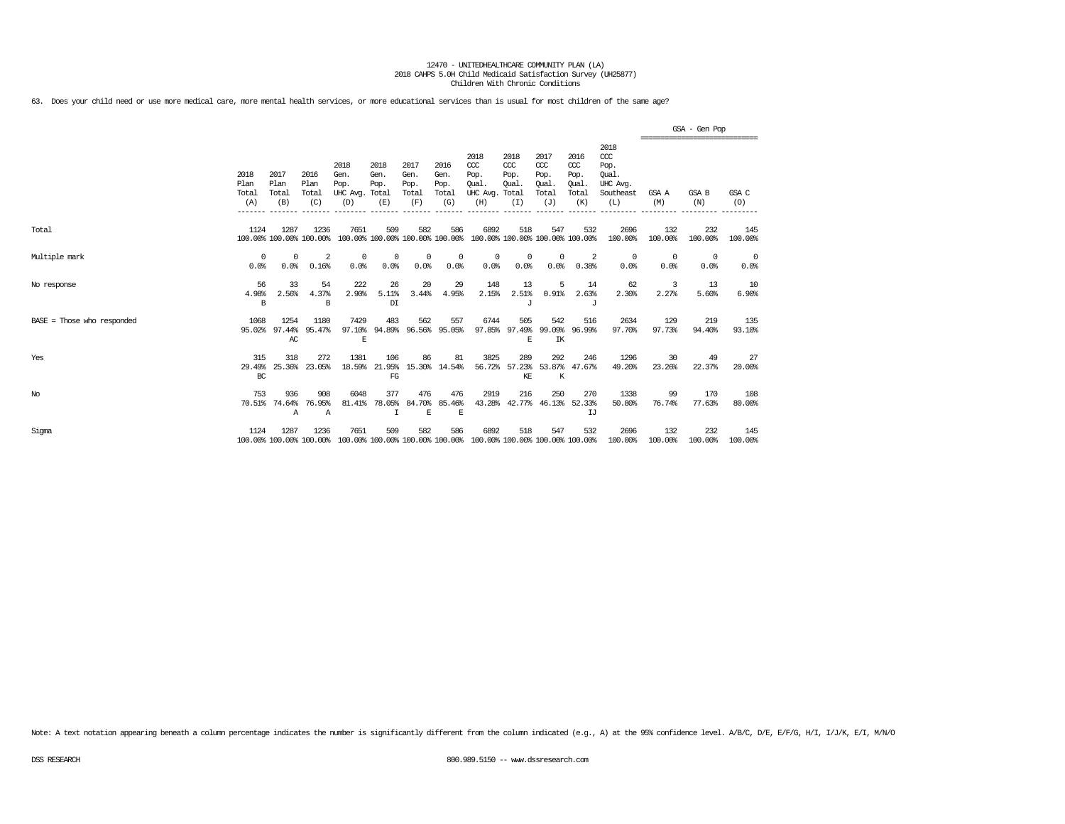63. Does your child need or use more medical care, more mental health services, or more educational services than is usual for most children of the same age?

|                            |                              |                              |                                 |                                         |                                        |                                      |                                      |                                                                                         |                                              |                                                   |                                                    |                                                                   |                        | GSA - Gen Pop                               |                        |
|----------------------------|------------------------------|------------------------------|---------------------------------|-----------------------------------------|----------------------------------------|--------------------------------------|--------------------------------------|-----------------------------------------------------------------------------------------|----------------------------------------------|---------------------------------------------------|----------------------------------------------------|-------------------------------------------------------------------|------------------------|---------------------------------------------|------------------------|
|                            | 2018<br>Plan<br>Total<br>(A) | 2017<br>Plan<br>Total<br>(B) | 2016<br>Plan<br>Total<br>(C)    | 2018<br>Gen.<br>Pop.<br>UHC Avg.<br>(D) | 2018<br>Gen.<br>Pop.<br>Total<br>(E)   | 2017<br>Gen.<br>Pop.<br>Total<br>(F) | 2016<br>Gen.<br>Pop.<br>Total<br>(G) | 2018<br>$CC$<br>Pop.<br>Oual.<br>UHC Avg.<br>(H)                                        | 2018<br>CCC<br>Pop.<br>Oual.<br>Total<br>(I) | 2017<br>$\alpha$<br>Pop.<br>Oual.<br>Total<br>(J) | 2016<br>ccc<br>Pop.<br><b>Oual</b><br>Total<br>(K) | 2018<br>$\alpha$<br>Pop.<br>Oual.<br>UHC Avg.<br>Southeast<br>(L) | GSA A<br>(M)           | ---------------------------<br>GSA B<br>(N) | GSA C<br>(O)           |
| Total                      | 1124                         | 1287                         | 1236<br>100.00% 100.00% 100.00% | 7651                                    | 509<br>100.00% 100.00% 100.00% 100.00% | 582                                  | 586                                  | 6892<br>100.00% 100.00% 100.00% 100.00%                                                 | 518                                          | 547                                               | 532                                                | 2696<br>100.00%                                                   | 132<br>100.00%         | 232<br>100.00%                              | 145<br>100.00%         |
| Multiple mark              | $^{\circ}$<br>0.0%           | $^{\circ}$<br>0.0%           | $\overline{2}$<br>0.16%         | $^{\circ}$<br>0.0%                      | $^{\circ}$<br>0.0%                     | $^{\circ}$<br>0.0%                   | $^{\circ}$<br>0.0%                   | $^{\circ}$<br>0.0%                                                                      | 0<br>0.0%                                    | $\mathbf{0}$<br>0.0%                              | -2<br>0.38%                                        | 0<br>0.0%                                                         | $\overline{0}$<br>0.0% | $^{\circ}$<br>0.0%                          | $\overline{0}$<br>0.0% |
| No response                | 56<br>4.98%<br>B             | 33<br>2.56%                  | 54<br>4.37%<br>B                | 222<br>2.90%                            | 26<br>5.11%<br>DI                      | 20<br>3.44%                          | 29<br>4.95%                          | 148<br>2.15%                                                                            | 13<br>2.51%<br>J                             | 5<br>0.91%                                        | 14<br>2.63%<br>J                                   | 62<br>2.30%                                                       | 3<br>2.27%             | 13<br>5.60%                                 | 10<br>6.90%            |
| BASE = Those who responded | 1068<br>95.02%               | 1254<br>97.44%<br>AC         | 1180<br>95.47%                  | 7429<br>97.10%<br>$\mathbf E$           | 483<br>94.89%                          | 562                                  | 557<br>96.56% 95.05%                 | 6744<br>97.85%                                                                          | 505<br>F.                                    | 542<br>97.49% 99.09%<br>IK                        | 516<br>96.99%                                      | 2634<br>97.70%                                                    | 129<br>97.73%          | 219<br>94.40%                               | 135<br>93.10%          |
| Yes                        | 315<br>29.49%<br>BC          | 318<br>25.36%                | 272<br>23.05%                   | 1381<br>18.59%                          | 106<br>21.95%<br>FG                    | 86                                   | 81<br>15.30% 14.54%                  | 3825<br>56.72%                                                                          | 289<br>57.23%<br>KE                          | 292<br>53.87%<br>K                                | 246<br>47.67%                                      | 1296<br>49.20%                                                    | 30<br>23.26%           | 49<br>22.37%                                | 27<br>20.00%           |
| $_{\mathrm{No}}$           | 753<br>70.51%                | 936<br>74.64%<br>Α           | 908<br>76.95%<br>$\overline{A}$ | 6048<br>81.41%                          | 377<br>78.05%                          | 476<br>84.70%<br>E                   | 476<br>85.46%<br>E                   | 2919<br>43.28%                                                                          | 216                                          | 250<br>42.77% 46.13%                              | 270<br>52.33%<br>IJ                                | 1338<br>50.80%                                                    | 99<br>76.74%           | 170<br>77.63%                               | 108<br>80.00%          |
| Sigma                      | 1124                         | 1287                         | 1236                            | 7651                                    | 509                                    | 582                                  | 586                                  | 6892<br>100.00% 100.00% 100.00% 100.00% 100.00% 100.00% 100.00% 100.00% 100.00% 100.00% | 518                                          | 547                                               | 532                                                | 2696<br>100.00%                                                   | 132<br>100.00%         | 232<br>100.00%                              | 145<br>100.00%         |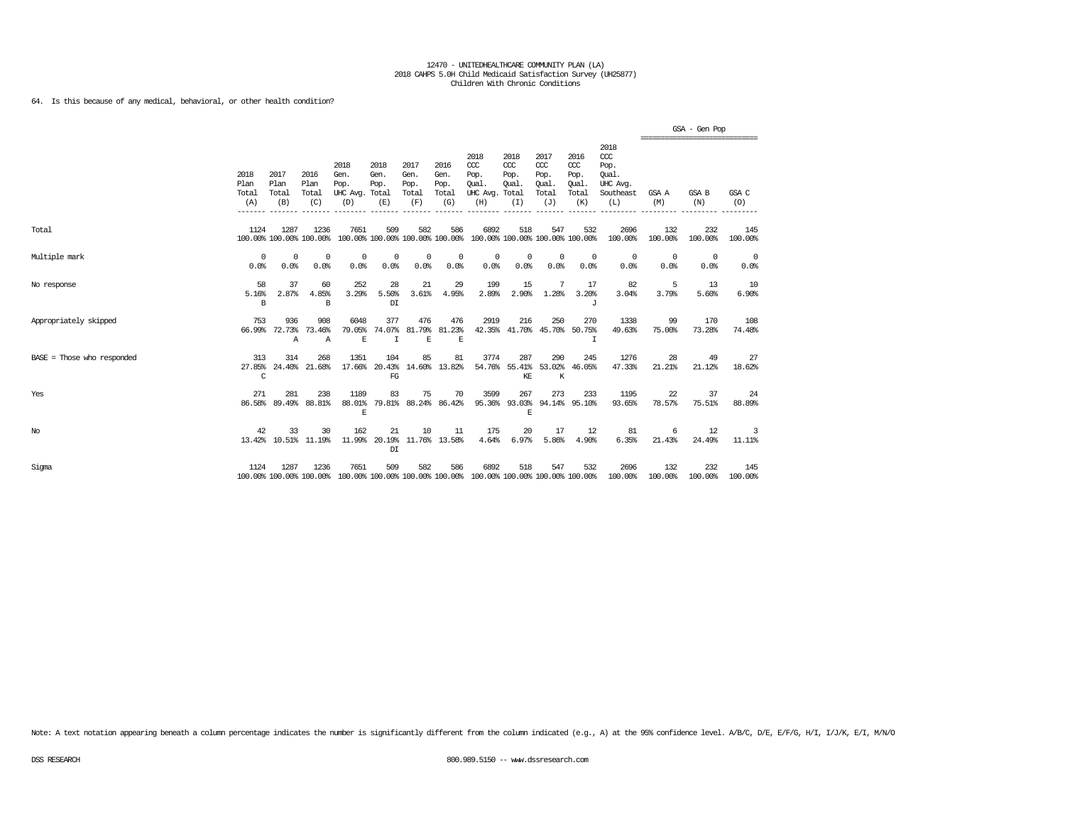### 64. Is this because of any medical, behavioral, or other health condition?

|                              |                                         |                               |                                 |                                               |                                        |                                      |                                      |                                                                         |                                              |                                                   |                                                    |                                                              |                                                 | GSA - Gen Pop      |                |
|------------------------------|-----------------------------------------|-------------------------------|---------------------------------|-----------------------------------------------|----------------------------------------|--------------------------------------|--------------------------------------|-------------------------------------------------------------------------|----------------------------------------------|---------------------------------------------------|----------------------------------------------------|--------------------------------------------------------------|-------------------------------------------------|--------------------|----------------|
|                              | 2018<br>Plan<br>Total<br>(A)<br>------- | 2017<br>Plan<br>Total<br>(B)  | 2016<br>Plan<br>Total<br>(C)    | 2018<br>Gen.<br>Pop.<br>UHC Avg. Total<br>(D) | 2018<br>Gen.<br>Pop.<br>(E)            | 2017<br>Gen.<br>Pop.<br>Total<br>(F) | 2016<br>Gen.<br>Pop.<br>Total<br>(G) | 2018<br>CCC<br>Pop.<br>Oual.<br>UHC Avg.<br>(H)                         | 2018<br>CCC<br>Pop.<br>Oual.<br>Total<br>(I) | 2017<br>$\alpha$<br>Pop.<br>Oual.<br>Total<br>(J) | 2016<br>ccc<br>Pop.<br>Oual.<br>Total<br>(K)       | 2018<br>ccc<br>Pop.<br>Oual.<br>UHC Avg.<br>Southeast<br>(L) | ===============================<br>GSA A<br>(M) | GSA B<br>(N)       | GSA C<br>(O)   |
| Total                        | 1124                                    | 1287                          | 1236<br>100.00% 100.00% 100.00% | 7651                                          | 509<br>100.00% 100.00% 100.00% 100.00% | 582                                  | 586                                  | 6892                                                                    | 518                                          | 547                                               | 532<br>100.00% 100.00% 100.00% 100.00%             | 2696<br>100.00%                                              | 132<br>100.00%                                  | 232<br>100.00%     | 145<br>100.00% |
| Multiple mark                | $\Omega$<br>0.0%                        | $^{\circ}$<br>0.0%            | $^{\circ}$<br>0.0%              | $^{\circ}$<br>0.0%                            | $\Omega$<br>0.0%                       | $^{\circ}$<br>0.0%                   | $\mathbf 0$<br>0.0%                  | $^{\circ}$<br>0.0%                                                      | $^{\circ}$<br>0.0%                           | $\mathbf{0}$<br>0.0%                              | 0<br>0.0%                                          | 0<br>0.0%                                                    | $^{\circ}$<br>0.0%                              | $^{\circ}$<br>0.0% | 0<br>0.0%      |
| No response                  | 58<br>5.16%<br>B                        | 37<br>2.87%                   | 60<br>4.85%<br>B                | 252<br>3.29%                                  | 28<br>5.50%<br>DI                      | 21<br>3.61%                          | 29<br>4.95%                          | 199<br>2.89%                                                            | 15<br>2.90%                                  | 7<br>1.28%                                        | 17<br>3.20%<br>J                                   | 82<br>3.04%                                                  | 5<br>3.79%                                      | 13<br>5.60%        | 10<br>6.90%    |
| Appropriately skipped        | 753<br>66.99%                           | 936<br>72.73%<br>$\mathbb{A}$ | 908<br>73.46%<br>$\mathbb{A}$   | 6048<br>79.05%<br>E                           | 377<br>74.07%<br>T                     | 476<br>81.79%<br>E                   | 476<br>81.23%<br>E                   | 2919                                                                    | 216                                          | 250                                               | 270<br>42.35% 41.70% 45.70% 50.75%<br>$\mathsf{T}$ | 1338<br>49.63%                                               | 99<br>75.00%                                    | 170<br>73.28%      | 108<br>74.48%  |
| $BASE = Those who responded$ | 313<br>27.85%<br>C                      | 314                           | 268<br>24.40% 21.68%            | 1351                                          | 104<br>17.66% 20.43%<br>FG             | 85                                   | 81<br>14.60% 13.82%                  | 3774                                                                    | 287<br>54.76% 55.41%<br>KE                   | 290<br>53.02%<br>K                                | 245<br>46.05%                                      | 1276<br>47.33%                                               | 28<br>21.21%                                    | 49<br>21.12%       | 27<br>18.62%   |
| Yes                          | 271<br>86.58%                           | 281<br>89.49%                 | 238<br>88.81%                   | 1189<br>88.01%<br>$\mathbf E$                 | 83                                     | 75                                   | 70<br>79.81% 88.24% 86.42%           | 3599                                                                    | 267<br>95.36% 93.03%<br>F.                   | 273                                               | 233<br>94.14% 95.10%                               | 1195<br>93.65%                                               | 22<br>78.57%                                    | 37<br>75.51%       | 24<br>88.89%   |
| No                           | 42                                      | 33                            | 30<br>13.42% 10.51% 11.19%      | 162<br>11.99%                                 | 21<br>20.19%<br>DI                     | 10                                   | 11<br>11.76% 13.58%                  | 175<br>4.64%                                                            | 20<br>6.97%                                  | 17<br>5.86%                                       | 12<br>4.90%                                        | 81<br>6.35%                                                  | 6<br>21.43%                                     | 12<br>24.49%       | 3<br>11.11%    |
| Sigma                        | 1124                                    | 1287                          | 1236<br>100.00% 100.00% 100.00% | 7651                                          | 509                                    | 582                                  | 586                                  | 6892<br>100.00% 100.00% 100.00% 100.00% 100.00% 100.00% 100.00% 100.00% | 518                                          | 547                                               | 532                                                | 2696<br>100.00%                                              | 132<br>100.00%                                  | 232<br>100.00%     | 145<br>100.00% |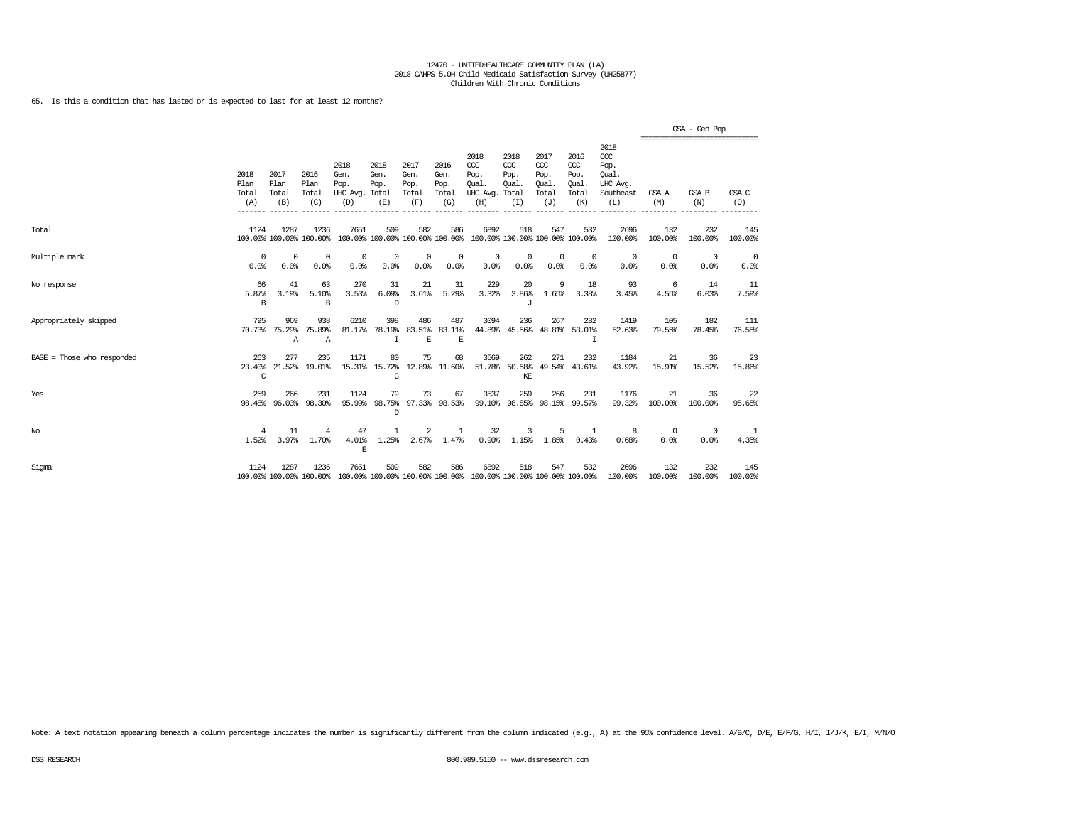65. Is this a condition that has lasted or is expected to last for at least 12 months?

|                              |                               |                              |                                 |                                                                                                 |                             |                                      |                                      |                                                                         |                                           |                                                   |                                                   |                                                                 | ================================ | GSA - Gen Pop      |                    |
|------------------------------|-------------------------------|------------------------------|---------------------------------|-------------------------------------------------------------------------------------------------|-----------------------------|--------------------------------------|--------------------------------------|-------------------------------------------------------------------------|-------------------------------------------|---------------------------------------------------|---------------------------------------------------|-----------------------------------------------------------------|----------------------------------|--------------------|--------------------|
|                              | 2018<br>Plan<br>Total<br>(A)  | 2017<br>Plan<br>Total<br>(B) | 2016<br>Plan<br>Total<br>(C)    | 2018<br>Gen.<br>Pop.<br>UHC Avg. Total<br>(D)                                                   | 2018<br>Gen.<br>Pop.<br>(E) | 2017<br>Gen.<br>Pop.<br>Total<br>(F) | 2016<br>Gen.<br>Pop.<br>Total<br>(G) | 2018<br>CCC<br>Pop.<br>Oual.<br>UHC Avg. Total<br>(H)                   | 2018<br>CCC<br>Pop.<br>Oual.<br>(I)       | 2017<br>$\alpha$<br>Pop.<br>Oual.<br>Total<br>(J) | 2016<br>$\alpha$<br>Pop.<br>Oual.<br>Total<br>(K) | 2018<br>$\csc$<br>Pop.<br>Oual.<br>UHC Avg.<br>Southeast<br>(L) | GSA A<br>(M)                     | GSA B<br>(N)       | GSA C<br>(0)       |
| Total                        | 1124                          | 1287                         | 1236<br>100.00% 100.00% 100.00% | 7651                                                                                            | 509                         | 582                                  | 586                                  | 6892<br>100.00% 100.00% 100.00% 100.00% 100.00% 100.00% 100.00% 100.00% | 518                                       | 547                                               | 532                                               | 2696<br>100.00%                                                 | 132<br>100.00%                   | 232<br>100.00%     | 145<br>100.00%     |
| Multiple mark                | 0<br>0.0%                     | 0<br>0.0%                    | $^{\circ}$<br>0.0%              | 0<br>0.0%                                                                                       | 0<br>0.0%                   | 0<br>0.0%                            | 0<br>0.0%                            | $^{\circ}$<br>0.0%                                                      | 0<br>0.0%                                 | $^{\circ}$<br>0.0%                                | $^{\circ}$<br>0.0%                                | $^{\circ}$<br>0.0%                                              | $^{\circ}$<br>0.0%               | $^{\circ}$<br>0.0% | $^{\circ}$<br>0.0% |
| No response                  | 66<br>5.87%<br>B <sub>1</sub> | 41<br>3.19%                  | 63<br>5.10%<br>B                | 270<br>3.53%                                                                                    | 31<br>6.09%<br>D.           | 21<br>3.61%                          | 31<br>5.29%                          | 229<br>3.32%                                                            | 20<br>3.86%<br>J                          | 9<br>1.65%                                        | 18<br>3.38%                                       | 93<br>3.45%                                                     | 6<br>4.55%                       | 14<br>6.03%        | -11<br>7.59%       |
| Appropriately skipped        | 795                           | 969<br>70.73% 75.29%<br>A    | 938<br>75.89%<br>$\overline{A}$ | 6210                                                                                            | 398<br>81.17% 78.19%<br>т   | 486<br>E                             | 487<br>83.51% 83.11%<br>$\mathbf E$  | 3094                                                                    | 236<br>44.89% 45.56% 48.81% 53.01%        | 267                                               | 282<br>т                                          | 1419<br>52.63%                                                  | 105<br>79.55%                    | 182<br>78.45%      | 111<br>76.55%      |
| $BASE = Those who responded$ | 263<br>23.40%<br>C            | 277                          | 235<br>21.52% 19.01%            | 1171                                                                                            | 80<br>15.31% 15.72%<br>G    | 75                                   | 68<br>12.89% 11.60%                  | 3569                                                                    | 262<br>51.78% 50.58% 49.54% 43.61%<br>KF. | 271                                               | 232                                               | 1184<br>43.92%                                                  | 21<br>15.91%                     | 36<br>15.52%       | 23<br>15.86%       |
| Yes                          | 259<br>98.48%                 | 266                          | 231<br>96.03% 98.30%            | 1124<br>95.99%                                                                                  | 79<br><sup>D</sup>          | 73                                   | 67<br>98.75% 97.33% 98.53%           | 3537                                                                    | 259<br>99.10% 98.85% 98.15% 99.57%        | 266                                               | 231                                               | 1176<br>99.32%                                                  | 21<br>100.00%                    | 36<br>100.00%      | 22<br>95.65%       |
| No                           | 4<br>1.52%                    | 11<br>3.97%                  | $\overline{4}$<br>1.70%         | 47<br>4.01%<br>E                                                                                | 1<br>1.25%                  | 2<br>2.67%                           | -1<br>1.47%                          | 32<br>0.90%                                                             | 3<br>1.15%                                | 5<br>1.85%                                        | $\overline{1}$<br>0.43%                           | -8<br>0.68%                                                     | $^{\circ}$<br>0.0%               | $^{\circ}$<br>0.0% | -1<br>4.35%        |
| Sigma                        | 1124                          | 1287                         | 1236                            | 7651<br>100.00% 100.00% 100.00% 100.00% 100.00% 100.00% 100.00% 100.00% 100.00% 100.00% 100.00% | 509                         | 582                                  | 586                                  | 6892                                                                    | 518                                       | 547                                               | 532                                               | 2696<br>100.00%                                                 | 132<br>100.00%                   | 232<br>100.00%     | 145<br>100.00%     |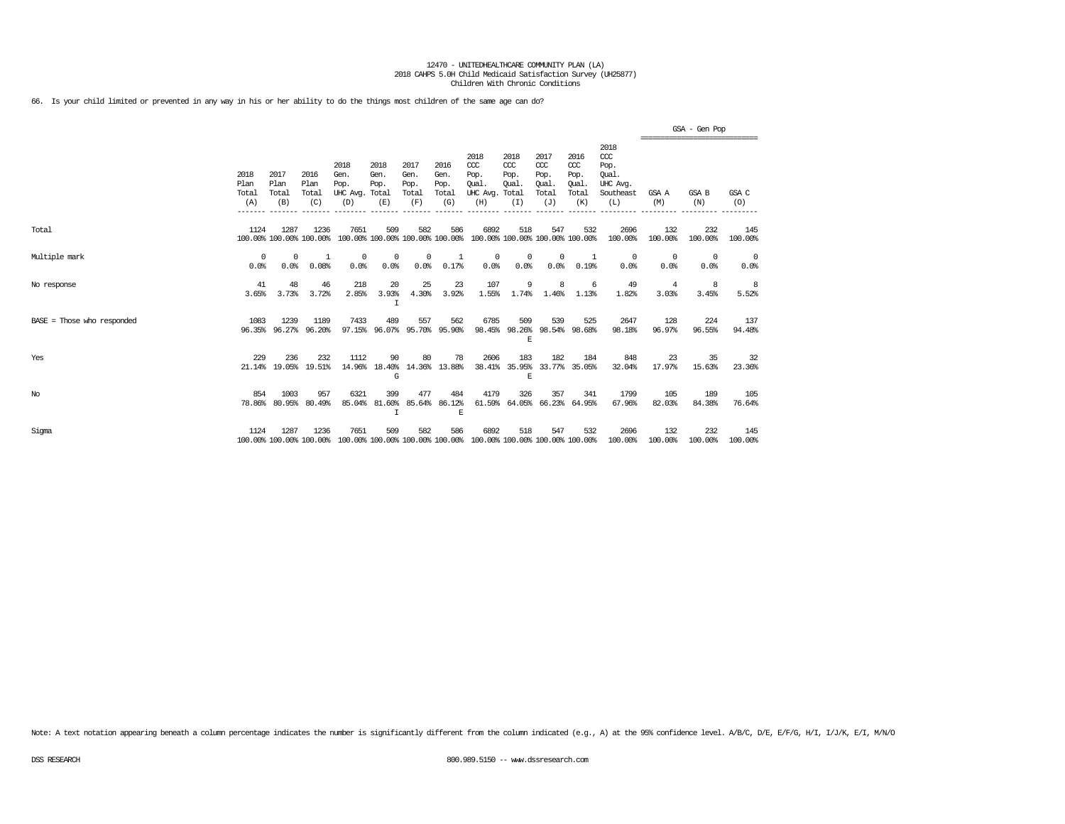66. Is your child limited or prevented in any way in his or her ability to do the things most children of the same age can do?

|                              |                              |                                 |                              |                                         |                                        |                                      |                                      |                                                                         |                                     |                                              |                                              |                                                                   |                                                 | GSA - Gen Pop          |                    |
|------------------------------|------------------------------|---------------------------------|------------------------------|-----------------------------------------|----------------------------------------|--------------------------------------|--------------------------------------|-------------------------------------------------------------------------|-------------------------------------|----------------------------------------------|----------------------------------------------|-------------------------------------------------------------------|-------------------------------------------------|------------------------|--------------------|
|                              | 2018<br>Plan<br>Total<br>(A) | 2017<br>Plan<br>Total<br>(B)    | 2016<br>Plan<br>Total<br>(C) | 2018<br>Gen.<br>Pop.<br>UHC Avg.<br>(D) | 2018<br>Gen.<br>Pop.<br>Total<br>(E)   | 2017<br>Gen.<br>Pop.<br>Total<br>(F) | 2016<br>Gen.<br>Pop.<br>Total<br>(G) | 2018<br>CCC<br>Pop.<br>Oual.<br>UHC Avg. Total<br>(H)                   | 2018<br>CCC<br>Pop.<br>Oual.<br>(I) | 2017<br>ccc<br>Pop.<br>Oual.<br>Total<br>(J) | 2016<br>ccc<br>Pop.<br>Oual.<br>Total<br>(K) | 2018<br>$\alpha$<br>Pop.<br>Oual.<br>UHC Avg.<br>Southeast<br>(L) | -------------------------------<br>GSA A<br>(M) | GSA B<br>(N)           | GSA C<br>(0)       |
| Total                        | 1124                         | 1287<br>100.00% 100.00% 100.00% | 1236                         | 7651                                    | 509<br>100.00% 100.00% 100.00% 100.00% | 582                                  | 586                                  | 6892<br>100.00% 100.00% 100.00% 100.00%                                 | 518                                 | 547                                          | 532                                          | 2696<br>100.00%                                                   | 132<br>100.00%                                  | 232<br>100.00%         | 145<br>100.00%     |
| Multiple mark                | $\Omega$<br>0.0%             | $\Omega$<br>0.0%                | -1<br>0.08%                  | $^{\circ}$<br>0.0%                      | $^{\circ}$<br>0.0%                     | $^{\circ}$<br>0.0%                   | 1<br>0.17%                           | $^{\circ}$<br>0.0%                                                      | $^{\circ}$<br>0.0%                  | $^{\circ}$<br>0.0%                           | -1<br>0.19%                                  | 0<br>0.0%                                                         | $^{\circ}$<br>0.0%                              | $\overline{0}$<br>0.0% | $^{\circ}$<br>0.0% |
| No response                  | 41<br>3.65%                  | 48<br>3.73%                     | 46<br>3.72%                  | 218<br>2.85%                            | 20<br>3.93%<br>I                       | 25<br>4.30%                          | 23<br>3.92%                          | 107<br>1.55%                                                            | 9<br>1.74%                          | 8<br>1.46%                                   | 6<br>1.13%                                   | 49<br>1.82%                                                       | 4<br>3.03%                                      | 8<br>3.45%             | 8<br>5.52%         |
| $BASE = Those who responded$ | 1083                         | 1239<br>96.35% 96.27%           | 1189<br>96.20%               | 7433                                    | 489<br>97.15% 96.07% 95.70% 95.90%     | 557                                  | 562                                  | 6785<br>98.45%                                                          | 509<br>E                            | 539                                          | 525<br>98.26% 98.54% 98.68%                  | 2647<br>98.18%                                                    | 128<br>96.97%                                   | 224<br>96.55%          | 137<br>94.48%      |
| Yes                          | 229<br>21.14%                | 236<br>19.05%                   | 232<br>19.51%                | 1112                                    | 90<br>14.96% 18.40%<br>G               | 80                                   | 78<br>14.36% 13.88%                  | 2606<br>38.41%                                                          | 183<br>35.95%<br>E                  | 182                                          | 184<br>33.77% 35.05%                         | 848<br>32.04%                                                     | 23<br>17.97%                                    | 35<br>15.63%           | 32<br>23.36%       |
| $_{\mathrm{No}}$             | 854                          | 1003<br>78.86% 80.95%           | 957<br>80.49%                | 6321<br>85.04%                          | 399<br>81.60%<br>T                     | 477                                  | 484<br>85.64% 86.12%<br>E            | 4179                                                                    | 326                                 | 357                                          | 341<br>61.59% 64.05% 66.23% 64.95%           | 1799<br>67.96%                                                    | 105<br>82.03%                                   | 189<br>84.38%          | 105<br>76.64%      |
| Sigma                        | 1124                         | 1287<br>100.00% 100.00% 100.00% | 1236                         | 7651                                    | 509                                    | 582                                  | 586                                  | 6892<br>100.00% 100.00% 100.00% 100.00% 100.00% 100.00% 100.00% 100.00% | 518                                 | 547                                          | 532                                          | 2696<br>100.00%                                                   | 132<br>100.00%                                  | 232<br>100.00%         | 145<br>100.00%     |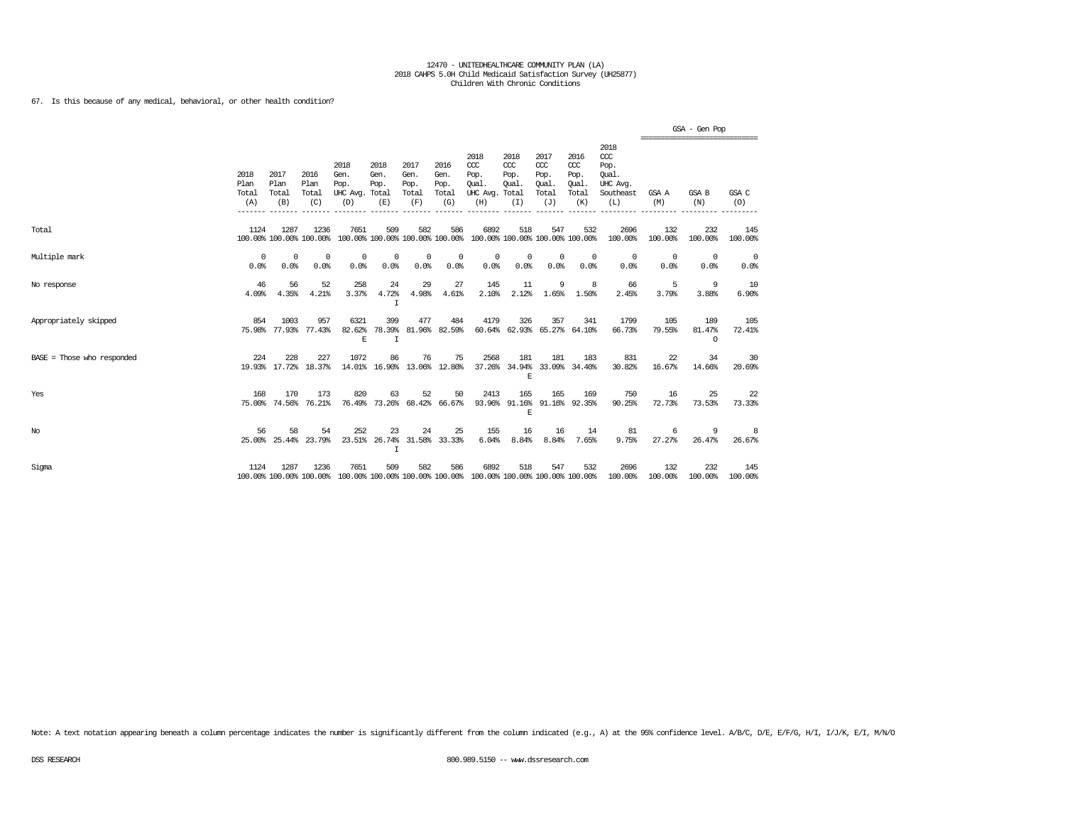### 67. Is this because of any medical, behavioral, or other health condition?

|                              |                              |                              |                                 |                                                                                         |                                        |                                      |                                      |                                                 |                                              |                                                   |                                              |                                                              |                    | GSA - Gen Pop                                    |                |
|------------------------------|------------------------------|------------------------------|---------------------------------|-----------------------------------------------------------------------------------------|----------------------------------------|--------------------------------------|--------------------------------------|-------------------------------------------------|----------------------------------------------|---------------------------------------------------|----------------------------------------------|--------------------------------------------------------------|--------------------|--------------------------------------------------|----------------|
|                              | 2018<br>Plan<br>Total<br>(A) | 2017<br>Plan<br>Total<br>(B) | 2016<br>Plan<br>Total<br>(C)    | 2018<br>Gen.<br>Pop.<br>UHC Avg. Total<br>(D)                                           | 2018<br>Gen.<br>Pop.<br>(E)            | 2017<br>Gen.<br>Pop.<br>Total<br>(F) | 2016<br>Gen.<br>Pop.<br>Total<br>(G) | 2018<br>CCC<br>Pop.<br>Oual.<br>UHC Avg.<br>(H) | 2018<br>ccc<br>Pop.<br>Oual.<br>Total<br>(I) | 2017<br>$\alpha$<br>Pop.<br>Qual.<br>Total<br>(J) | 2016<br>ccc<br>Pop.<br>Qual.<br>Total<br>(K) | 2018<br>ccc<br>Pop.<br>Oual.<br>UHC Avg.<br>Southeast<br>(L) | GSA A<br>(M)       | ================================<br>GSA B<br>(N) | GSA C<br>(O)   |
| Total                        | 1124                         | 1287                         | 1236<br>100.00% 100.00% 100.00% | 7651                                                                                    | 509<br>100.00% 100.00% 100.00% 100.00% | 582                                  | 586                                  | 6892<br>100.00% 100.00% 100.00% 100.00%         | 518                                          | 547                                               | 532                                          | 2696<br>100.00%                                              | 132<br>100.00%     | 232<br>100.00%                                   | 145<br>100.00% |
| Multiple mark                | 0<br>0.0%                    | $\Omega$<br>0.0%             | 0<br>0.0%                       | 0<br>0.0%                                                                               | $\Omega$<br>0.0%                       | $\Omega$<br>0.0%                     | 0<br>0.0%                            | 0<br>0.0%                                       | 0<br>0.0%                                    | $^{\circ}$<br>0.0%                                | $\Omega$<br>0.0%                             | 0<br>0.0%                                                    | $^{\circ}$<br>0.0% | $\Omega$<br>0.0%                                 | 0<br>0.0%      |
| No response                  | 46<br>4.09%                  | 56<br>4.35%                  | 52<br>4.21%                     | 258<br>3.37%                                                                            | 24<br>4.72%<br>I                       | 29<br>4.98%                          | 27<br>4.61%                          | 145<br>2.10%                                    | 11<br>2.12%                                  | 9<br>1.65%                                        | 8<br>1.50%                                   | 66<br>2.45%                                                  | 5<br>3.79%         | 9<br>3.88%                                       | 10<br>6.90%    |
| Appropriately skipped        | 854<br>75.98%                | 1003                         | 957<br>77.93% 77.43%            | 6321<br>82.62%<br>E                                                                     | 399<br>78.39%<br>I                     | 477                                  | 484<br>81.96% 82.59%                 | 4179                                            | 326                                          | 357                                               | 341<br>60.64% 62.93% 65.27% 64.10%           | 1799<br>66.73%                                               | 105<br>79.55%      | 189<br>81.47%<br>$\Omega$                        | 105<br>72.41%  |
| $BASE = Those who responded$ | 224                          | 228<br>19.93% 17.72%         | 227<br>18.37%                   | 1072                                                                                    | 86<br>14.01% 16.90% 13.06% 12.80%      | 76                                   | 75                                   | 2568                                            | 181<br>37.26% 34.94%<br>E                    | 181                                               | 183<br>33.09% 34.40%                         | 831<br>30.82%                                                | 22<br>16.67%       | 34<br>14.66%                                     | 30<br>20.69%   |
| Yes                          | 168<br>75.00%                | 170<br>74.56%                | 173<br>76.21%                   | 820                                                                                     | 63<br>76.49% 73.26% 68.42% 66.67%      | 52                                   | 50                                   | 2413                                            | 165<br>F.                                    | 165                                               | 169<br>93.96% 91.16% 91.16% 92.35%           | 750<br>90.25%                                                | 16<br>72.73%       | 25<br>73.53%                                     | 22<br>73.33%   |
| No                           | 56                           | 58                           | 54<br>25.00% 25.44% 23.79%      | 252<br>23.51%                                                                           | 23<br>26.74%<br>I                      | 24                                   | 25<br>31.58% 33.33%                  | 155<br>6.04%                                    | 16<br>8.84%                                  | 16<br>8.84%                                       | 14<br>7.65%                                  | 81<br>9.75%                                                  | 6<br>27.27%        | 26.47%                                           | 8<br>26.67%    |
| Sigma                        | 1124                         | 1287                         | 1236                            | 7651<br>100.00% 100.00% 100.00% 100.00% 100.00% 100.00% 100.00% 100.00% 100.00% 100.00% | 509                                    | 582                                  | 586                                  | 6892                                            | 518                                          | 547                                               | 532                                          | 2696<br>100.00%                                              | 132<br>100.00%     | 232<br>100.00%                                   | 145<br>100.00% |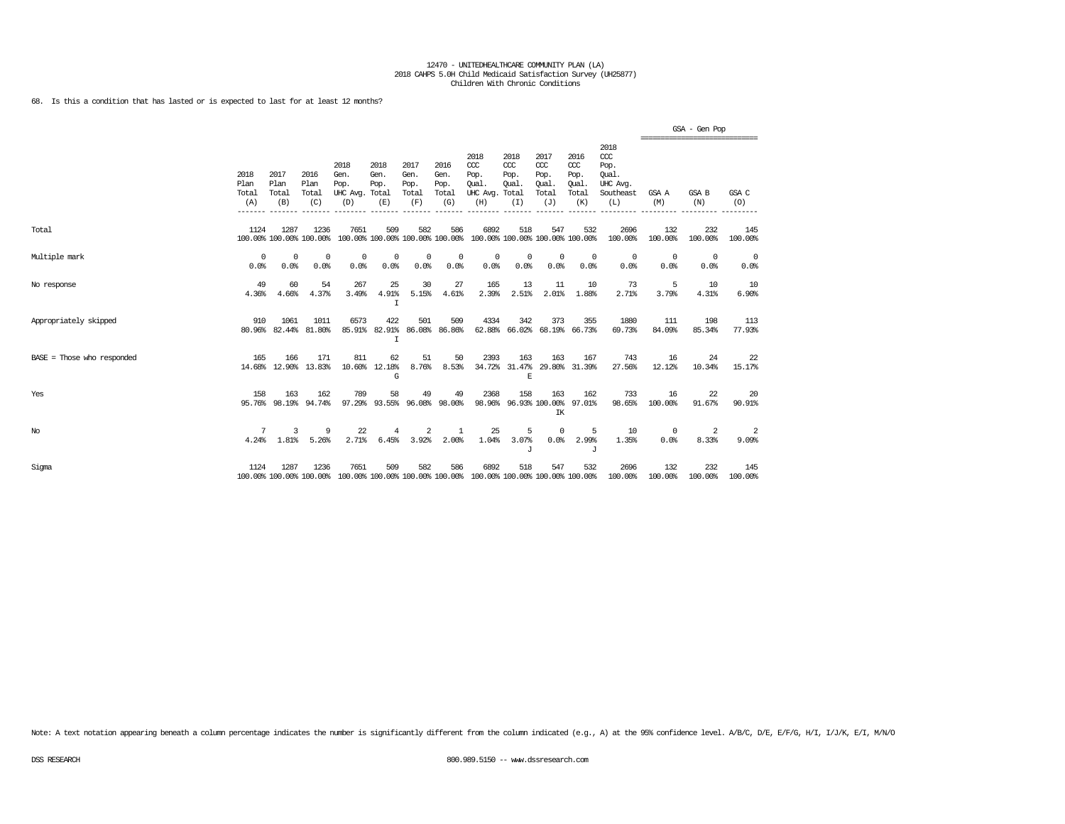68. Is this a condition that has lasted or is expected to last for at least 12 months?

|                            |                              |                              |                                 |                                                                                                 |                                   |                                      |                                      |                                                                         |                                     |                                                   |                                              |                                                                   | ================================ | GSA - Gen Pop      |                    |
|----------------------------|------------------------------|------------------------------|---------------------------------|-------------------------------------------------------------------------------------------------|-----------------------------------|--------------------------------------|--------------------------------------|-------------------------------------------------------------------------|-------------------------------------|---------------------------------------------------|----------------------------------------------|-------------------------------------------------------------------|----------------------------------|--------------------|--------------------|
|                            | 2018<br>Plan<br>Total<br>(A) | 2017<br>Plan<br>Total<br>(B) | 2016<br>Plan<br>Total<br>(C)    | 2018<br>Gen.<br>Pop.<br>UHC Avg. Total<br>(D)                                                   | 2018<br>Gen.<br>Pop.<br>(E)       | 2017<br>Gen.<br>Pop.<br>Total<br>(F) | 2016<br>Gen.<br>Pop.<br>Total<br>(G) | 2018<br>CCC<br>Pop.<br>Oual.<br>UHC Avg. Total<br>(H)                   | 2018<br>ccc<br>Pop.<br>Qual.<br>(I) | 2017<br>$\alpha$<br>Pop.<br>Oual.<br>Total<br>(J) | 2016<br>ccc<br>Pop.<br>Qual.<br>Total<br>(K) | 2018<br>$\alpha$<br>Pop.<br>Oual.<br>UHC Avg.<br>Southeast<br>(L) | GSA A<br>(M)                     | GSA B<br>(N)       | GSA C<br>(O)       |
| Total                      | 1124                         | 1287                         | 1236<br>100.00% 100.00% 100.00% | 7651                                                                                            | 509                               | 582                                  | 586                                  | 6892<br>100.00% 100.00% 100.00% 100.00% 100.00% 100.00% 100.00% 100.00% | 518                                 | 547                                               | 532                                          | 2696<br>100.00%                                                   | 132<br>100.00%                   | 232<br>100.00%     | 145<br>100.00%     |
| Multiple mark              | $\Omega$<br>0.0%             | $\Omega$<br>0.0%             | 0<br>0.0%                       | 0<br>0.0%                                                                                       | 0<br>0.0%                         | $^{\circ}$<br>0.0%                   | 0<br>0.0%                            | $^{\circ}$<br>0.0%                                                      | 0<br>0.0%                           | $^{\circ}$<br>0.0%                                | $^{\circ}$<br>0.0%                           | $^{\circ}$<br>0.0%                                                | $^{\circ}$<br>0.0%               | $^{\circ}$<br>0.0% | $^{\circ}$<br>0.0% |
| No response                | 49<br>4.36%                  | 60<br>4.66%                  | 54<br>4.37%                     | 267<br>3.49%                                                                                    | 25<br>4.91%<br>I                  | 30<br>5.15%                          | 27<br>4.61%                          | 165<br>2.39%                                                            | 13<br>2.51%                         | 11<br>2.01%                                       | 10<br>1.88%                                  | -73<br>2.71%                                                      | 5<br>3.79%                       | 10<br>4.31%        | 10<br>6.90%        |
| Appropriately skipped      | 910                          | 1061<br>80.96% 82.44%        | 1011<br>81.80%                  | 6573<br>85.91%                                                                                  | 422<br>82.91%<br>$\mathsf{T}$     | 501                                  | 509<br>86.08% 86.86%                 | 4334                                                                    | 342                                 | 373                                               | 355<br>62.88% 66.02% 68.19% 66.73%           | 1880<br>69.73%                                                    | 111<br>84.09%                    | 198<br>85.34%      | 113<br>77.93%      |
| BASE = Those who responded | 165                          | 166                          | 171<br>14.68% 12.90% 13.83%     | 811                                                                                             | 62<br>10.60% 12.18%<br>G          | 51<br>8.76%                          | 50<br>8.53%                          | 2393                                                                    | 163<br>E                            | 163                                               | 167<br>34.72% 31.47% 29.80% 31.39%           | 743<br>27.56%                                                     | 16<br>12.12%                     | 24<br>10.34%       | 22<br>15.17%       |
| Yes                        | 158                          | 163<br>95.76% 98.19%         | 162<br>94.74%                   | 789                                                                                             | 58<br>97.29% 93.55% 96.08% 98.00% | 49                                   | 49                                   | 2368                                                                    | 158                                 | 163<br>IK                                         | 162<br>98.96% 96.93% 100.00% 97.01%          | 733<br>98.65%                                                     | 16<br>100.00%                    | 22<br>91.67%       | -20<br>90.91%      |
| $_{\mathrm{No}}$           | 7<br>4.24%                   | 3<br>$1.81\%$                | 9<br>5.26%                      | 22<br>2.71%                                                                                     | 4<br>6.45%                        | 2<br>3.92%                           | 1<br>2.00%                           | 25<br>1.04%                                                             | 5<br>3.07%<br>J                     | $^{\circ}$<br>0.0%                                | 5<br>2.99%<br>J                              | 10<br>1.35%                                                       | $\circ$<br>0.0%                  | 2<br>8.33%         | -2<br>9.09%        |
| Sigma                      | 1124                         | 1287                         | 1236                            | 7651<br>100.00% 100.00% 100.00% 100.00% 100.00% 100.00% 100.00% 100.00% 100.00% 100.00% 100.00% | 509                               | 582                                  | 586                                  | 6892                                                                    | 518                                 | 547                                               | 532                                          | 2696<br>100.00%                                                   | 132<br>100.00%                   | 232<br>100.00%     | 145<br>100.00%     |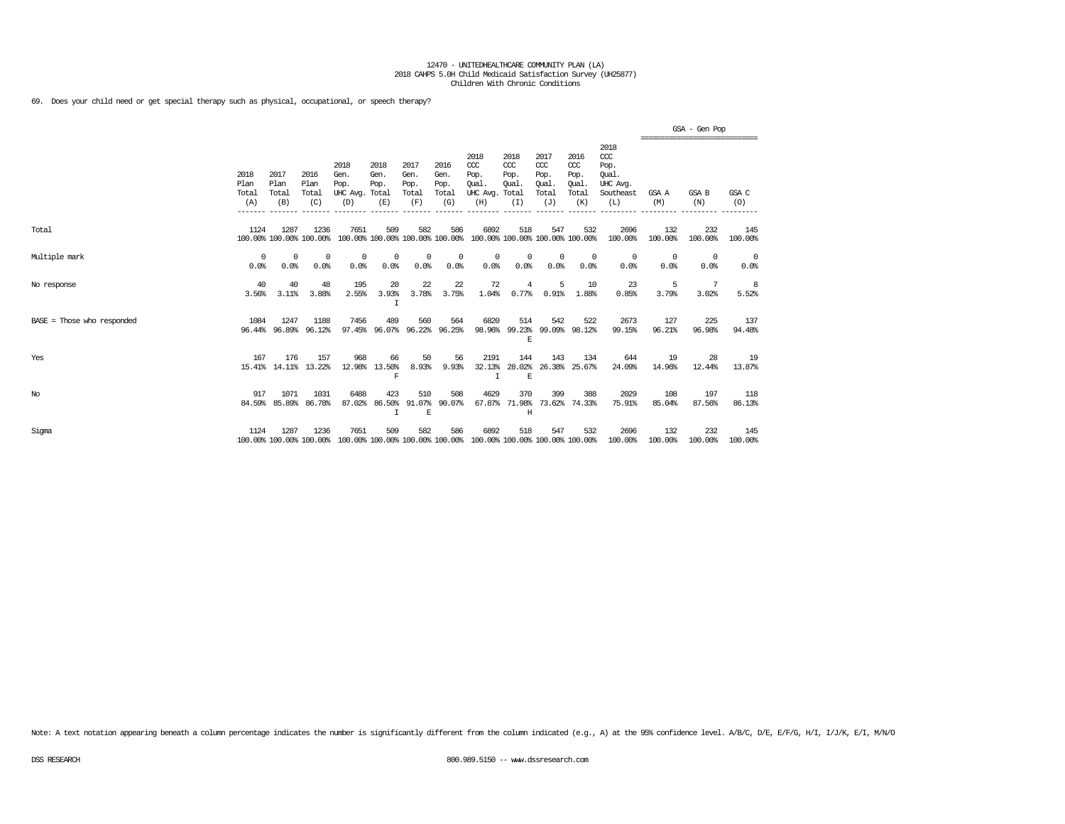69. Does your child need or get special therapy such as physical, occupational, or speech therapy?

|                            |                              |                              |                                 |                                         |                                        |                                      |                                      |                                                                                         |                                              |                                              |                                              |                                                                   |                | GSA - Gen Pop<br>--------------------------- |                |
|----------------------------|------------------------------|------------------------------|---------------------------------|-----------------------------------------|----------------------------------------|--------------------------------------|--------------------------------------|-----------------------------------------------------------------------------------------|----------------------------------------------|----------------------------------------------|----------------------------------------------|-------------------------------------------------------------------|----------------|----------------------------------------------|----------------|
|                            | 2018<br>Plan<br>Total<br>(A) | 2017<br>Plan<br>Total<br>(B) | 2016<br>Plan<br>Total<br>(C)    | 2018<br>Gen.<br>Pop.<br>UHC Avg.<br>(D) | 2018<br>Gen.<br>Pop.<br>Total<br>(E)   | 2017<br>Gen.<br>Pop.<br>Total<br>(F) | 2016<br>Gen.<br>Pop.<br>Total<br>(G) | 2018<br>$CC$<br>Pop.<br>Oual.<br>UHC Avg.<br>(H)                                        | 2018<br>ccc<br>Pop.<br>Oual.<br>Total<br>(I) | 2017<br>ccc<br>Pop.<br>Oual.<br>Total<br>(J) | 2016<br>ccc<br>Pop.<br>Oual.<br>Total<br>(K) | 2018<br>$\alpha$<br>Pop.<br>Oual.<br>UHC Avg.<br>Southeast<br>(L) | GSA A<br>(M)   | <b>GSA B</b><br>(N)                          | GSA C<br>(0)   |
| Total                      | 1124                         | 1287                         | 1236<br>100.00% 100.00% 100.00% | 7651                                    | 509<br>100.00% 100.00% 100.00% 100.00% | 582                                  | 586                                  | 6892<br>100.00% 100.00% 100.00% 100.00%                                                 | 518                                          | 547                                          | 532                                          | 2696<br>100.00%                                                   | 132<br>100.00% | 232<br>100.00%                               | 145<br>100.00% |
| Multiple mark              | 0<br>0.0%                    | $^{\circ}$<br>0.0%           | $^{\circ}$<br>0.0%              | $^{\circ}$<br>0.0%                      | 0<br>0.0%                              | $\circ$<br>0.0%                      | 0<br>0.0%                            | 0<br>0.0%                                                                               | $^{\circ}$<br>0.0%                           | 0<br>0.0%                                    | $^{\circ}$<br>0.0%                           | $^{\circ}$<br>0.0%                                                | 0<br>0.0%      | $^{\circ}$<br>0.0%                           | 0<br>0.0%      |
| No response                | 40<br>3.56%                  | 40<br>3.11%                  | 48<br>3.88%                     | 195<br>2.55%                            | 20<br>3.93%<br>Ι                       | 22<br>3.78%                          | 22<br>3.75%                          | 72<br>1.04%                                                                             | 4<br>0.77%                                   | 5<br>0.91%                                   | 10<br>1.88%                                  | 23<br>0.85%                                                       | -5<br>3.79%    | 7<br>3.02%                                   | -8<br>5.52%    |
| BASE = Those who responded | 1084                         | 1247<br>96.44% 96.89%        | 1188<br>96.12%                  | 7456<br>97.45%                          | 489<br>96.07%                          | 560                                  | 564<br>96.22% 96.25%                 | 6820<br>98.96%                                                                          | 514<br>E                                     | 542                                          | 522<br>99.23% 99.09% 98.12%                  | 2673<br>99.15%                                                    | 127<br>96.21%  | 225<br>96.98%                                | 137<br>94.48%  |
| Yes                        | 167                          | 176<br>15.41% 14.11% 13.22%  | 157                             | 968<br>12.98%                           | 66<br>13.50%<br>F                      | 50<br>8.93%                          | 56<br>9.93%                          | 2191<br>32.13%<br>$\top$                                                                | 144<br>28.02%<br>E                           | 143<br>26.38%                                | 134<br>25.67%                                | 644<br>24.09%                                                     | 19<br>14.96%   | 28<br>12.44%                                 | 19<br>13.87%   |
| $_{\mathrm{No}}$           | 917                          | 1071<br>84.59% 85.89%        | 1031<br>86.78%                  | 6488<br>87.02%                          | 423<br>86.50%<br>$\mathbf I$           | 510<br>91.07%<br>$\mathbf E$         | 508<br>90.07%                        | 4629<br>67.87%                                                                          | 370<br>71.98%<br>H                           | 399                                          | 388<br>73.62% 74.33%                         | 2029<br>75.91%                                                    | 108<br>85.04%  | 197<br>87.56%                                | 118<br>86.13%  |
| Sigma                      | 1124                         | 1287                         | 1236                            | 7651                                    | 509                                    | 582                                  | 586                                  | 6892<br>100.00% 100.00% 100.00% 100.00% 100.00% 100.00% 100.00% 100.00% 100.00% 100.00% | 518                                          | 547                                          | 532                                          | 2696<br>100.00%                                                   | 132<br>100.00% | 232<br>100.00%                               | 145<br>100.00% |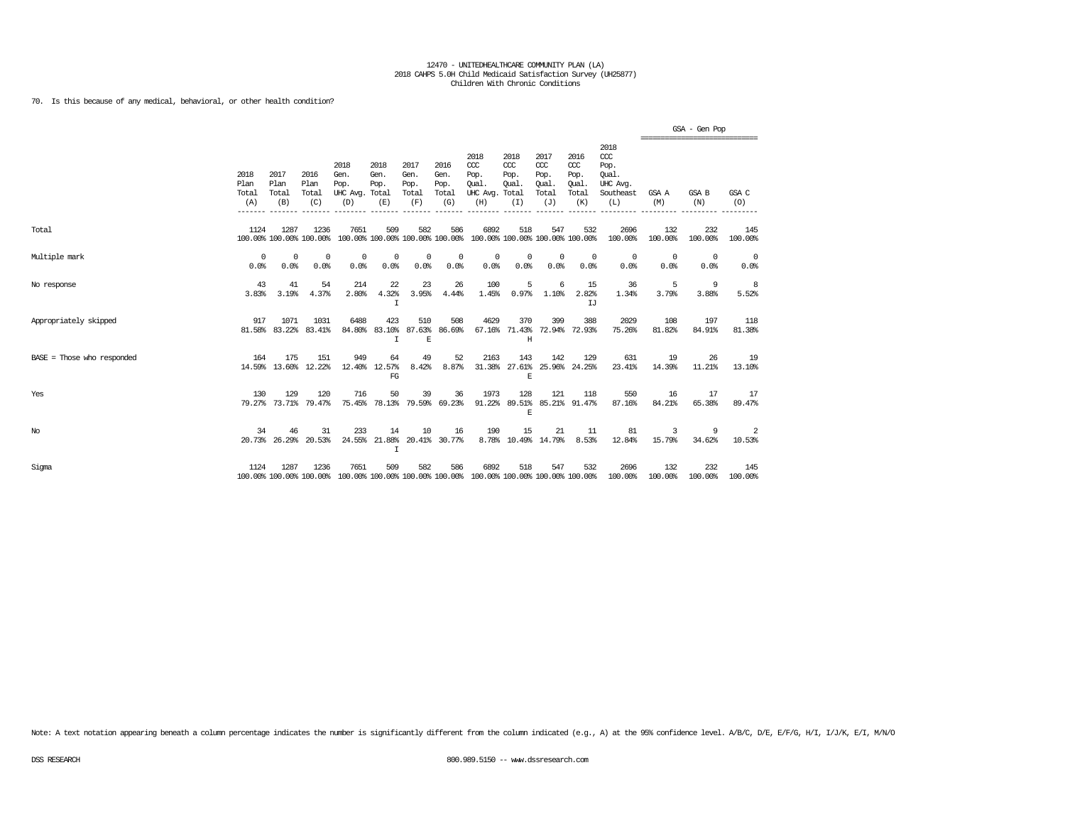70. Is this because of any medical, behavioral, or other health condition?

|                            |                              |                              |                              |                                                                                                 |                                              |                                      |                                      |                                                 |                                              |                                              |                                              |                                                              | ================================ | GSA - Gen Pop      |                         |
|----------------------------|------------------------------|------------------------------|------------------------------|-------------------------------------------------------------------------------------------------|----------------------------------------------|--------------------------------------|--------------------------------------|-------------------------------------------------|----------------------------------------------|----------------------------------------------|----------------------------------------------|--------------------------------------------------------------|----------------------------------|--------------------|-------------------------|
|                            | 2018<br>Plan<br>Total<br>(A) | 2017<br>Plan<br>Total<br>(B) | 2016<br>Plan<br>Total<br>(C) | 2018<br>Gen.<br>Pop.<br>UHC Avg. Total<br>(D)                                                   | 2018<br>Gen.<br>Pop.<br>(E)                  | 2017<br>Gen.<br>Pop.<br>Total<br>(F) | 2016<br>Gen.<br>Pop.<br>Total<br>(G) | 2018<br>CCC<br>Pop.<br>Oual.<br>UHC Avg.<br>(H) | 2018<br>CCC<br>Pop.<br>Oual.<br>Total<br>(I) | 2017<br>ccc<br>Pop.<br>Oual.<br>Total<br>(J) | 2016<br>ccc<br>Pop.<br>Oual.<br>Total<br>(K) | 2018<br>ccc<br>Pop.<br>Oual.<br>UHC Avg.<br>Southeast<br>(L) | GSA A<br>(M)                     | GSA B<br>(N)       | GSA C<br>(O)            |
| Total                      | 1124                         | 1287                         | 1236                         | 7651<br>100.00% 100.00% 100.00% 100.00% 100.00% 100.00% 100.00% 100.00% 100.00% 100.00%         | 509                                          | 582                                  | 586                                  | 6892                                            | 518                                          | 547                                          | 532                                          | 2696<br>100.00%                                              | 132<br>100.00%                   | 232<br>100.00%     | 145<br>100.00%          |
| Multiple mark              | $^{\circ}$<br>0.0%           | $^{\circ}$<br>0.0%           | $^{\circ}$<br>0.0%           | $^{\circ}$<br>0.0%                                                                              | 0<br>0.0%                                    | $^{\circ}$<br>0.0%                   | $^{\circ}$<br>0.0%                   | 0<br>0.0%                                       | 0<br>0.0%                                    | $\mathbf{0}$<br>0.0%                         | $^{\circ}$<br>0.0%                           | 0<br>0.0%                                                    | $\overline{0}$<br>0.0%           | $^{\circ}$<br>0.0% | 0<br>0.0%               |
| No response                | 43<br>3.83%                  | 41<br>3.19%                  | 54<br>4.37%                  | 214<br>2.80%                                                                                    | 22<br>4.32%<br>$\mathsf{T}$                  | 23<br>3.95%                          | 26<br>4.44%                          | 100<br>1.45%                                    | 5<br>0.97%                                   | 6<br>1.10%                                   | 15<br>2.82%<br>TJ                            | 36<br>1.34%                                                  | 5<br>3.79%                       | 9<br>3.88%         | 8<br>5.52%              |
| Appropriately skipped      | 917                          | 1071<br>81.58% 83.22%        | 1031<br>83.41%               | 6488                                                                                            | 423<br>84.80% 83.10% 87.63% 86.69%<br>$\top$ | 510<br>E                             | 508                                  | 4629                                            | 370<br>67.16% 71.43% 72.94% 72.93%<br>Η      | 399                                          | 388                                          | 2029<br>75.26%                                               | 108<br>81.82%                    | 197<br>84.91%      | 118<br>81.38%           |
| BASE = Those who responded | 164                          | 175                          | 151<br>14.59% 13.60% 12.22%  | 949                                                                                             | 64<br>12.40% 12.57%<br>FG                    | 49<br>8.42%                          | 52<br>8.87%                          | 2163                                            | 143<br>E                                     | 142                                          | 129<br>31.38% 27.61% 25.96% 24.25%           | 631<br>23.41%                                                | 19<br>14.39%                     | 26<br>11.21%       | <sup>19</sup><br>13.10% |
| Yes                        | 130                          | 129                          | 120<br>79.27% 73.71% 79.47%  | 716                                                                                             | 50<br>75.45% 78.13% 79.59% 69.23%            | 39                                   | 36                                   | 1973                                            | 128<br>F.                                    | 121                                          | 118<br>91.22% 89.51% 85.21% 91.47%           | 550<br>87.16%                                                | 16<br>84.21%                     | 17<br>65.38%       | 17<br>89.47%            |
| No                         | 34                           | 46<br>20.73% 26.29%          | 31<br>20.53%                 | 233                                                                                             | 14<br>24.55% 21.88% 20.41% 30.77%<br>I       | 10                                   | 16                                   | 190                                             | 15<br>8.78% 10.49% 14.79%                    | 21                                           | 11<br>8.53%                                  | 81<br>12.84%                                                 | 3<br>15.79%                      | 9<br>34.62%        | 2<br>10.53%             |
| Sigma                      | 1124                         | 1287                         | 1236                         | 7651<br>100.00% 100.00% 100.00% 100.00% 100.00% 100.00% 100.00% 100.00% 100.00% 100.00% 100.00% | 509                                          | 582                                  | 586                                  | 6892                                            | 518                                          | 547                                          | 532                                          | 2696<br>100.00%                                              | 132<br>100.00%                   | 232<br>100.00%     | 145<br>100.00%          |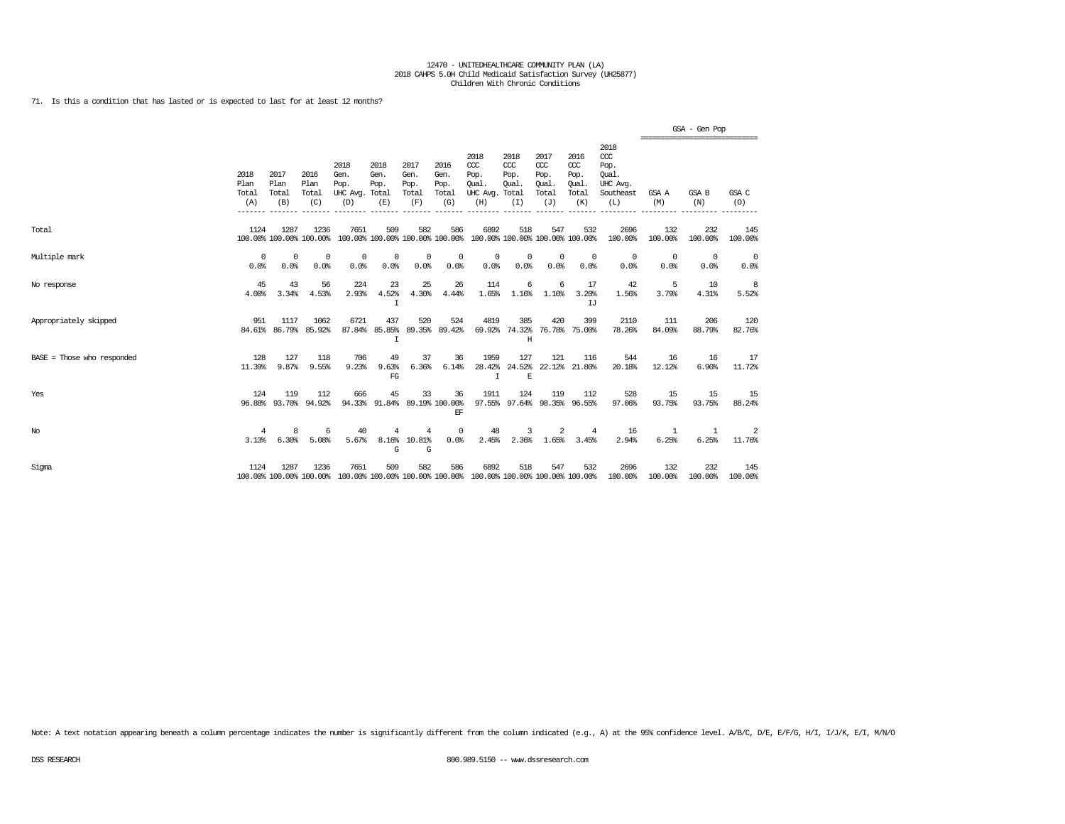71. Is this a condition that has lasted or is expected to last for at least 12 months?

|                              |                              |                              |                              |                                                                                                 |                             |                                      |                                      |                                                       |                                         |                                              |                                              |                                                                 | ================================ | GSA - Gen Pop      |                    |
|------------------------------|------------------------------|------------------------------|------------------------------|-------------------------------------------------------------------------------------------------|-----------------------------|--------------------------------------|--------------------------------------|-------------------------------------------------------|-----------------------------------------|----------------------------------------------|----------------------------------------------|-----------------------------------------------------------------|----------------------------------|--------------------|--------------------|
|                              | 2018<br>Plan<br>Total<br>(A) | 2017<br>Plan<br>Total<br>(B) | 2016<br>Plan<br>Total<br>(C) | 2018<br>Gen.<br>Pop.<br>UHC Avg. Total<br>(D)                                                   | 2018<br>Gen.<br>Pop.<br>(E) | 2017<br>Gen.<br>Pop.<br>Total<br>(F) | 2016<br>Gen.<br>Pop.<br>Total<br>(G) | 2018<br>CCC<br>Pop.<br>Oual.<br>UHC Avg. Total<br>(H) | 2018<br>CCC<br>Pop.<br>Oual.<br>(I)     | 2017<br>ccc<br>Pop.<br>Oual.<br>Total<br>(J) | 2016<br>ccc<br>Pop.<br>Oual.<br>Total<br>(K) | 2018<br>$\csc$<br>Pop.<br>Oual.<br>UHC Avg.<br>Southeast<br>(L) | GSA A<br>(M)                     | GSA B<br>(N)       | GSA C<br>(O)       |
| Total                        | 1124                         | 1287                         | 1236                         | 7651<br>100.00% 100.00% 100.00% 100.00% 100.00% 100.00% 100.00% 100.00% 100.00% 100.00%         | 509                         | 582                                  | 586                                  | 6892                                                  | 518                                     | 547                                          | 532                                          | 2696<br>100.00%                                                 | 132<br>100.00%                   | 232<br>100.00%     | 145<br>100.00%     |
| Multiple mark                | $\Omega$<br>0.0%             | $\Omega$<br>0.0%             | $\Omega$<br>0.0%             | 0<br>0.0%                                                                                       | 0<br>0.0%                   | $^{\circ}$<br>0.0%                   | 0<br>0.0%                            | $^{\circ}$<br>0.0%                                    | 0<br>0.0%                               | $^{\circ}$<br>0.0%                           | $^{\circ}$<br>0.0%                           | $^{\circ}$<br>0.0%                                              | $^{\circ}$<br>0.0%               | $^{\circ}$<br>0.0% | $^{\circ}$<br>0.0% |
| No response                  | 45<br>4.00%                  | 43<br>3.34%                  | 56<br>4.53%                  | 224<br>2.93%                                                                                    | 23<br>4.52%<br>I            | 25<br>4.30%                          | 26<br>4.44%                          | 114<br>1.65%                                          | 6<br>1.16%                              | 6<br>1.10%                                   | 17<br>3.20%<br>TJ.                           | 42<br>1.56%                                                     | 5<br>3.79%                       | 10<br>4.31%        | 8<br>5.52%         |
| Appropriately skipped        | 951                          | 1117<br>84.61% 86.79%        | 1062<br>85.92%               | 6721<br>87.84%                                                                                  | 437<br>85.85%<br>T          | 520                                  | 524<br>89.35% 89.42%                 | 4819                                                  | 385<br>69.92% 74.32% 76.78% 75.00%<br>Ħ | 420                                          | 399                                          | 2110<br>78.26%                                                  | 111<br>84.09%                    | 206<br>88.79%      | 120<br>82.76%      |
| $BASE = Those who responded$ | 128<br>11.39%                | 127<br>9.87%                 | 118<br>9.55%                 | 706<br>9.23%                                                                                    | 49<br>9.63%<br>FG           | 37<br>6.36%                          | 36<br>6.14%                          | 1959<br>$\mathbf{I}$                                  | 127<br>$\,$ E                           | 121                                          | 116<br>28.42% 24.52% 22.12% 21.80%           | 544<br>20.18%                                                   | 16<br>12.12%                     | 16<br>6.90%        | 17<br>11.72%       |
| Yes                          | 124                          | 119<br>96.88% 93.70%         | 112<br>94.92%                | 666                                                                                             | 45<br>94.33% 91.84%         | 33                                   | 36<br>89.19% 100.00%<br>EF           | 1911                                                  | 124                                     | 119                                          | 112<br>97.55% 97.64% 98.35% 96.55%           | 528<br>97.06%                                                   | 15<br>93.75%                     | 15<br>93.75%       | 15<br>88.24%       |
| No                           | $\overline{4}$<br>3.13%      | 8<br>6.30%                   | 6<br>5.08%                   | 40<br>5.67%                                                                                     | 4<br>G                      | 4<br>8.16% 10.81%<br>G               | $^{\circ}$<br>0.0%                   | 48<br>2.45%                                           | 3                                       | 2<br>2.36% 1.65%                             | $\overline{4}$<br>3.45%                      | 16<br>2.94%                                                     | -1<br>6.25%                      | -1<br>6.25%        | 2<br>11.76%        |
| Sigma                        | 1124                         | 1287                         | 1236                         | 7651<br>100.00% 100.00% 100.00% 100.00% 100.00% 100.00% 100.00% 100.00% 100.00% 100.00% 100.00% | 509                         | 582                                  | 586                                  | 6892                                                  | 518                                     | 547                                          | 532                                          | 2696<br>100.00%                                                 | 132<br>100.00%                   | 232<br>100.00%     | 145<br>100.00%     |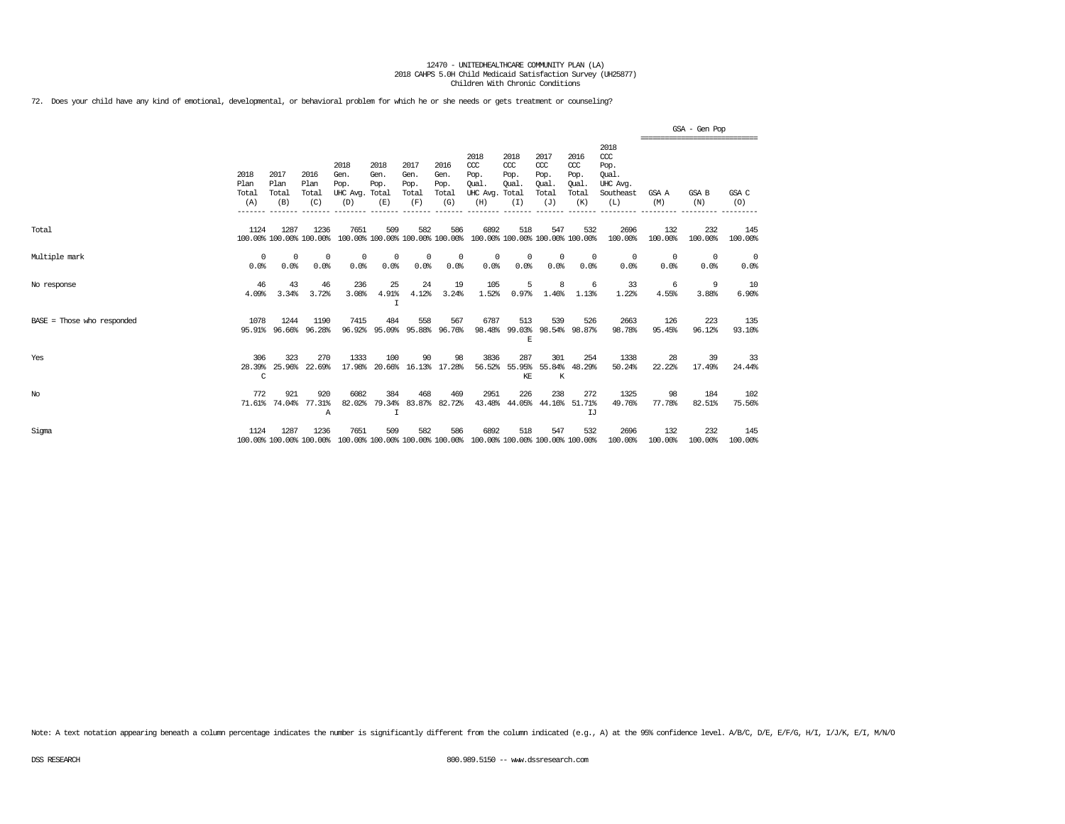72. Does your child have any kind of emotional, developmental, or behavioral problem for which he or she needs or gets treatment or counseling?

|                            |                              |                              |                                 |                                         |                                        |                                      |                                      |                                                                         |                                              |                                                   |                                              |                                                              |                        | GSA - Gen Pop<br>================================ |                        |
|----------------------------|------------------------------|------------------------------|---------------------------------|-----------------------------------------|----------------------------------------|--------------------------------------|--------------------------------------|-------------------------------------------------------------------------|----------------------------------------------|---------------------------------------------------|----------------------------------------------|--------------------------------------------------------------|------------------------|---------------------------------------------------|------------------------|
|                            | 2018<br>Plan<br>Total<br>(A) | 2017<br>Plan<br>Total<br>(B) | 2016<br>Plan<br>Total<br>(C)    | 2018<br>Gen.<br>Pop.<br>UHC Avg.<br>(D) | 2018<br>Gen.<br>Pop.<br>Total<br>(E)   | 2017<br>Gen.<br>Pop.<br>Total<br>(F) | 2016<br>Gen.<br>Pop.<br>Total<br>(G) | 2018<br>$CC$<br>Pop.<br>Oual.<br>UHC Avg.<br>(H)                        | 2018<br>CCC<br>Pop.<br>Oual.<br>Total<br>(I) | 2017<br>$\alpha$<br>Pop.<br>Oual.<br>Total<br>(J) | 2016<br>ccc<br>Pop.<br>Oual.<br>Total<br>(K) | 2018<br>ccc<br>Pop.<br>Oual.<br>UHC Avg.<br>Southeast<br>(L) | GSA A<br>(M)           | GSA B<br>(N)                                      | GSA C<br>(O)           |
| Total                      | 1124                         | 1287                         | 1236<br>100.00% 100.00% 100.00% | 7651                                    | 509<br>100.00% 100.00% 100.00% 100.00% | 582                                  | 586                                  | 6892<br>100.00% 100.00% 100.00% 100.00%                                 | 518                                          | 547                                               | 532                                          | 2696<br>100.00%                                              | 132<br>100.00%         | 232<br>100.00%                                    | 145<br>100.00%         |
| Multiple mark              | 0<br>0.0%                    | $^{\circ}$<br>0.0%           | $^{\circ}$<br>0.0%              | $^{\circ}$<br>0.0%                      | 0<br>0.0%                              | $^{\circ}$<br>0.0%                   | $^{\circ}$<br>0.0%                   | $^{\circ}$<br>0.0%                                                      | 0<br>0.0%                                    | $\mathbf{0}$<br>0.0%                              | $\Omega$<br>0.0%                             | $^{\circ}$<br>0.0%                                           | $\overline{0}$<br>0.0% | $^{\circ}$<br>0.0%                                | $\overline{0}$<br>0.0% |
| No response                | 46<br>4.09%                  | 43<br>3.34%                  | 46<br>3.72%                     | 236<br>3.08%                            | 25<br>4.91%<br>I                       | 24<br>4.12%                          | 19<br>3.24%                          | 105<br>1.52%                                                            | 5<br>0.97%                                   | 8<br>1.46%                                        | -6<br>1.13%                                  | 33<br>1.22%                                                  | 6<br>4.55%             | 9<br>3.88%                                        | 10<br>6.90%            |
| BASE = Those who responded | 1078                         | 1244<br>95.91% 96.66%        | 1190<br>96.28%                  | 7415<br>96.92%                          | 484                                    | 558                                  | 567<br>95.09% 95.88% 96.76%          | 6787                                                                    | 513<br>E                                     | 539                                               | 526<br>98.48% 99.03% 98.54% 98.87%           | 2663<br>98.78%                                               | 126<br>95.45%          | 223<br>96.12%                                     | 135<br>93.10%          |
| Yes                        | 306<br>28.39%<br>C           | 323<br>25.96%                | 270<br>22.69%                   | 1333<br>17.98%                          | 100                                    | 90                                   | 98<br>20.66% 16.13% 17.28%           | 3836<br>56.52%                                                          | 287<br>55.95%<br>KE                          | 301<br>55.84%<br>K                                | 254<br>48.29%                                | 1338<br>50.24%                                               | 28<br>22.22%           | 39<br>17.49%                                      | 33<br>24.44%           |
| $_{\mathrm{No}}$           | 772                          | 921<br>71.61% 74.04%         | 920<br>77.31%<br>$\mathbb{A}$   | 6082<br>82.02%                          | 384<br>79.34%<br>$\top$                | 468                                  | 469<br>83.87% 82.72%                 | 2951                                                                    | 226                                          | 238                                               | 272<br>43.48% 44.05% 44.16% 51.71%<br>IJ     | 1325<br>49.76%                                               | 98<br>77.78%           | 184<br>82.51%                                     | 102<br>75.56%          |
| Sigma                      | 1124                         | 1287                         | 1236<br>100.00% 100.00% 100.00% | 7651                                    | 509                                    | 582                                  | 586                                  | 6892<br>100.00% 100.00% 100.00% 100.00% 100.00% 100.00% 100.00% 100.00% | 518                                          | 547                                               | 532                                          | 2696<br>100.00%                                              | 132<br>100.00%         | 232<br>100.00%                                    | 145<br>100.00%         |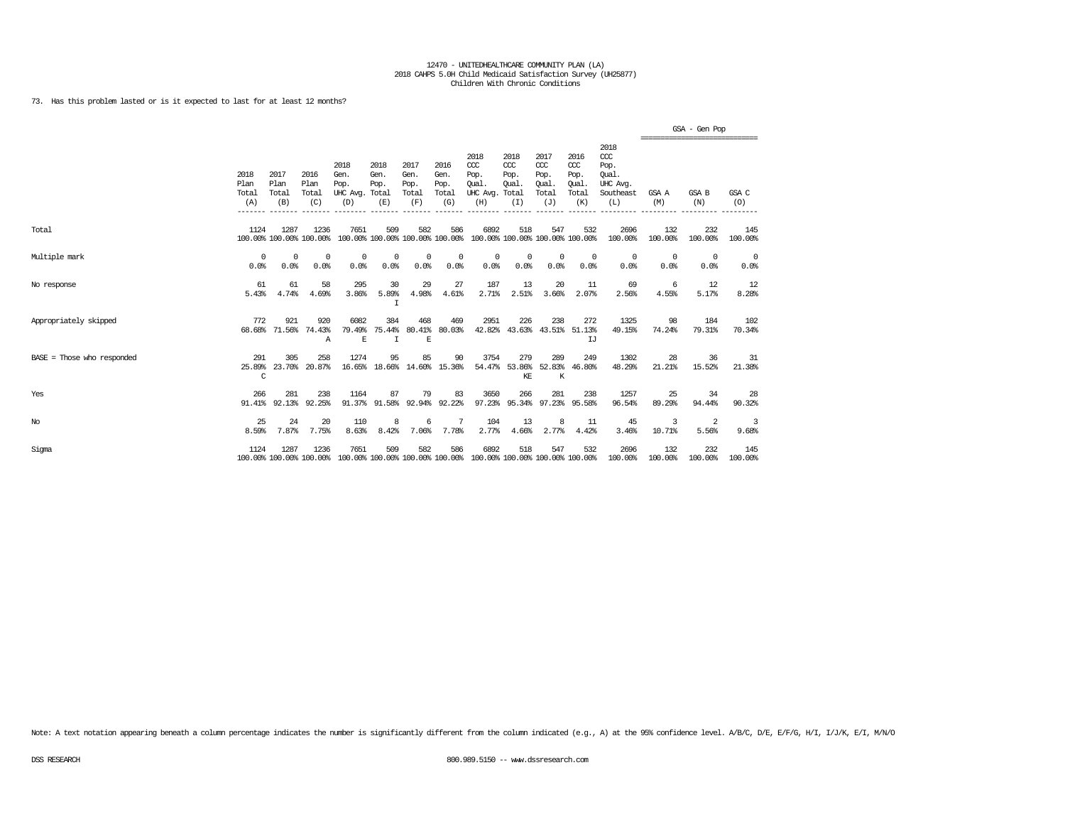73. Has this problem lasted or is it expected to last for at least 12 months?

|                            |                              |                              |                                 |                                               |                                   |                                      |                                      |                                                                                         |                                               |                                                   |                                              |                                                                   |                                                  | $GSA - Gen Poo$    |                    |
|----------------------------|------------------------------|------------------------------|---------------------------------|-----------------------------------------------|-----------------------------------|--------------------------------------|--------------------------------------|-----------------------------------------------------------------------------------------|-----------------------------------------------|---------------------------------------------------|----------------------------------------------|-------------------------------------------------------------------|--------------------------------------------------|--------------------|--------------------|
|                            | 2018<br>Plan<br>Total<br>(A) | 2017<br>Plan<br>Total<br>(B) | 2016<br>Plan<br>Total<br>(C)    | 2018<br>Gen.<br>Pop.<br>UHC Avg. Total<br>(D) | 2018<br>Gen.<br>Pop.<br>(E)       | 2017<br>Gen.<br>Pop.<br>Total<br>(F) | 2016<br>Gen.<br>Pop.<br>Total<br>(G) | 2018<br>CCC<br>Pop.<br>Oual.<br>UHC Avg.<br>(H)                                         | 2018<br>$CC$<br>Pop.<br>Oual.<br>Total<br>(I) | 2017<br>$\alpha$<br>Pop.<br>Oual.<br>Total<br>(J) | 2016<br>ccc<br>Pop.<br>Oual.<br>Total<br>(K) | 2018<br>$\alpha$<br>Pop.<br>Oual.<br>UHC Avg.<br>Southeast<br>(L) | ================================<br>GSA A<br>(M) | GSA B<br>(N)       | GSA C<br>(0)       |
| Total                      | 1124                         | 1287                         | 1236<br>100.00% 100.00% 100.00% | 7651                                          | 509                               | 582                                  | 586                                  | 6892<br>100.00% 100.00% 100.00% 100.00% 100.00% 100.00% 100.00% 100.00%                 | 518                                           | 547                                               | 532                                          | 2696<br>100.00%                                                   | 132<br>100.00%                                   | 232<br>100.00%     | 145<br>100.00%     |
| Multiple mark              | $^{\circ}$<br>0.0%           | $^{\circ}$<br>0.0%           | $^{\circ}$<br>0.0%              | $^{\circ}$<br>0.0%                            | $\Omega$<br>0.0%                  | $^{\circ}$<br>0.0%                   | $^{\circ}$<br>0.0%                   | $^{\circ}$<br>0.0%                                                                      | $^{\circ}$<br>0.0%                            | $^{\circ}$<br>0.0%                                | $^{\circ}$<br>0.0%                           | $^{\circ}$<br>0.0%                                                | $\overline{0}$<br>0.0%                           | $^{\circ}$<br>0.0% | $^{\circ}$<br>0.0% |
| No response                | 61<br>5.43%                  | 61<br>4.74%                  | 58<br>4.69%                     | 295<br>3.86%                                  | 30<br>5.89%<br>I                  | 29<br>4.98%                          | 27<br>4.61%                          | 187<br>2.71%                                                                            | 13<br>2.51%                                   | 20<br>3.66%                                       | 11<br>2.07%                                  | 69<br>2.56%                                                       | -6<br>4.55%                                      | 12<br>5.17%        | 12<br>8.28%        |
| Appropriately skipped      | 772                          | 921<br>68.68% 71.56%         | 920<br>74.43%<br>Α              | 6082<br>79.49%<br>$\mathbb E$                 | 384<br>75.44%<br>I                | 468<br>$\mathbf E$                   | 469<br>80.41% 80.03%                 | 2951                                                                                    | 226<br>42.82% 43.63% 43.51% 51.13%            | 238                                               | 272<br>IJ                                    | 1325<br>49.15%                                                    | 98<br>74.24%                                     | 184<br>79.31%      | 102<br>70.34%      |
| BASE = Those who responded | 291<br>C                     | 305                          | 258<br>25.89% 23.70% 20.87%     | 1274                                          | 95<br>16.65% 18.66% 14.60% 15.36% | 85                                   | 90                                   | 3754                                                                                    | 279<br>54.47% 53.86% 52.83% 46.80%<br>KE      | 289<br>$\rm K$                                    | 249                                          | 1302<br>48.29%                                                    | 28<br>21.21%                                     | 36<br>15.52%       | -31<br>21.38%      |
| Yes                        | 266                          | 281                          | 238<br>91.41% 92.13% 92.25%     | 1164                                          | 87<br>91.37% 91.58%               | 79                                   | 83<br>92.94% 92.22%                  | 3650                                                                                    | 266<br>97.23% 95.34% 97.23% 95.58%            | 281                                               | 238                                          | 1257<br>96.54%                                                    | 25<br>89.29%                                     | 34<br>94.44%       | 28<br>90.32%       |
| $_{\mathrm{No}}$           | 25<br>8.59%                  | 24<br>7.87%                  | 20<br>7.75%                     | 110<br>8.63%                                  | 8<br>8.42%                        | 6<br>7.06%                           | 7<br>7.78%                           | 104<br>2.77%                                                                            | 13<br>4.66%                                   | 8<br>2.77%                                        | 11<br>4.42%                                  | 45<br>3.46%                                                       | 3<br>10.71%                                      | 2<br>5.56%         | 3<br>9.68%         |
| Sigma                      | 1124                         | 1287                         | 1236                            | 7651                                          | 509                               | 582                                  | 586                                  | 6892<br>100.00% 100.00% 100.00% 100.00% 100.00% 100.00% 100.00% 100.00% 100.00% 100.00% | 518                                           | 547                                               | 532                                          | 2696<br>100.00%                                                   | 132<br>100.00%                                   | 232<br>100.00%     | 145<br>100.00%     |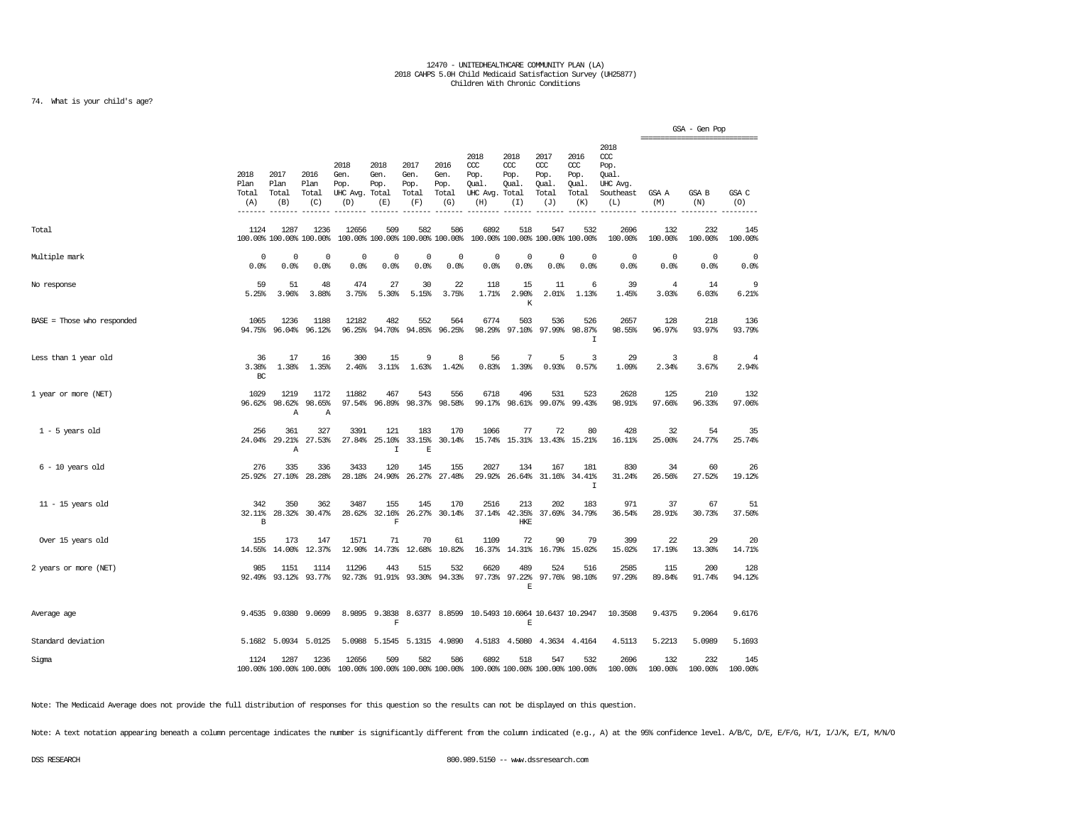### 74. What is your child's age?

|                            |                              |                              |                                 |                                               |                                          |                                        |                                      |                                                 |                                              |                                                   |                                              |                                                                   |                         | GSA - Gen Pop   |                     |
|----------------------------|------------------------------|------------------------------|---------------------------------|-----------------------------------------------|------------------------------------------|----------------------------------------|--------------------------------------|-------------------------------------------------|----------------------------------------------|---------------------------------------------------|----------------------------------------------|-------------------------------------------------------------------|-------------------------|-----------------|---------------------|
|                            | 2018<br>Plan<br>Total<br>(A) | 2017<br>Plan<br>Total<br>(B) | 2016<br>Plan<br>Total<br>(C)    | 2018<br>Gen.<br>Pop.<br>UHC Avg. Total<br>(D) | 2018<br>Gen.<br>Pop.<br>(E)              | 2017<br>Gen.<br>Pop.<br>Total<br>(F)   | 2016<br>Gen.<br>Pop.<br>Total<br>(G) | 2018<br>CCC<br>Pop.<br>Oual.<br>UHC Avg.<br>(H) | 2018<br>CCC<br>Pop.<br>Oual.<br>Total<br>(I) | 2017<br>$\alpha$<br>Pop.<br>Oual.<br>Total<br>(J) | 2016<br>ccc<br>Pop.<br>Oual.<br>Total<br>(K) | 2018<br>$\alpha$<br>Pop.<br>Oual.<br>UHC Avg.<br>Southeast<br>(L) | GSA A<br>(M)            | GSA B<br>(N)    | GSA C<br>(O)        |
| Total                      | 1124                         | 1287                         | 1236<br>100.00% 100.00% 100.00% | 12656                                         | 509                                      | 582<br>100.00% 100.00% 100.00% 100.00% | 586                                  | 6892                                            | 518                                          | 547<br>100.00% 100.00% 100.00% 100.00%            | 532                                          | 2696<br>100.00%                                                   | 132<br>100.00%          | 232<br>100.00%  | 145<br>100.00%      |
| Multiple mark              | $\mathbf 0$<br>0.0%          | $\mathbf 0$<br>0.0%          | $^{\circ}$<br>0.0%              | $\mathbf 0$<br>0.0%                           | $\overline{0}$<br>0.0%                   | $\mathbf 0$<br>0.0%                    | $\mathbf 0$<br>0.0%                  | $\mathbf 0$<br>0.0%                             | $\overline{0}$<br>0.0%                       | $\circ$<br>0.0%                                   | $^{\circ}$<br>0.0%                           | $\mathbf 0$<br>0.0%                                               | $\Omega$<br>0.0%        | $\circ$<br>0.0% | $\mathbf 0$<br>0.0% |
| No response                | 59<br>5.25%                  | 51<br>3.96%                  | 48<br>3.88%                     | 474<br>3.75%                                  | 27<br>5.30%                              | 30<br>5.15%                            | 22<br>3.75%                          | 118<br>1.71%                                    | 15<br>2.90%<br>Κ                             | 11<br>2.01%                                       | 6<br>1.13%                                   | 39<br>1.45%                                                       | $\overline{4}$<br>3.03% | 14<br>6.03%     | 9<br>6.21%          |
| BASE = Those who responded | 1065<br>94.75%               | 1236<br>96.04%               | 1188<br>96.12%                  | 12182<br>96.25%                               | 482<br>94.70%                            | 552                                    | 564<br>94.85% 96.25%                 | 6774<br>98.29%                                  | 503<br>97.10%                                | 536<br>97.99%                                     | 526<br>98.87%<br>I                           | 2657<br>98.55%                                                    | 128<br>96.97%           | 218<br>93.97%   | 136<br>93.79%       |
| Less than 1 year old       | 36<br>3.38%<br>BC            | 17<br>1.38%                  | 16<br>1.35%                     | 300<br>2.46%                                  | 15<br>3.11%                              | 9<br>1.63%                             | 8<br>1.42%                           | 56<br>0.83%                                     | 7<br>1.39%                                   | 5<br>0.93%                                        | 3<br>0.57%                                   | 29<br>1.09%                                                       | 3<br>2.34%              | 8<br>3.67%      | 4<br>2.94%          |
| 1 year or more (NET)       | 1029<br>96.62%               | 1219<br>98.62%<br>Α          | 1172<br>98.65%<br>Α             | 11882<br>97.54%                               | 467<br>96.89%                            | 543<br>98.37%                          | 556<br>98.58%                        | 6718                                            | 496<br>99.17% 98.61%                         | 531                                               | 523<br>99.07% 99.43%                         | 2628<br>98.91%                                                    | 125<br>97.66%           | 210<br>96.33%   | 132<br>97.06%       |
| $1 - 5$ years old          | 256<br>24.04%                | 361<br>29.21%<br>Α           | 327<br>27.53%                   | 3391                                          | 121<br>27.84% 25.10%<br>$\mathbf I$      | 183<br>33.15%<br>E                     | 170<br>30.14%                        | 1066                                            | 77                                           | 72<br>15.74% 15.31% 13.43% 15.21%                 | 80                                           | 428<br>16.11%                                                     | 32<br>25.00%            | 54<br>24.77%    | 35<br>25.74%        |
| $6 - 10$ years old         | 276<br>25.92%                | 335<br>27.10%                | 336<br>28.28%                   | 3433<br>28.18%                                | 120<br>24.90%                            | 145<br>26.27%                          | 155<br>27.48%                        | 2027<br>29.92%                                  | 134<br>26.64%                                | 167<br>31.16%                                     | 181<br>34.41%<br>$\mathbf I$                 | 830<br>31.24%                                                     | 34<br>26.56%            | 60<br>27.52%    | 26<br>19.12%        |
| $11 - 15$ years old        | 342<br>32.11%<br>B           | 350<br>28.32%                | 362<br>30.47%                   | 3487<br>28.62%                                | 155<br>32.16%<br>$\overline{\mathbf{F}}$ | 145                                    | 170<br>26.27% 30.14%                 | 2516                                            | 213<br>37.14% 42.35%<br><b>HKE</b>           | 202                                               | 183<br>37.69% 34.79%                         | 971<br>36.54%                                                     | 37<br>28.91%            | 67<br>30.73%    | 51<br>37.50%        |
| Over 15 years old          | 155<br>14.55%                | 173<br>14.00%                | 147<br>12.37%                   | 1571<br>12.90%                                | 71<br>14.73%                             | 70<br>12.68%                           | 61<br>10.82%                         | 1109<br>16.37%                                  | 72<br>14.31%                                 | 90<br>16.79%                                      | 79<br>15.02%                                 | 399<br>15.02%                                                     | 22<br>17.19%            | 29<br>13.30%    | 20<br>14.71%        |
| 2 years or more (NET)      | 985<br>92.49%                | 1151<br>93.12%               | 1114<br>93.77%                  | 11296<br>92.73%                               | 443<br>91.91%                            | 515<br>93.30%                          | 532<br>94.33%                        | 6620<br>97.73%                                  | 489<br>97.22%<br>$\mathbf E$                 | 524                                               | 516<br>97.76% 98.10%                         | 2585<br>97.29%                                                    | 115<br>89.84%           | 200<br>91.74%   | 128<br>94.12%       |
| Average age                |                              | 9.4535 9.0380                | 9,0699                          | 8.9895                                        | 9.3838<br>$\overline{\mathrm{F}}$        |                                        | 8.6377 8.8599                        | 10.5493 10.6064 10.6437 10.2947                 | $\mathbf E$                                  |                                                   |                                              | 10.3508                                                           | 9.4375                  | 9.2064          | 9.6176              |
| Standard deviation         |                              | 5.1682 5.0934                | 5.0125                          |                                               | 5.0988 5.1545                            |                                        | 5.1315 4.9890                        |                                                 | 4.5183 4.5080                                |                                                   | 4.3634 4.4164                                | 4.5113                                                            | 5.2213                  | 5.0989          | 5.1693              |
| Sigma                      | 1124                         | 1287                         | 1236<br>100.00% 100.00% 100.00% | 12656                                         | 509                                      | 582<br>100.00% 100.00% 100.00% 100.00% | 586                                  | 6892<br>100.00% 100.00% 100.00% 100.00%         | 518                                          | 547                                               | 532                                          | 2696<br>100.00%                                                   | 132<br>100.00%          | 232<br>100.00%  | 145<br>100.00%      |

Note: The Medicaid Average does not provide the full distribution of responses for this question so the results can not be displayed on this question.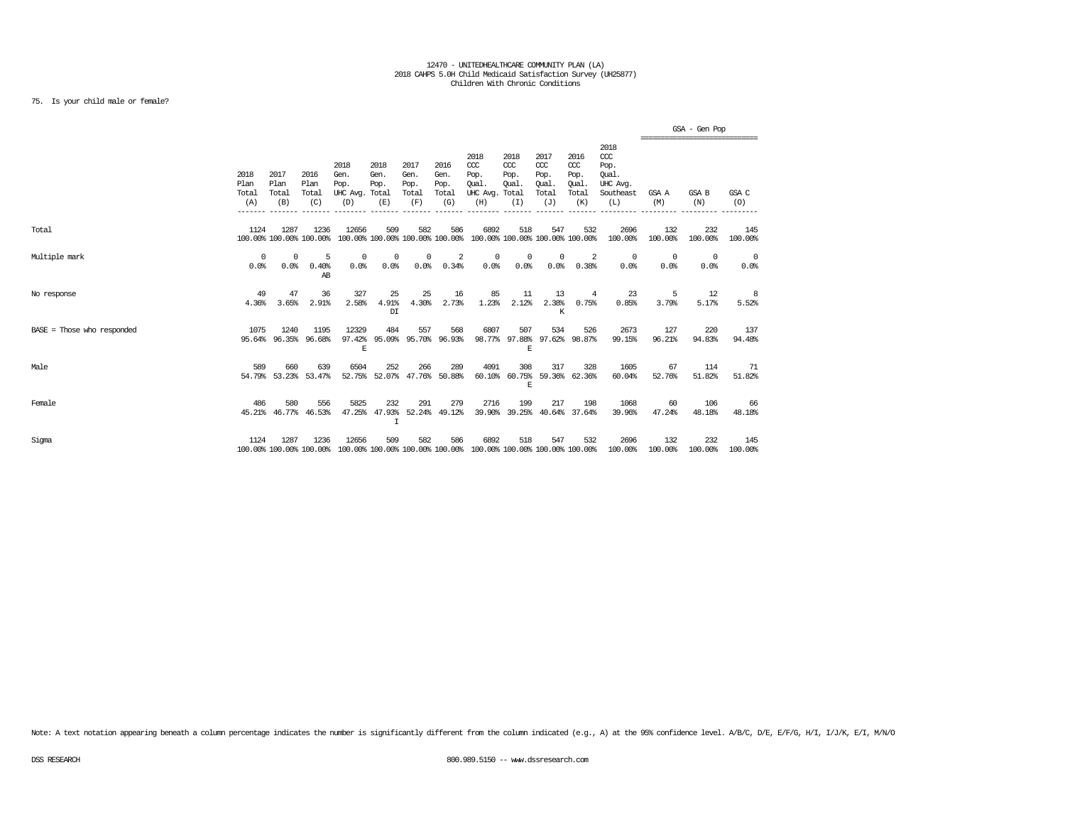### 75. Is your child male or female?

|                            |                              |                              |                                 |                                               |                                                    |                                      |                                      |                                                                         |                                              |                                                   |                                              |                                                                   |                    | GSA - Gen Pop<br>------------------------------ |                        |
|----------------------------|------------------------------|------------------------------|---------------------------------|-----------------------------------------------|----------------------------------------------------|--------------------------------------|--------------------------------------|-------------------------------------------------------------------------|----------------------------------------------|---------------------------------------------------|----------------------------------------------|-------------------------------------------------------------------|--------------------|-------------------------------------------------|------------------------|
|                            | 2018<br>Plan<br>Total<br>(A) | 2017<br>Plan<br>Total<br>(B) | 2016<br>Plan<br>Total<br>(C)    | 2018<br>Gen.<br>Pop.<br>UHC Avg. Total<br>(D) | 2018<br>Gen.<br>Pop.<br>(E)                        | 2017<br>Gen.<br>Pop.<br>Total<br>(F) | 2016<br>Gen.<br>Pop.<br>Total<br>(G) | 2018<br>CCC<br>Pop.<br>Oual.<br>UHC Avg.<br>(H)                         | 2018<br>CCC<br>Pop.<br>Oual.<br>Total<br>(I) | 2017<br>$\alpha$<br>Pop.<br>Oual.<br>Total<br>(J) | 2016<br>ccc<br>Pop.<br>Oual.<br>Total<br>(K) | 2018<br>$\alpha$<br>Pop.<br>Oual.<br>UHC Avq.<br>Southeast<br>(L) | GSA A<br>(M)       | GSA B<br>(N)                                    | GSA C<br>(O)           |
| Total                      | 1124                         | 1287                         | 1236<br>100.00% 100.00% 100.00% | 12656                                         | 509                                                | 582                                  | 586                                  | 6892<br>100.00% 100.00% 100.00% 100.00% 100.00% 100.00% 100.00% 100.00% | 518                                          | 547                                               | 532                                          | 2696<br>100.00%                                                   | 132<br>100.00%     | 232<br>100.00%                                  | 145<br>100.00%         |
| Multiple mark              | $^{\circ}$<br>0.0%           | $^{\circ}$<br>0.0%           | -5<br>0.40%<br>AB               | $\mathbf 0$<br>0.0%                           | 0<br>0.0%                                          | 0<br>0.0%                            | 2<br>0.34%                           | $^{\circ}$<br>$0.0$ %                                                   | 0<br>0.0%                                    | $^{\circ}$<br>0.0%                                | 2<br>0.38%                                   | $\overline{0}$<br>0.0%                                            | $^{\circ}$<br>0.0% | $^{\circ}$<br>0.0%                              | $\overline{0}$<br>0.0% |
| No response                | 49<br>4.36%                  | 47<br>3.65%                  | 36<br>2.91%                     | 327<br>2.58%                                  | 25<br>4.91%<br>DI                                  | 25<br>4.30%                          | 16<br>2.73%                          | 85<br>1.23%                                                             | 11<br>2.12%                                  | 13<br>2.38%<br>K                                  | 4<br>0.75%                                   | 23<br>0.85%                                                       | -5<br>3.79%        | 12<br>5.17%                                     | -8<br>5.52%            |
| BASE = Those who responded | 1075<br>95.64%               | 1240<br>96.35%               | 1195<br>96.68%                  | 12329<br>97.42%<br>E                          | 484<br>95.09%                                      | 557                                  | 568<br>95.70% 96.93%                 | 6807                                                                    | 507<br>98.77% 97.88%<br>E                    | 534                                               | 526<br>97.62% 98.87%                         | 2673<br>99.15%                                                    | 127<br>96.21%      | 220<br>94.83%                                   | 137<br>94.48%          |
| Male                       | 589                          | 660                          | 639<br>54.79% 53.23% 53.47%     | 6504                                          | 252<br>52.75% 52.07% 47.76% 50.88%                 | 266                                  | 289                                  | 4091                                                                    | 308<br>60.10% 60.75%<br>F.                   | 317                                               | 328<br>59.36% 62.36%                         | 1605<br>60.04%                                                    | 67<br>52.76%       | 114<br>51.82%                                   | 71<br>51.82%           |
| Female                     | 486                          | 580<br>45.21% 46.77%         | 556<br>46.53%                   | 5825                                          | 232<br>47.25% 47.93% 52.24% 49.12%<br>$\mathsf{T}$ | 291                                  | 279                                  | 2716                                                                    | 199<br>39.90% 39.25%                         | 217                                               | 198<br>40.64% 37.64%                         | 1068<br>39.96%                                                    | 60<br>47.24%       | 106<br>48.18%                                   | 66<br>48.18%           |
| Sigma                      | 1124                         | 1287                         | 1236<br>100.00% 100.00% 100.00% | 12656                                         | 509                                                | 582                                  | 586                                  | 6892<br>100.00% 100.00% 100.00% 100.00% 100.00% 100.00% 100.00% 100.00% | 518                                          | 547                                               | 532                                          | 2696<br>100.00%                                                   | 132<br>100.00%     | 232<br>100.00%                                  | 145<br>100.00%         |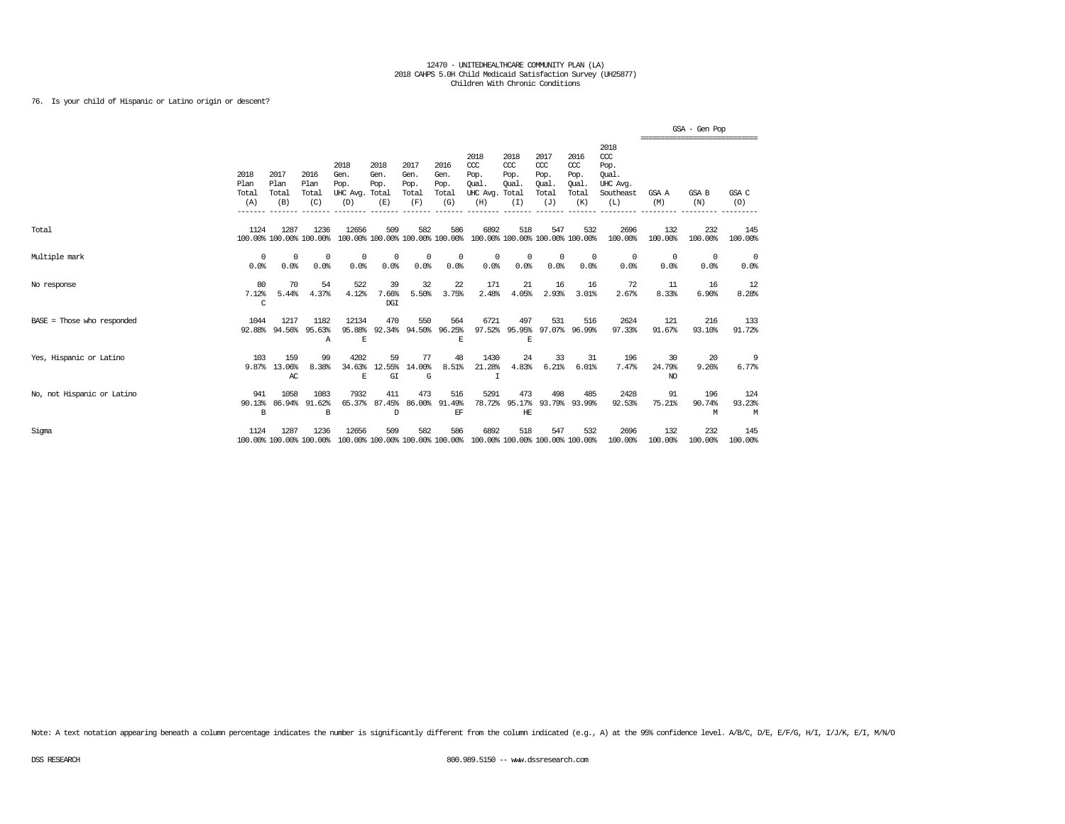76. Is your child of Hispanic or Latino origin or descent?

|                            |                              |                              |                                 |                                               |                                        |                                      |                                      |                                                 |                                              |                                                   |                                                   |                                                                   |                                 | GSA - Gen Pop<br>,,,,,,,,,,,,,,,,,,,,,,,,,,,,,,, |                    |
|----------------------------|------------------------------|------------------------------|---------------------------------|-----------------------------------------------|----------------------------------------|--------------------------------------|--------------------------------------|-------------------------------------------------|----------------------------------------------|---------------------------------------------------|---------------------------------------------------|-------------------------------------------------------------------|---------------------------------|--------------------------------------------------|--------------------|
|                            | 2018<br>Plan<br>Total<br>(A) | 2017<br>Plan<br>Total<br>(B) | 2016<br>Plan<br>Total<br>(C)    | 2018<br>Gen.<br>Pop.<br>UHC Avg. Total<br>(D) | 2018<br>Gen.<br>Pop.<br>(E)            | 2017<br>Gen.<br>Pop.<br>Total<br>(F) | 2016<br>Gen.<br>Pop.<br>Total<br>(G) | 2018<br>CCC<br>Pop.<br>Oual.<br>UHC Avg.<br>(H) | 2018<br>CCC<br>Pop.<br>Oual.<br>Total<br>(I) | 2017<br>$\alpha$<br>Pop.<br>Oual.<br>Total<br>(J) | 2016<br>$\alpha$<br>Pop.<br>Qual.<br>Total<br>(K) | 2018<br>$\alpha$<br>Pop.<br>Oual.<br>UHC Avq.<br>Southeast<br>(L) | GSA A<br>(M)                    | GSA B<br>(N)                                     | GSA C<br>(0)       |
| Total                      | 1124                         | 1287                         | 1236<br>100.00% 100.00% 100.00% | 12656                                         | 509<br>100.00% 100.00% 100.00% 100.00% | 582                                  | 586                                  | 6892                                            | 518<br>100.00% 100.00% 100.00% 100.00%       | 547                                               | 532                                               | 2696<br>100.00%                                                   | 132<br>100.00%                  | 232<br>100.00%                                   | 145<br>100.00%     |
| Multiple mark              | $^{\circ}$<br>0.0%           | $^{\circ}$<br>0.0%           | $^{\circ}$<br>0.0%              | $^{\circ}$<br>0.0%                            | $\Omega$<br>0.0%                       | 0<br>0.0%                            | $^{\circ}$<br>0.0%                   | 0<br>0.0%                                       | $\Omega$<br>0.0%                             | $\mathbf 0$<br>0.0%                               | $\Omega$<br>0.0%                                  | $^{\circ}$<br>0.0%                                                | 0<br>0.0%                       | $^{\circ}$<br>0.0%                               | $^{\circ}$<br>0.0% |
| No response                | 80<br>7.12%<br>C             | 70<br>5.44%                  | 54<br>4.37%                     | 522<br>4.12%                                  | 39<br>7.66%<br>DGI                     | 32<br>5.50%                          | 22<br>3.75%                          | 171<br>2.48%                                    | 21<br>4.05%                                  | 16<br>2.93%                                       | 16<br>3.01%                                       | 72<br>2.67%                                                       | 11<br>8.33%                     | 16<br>6.90%                                      | 12<br>8.28%        |
| BASE = Those who responded | 1044<br>92.88%               | 1217<br>94.56%               | 1182<br>95.63%<br>$\mathbb{A}$  | 12134<br>95.88%<br>Ε                          | 470<br>92.34%                          | 550<br>94.50%                        | 564<br>96.25%<br>Ε                   | 6721<br>97.52%                                  | 497<br>95.95%<br>E                           | 531<br>97.07%                                     | 516<br>96.99%                                     | 2624<br>97.33%                                                    | 121<br>91.67%                   | 216<br>93.10%                                    | 133<br>91.72%      |
| Yes, Hispanic or Latino    | 103<br>9.87%                 | 159<br>13.06%<br>AC          | 99<br>8.38%                     | 4202<br>34.63%<br>E                           | 59<br>12.55%<br>GI                     | 77<br>14.00%<br>G                    | 48<br>8.51%                          | 1430<br>21.28%<br>T                             | 24<br>4.83%                                  | 33<br>6.21%                                       | 31<br>6.01%                                       | 196<br>7.47%                                                      | 30<br>24.79%<br>NO <sub>1</sub> | 20<br>9.26%                                      | 9<br>6.77%         |
| No, not Hispanic or Latino | 941<br>90.13%<br>B           | 1058<br>86.94%               | 1083<br>91.62%<br>B             | 7932<br>65.37%                                | 411<br>87.45%<br>$\mathbb{D}$          | 473<br>86,00%                        | 516<br>91.49%<br>EF                  | 5291<br>78.72%                                  | 473<br>95.17%<br>HE                          | 498<br>93.79%                                     | 485<br>93.99%                                     | 2428<br>92.53%                                                    | 91<br>75.21%                    | 196<br>90.74%<br>М                               | 124<br>93.23%<br>M |
| Sigma                      | 1124                         | 1287                         | 1236<br>100.00% 100.00% 100.00% | 12656<br>100.00% 100.00% 100.00% 100.00%      | 509                                    | 582                                  | 586                                  | 6892<br>100.00% 100.00% 100.00% 100.00%         | 518                                          | 547                                               | 532                                               | 2696<br>100.00%                                                   | 132<br>100.00%                  | 232<br>100.00%                                   | 145<br>100.00%     |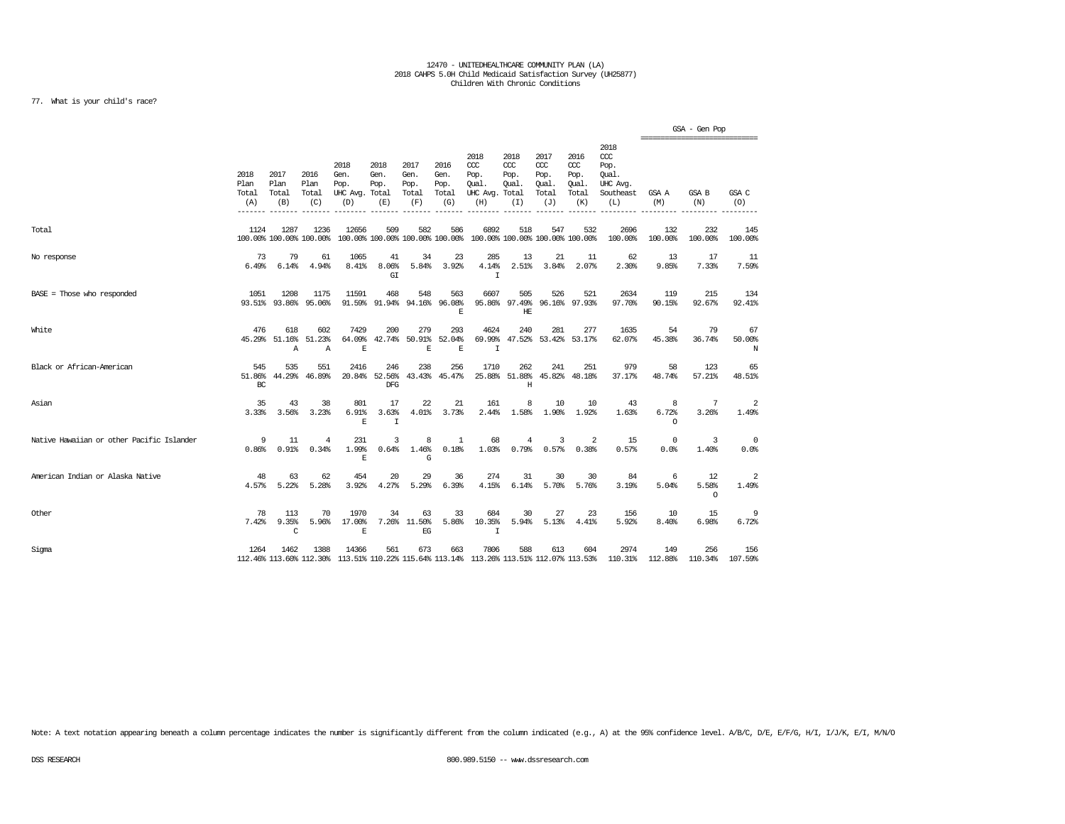### 77. What is your child's race?

|                                           |                                        |                               |                                 |                                               |                                        |                                      |                                      |                                                                         |                                     |                                                   |                                                   |                                                                   | ----------------------------- | GSA - Gen Pop          |                    |
|-------------------------------------------|----------------------------------------|-------------------------------|---------------------------------|-----------------------------------------------|----------------------------------------|--------------------------------------|--------------------------------------|-------------------------------------------------------------------------|-------------------------------------|---------------------------------------------------|---------------------------------------------------|-------------------------------------------------------------------|-------------------------------|------------------------|--------------------|
|                                           | 2018<br>Plan<br>Total<br>(A)<br>------ | 2017<br>Plan<br>Total<br>(B)  | 2016<br>Plan<br>Total<br>(C)    | 2018<br>Gen.<br>Pop.<br>UHC Avg. Total<br>(D) | 2018<br>Gen.<br>Pop.<br>(E)            | 2017<br>Gen.<br>Pop.<br>Total<br>(F) | 2016<br>Gen.<br>Pop.<br>Total<br>(G) | 2018<br>CCC<br>Pop.<br>Oual.<br>UHC Avg. Total<br>(H)                   | 2018<br>CCC<br>Pop.<br>Oual.<br>(I) | 2017<br>$\alpha$<br>Pop.<br>Oual.<br>Total<br>(J) | 2016<br>$\alpha$<br>Pop.<br>Oual.<br>Total<br>(K) | 2018<br>$\alpha$<br>Pop.<br>Qual.<br>UHC Avg.<br>Southeast<br>(L) | GSA A<br>(M)                  | GSA B<br>(N)           | GSA C<br>(O)       |
| Total                                     | 1124                                   | 1287                          | 1236<br>100.00% 100.00% 100.00% | 12656                                         | 509<br>100.00% 100.00% 100.00% 100.00% | 582                                  | 586                                  | 6892<br>100.00% 100.00% 100.00% 100.00%                                 | 518                                 | 547                                               | 532                                               | 2696<br>100.00%                                                   | 132<br>100.00%                | 232<br>100.00%         | 145<br>100.00%     |
| No response                               | 73<br>6.49%                            | 79<br>6.14%                   | 61<br>4.94%                     | 1065<br>8.41%                                 | 41<br>8.06%<br>GI                      | 34<br>5.84%                          | 23<br>3.92%                          | 285<br>4.14%<br>$\mathbf I$                                             | 13<br>2.51%                         | 21<br>3.84%                                       | 11<br>2.07%                                       | 62<br>2.30%                                                       | 13<br>9.85%                   | 17<br>7.33%            | 11<br>7.59%        |
| BASE = Those who responded                | 1051                                   | 1208<br>93.51% 93.86%         | 1175<br>95.06%                  | 11591<br>91.59%                               | 468<br>91.94%                          | 548<br>94.16%                        | 563<br>96.08%<br>E                   | 6607                                                                    | 505<br>95.86% 97.49%<br>HE          | 526                                               | 521<br>96.16% 97.93%                              | 2634<br>97.70%                                                    | 119<br>90.15%                 | 215<br>92.67%          | 134<br>92.41%      |
| White                                     | 476<br>45.29%                          | 618<br>51.16%<br>$\mathbb{A}$ | 602<br>51.23%<br>$\mathbb{A}$   | 7429<br>64.09%<br>E                           | 200<br>42.74%                          | 279<br>50.91%<br>E                   | 293<br>52.04%<br>E                   | 4624<br>69.99%<br>$\mathbf I$                                           | 240<br>47.52%                       | 281<br>53.42%                                     | 277<br>53.17%                                     | 1635<br>62.07%                                                    | 54<br>45.38%                  | 79<br>36.74%           | 67<br>50.00%<br>N  |
| Black or African-American                 | 545<br>51.86%<br>BC                    | 535<br>44.29%                 | 551<br>46.89%                   | 2416                                          | 246<br>20.84% 52.56%<br>DFG            | 238                                  | 256<br>43.43% 45.47%                 | 1710                                                                    | 262<br>25.88% 51.88%<br>Η           | 241<br>45.82%                                     | 251<br>48.18%                                     | 979<br>37.17%                                                     | 58<br>48.74%                  | 123<br>57.21%          | 65<br>48.51%       |
| Asian                                     | 35<br>3.33%                            | 43<br>3.56%                   | 38<br>3.23%                     | 801<br>6.91%<br>E                             | 17<br>3.63%<br>$\mathbf I$             | 22<br>4.01%                          | 21<br>3.73%                          | 161<br>2.44%                                                            | 8<br>1.58%                          | 10<br>1.90%                                       | 10<br>1.92%                                       | 43<br>1.63%                                                       | 8<br>6.72%<br>$\Omega$        | 7<br>3.26%             | 2<br>1.49%         |
| Native Hawaiian or other Pacific Islander | 9<br>0.86%                             | 11<br>0.91%                   | $\overline{4}$<br>0.34%         | 231<br>1.99%<br>E                             | 3<br>0.64%                             | 8<br>1.46%<br>G                      | $\mathbf{1}$<br>0.18%                | 68<br>1.03%                                                             | $\overline{4}$<br>0.79%             | 3<br>0.57%                                        | 2<br>0.38%                                        | 15<br>0.57%                                                       | $\mathbf 0$<br>0.0%           | 3<br>1.40%             | $^{\circ}$<br>0.0% |
| American Indian or Alaska Native          | 48<br>4.57%                            | 63<br>5.22%                   | 62<br>5.28%                     | 454<br>3.92%                                  | 20<br>4.27%                            | 29<br>5.29%                          | 36<br>6.39%                          | 274<br>4.15%                                                            | 31<br>6.14%                         | 30<br>5.70%                                       | 30<br>5.76%                                       | 84<br>3.19%                                                       | 6<br>5.04%                    | 12<br>5.58%<br>$\circ$ | 2<br>1.49%         |
| Other                                     | 78<br>7.42%                            | 113<br>9.35%<br>C             | 70<br>5.96%                     | 1970<br>17.00%<br>$\mathbb E$                 | 34<br>7.26%                            | 63<br>11.50%<br>$\operatorname{EG}$  | 33<br>5.86%                          | 684<br>10.35%<br>$\mathbf I$                                            | 30<br>5.94%                         | 27<br>5.13%                                       | 23<br>4.41%                                       | 156<br>5.92%                                                      | 10<br>8.40%                   | 15<br>6.98%            | 9<br>6.72%         |
| Sigma                                     | 1264                                   | 1462                          | 1388<br>112.46% 113.60% 112.30% | 14366                                         | 561                                    | 673                                  | 663                                  | 7806<br>113.51% 110.22% 115.64% 113.14% 113.26% 113.51% 112.07% 113.53% | 588                                 | 613                                               | 604                                               | 2974<br>110.31%                                                   | 149<br>112.88%                | 256<br>110.34%         | 156<br>107.59%     |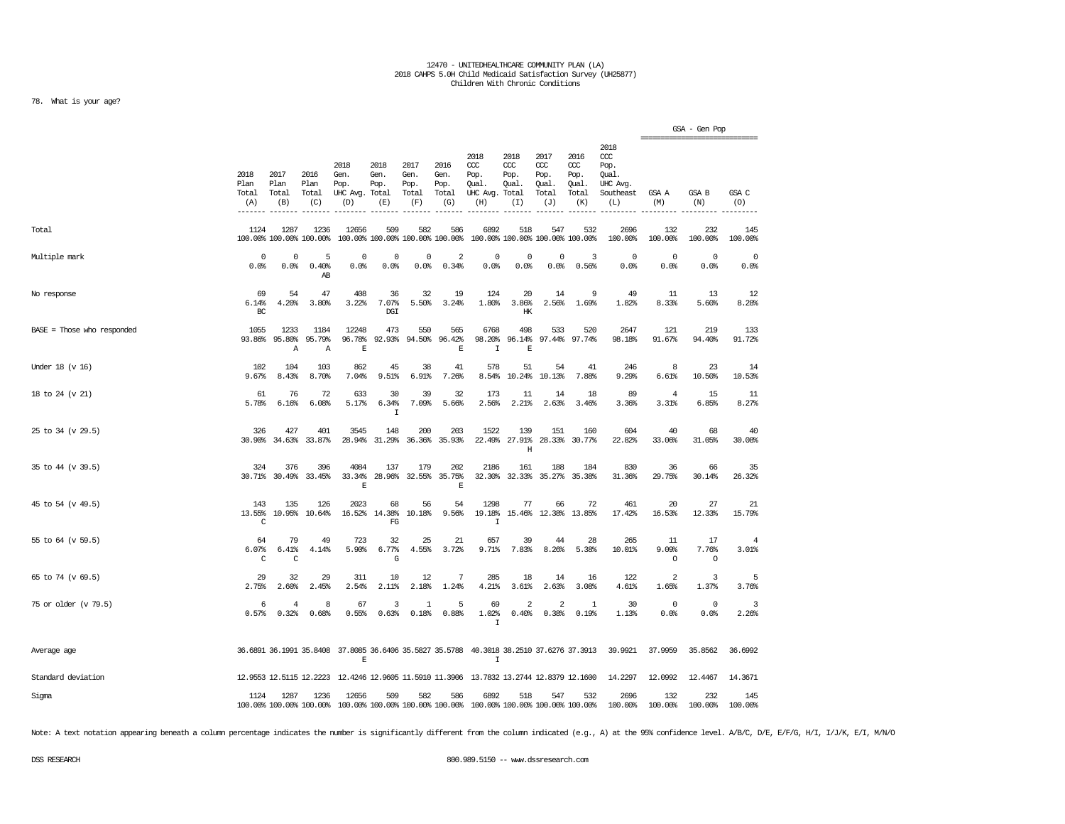### 78. What is your age?

|                              |                              |                                 |                              |                                                                                              |                                        |                                      |                                      |                                                                 |                                     |                                              |                                              |                                                                   |                         | GSA - Gen Pop                          |                         |
|------------------------------|------------------------------|---------------------------------|------------------------------|----------------------------------------------------------------------------------------------|----------------------------------------|--------------------------------------|--------------------------------------|-----------------------------------------------------------------|-------------------------------------|----------------------------------------------|----------------------------------------------|-------------------------------------------------------------------|-------------------------|----------------------------------------|-------------------------|
|                              | 2018<br>Plan<br>Total<br>(A) | 2017<br>Plan<br>Total<br>(B)    | 2016<br>Plan<br>Total<br>(C) | 2018<br>Gen.<br>Pop.<br>UHC Avg. Total<br>(D)                                                | 2018<br>Gen.<br>Pop.<br>(E)            | 2017<br>Gen.<br>Pop.<br>Total<br>(F) | 2016<br>Gen.<br>Pop.<br>Total<br>(G) | 2018<br>ccc<br>Pop.<br>Qual.<br>UHC Avg. Total<br>(H)           | 2018<br>ccc<br>Pop.<br>Qual.<br>(I) | 2017<br>ccc<br>Pop.<br>Qual.<br>Total<br>(J) | 2016<br>ccc<br>Pop.<br>Qual.<br>Total<br>(K) | 2018<br>$\alpha$<br>Pop.<br>Qual.<br>UHC Avg.<br>Southeast<br>(L) | GSA A<br>(M)            | ----------------------<br>GSA B<br>(N) | GSA C<br>(0)            |
| Total                        | 1124                         | 1287<br>100.00% 100.00% 100.00% | 1236                         | 12656                                                                                        | 509<br>100.00% 100.00% 100.00% 100.00% | 582                                  | 586                                  | 6892                                                            | 518                                 | 547<br>100.00% 100.00% 100.00% 100.00%       | 532                                          | 2696<br>100.00%                                                   | 132<br>100.00%          | 232<br>100.00%                         | 145<br>100.00%          |
| Multiple mark                | $\mathbf 0$<br>0.0%          | 0<br>0.0%                       | 5<br>0.40%<br>AB             | $\mathbf 0$<br>0.0%                                                                          | 0<br>0.0%                              | 0<br>0.0%                            | 2<br>0.34%                           | $\mathbf 0$<br>0.0%                                             | 0<br>0.0%                           | 0<br>0.0%                                    | 3<br>0.56%                                   | $\Omega$<br>0.0%                                                  | $\Omega$<br>0.0%        | $\mathbf 0$<br>0.0%                    | $\mathbf 0$<br>0.0%     |
| No response                  | 69<br>6.14%<br>BC            | 54<br>4.20%                     | 47<br>3.80%                  | 408<br>3.22%                                                                                 | 36<br>7.07%<br>DGI                     | 32<br>5.50%                          | 19<br>3.24%                          | 124<br>1.80%                                                    | 20<br>3.86%<br>HK                   | 14<br>2.56%                                  | 9<br>1.69%                                   | 49<br>1.82%                                                       | 11<br>8.33%             | 13<br>5.60%                            | 12<br>8.28%             |
| $BASE = Those who responded$ | 1055<br>93.86%               | 1233<br>95.80%<br>Α             | 1184<br>95.79%<br>Α          | 12248<br>96.78%<br>Е                                                                         | 473<br>92.93%                          | 550<br>94.50%                        | 565<br>96.42%<br>$\mathbf E$         | 6768<br>98.20%<br>I                                             | 498<br>96.14%<br>E                  | 533<br>97.44%                                | 520<br>97.74%                                | 2647<br>98.18%                                                    | 121<br>91.67%           | 219<br>94.40%                          | 133<br>91.72%           |
| Under $18$ (v $16$ )         | 102<br>9.67%                 | 104<br>8.43%                    | 103<br>8.70%                 | 862<br>7.04%                                                                                 | 45<br>9.51%                            | 38<br>6.91%                          | 41<br>7.26%                          | 578<br>8.54%                                                    | 51<br>10.24%                        | 54<br>10.13%                                 | 41<br>7.88%                                  | 246<br>9.29%                                                      | 8<br>6.61%              | 23<br>10.50%                           | 14<br>10.53%            |
| 18 to 24 (v 21)              | 61<br>5.78%                  | 76<br>6.16%                     | 72<br>6.08%                  | 633<br>5.17%                                                                                 | 30<br>6.34%<br>$\mathbf I$             | 39<br>7.09%                          | 32<br>5.66%                          | 173<br>2.56%                                                    | 11<br>2.21%                         | 14<br>2.63%                                  | 18<br>3.46%                                  | 89<br>3.36%                                                       | $\overline{4}$<br>3.31% | 15<br>6.85%                            | 11<br>8.27%             |
| 25 to 34 (v 29.5)            | 326<br>30.90%                | 427<br>34.63%                   | 401<br>33.87%                | 3545<br>28.94%                                                                               | 148<br>31.29%                          | 200                                  | 203<br>36.36% 35.93%                 | 1522                                                            | 139<br>22.49% 27.91%<br>Η           | 151                                          | 160<br>28.33% 30.77%                         | 604<br>22.82%                                                     | 40<br>33.06%            | 68<br>31.05%                           | 40<br>30.08%            |
| 35 to 44 (v 39.5)            | 324<br>30.71%                | 376                             | 396<br>30.49% 33.45%         | 4084<br>33.34%<br>E                                                                          | 137<br>28.96%                          | 179                                  | 202<br>32.55% 35.75%<br>$\mathbf E$  | 2186                                                            | 161<br>32.30% 32.33%                | 188                                          | 184<br>35.27% 35.38%                         | 830<br>31.36%                                                     | 36<br>29.75%            | 66<br>30.14%                           | 35<br>26.32%            |
| 45 to 54 (v 49.5)            | 143<br>13.55%<br>C           | 135<br>10.95%                   | 126<br>10.64%                | 2023<br>16.52%                                                                               | 68<br>14.38%<br>FG                     | 56<br>10.18%                         | 54<br>9.56%                          | 1298<br>19.18%<br>$\mathbf I$                                   | 77<br>15.46%                        | 66<br>12.38%                                 | 72<br>13.85%                                 | 461<br>17.42%                                                     | 20<br>16.53%            | 27<br>12.33%                           | 21<br>15.79%            |
| 55 to 64 (v 59.5)            | 64<br>6.07%<br>C             | 79<br>6.41%<br>C                | 49<br>4.14%                  | 723<br>5.90%                                                                                 | 32<br>6.77%<br>G                       | 25<br>4.55%                          | 21<br>3.72%                          | 657<br>9.71%                                                    | 39<br>7.83%                         | 44<br>8.26%                                  | 28<br>5.38%                                  | 265<br>10.01%                                                     | 11<br>9.09%<br>$\circ$  | 17<br>7.76%<br>$\circ$                 | $\overline{4}$<br>3.01% |
| 65 to 74 (v 69.5)            | 29<br>2.75%                  | 32<br>2.60%                     | 29<br>2.45%                  | 311<br>2.54%                                                                                 | 10<br>2.11%                            | 12<br>2.18%                          | 7<br>1.24%                           | 285<br>4.21%                                                    | 18<br>3.61%                         | 14<br>2.63%                                  | 16<br>3.08%                                  | 122<br>4.61%                                                      | $\overline{2}$<br>1.65% | 3<br>1.37%                             | 5<br>3.76%              |
| 75 or older (v 79.5)         | 6<br>0.57%                   | 4<br>0.32%                      | 8<br>0.68%                   | 67<br>0.55%                                                                                  | 3<br>0.63%                             | 1<br>0.18%                           | 5<br>0.88%                           | 69<br>1.02%<br>I                                                | 2<br>0.40%                          | $\overline{a}$<br>0.38%                      | $\overline{1}$<br>0.19%                      | 30<br>1.13%                                                       | $\Omega$<br>0.0%        | $\circ$<br>0.0%                        | $\overline{3}$<br>2.26% |
| Average age                  |                              |                                 |                              | 36.6891 36.1991 35.8408 37.8085 36.6406 35.5827 35.5788 40.3018 38.2510 37.6276 37.3913<br>E |                                        |                                      |                                      | $\mathbf I$                                                     |                                     |                                              |                                              | 39.9921                                                           | 37.9959                 | 35.8562                                | 36.6992                 |
| Standard deviation           |                              | 12.9553 12.5115 12.2223         |                              |                                                                                              |                                        |                                      |                                      | 12.4246 12.9605 11.5910 11.3906 13.7832 13.2744 12.8379 12.1600 |                                     |                                              |                                              | 14.2297                                                           | 12.0992                 | 12.4467                                | 14.3671                 |
| Sigma                        | 1124                         | 1287<br>100.00% 100.00% 100.00% | 1236                         | 12656                                                                                        | 509<br>100.00% 100.00% 100.00% 100.00% | 582                                  | 586                                  | 6892<br>100.00% 100.00% 100.00% 100.00%                         | 518                                 | 547                                          | 532                                          | 2696<br>100.00%                                                   | 132<br>100.00%          | 232<br>100.00%                         | 145<br>100.00%          |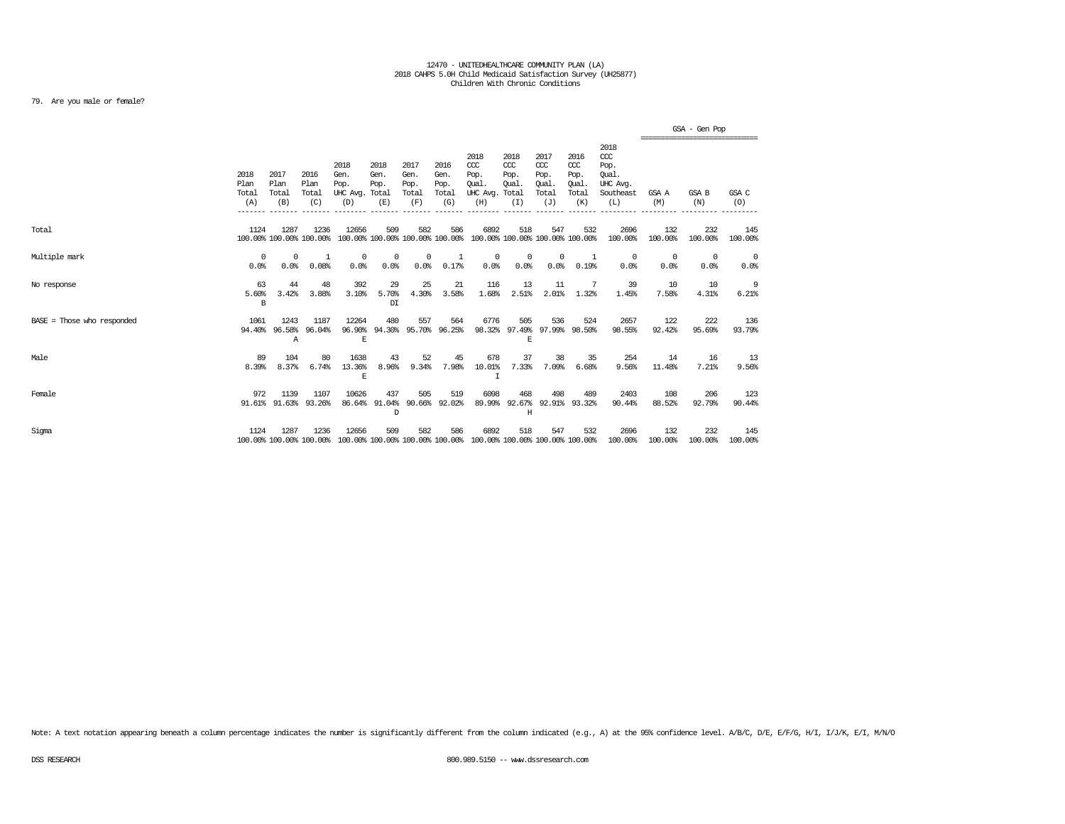### 79. Are you male or female?

|                              |                              |                                 |                              |                                               |                                        |                                      |                                      |                                                                         |                                                |                                              |                                                   |                                                              |                    | GSA - Gen Pop<br>---------------------- |                |
|------------------------------|------------------------------|---------------------------------|------------------------------|-----------------------------------------------|----------------------------------------|--------------------------------------|--------------------------------------|-------------------------------------------------------------------------|------------------------------------------------|----------------------------------------------|---------------------------------------------------|--------------------------------------------------------------|--------------------|-----------------------------------------|----------------|
|                              | 2018<br>Plan<br>Total<br>(A) | 2017<br>Plan<br>Total<br>(B)    | 2016<br>Plan<br>Total<br>(C) | 2018<br>Gen.<br>Pop.<br>UHC Avg. Total<br>(D) | 2018<br>Gen.<br>Pop.<br>(E)            | 2017<br>Gen.<br>Pop.<br>Total<br>(F) | 2016<br>Gen.<br>Pop.<br>Total<br>(G) | 2018<br>CCC<br>Pop.<br>Oual.<br>UHC Avg.<br>(H)                         | 2018<br>$ccc$<br>Pop.<br>Oual.<br>Total<br>(I) | 2017<br>ccc<br>Pop.<br>Oual.<br>Total<br>(J) | 2016<br>$\alpha$<br>Pop.<br>Oual.<br>Total<br>(K) | 2018<br>ccc<br>Pop.<br>Oual.<br>UHC Avg.<br>Southeast<br>(L) | GSA A<br>(M)       | GSA B<br>(N)                            | GSA C<br>(O)   |
| Total                        | 1124                         | 1287<br>100.00% 100.00% 100.00% | 1236                         | 12656                                         | 509<br>100.00% 100.00% 100.00% 100.00% | 582                                  | 586                                  | 6892<br>100.00% 100.00% 100.00% 100.00%                                 | 518                                            | 547                                          | 532                                               | 2696<br>100.00%                                              | 132<br>100.00%     | 232<br>100.00%                          | 145<br>100.00% |
| Multiple mark                | $\mathbf 0$<br>0.0%          | 0<br>0.0%                       | -1<br>0.08%                  | $^{\circ}$<br>0.0%                            | $^{\circ}$<br>0.0%                     | 0<br>0.0%                            | 1<br>0.17%                           | 0<br>0.0%                                                               | $^{\circ}$<br>0.0%                             | $^{\circ}$<br>0.0%                           | 1<br>0.19%                                        | $^{\circ}$<br>0.0%                                           | $^{\circ}$<br>0.0% | 0<br>0.0%                               | 0<br>0.0%      |
| No response                  | 63<br>5.60%<br>$\, {\bf B}$  | 44<br>3.42%                     | 48<br>3.88%                  | 392<br>3.10%                                  | 29<br>5.70%<br>DT                      | 25<br>4.30%                          | 21<br>3.58%                          | 116<br>1.68%                                                            | 13<br>2.51%                                    | 11<br>2.01%                                  | 1.32%                                             | 39<br>1.45%                                                  | 10<br>7.58%        | 10<br>4.31%                             | 9<br>6.21%     |
| $BASE = Those who responded$ | 1061                         | 1243<br>94.40% 96.58%<br>Α      | 1187<br>96.04%               | 12264<br>96.90%<br>E                          | 480<br>94.30%                          | 557                                  | 564<br>95.70% 96.25%                 | 6776                                                                    | 505<br>$\mathbb E$                             | 536<br>98.32% 97.49% 97.99% 98.50%           | 524                                               | 2657<br>98.55%                                               | 122<br>92.42%      | 222<br>95.69%                           | 136<br>93.79%  |
| Male                         | 89<br>8.39%                  | 104<br>8.37%                    | 80<br>6.74%                  | 1638<br>13.36%<br>Е                           | 43<br>8.96%                            | 52<br>9.34%                          | 45<br>7.98%                          | 678<br>10.01%<br>I                                                      | 37<br>7.33%                                    | 38<br>7.09%                                  | 35<br>6.68%                                       | 254<br>9.56%                                                 | 14<br>11.48%       | 16<br>7.21%                             | 13<br>9.56%    |
| Female                       | 972                          | 1139<br>91.61% 91.63%           | 1107<br>93.26%               | 10626                                         | 437<br>86.64% 91.04%<br>D              | 505                                  | 519<br>90.66% 92.02%                 | 6098<br>89.99%                                                          | 468<br>92.67%<br>Н                             | 498                                          | 489<br>92.91% 93.32%                              | 2403<br>90.44%                                               | 108<br>88.52%      | 206<br>92.79%                           | 123<br>90.44%  |
| Sigma                        | 1124                         | 1287<br>100.00% 100.00% 100.00% | 1236                         | 12656                                         | 509                                    | 582                                  | 586                                  | 6892<br>100.00% 100.00% 100.00% 100.00% 100.00% 100.00% 100.00% 100.00% | 518                                            | 547                                          | 532                                               | 2696<br>100.00%                                              | 132<br>100.00%     | 232<br>100.00%                          | 145<br>100.00% |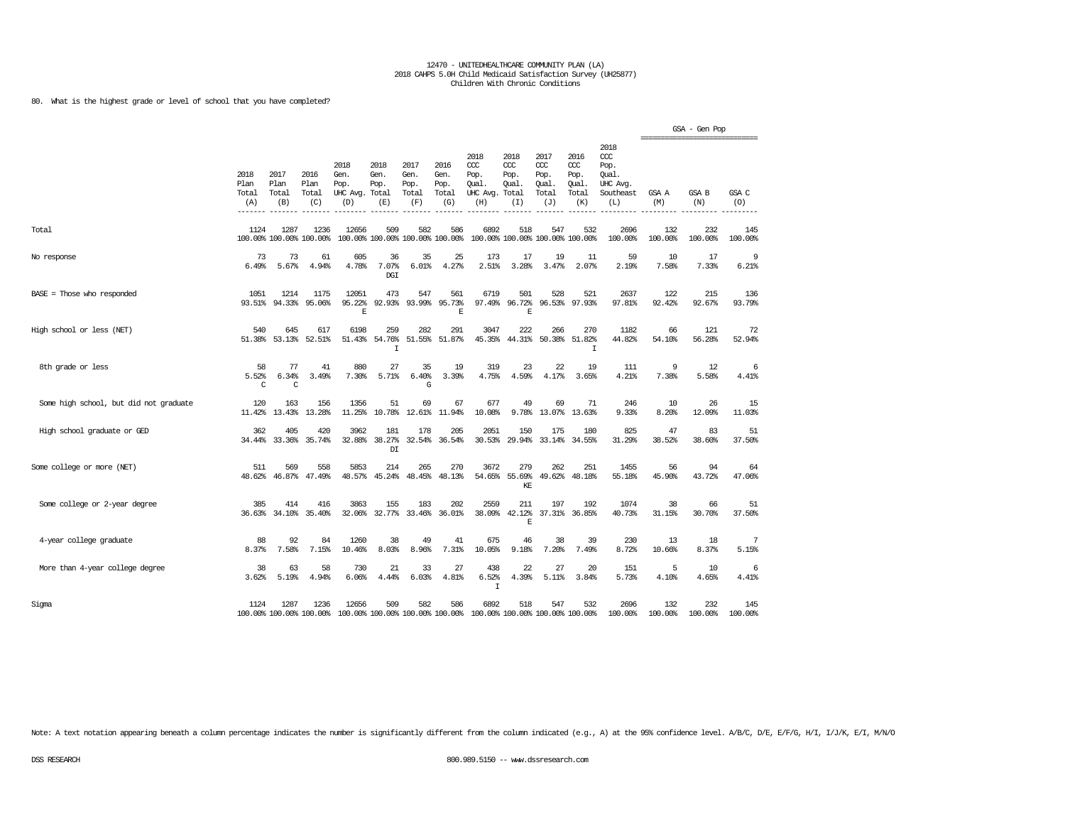### 80. What is the highest grade or level of school that you have completed?

|                                        |                              |                              |                                 |                                               |                                         |                                      |                                      |                                                                         |                                               |                                                   |                                                   |                                                                   |                | GSA - Gen Pop  |                |
|----------------------------------------|------------------------------|------------------------------|---------------------------------|-----------------------------------------------|-----------------------------------------|--------------------------------------|--------------------------------------|-------------------------------------------------------------------------|-----------------------------------------------|---------------------------------------------------|---------------------------------------------------|-------------------------------------------------------------------|----------------|----------------|----------------|
|                                        | 2018<br>Plan<br>Total<br>(A) | 2017<br>Plan<br>Total<br>(B) | 2016<br>Plan<br>Total<br>(C)    | 2018<br>Gen.<br>Pop.<br>UHC Avg. Total<br>(D) | 2018<br>Gen.<br>Pop.<br>(E)             | 2017<br>Gen.<br>Pop.<br>Total<br>(F) | 2016<br>Gen.<br>Pop.<br>Total<br>(G) | 2018<br>CCC<br>Pop.<br>Qual.<br>UHC Avg.<br>(H)                         | 2018<br>$CC$<br>Pop.<br>Qual.<br>Total<br>(I) | 2017<br>$\alpha$<br>Pop.<br>Qual.<br>Total<br>(J) | 2016<br>$\alpha$<br>Pop.<br>Qual.<br>Total<br>(K) | 2018<br>$\alpha$<br>Pop.<br>Oual.<br>UHC Avg.<br>Southeast<br>(L) | GSA A<br>(M)   | GSA B<br>(N)   | GSA C<br>(O)   |
| Total                                  | 1124                         | 1287                         | 1236<br>100.00% 100.00% 100.00% | 12656                                         | 509<br>100.00% 100.00% 100.00% 100.00%  | 582                                  | 586                                  | 6892                                                                    | 518<br>100.00% 100.00% 100.00% 100.00%        | 547                                               | 532                                               | 2696<br>100.00%                                                   | 132<br>100.00% | 232<br>100.00% | 145<br>100.00% |
| No response                            | 73<br>6.49%                  | 73<br>5.67%                  | 61<br>4.94%                     | 605<br>4.78%                                  | 36<br>7.07%<br><b>DGI</b>               | 35<br>6.01%                          | 25<br>4.27%                          | 173<br>2.51%                                                            | 17<br>3.28%                                   | 19<br>3.47%                                       | 11<br>2.07%                                       | 59<br>2.19%                                                       | 10<br>7.58%    | 17<br>7.33%    | 9<br>6.21%     |
| BASE = Those who responded             | 1051<br>93.51%               | 1214<br>94.33%               | 1175<br>95.06%                  | 12051<br>95.22%<br>F.                         | 473<br>92.93%                           | 547<br>93.99%                        | 561<br>95.73%<br>E                   | 6719<br>97.49%                                                          | 501<br>96.72%<br>E                            | 528                                               | 521<br>96.53% 97.93%                              | 2637<br>97.81%                                                    | 122<br>92.42%  | 215<br>92.67%  | 136<br>93.79%  |
| High school or less (NET)              | 540<br>51.38%                | 645<br>53.13%                | 617<br>52.51%                   | 6198<br>51.43%                                | 259<br>54.76%<br>$\mathbbm{1}$          | 282<br>51.55%                        | 291<br>51.87%                        | 3047<br>45.35%                                                          | 222<br>44.31%                                 | 266<br>50.38%                                     | 270<br>51.82%<br>I                                | 1182<br>44.82%                                                    | 66<br>54.10%   | 121<br>56.28%  | 72<br>52.94%   |
| 8th grade or less                      | 58<br>5.52%<br>C             | 77<br>6.34%<br>C             | 41<br>3.49%                     | 880<br>7.30%                                  | 27<br>5.71%                             | 35<br>6.40%<br>G                     | 19<br>3.39%                          | 319<br>4.75%                                                            | 23<br>4.59%                                   | 22<br>4.17%                                       | 19<br>3.65%                                       | 111<br>4.21%                                                      | 9<br>7.38%     | 12<br>5.58%    | 6<br>4.41%     |
| Some high school, but did not graduate | 120<br>11.42%                | 163<br>13.43%                | 156<br>13.28%                   | 1356<br>11.25%                                | 51<br>10.78%                            | 69<br>12.61%                         | 67<br>11.94%                         | 677<br>10.08%                                                           | 49<br>9.78%                                   | 69<br>13.07%                                      | 71<br>13.63%                                      | 246<br>9.33%                                                      | 10<br>8.20%    | 26<br>12.09%   | 15<br>11.03%   |
| High school graduate or GED            | 362<br>34.44%                | 405<br>33.36%                | 420<br>35.74%                   | 3962<br>32.88%                                | 181<br>38.27%<br>$\mathbb{D}\mathbb{I}$ | 178<br>32.54%                        | 205<br>36.54%                        | 2051<br>30.53%                                                          | 150<br>29.94%                                 | 175<br>33.14%                                     | 180<br>34.55%                                     | 825<br>31.29%                                                     | 47<br>38.52%   | 83<br>38.60%   | 51<br>37.50%   |
| Some college or more (NET)             | 511<br>48.62%                | 569<br>46.87%                | 558<br>47.49%                   | 5853<br>48.57%                                | 214<br>45.24%                           | 265<br>48.45%                        | 270<br>48.13%                        | 3672<br>54.65%                                                          | 279<br>55.69%<br>KE                           | 262<br>49.62%                                     | 251<br>48.18%                                     | 1455<br>55.18%                                                    | 56<br>45.90%   | 94<br>43.72%   | 64<br>47.06%   |
| Some college or 2-year degree          | 385<br>36.63%                | 414<br>34.10%                | 416<br>35.40%                   | 3863<br>32.06%                                | 155<br>32.77%                           | 183<br>33.46%                        | 202<br>36.01%                        | 2559<br>38.09%                                                          | 211<br>42.12%<br>E                            | 197                                               | 192<br>37.31% 36.85%                              | 1074<br>40.73%                                                    | 38<br>31.15%   | 66<br>30.70%   | 51<br>37.50%   |
| 4-year college graduate                | 88<br>8.37%                  | 92<br>7.58%                  | 84<br>7.15%                     | 1260<br>10.46%                                | 38<br>8.03%                             | 49<br>8.96%                          | 41<br>7.31%                          | 675<br>10.05%                                                           | 46<br>9.18%                                   | 38<br>7.20%                                       | 39<br>7.49%                                       | 230<br>8.72%                                                      | 13<br>10.66%   | 18<br>8.37%    | 7<br>5.15%     |
| More than 4-year college degree        | 38<br>3.62%                  | 63<br>5.19%                  | 58<br>4.94%                     | 730<br>6.06%                                  | 21<br>4.44%                             | 33<br>6.03%                          | 27<br>4.81%                          | 438<br>6.52%<br>$\mathbf I$                                             | 22<br>4.39%                                   | 27<br>5.11%                                       | 20<br>3.84%                                       | 151<br>5.73%                                                      | 5<br>4.10%     | 10<br>4.65%    | 6<br>4.41%     |
| Sigma                                  | 1124                         | 1287                         | 1236<br>100.00% 100.00% 100.00% | 12656                                         | 509                                     | 582                                  | 586                                  | 6892<br>100.00% 100.00% 100.00% 100.00% 100.00% 100.00% 100.00% 100.00% | 518                                           | 547                                               | 532                                               | 2696<br>100.00%                                                   | 132<br>100.00% | 232<br>100.00% | 145<br>100.00% |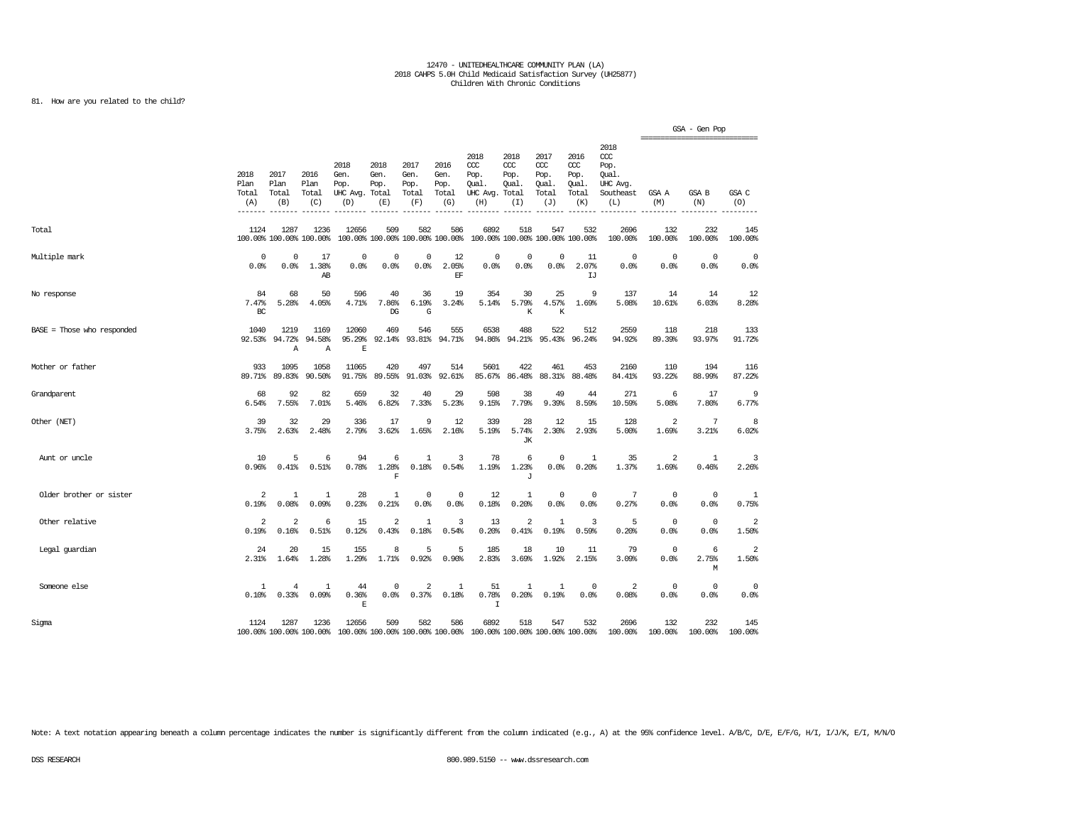### 81. How are you related to the child?

|                            |                                       |                              |                                 |                                               |                                        |                                      |                                      |                                                                         |                                              |                                                   |                                              |                                                              |                         | GSA - Gen Pop<br>=============================== |                         |
|----------------------------|---------------------------------------|------------------------------|---------------------------------|-----------------------------------------------|----------------------------------------|--------------------------------------|--------------------------------------|-------------------------------------------------------------------------|----------------------------------------------|---------------------------------------------------|----------------------------------------------|--------------------------------------------------------------|-------------------------|--------------------------------------------------|-------------------------|
|                            | 2018<br>Plan<br>Total<br>(A)<br>----- | 2017<br>Plan<br>Total<br>(B) | 2016<br>Plan<br>Total<br>(C)    | 2018<br>Gen.<br>Pop.<br>UHC Avg. Total<br>(D) | 2018<br>Gen.<br>Pop.<br>(E)            | 2017<br>Gen.<br>Pop.<br>Total<br>(F) | 2016<br>Gen.<br>Pop.<br>Total<br>(G) | 2018<br>CCC<br>Pop.<br>Qual.<br>UHC Avg.<br>(H)                         | 2018<br>CCC<br>Pop.<br>Qual.<br>Total<br>(I) | 2017<br>$\alpha$<br>Pop.<br>Qual.<br>Total<br>(J) | 2016<br>ccc<br>Pop.<br>Qual.<br>Total<br>(K) | 2018<br>ccc<br>Pop.<br>Oual.<br>UHC Avg.<br>Southeast<br>(L) | GSA A<br>(M)            | GSA B<br>(N)                                     | GSA C<br>(0)            |
| Total                      | 1124                                  | 1287                         | 1236<br>100.00% 100.00% 100.00% | 12656                                         | 509<br>100.00% 100.00% 100.00% 100.00% | 582                                  | 586                                  | 6892                                                                    | 518<br>100.00% 100.00% 100.00% 100.00%       | 547                                               | 532                                          | 2696<br>100.00%                                              | 132<br>100.00%          | 232<br>100.00%                                   | 145<br>100.00%          |
| Multiple mark              | $\mathbf 0$<br>0.0%                   | 0<br>0.0%                    | 17<br>1.38%<br>A <sub>R</sub>   | $\mathbf 0$<br>0.0%                           | $\circ$<br>0.0%                        | 0<br>0.0%                            | 12<br>2.05%<br>EF.                   | $\mathbf 0$<br>0.0%                                                     | $\mathbf 0$<br>0.0%                          | $\circ$<br>0.0%                                   | 11<br>2.07%<br>IJ                            | $^{\circ}$<br>0.0%                                           | $\mathbf 0$<br>0.0%     | $\circ$<br>0.0%                                  | $\mathbf 0$<br>0.0%     |
| No response                | 84<br>7.47%<br>BC                     | 68<br>5.28%                  | 50<br>4.05%                     | 596<br>4.71%                                  | 40<br>7.86%<br>$_{\rm DG}$             | 36<br>6.19%<br>G                     | 19<br>3.24%                          | 354<br>5.14%                                                            | 30<br>5.79%<br>K                             | 25<br>4.57%<br>К                                  | 9<br>1.69%                                   | 137<br>5.08%                                                 | 14<br>10.61%            | 14<br>6.03%                                      | 12<br>8.28%             |
| BASE = Those who responded | 1040<br>92.53%                        | 1219<br>94.72%<br>Α          | 1169<br>94.58%<br>$\mathbf{A}$  | 12060<br>95.29%<br>E                          | 469<br>92.14%                          | 546                                  | 555<br>93.81% 94.71%                 | 6538<br>94.86%                                                          | 488<br>94.21%                                | 522<br>95.43%                                     | 512<br>96.24%                                | 2559<br>94.92%                                               | 118<br>89.39%           | 218<br>93.97%                                    | 133<br>91.72%           |
| Mother or father           | 933<br>89.71%                         | 1095<br>89.83%               | 1058<br>90.50%                  | 11065<br>91.75%                               | 420<br>89.55%                          | 497<br>91.03%                        | 514<br>92.61%                        | 5601<br>85.67%                                                          | 422<br>86.48%                                | 461<br>88.31%                                     | 453<br>88,48%                                | 2160<br>84.41%                                               | 110<br>93.22%           | 194<br>88.99%                                    | 116<br>87.22%           |
| Grandparent                | 68<br>6.54%                           | 92<br>7.55%                  | 82<br>7.01%                     | 659<br>5.46%                                  | 32<br>6.82%                            | 40<br>7.33%                          | 29<br>5.23%                          | 598<br>9.15%                                                            | 38<br>7.79%                                  | 49<br>9.39%                                       | 44<br>8.59%                                  | 271<br>10.59%                                                | 6<br>5.08%              | 17<br>7.80%                                      | 9<br>6.77%              |
| Other (NET)                | 39<br>3.75%                           | 32<br>2.63%                  | 29<br>2.48%                     | 336<br>2.79%                                  | 17<br>3.62%                            | 9<br>1.65%                           | 12<br>2.16%                          | 339<br>5.19%                                                            | 28<br>5.74%<br>JК                            | 12<br>2.30%                                       | 15<br>2.93%                                  | 128<br>5.00%                                                 | $\overline{a}$<br>1.69% | 7<br>3.21%                                       | 8<br>6.02%              |
| Aunt or uncle              | 10<br>0.96%                           | 5<br>0.41%                   | 6<br>0.51%                      | 94<br>0.78%                                   | 6<br>1.28%<br>F                        | 1<br>0.18%                           | 3<br>0.54%                           | 78<br>1.19%                                                             | 6<br>1.23%<br>J                              | 0<br>0.0%                                         | -1<br>0.20%                                  | 35<br>1.37%                                                  | 2<br>1.69%              | $\mathbf{1}$<br>0.46%                            | 3<br>2.26%              |
| Older brother or sister    | 2<br>0.19%                            | 1<br>0.08%                   | 1<br>0.09%                      | 28<br>0.23%                                   | 1<br>0.21%                             | 0<br>0.0%                            | 0<br>0.0%                            | 12<br>0.18%                                                             | 1<br>0.20%                                   | 0<br>0.0%                                         | $^{\circ}$<br>0.0%                           | 7<br>0.27%                                                   | $^{\circ}$<br>0.0%      | $\mathbf 0$<br>0.0%                              | 1<br>0.75%              |
| Other relative             | $\overline{a}$<br>0.19%               | $\overline{a}$<br>0.16%      | 6<br>0.51%                      | 15<br>0.12%                                   | $\overline{2}$<br>0.43%                | 1<br>0.18%                           | 3<br>0.54%                           | 13<br>0.20%                                                             | $\overline{a}$<br>0.41%                      | $\mathbf{1}$<br>0.19%                             | 3<br>0.59%                                   | 5<br>0.20%                                                   | $^{\circ}$<br>0.0%      | $\circ$<br>0.0%                                  | $\overline{2}$<br>1.50% |
| Legal guardian             | 24<br>2.31%                           | 20<br>1.64%                  | 15<br>1.28%                     | 155<br>1.29%                                  | 8<br>1.71%                             | 5<br>0.92%                           | 5<br>0.90%                           | 185<br>2.83%                                                            | 18<br>3.69%                                  | 10<br>1.92%                                       | 11<br>2.15%                                  | 79<br>3.09%                                                  | $^{\circ}$<br>0.0%      | 6<br>2.75%<br>М                                  | $\overline{2}$<br>1.50% |
| Someone else               | 1<br>0.10%                            | 4<br>0.33%                   | -1<br>0.09%                     | 44<br>0.36%<br>$\mathbf E$                    | 0<br>0.0%                              | 2<br>0.37%                           | -1<br>0.18%                          | 51<br>0.78%<br>$\mathbf I$                                              | 1<br>0.20%                                   | 1<br>0.19%                                        | $^{\circ}$<br>0.0%                           | 2<br>0.08%                                                   | $^{\circ}$<br>0.0%      | $\mathbf 0$<br>0.0%                              | 0<br>0.0%               |
| Sigma                      | 1124                                  | 1287                         | 1236<br>100.00% 100.00% 100.00% | 12656                                         | 509                                    | 582                                  | 586                                  | 6892<br>100.00% 100.00% 100.00% 100.00% 100.00% 100.00% 100.00% 100.00% | 518                                          | 547                                               | 532                                          | 2696<br>100.00%                                              | 132<br>100.00%          | 232<br>100.00%                                   | 145<br>100.00%          |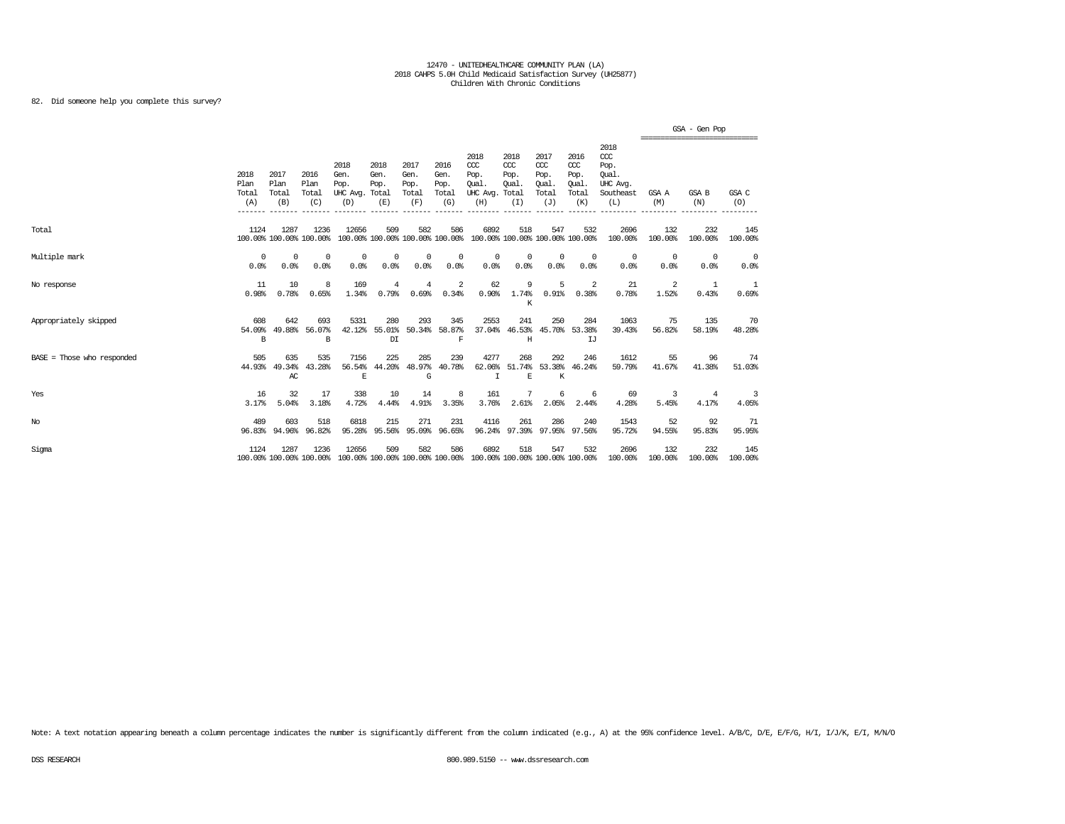82. Did someone help you complete this survey?

|                            |                              |                              |                                 |                                                                                                  |                                                |                                      |                                      |                                                                         |                                              |                                                   |                                                   |                                                                   |                                                  | GSA - Gen Pop       |                    |
|----------------------------|------------------------------|------------------------------|---------------------------------|--------------------------------------------------------------------------------------------------|------------------------------------------------|--------------------------------------|--------------------------------------|-------------------------------------------------------------------------|----------------------------------------------|---------------------------------------------------|---------------------------------------------------|-------------------------------------------------------------------|--------------------------------------------------|---------------------|--------------------|
|                            | 2018<br>Plan<br>Total<br>(A) | 2017<br>Plan<br>Total<br>(B) | 2016<br>Plan<br>Total<br>(C)    | 2018<br>Gen.<br>Pop.<br>UHC Avg. Total<br>(D)                                                    | 2018<br>Gen.<br>Pop.<br>(E)                    | 2017<br>Gen.<br>Pop.<br>Total<br>(F) | 2016<br>Gen.<br>Pop.<br>Total<br>(G) | 2018<br>CCC<br>Pop.<br>Oual.<br>UHC Avg.<br>(H)                         | 2018<br>CCC<br>Pop.<br>Qual.<br>Total<br>(I) | 2017<br>$\alpha$<br>Pop.<br>Oual.<br>Total<br>(J) | 2016<br>$\alpha$<br>Pop.<br>Oual.<br>Total<br>(K) | 2018<br>$\alpha$<br>Pop.<br>Oual.<br>UHC Avg.<br>Southeast<br>(L) | ================================<br>GSA A<br>(M) | <b>GSA B</b><br>(N) | GSA C<br>(O)       |
| Total                      | 1124                         | 1287                         | 1236<br>100.00% 100.00% 100.00% | 12656                                                                                            | 509                                            | 582                                  | 586                                  | 6892<br>100.00% 100.00% 100.00% 100.00% 100.00% 100.00% 100.00% 100.00% | 518                                          | 547                                               | 532                                               | 2696<br>100.00%                                                   | 132<br>100.00%                                   | 232<br>100.00%      | 145<br>100.00%     |
| Multiple mark              | $^{\circ}$<br>0.0%           | $^{\circ}$<br>0.0%           | $^{\circ}$<br>0.0%              | $\Omega$<br>0.0%                                                                                 | 0<br>0.0%                                      | $^{\circ}$<br>0.0%                   | $^{\circ}$<br>0.0%                   | $^{\circ}$<br>0.0%                                                      | $^{\circ}$<br>0.0%                           | $^{\circ}$<br>0.0%                                | $^{\circ}$<br>0.0%                                | $^{\circ}$<br>0.0%                                                | $^{\circ}$<br>0.0%                               | $^{\circ}$<br>0.0%  | $^{\circ}$<br>0.0% |
| No response                | 11<br>0.98%                  | 10<br>0.78%                  | 8<br>0.65%                      | 169<br>1.34%                                                                                     | 4<br>0.79%                                     | $\overline{4}$<br>0.69%              | 2<br>0.34%                           | 62<br>0.90%                                                             | 9<br>1.74%<br>K                              | 5                                                 | -2<br>$0.91\%$ 0.38%                              | 21<br>0.78%                                                       | 2<br>1.52%                                       | 1<br>0.43%          | 1<br>0.69%         |
| Appropriately skipped      | 608<br>54.09%<br>B           | 642<br>49.88%                | 693<br>56.07%<br>B              | 5331                                                                                             | 280<br>42.12% 55.01%<br>$\mathbb{D}\mathbb{I}$ | 293                                  | 345<br>50.34% 58.87%<br>F            | 2553<br>37.04%                                                          | 241<br>Η                                     | 250<br>46.53% 45.70% 53.38%                       | 284<br>IJ                                         | 1063<br>39.43%                                                    | 75<br>56.82%                                     | 135<br>58.19%       | 70<br>48.28%       |
| BASE = Those who responded | 505<br>44.93%                | 635<br>49.34%<br>AC          | 535<br>43.28%                   | 7156<br>56.54%<br>E                                                                              | 225<br>44.20%                                  | 285<br>48.97%<br>G                   | 239<br>40.78%                        | 4277<br>62.06%<br>I                                                     | 268<br>E                                     | 292<br>51.74% 53.38% 46.24%<br>K                  | 246                                               | 1612<br>59.79%                                                    | 55<br>41.67%                                     | 96<br>41.38%        | 74<br>51.03%       |
| Yes                        | 16<br>3.17%                  | 32<br>5.04%                  | 17<br>3.18%                     | 338<br>4.72%                                                                                     | 10<br>4.44%                                    | 14<br>4.91%                          | 8<br>3.35%                           | 161<br>3.76%                                                            | 7<br>2.61%                                   | 6<br>2.05%                                        | -6<br>2.44%                                       | 69<br>4.28%                                                       | 3<br>5.45%                                       | 4<br>4.17%          | 3<br>4.05%         |
| $_{\mathrm{No}}$           | 489<br>96.83%                | 603<br>94.96%                | 518<br>96.82%                   | 6818<br>95.28%                                                                                   | 215<br>95.56%                                  | 271<br>95.09%                        | 231<br>96.65%                        | 4116                                                                    | 261<br>96.24% 97.39% 97.95% 97.56%           | 286                                               | 240                                               | 1543<br>95.72%                                                    | 52<br>94.55%                                     | 92<br>95.83%        | 71<br>95.95%       |
| Sigma                      | 1124                         | 1287                         | 1236                            | 12656<br>100.00% 100.00% 100.00% 100.00% 100.00% 100.00% 100.00% 100.00% 100.00% 100.00% 100.00% | 509                                            | 582                                  | 586                                  | 6892                                                                    | 518                                          | 547                                               | 532                                               | 2696<br>100.00%                                                   | 132<br>100.00%                                   | 232<br>100.00%      | 145<br>100.00%     |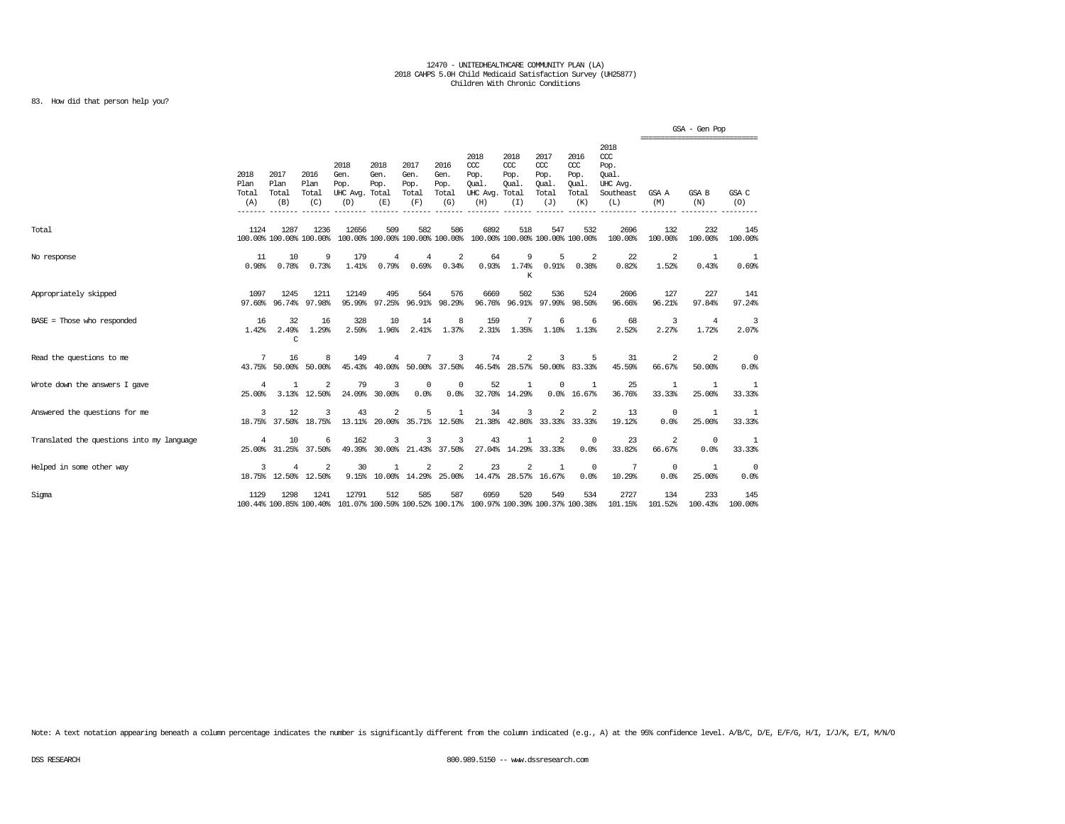### 83. How did that person help you?

|                                           |                              |                              |                                        |                                                                                                  |                             |                                      |                                      |                                                                         |                                               |                                                   |                                                   |                                                                   | ================================ | GSA - Gen Pop         |                    |
|-------------------------------------------|------------------------------|------------------------------|----------------------------------------|--------------------------------------------------------------------------------------------------|-----------------------------|--------------------------------------|--------------------------------------|-------------------------------------------------------------------------|-----------------------------------------------|---------------------------------------------------|---------------------------------------------------|-------------------------------------------------------------------|----------------------------------|-----------------------|--------------------|
|                                           | 2018<br>Plan<br>Total<br>(A) | 2017<br>Plan<br>Total<br>(B) | 2016<br>Plan<br>Total<br>(C)           | 2018<br>Gen.<br>Pop.<br>UHC Avg. Total<br>(D)                                                    | 2018<br>Gen.<br>Pop.<br>(E) | 2017<br>Gen.<br>Pop.<br>Total<br>(F) | 2016<br>Gen.<br>Pop.<br>Total<br>(G) | 2018<br>CCC<br>Pop.<br>Oual.<br>UHC Avg.<br>(H)                         | 2018<br>$CC$<br>Pop.<br>Oual.<br>Total<br>(I) | 2017<br>$\alpha$<br>Pop.<br>Oual.<br>Total<br>(J) | 2016<br>$\alpha$<br>Pop.<br>Oual.<br>Total<br>(K) | 2018<br>$\alpha$<br>Pop.<br>Oual.<br>UHC Avg.<br>Southeast<br>(L) | GSA A<br>(M)                     | <b>GSA B</b><br>(N)   | GSA C<br>(O)       |
| Total                                     | 1124                         | 1287                         | 1236<br>100.00% 100.00% 100.00%        | 12656                                                                                            | 509                         | 582                                  | 586                                  | 6892<br>100.00% 100.00% 100.00% 100.00% 100.00% 100.00% 100.00% 100.00% | 518                                           | 547                                               | 532                                               | 2696<br>100.00%                                                   | 132<br>100.00%                   | 232<br>100.00%        | 145<br>100.00%     |
| No response                               | 11<br>0.98%                  | 10<br>0.78%                  | 9<br>0.73%                             | 179<br>1.41%                                                                                     | $\overline{4}$<br>0.79%     | 4<br>0.69%                           | $\overline{\mathbf{c}}$<br>0.34%     | 64<br>0.93%                                                             | 9<br>1.74%<br>K                               | 5<br>0.91%                                        | -2<br>0.38%                                       | 22<br>0.82%                                                       | 2<br>1.52%                       | $\mathbf{1}$<br>0.43% | -1<br>0.69%        |
| Appropriately skipped                     | 1097<br>97.60%               | 1245<br>96.74%               | 1211<br>97.98%                         | 12149<br>95.99%                                                                                  | 495<br>97.25%               | 564                                  | 576<br>96.91% 98.29%                 | 6669<br>96.76%                                                          | 502                                           | 536<br>96.91% 97.99% 98.50%                       | 524                                               | 2606<br>96.66%                                                    | 127<br>96.21%                    | 227<br>97.84%         | 141<br>97.24%      |
| $BASE = Those who responded$              | 16<br>1.42%                  | 32<br>2.49%<br>C             | 16<br>1.29%                            | 328<br>2.59%                                                                                     | 10<br>1.96%                 | 14<br>2.41%                          | 8<br>1.37%                           | 159<br>2.31%                                                            | 7<br>1.35%                                    | 6<br>1.10%                                        | 6<br>1.13%                                        | 68<br>2.52%                                                       | 3<br>2.27%                       | 4<br>1.72%            | 3<br>2.07%         |
| Read the questions to me                  | 7                            | 16<br>43.75% 50.00%          | 8<br>50.00%                            | 149<br>45.43%                                                                                    | 4<br>40.00%                 | 7                                    | 3<br>50.00% 37.50%                   | 74<br>46.54%                                                            | 2<br>28.57% 50.00% 83.33%                     | 3                                                 | 5                                                 | 31<br>45.59%                                                      | 2<br>66.67%                      | 2<br>50.00%           | 0<br>0.0%          |
| Wrote down the answers I gave             | $\overline{4}$<br>25,00%     | $\mathbf{1}$                 | $\overline{2}$<br>3.13% 12.50%         | 79<br>24.09%                                                                                     | 3<br>30.00%                 | $^{\circ}$<br>0.0%                   | $^{\circ}$<br>0.0%                   | 52                                                                      | 1<br>32.70% 14.29%                            | $\Omega$                                          | -1<br>0.0%16.67%                                  | 25<br>36.76%                                                      | 1<br>33.33%                      | 1<br>25.00%           | 1<br>33.33%        |
| Answered the questions for me             | 3                            | 12                           | 3<br>18.75% 37.50% 18.75%              | 43                                                                                               | 2                           | 5<br>13.11% 20.00% 35.71% 12.50%     | 1                                    | 34                                                                      | 3                                             | 2                                                 | 2<br>21.38% 42.86% 33.33% 33.33%                  | 13<br>19.12%                                                      | $^{\circ}$<br>0.0%               | 1<br>25.00%           | 1<br>33.33%        |
| Translated the questions into my language | 4                            | 10                           | 6<br>25.00% 31.25% 37.50%              | 162<br>49.39%                                                                                    | 3                           | 30.00% 21.43% 37.50%                 | 3                                    | 43                                                                      | 27.04% 14.29% 33.33%                          | 2                                                 | $\Omega$<br>0.0%                                  | 23<br>33.82%                                                      | $\mathfrak{D}$<br>66.67%         | $\Omega$<br>0.0%      | 1<br>33.33%        |
| Helped in some other way                  | 3                            | 4                            | $\overline{2}$<br>18.75% 12.50% 12.50% | 30                                                                                               | $\mathbf{1}$                | 2<br>9.15% 10.00% 14.29% 25.00%      | 2                                    | 23<br>14.47%                                                            | 2                                             | 1<br>28.57% 16.67%                                | $^{\circ}$<br>0.0%                                | 7<br>10.29%                                                       | $^{\circ}$<br>0.0%               | 1<br>25.00%           | $^{\circ}$<br>0.0% |
| Sigma                                     | 1129                         | 1298                         | 1241                                   | 12791<br>100.44% 100.85% 100.40% 101.07% 100.59% 100.52% 100.17% 100.97% 100.39% 100.37% 100.38% | 512                         | 585                                  | 587                                  | 6959                                                                    | 520                                           | 549                                               | 534                                               | 2727<br>101.15%                                                   | 134<br>101.52%                   | 233<br>100.43%        | 145<br>100.00%     |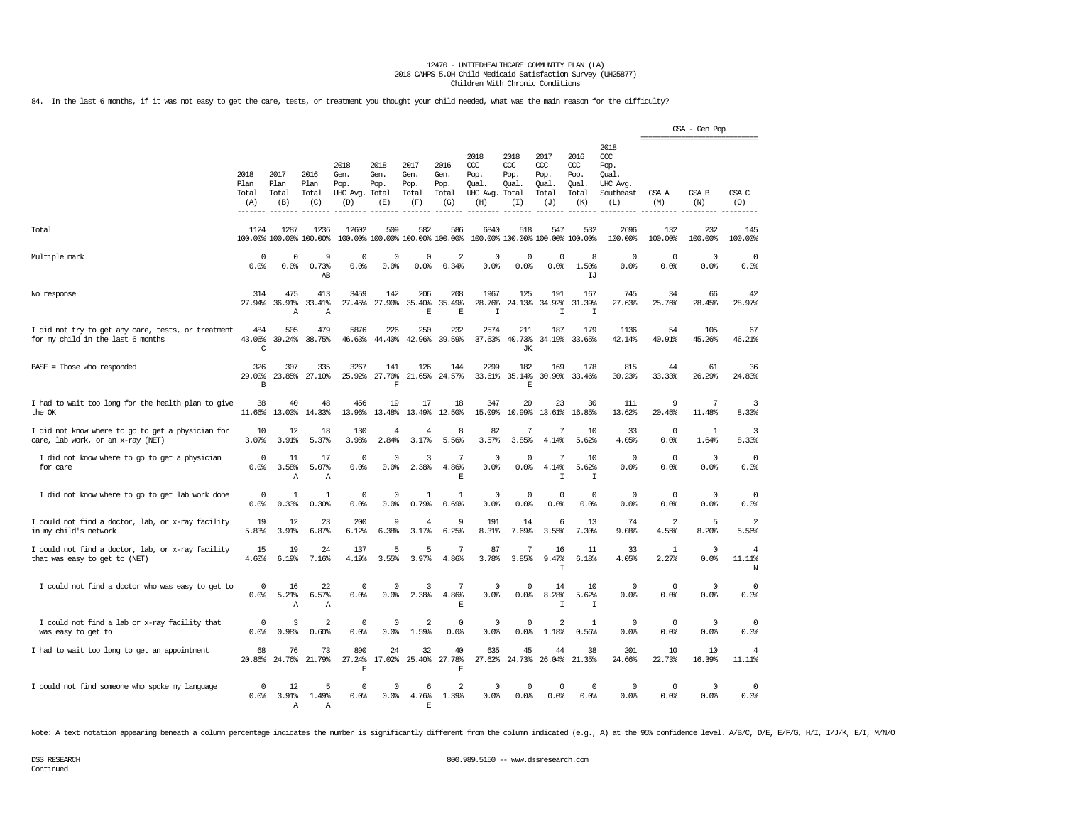84. In the last 6 months, if it was not easy to get the care, tests, or treatment you thought your child needed, what was the main reason for the difficulty?

|                                                                                         |                              |                              |                                 |                                         |                                      |                                        |                                      |                                                 |                                              |                                              |                                              |                                                                   | ------------------------------- | GSA - Gen Pop       |                               |
|-----------------------------------------------------------------------------------------|------------------------------|------------------------------|---------------------------------|-----------------------------------------|--------------------------------------|----------------------------------------|--------------------------------------|-------------------------------------------------|----------------------------------------------|----------------------------------------------|----------------------------------------------|-------------------------------------------------------------------|---------------------------------|---------------------|-------------------------------|
|                                                                                         | 2018<br>Plan<br>Total<br>(A) | 2017<br>Plan<br>Total<br>(B) | 2016<br>Plan<br>Total<br>(C)    | 2018<br>Gen.<br>Pop.<br>UHC Avq.<br>(D) | 2018<br>Gen.<br>Pop.<br>Total<br>(E) | 2017<br>Gen.<br>Pop.<br>Total<br>(F)   | 2016<br>Gen.<br>Pop.<br>Total<br>(G) | 2018<br>ccc<br>Pop.<br>Oual.<br>UHC Avg.<br>(H) | 2018<br>CCC<br>Pop.<br>Oual.<br>Total<br>(I) | 2017<br>ccc<br>Pop.<br>Qual.<br>Total<br>(J) | 2016<br>ccc<br>Pop.<br>Qual.<br>Total<br>(K) | 2018<br>$\alpha$<br>Pop.<br>Oual.<br>UHC Avg.<br>Southeast<br>(L) | GSA A<br>(M)                    | GSA B<br>(N)        | GSA C<br>(0)                  |
| Total                                                                                   | 1124                         | 1287                         | 1236<br>100.00% 100.00% 100.00% | 12602                                   | 509                                  | 582<br>100.00% 100.00% 100.00% 100.00% | 586                                  | 6840                                            | 518<br>100.00% 100.00% 100.00% 100.00%       | 547                                          | 532                                          | 2696<br>100.00%                                                   | 132<br>100.00%                  | 232<br>100.00%      | 145<br>100.00%                |
| Multiple mark                                                                           | $\Omega$<br>0.0%             | $\Omega$<br>0.0%             | 9<br>0.73%<br>AВ                | $\Omega$<br>0.0%                        | $\Omega$<br>0.0%                     | $^{\circ}$<br>0.0%                     | $\overline{\mathcal{L}}$<br>0.34%    | $\Omega$<br>0.0%                                | $\Omega$<br>0.0%                             | $\mathbf 0$<br>0.0%                          | 8<br>1.50%<br>ТJ                             | $\Omega$<br>0.0%                                                  | $\Omega$<br>0.0%                | $\Omega$<br>0.0%    | $^{\circ}$<br>0.0%            |
| No response                                                                             | 314                          | 475<br>27.94% 36.91%<br>Α    | 413<br>33.41%<br>Α              | 3459<br>27.45%                          | 142<br>27.90%                        | 206<br>35.40%<br>E                     | 208<br>35.49%<br>E                   | 1967<br>28.76%<br>$\mathsf{T}$                  | 125<br>24.13%                                | 191<br>34.92%<br>$\mathsf{T}$                | 167<br>31.39%<br>$\mathbb{I}$                | 745<br>27.63%                                                     | 34<br>25.76%                    | 66<br>28.45%        | 42<br>28.97%                  |
| I did not try to get any care, tests, or treatment<br>for my child in the last 6 months | 484<br>43.06%<br>C           | 505<br>39.24%                | 479<br>38.75%                   | 5876<br>46.63%                          | 226<br>44.40%                        | 250<br>42.96%                          | 232<br>39.59%                        | 2574<br>37.63%                                  | 211<br>40.73%<br><b>JK</b>                   | 187<br>34.19%                                | 179<br>33.65%                                | 1136<br>42.14%                                                    | 54<br>40.91%                    | 105<br>45.26%       | 67<br>46.21%                  |
| BASE = Those who responded                                                              | 326<br>29.00%<br>В           | 307<br>23.85%                | 335<br>27.10%                   | 3267<br>25.92%                          | 141<br>27.70%<br>$\mathbf F$         | 126<br>21.65%                          | 144<br>24.57%                        | 2299<br>33.61%                                  | 182<br>35.14%<br>E                           | 169<br>30.90%                                | 178<br>33.46%                                | 815<br>30.23%                                                     | 44<br>33.33%                    | 61<br>26.29%        | 36<br>24.83%                  |
| I had to wait too long for the health plan to give<br>the OK                            | 38<br>11.66%                 | 40<br>13.03%                 | 48<br>14.33%                    | 456<br>13.96%                           | 19<br>13.48%                         | 17<br>13.49%                           | 18<br>12.50%                         | 347<br>15.09%                                   | 20<br>10.99%                                 | 23<br>13.61%                                 | 30<br>16.85%                                 | 111<br>13.62%                                                     | 9<br>20.45%                     | 7<br>11.48%         | 3<br>8.33%                    |
| I did not know where to go to get a physician for<br>care, lab work, or an x-ray (NET)  | 10<br>3.07%                  | 12<br>3.91%                  | 18<br>5.37%                     | 130<br>3.98%                            | 4<br>2.84%                           | 4<br>3.17%                             | 8<br>5.56%                           | 82<br>3.57%                                     | 7<br>3.85%                                   | 7<br>4.14%                                   | 10<br>5.62%                                  | 33<br>4.05%                                                       | 0<br>0.0%                       | 1<br>1.64%          | 3<br>8.33%                    |
| I did not know where to go to get a physician<br>for care                               | 0<br>0.0%                    | $11$<br>3.58%<br>Α           | 17<br>5.07%<br>Α                | $\mathbf 0$<br>0.0%                     | 0<br>0.0%                            | 3<br>2.38%                             | 7<br>4.86%<br>E                      | $\Omega$<br>0.0%                                | $\Omega$<br>0.0%                             | 7<br>4.14%<br>I                              | 10<br>5.62%<br>$\mathbbm{I}$                 | $^{\circ}$<br>0.0%                                                | $\mathbf 0$<br>$0.0$ %          | $^{\circ}$<br>0.0%  | $\mathbf 0$<br>0.0%           |
| I did not know where to go to get lab work done                                         | $\mathbf 0$<br>0.0%          | $\mathbf{1}$<br>0.33%        | 1<br>0.30%                      | $\circ$<br>0.0%                         | 0<br>0.0%                            | 1<br>0.79%                             | 1<br>0.69%                           | $\Omega$<br>0.0%                                | 0<br>0.0%                                    | $\mathsf 0$<br>0.0%                          | $^{\circ}$<br>0.0%                           | $\mathbf 0$<br>0.0%                                               | $\mathbf 0$<br>0.0%             | $^{\circ}$<br>0.0%  | $\mathbf 0$<br>0.0%           |
| I could not find a doctor, lab, or x-ray facility<br>in my child's network              | 19<br>5.83%                  | 12<br>3.91%                  | 23<br>6.87%                     | 200<br>6.12%                            | 9<br>6.38%                           | $\overline{4}$<br>3.17%                | 9<br>6.25%                           | 191<br>8.31%                                    | 14<br>7.69%                                  | 6<br>3.55%                                   | 13<br>7.30%                                  | 74<br>9.08%                                                       | $\overline{a}$<br>4.55%         | 5<br>8.20%          | $\overline{2}$<br>5.56%       |
| I could not find a doctor, lab, or x-ray facility<br>that was easy to get to (NET)      | 15<br>4.60%                  | 19<br>6.19%                  | 24<br>7.16%                     | 137<br>4.19%                            | 5<br>3.55%                           | 5<br>3.97%                             | 7<br>4.86%                           | 87<br>3.78%                                     | 7<br>3.85%                                   | 16<br>9.47%<br>$\mathsf{T}$                  | 11<br>6.18%                                  | 33<br>4.05%                                                       | 1<br>2.27%                      | $\mathbf 0$<br>0.0% | $\overline{4}$<br>11.11%<br>N |
| I could not find a doctor who was easy to get to                                        | 0<br>0.0%                    | 16<br>5.21%<br>Α             | 22<br>6.57%<br>Α                | $\Omega$<br>0.0%                        | $\Omega$<br>0.0%                     | 3<br>2.38%                             | 7<br>4.86%<br>E                      | $\Omega$<br>0.0%                                | 0<br>0.0%                                    | 14<br>8.28%<br>I                             | 10<br>5.62%<br>I                             | 0<br>0.0%                                                         | 0<br>0.0%                       | 0<br>0.0%           | $^{\circ}$<br>0.0%            |
| I could not find a lab or x-ray facility that<br>was easy to get to                     | 0<br>0.0%                    | 3<br>0.98%                   | 2<br>0.60%                      | $\Omega$<br>0.0%                        | $\Omega$<br>0.0%                     | $\overline{\mathcal{L}}$<br>1.59%      | $^{\circ}$<br>0.0%                   | $\Omega$<br>0.0%                                | $\Omega$<br>0.0%                             | 2<br>1.18%                                   | $\mathbf{1}$<br>0.56%                        | 0<br>0.0%                                                         | 0<br>0.0%                       | $\circ$<br>0.0%     | $\Omega$<br>0.0%              |
| I had to wait too long to get an appointment                                            | 68<br>20.86%                 | 76<br>24.76%                 | 73<br>21.79%                    | 890<br>27.24%<br>E                      | 24<br>17.02%                         | 32<br>25.40%                           | 40<br>27.78%<br>E                    | 635<br>27.62%                                   | 45<br>24.73%                                 | 44<br>26.04%                                 | 38<br>21.35%                                 | 201<br>24.66%                                                     | 10<br>22.73%                    | 10<br>16.39%        | $\overline{4}$<br>11.11%      |
| I could not find someone who spoke my language                                          | 0<br>0.0%                    | 12<br>3.91%                  | 5<br>1.49%                      | $\mathbf 0$<br>0.0%                     | 0<br>0.0%                            | 6<br>4.76%<br>F.                       | 2<br>1.39%                           | $\Omega$<br>0.0%                                | 0<br>0.0%                                    | 0<br>0.0%                                    | $\mathbf 0$<br>0.0%                          | $\circ$<br>0.0%                                                   | 0<br>0.0%                       | $\mathbf 0$<br>0.0% | 0<br>0.0%                     |

Note: A text notation appearing beneath a column percentage indicates the number is significantly different from the column indicated (e.g., A) at the 95% confidence level. A/B/C, D/E, E/F/G, H/I, I/J/K, E/I, M/N/O

Continued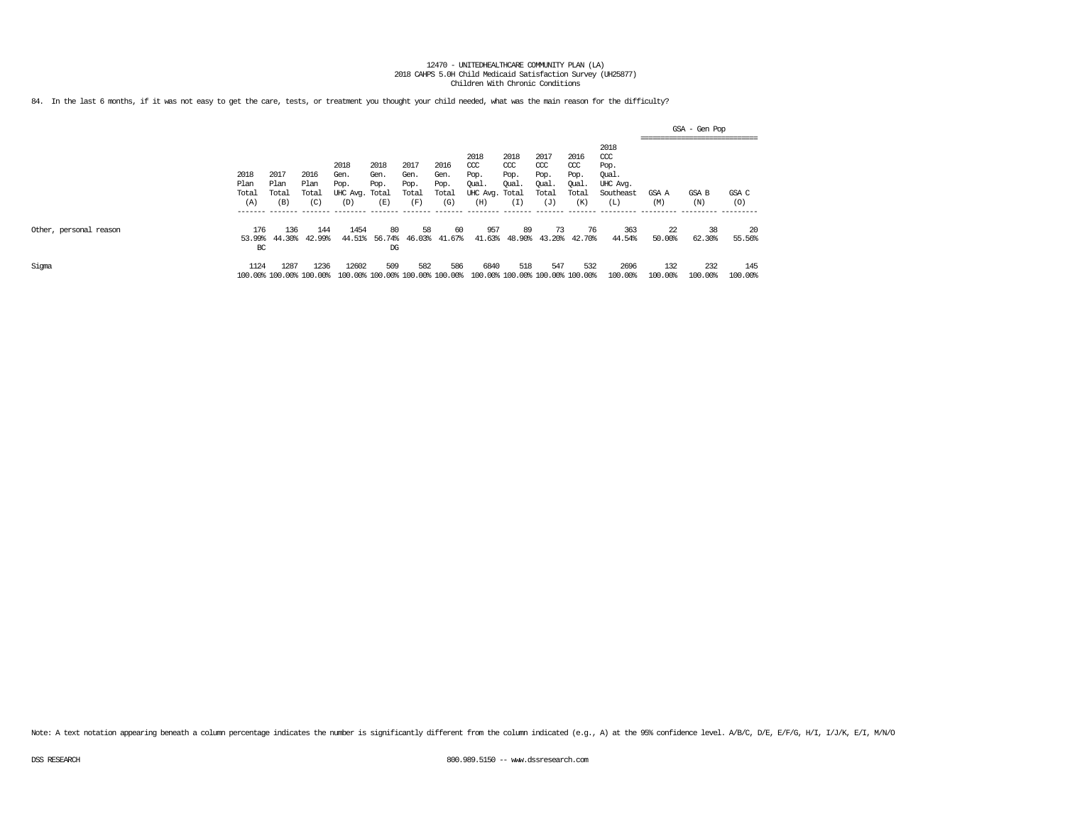84. In the last 6 months, if it was not easy to get the care, tests, or treatment you thought your child needed, what was the main reason for the difficulty?

|                        |                       |                                 |                       |                                        |                                        |                               |                               |                                                |                                        |                                            |                                           |                                                       |                    | GSA – Gen Pop<br>-------------------------------- |                   |
|------------------------|-----------------------|---------------------------------|-----------------------|----------------------------------------|----------------------------------------|-------------------------------|-------------------------------|------------------------------------------------|----------------------------------------|--------------------------------------------|-------------------------------------------|-------------------------------------------------------|--------------------|---------------------------------------------------|-------------------|
|                        | 2018<br>Plan<br>Total | 2017<br>Plan<br>Total           | 2016<br>Plan<br>Total | 2018<br>Gen.<br>Pop.<br>UHC Avg. Total | 2018<br>Gen.<br>Pop.                   | 2017<br>Gen.<br>Pop.<br>Total | 2016<br>Gen.<br>Pop.<br>Total | 2018<br>CCC<br>Pop.<br>Qual.<br>UHC Avg. Total | 2018<br>CCC<br>Pop.<br>Qual.           | 2017<br>$\alpha$<br>Pop.<br>Qual.<br>Total | 2016<br>$\alpha$<br>Pop.<br>Oual<br>Total | 2018<br>ccc<br>Pop.<br>Oual.<br>UHC Avg.<br>Southeast | GSA A              | GSA B                                             | GSA C             |
|                        | (A)<br>_______        | (B)<br>________                 | (C)<br>--------       | (D)<br>_________                       | (E)<br>-------                         | (F<br>_______                 | (G)<br>_______                | (H)<br>_________                               | L.<br>________                         | (J)<br>--------                            | (K)<br>--------                           | $(\mathbb{L})$<br>__________                          | (M)<br>----------- | (N)<br>-----------                                | (0)<br>---------- |
| Other, personal reason | 176<br>53.99%<br>BC   | 136<br>44.30%                   | 144<br>42.99%         | 1454<br>44.51%                         | 80<br>56.74%<br>$_{DG}$                | 58<br>46.03%                  | 60<br>41.67%                  | 957<br>41.63%                                  | 89<br>48.90%                           | 73<br>43.20%                               | 76<br>42.70%                              | 363<br>44.54%                                         | 22<br>50.00%       | 38<br>62.30%                                      | 20<br>55.56%      |
| Sigma                  | 1124                  | 1287<br>100.00% 100.00% 100.00% | 1236                  | 12602                                  | 509<br>100.00% 100.00% 100.00% 100.00% | 582                           | 586                           | 6840                                           | 518<br>100.00% 100.00% 100.00% 100.00% | 547                                        | 532                                       | 2696<br>100.00%                                       | 132<br>100.00%     | 232<br>100.00%                                    | 145<br>100.00%    |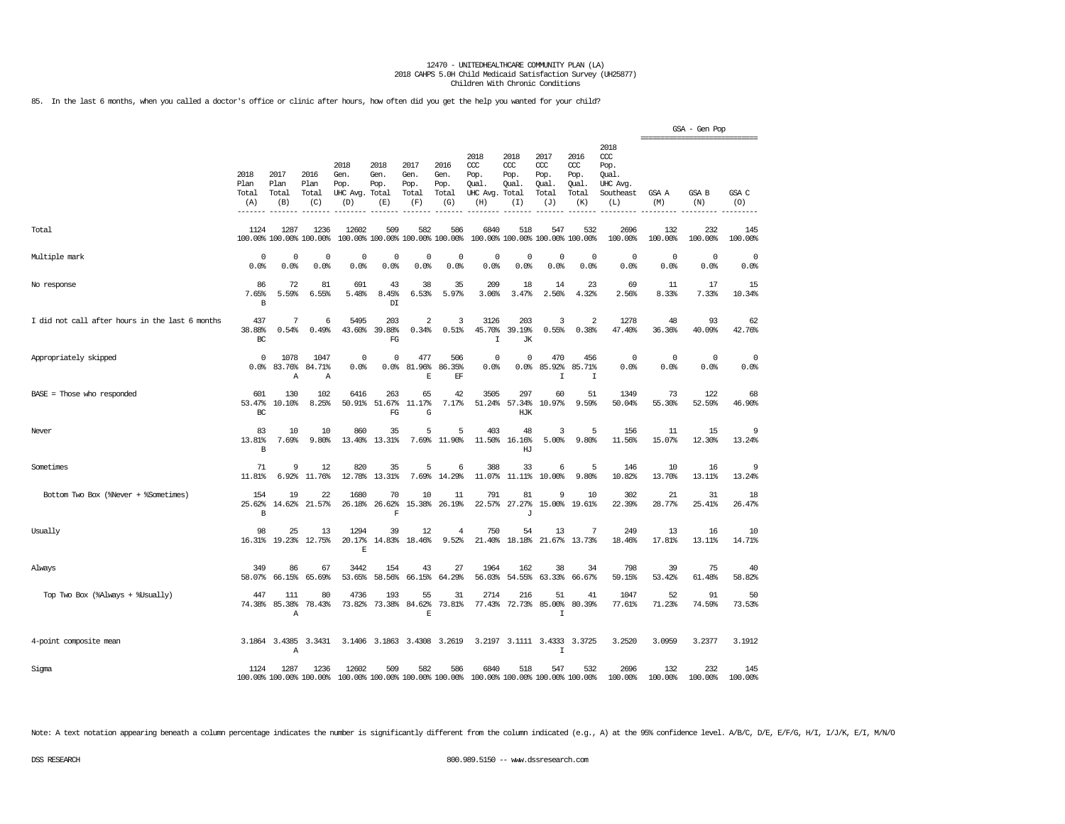85. In the last 6 months, when you called a doctor's office or clinic after hours, how often did you get the help you wanted for your child?

|                                                 |                              |                                 |                                 |                                          |                                        |                                      |                                      |                                                |                                               |                                             |                                              |                                                              | =============================== | GSA - Gen Pop   |                     |
|-------------------------------------------------|------------------------------|---------------------------------|---------------------------------|------------------------------------------|----------------------------------------|--------------------------------------|--------------------------------------|------------------------------------------------|-----------------------------------------------|---------------------------------------------|----------------------------------------------|--------------------------------------------------------------|---------------------------------|-----------------|---------------------|
|                                                 | 2018<br>Plan<br>Total<br>(A) | 2017<br>Plan<br>Total<br>(B)    | 2016<br>Plan<br>Total<br>(C)    | 2018<br>Gen.<br>Pop.<br>UHC Avg.<br>(D)  | 2018<br>Gen.<br>Pop.<br>Total<br>(E)   | 2017<br>Gen.<br>Pop.<br>Total<br>(F) | 2016<br>Gen.<br>Pop.<br>Total<br>(G) | 2018<br>ccc<br>Pop.<br>Oual<br>UHC Avg.<br>(H) | 2018<br>$CC$<br>Pop.<br>Oual.<br>Total<br>(I) | 2017<br>ccc<br>Pop.<br>Qual<br>Total<br>(J) | 2016<br>ccc<br>Pop.<br>Oual.<br>Total<br>(K) | 2018<br>ccc<br>Pop.<br>Qual.<br>UHC Avg.<br>Southeast<br>(L) | GSA A<br>(M)                    | GSA B<br>(N)    | GSA C<br>(O)        |
| Total                                           | 1124                         | 1287<br>100.00% 100.00% 100.00% | 1236                            | 12602                                    | 509<br>100.00% 100.00% 100.00% 100.00% | 582                                  | 586                                  | 6840                                           | 518                                           | 547<br>100.00% 100.00% 100.00% 100.00%      | 532                                          | 2696<br>100.00%                                              | 132<br>100.00%                  | 232<br>100.00%  | 145<br>100.00%      |
| Multiple mark                                   | 0<br>0.0%                    | 0<br>0.0%                       | $\mathbf 0$<br>0.0%             | $\mathsf{O}\xspace$<br>0.0%              | 0<br>0.0%                              | $\mathbb O$<br>0.0%                  | 0<br>0.0%                            | $\mathbf 0$<br>0.0%                            | $\mathbf 0$<br>0.0%                           | $\mathbb O$<br>0.0%                         | $\mathbf 0$<br>0.0%                          | $\circ$<br>0.0%                                              | 0<br>0.0%                       | $\circ$<br>0.0% | $\mathbf 0$<br>0.0% |
| No response                                     | 86<br>7.65%<br>B             | 72<br>5.59%                     | 81<br>6.55%                     | 691<br>5.48%                             | 43<br>8.45%<br>$\mathbb{D}\mathbb{I}$  | 38<br>6.53%                          | 35<br>5.97%                          | 209<br>3.06%                                   | 18<br>3.47%                                   | 14<br>2.56%                                 | 23<br>4.32%                                  | 69<br>2.56%                                                  | 11<br>8.33%                     | 17<br>7.33%     | 15<br>10.34%        |
| I did not call after hours in the last 6 months | 437<br>38.88%<br>BC          | 7<br>0.54%                      | 6<br>0.49%                      | 5495<br>43.60%                           | 203<br>39.88%<br>FG                    | $\overline{2}$<br>0.34%              | 3<br>0.51%                           | 3126<br>45.70%<br>$\mathbf I$                  | 203<br>39.19%<br><b>JK</b>                    | 3<br>0.55%                                  | $\overline{2}$<br>0.38%                      | 1278<br>47.40%                                               | 48<br>36.36%                    | 93<br>40.09%    | 62<br>42.76%        |
| Appropriately skipped                           | $\Omega$<br>0.0%             | 1078<br>83.76%<br>Α             | 1047<br>84.71%<br>Α             | 0<br>0.0%                                | 0<br>0.0%                              | 477<br>81.96%<br>$\mathbf E$         | 506<br>86.35%<br>$\operatorname{EF}$ | $\mathbf 0$<br>0.0%                            | 0<br>0.0                                      | 470<br>85.92%<br>$\mathsf{T}$               | 456<br>85.71%<br>I                           | $\Omega$<br>0.0%                                             | $\Omega$<br>0.0%                | $\circ$<br>0.0% | $\mathbf 0$<br>0.0% |
| $BASE = Those who responded$                    | 601<br>53.47%<br>BC          | 130<br>10.10%                   | 102<br>8.25%                    | 6416<br>50.91%                           | 263<br>51.67%<br>FG                    | 65<br>11.17%<br>G                    | 42<br>7.17%                          | 3505<br>51.24%                                 | 297<br>57.34%<br>HJK                          | 60<br>10.97%                                | 51<br>9.59%                                  | 1349<br>50.04%                                               | 73<br>55.30%                    | 122<br>52.59%   | 68<br>46.90%        |
| Never                                           | 83<br>13.81%<br>B            | 10<br>7.69%                     | 10<br>9.80%                     | 860<br>13.40%                            | 35<br>13.31%                           | 5<br>7.69%                           | 5<br>11.90%                          | 403<br>11.50%                                  | 48<br>16.16%<br>HJ                            | 3<br>5.00%                                  | 5<br>9.80%                                   | 156<br>11.56%                                                | 11<br>15.07%                    | 15<br>12.30%    | 9<br>13.24%         |
| Sometimes                                       | 71<br>11.81%                 | 9<br>6.92%                      | 12<br>11.76%                    | 820<br>12.78%                            | 35<br>13.31%                           | 5<br>7.69%                           | 6<br>14.29%                          | 388<br>11.07%                                  | 33<br>11.11%                                  | 6<br>10.00%                                 | 5<br>9.80%                                   | 146<br>10.82%                                                | 10<br>13.70%                    | 16<br>13.11%    | 9<br>13.24%         |
| Bottom Two Box (%Never + %Sometimes)            | 154<br>25.62%<br>B           | 19<br>14.62%                    | 22<br>21.57%                    | 1680<br>26.18%                           | 70<br>26.62%<br>F                      | 10<br>15.38%                         | 11<br>26.19%                         | 791                                            | 81<br>22.57% 27.27%<br>$\mathbf{J}$           | 9                                           | 10<br>15.00% 19.61%                          | 302<br>22.39%                                                | 21<br>28.77%                    | 31<br>25.41%    | 18<br>26.47%        |
| Usually                                         | 98<br>16.31%                 | 25<br>19.23%                    | 13<br>12.75%                    | 1294<br>20.17%<br>E                      | 39<br>14.83%                           | 12<br>18.46%                         | 4<br>9.52%                           | 750<br>21.40%                                  | 54<br>18.18%                                  | 13<br>21.67%                                | 7<br>13.73%                                  | 249<br>18.46%                                                | 13<br>17.81%                    | 16<br>13.11%    | 10<br>14.71%        |
| Always                                          | 349<br>58.07%                | 86<br>66.15%                    | 67<br>65.69%                    | 3442<br>53.65%                           | 154<br>58.56%                          | 43<br>66.15%                         | 27<br>64.29%                         | 1964<br>56.03%                                 | 162<br>54.55%                                 | 38<br>63.33%                                | 34<br>66.67%                                 | 798<br>59.15%                                                | 39<br>53.42%                    | 75<br>61.48%    | 40<br>58.82%        |
| Top Two Box (%Always + %Usually)                | 447<br>74.38%                | 111<br>85.38%<br>Α              | 80<br>78.43%                    | 4736<br>73.82%                           | 193<br>73.38%                          | 55<br>84.62%<br>E                    | 31<br>73.81%                         | 2714<br>77.43%                                 | 216<br>72.73%                                 | 51<br>85.00%<br>I                           | 41<br>80.39%                                 | 1047<br>77.61%                                               | 52<br>71.23%                    | 91<br>74.59%    | 50<br>73.53%        |
| 4-point composite mean                          |                              | 3.1864 3.4385<br>Α              | 3.3431                          | 3.1406                                   |                                        | 3.1863 3.4308 3.2619                 |                                      |                                                |                                               | 3.2197 3.1111 3.4333<br>$\mathsf{T}$        | 3.3725                                       | 3.2520                                                       | 3.0959                          | 3.2377          | 3.1912              |
| Sigma                                           | 1124                         | 1287                            | 1236<br>100.00% 100.00% 100.00% | 12602<br>100.00% 100.00% 100.00% 100.00% | 509                                    | 582                                  | 586                                  | 6840                                           | 518                                           | 547<br>100.00% 100.00% 100.00% 100.00%      | 532                                          | 2696<br>100.00%                                              | 132<br>100.00%                  | 232<br>100.00%  | 145<br>100.00%      |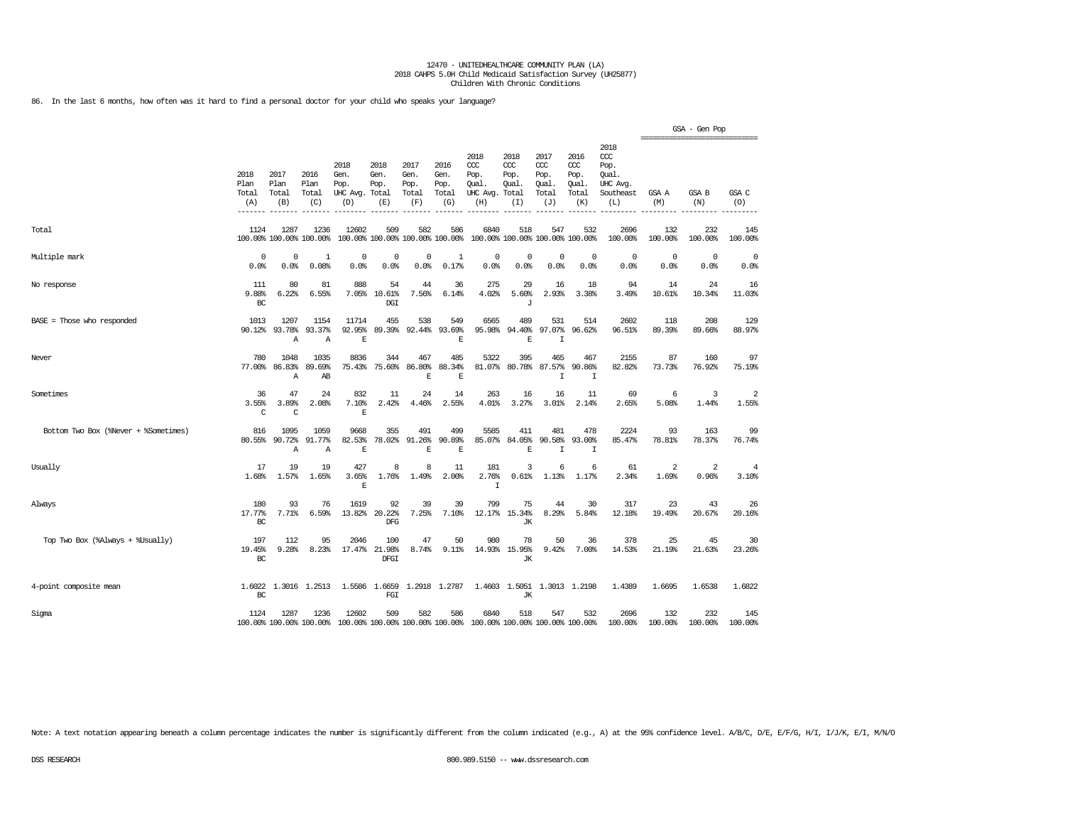86. In the last 6 months, how often was it hard to find a personal doctor for your child who speaks your language?

|                                      |                                       |                                 |                                  |                                               |                                        |                                      |                                      |                                                                         |                                     |                                              |                                                   |                                                              |                                                  | GSA - Gen Pop           |                    |
|--------------------------------------|---------------------------------------|---------------------------------|----------------------------------|-----------------------------------------------|----------------------------------------|--------------------------------------|--------------------------------------|-------------------------------------------------------------------------|-------------------------------------|----------------------------------------------|---------------------------------------------------|--------------------------------------------------------------|--------------------------------------------------|-------------------------|--------------------|
|                                      | 2018<br>Plan<br>Total<br>(A)<br>----- | 2017<br>Plan<br>Total<br>(B)    | 2016<br>Plan<br>Total<br>(C)     | 2018<br>Gen.<br>Pop.<br>UHC Avg. Total<br>(D) | 2018<br>Gen.<br>Pop.<br>(E)            | 2017<br>Gen.<br>Pop.<br>Total<br>(F) | 2016<br>Gen.<br>Pop.<br>Total<br>(G) | 2018<br>CCC<br>Pop.<br>Qual.<br>UHC Avg. Total<br>(H)                   | 2018<br>ccc<br>Pop.<br>Qual.<br>(I) | 2017<br>ccc<br>Pop.<br>Qual.<br>Total<br>(J) | 2016<br>$\alpha$<br>Pop.<br>Qual.<br>Total<br>(K) | 2018<br>ccc<br>Pop.<br>Oual.<br>UHC Avg.<br>Southeast<br>(L) | ================================<br>GSA A<br>(M) | GSA B<br>(N)            | GSA C<br>(O)       |
| Total                                | 1124                                  | 1287<br>100.00% 100.00% 100.00% | 1236                             | 12602                                         | 509<br>100.00% 100.00% 100.00% 100.00% | 582                                  | 586                                  | 6840                                                                    | 518                                 | 547<br>100.00% 100.00% 100.00% 100.00%       | 532                                               | 2696<br>100.00%                                              | 132<br>100.00%                                   | 232<br>100.00%          | 145<br>100.00%     |
| Multiple mark                        | $\Omega$<br>0.0%                      | $\Omega$<br>0.0%                | $\mathbf{1}$<br>0.08%            | 0<br>0.0%                                     | $\mathbf 0$<br>0.0%                    | $\mathbf 0$<br>0.0%                  | $\mathbf{1}$<br>0.17%                | $^{\circ}$<br>0.0%                                                      | $\mathbf 0$<br>0.0%                 | $\mathbf 0$<br>0.0%                          | $\mathbf 0$<br>0.0%                               | $^{\circ}$<br>0.0%                                           | $^{\circ}$<br>0.0%                               | $^{\circ}$<br>0.0%      | $^{\circ}$<br>0.0% |
| No response                          | 111<br>9.88%<br>BC                    | 80<br>6.22%                     | 81<br>6.55%                      | 888<br>7.05%                                  | 54<br>10.61%<br>DGI                    | 44<br>7.56%                          | 36<br>6.14%                          | 275<br>4.02%                                                            | 29<br>5.60%<br>J                    | 16<br>2.93%                                  | 18<br>3.38%                                       | 94<br>3.49%                                                  | 14<br>10.61%                                     | 24<br>10.34%            | 16<br>11.03%       |
| $BASE = Those who responded$         | 1013<br>90.12%                        | 1207<br>93.78%<br>Α             | 1154<br>93.37%<br>$\overline{A}$ | 11714<br>92.95%<br>$\mathbf E$                | 455<br>89.39%                          | 538<br>92.44%                        | 549<br>93.69%<br>$\mathbf E$         | 6565<br>95.98%                                                          | 489<br>94.40%<br>$\mathbf E$        | 531<br>97.07%<br>T                           | 514<br>96.62%                                     | 2602<br>96.51%                                               | 118<br>89.39%                                    | 208<br>89.66%           | 129<br>88.97%      |
| Never                                | 780<br>77.00%                         | 1048<br>86.83%<br>Α             | 1035<br>89.69%<br>AB             | 8836<br>75.43%                                | 344<br>75.60%                          | 467<br>86.80%<br>E                   | 485<br>88.34%<br>E                   | 5322<br>81.07%                                                          | 395<br>80.78%                       | 465<br>87.57%<br>T                           | 467<br>90.86%<br>$\mathbbm{I}$                    | 2155<br>82.82%                                               | 87<br>73.73%                                     | 160<br>76.92%           | 97<br>75.19%       |
| Sometimes                            | 36<br>3.55%<br>$\mathcal{C}$          | 47<br>3.89%<br>$\mathcal{C}$    | 24<br>2.08%                      | 832<br>7.10%<br>E                             | 11<br>2.42%                            | 24<br>4.46%                          | 14<br>2.55%                          | 263<br>4.01%                                                            | 16<br>3.27%                         | 16<br>3.01%                                  | 11<br>2.14%                                       | 69<br>2.65%                                                  | 6<br>5.08%                                       | 3<br>1.44%              | 2<br>1.55%         |
| Bottom Two Box (%Never + %Sometimes) | 816<br>80.55%                         | 1095<br>90.72%<br>Α             | 1059<br>91.77%<br>Α              | 9668<br>82.53%<br>E                           | 355<br>78.02%                          | 491<br>91.26%<br>E                   | 499<br>90.89%<br>E                   | 5585<br>85.07%                                                          | 411<br>84.05%<br>E                  | 481<br>90.58%<br>I                           | 478<br>93.00%<br>I                                | 2224<br>85.47%                                               | 93<br>78.81%                                     | 163<br>78.37%           | 99<br>76.74%       |
| Usually                              | 17<br>1.68%                           | 19<br>1.57%                     | 19<br>1.65%                      | 427<br>3.65%<br>E                             | 8<br>1.76%                             | 8<br>1.49%                           | 11<br>2.00%                          | 181<br>2.76%<br>$\mathbf I$                                             | 3<br>0.61%                          | 6<br>1.13%                                   | 6<br>1.17%                                        | 61<br>2.34%                                                  | $\overline{2}$<br>1.69%                          | $\overline{a}$<br>0.96% | 4<br>3.10%         |
| Always                               | 180<br>17.77%<br>BC                   | 93<br>7.71%                     | 76<br>6.59%                      | 1619<br>13.82%                                | 92<br>20.22%<br><b>DFG</b>             | 39<br>7.25%                          | 39<br>7.10%                          | 799<br>12.17%                                                           | 75<br>15.34%<br>JК                  | 44<br>8.29%                                  | 30<br>5.84%                                       | 317<br>12.18%                                                | 23<br>19.49%                                     | 43<br>20.67%            | 26<br>20.16%       |
| Top Two Box (%Always + %Usually)     | 197<br>19.45%<br>BC                   | 112<br>9.28%                    | 95<br>8.23%                      | 2046<br>17.47%                                | 100<br>21.98%<br>DFGI                  | 47<br>8.74%                          | 50<br>$9.11$ $%$                     | 980<br>14.93%                                                           | 78<br>15.95%<br>JК                  | 50<br>9.42%                                  | 36<br>7.00%                                       | 378<br>14.53%                                                | 25<br>21.19%                                     | 45<br>21.63%            | 30<br>23.26%       |
| 4-point composite mean               | 1.6022<br>BC                          |                                 | 1.3016 1.2513                    | 1.5586                                        | 1.6659<br>FGI                          | 1.2918                               | 1.2787                               | 1.4603                                                                  | 1.5051<br>JК                        |                                              | 1.3013 1.2198                                     | 1.4389                                                       | 1.6695                                           | 1.6538                  | 1.6822             |
| Sigma                                | 1124                                  | 1287                            | 1236<br>100.00% 100.00% 100.00%  | 12602                                         | 509                                    | 582                                  | 586                                  | 6840<br>100.00% 100.00% 100.00% 100.00% 100.00% 100.00% 100.00% 100.00% | 518                                 | 547                                          | 532                                               | 2696<br>100.00%                                              | 132<br>100.00%                                   | 232<br>100.00%          | 145<br>100.00%     |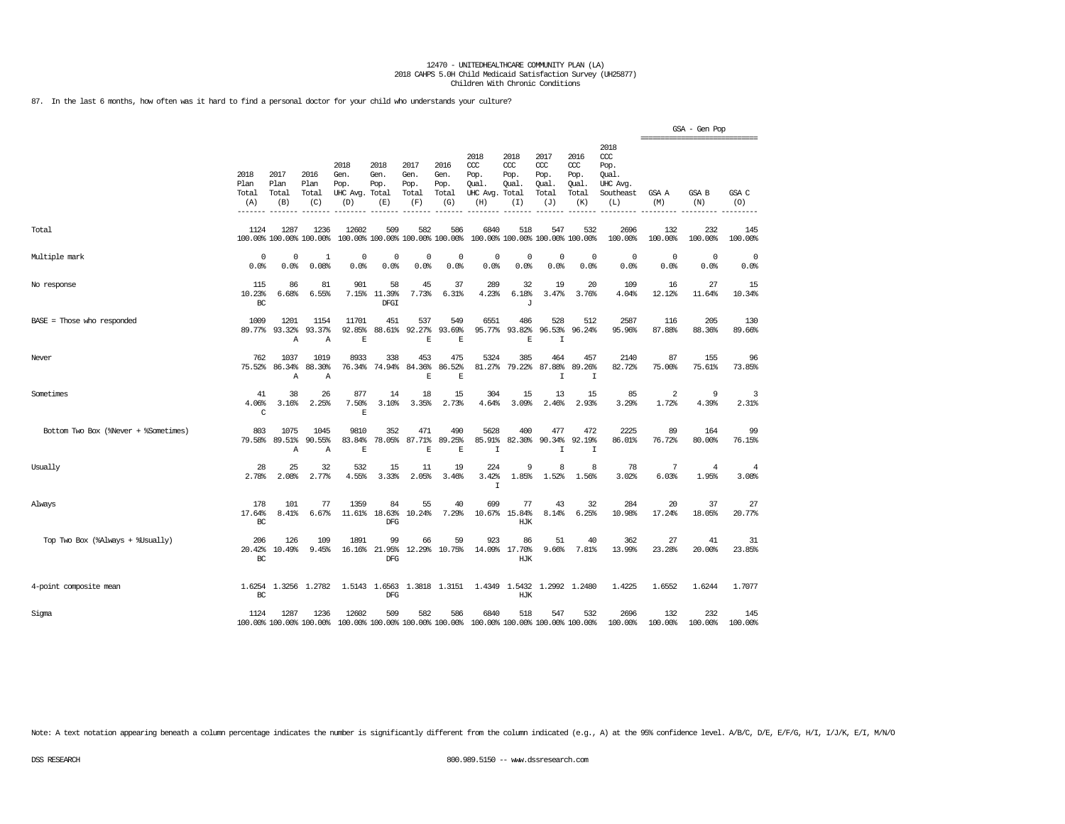87. In the last 6 months, how often was it hard to find a personal doctor for your child who understands your culture?

|                                      |                              |                              |                                 |                                               |                                        |                                      |                                      |                                                 |                                              |                                              |                                              |                                                              | =============================== | GSA - Gen Pop           |                    |
|--------------------------------------|------------------------------|------------------------------|---------------------------------|-----------------------------------------------|----------------------------------------|--------------------------------------|--------------------------------------|-------------------------------------------------|----------------------------------------------|----------------------------------------------|----------------------------------------------|--------------------------------------------------------------|---------------------------------|-------------------------|--------------------|
|                                      | 2018<br>Plan<br>Total<br>(A) | 2017<br>Plan<br>Total<br>(B) | 2016<br>Plan<br>Total<br>(C)    | 2018<br>Gen.<br>Pop.<br>UHC Avg. Total<br>(D) | 2018<br>Gen.<br>Pop.<br>(E)            | 2017<br>Gen.<br>Pop.<br>Total<br>(F) | 2016<br>Gen.<br>Pop.<br>Total<br>(G) | 2018<br>ccc<br>Pop.<br>Qual.<br>UHC Avg.<br>(H) | 2018<br>CCC<br>Pop.<br>Qual.<br>Total<br>(I) | 2017<br>ccc<br>Pop.<br>Qual.<br>Total<br>(J) | 2016<br>ccc<br>Pop.<br>Qual.<br>Total<br>(K) | 2018<br>ccc<br>Pop.<br>Oual.<br>UHC Avg.<br>Southeast<br>(L) | GSA A<br>(M)                    | <b>GSA B</b><br>(N)     | GSA C<br>(O)       |
| Total                                | 1124                         | 1287                         | 1236<br>100.00% 100.00% 100.00% | 12602                                         | 509<br>100.00% 100.00% 100.00% 100.00% | 582                                  | 586                                  | 6840                                            | 518                                          | 547<br>100.00% 100.00% 100.00% 100.00%       | 532                                          | 2696<br>100.00%                                              | 132<br>100.00%                  | 232<br>100.00%          | 145<br>100.00%     |
| Multiple mark                        | $^{\circ}$<br>0.0%           | $\Omega$<br>0.0%             | 1<br>0.08%                      | $\Omega$<br>0.0%                              | 0<br>0.0%                              | 0<br>0.0%                            | 0<br>0.0%                            | $^{\circ}$<br>0.0%                              | $^{\circ}$<br>0.0%                           | $\Omega$<br>0.0%                             | $\Omega$<br>0.0%                             | $\circ$<br>0.0%                                              | 0<br>0.0%                       | $\circ$<br>0.0%         | $^{\circ}$<br>0.0% |
| No response                          | 115<br>10.23%<br>BC          | 86<br>6.68%                  | 81<br>6.55%                     | 901<br>7.15%                                  | 58<br>11.39%<br>DFGI                   | 45<br>7.73%                          | 37<br>6.31%                          | 289<br>4.23%                                    | 32<br>6.18%<br>J                             | 19<br>3.47%                                  | 20<br>3.76%                                  | 109<br>4.04%                                                 | 16<br>12.12%                    | 27<br>11.64%            | 15<br>10.34%       |
| $BASE = Those who responded$         | 1009<br>89.77%               | 1201<br>93.32%<br>Α          | 1154<br>93.37%<br>Α             | 11701<br>92.85%<br>E                          | 451<br>88.61%                          | 537<br>92.27%<br>E                   | 549<br>93.69%<br>E                   | 6551<br>95.77%                                  | 486<br>93.82%<br>E                           | 528<br>96.53%<br>$\mathbf I$                 | 512<br>96.24%                                | 2587<br>95.96%                                               | 116<br>87.88%                   | 205<br>88.36%           | 130<br>89.66%      |
| Never                                | 762<br>75.52%                | 1037<br>86.34%<br>A          | 1019<br>88.30%<br>Α             | 8933<br>76.34%                                | 338<br>74.94%                          | 453<br>84.36%<br>$\mathbf E$         | 475<br>86.52%<br>$\mathbb E$         | 5324<br>81.27%                                  | 385<br>79.22%                                | 464<br>87.88%<br>I                           | 457<br>89.26%<br>$\mathbbm{I}$               | 2140<br>82.72%                                               | 87<br>75.00%                    | 155<br>75.61%           | 96<br>73.85%       |
| Sometimes                            | 41<br>4.06%<br>C             | 38<br>3.16%                  | 26<br>2.25%                     | 877<br>7.50%<br>E                             | 14<br>3.10%                            | 18<br>3.35%                          | 15<br>2.73%                          | 304<br>4.64%                                    | 15<br>3.09%                                  | 13<br>2.46%                                  | 15<br>2.93%                                  | 85<br>3.29%                                                  | 2<br>1.72%                      | 9<br>4.39%              | 3<br>2.31%         |
| Bottom Two Box (%Never + %Sometimes) | 803<br>79.58%                | 1075<br>89.51%<br>Α          | 1045<br>90.55%<br>Α             | 9810<br>83.84%<br>E                           | 352<br>78.05%                          | 471<br>87.71%<br>$\mathbf E$         | 490<br>89.25%<br>E                   | 5628<br>85.91%<br>$\mathbf I$                   | 400<br>82.30%                                | 477<br>90.34%<br>I                           | 472<br>92.19%<br>I                           | 2225<br>86.01%                                               | 89<br>76.72%                    | 164<br>80.00%           | 99<br>76.15%       |
| Usually                              | 28<br>2.78%                  | 25<br>2.08%                  | 32<br>2.77%                     | 532<br>4.55%                                  | 15<br>3.33%                            | 11<br>2.05%                          | 19<br>3.46%                          | 224<br>3.42%<br>$\mathbf I$                     | 9<br>1.85%                                   | 8<br>1.52%                                   | 8<br>1.56%                                   | 78<br>3.02%                                                  | 7<br>6.03%                      | $\overline{4}$<br>1.95% | 4<br>3.08%         |
| Always                               | 178<br>17.64%<br>BC          | 101<br>8.41%                 | 77<br>6.67%                     | 1359<br>11.61%                                | 84<br>18.63%<br>DFG                    | 55<br>10.24%                         | 40<br>7.29%                          | 699<br>10.67%                                   | 77<br>15.84%<br>HJK                          | 43<br>8.14%                                  | 32<br>6.25%                                  | 284<br>10.98%                                                | 20<br>17.24%                    | 37<br>18.05%            | 27<br>20.77%       |
| Top Two Box (%Always + %Usually)     | 206<br>20.42%<br>BC          | 126<br>10.49%                | 109<br>9.45%                    | 1891<br>16.16%                                | 99<br>21.95%<br><b>DFG</b>             | 66                                   | 59<br>12.29% 10.75%                  | 923                                             | 86<br>14.09% 17.70%<br>HJK                   | 51<br>9.66%                                  | 40<br>7.81%                                  | 362<br>13.99%                                                | 27<br>23.28%                    | 41<br>20.00%            | 31<br>23.85%       |
| 4-point composite mean               | 1.6254<br>BC                 | 1.3256                       | 1.2782                          |                                               | 1.5143 1.6563<br>$_{\rm DFG}$          |                                      | 1.3818 1.3151                        |                                                 | 1.4349 1.5432<br>HJK                         |                                              | 1.2992 1.2480                                | 1.4225                                                       | 1.6552                          | 1.6244                  | 1.7077             |
| Sigma                                | 1124                         | 1287                         | 1236<br>100.00% 100.00% 100.00% | 12602                                         | 509<br>100.00% 100.00% 100.00% 100.00% | 582                                  | 586                                  | 6840                                            | 518                                          | 547<br>100.00% 100.00% 100.00% 100.00%       | 532                                          | 2696<br>100.00%                                              | 132<br>100.00%                  | 232<br>100.00%          | 145<br>100.00%     |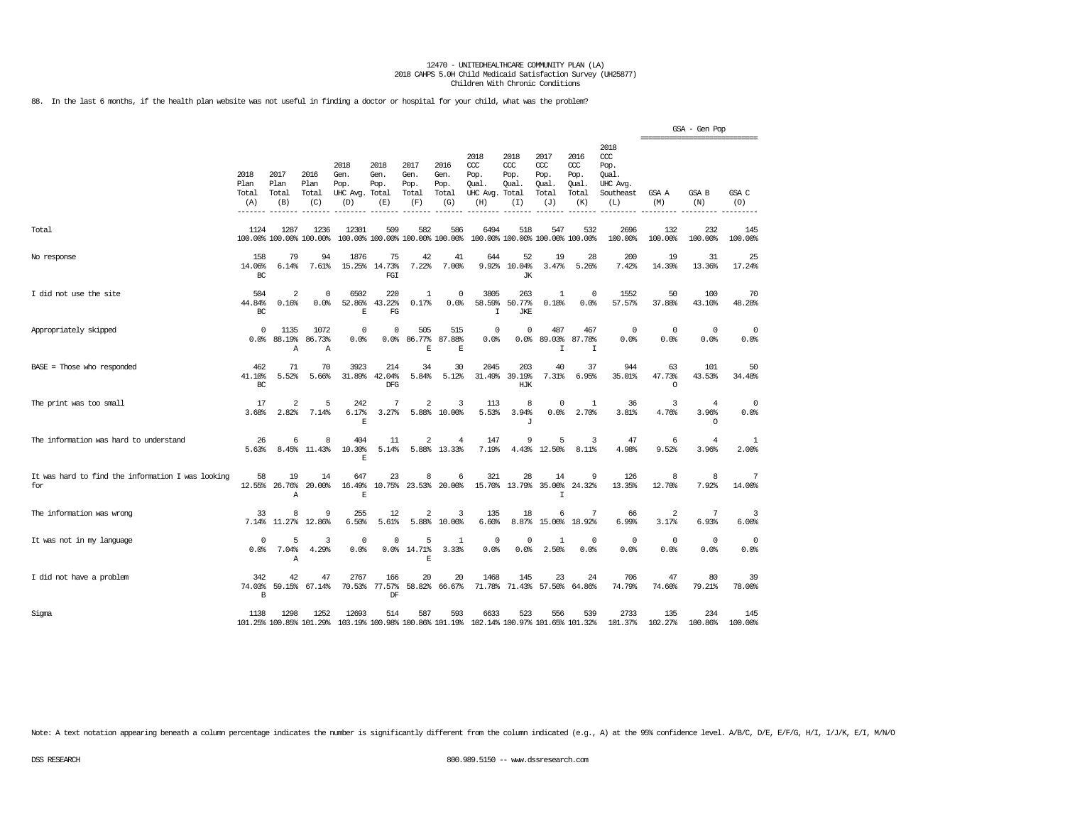88. In the last 6 months, if the health plan website was not useful in finding a doctor or hospital for your child, what was the problem?

|                                                          |                                             |                                  |                                 |                                               |                                        |                                      |                                      |                                                                         |                                              |                                              |                                              |                                                                   | ================================ | GSA - Gen Pop                      |                    |
|----------------------------------------------------------|---------------------------------------------|----------------------------------|---------------------------------|-----------------------------------------------|----------------------------------------|--------------------------------------|--------------------------------------|-------------------------------------------------------------------------|----------------------------------------------|----------------------------------------------|----------------------------------------------|-------------------------------------------------------------------|----------------------------------|------------------------------------|--------------------|
|                                                          | 2018<br>Plan<br>Total<br>(A)<br>$- - - - -$ | 2017<br>Plan<br>Total<br>(B)     | 2016<br>Plan<br>Total<br>(C)    | 2018<br>Gen.<br>Pop.<br>UHC Avg. Total<br>(D) | 2018<br>Gen.<br>Pop.<br>(E)            | 2017<br>Gen.<br>Pop.<br>Total<br>(F) | 2016<br>Gen.<br>Pop.<br>Total<br>(G) | 2018<br>CCC<br>Pop.<br>Qual.<br>UHC Avg.<br>(H)                         | 2018<br>CCC<br>Pop.<br>Oual.<br>Total<br>(I) | 2017<br>ccc<br>Pop.<br>Oual.<br>Total<br>(J) | 2016<br>ccc<br>Pop.<br>Oual.<br>Total<br>(K) | 2018<br>$\alpha$<br>Pop.<br>Oual.<br>UHC Avg.<br>Southeast<br>(L) | GSA A<br>(M)                     | <b>GSA B</b><br>(N)                | GSA C<br>(O)       |
| Total                                                    | 1124                                        | 1287                             | 1236<br>100.00% 100.00% 100.00% | 12301                                         | 509<br>100.00% 100.00% 100.00% 100.00% | 582                                  | 586                                  | 6494                                                                    | 518                                          | 547<br>100.00% 100.00% 100.00% 100.00%       | 532                                          | 2696<br>100.00%                                                   | 132<br>100.00%                   | 232<br>100.00%                     | 145<br>100.00%     |
| No response                                              | 158<br>14.06%<br>BC                         | 79<br>6.14%                      | 94<br>7.61%                     | 1876<br>15.25%                                | 75<br>14.73%<br>FGI                    | 42<br>7.22%                          | 41<br>7.00%                          | 644<br>9.92%                                                            | 52<br>10.04%<br><b>JK</b>                    | 19<br>3.47%                                  | 28<br>5.26%                                  | 200<br>7.42%                                                      | 19<br>14.39%                     | 31<br>13.36%                       | 25<br>17.24%       |
| I did not use the site                                   | 504<br>44.84%<br>BC                         | $\overline{2}$<br>0.16%          | $\mathbf 0$<br>0.0%             | 6502<br>52.86%<br>F.                          | 220<br>43.22%<br>FG                    | 1<br>0.17%                           | 0<br>0.0%                            | 3805<br>58.59%<br>$\mathbf I$                                           | 263<br>50.77%<br><b>JKE</b>                  | $\mathbf{1}$<br>0.18%                        | $\Omega$<br>0.0%                             | 1552<br>57.57%                                                    | 50<br>37.88%                     | 100<br>43.10%                      | 70<br>48.28%       |
| Appropriately skipped                                    | $^{\circ}$<br>0.0%                          | 1135<br>88.19%<br>Α              | 1072<br>86.73%<br>Α             | 0<br>0.0%                                     | 0<br>0.0%                              | 505<br>86.77%<br>$\mathbf E$         | 515<br>87.88%<br>$\mathbf E$         | $^{\circ}$<br>0.0%                                                      | $\mathbf 0$<br>0.0%                          | 487<br>89.03%<br>$\mathbf I$                 | 467<br>87.78%<br>$\mathbf I$                 | $\circ$<br>0.0%                                                   | $\mathbf 0$<br>0.0%              | $\circ$<br>0.0%                    | $^{\circ}$<br>0.0% |
| $BASE = Those who responded$                             | 462<br>41.10%<br>BC                         | 71<br>5.52%                      | 70<br>5.66%                     | 3923<br>31.89%                                | 214<br>42.04%<br><b>DFG</b>            | 34<br>5.84%                          | 30<br>5.12%                          | 2045<br>31.49%                                                          | 203<br>39.19%<br>HJK                         | 40<br>7.31%                                  | 37<br>6.95%                                  | 944<br>35.01%                                                     | 63<br>47.73%<br>$\Omega$         | 101<br>43.53%                      | 50<br>34.48%       |
| The print was too small                                  | 17<br>3.68%                                 | $\overline{\mathbf{c}}$<br>2.82% | 5<br>7.14%                      | 242<br>6.17%<br>E                             | 7<br>3.27%                             | $\overline{2}$<br>5.88%              | 3<br>10.00%                          | 113<br>5.53%                                                            | 8<br>3.94%<br>J                              | $\Omega$<br>0.0%                             | 1<br>2.70%                                   | 36<br>3.81%                                                       | 3<br>4.76%                       | $\overline{4}$<br>3.96%<br>$\circ$ | 0<br>0.0%          |
| The information was hard to understand                   | 26<br>5.63%                                 | 6<br>8.45%                       | 8<br>11.43%                     | 404<br>10.30%<br>E                            | 11<br>5.14%                            | $\overline{2}$                       | 4<br>5.88% 13.33%                    | 147<br>7.19%                                                            | 9<br>4.43%                                   | 5<br>12.50%                                  | 3<br>8.11%                                   | 47<br>4.98%                                                       | 6<br>9.52%                       | $\overline{4}$<br>3.96%            | 1<br>2.00%         |
| It was hard to find the information I was looking<br>for | 58<br>12.55%                                | 19<br>26.76%<br>A                | 14<br>20.00%                    | 647<br>16.49%<br>F.                           | 23<br>10.75%                           | 8<br>23.53%                          | 6<br>20.00%                          | 321<br>15.70%                                                           | 28<br>13.79%                                 | 14<br>35.00%<br>$\mathsf{T}$                 | 9<br>24.32%                                  | 126<br>13.35%                                                     | 8<br>12.70%                      | 8<br>7.92%                         | 7<br>14.00%        |
| The information was wrong                                | 33<br>7.14%                                 | 8<br>11.27%                      | 9<br>12.86%                     | 255<br>6.50%                                  | 12<br>5.61%                            | $\overline{2}$<br>5.88%              | 3<br>10.00%                          | 135<br>6.60%                                                            | 18<br>8.87%                                  | 6<br>15.00%                                  | 7<br>18.92%                                  | 66<br>6.99%                                                       | 2<br>3.17%                       | 7<br>6.93%                         | 3<br>6.00%         |
| It was not in my language                                | $\Omega$<br>0.0%                            | 5<br>7.04%<br>Α                  | 3<br>4.29%                      | $\mathbf 0$<br>0.0%                           | 0<br>0.0%                              | 5<br>14.71%<br>$\mathbf E$           | $\mathbf{1}$<br>3.33%                | $^{\circ}$<br>0.0%                                                      | $\Omega$<br>0.0%                             | $\mathbf{1}$<br>2.50%                        | $\circ$<br>0.0%                              | $\mathbf{0}$<br>0.0%                                              | $\mathbf 0$<br>0.0%              | $\mathbf 0$<br>0.0%                | $^{\circ}$<br>0.0% |
| I did not have a problem                                 | 342<br>74.03%<br>B                          | 42<br>59.15%                     | 47<br>67.14%                    | 2767<br>70.53%                                | 166<br>77.57%<br>DF                    | 20<br>58.82%                         | 20<br>66.67%                         | 1468<br>71.78%                                                          | 145<br>71.43%                                | 23<br>57.50%                                 | 24<br>64.86%                                 | 706<br>74.79%                                                     | 47<br>74.60%                     | 80<br>79.21%                       | 39<br>78.00%       |
| Sigma                                                    | 1138                                        | 1298                             | 1252<br>101.25% 100.85% 101.29% | 12693                                         | 514                                    | 587                                  | 593                                  | 6633<br>103.19% 100.98% 100.86% 101.19% 102.14% 100.97% 101.65% 101.32% | 523                                          | 556                                          | 539                                          | 2733<br>101.37%                                                   | 135<br>102.27%                   | 234<br>100.86%                     | 145<br>100,00%     |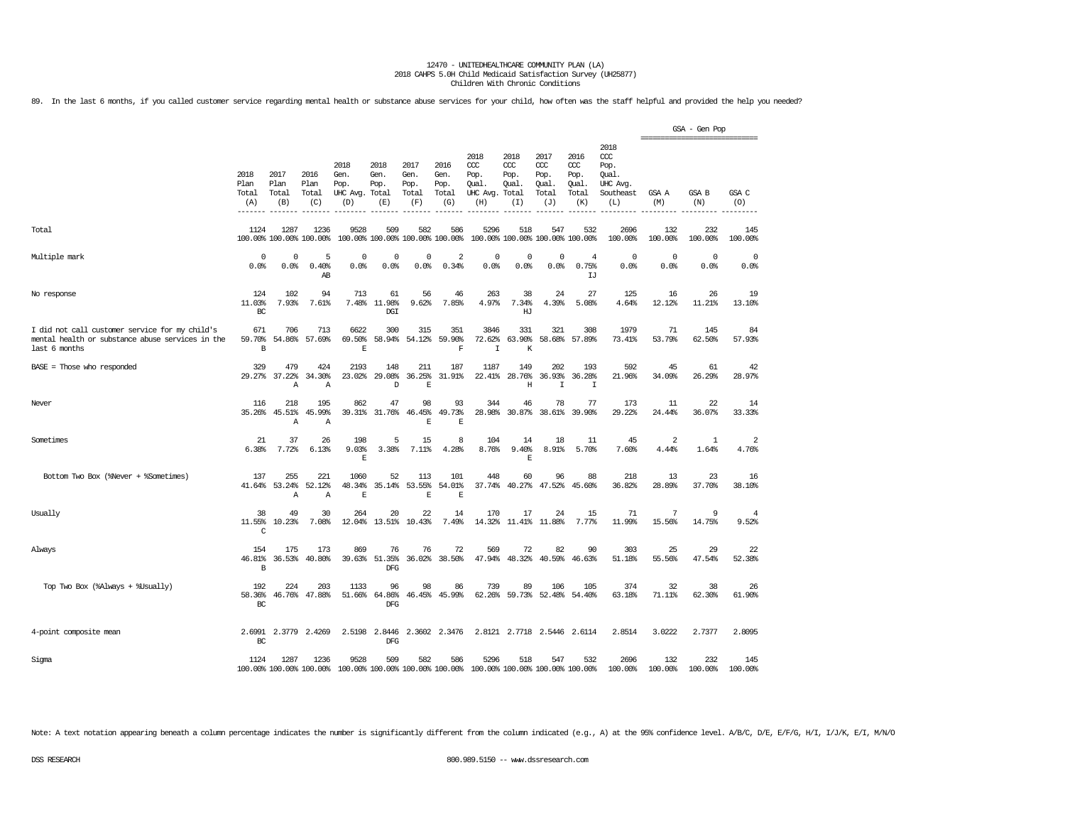89. In the last 6 months, if you called customer service regarding mental health or substance abuse services for your child, how often was the staff helpful and provided the help you needed?

|                                                                                                                     |                               |                               |                                 |                                         |                                      |                                      |                                          |                                                                                                 |                                              |                                              |                                              |                                                             | ---------------------------- | GSA - Gen Pop   |                         |
|---------------------------------------------------------------------------------------------------------------------|-------------------------------|-------------------------------|---------------------------------|-----------------------------------------|--------------------------------------|--------------------------------------|------------------------------------------|-------------------------------------------------------------------------------------------------|----------------------------------------------|----------------------------------------------|----------------------------------------------|-------------------------------------------------------------|------------------------------|-----------------|-------------------------|
|                                                                                                                     | 2018<br>Plan<br>Total<br>(A)  | 2017<br>Plan<br>Total<br>(B)  | 2016<br>Plan<br>Total<br>(C)    | 2018<br>Gen.<br>Pop.<br>UHC Avg.<br>(D) | 2018<br>Gen.<br>Pop.<br>Total<br>(E) | 2017<br>Gen.<br>Pop.<br>Total<br>(F) | 2016<br>Gen.<br>Pop.<br>Total<br>(G)     | 2018<br>CCC<br>Pop.<br>Qual.<br>UHC Avg.<br>(H)                                                 | 2018<br>CCC<br>Pop.<br>Qual.<br>Total<br>(I) | 2017<br>ccc<br>Pop.<br>Qual.<br>Total<br>(J) | 2016<br>ccc<br>Pop.<br>Qual.<br>Total<br>(K) | 2018<br>ccc<br>Pop.<br>Oual.<br>UHC Avg<br>Southeast<br>(L) | GSA A<br>(M)                 | GSA B<br>(N)    | GSA C<br>(O)            |
| Total                                                                                                               | 1124                          | 1287                          | 1236<br>100.00% 100.00% 100.00% | 9528<br>100.00% 100.00% 100.00% 100.00% | 509                                  | 582                                  | 586                                      | 5296<br>100.00% 100.00% 100.00% 100.00%                                                         | 518                                          | 547                                          | 532                                          | 2696<br>100.00%                                             | 132<br>100.00%               | 232<br>100.00%  | 145<br>100.00%          |
| Multiple mark                                                                                                       | 0<br>0.0%                     | 0<br>0.0%                     | 5<br>0.40%<br>AB                | $\Omega$<br>0.0%                        | $\Omega$<br>0.0%                     | $\mathbf 0$<br>0.0%                  | $\overline{2}$<br>0.34%                  | $^{\circ}$<br>0.0%                                                                              | $^{\circ}$<br>0.0%                           | $\mathbf{0}$<br>0.0%                         | 4<br>0.75%<br>LJ                             | $\mathbf 0$<br>0.0%                                         | $\mathbf 0$<br>0.0%          | $\circ$<br>0.0% | 0<br>0.0%               |
| No response                                                                                                         | 124<br>11.03%<br>BC           | 102<br>7.93%                  | 94<br>7.61%                     | 713<br>7.48%                            | 61<br>11.98%<br>DGI                  | 56<br>9.62%                          | 46<br>7.85%                              | 263<br>4.97%                                                                                    | 38<br>7.34%<br>HJ                            | 24<br>4.39%                                  | 27<br>5.08%                                  | 125<br>4.64%                                                | 16<br>12.12%                 | 26<br>11.21%    | 19<br>13.10%            |
| I did not call customer service for my child's<br>mental health or substance abuse services in the<br>last 6 months | 671<br>59.70%<br>B            | 706<br>54.86%                 | 713<br>57.69%                   | 6622<br>69.50%<br>$\mathbf E$           | 300<br>58.94%                        | 315<br>54.12%                        | 351<br>59.90%<br>$\overline{\mathrm{F}}$ | 3846<br>72.62%<br>$\mathbf I$                                                                   | 331<br>63.90%<br>$\rm K$                     | 321<br>58.68%                                | 308<br>57.89%                                | 1979<br>73.41%                                              | 71<br>53.79%                 | 145<br>62.50%   | 84<br>57.93%            |
| $BASE = Those who responded$                                                                                        | 329<br>29.27%                 | 479<br>37.22%<br>Α            | 424<br>34.30%<br>Α              | 2193<br>23.02%                          | 148<br>29.08%<br>D                   | 211<br>36.25%<br>$\mathbf E$         | 187<br>31.91%                            | 1187<br>22.41%                                                                                  | 149<br>28.76%<br>Η                           | 202<br>36.93%<br>I                           | 193<br>36.28%<br>I                           | 592<br>21.96%                                               | 45<br>34.09%                 | 61<br>26.29%    | 42<br>28.97%            |
| Never                                                                                                               | 116<br>35.26%                 | 218<br>45.51%<br>$\mathbb{A}$ | 195<br>45.99%<br>$\mathbb{A}$   | 862<br>39.31%                           | 47<br>31.76%                         | 98<br>46.45%<br>E                    | 93<br>49.73%<br>F.                       | 344<br>28.98%                                                                                   | 46<br>30.87%                                 | 78<br>38.61%                                 | 77<br>39.90%                                 | 173<br>29.22%                                               | 11<br>24.44%                 | 22<br>36.07%    | 14<br>33.33%            |
| Sometimes                                                                                                           | 21<br>6.38%                   | 37<br>7.72%                   | 26<br>6.13%                     | 198<br>9.03%<br>E                       | 5<br>3.38%                           | 15<br>7.11%                          | 8<br>4.28%                               | 104<br>8.76%                                                                                    | 14<br>9.40%<br>E                             | 18<br>8.91%                                  | 11<br>5.70%                                  | 45<br>7.60%                                                 | 2<br>4.44%                   | 1<br>1.64%      | $\overline{2}$<br>4.76% |
| Bottom Two Box (%Never + %Sometimes)                                                                                | 137<br>41.64%                 | 255<br>53.24%<br>Α            | 221<br>52.12%<br>Α              | 1060<br>48.34%<br>$\mathbf E$           | 52<br>35.14%                         | 113<br>53.55%<br>$\mathbf E$         | 101<br>54.01%<br>$\mathbb E$             | 448<br>37.74%                                                                                   | 60<br>40.27%                                 | 96<br>47.52%                                 | 88<br>45.60%                                 | 218<br>36.82%                                               | 13<br>28.89%                 | 23<br>37.70%    | 16<br>38.10%            |
| Usually                                                                                                             | 38<br>11.55%<br>C             | 49<br>10.23%                  | 30<br>7.08%                     | 264<br>12.04%                           | 20<br>13.51%                         | 22<br>10.43%                         | 14<br>7.49%                              | 170<br>14.32%                                                                                   | 17<br>11.41%                                 | 24<br>11.88%                                 | 15<br>7.77%                                  | 71<br>11.99%                                                | 7<br>15.56%                  | 9<br>14.75%     | $\overline{4}$<br>9.52% |
| Always                                                                                                              | 154<br>46.81%<br>$\, {\bf B}$ | 175<br>36.53%                 | 173<br>40.80%                   | 869<br>39.63%                           | 76<br>51.35%<br>DFG                  | 76<br>36.02%                         | 72<br>38.50%                             | 569<br>47.94%                                                                                   | 72<br>48.32%                                 | 82<br>40.59%                                 | 90<br>46.63%                                 | 303<br>51.18%                                               | 25<br>55.56%                 | 29<br>47.54%    | 22<br>52.38%            |
| Top Two Box (%Always + %Usually)                                                                                    | 192<br>58.36%<br>BC           | 224<br>46.76%                 | 203<br>47.88%                   | 1133<br>51.66%                          | 96<br>64.86%<br><b>DFG</b>           | 98<br>46.45%                         | 86<br>45.99%                             | 739<br>62.26%                                                                                   | 89<br>59.73%                                 | 106<br>52.48%                                | 105<br>54.40%                                | 374<br>63.18%                                               | 32<br>71.11%                 | 38<br>62.30%    | 26<br>61.90%            |
| 4-point composite mean                                                                                              | 2.6991<br>$_{\rm BC}$         | 2.3779                        | 2.4269                          | 2.5198                                  | 2.8446<br><b>DFG</b>                 |                                      | 2.3602 2.3476                            |                                                                                                 |                                              | 2.8121 2.7718 2.5446 2.6114                  |                                              | 2.8514                                                      | 3.0222                       | 2.7377          | 2.8095                  |
| Sigma                                                                                                               | 1124                          | 1287                          | 1236                            | 9528                                    | 509                                  | 582                                  | 586                                      | 5296<br>100,00% 100,00% 100,00% 100,00% 100,00% 100,00% 100,00% 100,00% 100,00% 100,00% 100,00% | 518                                          | 547                                          | 532                                          | 2696<br>100.00%                                             | 132<br>100.00%               | 232<br>100.00%  | 145<br>100.00%          |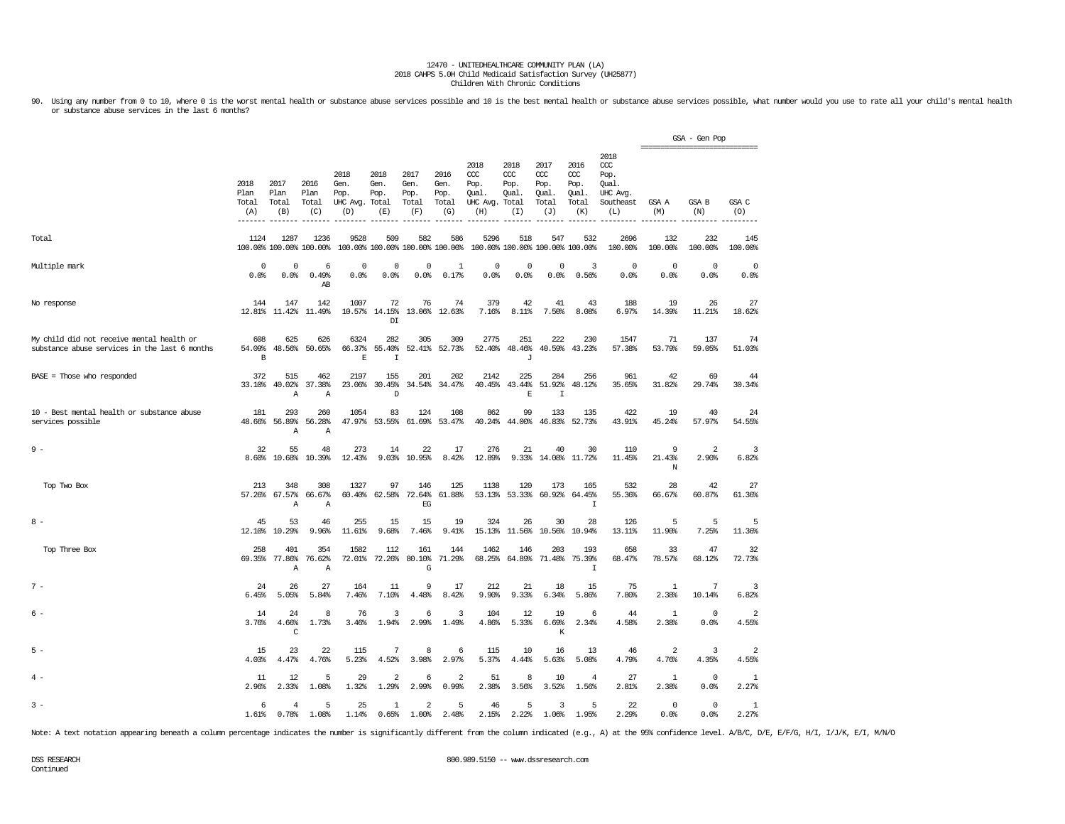90. Using any number from 0 to 10, where 0 is the worst mental health or substance abuse services possible and 10 is the best mental health or substance abuse services possible, what number would you use to rate all your c or substance abuse services in the last 6 months?

|                                                                                            |                              |                              |                                 |                                         |                                      |                                        |                                      |                                                        |                                      |                                                |                                                   |                                                              | ---------------------------- | GSA - Gen Pop           |                     |
|--------------------------------------------------------------------------------------------|------------------------------|------------------------------|---------------------------------|-----------------------------------------|--------------------------------------|----------------------------------------|--------------------------------------|--------------------------------------------------------|--------------------------------------|------------------------------------------------|---------------------------------------------------|--------------------------------------------------------------|------------------------------|-------------------------|---------------------|
|                                                                                            | 2018<br>Plan<br>Total<br>(A) | 2017<br>Plan<br>Total<br>(B) | 2016<br>Plan<br>Total<br>(C)    | 2018<br>Gen.<br>Pop.<br>UHC Avg.<br>(D) | 2018<br>Gen.<br>Pop.<br>Total<br>(E) | 2017<br>Gen.<br>Pop.<br>Total<br>(F)   | 2016<br>Gen.<br>Pop.<br>Total<br>(G) | 2018<br>ccc.<br>Pop.<br>Qual.<br>UHC Avg. Total<br>(H) | 2018<br>$CC$<br>Pop.<br>Qual.<br>(I) | 2017<br>cont.<br>Pop.<br>Qual.<br>Total<br>(J) | 2016<br>$\alpha$<br>Pop.<br>Qual.<br>Total<br>(K) | 2018<br>ccc<br>Pop.<br>Oual.<br>UHC Avg.<br>Southeast<br>(L) | GSA A<br>(M)                 | <b>GSA B</b><br>(N)     | GSA C<br>(0)        |
| Total                                                                                      | 1124                         | 1287                         | 1236<br>100.00% 100.00% 100.00% | 9528                                    | 509                                  | 582<br>100.00% 100.00% 100.00% 100.00% | 586                                  | 5296                                                   | 518                                  | 547                                            | 532<br>100.00% 100.00% 100.00% 100.00%            | 2696<br>100.00%                                              | 132<br>100.00%               | 232<br>100.00%          | 145<br>100.00%      |
| Multiple mark                                                                              | 0<br>0.0%                    | 0<br>0.0%                    | 6<br>0.49%<br>AB                | $^{\circ}$<br>0.0%                      | $^{\circ}$<br>0.0%                   | 0<br>0.0%                              | -1<br>0.17%                          | 0<br>0.0%                                              | 0<br>0.0%                            | $\mathbf 0$<br>0.0%                            | 3<br>0.56%                                        | $\Omega$<br>0.0%                                             | $\mathbf 0$<br>0.0%          | $\mathbf 0$<br>0.0%     | $\mathbf 0$<br>0.0% |
| No response                                                                                | 144<br>12.81%                | 147<br>11.42%                | 142<br>11.49%                   | 1007                                    | 72<br>10.57% 14.15%<br>DI            | 76                                     | 74<br>13.06% 12.63%                  | 379<br>7.16%                                           | 42<br>8.11%                          | 41<br>7.50%                                    | 43<br>8.08%                                       | 188<br>6.97%                                                 | 19<br>14.39%                 | 26<br>11.21%            | 27<br>18.62%        |
| My child did not receive mental health or<br>substance abuse services in the last 6 months | 608<br>54.09%<br>B           | 625<br>48.56%                | 626<br>50.65%                   | 6324<br>66.37%<br>E                     | 282<br>55.40%<br>I                   | 305                                    | 309<br>52.41% 52.73%                 | 2775<br>52.40%                                         | 251<br>48.46%<br>J                   | 222<br>40.59%                                  | 230<br>43.23%                                     | 1547<br>57.38%                                               | 71<br>53.79%                 | 137<br>59.05%           | 74<br>51.03%        |
| BASE = Those who responded                                                                 | 372<br>33.10%                | 515<br>40.02%<br>Α           | 462<br>37.38%<br>Α              | 2197<br>23.06%                          | 155<br>30.45%<br>D                   | 201<br>34.54%                          | 202<br>34.47%                        | 2142<br>40.45%                                         | 225<br>43.44%<br>$\mathbf E$         | 284<br>51.92%<br>$\mathbbm{I}$                 | 256<br>48.12%                                     | 961<br>35.65%                                                | 42<br>31.82%                 | 69<br>29.74%            | 44<br>30.34%        |
| 10 - Best mental health or substance abuse<br>services possible                            | 181<br>48.66%                | 293<br>56.89%<br>Α           | 260<br>56.28%<br>Α              | 1054<br>47.97%                          | 83<br>53.55%                         | 124<br>61.69%                          | 108<br>53.47%                        | 862<br>40.24%                                          | 99<br>44.00%                         | 133<br>46.83%                                  | 135<br>52.73%                                     | 422<br>43.91%                                                | 19<br>45.24%                 | 40<br>57.97%            | 24<br>54.55%        |
| $9 -$                                                                                      | 32<br>8.60%                  | 55<br>10.68%                 | 48<br>10.39%                    | 273<br>12.43%                           | 14<br>9.03%                          | 22<br>10.95%                           | 17<br>8.42%                          | 276<br>12.89%                                          | 21<br>9.33%                          | 40<br>14.08%                                   | 30<br>11.72%                                      | 110<br>11.45%                                                | 9<br>21.43%<br>N             | $\overline{a}$<br>2.90% | 3<br>6.82%          |
| Top Two Box                                                                                | 213                          | 348<br>57.26% 67.57%<br>Α    | 308<br>66.67%<br>Α              | 1327<br>60.40%                          | 97<br>62.58%                         | 146<br>72.64%<br>EG                    | 125<br>61.88%                        | 1138<br>53.13%                                         | 120<br>53.33%                        | 173<br>60.92%                                  | 165<br>64.45%<br>$\mathbbm{I}$                    | 532<br>55.36%                                                | 28<br>66.67%                 | 42<br>60.87%            | 27<br>61.36%        |
| $8 -$                                                                                      | 45<br>12.10%                 | 53<br>10.29%                 | 46<br>9.96%                     | 255<br>11.61%                           | 15<br>9.68%                          | 15<br>7.46%                            | 19<br>9.41%                          | 324<br>15.13%                                          | 26<br>11.56%                         | 30<br>10.56%                                   | 28<br>10.94%                                      | 126<br>13.11%                                                | 5<br>11.90%                  | 5<br>7.25%              | 5<br>11.36%         |
| Top Three Box                                                                              | 258<br>69.35%                | 401<br>77.86%<br>Α           | 354<br>76.62%<br>Α              | 1582<br>72.01%                          | 112<br>72.26%                        | 161<br>80.10%<br>G                     | 144<br>71.29%                        | 1462<br>68.25%                                         | 146<br>64.89%                        | 203<br>71.48%                                  | 193<br>75.39%<br>$\mathbbm{I}$                    | 658<br>68.47%                                                | 33<br>78.57%                 | 47<br>68.12%            | 32<br>72.73%        |
| $7 -$                                                                                      | 24<br>6.45%                  | 26<br>5.05%                  | 27<br>5.84%                     | 164<br>7.46%                            | 11<br>7.10%                          | 9<br>4.48%                             | 17<br>8.42%                          | 212<br>9.90%                                           | 21<br>9.33%                          | 18<br>6.34%                                    | 15<br>5.86%                                       | 75<br>7.80%                                                  | 1<br>2.38%                   | 7<br>10.14%             | 3<br>6.82%          |
| $6 -$                                                                                      | 14<br>3.76%                  | 24<br>4.66%<br>C             | 8<br>1.73%                      | 76<br>3.46%                             | 3<br>1.94%                           | 6<br>2.99%                             | 3<br>1.49%                           | 104<br>4.86%                                           | 12<br>5.33%                          | 19<br>6.69%<br>К                               | 6<br>2.34%                                        | 44<br>4.58%                                                  | 1<br>2.38%                   | $\mathbf{0}$<br>0.0%    | 2<br>4.55%          |
| $5 -$                                                                                      | 15<br>4.03%                  | 23<br>4.47%                  | 22<br>4.76%                     | 115<br>5.23%                            | 7<br>4.52%                           | 8<br>3.98%                             | 6<br>2.97%                           | 115<br>5.37%                                           | 10<br>4.44%                          | 16<br>5.63%                                    | 13<br>5.08%                                       | 46<br>4.79%                                                  | 2<br>4.76%                   | 3<br>4.35%              | 2<br>4.55%          |
| $4 -$                                                                                      | 11<br>2.96%                  | 12<br>2.33%                  | 5<br>1.08%                      | 29<br>1.32%                             | $\overline{\mathbf{c}}$<br>1.29%     | 6<br>2.99%                             | $\overline{2}$<br>0.99%              | 51<br>2.38%                                            | 8<br>3.56%                           | 10<br>3.52%                                    | 4<br>1.56%                                        | 27<br>2.81%                                                  | 1<br>2.38%                   | $\mathbf 0$<br>0.0%     | 1<br>2.27%          |
| $3 -$                                                                                      | 6<br>1.61%                   | 4<br>0.78%                   | 5<br>1.08%                      | 25<br>1.14%                             | 1<br>0.65%                           | $\overline{2}$<br>1.00%                | 5<br>2.48%                           | 46<br>2.15%                                            | 5<br>2.22%                           | 3<br>1.06%                                     | 5<br>1.95%                                        | 22<br>2.29%                                                  | $^{\circ}$<br>0.0%           | $\mathbf 0$<br>0.0%     | 1<br>2.27%          |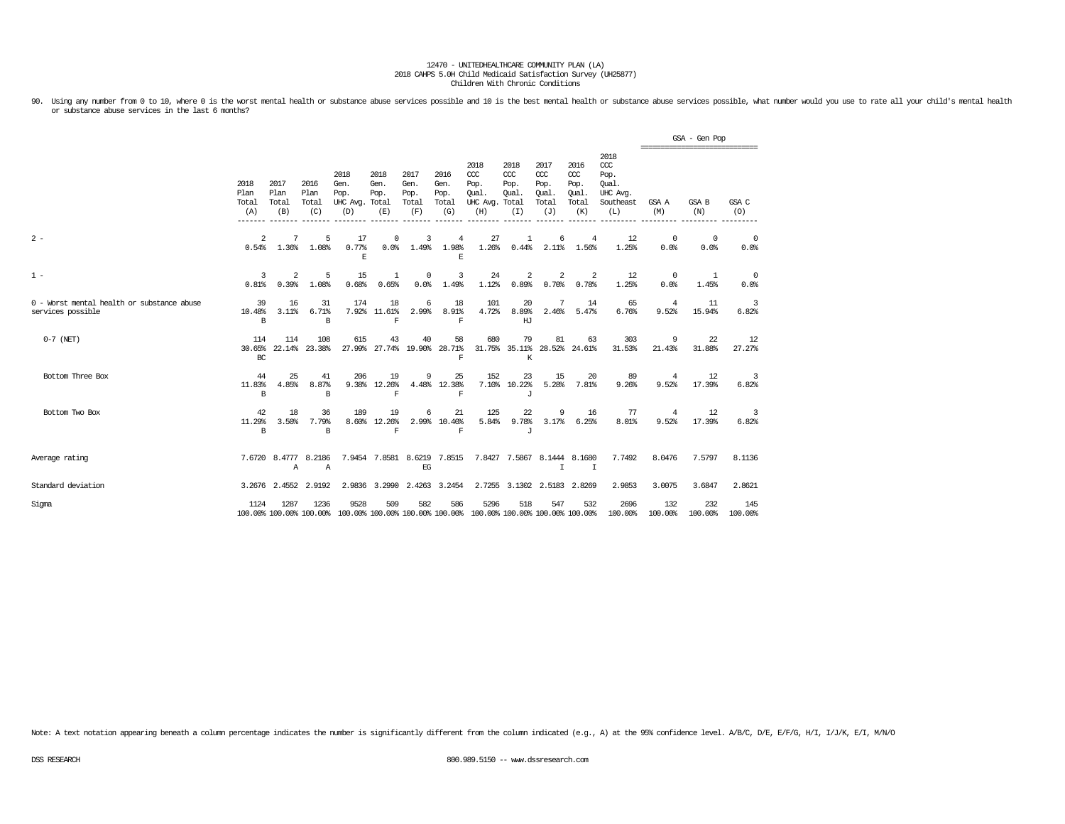90. Using any number from 0 to 10, where 0 is the worst mental health or substance abuse services possible and 10 is the best mental health or substance abuse services possible, what number would you use to rate all your c or substance abuse services in the last 6 months?

|                                                                 |                                         |                                            |                                        |                                                                                         |                             |                                      |                                               |                                                 |                                              |                                                   |                                              |                                                              |                          | GSA - Gen Pop<br>=============================== |                                  |
|-----------------------------------------------------------------|-----------------------------------------|--------------------------------------------|----------------------------------------|-----------------------------------------------------------------------------------------|-----------------------------|--------------------------------------|-----------------------------------------------|-------------------------------------------------|----------------------------------------------|---------------------------------------------------|----------------------------------------------|--------------------------------------------------------------|--------------------------|--------------------------------------------------|----------------------------------|
|                                                                 | 2018<br>Plan<br>Total<br>(A)<br>------- | 2017<br>Plan<br>Total<br>(B)<br>$--------$ | 2016<br>Plan<br>Total<br>(C)<br>------ | 2018<br>Gen.<br>Pop.<br>UHC Avg. Total<br>(D)<br>--------                               | 2018<br>Gen.<br>Pop.<br>(E) | 2017<br>Gen.<br>Pop.<br>Total<br>(F) | 2016<br>Gen.<br>Pop.<br>Total<br>(G)          | 2018<br>CCC<br>Pop.<br>Oual.<br>UHC Avg.<br>(H) | 2018<br>CCC<br>Pop.<br>Oual.<br>Total<br>(I) | 2017<br>$\alpha$<br>Pop.<br>Oual.<br>Total<br>(J) | 2016<br>ccc<br>Pop.<br>Qual.<br>Total<br>(K) | 2018<br>ccc<br>Pop.<br>Oual.<br>UHC Avg.<br>Southeast<br>(L) | GSA A<br>(M)<br>-------- | GSA B<br>(N)<br>---------                        | GSA C<br>(O)<br>---------        |
| $2 -$                                                           | 2<br>0.54%                              | 7<br>1.36%                                 | 5<br>1.08%                             | 17<br>0.77%<br>$\mathbb E$                                                              | $^{\circ}$<br>0.0%          | 3<br>1.49%                           | $\overline{4}$<br>1.98%<br>E                  | 27<br>1.26%                                     | 1<br>0.44%                                   | 6<br>2.11%                                        | $\overline{4}$<br>1.56%                      | 12<br>1.25%                                                  | $^{\circ}$<br>0.0%       | $^{\circ}$<br>0.0%                               | $^{\circ}$<br>0.0%               |
| $1 -$                                                           | 3<br>0.81%                              | 2<br>0.39%                                 | 5<br>1.08%                             | 15<br>0.68%                                                                             | 1<br>0.65%                  | $^{\circ}$<br>0.0%                   | 3<br>1.49%                                    | 24<br>1.12%                                     | 2<br>0.89%                                   | 2<br>0.70%                                        | 2<br>0.78%                                   | 12<br>1.25%                                                  | $^{\circ}$<br>0.0%       | 1<br>1.45%                                       | 0<br>0.0%                        |
| 0 - Worst mental health or substance abuse<br>services possible | 39<br>10.48%<br>B                       | 16<br>3.11%                                | 31<br>6.71%<br>B                       | 174                                                                                     | 18<br>7.92% 11.61%<br>F     | 6<br>2.99%                           | 18<br>8.91%<br>F                              | 101<br>4.72%                                    | 20<br>8.89%<br>HJ                            | 7<br>2.46%                                        | 14<br>5.47%                                  | 65<br>6.76%                                                  | 4<br>9.52%               | 11<br>15.94%                                     | 3<br>6.82%                       |
| $0-7$ (NET)                                                     | 114<br>30.65%<br>BC                     | 114<br>22.14%                              | 108<br>23.38%                          | 615<br>27.99%                                                                           | 43                          | 40<br>27.74% 19.90%                  | 58<br>28.71%<br>$\mathbf F$                   | 680                                             | 79<br>К                                      | 81<br>31.75% 35.11% 28.52% 24.61%                 | 63                                           | 303<br>31.53%                                                | 9<br>21.43%              | 22<br>31.88%                                     | 12<br>27.27%                     |
| Bottom Three Box                                                | 44<br>11.83%<br>B                       | 25<br>4.85%                                | 41<br>8.87%<br>B                       | 206<br>9.38%                                                                            | 19<br>12.26%<br>$\mathbf F$ | 9                                    | 25<br>4.48% 12.38%<br>$\overline{\mathrm{F}}$ | 152                                             | 23<br>7.10% 10.22%<br>гT.                    | 15<br>5.28%                                       | 20<br>7.81%                                  | 89<br>9.26%                                                  | 4<br>9.52%               | 12<br>17.39%                                     | 3<br>6.82%                       |
| Bottom Two Box                                                  | 42<br>11.29%<br>B                       | 18<br>3.50%                                | 36<br>7.79%<br>B                       | 189<br>8.60%                                                                            | 19<br>12.26%<br>$\mathbf F$ | 6                                    | 21<br>2.99% 10.40%<br>$\mathbf F$             | 125<br>5.84%                                    | 22<br>9.78%<br>J                             | 9<br>3.17%                                        | 16<br>6.25%                                  | 77<br>8.01%                                                  | 4<br>9.52%               | 12<br>17.39%                                     | $\overline{\mathbf{3}}$<br>6.82% |
| Average rating                                                  |                                         | Α                                          | 7.6720 8.4777 8.2186<br>$\mathbb{A}$   |                                                                                         | 7.9454 7.8581 8.6219 7.8515 | EG                                   |                                               |                                                 |                                              | 7.8427 7.5867 8.1444 8.1680<br>$\mathbb{I}$       | I                                            | 7.7492                                                       | 8.0476                   | 7.5797                                           | 8.1136                           |
| Standard deviation                                              |                                         | 3.2676 2.4552                              | 2.9192                                 |                                                                                         | 2.9836 3.2990               |                                      | 2.4263 3.2454                                 | 2.7255                                          |                                              | 3.1302 2.5183                                     | 2.8269                                       | 2.9853                                                       | 3.0075                   | 3.6847                                           | 2.8621                           |
| Sigma                                                           | 1124                                    | 1287                                       | 1236                                   | 9528<br>100.00% 100.00% 100.00% 100.00% 100.00% 100.00% 100.00% 100.00% 100.00% 100.00% | 509                         | 582                                  | 586                                           | 5296                                            | 518                                          | 547                                               | 532                                          | 2696<br>100.00%                                              | 132<br>100.00%           | 232<br>100.00%                                   | 145<br>100.00%                   |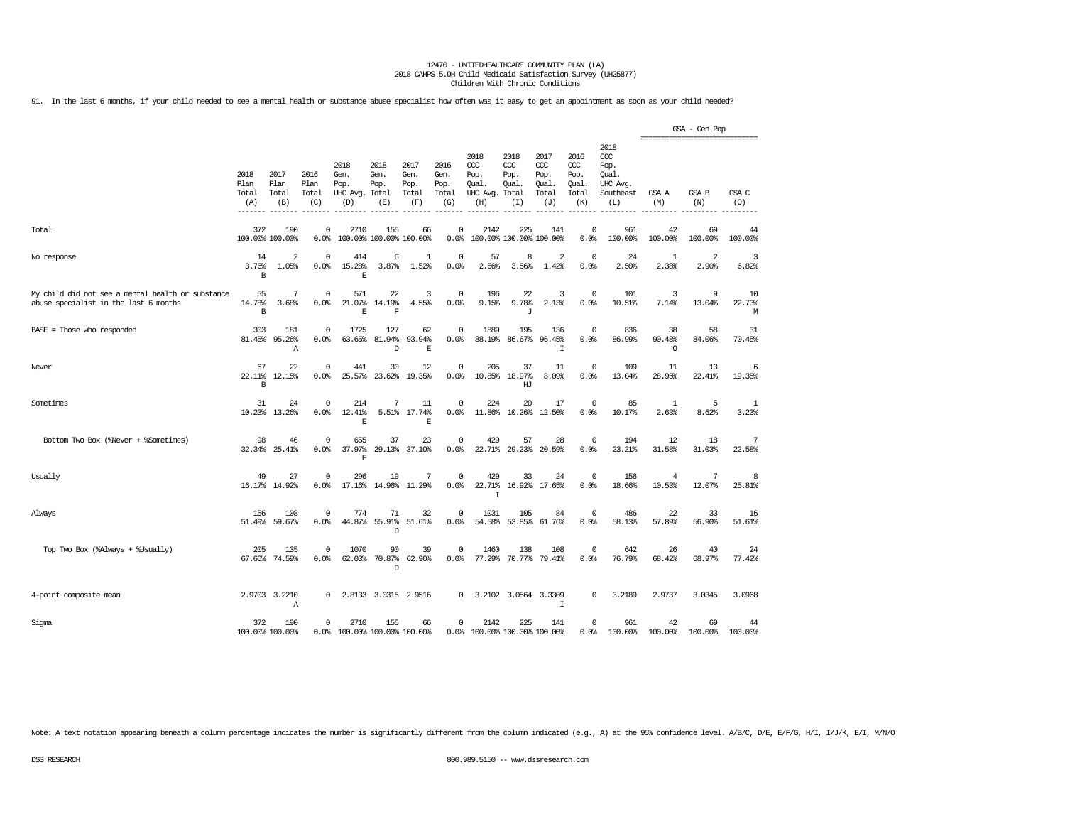91. In the last 6 months, if your child needed to see a mental health or substance abuse specialist how often was it easy to get an appointment as soon as your child needed?

|                                                                                            |                                        |                              |                              |                                               |                                |                                      |                                      |                                                 |                                              |                                              |                                              |                                                                   |                         | GSA - Gen Pop<br>=============================== |                   |
|--------------------------------------------------------------------------------------------|----------------------------------------|------------------------------|------------------------------|-----------------------------------------------|--------------------------------|--------------------------------------|--------------------------------------|-------------------------------------------------|----------------------------------------------|----------------------------------------------|----------------------------------------------|-------------------------------------------------------------------|-------------------------|--------------------------------------------------|-------------------|
|                                                                                            | 2018<br>Plan<br>Total<br>(A)<br>------ | 2017<br>Plan<br>Total<br>(B) | 2016<br>Plan<br>Total<br>(C) | 2018<br>Gen.<br>Pop.<br>UHC Avg. Total<br>(D) | 2018<br>Gen.<br>Pop.<br>(E)    | 2017<br>Gen.<br>Pop.<br>Total<br>(F) | 2016<br>Gen.<br>Pop.<br>Total<br>(G) | 2018<br>CCC<br>Pop.<br>Oual.<br>UHC Avg.<br>(H) | 2018<br>CCC<br>Pop.<br>Oual.<br>Total<br>(I) | 2017<br>ccc<br>Pop.<br>Oual.<br>Total<br>(J) | 2016<br>ccc<br>Pop.<br>Oual.<br>Total<br>(K) | 2018<br>$\alpha$<br>Pop.<br>Oual.<br>UHC Avg.<br>Southeast<br>(L) | GSA A<br>(M)            | GSA B<br>(N)                                     | GSA C<br>(O)      |
| Total                                                                                      | 372<br>100.00% 100.00%                 | 190                          | 0<br>0.0%                    | 2710                                          | 155<br>100.00% 100.00% 100.00% | 66                                   | $\Omega$<br>0.0%                     | 2142                                            | 225<br>100.00% 100.00% 100.00%               | 141                                          | $\Omega$<br>0.0%                             | 961<br>100.00%                                                    | 42<br>100.00%           | 69<br>100.00%                                    | 44<br>100.00%     |
| No response                                                                                | 14<br>3.76%<br>B                       | $\overline{2}$<br>1.05%      | $^{\circ}$<br>0.0%           | 414<br>15.28%<br>E                            | 6<br>3.87%                     | 1<br>1.52%                           | $\mathbf 0$<br>0.0%                  | 57<br>2.66%                                     | 8<br>3.56%                                   | 2<br>1.42%                                   | $\Omega$<br>0.0%                             | 24<br>2.50%                                                       | 1<br>2.38%              | 2<br>2.90%                                       | 3<br>6.82%        |
| My child did not see a mental health or substance<br>abuse specialist in the last 6 months | 55<br>14.78%<br>B                      | 7<br>3.68%                   | $^{\circ}$<br>0.0%           | 571<br>21.07%<br>$\mathbf{E}% _{0}$           | 22<br>14.19%<br>$\mathbf F$    | 3<br>4.55%                           | 0<br>0.0%                            | 196<br>9.15%                                    | 22<br>9.78%<br>J                             | 3<br>2.13%                                   | $\Omega$<br>0.0%                             | 101<br>10.51%                                                     | 3<br>7.14%              | 9<br>13.04%                                      | 10<br>22.73%<br>М |
| $BASE = Those who responded$                                                               | 303<br>81.45%                          | 181<br>95.26%<br>Α           | 0<br>0.0%                    | 1725<br>63.65%                                | 127<br>81.94%<br>D             | 62<br>93.94%<br>E                    | 0<br>0.0%                            | 1889<br>88.19%                                  | 195<br>86.67%                                | 136<br>96.45%<br>$\mathbbm{I}$               | 0<br>0.0%                                    | 836<br>86.99%                                                     | 38<br>90.48%<br>$\circ$ | 58<br>84.06%                                     | 31<br>70.45%      |
| Never                                                                                      | 67<br>22.11%<br>B                      | 22<br>12.15%                 | $^{\circ}$<br>0.0%           | 441<br>25.57%                                 | 30<br>23.62%                   | 12<br>19.35%                         | 0<br>0.0%                            | 205<br>10.85%                                   | 37<br>18.97%<br>HJ                           | 11<br>8.09%                                  | 0<br>0.0%                                    | 109<br>13.04%                                                     | 11<br>28.95%            | 13<br>22.41%                                     | 6<br>19.35%       |
| Sometimes                                                                                  | 31<br>10.23%                           | 24<br>13.26%                 | 0<br>0.0%                    | 214<br>12.41%<br>E                            | 7<br>5.51%                     | 11<br>17.74%<br>E                    | 0<br>0.0%                            | 224<br>11.86%                                   | 20<br>10.26%                                 | 17<br>12.50%                                 | $\Omega$<br>0.0%                             | 85<br>10.17%                                                      | -1<br>2.63%             | 5<br>8.62%                                       | 1<br>3.23%        |
| Bottom Two Box (%Never + %Sometimes)                                                       | 98<br>32.34%                           | 46<br>25.41%                 | $\mathbf 0$<br>0.0           | 655<br>37.97%<br>F.                           | 37<br>29.13%                   | 23<br>37.10%                         | $^{\circ}$<br>0.0%                   | 429<br>22.71%                                   | 57<br>29.23%                                 | 28<br>20.59%                                 | $\Omega$<br>0.0%                             | 194<br>23.21%                                                     | 12<br>31.58%            | 18<br>31.03%                                     | 7<br>22.58%       |
| Usually                                                                                    | 49                                     | 27<br>16.17% 14.92%          | $\mathbf 0$<br>0.0%          | 296                                           | 19<br>17.16% 14.96% 11.29%     | 7                                    | $\mathsf 0$<br>0.0%                  | 429<br>22.71%<br>I                              | 33                                           | 24<br>16.92% 17.65%                          | 0<br>0.0%                                    | 156<br>18.66%                                                     | 4<br>10.53%             | 7<br>12.07%                                      | 8<br>25.81%       |
| Always                                                                                     | 156                                    | 108<br>51.49% 59.67%         | $\mathbf 0$<br>0.0%          | 774<br>44.87%                                 | 71<br>55.91%<br>D              | 32<br>51.61%                         | $\mathbf 0$<br>0.0%                  | 1031<br>54.58%                                  | 105<br>53.85%                                | 84<br>61.76%                                 | $\Omega$<br>0.0%                             | 486<br>58.13%                                                     | 22<br>57.89%            | 33<br>56.90%                                     | 16<br>51.61%      |
| Top Two Box (%Always + %Usually)                                                           | 205<br>67.66%                          | 135<br>74.59%                | $\mathbf 0$<br>0.0%          | 1070<br>62.03%                                | 90<br>70.87%<br>$\mathbb{D}$   | 39<br>62.90%                         | $\Omega$<br>0.0%                     | 1460<br>77.29%                                  | 138<br>70.77%                                | 108<br>79.41%                                | $\Omega$<br>0.0%                             | 642<br>76.79%                                                     | 26<br>68.42%            | 40<br>68.97%                                     | 24<br>77.42%      |
| 4-point composite mean                                                                     |                                        | 2.9703 3.2210<br>Α           | 0                            |                                               | 2.8133 3.0315 2.9516           |                                      | $^{\circ}$                           |                                                 | 3.2102 3.0564 3.3309                         | $\mathbf I$                                  | 0                                            | 3.2189                                                            | 2.9737                  | 3.0345                                           | 3.0968            |
| Sigma                                                                                      | 372<br>100.00% 100.00%                 | 190                          | $^{\circ}$                   | 2710<br>0.0% 100.00% 100.00% 100.00%          | 155                            | 66                                   | $^{\circ}$                           | 2142<br>0.0% 100.00% 100.00% 100.00%            | 225                                          | 141                                          | 0<br>0.0%                                    | 961<br>100.00%                                                    | 42<br>100.00%           | 69<br>100.00%                                    | 44<br>100.00%     |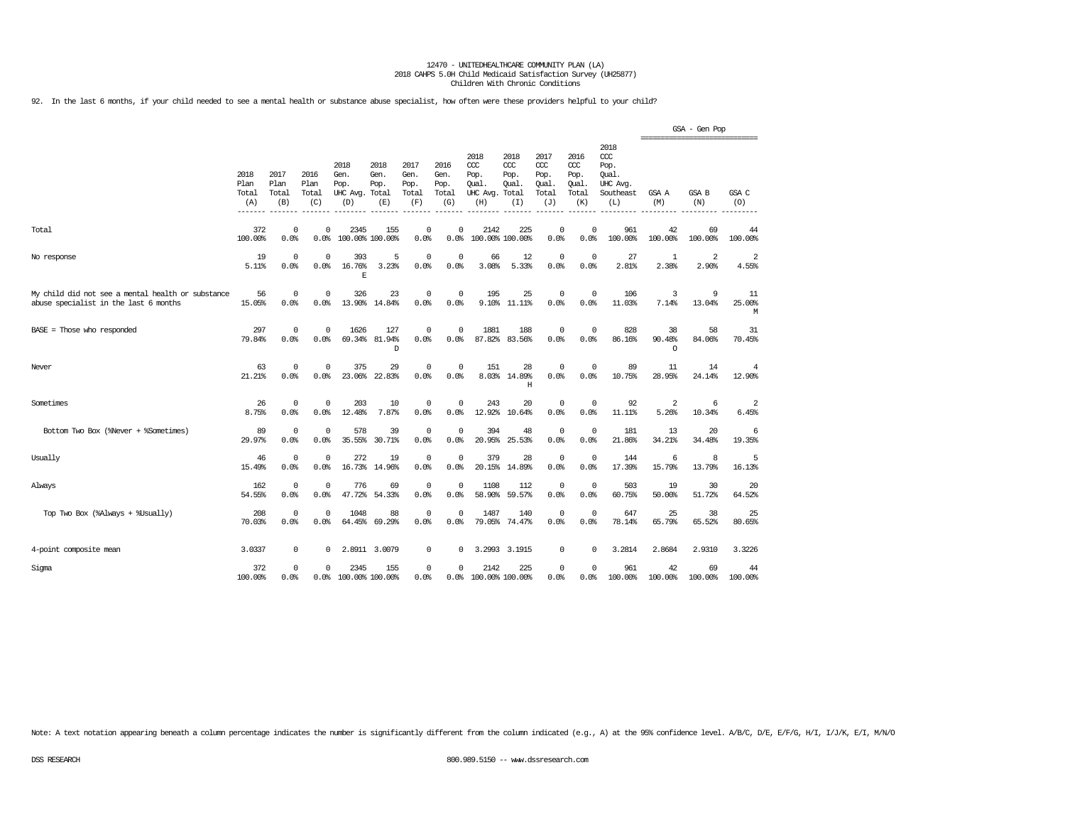92. In the last 6 months, if your child needed to see a mental health or substance abuse specialist, how often were these providers helpful to your child?

|                                                                                            |                                         |                              |                              |                                               |                             |                                      |                                      |                                                 |                                               |                                              |                                              |                                                                     | ================================ | GSA - Gen Pop           |                         |
|--------------------------------------------------------------------------------------------|-----------------------------------------|------------------------------|------------------------------|-----------------------------------------------|-----------------------------|--------------------------------------|--------------------------------------|-------------------------------------------------|-----------------------------------------------|----------------------------------------------|----------------------------------------------|---------------------------------------------------------------------|----------------------------------|-------------------------|-------------------------|
|                                                                                            | 2018<br>Plan<br>Total<br>(A)<br>------- | 2017<br>Plan<br>Total<br>(B) | 2016<br>Plan<br>Total<br>(C) | 2018<br>Gen.<br>Pop.<br>UHC Avg. Total<br>(D) | 2018<br>Gen.<br>Pop.<br>(E) | 2017<br>Gen.<br>Pop.<br>Total<br>(F) | 2016<br>Gen.<br>Pop.<br>Total<br>(G) | 2018<br>ccc<br>Pop.<br>Oual.<br>UHC Avg.<br>(H) | 2018<br>CCC.<br>Pop.<br>Oual.<br>Total<br>(I) | 2017<br>ccc<br>Pop.<br>Oual.<br>Total<br>(J) | 2016<br>ccc<br>Pop.<br>Oual.<br>Total<br>(K) | 2018<br><b>CCC</b><br>Pop.<br>Oual.<br>UHC Avg.<br>Southeast<br>(L) | GSA A<br>(M)                     | GSA B<br>(N)            | GSA C<br>(O)            |
| Total                                                                                      | 372<br>100.00%                          | $\Omega$<br>0.0%             | $\Omega$<br>0.0%             | 2345<br>100.00% 100.00%                       | 155                         | $\Omega$<br>0.0%                     | $\Omega$<br>0.0%                     | 2142                                            | 225<br>100.00% 100.00%                        | $\Omega$<br>0.0%                             | $\Omega$<br>0.0%                             | 961<br>100.00%                                                      | 42<br>100.00%                    | 69<br>100.00%           | 44<br>100.00%           |
| No response                                                                                | 19<br>5.11%                             | $^{\circ}$<br>0.0%           | $^{\circ}$<br>0.0%           | 393<br>16.76%<br>E                            | 5<br>3.23%                  | $^{\circ}$<br>0.0%                   | $\Omega$<br>0.0%                     | 66<br>3.08%                                     | 12<br>5.33%                                   | $\mathbf 0$<br>0.0%                          | $\mathbf{0}$<br>0.0%                         | 27<br>2.81%                                                         | $\mathbf{1}$<br>2.38%            | $\overline{a}$<br>2.90% | $\overline{2}$<br>4.55% |
| My child did not see a mental health or substance<br>abuse specialist in the last 6 months | 56<br>15.05%                            | 0<br>0.0%                    | $^{\circ}$<br>0.0%           | 326<br>13.90%                                 | 23<br>14.84%                | $^{\circ}$<br>0.0%                   | $^{\circ}$<br>0.0%                   | 195                                             | 25<br>9.10% 11.11%                            | $\mathbf 0$<br>0.0%                          | $\mathbf{0}$<br>0.0%                         | 106<br>11.03%                                                       | 3<br>7.14%                       | 9<br>13.04%             | 11<br>25.00%<br>М       |
| BASE = Those who responded                                                                 | 297<br>79.84%                           | $^{\circ}$<br>0.0%           | $^{\circ}$<br>0.0%           | 1626<br>69.34%                                | 127<br>81.94%<br>D          | $^{\circ}$<br>0.0%                   | $^{\circ}$<br>0.0%                   | 1881<br>87.82%                                  | 188<br>83.56%                                 | $\mathbf 0$<br>0.0%                          | $^{\circ}$<br>0.0%                           | 828<br>86.16%                                                       | 38<br>90.48%<br>$\circ$          | 58<br>84.06%            | 31<br>70.45%            |
| Never                                                                                      | 63<br>21.21%                            | $\mathbf 0$<br>0.0%          | $\mathbf 0$<br>0.0%          | 375<br>23.06%                                 | 29<br>22.83%                | $^{\circ}$<br>0.0%                   | $\mathbf 0$<br>0.0%                  | 151                                             | 28<br>8.03% 14.89%<br>H                       | $\mathbf 0$<br>0.0%                          | $\mathbf 0$<br>0.0%                          | 89<br>10.75%                                                        | 11<br>28.95%                     | 14<br>24.14%            | 4<br>12.90%             |
| Sometimes                                                                                  | 26<br>8.75%                             | $^{\circ}$<br>0.0%           | $^{\circ}$<br>0.0%           | 203<br>12.48%                                 | 10<br>7.87%                 | $^{\circ}$<br>0.0%                   | $\Omega$<br>0.0%                     | 243<br>12.92%                                   | 20<br>10.64%                                  | $\mathbf 0$<br>0.0%                          | $\mathbf 0$<br>0.0%                          | 92<br>11.11%                                                        | 2<br>5.26%                       | 6<br>10.34%             | $\overline{2}$<br>6.45% |
| Bottom Two Box (%Never + %Sometimes)                                                       | 89<br>29.97%                            | $\mathbf 0$<br>0.0%          | $^{\circ}$<br>0.0%           | 578<br>35.55%                                 | 39<br>30.71%                | $^{\circ}$<br>0.0%                   | $\mathbf 0$<br>0.0%                  | 394<br>20.95%                                   | 48<br>25.53%                                  | $\mathbf 0$<br>0.0%                          | $^{\circ}$<br>0.0%                           | 181<br>21.86%                                                       | 13<br>34.21%                     | 20<br>34.48%            | 6<br>19.35%             |
| Usually                                                                                    | 46<br>15.49%                            | $\mathbf 0$<br>0.0%          | $^{\circ}$<br>0.0%           | 272<br>16.73%                                 | 19<br>14.96%                | $\mathbf 0$<br>0.0%                  | $\Omega$<br>0.0%                     | 379<br>20.15%                                   | 28<br>14.89%                                  | $\mathbf 0$<br>0.0%                          | 0<br>0.0%                                    | 144<br>17.39%                                                       | 6<br>15.79%                      | 8<br>13.79%             | 5<br>16.13%             |
| Always                                                                                     | 162<br>54.55%                           | $^{\circ}$<br>0.0%           | $^{\circ}$<br>0.0%           | 776<br>47.72%                                 | 69<br>54.33%                | $\mathbf 0$<br>0.0%                  | $^{\circ}$<br>0.0%                   | 1108<br>58,90%                                  | 112<br>59.57%                                 | $\circ$<br>0.0%                              | $\mathbf{0}$<br>0.0%                         | 503<br>60.75%                                                       | 19<br>50.00%                     | 30<br>51.72%            | 20<br>64.52%            |
| Top Two Box (%Always + %Usually)                                                           | 208<br>70.03%                           | $^{\circ}$<br>0.0%           | $\Omega$<br>0.0%             | 1048<br>64.45%                                | 88<br>69.29%                | $^{\circ}$<br>0.0%                   | $\Omega$<br>0.0%                     | 1487<br>79.05%                                  | 140<br>74.47%                                 | $\mathbf 0$<br>0.0%                          | $\mathbf 0$<br>0.0%                          | 647<br>78.14%                                                       | 25<br>65.79%                     | 38<br>65.52%            | 25<br>80.65%            |
| 4-point composite mean                                                                     | 3.0337                                  | 0                            | 0                            |                                               | 2.8911 3.0079               | 0                                    | 0                                    | 3.2993                                          | 3.1915                                        | 0                                            | $\mathbf 0$                                  | 3.2814                                                              | 2.8684                           | 2.9310                  | 3.3226                  |
| Sigma                                                                                      | 372<br>100.00%                          | $\Omega$<br>0.0%             | $\Omega$<br>0.0%             | 2345<br>100.00% 100.00%                       | 155                         | 0<br>0.0%                            | $\Omega$                             | 2142<br>0.0% 100.00% 100.00%                    | 225                                           | $\mathbf 0$<br>0.0%                          | $\Omega$<br>0.0%                             | 961<br>100.00%                                                      | 42<br>100.00%                    | 69<br>100.00%           | 44<br>100.00%           |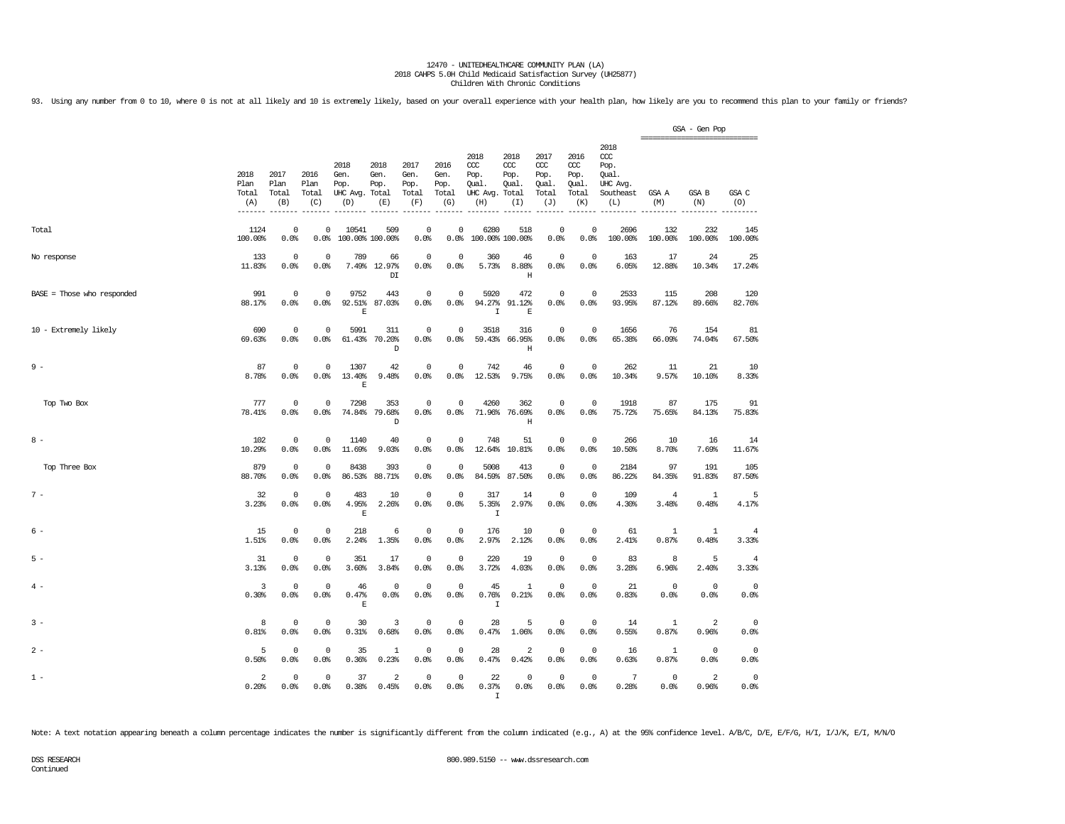93. Using any number from 0 to 10, where 0 is not at all likely and 10 is extremely likely, based on your overall experience with your health plan, how likely are you to recommend this plan to your family or friends?

|                              |                                       |                              |                              |                                               |                                  |                                      |                                      |                                                       |                                     |                                                   |                                                   |                                                                   |                         | GSA - Gen Pop<br>_________________________________ |                         |
|------------------------------|---------------------------------------|------------------------------|------------------------------|-----------------------------------------------|----------------------------------|--------------------------------------|--------------------------------------|-------------------------------------------------------|-------------------------------------|---------------------------------------------------|---------------------------------------------------|-------------------------------------------------------------------|-------------------------|----------------------------------------------------|-------------------------|
|                              | 2018<br>Plan<br>Total<br>(A)<br>----- | 2017<br>Plan<br>Total<br>(B) | 2016<br>Plan<br>Total<br>(C) | 2018<br>Gen.<br>Pop.<br>UHC Avg. Total<br>(D) | 2018<br>Gen.<br>Pop.<br>(E)      | 2017<br>Gen.<br>Pop.<br>Total<br>(F) | 2016<br>Gen.<br>Pop.<br>Total<br>(G) | 2018<br>ccc<br>Pop.<br>Qual.<br>UHC Avg. Total<br>(H) | 2018<br>CCC<br>Pop.<br>Oual.<br>(I) | 2017<br>$\alpha$<br>Pop.<br>Qual.<br>Total<br>(J) | 2016<br>$\alpha$<br>Pop.<br>Oual.<br>Total<br>(K) | 2018<br>$\alpha$<br>Pop.<br>Qual.<br>UHC Avg.<br>Southeast<br>(L) | GSA A<br>(M)            | GSA B<br>(N)                                       | GSA C<br>(O)            |
| Total                        | 1124<br>100.00%                       | 0<br>0.0%                    | $\Omega$<br>0.0%             | 10541<br>100.00% 100.00%                      | 509                              | $\mathbf 0$<br>0.0%                  | 0<br>0.0%                            | 6280<br>100.00% 100.00%                               | 518                                 | $\mathbf 0$<br>0.0%                               | $\Omega$<br>0.0%                                  | 2696<br>100.00%                                                   | 132<br>100.00%          | 232<br>100.00%                                     | 145<br>100.00%          |
| No response                  | 133<br>11.83%                         | 0<br>0.0%                    | $^{\circ}$<br>0.0%           | 789                                           | 66<br>7.49% 12.97%<br>DT         | $\overline{0}$<br>0.0%               | 0<br>0.0%                            | 360<br>5.73%                                          | 46<br>8.88%<br>$\rm H$              | $\mathbf 0$<br>0.0%                               | $\mathbf 0$<br>0.0%                               | 163<br>6.05%                                                      | 17<br>12.88%            | 24<br>10.34%                                       | 25<br>17.24%            |
| $BASE = Those who responded$ | 991<br>88.17%                         | $\mathbf 0$<br>0.0%          | $\Omega$<br>0.0%             | 9752<br>92.51%<br>E                           | 443<br>87.03%                    | $\mathbf 0$<br>0.0%                  | $\mathbf 0$<br>0.0%                  | 5920<br>94.27%<br>$\mathbf I$                         | 472<br>91.12%<br>$\mathbf E$        | $\mathbf 0$<br>0.0%                               | $\Omega$<br>0.0%                                  | 2533<br>93.95%                                                    | 115<br>87.12%           | 208<br>89.66%                                      | 120<br>82.76%           |
| 10 - Extremely likely        | 690<br>69.63%                         | $\mathbf 0$<br>0.0%          | $\mathbf 0$<br>0.0%          | 5991<br>61.43%                                | 311<br>70.20%<br>D               | $\mathbf 0$<br>0.0%                  | $\mathbf 0$<br>0.0%                  | 3518<br>59.43%                                        | 316<br>66.95%<br>Η                  | $\mathbb O$<br>0.0%                               | $\mathbf 0$<br>0.0%                               | 1656<br>65.38%                                                    | 76<br>66.09%            | 154<br>74.04%                                      | 81<br>67.50%            |
| $9 -$                        | 87<br>8.78%                           | $\mathsf 0$<br>0.0%          | $\mathbf 0$<br>0.0%          | 1307<br>13.40%<br>$\mathbb E$                 | 42<br>9.48%                      | $\mathbb O$<br>0.0%                  | 0<br>0.0%                            | 742<br>12.53%                                         | 46<br>9.75%                         | $\circ$<br>0.0%                                   | $\mathbf 0$<br>0.0%                               | 262<br>10.34%                                                     | 11<br>9.57%             | 21<br>10.10%                                       | 10<br>8.33%             |
| Top Two Box                  | 777<br>78.41%                         | $\mathsf 0$<br>0.0%          | $\mathbf 0$<br>0.0%          | 7298<br>74.84%                                | 353<br>79.68%<br>$\mathbb{D}$    | $\overline{0}$<br>0.0%               | 0<br>0.0%                            | 4260<br>71.96%                                        | 362<br>76.69%<br>H                  | $\circ$<br>0.0%                                   | $\mathbf 0$<br>0.0%                               | 1918<br>75.72%                                                    | 87<br>75.65%            | 175<br>84.13%                                      | 91<br>75.83%            |
| $8 -$                        | 102<br>10.29%                         | 0<br>0.0%                    | 0<br>0.0%                    | 1140<br>11.69%                                | 40<br>9.03%                      | $^{\circ}$<br>0.0%                   | 0<br>0.0%                            | 748<br>12.64%                                         | 51<br>10.81%                        | $\circ$<br>0.0%                                   | 0<br>0.0%                                         | 266<br>10.50%                                                     | 10<br>8.70%             | 16<br>7.69%                                        | 14<br>11.67%            |
| Top Three Box                | 879<br>88.70%                         | $\mathbf 0$<br>0.0%          | $\mathbf 0$<br>0.0%          | 8438<br>86.53%                                | 393<br>88.71%                    | $\mathbf 0$<br>0.0%                  | $\mathsf 0$<br>0.0%                  | 5008<br>84.59%                                        | 413<br>87.50%                       | $\circ$<br>0.0%                                   | $\circ$<br>0.0%                                   | 2184<br>86.22%                                                    | 97<br>84.35%            | 191<br>91.83%                                      | 105<br>87.50%           |
| $7 -$                        | 32<br>3.23%                           | $\mathbf 0$<br>0.0%          | $\mathbf 0$<br>0.0%          | 483<br>4.95%<br>$\mathbb E$                   | 10<br>2.26%                      | $\overline{0}$<br>0.0%               | $\mathbf 0$<br>0.0%                  | 317<br>5.35%<br>$\mathbbm{1}$                         | 14<br>2.97%                         | $\circ$<br>0.0%                                   | $^{\circ}$<br>0.0%                                | 109<br>4.30%                                                      | $\overline{4}$<br>3.48% | 1<br>0.48%                                         | 5<br>4.17%              |
| $6 -$                        | 15<br>1.51%                           | $\mathsf 0$<br>0.0%          | $\mathbf 0$<br>0.0%          | 218<br>2.24%                                  | 6<br>1.35%                       | $^{\circ}$<br>0.0%                   | 0<br>0.0%                            | 176<br>2.97%                                          | 10<br>2.12%                         | $\circ$<br>0.0%                                   | $\overline{0}$<br>0.0%                            | 61<br>2.41%                                                       | 1<br>0.87%              | 1<br>0.48%                                         | $\overline{4}$<br>3.33% |
| $5 -$                        | 31<br>3.13%                           | $\mathbf 0$<br>0.0%          | $\mathbf 0$<br>0.0%          | 351<br>3.60%                                  | 17<br>3.84%                      | $\overline{0}$<br>0.0%               | 0<br>0.0%                            | 220<br>3.72%                                          | 19<br>4.03%                         | $\circ$<br>0.0%                                   | $\Omega$<br>0.0%                                  | 83<br>3.28%                                                       | 8<br>6.96%              | 5<br>2.40%                                         | $\overline{4}$<br>3.33% |
| $4 -$                        | 3<br>0.30%                            | $^{\circ}$<br>0.0%           | $\mathbf 0$<br>0.0%          | 46<br>0.47%<br>E                              | 0<br>0.0%                        | $\overline{0}$<br>0.0%               | $^{\circ}$<br>0.0%                   | 45<br>0.76%<br>$\mathbf I$                            | -1<br>0.21%                         | $^{\circ}$<br>0.0%                                | $\Omega$<br>0.0%                                  | 21<br>0.83%                                                       | $\Omega$<br>0.0%        | $\overline{0}$<br>0.0%                             | $\overline{0}$<br>0.0%  |
| $3 -$                        | 8<br>0.81%                            | $\mathbf 0$<br>0.0%          | $\mathbf 0$<br>0.0%          | 30<br>0.31%                                   | 3<br>0.68%                       | $\overline{0}$<br>0.0%               | 0<br>0.0%                            | 28<br>0.47%                                           | 5<br>1.06%                          | $\circ$<br>0.0%                                   | $^{\circ}$<br>0.0%                                | 14<br>0.55%                                                       | 1<br>0.87%              | $\overline{2}$<br>0.96%                            | $^{\circ}$<br>0.0%      |
| $2 -$                        | 5<br>0.50%                            | $\mathbf 0$<br>0.0%          | $\mathbf 0$<br>0.0%          | 35<br>0.36%                                   | <sup>1</sup><br>0.23%            | $\overline{0}$<br>0.0%               | 0<br>0.0%                            | 28<br>0.47%                                           | $\overline{a}$<br>0.42%             | $\mathbf 0$<br>0.0%                               | $\Omega$<br>0.0%                                  | 16<br>0.63%                                                       | 1<br>0.87%              | $\Omega$<br>0.0%                                   | $^{\circ}$<br>0.0%      |
| $1 -$                        | $\overline{a}$<br>0.20%               | $\mathbf 0$<br>0.0%          | $\mathbb O$<br>0.0%          | 37<br>0.38%                                   | $\overline{\mathbf{c}}$<br>0.45% | $\mathbb O$<br>0.0%                  | $\mathsf 0$<br>0.0%                  | 22<br>0.37%<br>I                                      | $\mathbf 0$<br>0.0%                 | $\circ$<br>0.0%                                   | $\circ$<br>0.0%                                   | 7<br>0.28%                                                        | $\mathbf 0$<br>0.0%     | 2<br>0.96%                                         | $\mathbf{0}$<br>0.0%    |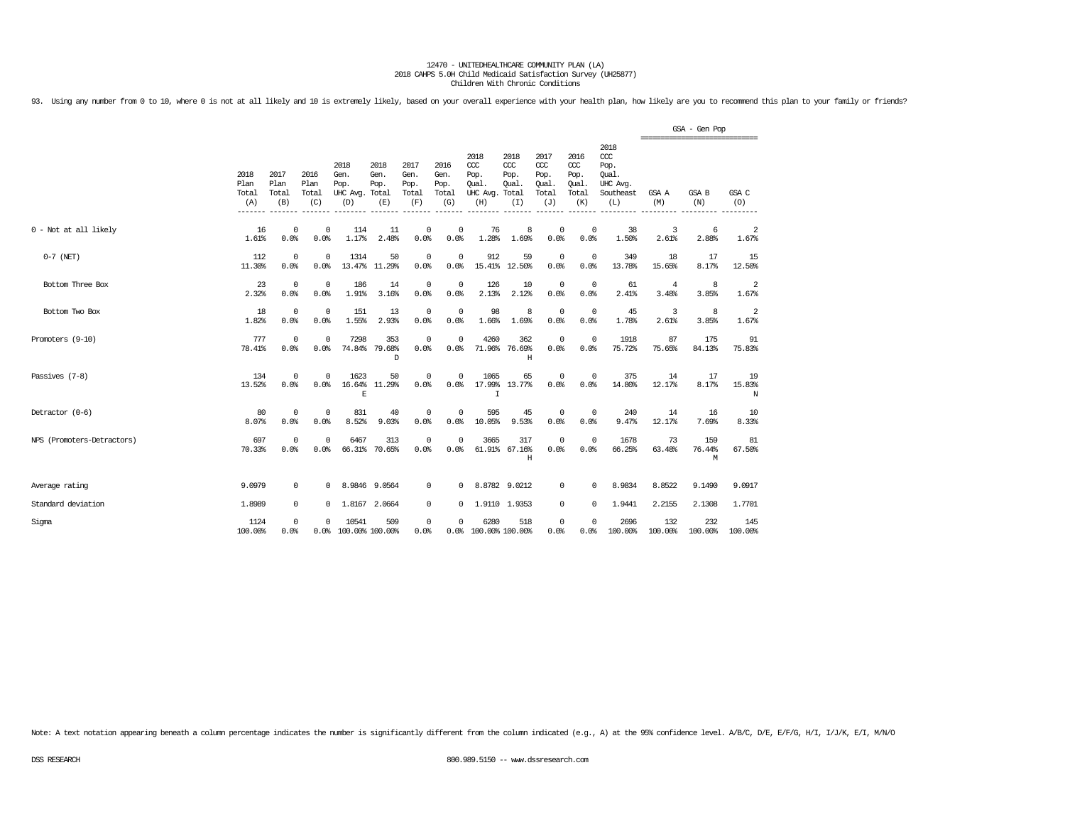93. Using any number from 0 to 10, where 0 is not at all likely and 10 is extremely likely, based on your overall experience with your health plan, how likely are you to recommend this plan to your family or friends?

|                            |                              |                              |                                    |                                               |                             |                                      |                                      |                                                 |                                              |                                              |                                              |                                                                   | ================================ | GSA - Gen Pop       |                   |
|----------------------------|------------------------------|------------------------------|------------------------------------|-----------------------------------------------|-----------------------------|--------------------------------------|--------------------------------------|-------------------------------------------------|----------------------------------------------|----------------------------------------------|----------------------------------------------|-------------------------------------------------------------------|----------------------------------|---------------------|-------------------|
|                            | 2018<br>Plan<br>Total<br>(A) | 2017<br>Plan<br>Total<br>(B) | 2016<br>Plan<br>Total<br>(C)       | 2018<br>Gen.<br>Pop.<br>UHC Avg. Total<br>(D) | 2018<br>Gen.<br>Pop.<br>(E) | 2017<br>Gen.<br>Pop.<br>Total<br>(F) | 2016<br>Gen.<br>Pop.<br>Total<br>(G) | 2018<br>ccc<br>Pop.<br>Oual.<br>UHC Avg.<br>(H) | 2018<br>CCC<br>Pop.<br>Oual.<br>Total<br>(I) | 2017<br>ccc<br>Pop.<br>Oual.<br>Total<br>(J) | 2016<br>ccc<br>Pop.<br>Qual.<br>Total<br>(K) | 2018<br>$\alpha$<br>Pop.<br>Oual.<br>UHC Avg.<br>Southeast<br>(L) | GSA A<br>(M)                     | <b>GSA B</b><br>(N) | GSA C<br>(O)      |
| 0 - Not at all likely      | 16<br>1.61%                  | 0.0%                         | $\mathbf 0$<br>$^{\circ}$<br>0.0%  | 114<br>1.17%                                  | 11<br>2.48%                 | 0<br>0.0%                            | 0<br>0.0%                            | 76<br>1.28%                                     | 8<br>1.69%                                   | $\mathbf{0}$<br>0.0%                         | $\mathbf 0$<br>0.0%                          | 38<br>1.50%                                                       | 3<br>2.61%                       | 6<br>2.88%          | 2<br>1.67%        |
| $0-7$ (NET)                | 112<br>11.30%                | 0.0%                         | $^{\circ}$<br>$^{\circ}$<br>0.0%   | 1314<br>13.47%                                | 50<br>11.29%                | 0<br>0.0%                            | $\mathbf 0$<br>0.0%                  | 912<br>15.41%                                   | 59<br>12.50%                                 | $\mathbf 0$<br>0.0%                          | $^{\circ}$<br>0.0%                           | 349<br>13.78%                                                     | 18<br>15.65%                     | 17<br>8.17%         | 15<br>12.50%      |
| Bottom Three Box           | 23<br>2.32%                  | 0.0%                         | $^{\circ}$<br>$^{\circ}$<br>0.0%   | 186<br>1.91%                                  | 14<br>3.16%                 | $^{\circ}$<br>0.0%                   | $^{\circ}$<br>0.0%                   | 126<br>2.13%                                    | 10<br>2.12%                                  | $\circ$<br>0.0%                              | $^{\circ}$<br>0.0%                           | 61<br>2.41%                                                       | 4<br>3.48%                       | 8<br>3.85%          | 2<br>1.67%        |
| Bottom Two Box             | 18<br>1.82%                  | 0.0%                         | $\mathbf 0$<br>$\mathbf 0$<br>0.0% | 151<br>1.55%                                  | 13<br>2.93%                 | 0<br>0.0%                            | $\mathbf 0$<br>0.0%                  | 98<br>1.66%                                     | 8<br>1.69%                                   | $\mathbb O$<br>0.0%                          | $\circ$<br>0.0%                              | 45<br>1.78%                                                       | 3<br>2.61%                       | 8<br>3.85%          | 2<br>1.67%        |
| Promoters (9-10)           | 777<br>78.41%                | 0.0%                         | $\mathbf 0$<br>$\mathbf 0$<br>0.0% | 7298                                          | 353<br>74.84% 79.68%<br>D   | $^{\circ}$<br>0.0%                   | $\Omega$<br>0.0%                     | 4260                                            | 362<br>71.96% 76.69%<br>Η                    | $\mathbb O$<br>0.0%                          | $^{\circ}$<br>0.0%                           | 1918<br>75.72%                                                    | 87<br>75.65%                     | 175<br>84.13%       | 91<br>75.83%      |
| Passives (7-8)             | 134<br>13.52%                | 0.0%                         | $\mathbf 0$<br>$\Omega$<br>0.0%    | 1623<br>16.64%<br>E                           | 50<br>11.29%                | $^{\circ}$<br>0.0%                   | 0<br>0.0%                            | 1065<br>17.99%<br>T                             | 65<br>13.77%                                 | $\mathbf{0}$<br>0.0%                         | $\mathbf 0$<br>0.0%                          | 375<br>14.80%                                                     | 14<br>12.17%                     | 17<br>8.17%         | 19<br>15.83%<br>N |
| Detractor (0-6)            | 80<br>8.07%                  | 0.0%                         | $\mathbf 0$<br>$^{\circ}$<br>0.0%  | 831<br>8.52%                                  | 40<br>9.03%                 | 0<br>0.0%                            | $^{\circ}$<br>0.0%                   | 595<br>10.05%                                   | 45<br>9.53%                                  | $\mathbf 0$<br>0.0%                          | 0<br>0.0%                                    | 240<br>9.47%                                                      | 14<br>12.17%                     | 16<br>7.69%         | 10<br>8.33%       |
| NPS (Promoters-Detractors) | 697<br>70.33%                | 0.0%                         | $\mathbf 0$<br>$\mathbf 0$<br>0.0% | 6467                                          | 313<br>66.31% 70.65%        | $\overline{0}$<br>0.0%               | $\Omega$<br>0.0%                     | 3665                                            | 317<br>61.91% 67.16%<br>H                    | $\mathbb O$<br>0.0%                          | $\Omega$<br>0.0%                             | 1678<br>66.25%                                                    | 73<br>63.48%                     | 159<br>76.44%<br>М  | 81<br>67.50%      |
| Average rating             | 9.0979                       |                              | 0<br>$^{\circ}$                    |                                               | 8.9846 9.0564               | 0                                    | 0                                    |                                                 | 8.8782 9.0212                                | $^{\circ}$                                   | 0                                            | 8.9834                                                            | 8.8522                           | 9.1490              | 9.0917            |
| Standard deviation         | 1.8989                       |                              | 0<br>$^{\circ}$                    |                                               | 1.8167 2.0664               | $^{\circ}$                           | $^{\circ}$                           |                                                 | 1.9110 1.9353                                | $^{\circ}$                                   | $\mathbf 0$                                  | 1.9441                                                            | 2.2155                           | 2.1308              | 1,7701            |
| Sigma                      | 1124<br>100.00%              | 0.0%                         | $^{\circ}$<br>$\Omega$<br>0.0%     | 10541<br>100.00% 100.00%                      | 509                         | 0<br>0.0%                            | 0                                    | 6280<br>0.0% 100.00% 100.00%                    | 518                                          | $\circ$<br>0.0%                              | $\Omega$<br>0.0%                             | 2696<br>100.00%                                                   | 132<br>100.00%                   | 232<br>100.00%      | 145<br>100.00%    |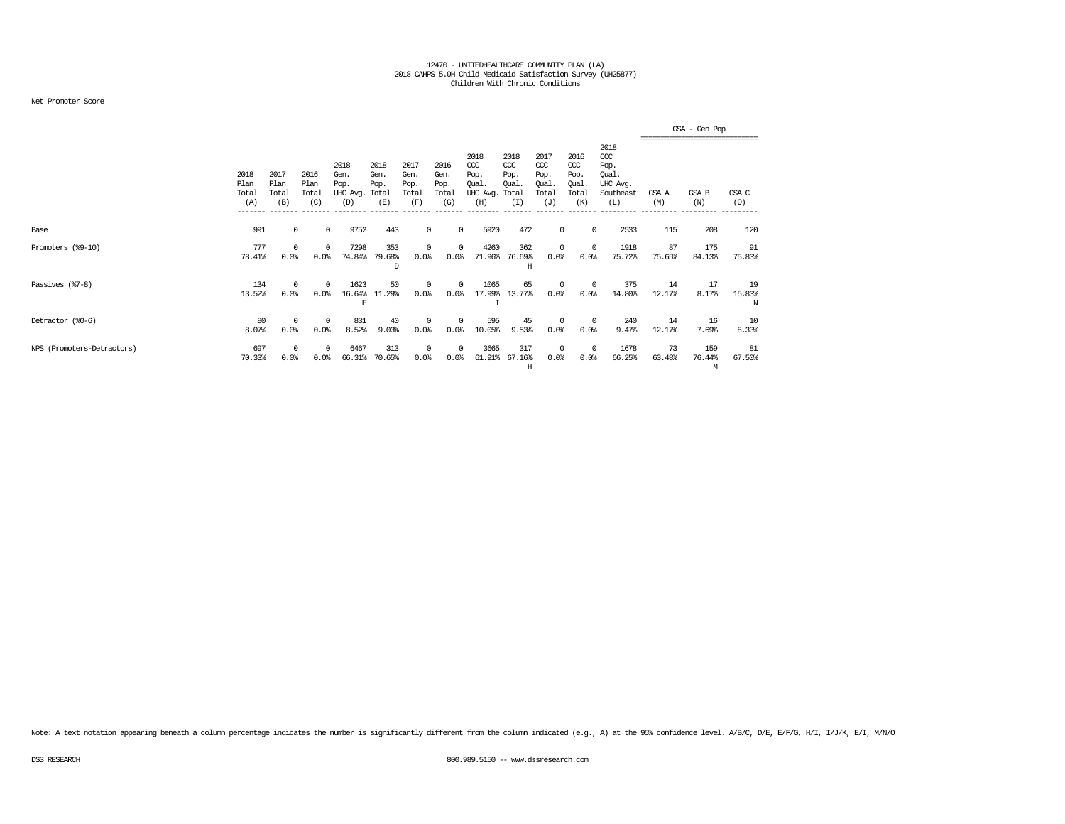### Net Promoter Score

|                            |                              |                              |                              |                                         |                                      |                                      |                                      |                                                  |                                             |                                              |                                                   |                                                                   |              | GSA - Gen Pop                                 |                   |
|----------------------------|------------------------------|------------------------------|------------------------------|-----------------------------------------|--------------------------------------|--------------------------------------|--------------------------------------|--------------------------------------------------|---------------------------------------------|----------------------------------------------|---------------------------------------------------|-------------------------------------------------------------------|--------------|-----------------------------------------------|-------------------|
|                            | 2018<br>Plan<br>Total<br>(A) | 2017<br>Plan<br>Total<br>(B) | 2016<br>Plan<br>Total<br>(C) | 2018<br>Gen.<br>Pop.<br>UHC Avg.<br>(D) | 2018<br>Gen.<br>Pop.<br>Total<br>(E) | 2017<br>Gen.<br>Pop.<br>Total<br>(F) | 2016<br>Gen.<br>Pop.<br>Total<br>(G) | 2018<br>$CC$<br>Pop.<br>Qual.<br>UHC Avg.<br>(H) | 2018<br>CCC<br>Pop.<br>Oual<br>Total<br>(I) | 2017<br>ccc<br>Pop.<br>Qual.<br>Total<br>(J) | 2016<br>$\alpha$<br>Pop.<br>Qual.<br>Total<br>(K) | 2018<br>$\alpha$<br>Pop.<br>Qual.<br>UHC Avg.<br>Southeast<br>(L) | GSA A<br>(M) | =============================<br>GSA B<br>(N) | GSA C<br>(O)      |
| Base                       | 991                          |                              | 0<br>$^{\circ}$              | 9752                                    | 443                                  | 0                                    | $^{\circ}$                           | 5920                                             | 472                                         | 0                                            | $^{\circ}$                                        | 2533                                                              | 115          | 208                                           | 120               |
| Promoters (%9-10)          | 777<br>78.41%                | 0<br>0.0%                    | $^{\circ}$<br>0.0%           | 7298<br>74.84%                          | 353<br>79.68%<br>D                   | $\Omega$<br>0.0%                     | 0<br>0.0%                            | 4260<br>71.96%                                   | 362<br>76.69%<br>H                          | 0<br>0.0%                                    | $^{\circ}$<br>0.0%                                | 1918<br>75.72%                                                    | 87<br>75.65% | 175<br>84.13%                                 | 91<br>75.83%      |
| Passives (%7-8)            | 134<br>13.52%                | $\Omega$<br>0.0%             | $\Omega$<br>0.0%             | 1623<br>16.64%<br>E                     | 50<br>11.29%                         | $\Omega$<br>0.0%                     | 0<br>0.0%                            | 1065<br>17.99%                                   | 65<br>13.77%                                | $\mathbf 0$<br>0.0%                          | $^{\circ}$<br>0.0%                                | 375<br>14.80%                                                     | 14<br>12.17% | 17<br>8.17%                                   | 19<br>15.83%<br>N |
| Detractor (%0-6)           | 80<br>8.07%                  | $\Omega$<br>0.0%             | $^{\circ}$<br>0.0%           | 831<br>8.52%                            | 40<br>9.03%                          | $\Omega$<br>0.0%                     | 0<br>0.0%                            | 595<br>10.05%                                    | 45<br>9.53%                                 | $^{\circ}$<br>0.0%                           | $\overline{0}$<br>0.0%                            | 240<br>9.47%                                                      | 14<br>12.17% | 16<br>7.69%                                   | 10<br>8.33%       |
| NPS (Promoters-Detractors) | 697<br>70.33%                | 0<br>0.0%                    | $^{\circ}$<br>0.0%           | 6467<br>66.31%                          | 313<br>70.65%                        | 0<br>0.0%                            | 0<br>0.0%                            | 3665<br>61.91%                                   | 317<br>67.16%<br>Н                          | 0<br>0.0%                                    | $\overline{0}$<br>0.0%                            | 1678<br>66.25%                                                    | 73<br>63.48% | 159<br>76.44%<br>M                            | 81<br>67.50%      |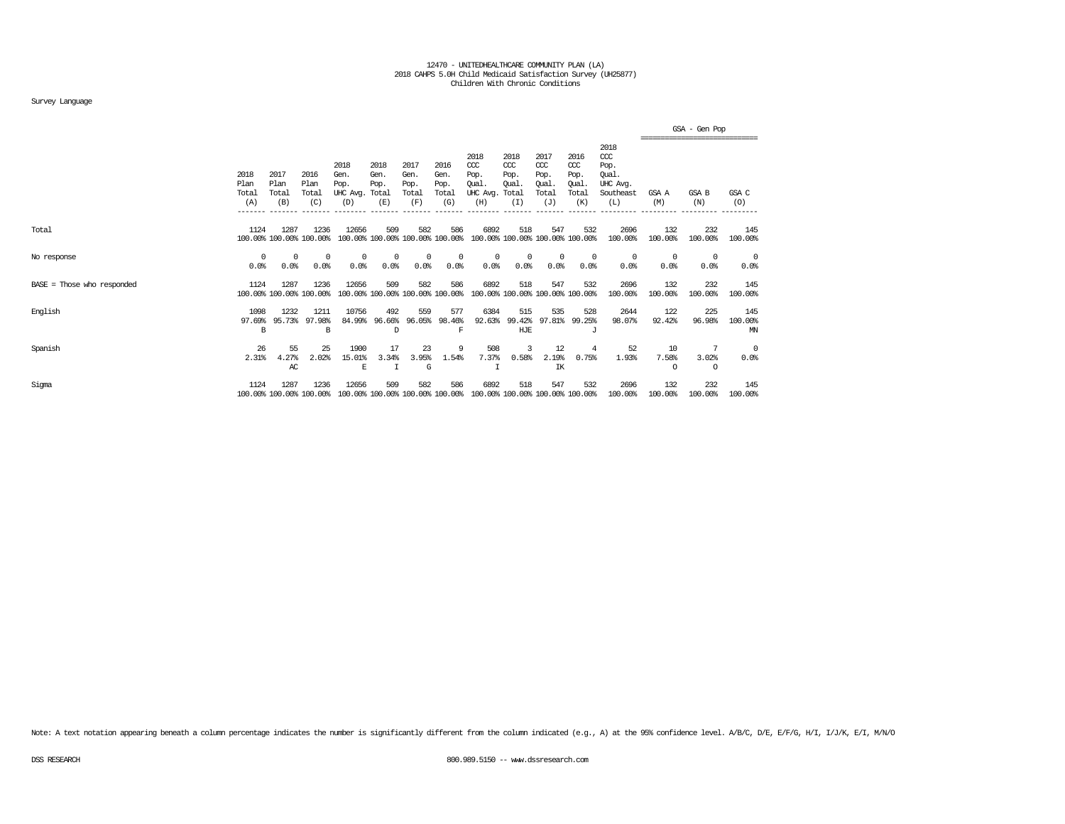### Survey Language

|                              |                              |                                 |                                 |                                         |                                        |                                      |                                      |                                                  |                                               |                                                   |                                                   |                                                                   |                         | GSA - Gen Pop                                   |                      |
|------------------------------|------------------------------|---------------------------------|---------------------------------|-----------------------------------------|----------------------------------------|--------------------------------------|--------------------------------------|--------------------------------------------------|-----------------------------------------------|---------------------------------------------------|---------------------------------------------------|-------------------------------------------------------------------|-------------------------|-------------------------------------------------|----------------------|
|                              | 2018<br>Plan<br>Total<br>(A) | 2017<br>Plan<br>Total<br>(B)    | 2016<br>Plan<br>Total<br>(C)    | 2018<br>Gen.<br>Pop.<br>UHC Avg.<br>(D) | 2018<br>Gen.<br>Pop.<br>Total<br>(E)   | 2017<br>Gen.<br>Pop.<br>Total<br>(F) | 2016<br>Gen.<br>Pop.<br>Total<br>(G) | 2018<br>$CC$<br>Pop.<br>Oual.<br>UHC Avg.<br>(H) | 2018<br>$CC$<br>Pop.<br>Oual.<br>Total<br>(I) | 2017<br>$\alpha$<br>Pop.<br>Qual.<br>Total<br>(J) | 2016<br>$\alpha$<br>Pop.<br>Oual.<br>Total<br>(K) | 2018<br>$\alpha$<br>Pop.<br>Oual.<br>UHC Avq.<br>Southeast<br>(L) | GSA A<br>(M)            | -------------------------------<br>GSA B<br>(N) | GSA C<br>(O)         |
| Total                        | 1124                         | 1287<br>100.00% 100.00% 100.00% | 1236                            | 12656                                   | 509<br>100.00% 100.00% 100.00% 100.00% | 582                                  | 586                                  | 6892                                             | 518<br>100.00% 100.00% 100.00% 100.00%        | 547                                               | 532                                               | 2696<br>100.00%                                                   | 132<br>100.00%          | 232<br>100.00%                                  | 145<br>100.00%       |
| No response                  | 0<br>0.0%                    | 0<br>0.0%                       | $^{\circ}$<br>0.0%              | $^{\circ}$<br>0.0%                      | 0<br>0.0%                              | 0<br>0.0%                            | 0<br>0.0%                            | 0<br>0.0%                                        | 0<br>0.0%                                     | $^{\circ}$<br>0.0%                                | $^{\circ}$<br>0.0%                                | $^{\circ}$<br>0.0%                                                | $^{\circ}$<br>0.0%      | $^{\circ}$<br>0.0%                              | 0<br>0.0%            |
| $BASE = Those who responded$ | 1124                         | 1287<br>100.00% 100.00% 100.00% | 1236                            | 12656                                   | 509<br>100.00% 100.00% 100.00% 100.00% | 582                                  | 586                                  | 6892                                             | 518<br>100.00% 100.00% 100.00% 100.00%        | 547                                               | 532                                               | 2696<br>100.00%                                                   | 132<br>100.00%          | 232<br>100.00%                                  | 145<br>100.00%       |
| English                      | 1098<br>97.69%<br>B          | 1232<br>95.73%                  | 1211<br>97.98%<br>В             | 10756<br>84.99%                         | 492<br>96.66%<br>D                     | 559<br>96.05%                        | 577<br>98.46%<br>F                   | 6384<br>92.63%                                   | 515<br>99.42%<br>HJE                          | 535<br>97.81%                                     | 528<br>99.25%<br>$\cdot$ T                        | 2644<br>98.07%                                                    | 122<br>92.42%           | 225<br>96.98%                                   | 145<br>100.00%<br>ΜN |
| Spanish                      | 26<br>2.31%                  | 55<br>4.27%<br>AC               | 25<br>2.02%                     | 1900<br>15.01%<br>E                     | 17<br>3.34%<br>$\top$                  | 23<br>3.95%<br>G                     | 9<br>1.54%                           | 508<br>7.37%                                     | 3<br>0.58%                                    | 12<br>2.19%<br>IK                                 | 4<br>0.75%                                        | 52<br>1.93%                                                       | 10<br>7.58%<br>$\Omega$ | 7<br>3.02%<br>$\circ$                           | 0<br>0.0%            |
| Sigma                        | 1124                         | 1287                            | 1236<br>100.00% 100.00% 100.00% | 12656                                   | 509<br>100.00% 100.00% 100.00% 100.00% | 582                                  | 586                                  | 6892<br>100.00% 100.00% 100.00% 100.00%          | 518                                           | 547                                               | 532                                               | 2696<br>100.00%                                                   | 132<br>100.00%          | 232<br>100.00%                                  | 145<br>100.00%       |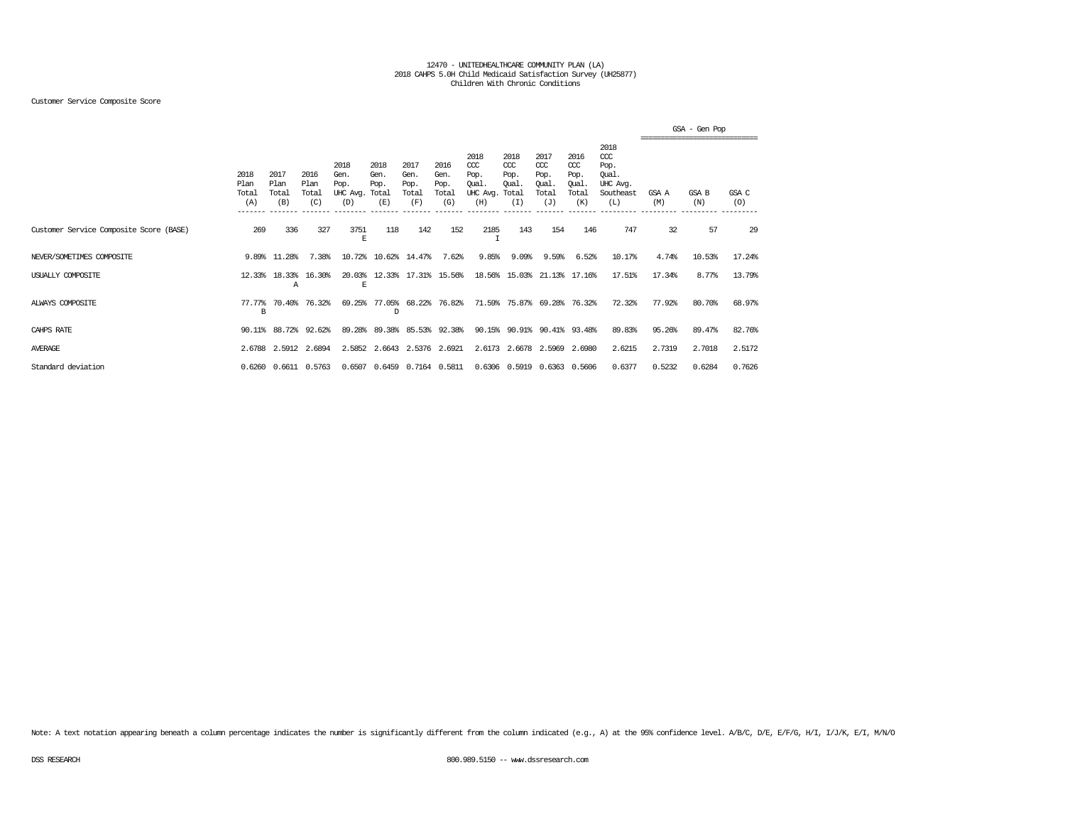### Customer Service Composite Score

|                                         |                              |                              |                              |                                               |                             |                                      |                                      |                                                  |                                               |                                                   |                                              |                                                                   |              | GSA - Gen Pop<br>,,,,,,,,,,,,,,,,,,,,,,,,,,,,,,,,, |              |
|-----------------------------------------|------------------------------|------------------------------|------------------------------|-----------------------------------------------|-----------------------------|--------------------------------------|--------------------------------------|--------------------------------------------------|-----------------------------------------------|---------------------------------------------------|----------------------------------------------|-------------------------------------------------------------------|--------------|----------------------------------------------------|--------------|
|                                         | 2018<br>Plan<br>Total<br>(A) | 2017<br>Plan<br>Total<br>(B) | 2016<br>Plan<br>Total<br>(C) | 2018<br>Gen.<br>Pop.<br>UHC Avg. Total<br>(D) | 2018<br>Gen.<br>Pop.<br>(E) | 2017<br>Gen.<br>Pop.<br>Total<br>(F) | 2016<br>Gen.<br>Pop.<br>Total<br>(G) | 2018<br>$CC$<br>Pop.<br>Qual.<br>UHC Avg.<br>(H) | 2018<br>$CC$<br>Pop.<br>Oual.<br>Total<br>(I) | 2017<br>$\alpha$<br>Pop.<br>Oual.<br>Total<br>(J) | 2016<br>ccc<br>Pop.<br>Oual.<br>Total<br>(K) | 2018<br>$\alpha$<br>Pop.<br>Oual.<br>UHC Avg.<br>Southeast<br>(L) | GSA A<br>(M) | GSA B<br>(N)                                       | GSA C<br>(O) |
| Customer Service Composite Score (BASE) | 269                          | 336                          | 327                          | 3751<br>Е                                     | 118                         | 142                                  | 152                                  | 2185                                             | 143                                           | 154                                               | 146                                          | 747                                                               | 32           | 57                                                 | 29           |
| NEVER/SOMETIMES COMPOSITE               |                              | 9.89% 11.28%                 | 7.38%                        | 10.72%                                        |                             | 10.62% 14.47%                        | 7.62%                                | 9.85%                                            | 9.09%                                         | 9.59%                                             | 6.52%                                        | 10.17%                                                            | 4.74%        | 10.53%                                             | 17.24%       |
| USUALLY COMPOSITE                       | 12.33%                       | 18.33%<br>Α                  | 16.30%                       | 20.03%<br>E                                   |                             | 12.33% 17.31% 15.56%                 |                                      |                                                  | 18.56% 15.03%                                 |                                                   | 21.13% 17.16%                                | 17.51%                                                            | 17.34%       | 8.77%                                              | 13.79%       |
| ALWAYS COMPOSITE                        | 77.77%<br>в                  | 70.40%                       | 76.32%                       | 69.25%                                        | D                           | 77.05% 68.22% 76.82%                 |                                      |                                                  | 71.59% 75.87% 69.28% 76.32%                   |                                                   |                                              | 72.32%                                                            | 77.92%       | 80.70%                                             | 68.97%       |
| CAHPS RATE                              |                              | 90.11% 88.72% 92.62%         |                              | 89.28%                                        | 89.38%                      |                                      | 85.53% 92.38%                        |                                                  | 90.15% 90.91% 90.41% 93.48%                   |                                                   |                                              | 89.83%                                                            | 95.26%       | 89.47%                                             | 82.76%       |
| <b>AVERAGE</b>                          |                              | 2.6788 2.5912 2.6894         |                              |                                               | 2.5852 2.6643 2.5376 2.6921 |                                      |                                      |                                                  | 2.6173 2.6678 2.5969 2.6980                   |                                                   |                                              | 2.6215                                                            | 2.7319       | 2.7018                                             | 2.5172       |
| Standard deviation                      |                              | 0.6260 0.6611 0.5763         |                              |                                               | 0.6507 0.6459 0.7164 0.5811 |                                      |                                      |                                                  | 0.6306 0.5919 0.6363 0.5606                   |                                                   |                                              | 0.6377                                                            | 0.5232       | 0.6284                                             | 0.7626       |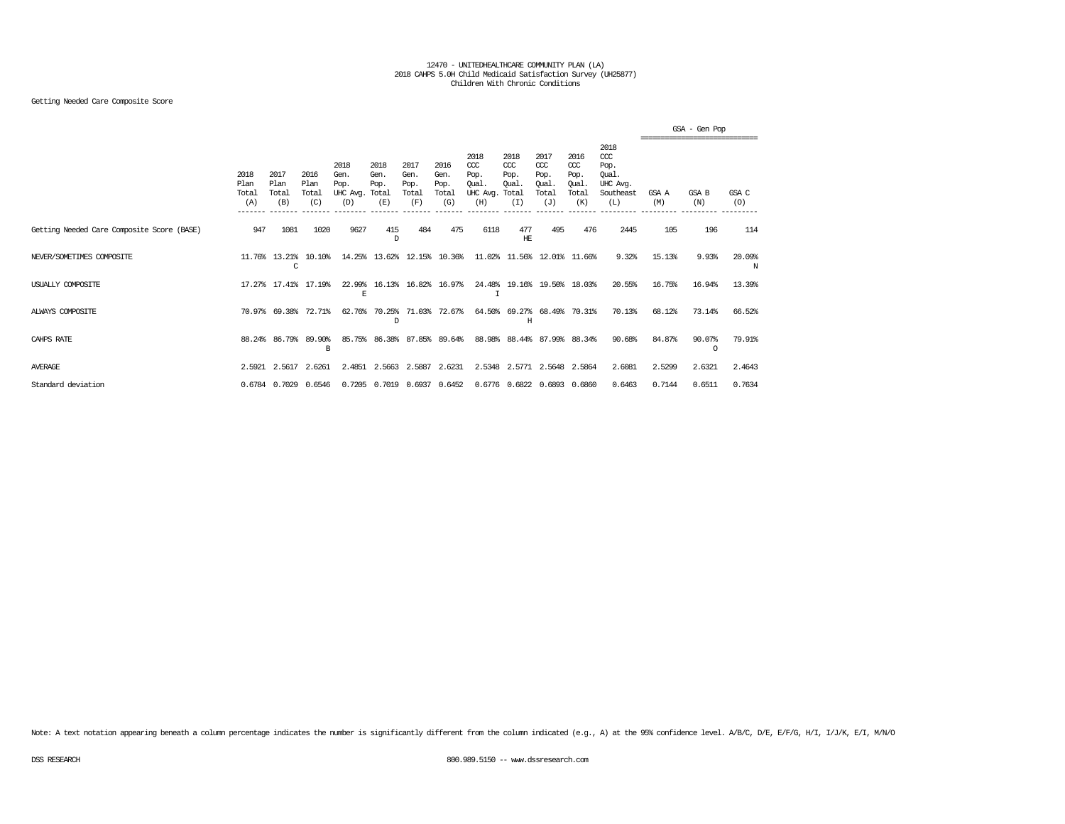## Getting Needed Care Composite Score

|                                            |                                         |                                         |                              |                                               |                             |                                      |                                      |                                                  |                                              |                                                   |                                              |                                                                   |              | GSA - Gen Pop     |              |
|--------------------------------------------|-----------------------------------------|-----------------------------------------|------------------------------|-----------------------------------------------|-----------------------------|--------------------------------------|--------------------------------------|--------------------------------------------------|----------------------------------------------|---------------------------------------------------|----------------------------------------------|-------------------------------------------------------------------|--------------|-------------------|--------------|
|                                            | 2018<br>Plan<br>Total<br>(A)<br>------- | 2017<br>Plan<br>Total<br>(B)<br>------- | 2016<br>Plan<br>Total<br>(C) | 2018<br>Gen.<br>Pop.<br>UHC Avg. Total<br>(D) | 2018<br>Gen.<br>Pop.<br>(E) | 2017<br>Gen.<br>Pop.<br>Total<br>(F) | 2016<br>Gen.<br>Pop.<br>Total<br>(G) | 2018<br>$CC$<br>Pop.<br>Oual.<br>UHC Avg.<br>(H) | 2018<br>CCC<br>Pop.<br>Oual.<br>Total<br>(I) | 2017<br>$\alpha$<br>Pop.<br>Oual.<br>Total<br>(J) | 2016<br>ccc<br>Pop.<br>Oual.<br>Total<br>(K) | 2018<br>$\alpha$<br>Pop.<br>Oual.<br>UHC Avg.<br>Southeast<br>(L) | GSA A<br>(M) | GSA B<br>(N)      | GSA C<br>(O) |
| Getting Needed Care Composite Score (BASE) | 947                                     | 1081                                    | 1020                         | 9627                                          | 415<br>D                    | 484                                  | 475                                  | 6118                                             | 477<br>HЕ                                    | 495                                               | 476                                          | 2445                                                              | 105          | 196               | 114          |
| NEVER/SOMETIMES COMPOSITE                  |                                         | 11.76% 13.21%<br>C                      | 10.10%                       |                                               | 14.25% 13.62%               |                                      | 12.15% 10.36%                        | 11.02%                                           | 11.56%                                       | 12.01%                                            | 11.66%                                       | 9.32%                                                             | 15.13%       | 9.93%             | 20.09%<br>N  |
| USUALLY COMPOSITE                          |                                         | 17.27% 17.41%                           | 17.19%                       | E                                             | 22.99% 16.13%               |                                      | 16.82% 16.97%                        | I                                                |                                              | 24.48% 19.16% 19.50% 18.03%                       |                                              | 20.55%                                                            | 16.75%       | 16.94%            | 13.39%       |
| ALWAYS COMPOSITE                           |                                         | 70.97% 69.38%                           | 72.71%                       | 62.76%                                        | 70.25%<br>D                 | 71.03% 72.67%                        |                                      |                                                  | H                                            | 64.50% 69.27% 68.49% 70.31%                       |                                              | 70.13%                                                            | 68.12%       | 73.14%            | 66.52%       |
| CAHPS RATE                                 |                                         | 88.24% 86.79%                           | 89.90%<br>B                  | 85.75%                                        | 86.38%                      |                                      | 87.85% 89.64%                        | 88.98%                                           | 88.44%                                       | 87.99%                                            | 88.34%                                       | 90.68%                                                            | 84.87%       | 90.07%<br>$\circ$ | 79.91%       |
| <b>AVERAGE</b>                             | 2.5921                                  | 2.5617                                  | 2.6261                       |                                               | 2.4851 2.5663               | 2.5887                               | 2.6231                               |                                                  | 2.5348 2.5771                                |                                                   | 2.5648 2.5864                                | 2.6081                                                            | 2.5299       | 2.6321            | 2.4643       |
| Standard deviation                         |                                         | 0.6784 0.7029                           | 0.6546                       |                                               | 0.7205 0.7019 0.6937 0.6452 |                                      |                                      |                                                  |                                              | 0.6776 0.6822 0.6893                              | 0.6860                                       | 0.6463                                                            | 0.7144       | 0.6511            | 0.7634       |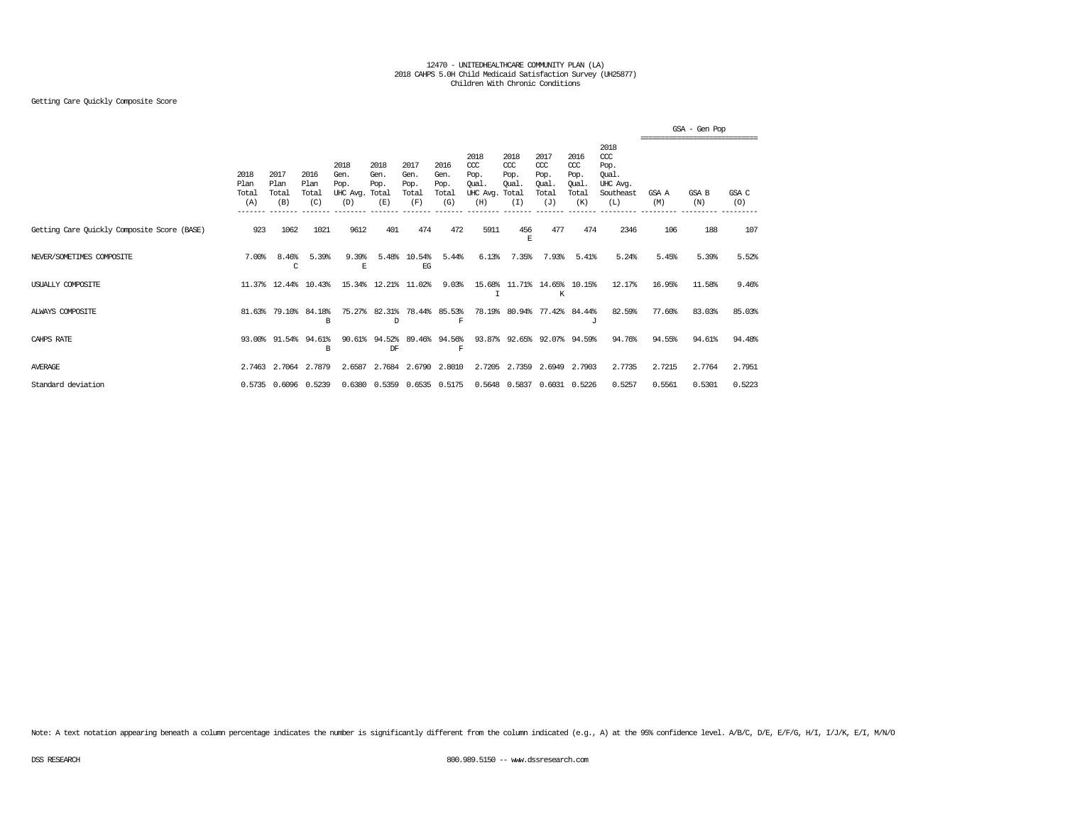## Getting Care Quickly Composite Score

|                                             |                              |                              |                              |                                               |                             |                                      |                                      |                                                 |                                              |                                              |                                                   |                                                              |              | GSA - Gen Pop |              |
|---------------------------------------------|------------------------------|------------------------------|------------------------------|-----------------------------------------------|-----------------------------|--------------------------------------|--------------------------------------|-------------------------------------------------|----------------------------------------------|----------------------------------------------|---------------------------------------------------|--------------------------------------------------------------|--------------|---------------|--------------|
|                                             | 2018<br>Plan<br>Total<br>(A) | 2017<br>Plan<br>Total<br>(B) | 2016<br>Plan<br>Total<br>(C) | 2018<br>Gen.<br>Pop.<br>UHC Avg. Total<br>(D) | 2018<br>Gen.<br>Pop.<br>(E) | 2017<br>Gen.<br>Pop.<br>Total<br>(F) | 2016<br>Gen.<br>Pop.<br>Total<br>(G) | 2018<br>CCC<br>Pop.<br>Qual.<br>UHC Avg.<br>(H) | 2018<br>CCC<br>Pop.<br>Oual.<br>Total<br>(I) | 2017<br>ccc<br>Pop.<br>Oual.<br>Total<br>(J) | 2016<br>$\alpha$<br>Pop.<br>Oual.<br>Total<br>(K) | 2018<br>ccc<br>Pop.<br>Oual.<br>UHC Avg.<br>Southeast<br>(L) | GSA A<br>(M) | GSA B<br>(N)  | GSA C<br>(O) |
| Getting Care Quickly Composite Score (BASE) | 923                          | 1062                         | 1021                         | 9612                                          | 401                         | 474                                  | 472                                  | 5911                                            | 456<br>F.                                    | 477                                          | 474                                               | 2346                                                         | 106          | 188           | 107          |
| NEVER/SOMETIMES COMPOSITE                   | 7.00%                        | 8.46%<br>C                   | 5.39%                        | 9.39%<br>E                                    | 5.48%                       | 10.54%<br>EG                         | 5.44%                                | 6.13%                                           | 7.35%                                        | 7.93%                                        | 5.41%                                             | 5.24%                                                        | 5.45%        | 5.39%         | 5.52%        |
| USUALLY COMPOSITE                           |                              | 11.37% 12.44%                | 10.43%                       |                                               | 15.34% 12.21%               | 11.02%                               | 9.03%                                | I                                               | 15.68% 11.71%                                | K                                            | 14.65% 10.15%                                     | 12.17%                                                       | 16.95%       | 11.58%        | 9.46%        |
| ALWAYS COMPOSITE                            | 81.63%                       | 79.10%                       | 84.18%<br>B                  | 75.27%                                        | 82.31%<br>D                 |                                      | 78.44% 85.53%<br>$\mathbf F$         |                                                 | 78.19% 80.94%                                |                                              | 77.42% 84.44%<br>$\cdot$ T                        | 82.59%                                                       | 77.60%       | 83.03%        | 85.03%       |
| CAHPS RATE                                  |                              | 93.00% 91.54%                | 94.61%<br>B                  | 90.61                                         | 94.52%<br>DF                | 89.46%                               | 94.56%<br>$\mathbf F$                |                                                 |                                              | 93.87% 92.65% 92.07% 94.59%                  |                                                   | 94.76%                                                       | 94.55%       | 94.61%        | 94.48%       |
| <b>AVERAGE</b>                              | 2.7463                       | 2.7064                       | 2.7879                       | 2.6587                                        | 2.7684                      | 2.6790                               | 2.8010                               |                                                 | 2.7205 2.7359                                | 2.6949                                       | 2.7903                                            | 2.7735                                                       | 2.7215       | 2.7764        | 2.7951       |
| Standard deviation                          |                              |                              | 0.5735 0.6096 0.5239         |                                               |                             | 0.6380 0.5359 0.6535 0.5175          |                                      |                                                 | 0.5648 0.5837                                |                                              | 0.6031 0.5226                                     | 0.5257                                                       | 0.5561       | 0.5301        | 0.5223       |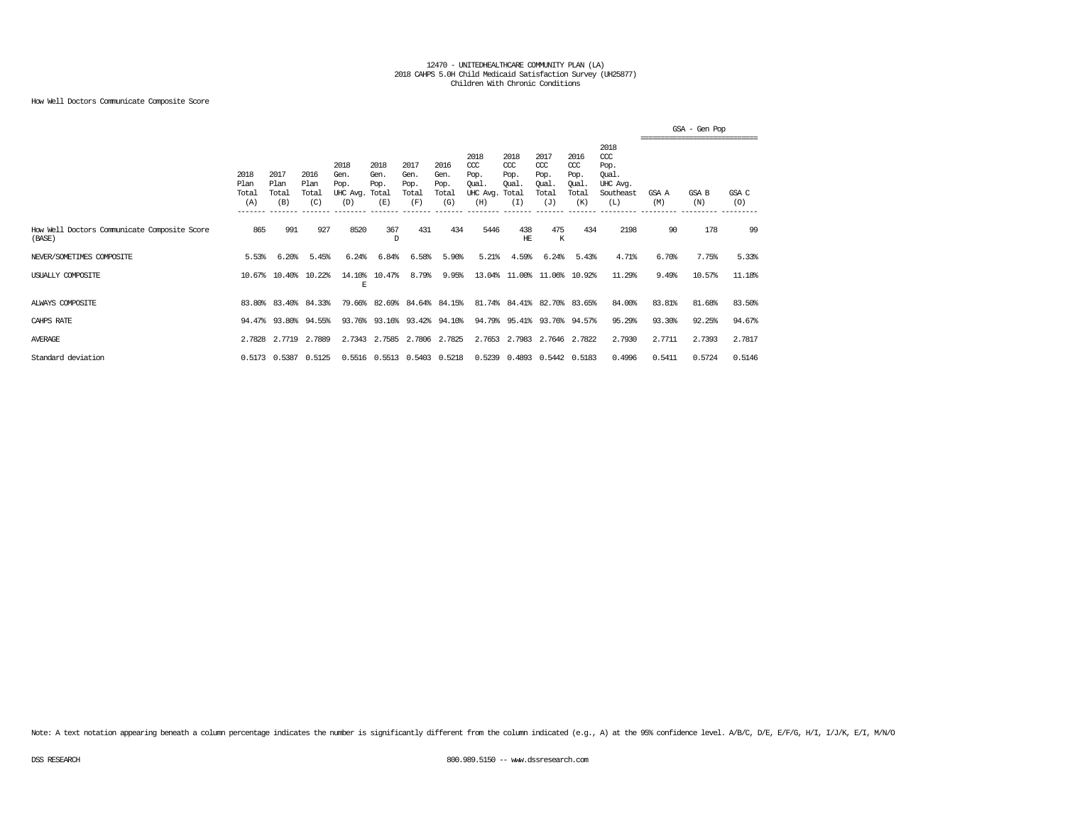## How Well Doctors Communicate Composite Score

|                                                        |                                         |                                         |                              |                                               |                             |                                      |                                      |                                                 |                                               |                                                   |                                                   |                                                                   |              | GSA - Gen Pop<br>--------------------------------- |              |
|--------------------------------------------------------|-----------------------------------------|-----------------------------------------|------------------------------|-----------------------------------------------|-----------------------------|--------------------------------------|--------------------------------------|-------------------------------------------------|-----------------------------------------------|---------------------------------------------------|---------------------------------------------------|-------------------------------------------------------------------|--------------|----------------------------------------------------|--------------|
|                                                        | 2018<br>Plan<br>Total<br>(A)<br>_______ | 2017<br>Plan<br>Total<br>(B)<br>------- | 2016<br>Plan<br>Total<br>(C) | 2018<br>Gen.<br>Pop.<br>UHC Avg. Total<br>(D) | 2018<br>Gen.<br>Pop.<br>(E) | 2017<br>Gen.<br>Pop.<br>Total<br>(F) | 2016<br>Gen.<br>Pop.<br>Total<br>(G) | 2018<br>CCC<br>Pop.<br>Oual.<br>UHC Avg.<br>(H) | 2018<br>$CC$<br>Pop.<br>Oual.<br>Total<br>(I) | 2017<br>$\alpha$<br>Pop.<br>Oual.<br>Total<br>(J) | 2016<br>$\alpha$<br>Pop.<br>Oual.<br>Total<br>(K) | 2018<br>$\alpha$<br>Pop.<br>Oual.<br>UHC Avg.<br>Southeast<br>(L) | GSA A<br>(M) | GSA B<br>(N)                                       | GSA C<br>(O) |
| How Well Doctors Communicate Composite Score<br>(BASE) | 865                                     | 991                                     | 927                          | 8520                                          | 367<br>D                    | 431                                  | 434                                  | 5446                                            | 438<br>HЕ                                     | 475<br>К                                          | 434                                               | 2198                                                              | 90           | 178                                                | 99           |
| NEVER/SOMETIMES COMPOSITE                              | 5.53%                                   | 6.20%                                   | 5.45%                        | 6.24%                                         | 6.84%                       | 6.58%                                | 5.90%                                | 5.21%                                           | 4.59%                                         | 6.24%                                             | 5.43%                                             | 4.71%                                                             | 6.70%        | 7.75%                                              | 5.33%        |
| USUALLY COMPOSITE                                      |                                         | 10.67% 10.40%                           | 10.22%                       | 14.10%<br>E                                   | 10.47%                      | 8.79%                                | 9.95%                                |                                                 | 13.04% 11.00% 11.06% 10.92%                   |                                                   |                                                   | 11.29%                                                            | 9.49%        | 10.57%                                             | 11.18%       |
| ALWAYS COMPOSITE                                       |                                         | 83.80% 83.40%                           | 84.33%                       |                                               | 79.66% 82.69% 84.64% 84.15% |                                      |                                      |                                                 | 81.74% 84.41% 82.70% 83.65%                   |                                                   |                                                   | 84.00%                                                            | 83.81%       | 81.68%                                             | 83.50%       |
| CAHPS RATE                                             |                                         |                                         | 94.47% 93.80% 94.55%         |                                               | 93.76% 93.16% 93.42% 94.10% |                                      |                                      |                                                 | 94.79% 95.41% 93.76% 94.57%                   |                                                   |                                                   | 95.29%                                                            | 93.30%       | 92.25%                                             | 94.67%       |
| AVERAGE                                                | 2.7828                                  | 2.7719                                  | 2,7889                       | 2.7343                                        | 2.7585                      | 2.7806                               | 2.7825                               | 2.7653                                          | 2.7983                                        |                                                   | 2.7646 2.7822                                     | 2.7930                                                            | 2.7711       | 2.7393                                             | 2.7817       |
| Standard deviation                                     |                                         | 0.5173 0.5387                           | 0.5125                       |                                               | 0.5516 0.5513 0.5403 0.5218 |                                      |                                      | 0.5239                                          |                                               | 0.4893 0.5442 0.5183                              |                                                   | 0.4996                                                            | 0.5411       | 0.5724                                             | 0.5146       |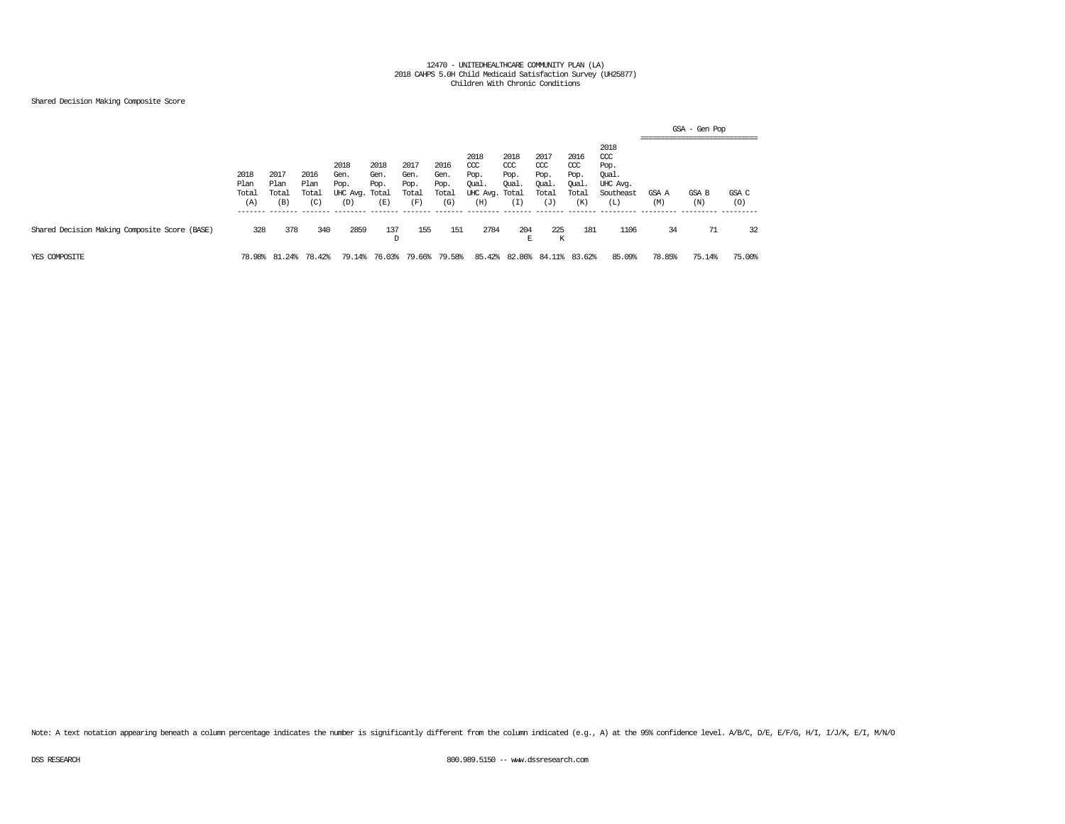## Shared Decision Making Composite Score

|                                               |                              |                              |                              |                                               |                             |                                      |                                      |                                                       |                                      |                                                   |                                                   |                                                              | ------------------------------- | GSA - Gen Pop |              |
|-----------------------------------------------|------------------------------|------------------------------|------------------------------|-----------------------------------------------|-----------------------------|--------------------------------------|--------------------------------------|-------------------------------------------------------|--------------------------------------|---------------------------------------------------|---------------------------------------------------|--------------------------------------------------------------|---------------------------------|---------------|--------------|
|                                               | 2018<br>Plan<br>Total<br>(A) | 2017<br>Plan<br>Total<br>(B) | 2016<br>Plan<br>Total<br>(C) | 2018<br>Gen.<br>Pop.<br>UHC Avg. Total<br>(D) | 2018<br>Gen.<br>Pop.<br>(E) | 2017<br>Gen.<br>Pop.<br>Total<br>(F) | 2016<br>Gen.<br>Pop.<br>Total<br>(G) | 2018<br>CCC<br>Pop.<br>Qual.<br>UHC Avg. Total<br>(H) | 2018<br>$CC$<br>Pop.<br>Oual.<br>(I) | 2017<br>$\alpha$<br>Pop.<br>Qual.<br>Total<br>(J) | 2016<br>$\alpha$<br>Pop.<br>Oual.<br>Total<br>(K) | 2018<br>ccc<br>Pop.<br>Qual.<br>UHC Avg.<br>Southeast<br>(L) | GSA A<br>(M)                    | GSA B<br>(N)  | GSA C<br>(0) |
| Shared Decision Making Composite Score (BASE) | 328                          | 378                          | 340                          | 2859                                          | 137<br>D                    | 155                                  | 151                                  | 2784                                                  | 204<br>F.                            | 225<br>Κ                                          | 181                                               | 1106                                                         | 34                              | 71            | 32           |
| YES COMPOSITE                                 | 78.98%                       | 24%<br>-81                   | 78.42%                       | 79.14%                                        | 76.03%                      | 79.66%                               | 79.58%                               | 85.42%                                                | 82.86%                               | -84.                                              | 83.62%                                            | 85.09%                                                       | 78.85%                          | 75.14%        | 75.00%       |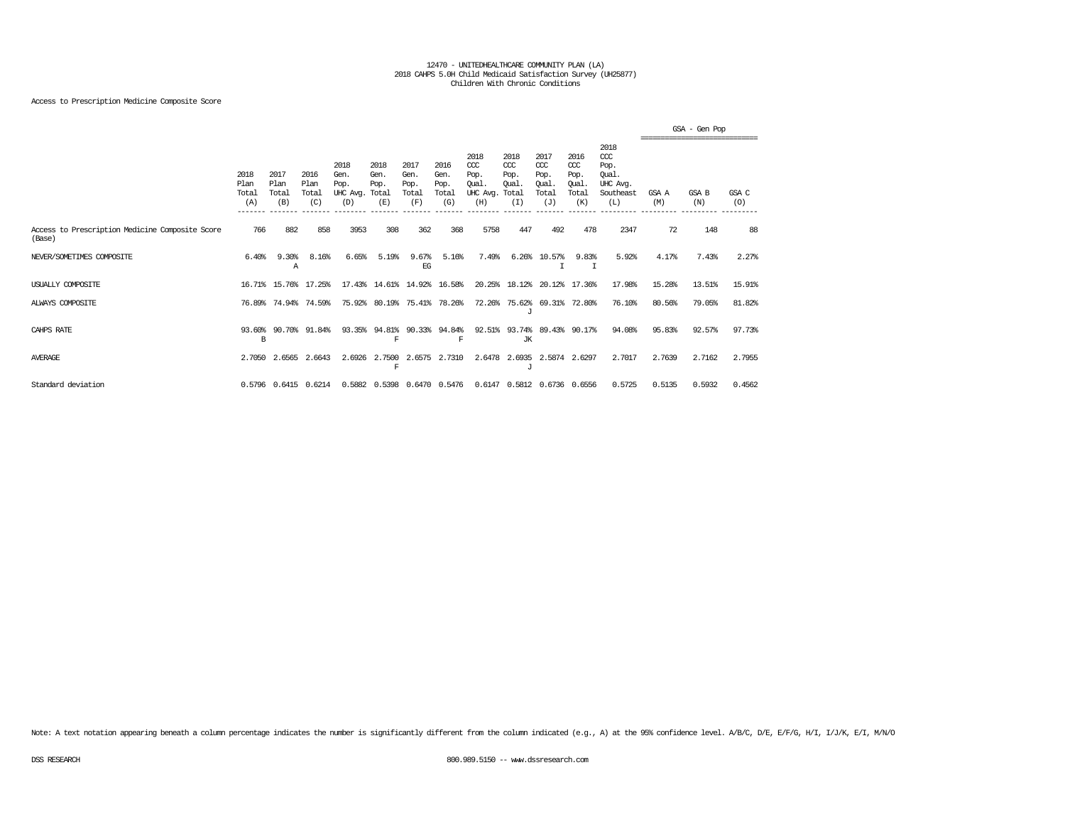## Access to Prescription Medicine Composite Score

|                                                           |                              |                                            |                              |                                               |                             |                                      |                                      |                                                 |                                              |                                              |                                              |                                                              |              | GSA - Gen Pop |              |
|-----------------------------------------------------------|------------------------------|--------------------------------------------|------------------------------|-----------------------------------------------|-----------------------------|--------------------------------------|--------------------------------------|-------------------------------------------------|----------------------------------------------|----------------------------------------------|----------------------------------------------|--------------------------------------------------------------|--------------|---------------|--------------|
|                                                           | 2018<br>Plan<br>Total<br>(A) | 2017<br>Plan<br>Total<br>(B)<br>$--------$ | 2016<br>Plan<br>Total<br>(C) | 2018<br>Gen.<br>Pop.<br>UHC Avg. Total<br>(D) | 2018<br>Gen.<br>Pop.<br>(E) | 2017<br>Gen.<br>Pop.<br>Total<br>(F) | 2016<br>Gen.<br>Pop.<br>Total<br>(G) | 2018<br>CCC<br>Pop.<br>Oual.<br>UHC Avg.<br>(H) | 2018<br>CCC<br>Pop.<br>Oual.<br>Total<br>(I) | 2017<br>ccc<br>Pop.<br>Oual.<br>Total<br>(J) | 2016<br>ccc<br>Pop.<br>Oual.<br>Total<br>(K) | 2018<br>ccc<br>Pop.<br>Oual.<br>UHC Avg.<br>Southeast<br>(L) | GSA A<br>(M) | GSA B<br>(N)  | GSA C<br>(O) |
| Access to Prescription Medicine Composite Score<br>(Base) | 766                          | 882                                        | 858                          | 3953                                          | 308                         | 362                                  | 368                                  | 5758                                            | 447                                          | 492                                          | 478                                          | 2347                                                         | 72           | 148           | 88           |
| NEVER/SOMETIMES COMPOSITE                                 | 6.40%                        | 9.30%<br>А                                 | 8.16%                        | 6.65%                                         | 5.19%                       | 9.67%<br>EG                          | 5.16%                                | 7.49%                                           | 6.26%                                        | 10.57%                                       | 9.83%<br>I                                   | 5.92%                                                        | 4.17%        | 7.43%         | 2.27%        |
| USUALLY COMPOSITE                                         |                              |                                            | 16.71% 15.76% 17.25%         |                                               | 17.43% 14.61% 14.92% 16.58% |                                      |                                      |                                                 | 20.25% 18.12%                                |                                              | 20.12% 17.36%                                | 17.98%                                                       | 15.28%       | 13.51%        | 15.91%       |
| ALWAYS COMPOSITE                                          | 76.89%                       | 74.94%                                     | 74.59%                       | 75.92%                                        | 80.19%                      |                                      | 75.41% 78.26%                        | 72.26%                                          | 75.62%<br>J                                  |                                              | 69.31% 72.80%                                | 76.10%                                                       | 80.56%       | 79.05%        | 81.82%       |
| CAHPS RATE                                                | 93.60%<br>B                  | 90.70%                                     | 91.84%                       |                                               | 93.35% 94.81%<br>F          | 90.33%                               | 94.84%<br>$\mathbb F$                | 92.51%                                          | 93.74%<br>JК                                 |                                              | 89.43% 90.17%                                | 94.08%                                                       | 95.83%       | 92.57%        | 97.73%       |
| <b>AVERAGE</b>                                            | 2,7050                       | 2.6565                                     | 2.6643                       | 2.6926                                        | 2.7500<br>F                 | 2.6575                               | 2.7310                               | 2.6478                                          | 2.6935<br>$\tau$                             | 2.5874                                       | 2.6297                                       | 2.7017                                                       | 2.7639       | 2.7162        | 2.7955       |
| Standard deviation                                        |                              |                                            | 0.5796 0.6415 0.6214         |                                               | 0.5882 0.5398 0.6470 0.5476 |                                      |                                      |                                                 |                                              | 0.6147 0.5812 0.6736 0.6556                  |                                              | 0.5725                                                       | 0.5135       | 0.5932        | 0.4562       |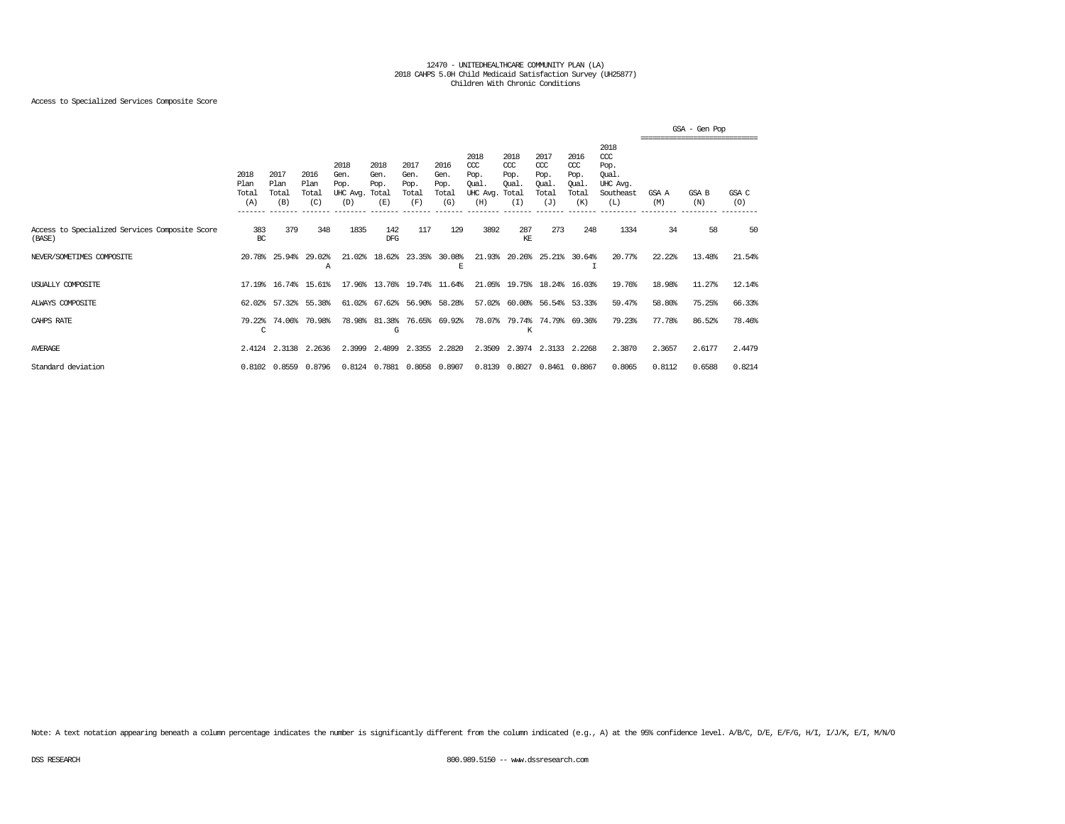## Access to Specialized Services Composite Score

|                                                          |                              |                              |                              |                                               |                             |                                      |                                      |                                                  |                                              |                                                   |                                                   |                                                                   |              | GSA - Gen Pop<br>,,,,,,,,,,,,,,,,,,,,,,,,,,,,,,,,, |              |
|----------------------------------------------------------|------------------------------|------------------------------|------------------------------|-----------------------------------------------|-----------------------------|--------------------------------------|--------------------------------------|--------------------------------------------------|----------------------------------------------|---------------------------------------------------|---------------------------------------------------|-------------------------------------------------------------------|--------------|----------------------------------------------------|--------------|
|                                                          | 2018<br>Plan<br>Total<br>(A) | 2017<br>Plan<br>Total<br>(B) | 2016<br>Plan<br>Total<br>(C) | 2018<br>Gen.<br>Pop.<br>UHC Avg. Total<br>(D) | 2018<br>Gen.<br>Pop.<br>(E) | 2017<br>Gen.<br>Pop.<br>Total<br>(F) | 2016<br>Gen.<br>Pop.<br>Total<br>(G) | 2018<br>$CC$<br>Pop.<br>Qual.<br>UHC Avg.<br>(H) | 2018<br>CCC<br>Pop.<br>Oual.<br>Total<br>(I) | 2017<br>$\alpha$<br>Pop.<br>Oual.<br>Total<br>(J) | 2016<br>$\alpha$<br>Pop.<br>Oual.<br>Total<br>(K) | 2018<br>$\alpha$<br>Pop.<br>Oual.<br>UHC Avg.<br>Southeast<br>(L) | GSA A<br>(M) | GSA B<br>(N)                                       | GSA C<br>(O) |
| Access to Specialized Services Composite Score<br>(BASE) | 383<br>BC                    | 379                          | 348                          | 1835                                          | 142<br><b>DFG</b>           | 117                                  | 129                                  | 3892                                             | 287<br>КE                                    | 273                                               | 248                                               | 1334                                                              | 34           | 58                                                 | 50           |
| NEVER/SOMETIMES COMPOSITE                                |                              | 20.78% 25.94%                | 29.02%<br>А                  | 21.02%                                        | 18.62%                      |                                      | 23.35% 30.08%<br>E                   |                                                  | 21.93% 20.26%                                |                                                   | 25.21% 30.64%                                     | 20.77%                                                            | 22.22%       | 13.48%                                             | 21.54%       |
| USUALLY COMPOSITE                                        |                              | 17.19% 16.74%                | 15.61%                       |                                               | 17.96% 13.76%               |                                      | 19.74% 11.64%                        |                                                  | 21.05% 19.75%                                | 18.24%                                            | 16.03%                                            | 19.76%                                                            | 18.98%       | 11.27%                                             | 12.14%       |
| ALWAYS COMPOSITE                                         | 62.02%                       | 57.32%                       | 55.38%                       |                                               | 61.02% 67.62% 56.90% 58.28% |                                      |                                      |                                                  |                                              | 57.02% 60.00% 56.54% 53.33%                       |                                                   | 59.47%                                                            | 58.80%       | 75.25%                                             | 66.33%       |
| CAHPS RATE                                               | 79.22%<br>C                  | 74.06%                       | 70.98%                       | 78.98%                                        | 81.38%<br>G                 |                                      | 76.65% 69.92%                        |                                                  | K                                            | 78.07% 79.74% 74.79% 69.36%                       |                                                   | 79.23%                                                            | 77.78%       | 86.52%                                             | 78.46%       |
| <b>AVERAGE</b>                                           |                              |                              | 2.4124 2.3138 2.2636         | 2.3999                                        | 2.4899                      |                                      | 2.3355 2.2820                        |                                                  |                                              | 2.3509 2.3974 2.3133 2.2268                       |                                                   | 2.3870                                                            | 2.3657       | 2.6177                                             | 2.4479       |
| Standard deviation                                       |                              | 0.8102 0.8559                | 0.8796                       |                                               | 0.8124 0.7881 0.8058 0.8907 |                                      |                                      |                                                  | 0.8139 0.8027                                |                                                   | 0.8461 0.8867                                     | 0.8065                                                            | 0.8112       | 0.6588                                             | 0.8214       |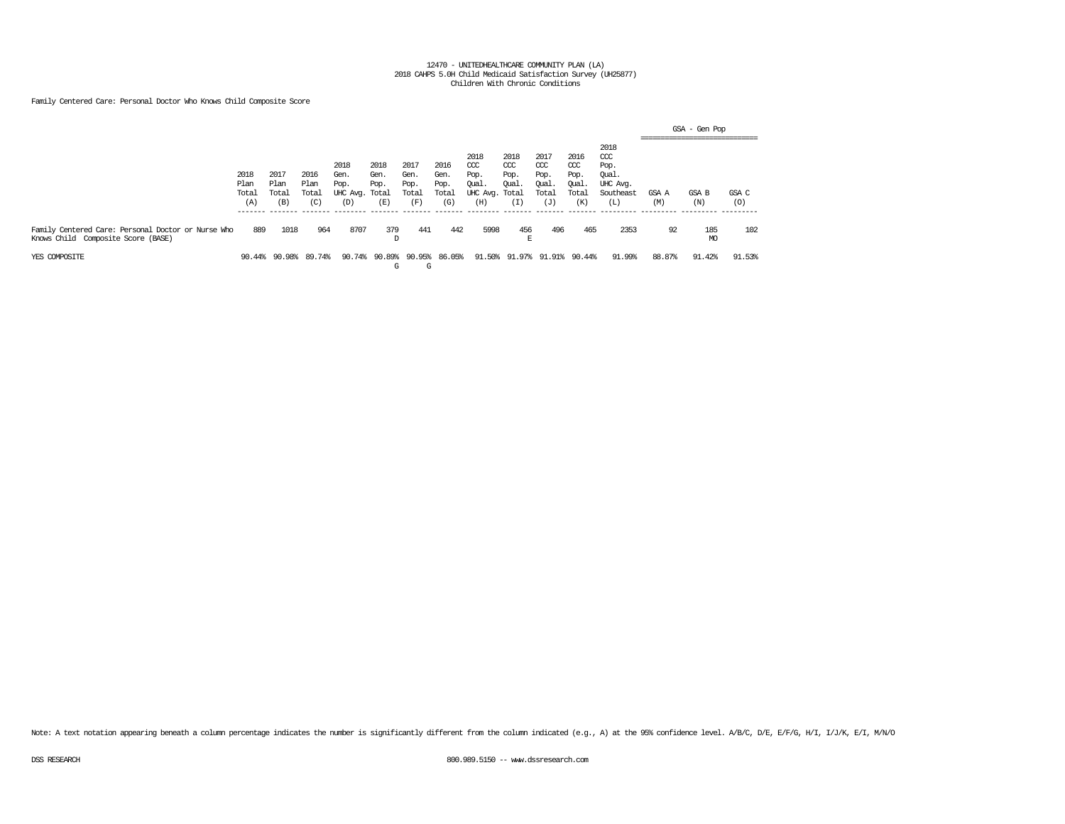Family Centered Care: Personal Doctor Who Knows Child Composite Score

|                                                                                          |                              |                              |                              |                                               |                               |                                      |                                      |                                                 |                                              |                                                   |                                                   |                                                              |              | GSA - Gen Pop<br>------------------------------- |              |
|------------------------------------------------------------------------------------------|------------------------------|------------------------------|------------------------------|-----------------------------------------------|-------------------------------|--------------------------------------|--------------------------------------|-------------------------------------------------|----------------------------------------------|---------------------------------------------------|---------------------------------------------------|--------------------------------------------------------------|--------------|--------------------------------------------------|--------------|
|                                                                                          | 2018<br>Plan<br>Total<br>(A) | 2017<br>Plan<br>Total<br>(B) | 2016<br>Plan<br>Total<br>(C) | 2018<br>Gen.<br>Pop.<br>UHC Avg. Total<br>(D) | 2018<br>Gen.<br>Pop.<br>(E)   | 2017<br>Gen.<br>Pop.<br>Total<br>(F) | 2016<br>Gen.<br>Pop.<br>Total<br>(G) | 2018<br>CCC<br>Pop.<br>Qual.<br>UHC Avg.<br>(H) | 2018<br>CCC<br>Pop.<br>Oual.<br>Total<br>(T) | 2017<br>$\alpha$<br>Pop.<br>Qual.<br>Total<br>(J) | 2016<br>$\alpha$<br>Pop.<br>Qual.<br>Total<br>(K) | 2018<br>ccc<br>Pop.<br>Qual.<br>UHC Avg.<br>Southeast<br>(L) | GSA A<br>(M) | -------------------------------<br>GSA B<br>(N)  | GSA C<br>(0) |
| Family Centered Care: Personal Doctor or Nurse Who<br>Knows Child Composite Score (BASE) | 889                          | 1018                         | 964                          | 8707                                          | 379<br>D                      | 441                                  | 442                                  | 5998                                            | 456<br>π<br>и.                               | 496                                               | 465                                               | 2353                                                         | 92           | 185<br>MO.                                       | 102          |
| YES COMPOSITE                                                                            | 90.44%                       | 90.98%                       | 89.74%                       | 90.74%                                        | 90.89%<br>$\left( -1 \right)$ | G                                    | 90.95% 86.05%                        |                                                 | 91.50% 91.97% 91.91% 90.44%                  |                                                   |                                                   | 91.99%                                                       | 88.87%       | 91.42%                                           | 91.53%       |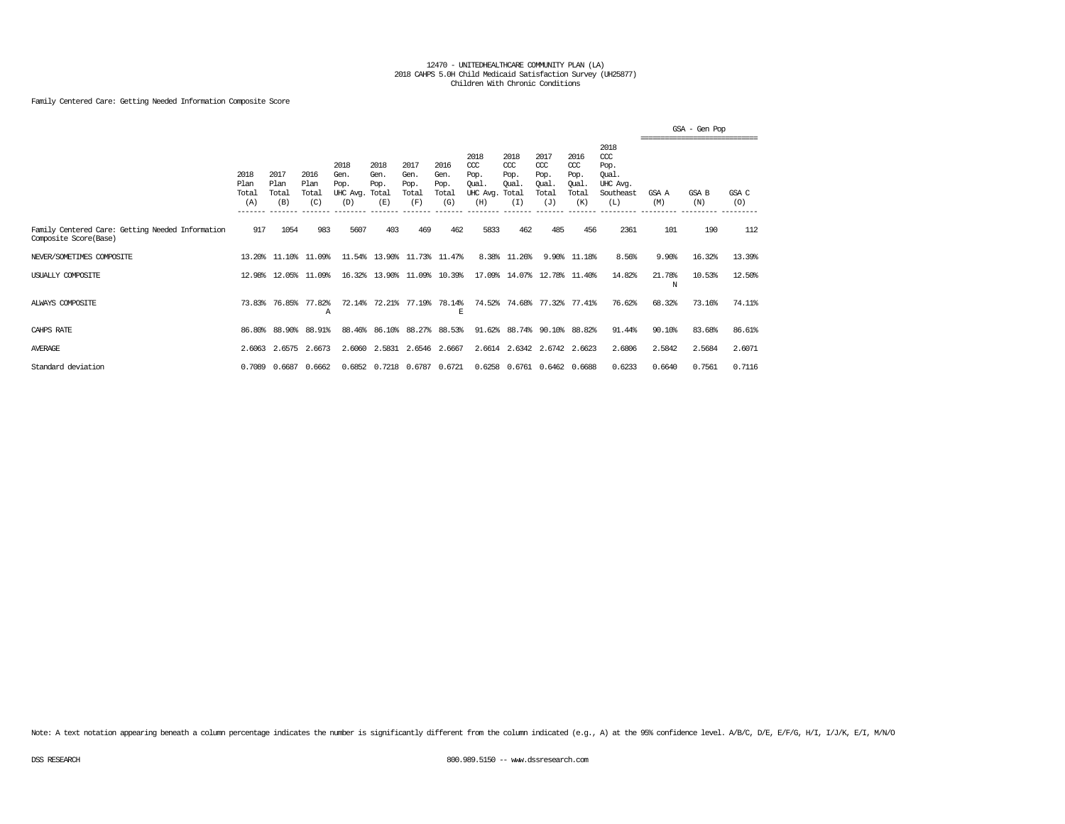## Family Centered Care: Getting Needed Information Composite Score

|                                                                           |                              |                              |                              |                                         |                                      |                                      |                                      |                                                 |                                               |                                                   |                                              |                                                                   | -------------------------------- | GSA - Gen Pop |              |
|---------------------------------------------------------------------------|------------------------------|------------------------------|------------------------------|-----------------------------------------|--------------------------------------|--------------------------------------|--------------------------------------|-------------------------------------------------|-----------------------------------------------|---------------------------------------------------|----------------------------------------------|-------------------------------------------------------------------|----------------------------------|---------------|--------------|
|                                                                           | 2018<br>Plan<br>Total<br>(A) | 2017<br>Plan<br>Total<br>(B) | 2016<br>Plan<br>Total<br>(C) | 2018<br>Gen.<br>Pop.<br>UHC Avq.<br>(D) | 2018<br>Gen.<br>Pop.<br>Total<br>(E) | 2017<br>Gen.<br>Pop.<br>Total<br>(F) | 2016<br>Gen.<br>Pop.<br>Total<br>(G) | 2018<br>CCC<br>Pop.<br>Oual.<br>UHC Avg.<br>(H) | 2018<br>$CC$<br>Pop.<br>Oual.<br>Total<br>(I) | 2017<br>$\alpha$<br>Pop.<br>Oual.<br>Total<br>(J) | 2016<br>ccc<br>Pop.<br>Oual.<br>Total<br>(K) | 2018<br>$\alpha$<br>Pop.<br>Oual.<br>UHC Avg.<br>Southeast<br>(L) | GSA A<br>(M)                     | GSA B<br>(N)  | GSA C<br>(O) |
| Family Centered Care: Getting Needed Information<br>Composite Score(Base) | 917                          | 1054                         | 983                          | 5607                                    | 403                                  | 469                                  | 462                                  | 5833                                            | 462                                           | 485                                               | 456                                          | 2361                                                              | 101                              | 190           | 112          |
| NEVER/SOMETIMES COMPOSITE                                                 |                              | 13.20% 11.10%                | 11.09%                       |                                         | 11.54% 13.90%                        |                                      | 11.73% 11.47%                        |                                                 | 8.38% 11.26%                                  |                                                   | 9.90% 11.18%                                 | 8.56%                                                             | 9.90%                            | 16.32%        | 13.39%       |
| USUALLY COMPOSITE                                                         | 12.98%                       | 12.05%                       | 11.09%                       |                                         | 16.32% 13.90%                        |                                      | 11.09% 10.39%                        |                                                 | 17.09% 14.07%                                 | 12.78%                                            | 11.40%                                       | 14.82%                                                            | 21.78%<br>N                      | 10.53%        | 12.50%       |
| ALWAYS COMPOSITE                                                          | 73.83%                       | 76.85%                       | 77.82%<br>A                  | 72.14%                                  | 72.21%                               | 77.19%                               | 78.14%<br>E                          | 74.52%                                          | 74.68%                                        | 77.32%                                            | 77.41%                                       | 76.62%                                                            | 68.32%                           | 73.16%        | 74.11%       |
| CAHPS RATE                                                                |                              | 86.80% 88.90%                | 88.91%                       |                                         | 88.46% 86.10%                        |                                      | 88.27% 88.53%                        |                                                 |                                               | 91.62% 88.74% 90.10% 88.82%                       |                                              | 91.44%                                                            | 90.10%                           | 83.68%        | 86.61%       |
| <b>AVERAGE</b>                                                            | 2.6063                       |                              | 2.6575 2.6673                |                                         | 2.6060 2.5831                        |                                      | 2.6546 2.6667                        |                                                 |                                               | 2.6614 2.6342 2.6742 2.6623                       |                                              | 2.6806                                                            | 2.5842                           | 2.5684        | 2.6071       |
| Standard deviation                                                        | 0.7089                       | 0.6687                       | 0.6662                       |                                         | 0.6852 0.7218 0.6787 0.6721          |                                      |                                      |                                                 |                                               | 0.6258 0.6761 0.6462 0.6688                       |                                              | 0.6233                                                            | 0.6640                           | 0.7561        | 0.7116       |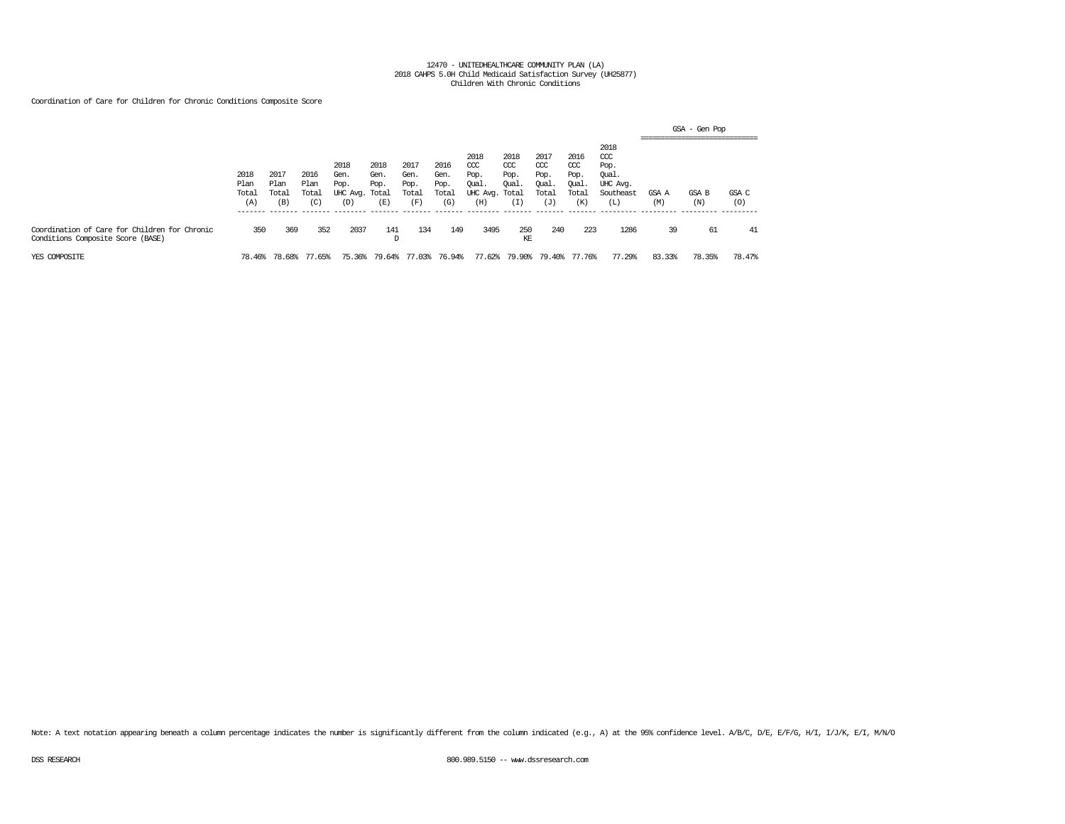## Coordination of Care for Children for Chronic Conditions Composite Score

|                                                                                    |                                          |                                         |                                          |                                                           |                                         |                                                  |                                                  |                                                                   |                                                 |                                                               |                                                   |                                                              | ______________________________ | GSA - Gen Pop |              |
|------------------------------------------------------------------------------------|------------------------------------------|-----------------------------------------|------------------------------------------|-----------------------------------------------------------|-----------------------------------------|--------------------------------------------------|--------------------------------------------------|-------------------------------------------------------------------|-------------------------------------------------|---------------------------------------------------------------|---------------------------------------------------|--------------------------------------------------------------|--------------------------------|---------------|--------------|
|                                                                                    | 2018<br>Plan<br>Total<br>(A)<br>-------- | 2017<br>Plan<br>Total<br>(B)<br>------- | 2016<br>Plan<br>Total<br>(C)<br>-------- | 2018<br>Gen.<br>Pop.<br>UHC Avg. Total<br>(D)<br>________ | 2018<br>Gen.<br>Pop.<br>(E)<br>-------- | 2017<br>Gen.<br>Pop.<br>Total<br>(F)<br>-------- | 2016<br>Gen.<br>Pop.<br>Total<br>(G)<br>-------- | 2018<br>CCC<br>Pop.<br>Qual.<br>UHC Avg. Total<br>(H)<br>-------- | 2018<br>CCC<br>Pop.<br>Oual.<br>(I)<br>-------- | 2017<br>$\alpha$<br>Pop.<br>Oual.<br>Total<br>(J)<br>-------- | 2016<br>$\alpha$<br>Pop.<br>Oual.<br>Total<br>(K) | 2018<br>ccc<br>Pop.<br>Qual.<br>UHC Avg.<br>Southeast<br>(L) | GSA A<br>(M)                   | GSA B<br>(N)  | GSA C<br>(0) |
| Coordination of Care for Children for Chronic<br>Conditions Composite Score (BASE) | 350                                      | 369                                     | 352                                      | 2037                                                      | 141<br>D                                | 134                                              | 149                                              | 3495                                                              | 250<br>KE                                       | 240                                                           | 223                                               | 1286                                                         | 39                             | 61            | 41           |
| YES COMPOSITE                                                                      | 78.46%                                   | 78.68%                                  | 77.65%                                   | 75.36%                                                    | 79.64%                                  | 77.03%                                           | 76.94%                                           | 77.62%                                                            | 79.90%                                          | 79.40%                                                        | 77.76%                                            | 77.29%                                                       | 83.33%                         | 78.35%        | 78.47%       |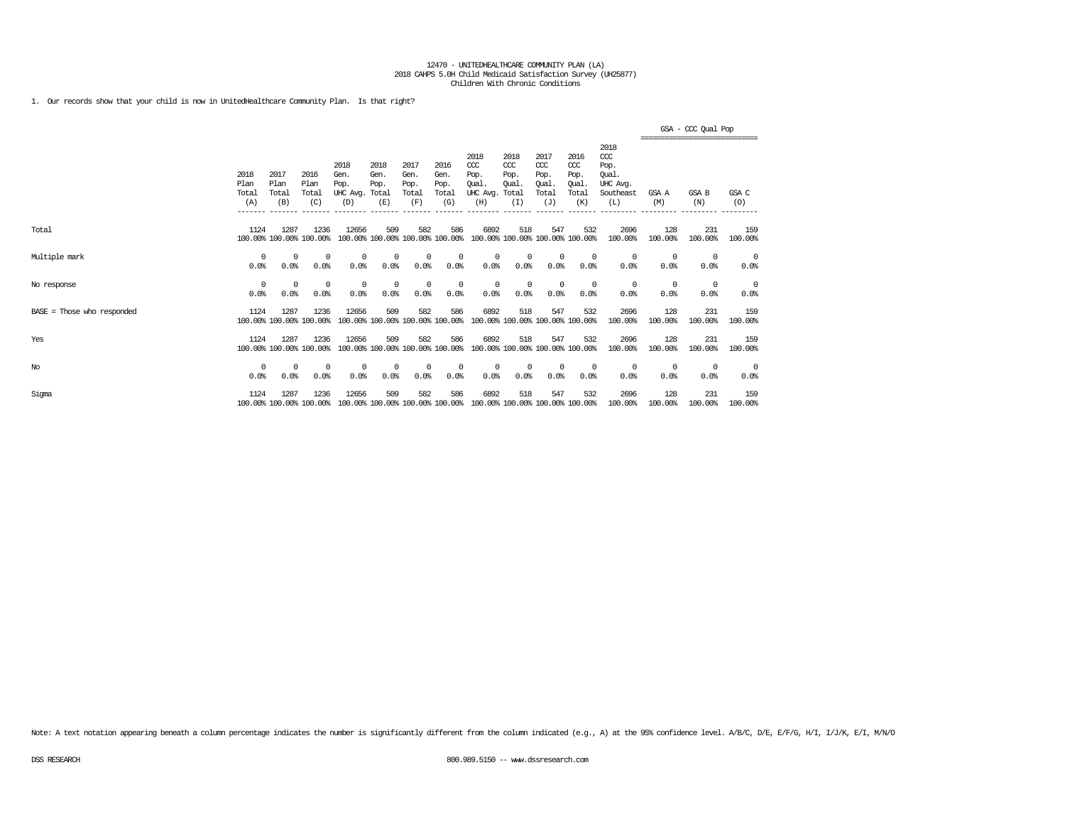1. Our records show that your child is now in UnitedHealthcare Community Plan. Is that right?

|                              |                              |                                         |                                         |                                                     |                                                 |                                                 |                                                 |                                                                         |                                             |                                                                   |                                                             |                                                                                |                           | GSA - CCC Qual Pop<br>---------------------------- |                    |
|------------------------------|------------------------------|-----------------------------------------|-----------------------------------------|-----------------------------------------------------|-------------------------------------------------|-------------------------------------------------|-------------------------------------------------|-------------------------------------------------------------------------|---------------------------------------------|-------------------------------------------------------------------|-------------------------------------------------------------|--------------------------------------------------------------------------------|---------------------------|----------------------------------------------------|--------------------|
|                              | 2018<br>Plan<br>Total<br>(A) | 2017<br>Plan<br>Total<br>(B)<br>------- | 2016<br>Plan<br>Total<br>(C)<br>------- | 2018<br>Gen.<br>Pop.<br>UHC Ava.<br>(D)<br>-------- | 2018<br>Gen.<br>Pop.<br>Total<br>(E)<br>------- | 2017<br>Gen.<br>Pop.<br>Total<br>(F)<br>------- | 2016<br>Gen.<br>Pop.<br>Total<br>(G)<br>------- | 2018<br>$CC$<br>Pop.<br>Oual<br>UHC Avg.<br>(H)<br>--------             | 2018<br>CCC<br>Pop.<br>Oual<br>Total<br>(I) | 2017<br>$\alpha$<br>Pop.<br><b>Oual</b><br>Total<br>(J)<br>______ | 2016<br>$\alpha$<br>Pop.<br>Oual.<br>Total<br>(K)<br>------ | 2018<br>$\alpha$<br>Pop.<br>Oual.<br>UHC Avg.<br>Southeast<br>(L)<br>_________ | GSA A<br>(M)<br>_________ | <b>GSA B</b><br>(N)<br>_________                   | GSA C<br>(O)       |
| Total                        | 1124                         | 1287                                    | 1236<br>100.00% 100.00% 100.00%         | 12656                                               | 509<br>100.00% 100.00% 100.00% 100.00%          | 582                                             | 586                                             | 6892                                                                    | 518                                         | 547<br>100.00% 100.00% 100.00% 100.00%                            | 532                                                         | 2696<br>100.00%                                                                | 128<br>100.00%            | 231<br>100,00%                                     | 159<br>100.00%     |
| Multiple mark                | $\Omega$<br>0.0%             | 0<br>0.0%                               | $^{\circ}$<br>0.0%                      | 0<br>0.0%                                           | 0<br>0.0%                                       | $\circ$<br>0.0%                                 | 0<br>0.0%                                       | 0<br>0.0%                                                               | $^{\circ}$<br>0.0%                          | 0<br>0.0%                                                         | $^{\circ}$<br>0.0%                                          | $^{\circ}$<br>0.0%                                                             | 0<br>0.0%                 | 0<br>0.0%                                          | 0<br>0.0%          |
| No response                  | 0<br>0.0%                    | 0<br>0.0%                               | $^{\circ}$<br>0.0%                      | $^{\circ}$<br>0.0%                                  | 0<br>0.0%                                       | $\mathbf 0$<br>0.0%                             | 0<br>0.0%                                       | $^{\circ}$<br>0.0%                                                      | $\mathbf 0$<br>0.0%                         | $^{\circ}$<br>0.0%                                                | $^{\circ}$<br>0.0%                                          | $^{\circ}$<br>0.0%                                                             | 0<br>0.0%                 | 0<br>0.0%                                          | 0<br>0.0%          |
| $BASE = Those who responded$ | 1124                         | 1287                                    | 1236<br>100.00% 100.00% 100.00%         | 12656                                               | 509<br>100.00% 100.00% 100.00% 100.00%          | 582                                             | 586                                             | 6892                                                                    | 518                                         | 547<br>100.00% 100.00% 100.00% 100.00%                            | 532                                                         | 2696<br>100.00%                                                                | 128<br>100.00%            | 231<br>100.00%                                     | 159<br>100.00%     |
| Yes                          | 1124                         | 1287                                    | 1236<br>100.00% 100.00% 100.00%         | 12656                                               | 509                                             | 582                                             | 586                                             | 6892<br>100.00% 100.00% 100.00% 100.00% 100.00% 100.00% 100.00% 100.00% | 518                                         | 547                                                               | 532                                                         | 2696<br>100.00%                                                                | 128<br>100.00%            | 231<br>100.00%                                     | 159<br>100.00%     |
| No                           | 0<br>0.0%                    | 0<br>0.0%                               | $^{\circ}$<br>0.0%                      | $^{\circ}$<br>0.0%                                  | 0<br>0.0%                                       | $^{\circ}$<br>0.0%                              | 0<br>0.0%                                       | 0<br>0.0%                                                               | $^{\circ}$<br>0.0%                          | 0<br>0.0%                                                         | $^{\circ}$<br>0.0%                                          | $^{\circ}$<br>0.0%                                                             | 0<br>0.0%                 | $^{\circ}$<br>0.0%                                 | $^{\circ}$<br>0.0% |
| Sigma                        | 1124                         | 1287                                    | 1236<br>100.00% 100.00% 100.00%         | 12656                                               | 509<br>100.00% 100.00% 100.00% 100.00%          | 582                                             | 586                                             | 6892                                                                    | 518                                         | 547<br>100.00% 100.00% 100.00% 100.00%                            | 532                                                         | 2696<br>100.00%                                                                | 128<br>100.00%            | 231<br>100.00%                                     | 159<br>100.00%     |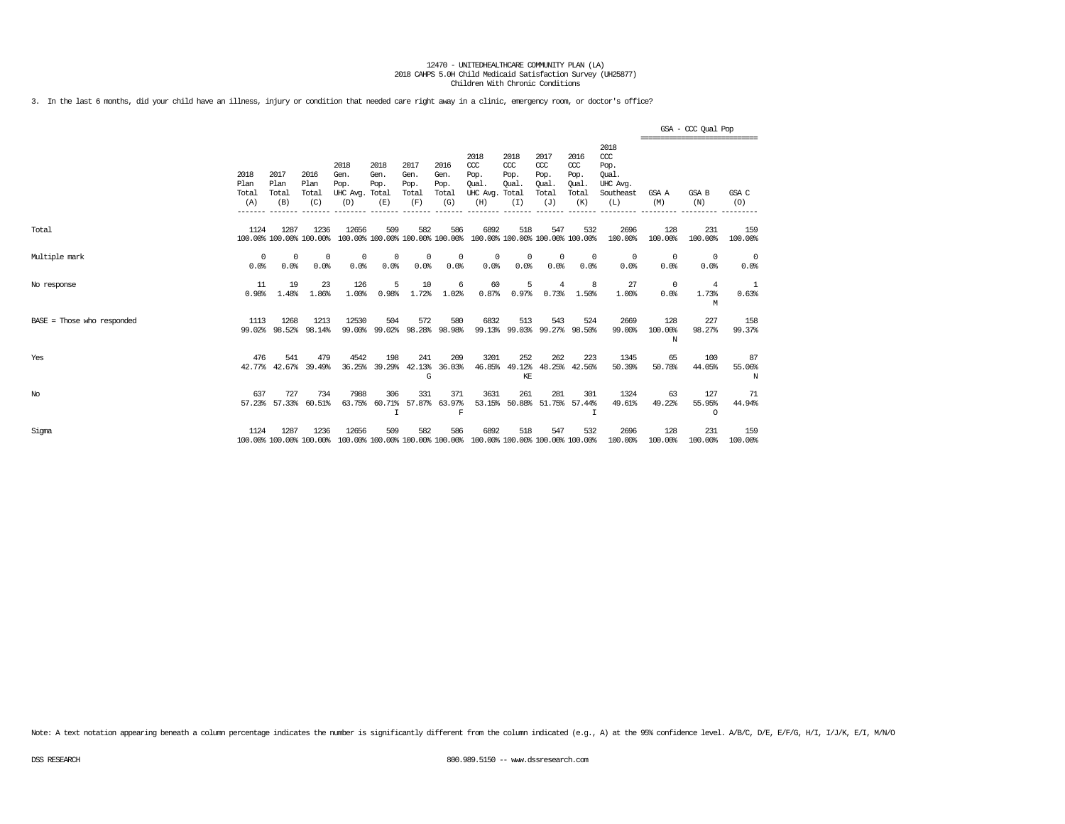3. In the last 6 months, did your child have an illness, injury or condition that needed care right away in a clinic, emergency room, or doctor's office?

|                            |                              |                                 |                              |                                                                          |                               |                                      |                                      |                                                 |                                                     |                                                   |                                              |                                                                   |                     | GSA - CCC Qual Pop                            |                    |
|----------------------------|------------------------------|---------------------------------|------------------------------|--------------------------------------------------------------------------|-------------------------------|--------------------------------------|--------------------------------------|-------------------------------------------------|-----------------------------------------------------|---------------------------------------------------|----------------------------------------------|-------------------------------------------------------------------|---------------------|-----------------------------------------------|--------------------|
|                            | 2018<br>Plan<br>Total<br>(A) | 2017<br>Plan<br>Total<br>(B)    | 2016<br>Plan<br>Total<br>(C) | 2018<br>Gen.<br>Pop.<br>UHC Avg. Total<br>(D)                            | 2018<br>Gen.<br>Pop.<br>(E)   | 2017<br>Gen.<br>Pop.<br>Total<br>(F) | 2016<br>Gen.<br>Pop.<br>Total<br>(G) | 2018<br>CCC<br>Pop.<br>Oual.<br>UHC Avg.<br>(H) | 2018<br>$CC$<br>Pop.<br><b>Oual</b><br>Total<br>(I) | 2017<br>$\alpha$<br>Pop.<br>Oual.<br>Total<br>(J) | 2016<br>ccc<br>Pop.<br>Oual.<br>Total<br>(K) | 2018<br>$\alpha$<br>Pop.<br>Oual.<br>UHC Avq.<br>Southeast<br>(L) | GSA A<br>(M)        | -----------------------------<br>GSA B<br>(N) | GSA C<br>(0)       |
| Total                      | 1124                         | 1287<br>100.00% 100.00% 100.00% | 1236                         | 12656<br>100.00% 100.00% 100.00% 100.00%                                 | 509                           | 582                                  | 586                                  | 6892<br>100.00% 100.00% 100.00% 100.00%         | 518                                                 | 547                                               | 532                                          | 2696<br>100.00%                                                   | 128<br>100.00%      | 231<br>100.00%                                | 159<br>100.00%     |
| Multiple mark              | $^{\circ}$<br>0.0%           | $^{\circ}$<br>0.0%              | $^{\circ}$<br>0.0%           | $^{\circ}$<br>0.0%                                                       | $\Omega$<br>0.0%              | $^{\circ}$<br>0.0%                   | $^{\circ}$<br>0.0%                   | $^{\circ}$<br>0.0%                              | $\Omega$<br>0.0%                                    | $^{\circ}$<br>0.0%                                | $^{\circ}$<br>0.0%                           | $^{\circ}$<br>0.0%                                                | 0<br>0.0%           | $^{\circ}$<br>0.0%                            | $^{\circ}$<br>0.0% |
| No response                | 11<br>0.98%                  | 19<br>1.48%                     | 23<br>1.86%                  | 126<br>1.00%                                                             | 5<br>0.98%                    | 10<br>1.72%                          | 6<br>1.02%                           | 60<br>0.87%                                     | 5<br>0.97%                                          | $\overline{4}$<br>0.73%                           | 8<br>1.50%                                   | 27<br>1.00%                                                       | $^{\circ}$<br>0.0%  | 4<br>1.73%<br>М                               | 1<br>0.63%         |
| BASE = Those who responded | 1113<br>99.02%               | 1268<br>98.52%                  | 1213<br>98.14%               | 12530<br>99.00%                                                          | 504<br>99.02%                 | 572<br>98.28%                        | 580<br>98.98%                        | 6832<br>99.13%                                  | 513<br>99.03%                                       | 543<br>99.27%                                     | 524<br>98.50%                                | 2669<br>99.00%                                                    | 128<br>100.00%<br>N | 227<br>98.27%                                 | 158<br>99.37%      |
| Yes                        | 476<br>42.77%                | 541<br>42.67%                   | 479<br>39.49%                | 4542<br>36.25%                                                           | 198<br>39.29%                 | 241<br>42.13%<br>G                   | 209<br>36.03%                        | 3201<br>46.85%                                  | 252<br>49.12%<br>KE                                 | 262<br>48.25%                                     | 223<br>42.56%                                | 1345<br>50.39%                                                    | 65<br>50.78%        | 100<br>44.05%                                 | 87<br>55.06%<br>N  |
| No                         | 637                          | 727<br>57.23% 57.33%            | 734<br>60.51%                | 7988<br>63.75%                                                           | 306<br>60.71%<br>$\mathsf{T}$ | 331<br>57.87%                        | 371<br>63.97%<br>F                   | 3631                                            | 261<br>53.15% 50.88% 51.75% 57.44%                  | 281                                               | 301<br>т                                     | 1324<br>49.61%                                                    | 63<br>49.22%        | 127<br>55.95%<br>$\Omega$                     | 71<br>44.94%       |
| Sigma                      | 1124                         | 1287<br>100.00% 100.00% 100.00% | 1236                         | 12656<br>100.00% 100.00% 100.00% 100.00% 100.00% 100.00% 100.00% 100.00% | 509                           | 582                                  | 586                                  | 6892                                            | 518                                                 | 547                                               | 532                                          | 2696<br>100.00%                                                   | 128<br>100.00%      | 231<br>100.00%                                | 159<br>100.00%     |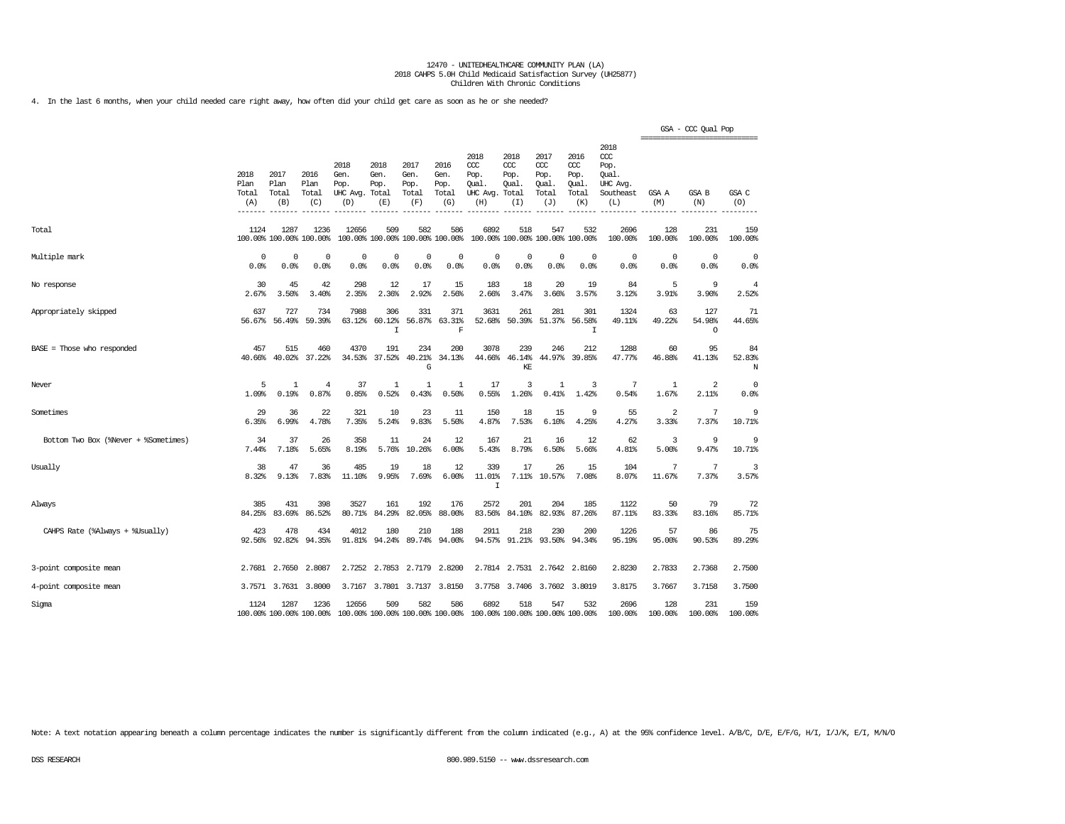4. In the last 6 months, when your child needed care right away, how often did your child get care as soon as he or she needed?

|                                      |                              |                                 |                                 |                                               |                             |                                        |                                      |                                                                         |                                              |                                              |                                              |                                                                   | ================================ | GSA - CCC Qual Pop       |                         |
|--------------------------------------|------------------------------|---------------------------------|---------------------------------|-----------------------------------------------|-----------------------------|----------------------------------------|--------------------------------------|-------------------------------------------------------------------------|----------------------------------------------|----------------------------------------------|----------------------------------------------|-------------------------------------------------------------------|----------------------------------|--------------------------|-------------------------|
|                                      | 2018<br>Plan<br>Total<br>(A) | 2017<br>Plan<br>Total<br>(B)    | 2016<br>Plan<br>Total<br>(C)    | 2018<br>Gen.<br>Pop.<br>UHC Avg. Total<br>(D) | 2018<br>Gen.<br>Pop.<br>(E) | 2017<br>Gen.<br>Pop.<br>Total<br>(F)   | 2016<br>Gen.<br>Pop.<br>Total<br>(G) | 2018<br>CCC<br>Pop.<br>Oual<br>UHC Avg.<br>(H)                          | 2018<br>ccc<br>Pop.<br>Oual.<br>Total<br>(I) | 2017<br>ccc<br>Pop.<br>Oual.<br>Total<br>(J) | 2016<br>ccc<br>Pop.<br>Oual.<br>Total<br>(K) | 2018<br>$\alpha$<br>Pop.<br>Oual.<br>UHC Avg.<br>Southeast<br>(L) | GSA A<br>(M)                     | <b>GSA B</b><br>(N)      | GSA C<br>(O)            |
| Total                                | 1124                         | 1287<br>100.00% 100.00% 100.00% | 1236                            | 12656                                         | 509                         | 582<br>100.00% 100.00% 100.00% 100.00% | 586                                  | 6892                                                                    | 518                                          | 547<br>100.00% 100.00% 100.00% 100.00%       | 532                                          | 2696<br>100.00%                                                   | 128<br>100.00%                   | 231<br>100.00%           | 159<br>100.00%          |
| Multiple mark                        | 0<br>0.0%                    | $^{\circ}$<br>0.0%              | $^{\circ}$<br>0.0%              | $^{\circ}$<br>0.0%                            | $\Omega$<br>0.0%            | $^{\circ}$<br>0.0%                     | $\Omega$<br>0.0%                     | 0<br>0.0%                                                               | 0<br>0.0%                                    | $^{\circ}$<br>0.0%                           | $\Omega$<br>0.0%                             | 0<br>0.0%                                                         | 0<br>0.0%                        | $\Omega$<br>0.0%         | 0<br>0.0%               |
| No response                          | 30<br>2.67%                  | 45<br>3.50%                     | 42<br>3.40%                     | 298<br>2.35%                                  | 12<br>2.36%                 | 17<br>2.92%                            | 15<br>2.56%                          | 183<br>2.66%                                                            | 18<br>3.47%                                  | 20<br>3.66%                                  | 19<br>3.57%                                  | 84<br>3.12%                                                       | 5<br>3.91%                       | 9<br>3.90%               | $\overline{4}$<br>2.52% |
| Appropriately skipped                | 637<br>56.67%                | 727<br>56.49%                   | 734<br>59.39%                   | 7988<br>63.12%                                | 306<br>60.12%<br>I          | 331<br>56.87%                          | 371<br>63.31%<br>F                   | 3631<br>52.68%                                                          | 261<br>50.39%                                | 281<br>51.37%                                | 301<br>56.58%<br>I                           | 1324<br>49.11%                                                    | 63<br>49.22%                     | 127<br>54.98%<br>$\circ$ | 71<br>44.65%            |
| $BASE = Those who responded$         | 457<br>40.66%                | 515<br>40.02%                   | 460<br>37.22%                   | 4370<br>34.53%                                | 191<br>37.52%               | 234<br>40.21%<br>G                     | 200<br>34.13%                        | 3078<br>44.66%                                                          | 239<br>46.14%<br>KE                          | 246<br>44.97%                                | 212<br>39.85%                                | 1288<br>47.77%                                                    | 60<br>46.88%                     | 95<br>41.13%             | 84<br>52.83%<br>N       |
| Never                                | 5<br>1.09%                   | $\mathbf{1}$<br>0.19%           | $\overline{4}$<br>0.87%         | 37<br>0.85%                                   | 1<br>0.52%                  | $\mathbf{1}$<br>0.43%                  | 1<br>0.50%                           | 17<br>0.55%                                                             | 3<br>1.26%                                   | 1<br>0.41%                                   | 3<br>1.42%                                   | 7<br>0.54%                                                        | 1<br>1.67%                       | 2<br>2.11%               | $\mathbf 0$<br>0.0%     |
| Sometimes                            | 29<br>6.35%                  | 36<br>6.99%                     | 22<br>4.78%                     | 321<br>7.35%                                  | 10<br>5.24%                 | 23<br>9.83%                            | 11<br>5.50%                          | 150<br>4.87%                                                            | 18<br>7.53%                                  | 15<br>6.10%                                  | 9<br>4.25%                                   | 55<br>4.27%                                                       | 2<br>3.33%                       | 7<br>7.37%               | 9<br>10.71%             |
| Bottom Two Box (%Never + %Sometimes) | 34<br>7.44%                  | 37<br>7.18%                     | 26<br>5.65%                     | 358<br>8.19%                                  | 11<br>5.76%                 | 24<br>10.26%                           | 12<br>6.00%                          | 167<br>5.43%                                                            | 21<br>8.79%                                  | 16<br>6.50%                                  | 12<br>5.66%                                  | 62<br>4.81%                                                       | 3<br>5.00%                       | 9<br>9.47%               | 9<br>10.71%             |
| Usually                              | 38<br>8.32%                  | 47<br>9.13%                     | 36<br>7.83%                     | 485<br>11.10%                                 | 19<br>9.95%                 | 18<br>7.69%                            | 12<br>6.00%                          | 339<br>11.01%<br>$\top$                                                 | 17                                           | 26<br>7.11% 10.57%                           | 15<br>7.08%                                  | 104<br>8.07%                                                      | 7<br>11.67%                      | 7<br>7.37%               | 3<br>3.57%              |
| Always                               | 385<br>84.25%                | 431<br>83.69%                   | 398<br>86.52%                   | 3527<br>80.71%                                | 161<br>84.29%               | 192<br>82.05%                          | 176<br>88.00%                        | 2572<br>83.56%                                                          | 201<br>84.10%                                | 204<br>82.93%                                | 185<br>87.26%                                | 1122<br>87.11%                                                    | 50<br>83.33%                     | 79<br>83.16%             | 72<br>85.71%            |
| CAHPS Rate (%Always + %Usually)      | 423<br>92.56%                | 478<br>92.82%                   | 434<br>94.35%                   | 4012<br>91.81%                                | 180<br>94.24%               | 210<br>89.74%                          | 188<br>94.00%                        | 2911<br>94.57%                                                          | 218<br>91.21%                                | 230<br>93.50%                                | 200<br>94.34%                                | 1226<br>95.19%                                                    | 57<br>95.00%                     | 86<br>90.53%             | 75<br>89.29%            |
| 3-point composite mean               |                              | 2.7681 2.7650                   | 2.8087                          | 2.7252                                        | 2.7853                      | 2.7179                                 | 2.8200                               |                                                                         | 2.7814 2.7531                                | 2.7642                                       | 2.8160                                       | 2.8230                                                            | 2.7833                           | 2.7368                   | 2.7500                  |
| 4-point composite mean               |                              | 3.7571 3.7631                   | 3.8000                          | 3.7167                                        | 3.7801                      | 3.7137                                 | 3.8150                               | 3.7758                                                                  | 3.7406                                       | 3.7602                                       | 3.8019                                       | 3.8175                                                            | 3.7667                           | 3.7158                   | 3.7500                  |
| Sigma                                | 1124                         | 1287                            | 1236<br>100.00% 100.00% 100.00% | 12656                                         | 509                         | 582                                    | 586                                  | 6892<br>100.00% 100.00% 100.00% 100.00% 100.00% 100.00% 100.00% 100.00% | 518                                          | 547                                          | 532                                          | 2696<br>100.00%                                                   | 128<br>100.00%                   | 231<br>100.00%           | 159<br>100.00%          |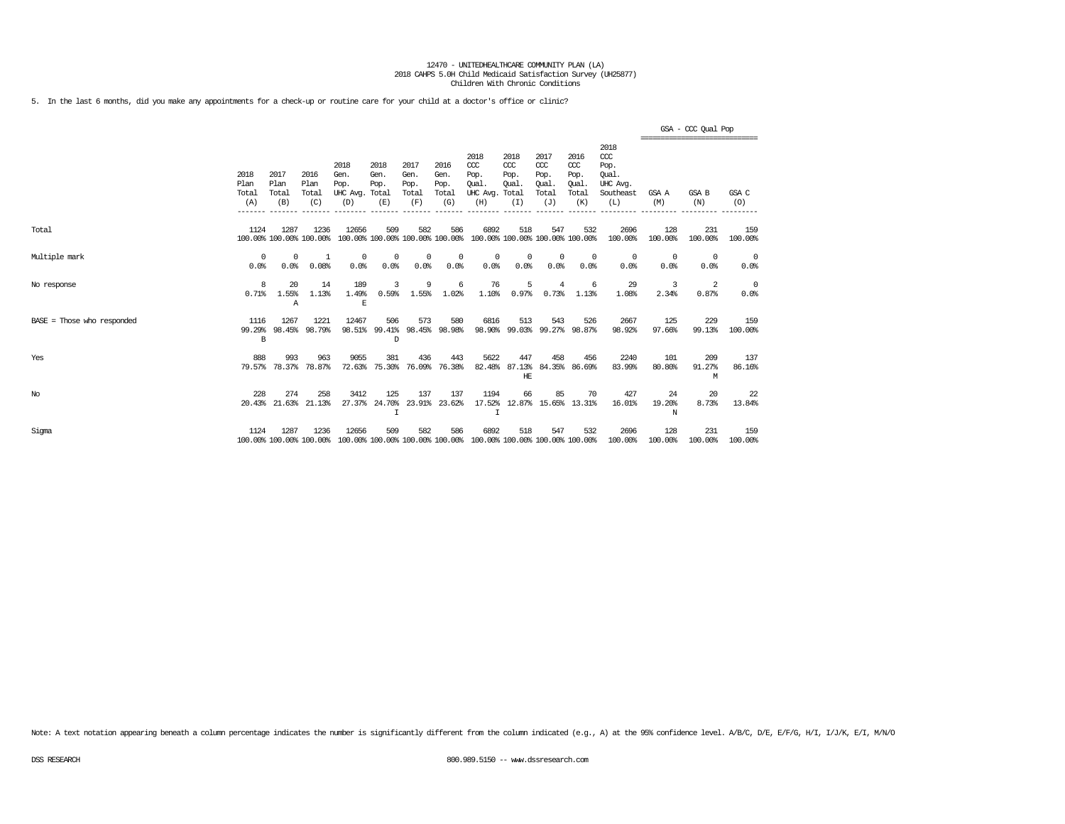5. In the last 6 months, did you make any appointments for a check-up or routine care for your child at a doctor's office or clinic?

|                              |                              |                                 |                              |                                               |                                        |                                      |                                      |                                                                         |                                              |                                                   |                                              |                                                              |                   | GSA - CCC Qual Pop<br>,,,,,,,,,,,,,,,,,,,,,,,,,,,,,,, |                    |
|------------------------------|------------------------------|---------------------------------|------------------------------|-----------------------------------------------|----------------------------------------|--------------------------------------|--------------------------------------|-------------------------------------------------------------------------|----------------------------------------------|---------------------------------------------------|----------------------------------------------|--------------------------------------------------------------|-------------------|-------------------------------------------------------|--------------------|
|                              | 2018<br>Plan<br>Total<br>(A) | 2017<br>Plan<br>Total<br>(B)    | 2016<br>Plan<br>Total<br>(C) | 2018<br>Gen.<br>Pop.<br>UHC Avg. Total<br>(D) | 2018<br>Gen.<br>Pop.<br>(E)            | 2017<br>Gen.<br>Pop.<br>Total<br>(F) | 2016<br>Gen.<br>Pop.<br>Total<br>(G) | 2018<br>CCC<br>Pop.<br>Oual.<br>UHC Avg.<br>(H)                         | 2018<br>CCC<br>Pop.<br>Oual.<br>Total<br>(I) | 2017<br>$\alpha$<br>Pop.<br>Oual.<br>Total<br>(J) | 2016<br>ccc<br>Pop.<br>Oual.<br>Total<br>(K) | 2018<br>ccc<br>Pop.<br>Oual.<br>UHC Avg.<br>Southeast<br>(L) | GSA A<br>(M)      | GSA B<br>(N)                                          | GSA C<br>(O)       |
| Total                        | 1124                         | 1287<br>100.00% 100.00% 100.00% | 1236                         | 12656                                         | 509<br>100.00% 100.00% 100.00% 100.00% | 582                                  | 586                                  | 6892<br>100.00% 100.00% 100.00% 100.00%                                 | 518                                          | 547                                               | 532                                          | 2696<br>100.00%                                              | 128<br>100.00%    | 231<br>100.00%                                        | 159<br>100.00%     |
| Multiple mark                | $^{\circ}$<br>0.0%           | $\Omega$<br>0.0%                | 1<br>0.08%                   | $^{\circ}$<br>0.0%                            | $^{\circ}$<br>0.0%                     | $\Omega$<br>0.0%                     | $^{\circ}$<br>0.0%                   | $^{\circ}$<br>0.0%                                                      | $^{\circ}$<br>0.0%                           | $\mathbf{0}$<br>0.0%                              | $\Omega$<br>0.0%                             | $^{\circ}$<br>0.0%                                           | $\Omega$<br>0.0%  | $^{\circ}$<br>0.0%                                    | $^{\circ}$<br>0.0% |
| No response                  | 8<br>0.71%                   | 20<br>1.55%<br>Α                | 14<br>1.13%                  | 189<br>1.49%<br>E                             | 3<br>0.59%                             | 9<br>1.55%                           | 6<br>1.02%                           | 76<br>1.10%                                                             | 5<br>0.97%                                   | 4<br>0.73%                                        | -6<br>1.13%                                  | 29<br>1.08%                                                  | 3<br>2.34%        | 2<br>0.87%                                            | $^{\circ}$<br>0.0% |
| $BASE = Those who responded$ | 1116<br>99.29%<br>B          | 1267                            | 1221<br>98.45% 98.79%        | 12467                                         | 506<br>98.51% 99.41%<br>D              | 573                                  | 580<br>98.45% 98.98%                 | 6816                                                                    | 513                                          | 543                                               | 526<br>98.90% 99.03% 99.27% 98.87%           | 2667<br>98.92%                                               | 125<br>97.66%     | 229<br>99.13%                                         | 159<br>100.00%     |
| Yes                          | 888<br>79.57%                | 993<br>78.37%                   | 963<br>78.87%                | 9055<br>72.63%                                | 381<br>75.30%                          | 436<br>76.09%                        | 443<br>76.38%                        | 5622<br>82.48%                                                          | 447<br>87.13%<br>HE                          | 458                                               | 456<br>84.35% 86.69%                         | 2240<br>83.99%                                               | 101<br>80.80%     | 209<br>91.27%<br>M                                    | 137<br>86.16%      |
| No                           | 228                          | 274<br>20.43% 21.63%            | 258<br>21.13%                | 3412<br>27.37%                                | 125<br>24.70%<br>$\mathsf{T}$          | 137                                  | 137<br>23.91% 23.62%                 | 1194                                                                    | 66                                           | 85                                                | 70<br>17.52% 12.87% 15.65% 13.31%            | 427<br>16.01%                                                | 24<br>19.20%<br>N | 20<br>8.73%                                           | 22<br>13.84%       |
| Sigma                        | 1124                         | 1287<br>100.00% 100.00% 100.00% | 1236                         | 12656                                         | 509                                    | 582                                  | 586                                  | 6892<br>100.00% 100.00% 100.00% 100.00% 100.00% 100.00% 100.00% 100.00% | 518                                          | 547                                               | 532                                          | 2696<br>100.00%                                              | 128<br>100.00%    | 231<br>100.00%                                        | 159<br>100.00%     |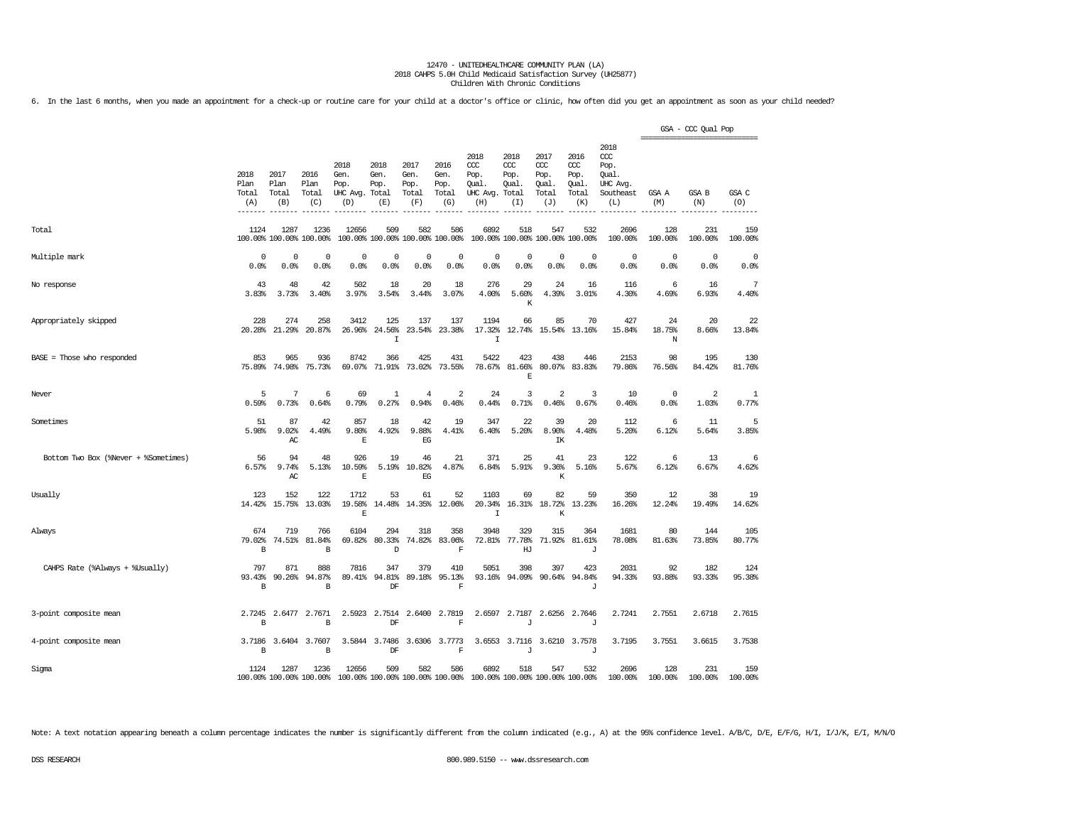6. In the last 6 months, when you made an appointment for a check-up or routine care for your child at a doctor's office or clinic, how often did you get an appointment as soon as your child needed?

|                                      |                               |                       |                                      |                                          |                                        |                                      |                                      |                                          |                                       |                                            |                                                   |                                                       | ================================ | GSA - CCC Qual Pop      |                    |
|--------------------------------------|-------------------------------|-----------------------|--------------------------------------|------------------------------------------|----------------------------------------|--------------------------------------|--------------------------------------|------------------------------------------|---------------------------------------|--------------------------------------------|---------------------------------------------------|-------------------------------------------------------|----------------------------------|-------------------------|--------------------|
|                                      | 2018<br>Plan<br>Total         | 2017<br>Plan<br>Total | 2016<br>Plan<br>Total                | 2018<br>Gen.<br>Pop.<br>UHC Avg.         | 2018<br>Gen.<br>Pop.<br>Total          | 2017<br>Gen.<br>Pop.<br>Total<br>(F) | 2016<br>Gen.<br>Pop.<br>Total<br>(G) | 2018<br>CCC<br>Pop.<br>Qual.<br>UHC Avg. | 2018<br>ccc<br>Pop.<br>Qual.<br>Total | 2017<br>$\alpha$<br>Pop.<br>Qual.<br>Total | 2016<br>$\alpha$<br>Pop.<br>Qual.<br>Total<br>(K) | 2018<br>ccc<br>Pop.<br>Qual.<br>UHC Avg.<br>Southeast | GSA A                            | GSA B                   | GSA C<br>(0)       |
|                                      | (A)                           | (B)                   | (C)                                  | (D)                                      | (E)                                    |                                      |                                      | (H)                                      | (I)                                   | (J)                                        |                                                   | (L)                                                   | (M)                              | (N)                     |                    |
| Total                                | 1124                          | 1287                  | 1236<br>100.00% 100.00% 100.00%      | 12656                                    | 509<br>100.00% 100.00% 100.00% 100.00% | 582                                  | 586                                  | 6892                                     | 518                                   | 547<br>100.00% 100.00% 100.00% 100.00%     | 532                                               | 2696<br>100.00%                                       | 128<br>100.00%                   | 231<br>100.00%          | 159<br>100.00%     |
| Multiple mark                        | $\mathbf 0$<br>0.0%           | $\mathbf 0$<br>0.0%   | $\mathbf 0$<br>0.0%                  | $\mathbf 0$<br>0.0%                      | $\mathbf 0$<br>0.0%                    | $\mathbf 0$<br>0.0%                  | $\mathbf 0$<br>0.0%                  | $\Omega$<br>0.0%                         | $\mathbf 0$<br>0.0%                   | $\circ$<br>0.0%                            | $\mathbf 0$<br>0.0%                               | $\circ$<br>0.0%                                       | $\mathbf 0$<br>0.0%              | $\circ$<br>0.0%         | $^{\circ}$<br>0.0% |
| No response                          | 43<br>3.83%                   | 48<br>3.73%           | 42<br>3.40%                          | 502<br>3.97%                             | 18<br>3.54%                            | 20<br>3.44%                          | 18<br>3.07%                          | 276<br>4.00%                             | 29<br>5.60%<br>К                      | 24<br>4.39%                                | 16<br>3.01%                                       | 116<br>4.30%                                          | 6<br>4.69%                       | 16<br>6.93%             | 7<br>4.40%         |
| Appropriately skipped                | 228<br>20.28%                 | 274<br>21.29%         | 258<br>20.87%                        | 3412<br>26.96%                           | 125<br>24.56%<br>$\mathbbm{1}$         | 137<br>23.54%                        | 137<br>23.38%                        | 1194<br>17.32%<br>I                      | 66                                    | 85<br>12.74% 15.54% 13.16%                 | 70                                                | 427<br>15.84%                                         | 24<br>18.75%<br>N                | 20<br>8.66%             | 22<br>13.84%       |
| $BASE = Those who responded$         | 853<br>75.89%                 | 965<br>74.98%         | 936<br>75.73%                        | 8742<br>69.07%                           | 366<br>71.91%                          | 425<br>73.02%                        | 431<br>73.55%                        | 5422<br>78.67%                           | 423<br>81.66%<br>E                    | 438                                        | 446<br>80.07% 83.83%                              | 2153<br>79.86%                                        | 98<br>76.56%                     | 195<br>84.42%           | 130<br>81.76%      |
| Never                                | 5<br>0.59%                    | 7<br>0.73%            | 6<br>0.64%                           | 69<br>0.79%                              | 1<br>0.27%                             | $\overline{4}$<br>0.94%              | $\overline{a}$<br>0.46%              | 24<br>0.44%                              | 3<br>0.71%                            | $\overline{2}$<br>0.46%                    | 3<br>0.67%                                        | 10<br>0.46%                                           | 0<br>0.0%                        | $\overline{2}$<br>1.03% | 1<br>0.77%         |
| Sometimes                            | 51<br>5.98%                   | 87<br>9.02%<br>AC     | 42<br>4.49%                          | 857<br>9.80%<br>$\mathbb E$              | 18<br>4.92%                            | 42<br>9.88%<br>EG                    | 19<br>4.41%                          | 347<br>6.40%                             | 22<br>5.20%                           | 39<br>8.90%<br>IΚ                          | 20<br>4.48%                                       | 112<br>5.20%                                          | 6<br>6.12%                       | 11<br>5.64%             | 5<br>3.85%         |
| Bottom Two Box (%Never + %Sometimes) | 56<br>6.57%                   | 94<br>9.74%<br>AC     | 48<br>5.13%                          | 926<br>10.59%<br>E                       | 19<br>5.19%                            | 46<br>10.82%<br>EG                   | 21<br>4.87%                          | 371<br>6.84%                             | 25<br>5.91%                           | 41<br>9.36%<br>К                           | 23<br>5.16%                                       | 122<br>5.67%                                          | 6<br>6.12%                       | 13<br>6.67%             | 6<br>4.62%         |
| Usually                              | 123<br>14.42%                 | 152<br>15.75%         | 122<br>13.03%                        | 1712<br>19.58%<br>E                      | 53<br>14.48%                           | 61                                   | 52<br>14.35% 12.06%                  | 1103<br>20.34%<br>$\mathbf I$            | 69                                    | 82<br>16.31% 18.72%<br>K                   | 59<br>13.23%                                      | 350<br>16.26%                                         | 12<br>12.24%                     | 38<br>19.49%            | 19<br>14.62%       |
| Always                               | 674<br>79.02%<br>$\, {\bf B}$ | 719<br>74.51%         | 766<br>81.84%<br>$\, {\bf B}$        | 6104<br>69.82%                           | 294<br>80.33%<br>D                     | 318<br>74.82%                        | 358<br>83.06%<br>$\mathbf F$         | 3948<br>72.81%                           | 329<br>77.78%<br>HJ                   | 315<br>71.92%                              | 364<br>81.61%<br>J                                | 1681<br>78.08%                                        | 80<br>81.63%                     | 144<br>73.85%           | 105<br>80.77%      |
| CAHPS Rate (%Always + %Usually)      | 797<br>93.43%<br>B            | 871<br>90.26%         | 888<br>94.87%<br>B                   | 7816<br>89.41%                           | 347<br>94.81%<br>DF                    | 379<br>89.18%                        | 410<br>95.13%<br>$\mathbf F$         | 5051                                     | 398<br>93.16% 94.09%                  | 397                                        | 423<br>90.64% 94.84%<br>J                         | 2031<br>94.33%                                        | 92<br>93.88%                     | 182<br>93.33%           | 124<br>95.38%      |
| 3-point composite mean               | 2.7245<br>B                   | 2.6477                | 2.7671<br>B                          | 2.5923                                   | 2.7514<br>DF                           | 2.6400                               | 2.7819<br>$\overline{F}$             | 2.6597                                   | 2.7187<br>$\mathbf{I}$                | 2.6256                                     | 2.7646<br>$\mathbf{J}$                            | 2.7241                                                | 2.7551                           | 2.6718                  | 2.7615             |
| 4-point composite mean               | $\, {\bf B}$                  |                       | 3.7186 3.6404 3.7607<br>$\, {\bf B}$ |                                          | 3.5844 3.7486<br>DF                    |                                      | 3.6306 3.7773<br>$\mathbf F$         |                                          | J                                     | 3.6553 3.7116 3.6210 3.7578                | J                                                 | 3.7195                                                | 3.7551                           | 3.6615                  | 3.7538             |
| Sigma                                | 1124                          | 1287                  | 1236<br>100.00% 100.00% 100.00%      | 12656<br>100.00% 100.00% 100.00% 100.00% | 509                                    | 582                                  | 586                                  | 6892<br>100.00% 100.00% 100.00% 100.00%  | 518                                   | 547                                        | 532                                               | 2696<br>100.00%                                       | 128<br>100.00%                   | 231<br>100.00%          | 159<br>100.00%     |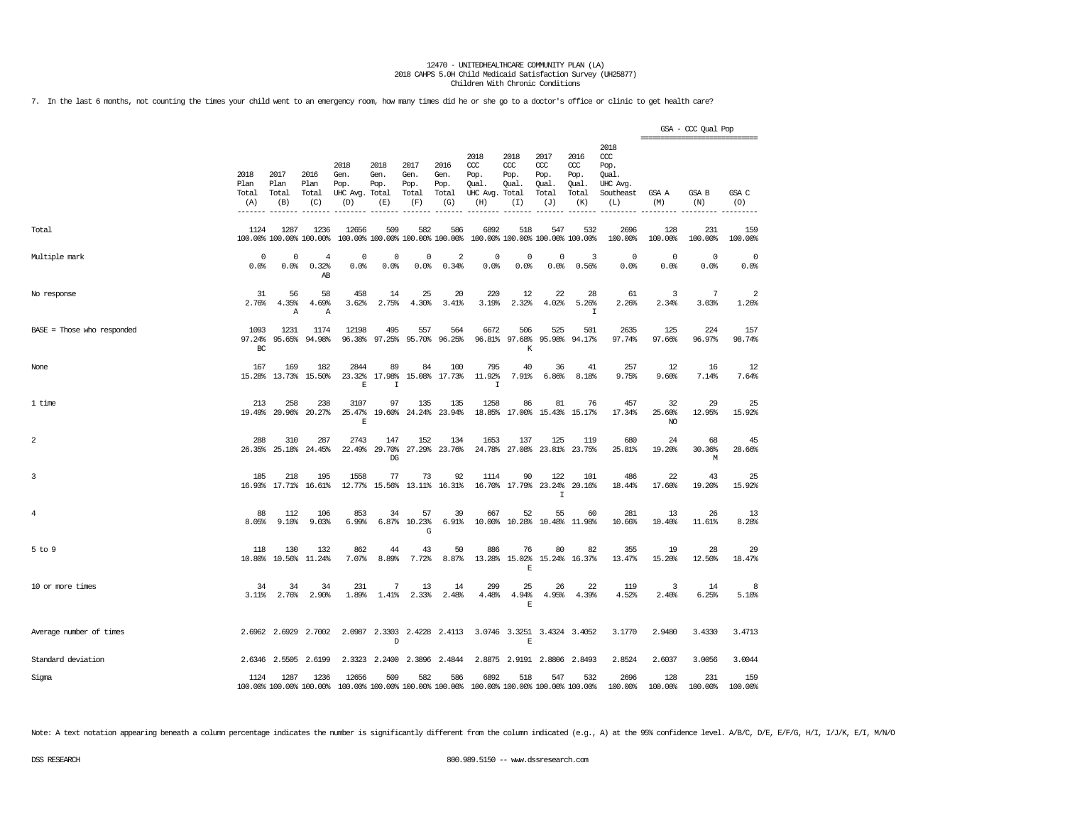7. In the last 6 months, not counting the times your child went to an emergency room, how many times did he or she go to a doctor's office or clinic to get health care?

|                            |                              |                              |                                 |                                          |                                      |                                      |                                        |                                                       |                                        |                                              |                                              |                                                                   | =============================== | GSA - CCC Qual Pop  |                         |
|----------------------------|------------------------------|------------------------------|---------------------------------|------------------------------------------|--------------------------------------|--------------------------------------|----------------------------------------|-------------------------------------------------------|----------------------------------------|----------------------------------------------|----------------------------------------------|-------------------------------------------------------------------|---------------------------------|---------------------|-------------------------|
|                            | 2018<br>Plan<br>Total<br>(A) | 2017<br>Plan<br>Total<br>(B) | 2016<br>Plan<br>Total<br>(C)    | 2018<br>Gen.<br>Pop.<br>UHC Avg.<br>(D)  | 2018<br>Gen.<br>Pop.<br>Total<br>(E) | 2017<br>Gen.<br>Pop.<br>Total<br>(F) | 2016<br>Gen.<br>Pop.<br>Total<br>(G)   | 2018<br>ccc<br>Pop.<br>Qual.<br>UHC Avg. Total<br>(H) | 2018<br>ccc<br>Pop.<br>Qual.<br>(I)    | 2017<br>ccc<br>Pop.<br>Qual.<br>Total<br>(J) | 2016<br>ccc<br>Pop.<br>Qual.<br>Total<br>(K) | 2018<br>$\alpha$<br>Pop.<br>Oual.<br>UHC Avg.<br>Southeast<br>(L) | GSA A<br>(M)                    | GSA B<br>(N)        | GSA C<br>(O)            |
| Total                      | 1124                         | 1287                         | 1236<br>100.00% 100.00% 100.00% | 12656                                    | 509                                  | 582                                  | 586<br>100.00% 100.00% 100.00% 100.00% | 6892                                                  | 518<br>100.00% 100.00% 100.00% 100.00% | 547                                          | 532                                          | 2696<br>100.00%                                                   | 128<br>100.00%                  | 231<br>100.00%      | 159<br>100.00%          |
| Multiple mark              | 0<br>0.0%                    | 0<br>0.0%                    | 4<br>0.32%<br>AB                | 0<br>0.0%                                | 0<br>0.0%                            | 0<br>0.0%                            | 2<br>0.34%                             | $\mathbf 0$<br>0.0%                                   | 0<br>0.0%                              | 0<br>0.0%                                    | 3<br>0.56%                                   | $\circ$<br>0.0%                                                   | $\mathbf 0$<br>0.0%             | $\mathbf 0$<br>0.0% | $\mathbf 0$<br>0.0%     |
| No response                | 31<br>2.76%                  | 56<br>4.35%<br>$\mathbb{A}$  | 58<br>4.69%<br>Α                | 458<br>3.62%                             | 14<br>2.75%                          | 25<br>4.30%                          | 20<br>3.41%                            | 220<br>3.19%                                          | 12<br>2.32%                            | 22<br>4.02%                                  | 28<br>5.26%<br>I                             | 61<br>2.26%                                                       | 3<br>2.34%                      | 7<br>3.03%          | $\overline{2}$<br>1.26% |
| BASE = Those who responded | 1093<br>97.24%<br>BC         | 1231<br>95.65%               | 1174<br>94.98%                  | 12198<br>96.38%                          | 495<br>97.25%                        | 557<br>95.70%                        | 564<br>96.25%                          | 6672                                                  | 506<br>96.81% 97.68%<br>K              | 525<br>95.98%                                | 501<br>94.17%                                | 2635<br>97.74%                                                    | 125<br>97.66%                   | 224<br>96.97%       | 157<br>98.74%           |
| None                       | 167<br>15.28%                | 169<br>13.73%                | 182<br>15.50%                   | 2844<br>23.32%<br>E                      | 89<br>17.98%<br>I                    | 84<br>15.08%                         | 100<br>17.73%                          | 795<br>11.92%<br>T                                    | 40<br>7.91%                            | 36<br>6.86%                                  | 41<br>8.18%                                  | 257<br>9.75%                                                      | 12<br>9.60%                     | 16<br>7.14%         | 12<br>7.64%             |
| 1 time                     | 213                          | 258<br>19.49% 20.96%         | 238<br>20.27%                   | 3107<br>25.47%<br>E                      | 97                                   | 135<br>19.60% 24.24%                 | 135<br>23.94%                          | 1258                                                  | 86<br>18.85% 17.00% 15.43% 15.17%      | 81                                           | 76                                           | 457<br>17.34%                                                     | 32<br>25.60%<br>NO.             | 29<br>12.95%        | 25<br>15.92%            |
| 2                          | 288<br>26.35%                | 310<br>25.18%                | 287<br>24.45%                   | 2743                                     | 147<br>22.49% 29.70%<br>DG           | 152                                  | 134<br>27.29% 23.76%                   | 1653                                                  | 137<br>24.78% 27.08% 23.81% 23.75%     | 125                                          | 119                                          | 680<br>25.81%                                                     | 24<br>19.20%                    | 68<br>30.36%<br>M   | 45<br>28.66%            |
| 3                          | 185                          | 218<br>16.93% 17.71%         | 195<br>16.61%                   | 1558<br>12.77%                           | 77                                   | 73<br>15.56% 13.11% 16.31%           | 92                                     | 1114                                                  | 90<br>16.70% 17.79% 23.24%             | 122<br>$\mathsf{T}$                          | 101<br>20.16%                                | 486<br>18.44%                                                     | 22<br>17.60%                    | 43<br>19.20%        | 25<br>15.92%            |
| 4                          | 88<br>8.05%                  | 112<br>9.10%                 | 106<br>9.03%                    | 853<br>6.99%                             | 34<br>6.87%                          | 57<br>10.23%<br>G                    | 39<br>6.91%                            | 667<br>10.00%                                         | 52                                     | 55<br>10.28% 10.48% 11.98%                   | 60                                           | 281<br>10.66%                                                     | 13<br>10.40%                    | 26<br>11.61%        | 13<br>8.28%             |
| $5$ to $9$                 | 118<br>10.80%                | 130<br>10.56%                | 132<br>11.24%                   | 862<br>7.07%                             | 44<br>8.89%                          | 43<br>7.72%                          | 50<br>8.87%                            | 886<br>13.28%                                         | 76<br>15.02%<br>Ε                      | 80                                           | 82<br>15.24% 16.37%                          | 355<br>13.47%                                                     | 19<br>15.20%                    | 28<br>12.50%        | 29<br>18.47%            |
| 10 or more times           | 34<br>$3.11$ $%$             | 34<br>2.76%                  | 34<br>2.90%                     | 231<br>1.89%                             | 7<br>1.41%                           | 13<br>2.33%                          | 14<br>2.48%                            | 299<br>4.48%                                          | 25<br>4.94%<br>$\mathbf E$             | 26<br>4.95%                                  | 22<br>4.39%                                  | 119<br>4.52%                                                      | 3<br>2.40%                      | 14<br>6.25%         | 8<br>5.10%              |
| Average number of times    |                              | 2.6962 2.6929                | 2.7002                          |                                          | D                                    |                                      | 2.0987 2.3303 2.4228 2.4113            |                                                       | 3.0746 3.3251 3.4324 3.4052<br>E       |                                              |                                              | 3.1770                                                            | 2.9480                          | 3.4330              | 3.4713                  |
| Standard deviation         |                              | 2.6346 2.5505                | 2.6199                          |                                          | 2.3323 2.2400                        |                                      | 2.3896 2.4844                          |                                                       | 2.8875 2.9191 2.8806 2.8493            |                                              |                                              | 2.8524                                                            | 2.6037                          | 3.0056              | 3.0044                  |
| Sigma                      | 1124                         | 1287                         | 1236<br>100.00% 100.00% 100.00% | 12656<br>100.00% 100.00% 100.00% 100.00% | 509                                  | 582                                  | 586                                    | 6892                                                  | 518<br>100.00% 100.00% 100.00% 100.00% | 547                                          | 532                                          | 2696<br>100.00%                                                   | 128<br>100.00%                  | 231<br>100.00%      | 159<br>100.00%          |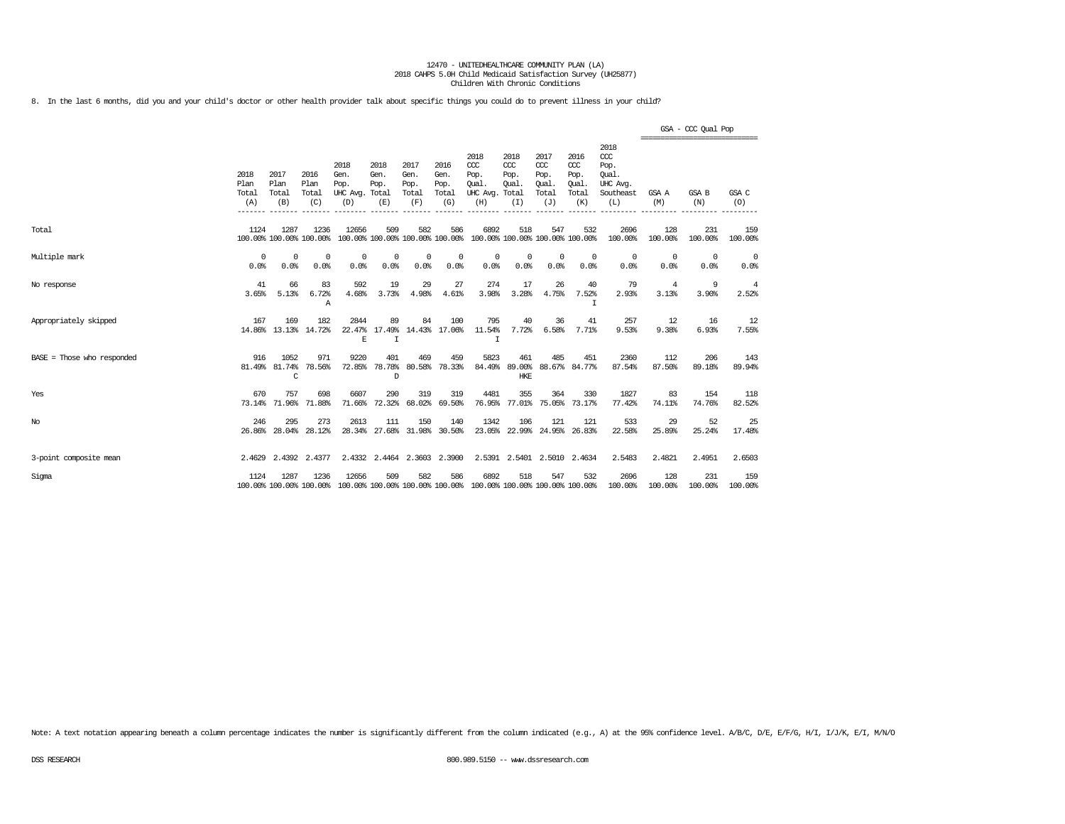8. In the last 6 months, did you and your child's doctor or other health provider talk about specific things you could do to prevent illness in your child?

|                              |                              |                                 |                              |                                                                                          |                                    |                                      |                                      |                                                                         |                                                  |                                                   |                                              |                                                                   | ================================ | GSA - CCC Qual Pop |                |
|------------------------------|------------------------------|---------------------------------|------------------------------|------------------------------------------------------------------------------------------|------------------------------------|--------------------------------------|--------------------------------------|-------------------------------------------------------------------------|--------------------------------------------------|---------------------------------------------------|----------------------------------------------|-------------------------------------------------------------------|----------------------------------|--------------------|----------------|
|                              | 2018<br>Plan<br>Total<br>(A) | 2017<br>Plan<br>Total<br>(B)    | 2016<br>Plan<br>Total<br>(C) | 2018<br>Gen.<br>Pop.<br>UHC Avg. Total<br>(D)                                            | 2018<br>Gen.<br>Pop.<br>(E)        | 2017<br>Gen.<br>Pop.<br>Total<br>(F) | 2016<br>Gen.<br>Pop.<br>Total<br>(G) | 2018<br>CCC<br>Pop.<br>Oual.<br>UHC Avg.<br>(H)                         | 2018<br>$CC$<br>Pop.<br>Oual.<br>Total<br>(I)    | 2017<br>$\alpha$<br>Pop.<br>Oual.<br>Total<br>(J) | 2016<br>ccc<br>Pop.<br>Oual.<br>Total<br>(K) | 2018<br>$\alpha$<br>Pop.<br>Oual.<br>UHC Avg.<br>Southeast<br>(L) | GSA A<br>(M)                     | GSA B<br>(N)       | GSA C<br>(O)   |
| Total                        | 1124                         | 1287<br>100.00% 100.00% 100.00% | 1236                         | 12656                                                                                    | 509                                | 582                                  | 586                                  | 6892<br>100.00% 100.00% 100.00% 100.00% 100.00% 100.00% 100.00% 100.00% | 518                                              | 547                                               | 532                                          | 2696<br>100.00%                                                   | 128<br>100.00%                   | 231<br>100.00%     | 159<br>100.00% |
| Multiple mark                | $^{\circ}$<br>0.0%           | $^{\circ}$<br>0.0%              | $^{\circ}$<br>0.0%           | $^{\circ}$<br>0.0%                                                                       | $\Omega$<br>0.0%                   | $\Omega$<br>0.0%                     | 0<br>0.0%                            | 0<br>0.0%                                                               | 0<br>0.0%                                        | $^{\circ}$<br>0.0%                                | $\Omega$<br>0.0%                             | 0<br>0.0%                                                         | $\Omega$<br>0.0%                 | $\Omega$<br>0.0%   | 0<br>0.0%      |
| No response                  | 41<br>3.65%                  | 66<br>5.13%                     | 83<br>6.72%<br>$\mathbb{A}$  | 592<br>4.68%                                                                             | 19<br>3.73%                        | 29<br>4.98%                          | 27<br>4.61%                          | 274<br>3.98%                                                            | 17<br>3.28%                                      | 26<br>4.75%                                       | 40<br>7.52%<br>T                             | 79<br>2.93%                                                       | 4<br>3.13%                       | 9<br>3.90%         | 4<br>2.52%     |
| Appropriately skipped        | 167                          | 169<br>14.86% 13.13% 14.72%     | 182                          | 2844<br>Ε                                                                                | 89<br>22.47% 17.49%<br>I           | 84                                   | 100<br>14.43% 17.06%                 | 795<br>11.54%<br>$\mathbf I$                                            | 40<br>7.72%                                      | 36<br>6.58%                                       | 41<br>7.71%                                  | 257<br>9.53%                                                      | 12<br>9.38%                      | 16<br>6.93%        | 12<br>7.55%    |
| $BASE = Those who responded$ | 916                          | 1052<br>81.49% 81.74%<br>C      | 971<br>78.56%                | 9220<br>72.85%                                                                           | 401<br>78.78%<br>D                 | 469<br>80.58%                        | 459<br>78.33%                        | 5823                                                                    | 461<br>84.49% 89.00% 88.67% 84.77%<br><b>HKE</b> | 485                                               | 451                                          | 2360<br>87.54%                                                    | 112<br>87.50%                    | 206<br>89.18%      | 143<br>89.94%  |
| Yes                          | 670<br>73.14%                | 757<br>71.96%                   | 698<br>71.88%                | 6607<br>71.66%                                                                           | 290<br>72.32%                      | 319<br>68.02%                        | 319<br>69.50%                        | 4481<br>76.95%                                                          | 355<br>77.01%                                    | 364                                               | 330<br>75.05% 73.17%                         | 1827<br>77.42%                                                    | 83<br>74.11%                     | 154<br>74.76%      | 118<br>82.52%  |
| No                           | 246<br>26.86%                | 295<br>28.04%                   | 273<br>28.12%                | 2613                                                                                     | 111<br>28.34% 27.68% 31.98% 30.50% | 150                                  | 140                                  | 1342                                                                    | 106<br>23.05% 22.99% 24.95% 26.83%               | 121                                               | 121                                          | 533<br>22.58%                                                     | 29<br>25.89%                     | 52<br>25.24%       | 25<br>17.48%   |
| 3-point composite mean       |                              | 2.4629 2.4392 2.4377            |                              |                                                                                          | 2.4332 2.4464 2.3603 2.3900        |                                      |                                      |                                                                         | 2.5391 2.5401 2.5010 2.4634                      |                                                   |                                              | 2.5483                                                            | 2.4821                           | 2.4951             | 2.6503         |
| Sigma                        | 1124                         | 1287                            | 1236                         | 12656<br>100.00% 100.00% 100.00% 100.00% 100.00% 100.00% 100.00% 100.00% 100.00% 100.00% | 509                                | 582                                  | 586                                  | 6892                                                                    | 518                                              | 547                                               | 532                                          | 2696<br>100.00%                                                   | 128<br>100.00%                   | 231<br>100.00%     | 159<br>100.00% |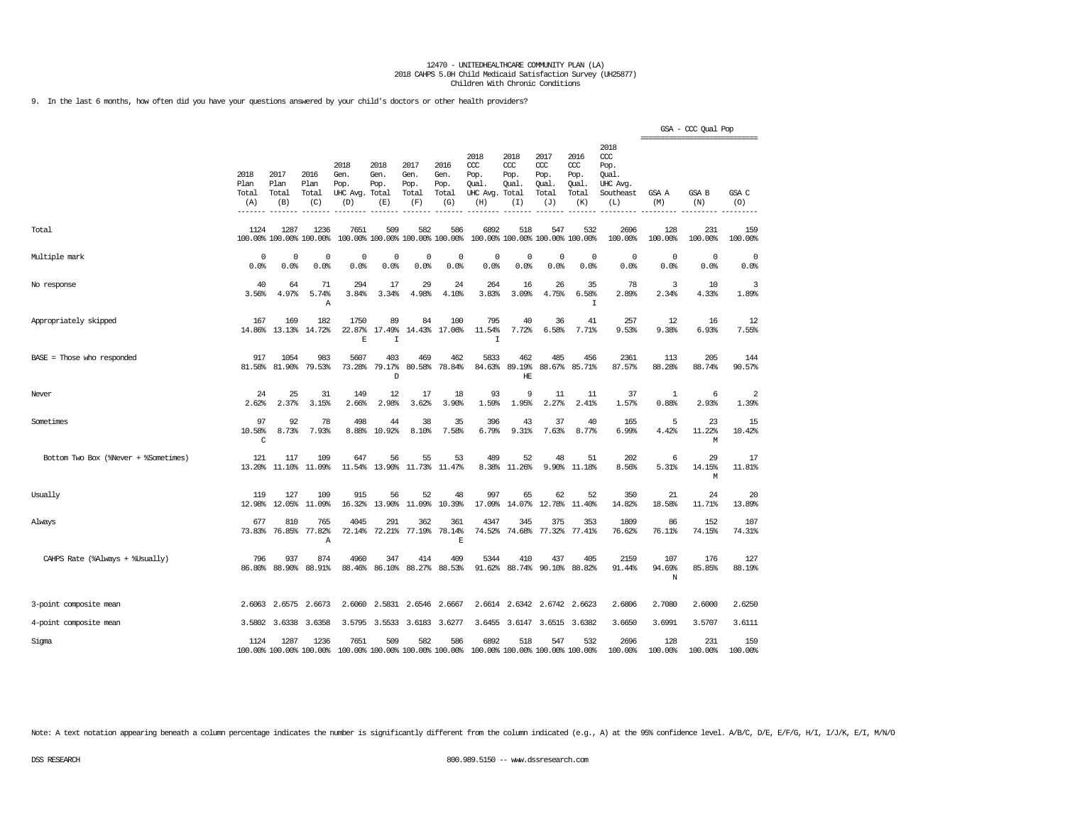9. In the last 6 months, how often did you have your questions answered by your child's doctors or other health providers?

|                                      |                                       |                                 |                                 |                                         |                                      |                                      |                                        |                                                       |                                     |                                                   |                                                   |                                                                   |                              | GSA - CCC Qual Pop<br>================================ |                |
|--------------------------------------|---------------------------------------|---------------------------------|---------------------------------|-----------------------------------------|--------------------------------------|--------------------------------------|----------------------------------------|-------------------------------------------------------|-------------------------------------|---------------------------------------------------|---------------------------------------------------|-------------------------------------------------------------------|------------------------------|--------------------------------------------------------|----------------|
|                                      | 2018<br>Plan<br>Total<br>(A)<br>$---$ | 2017<br>Plan<br>Total<br>(B)    | 2016<br>Plan<br>Total<br>(C)    | 2018<br>Gen.<br>Pop.<br>UHC Avg.<br>(D) | 2018<br>Gen.<br>Pop.<br>Total<br>(E) | 2017<br>Gen.<br>Pop.<br>Total<br>(F) | 2016<br>Gen.<br>Pop.<br>Total<br>(G)   | 2018<br>CCC<br>Pop.<br>Qual.<br>UHC Avg. Total<br>(H) | 2018<br>CCC<br>Pop.<br>Qual.<br>(I) | 2017<br>$\alpha$<br>Pop.<br>Qual.<br>Total<br>(J) | 2016<br>$\alpha$<br>Pop.<br>Qual.<br>Total<br>(K) | 2018<br>$\alpha$<br>Pop.<br>Oual.<br>UHC Avg.<br>Southeast<br>(L) | GSA A<br>(M)                 | GSA B<br>(N)                                           | GSA C<br>(0)   |
| Total                                | 1124                                  | 1287<br>100.00% 100.00% 100.00% | 1236                            | 7651                                    | 509                                  | 582                                  | 586<br>100.00% 100.00% 100.00% 100.00% | 6892                                                  | 518                                 | 547<br>100.00% 100.00% 100.00% 100.00%            | 532                                               | 2696<br>100.00%                                                   | 128<br>100.00%               | 231<br>100.00%                                         | 159<br>100.00% |
| Multiple mark                        | 0<br>0.0%                             | 0<br>0.0%                       | 0<br>0.0%                       | $\mathbf 0$<br>0.0%                     | $\mathbf 0$<br>0.0%                  | $\mathbf 0$<br>0.0%                  | 0<br>0.0%                              | $\Omega$<br>0.0%                                      | $^{\circ}$<br>0.0%                  | 0<br>0.0%                                         | $\circ$<br>0.0%                                   | $^{\circ}$<br>0.0%                                                | $\mathbf 0$<br>0.0%          | $\circ$<br>0.0%                                        | 0<br>0.0%      |
| No response                          | 40<br>3.56%                           | 64<br>4.97%                     | 71<br>5.74%<br>Α                | 294<br>3.84%                            | 17<br>3.34%                          | 29<br>4.98%                          | 24<br>4.10%                            | 264<br>3.83%                                          | 16<br>3.09%                         | 26<br>4.75%                                       | 35<br>6.58%<br>I                                  | 78<br>2.89%                                                       | 3<br>2.34%                   | 10<br>4.33%                                            | 3<br>1.89%     |
| Appropriately skipped                | 167<br>14.86%                         | 169<br>13.13%                   | 182<br>14.72%                   | 1750<br>22.87%<br>E                     | 89<br>17.49%<br>I                    | 84<br>14.43%                         | 100<br>17.06%                          | 795<br>11.54%<br>$\mathsf{T}$                         | 40<br>7.72%                         | 36<br>6.58%                                       | 41<br>7.71%                                       | 257<br>9.53%                                                      | 12<br>9.38%                  | 16<br>6.93%                                            | 12<br>7.55%    |
| BASE = Those who responded           | 917<br>81.58%                         | 1054<br>81.90%                  | 983<br>79.53%                   | 5607<br>73.28%                          | 403<br>79.17%<br>D                   | 469<br>80.58%                        | 462<br>78.84%                          | 5833<br>84.63%                                        | 462<br>89.19%<br>HE                 | 485<br>88.67%                                     | 456<br>85.71%                                     | 2361<br>87.57%                                                    | 113<br>88.28%                | 205<br>88.74%                                          | 144<br>90.57%  |
| Never                                | 24<br>2.62%                           | 25<br>2.37%                     | 31<br>3.15%                     | 149<br>2.66%                            | 12<br>2.98%                          | 17<br>3.62%                          | 18<br>3.90%                            | 93<br>1.59%                                           | 9<br>1.95%                          | 11<br>2.27%                                       | 11<br>2.41%                                       | 37<br>1.57%                                                       | 1<br>0.88%                   | 6<br>2.93%                                             | 2<br>1.39%     |
| Sometimes                            | 97<br>10.58%<br>$\mathsf C$           | 92<br>8.73%                     | 78<br>7.93%                     | 498<br>8.88%                            | 44<br>10.92%                         | 38<br>8.10%                          | 35<br>7.58%                            | 396<br>6.79%                                          | 43<br>9.31%                         | 37<br>7.63%                                       | 40<br>8.77%                                       | 165<br>6.99%                                                      | 5<br>4.42%                   | 23<br>11.22%<br>М                                      | 15<br>10.42%   |
| Bottom Two Box (%Never + %Sometimes) | 121<br>13.20%                         | 117<br>11.10%                   | 109<br>11.09%                   | 647<br>11.54%                           | 56<br>13.90%                         | 55<br>11.73%                         | 53<br>11.47%                           | 489<br>8.38%                                          | 52<br>11.26%                        | 48<br>9.90%                                       | 51<br>11.18%                                      | 202<br>8.56%                                                      | 6<br>5.31%                   | 29<br>14.15%<br>М                                      | 17<br>11.81%   |
| Usually                              | 119<br>12.98%                         | 127<br>12.05%                   | 109<br>11.09%                   | 915<br>16.32%                           | 56<br>13.90%                         | 52<br>11.09%                         | 48<br>10.39%                           | 997<br>17.09%                                         | 65<br>14.07%                        | 62<br>12.78%                                      | 52<br>11.40%                                      | 350<br>14.82%                                                     | 21<br>18.58%                 | 24<br>11.71%                                           | 20<br>13.89%   |
| Always                               | 677<br>73.83%                         | 810<br>76.85%                   | 765<br>77.82%<br>$\mathbb{A}$   | 4045<br>72.14%                          | 291<br>72.21%                        | 362<br>77.19%                        | 361<br>78.14%<br>E                     | 4347<br>74.52%                                        | 345<br>74.68%                       | 375<br>77.32%                                     | 353<br>77.41%                                     | 1809<br>76.62%                                                    | 86<br>76.11%                 | 152<br>74.15%                                          | 107<br>74.31%  |
| CAHPS Rate (%Always + %Usually)      | 796<br>86.80%                         | 937<br>88.90%                   | 874<br>88.91%                   | 4960<br>88.46%                          | 347<br>86.10%                        | 414<br>88.27%                        | 409<br>88.53%                          | 5344<br>91.62%                                        | 410<br>88.74%                       | 437<br>90.10%                                     | 405<br>88.82%                                     | 2159<br>91.44%                                                    | 107<br>94.69%<br>$\mathbb N$ | 176<br>85.85%                                          | 127<br>88.19%  |
| 3-point composite mean               | 2.6063                                | 2.6575                          | 2.6673                          | 2.6060                                  | 2.5831                               | 2.6546                               | 2.6667                                 |                                                       | 2.6614 2.6342                       | 2.6742                                            | 2.6623                                            | 2.6806                                                            | 2.7080                       | 2.6000                                                 | 2.6250         |
| 4-point composite mean               |                                       | 3.5802 3.6338                   | 3.6358                          |                                         | 3.5795 3.5533 3.6183 3.6277          |                                      |                                        |                                                       |                                     | 3.6455 3.6147 3.6515 3.6382                       |                                                   | 3.6650                                                            | 3.6991                       | 3.5707                                                 | 3.6111         |
| Sigma                                | 1124                                  | 1287                            | 1236<br>100.00% 100.00% 100.00% | 7651                                    | 509                                  | 582                                  | 586<br>100.00% 100.00% 100.00% 100.00% | 6892                                                  | 518                                 | 547<br>100.00% 100.00% 100.00% 100.00%            | 532                                               | 2696<br>100.00%                                                   | 128<br>100.00%               | 231<br>100.00%                                         | 159<br>100.00% |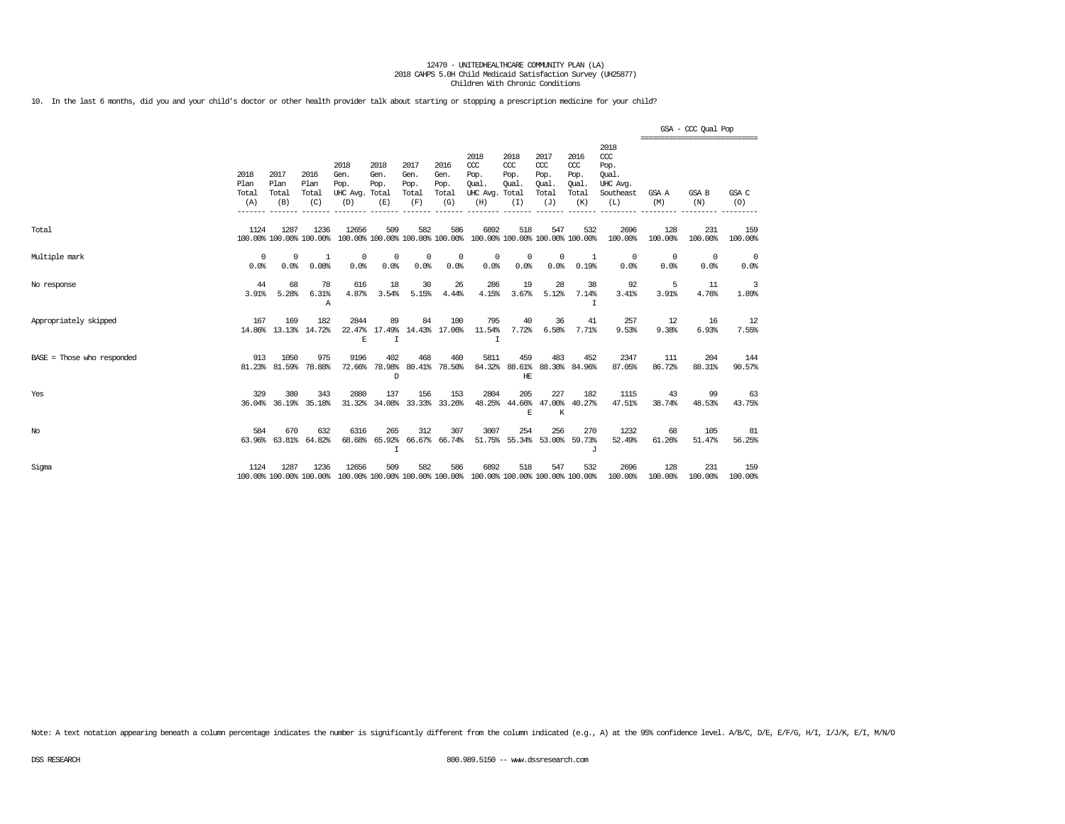10. In the last 6 months, did you and your child's doctor or other health provider talk about starting or stopping a prescription medicine for your child?

|                              |                              |                              |                                 |                                                                                          |                              |                                      |                                      |                                                                         |                                              |                                                   |                                              |                                                              | ---------------------------- | GSA - CCC Qual Pop |                    |
|------------------------------|------------------------------|------------------------------|---------------------------------|------------------------------------------------------------------------------------------|------------------------------|--------------------------------------|--------------------------------------|-------------------------------------------------------------------------|----------------------------------------------|---------------------------------------------------|----------------------------------------------|--------------------------------------------------------------|------------------------------|--------------------|--------------------|
|                              | 2018<br>Plan<br>Total<br>(A) | 2017<br>Plan<br>Total<br>(B) | 2016<br>Plan<br>Total<br>(C)    | 2018<br>Gen.<br>Pop.<br>UHC Avg. Total<br>(D)                                            | 2018<br>Gen.<br>Pop.<br>(E)  | 2017<br>Gen.<br>Pop.<br>Total<br>(F) | 2016<br>Gen.<br>Pop.<br>Total<br>(G) | 2018<br>CCC<br>Pop.<br>Oual.<br>UHC Avg.<br>(H)                         | 2018<br>CCC<br>Pop.<br>Oual.<br>Total<br>(I) | 2017<br>$\alpha$<br>Pop.<br>Oual.<br>Total<br>(J) | 2016<br>ccc<br>Pop.<br>Oual.<br>Total<br>(K) | 2018<br>ccc<br>Pop.<br>Oual.<br>UHC Avg.<br>Southeast<br>(L) | GSA A<br>(M)                 | GSA B<br>(N)       | GSA C<br>(O)       |
| Total                        | 1124                         | 1287                         | 1236<br>100.00% 100.00% 100.00% | 12656                                                                                    | 509                          | 582                                  | 586                                  | 6892<br>100.00% 100.00% 100.00% 100.00% 100.00% 100.00% 100.00% 100.00% | 518                                          | 547                                               | 532                                          | 2696<br>100.00%                                              | 128<br>100.00%               | 231<br>100.00%     | 159<br>100.00%     |
| Multiple mark                | 0<br>0.0%                    | 0<br>0.0%                    | 1<br>0.08%                      | $^{\circ}$<br>0.0%                                                                       | 0<br>0.0%                    | $^{\circ}$<br>0.0%                   | $^{\circ}$<br>0.0%                   | 0<br>0.0%                                                               | 0<br>0.0%                                    | $\mathbf{0}$<br>0.0%                              | 1<br>0.19%                                   | 0<br>0.0%                                                    | $^{\circ}$<br>0.0%           | $^{\circ}$<br>0.0% | $^{\circ}$<br>0.0% |
| No response                  | 44<br>3.91%                  | 68<br>5.28%                  | 78<br>6.31%<br>Α                | 616<br>4.87%                                                                             | 18<br>3.54%                  | 30<br>5.15%                          | 26<br>4.44%                          | 286<br>4.15%                                                            | 19<br>3.67%                                  | 28<br>5.12%                                       | 38<br>7.14%<br>т                             | 92<br>3.41%                                                  | 5<br>3.91%                   | 11<br>4.76%        | 3<br>1.89%         |
| Appropriately skipped        | 167                          | 169                          | 182<br>14.86% 13.13% 14.72%     | 2844<br>E                                                                                | 89<br>22.47% 17.49%<br>T     | 84                                   | 100<br>14.43% 17.06%                 | 795<br>11.54%<br>T                                                      | 40<br>7.72%                                  | 36<br>6.58%                                       | 41<br>7.71%                                  | 257<br>9.53%                                                 | 12<br>9.38%                  | 16<br>6.93%        | 12<br>7.55%        |
| $BASE = Those who responded$ | 913                          | 1050<br>81.23% 81.59%        | 975<br>78.88%                   | 9196<br>72.66%                                                                           | 402<br>78.98%<br>D           | 468                                  | 460<br>80.41% 78.50%                 | 5811                                                                    | 459<br>HE                                    | 483                                               | 452<br>84.32% 88.61% 88.30% 84.96%           | 2347<br>87.05%                                               | 111<br>86.72%                | 204<br>88.31%      | 144<br>90.57%      |
| Yes                          | 329                          | 380<br>36.04% 36.19%         | 343<br>35.18%                   | 2880<br>31.32%                                                                           | 137<br>34.08%                | 156                                  | 153<br>33.33% 33.26%                 | 2804                                                                    | 205<br>E                                     | 227<br>K                                          | 182<br>48.25% 44.66% 47.00% 40.27%           | 1115<br>47.51%                                               | 43<br>38.74%                 | 99<br>48.53%       | 63<br>43.75%       |
| No                           | 584                          | 670<br>63.96% 63.81%         | 632<br>64.82%                   | 6316<br>68.68%                                                                           | 265<br>65.92%<br>$\mathbf I$ | 312                                  | 307<br>66.67% 66.74%                 | 3007                                                                    | 254                                          | 256                                               | 270<br>51.75% 55.34% 53.00% 59.73%<br>J      | 1232<br>52.49%                                               | 68<br>61.26%                 | 105<br>51.47%      | 81<br>56.25%       |
| Sigma                        | 1124                         | 1287                         | 1236                            | 12656<br>100.00% 100.00% 100.00% 100.00% 100.00% 100.00% 100.00% 100.00% 100.00% 100.00% | 509                          | 582                                  | 586                                  | 6892                                                                    | 518                                          | 547                                               | 532                                          | 2696<br>100.00%                                              | 128<br>100.00%               | 231<br>100.00%     | 159<br>100.00%     |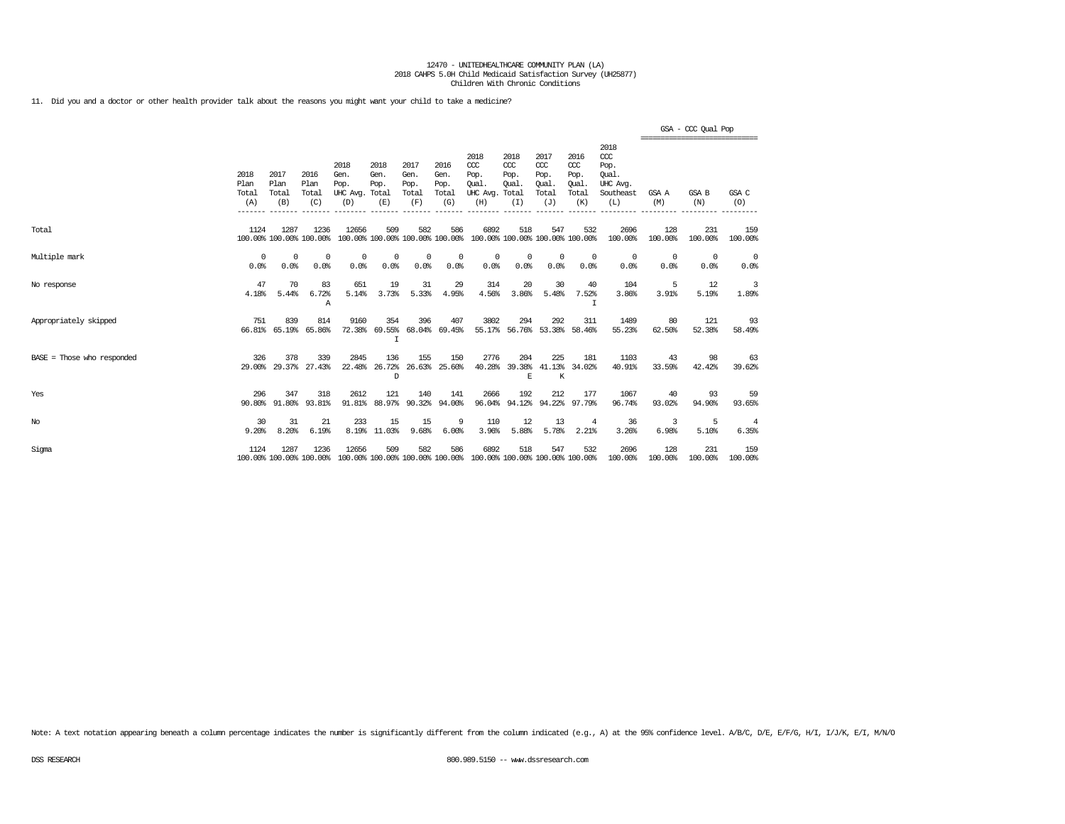11. Did you and a doctor or other health provider talk about the reasons you might want your child to take a medicine?

|                              |                              |                              |                                 |                                                                                          |                                                   |                                      |                                      |                                                                         |                                              |                                                   |                                              |                                                              | ------------------------------- | GSA - CCC Qual Pop |                         |
|------------------------------|------------------------------|------------------------------|---------------------------------|------------------------------------------------------------------------------------------|---------------------------------------------------|--------------------------------------|--------------------------------------|-------------------------------------------------------------------------|----------------------------------------------|---------------------------------------------------|----------------------------------------------|--------------------------------------------------------------|---------------------------------|--------------------|-------------------------|
|                              | 2018<br>Plan<br>Total<br>(A) | 2017<br>Plan<br>Total<br>(B) | 2016<br>Plan<br>Total<br>(C)    | 2018<br>Gen.<br>Pop.<br>UHC Avg. Total<br>(D)                                            | 2018<br>Gen.<br>Pop.<br>(E)                       | 2017<br>Gen.<br>Pop.<br>Total<br>(F) | 2016<br>Gen.<br>Pop.<br>Total<br>(G) | 2018<br>CCC<br>Pop.<br>Oual.<br>UHC Avg. Total<br>(H)                   | 2018<br>$\rm ^{CCC}$<br>Pop.<br>Qual.<br>(I) | 2017<br>$\alpha$<br>Pop.<br>Qual.<br>Total<br>(J) | 2016<br>ccc<br>Pop.<br>Qual.<br>Total<br>(K) | 2018<br>ccc<br>Pop.<br>Oual.<br>UHC Avg.<br>Southeast<br>(L) | GSA A<br>(M)                    | GSA B<br>(N)       | GSA C<br>(0)            |
| Total                        | 1124                         | 1287                         | 1236<br>100.00% 100.00% 100.00% | 12656                                                                                    | 509                                               | 582                                  | 586                                  | 6892<br>100.00% 100.00% 100.00% 100.00% 100.00% 100.00% 100.00% 100.00% | 518                                          | 547                                               | 532                                          | 2696<br>100.00%                                              | 128<br>100.00%                  | 231<br>100.00%     | 159<br>100.00%          |
| Multiple mark                | $\Omega$<br>0.0%             | $^{\circ}$<br>0.0%           | $\Omega$<br>0.0%                | $\Omega$<br>0.0%                                                                         | 0<br>0.0%                                         | $^{\circ}$<br>0.0%                   | 0<br>0.0%                            | $^{\circ}$<br>0.0%                                                      | 0<br>0.0%                                    | $\Omega$<br>0.0%                                  | $^{\circ}$<br>0.0%                           | $^{\circ}$<br>0.0%                                           | $^{\circ}$<br>0.0%              | $\Omega$<br>0.0%   | $^{\circ}$<br>0.0%      |
| No response                  | 47<br>4.18%                  | 70<br>5.44%                  | 83<br>6.72%<br>Α                | 651<br>5.14%                                                                             | 19<br>3.73%                                       | 31<br>5.33%                          | 29<br>4.95%                          | 314<br>4.56%                                                            | 20<br>3.86%                                  | 30<br>5.48%                                       | 40<br>7.52%<br>$\mathsf{T}$                  | 104<br>3.86%                                                 | -5<br>3.91%                     | 12<br>5.19%        | 3<br>1.89%              |
| Appropriately skipped        | 751                          | 839<br>66.81% 65.19%         | 814<br>65.86%                   | 9160                                                                                     | 354<br>72.38% 69.55% 68.04% 69.45%<br>$\mathbf I$ | 396                                  | 407                                  | 3802                                                                    | 294                                          | 292<br>55.17% 56.76% 53.38% 58.46%                | 311                                          | 1489<br>55.23%                                               | 80<br>62.50%                    | 121<br>52.38%      | 93<br>58.49%            |
| $BASE = Those who responded$ | 326<br>29.00%                | 378                          | 339<br>29.37% 27.43%            | 2845                                                                                     | 136<br>22.48% 26.72%<br>D                         | 155                                  | 150<br>26.63% 25.60%                 | 2776<br>40.28%                                                          | 204<br>E                                     | 225<br>$\,$ K                                     | 181<br>39.38% 41.13% 34.02%                  | 1103<br>40.91%                                               | 43<br>33.59%                    | 98<br>42.42%       | 63<br>39.62%            |
| Yes                          | 296<br>90.80%                | 347<br>91.80%                | 318<br>93.81%                   | 2612<br>91.81%                                                                           | 121                                               | 140<br>88.97% 90.32% 94.00%          | 141                                  | 2666<br>96.04%                                                          | 192                                          | 212                                               | 177<br>94.12% 94.22% 97.79%                  | 1067<br>96.74%                                               | 40<br>93.02%                    | 93<br>94.90%       | 59<br>93.65%            |
| $_{\mathrm{No}}$             | 30<br>9.20%                  | 31<br>8.20%                  | 21<br>6.19%                     | 233                                                                                      | 15<br>8.19% 11.03%                                | 15<br>9.68%                          | 9<br>6.00%                           | 110<br>3.96%                                                            | 12<br>5.88%                                  | 13<br>5.78%                                       | $\overline{4}$<br>2.21%                      | 36<br>3.26%                                                  | 3<br>6.98%                      | 5<br>5.10%         | $\overline{4}$<br>6.35% |
| Sigma                        | 1124                         | 1287                         | 1236                            | 12656<br>100.00% 100.00% 100.00% 100.00% 100.00% 100.00% 100.00% 100.00% 100.00% 100.00% | 509                                               | 582                                  | 586                                  | 6892                                                                    | 518                                          | 547                                               | 532                                          | 2696<br>100.00%                                              | 128<br>100.00%                  | 231<br>100.00%     | 159<br>100.00%          |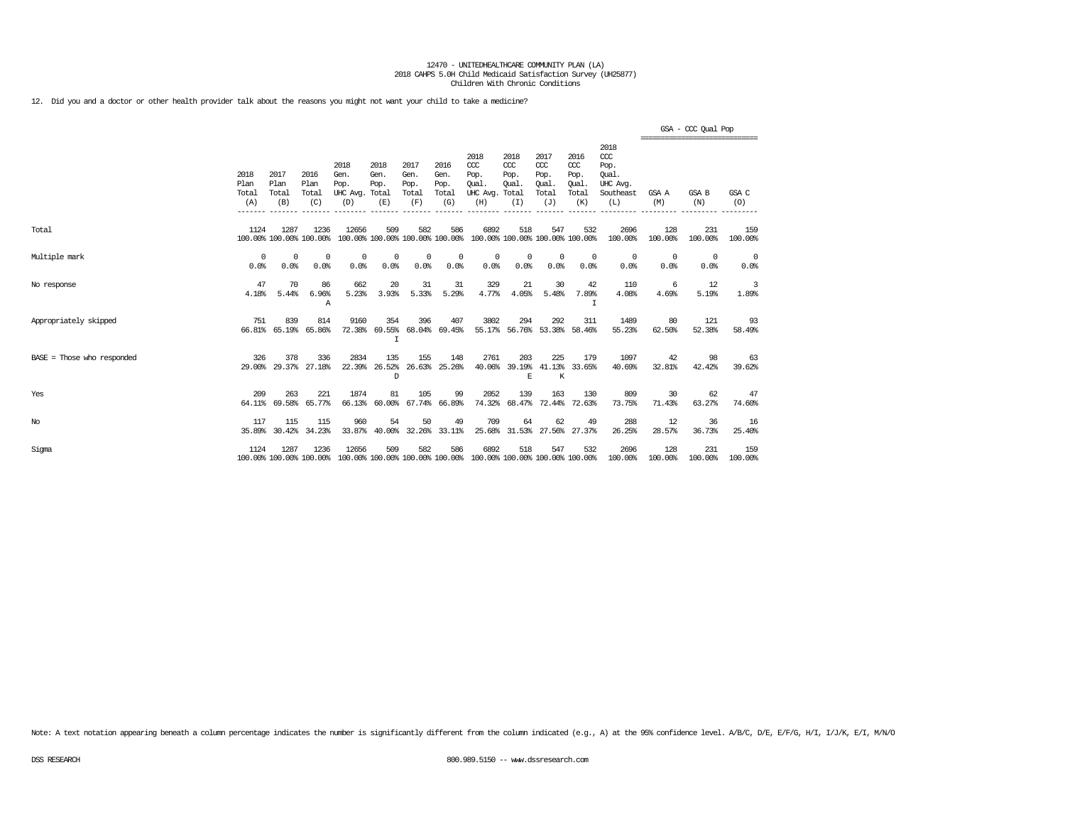12. Did you and a doctor or other health provider talk about the reasons you might not want your child to take a medicine?

|                              |                              |                              |                                 |                                                                                          |                                                   |                                      |                                      |                                                                         |                                     |                                                   |                                              |                                                              |                    | GSA - CCC Qual Pop<br>------------------------------- |                    |
|------------------------------|------------------------------|------------------------------|---------------------------------|------------------------------------------------------------------------------------------|---------------------------------------------------|--------------------------------------|--------------------------------------|-------------------------------------------------------------------------|-------------------------------------|---------------------------------------------------|----------------------------------------------|--------------------------------------------------------------|--------------------|-------------------------------------------------------|--------------------|
|                              | 2018<br>Plan<br>Total<br>(A) | 2017<br>Plan<br>Total<br>(B) | 2016<br>Plan<br>Total<br>(C)    | 2018<br>Gen.<br>Pop.<br>UHC Avg. Total<br>(D)                                            | 2018<br>Gen.<br>Pop.<br>(E)                       | 2017<br>Gen.<br>Pop.<br>Total<br>(F) | 2016<br>Gen.<br>Pop.<br>Total<br>(G) | 2018<br>CCC<br>Pop.<br><b>Oual</b><br>UHC Avg. Total<br>(H)             | 2018<br>ccc<br>Pop.<br>Qual.<br>(I) | 2017<br>$\alpha$<br>Pop.<br>Qual.<br>Total<br>(J) | 2016<br>ccc<br>Pop.<br>Qual.<br>Total<br>(K) | 2018<br>ccc<br>Pop.<br>Oual.<br>UHC Avg.<br>Southeast<br>(L) | GSA A<br>(M)       | GSA B<br>(N)                                          | GSA C<br>(0)       |
| Total                        | 1124                         | 1287                         | 1236<br>100.00% 100.00% 100.00% | 12656                                                                                    | 509                                               | 582                                  | 586                                  | 6892<br>100.00% 100.00% 100.00% 100.00% 100.00% 100.00% 100.00% 100.00% | 518                                 | 547                                               | 532                                          | 2696<br>100.00%                                              | 128<br>100.00%     | 231<br>100.00%                                        | 159<br>100.00%     |
| Multiple mark                | $\Omega$<br>0.0%             | $^{\circ}$<br>0.0%           | $\Omega$<br>0.0%                | $^{\circ}$<br>0.0%                                                                       | 0<br>0.0%                                         | $^{\circ}$<br>0.0%                   | 0<br>0.0%                            | $^{\circ}$<br>0.0%                                                      | 0<br>0.0%                           | $\Omega$<br>0.0%                                  | $^{\circ}$<br>0.0%                           | $^{\circ}$<br>0.0%                                           | $^{\circ}$<br>0.0% | $\Omega$<br>0.0%                                      | $^{\circ}$<br>0.0% |
| No response                  | 47<br>4.18%                  | 70<br>5.44%                  | 86<br>6.96%<br>Α                | 662<br>5.23%                                                                             | 20<br>3.93%                                       | 31<br>5.33%                          | 31<br>5.29%                          | 329<br>4.77%                                                            | 21<br>4.05%                         | 30<br>5.48%                                       | 42<br>7.89%<br>$\mathsf{T}$                  | 110<br>4.08%                                                 | -6<br>4.69%        | 12<br>5.19%                                           | 3<br>1.89%         |
| Appropriately skipped        | 751<br>66.81%                | 839<br>65.19%                | 814<br>65.86%                   | 9160                                                                                     | 354<br>72.38% 69.55% 68.04% 69.45%<br>$\mathbf I$ | 396                                  | 407                                  | 3802                                                                    | 294                                 | 292                                               | 311<br>55.17% 56.76% 53.38% 58.46%           | 1489<br>55.23%                                               | 80<br>62.50%       | 121<br>52.38%                                         | 93<br>58.49%       |
| $BASE = Those who responded$ | 326<br>29,00%                | 378<br>29.37%                | 336<br>27.18%                   | 2834                                                                                     | 135<br>22.39% 26.52%<br>D                         | 155                                  | 148<br>26.63% 25.26%                 | 2761<br>40.06%                                                          | 203<br>E                            | 225<br>$\,$ K                                     | 179<br>39.19% 41.13% 33.65%                  | 1097<br>40.69%                                               | 42<br>32.81%       | 98<br>42.42%                                          | 63<br>39.62%       |
| Yes                          | 209<br>64.11%                | 263<br>69.58%                | 221<br>65.77%                   | 1874<br>66.13%                                                                           | 81<br>$60.00$ <sup>\$</sup>                       | 105                                  | 99<br>67.74% 66.89%                  | 2052<br>74.32%                                                          | 139                                 | 163                                               | 130<br>68.47% 72.44% 72.63%                  | 809<br>73.75%                                                | 30<br>71.43%       | 62<br>63.27%                                          | 47<br>74.60%       |
| $_{\mathrm{No}}$             | 117<br>35.89%                | 115<br>30.42%                | 115<br>34.23%                   | 960<br>33.87%                                                                            | 54<br>40.00%                                      | 50                                   | 49<br>32.26% 33.11%                  | 709<br>25.68%                                                           | 64                                  | 62                                                | 49<br>31.53% 27.56% 27.37%                   | 288<br>26.25%                                                | 12<br>28.57%       | 36<br>36.73%                                          | 16<br>25.40%       |
| Sigma                        | 1124                         | 1287                         | 1236                            | 12656<br>100.00% 100.00% 100.00% 100.00% 100.00% 100.00% 100.00% 100.00% 100.00% 100.00% | 509                                               | 582                                  | 586                                  | 6892                                                                    | 518                                 | 547                                               | 532                                          | 2696<br>100.00%                                              | 128<br>100.00%     | 231<br>100.00%                                        | 159<br>100.00%     |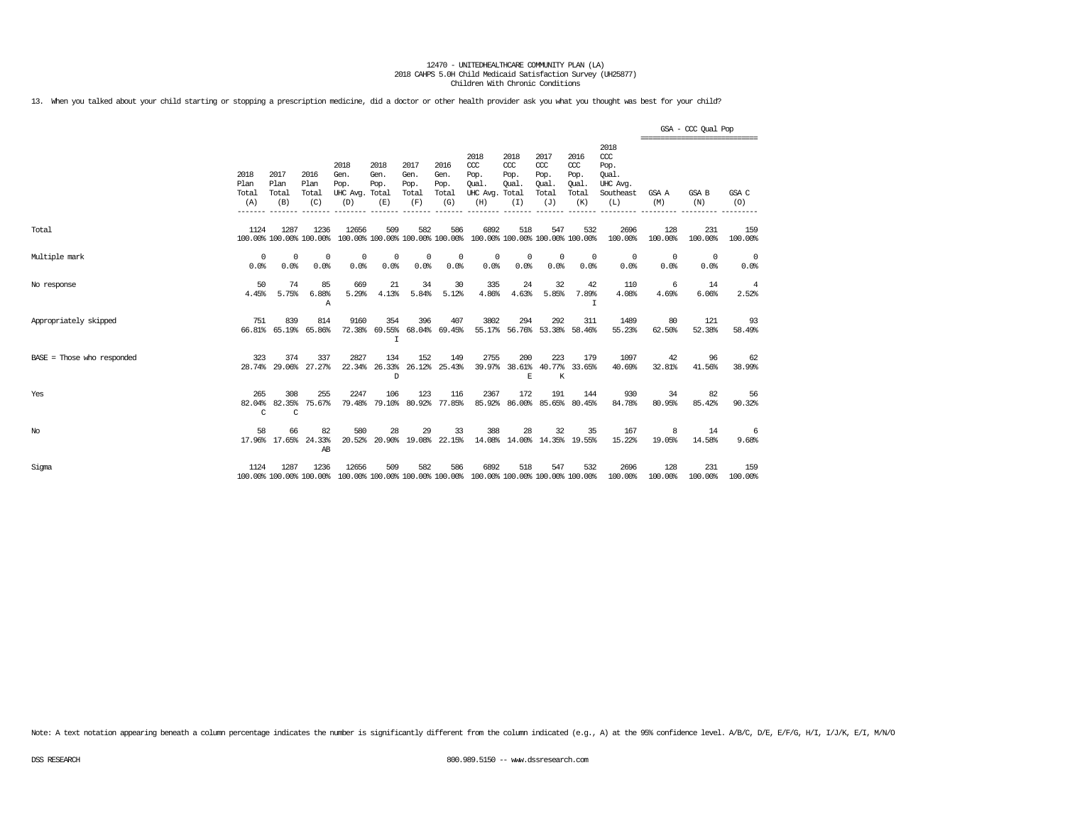13. When you talked about your child starting or stopping a prescription medicine, did a doctor or other health provider ask you what you thought was best for your child?

|                              |                               |                                |                                 |                                                                                          |                             |                                      |                                        |                                                       |                                     |                                                   |                                              |                                                                   | =============================== | GSA - CCC Qual Pop |                    |
|------------------------------|-------------------------------|--------------------------------|---------------------------------|------------------------------------------------------------------------------------------|-----------------------------|--------------------------------------|----------------------------------------|-------------------------------------------------------|-------------------------------------|---------------------------------------------------|----------------------------------------------|-------------------------------------------------------------------|---------------------------------|--------------------|--------------------|
|                              | 2018<br>Plan<br>Total<br>(A)  | 2017<br>Plan<br>Total<br>(B)   | 2016<br>Plan<br>Total<br>(C)    | 2018<br>Gen.<br>Pop.<br>UHC Avg. Total<br>(D)                                            | 2018<br>Gen.<br>Pop.<br>(E) | 2017<br>Gen.<br>Pop.<br>Total<br>(F) | 2016<br>Gen.<br>Pop.<br>Total<br>(G)   | 2018<br>CCC<br>Pop.<br>Oual.<br>UHC Avg. Total<br>(H) | 2018<br>CCC<br>Pop.<br>Oual.<br>(I) | 2017<br>$\alpha$<br>Pop.<br>Oual.<br>Total<br>(J) | 2016<br>ccc<br>Pop.<br>Qual.<br>Total<br>(K) | 2018<br>$\alpha$<br>Pop.<br>Oual.<br>UHC Avg.<br>Southeast<br>(L) | GSA A<br>(M)                    | GSA B<br>(N)       | GSA C<br>(O)       |
| Total                        | 1124                          | 1287                           | 1236<br>100.00% 100.00% 100.00% | 12656                                                                                    | 509                         | 582                                  | 586<br>100.00% 100.00% 100.00% 100.00% | 6892<br>100.00% 100.00% 100.00% 100.00%               | 518                                 | 547                                               | 532                                          | 2696<br>100.00%                                                   | 128<br>100.00%                  | 231<br>100.00%     | 159<br>100.00%     |
| Multiple mark                | $\Omega$<br>0.0%              | $\Omega$<br>0.0%               | $\Omega$<br>0.0%                | 0<br>0.0%                                                                                | 0<br>0.0%                   | $^{\circ}$<br>0.0%                   | $^{\circ}$<br>0.0%                     | 0<br>0.0%                                             | 0<br>0.0%                           | $\mathbf 0$<br>0.0%                               | $^{\circ}$<br>0.0%                           | 0<br>0.0%                                                         | 0<br>0.0%                       | 0<br>0.0%          | $^{\circ}$<br>0.0% |
| No response                  | 50<br>4.45%                   | 74<br>5.75%                    | 85<br>6.88%<br>Α                | 669<br>5.29%                                                                             | 21<br>4.13%                 | 34<br>5.84%                          | 30<br>5.12%                            | 335<br>4.86%                                          | 24<br>4.63%                         | 32<br>5.85%                                       | 42<br>7.89%<br>I                             | 110<br>4.08%                                                      | -6<br>4.69%                     | 14<br>6.06%        | 4<br>2.52%         |
| Appropriately skipped        | 751<br>66.81%                 | 839<br>65.19%                  | 814<br>65.86%                   | 9160<br>72.38%                                                                           | 354<br>69.55%<br>I.         | 396                                  | 407<br>68.04% 69.45%                   | 3802                                                  | 294                                 | 292                                               | 311<br>55.17% 56.76% 53.38% 58.46%           | 1489<br>55.23%                                                    | 80<br>62.50%                    | 121<br>52.38%      | 93<br>58.49%       |
| $BASE = Those who responded$ | 323                           | 374                            | 337<br>28.74% 29.06% 27.27%     | 2827<br>22.34%                                                                           | 134<br>26.33%<br>D          | 152                                  | 149<br>26.12% 25.43%                   | 2755                                                  | 200<br>E                            | 223<br>K                                          | 179<br>39.97% 38.61% 40.77% 33.65%           | 1097<br>40.69%                                                    | 42<br>32.81%                    | 96<br>41.56%       | 62<br>38.99%       |
| Yes                          | 265<br>82.04%<br>$\mathsf{C}$ | 308<br>82.35%<br>$\mathcal{C}$ | 255<br>75.67%                   | 2247<br>79.48%                                                                           | 106<br>79.10%               | 123                                  | 116<br>80.92% 77.85%                   | 2367<br>85.92%                                        | 172<br>86.00%                       | 191                                               | 144<br>85.65% 80.45%                         | 930<br>84.78%                                                     | 34<br>80.95%                    | 82<br>85.42%       | 56<br>90.32%       |
| $_{\mathrm{No}}$             | 58                            | 66<br>17.96% 17.65%            | 82<br>24.33%<br>AB              | 580<br>20.52%                                                                            | 28                          | 29                                   | 33<br>20.90% 19.08% 22.15%             | 388                                                   | 28                                  | 32                                                | 35<br>14.08% 14.00% 14.35% 19.55%            | 167<br>15.22%                                                     | 8<br>19.05%                     | 14<br>14.58%       | -6<br>9.68%        |
| Sigma                        | 1124                          | 1287                           | 1236                            | 12656<br>100.00% 100.00% 100.00% 100.00% 100.00% 100.00% 100.00% 100.00% 100.00% 100.00% | 509                         | 582                                  | 586                                    | 6892                                                  | 518                                 | 547                                               | 532                                          | 2696<br>100.00%                                                   | 128<br>100.00%                  | 231<br>100.00%     | 159<br>100.00%     |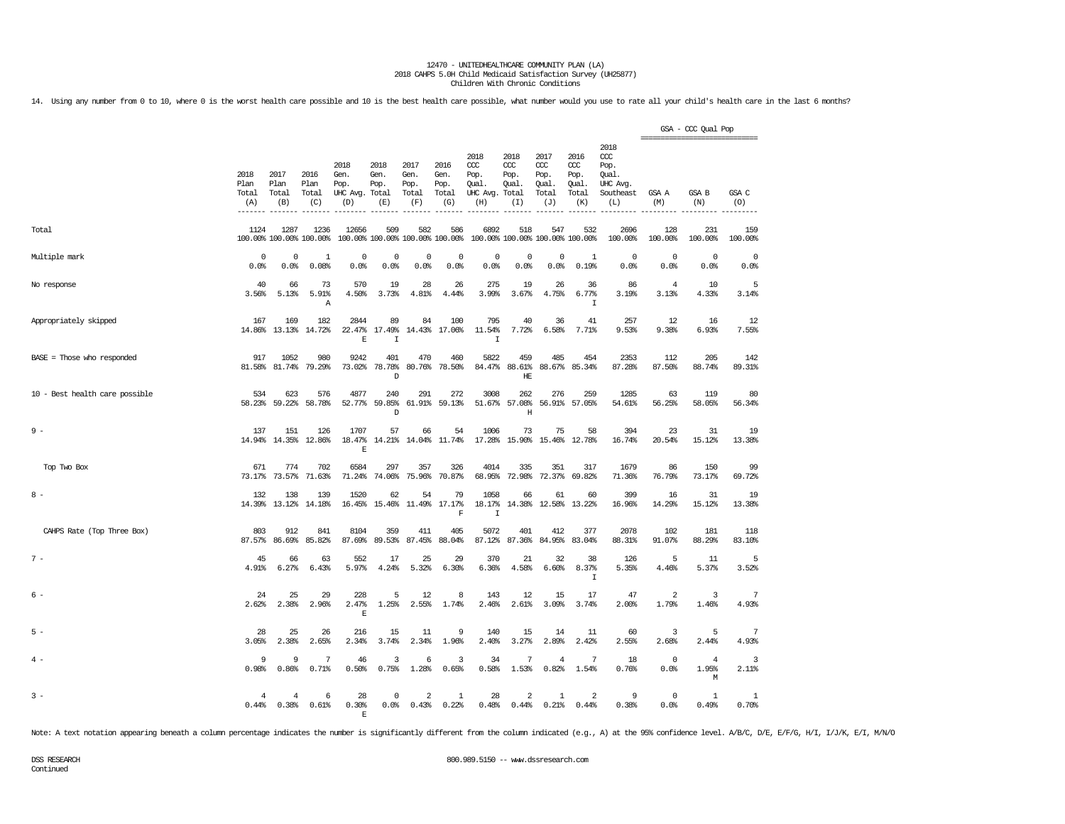14. Using any number from 0 to 10, where 0 is the worst health care possible and 10 is the best health care possible, what number would you use to rate all your child's health care in the last 6 months?

|                                |                              |                                 |                              |                                               |                              |                                        |                                      |                                                       |                                        |                                              |                                              |                                                              | =============================== | GSA - CCC Qual Pop           |                         |
|--------------------------------|------------------------------|---------------------------------|------------------------------|-----------------------------------------------|------------------------------|----------------------------------------|--------------------------------------|-------------------------------------------------------|----------------------------------------|----------------------------------------------|----------------------------------------------|--------------------------------------------------------------|---------------------------------|------------------------------|-------------------------|
|                                | 2018<br>Plan<br>Total<br>(A) | 2017<br>Plan<br>Total<br>(B)    | 2016<br>Plan<br>Total<br>(C) | 2018<br>Gen.<br>Pop.<br>UHC Avg. Total<br>(D) | 2018<br>Gen.<br>Pop.<br>(E)  | 2017<br>Gen.<br>Pop.<br>Total<br>(F)   | 2016<br>Gen.<br>Pop.<br>Total<br>(G) | 2018<br>ccc<br>Pop.<br>Oual.<br>UHC Avg. Total<br>(H) | 2018<br>ccc<br>Pop.<br>Oual.<br>(I)    | 2017<br>ccc<br>Pop.<br>Oual.<br>Total<br>(J) | 2016<br>ccc<br>Pop.<br>Oual.<br>Total<br>(K) | 2018<br>ccc<br>Pop.<br>Oual.<br>UHC Avg.<br>Southeast<br>(L) | GSA A<br>(M)                    | <b>GSA B</b><br>(N)          | GSA C<br>(O)            |
| Total                          | 1124                         | 1287<br>100.00% 100.00% 100.00% | 1236                         | 12656                                         | 509                          | 582<br>100.00% 100.00% 100.00% 100.00% | 586                                  | 6892                                                  | 518<br>100.00% 100.00% 100.00% 100.00% | 547                                          | 532                                          | 2696<br>100.00%                                              | 128<br>100.00%                  | 231<br>100.00%               | 159<br>100.00%          |
| Multiple mark                  | $\Omega$<br>0.0%             | $\Omega$<br>0.0%                | $\mathbf{1}$<br>0.08%        | $^{\circ}$<br>0.0%                            | $\mathbf 0$<br>0.0%          | $\mathbf 0$<br>0.0%                    | $\mathbf 0$<br>0.0%                  | $\mathbf 0$<br>0.0%                                   | $\overline{0}$<br>0.0%                 | $\Omega$<br>$0.0$ %                          | $\mathbf{1}$<br>0.19%                        | $\circ$<br>0.0%                                              | $\mathbf 0$<br>0.0%             | $\circ$<br>0.0%              | $\mathbf 0$<br>0.0%     |
| No response                    | 40<br>3.56%                  | 66<br>5.13%                     | 73<br>5.91%<br>$\mathbb{A}$  | 570<br>4.50%                                  | 19<br>3.73%                  | 28<br>4.81%                            | 26<br>4.44%                          | 275<br>3.99%                                          | 19<br>3.67%                            | 26<br>4.75%                                  | 36<br>6.77%<br>$\mathbf I$                   | 86<br>3.19%                                                  | 4<br>3.13%                      | 10<br>4.33%                  | 5<br>3.14%              |
| Appropriately skipped          | 167<br>14.86%                | 169<br>13.13%                   | 182<br>14.72%                | 2844<br>22.47%<br>$\mathbf E$                 | 89<br>17.49%<br>I            | 84<br>14.43%                           | 100<br>17.06%                        | 795<br>11.54%<br>$\mathbf I$                          | 40<br>7.72%                            | 36<br>6.58%                                  | 41<br>7.71%                                  | 257<br>9.53%                                                 | 12<br>9.38%                     | 16<br>6.93%                  | 12<br>7.55%             |
| $BASE = Those who responded$   | 917<br>81.58%                | 1052<br>81.74%                  | 980<br>79.29%                | 9242<br>73.02%                                | 401<br>78.78%<br>$\mathbb D$ | 470                                    | 460<br>80.76% 78.50%                 | 5822<br>84.47%                                        | 459<br>88.61%<br>HE                    | 485                                          | 454<br>88.67% 85.34%                         | 2353<br>87.28%                                               | 112<br>87.50%                   | 205<br>88.74%                | 142<br>89.31%           |
| 10 - Best health care possible | 534<br>58.23%                | 623<br>59.22%                   | 576<br>58.78%                | 4877<br>52.77%                                | 240<br>59.85%<br>D           | 291                                    | 272<br>61.91% 59.13%                 | 3008<br>51.67%                                        | 262<br>57.08%<br>$\rm H$               | 276                                          | 259<br>56.91% 57.05%                         | 1285<br>54.61%                                               | 63<br>56.25%                    | 119<br>58.05%                | 80<br>56.34%            |
| $9 -$                          | 137<br>14.94%                | 151                             | 126<br>14.35% 12.86%         | 1707<br>18.47%<br>E                           | 57                           | 66<br>14.21% 14.04% 11.74%             | 54                                   | 1006                                                  | 73<br>17.28% 15.90% 15.46% 12.78%      | 75                                           | 58                                           | 394<br>16.74%                                                | 23<br>20.54%                    | 31<br>15.12%                 | 19<br>13.38%            |
| Top Two Box                    | 671<br>73.17%                | 774<br>73.57%                   | 702<br>71.63%                | 6584<br>71.24%                                | 297<br>74.06%                | 357<br>75.96%                          | 326<br>70.87%                        | 4014<br>68.95%                                        | 335<br>72.98%                          | 351<br>72.37%                                | 317<br>69.82%                                | 1679<br>71.36%                                               | 86<br>76.79%                    | 150<br>73.17%                | 99<br>69.72%            |
| $8 -$                          | 132                          | 138<br>14.39% 13.12%            | 139<br>14.18%                | 1520                                          | 62<br>16.45% 15.46%          | 54                                     | 79<br>11.49% 17.17%<br>F             | 1058<br>18.17%<br>$\mathbf I$                         | 66                                     | 61<br>14.38% 12.58%                          | 60<br>13.22%                                 | 399<br>16.96%                                                | 16<br>14.29%                    | 31<br>15.12%                 | 19<br>13.38%            |
| CAHPS Rate (Top Three Box)     | 803<br>87.57%                | 912<br>86.69%                   | 841<br>85.82%                | 8104<br>87.69%                                | 359<br>89.53%                | 411<br>87.45%                          | 405<br>88.04%                        | 5072<br>87.12%                                        | 401<br>87.36%                          | 412<br>84.95%                                | 377<br>83.04%                                | 2078<br>88.31%                                               | 102<br>91.07%                   | 181<br>88.29%                | 118<br>83.10%           |
| $7 -$                          | 45<br>4.91%                  | 66<br>6.27%                     | 63<br>6.43%                  | 552<br>5.97%                                  | 17<br>4.24%                  | 25<br>5.32%                            | 29<br>6.30%                          | 370<br>6.36%                                          | 21<br>4.58%                            | 32<br>6.60%                                  | 38<br>8.37%<br>I                             | 126<br>5.35%                                                 | 5<br>4.46%                      | 11<br>5.37%                  | 5<br>3.52%              |
| 6 -                            | 24<br>2.62%                  | 25<br>2.38%                     | 29<br>2.96%                  | 228<br>2.47%<br>$\mathbf{E}% _{0}$            | 5<br>1.25%                   | 12<br>2.55%                            | 8<br>1.74%                           | 143<br>2.46%                                          | 12<br>2.61%                            | 15<br>3.09%                                  | 17<br>3.74%                                  | 47<br>2.00%                                                  | 2<br>1.79%                      | 3<br>1.46%                   | 7<br>4.93%              |
| $5 -$                          | 28<br>3.05%                  | 25<br>2.38%                     | 26<br>2.65%                  | 216<br>2.34%                                  | 15<br>3.74%                  | 11<br>2.34%                            | 9<br>1.96%                           | 140<br>2.40%                                          | 15<br>3.27%                            | 14<br>2.89%                                  | 11<br>2.42%                                  | 60<br>2.55%                                                  | 3<br>2.68%                      | 5<br>2.44%                   | 7<br>4.93%              |
| $4 -$                          | 9<br>0.98%                   | 9<br>0.86%                      | 7<br>0.71%                   | 46<br>0.50%                                   | 3<br>0.75%                   | 6<br>1.28%                             | 3<br>0.65%                           | 34<br>0.58%                                           | 7<br>1.53%                             | $\overline{4}$<br>0.82%                      | 7<br>1.54%                                   | 18<br>0.76%                                                  | $\mathbf{0}$<br>0.0%            | $\overline{4}$<br>1.95%<br>М | 3<br>2.11%              |
| $3 -$                          | 4<br>0.44%                   | $\overline{4}$<br>0.38%         | 6<br>0.61%                   | 28<br>0.30%<br>Е                              | $^{\circ}$<br>0.0%           | $\overline{a}$<br>0.43%                | 1<br>0.22%                           | 28<br>0.48%                                           | $\overline{a}$<br>0.44%                | 1<br>0.21%                                   | $\overline{2}$<br>0.44%                      | 9<br>0.38%                                                   | $\mathbf 0$<br>0.0%             | $\mathbf{1}$<br>0.49%        | $\overline{1}$<br>0.70% |

Note: A text notation appearing beneath a column percentage indicates the number is significantly different from the column indicated (e.g., A) at the 95% confidence level. A/B/C, D/E, E/F/G, H/I, I/J/K, E/I, M/N/O

Continued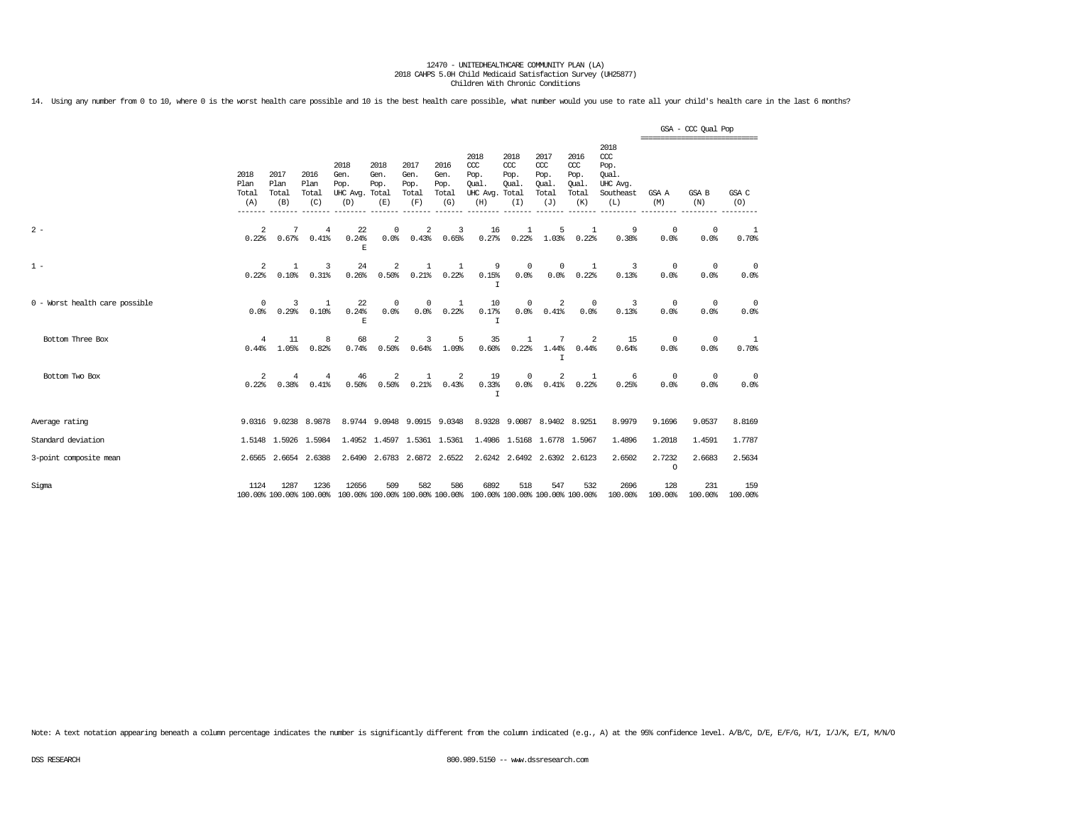14. Using any number from 0 to 10, where 0 is the worst health care possible and 10 is the best health care possible, what number would you use to rate all your child's health care in the last 6 months?

|                                |                              |                              |                                 |                                         |                                      |                                      |                                      |                                                                         |                                     |                                              |                                              |                                                                 | ================================ | GSA - CCC Qual Pop |                |
|--------------------------------|------------------------------|------------------------------|---------------------------------|-----------------------------------------|--------------------------------------|--------------------------------------|--------------------------------------|-------------------------------------------------------------------------|-------------------------------------|----------------------------------------------|----------------------------------------------|-----------------------------------------------------------------|----------------------------------|--------------------|----------------|
|                                | 2018<br>Plan<br>Total<br>(A) | 2017<br>Plan<br>Total<br>(B) | 2016<br>Plan<br>Total<br>(C)    | 2018<br>Gen.<br>Pop.<br>UHC Avg.<br>(D) | 2018<br>Gen.<br>Pop.<br>Total<br>(E) | 2017<br>Gen.<br>Pop.<br>Total<br>(F) | 2016<br>Gen.<br>Pop.<br>Total<br>(G) | 2018<br>CCC<br>Pop.<br>Oual.<br>UHC Avg. Total<br>(H)                   | 2018<br>CCC<br>Pop.<br>Oual.<br>(I) | 2017<br>ccc<br>Pop.<br>Qual.<br>Total<br>(J) | 2016<br>ccc<br>Pop.<br>Oual.<br>Total<br>(K) | 2018<br>$\csc$<br>Pop.<br>Oual.<br>UHC Avg.<br>Southeast<br>(L) | GSA A<br>(M)                     | GSA B<br>(N)       | GSA C<br>(O)   |
| $2 -$                          | $\overline{a}$<br>0.22%      | 7<br>0.67%                   | 4<br>0.41%                      | 22<br>0.24%<br>E                        | 0<br>0.0%                            | $\overline{\mathbf{c}}$<br>0.43%     | 3<br>0.65%                           | 16<br>0.27%                                                             | 0.22%                               | 5<br>1.03%                                   | $\mathbf{1}$<br>0.22%                        | 9<br>0.38%                                                      | 0<br>0.0%                        | $^{\circ}$<br>0.0% | 1<br>0.70%     |
| $1 -$                          | 2<br>0.22%                   | $\mathbf{1}$<br>0.10%        | 3<br>0.31%                      | 24<br>0.26%                             | 2<br>0.50%                           | 1<br>0.21%                           | 1<br>0.22%                           | 9<br>0.15%<br>I                                                         | $^{\circ}$<br>0.0%                  | $^{\circ}$<br>0.0%                           | 1<br>0.22%                                   | 3<br>0.13%                                                      | $^{\circ}$<br>0.0%               | 0<br>0.0%          | 0<br>0.0%      |
| 0 - Worst health care possible | 0<br>0.0%                    | 3<br>0.29%                   | 1<br>0.10%                      | 22<br>0.24%<br>E                        | $^{\circ}$<br>0.0%                   | $^{\circ}$<br>0.0%                   | 1<br>0.22%                           | 10<br>0.17%<br>I                                                        | $^{\circ}$<br>0.0%                  | 2<br>0.41%                                   | $\mathbf{0}$<br>0.0%                         | 3<br>0.13%                                                      | $^{\circ}$<br>0.0%               | 0<br>0.0%          | 0<br>0.0%      |
| Bottom Three Box               | 4<br>0.44%                   | 11<br>1.05%                  | 8<br>0.82%                      | 68<br>0.74%                             | 2<br>0.50%                           | 3<br>0.64%                           | 5<br>1.09%                           | 35<br>0.60%                                                             | $\mathbf{1}$<br>0.22%               | 7<br>1.44%<br>T                              | 2<br>0.44%                                   | 15<br>0.64%                                                     | $^{\circ}$<br>0.0%               | 0<br>0.0%          | 1<br>0.70%     |
| Bottom Two Box                 | 2<br>0.22%                   | 4<br>0.38%                   | 4<br>0.41%                      | 46<br>0.50%                             | 2<br>0.50%                           | $\mathbf{1}$<br>0.21%                | 2<br>0.43%                           | 19<br>0.33%<br>$\top$                                                   | $\Omega$<br>0.0%                    | 2<br>0.41%                                   | 1<br>0.22%                                   | 6<br>0.25%                                                      | $^{\circ}$<br>0.0%               | 0<br>0.0%          | 0<br>0.0%      |
| Average rating                 |                              |                              | 9.0316 9.0238 8.9878            |                                         |                                      |                                      | 8.9744 9.0948 9.0915 9.0348          |                                                                         |                                     | 8.9328 9.0087 8.9402 8.9251                  |                                              | 8.9979                                                          | 9.1696                           | 9.0537             | 8.8169         |
| Standard deviation             |                              | 1.5148 1.5926                | 1.5984                          |                                         | 1.4952 1.4597 1.5361 1.5361          |                                      |                                      |                                                                         |                                     | 1.4986 1.5168 1.6778 1.5967                  |                                              | 1,4896                                                          | 1,2018                           | 1.4591             | 1,7787         |
| 3-point composite mean         |                              | 2.6565 2.6654                | 2.6388                          | 2.6490                                  |                                      |                                      | 2.6783 2.6872 2.6522                 |                                                                         |                                     | 2.6242 2.6492 2.6392 2.6123                  |                                              | 2.6502                                                          | 2.7232<br>$\circ$                | 2.6683             | 2.5634         |
| Sigma                          | 1124                         | 1287                         | 1236<br>100.00% 100.00% 100.00% | 12656                                   | 509                                  | 582                                  | 586                                  | 6892<br>100.00% 100.00% 100.00% 100.00% 100.00% 100.00% 100.00% 100.00% | 518                                 | 547                                          | 532                                          | 2696<br>100.00%                                                 | 128<br>100.00%                   | 231<br>100.00%     | 159<br>100.00% |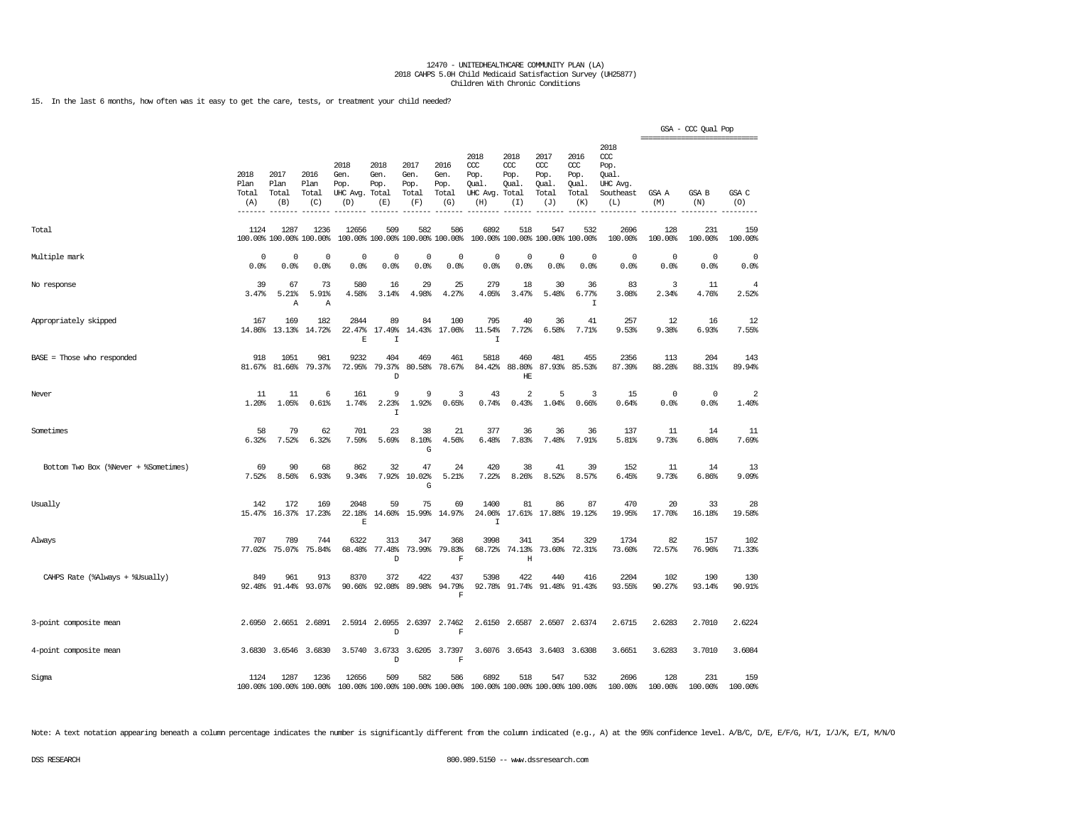15. In the last 6 months, how often was it easy to get the care, tests, or treatment your child needed?

|                                      |                              |                              |                                 |                                          |                                        |                                      |                                      |                                                       |                                     |                                              |                                              |                                                              | =============================== | GSA - CCC Qual Pop  |                                  |
|--------------------------------------|------------------------------|------------------------------|---------------------------------|------------------------------------------|----------------------------------------|--------------------------------------|--------------------------------------|-------------------------------------------------------|-------------------------------------|----------------------------------------------|----------------------------------------------|--------------------------------------------------------------|---------------------------------|---------------------|----------------------------------|
|                                      | 2018<br>Plan<br>Total<br>(A) | 2017<br>Plan<br>Total<br>(B) | 2016<br>Plan<br>Total<br>(C)    | 2018<br>Gen.<br>Pop.<br>UHC Avg.<br>(D)  | 2018<br>Gen.<br>Pop.<br>Total<br>(E)   | 2017<br>Gen.<br>Pop.<br>Total<br>(F) | 2016<br>Gen.<br>Pop.<br>Total<br>(G) | 2018<br>ccc<br>Pop.<br>Qual.<br>UHC Avg. Total<br>(H) | 2018<br>ccc<br>Pop.<br>Oual.<br>(I) | 2017<br>ccc<br>Pop.<br>Qual.<br>Total<br>(J) | 2016<br>ccc<br>Pop.<br>Qual.<br>Total<br>(K) | 2018<br>ccc<br>Pop.<br>Qual.<br>UHC Avg.<br>Southeast<br>(L) | GSA A<br>(M)                    | GSA B<br>(N)        | GSA C<br>(O)                     |
| Total                                | 1124                         | 1287                         | 1236<br>100.00% 100.00% 100.00% | 12656                                    | 509<br>100.00% 100.00% 100.00% 100.00% | 582                                  | 586                                  | 6892                                                  | 518                                 | 547<br>100.00% 100.00% 100.00% 100.00%       | 532                                          | 2696<br>100.00%                                              | 128<br>100.00%                  | 231<br>100.00%      | 159<br>100.00%                   |
| Multiple mark                        | 0<br>0.0%                    | 0<br>0.0%                    | 0<br>0.0%                       | $\mathbf 0$<br>0.0%                      | 0<br>0.0%                              | $\mathbf 0$<br>0.0%                  | 0<br>0.0%                            | 0<br>0.0%                                             | 0<br>0.0%                           | 0<br>0.0%                                    | $\circ$<br>0.0%                              | $^{\circ}$<br>0.0%                                           | 0<br>0.0%                       | 0<br>0.0%           | 0<br>0.0%                        |
| No response                          | 39<br>3.47%                  | 67<br>5.21%<br>Α             | 73<br>5.91%<br>Α                | 580<br>4.58%                             | 16<br>3.14%                            | 29<br>4.98%                          | 25<br>4.27%                          | 279<br>4.05%                                          | 18<br>3.47%                         | 30<br>5.48%                                  | 36<br>6.77%<br>$\mathbf I$                   | 83<br>3.08%                                                  | 3<br>2.34%                      | 11<br>4.76%         | $\overline{4}$<br>2.52%          |
| Appropriately skipped                | 167<br>14.86%                | 169<br>13.13%                | 182<br>14.72%                   | 2844<br>22.47%<br>E                      | 89<br>17.49%<br>$\top$                 | 84<br>14.43%                         | 100<br>17.06%                        | 795<br>11.54%<br>$\mathsf{T}$                         | 40<br>7.72%                         | 36<br>6.58%                                  | 41<br>7.71%                                  | 257<br>9.53%                                                 | 12<br>9.38%                     | 16<br>6.93%         | 12<br>7.55%                      |
| BASE = Those who responded           | 918<br>81.67%                | 1051<br>81.66%               | 981<br>79.37%                   | 9232<br>72.95%                           | 404<br>79.37%<br>D                     | 469<br>80.58%                        | 461<br>78.67%                        | 5818<br>84.42%                                        | 460<br>88.80%<br>HE                 | 481<br>87.93%                                | 455<br>85.53%                                | 2356<br>87.39%                                               | 113<br>88.28%                   | 204<br>88.31%       | 143<br>89.94%                    |
| Never                                | 11<br>1.20%                  | 11<br>1.05%                  | 6<br>0.61%                      | 161<br>1.74%                             | 9<br>2.23%<br>I.                       | 9<br>1.92%                           | 3<br>0.65%                           | 43<br>0.74%                                           | 2<br>0.43%                          | 5<br>1.04%                                   | 3<br>0.66%                                   | 15<br>0.64%                                                  | 0<br>0.0%                       | $\mathbf 0$<br>0.0% | $\overline{\mathbf{2}}$<br>1.40% |
| Sometimes                            | 58<br>6.32%                  | 79<br>7.52%                  | 62<br>6.32%                     | 701<br>7.59%                             | 23<br>5.69%                            | 38<br>8.10%<br>G                     | 21<br>4.56%                          | 377<br>6.48%                                          | 36<br>7.83%                         | 36<br>7.48%                                  | 36<br>7.91%                                  | 137<br>5.81%                                                 | 11<br>9.73%                     | 14<br>6.86%         | 11<br>7.69%                      |
| Bottom Two Box (%Never + %Sometimes) | 69<br>7.52%                  | 90<br>8.56%                  | 68<br>6.93%                     | 862<br>9.34%                             | 32<br>7.92%                            | 47<br>10.02%<br>G                    | 24<br>5.21%                          | 420<br>7.22%                                          | 38<br>8.26%                         | 41<br>8.52%                                  | 39<br>8.57%                                  | 152<br>6.45%                                                 | 11<br>9.73%                     | 14<br>6.86%         | 13<br>9.09%                      |
| Usually                              | 142<br>15.47%                | 172<br>16.37%                | 169<br>17.23%                   | 2048<br>22.18%<br>E                      | 59<br>14.60%                           | 75<br>15.99%                         | 69<br>14.97%                         | 1400<br>24.06%<br>I                                   | 81<br>17.61%                        | 86<br>17.88%                                 | 87<br>19.12%                                 | 470<br>19.95%                                                | 20<br>17.70%                    | 33<br>16.18%        | 28<br>19.58%                     |
| Always                               | 707<br>77.02%                | 789<br>75.07%                | 744<br>75.84%                   | 6322<br>68.48%                           | 313<br>77.48%<br>D                     | 347<br>73.99%                        | 368<br>79.83%<br>$\mathbf F$         | 3998<br>68.72%                                        | 341<br>74.13%<br>Η                  | 354<br>73.60%                                | 329<br>72.31%                                | 1734<br>73.60%                                               | 82<br>72.57%                    | 157<br>76.96%       | 102<br>71.33%                    |
| CAHPS Rate (%Always + %Usually)      | 849                          | 961                          | 913<br>92.48% 91.44% 93.07%     | 8370<br>90.66%                           | 372<br>92.08%                          | 422<br>89.98%                        | 437<br>94.79%<br>F                   | 5398                                                  | 422                                 | 440<br>92.78% 91.74% 91.48% 91.43%           | 416                                          | 2204<br>93.55%                                               | 102<br>90.27%                   | 190<br>93.14%       | 130<br>90.91%                    |
| 3-point composite mean               | 2.6950                       | 2.6651                       | 2.6891                          | 2.5914                                   | 2.6955<br>D                            | 2.6397                               | 2.7462<br>$\mathbb F$                |                                                       |                                     | 2.6150 2.6587 2.6507 2.6374                  |                                              | 2.6715                                                       | 2.6283                          | 2.7010              | 2.6224                           |
| 4-point composite mean               | 3.6830                       | 3.6546                       | 3.6830                          |                                          | 3.5740 3.6733<br>D                     |                                      | 3.6205 3.7397<br>$\mathbf F$         |                                                       |                                     | 3.6076 3.6543 3.6403 3.6308                  |                                              | 3.6651                                                       | 3.6283                          | 3.7010              | 3.6084                           |
| Sigma                                | 1124                         | 1287                         | 1236<br>100.00% 100.00% 100.00% | 12656<br>100.00% 100.00% 100.00% 100.00% | 509                                    | 582                                  | 586                                  | 6892<br>100.00% 100.00% 100.00% 100.00%               | 518                                 | 547                                          | 532                                          | 2696<br>100.00%                                              | 128<br>100.00%                  | 231<br>100.00%      | 159<br>100.00%                   |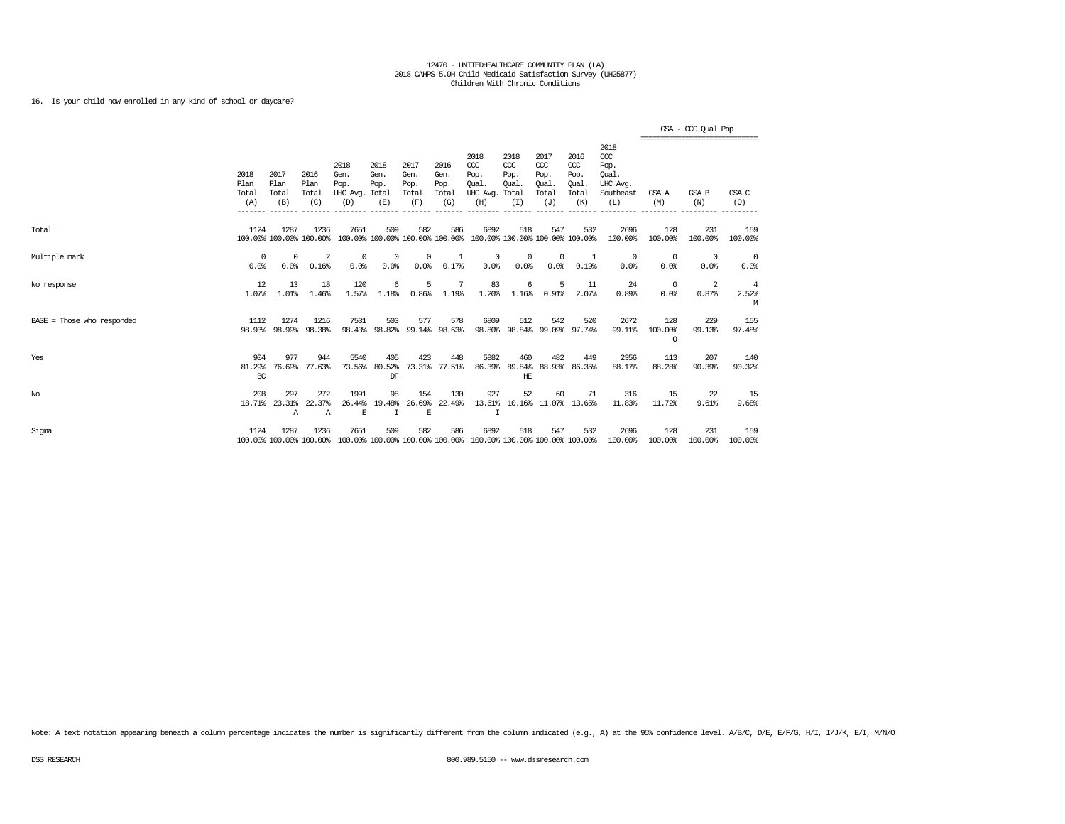## 16. Is your child now enrolled in any kind of school or daycare?

|                              |                              |                                 |                                 |                                               |                             |                                        |                                      |                                                                         |                                        |                                                   |                                                   |                                                                   | =============================== | GSA - CCC Qual Pop |                              |
|------------------------------|------------------------------|---------------------------------|---------------------------------|-----------------------------------------------|-----------------------------|----------------------------------------|--------------------------------------|-------------------------------------------------------------------------|----------------------------------------|---------------------------------------------------|---------------------------------------------------|-------------------------------------------------------------------|---------------------------------|--------------------|------------------------------|
|                              | 2018<br>Plan<br>Total<br>(A) | 2017<br>Plan<br>Total<br>(B)    | 2016<br>Plan<br>Total<br>(C)    | 2018<br>Gen.<br>Pop.<br>UHC Avg. Total<br>(D) | 2018<br>Gen.<br>Pop.<br>(E) | 2017<br>Gen.<br>Pop.<br>Total<br>(F)   | 2016<br>Gen.<br>Pop.<br>Total<br>(G) | 2018<br>CCC<br>Pop.<br>Oual.<br>UHC Avg. Total<br>(H)                   | 2018<br>CCC<br>Pop.<br>Oual.<br>(I)    | 2017<br>$\alpha$<br>Pop.<br>Oual.<br>Total<br>(J) | 2016<br>$\alpha$<br>Pop.<br>Qual.<br>Total<br>(K) | 2018<br>$\alpha$<br>Pop.<br>Oual.<br>UHC Avg.<br>Southeast<br>(L) | GSA A<br>(M)                    | GSA B<br>(N)       | GSA C<br>(0)                 |
| Total                        | 1124                         | 1287<br>100.00% 100.00% 100.00% | 1236                            | 7651                                          | 509                         | 582<br>100.00% 100.00% 100.00% 100.00% | 586                                  | 6892                                                                    | 518<br>100.00% 100.00% 100.00% 100.00% | 547                                               | 532                                               | 2696<br>100.00%                                                   | 128<br>100.00%                  | 231<br>100.00%     | 159<br>100.00%               |
| Multiple mark                | $\Omega$<br>0.0%             | $\Omega$<br>0.0%                | $\overline{2}$<br>0.16%         | 0<br>0.0%                                     | 0<br>0.0%                   | $\Omega$<br>0.0%                       | $\mathbf{1}$<br>0.17%                | $\Omega$<br>0.0%                                                        | $\Omega$<br>0.0%                       | 0<br>0.0%                                         | $\mathbf{1}$<br>0.19%                             | $^{\circ}$<br>0.0%                                                | $^{\circ}$<br>0.0%              | $^{\circ}$<br>0.0% | $^{\circ}$<br>0.0%           |
| No response                  | 12<br>1.07%                  | 13<br>1.01%                     | 18<br>1.46%                     | 120<br>1.57%                                  | 6<br>1.18%                  | 5<br>0.86%                             | 7<br>1.19%                           | 83<br>1.20%                                                             | 6<br>1.16%                             | 5<br>0.91%                                        | 11<br>2.07%                                       | 24<br>0.89%                                                       | $^{\circ}$<br>0.0%              | 2<br>0.87%         | $\overline{4}$<br>2.52%<br>M |
| $BASE = Those who responded$ | 1112                         | 1274<br>98.93% 98.99%           | 1216<br>98.38%                  | 7531<br>98.43%                                | 503<br>98.82%               | 577<br>99.14%                          | 578<br>98.63%                        | 6809<br>98.80%                                                          | 512                                    | 542<br>98.84% 99.09% 97.74%                       | 520                                               | 2672<br>99.11%                                                    | 128<br>100.00%<br>$\circ$       | 229<br>99.13%      | 155<br>97.48%                |
| Yes                          | 904<br>81.29%<br>BC          | 977<br>76.69%                   | 944<br>77.63%                   | 5540<br>73.56%                                | 405<br>80.52%<br>DF         | 423                                    | 448<br>73.31% 77.51%                 | 5882<br>86.39%                                                          | 460<br>89.84%<br>HЕ                    | 482<br>88.93%                                     | 449<br>86.35%                                     | 2356<br>88.17%                                                    | 113<br>88.28%                   | 207<br>90.39%      | 140<br>90.32%                |
| No                           | 208<br>18.71%                | 297<br>23.31%<br>Α              | 272<br>22.37%<br>$\overline{A}$ | 1991<br>26.44%<br>E                           | 98<br>19.48%<br>T           | 154<br>26.69%<br>E                     | 130<br>22.49%                        | 927<br>13.61%<br>T                                                      | 52                                     | 60<br>10.16% 11.07% 13.65%                        | 71                                                | 316<br>11.83%                                                     | 15<br>11.72%                    | 22<br>9.61%        | 15<br>9.68%                  |
| Sigma                        | 1124                         | 1287<br>100.00% 100.00% 100.00% | 1236                            | 7651                                          | 509                         | 582                                    | 586                                  | 6892<br>100.00% 100.00% 100.00% 100.00% 100.00% 100.00% 100.00% 100.00% | 518                                    | 547                                               | 532                                               | 2696<br>100.00%                                                   | 128<br>100.00%                  | 231<br>100.00%     | 159<br>100.00%               |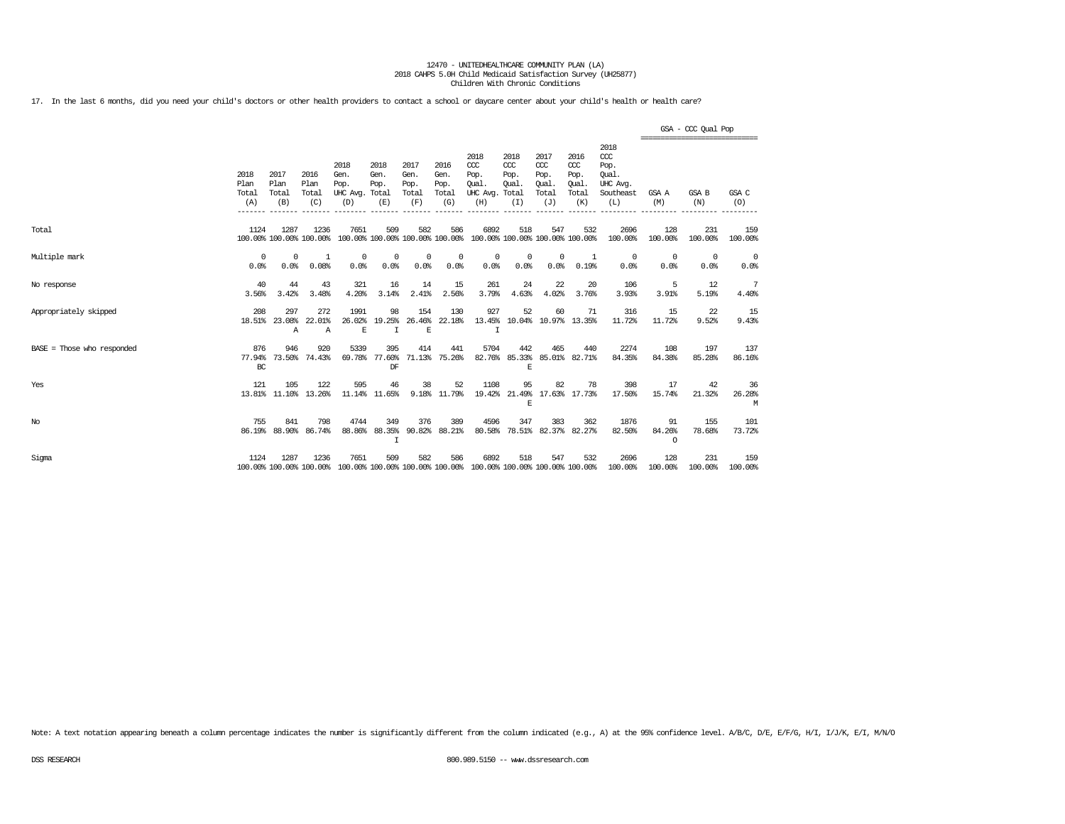17. In the last 6 months, did you need your child's doctors or other health providers to contact a school or daycare center about your child's health or health care?

|                            |                              |                                 |                              |                                                                                         |                                        |                                      |                                      |                                                       |                                      |                                                   |                                                   |                                                                   | ================================ | GSA - CCC Qual Pop |                    |
|----------------------------|------------------------------|---------------------------------|------------------------------|-----------------------------------------------------------------------------------------|----------------------------------------|--------------------------------------|--------------------------------------|-------------------------------------------------------|--------------------------------------|---------------------------------------------------|---------------------------------------------------|-------------------------------------------------------------------|----------------------------------|--------------------|--------------------|
|                            | 2018<br>Plan<br>Total<br>(A) | 2017<br>Plan<br>Total<br>(B)    | 2016<br>Plan<br>Total<br>(C) | 2018<br>Gen.<br>Pop.<br>UHC Avg.<br>(D)                                                 | 2018<br>Gen.<br>Pop.<br>Total<br>(E)   | 2017<br>Gen.<br>Pop.<br>Total<br>(F) | 2016<br>Gen.<br>Pop.<br>Total<br>(G) | 2018<br>CCC<br>Pop.<br>Oual.<br>UHC Avg. Total<br>(H) | 2018<br>$CC$<br>Pop.<br>Oual.<br>(I) | 2017<br>$\alpha$<br>Pop.<br>Oual.<br>Total<br>(J) | 2016<br>$\alpha$<br>Pop.<br>Qual.<br>Total<br>(K) | 2018<br>$\alpha$<br>Pop.<br>Oual.<br>UHC Avg.<br>Southeast<br>(L) | GSA A<br>(M)                     | GSA B<br>(N)       | GSA C<br>(O)       |
| Total                      | 1124                         | 1287<br>100.00% 100.00% 100.00% | 1236                         | 7651                                                                                    | 509<br>100.00% 100.00% 100.00% 100.00% | 582                                  | 586                                  | 6892                                                  | 518                                  | 547                                               | 532<br>100.00% 100.00% 100.00% 100.00%            | 2696<br>100.00%                                                   | 128<br>100.00%                   | 231<br>100.00%     | 159<br>100.00%     |
| Multiple mark              | $^{\circ}$<br>0.0%           | $^{\circ}$<br>0.0%              | -1<br>0.08%                  | $^{\circ}$<br>0.0%                                                                      | $^{\circ}$<br>0.0%                     | $^{\circ}$<br>0.0%                   | 0<br>0.0%                            | $^{\circ}$<br>0.0%                                    | 0<br>0.0%                            | $\mathbf 0$<br>0.0%                               | 1<br>0.19%                                        | $\mathbf{0}$<br>0.0%                                              | $\mathbf{0}$<br>0.0%             | $^{\circ}$<br>0.0% | $^{\circ}$<br>0.0% |
| No response                | 40<br>3.56%                  | 44<br>3.42%                     | 43<br>3.48%                  | 321<br>4.20%                                                                            | 16<br>3.14%                            | 14<br>2.41%                          | 15<br>2.56%                          | 261<br>3.79%                                          | 24<br>4.63%                          | 22<br>4.02%                                       | 20<br>3.76%                                       | 106<br>3.93%                                                      | 5<br>3.91%                       | 12<br>5.19%        | 7<br>4.40%         |
| Appropriately skipped      | 208<br>18.51%                | 297<br>23.08%<br>Α              | 272<br>22.01%<br>A           | 1991<br>26.02%<br>E                                                                     | 98<br>19.25%<br>$\mathbf I$            | 154<br>26.46%<br>E                   | 130<br>22.18%                        | 927<br>13.45%<br>$\mathbf I$                          | 52                                   | 60                                                | 71<br>10.04% 10.97% 13.35%                        | 316<br>11.72%                                                     | 15<br>11.72%                     | 22<br>9.52%        | 15<br>9.43%        |
| BASE = Those who responded | 876<br>77.94%<br>BC          | 946<br>73.50%                   | 920<br>74.43%                | 5339<br>69.78%                                                                          | 395<br>77.60%<br>DF                    | 414                                  | 441<br>71.13% 75.26%                 | 5704<br>82.76%                                        | 442<br>85.33%<br>E                   | 465                                               | 440<br>85.01% 82.71%                              | 2274<br>84.35%                                                    | 108<br>84.38%                    | 197<br>85.28%      | 137<br>86.16%      |
| Yes                        | 121                          | 105<br>13.81% 11.10%            | 122<br>13.26%                | 595                                                                                     | 46<br>11.14% 11.65%                    | 38                                   | 52<br>9.18% 11.79%                   | 1108<br>19.42%                                        | 95<br>21.49%<br>E                    | 82                                                | 78<br>17.63% 17.73%                               | 398<br>17.50%                                                     | 17<br>15.74%                     | 42<br>21.32%       | 36<br>26.28%<br>M  |
| No                         | 755<br>86.19%                | 841<br>88,90%                   | 798<br>86.74%                | 4744<br>88.86%                                                                          | 349<br>88.35%<br>I                     | 376<br>90.82%                        | 389<br>88.21%                        | 4596<br>80.58%                                        | 347                                  | 383<br>78.51% 82.37%                              | 362<br>82.27%                                     | 1876<br>82.50%                                                    | 91<br>84.26%<br>$\circ$          | 155<br>78.68%      | 101<br>73.72%      |
| Sigma                      | 1124                         | 1287                            | 1236                         | 7651<br>100.00% 100.00% 100.00% 100.00% 100.00% 100.00% 100.00% 100.00% 100.00% 100.00% | 509                                    | 582                                  | 586                                  | 6892                                                  | 518                                  | 547                                               | 532                                               | 2696<br>100.00%                                                   | 128<br>100.00%                   | 231<br>100.00%     | 159<br>100.00%     |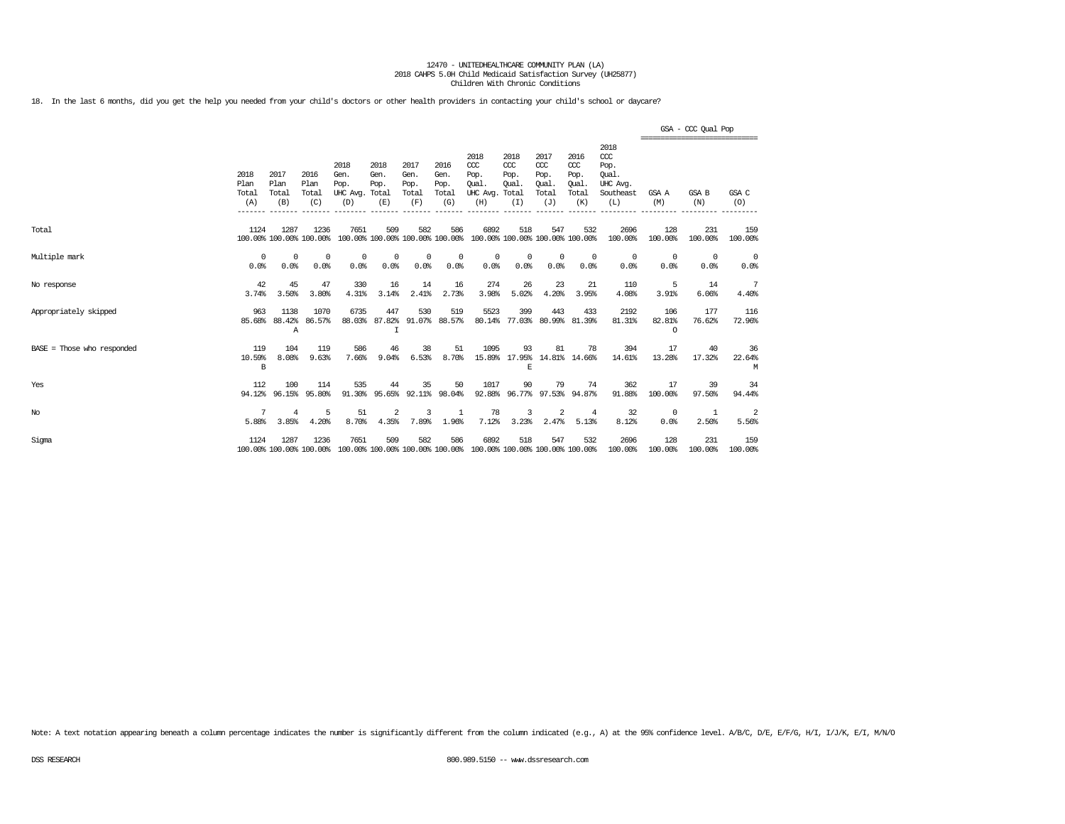18. In the last 6 months, did you get the help you needed from your child's doctors or other health providers in contacting your child's school or daycare?

|                              |                              |                                |                                 |                                               |                             |                                      |                                      |                                                                                         |                                              |                                                   |                                                   |                                                                   |                           | GSA - CCC Qual Pop<br>================================ |                                 |
|------------------------------|------------------------------|--------------------------------|---------------------------------|-----------------------------------------------|-----------------------------|--------------------------------------|--------------------------------------|-----------------------------------------------------------------------------------------|----------------------------------------------|---------------------------------------------------|---------------------------------------------------|-------------------------------------------------------------------|---------------------------|--------------------------------------------------------|---------------------------------|
|                              | 2018<br>Plan<br>Total<br>(A) | 2017<br>Plan<br>Total<br>(B)   | 2016<br>Plan<br>Total<br>(C)    | 2018<br>Gen.<br>Pop.<br>UHC Avg. Total<br>(D) | 2018<br>Gen.<br>Pop.<br>(E) | 2017<br>Gen.<br>Pop.<br>Total<br>(F) | 2016<br>Gen.<br>Pop.<br>Total<br>(G) | 2018<br>CCC<br>Pop.<br>Qual.<br>UHC Avg.<br>(H)                                         | 2018<br>CCC<br>Pop.<br>Qual.<br>Total<br>(I) | 2017<br>$\alpha$<br>Pop.<br>Oual.<br>Total<br>(J) | 2016<br>$\alpha$<br>Pop.<br>Qual.<br>Total<br>(K) | 2018<br>$\alpha$<br>Pop.<br>Oual.<br>UHC Avg.<br>Southeast<br>(L) | GSA A<br>(M)              | <b>GSA B</b><br>(N)                                    | GSA C<br>(O)                    |
| Total                        | 1124                         | 1287                           | 1236<br>100.00% 100.00% 100.00% | 7651                                          | 509                         | 582                                  | 586                                  | 6892<br>100.00% 100.00% 100.00% 100.00% 100.00% 100.00% 100.00% 100.00%                 | 518                                          | 547                                               | 532                                               | 2696<br>100.00%                                                   | 128<br>100.00%            | 231<br>100.00%                                         | 159<br>100.00%                  |
| Multiple mark                | 0<br>0.0%                    | 0<br>0.0%                      | 0<br>0.0%                       | 0<br>0.0%                                     | 0<br>0.0%                   | 0<br>0.0%                            | 0<br>0.0%                            | 0<br>0.0%                                                                               | 0<br>0.0%                                    | 0<br>0.0%                                         | $^{\circ}$<br>0.0%                                | 0<br>0.0%                                                         | $^{\circ}$<br>0.0%        | $^{\circ}$<br>0.0%                                     | $\overline{\mathbf{0}}$<br>0.0% |
| No response                  | 42<br>3.74%                  | 45<br>3.50%                    | 47<br>3.80%                     | 330<br>4.31%                                  | 16<br>3.14%                 | 14<br>2.41%                          | 16<br>2.73%                          | 274<br>3.98%                                                                            | 26<br>5.02%                                  | 23<br>4.20%                                       | 21<br>3.95%                                       | 110<br>4.08%                                                      | 5<br>3.91%                | 14<br>6.06%                                            | 7<br>4.40%                      |
| Appropriately skipped        | 963<br>85.68%                | 1138<br>88.42%<br>$\mathbb{A}$ | 1070<br>86.57%                  | 6735<br>88.03%                                | 447<br>87.82%<br>T          | 530                                  | 519<br>91.07% 88.57%                 | 5523<br>80.14%                                                                          | 399                                          | 443<br>77.03% 80.99% 81.39%                       | 433                                               | 2192<br>81.31%                                                    | 106<br>82.81%<br>$\Omega$ | 177<br>76.62%                                          | 116<br>72.96%                   |
| $BASE = Those who responded$ | 119<br>10.59%<br>B           | 104<br>8.08%                   | 119<br>9.63%                    | 586<br>7.66%                                  | 46<br>9.04%                 | 38<br>6.53%                          | 51<br>8.70%                          | 1095                                                                                    | 93<br>F.                                     | 81<br>15.89% 17.95% 14.81% 14.66%                 | 78                                                | 394<br>14.61%                                                     | 17<br>13.28%              | 40<br>17.32%                                           | 36<br>22.64%<br>М               |
| Yes                          | 112<br>94.12%                | 100<br>96.15%                  | 114<br>95.80%                   | 535<br>91.30%                                 | 44<br>95.65%                | 35                                   | 50<br>92.11% 98.04%                  | 1017                                                                                    | 90                                           | 79<br>92.88% 96.77% 97.53% 94.87%                 | 74                                                | 362<br>91.88%                                                     | 17<br>100.00%             | 39<br>97.50%                                           | 34<br>94.44%                    |
| $_{\mathrm{No}}$             | 7<br>5.88%                   | 4<br>3.85%                     | 5<br>4.20%                      | 51<br>8.70%                                   | 2<br>4.35%                  | ર<br>7.89%                           | 1<br>1.96%                           | 78<br>7.12%                                                                             | 3<br>3.23%                                   | 2<br>2.47%                                        | $\overline{4}$<br>5.13%                           | 32<br>8.12%                                                       | $^{\circ}$<br>0.0%        | -1<br>2.50%                                            | 2<br>5.56%                      |
| Sigma                        | 1124                         | 1287                           | 1236                            | 7651                                          | 509                         | 582                                  | 586                                  | 6892<br>100.00% 100.00% 100.00% 100.00% 100.00% 100.00% 100.00% 100.00% 100.00% 100.00% | 518                                          | 547                                               | 532                                               | 2696<br>100.00%                                                   | 128<br>100.00%            | 231<br>100.00%                                         | 159<br>100.00%                  |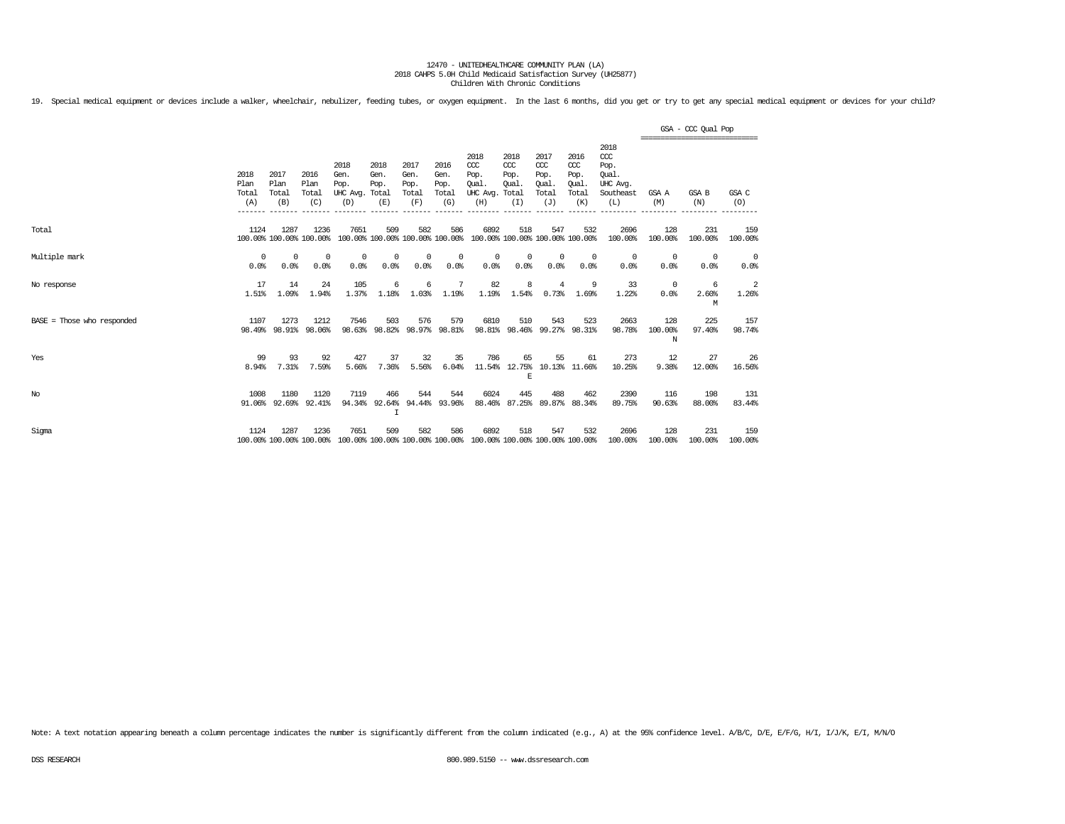19. Special medical equipment or devices include a walker, wheelchair, nebulizer, feeding tubes, or oxygen equipment. In the last 6 months, did you get or try to get any special medical equipment or devices for your child?

|                              |                              |                                 |                              |                                               |                                         |                                      |                                      |                                                                         |                                      |                                                   |                                                   |                                                              | GSA - CCC Qual Pop<br>-------------------------------- |                    |                |  |  |
|------------------------------|------------------------------|---------------------------------|------------------------------|-----------------------------------------------|-----------------------------------------|--------------------------------------|--------------------------------------|-------------------------------------------------------------------------|--------------------------------------|---------------------------------------------------|---------------------------------------------------|--------------------------------------------------------------|--------------------------------------------------------|--------------------|----------------|--|--|
|                              | 2018<br>Plan<br>Total<br>(A) | 2017<br>Plan<br>Total<br>(B)    | 2016<br>Plan<br>Total<br>(C) | 2018<br>Gen.<br>Pop.<br>UHC Avg. Total<br>(D) | 2018<br>Gen.<br>Pop.<br>(E)             | 2017<br>Gen.<br>Pop.<br>Total<br>(F) | 2016<br>Gen.<br>Pop.<br>Total<br>(G) | 2018<br>CCC<br>Pop.<br>Oual.<br>UHC Avg. Total<br>(H)                   | 2018<br>$CC$<br>Pop.<br>Oual.<br>(I) | 2017<br>$\alpha$<br>Pop.<br>Oual.<br>Total<br>(J) | 2016<br>$\alpha$<br>Pop.<br>Qual.<br>Total<br>(K) | 2018<br>ccc<br>Pop.<br>Oual.<br>UHC Avg.<br>Southeast<br>(L) | GSA A<br>(M)                                           | GSA B<br>(N)       | GSA C<br>(O)   |  |  |
| Total                        | 1124                         | 1287<br>100.00% 100.00% 100.00% | 1236                         | 7651                                          | 509                                     | 582                                  | 586                                  | 6892<br>100.00% 100.00% 100.00% 100.00% 100.00% 100.00% 100.00% 100.00% | 518                                  | 547                                               | 532                                               | 2696<br>100.00%                                              | 128<br>100.00%                                         | 231<br>100.00%     | 159<br>100.00% |  |  |
| Multiple mark                | $\Omega$<br>0.0%             | $^{\circ}$<br>0.0%              | 0<br>0.0%                    | $^{\circ}$<br>0.0%                            | 0<br>0.0%                               | $^{\circ}$<br>0.0%                   | 0<br>0.0%                            | $^{\circ}$<br>0.0%                                                      | 0<br>0.0%                            | $\mathbf 0$<br>0.0%                               | $^{\circ}$<br>0.0%                                | 0<br>0.0%                                                    | $^{\circ}$<br>0.0%                                     | $^{\circ}$<br>0.0% | - 0<br>0.0%    |  |  |
| No response                  | 17<br>1.51%                  | 14<br>1.09%                     | 24<br>1.94%                  | 105<br>1.37%                                  | 6<br>1.18%                              | 6<br>1.03%                           | 7<br>1.19%                           | 82<br>1.19%                                                             | 8<br>1.54%                           | 4<br>0.73%                                        | 9<br>1.69%                                        | 33<br>1.22%                                                  | $^{\circ}$<br>0.0%                                     | 6<br>2.60%<br>М    | 2<br>1.26%     |  |  |
| $BASE = Those who responded$ | 1107                         | 1273<br>98.49% 98.91%           | 1212<br>98.06%               | 7546<br>98.63%                                | 503<br>98.82%                           | 576                                  | 579<br>98.97% 98.81%                 | 6810                                                                    | 510<br>98.81% 98.46% 99.27%          | 543                                               | 523<br>98.31%                                     | 2663<br>98.78%                                               | 128<br>100.00%<br>N                                    | 225<br>97.40%      | 157<br>98.74%  |  |  |
| Yes                          | 99<br>8.94%                  | 93<br>7.31%                     | 92<br>7.59%                  | 427<br>5.66%                                  | 37<br>7.36%                             | 32<br>5.56%                          | 35<br>6.04%                          | 786                                                                     | 65<br>F.                             | 55                                                | 61<br>11.54% 12.75% 10.13% 11.66%                 | 273<br>10.25%                                                | 12<br>9.38%                                            | 27<br>12.00%       | -26<br>16.56%  |  |  |
| No                           | 1008                         | 1180<br>91.06% 92.69%           | 1120<br>92.41%               | 7119                                          | 466<br>94.34% 92.64% 94.44% 93.96%<br>I | 544                                  | 544                                  | 6024                                                                    | 445                                  | 488                                               | 462<br>88.46% 87.25% 89.87% 88.34%                | 2390<br>89.75%                                               | 116<br>90.63%                                          | 198<br>88,00%      | 131<br>83.44%  |  |  |
| Sigma                        | 1124                         | 1287<br>100.00% 100.00% 100.00% | 1236                         | 7651                                          | 509                                     | 582                                  | 586                                  | 6892<br>100.00% 100.00% 100.00% 100.00% 100.00% 100.00% 100.00% 100.00% | 518                                  | 547                                               | 532                                               | 2696<br>100.00%                                              | 128<br>100.00%                                         | 231<br>100.00%     | 159<br>100.00% |  |  |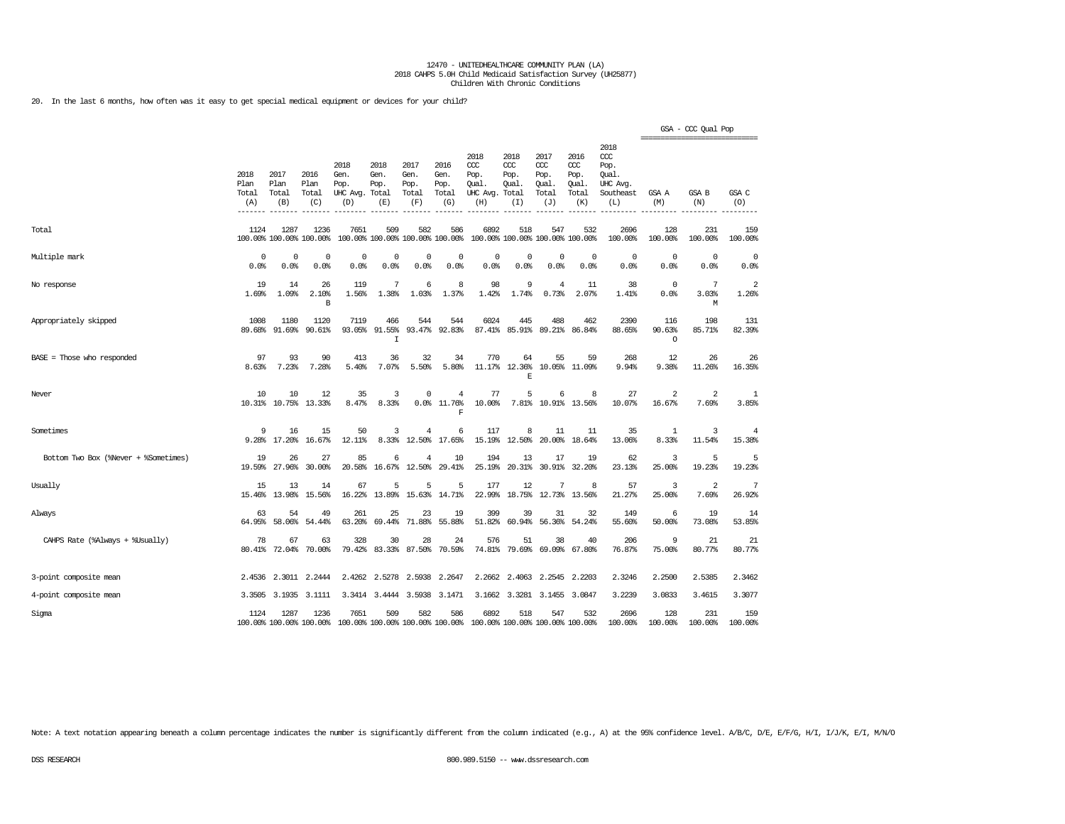20. In the last 6 months, how often was it easy to get special medical equipment or devices for your child?

|                                      |                              |                              |                                 |                                                                                         |                                        |                                      |                                      |                                                 |                                               |                                                  |                                                   |                                                                   | ================================ | GSA - CCC Qual Pop      |                |
|--------------------------------------|------------------------------|------------------------------|---------------------------------|-----------------------------------------------------------------------------------------|----------------------------------------|--------------------------------------|--------------------------------------|-------------------------------------------------|-----------------------------------------------|--------------------------------------------------|---------------------------------------------------|-------------------------------------------------------------------|----------------------------------|-------------------------|----------------|
|                                      | 2018<br>Plan<br>Total<br>(A) | 2017<br>Plan<br>Total<br>(B) | 2016<br>Plan<br>Total<br>(C)    | 2018<br>Gen.<br>Pop.<br>UHC Avg. Total<br>(D)                                           | 2018<br>Gen.<br>Pop.<br>(E)            | 2017<br>Gen.<br>Pop.<br>Total<br>(F) | 2016<br>Gen.<br>Pop.<br>Total<br>(G) | 2018<br>ccc<br>Pop.<br>Qual.<br>UHC Avg.<br>(H) | 2018<br>$CC$<br>Pop.<br>Qual.<br>Total<br>(I) | 2017<br>$\alpha$<br>Pop.<br>Qual<br>Total<br>(J) | 2016<br>$\alpha$<br>Pop.<br>Qual.<br>Total<br>(K) | 2018<br>$\alpha$<br>Pop.<br>Oual.<br>UHC Avg.<br>Southeast<br>(L) | GSA A<br>(M)                     | GSA B<br>(N)            | GSA C<br>(O)   |
| Total                                | 1124                         | 1287                         | 1236<br>100.00% 100.00% 100.00% | 7651                                                                                    | 509<br>100.00% 100.00% 100.00% 100.00% | 582                                  | 586                                  | 6892                                            | 518                                           | 547<br>100.00% 100.00% 100.00% 100.00%           | 532                                               | 2696<br>100.00%                                                   | 128<br>100.00%                   | 231<br>100.00%          | 159<br>100.00% |
| Multiple mark                        | $\Omega$<br>0.0%             | 0<br>0.0%                    | $^{\circ}$<br>0.0%              | 0<br>0.0%                                                                               | $\Omega$<br>0.0%                       | 0<br>0.0%                            | $\Omega$<br>0.0%                     | $\mathbf 0$<br>0.0%                             | $\Omega$<br>0.0%                              | $\mathbf 0$<br>0.0%                              | $\Omega$<br>0.0%                                  | $\circ$<br>0.0%                                                   | 0<br>0.0%                        | $\circ$<br>0.0%         | 0<br>0.0%      |
| No response                          | 19<br>1.69%                  | 14<br>1.09%                  | 26<br>2.10%<br>B                | 119<br>1.56%                                                                            | 7<br>1.38%                             | 6<br>1.03%                           | 8<br>1.37%                           | 98<br>1.42%                                     | 9<br>1.74%                                    | $\overline{4}$<br>0.73%                          | 11<br>2.07%                                       | 38<br>1.41%                                                       | $^{\circ}$<br>0.0%               | 7<br>3.03%<br>M         | 2<br>1.26%     |
| Appropriately skipped                | 1008<br>89.68%               | 1180<br>91.69%               | 1120<br>90.61%                  | 7119<br>93.05%                                                                          | 466<br>91.55%<br>I                     | 544<br>93.47%                        | 544<br>92.83%                        | 6024<br>87.41%                                  | 445<br>85.91%                                 | 488<br>89.21%                                    | 462<br>86.84%                                     | 2390<br>88.65%                                                    | 116<br>90.63%<br>$\circ$         | 198<br>85.71%           | 131<br>82.39%  |
| BASE = Those who responded           | 97<br>8.63%                  | 93<br>7.23%                  | 90<br>7.28%                     | 413<br>5.40%                                                                            | 36<br>7.07%                            | 32<br>5.50%                          | 34<br>5.80%                          | 770<br>11.17%                                   | 64<br>12.36%<br>F.                            | 55<br>10.05%                                     | 59<br>11.09%                                      | 268<br>9.94%                                                      | 12<br>9.38%                      | 26<br>11.26%            | 26<br>16.35%   |
| Never                                | 10                           | 10                           | 12<br>10.31% 10.75% 13.33%      | 35<br>8.47%                                                                             | 3<br>8.33%                             | 0                                    | 4<br>$0.0%$ 11.76%<br>F              | 77<br>10.00%                                    | 5                                             | 6                                                | 8<br>7.81% 10.91% 13.56%                          | 27<br>10.07%                                                      | 2<br>16.67%                      | 2<br>7.69%              | 1<br>3.85%     |
| Sometimes                            | 9<br>9.28%                   | 16<br>17.20%                 | 15<br>16.67%                    | 50<br>12.11%                                                                            | 3<br>8.33%                             | 4<br>12.50%                          | 6<br>17.65%                          | 117<br>15.19%                                   | 8<br>12.50%                                   | 11<br>20.00%                                     | 11<br>18.64%                                      | 35<br>13.06%                                                      | 1<br>8.33%                       | 3<br>11.54%             | 4<br>15.38%    |
| Bottom Two Box (%Never + %Sometimes) | 19<br>19.59%                 | 26<br>27.96%                 | 27<br>30.00%                    | 85<br>20.58%                                                                            | 6<br>16.67%                            | 4<br>12.50%                          | 10<br>29.41%                         | 194<br>25.19%                                   | 13<br>20.31%                                  | 17<br>30.91%                                     | 19<br>32.20%                                      | 62<br>23.13%                                                      | 3<br>25.00%                      | 5<br>19.23%             | 5<br>19.23%    |
| Usually                              | 15<br>15.46%                 | 13<br>13.98%                 | 14<br>15.56%                    | 67<br>16.22%                                                                            | 5<br>13.89%                            | 5<br>15.63%                          | 5<br>14.71%                          | 177<br>22.99%                                   | 12<br>18.75%                                  | 7<br>12.73%                                      | 8<br>13.56%                                       | 57<br>21.27%                                                      | 3<br>25.00%                      | $\overline{2}$<br>7.69% | 7<br>26.92%    |
| Always                               | 63<br>64.95%                 | 54<br>58.06%                 | 49<br>54.44%                    | 261<br>63.20%                                                                           | 25<br>69.44%                           | 23<br>71.88%                         | 19<br>55.88%                         | 399<br>51.82%                                   | 39<br>60.94%                                  | 31<br>56.36%                                     | 32<br>54.24%                                      | 149<br>55.60%                                                     | 6<br>50.00%                      | 19<br>73.08%            | 14<br>53.85%   |
| CAHPS Rate (%Always + %Usually)      | 78<br>80.41%                 | 67<br>72.04%                 | 63<br>70.00%                    | 328<br>79.42%                                                                           | 30<br>83.33%                           | 28<br>87.50%                         | 24<br>70.59%                         | 576<br>74.81%                                   | 51<br>79.69%                                  | 38<br>69.09%                                     | 40<br>67.80%                                      | 206<br>76.87%                                                     | 9<br>75.00%                      | 21<br>80.77%            | 21<br>80.77%   |
| 3-point composite mean               |                              | 2.4536 2.3011                | 2.2444                          | 2.4262                                                                                  | 2.5278                                 | 2.5938                               | 2.2647                               |                                                 | 2.2662 2.4063                                 | 2.2545                                           | 2.2203                                            | 2.3246                                                            | 2.2500                           | 2.5385                  | 2.3462         |
| 4-point composite mean               |                              | 3.3505 3.1935                | 3.1111                          |                                                                                         | 3.3414 3.4444 3.5938                   |                                      | 3.1471                               |                                                 |                                               | 3.1662 3.3281 3.1455                             | 3.0847                                            | 3.2239                                                            | 3.0833                           | 3.4615                  | 3.3077         |
| Sigma                                | 1124                         | 1287                         | 1236                            | 7651<br>100.00% 100.00% 100.00% 100.00% 100.00% 100.00% 100.00% 100.00% 100.00% 100.00% | 509                                    | 582                                  | 586                                  | 6892                                            | 518                                           | 547                                              | 532                                               | 2696<br>100.00%                                                   | 128<br>100.00%                   | 231<br>100.00%          | 159<br>100.00% |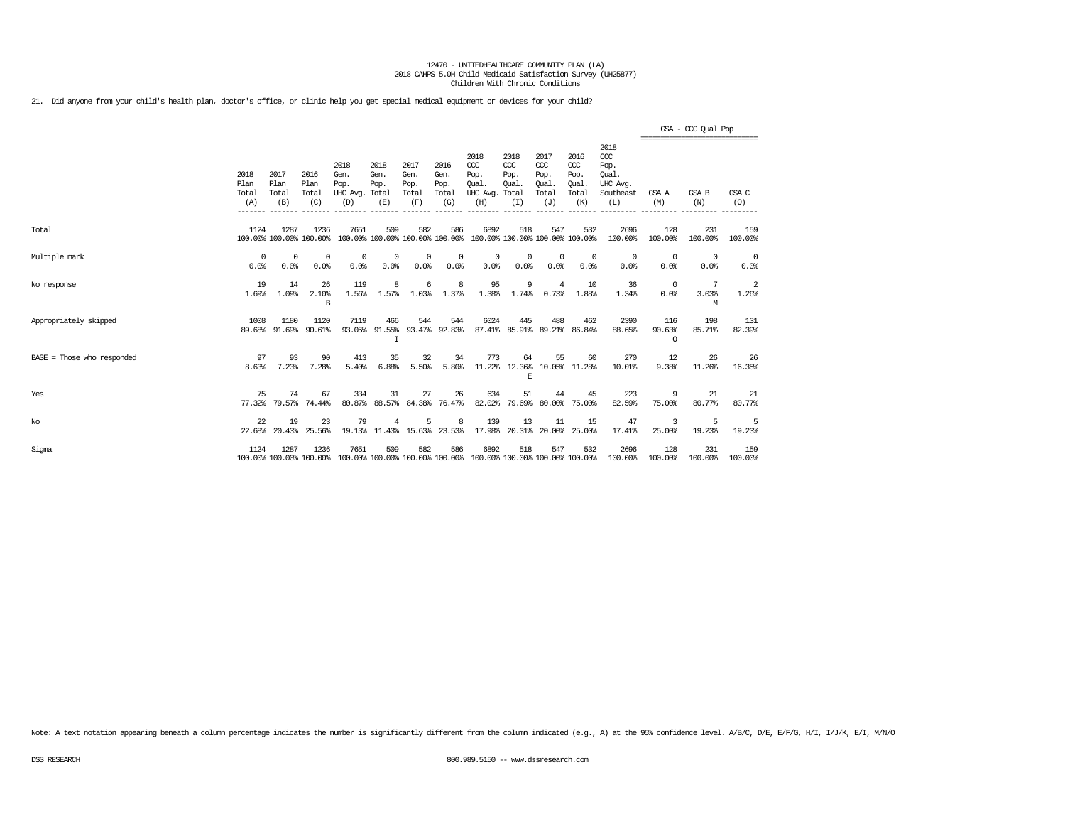21. Did anyone from your child's health plan, doctor's office, or clinic help you get special medical equipment or devices for your child?

|                            |                                         |                                         |                              |                                                                                                 |                                         |                                      |                                      |                                                                         |                                     |                                                   |                                                   |                                                                   |                           | GSA - CCC Qual Pop<br>------------------------------- |                         |
|----------------------------|-----------------------------------------|-----------------------------------------|------------------------------|-------------------------------------------------------------------------------------------------|-----------------------------------------|--------------------------------------|--------------------------------------|-------------------------------------------------------------------------|-------------------------------------|---------------------------------------------------|---------------------------------------------------|-------------------------------------------------------------------|---------------------------|-------------------------------------------------------|-------------------------|
|                            | 2018<br>Plan<br>Total<br>(A)<br>------- | 2017<br>Plan<br>Total<br>(B)<br>------- | 2016<br>Plan<br>Total<br>(C) | 2018<br>Gen.<br>Pop.<br>UHC Avg. Total<br>(D)                                                   | 2018<br>Gen.<br>Pop.<br>(E)             | 2017<br>Gen.<br>Pop.<br>Total<br>(F) | 2016<br>Gen.<br>Pop.<br>Total<br>(G) | 2018<br>CCC<br>Pop.<br>Oual.<br>UHC Avg. Total<br>(H)                   | 2018<br>CCC<br>Pop.<br>Oual.<br>(I) | 2017<br>$\alpha$<br>Pop.<br>Oual.<br>Total<br>(J) | 2016<br>$\alpha$<br>Pop.<br>Oual.<br>Total<br>(K) | 2018<br>$\alpha$<br>Pop.<br>Oual.<br>UHC Avg.<br>Southeast<br>(L) | GSA A<br>(M)              | GSA B<br>(N)                                          | GSA C<br>(0)            |
| Total                      | 1124                                    | 1287<br>100.00% 100.00% 100.00%         | 1236                         | 7651                                                                                            | 509                                     | 582                                  | 586                                  | 6892<br>100.00% 100.00% 100.00% 100.00% 100.00% 100.00% 100.00% 100.00% | 518                                 | 547                                               | 532                                               | 2696<br>100.00%                                                   | 128<br>100.00%            | 231<br>100.00%                                        | 159<br>100.00%          |
| Multiple mark              | $\Omega$<br>0.0%                        | $\Omega$<br>0.0%                        | $\Omega$<br>0.0%             | $\Omega$<br>0.0%                                                                                | $^{\circ}$<br>0.0%                      | $^{\circ}$<br>0.0%                   | $^{\circ}$<br>0.0%                   | 0<br>0.0%                                                               | $\circ$<br>0.0%                     | $^{\circ}$<br>0.0%                                | $\overline{0}$<br>0.0%                            | $^{\circ}$<br>0.0%                                                | $^{\circ}$<br>0.0%        | $\Omega$<br>0.0%                                      | $\overline{0}$<br>0.0%  |
| No response                | 19<br>1.69%                             | 14<br>1.09%                             | 26<br>2.10%<br>B             | 119<br>1.56%                                                                                    | 8<br>1.57%                              | 6<br>1.03%                           | 8<br>1.37%                           | 95<br>1.38%                                                             | 9<br>1.74%                          | 4<br>0.73%                                        | 10<br>1.88%                                       | 36<br>1.34%                                                       | $^{\circ}$<br>0.0%        | 7<br>3.03%<br>M                                       | $\overline{2}$<br>1.26% |
| Appropriately skipped      | 1008                                    | 1180<br>89.68% 91.69%                   | 1120<br>90.61%               | 7119                                                                                            | 466<br>93.05% 91.55% 93.47% 92.83%<br>I | 544                                  | 544                                  | 6024                                                                    | 445                                 | 488                                               | 462<br>87.41% 85.91% 89.21% 86.84%                | 2390<br>88.65%                                                    | 116<br>90.63%<br>$\Omega$ | 198<br>85.71%                                         | 131<br>82.39%           |
| BASE = Those who responded | 97<br>8.63%                             | 93<br>7.23%                             | 90<br>7.28%                  | 413<br>5.40%                                                                                    | 35<br>6.88%                             | 32<br>5.50%                          | 34<br>5.80%                          | 773                                                                     | 64<br>$\mathbb E$                   | 55                                                | 60<br>11.22% 12.36% 10.05% 11.28%                 | 270<br>10.01%                                                     | 12<br>9.38%               | 26<br>11.26%                                          | 26<br>16.35%            |
| Yes                        | 75                                      | 74<br>77.32% 79.57% 74.44%              | 67                           | 334                                                                                             | 31<br>80.87% 88.57% 84.38% 76.47%       | 27                                   | 26                                   | 634<br>82.02%                                                           | 51                                  | 44                                                | 45<br>79.69% 80.00% 75.00%                        | 223<br>82.59%                                                     | 9<br>75.00%               | 21<br>80.77%                                          | -21<br>80.77%           |
| $_{\mathrm{No}}$           | 22.                                     | 19<br>22.68% 20.43%                     | 23<br>25.56%                 | 79                                                                                              | 4<br>19.13% 11.43% 15.63% 23.53%        | 5                                    | 8                                    | 139<br>17.98%                                                           | 13                                  | 11                                                | 15<br>20.31% 20.00% 25.00%                        | 47<br>17.41%                                                      | 3<br>25.00%               | 5<br>19.23%                                           | -5<br>19.23%            |
| Sigma                      | 1124                                    | 1287                                    | 1236                         | 7651<br>100.00% 100.00% 100.00% 100.00% 100.00% 100.00% 100.00% 100.00% 100.00% 100.00% 100.00% | 509                                     | 582                                  | 586                                  | 6892                                                                    | 518                                 | 547                                               | 532                                               | 2696<br>100.00%                                                   | 128<br>100.00%            | 231<br>100.00%                                        | 159<br>100.00%          |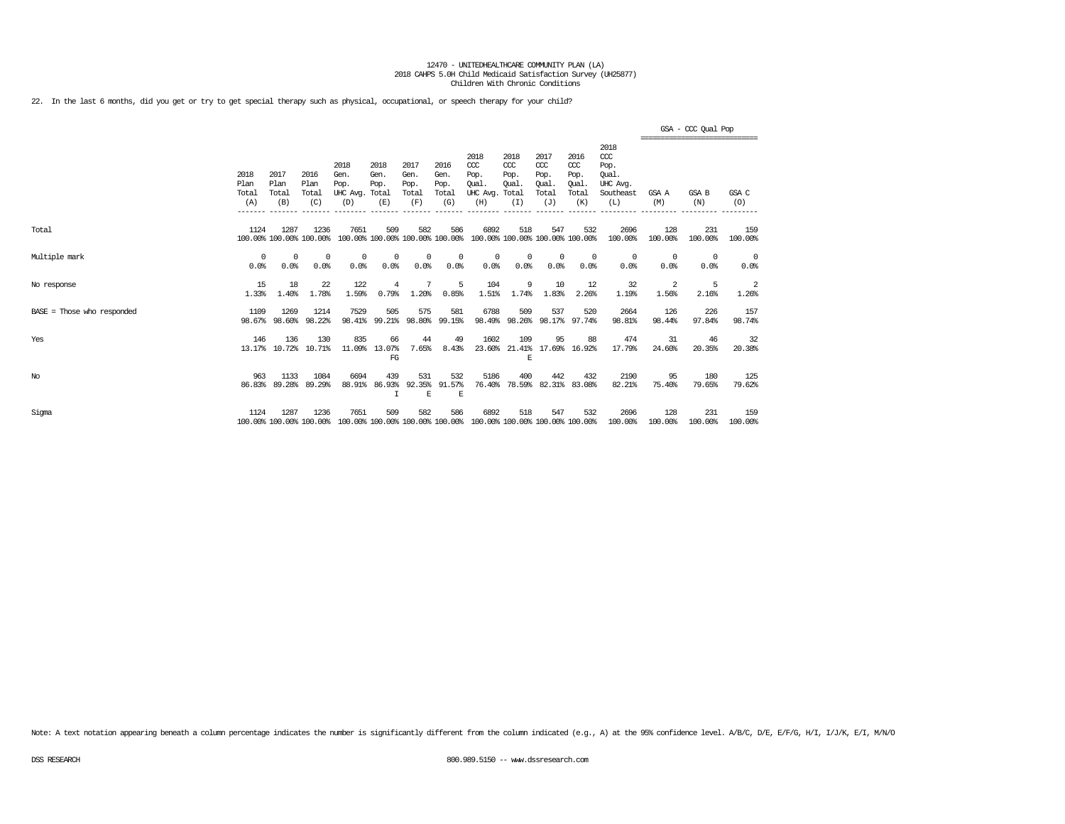22. In the last 6 months, did you get or try to get special therapy such as physical, occupational, or speech therapy for your child?

|                              |                              |                              |                                 |                                               |                               |                                      |                                      |                                                                         |                                      |                                                   |                                                   |                                                              | GSA - CCC Qual Pop<br>:============================ |                  |                    |  |
|------------------------------|------------------------------|------------------------------|---------------------------------|-----------------------------------------------|-------------------------------|--------------------------------------|--------------------------------------|-------------------------------------------------------------------------|--------------------------------------|---------------------------------------------------|---------------------------------------------------|--------------------------------------------------------------|-----------------------------------------------------|------------------|--------------------|--|
|                              | 2018<br>Plan<br>Total<br>(A) | 2017<br>Plan<br>Total<br>(B) | 2016<br>Plan<br>Total<br>(C)    | 2018<br>Gen.<br>Pop.<br>UHC Avg. Total<br>(D) | 2018<br>Gen.<br>Pop.<br>(E)   | 2017<br>Gen.<br>Pop.<br>Total<br>(F) | 2016<br>Gen.<br>Pop.<br>Total<br>(G) | 2018<br>CCC<br>Pop.<br>Oual.<br>UHC Avg. Total<br>(H)                   | 2018<br>$CC$<br>Pop.<br>Oual.<br>(I) | 2017<br>$\alpha$<br>Pop.<br>Oual.<br>Total<br>(J) | 2016<br>$\alpha$<br>Pop.<br>Oual.<br>Total<br>(K) | 2018<br>ccc<br>Pop.<br>Oual.<br>UHC Avg.<br>Southeast<br>(L) | GSA A<br>(M)                                        | GSA B<br>(N)     | GSA C<br>(O)       |  |
| Total                        | 1124                         | 1287                         | 1236<br>100.00% 100.00% 100.00% | 7651                                          | 509                           | 582                                  | 586                                  | 6892<br>100.00% 100.00% 100.00% 100.00% 100.00% 100.00% 100.00% 100.00% | 518                                  | 547                                               | 532                                               | 2696<br>100.00%                                              | 128<br>100.00%                                      | 231<br>100.00%   | 159<br>100.00%     |  |
| Multiple mark                | $\Omega$<br>0.0%             | $\Omega$<br>0.0%             | 0<br>0.0%                       | 0<br>0.0%                                     | 0<br>0.0%                     | 0<br>0.0%                            | 0<br>0.0%                            | $^{\circ}$<br>0.0%                                                      | 0<br>0.0%                            | $^{\circ}$<br>0.0%                                | $^{\circ}$<br>0.0%                                | 0<br>0.0%                                                    | $^{\circ}$<br>0.0%                                  | $\Omega$<br>0.0% | $^{\circ}$<br>0.0% |  |
| No response                  | 15<br>1.33%                  | 18<br>1.40%                  | 22<br>1.78%                     | 122<br>1.59%                                  | 4<br>0.79%                    | 7<br>1.20%                           | -5<br>0.85%                          | 104<br>1.51%                                                            | 9<br>1.74%                           | 10<br>1.83%                                       | 12<br>2.26%                                       | 32<br>1.19%                                                  | -2<br>1.56%                                         | -5<br>2.16%      | -2<br>1.26%        |  |
| $BASE = Those who responded$ | 1109                         | 1269<br>98.67% 98.60%        | 1214<br>98.22%                  | 7529<br>98.41%                                | 505                           | 575<br>99.21% 98.80% 99.15%          | 581                                  | 6788                                                                    | 509                                  | 537                                               | 520<br>98.49% 98.26% 98.17% 97.74%                | 2664<br>98.81%                                               | 126<br>98.44%                                       | 226<br>97.84%    | 157<br>98.74%      |  |
| Yes                          | 146<br>13.17%                | 136<br>10.72%                | 130<br>10.71%                   | 835<br>11.09%                                 | 66<br>13.07%<br>FG            | 44<br>7.65%                          | 49<br>8.43%                          | 1602<br>23.60%                                                          | 109<br>21.41%<br>E                   | 95                                                | 88<br>17.69% 16.92%                               | 474<br>17.79%                                                | 31<br>24.60%                                        | 46<br>20.35%     | 32<br>20.38%       |  |
| No                           | 963<br>86.83%                | 1133<br>89.28%               | 1084<br>89.29%                  | 6694<br>88.91%                                | 439<br>86.93%<br>$\mathsf{T}$ | 531<br>92.35%<br>E                   | 532<br>91.57%<br>E                   | 5186<br>76.40%                                                          | 400<br>78.59%                        | 442<br>82.31%                                     | 432<br>83.08%                                     | 2190<br>82.21%                                               | 95<br>75.40%                                        | 180<br>79.65%    | 125<br>79.62%      |  |
| Sigma                        | 1124                         | 1287                         | 1236<br>100.00% 100.00% 100.00% | 7651                                          | 509                           | 582                                  | 586                                  | 6892<br>100.00% 100.00% 100.00% 100.00% 100.00% 100.00% 100.00% 100.00% | 518                                  | 547                                               | 532                                               | 2696<br>100.00%                                              | 128<br>100.00%                                      | 231<br>100.00%   | 159<br>100.00%     |  |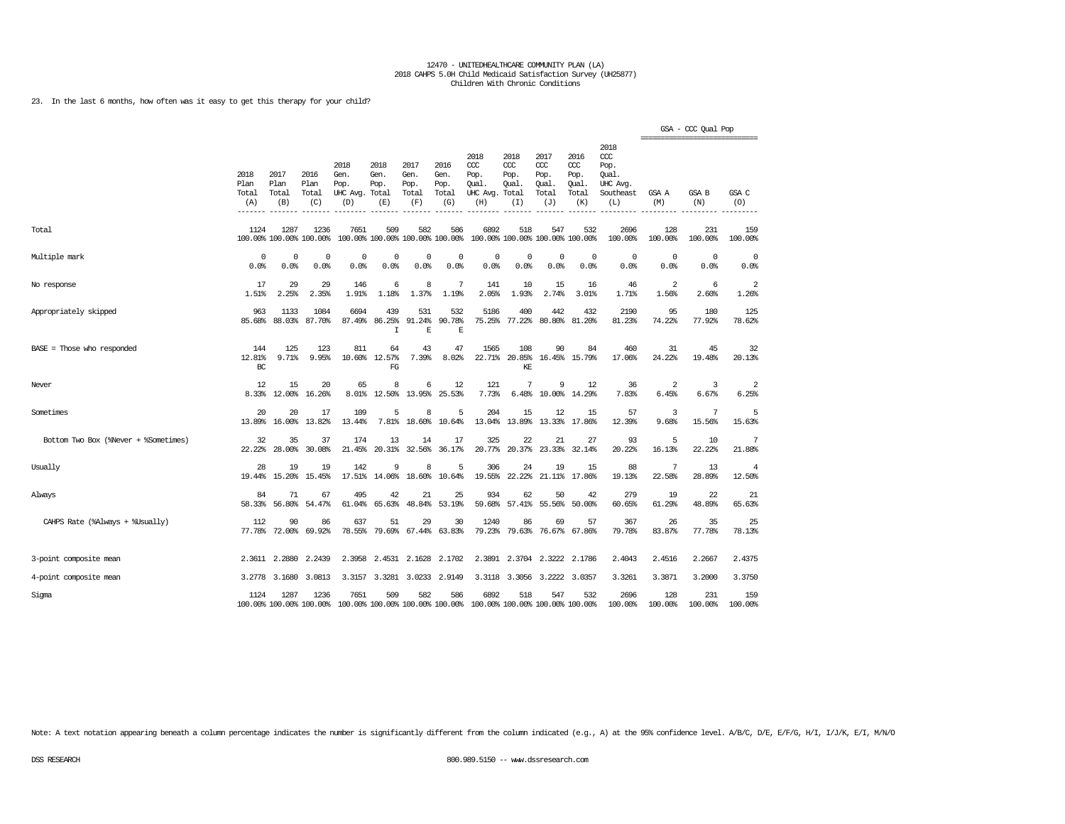23. In the last 6 months, how often was it easy to get this therapy for your child?

|                                      |                              |                              |                                 |                                                                                         |                                        |                                      |                                      |                                                        |                                     |                                                     |                                              |                                                                     |                | GSA - CCC Qual Pop |                |
|--------------------------------------|------------------------------|------------------------------|---------------------------------|-----------------------------------------------------------------------------------------|----------------------------------------|--------------------------------------|--------------------------------------|--------------------------------------------------------|-------------------------------------|-----------------------------------------------------|----------------------------------------------|---------------------------------------------------------------------|----------------|--------------------|----------------|
|                                      | 2018<br>Plan<br>Total<br>(A) | 2017<br>Plan<br>Total<br>(B) | 2016<br>Plan<br>Total<br>(C)    | 2018<br>Gen.<br>Pop.<br>UHC Avg.<br>(D)                                                 | 2018<br>Gen.<br>Pop.<br>Total<br>(E)   | 2017<br>Gen.<br>Pop.<br>Total<br>(F) | 2016<br>Gen.<br>Pop.<br>Total<br>(G) | 2018<br>$CC$<br>Pop.<br>Oual.<br>UHC Avg. Total<br>(H) | 2018<br>CCC<br>Pop.<br>Oual.<br>(I) | 2017<br><b>CCC</b><br>Pop.<br>Qual.<br>Total<br>(J) | 2016<br>ccc<br>Pop.<br>Oual.<br>Total<br>(K) | 2018<br><b>CCC</b><br>Pop.<br>Oual.<br>UHC Avq.<br>Southeast<br>(L) | GSA A<br>(M)   | GSA B<br>(N)       | GSA C<br>(0)   |
| Total                                | 1124                         | 1287                         | 1236<br>100.00% 100.00% 100.00% | 7651                                                                                    | 509<br>100.00% 100.00% 100.00% 100.00% | 582                                  | 586                                  | 6892                                                   | 518                                 | 547<br>100.00% 100.00% 100.00% 100.00%              | 532                                          | 2696<br>100.00%                                                     | 128<br>100.00% | 231<br>100.00%     | 159<br>100.00% |
| Multiple mark                        | $\mathbf 0$                  | $\mathbf 0$                  | $\mathbf 0$                     | $\mathbf 0$                                                                             | $\mathbf 0$                            | $\mathbf 0$                          | $\Omega$                             | $\mathbf 0$                                            | $\mathbf 0$                         | $\circ$                                             | $\mathbf 0$                                  | $\mathbf 0$                                                         | $\circ$        | $\Omega$           | $\mathbf 0$    |
|                                      | 0.0%                         | 0.0%                         | 0.0%                            | 0.0%                                                                                    | 0.0%                                   | 0.0%                                 | 0.0%                                 | 0.0%                                                   | 0.0%                                | 0.0%                                                | 0.0%                                         | 0.0%                                                                | 0.0%           | 0.0%               | 0.0%           |
| No response                          | 17                           | 29                           | 29                              | 146                                                                                     | 6                                      | 8                                    | 7                                    | 141                                                    | 10                                  | 15                                                  | 16                                           | 46                                                                  | $\overline{2}$ | 6                  | $\overline{a}$ |
|                                      | 1.51%                        | 2.25%                        | 2.35%                           | 1.91%                                                                                   | 1.18%                                  | 1.37%                                | 1.19%                                | 2.05%                                                  | 1.93%                               | 2.74%                                               | 3.01%                                        | 1.71%                                                               | 1.56%          | 2.60%              | 1.26%          |
| Appropriately skipped                | 963<br>85.68%                | 1133<br>88.03%               | 1084<br>87.70%                  | 6694<br>87.49%                                                                          | 439<br>86.25%<br>I                     | 531<br>91.24%<br>$\mathbb E$         | 532<br>90.78%<br>$\mathbb E$         | 5186<br>75.25%                                         | 400<br>77.22%                       | 442<br>80.80%                                       | 432<br>81,20%                                | 2190<br>81.23%                                                      | 95<br>74.22%   | 180<br>77.92%      | 125<br>78.62%  |
| BASE = Those who responded           | 144<br>12.81%<br>$BC$        | 125<br>9.71%                 | 123<br>9.95%                    | 811<br>10.60%                                                                           | 64<br>12.57%<br>FG                     | 43<br>7.39%                          | 47<br>8.02%                          | 1565<br>22.71%                                         | 108<br>20.85%<br>KE                 | 90                                                  | 84<br>16.45% 15.79%                          | 460<br>17.06%                                                       | 31<br>24.22%   | 45<br>19.48%       | 32<br>20.13%   |
| Never                                | 12                           | 15                           | 20                              | 65                                                                                      | 8                                      | 6                                    | 12                                   | 121                                                    | 7                                   | 9                                                   | 12                                           | 36                                                                  | $\overline{2}$ | 3                  | $\overline{2}$ |
|                                      | 8.33%                        | 12.00%                       | 16.26%                          | 8.01%                                                                                   | 12.50%                                 | 13.95%                               | 25.53%                               | 7.73%                                                  | 6.48%                               | 10.00%                                              | 14.29%                                       | 7.83%                                                               | 6.45%          | 6.67%              | 6.25%          |
| Sometimes                            | 20                           | 20                           | 17                              | 109                                                                                     | 5                                      | 8                                    | 5                                    | 204                                                    | 15                                  | 12                                                  | 15                                           | 57                                                                  | 3              | 7                  | 5              |
|                                      | 13.89%                       | 16.00%                       | 13.82%                          | 13.44%                                                                                  | 7.81%                                  | 18.60%                               | 10.64%                               | 13.04%                                                 | 13.89%                              | 13.33%                                              | 17.86%                                       | 12.39%                                                              | 9.68%          | 15.56%             | 15.63%         |
| Bottom Two Box (%Never + %Sometimes) | 32                           | 35                           | 37                              | 174                                                                                     | 13                                     | 14                                   | 17                                   | 325                                                    | 22                                  | 21                                                  | 27                                           | 93                                                                  | 5              | 10                 | 7              |
|                                      | 22.22%                       | 28,00%                       | 30.08%                          | 21.45%                                                                                  | 20.31%                                 | 32.56%                               | 36.17%                               | 20.77%                                                 | 20.37%                              | 23.33%                                              | 32.14%                                       | 20.22%                                                              | 16.13%         | 22.22%             | 21.88%         |
| Usually                              | 28                           | 19                           | 19                              | 142                                                                                     | 9                                      | 8                                    | 5                                    | 306                                                    | 24                                  | 19                                                  | 15                                           | 88                                                                  | 7              | 13                 | $\overline{4}$ |
|                                      | 19.44%                       | 15.20%                       | 15.45%                          | 17.51%                                                                                  | 14.06%                                 | 18.60%                               | 10.64%                               | 19.55%                                                 | 22.22%                              | 21.11%                                              | 17.86%                                       | 19.13%                                                              | 22.58%         | 28.89%             | 12.50%         |
| Always                               | 84                           | 71                           | 67                              | 495                                                                                     | 42                                     | 21                                   | 25                                   | 934                                                    | 62                                  | 50                                                  | 42                                           | 279                                                                 | 19             | 22                 | 21             |
|                                      | 58.33%                       | 56.80%                       | 54.47%                          | 61.04%                                                                                  | 65.63%                                 | 48.84%                               | 53.19%                               | 59.68%                                                 | 57.41%                              | 55.56%                                              | 50.00%                                       | 60.65%                                                              | 61.29%         | 48.89%             | 65.63%         |
| CAHPS Rate (%Always + %Usually)      | 112                          | 90                           | 86                              | 637                                                                                     | 51                                     | 29                                   | 30                                   | 1240                                                   | 86                                  | 69                                                  | 57                                           | 367                                                                 | 26             | 35                 | 25             |
|                                      | 77.78%                       | 72.00%                       | 69.92%                          | 78.55%                                                                                  | 79.69%                                 | 67.44%                               | 63.83%                               | 79.23%                                                 | 79.63%                              | 76.67%                                              | 67.86%                                       | 79.78%                                                              | 83.87%         | 77.78%             | 78.13%         |
| 3-point composite mean               |                              | 2.3611 2.2880                | 2.2439                          | 2.3958                                                                                  | 2.4531                                 | 2.1628                               | 2.1702                               | 2.3891                                                 | 2.3704                              | 2.3222                                              | 2.1786                                       | 2.4043                                                              | 2.4516         | 2.2667             | 2.4375         |
| 4-point composite mean               |                              | 3.2778 3.1680                | 3.0813                          | 3.3157                                                                                  | 3.3281                                 | 3.0233                               | 2.9149                               | 3.3118                                                 | 3.3056                              | 3.2222                                              | 3.0357                                       | 3.3261                                                              | 3.3871         | 3.2000             | 3.3750         |
| Sigma                                | 1124                         | 1287                         | 1236                            | 7651<br>100.00% 100.00% 100.00% 100.00% 100.00% 100.00% 100.00% 100.00% 100.00% 100.00% | 509                                    | 582                                  | 586                                  | 6892                                                   | 518                                 | 547                                                 | 532                                          | 2696<br>100.00%                                                     | 128<br>100.00% | 231<br>100.00%     | 159<br>100.00% |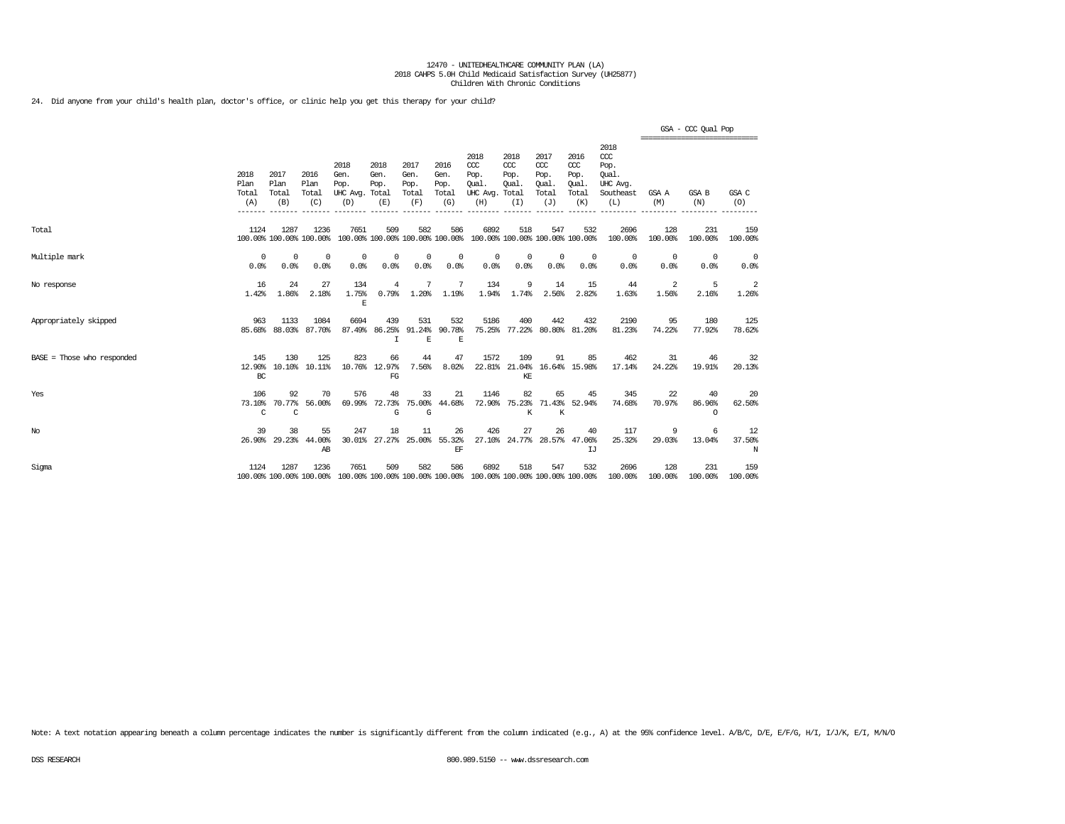24. Did anyone from your child's health plan, doctor's office, or clinic help you get this therapy for your child?

|                              |                              |                              |                                 |                                                                                                 |                             |                                      |                                      |                                                                         |                                          |                                                   |                                              |                                                                   |                                                 | GSA - CCC Qual Pop       |                    |
|------------------------------|------------------------------|------------------------------|---------------------------------|-------------------------------------------------------------------------------------------------|-----------------------------|--------------------------------------|--------------------------------------|-------------------------------------------------------------------------|------------------------------------------|---------------------------------------------------|----------------------------------------------|-------------------------------------------------------------------|-------------------------------------------------|--------------------------|--------------------|
|                              | 2018<br>Plan<br>Total<br>(A) | 2017<br>Plan<br>Total<br>(B) | 2016<br>Plan<br>Total<br>(C)    | 2018<br>Gen.<br>Pop.<br>UHC Avg. Total<br>(D)                                                   | 2018<br>Gen.<br>Pop.<br>(E) | 2017<br>Gen.<br>Pop.<br>Total<br>(F) | 2016<br>Gen.<br>Pop.<br>Total<br>(G) | 2018<br>CCC<br>Pop.<br>Oual.<br>UHC Avg. Total<br>(H)                   | 2018<br>CCC<br>Pop.<br>Oual.<br>(I)      | 2017<br>$\alpha$<br>Pop.<br>Oual.<br>Total<br>(J) | 2016<br>ccc<br>Pop.<br>Oual.<br>Total<br>(K) | 2018<br>$\alpha$<br>Pop.<br>Oual.<br>UHC Avg.<br>Southeast<br>(L) | ===============================<br>GSA A<br>(M) | GSA B<br>(N)             | GSA C<br>(O)       |
| Total                        | 1124                         | 1287                         | 1236<br>100.00% 100.00% 100.00% | 7651                                                                                            | 509                         | 582                                  | 586                                  | 6892<br>100.00% 100.00% 100.00% 100.00% 100.00% 100.00% 100.00% 100.00% | 518                                      | 547                                               | 532                                          | 2696<br>100.00%                                                   | 128<br>100.00%                                  | 231<br>100.00%           | 159<br>100.00%     |
| Multiple mark                | $\Omega$<br>0.0%             | $\Omega$<br>0.0%             | $\Omega$<br>0.0%                | 0<br>0.0%                                                                                       | 0<br>0.0%                   | 0<br>0.0%                            | 0<br>0.0%                            | $^{\circ}$<br>0.0%                                                      | 0<br>0.0%                                | 0<br>0.0%                                         | $^{\circ}$<br>0.0%                           | $^{\circ}$<br>0.0%                                                | $^{\circ}$<br>0.0%                              | $^{\circ}$<br>0.0%       | $^{\circ}$<br>0.0% |
| No response                  | 16<br>1.42%                  | 24<br>1.86%                  | 27<br>2.18%                     | 134<br>1.75%<br>E                                                                               | 4<br>0.79%                  | 7<br>1.20%                           | 7<br>1.19%                           | 134<br>1.94%                                                            | 9<br>1.74%                               | 14<br>2.56%                                       | 15<br>2.82%                                  | 44<br>1.63%                                                       | 2<br>1.56%                                      | 5<br>2.16%               | 2<br>1.26%         |
| Appropriately skipped        | 963<br>85.68%                | 1133<br>88.03%               | 1084<br>87.70%                  | 6694<br>87.49%                                                                                  | 439<br>86.25%<br>$\tau$     | 531<br>91.24%<br>E                   | 532<br>90.78%<br>E                   | 5186                                                                    | 400<br>75.25% 77.22% 80.80% 81.20%       | 442                                               | 432                                          | 2190<br>81.23%                                                    | 95<br>74.22%                                    | 180<br>77.92%            | 125<br>78.62%      |
| $BASE = Those who responded$ | 145<br>12.90%<br>BC          | 130<br>10.10%                | 125<br>10.11%                   | 823                                                                                             | 66<br>10.76% 12.97%<br>FG   | 44<br>7.56%                          | 47<br>8.02%                          | 1572                                                                    | 109<br>22.81% 21.04% 16.64% 15.98%<br>KE | 91                                                | 85                                           | 462<br>17.14%                                                     | 31<br>24.22%                                    | 46<br>19.91%             | 32<br>20.13%       |
| Yes                          | 106<br>73.10%<br>C           | 92<br>70.77%<br>C            | 70<br>56.00%                    | 576<br>69.99%                                                                                   | 48<br>72.73%<br>G           | 33<br>G                              | 21<br>75.00% 44.68%                  | 1146<br>72.90%                                                          | 82<br>К                                  | 65<br>K                                           | 45<br>75.23% 71.43% 52.94%                   | 345<br>74.68%                                                     | 22<br>70.97%                                    | 40<br>86.96%<br>$\Omega$ | 20<br>62.50%       |
| No                           | 39                           | 38<br>26.90% 29.23%          | 55<br>44.00%<br>AB              | 247<br>30.01%                                                                                   | 18                          | 11<br>27.27% 25.00%                  | 26<br>55.32%<br>EF                   | 426                                                                     | 27                                       | 26                                                | 40<br>27.10% 24.77% 28.57% 47.06%<br>IJ      | 117<br>25.32%                                                     | 9<br>29.03%                                     | 13.04%                   | 12<br>37.50%<br>N  |
| Sigma                        | 1124                         | 1287                         | 1236                            | 7651<br>100.00% 100.00% 100.00% 100.00% 100.00% 100.00% 100.00% 100.00% 100.00% 100.00% 100.00% | 509                         | 582                                  | 586                                  | 6892                                                                    | 518                                      | 547                                               | 532                                          | 2696<br>100.00%                                                   | 128<br>100.00%                                  | 231<br>100.00%           | 159<br>100.00%     |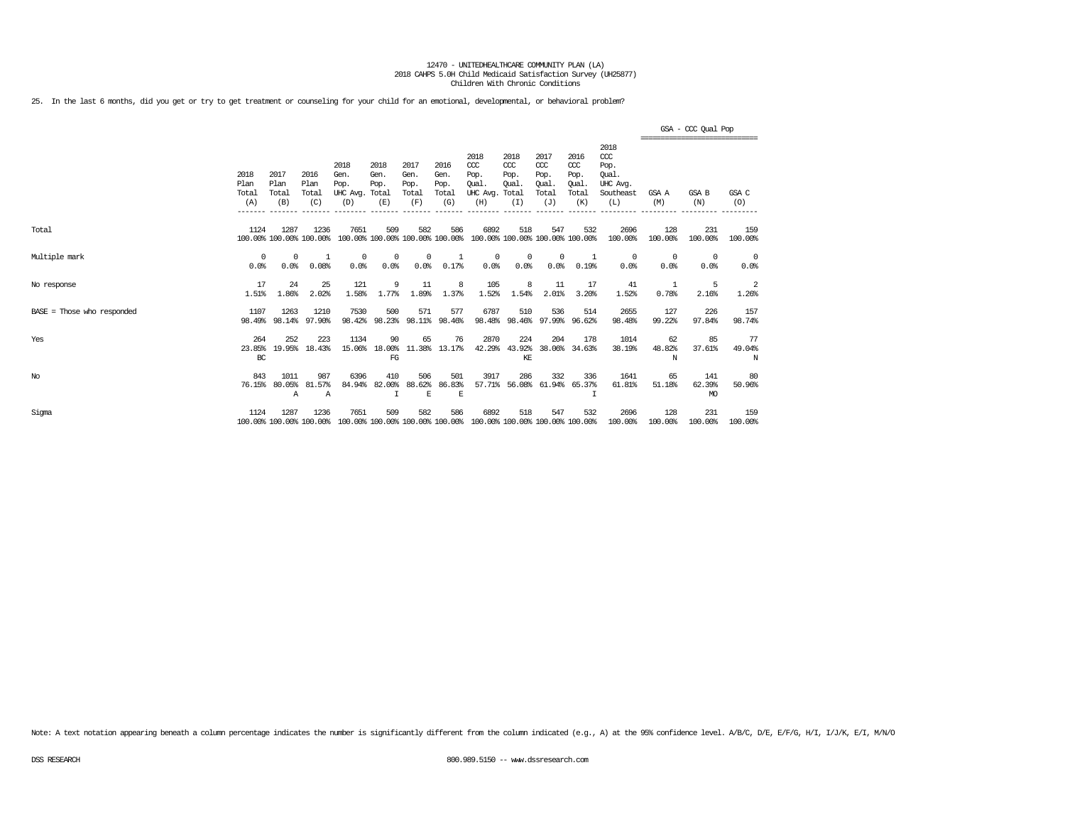25. In the last 6 months, did you get or try to get treatment or counseling for your child for an emotional, developmental, or behavioral problem?

|                              |                              |                              |                                 |                                               |                                        |                                      |                                      |                                                  |                                             |                                                   |                                                  |                                                              | =============================== | GSA - CCC Qual Pop         |                    |
|------------------------------|------------------------------|------------------------------|---------------------------------|-----------------------------------------------|----------------------------------------|--------------------------------------|--------------------------------------|--------------------------------------------------|---------------------------------------------|---------------------------------------------------|--------------------------------------------------|--------------------------------------------------------------|---------------------------------|----------------------------|--------------------|
|                              | 2018<br>Plan<br>Total<br>(A) | 2017<br>Plan<br>Total<br>(B) | 2016<br>Plan<br>Total<br>(C)    | 2018<br>Gen.<br>Pop.<br>UHC Avg. Total<br>(D) | 2018<br>Gen.<br>Pop.<br>(E)            | 2017<br>Gen.<br>Pop.<br>Total<br>(F) | 2016<br>Gen.<br>Pop.<br>Total<br>(G) | 2018<br>$CC$<br>Pop.<br>Oual.<br>UHC Avg.<br>(H) | 2018<br>CCC<br>Pop.<br>Oual<br>Total<br>(I) | 2017<br>$\alpha$<br>Pop.<br>Oual.<br>Total<br>(J) | 2016<br>$\alpha$<br>Pop.<br>Oual<br>Total<br>(K) | 2018<br>ccc<br>Pop.<br>Oual.<br>UHC Avq.<br>Southeast<br>(L) | GSA A<br>(M)                    | GSA B<br>(N)               | GSA C<br>(O)       |
| Total                        | 1124                         | 1287                         | 1236<br>100.00% 100.00% 100.00% | 7651                                          | 509<br>100.00% 100.00% 100.00% 100.00% | 582                                  | 586                                  | 6892                                             | 518<br>100.00% 100.00% 100.00% 100.00%      | 547                                               | 532                                              | 2696<br>100.00%                                              | 128<br>100.00%                  | 231<br>100.00%             | 159<br>100.00%     |
| Multiple mark                | $^{\circ}$<br>0.0%           | $\Omega$<br>0.0%             | $\overline{1}$<br>0.08%         | $^{\circ}$<br>0.0%                            | $\Omega$<br>0.0%                       | $\Omega$<br>0.0%                     | 0.17%                                | 0<br>0.0%                                        | 0<br>0.0%                                   | $\Omega$<br>0.0%                                  | 0.19%                                            | 0<br>0.0%                                                    | $^{\circ}$<br>0.0%              | $\Omega$<br>0.0%           | $^{\circ}$<br>0.0% |
| No response                  | 17<br>1.51%                  | 24<br>1.86%                  | 25<br>2.02%                     | 121<br>1.58%                                  | 9<br>1.77%                             | 11<br>1.89%                          | 8<br>1.37%                           | 105<br>1.52%                                     | 8<br>1.54%                                  | 11<br>2.01%                                       | 17<br>3.20%                                      | 41<br>1.52%                                                  | 1<br>0.78%                      | 5<br>2.16%                 | 2<br>1.26%         |
| $BASE = Those who responded$ | 1107<br>98.49%               | 1263<br>98.14%               | 1210<br>97.90%                  | 7530<br>98.42%                                | 500<br>98.23%                          | 571                                  | 577<br>98.11% 98.46%                 | 6787<br>98.48%                                   | 510                                         | 536<br>98.46% 97.99%                              | 514<br>96.62%                                    | 2655<br>98.48%                                               | 127<br>99.22%                   | 226<br>97.84%              | 157<br>98.74%      |
| Yes                          | 264<br>23.85%<br>BC          | 252<br>19.95%                | 223<br>18.43%                   | 1134<br>15.06%                                | 90<br>18.00%<br>FG                     | 65<br>11.38%                         | 76<br>13.17%                         | 2870<br>42.29%                                   | 224<br>43.92%<br>KE                         | 204<br>38,06%                                     | 178<br>34.63%                                    | 1014<br>38.19%                                               | 62<br>48.82%<br>N               | 85<br>37.61%               | 77<br>49.04%<br>N  |
| No                           | 843<br>76.15%                | 1011<br>80.05%<br>Α          | 987<br>81.57%<br>$\mathbb{A}$   | 6396<br>84.94%                                | 410<br>82.00%                          | 506<br>88.62%<br>E                   | 501<br>86.83%<br>E                   | 3917<br>57.71%                                   | 286                                         | 332<br>56.08% 61.94%                              | 336<br>65.37%                                    | 1641<br>61.81%                                               | 65<br>51.18%                    | 141<br>62.39%<br><b>MO</b> | -80<br>50.96%      |
| Sigma                        | 1124                         | 1287                         | 1236<br>100.00% 100.00% 100.00% | 7651                                          | 509<br>100.00% 100.00% 100.00% 100.00% | 582                                  | 586                                  | 6892<br>100.00% 100.00% 100.00% 100.00%          | 518                                         | 547                                               | 532                                              | 2696<br>100.00%                                              | 128<br>100.00%                  | 231<br>100.00%             | 159<br>100.00%     |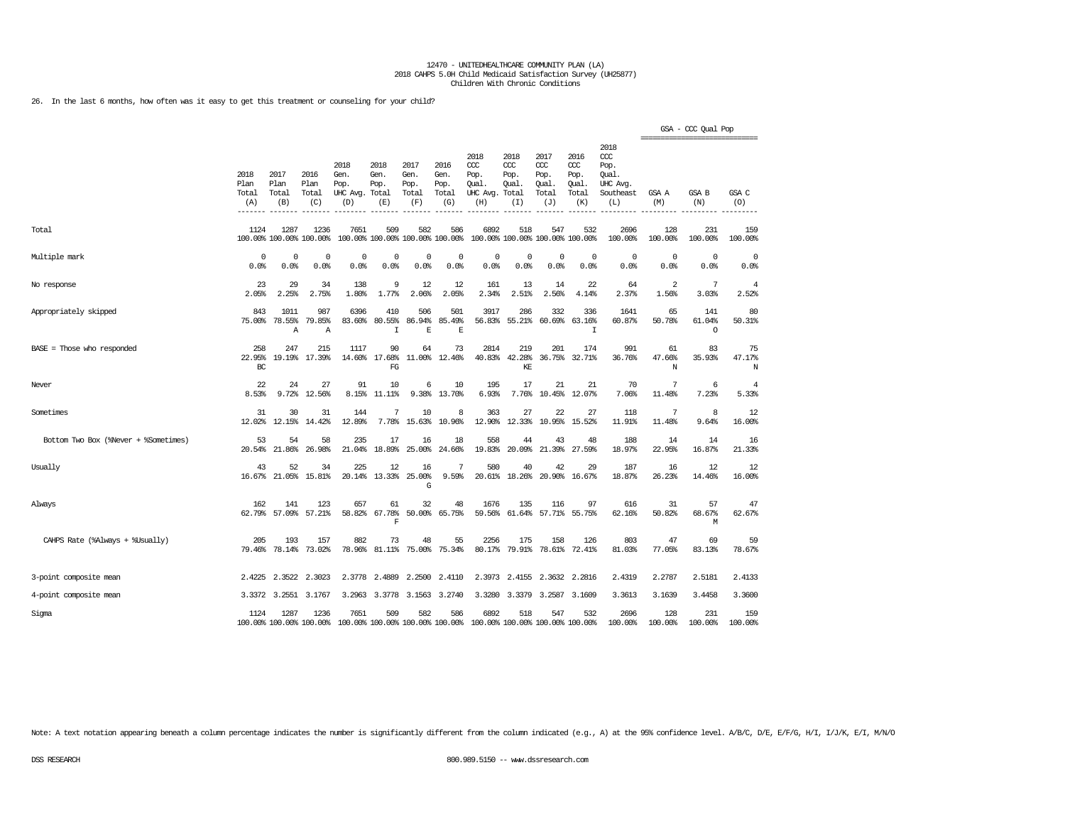26. In the last 6 months, how often was it easy to get this treatment or counseling for your child?

|                                      |                                       |                                |                                 |                                         |                                      |                                        |                                      |                                                       |                                     |                                                   |                                              |                                                                    | ================================ | GSA - CCC Qual Pop       |                         |
|--------------------------------------|---------------------------------------|--------------------------------|---------------------------------|-----------------------------------------|--------------------------------------|----------------------------------------|--------------------------------------|-------------------------------------------------------|-------------------------------------|---------------------------------------------------|----------------------------------------------|--------------------------------------------------------------------|----------------------------------|--------------------------|-------------------------|
|                                      | 2018<br>Plan<br>Total<br>(A)<br>$---$ | 2017<br>Plan<br>Total<br>(B)   | 2016<br>Plan<br>Total<br>(C)    | 2018<br>Gen.<br>Pop.<br>UHC Avg.<br>(D) | 2018<br>Gen.<br>Pop.<br>Total<br>(E) | 2017<br>Gen.<br>Pop.<br>Total<br>(F)   | 2016<br>Gen.<br>Pop.<br>Total<br>(G) | 2018<br>ccc<br>Pop.<br>Oual.<br>UHC Avg. Total<br>(H) | 2018<br>ccc<br>Pop.<br>Oual.<br>(I) | 2017<br>$\alpha$<br>Pop.<br>Oual.<br>Total<br>(J) | 2016<br>ccc<br>Pop.<br>Oual.<br>Total<br>(K) | 2018<br>ccc<br>Pop.<br>Oual.<br><b>UHC</b> Avg<br>Southeast<br>(L) | GSA A<br>(M)                     | GSA B<br>(N)             | GSA C<br>(O)            |
| Total                                | 1124                                  | 1287                           | 1236<br>100.00% 100.00% 100.00% | 7651                                    | 509                                  | 582<br>100.00% 100.00% 100.00% 100.00% | 586                                  | 6892                                                  | 518                                 | 547<br>100.00% 100.00% 100.00% 100.00%            | 532                                          | 2696<br>100.00%                                                    | 128<br>100.00%                   | 231<br>100.00%           | 159<br>100.00%          |
| Multiple mark                        | 0<br>0.0%                             | 0<br>0.0%                      | 0<br>0.0%                       | $\mathbf 0$<br>0.0%                     | $\Omega$<br>0.0%                     | $\mathbf 0$<br>0.0%                    | $\mathbf 0$<br>0.0%                  | 0<br>0.0%                                             | $^{\circ}$<br>0.0%                  | $\Omega$<br>0.0%                                  | $\Omega$<br>0.0%                             | $^{\circ}$<br>0.0%                                                 | 0<br>0.0%                        | 0<br>0.0%                | 0<br>0.0%               |
| No response                          | 23<br>2.05%                           | 29<br>2.25%                    | 34<br>2.75%                     | 138<br>1.80%                            | 9<br>1.77%                           | 12<br>2.06%                            | 12<br>2.05%                          | 161<br>2.34%                                          | 13<br>2.51%                         | 14<br>2.56%                                       | 22<br>4.14%                                  | 64<br>2.37%                                                        | 2<br>1.56%                       | 7<br>3.03%               | $\overline{4}$<br>2.52% |
| Appropriately skipped                | 843<br>75.00%                         | 1011<br>78.55%<br>$\mathbb{A}$ | 987<br>79.85%<br>Α              | 6396<br>83.60%                          | 410<br>80.55%<br>$\mathbf I$         | 506<br>86.94%<br>E                     | 501<br>85.49%<br>E                   | 3917<br>56.83%                                        | 286<br>55.21%                       | 332<br>60.69%                                     | 336<br>63.16%<br>I                           | 1641<br>60.87%                                                     | 65<br>50.78%                     | 141<br>61.04%<br>$\circ$ | 80<br>50.31%            |
| $BASE = Those who responded$         | 258<br>22.95%<br>BC                   | 247<br>19.19%                  | 215<br>17.39%                   | 1117<br>14.60%                          | 90<br>17.68%<br>FG                   | 64<br>11.00%                           | 73<br>12.46%                         | 2814<br>40.83%                                        | 219<br>42.28%<br>KE                 | 201<br>36.75%                                     | 174<br>32.71%                                | 991<br>36.76%                                                      | 61<br>47.66%<br>N                | 83<br>35.93%             | 75<br>47.17%<br>Ν       |
| Never                                | 22<br>8.53%                           | 24<br>9.72%                    | 27<br>12.56%                    | 91<br>8.15%                             | 10<br>11.11%                         | 6<br>9.38%                             | 10<br>13.70%                         | 195<br>6.93%                                          | 17<br>7.76%                         | 21<br>10.45%                                      | 21<br>12.07%                                 | 70<br>7.06%                                                        | 7<br>11.48%                      | 6<br>7.23%               | $\overline{4}$<br>5.33% |
| Sometimes                            | 31<br>12.02%                          | 30<br>12.15%                   | 31<br>14.42%                    | 144<br>12.89%                           | 7<br>7.78%                           | 10<br>15.63%                           | 8<br>10.96%                          | 363<br>12.90%                                         | 27<br>12.33%                        | 22<br>10.95%                                      | 27<br>15.52%                                 | 118<br>11.91%                                                      | 7<br>11.48%                      | 8<br>9.64%               | 12<br>16.00%            |
| Bottom Two Box (%Never + %Sometimes) | 53<br>20.54%                          | 54<br>21.86%                   | 58<br>26.98%                    | 235<br>21.04%                           | 17<br>18.89%                         | 16<br>25.00%                           | 18<br>24.66%                         | 558<br>19.83%                                         | 44<br>20.09%                        | 43<br>21.39%                                      | 48<br>27.59%                                 | 188<br>18.97%                                                      | 14<br>22.95%                     | 14<br>16.87%             | 16<br>21.33%            |
| Usually                              | 43<br>16.67%                          | 52<br>21.05%                   | 34<br>15.81%                    | 225<br>20.14%                           | 12<br>13.33%                         | 16<br>25.00%<br>G                      | 7<br>9.59%                           | 580<br>20.61%                                         | 40<br>18.26%                        | 42<br>20.90%                                      | 29<br>16.67%                                 | 187<br>18.87%                                                      | 16<br>26.23%                     | 12<br>14.46%             | 12<br>16.00%            |
| Always                               | 162<br>62.79%                         | 141<br>57.09%                  | 123<br>57.21%                   | 657<br>58.82%                           | 61<br>67.78%<br>$\overline{F}$       | 32<br>50.00%                           | 48<br>65.75%                         | 1676<br>59.56%                                        | 135<br>61.64%                       | 116                                               | 97<br>57.71% 55.75%                          | 616<br>62.16%                                                      | 31<br>50.82%                     | 57<br>68.67%<br>M        | 47<br>62.67%            |
| CAHPS Rate (%Always + %Usually)      | 205<br>79.46%                         | 193<br>78.14%                  | 157<br>73.02%                   | 882<br>78.96%                           | 73<br>81.11%                         | 48<br>75.00%                           | 55<br>75.34%                         | 2256<br>80.17%                                        | 175<br>79.91%                       | 158<br>78.61%                                     | 126<br>72.41%                                | 803<br>81.03%                                                      | 47<br>77.05%                     | 69<br>83.13%             | 59<br>78.67%            |
| 3-point composite mean               | 2.4225                                | 2.3522                         | 2.3023                          | 2.3778                                  | 2.4889                               | 2,2500                                 | 2.4110                               | 2.3973                                                | 2.4155                              | 2.3632                                            | 2.2816                                       | 2.4319                                                             | 2.2787                           | 2.5181                   | 2.4133                  |
| 4-point composite mean               | 3.3372                                | 3.2551                         | 3.1767                          | 3.2963                                  | 3.3778                               | 3.1563                                 | 3.2740                               | 3.3280                                                | 3.3379                              | 3.2587                                            | 3.1609                                       | 3.3613                                                             | 3.1639                           | 3.4458                   | 3.3600                  |
| Sigma                                | 1124                                  | 1287                           | 1236<br>100.00% 100.00% 100.00% | 7651<br>100.00% 100.00% 100.00% 100.00% | 509                                  | 582                                    | 586                                  | 6892<br>100.00% 100.00% 100.00% 100.00%               | 518                                 | 547                                               | 532                                          | 2696<br>100.00%                                                    | 128<br>100.00%                   | 231<br>100.00%           | 159<br>100.00%          |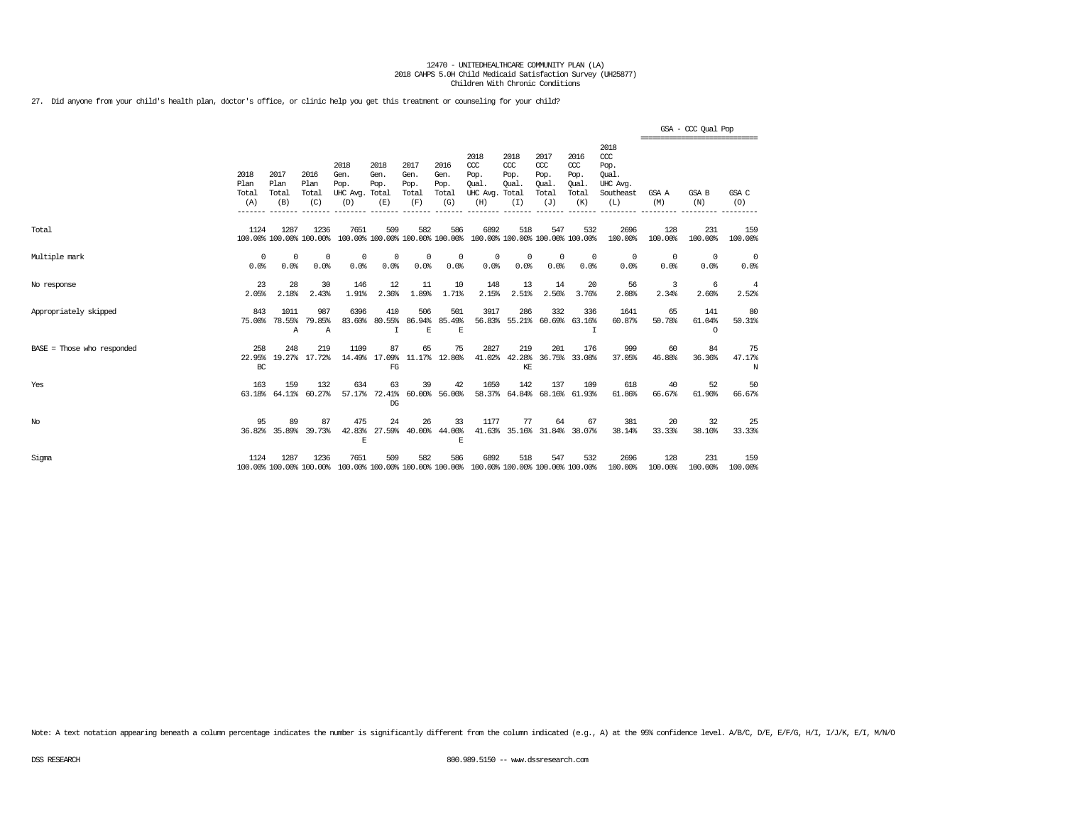27. Did anyone from your child's health plan, doctor's office, or clinic help you get this treatment or counseling for your child?

|                              |                                         |                              |                                 |                                               |                                    |                                      |                                      |                                                                         |                                      |                                                   |                                              |                                                                 | ----------------------------- | GSA - CCC Qual Pop       |                    |
|------------------------------|-----------------------------------------|------------------------------|---------------------------------|-----------------------------------------------|------------------------------------|--------------------------------------|--------------------------------------|-------------------------------------------------------------------------|--------------------------------------|---------------------------------------------------|----------------------------------------------|-----------------------------------------------------------------|-------------------------------|--------------------------|--------------------|
|                              | 2018<br>Plan<br>Total<br>(A)<br>------- | 2017<br>Plan<br>Total<br>(B) | 2016<br>Plan<br>Total<br>(C)    | 2018<br>Gen.<br>Pop.<br>UHC Avg. Total<br>(D) | 2018<br>Gen.<br>Pop.<br>(E)        | 2017<br>Gen.<br>Pop.<br>Total<br>(F) | 2016<br>Gen.<br>Pop.<br>Total<br>(G) | 2018<br>CCC<br>Pop.<br>Oual.<br>UHC Avg. Total<br>(H)                   | 2018<br>$CC$<br>Pop.<br>Qual.<br>(I) | 2017<br>$\alpha$<br>Pop.<br>Oual.<br>Total<br>(J) | 2016<br>ccc<br>Pop.<br>Qual.<br>Total<br>(K) | 2018<br>$\csc$<br>Pop.<br>Oual.<br>UHC Avg.<br>Southeast<br>(L) | GSA A<br>(M)                  | GSA B<br>(N)             | GSA C<br>(O)       |
| Total                        | 1124                                    | 1287                         | 1236<br>100.00% 100.00% 100.00% | 7651                                          | 509                                | 582                                  | 586                                  | 6892<br>100.00% 100.00% 100.00% 100.00% 100.00% 100.00% 100.00% 100.00% | 518                                  | 547                                               | 532                                          | 2696<br>100.00%                                                 | 128<br>100.00%                | 231<br>100.00%           | 159<br>100.00%     |
| Multiple mark                | 0<br>0.0%                               | $^{\circ}$<br>0.0%           | 0<br>0.0%                       | $^{\circ}$<br>0.0%                            | $^{\circ}$<br>0.0%                 | $^{\circ}$<br>0.0%                   | 0<br>0.0%                            | $^{\circ}$<br>0.0%                                                      | 0<br>0.0%                            | $^{\circ}$<br>0.0%                                | $^{\circ}$<br>0.0%                           | $^{\circ}$<br>0.0%                                              | 0<br>0.0%                     | $^{\circ}$<br>0.0%       | $^{\circ}$<br>0.0% |
| No response                  | 23<br>2.05%                             | 28<br>2.18%                  | 30<br>2.43%                     | 146<br>1.91%                                  | 12<br>2.36%                        | 11<br>1.89%                          | 10<br>1.71%                          | 148<br>2.15%                                                            | 13<br>2.51%                          | 14<br>2.56%                                       | 20<br>3.76%                                  | 56<br>2.08%                                                     | 3<br>2.34%                    | 6<br>2.60%               | -4<br>2.52%        |
| Appropriately skipped        | 843<br>75.00%                           | 1011<br>78.55%<br>А          | 987<br>79.85%<br>Α              | 6396<br>83.60%                                | 410<br>80.55%<br>I                 | 506<br>E                             | 501<br>86.94% 85.49%<br>E            | 3917<br>56.83%                                                          | 286                                  | 332<br>55.21% 60.69%                              | 336<br>63.16%<br>I                           | 1641<br>60.87%                                                  | 65<br>50.78%                  | 141<br>61.04%<br>$\circ$ | 80<br>50.31%       |
| $BASE = Those who responded$ | 258<br>22.95%<br>BC                     | 248                          | 219<br>19.27% 17.72%            | 1109<br>14.49%                                | 87<br>17.09%<br>FG                 | 65                                   | 75<br>11.17% 12.80%                  | 2827<br>41.02%                                                          | 219<br>42.28%<br>KE                  | 201<br>36.75%                                     | 176<br>33.08%                                | 999<br>37.05%                                                   | 60<br>46.88%                  | 84<br>36.36%             | 75<br>47.17%<br>N  |
| Yes                          | 163<br>63.18%                           | 159<br>64.11%                | 132<br>60.27%                   | 634                                           | 63<br>57.17% 72.41%<br>$_{\rm DG}$ | 39<br>60.00%                         | 42<br>56.00%                         | 1650                                                                    | 142                                  | 137                                               | 109<br>58.37% 64.84% 68.16% 61.93%           | 618<br>61.86%                                                   | 40<br>66.67%                  | 52<br>61.90%             | 50<br>66.67%       |
| $_{\mathrm{No}}$             | 95                                      | 89<br>36.82% 35.89%          | 87<br>39.73%                    | 475<br>42.83%<br>E                            | 24<br>27.59%                       | 26<br>40.00%                         | 33<br>44.00%<br>E                    | 1177                                                                    | 77                                   | 64                                                | 67<br>41.63% 35.16% 31.84% 38.07%            | 381<br>38.14%                                                   | 20<br>33.33%                  | 32<br>38.10%             | 25<br>33.33%       |
| Sigma                        | 1124                                    | 1287                         | 1236<br>100.00% 100.00% 100.00% | 7651                                          | 509                                | 582                                  | 586                                  | 6892<br>100.00% 100.00% 100.00% 100.00% 100.00% 100.00% 100.00% 100.00% | 518                                  | 547                                               | 532                                          | 2696<br>100.00%                                                 | 128<br>100.00%                | 231<br>100.00%           | 159<br>100.00%     |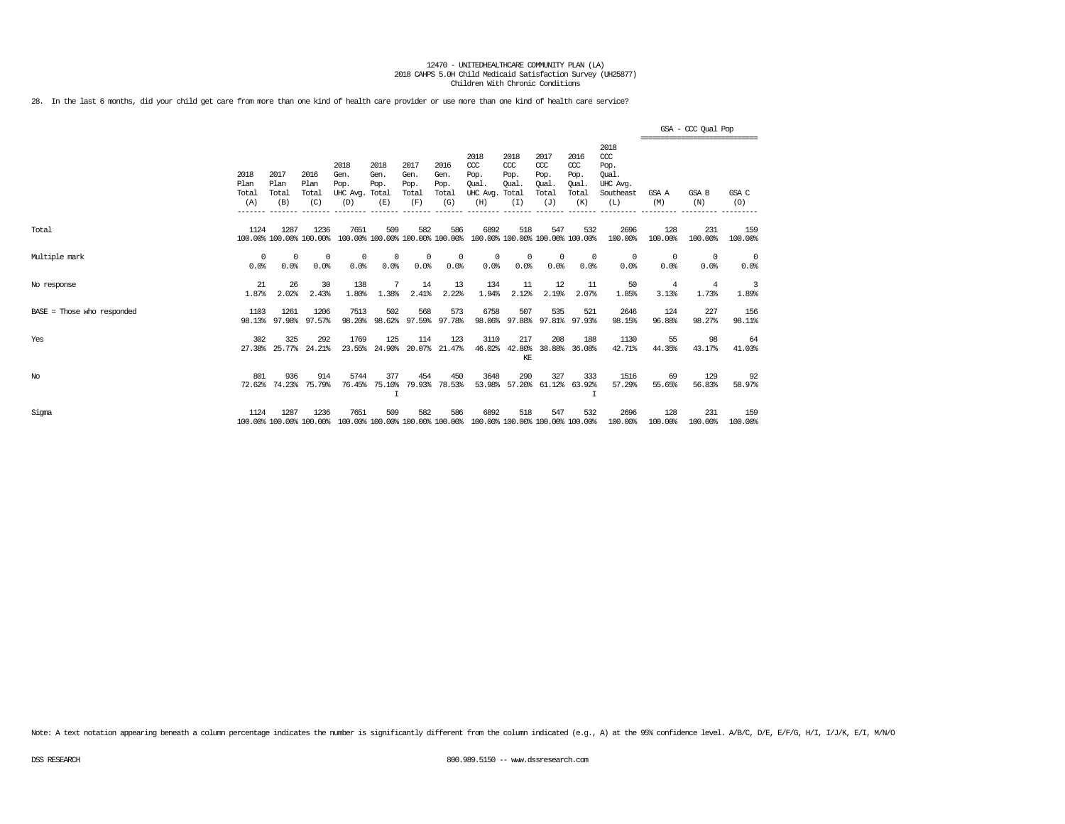28. In the last 6 months, did your child get care from more than one kind of health care provider or use more than one kind of health care service?

|                              |                              |                              |                                 |                                         |                                        |                                      |                                      |                                                                         |                                              |                                                   |                                                         |                                                                   | =============================== | GSA - CCC Qual Pop |                 |
|------------------------------|------------------------------|------------------------------|---------------------------------|-----------------------------------------|----------------------------------------|--------------------------------------|--------------------------------------|-------------------------------------------------------------------------|----------------------------------------------|---------------------------------------------------|---------------------------------------------------------|-------------------------------------------------------------------|---------------------------------|--------------------|-----------------|
|                              | 2018<br>Plan<br>Total<br>(A) | 2017<br>Plan<br>Total<br>(B) | 2016<br>Plan<br>Total<br>(C)    | 2018<br>Gen.<br>Pop.<br>UHC Avg.<br>(D) | 2018<br>Gen.<br>Pop.<br>Total<br>(E)   | 2017<br>Gen.<br>Pop.<br>Total<br>(F) | 2016<br>Gen.<br>Pop.<br>Total<br>(G) | 2018<br>CCC<br>Pop.<br>Oual.<br>UHC Avg.<br>(H)                         | 2018<br>CCC<br>Pop.<br>Oual.<br>Total<br>(I) | 2017<br>$\alpha$<br>Pop.<br>Oual.<br>Total<br>(J) | 2016<br>$\alpha$<br>Pop.<br><b>Oual</b><br>Total<br>(K) | 2018<br>$\alpha$<br>Pop.<br>Oual.<br>UHC Avg.<br>Southeast<br>(L) | GSA A<br>(M)                    | GSA B<br>(N)       | GSA C<br>(O)    |
| Total                        | 1124                         | 1287                         | 1236<br>100.00% 100.00% 100.00% | 7651                                    | 509<br>100.00% 100.00% 100.00% 100.00% | 582                                  | 586                                  | 6892                                                                    | 518<br>100.00% 100.00% 100.00% 100.00%       | 547                                               | 532                                                     | 2696<br>100.00%                                                   | 128<br>100.00%                  | 231<br>100.00%     | 159<br>100.00%  |
| Multiple mark                | $\Omega$<br>0.0%             | $\Omega$<br>0.0%             | $^{\circ}$<br>0.0%              | 0<br>0.0%                               | 0<br>0.0%                              | $\Omega$<br>0.0%                     | $\Omega$<br>0.0%                     | $\Omega$<br>0.0%                                                        | 0<br>0.0%                                    | $\mathbf 0$<br>0.0%                               | 0<br>0.0%                                               | $^{\circ}$<br>0.0%                                                | $^{\circ}$<br>0.0%              | $^{\circ}$<br>0.0% | $\circ$<br>0.0% |
| No response                  | 21<br>1.87%                  | 26<br>2.02%                  | 30<br>2.43%                     | 138<br>1.80%                            | 7<br>1.38%                             | 14<br>2.41%                          | 13<br>2.22%                          | 134<br>1.94%                                                            | 11<br>2.12%                                  | 12<br>2.19%                                       | 11<br>2.07%                                             | 50<br>1.85%                                                       | 4<br>3.13%                      | 4<br>1.73%         | 3<br>1.89%      |
| $BASE = Those who responded$ | 1103<br>98.13%               | 1261<br>97.98%               | 1206<br>97.57%                  | 7513<br>98.20%                          | 502<br>98.62%                          | 568<br>97.59%                        | 573<br>97.78%                        | 6758<br>98.06%                                                          | 507                                          | 535<br>97.88% 97.81% 97.93%                       | 521                                                     | 2646<br>98.15%                                                    | 124<br>96.88%                   | 227<br>98.27%      | 156<br>98.11%   |
| Yes                          | 302<br>27.38%                | 325<br>25.77%                | 292<br>24.21%                   | 1769<br>23.55%                          | 125<br>24.90%                          | 114<br>20.07%                        | 123<br>21.47%                        | 3110<br>46.02%                                                          | 217<br>42.80%<br>KE                          | 208<br>38.88%                                     | 188<br>36.08%                                           | 1130<br>42.71%                                                    | 55<br>44.35%                    | 98<br>43.17%       | 64<br>41.03%    |
| No                           | 801<br>72.62%                | 936<br>74.23%                | 914<br>75.79%                   | 5744<br>76.45%                          | 377<br>75.10%<br>I                     | 454<br>79.93%                        | 450<br>78.53%                        | 3648<br>53.98%                                                          | 290                                          | 327<br>57.20% 61.12%                              | 333<br>63.92%                                           | 1516<br>57.29%                                                    | 69<br>55.65%                    | 129<br>56.83%      | 92<br>58.97%    |
| Sigma                        | 1124                         | 1287                         | 1236<br>100.00% 100.00% 100.00% | 7651                                    | 509                                    | 582                                  | 586                                  | 6892<br>100.00% 100.00% 100.00% 100.00% 100.00% 100.00% 100.00% 100.00% | 518                                          | 547                                               | 532                                                     | 2696<br>100.00%                                                   | 128<br>100.00%                  | 231<br>100.00%     | 159<br>100.00%  |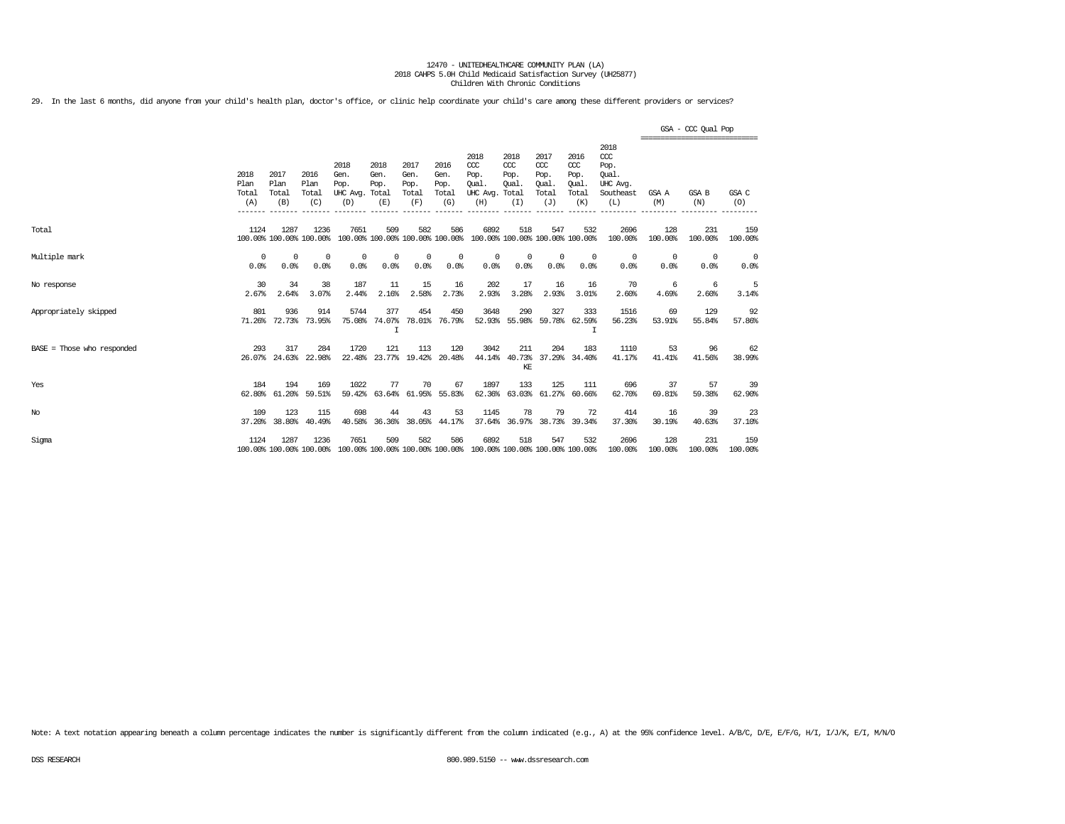29. In the last 6 months, did anyone from your child's health plan, doctor's office, or clinic help coordinate your child's care among these different providers or services?

|                              |                              |                              |                                 |                                         |                                      |                                      |                                        |                                                                         |                                              |                                                   |                                              |                                                              |                        | GSA - CCC Qual Pop                              |                        |
|------------------------------|------------------------------|------------------------------|---------------------------------|-----------------------------------------|--------------------------------------|--------------------------------------|----------------------------------------|-------------------------------------------------------------------------|----------------------------------------------|---------------------------------------------------|----------------------------------------------|--------------------------------------------------------------|------------------------|-------------------------------------------------|------------------------|
|                              | 2018<br>Plan<br>Total<br>(A) | 2017<br>Plan<br>Total<br>(B) | 2016<br>Plan<br>Total<br>(C)    | 2018<br>Gen.<br>Pop.<br>UHC Avg.<br>(D) | 2018<br>Gen.<br>Pop.<br>Total<br>(E) | 2017<br>Gen.<br>Pop.<br>Total<br>(F) | 2016<br>Gen.<br>Pop.<br>Total<br>(G)   | 2018<br>$CC$<br>Pop.<br>Oual.<br>UHC Avg.<br>(H)                        | 2018<br>CCC<br>Pop.<br>Qual.<br>Total<br>(I) | 2017<br>$\alpha$<br>Pop.<br>Oual.<br>Total<br>(J) | 2016<br>ccc<br>Pop.<br>Oual.<br>Total<br>(K) | 2018<br>ccc<br>Pop.<br>Oual.<br>UHC Avg.<br>Southeast<br>(L) | GSA A<br>(M)           | ===============================<br>GSA B<br>(N) | GSA C<br>(O)           |
| Total                        | 1124                         | 1287                         | 1236<br>100.00% 100.00% 100.00% | 7651                                    | 509                                  | 582                                  | 586<br>100.00% 100.00% 100.00% 100.00% | 6892                                                                    | 518                                          | 547<br>100.00% 100.00% 100.00% 100.00%            | 532                                          | 2696<br>100.00%                                              | 128<br>100.00%         | 231<br>100.00%                                  | 159<br>100.00%         |
| Multiple mark                | $^{\circ}$<br>0.0%           | $^{\circ}$<br>0.0%           | $^{\circ}$<br>0.0%              | $^{\circ}$<br>0.0%                      | 0<br>0.0%                            | $^{\circ}$<br>0.0%                   | 0<br>0.0%                              | $^{\circ}$<br>0.0%                                                      | $^{\circ}$<br>0.0%                           | $^{\circ}$<br>0.0%                                | $^{\circ}$<br>0.0%                           | $\circ$<br>0.0%                                              | $\overline{0}$<br>0.0% | $^{\circ}$<br>0.0%                              | $\overline{0}$<br>0.0% |
| No response                  | 30<br>2.67%                  | 34<br>2.64%                  | 38<br>3.07%                     | 187<br>2.44%                            | 11<br>2.16%                          | 15<br>2.58%                          | 16<br>2.73%                            | 202<br>2.93%                                                            | 17<br>3.28%                                  | 16<br>2.93%                                       | 16<br>3.01%                                  | 70<br>2.60%                                                  | 6<br>4.69%             | -6<br>2.60%                                     | 5<br>3.14%             |
| Appropriately skipped        | 801                          | 936<br>71.26% 72.73% 73.95%  | 914                             | 5744<br>75.08%                          | 377<br>74.07%                        | 454                                  | 450<br>78.01% 76.79%                   | 3648                                                                    | 290                                          | 327<br>52.93% 55.98% 59.78% 62.59%                | 333                                          | 1516<br>56.23%                                               | 69<br>53.91%           | 129<br>55.84%                                   | 92<br>57.86%           |
| $BASE = Those who responded$ | 293                          | 317<br>26.07% 24.63%         | 284<br>22.98%                   | 1720<br>22.48%                          | 121<br>23.77%                        | 113                                  | 120<br>19.42% 20.48%                   | 3042                                                                    | 211<br>KE                                    | 204<br>44.14% 40.73% 37.29% 34.40%                | 183                                          | 1110<br>41.17%                                               | 53<br>41.41%           | 96<br>41.56%                                    | 62<br>38.99%           |
| Yes                          | 184<br>62.80%                | 194<br>61.20%                | 169<br>59.51%                   | 1022<br>59.42%                          | 77<br>63.64%                         | 70                                   | 67<br>61.95% 55.83%                    | 1897                                                                    | 133                                          | 125<br>62.36% 63.03% 61.27%                       | 111<br>60.66%                                | 696<br>62.70%                                                | 37<br>69.81%           | 57<br>59.38%                                    | 39<br>62.90%           |
| $_{\mathrm{No}}$             | 109<br>37.20%                | 123<br>38.80%                | 115<br>40.49%                   | 698<br>40.58%                           | 44<br>36.36%                         | 43                                   | 53<br>38.05% 44.17%                    | 1145                                                                    | 78                                           | 79                                                | 72<br>37.64% 36.97% 38.73% 39.34%            | 414<br>37.30%                                                | 16<br>30.19%           | 39<br>40.63%                                    | 23<br>37.10%           |
| Sigma                        | 1124                         | 1287                         | 1236<br>100.00% 100.00% 100.00% | 7651                                    | 509                                  | 582                                  | 586                                    | 6892<br>100.00% 100.00% 100.00% 100.00% 100.00% 100.00% 100.00% 100.00% | 518                                          | 547                                               | 532                                          | 2696<br>100.00%                                              | 128<br>100.00%         | 231<br>100.00%                                  | 159<br>100.00%         |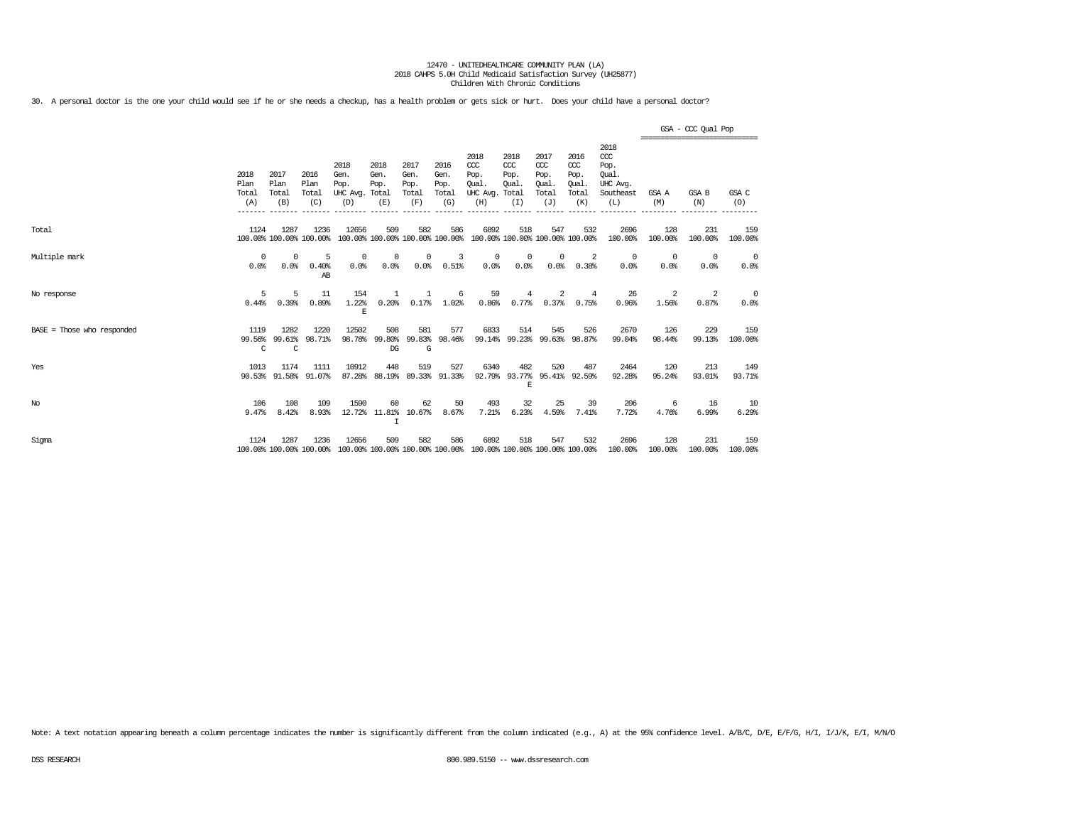30. A personal doctor is the one your child would see if he or she needs a checkup, has a health problem or gets sick or hurt. Does your child have a personal doctor?

|                              |                              |                              |                                 |                                               |                                            |                                      |                                      |                                                                         |                                              |                                                   |                                              |                                                                   |                        | GSA - CCC Qual Pop<br>------------------------------ |                                 |
|------------------------------|------------------------------|------------------------------|---------------------------------|-----------------------------------------------|--------------------------------------------|--------------------------------------|--------------------------------------|-------------------------------------------------------------------------|----------------------------------------------|---------------------------------------------------|----------------------------------------------|-------------------------------------------------------------------|------------------------|------------------------------------------------------|---------------------------------|
|                              | 2018<br>Plan<br>Total<br>(A) | 2017<br>Plan<br>Total<br>(B) | 2016<br>Plan<br>Total<br>(C)    | 2018<br>Gen.<br>Pop.<br>UHC Avg. Total<br>(D) | 2018<br>Gen.<br>Pop.<br>(E)                | 2017<br>Gen.<br>Pop.<br>Total<br>(F) | 2016<br>Gen.<br>Pop.<br>Total<br>(G) | 2018<br>CCC<br>Pop.<br>Oual.<br>UHC Avg.<br>(H)                         | 2018<br>CCC<br>Pop.<br>Oual.<br>Total<br>(I) | 2017<br>$\alpha$<br>Pop.<br>Oual.<br>Total<br>(J) | 2016<br>ccc<br>Pop.<br>Oual.<br>Total<br>(K) | 2018<br>$\alpha$<br>Pop.<br>Oual.<br>UHC Avg.<br>Southeast<br>(L) | GSA A<br>(M)           | <b>GSA B</b><br>(N)                                  | GSA C<br>(O)                    |
| Total                        | 1124                         | 1287                         | 1236<br>100.00% 100.00% 100.00% | 12656                                         | 509                                        | 582                                  | 586                                  | 6892<br>100.00% 100.00% 100.00% 100.00% 100.00% 100.00% 100.00% 100.00% | 518                                          | 547                                               | 532                                          | 2696<br>100.00%                                                   | 128<br>100.00%         | 231<br>100.00%                                       | 159<br>100.00%                  |
| Multiple mark                | $^{\circ}$<br>0.0%           | $^{\circ}$<br>0.0%           | 5<br>0.40%<br>AB                | $\mathbf 0$<br>0.0%                           | $^{\circ}$<br>0.0%                         | $^{\circ}$<br>0.0%                   | 3<br>0.51%                           | $\overline{0}$<br>$0.0$ %                                               | $^{\circ}$<br>0.0%                           | $\circ$<br>0.0%                                   | 2<br>0.38%                                   | $\circ$<br>0.0%                                                   | $\overline{0}$<br>0.0% | 0<br>0.0%                                            | $\overline{\mathbf{0}}$<br>0.0% |
| No response                  | 5<br>0.44%                   | 5<br>0.39%                   | 11<br>0.89%                     | 154<br>1.22%<br>$\mathbf E$                   | 1<br>0.20%                                 | -1<br>0.17%                          | 6<br>1.02%                           | 59<br>0.86%                                                             | 4<br>0.77%                                   | 2<br>0.37%                                        | 4<br>0.75%                                   | 26<br>0.96%                                                       | 2<br>1.56%             | 2<br>0.87%                                           | - 0<br>0.0%                     |
| $BASE = Those who responded$ | 1119<br>99.56%<br>C          | 1282<br>99.61%<br>C          | 1220<br>98.71%                  | 12502<br>98.78%                               | 508<br>99.80%<br>DG                        | 581<br>99.83%<br>G                   | 577<br>98.46%                        | 6833                                                                    | 514                                          | 545<br>99.14% 99.23% 99.63% 98.87%                | 526                                          | 2670<br>99.04%                                                    | 126<br>98.44%          | 229<br>99.13%                                        | 159<br>100.00%                  |
| Yes                          | 1013                         | 1174                         | 1111<br>90.53% 91.58% 91.07%    | 10912                                         | 448<br>87.28% 88.19% 89.33% 91.33%         | 519                                  | 527                                  | 6340                                                                    | 482<br>F.                                    | 520<br>92.79% 93.77% 95.41% 92.59%                | 487                                          | 2464<br>92.28%                                                    | 120<br>95.24%          | 213<br>93.01%                                        | 149<br>93.71%                   |
| No                           | 106<br>9.47%                 | 108<br>8.42%                 | 109<br>8.93%                    | 1590                                          | 60<br>12.72% 11.81% 10.67%<br>$\mathsf{T}$ | 62                                   | 50<br>8.67%                          | 493<br>7.21%                                                            | 32<br>6.23%                                  | 25<br>4.59%                                       | 39<br>7.41%                                  | 206<br>7.72%                                                      | 6<br>4.76%             | -16<br>6.99%                                         | 10<br>6.29%                     |
| Sigma                        | 1124                         | 1287                         | 1236<br>100.00% 100.00% 100.00% | 12656                                         | 509                                        | 582                                  | 586                                  | 6892<br>100.00% 100.00% 100.00% 100.00% 100.00% 100.00% 100.00% 100.00% | 518                                          | 547                                               | 532                                          | 2696<br>100.00%                                                   | 128<br>100.00%         | 231<br>100.00%                                       | 159<br>100.00%                  |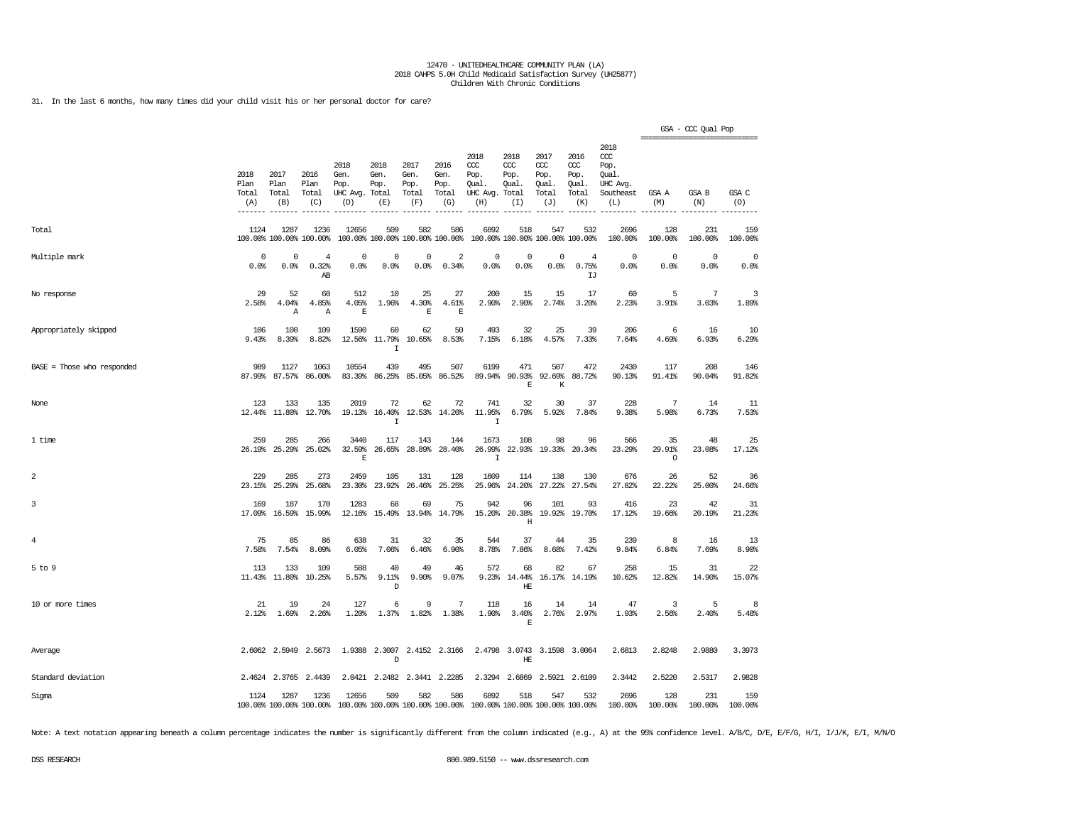31. In the last 6 months, how many times did your child visit his or her personal doctor for care?

|                            |                              |                              |                                 |                                               |                                  |                                        |                                      |                                                                                                 |                                     |                                                   |                                              |                                                              | ================================ | GSA - CCC Qual Pop |                     |
|----------------------------|------------------------------|------------------------------|---------------------------------|-----------------------------------------------|----------------------------------|----------------------------------------|--------------------------------------|-------------------------------------------------------------------------------------------------|-------------------------------------|---------------------------------------------------|----------------------------------------------|--------------------------------------------------------------|----------------------------------|--------------------|---------------------|
|                            | 2018<br>Plan<br>Total<br>(A) | 2017<br>Plan<br>Total<br>(B) | 2016<br>Plan<br>Total<br>(C)    | 2018<br>Gen.<br>Pop.<br>UHC Avg. Total<br>(D) | 2018<br>Gen.<br>Pop.<br>(E)      | 2017<br>Gen.<br>Pop.<br>Total<br>(F)   | 2016<br>Gen.<br>Pop.<br>Total<br>(G) | 2018<br>ccc<br>Pop.<br>Oual.<br>UHC Avg. Total<br>(H)                                           | 2018<br>CCC<br>Pop.<br>Oual.<br>(I) | 2017<br>$\alpha$<br>Pop.<br>Oual.<br>Total<br>(J) | 2016<br>ccc<br>Pop.<br>Oual.<br>Total<br>(K) | 2018<br>ccc<br>Pop.<br>Qual.<br>UHC Avq.<br>Southeast<br>(L) | GSA A<br>(M)                     | GSA B<br>(N)       | GSA C<br>(0)        |
| Total                      | 1124                         | 1287                         | 1236<br>100.00% 100.00% 100.00% | 12656                                         | 509                              | 582<br>100.00% 100.00% 100.00% 100.00% | 586                                  | 6892<br>100.00% 100.00% 100.00% 100.00%                                                         | 518                                 | 547                                               | 532                                          | 2696<br>100.00%                                              | 128<br>100.00%                   | 231<br>100.00%     | 159<br>100.00%      |
| Multiple mark              | $\mathbf 0$<br>0.0%          | $\Omega$<br>0.0%             | $\overline{4}$<br>0.32%<br>AB   | 0<br>0.0%                                     | 0<br>0.0%                        | 0<br>0.0%                              | 2<br>0.34%                           | $\mathbf 0$<br>0.0%                                                                             | $\mathbf 0$<br>0.0%                 | $\mathbf 0$<br>0.0%                               | $\overline{4}$<br>0.75%<br>IJ                | $\circ$<br>0.0%                                              | $\Omega$<br>0.0%                 | $\circ$<br>0.0%    | $\mathbf 0$<br>0.0% |
| No response                | 29<br>2.58%                  | 52<br>4.04%<br>Α             | 60<br>4.85%<br>Α                | 512<br>4.05%<br>$\mathbb E$                   | 10<br>1.96%                      | 25<br>4.30%<br>$\mathbf E$             | 27<br>4.61%<br>E                     | 200<br>2.90%                                                                                    | 15<br>2.90%                         | 15<br>2.74%                                       | 17<br>3.20%                                  | 60<br>2.23%                                                  | 5<br>3.91%                       | 7<br>3.03%         | 3<br>1.89%          |
| Appropriately skipped      | 106<br>9.43%                 | 108<br>8.39%                 | 109<br>8.82%                    | 1590<br>12.56%                                | 60<br>11.79%<br>$\mathbf I$      | 62<br>10.65%                           | 50<br>8.53%                          | 493<br>7.15%                                                                                    | 32<br>6.18%                         | 25<br>4.57%                                       | 39<br>7.33%                                  | 206<br>7.64%                                                 | 6<br>4.69%                       | 16<br>6.93%        | 10<br>6.29%         |
| BASE = Those who responded | 989                          | 1127<br>87.99% 87.57%        | 1063<br>86.00%                  | 10554<br>83.39%                               | 439<br>86.25%                    | 495<br>85.05%                          | 507<br>86.52%                        | 6199<br>89.94%                                                                                  | 471<br>90.93%<br>E                  | 507<br>92.69%<br>K                                | 472<br>88.72%                                | 2430<br>90.13%                                               | 117<br>91.41%                    | 208<br>90.04%      | 146<br>91.82%       |
| None                       | 123                          | 133<br>12.44% 11.80% 12.70%  | 135                             | 2019                                          | 72<br>19.13% 16.40%<br>I         | 62                                     | 72<br>12.53% 14.20%                  | 741<br>11.95%<br>$\mathbf I$                                                                    | 32<br>6.79%                         | 30<br>5.92%                                       | 37<br>7.84%                                  | 228<br>9.38%                                                 | 7<br>5.98%                       | 14<br>6.73%        | 11<br>7.53%         |
| 1 time                     | 259<br>26.19%                | 285<br>25.29%                | 266<br>25.02%                   | 3440<br>32.59%<br>$\mathbb E$                 | 117<br>26.65%                    | 143<br>28.89%                          | 144<br>28.40%                        | 1673<br>26.99%<br>$\mathbf I$                                                                   | 108                                 | 98<br>22.93% 19.33%                               | 96<br>20.34%                                 | 566<br>23.29%                                                | 35<br>29.91%<br>$\circ$          | 48<br>23.08%       | 25<br>17.12%        |
| $\overline{a}$             | 229<br>23.15%                | 285<br>25.29%                | 273<br>25.68%                   | 2459<br>23.30%                                | 105<br>23.92%                    | 131<br>26.46%                          | 128<br>25.25%                        | 1609<br>25.96%                                                                                  | 114<br>24.20%                       | 138<br>27.22%                                     | 130<br>27.54%                                | 676<br>27.82%                                                | 26<br>22.22%                     | 52<br>25.00%       | 36<br>24.66%        |
| 3                          | 169<br>17.09%                | 187<br>16.59%                | 170<br>15.99%                   | 1283<br>12.16%                                | 68<br>15.49%                     | 69<br>13.94%                           | 75<br>14.79%                         | 942<br>15.20%                                                                                   | 96<br>20.38%<br>$\rm H$             | 101<br>19.92%                                     | 93<br>19.70%                                 | 416<br>17.12%                                                | 23<br>19.66%                     | 42<br>20.19%       | 31<br>21.23%        |
| $\overline{4}$             | 75<br>7.58%                  | 85<br>7.54%                  | 86<br>8.09%                     | 638<br>6.05%                                  | 31<br>7.06%                      | 32<br>6.46%                            | 35<br>6.90%                          | 544<br>8.78%                                                                                    | 37<br>7.86%                         | 44<br>8.68%                                       | 35<br>7.42%                                  | 239<br>9.84%                                                 | 8<br>6.84%                       | 16<br>7.69%        | 13<br>8.90%         |
| $5$ to $9$                 | 113<br>11.43%                | 133<br>11.80%                | 109<br>10.25%                   | 588<br>5.57%                                  | 40<br>$9.11$ $%$<br>$\mathbf{D}$ | 49<br>9.90%                            | 46<br>9.07%                          | 572<br>9.23%                                                                                    | 68<br>14.44%<br>HE                  | 82<br>16.17%                                      | 67<br>14.19%                                 | 258<br>10.62%                                                | 15<br>12.82%                     | 31<br>14.90%       | 22<br>15.07%        |
| 10 or more times           | 21<br>2.12%                  | 19<br>1.69%                  | 24<br>2.26%                     | 127<br>1.20%                                  | 6<br>1.37%                       | 9<br>1.82%                             | 7<br>1.38%                           | 118<br>1.90%                                                                                    | 16<br>3.40%<br>E                    | 14<br>2.76%                                       | 14<br>2.97%                                  | 47<br>1.93%                                                  | 3<br>2.56%                       | 5<br>2.40%         | 8<br>5.48%          |
| Average                    |                              | 2.6062 2.5949                | 2.5673                          |                                               | D                                | 1.9388 2.3007 2.4152 2.3166            |                                      |                                                                                                 | HE                                  | 2.4798 3.0743 3.1598 3.0064                       |                                              | 2.6813                                                       | 2.8248                           | 2.9880             | 3.3973              |
| Standard deviation         |                              | 2.4624 2.3765                | 2.4439                          | 2.0421                                        |                                  | 2.2482 2.3441 2.2285                   |                                      |                                                                                                 | 2.3294 2.6869                       | 2.5921                                            | 2.6109                                       | 2.3442                                                       | 2.5220                           | 2.5317             | 2.9828              |
| Sigma                      | 1124                         | 1287                         | 1236                            | 12656                                         | 509                              | 582                                    | 586                                  | 6892<br>100.00% 100.00% 100.00% 100.00% 100.00% 100.00% 100.00% 100.00% 100.00% 100.00% 100.00% | 518                                 | 547                                               | 532                                          | 2696<br>100.00%                                              | 128<br>100.00%                   | 231<br>100.00%     | 159<br>100.00%      |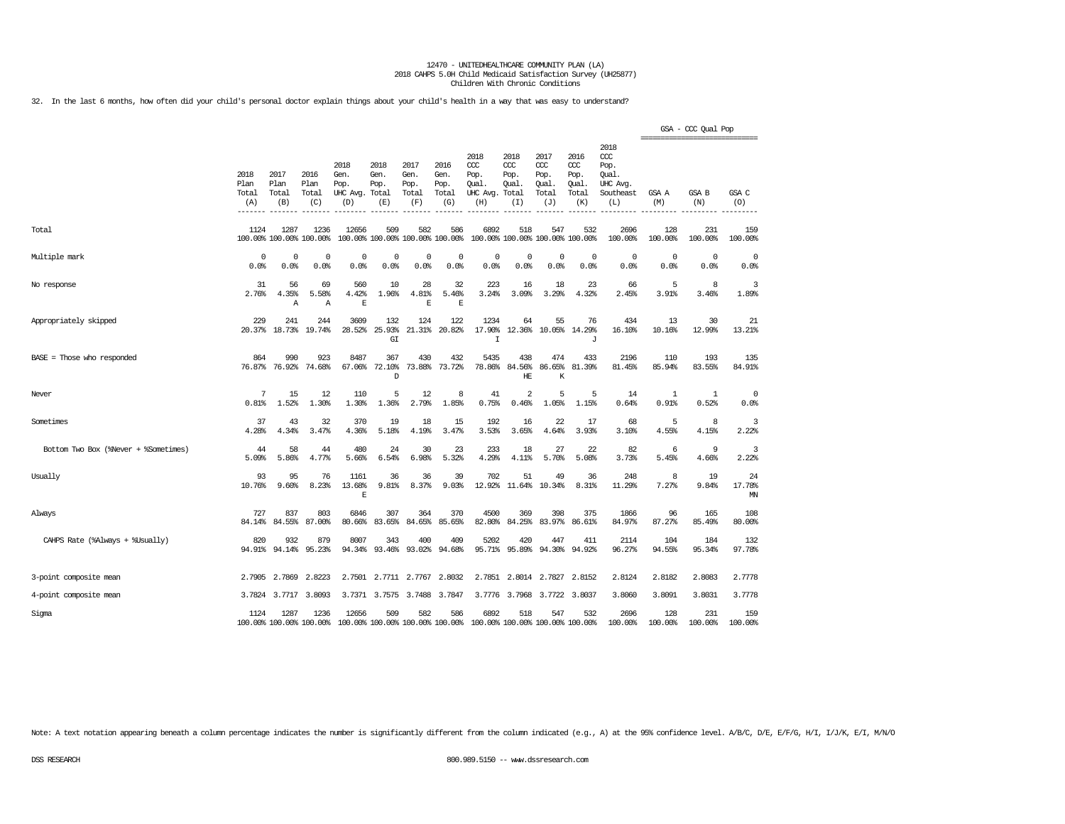32. In the last 6 months, how often did your child's personal doctor explain things about your child's health in a way that was easy to understand?

|                                      |                              |                                 |                                 |                                               |                                        |                                      |                                      |                                                                         |                                     |                                              |                                              |                                                                   | ================================ | GSA - CCC Qual Pop  |                    |
|--------------------------------------|------------------------------|---------------------------------|---------------------------------|-----------------------------------------------|----------------------------------------|--------------------------------------|--------------------------------------|-------------------------------------------------------------------------|-------------------------------------|----------------------------------------------|----------------------------------------------|-------------------------------------------------------------------|----------------------------------|---------------------|--------------------|
|                                      | 2018<br>Plan<br>Total<br>(A) | 2017<br>Plan<br>Total<br>(B)    | 2016<br>Plan<br>Total<br>(C)    | 2018<br>Gen.<br>Pop.<br>UHC Avg. Total<br>(D) | 2018<br>Gen.<br>Pop.<br>(E)            | 2017<br>Gen.<br>Pop.<br>Total<br>(F) | 2016<br>Gen.<br>Pop.<br>Total<br>(G) | 2018<br>CCC<br>Pop.<br>Qual.<br>UHC Avg. Total<br>(H)                   | 2018<br>CCC<br>Pop.<br>Oual.<br>(I) | 2017<br>ccc<br>Pop.<br>Oual.<br>Total<br>(J) | 2016<br>ccc<br>Pop.<br>Oual.<br>Total<br>(K) | 2018<br>$\alpha$<br>Pop.<br>Oual.<br>UHC Avg.<br>Southeast<br>(L) | GSA A<br>(M)                     | GSA B<br>(N)        | GSA C<br>(O)       |
| Total                                | 1124                         | 1287<br>100.00% 100.00% 100.00% | 1236                            | 12656                                         | 509<br>100.00% 100.00% 100.00% 100.00% | 582                                  | 586                                  | 6892                                                                    | 518                                 | 547<br>100.00% 100.00% 100.00% 100.00%       | 532                                          | 2696<br>100.00%                                                   | 128<br>100.00%                   | 231<br>100.00%      | 159<br>100.00%     |
| Multiple mark                        | $\Omega$<br>0.0%             | $\Omega$<br>0.0%                | $\Omega$<br>0.0%                | 0<br>0.0%                                     | 0<br>0.0%                              | $^{\circ}$<br>0.0%                   | $^{\circ}$<br>0.0%                   | $^{\circ}$<br>0.0%                                                      | 0<br>0.0%                           | $\mathbf 0$<br>0.0%                          | $\circ$<br>0.0%                              | $\Omega$<br>0.0%                                                  | $\overline{0}$<br>0.0%           | $\mathbf 0$<br>0.0% | $^{\circ}$<br>0.0% |
| No response                          | 31<br>2.76%                  | 56<br>4.35%<br>Α                | 69<br>5.58%<br>Α                | 560<br>4.42%<br>E                             | 10<br>1.96%                            | 28<br>4.81%<br>E                     | 32<br>5.46%<br>E                     | 223<br>3.24%                                                            | 16<br>3.09%                         | 18<br>3.29%                                  | 23<br>4.32%                                  | 66<br>2.45%                                                       | 5<br>3.91%                       | 8<br>3.46%          | 3<br>1.89%         |
| Appropriately skipped                | 229<br>20.37%                | 241<br>18.73%                   | 244<br>19.74%                   | 3609<br>28.52%                                | 132<br>25.93%<br>GI                    | 124<br>21.31%                        | 122<br>20.82%                        | 1234<br>17.90%<br>$\mathbf I$                                           | 64<br>12.36%                        | 55<br>10.05%                                 | 76<br>14.29%<br>J                            | 434<br>16.10%                                                     | 13<br>10.16%                     | 30<br>12.99%        | 21<br>13.21%       |
| BASE = Those who responded           | 864<br>76.87%                | 990<br>76.92%                   | 923<br>74.68%                   | 8487<br>67.06%                                | 367<br>72.10%<br>D                     | 430<br>73.88%                        | 432<br>73.72%                        | 5435<br>78.86%                                                          | 438<br>84.56%<br>HE                 | 474<br>86.65%<br>K                           | 433<br>81.39%                                | 2196<br>81.45%                                                    | 110<br>85.94%                    | 193<br>83.55%       | 135<br>84.91%      |
| Never                                | 7<br>0.81%                   | 15<br>1.52%                     | 12<br>1.30%                     | 110<br>1.30%                                  | 5<br>1.36%                             | 12<br>2.79%                          | 8<br>1.85%                           | 41<br>0.75%                                                             | $\overline{2}$<br>0.46%             | 5<br>1.05%                                   | 5<br>1.15%                                   | 14<br>0.64%                                                       | 1<br>0.91%                       | -1<br>0.52%         | $^{\circ}$<br>0.0% |
| Sometimes                            | 37<br>4.28%                  | 43<br>4.34%                     | 32<br>3.47%                     | 370<br>4.36%                                  | 19<br>5.18%                            | 18<br>4.19%                          | 15<br>3.47%                          | 192<br>3.53%                                                            | 16<br>3.65%                         | 22<br>4.64%                                  | 17<br>3.93%                                  | 68<br>3.10%                                                       | 5<br>4.55%                       | 8<br>4.15%          | 3<br>2.22%         |
| Bottom Two Box (%Never + %Sometimes) | 44<br>5.09%                  | 58<br>5.86%                     | 44<br>4.77%                     | 480<br>5.66%                                  | 24<br>6.54%                            | 30<br>6.98%                          | 23<br>5.32%                          | 233<br>4.29%                                                            | 18<br>4.11%                         | 27<br>5.70%                                  | 22<br>5.08%                                  | 82<br>3.73%                                                       | 6<br>5.45%                       | 9<br>4.66%          | 3<br>2.22%         |
| Usually                              | 93<br>10.76%                 | 95<br>9.60%                     | 76<br>8.23%                     | 1161<br>13.68%<br>E                           | 36<br>9.81%                            | 36<br>8.37%                          | 39<br>9.03%                          | 702<br>12.92%                                                           | 51<br>11.64%                        | 49<br>10.34%                                 | 36<br>8.31%                                  | 248<br>11.29%                                                     | 8<br>7.27%                       | 19<br>9.84%         | 24<br>17.78%<br>MN |
| Always                               | 727<br>84.14%                | 837<br>84.55%                   | 803<br>87.00%                   | 6846<br>80.66%                                | 307<br>83.65%                          | 364<br>84.65%                        | 370<br>85.65%                        | 4500<br>82.80%                                                          | 369<br>84.25%                       | 398<br>83.97%                                | 375<br>86.61%                                | 1866<br>84.97%                                                    | 96<br>87.27%                     | 165<br>85.49%       | 108<br>80.00%      |
| CAHPS Rate (%Always + %Usually)      | 820<br>94.91%                | 932<br>94.14%                   | 879<br>95.23%                   | 8007<br>94.34%                                | 343<br>93.46%                          | 400<br>93.02%                        | 409<br>94.68%                        | 5202<br>95.71%                                                          | 420<br>95.89%                       | 447<br>94.30%                                | 411<br>94.92%                                | 2114<br>96.27%                                                    | 104<br>94.55%                    | 184<br>95.34%       | 132<br>97.78%      |
| 3-point composite mean               | 2.7905                       | 2.7869                          | 2.8223                          | 2.7501                                        | 2.7711                                 | 2.7767                               | 2.8032                               | 2.7851                                                                  | 2.8014                              | 2.7827                                       | 2.8152                                       | 2.8124                                                            | 2.8182                           | 2.8083              | 2.7778             |
| 4-point composite mean               |                              | 3.7824 3.7717                   | 3.8093                          |                                               | 3.7371 3.7575                          | 3.7488                               | 3.7847                               | 3.7776                                                                  | 3.7968                              | 3.7722                                       | 3.8037                                       | 3.8060                                                            | 3.8091                           | 3.8031              | 3.7778             |
| Sigma                                | 1124                         | 1287                            | 1236<br>100.00% 100.00% 100.00% | 12656                                         | 509                                    | 582                                  | 586                                  | 6892<br>100.00% 100.00% 100.00% 100.00% 100.00% 100.00% 100.00% 100.00% | 518                                 | 547                                          | 532                                          | 2696<br>100.00%                                                   | 128<br>100.00%                   | 231<br>100.00%      | 159<br>100.00%     |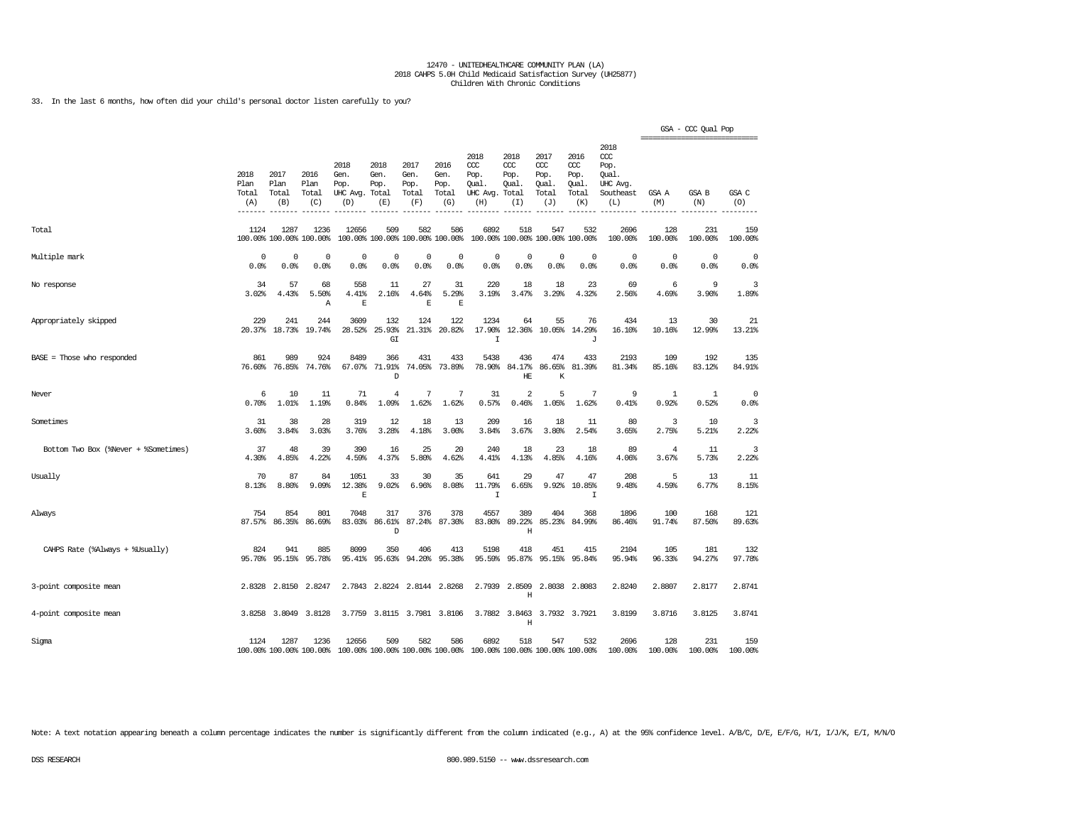33. In the last 6 months, how often did your child's personal doctor listen carefully to you?

|                                      |                              |                              |                                 |                                         |                                        |                                      |                                      |                                                 |                                              |                                                   |                                              |                                                                   |                | GSA - CCC Qual Pop<br>---------------------------- |                     |
|--------------------------------------|------------------------------|------------------------------|---------------------------------|-----------------------------------------|----------------------------------------|--------------------------------------|--------------------------------------|-------------------------------------------------|----------------------------------------------|---------------------------------------------------|----------------------------------------------|-------------------------------------------------------------------|----------------|----------------------------------------------------|---------------------|
|                                      | 2018<br>Plan<br>Total<br>(A) | 2017<br>Plan<br>Total<br>(B) | 2016<br>Plan<br>Total<br>(C)    | 2018<br>Gen.<br>Pop.<br>UHC Avg.<br>(D) | 2018<br>Gen.<br>Pop.<br>Total<br>(E)   | 2017<br>Gen.<br>Pop.<br>Total<br>(F) | 2016<br>Gen.<br>Pop.<br>Total<br>(G) | 2018<br>ccc<br>Pop.<br>Qual.<br>UHC Avg.<br>(H) | 2018<br>CCC<br>Pop.<br>Qual.<br>Total<br>(I) | 2017<br>$\alpha$<br>Pop.<br>Qual.<br>Total<br>(J) | 2016<br>ccc<br>Pop.<br>Qual.<br>Total<br>(K) | 2018<br>$\alpha$<br>Pop.<br>Oual.<br>UHC Avg.<br>Southeast<br>(L) | GSA A<br>(M)   | <b>GSA B</b><br>(N)                                | GSA C<br>(O)        |
| Total                                | 1124                         | 1287                         | 1236<br>100.00% 100.00% 100.00% | 12656                                   | 509<br>100.00% 100.00% 100.00% 100.00% | 582                                  | 586                                  | 6892                                            | 518                                          | 547<br>100.00% 100.00% 100.00% 100.00%            | 532                                          | 2696<br>100.00%                                                   | 128<br>100.00% | 231<br>100.00%                                     | 159<br>100.00%      |
| Multiple mark                        | 0<br>0.0%                    | 0<br>0.0%                    | 0<br>0.0%                       | 0<br>0.0%                               | 0<br>0.0%                              | 0<br>0.0%                            | 0<br>0.0%                            | $\mathbf 0$<br>0.0%                             | $\mathbf 0$<br>0.0%                          | $\mathbf 0$<br>0.0%                               | $\mathbf 0$<br>0.0%                          | $\circ$<br>0.0%                                                   | 0<br>0.0%      | $\circ$<br>0.0%                                    | $\mathbf 0$<br>0.0% |
| No response                          | 34<br>3.02%                  | 57<br>4.43%                  | 68<br>5.50%<br>Α                | 558<br>4.41%<br>E                       | 11<br>2.16%                            | 27<br>4.64%<br>$\mathbb E$           | 31<br>5.29%<br>E                     | 220<br>3.19%                                    | 18<br>3.47%                                  | 18<br>3.29%                                       | 23<br>4.32%                                  | 69<br>2.56%                                                       | 6<br>4.69%     | 9<br>3.90%                                         | 3<br>1.89%          |
| Appropriately skipped                | 229<br>20.37%                | 241<br>18.73%                | 244<br>19.74%                   | 3609<br>28.52%                          | 132<br>25.93%<br>GI                    | 124<br>21.31%                        | 122<br>20.82%                        | 1234<br>17.90%<br>$\mathbf I$                   | 64<br>12.36%                                 | 55<br>10.05%                                      | 76<br>14.29%<br>J                            | 434<br>16.10%                                                     | 13<br>10.16%   | 30<br>12.99%                                       | 21<br>13.21%        |
| $BASE = Those who responded$         | 861<br>76.60%                | 989<br>76.85%                | 924<br>74.76%                   | 8489<br>67.07%                          | 366<br>71.91%<br>D                     | 431<br>74.05%                        | 433<br>73.89%                        | 5438<br>78.90%                                  | 436<br>84.17%<br>HE                          | 474<br>86.65%<br>К                                | 433<br>81.39%                                | 2193<br>81.34%                                                    | 109<br>85.16%  | 192<br>83.12%                                      | 135<br>84.91%       |
| Never                                | 6<br>0.70%                   | 10<br>1.01%                  | 11<br>1.19%                     | 71<br>0.84%                             | $\overline{4}$<br>1.09%                | 7<br>1.62%                           | 7<br>1.62%                           | 31<br>0.57%                                     | $\overline{a}$<br>0.46%                      | 5<br>1.05%                                        | 7<br>1.62%                                   | 9<br>0.41%                                                        | 1<br>0.92%     | 1<br>0.52%                                         | 0<br>0.0%           |
| Sometimes                            | 31<br>3.60%                  | 38<br>3.84%                  | 28<br>3.03%                     | 319<br>3.76%                            | 12<br>3.28%                            | 18<br>4.18%                          | 13<br>3.00%                          | 209<br>3.84%                                    | 16<br>3.67%                                  | 18<br>3.80%                                       | 11<br>2.54%                                  | 80<br>3.65%                                                       | 3<br>2.75%     | 10<br>5.21%                                        | 3<br>2.22%          |
| Bottom Two Box (%Never + %Sometimes) | 37<br>4.30%                  | 48<br>4.85%                  | 39<br>4.22%                     | 390<br>4.59%                            | 16<br>4.37%                            | 25<br>5.80%                          | 20<br>4.62%                          | 240<br>4.41%                                    | 18<br>4.13%                                  | 23<br>4.85%                                       | 18<br>4.16%                                  | 89<br>4.06%                                                       | 4<br>3.67%     | 11<br>5.73%                                        | 3<br>2.22%          |
| Usually                              | 70<br>8.13%                  | 87<br>8.80%                  | 84<br>9.09%                     | 1051<br>12.38%<br>E                     | 33<br>9.02%                            | 30<br>6.96%                          | 35<br>8.08%                          | 641<br>11.79%<br>$\mathbf I$                    | 29<br>6.65%                                  | 47<br>9.92%                                       | 47<br>10.85%<br>I                            | 208<br>9.48%                                                      | 5<br>4.59%     | 13<br>6.77%                                        | 11<br>8.15%         |
| Always                               | 754<br>87.57%                | 854<br>86.35%                | 801<br>86.69%                   | 7048<br>83.03%                          | 317<br>86.61%<br>D                     | 376<br>87.24%                        | 378<br>87.30%                        | 4557<br>83.80%                                  | 389<br>89.22%<br>Η                           | 404<br>85.23%                                     | 368<br>84.99%                                | 1896<br>86.46%                                                    | 100<br>91.74%  | 168<br>87.50%                                      | 121<br>89.63%       |
| CAHPS Rate (%Always + %Usually)      | 824<br>95.70%                | 941<br>95.15%                | 885<br>95.78%                   | 8099<br>95.41%                          | 350<br>95.63%                          | 406<br>94.20%                        | 413<br>95.38%                        | 5198<br>95.59%                                  | 418<br>95.87%                                | 451<br>95.15%                                     | 415<br>95.84%                                | 2104<br>95.94%                                                    | 105<br>96.33%  | 181<br>94.27%                                      | 132<br>97.78%       |
| 3-point composite mean               |                              | 2.8328 2.8150                | 2.8247                          | 2.7843                                  | 2.8224                                 |                                      | 2.8144 2.8268                        | 2.7939                                          | 2.8509<br>H                                  | 2.8038                                            | 2.8083                                       | 2.8240                                                            | 2.8807         | 2.8177                                             | 2.8741              |
| 4-point composite mean               |                              | 3.8258 3.8049                | 3.8128                          |                                         | 3.7759 3.8115 3.7981 3.8106            |                                      |                                      |                                                 | 3.7882 3.8463<br>$\rm H$                     |                                                   | 3.7932 3.7921                                | 3.8199                                                            | 3.8716         | 3.8125                                             | 3.8741              |
| Sigma                                | 1124                         | 1287                         | 1236<br>100.00% 100.00% 100.00% | 12656                                   | 509<br>100.00% 100.00% 100.00% 100.00% | 582                                  | 586                                  | 6892<br>100.00% 100.00% 100.00% 100.00%         | 518                                          | 547                                               | 532                                          | 2696<br>100.00%                                                   | 128<br>100.00% | 231<br>100.00%                                     | 159<br>100.00%      |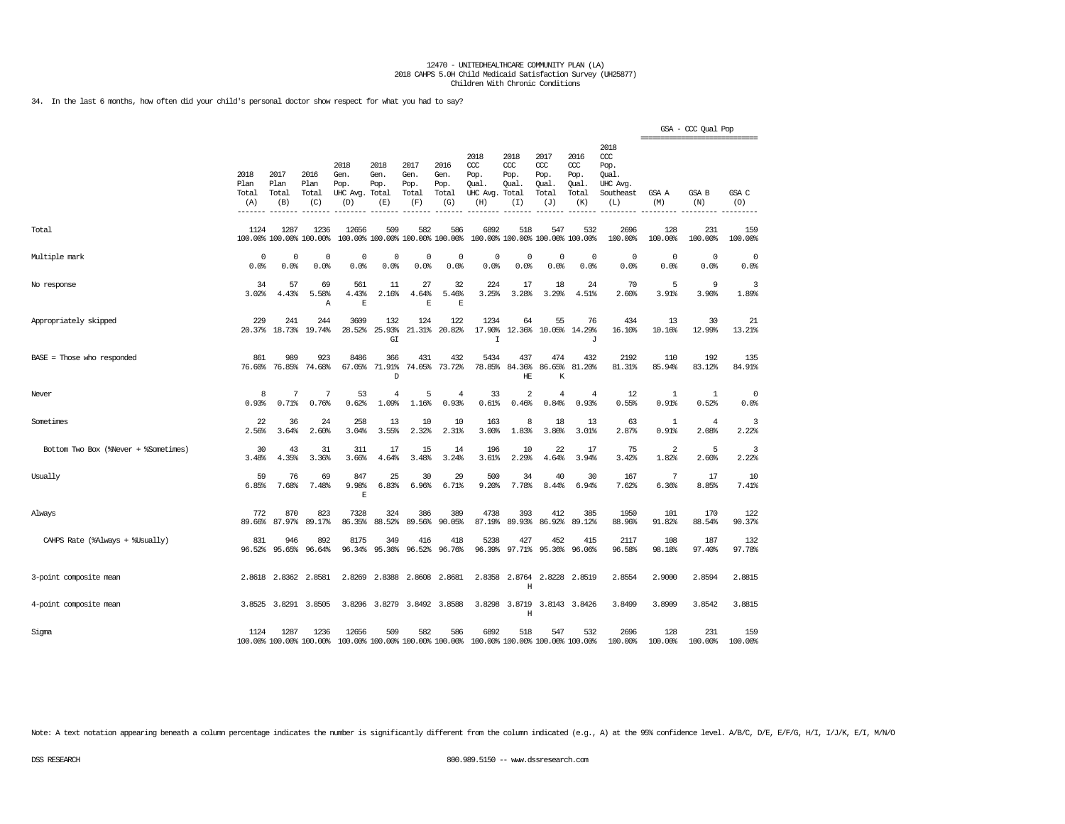34. In the last 6 months, how often did your child's personal doctor show respect for what you had to say?

|                                      |                                           |                              |                                 |                                          |                                        |                                      |                                      |                                                 |                                               |                                                   |                                                   |                                                              |                     | GSA - CCC Qual Pop<br>------------------------------- |                     |
|--------------------------------------|-------------------------------------------|------------------------------|---------------------------------|------------------------------------------|----------------------------------------|--------------------------------------|--------------------------------------|-------------------------------------------------|-----------------------------------------------|---------------------------------------------------|---------------------------------------------------|--------------------------------------------------------------|---------------------|-------------------------------------------------------|---------------------|
|                                      | 2018<br>Plan<br>Total<br>(A)<br>$--- - -$ | 2017<br>Plan<br>Total<br>(B) | 2016<br>Plan<br>Total<br>(C)    | 2018<br>Gen.<br>Pop.<br>UHC Avg.<br>(D)  | 2018<br>Gen.<br>Pop.<br>Total<br>(E)   | 2017<br>Gen.<br>Pop.<br>Total<br>(F) | 2016<br>Gen.<br>Pop.<br>Total<br>(G) | 2018<br>CCC<br>Pop.<br>Oual.<br>UHC Avg.<br>(H) | 2018<br>$CC$<br>Pop.<br>Oual.<br>Total<br>(I) | 2017<br>$\alpha$<br>Pop.<br>Qual.<br>Total<br>(J) | 2016<br>$\alpha$<br>Pop.<br>Qual.<br>Total<br>(K) | 2018<br>ccc<br>Pop.<br>Oual.<br>UHC Avg.<br>Southeast<br>(L) | GSA A<br>(M)        | <b>GSA B</b><br>(N)                                   | GSA C<br>(O)        |
| Total                                | 1124                                      | 1287                         | 1236<br>100.00% 100.00% 100.00% | 12656                                    | 509<br>100.00% 100.00% 100.00% 100.00% | 582                                  | 586                                  | 6892                                            | 518                                           | 547<br>100.00% 100.00% 100.00% 100.00%            | 532                                               | 2696<br>100.00%                                              | 128<br>100.00%      | 231<br>100.00%                                        | 159<br>100.00%      |
| Multiple mark                        | $\mathbf 0$<br>0.0%                       | $^{\circ}$<br>0.0%           | $\mathbf 0$<br>0.0%             | $\Omega$<br>0.0%                         | 0<br>0.0%                              | 0<br>0.0%                            | 0<br>0.0%                            | $^{\circ}$<br>0.0%                              | $\Omega$<br>0.0%                              | $\mathbf 0$<br>0.0%                               | $\Omega$<br>0.0%                                  | $\circ$<br>0.0%                                              | $\mathbf 0$<br>0.0% | $\mathbf 0$<br>0.0%                                   | $\mathbf 0$<br>0.0% |
| No response                          | 34<br>3.02%                               | 57<br>4.43%                  | 69<br>5.58%<br>Α                | 561<br>4.43%<br>E                        | 11<br>2.16%                            | 27<br>4.64%<br>E                     | 32<br>5.46%<br>E                     | 224<br>3.25%                                    | 17<br>3.28%                                   | 18<br>3.29%                                       | 24<br>4.51%                                       | 70<br>2.60%                                                  | 5<br>3.91%          | 9<br>3.90%                                            | 3<br>1.89%          |
| Appropriately skipped                | 229<br>20.37%                             | 241<br>18.73%                | 244<br>19.74%                   | 3609<br>28.52%                           | 132<br>25.93%<br>G I                   | 124<br>21.31%                        | 122<br>20.82%                        | 1234<br>17.90%<br>$\mathbf I$                   | 64<br>12.36%                                  | 55<br>10.05%                                      | 76<br>14.29%<br>J                                 | 434<br>16.10%                                                | 13<br>10.16%        | 30<br>12.99%                                          | 21<br>13.21%        |
| BASE = Those who responded           | 861<br>76.60%                             | 989<br>76.85%                | 923<br>74.68%                   | 8486<br>67.05%                           | 366<br>71.91%<br>D                     | 431<br>74.05%                        | 432<br>73.72%                        | 5434<br>78.85%                                  | 437<br>84.36%<br>HE                           | 474<br>86.65%<br>K                                | 432<br>81.20%                                     | 2192<br>81.31%                                               | 110<br>85.94%       | 192<br>83.12%                                         | 135<br>84.91%       |
| Never                                | 8<br>0.93%                                | 7<br>0.71%                   | 7<br>0.76%                      | 53<br>0.62%                              | 4<br>1.09%                             | 5<br>1.16%                           | 4<br>0.93%                           | 33<br>0.61%                                     | $\overline{a}$<br>0.46%                       | $\overline{4}$<br>0.84%                           | 4<br>0.93%                                        | 12<br>0.55%                                                  | 1<br>0.91%          | 1<br>0.52%                                            | 0<br>0.0%           |
| Sometimes                            | 22<br>2.56%                               | 36<br>3.64%                  | 24<br>2.60%                     | 258<br>3.04%                             | 13<br>3.55%                            | 10<br>2.32%                          | 10<br>2.31%                          | 163<br>3.00%                                    | 8<br>1.83%                                    | 18<br>3.80%                                       | 13<br>3.01%                                       | 63<br>2.87%                                                  | 1<br>0.91%          | $\overline{4}$<br>2.08%                               | 3<br>2.22%          |
| Bottom Two Box (%Never + %Sometimes) | 30<br>3.48%                               | 43<br>4.35%                  | 31<br>3.36%                     | 311<br>3.66%                             | 17<br>4.64%                            | 15<br>3.48%                          | 14<br>3.24%                          | 196<br>3.61%                                    | 10<br>2.29%                                   | 22<br>4.64%                                       | 17<br>3.94%                                       | 75<br>3.42%                                                  | 2<br>1.82%          | 5<br>2.60%                                            | 3<br>2.22%          |
| Usually                              | 59<br>6.85%                               | 76<br>7.68%                  | 69<br>7.48%                     | 847<br>9.98%<br>E                        | 25<br>6.83%                            | 30<br>6.96%                          | 29<br>6.71%                          | 500<br>9.20%                                    | 34<br>7.78%                                   | 40<br>8.44%                                       | 30<br>6.94%                                       | 167<br>7.62%                                                 | 7<br>6.36%          | 17<br>8.85%                                           | 10<br>7.41%         |
| Always                               | 772<br>89.66%                             | 870<br>87.97%                | 823<br>89.17%                   | 7328<br>86.35%                           | 324<br>88.52%                          | 386<br>89.56%                        | 389<br>90.05%                        | 4738<br>87.19%                                  | 393<br>89.93%                                 | 412<br>86.92%                                     | 385<br>89.12%                                     | 1950<br>88.96%                                               | 101<br>91.82%       | 170<br>88.54%                                         | 122<br>90.37%       |
| CAHPS Rate (%Always + %Usually)      | 831<br>96.52%                             | 946<br>95.65%                | 892<br>96.64%                   | 8175<br>96.34%                           | 349<br>95.36%                          | 416<br>96.52%                        | 418<br>96.76%                        | 5238<br>96.39%                                  | 427<br>97.71%                                 | 452<br>95.36%                                     | 415<br>96.06%                                     | 2117<br>96.58%                                               | 108<br>98.18%       | 187<br>97.40%                                         | 132<br>97.78%       |
| 3-point composite mean               |                                           | 2.8618 2.8362                | 2.8581                          | 2.8269                                   | 2.8388                                 | 2.8608                               | 2.8681                               | 2.8358                                          | 2.8764<br>Η                                   | 2.8228                                            | 2.8519                                            | 2.8554                                                       | 2.9000              | 2.8594                                                | 2.8815              |
| 4-point composite mean               | 3.8525                                    | 3.8291                       | 3.8505                          | 3.8206                                   | 3.8279                                 | 3.8492                               | 3.8588                               | 3.8298                                          | 3.8719<br>H                                   | 3.8143                                            | 3.8426                                            | 3.8499                                                       | 3.8909              | 3.8542                                                | 3.8815              |
| Sigma                                | 1124                                      | 1287                         | 1236<br>100.00% 100.00% 100.00% | 12656<br>100.00% 100.00% 100.00% 100.00% | 509                                    | 582                                  | 586                                  | 6892<br>100.00% 100.00% 100.00% 100.00%         | 518                                           | 547                                               | 532                                               | 2696<br>100.00%                                              | 128<br>100.00%      | 231<br>100.00%                                        | 159<br>100.00%      |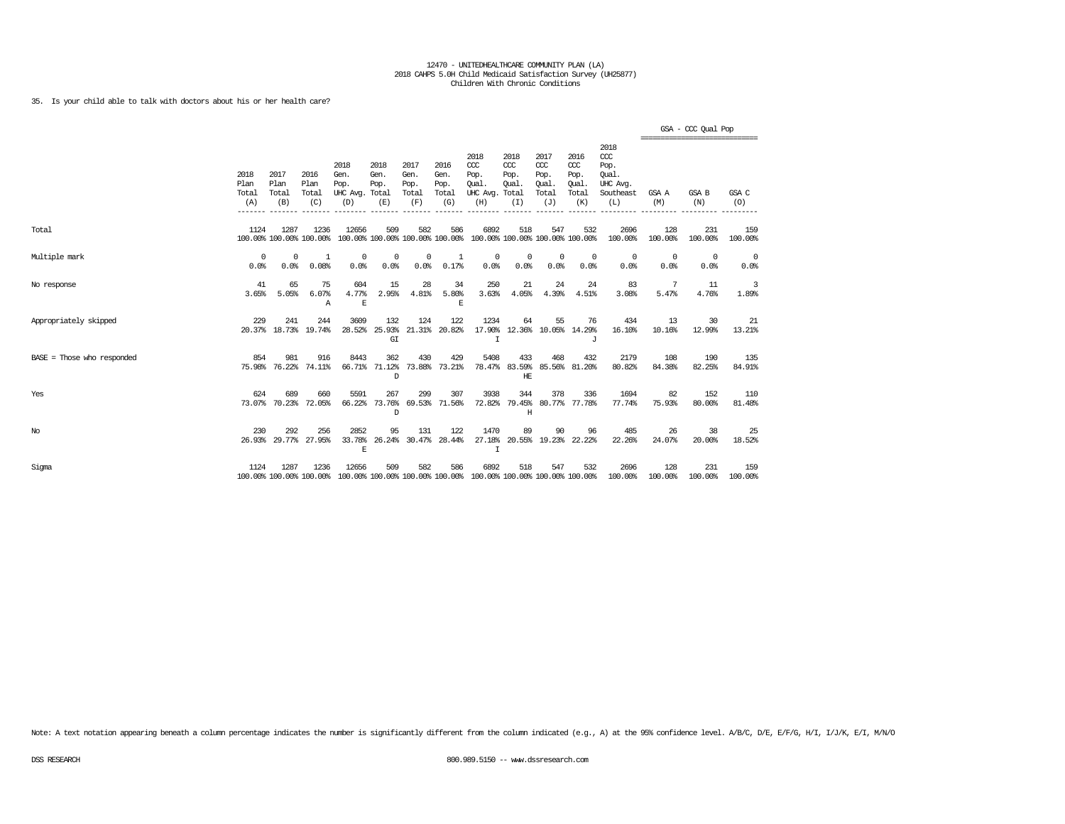## 35. Is your child able to talk with doctors about his or her health care?

|                              |                              |                              |                                 |                                         |                                        |                                      |                                      |                                                                         |                                     |                                                   |                                                   |                                                                 | =============================== | GSA - CCC Qual Pop |                    |
|------------------------------|------------------------------|------------------------------|---------------------------------|-----------------------------------------|----------------------------------------|--------------------------------------|--------------------------------------|-------------------------------------------------------------------------|-------------------------------------|---------------------------------------------------|---------------------------------------------------|-----------------------------------------------------------------|---------------------------------|--------------------|--------------------|
|                              | 2018<br>Plan<br>Total<br>(A) | 2017<br>Plan<br>Total<br>(B) | 2016<br>Plan<br>Total<br>(C)    | 2018<br>Gen.<br>Pop.<br>UHC Avg.<br>(D) | 2018<br>Gen.<br>Pop.<br>Total<br>(E)   | 2017<br>Gen.<br>Pop.<br>Total<br>(F) | 2016<br>Gen.<br>Pop.<br>Total<br>(G) | 2018<br>CCC<br>Pop.<br>Oual.<br>UHC Avg. Total<br>(H)                   | 2018<br>CCC<br>Pop.<br>Oual.<br>(I) | 2017<br>$\alpha$<br>Pop.<br>Oual.<br>Total<br>(J) | 2016<br>$\alpha$<br>Pop.<br>Oual.<br>Total<br>(K) | 2018<br>$\csc$<br>Pop.<br>Oual.<br>UHC Avg.<br>Southeast<br>(L) | GSA A<br>(M)                    | GSA B<br>(N)       | GSA C<br>(0)       |
| Total                        | 1124                         | 1287                         | 1236<br>100.00% 100.00% 100.00% | 12656                                   | 509<br>100.00% 100.00% 100.00% 100.00% | 582                                  | 586                                  | 6892                                                                    | 518                                 | 547                                               | 532<br>100.00% 100.00% 100.00% 100.00%            | 2696<br>100.00%                                                 | 128<br>100.00%                  | 231<br>100.00%     | 159<br>100.00%     |
| Multiple mark                | $\Omega$<br>0.0%             | $\Omega$<br>0.0%             | 1<br>0.08%                      | $^{\circ}$<br>0.0%                      | 0<br>0.0%                              | 0<br>0.0%                            | 1<br>0.17%                           | $^{\circ}$<br>0.0%                                                      | 0<br>0.0%                           | $\mathbf 0$<br>0.0%                               | 0<br>0.0%                                         | $^{\circ}$<br>0.0%                                              | $^{\circ}$<br>0.0%              | $^{\circ}$<br>0.0% | $^{\circ}$<br>0.0% |
| No response                  | 41<br>3.65%                  | 65<br>5.05%                  | 75<br>6.07%<br>Α                | 604<br>4.77%<br>E                       | 15<br>2.95%                            | 28<br>4.81%                          | 34<br>5.80%<br>Ε                     | 250<br>3.63%                                                            | 21<br>4.05%                         | 24<br>4.39%                                       | 24<br>4.51%                                       | 83<br>3.08%                                                     | -7<br>5.47%                     | 11<br>4.76%        | 3<br>1.89%         |
| Appropriately skipped        | 229                          | 241                          | 244<br>20.37% 18.73% 19.74%     | 3609<br>28.52%                          | 132<br>25.93%<br>GI                    | 124                                  | 122<br>21.31% 20.82%                 | 1234<br>T                                                               | 64                                  | 55<br>17.90% 12.36% 10.05% 14.29%                 | 76<br>.T                                          | 434<br>16.10%                                                   | 13<br>10.16%                    | 30<br>12.99%       | 21<br>13.21%       |
| $BASE = Those who responded$ | 854                          | 981                          | 916<br>75.98% 76.22% 74.11%     | 8443                                    | 362<br>66.71% 71.12%<br>D              | 430                                  | 429<br>73.88% 73.21%                 | 5408                                                                    | 433<br>HE                           | 468<br>78.47% 83.59% 85.56% 81.20%                | 432                                               | 2179<br>80.82%                                                  | 108<br>84.38%                   | 190<br>82.25%      | 135<br>84.91%      |
| Yes                          | 624                          | 689<br>73.07% 70.23%         | 660<br>72.05%                   | 5591<br>66.22%                          | 267<br>73.76%<br><sup>D</sup>          | 299                                  | 307<br>69.53% 71.56%                 | 3938<br>72.82%                                                          | 344<br>Η                            | 378                                               | 336<br>79.45% 80.77% 77.78%                       | 1694<br>77.74%                                                  | 82<br>75.93%                    | 152<br>80.00%      | 110<br>81.48%      |
| No                           | 230                          | 292<br>26.93% 29.77%         | 256<br>27.95%                   | 2852<br>33.78%<br>E                     | 95<br>26.24%                           | 131                                  | 122<br>30.47% 28.44%                 | 1470<br>$\mathbf I$                                                     | 89                                  | 90<br>27.18% 20.55% 19.23% 22.22%                 | 96                                                | 485<br>22.26%                                                   | 26<br>24.07%                    | 38<br>20.00%       | 25<br>18.52%       |
| Sigma                        | 1124                         | 1287                         | 1236<br>100.00% 100.00% 100.00% | 12656                                   | 509                                    | 582                                  | 586                                  | 6892<br>100.00% 100.00% 100.00% 100.00% 100.00% 100.00% 100.00% 100.00% | 518                                 | 547                                               | 532                                               | 2696<br>100.00%                                                 | 128<br>100.00%                  | 231<br>100.00%     | 159<br>100.00%     |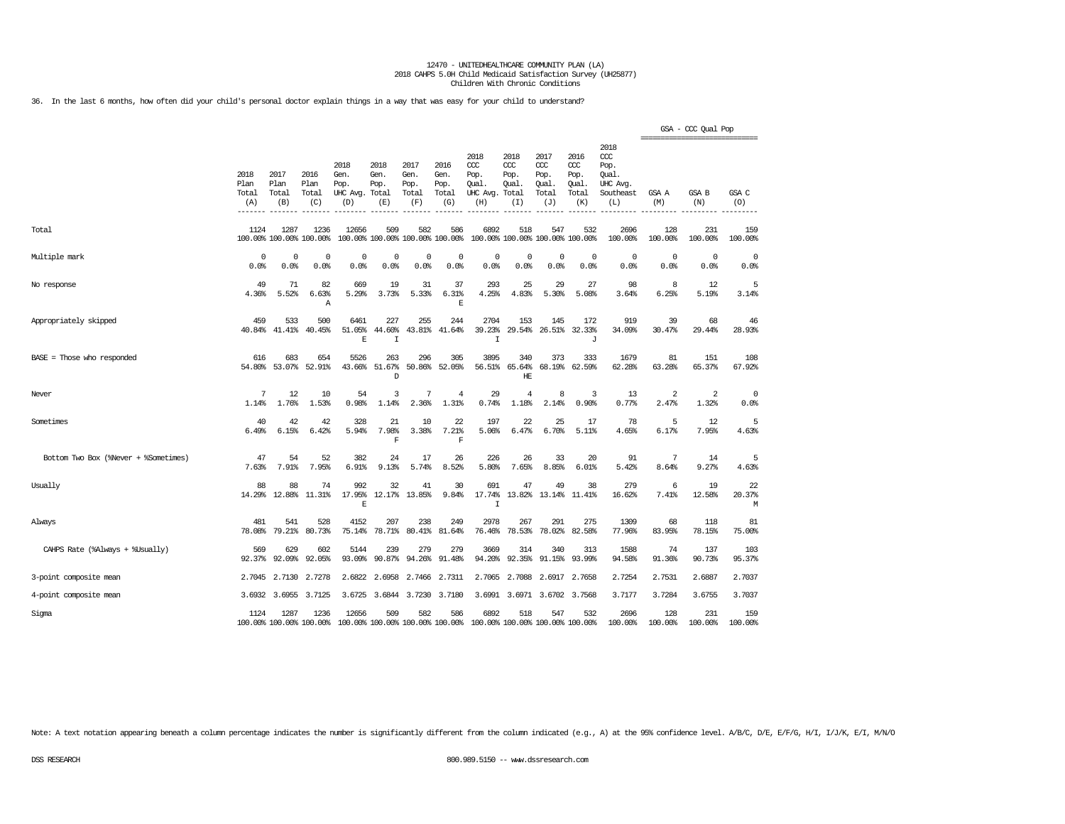36. In the last 6 months, how often did your child's personal doctor explain things in a way that was easy for your child to understand?

|                                      |                                             |                              |                                 |                                         |                                      |                                        |                                      |                                                       |                                     |                                                   |                                                     |                                                                   |                | GSA - CCC Qual Pop<br>================================ |                   |
|--------------------------------------|---------------------------------------------|------------------------------|---------------------------------|-----------------------------------------|--------------------------------------|----------------------------------------|--------------------------------------|-------------------------------------------------------|-------------------------------------|---------------------------------------------------|-----------------------------------------------------|-------------------------------------------------------------------|----------------|--------------------------------------------------------|-------------------|
|                                      | 2018<br>Plan<br>Total<br>(A)<br>$- - - - -$ | 2017<br>Plan<br>Total<br>(B) | 2016<br>Plan<br>Total<br>(C)    | 2018<br>Gen.<br>Pop.<br>UHC Avg.<br>(D) | 2018<br>Gen.<br>Pop.<br>Total<br>(E) | 2017<br>Gen.<br>Pop.<br>Total<br>(F)   | 2016<br>Gen.<br>Pop.<br>Total<br>(G) | 2018<br>CCC<br>Pop.<br>Oual.<br>UHC Avg. Total<br>(H) | 2018<br>CCC<br>Pop.<br>Oual.<br>(I) | 2017<br>$\alpha$<br>Pop.<br>Oual.<br>Total<br>(J) | 2016<br><b>CCC</b><br>Pop.<br>Oual.<br>Total<br>(K) | 2018<br>$\alpha$<br>Pop.<br>Oual.<br>UHC Avq.<br>Southeast<br>(L) | GSA A<br>(M)   | GSA B<br>(N)                                           | GSA C<br>(O)      |
| Total                                | 1124                                        | 1287                         | 1236<br>100.00% 100.00% 100.00% | 12656                                   | 509                                  | 582<br>100.00% 100.00% 100.00% 100.00% | 586                                  | 6892                                                  | 518                                 | 547<br>100.00% 100.00% 100.00% 100.00%            | 532                                                 | 2696<br>100.00%                                                   | 128<br>100.00% | 231<br>100.00%                                         | 159<br>100.00%    |
| Multiple mark                        | 0<br>0.0%                                   | 0<br>0.0%                    | 0<br>0.0%                       | $\Omega$<br>0.0%                        | $\Omega$<br>0.0%                     | $\mathbf 0$<br>0.0%                    | $\Omega$<br>0.0%                     | $\Omega$<br>0.0%                                      | $\Omega$<br>0.0%                    | $\mathbf 0$<br>0.0%                               | $\circ$<br>0.0%                                     | $\circ$<br>0.0%                                                   | 0<br>0.0%      | $\circ$<br>0.0%                                        | 0<br>0.0%         |
| No response                          | 49<br>4.36%                                 | 71<br>5.52%                  | 82<br>6.63%<br>$\mathbb{A}$     | 669<br>5.29%                            | 19<br>3.73%                          | 31<br>5.33%                            | 37<br>6.31%<br>E                     | 293<br>4.25%                                          | 25<br>4.83%                         | 29<br>5.30%                                       | 27<br>5.08%                                         | 98<br>3.64%                                                       | 8<br>6.25%     | 12<br>5.19%                                            | 5<br>3.14%        |
| Appropriately skipped                | 459<br>40.84%                               | 533<br>41.41%                | 500<br>40.45%                   | 6461<br>51.05%<br>$\overline{E}$        | 227<br>44.60%<br>$\mathsf{T}$        | 255<br>43.81%                          | 244<br>41.64%                        | 2704<br>39.23%<br>$\mathbf I$                         | 153<br>29.54%                       | 145<br>26.51%                                     | 172<br>32.33%<br>J                                  | 919<br>34.09%                                                     | 39<br>30.47%   | 68<br>29.44%                                           | 46<br>28.93%      |
| $BASE = Those who responded$         | 616<br>54.80%                               | 683<br>53.07%                | 654<br>52.91%                   | 5526<br>43.66%                          | 263<br>51.67%<br>D                   | 296<br>50.86%                          | 305<br>52.05%                        | 3895<br>56.51%                                        | 340<br>65.64%<br>HE                 | 373<br>68.19%                                     | 333<br>62.59%                                       | 1679<br>62.28%                                                    | 81<br>63.28%   | 151<br>65.37%                                          | 108<br>67.92%     |
| Never                                | 7<br>1.14%                                  | 12<br>1.76%                  | 10<br>1.53%                     | 54<br>0.98%                             | 3<br>1.14%                           | 7<br>2.36%                             | $\overline{4}$<br>1.31%              | 29<br>0.74%                                           | $\overline{4}$<br>1.18%             | 8<br>2.14%                                        | 3<br>0.90%                                          | 13<br>0.77%                                                       | 2<br>2.47%     | $\overline{2}$<br>1.32%                                | $\Omega$<br>0.0%  |
| Sometimes                            | 40<br>6.49%                                 | 42<br>6.15%                  | 42<br>6.42%                     | 328<br>5.94%                            | 21<br>7.98%<br>F                     | 10<br>3.38%                            | 22<br>7.21%<br>F                     | 197<br>5.06%                                          | 22<br>6.47%                         | 25<br>6.70%                                       | 17<br>5.11%                                         | 78<br>4.65%                                                       | 5<br>6.17%     | 12<br>7.95%                                            | 5<br>4.63%        |
| Bottom Two Box (%Never + %Sometimes) | 47<br>7.63%                                 | 54<br>7.91%                  | 52<br>7.95%                     | 382<br>6.91%                            | 24<br>9.13%                          | 17<br>5.74%                            | 26<br>8.52%                          | 226<br>5.80%                                          | 26<br>7.65%                         | 33<br>8.85%                                       | 20<br>6.01%                                         | 91<br>5.42%                                                       | 7<br>8.64%     | 14<br>9.27%                                            | 5<br>4.63%        |
| Usually                              | 88<br>14.29%                                | 88<br>12.88%                 | 74<br>11.31%                    | 992<br>17.95%<br>E                      | 32<br>12.17%                         | 41<br>13.85%                           | 30<br>9.84%                          | 691<br>17.74%<br>$\mathsf{T}$                         | 47<br>13.82%                        | 49<br>13.14%                                      | 38<br>11.41%                                        | 279<br>16.62%                                                     | 6<br>7.41%     | 19<br>12.58%                                           | 22<br>20.37%<br>М |
| Always                               | 481<br>78.08%                               | 541<br>79.21%                | 528<br>80.73%                   | 4152<br>75.14%                          | 207<br>78.71%                        | 238<br>80.41%                          | 249<br>81.64%                        | 2978<br>76.46%                                        | 267<br>78.53%                       | 291<br>78.02%                                     | 275<br>82.58%                                       | 1309<br>77.96%                                                    | 68<br>83.95%   | 118<br>78.15%                                          | 81<br>75.00%      |
| CAHPS Rate (%Always + %Usually)      | 569<br>92.37%                               | 629<br>92.09%                | 602<br>92.05%                   | 5144<br>93.09%                          | 239<br>90.87%                        | 279<br>94.26%                          | 279<br>91.48%                        | 3669<br>94.20%                                        | 314<br>92.35%                       | 340<br>91.15%                                     | 313<br>93.99%                                       | 1588<br>94.58%                                                    | 74<br>91.36%   | 137<br>90.73%                                          | 103<br>95.37%     |
| 3-point composite mean               | 2.7045                                      | 2.7130                       | 2.7278                          | 2.6822                                  | 2.6958                               | 2.7466                                 | 2.7311                               | 2.7065                                                | 2.7088                              | 2.6917                                            | 2.7658                                              | 2.7254                                                            | 2.7531         | 2.6887                                                 | 2.7037            |
| 4-point composite mean               |                                             | 3.6932 3.6955                | 3.7125                          | 3.6725                                  | 3.6844                               | 3.7230                                 | 3.7180                               | 3.6991                                                | 3.6971                              |                                                   | 3.6702 3.7568                                       | 3.7177                                                            | 3.7284         | 3.6755                                                 | 3.7037            |
| Sigma                                | 1124                                        | 1287                         | 1236<br>100.00% 100.00% 100.00% | 12656                                   | 509                                  | 582<br>100.00% 100.00% 100.00% 100.00% | 586                                  | 6892                                                  | 518                                 | 547<br>100.00% 100.00% 100.00% 100.00%            | 532                                                 | 2696<br>100.00%                                                   | 128<br>100.00% | 231<br>100.00%                                         | 159<br>100.00%    |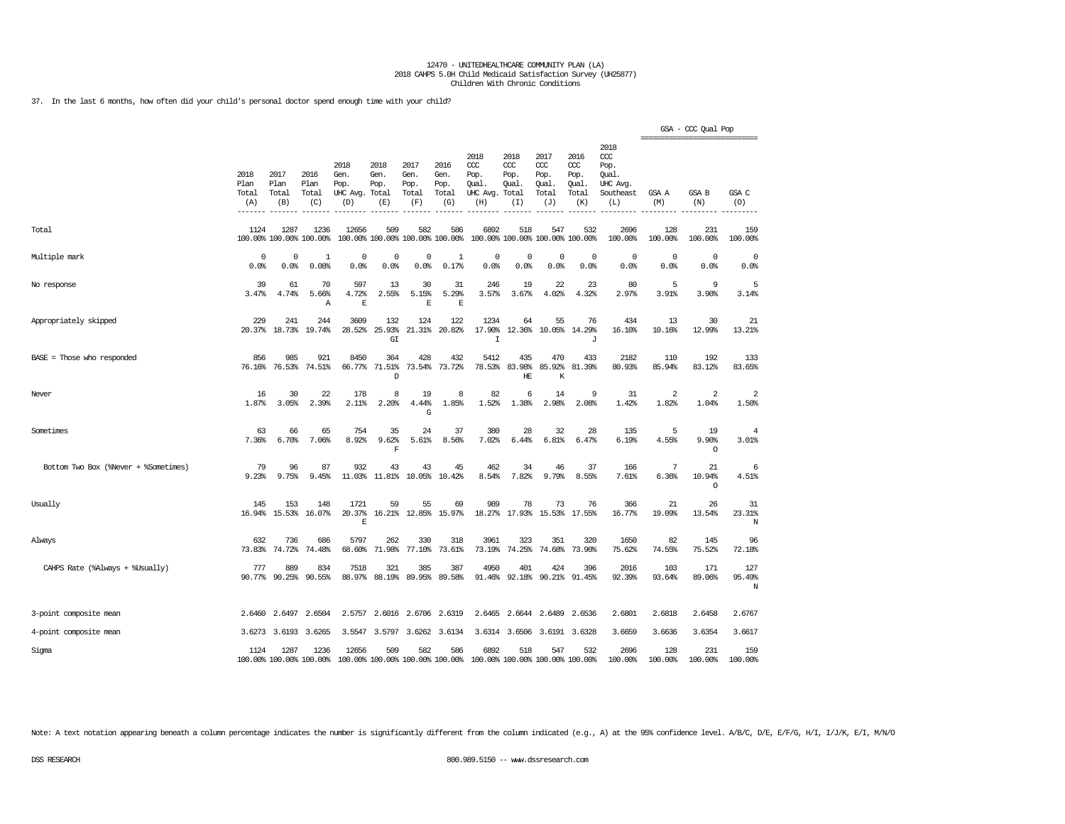37. In the last 6 months, how often did your child's personal doctor spend enough time with your child?

|                                      |                              |                              |                                 |                                          |                                      |                                      |                                        |                                                 |                                              |                                              |                                              |                                                             |                | GSA - CCC Qual Pop<br>----------------------------- |                                    |
|--------------------------------------|------------------------------|------------------------------|---------------------------------|------------------------------------------|--------------------------------------|--------------------------------------|----------------------------------------|-------------------------------------------------|----------------------------------------------|----------------------------------------------|----------------------------------------------|-------------------------------------------------------------|----------------|-----------------------------------------------------|------------------------------------|
|                                      | 2018<br>Plan<br>Total<br>(A) | 2017<br>Plan<br>Total<br>(B) | 2016<br>Plan<br>Total<br>(C)    | 2018<br>Gen.<br>Pop.<br>UHC Avg.<br>(D)  | 2018<br>Gen.<br>Pop.<br>Total<br>(E) | 2017<br>Gen.<br>Pop.<br>Total<br>(F) | 2016<br>Gen.<br>Pop.<br>Total<br>(G)   | 2018<br>CCC<br>Pop.<br>Oual.<br>UHC Avg.<br>(H) | 2018<br>CCC<br>Pop.<br>Oual.<br>Total<br>(T) | 2017<br>ccc<br>Pop.<br>Qual.<br>Total<br>(J) | 2016<br>ccc<br>Pop.<br>Qual.<br>Total<br>(K) | 2018<br>ccc<br>Pop.<br>Oual.<br>UHC Avq<br>Southeast<br>(L) | GSA A<br>(M)   | <b>GSA B</b><br>(N)                                 | $\mathsf{GSA}$ $\mathsf{C}$<br>(O) |
| Total                                | 1124                         | 1287                         | 1236<br>100.00% 100.00% 100.00% | 12656                                    | 509                                  | 582                                  | 586<br>100.00% 100.00% 100.00% 100.00% | 6892                                            | 518<br>100.00% 100.00% 100.00% 100.00%       | 547                                          | 532                                          | 2696<br>100.00%                                             | 128<br>100.00% | 231<br>100.00%                                      | 159<br>100.00%                     |
| Multiple mark                        | 0<br>0.0%                    | 0<br>0.0%                    | 1<br>0.08%                      | $\mathbf 0$<br>0.0%                      | $\mathbf 0$<br>0.0%                  | $\mathbf 0$<br>0.0%                  | 1<br>0.17%                             | 0<br>0.0%                                       | 0<br>0.0%                                    | 0<br>0.0%                                    | $\Omega$<br>0.0%                             | $\circ$<br>0.0%                                             | 0<br>0.0%      | $\circ$<br>0.0%                                     | 0<br>0.0%                          |
| No response                          | 39<br>3.47%                  | 61<br>4.74%                  | 70<br>5.66%<br>Α                | 597<br>4.72%<br>$\mathbf E$              | 13<br>2.55%                          | 30<br>5.15%<br>$\overline{\text{E}}$ | 31<br>5.29%<br>$\mathbf E$             | 246<br>3.57%                                    | 19<br>3.67%                                  | 22<br>4.02%                                  | 23<br>4.32%                                  | 80<br>2.97%                                                 | 5<br>3.91%     | 9<br>3.90%                                          | 5<br>3.14%                         |
| Appropriately skipped                | 229<br>20.37%                | 241<br>18.73%                | 244<br>19.74%                   | 3609<br>28.52%                           | 132<br>25.93%<br>GI                  | 124<br>21.31%                        | 122<br>20.82%                          | 1234<br>17.90%<br>$\mathbf I$                   | 64<br>12.36%                                 | 55<br>10.05%                                 | 76<br>14.29%<br>J                            | 434<br>16.10%                                               | 13<br>10.16%   | 30<br>12.99%                                        | 21<br>13.21%                       |
| BASE = Those who responded           | 856<br>76.16%                | 985<br>76.53%                | 921<br>74.51%                   | 8450<br>66.77%                           | 364<br>71.51%<br>D                   | 428<br>73.54%                        | 432<br>73.72%                          | 5412<br>78.53%                                  | 435<br>83.98%<br>HE                          | 470<br>85.92%<br>K                           | 433<br>81.39%                                | 2182<br>80.93%                                              | 110<br>85.94%  | 192<br>83.12%                                       | 133<br>83.65%                      |
| Never                                | 16<br>1.87%                  | 30<br>3.05%                  | 22<br>2.39%                     | 178<br>2.11%                             | 8<br>2.20%                           | 19<br>4.44%<br>G                     | 8<br>1.85%                             | 82<br>1.52%                                     | 6<br>1.38%                                   | 14<br>2.98%                                  | 9<br>2.08%                                   | 31<br>1.42%                                                 | 2<br>1.82%     | 2<br>1.04%                                          | $\overline{2}$<br>1.50%            |
| Sometimes                            | 63<br>7.36%                  | 66<br>6.70%                  | 65<br>7.06%                     | 754<br>8.92%                             | 35<br>9.62%<br>F                     | 24<br>5.61%                          | 37<br>8.56%                            | 380<br>7.02%                                    | 28<br>6.44%                                  | 32<br>6.81%                                  | 28<br>6.47%                                  | 135<br>6.19%                                                | 5<br>4.55%     | 19<br>9.90%<br>$\circ$                              | 4<br>3.01%                         |
| Bottom Two Box (%Never + %Sometimes) | 79<br>9.23%                  | 96<br>9.75%                  | 87<br>9.45%                     | 932<br>11.03%                            | 43<br>11.81%                         | 43<br>10.05%                         | 45<br>10.42%                           | 462<br>8.54%                                    | 34<br>7.82%                                  | 46<br>9.79%                                  | 37<br>8.55%                                  | 166<br>7.61%                                                | 7<br>6.36%     | 21<br>10.94%<br>$\circ$                             | 6<br>4.51%                         |
| Usually                              | 145<br>16.94%                | 153<br>15.53%                | 148<br>16.07%                   | 1721<br>20.37%<br>$\mathbf E$            | 59                                   | 55<br>16.21% 12.85%                  | 69<br>15.97%                           | 989<br>18.27%                                   | 78<br>17.93%                                 | 73<br>15.53%                                 | 76<br>17.55%                                 | 366<br>16.77%                                               | 21<br>19.09%   | 26<br>13.54%                                        | 31<br>23.31%<br>N                  |
| Always                               | 632<br>73.83%                | 736<br>74.72%                | 686<br>74.48%                   | 5797<br>68.60%                           | 262<br>71.98%                        | 330<br>77.10%                        | 318<br>73.61%                          | 3961<br>73.19%                                  | 323<br>74.25%                                | 351<br>74.68%                                | 320<br>73.90%                                | 1650<br>75.62%                                              | 82<br>74.55%   | 145<br>75.52%                                       | 96<br>72.18%                       |
| CAHPS Rate (%Always + %Usually)      | 777<br>90.77%                | 889<br>90.25%                | 834<br>90.55%                   | 7518<br>88.97%                           | 321<br>88.19%                        | 385<br>89.95%                        | 387<br>89.58%                          | 4950<br>91.46%                                  | 401<br>92.18%                                | 424                                          | 396<br>90.21% 91.45%                         | 2016<br>92.39%                                              | 103<br>93.64%  | 171<br>89.06%                                       | 127<br>95.49%<br>N                 |
| 3-point composite mean               | 2.6460                       | 2.6497                       | 2.6504                          | 2.5757                                   | 2.6016                               | 2.6706                               | 2.6319                                 | 2.6465                                          | 2.6644                                       | 2.6489                                       | 2.6536                                       | 2.6801                                                      | 2.6818         | 2.6458                                              | 2.6767                             |
| 4-point composite mean               | 3.6273                       | 3.6193                       | 3.6265                          | 3.5547                                   | 3.5797                               |                                      | 3.6262 3.6134                          |                                                 | 3.6314 3.6506                                |                                              | 3.6191 3.6328                                | 3.6659                                                      | 3.6636         | 3.6354                                              | 3.6617                             |
| Sigma                                | 1124                         | 1287                         | 1236<br>100.00% 100.00% 100.00% | 12656<br>100.00% 100.00% 100.00% 100.00% | 509                                  | 582                                  | 586                                    | 6892<br>100.00% 100.00% 100.00% 100.00%         | 518                                          | 547                                          | 532                                          | 2696<br>100.00%                                             | 128<br>100.00% | 231<br>100.00%                                      | 159<br>100.00%                     |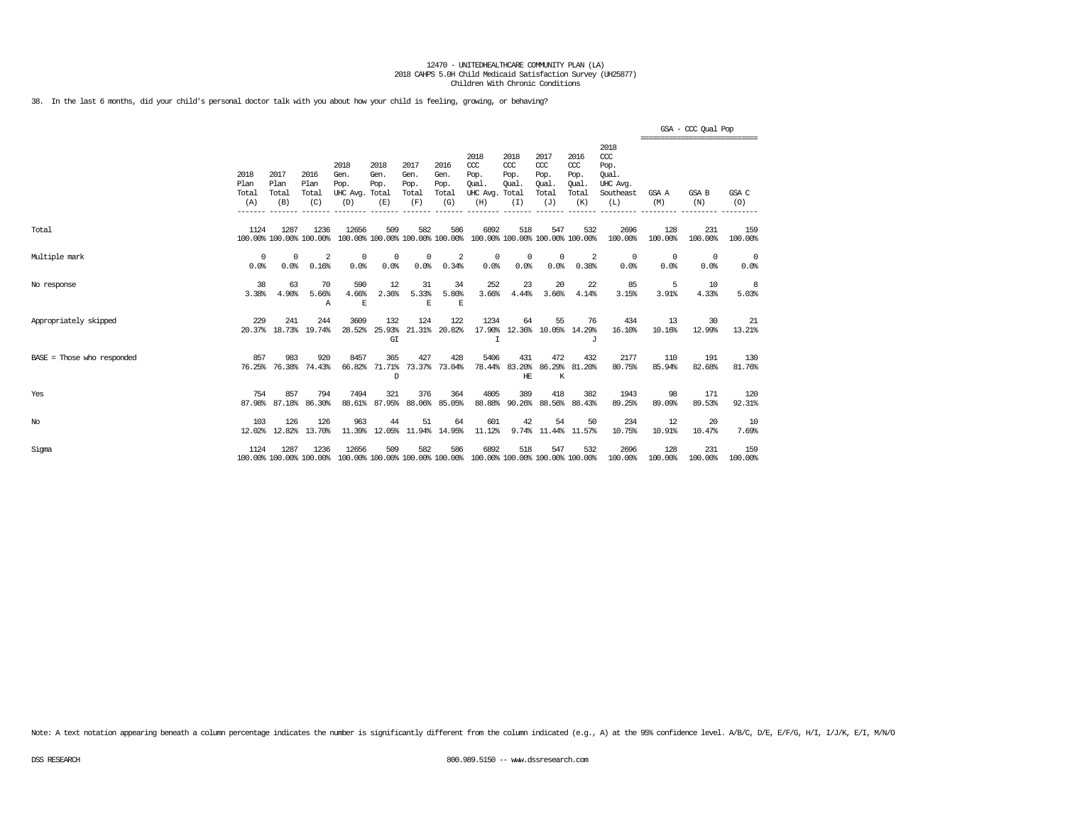38. In the last 6 months, did your child's personal doctor talk with you about how your child is feeling, growing, or behaving?

|                              |                              |                              |                                 |                                                                                          |                                         |                                      |                                      |                                                                         |                                      |                                                   |                                                   |                                                              |                    | GSA - CCC Qual Pop                              |                    |
|------------------------------|------------------------------|------------------------------|---------------------------------|------------------------------------------------------------------------------------------|-----------------------------------------|--------------------------------------|--------------------------------------|-------------------------------------------------------------------------|--------------------------------------|---------------------------------------------------|---------------------------------------------------|--------------------------------------------------------------|--------------------|-------------------------------------------------|--------------------|
|                              | 2018<br>Plan<br>Total<br>(A) | 2017<br>Plan<br>Total<br>(B) | 2016<br>Plan<br>Total<br>(C)    | 2018<br>Gen.<br>Pop.<br>UHC Avg. Total<br>(D)                                            | 2018<br>Gen.<br>Pop.<br>(E)             | 2017<br>Gen.<br>Pop.<br>Total<br>(F) | 2016<br>Gen.<br>Pop.<br>Total<br>(G) | 2018<br>CCC<br>Pop.<br>Oual.<br>UHC Avg. Total<br>(H)                   | 2018<br>$CC$<br>Pop.<br>Oual.<br>(I) | 2017<br>$\alpha$<br>Pop.<br>Oual.<br>Total<br>(J) | 2016<br>$\alpha$<br>Pop.<br>Oual.<br>Total<br>(K) | 2018<br>ccc<br>Pop.<br>Oual.<br>UHC Avq.<br>Southeast<br>(L) | GSA A<br>(M)       | ===============================<br>GSA B<br>(N) | GSA C<br>(0)       |
| Total                        | 1124                         | 1287                         | 1236<br>100.00% 100.00% 100.00% | 12656                                                                                    | 509                                     | 582                                  | 586                                  | 6892<br>100.00% 100.00% 100.00% 100.00% 100.00% 100.00% 100.00% 100.00% | 518                                  | 547                                               | 532                                               | 2696<br>100.00%                                              | 128<br>100.00%     | 231<br>100.00%                                  | 159<br>100.00%     |
| Multiple mark                | 0<br>0.0%                    | $^{\circ}$<br>0.0%           | 2<br>0.16%                      | $^{\circ}$<br>0.0%                                                                       | 0<br>0.0%                               | $^{\circ}$<br>0.0%                   | 2<br>0.34%                           | $^{\circ}$<br>0.0%                                                      | 0<br>0.0%                            | $^{\circ}$<br>0.0%                                | 2<br>0.38%                                        | $^{\circ}$<br>0.0%                                           | $^{\circ}$<br>0.0% | $^{\circ}$<br>0.0%                              | $^{\circ}$<br>0.0% |
| No response                  | 38<br>3.38%                  | 63<br>4.90%                  | 70<br>5.66%<br>A                | 590<br>4.66%<br>$\mathbb E$                                                              | 12<br>2.36%                             | 31<br>5.33%<br>E                     | 34<br>5.80%<br>$\mathbf E$           | 252<br>3.66%                                                            | 23<br>4.44%                          | 20<br>3.66%                                       | 22<br>4.14%                                       | 85<br>3.15%                                                  | 5<br>3.91%         | 10<br>4.33%                                     | 8<br>5.03%         |
| Appropriately skipped        | 229                          | 241<br>20.37% 18.73% 19.74%  | 244                             | 3609<br>28.52%                                                                           | 132<br>25.93%<br>$\mathbb{G}\mathbb{I}$ | 124<br>21.31%                        | 122<br>20.82%                        | 1234<br>17.90%<br>Ι                                                     | 64                                   | 55                                                | 76<br>12.36% 10.05% 14.29%<br>J                   | 434<br>16.10%                                                | 13<br>10.16%       | 30<br>12.99%                                    | 21<br>13.21%       |
| $BASE = Those who responded$ | 857<br>76.25%                | 983<br>76.38%                | 920<br>74.43%                   | 8457<br>66.82%                                                                           | 365<br>71.71%<br>D                      | 427                                  | 428<br>73.37% 73.04%                 | 5406<br>78.44%                                                          | 431<br>$\rm HE$                      | 472<br>K                                          | 432<br>83.20% 86.29% 81.20%                       | 2177<br>80.75%                                               | 110<br>85.94%      | 191<br>82.68%                                   | 130<br>81.76%      |
| Yes                          | 754<br>87.98%                | 857<br>87.18%                | 794<br>86.30%                   | 7494<br>88.61%                                                                           | 321<br>87.95%                           | 376<br>88.06%                        | 364<br>85.05%                        | 4805<br>88.88%                                                          | 389                                  | 418<br>90.26% 88.56%                              | 382<br>88.43%                                     | 1943<br>89.25%                                               | 98<br>89.09%       | 171<br>89.53%                                   | 120<br>92.31%      |
| No                           | 103                          | 126<br>12.02% 12.82%         | 126<br>13.70%                   | 963                                                                                      | 44                                      | 51<br>11.39% 12.05% 11.94% 14.95%    | 64                                   | 601<br>11.12%                                                           | 42                                   | 54                                                | 50<br>9.74% 11.44% 11.57%                         | 234<br>10.75%                                                | 12<br>10.91%       | 20<br>10.47%                                    | 10<br>7.69%        |
| Sigma                        | 1124                         | 1287                         | 1236                            | 12656<br>100.00% 100.00% 100.00% 100.00% 100.00% 100.00% 100.00% 100.00% 100.00% 100.00% | 509                                     | 582                                  | 586                                  | 6892                                                                    | 518                                  | 547                                               | 532                                               | 2696<br>100.00%                                              | 128<br>100.00%     | 231<br>100.00%                                  | 159<br>100.00%     |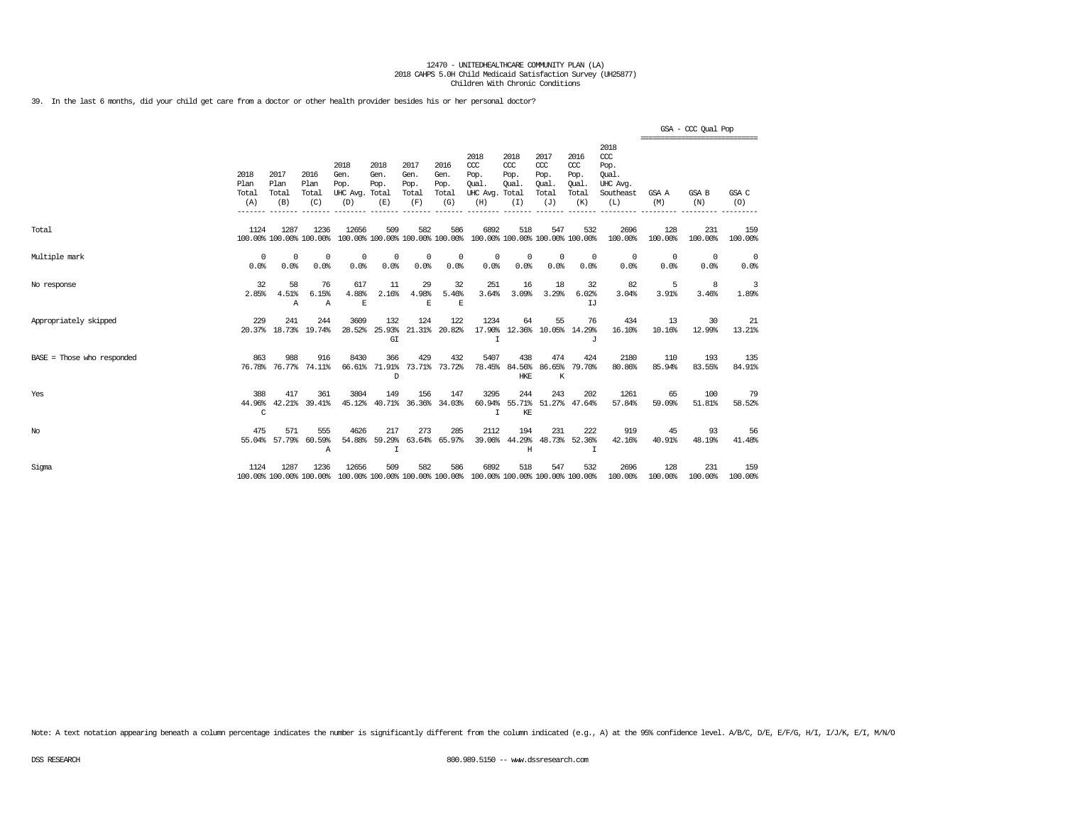39. In the last 6 months, did your child get care from a doctor or other health provider besides his or her personal doctor?

|                            |                              |                              |                                 |                                                                                          |                              |                                      |                                      |                                                                         |                                     |                                                   |                                              |                                                                 | ------------------------------- | GSA - CCC Qual Pop |                    |
|----------------------------|------------------------------|------------------------------|---------------------------------|------------------------------------------------------------------------------------------|------------------------------|--------------------------------------|--------------------------------------|-------------------------------------------------------------------------|-------------------------------------|---------------------------------------------------|----------------------------------------------|-----------------------------------------------------------------|---------------------------------|--------------------|--------------------|
|                            | 2018<br>Plan<br>Total<br>(A) | 2017<br>Plan<br>Total<br>(B) | 2016<br>Plan<br>Total<br>(C)    | 2018<br>Gen.<br>Pop.<br>UHC Avg. Total<br>(D)                                            | 2018<br>Gen.<br>Pop.<br>(E)  | 2017<br>Gen.<br>Pop.<br>Total<br>(F) | 2016<br>Gen.<br>Pop.<br>Total<br>(G) | 2018<br>CCC<br>Pop.<br>Oual.<br>UHC Avg. Total<br>(H)                   | 2018<br>CCC<br>Pop.<br>Oual.<br>(I) | 2017<br>$\alpha$<br>Pop.<br>Oual.<br>Total<br>(J) | 2016<br>ccc<br>Pop.<br>Oual.<br>Total<br>(K) | 2018<br>$\csc$<br>Pop.<br>Oual.<br>UHC Avg.<br>Southeast<br>(L) | GSA A<br>(M)                    | GSA B<br>(N)       | GSA C<br>(O)       |
| Total                      | 1124                         | 1287                         | 1236<br>100.00% 100.00% 100.00% | 12656                                                                                    | 509                          | 582                                  | 586                                  | 6892<br>100.00% 100.00% 100.00% 100.00% 100.00% 100.00% 100.00% 100.00% | 518                                 | 547                                               | 532                                          | 2696<br>100.00%                                                 | 128<br>100.00%                  | 231<br>100.00%     | 159<br>100.00%     |
| Multiple mark              | 0<br>0.0%                    | $\Omega$<br>0.0%             | $^{\circ}$<br>0.0%              | 0<br>0.0%                                                                                | 0<br>0.0%                    | $^{\circ}$<br>0.0%                   | 0<br>0.0%                            | $^{\circ}$<br>0.0%                                                      | 0<br>0.0%                           | $\mathbf 0$<br>0.0%                               | $\mathbf{0}$<br>0.0%                         | $^{\circ}$<br>0.0%                                              | $\circ$<br>0.0%                 | $^{\circ}$<br>0.0% | $^{\circ}$<br>0.0% |
| No response                | 32<br>2.85%                  | 58<br>4.51%<br>$\mathbb{A}$  | 76<br>6.15%<br>Α                | 617<br>4.88%<br>E                                                                        | 11<br>2.16%                  | 29<br>4.98%<br>E                     | 32<br>5.46%<br>E                     | 251<br>3.64%                                                            | 16<br>3.09%                         | 18<br>3.29%                                       | 32<br>6.02%<br>TJ                            | 82<br>3.04%                                                     | 5<br>3.91%                      | 8<br>3.46%         | 3<br>1.89%         |
| Appropriately skipped      | 229                          | 241                          | 244<br>20.37% 18.73% 19.74%     | 3609<br>28.52%                                                                           | 132<br>25.93%<br>G I         | 124                                  | 122<br>21.31% 20.82%                 | 1234<br>T                                                               | 64                                  | 55                                                | 76<br>17.90% 12.36% 10.05% 14.29%<br>T.      | 434<br>16.10%                                                   | 13<br>10.16%                    | -30<br>12.99%      | 21<br>13.21%       |
| BASE = Those who responded | 863                          | 988                          | 916<br>76.78% 76.77% 74.11%     | 8430                                                                                     | 366<br>66.61% 71.91%<br>D    | 429                                  | 432<br>73.71% 73.72%                 | 5407                                                                    | 438<br>78.45% 84.56% 86.65%<br>HKE  | 474<br>K                                          | 424<br>79.70%                                | 2180<br>80.86%                                                  | 110<br>85.94%                   | 193<br>83.55%      | 135<br>84.91%      |
| Yes                        | 388<br>44.96%<br>C           | 417                          | 361<br>42.21% 39.41%            | 3804<br>45.12%                                                                           | 149                          | 156                                  | 147<br>40.71% 36.36% 34.03%          | 3295<br>I                                                               | 244<br>KE                           | 243                                               | 202<br>60.94% 55.71% 51.27% 47.64%           | 1261<br>57.84%                                                  | 65<br>59.09%                    | 100<br>51.81%      | 79<br>58.52%       |
| No                         | 475                          | 571<br>55.04% 57.79%         | 555<br>60.59%<br>Α              | 4626<br>54.88%                                                                           | 217<br>59.29%<br>$\mathbf I$ | 273<br>63.64%                        | 285<br>65.97%                        | 2112<br>39.06%                                                          | 194<br>Η                            | 231                                               | 222<br>44.29% 48.73% 52.36%<br>I             | 919<br>42.16%                                                   | 45<br>40.91%                    | 93<br>48.19%       | 56<br>41.48%       |
| Sigma                      | 1124                         | 1287                         | 1236                            | 12656<br>100.00% 100.00% 100.00% 100.00% 100.00% 100.00% 100.00% 100.00% 100.00% 100.00% | 509                          | 582                                  | 586                                  | 6892                                                                    | 518                                 | 547                                               | 532                                          | 2696<br>100.00%                                                 | 128<br>100.00%                  | 231<br>100.00%     | 159<br>100.00%     |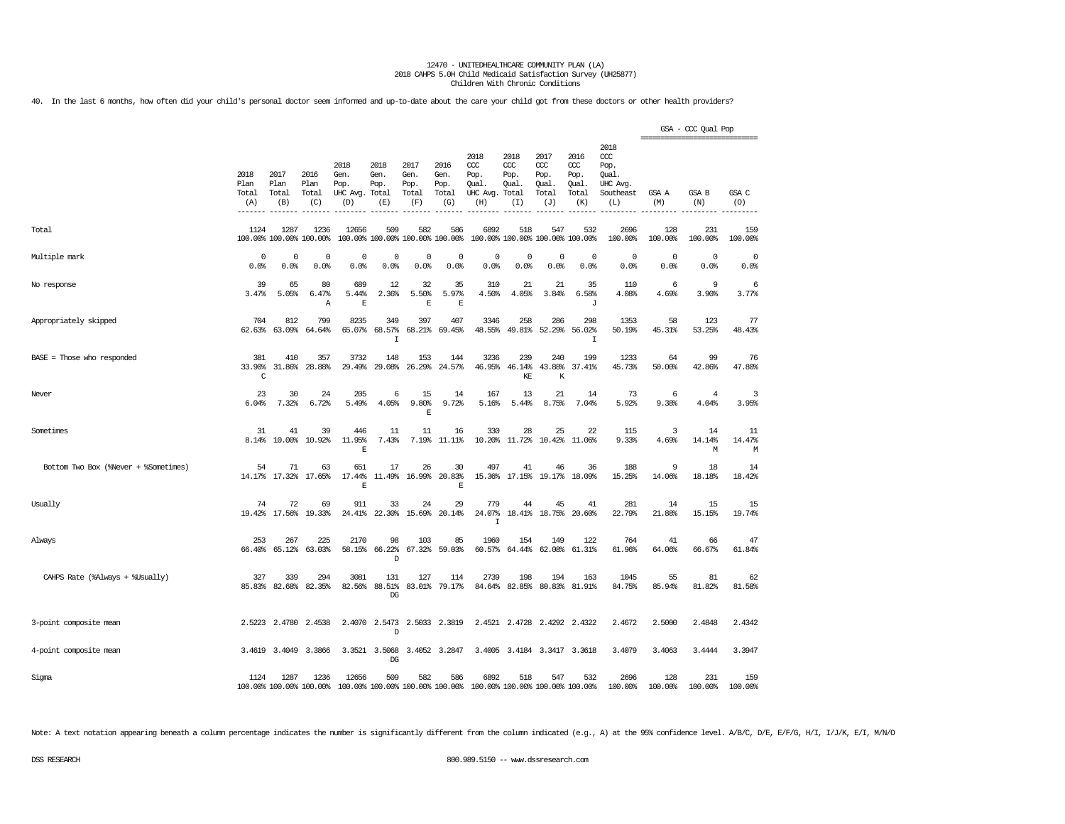40. In the last 6 months, how often did your child's personal doctor seem informed and up-to-date about the care your child got from these doctors or other health providers?

|                                      |                              |                              |                                 |                                               |                                        |                                      |                                      |                                                                         |                                     |                                              |                                                   |                                                                  | ================================ | GSA - CCC Qual Pop |                   |
|--------------------------------------|------------------------------|------------------------------|---------------------------------|-----------------------------------------------|----------------------------------------|--------------------------------------|--------------------------------------|-------------------------------------------------------------------------|-------------------------------------|----------------------------------------------|---------------------------------------------------|------------------------------------------------------------------|----------------------------------|--------------------|-------------------|
|                                      | 2018<br>Plan<br>Total<br>(A) | 2017<br>Plan<br>Total<br>(B) | 2016<br>Plan<br>Total<br>(C)    | 2018<br>Gen.<br>Pop.<br>UHC Avg. Total<br>(D) | 2018<br>Gen.<br>Pop.<br>(E)            | 2017<br>Gen.<br>Pop.<br>Total<br>(F) | 2016<br>Gen.<br>Pop.<br>Total<br>(G) | 2018<br>ccc<br>Pop.<br>Qual.<br>UHC Avg. Total<br>(H)                   | 2018<br>ccc<br>Pop.<br>Qual.<br>(I) | 2017<br>ccc<br>Pop.<br>Qual.<br>Total<br>(J) | 2016<br>$\alpha$<br>Pop.<br>Qual.<br>Total<br>(K) | 2018<br>$\alpha$<br>Pop.<br>Qual<br>UHC Avg.<br>Southeast<br>(L) | GSA A<br>(M)                     | GSA B<br>(N)       | GSA C<br>(O)      |
| Total                                | 1124                         | 1287                         | 1236<br>100.00% 100.00% 100.00% | 12656                                         | 509<br>100.00% 100.00% 100.00% 100.00% | 582                                  | 586                                  | 6892                                                                    | 518                                 | 547<br>100.00% 100.00% 100.00% 100.00%       | 532                                               | 2696<br>100.00%                                                  | 128<br>100.00%                   | 231<br>100.00%     | 159<br>100.00%    |
| Multiple mark                        | 0<br>0.0%                    | 0<br>0.0%                    | 0<br>0.0%                       | 0<br>0.0%                                     | 0<br>0.0%                              | $\mathbf 0$<br>0.0%                  | 0<br>0.0%                            | 0<br>0.0%                                                               | 0<br>0.0%                           | 0<br>0.0%                                    | 0<br>0.0%                                         | 0<br>0.0%                                                        | 0<br>0.0%                        | 0<br>0.0%          | 0<br>0.0%         |
| No response                          | 39<br>3.47%                  | 65<br>5.05%                  | 80<br>6.47%<br>Α                | 689<br>5.44%<br>$\mathbb E$                   | 12<br>2.36%                            | 32<br>5.50%<br>E                     | 35<br>5.97%<br>$\mathbb E$           | 310<br>4.50%                                                            | 21<br>4.05%                         | 21<br>3.84%                                  | 35<br>6.58%<br>J                                  | 110<br>4.08%                                                     | 6<br>4.69%                       | 9<br>3.90%         | -6<br>3.77%       |
| Appropriately skipped                | 704<br>62.63%                | 812<br>63.09%                | 799<br>64.64%                   | 8235<br>65.07%                                | 349<br>68.57%<br>I                     | 397<br>68.21%                        | 407<br>69.45%                        | 3346<br>48.55%                                                          | 258<br>49.81%                       | 286<br>52.29%                                | 298<br>56.02%<br>I                                | 1353<br>50.19%                                                   | 58<br>45.31%                     | 123<br>53.25%      | 77<br>48.43%      |
| $BASE = Those who responded$         | 381<br>33.90%<br>C           | 410<br>31.86%                | 357<br>28.88%                   | 3732<br>29.49%                                | 148<br>29.08%                          | 153<br>26.29%                        | 144<br>24.57%                        | 3236<br>46.95%                                                          | 239<br>46.14%<br>KE                 | 240<br>43.88%<br>К                           | 199<br>37.41%                                     | 1233<br>45.73%                                                   | 64<br>50.00%                     | 99<br>42.86%       | 76<br>47.80%      |
| Never                                | 23<br>6.04%                  | 30<br>7.32%                  | 24<br>6.72%                     | 205<br>5.49%                                  | 6<br>4.05%                             | 15<br>9.80%<br>$\mathbf E$           | 14<br>9.72%                          | 167<br>5.16%                                                            | 13<br>5.44%                         | 21<br>8.75%                                  | 14<br>7.04%                                       | 73<br>5.92%                                                      | 6<br>9.38%                       | 4<br>4.04%         | 3<br>3.95%        |
| Sometimes                            | 31<br>8.14%                  | 41<br>10.00%                 | 39<br>10.92%                    | 446<br>11.95%<br>E                            | 11<br>7.43%                            | 11<br>7.19%                          | 16<br>$11.11$ $8$                    | 330<br>10.20%                                                           | 28<br>11.72%                        | 25<br>10.42%                                 | 22<br>11.06%                                      | 115<br>9.33%                                                     | 3<br>4.69%                       | 14<br>14.14%<br>М  | 11<br>14.47%<br>M |
| Bottom Two Box (%Never + %Sometimes) | 54                           | 71                           | 63<br>14.17% 17.32% 17.65%      | 651<br>17.44%<br>E                            | 17                                     | 26<br>11.49% 16.99%                  | 30<br>20.83%<br>E                    | 497<br>15.36%                                                           | 41<br>17.15%                        | 46<br>19.17%                                 | 36<br>18.09%                                      | 188<br>15.25%                                                    | 9<br>14.06%                      | 18<br>18.18%       | 14<br>18.42%      |
| Usually                              | 74                           | 72<br>19.42% 17.56%          | 69<br>19.33%                    | 911<br>24.41%                                 | 33<br>22.30%                           | 24<br>15.69%                         | 29<br>20.14%                         | 779<br>24.07%<br>$\mathsf{T}$                                           | 44                                  | 45<br>18.41% 18.75%                          | 41<br>20.60%                                      | 281<br>22.79%                                                    | 14<br>21.88%                     | 15<br>15.15%       | 15<br>19.74%      |
| Always                               | 253                          | 267<br>66.40% 65.12%         | 225<br>63.03%                   | 2170<br>58.15%                                | 98<br>66.22%<br>D                      | 103<br>67.32%                        | 85<br>59.03%                         | 1960<br>60.57%                                                          | 154<br>64.44%                       | 149<br>62.08%                                | 122<br>61.31%                                     | 764<br>61.96%                                                    | 41<br>64.06%                     | 66<br>66.67%       | 47<br>61.84%      |
| CAHPS Rate (%Always + %Usually)      | 327                          | 339<br>85.83% 82.68%         | 294<br>82.35%                   | 3081                                          | 131<br>82.56% 88.51%<br>DG             | 127                                  | 114<br>83.01% 79.17%                 | 2739                                                                    | 198                                 | 194<br>84.64% 82.85% 80.83% 81.91%           | 163                                               | 1045<br>84.75%                                                   | 55<br>85.94%                     | 81<br>81.82%       | 62<br>81.58%      |
| 3-point composite mean               |                              |                              | 2.5223 2.4780 2.4538            | 2.4070                                        | 2.5473<br>D                            |                                      | 2.5033 2.3819                        |                                                                         |                                     | 2.4521 2.4728 2.4292                         | 2.4322                                            | 2.4672                                                           | 2.5000                           | 2.4848             | 2.4342            |
| 4-point composite mean               |                              | 3.4619 3.4049                | 3.3866                          |                                               | 3.3521 3.5068<br>DG                    |                                      | 3.4052 3.2847                        |                                                                         |                                     | 3.4005 3.4184 3.3417 3.3618                  |                                                   | 3.4079                                                           | 3.4063                           | 3.4444             | 3.3947            |
| Sigma                                | 1124                         | 1287                         | 1236<br>100.00% 100.00% 100.00% | 12656                                         | 509                                    | 582                                  | 586                                  | 6892<br>100.00% 100.00% 100.00% 100.00% 100.00% 100.00% 100.00% 100.00% | 518                                 | 547                                          | 532                                               | 2696<br>100.00%                                                  | 128<br>100.00%                   | 231<br>100.00%     | 159<br>100.00%    |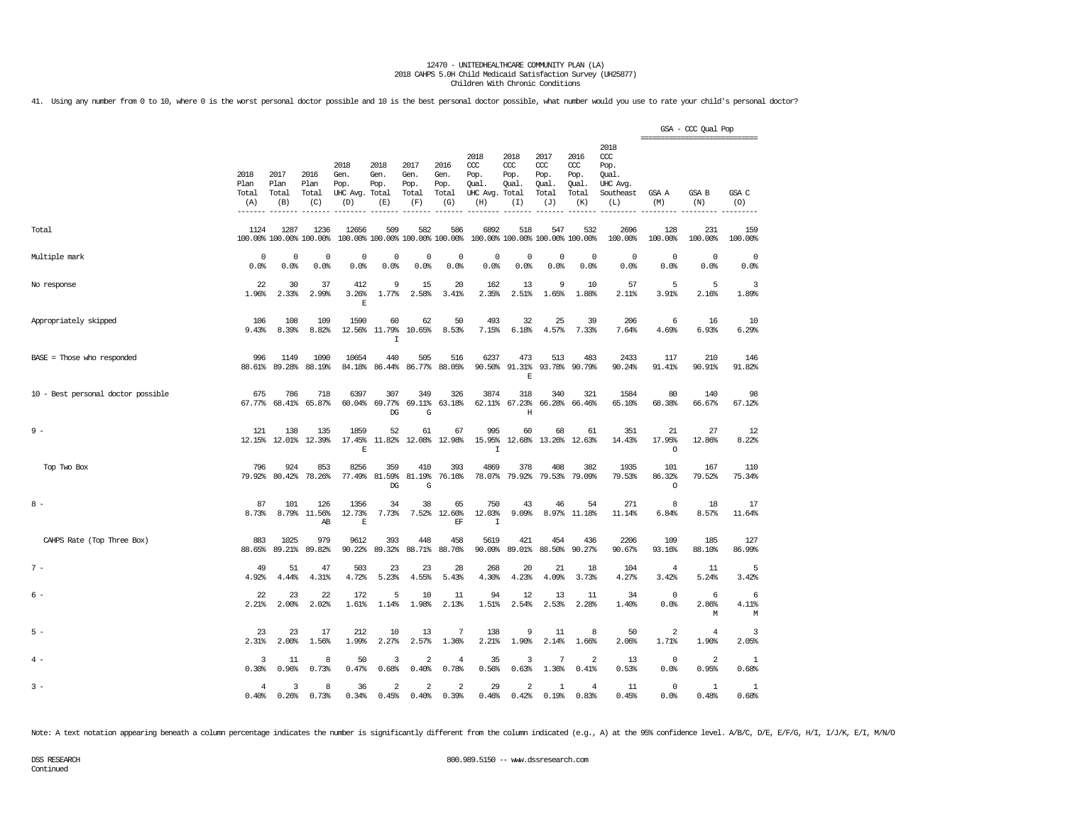41. Using any number from 0 to 10, where 0 is the worst personal doctor possible and 10 is the best personal doctor possible, what number would you use to rate your child's personal doctor?

|                                    |                                               |                              |                                 |                                         |                                        |                                      |                                              |                                                       |                                     |                                              |                                                      |                                                              | ------------------------------ | GSA - CCC Qual Pop      |                          |
|------------------------------------|-----------------------------------------------|------------------------------|---------------------------------|-----------------------------------------|----------------------------------------|--------------------------------------|----------------------------------------------|-------------------------------------------------------|-------------------------------------|----------------------------------------------|------------------------------------------------------|--------------------------------------------------------------|--------------------------------|-------------------------|--------------------------|
|                                    | 2018<br>Plan<br>Total<br>(A)<br>$- - - - - -$ | 2017<br>Plan<br>Total<br>(B) | 2016<br>Plan<br>Total<br>(C)    | 2018<br>Gen.<br>Pop.<br>UHC Avg.<br>(D) | 2018<br>Gen.<br>Pop.<br>Total<br>(E)   | 2017<br>Gen.<br>Pop.<br>Total<br>(F) | 2016<br>Gen.<br>Pop.<br>Total<br>(G)<br>---- | 2018<br>ccc<br>Pop.<br>Qual.<br>UHC Avg. Total<br>(H) | 2018<br>ccc<br>Pop.<br>Qual.<br>(T) | 2017<br>ccc<br>Pop.<br>Qual.<br>Total<br>(J) | 2016<br>${\rm occ}$<br>Pop.<br>Qual.<br>Total<br>(K) | 2018<br>ccc<br>Pop.<br>Oual.<br>UHC Avg.<br>Southeast<br>(L) | GSA A<br>(M)                   | GSA B<br>(N)            | GSA C<br>(0)<br>-------- |
| Total                              | 1124                                          | 1287                         | 1236<br>100.00% 100.00% 100.00% | 12656                                   | 509<br>100.00% 100.00% 100.00% 100.00% | 582                                  | 586                                          | 6892                                                  | 518                                 | 547<br>100.00% 100.00% 100.00% 100.00%       | 532                                                  | 2696<br>100.00%                                              | 128<br>100.00%                 | 231<br>100.00%          | 159<br>100.00%           |
| Multiple mark                      | 0<br>0.0%                                     | 0<br>0.0%                    | 0<br>0.0%                       | 0<br>0.0%                               | $^{\circ}$<br>0.0%                     | 0<br>0.0%                            | $^{\circ}$<br>0.0%                           | 0<br>0.0%                                             | $\mathbf 0$<br>0.0%                 | 0<br>0.0%                                    | $\mathbf 0$<br>0.0%                                  | $\mathbf 0$<br>0.0%                                          | $\mathbf 0$<br>0.0%            | $\mathbf{0}$<br>0.0%    | $^{\circ}$<br>0.0%       |
| No response                        | 22<br>1.96%                                   | 30<br>2.33%                  | 37<br>2.99%                     | 412<br>3.26%<br>E                       | 9<br>1.77%                             | 15<br>2.58%                          | 20<br>3.41%                                  | 162<br>2.35%                                          | 13<br>2.51%                         | 9<br>1.65%                                   | 10<br>1.88%                                          | 57<br>2.11%                                                  | 5<br>3.91%                     | 5<br>2.16%              | 3<br>1.89%               |
| Appropriately skipped              | 106<br>9.43%                                  | 108<br>8.39%                 | 109<br>8.82%                    | 1590                                    | 60<br>12.56% 11.79%<br>$\mathbf I$     | 62<br>10.65%                         | 50<br>8.53%                                  | 493<br>7.15%                                          | 32<br>6.18%                         | 25<br>4.57%                                  | 39<br>7.33%                                          | 206<br>7.64%                                                 | 6<br>4.69%                     | 16<br>6.93%             | 10<br>6.29%              |
| BASE = Those who responded         | 996<br>88.61%                                 | 1149<br>89.28%               | 1090<br>88.19%                  | 10654<br>84.18%                         | 440<br>86.44%                          | 505<br>86.77%                        | 516<br>88.05%                                | 6237<br>90.50%                                        | 473<br>91.31%<br>$\mathbf E$        | 513<br>93.78%                                | 483<br>90.79%                                        | 2433<br>90.24%                                               | 117<br>91.41%                  | 210<br>90.91%           | 146<br>91.82%            |
| 10 - Best personal doctor possible | 675<br>67.77%                                 | 786<br>68.41%                | 718<br>65.87%                   | 6397<br>60.04%                          | 307<br>69.77%<br>DG                    | 349<br>69.11%<br>G                   | 326<br>63.18%                                | 3874<br>62.11%                                        | 318<br>67.23%<br>Η                  | 340<br>66.28%                                | 321<br>66.46%                                        | 1584<br>65.10%                                               | 80<br>68.38%                   | 140<br>66.67%           | 98<br>67.12%             |
| $9 -$                              | 121<br>12.15%                                 | 138<br>12.01%                | 135<br>12.39%                   | 1859<br>17.45%<br>E                     | 52<br>11.82%                           | 61                                   | 67<br>12.08% 12.98%                          | 995<br>15.95%<br>I                                    | 60                                  | 68<br>12.68% 13.26% 12.63%                   | 61                                                   | 351<br>14.43%                                                | 21<br>17.95%<br>$\circ$        | 27<br>12.86%            | 12<br>8.22%              |
| Top Two Box                        | 796<br>79.92%                                 | 924<br>80.42%                | 853<br>78.26%                   | 8256<br>77.49%                          | 359<br>81.59%<br>DG                    | 410<br>81.19%<br>G                   | 393<br>76.16%                                | 4869<br>78.07%                                        | 378<br>79.92%                       | 408<br>79.53%                                | 382<br>79.09%                                        | 1935<br>79.53%                                               | 101<br>86.32%<br>$\circ$       | 167<br>79.52%           | 110<br>75.34%            |
| $8 -$                              | 87<br>8.73%                                   | 101                          | 126<br>8.79% 11.56%<br>AB       | 1356<br>12.73%<br>$\mathbf E$           | 34<br>7.73%                            | 38<br>7.52%                          | 65<br>12.60%<br>EF                           | 750<br>12.03%<br>$\mathbf I$                          | 43<br>9.09%                         | 46<br>8.97%                                  | 54<br>11.18%                                         | 271<br>11.14%                                                | 8<br>6.84%                     | 18<br>8.57%             | 17<br>11.64%             |
| CAHPS Rate (Top Three Box)         | 883<br>88.65%                                 | 1025<br>89.21%               | 979<br>89.82%                   | 9612<br>90.22%                          | 393<br>89.32%                          | 448<br>88.71%                        | 458<br>88.76%                                | 5619<br>90.09%                                        | 421<br>89.01%                       | 454<br>88.50%                                | 436<br>90.27%                                        | 2206<br>90.67%                                               | 109<br>93.16%                  | 185<br>88.10%           | 127<br>86.99%            |
| $7 -$                              | 49<br>4.92%                                   | 51<br>4.44%                  | 47<br>4.31%                     | 503<br>4.72%                            | 23<br>5.23%                            | 23<br>4.55%                          | 28<br>5.43%                                  | 268<br>4.30%                                          | 20<br>4.23%                         | 21<br>4.09%                                  | 18<br>3.73%                                          | 104<br>4.27%                                                 | 4<br>3.42%                     | 11<br>5.24%             | 5<br>3.42%               |
| $6 -$                              | 22<br>2.21%                                   | 23<br>2.00%                  | 22<br>2.02%                     | 172<br>1.61%                            | 5<br>1.14%                             | 10<br>1.98%                          | 11<br>2.13%                                  | 94<br>1.51%                                           | 12<br>2.54%                         | 13<br>2.53%                                  | 11<br>2.28%                                          | 34<br>1.40%                                                  | $\circ$<br>0.0%                | 6<br>2.86%<br>М         | 6<br>4.11%<br>М          |
| $5 -$                              | 23<br>2.31%                                   | 23<br>2.00%                  | 17<br>1.56%                     | 212<br>1.99%                            | 10<br>2.27%                            | 13<br>2.57%                          | 7<br>1.36%                                   | 138<br>2.21%                                          | 9<br>1.90%                          | 11<br>2.14%                                  | 8<br>1.66%                                           | 50<br>2.06%                                                  | $\overline{2}$<br>1.71%        | $\overline{4}$<br>1.90% | 3<br>2.05%               |
| $4 -$                              | 3<br>0.30%                                    | 11<br>0.96%                  | 8<br>0.73%                      | 50<br>0.47%                             | 3<br>0.68%                             | $\overline{\mathbf{2}}$<br>0.40%     | 4<br>0.78%                                   | 35<br>0.56%                                           | 3<br>0.63%                          | 7<br>1.36%                                   | 2<br>0.41%                                           | 13<br>0.53%                                                  | $\mathbf{0}$<br>0.0%           | 2<br>0.95%              | -1<br>0.68%              |
| $3 -$                              | 4<br>0.40%                                    | 3<br>0.26%                   | 8<br>0.73%                      | 36<br>0.34%                             | $\overline{\mathbf{2}}$<br>0.45%       | $\overline{\mathbf{2}}$<br>0.40%     | 2<br>0.39%                                   | 29<br>0.46%                                           | 2<br>0.42%                          | 1<br>0.19%                                   | 4<br>0.83%                                           | 11<br>0.45%                                                  | $\mathbf{0}$<br>0.0%           | -1<br>0.48%             | 1<br>0.68%               |

Note: A text notation appearing beneath a column percentage indicates the number is significantly different from the column indicated (e.g., A) at the 95% confidence level. A/B/C, D/E, E/F/G, H/I, I/J/K, E/I, M/N/O

Continued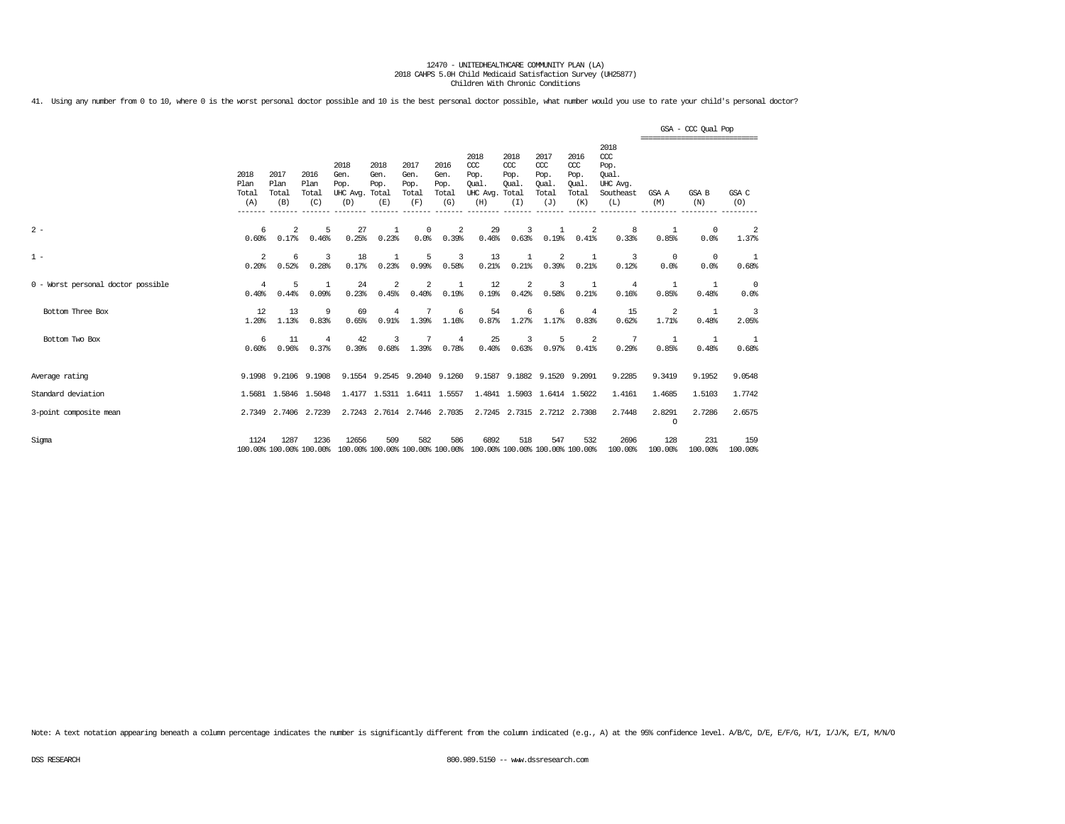41. Using any number from 0 to 10, where 0 is the worst personal doctor possible and 10 is the best personal doctor possible, what number would you use to rate your child's personal doctor?

|                                    |                              |                              |                                 |                                         |                                      |                                      |                                      |                                                                         |                                              |                                                   |                                             |                                                              | =============================== | GSA - CCC Qual Pop  |                    |
|------------------------------------|------------------------------|------------------------------|---------------------------------|-----------------------------------------|--------------------------------------|--------------------------------------|--------------------------------------|-------------------------------------------------------------------------|----------------------------------------------|---------------------------------------------------|---------------------------------------------|--------------------------------------------------------------|---------------------------------|---------------------|--------------------|
|                                    | 2018<br>Plan<br>Total<br>(A) | 2017<br>Plan<br>Total<br>(B) | 2016<br>Plan<br>Total<br>(C)    | 2018<br>Gen.<br>Pop.<br>UHC Avg.<br>(D) | 2018<br>Gen.<br>Pop.<br>Total<br>(E) | 2017<br>Gen.<br>Pop.<br>Total<br>(F) | 2016<br>Gen.<br>Pop.<br>Total<br>(G) | 2018<br>$CC$<br>Pop.<br>Oual.<br>UHC Avg.<br>(H)                        | 2018<br>CCC<br>Pop.<br>Oual.<br>Total<br>(I) | 2017<br>$\alpha$<br>Pop.<br>Oual.<br>Total<br>(J) | 2016<br>ccc<br>Pop.<br>Oual<br>Total<br>(K) | 2018<br>ccc<br>Pop.<br>Oual.<br>UHC Avg.<br>Southeast<br>(L) | GSA A<br>(M)                    | <b>GSA B</b><br>(N) | GSA C<br>(O)       |
| $2 -$                              | 6<br>0.60%                   | 2<br>0.17%                   | 5<br>0.46%                      | 27<br>0.25%                             | $\mathbf{1}$<br>0.23%                | $\Omega$<br>0.0%                     | $\overline{2}$<br>0.39%              | 29<br>0.46%                                                             | 3<br>0.63%                                   | 0.19%                                             | 2<br>0.41%                                  | 8<br>0.33%                                                   | -1<br>0.85%                     | $\Omega$<br>0.0%    | 2<br>1.37%         |
| $1 -$                              | 2<br>0.20%                   | 6<br>0.52%                   | 3<br>0.28%                      | 18<br>0.17%                             | 0.23%                                | 5<br>0.99%                           | 3<br>0.58%                           | 13<br>0.21%                                                             | 1<br>0.21%                                   | 2<br>0.39%                                        | 1<br>0.21%                                  | 3<br>0.12%                                                   | $\overline{0}$<br>0.0%          | $^{\circ}$<br>0.0%  | 1<br>0.68%         |
| 0 - Worst personal doctor possible | $\overline{4}$<br>0.40%      | 5<br>0.44%                   | $\mathbf{1}$<br>0.09%           | 24<br>0.23%                             | 2<br>0.45%                           | 2<br>0.40%                           | 1<br>0.19%                           | 12<br>0.19%                                                             | 2<br>0.42%                                   | 3<br>0.58%                                        | 1<br>0.21%                                  | $\overline{4}$<br>0.16%                                      | $\overline{1}$<br>0.85%         | 1<br>0.48%          | $^{\circ}$<br>0.0% |
| Bottom Three Box                   | 12<br>1.20%                  | 13<br>1.13%                  | 9<br>0.83%                      | 69<br>0.65%                             | $\overline{4}$<br>0.91%              | 1.39%                                | 6<br>1.16%                           | 54<br>0.87%                                                             | 6<br>1.27%                                   | 6<br>1.17%                                        | $\overline{4}$<br>0.83%                     | 15<br>0.62%                                                  | 2<br>1.71%                      | 1<br>0.48%          | 3<br>2.05%         |
| Bottom Two Box                     | 6<br>0.60%                   | 11<br>0.96%                  | $\overline{4}$<br>0.37%         | 42<br>0.39%                             | 3<br>0.68%                           | 1.39%                                | $\overline{4}$<br>0.78%              | 25<br>0.40%                                                             | 3<br>0.63%                                   | 5<br>0.97%                                        | 2<br>0.41%                                  | 7<br>0.29%                                                   | $\overline{1}$<br>0.85%         | 1<br>0.48%          | 1<br>0.68%         |
| Average rating                     |                              | 9.1998 9.2106                | 9.1908                          |                                         | 9.1554 9.2545 9.2040 9.1260          |                                      |                                      |                                                                         | 9.1587 9.1882 9.1520 9.2091                  |                                                   |                                             | 9.2285                                                       | 9.3419                          | 9.1952              | 9.0548             |
| Standard deviation                 |                              | 1.5681 1.5846                | 1,5048                          | 1.4177                                  | 1.5311                               | 1.6411 1.5557                        |                                      |                                                                         | 1.4841 1.5903                                |                                                   | 1.6414 1.5022                               | 1.4161                                                       | 1.4685                          | 1.5103              | 1.7742             |
| 3-point composite mean             |                              | 2.7349 2.7406                | 2.7239                          | 2.7243                                  | 2.7614 2.7446 2.7035                 |                                      |                                      |                                                                         | 2.7245 2.7315 2.7212 2.7308                  |                                                   |                                             | 2.7448                                                       | 2.8291<br>$\Omega$              | 2.7286              | 2.6575             |
| Sigma                              | 1124                         | 1287                         | 1236<br>100.00% 100.00% 100.00% | 12656                                   | 509                                  | 582                                  | 586                                  | 6892<br>100.00% 100.00% 100.00% 100.00% 100.00% 100.00% 100.00% 100.00% | 518                                          | 547                                               | 532                                         | 2696<br>100.00%                                              | 128<br>100.00%                  | 231<br>100.00%      | 159<br>100.00%     |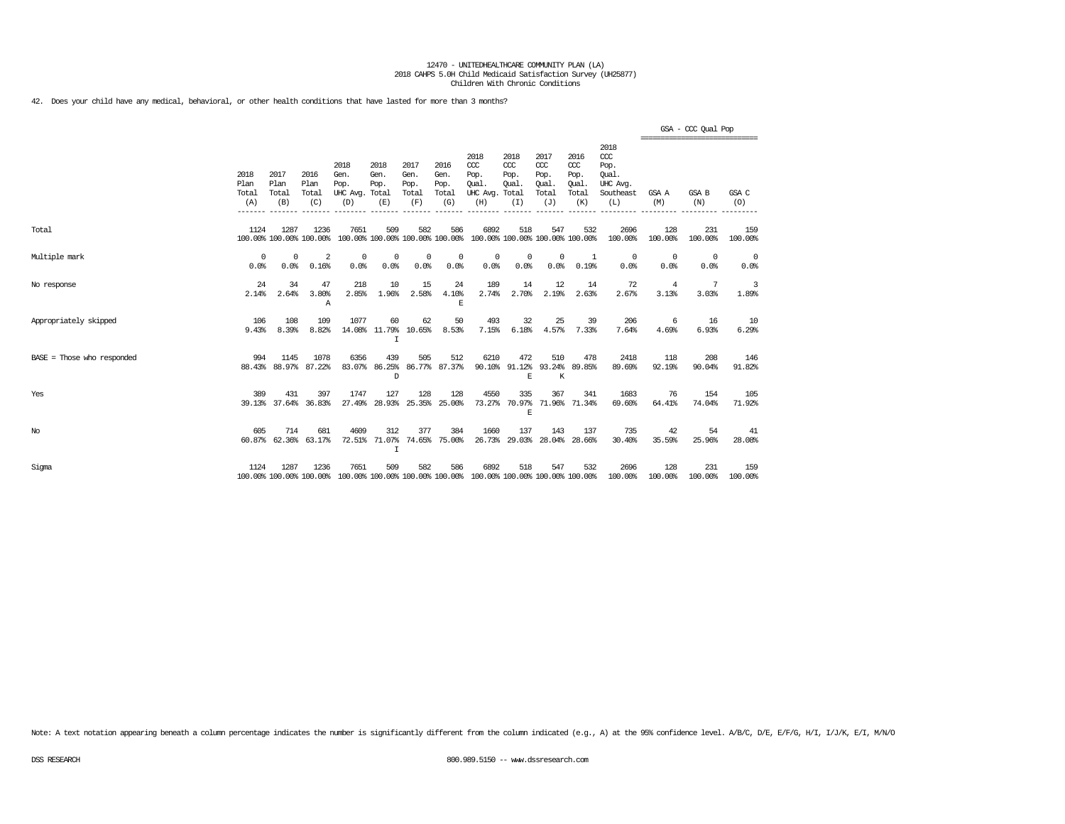42. Does your child have any medical, behavioral, or other health conditions that have lasted for more than 3 months?

|                            |                              |                              |                                  |                                                                                         |                             |                                      |                                      |                                                                         |                                     |                                              |                                              |                                                                 | ------------------------------- | GSA - CCC Qual Pop |                |
|----------------------------|------------------------------|------------------------------|----------------------------------|-----------------------------------------------------------------------------------------|-----------------------------|--------------------------------------|--------------------------------------|-------------------------------------------------------------------------|-------------------------------------|----------------------------------------------|----------------------------------------------|-----------------------------------------------------------------|---------------------------------|--------------------|----------------|
|                            | 2018<br>Plan<br>Total<br>(A) | 2017<br>Plan<br>Total<br>(B) | 2016<br>Plan<br>Total<br>(C)     | 2018<br>Gen.<br>Pop.<br>UHC Avg. Total<br>(D)                                           | 2018<br>Gen.<br>Pop.<br>(E) | 2017<br>Gen.<br>Pop.<br>Total<br>(F) | 2016<br>Gen.<br>Pop.<br>Total<br>(G) | 2018<br>CCC<br>Pop.<br>Oual.<br>UHC Avg. Total<br>(H)                   | 2018<br>CCC<br>Pop.<br>Oual.<br>(I) | 2017<br>ccc<br>Pop.<br>Oual.<br>Total<br>(J) | 2016<br>ccc<br>Pop.<br>Oual.<br>Total<br>(K) | 2018<br>$\csc$<br>Pop.<br>Oual.<br>UHC Avg.<br>Southeast<br>(L) | GSA A<br>(M)                    | GSA B<br>(N)       | GSA C<br>(O)   |
| Total                      | 1124                         | 1287                         | 1236<br>100.00% 100.00% 100.00%  | 7651                                                                                    | 509                         | 582                                  | 586                                  | 6892<br>100.00% 100.00% 100.00% 100.00% 100.00% 100.00% 100.00% 100.00% | 518                                 | 547                                          | 532                                          | 2696<br>100.00%                                                 | 128<br>100.00%                  | 231<br>100.00%     | 159<br>100.00% |
| Multiple mark              | 0<br>0.0%                    | $^{\circ}$<br>0.0%           | $\overline{\mathbf{2}}$<br>0.16% | $^{\circ}$<br>0.0%                                                                      | 0<br>0.0%                   | $^{\circ}$<br>0.0%                   | $^{\circ}$<br>0.0%                   | $^{\circ}$<br>0.0%                                                      | 0<br>0.0%                           | $\mathbf 0$<br>0.0%                          | -1<br>0.19%                                  | $^{\circ}$<br>0.0%                                              | 0<br>0.0%                       | $^{\circ}$<br>0.0% | - 0<br>0.0%    |
| No response                | 24<br>2.14%                  | 34<br>2.64%                  | 47<br>3.80%<br>Α                 | 218<br>2.85%                                                                            | 10<br>1.96%                 | 15<br>2.58%                          | 24<br>4.10%<br>F.                    | 189<br>2.74%                                                            | 14<br>2.70%                         | 12<br>2.19%                                  | 14<br>2.63%                                  | 72<br>2.67%                                                     | $\overline{4}$<br>3.13%         | 7<br>3.03%         | 3<br>1.89%     |
| Appropriately skipped      | 106<br>9.43%                 | 108<br>8.39%                 | 109<br>8.82%                     | 1077                                                                                    | 60<br>14.08% 11.79%<br>I    | 62<br>10.65%                         | 50<br>8.53%                          | 493<br>7.15%                                                            | 32<br>6.18%                         | 25<br>4.57%                                  | 39<br>7.33%                                  | 206<br>7.64%                                                    | 6<br>4.69%                      | 16<br>6.93%        | 10<br>6.29%    |
| BASE = Those who responded | 994                          | 1145<br>88.43% 88.97%        | 1078<br>87.22%                   | 6356                                                                                    | 439<br>83.07% 86.25%<br>D   | 505                                  | 512<br>86.77% 87.37%                 | 6210                                                                    | 472<br>90.10% 91.12% 93.24%<br>E    | 510<br>K                                     | 478<br>89.85%                                | 2418<br>89.69%                                                  | 118<br>92.19%                   | 208<br>90.04%      | 146<br>91.82%  |
| Yes                        | 389                          | 431<br>39.13% 37.64%         | 397<br>36.83%                    | 1747<br>27.49%                                                                          | 127<br>28.93%               | 128                                  | 128<br>25.35% 25.00%                 | 4550<br>73.27%                                                          | 335<br>70.97%<br>E                  | 367                                          | 341<br>71.96% 71.34%                         | 1683<br>69.60%                                                  | 76<br>64.41%                    | 154<br>74.04%      | 105<br>71.92%  |
| No                         | 605                          | 714<br>60.87% 62.36%         | 681<br>63.17%                    | 4609<br>72.51%                                                                          | 312<br>$\mathbf I$          | 377                                  | 384<br>71.07% 74.65% 75.00%          | 1660                                                                    | 137<br>26.73% 29.03% 28.04% 28.66%  | 143                                          | 137                                          | 735<br>30.40%                                                   | 42<br>35.59%                    | 54<br>25.96%       | 41<br>28.08%   |
| Sigma                      | 1124                         | 1287                         | 1236                             | 7651<br>100.00% 100.00% 100.00% 100.00% 100.00% 100.00% 100.00% 100.00% 100.00% 100.00% | 509                         | 582                                  | 586                                  | 6892                                                                    | 518                                 | 547                                          | 532                                          | 2696<br>100.00%                                                 | 128<br>100.00%                  | 231<br>100.00%     | 159<br>100.00% |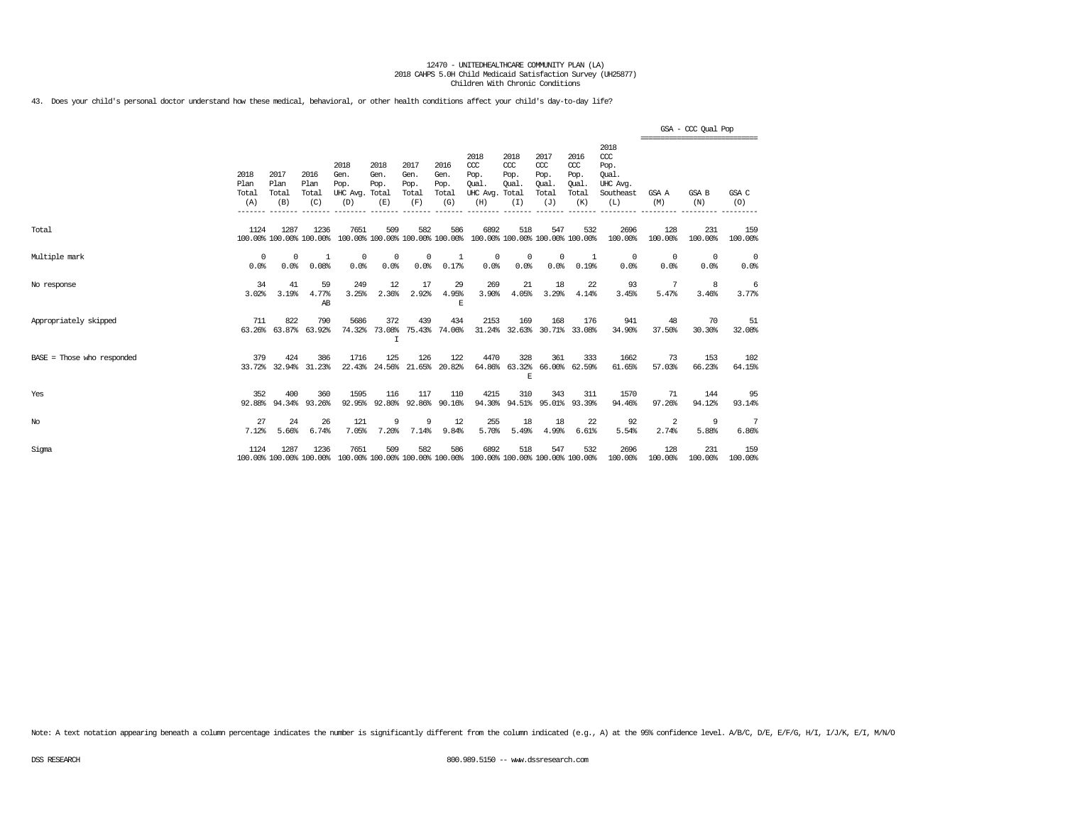43. Does your child's personal doctor understand how these medical, behavioral, or other health conditions affect your child's day-to-day life?

|                            |                                         |                                         |                                 |                                                                                         |                             |                                      |                                      |                                                                         |                                     |                                                   |                                                   |                                                                 | ================================ | GSA - CCC Qual Pop |                        |
|----------------------------|-----------------------------------------|-----------------------------------------|---------------------------------|-----------------------------------------------------------------------------------------|-----------------------------|--------------------------------------|--------------------------------------|-------------------------------------------------------------------------|-------------------------------------|---------------------------------------------------|---------------------------------------------------|-----------------------------------------------------------------|----------------------------------|--------------------|------------------------|
|                            | 2018<br>Plan<br>Total<br>(A)<br>------- | 2017<br>Plan<br>Total<br>(B)<br>------- | 2016<br>Plan<br>Total<br>(C)    | 2018<br>Gen.<br>Pop.<br>UHC Avg. Total<br>(D)                                           | 2018<br>Gen.<br>Pop.<br>(E) | 2017<br>Gen.<br>Pop.<br>Total<br>(F) | 2016<br>Gen.<br>Pop.<br>Total<br>(G) | 2018<br>CCC<br>Pop.<br><b>Oual</b><br>UHC Avg. Total<br>(H)             | 2018<br>CCC<br>Pop.<br>Oual.<br>(I) | 2017<br>$\alpha$<br>Pop.<br>Oual.<br>Total<br>(J) | 2016<br>$\alpha$<br>Pop.<br>Oual.<br>Total<br>(K) | 2018<br>$\csc$<br>Pop.<br>Oual.<br>UHC Avg.<br>Southeast<br>(L) | GSA A<br>(M)                     | GSA B<br>(N)       | GSA C<br>(O)           |
| Total                      | 1124                                    | 1287                                    | 1236<br>100.00% 100.00% 100.00% | 7651                                                                                    | 509                         | 582                                  | 586                                  | 6892<br>100.00% 100.00% 100.00% 100.00% 100.00% 100.00% 100.00% 100.00% | 518                                 | 547                                               | 532                                               | 2696<br>100.00%                                                 | 128<br>100.00%                   | 231<br>100.00%     | 159<br>100.00%         |
| Multiple mark              | $\Omega$<br>0.0%                        | $^{\circ}$<br>0.0%                      | -1<br>0.08%                     | 0<br>0.0%                                                                               | $^{\circ}$<br>0.0%          | $^{\circ}$<br>0.0%                   | 1<br>0.17%                           | $\circ$<br>0.0%                                                         | 0<br>0.0%                           | $\mathbf 0$<br>0.0%                               | 1<br>0.19%                                        | $^{\circ}$<br>0.0%                                              | $^{\circ}$<br>0.0%               | $^{\circ}$<br>0.0% | $\overline{0}$<br>0.0% |
| No response                | 34<br>3.02%                             | 41<br>3.19%                             | 59<br>4.77%<br>AB               | 249<br>3.25%                                                                            | 12<br>2.36%                 | 17<br>2.92%                          | 29<br>4.95%<br>E                     | 269<br>3.90%                                                            | 21<br>4.05%                         | 18<br>3.29%                                       | 22<br>4.14%                                       | 93<br>3.45%                                                     | -7<br>5.47%                      | 8<br>3.46%         | 6<br>3.77%             |
| Appropriately skipped      | 711<br>63.26%                           | 822<br>63.87%                           | 790<br>63.92%                   | 5686<br>74.32%                                                                          | 372<br>73.08%<br>I          | 439<br>75.43%                        | 434<br>74.06%                        | 2153<br>31.24%                                                          | 169                                 | 168                                               | 176<br>32.63% 30.71% 33.08%                       | 941<br>34.90%                                                   | 48<br>37.50%                     | 70<br>30.30%       | 51<br>32.08%           |
| BASE = Those who responded | 379                                     | 424                                     | 386<br>33.72% 32.94% 31.23%     | 1716                                                                                    | 125<br>22.43% 24.56%        | 126<br>21.65%                        | 122<br>20.82%                        | 4470<br>64.86%                                                          | 328<br>E                            | 361                                               | 333<br>63.32% 66.00% 62.59%                       | 1662<br>61.65%                                                  | 73<br>57.03%                     | 153<br>66.23%      | 102<br>64.15%          |
| Yes                        | 352<br>92.88%                           | 400<br>94.34%                           | 360<br>93.26%                   | 1595<br>92.95%                                                                          | 116<br>92.80%               | 117<br>92.86%                        | 110<br>90.16%                        | 4215<br>94.30%                                                          | 310                                 | 343                                               | 311<br>94.51% 95.01% 93.39%                       | 1570<br>94.46%                                                  | 71<br>97.26%                     | 144<br>94.12%      | 95<br>93.14%           |
| $_{\mathrm{No}}$           | 27<br>7.12%                             | 24<br>5.66%                             | 26<br>6.74%                     | 121<br>7.05%                                                                            | 9<br>7.20%                  | 9<br>7.14%                           | 12<br>9.84%                          | 255<br>5.70%                                                            | 18<br>5.49%                         | 18<br>4.99%                                       | 22<br>6.61%                                       | 92<br>5.54%                                                     | 2<br>2.74%                       | 9<br>5.88%         | 7<br>6.86%             |
| Sigma                      | 1124                                    | 1287                                    | 1236                            | 7651<br>100.00% 100.00% 100.00% 100.00% 100.00% 100.00% 100.00% 100.00% 100.00% 100.00% | 509                         | 582                                  | 586                                  | 6892                                                                    | 518                                 | 547                                               | 532                                               | 2696<br>100.00%                                                 | 128<br>100.00%                   | 231<br>100.00%     | 159<br>100.00%         |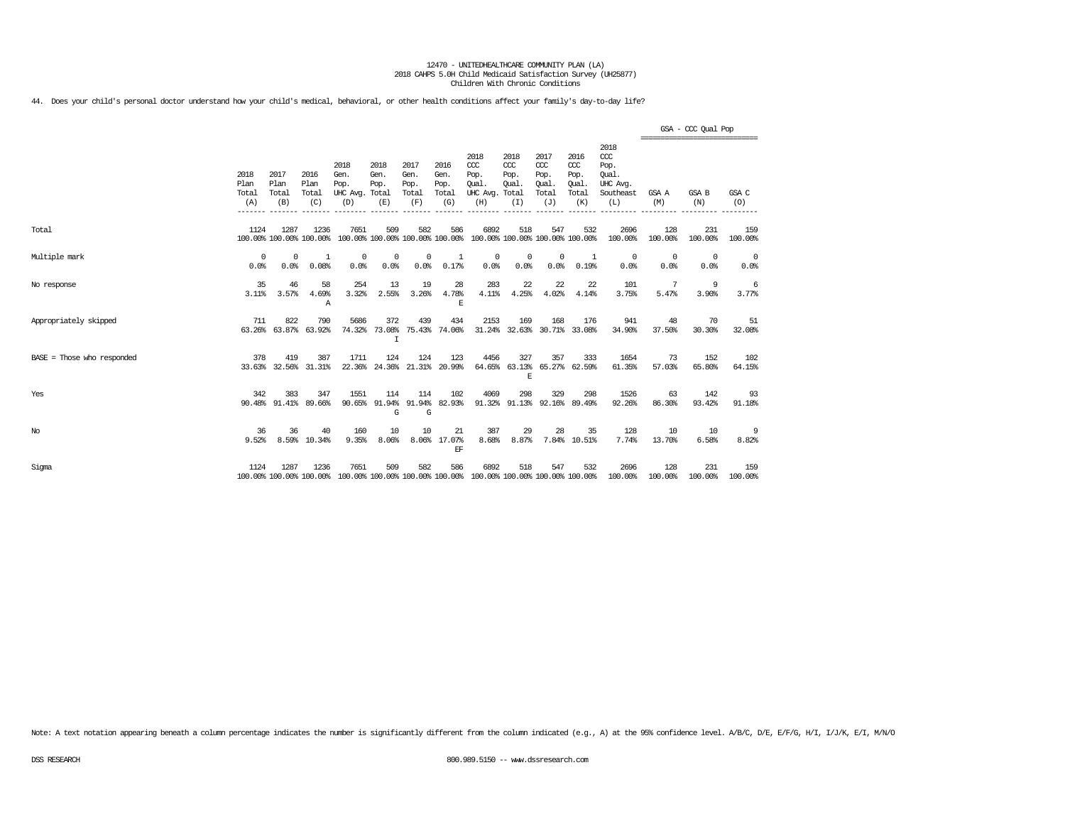44. Does your child's personal doctor understand how your child's medical, behavioral, or other health conditions affect your family's day-to-day life?

|                              |                              |                              |                                 |                                                                                         |                                      |                                      |                                      |                                                                         |                                              |                                                   |                                              |                                                              | ============================== | GSA - CCC Qual Pop |                        |
|------------------------------|------------------------------|------------------------------|---------------------------------|-----------------------------------------------------------------------------------------|--------------------------------------|--------------------------------------|--------------------------------------|-------------------------------------------------------------------------|----------------------------------------------|---------------------------------------------------|----------------------------------------------|--------------------------------------------------------------|--------------------------------|--------------------|------------------------|
|                              | 2018<br>Plan<br>Total<br>(A) | 2017<br>Plan<br>Total<br>(B) | 2016<br>Plan<br>Total<br>(C)    | 2018<br>Gen.<br>Pop.<br>UHC Avg. Total<br>(D)                                           | 2018<br>Gen.<br>Pop.<br>(E)          | 2017<br>Gen.<br>Pop.<br>Total<br>(F) | 2016<br>Gen.<br>Pop.<br>Total<br>(G) | 2018<br>CCC<br>Pop.<br>Oual.<br>UHC Avg.<br>(H)                         | 2018<br>CCC<br>Pop.<br>Oual.<br>Total<br>(I) | 2017<br>$\alpha$<br>Pop.<br>Oual.<br>Total<br>(J) | 2016<br>ccc<br>Pop.<br>Qual.<br>Total<br>(K) | 2018<br>ccc<br>Pop.<br>Oual.<br>UHC Avg.<br>Southeast<br>(L) | GSA A<br>(M)                   | GSA B<br>(N)       | GSA C<br>(0)           |
| Total                        | 1124                         | 1287                         | 1236<br>100.00% 100.00% 100.00% | 7651                                                                                    | 509                                  | 582                                  | 586                                  | 6892<br>100.00% 100.00% 100.00% 100.00% 100.00% 100.00% 100.00% 100.00% | 518                                          | 547                                               | 532                                          | 2696<br>100.00%                                              | 128<br>100.00%                 | 231<br>100.00%     | 159<br>100.00%         |
| Multiple mark                | $^{\circ}$<br>0.0%           | $^{\circ}$<br>0.0%           | 1<br>0.08%                      | 0<br>0.0%                                                                               | 0<br>0.0%                            | $^{\circ}$<br>0.0%                   | 1<br>0.17%                           | 0<br>0.0%                                                               | 0<br>0.0%                                    | $^{\circ}$<br>0.0%                                | <sup>1</sup><br>0.19%                        | $\overline{0}$<br>0.0%                                       | $\overline{0}$<br>0.0%         | $^{\circ}$<br>0.0% | $\overline{0}$<br>0.0% |
| No response                  | 35<br>$3.11\%$               | 46<br>3.57%                  | 58<br>4.69%<br>Α                | 254<br>3.32%                                                                            | 13<br>2.55%                          | 19<br>3.26%                          | 28<br>4.78%<br>E                     | 283<br>4.11%                                                            | 22<br>4.25%                                  | 22<br>4.02%                                       | 22<br>4.14%                                  | 101<br>3.75%                                                 | -7<br>5.47%                    | 9<br>3.90%         | 6<br>3.77%             |
| Appropriately skipped        | 711                          | 822<br>63.26% 63.87%         | 790<br>63.92%                   | 5686                                                                                    | 372<br>74.32% 73.08%<br>$\mathsf{T}$ | 439                                  | 434<br>75.43% 74.06%                 | 2153                                                                    | 169                                          | 168                                               | 176<br>31.24% 32.63% 30.71% 33.08%           | 941<br>34.90%                                                | 48<br>37.50%                   | 70<br>30.30%       | 51<br>32.08%           |
| $BASE = Those who responded$ | 378                          | 419                          | 387<br>33.63% 32.56% 31.31%     | 1711<br>22.36%                                                                          | 124                                  | 124                                  | 123<br>24.36% 21.31% 20.99%          | 4456                                                                    | 327<br>E                                     | 357                                               | 333<br>64.65% 63.13% 65.27% 62.59%           | 1654<br>61.35%                                               | 73<br>57.03%                   | 152<br>65.80%      | 102<br>64.15%          |
| Yes                          | 342                          | 383<br>90.48% 91.41%         | 347<br>89.66%                   | 1551                                                                                    | 114<br>90.65% 91.94%<br>G            | 114<br>G                             | 102<br>91.94% 82.93%                 | 4069                                                                    | 298                                          | 329                                               | 298<br>91.32% 91.13% 92.16% 89.49%           | 1526<br>92.26%                                               | 63<br>86.30%                   | 142<br>93.42%      | 93<br>91.18%           |
| No                           | 36<br>9.52%                  | 36                           | 40<br>8.59% 10.34%              | 160<br>9.35%                                                                            | 10<br>8.06%                          | 10                                   | 21<br>8.06% 17.07%<br>EF             | 387<br>8.68%                                                            | 29<br>8.87%                                  | 28                                                | 35<br>7.84% 10.51%                           | 128<br>7.74%                                                 | 10<br>13.70%                   | 10<br>6.58%        | 9<br>8.82%             |
| Sigma                        | 1124                         | 1287                         | 1236                            | 7651<br>100.00% 100.00% 100.00% 100.00% 100.00% 100.00% 100.00% 100.00% 100.00% 100.00% | 509                                  | 582                                  | 586                                  | 6892                                                                    | 518                                          | 547                                               | 532                                          | 2696<br>100.00%                                              | 128<br>100.00%                 | 231<br>100.00%     | 159<br>100.00%         |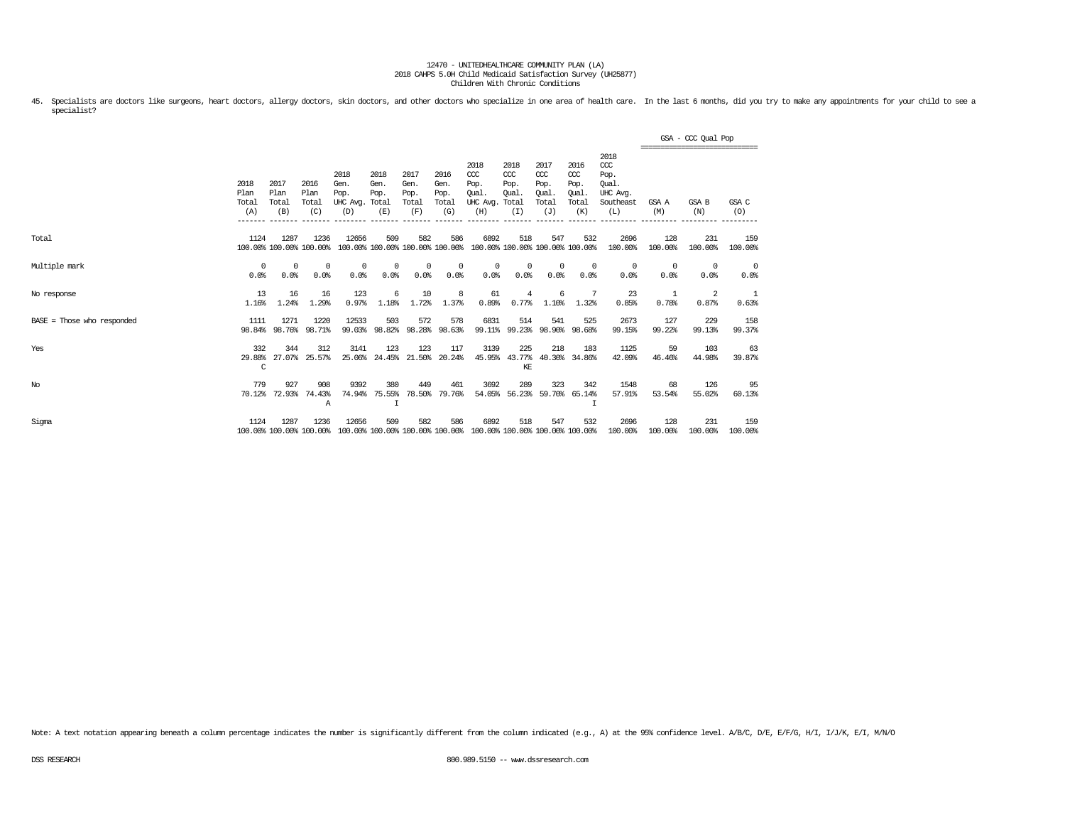45. Specialists are doctors like surgeons, heart doctors, allergy doctors, skin doctors, and other doctors who specialize in one area of health care. In the last 6 months, did you try to make any appointments for your chil specialist?

|                            |                              |                                 |                              |                                               |                                        |                                      |                                      |                                                                         |                                              |                                                   |                                              |                                                              |                    | GSA - CCC Qual Pop<br>,,,,,,,,,,,,,,,,,,,,,,,,,,,,,,,,, |                |
|----------------------------|------------------------------|---------------------------------|------------------------------|-----------------------------------------------|----------------------------------------|--------------------------------------|--------------------------------------|-------------------------------------------------------------------------|----------------------------------------------|---------------------------------------------------|----------------------------------------------|--------------------------------------------------------------|--------------------|---------------------------------------------------------|----------------|
|                            | 2018<br>Plan<br>Total<br>(A) | 2017<br>Plan<br>Total<br>(B)    | 2016<br>Plan<br>Total<br>(C) | 2018<br>Gen.<br>Pop.<br>UHC Avg. Total<br>(D) | 2018<br>Gen.<br>Pop.<br>(E)            | 2017<br>Gen.<br>Pop.<br>Total<br>(F) | 2016<br>Gen.<br>Pop.<br>Total<br>(G) | 2018<br>CCC<br>Pop.<br>Oual.<br>UHC Avg.<br>(H)                         | 2018<br>CCC<br>Pop.<br>Oual.<br>Total<br>(I) | 2017<br>$\alpha$<br>Pop.<br>Oual.<br>Total<br>(J) | 2016<br>ccc<br>Pop.<br>Oual.<br>Total<br>(K) | 2018<br>ccc<br>Pop.<br>Oual.<br>UHC Avq.<br>Southeast<br>(L) | GSA A<br>(M)       | GSA B<br>(N)                                            | GSA C<br>(O)   |
| Total                      | 1124                         | 1287<br>100.00% 100.00% 100.00% | 1236                         | 12656                                         | 509<br>100.00% 100.00% 100.00% 100.00% | 582                                  | 586                                  | 6892<br>100.00% 100.00% 100.00% 100.00%                                 | 518                                          | 547                                               | 532                                          | 2696<br>100.00%                                              | 128<br>100.00%     | 231<br>100.00%                                          | 159<br>100.00% |
| Multiple mark              | $^{\circ}$<br>0.0%           | $^{\circ}$<br>0.0%              | $^{\circ}$<br>0.0%           | $\mathbf 0$<br>0.0%                           | $^{\circ}$<br>0.0%                     | $^{\circ}$<br>0.0%                   | 0<br>0.0%                            | $^{\circ}$<br>0.0%                                                      | $^{\circ}$<br>0.0%                           | $\mathbf{0}$<br>0.0%                              | $\overline{0}$<br>0.0%                       | $^{\circ}$<br>0.0%                                           | $^{\circ}$<br>0.0% | 0<br>0.0%                                               | 0<br>0.0%      |
| No response                | 13<br>1.16%                  | 16<br>1.24%                     | 16<br>1.29%                  | 123<br>0.97%                                  | 6<br>1.18%                             | 10<br>1.72%                          | 8<br>1.37%                           | 61<br>0.89%                                                             | $\overline{4}$<br>0.77%                      | 6<br>1.10%                                        | -7<br>1.32%                                  | 23<br>0.85%                                                  | 1<br>0.78%         | 2<br>0.87%                                              | 1<br>0.63%     |
| BASE = Those who responded | 1111<br>98.84%               | 1271<br>98.76%                  | 1220<br>98.71%               | 12533<br>99.03%                               | 503<br>98.82%                          | 572<br>98.28%                        | 578<br>98.63%                        | 6831<br>99.11%                                                          | 514<br>99.23%                                | 541<br>98.90%                                     | 525<br>98.68%                                | 2673<br>99.15%                                               | 127<br>99.22%      | 229<br>99.13%                                           | 158<br>99.37%  |
| Yes                        | 332<br>29.88%<br>C           | 344                             | 312<br>27.07% 25.57%         | 3141<br>25.06%                                | 123<br>24.45%                          | 123                                  | 117<br>21.50% 20.24%                 | 3139                                                                    | 225<br>45.95% 43.77%<br>KE                   | 218                                               | 183<br>40.30% 34.86%                         | 1125<br>42.09%                                               | 59<br>46.46%       | 103<br>44.98%                                           | 63<br>39.87%   |
| $_{\mathrm{No}}$           | 779<br>70.12%                | 927<br>72.93%                   | 908<br>74.43%<br>Α           | 9392<br>74.94%                                | 380<br>75.55%<br>$\mathbf{I}$          | 449<br>78.50%                        | 461<br>79.76%                        | 3692                                                                    | 289<br>54.05% 56.23%                         | 323                                               | 342<br>59.70% 65.14%                         | 1548<br>57.91%                                               | 68<br>53.54%       | 126<br>55.02%                                           | 95<br>60.13%   |
| Sigma                      | 1124                         | 1287<br>100.00% 100.00% 100.00% | 1236                         | 12656                                         | 509                                    | 582                                  | 586                                  | 6892<br>100.00% 100.00% 100.00% 100.00% 100.00% 100.00% 100.00% 100.00% | 518                                          | 547                                               | 532                                          | 2696<br>100.00%                                              | 128<br>100.00%     | 231<br>100.00%                                          | 159<br>100.00% |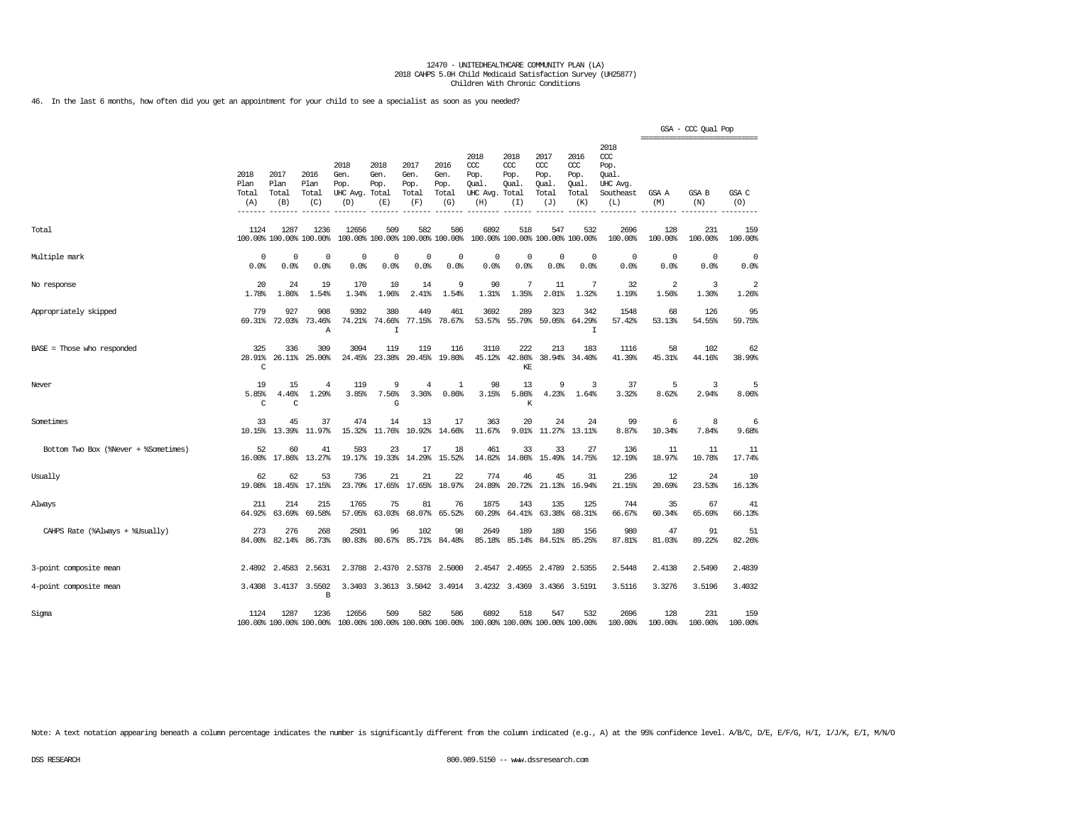46. In the last 6 months, how often did you get an appointment for your child to see a specialist as soon as you needed?

|                                      |                                             |                              |                                 |                                               |                                        |                                      |                                      |                                                 |                                              |                                              |                                              |                                                                   | ------------------------------ | GSA - CCC Qual Pop  |                |
|--------------------------------------|---------------------------------------------|------------------------------|---------------------------------|-----------------------------------------------|----------------------------------------|--------------------------------------|--------------------------------------|-------------------------------------------------|----------------------------------------------|----------------------------------------------|----------------------------------------------|-------------------------------------------------------------------|--------------------------------|---------------------|----------------|
|                                      | 2018<br>Plan<br>Total<br>(A)<br>$- - - - -$ | 2017<br>Plan<br>Total<br>(B) | 2016<br>Plan<br>Total<br>(C)    | 2018<br>Gen.<br>Pop.<br>UHC Avg. Total<br>(D) | 2018<br>Gen.<br>Pop.<br>(E)            | 2017<br>Gen.<br>Pop.<br>Total<br>(F) | 2016<br>Gen.<br>Pop.<br>Total<br>(G) | 2018<br>CCC<br>Pop.<br>Qual.<br>UHC Avg.<br>(H) | 2018<br>CCC<br>Pop.<br>Oual.<br>Total<br>(I) | 2017<br>ccc<br>Pop.<br>Oual.<br>Total<br>(J) | 2016<br>ccc<br>Pop.<br>Oual.<br>Total<br>(K) | 2018<br>$\alpha$<br>Pop.<br>Oual.<br>UHC Avg.<br>Southeast<br>(L) | GSA A<br>(M)                   | <b>GSA B</b><br>(N) | GSA C<br>(0)   |
| Total                                | 1124                                        | 1287                         | 1236<br>100.00% 100.00% 100.00% | 12656                                         | 509<br>100.00% 100.00% 100.00% 100.00% | 582                                  | 586                                  | 6892                                            | 518                                          | 547<br>100.00% 100.00% 100.00% 100.00%       | 532                                          | 2696<br>100.00%                                                   | 128<br>100.00%                 | 231<br>100.00%      | 159<br>100.00% |
| Multiple mark                        | 0<br>0.0%                                   | $\Omega$<br>0.0%             | 0<br>0.0%                       | 0<br>0.0%                                     | 0<br>0.0%                              | 0<br>0.0%                            | 0<br>0.0%                            | $\mathbf 0$<br>0.0%                             | $\mathbf 0$<br>0.0%                          | $\mathbf 0$<br>0.0%                          | 0<br>0.0%                                    | 0<br>0.0%                                                         | 0<br>0.0%                      | $\circ$<br>0.0%     | 0<br>0.0%      |
| No response                          | 20<br>1.78%                                 | 24<br>1.86%                  | 19<br>1.54%                     | 170<br>1.34%                                  | 10<br>1.96%                            | 14<br>2.41%                          | 9<br>1.54%                           | 90<br>1.31%                                     | 7<br>1.35%                                   | 11<br>2.01%                                  | 7<br>1.32%                                   | 32<br>1.19%                                                       | 2<br>1.56%                     | 3<br>1.30%          | 2<br>1.26%     |
| Appropriately skipped                | 779<br>69.31%                               | 927<br>72.03%                | 908<br>73.46%<br>Α              | 9392<br>74.21%                                | 380<br>74.66%<br>$\mathbf I$           | 449<br>77.15%                        | 461<br>78.67%                        | 3692<br>53.57%                                  | 289<br>55.79%                                | 323<br>59.05%                                | 342<br>64.29%<br>I                           | 1548<br>57.42%                                                    | 68<br>53.13%                   | 126<br>54.55%       | 95<br>59.75%   |
| $BASE = Those who responded$         | 325<br>28.91%<br>C                          | 336<br>26.11%                | 309<br>25.00%                   | 3094<br>24.45%                                | 119<br>23.38%                          | 119<br>20.45%                        | 116<br>19.80%                        | 3110<br>45.12%                                  | 222<br>42.86%<br>KE                          | 213<br>38.94%                                | 183<br>34.40%                                | 1116<br>41.39%                                                    | 58<br>45.31%                   | 102<br>44.16%       | 62<br>38.99%   |
| Never                                | 19<br>5.85%<br>$\mathcal{C}$                | 15<br>4.46%<br>C             | $\overline{4}$<br>1.29%         | 119<br>3.85%                                  | 9<br>7.56%<br>G                        | $\overline{4}$<br>3.36%              | 1<br>0.86%                           | 98<br>3.15%                                     | 13<br>5.86%<br>K                             | 9<br>4.23%                                   | 3<br>1.64%                                   | 37<br>3.32%                                                       | 5<br>8.62%                     | 3<br>2.94%          | 5<br>8.06%     |
| Sometimes                            | 33<br>10.15%                                | 45<br>13.39%                 | 37<br>11.97%                    | 474<br>15.32%                                 | 14<br>11.76%                           | 13<br>10.92%                         | 17<br>14.66%                         | 363<br>11.67%                                   | 20<br>9.01%                                  | 24<br>11.27%                                 | 24<br>13.11%                                 | 99<br>8.87%                                                       | 6<br>10.34%                    | 8<br>7.84%          | 6<br>9.68%     |
| Bottom Two Box (%Never + %Sometimes) | 52<br>16.00%                                | 60<br>17.86%                 | 41<br>13.27%                    | 593<br>19.17%                                 | 23<br>19.33%                           | 17<br>14.29%                         | 18<br>15.52%                         | 461<br>14.82%                                   | 33<br>14.86%                                 | 33<br>15.49%                                 | 27<br>14.75%                                 | 136<br>12.19%                                                     | 11<br>18.97%                   | 11<br>10.78%        | 11<br>17.74%   |
| Usually                              | 62<br>19.08%                                | 62<br>18.45%                 | 53<br>17.15%                    | 736<br>23.79%                                 | 21<br>17.65%                           | 21<br>17.65%                         | 22<br>18.97%                         | 774<br>24.89%                                   | 46<br>20.72%                                 | 45<br>21.13%                                 | 31<br>16.94%                                 | 236<br>21.15%                                                     | 12<br>20.69%                   | 24<br>23.53%        | 10<br>16.13%   |
| Always                               | 211<br>64.92%                               | 214<br>63.69%                | 215<br>69.58%                   | 1765<br>57.05%                                | 75<br>63.03%                           | 81<br>68.07%                         | 76<br>65.52%                         | 1875<br>60.29%                                  | 143<br>64.41%                                | 135<br>63.38%                                | 125<br>68.31%                                | 744<br>66.67%                                                     | 35<br>60.34%                   | 67<br>65.69%        | 41<br>66.13%   |
| CAHPS Rate (%Always + %Usually)      | 273<br>84.00%                               | 276<br>82.14%                | 268<br>86.73%                   | 2501<br>80.83%                                | 96<br>80.67%                           | 102<br>85.71%                        | 98<br>84.48%                         | 2649<br>85.18%                                  | 189<br>85.14%                                | 180<br>84.51%                                | 156<br>85.25%                                | 980<br>87.81%                                                     | 47<br>81.03%                   | 91<br>89.22%        | 51<br>82.26%   |
| 3-point composite mean               |                                             | 2.4892 2.4583                | 2.5631                          | 2.3788                                        | 2.4370                                 | 2.5378                               | 2.5000                               | 2.4547                                          | 2.4955                                       | 2.4789                                       | 2.5355                                       | 2.5448                                                            | 2.4138                         | 2.5490              | 2.4839         |
| 4-point composite mean               |                                             | 3.4308 3.4137                | 3.5502<br>В                     | 3.3403                                        |                                        | 3.3613 3.5042                        | 3.4914                               | 3.4232                                          | 3.4369                                       | 3.4366                                       | 3.5191                                       | 3.5116                                                            | 3.3276                         | 3.5196              | 3.4032         |
| Sigma                                | 1124                                        | 1287                         | 1236<br>100.00% 100.00% 100.00% | 12656                                         | 509<br>100.00% 100.00% 100.00% 100.00% | 582                                  | 586                                  | 6892                                            | 518                                          | 547<br>100.00% 100.00% 100.00% 100.00%       | 532                                          | 2696<br>100.00%                                                   | 128<br>100.00%                 | 231<br>100.00%      | 159<br>100.00% |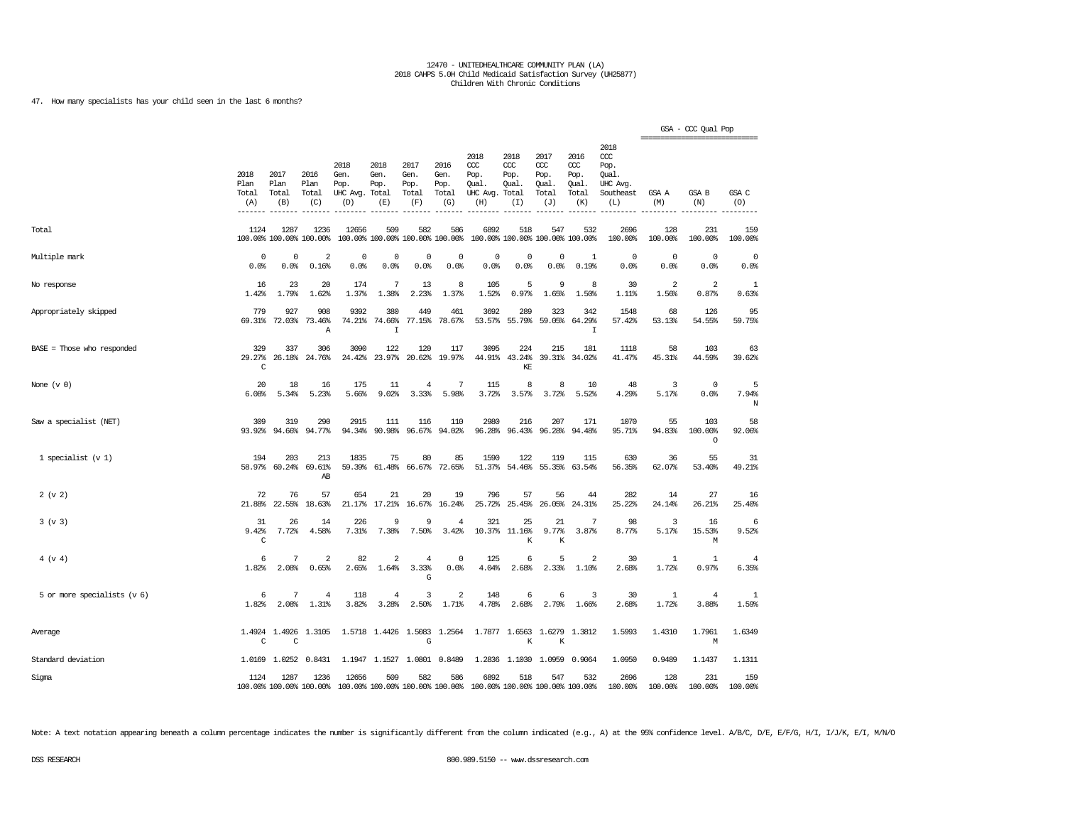47. How many specialists has your child seen in the last 6 months?

|                              |                              |                              |                                 |                                         |                                        |                                      |                                                   |                                                                         |                                     |                                             |                                              |                                                                   | ================================ | GSA - CCC Qual Pop        |                         |
|------------------------------|------------------------------|------------------------------|---------------------------------|-----------------------------------------|----------------------------------------|--------------------------------------|---------------------------------------------------|-------------------------------------------------------------------------|-------------------------------------|---------------------------------------------|----------------------------------------------|-------------------------------------------------------------------|----------------------------------|---------------------------|-------------------------|
|                              | 2018<br>Plan<br>Total<br>(A) | 2017<br>Plan<br>Total<br>(B) | 2016<br>Plan<br>Total<br>(C)    | 2018<br>Gen.<br>Pop.<br>UHC Avg.<br>(D) | 2018<br>Gen.<br>Pop.<br>Total<br>(E)   | 2017<br>Gen.<br>Pop.<br>Total<br>(F) | 2016<br>Gen.<br>Pop.<br>Total<br>(G)<br>$- - - -$ | 2018<br>ccc<br>Pop.<br>Qual.<br>UHC Avg. Total<br>(H)                   | 2018<br>CCC<br>Pop.<br>Qual.<br>(I) | 2017<br>ccc<br>Pop.<br>Qual<br>Total<br>(J) | 2016<br>ccc<br>Pop.<br>Qual.<br>Total<br>(K) | 2018<br>$\alpha$<br>Pop.<br>Oual.<br>UHC Avg.<br>Southeast<br>(L) | GSA A<br>(M)                     | GSA B<br>(N)              | GSA C<br>(O)            |
| Total                        | 1124                         | 1287                         | 1236<br>100.00% 100.00% 100.00% | 12656                                   | 509<br>100.00% 100.00% 100.00% 100.00% | 582                                  | 586                                               | 6892                                                                    | 518                                 | 547<br>100.00% 100.00% 100.00% 100.00%      | 532                                          | 2696<br>100.00%                                                   | 128<br>100.00%                   | 231<br>100.00%            | 159<br>100.00%          |
| Multiple mark                | 0<br>0.0%                    | 0<br>0.0%                    | $\overline{a}$<br>0.16%         | $\mathbf 0$<br>0.0%                     | 0<br>0.0%                              | $\mathbf 0$<br>0.0%                  | 0<br>0.0%                                         | $\Omega$<br>0.0%                                                        | 0<br>0.0%                           | 0<br>0.0%                                   | 1<br>0.19%                                   | $^{\circ}$<br>0.0%                                                | 0<br>0.0%                        | 0<br>0.0%                 | 0<br>0.0%               |
| No response                  | 16<br>1.42%                  | 23<br>1.79%                  | 20<br>1.62%                     | 174<br>1.37%                            | 7<br>1.38%                             | 13<br>2.23%                          | 8<br>1.37%                                        | 105<br>1.52%                                                            | 5<br>0.97%                          | 9<br>1.65%                                  | 8<br>1.50%                                   | 30<br>1.11%                                                       | $\overline{a}$<br>1.56%          | 2<br>0.87%                | 1<br>0.63%              |
| Appropriately skipped        | 779<br>69.31%                | 927<br>72.03%                | 908<br>73.46%<br>Α              | 9392<br>74.21%                          | 380<br>74.66%<br>I                     | 449<br>77.15%                        | 461<br>78.67%                                     | 3692<br>53.57%                                                          | 289<br>55.79%                       | 323<br>59.05%                               | 342<br>64.29%<br>I                           | 1548<br>57.42%                                                    | 68<br>53.13%                     | 126<br>54.55%             | 95<br>59.75%            |
| $BASE = Those who responded$ | 329<br>29.27%<br>C           | 337<br>26.18%                | 306<br>24.76%                   | 3090<br>24.42%                          | 122<br>23.97%                          | 120<br>20.62%                        | 117<br>19.97%                                     | 3095                                                                    | 224<br>44.91% 43.24%<br>KE          | 215                                         | 181<br>39.31% 34.02%                         | 1118<br>41.47%                                                    | 58<br>45.31%                     | 103<br>44.59%             | 63<br>39.62%            |
| None $(v 0)$                 | 20<br>6.08%                  | 18<br>5.34%                  | 16<br>5.23%                     | 175<br>5.66%                            | 11<br>9.02%                            | $\overline{4}$<br>3.33%              | 7<br>5.98%                                        | 115<br>3.72%                                                            | 8<br>3.57%                          | 8<br>3.72%                                  | 10<br>5.52%                                  | 48<br>4.29%                                                       | 3<br>5.17%                       | $\mathbf 0$<br>0.0%       | 5<br>7.94%<br>N         |
| Saw a specialist (NET)       | 309<br>93.92%                | 319<br>94.66%                | 290<br>94.77%                   | 2915<br>94.34%                          | 111<br>90.98%                          | 116<br>96.67%                        | 110<br>94.02%                                     | 2980<br>96.28%                                                          | 216<br>96.43%                       | 207<br>96.28%                               | 171<br>94.48%                                | 1070<br>95.71%                                                    | 55<br>94.83%                     | 103<br>100.00%<br>$\circ$ | 58<br>92.06%            |
| 1 specialist $(v 1)$         | 194<br>58.97%                | 203<br>60.24%                | 213<br>69.61%<br>AB             | 1835<br>59.39%                          | 75<br>61.48%                           | 80<br>66.67%                         | 85<br>72.65%                                      | 1590<br>51.37%                                                          | 122<br>54.46%                       | 119<br>55.35%                               | 115<br>63.54%                                | 630<br>56.35%                                                     | 36<br>62.07%                     | 55<br>53.40%              | 31<br>49.21%            |
| 2 (v 2)                      | 72<br>21.88%                 | 76<br>22.55%                 | 57<br>18.63%                    | 654<br>21.17%                           | 21<br>17.21%                           | 20<br>16.67%                         | 19<br>16.24%                                      | 796<br>25.72%                                                           | 57<br>25.45%                        | 56<br>26.05%                                | 44<br>24.31%                                 | 282<br>25.22%                                                     | 14<br>24.14%                     | 27<br>26.21%              | 16<br>25.40%            |
| 3 (v 3)                      | 31<br>9.42%<br>C             | 26<br>7.72%                  | 14<br>4.58%                     | 226<br>7.31%                            | 9<br>7.38%                             | 9<br>7.50%                           | $\overline{4}$<br>3.42%                           | 321<br>10.37%                                                           | 25<br>11.16%<br>К                   | 21<br>9.77%<br>K                            | 7<br>3.87%                                   | 98<br>8.77%                                                       | 3<br>5.17%                       | 16<br>15.53%<br>М         | 6<br>9.52%              |
| 4 (v 4)                      | 6<br>1.82%                   | 7<br>2.08%                   | $\overline{a}$<br>0.65%         | 82<br>2.65%                             | 2<br>1.64%                             | $\bf{4}$<br>3.33%<br>G               | $\mathbf 0$<br>0.0%                               | 125<br>4.04%                                                            | 6<br>2.68%                          | 5<br>2.33%                                  | $\overline{\mathbf{2}}$<br>1.10%             | 30<br>2.68%                                                       | 1<br>1.72%                       | $\mathbf{1}$<br>0.97%     | $\overline{4}$<br>6.35% |
| 5 or more specialists (v 6)  | 6<br>1.82%                   | 7<br>2.08%                   | $\overline{4}$<br>1.31%         | 118<br>3.82%                            | $\overline{4}$<br>3.28%                | 3<br>2.50%                           | $\overline{2}$<br>1.71%                           | 148<br>4.78%                                                            | 6<br>2.68%                          | 6<br>2.79%                                  | 3<br>1.66%                                   | 30<br>2.68%                                                       | 1<br>1.72%                       | $\overline{4}$<br>3.88%   | 1<br>1.59%              |
| Average                      | $\mathsf C$                  | 1.4924 1.4926<br>$\mathsf C$ | 1.3105                          |                                         | 1.5718 1.4426 1.5083 1.2564            | $\mathbb{G}$                         |                                                   |                                                                         | K                                   | 1.7877 1.6563 1.6279 1.3812<br>K            |                                              | 1.5993                                                            | 1.4310                           | 1.7961<br>М               | 1.6349                  |
| Standard deviation           |                              | 1.0169 1.0252                | 0.8431                          |                                         | 1.1947 1.1527                          |                                      | 1.0801 0.8489                                     |                                                                         |                                     | 1.2836 1.1030 1.0959                        | 0.9064                                       | 1.0950                                                            | 0.9489                           | 1.1437                    | 1.1311                  |
| Sigma                        | 1124                         | 1287                         | 1236<br>100.00% 100.00% 100.00% | 12656                                   | 509                                    | 582                                  | 586                                               | 6892<br>100.00% 100.00% 100.00% 100.00% 100.00% 100.00% 100.00% 100.00% | 518                                 | 547                                         | 532                                          | 2696<br>100.00%                                                   | 128<br>100.00%                   | 231<br>100.00%            | 159<br>100.00%          |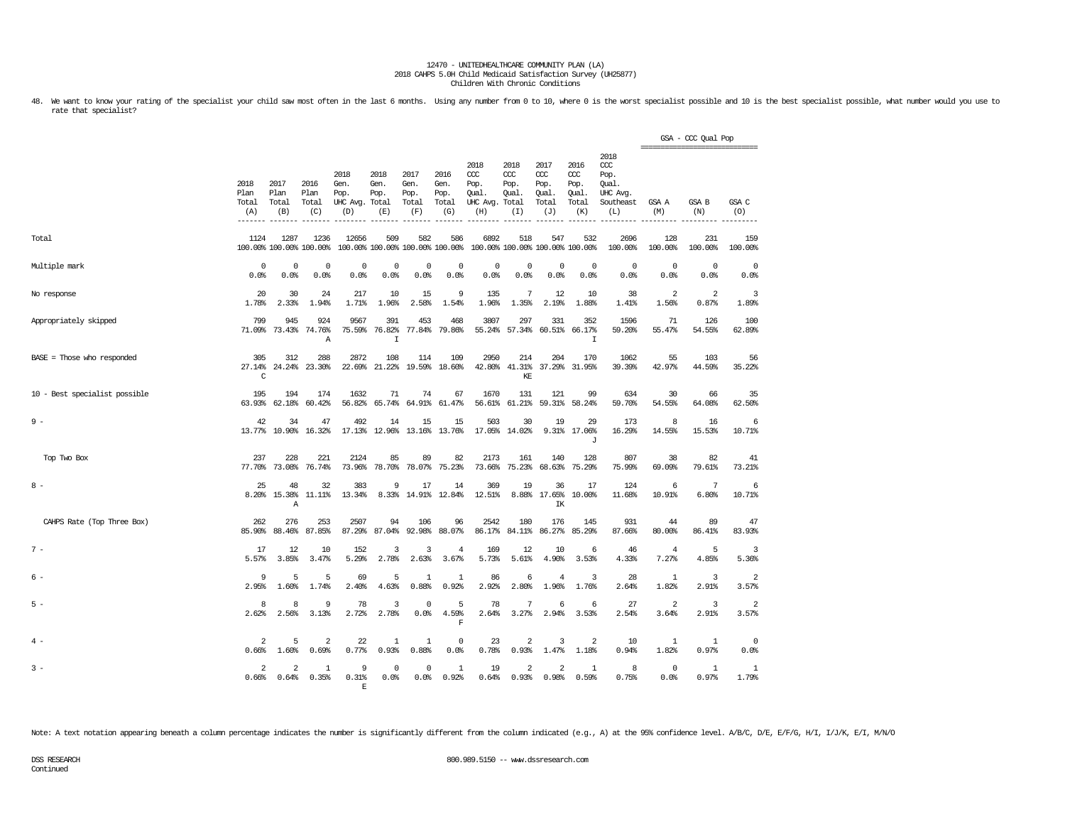48. We want to know your rating of the specialist your child saw most often in the last 6 months. Using any number from 0 to 10, where 0 is the worst specialist possible and 10 is the best specialist possible, what number rate that specialist?

|                               |                                   |                                  |                                  |                                               |                                        |                                      |                                      |                                                       |                                    |                                              |                                              |                                                                   |                                  | GSA - CCC Qual Pop<br>=============================== |                         |
|-------------------------------|-----------------------------------|----------------------------------|----------------------------------|-----------------------------------------------|----------------------------------------|--------------------------------------|--------------------------------------|-------------------------------------------------------|------------------------------------|----------------------------------------------|----------------------------------------------|-------------------------------------------------------------------|----------------------------------|-------------------------------------------------------|-------------------------|
|                               | 2018<br>Plan<br>Total<br>(A)      | 2017<br>Plan<br>Total<br>(B)     | 2016<br>Plan<br>Total<br>(C)     | 2018<br>Gen.<br>Pop.<br>UHC Avg. Total<br>(D) | 2018<br>Gen.<br>Pop.<br>(E)            | 2017<br>Gen.<br>Pop.<br>Total<br>(F) | 2016<br>Gen.<br>Pop.<br>Total<br>(G) | 2018<br>CCC<br>Pop.<br>Qual.<br>UHC Avg. Total<br>(H) | 2018<br>CCC<br>Pop.<br>Qual<br>(I) | 2017<br>ccc<br>Pop.<br>Qual.<br>Total<br>(J) | 2016<br>ccc<br>Pop.<br>Qual.<br>Total<br>(K) | 2018<br>$\alpha$<br>Pop.<br>Oual.<br>UHC Avg.<br>Southeast<br>(L) | GSA A<br>(M)                     | <b>GSA B</b><br>(N)                                   | GSA C<br>(O)            |
| Total                         | 1124                              | 1287                             | 1236<br>100.00% 100.00% 100.00%  | 12656                                         | 509<br>100.00% 100.00% 100.00% 100.00% | 582                                  | 586                                  | 6892                                                  | 518                                | 547<br>100.00% 100.00% 100.00% 100.00%       | 532                                          | 2696<br>100.00%                                                   | 128<br>100.00%                   | 231<br>100.00%                                        | 159<br>100.00%          |
| Multiple mark                 | $^{\circ}$<br>0.0%                | $^{\circ}$<br>0.0%               | $^{\circ}$<br>0.0%               | $\mathbf 0$<br>0.0%                           | $^{\circ}$<br>0.0%                     | $^{\circ}$<br>0.0%                   | $\mathbf 0$<br>0.0%                  | $^{\circ}$<br>0.0%                                    | 0<br>0.0%                          | $\circ$<br>0.0%                              | $\overline{0}$<br>0.0%                       | $^{\circ}$<br>0.0%                                                | $\mathbf 0$<br>0.0%              | $^{\circ}$<br>0.0%                                    | $^{\circ}$<br>0.0%      |
| No response                   | 20<br>1.78%                       | 30<br>2.33%                      | 24<br>1.94%                      | 217<br>1.71%                                  | 10<br>1.96%                            | 15<br>2.58%                          | 9<br>1.54%                           | 135<br>1.96%                                          | 7<br>1.35%                         | 12<br>2.19%                                  | 10<br>1.88%                                  | 38<br>1.41%                                                       | $\overline{\mathbf{2}}$<br>1.56% | 2<br>0.87%                                            | 3<br>1.89%              |
| Appropriately skipped         | 799<br>71.09%                     | 945<br>73.43%                    | 924<br>74.76%<br>Α               | 9567<br>75.59%                                | 391<br>76.82%<br>$\mathbf I$           | 453<br>77.84%                        | 468<br>79.86%                        | 3807<br>55.24%                                        | 297<br>57.34%                      | 331<br>60.51%                                | 352<br>66.17%<br>I                           | 1596<br>59.20%                                                    | 71<br>55.47%                     | 126<br>54.55%                                         | 100<br>62.89%           |
| BASE = Those who responded    | 305<br>27.14%<br>$\mathsf{C}$     | 312<br>24.24%                    | 288<br>23.30%                    | 2872<br>22.69%                                | 108<br>21.22%                          | 114                                  | 109<br>19.59% 18.60%                 | 2950<br>42.80%                                        | 214<br>41.31%<br>KF.               | 204<br>37.29%                                | 170<br>31.95%                                | 1062<br>39.39%                                                    | 55<br>42.97%                     | 103<br>44.59%                                         | 56<br>35.22%            |
| 10 - Best specialist possible | 195<br>63.93%                     | 194<br>62.18%                    | 174<br>60.42%                    | 1632<br>56.82%                                | 71<br>65.74%                           | 74<br>64.91%                         | 67<br>61.47%                         | 1670<br>56.61%                                        | 131<br>61.21%                      | 121<br>59.31%                                | 99<br>58.24%                                 | 634<br>59.70%                                                     | 30<br>54.55%                     | 66<br>64.08%                                          | 35<br>62.50%            |
| $9 -$                         | 42                                | 34<br>13.77% 10.90%              | 47<br>16.32%                     | 492                                           | 14<br>17.13% 12.96%                    | 15                                   | 15<br>13.16% 13.76%                  | 503                                                   | 30<br>17.05% 14.02%                | 19                                           | 29<br>9.31% 17.06%<br>J                      | 173<br>16.29%                                                     | 8<br>14.55%                      | 16<br>15.53%                                          | 6<br>10.71%             |
| Top Two Box                   | 237                               | 228<br>77.70% 73.08%             | 221<br>76.74%                    | 2124<br>73.96%                                | 85<br>78.70%                           | 89<br>78.07%                         | 82<br>75.23%                         | 2173<br>73.66%                                        | 161<br>75.23%                      | 140<br>68.63%                                | 128<br>75.29%                                | 807<br>75.99%                                                     | 38<br>69.09%                     | 82<br>79.61%                                          | 41<br>73.21%            |
| $8 -$                         | 25<br>8.20%                       | 48<br>15.38%<br>Α                | 32<br>11.11%                     | 383<br>13.34%                                 | 9<br>8.33%                             | 17<br>14.91%                         | 14<br>12.84%                         | 369<br>12.51%                                         | 19                                 | 36<br>8.88% 17.65%<br>IK                     | 17<br>10.00%                                 | 124<br>11.68%                                                     | 6<br>10.91%                      | 7<br>6.80%                                            | 6<br>10.71%             |
| CAHPS Rate (Top Three Box)    | 262<br>85.90%                     | 276<br>88.46%                    | 253<br>87.85%                    | 2507<br>87.29%                                | 94<br>87.04%                           | 106<br>92.98%                        | 96<br>88.07%                         | 2542<br>86.17%                                        | 180<br>84.11%                      | 176<br>86.27%                                | 145<br>85.29%                                | 931<br>87.66%                                                     | 44<br>80.00%                     | 89<br>86.41%                                          | 47<br>83.93%            |
| $7 -$                         | 17<br>5.57%                       | 12<br>3.85%                      | 10<br>3.47%                      | 152<br>5.29%                                  | 3<br>2.78%                             | 3<br>2.63%                           | $\overline{4}$<br>3.67%              | 169<br>5.73%                                          | 12<br>5.61%                        | 10<br>4.90%                                  | 6<br>3.53%                                   | 46<br>4.33%                                                       | 4<br>7.27%                       | -5<br>4.85%                                           | 3<br>5.36%              |
| 6 -                           | 9<br>2.95%                        | 5<br>1.60%                       | 5<br>1.74%                       | 69<br>2.40%                                   | 5<br>4.63%                             | 1<br>0.88%                           | 1<br>0.92%                           | 86<br>2.92%                                           | 6<br>2.80%                         | 4<br>1.96%                                   | 3<br>1.76%                                   | 28<br>2.64%                                                       | -1<br>1.82%                      | 3<br>2.91%                                            | 2<br>3.57%              |
| $5 -$                         | 8<br>2.62%                        | 8<br>2.56%                       | $\mathbf{Q}$<br>3.13%            | 78<br>2.72%                                   | 3<br>2.78%                             | $\mathbf 0$<br>0.0%                  | 5<br>4.59%<br>$\mathbf F$            | 78<br>2.64%                                           | 7<br>3.27%                         | 6<br>2.94%                                   | 6<br>3.53%                                   | 27<br>2.54%                                                       | 2<br>3.64%                       | 3<br>2.91%                                            | $\overline{a}$<br>3.57% |
| $4 -$                         | $\overline{2}$<br>0.66%           | 5<br>1.60%                       | $\overline{\mathbf{2}}$<br>0.69% | 22<br>0.77%                                   | $\mathbf{1}$<br>0.93%                  | 1<br>0.88%                           | $^{\circ}$<br>0.0%                   | 23<br>0.78%                                           | 2<br>0.93%                         | 3<br>1.47%                                   | $\overline{\mathbf{2}}$<br>1.18%             | 10<br>0.94%                                                       | 1<br>1.82%                       | 1<br>0.97%                                            | $^{\circ}$<br>0.0%      |
| $3 -$                         | $\overline{\mathcal{L}}$<br>0.66% | $\overline{\mathbf{c}}$<br>0.64% | $\mathbf{1}$<br>0.35%            | q<br>0.31%<br>F                               | $\Omega$<br>0.0%                       | $^{\circ}$<br>0.0%                   | $\mathbf{1}$<br>0.92%                | 19<br>0.64%                                           | 2<br>0.93%                         | $\overline{a}$<br>0.98%                      | 1<br>0.59%                                   | 8<br>0.75%                                                        | $\mathbf 0$<br>0.0%              | 1<br>0.97%                                            | 1<br>1.79%              |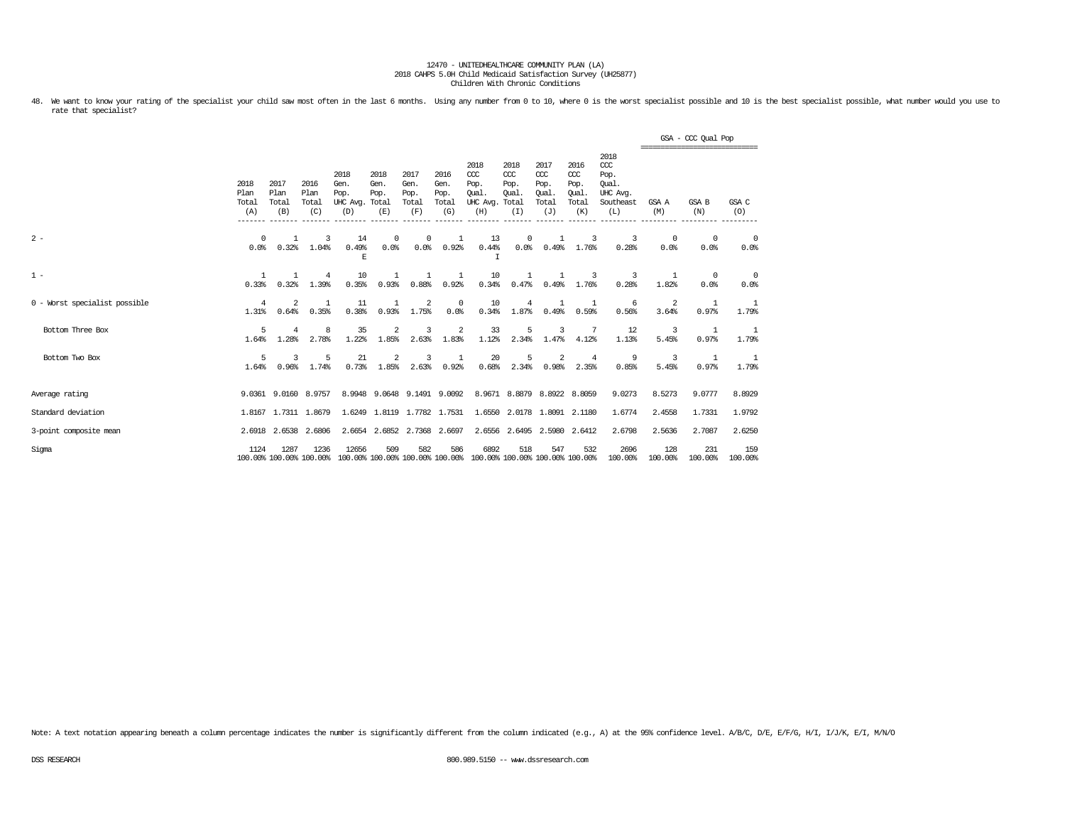48. We want to know your rating of the specialist your child saw most often in the last 6 months. Using any number from 0 to 10, where 0 is the worst specialist possible and 10 is the best specialist possible, what number rate that specialist?

|                               |                              |                                 |                              |                                               |                             |                                      |                                      |                                                                         |                                              |                                                   |                                              |                                                              | ================================ | GSA - CCC Qual Pop |                        |
|-------------------------------|------------------------------|---------------------------------|------------------------------|-----------------------------------------------|-----------------------------|--------------------------------------|--------------------------------------|-------------------------------------------------------------------------|----------------------------------------------|---------------------------------------------------|----------------------------------------------|--------------------------------------------------------------|----------------------------------|--------------------|------------------------|
|                               | 2018<br>Plan<br>Total<br>(A) | 2017<br>Plan<br>Total<br>(B)    | 2016<br>Plan<br>Total<br>(C) | 2018<br>Gen.<br>Pop.<br>UHC Avg. Total<br>(D) | 2018<br>Gen.<br>Pop.<br>(E) | 2017<br>Gen.<br>Pop.<br>Total<br>(F) | 2016<br>Gen.<br>Pop.<br>Total<br>(G) | 2018<br>CCC<br>Pop.<br>Oual.<br>UHC Avg.<br>(H)<br>--------             | 2018<br>CCC<br>Pop.<br>Oual.<br>Total<br>(I) | 2017<br>$\alpha$<br>Pop.<br>Oual.<br>Total<br>(J) | 2016<br>ccc<br>Pop.<br>Oual.<br>Total<br>(K) | 2018<br>ccc<br>Pop.<br>Oual.<br>UHC Avg.<br>Southeast<br>(L) | GSA A<br>(M)                     | GSA B<br>(N)       | GSA C<br>(O)           |
| $2 -$                         | $^{\circ}$<br>0.0%           | $\mathbf{1}$<br>0.32%           | 3<br>1.04%                   | 14<br>0.49%<br>$\mathbf E$                    | $^{\circ}$<br>0.0%          | $^{\circ}$<br>0.0%                   | 1<br>0.92%                           | 13<br>0.44%<br>$\mathbf I$                                              | $^{\circ}$<br>0.0%                           | 1<br>0.49%                                        | -3<br>1.76%                                  | 3<br>0.28%                                                   | $^{\circ}$<br>0.0%               | $^{\circ}$<br>0.0% | $^{\circ}$<br>0.0%     |
| $1 -$                         | $\mathbf{1}$<br>0.33%        | $\mathbf{1}$<br>0.32%           | -4<br>1.39%                  | 10<br>0.35%                                   | -1.<br>0.93%                | 1<br>0.88%                           | 1<br>0.92%                           | 10<br>0.34%                                                             | 1<br>0.47%                                   | 1<br>0.49%                                        | -3<br>1.76%                                  | -3<br>0.28%                                                  | -1.<br>1.82%                     | $\Omega$<br>0.0%   | $\Omega$<br>0.0%       |
| 0 - Worst specialist possible | 4<br>1.31%                   | 2<br>0.64%                      | -1<br>0.35%                  | 11<br>0.38%                                   | $\mathbf{1}$<br>0.93%       | 2<br>1.75%                           | $^{\circ}$<br>0.0%                   | 10<br>0.34%                                                             | 4<br>1.87%                                   | 1<br>0.49%                                        | 1<br>0.59%                                   | -6<br>0.56%                                                  | 2<br>3.64%                       | 1<br>0.97%         | -1<br>1.79%            |
| Bottom Three Box              | 5<br>1.64%                   | 4<br>1.28%                      | 8<br>2.78%                   | 35<br>1.22%                                   | $\overline{2}$<br>1.85%     | 3<br>2.63%                           | 2<br>1.83%                           | 33<br>1.12%                                                             | 5<br>2.34%                                   | 3<br>1.47%                                        | -7<br>4.12%                                  | 12<br>1.13%                                                  | 3<br>5.45%                       | 1<br>0.97%         | -1<br>1.79%            |
| Bottom Two Box                | 5<br>1.64%                   | 3<br>0.96%                      | 5<br>1.74%                   | 21<br>0.73%                                   | $\overline{2}$<br>1.85%     | 3<br>2.63%                           | 1<br>0.92%                           | 20<br>0.68%                                                             | 5<br>2.34%                                   | 2<br>0.98%                                        | $\overline{4}$<br>2.35%                      | 9<br>0.85%                                                   | 3<br>5.45%                       | 1<br>0.97%         | <sup>-1</sup><br>1.79% |
| Average rating                |                              | 9.0361 9.0160 8.9757            |                              |                                               | 8.9948 9.0648 9.1491 9.0092 |                                      |                                      |                                                                         |                                              | 8.9671 8.8879 8.8922 8.8059                       |                                              | 9.0273                                                       | 8.5273                           | 9.0777             | 8.8929                 |
| Standard deviation            |                              | 1.8167 1.7311 1.8679            |                              |                                               | 1.6249 1.8119 1.7782 1.7531 |                                      |                                      |                                                                         |                                              | 1.6550 2.0178 1.8091 2.1180                       |                                              | 1.6774                                                       | 2.4558                           | 1.7331             | 1.9792                 |
| 3-point composite mean        |                              | 2.6918 2.6538                   | 2.6806                       |                                               | 2.6654 2.6852 2.7368 2.6697 |                                      |                                      |                                                                         | 2.6556 2.6495                                | 2.5980                                            | 2.6412                                       | 2.6798                                                       | 2.5636                           | 2.7087             | 2.6250                 |
| Sigma                         | 1124                         | 1287<br>100.00% 100.00% 100.00% | 1236                         | 12656                                         | 509                         | 582                                  | 586                                  | 6892<br>100.00% 100.00% 100.00% 100.00% 100.00% 100.00% 100.00% 100.00% | 518                                          | 547                                               | 532                                          | 2696<br>100.00%                                              | 128<br>100.00%                   | 231<br>100.00%     | 159<br>100.00%         |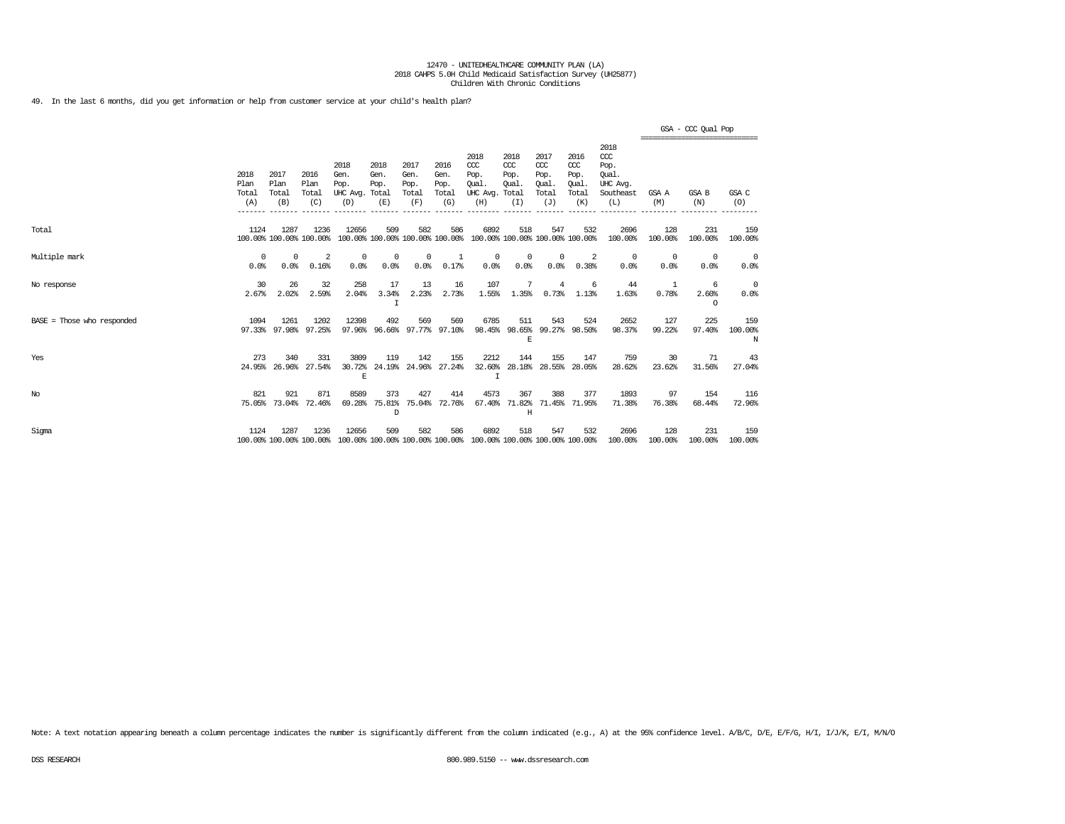49. In the last 6 months, did you get information or help from customer service at your child's health plan?

|                              |                              |                                 |                              |                                         |                                        |                                      |                                      |                                                                                         |                                              |                                              |                                              |                                                                   |                | GSA - CCC Qual Pop<br>============================= |                     |
|------------------------------|------------------------------|---------------------------------|------------------------------|-----------------------------------------|----------------------------------------|--------------------------------------|--------------------------------------|-----------------------------------------------------------------------------------------|----------------------------------------------|----------------------------------------------|----------------------------------------------|-------------------------------------------------------------------|----------------|-----------------------------------------------------|---------------------|
|                              | 2018<br>Plan<br>Total<br>(A) | 2017<br>Plan<br>Total<br>(B)    | 2016<br>Plan<br>Total<br>(C) | 2018<br>Gen.<br>Pop.<br>UHC Avg.<br>(D) | 2018<br>Gen.<br>Pop.<br>Total<br>(E)   | 2017<br>Gen.<br>Pop.<br>Total<br>(F) | 2016<br>Gen.<br>Pop.<br>Total<br>(G) | 2018<br>CCC<br>Pop.<br>Oual.<br>UHC Avg.<br>(H)                                         | 2018<br>ccc<br>Pop.<br>Oual.<br>Total<br>(I) | 2017<br>ccc<br>Pop.<br>Oual.<br>Total<br>(J) | 2016<br>ccc<br>Pop.<br>Qual.<br>Total<br>(K) | 2018<br>$\alpha$<br>Pop.<br>Oual.<br>UHC Avg.<br>Southeast<br>(L) | GSA A<br>(M)   | GSA B<br>(N)                                        | GSA C<br>(0)        |
| Total                        | 1124                         | 1287<br>100.00% 100.00% 100.00% | 1236                         | 12656                                   | 509<br>100.00% 100.00% 100.00% 100.00% | 582                                  | 586                                  | 6892<br>100.00% 100.00% 100.00% 100.00%                                                 | 518                                          | 547                                          | 532                                          | 2696<br>100.00%                                                   | 128<br>100.00% | 231<br>100.00%                                      | 159<br>100.00%      |
| Multiple mark                | 0<br>0.0%                    | $^{\circ}$<br>0.0%              | $\overline{2}$<br>0.16%      | 0<br>0.0%                               | 0<br>0.0%                              | $^{\circ}$<br>0.0%                   | 1<br>0.17%                           | $^{\circ}$<br>0.0%                                                                      | $^{\circ}$<br>0.0%                           | $\mathbf 0$<br>0.0%                          | 2<br>0.38%                                   | $^{\circ}$<br>0.0%                                                | 0<br>0.0%      | $^{\circ}$<br>0.0%                                  | $\circ$<br>0.0%     |
| No response                  | 30<br>2.67%                  | 26<br>2.02%                     | 32<br>2.59%                  | 258<br>2.04%                            | 17<br>3.34%<br>I                       | 13<br>2.23%                          | 16<br>2.73%                          | 107<br>1.55%                                                                            | 1.35%                                        | $\overline{4}$<br>0.73%                      | 6<br>1.13%                                   | 44<br>1.63%                                                       | 0.78%          | -6<br>2.60%<br>$\Omega$                             | 0<br>0.0%           |
| $BASE = Those who responded$ | 1094                         | 1261<br>97.33% 97.98%           | 1202<br>97.25%               | 12398                                   | 492<br>97.96% 96.66% 97.77% 97.10%     | 569                                  | 569                                  | 6785                                                                                    | 511<br>98.45% 98.65% 99.27%<br>E             | 543                                          | 524<br>98.50%                                | 2652<br>98.37%                                                    | 127<br>99.22%  | 225<br>97.40%                                       | 159<br>100.00%<br>N |
| Yes                          | 273<br>24.95%                | 340<br>26.96%                   | 331<br>27.54%                | 3809<br>30.72%<br>E                     | 119<br>24.19%                          | 142                                  | 155<br>24.96% 27.24%                 | 2212<br>32.60%<br>$\top$                                                                | 144<br>28.18%                                | 155<br>28.55%                                | 147<br>28.05%                                | 759<br>28.62%                                                     | 30<br>23.62%   | 71<br>31.56%                                        | 43<br>27.04%        |
| $_{\mathrm{No}}$             | 821<br>75.05%                | 921<br>73.04%                   | 871<br>72.46%                | 8589<br>69.28%                          | 373<br>75.81%<br>D                     | 427<br>75.04%                        | 414<br>72.76%                        | 4573<br>67.40%                                                                          | 367<br>71.82%<br>H                           | 388<br>71.45%                                | 377<br>71.95%                                | 1893<br>71.38%                                                    | 97<br>76.38%   | 154<br>68.44%                                       | 116<br>72.96%       |
| Sigma                        | 1124                         | 1287                            | 1236                         | 12656                                   | 509                                    | 582                                  | 586                                  | 6892<br>100.00% 100.00% 100.00% 100.00% 100.00% 100.00% 100.00% 100.00% 100.00% 100.00% | 518                                          | 547                                          | 532                                          | 2696<br>100.00%                                                   | 128<br>100.00% | 231<br>100.00%                                      | 159<br>100.00%      |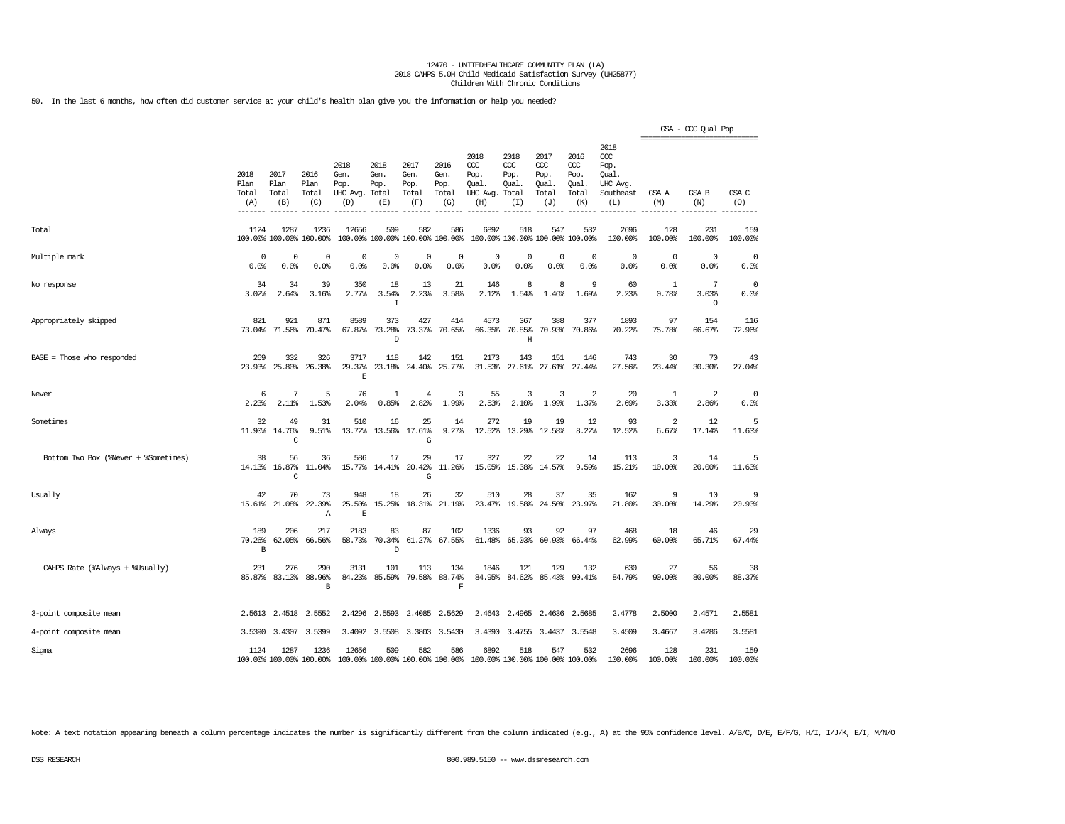50. In the last 6 months, how often did customer service at your child's health plan give you the information or help you needed?

|                                      |                              |                              |                                 |                                         |                                      |                                        |                                      |                                                 |                                              |                                              |                                              |                                                              | ----------------------------- | GSA - CCC Qual Pop      |                    |
|--------------------------------------|------------------------------|------------------------------|---------------------------------|-----------------------------------------|--------------------------------------|----------------------------------------|--------------------------------------|-------------------------------------------------|----------------------------------------------|----------------------------------------------|----------------------------------------------|--------------------------------------------------------------|-------------------------------|-------------------------|--------------------|
|                                      | 2018<br>Plan<br>Total<br>(A) | 2017<br>Plan<br>Total<br>(B) | 2016<br>Plan<br>Total<br>(C)    | 2018<br>Gen.<br>Pop.<br>UHC Avg.<br>(D) | 2018<br>Gen.<br>Pop.<br>Total<br>(E) | 2017<br>Gen.<br>Pop.<br>Total<br>(F)   | 2016<br>Gen.<br>Pop.<br>Total<br>(G) | 2018<br>ccc<br>Pop.<br>Oual.<br>UHC Avg.<br>(H) | 2018<br>CCC<br>Pop.<br>Qual.<br>Total<br>(I) | 2017<br>ccc<br>Pop.<br>Qual.<br>Total<br>(J) | 2016<br>ccc<br>Pop.<br>Qual.<br>Total<br>(K) | 2018<br>ccc<br>Pop.<br>Oual.<br>UHC Avg.<br>Southeast<br>(L) | GSA A<br>(M)                  | GSA B<br>(N)            | GSA C<br>(O)       |
| Total                                | 1124                         | 1287                         | 1236<br>100.00% 100.00% 100.00% | 12656                                   | 509                                  | 582<br>100.00% 100.00% 100.00% 100.00% | 586                                  | 6892                                            | 518                                          | 547                                          | 532<br>100.00% 100.00% 100.00% 100.00%       | 2696<br>100.00%                                              | 128<br>100.00%                | 231<br>100.00%          | 159<br>100.00%     |
| Multiple mark                        | 0<br>0.0%                    | 0<br>0.0%                    | 0<br>0.0%                       | 0<br>0.0%                               | 0<br>0.0%                            | 0<br>0.0%                              | $\mathbf 0$<br>0.0%                  | 0<br>0.0%                                       | 0<br>0.0%                                    | 0<br>0.0%                                    | $\mathbf 0$<br>0.0%                          | $^{\circ}$<br>0.0%                                           | $^{\circ}$<br>0.0%            | $^{\circ}$<br>0.0%      | 0<br>0.0%          |
| No response                          | 34<br>3.02%                  | 34<br>2.64%                  | 39<br>3.16%                     | 350<br>2.77%                            | 18<br>3.54%<br>I                     | 13<br>2.23%                            | 21<br>3.58%                          | 146<br>2.12%                                    | 8<br>1.54%                                   | 8<br>1.46%                                   | 9<br>1.69%                                   | 60<br>2.23%                                                  | 1<br>0.78%                    | 7<br>3.03%<br>$\circ$   | $^{\circ}$<br>0.0% |
| Appropriately skipped                | 821<br>73.04%                | 921<br>71.56%                | 871<br>70.47%                   | 8589<br>67.87%                          | 373<br>73.28%<br>D                   | 427<br>73.37%                          | 414<br>70.65%                        | 4573<br>66.35%                                  | 367<br>70.85%<br>H                           | 388<br>70.93%                                | 377<br>70.86%                                | 1893<br>70.22%                                               | 97<br>75.78%                  | 154<br>66.67%           | 116<br>72.96%      |
| BASE = Those who responded           | 269<br>23.93%                | 332<br>25.80%                | 326<br>26.38%                   | 3717<br>29.37%<br>$\overline{R}$        | 118<br>23.18%                        | 142<br>24.40%                          | 151<br>25.77%                        | 2173<br>31.53%                                  | 143<br>27.61%                                | 151<br>27.61%                                | 146<br>27.44%                                | 743<br>27.56%                                                | 30<br>23.44%                  | 70<br>30.30%            | 43<br>27.04%       |
| Never                                | 6<br>2.23%                   | 7<br>2.11%                   | 5<br>1.53%                      | 76<br>2.04%                             | $\mathbf{1}$<br>0.85%                | $\overline{4}$<br>2.82%                | 3<br>1.99%                           | 55<br>2.53%                                     | 3<br>2.10%                                   | 3<br>1.99%                                   | 2<br>1.37%                                   | 20<br>2.69%                                                  | 1<br>3.33%                    | $\overline{a}$<br>2.86% | $^{\circ}$<br>0.0% |
| Sometimes                            | 32                           | 49<br>11.90% 14.76%<br>C     | 31<br>9.51%                     | 510<br>13.72%                           | 16<br>13.56%                         | 25<br>17.61%<br>G                      | 14<br>9.27%                          | 272<br>12.52%                                   | 19<br>13.29%                                 | 19<br>12.58%                                 | 12<br>8.22%                                  | 93<br>12.52%                                                 | 2<br>6.67%                    | 12<br>17.14%            | 5<br>11.63%        |
| Bottom Two Box (%Never + %Sometimes) | 38<br>14.13%                 | 56<br>16.87%<br>C            | 36<br>11.04%                    | 586<br>15.77%                           | 17<br>14.41%                         | 29<br>20.42%<br>G                      | 17<br>11.26%                         | 327<br>15.05%                                   | 22<br>15.38%                                 | 22<br>14.57%                                 | 14<br>9.59%                                  | 113<br>15.21%                                                | 3<br>10.00%                   | 14<br>20.00%            | 5<br>11.63%        |
| Usually                              | 42<br>15.61%                 | 70<br>21.08%                 | 73<br>22.39%<br>$\mathbb{A}$    | 948<br>25.50%<br>E                      | 18<br>15.25%                         | 26<br>18.31%                           | 32<br>21.19%                         | 510<br>23.47%                                   | 28<br>19.58%                                 | 37<br>24.50%                                 | 35<br>23.97%                                 | 162<br>21.80%                                                | 9<br>30.00%                   | 10<br>14.29%            | 9<br>20.93%        |
| Always                               | 189<br>70.26%<br>В           | 206<br>62.05%                | 217<br>66.56%                   | 2183<br>58.73%                          | 83<br>70.34%<br>D                    | 87<br>61.27%                           | 102<br>67.55%                        | 1336<br>61.48%                                  | 93<br>65.03%                                 | 92<br>60.93%                                 | 97<br>66.44%                                 | 468<br>62.99%                                                | 18<br>60.00%                  | 46<br>65.71%            | 29<br>67.44%       |
| CAHPS Rate (%Always + %Usually)      | 231                          | 276<br>85.87% 83.13%         | 290<br>88.96%<br>B              | 3131<br>84.23%                          | 101<br>85.59%                        | 113<br>79.58%                          | 134<br>88.74%<br>$\mathbf F$         | 1846<br>84.95%                                  | 121<br>84.62%                                | 129                                          | 132<br>85.43% 90.41%                         | 630<br>84.79%                                                | 27<br>90.00%                  | 56<br>80.00%            | 38<br>88.37%       |
| 3-point composite mean               | 2.5613                       | 2.4518                       | 2.5552                          | 2.4296                                  | 2.5593                               | 2.4085                                 | 2.5629                               | 2.4643                                          | 2.4965                                       | 2.4636                                       | 2.5685                                       | 2.4778                                                       | 2.5000                        | 2.4571                  | 2.5581             |
| 4-point composite mean               | 3.5390                       | 3.4307                       | 3.5399                          |                                         | 3.4092 3.5508                        |                                        | 3.3803 3.5430                        |                                                 | 3.4390 3.4755                                |                                              | 3.4437 3.5548                                | 3.4509                                                       | 3.4667                        | 3.4286                  | 3.5581             |
| Sigma                                | 1124                         | 1287                         | 1236<br>100.00% 100.00% 100.00% | 12656                                   | 509                                  | 582<br>100.00% 100.00% 100.00% 100.00% | 586                                  | 6892<br>100.00% 100.00% 100.00% 100.00%         | 518                                          | 547                                          | 532                                          | 2696<br>100.00%                                              | 128<br>100.00%                | 231<br>100.00%          | 159<br>100.00%     |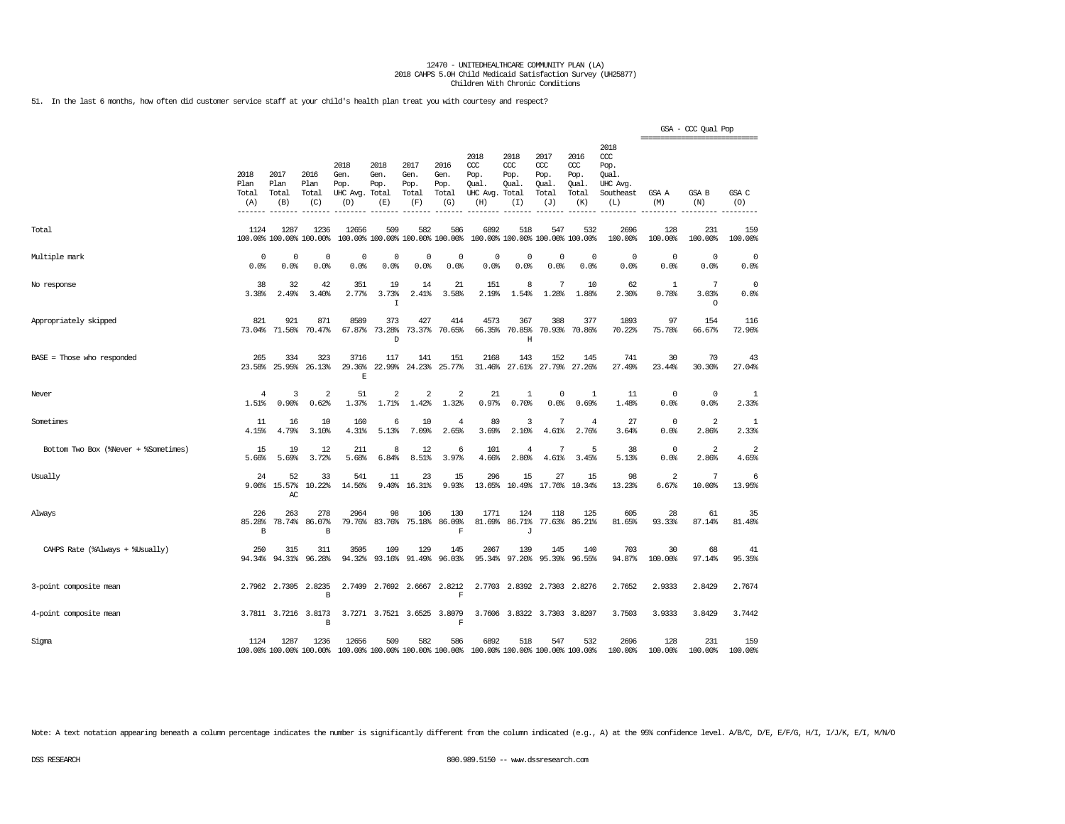51. In the last 6 months, how often did customer service staff at your child's health plan treat you with courtesy and respect?

|                                      |                              |                              |                                      |                                                                                          |                                      |                                      |                                            |                                                       |                                        |                                                   |                                                   |                                                                   |                     | GSA - CCC Qual Pop<br>---------------------------- |                                  |
|--------------------------------------|------------------------------|------------------------------|--------------------------------------|------------------------------------------------------------------------------------------|--------------------------------------|--------------------------------------|--------------------------------------------|-------------------------------------------------------|----------------------------------------|---------------------------------------------------|---------------------------------------------------|-------------------------------------------------------------------|---------------------|----------------------------------------------------|----------------------------------|
|                                      | 2018<br>Plan<br>Total<br>(A) | 2017<br>Plan<br>Total<br>(B) | 2016<br>Plan<br>Total<br>(C)         | 2018<br>Gen.<br>Pop.<br>UHC Avg.<br>(D)                                                  | 2018<br>Gen.<br>Pop.<br>Total<br>(E) | 2017<br>Gen.<br>Pop.<br>Total<br>(F) | 2016<br>Gen.<br>Pop.<br>Total<br>(G)       | 2018<br>CCC<br>Pop.<br>Qual.<br>UHC Avg. Total<br>(H) | 2018<br>$CC$<br>Pop.<br>Qual.<br>(I)   | 2017<br>$\alpha$<br>Pop.<br>Qual.<br>Total<br>(J) | 2016<br>$\alpha$<br>Pop.<br>Qual.<br>Total<br>(K) | 2018<br>$\alpha$<br>Pop.<br>Qual.<br>UHC Avg.<br>Southeast<br>(L) | GSA A<br>(M)        | GSA B<br>(N)                                       | GSA C<br>(O)                     |
| Total                                | 1124                         | 1287                         | 1236<br>100.00% 100.00% 100.00%      | 12656                                                                                    | 509                                  | 582                                  | 586<br>100.00% 100.00% 100.00% 100.00%     | 6892                                                  | 518<br>100.00% 100.00% 100.00% 100.00% | 547                                               | 532                                               | 2696<br>100.00%                                                   | 128<br>100.00%      | 231<br>100.00%                                     | 159<br>100.00%                   |
| Multiple mark                        | 0<br>0.0%                    | 0<br>0.0%                    | 0<br>0.0%                            | $\mathbf 0$<br>0.0%                                                                      | $\Omega$<br>0.0%                     | $\mathbf 0$<br>0.0%                  | $\mathbf 0$<br>0.0%                        | $\Omega$<br>0.0%                                      | 0<br>0.0%                              | 0<br>0.0%                                         | 0<br>0.0%                                         | $\mathbf 0$<br>0.0%                                               | $\mathbf 0$<br>0.0% | $\mathbf 0$<br>0.0%                                | 0<br>0.0%                        |
| No response                          | 38<br>3.38%                  | 32<br>2.49%                  | 42<br>3.40%                          | 351<br>2.77%                                                                             | 19<br>3.73%<br>I                     | 14<br>2.41%                          | 21<br>3.58%                                | 151<br>2.19%                                          | 8<br>1.54%                             | 7<br>1.28%                                        | 10<br>1.88%                                       | 62<br>2.30%                                                       | -1<br>0.78%         | 7<br>3.03%<br>$\circ$                              | $^{\circ}$<br>0.0%               |
| Appropriately skipped                | 821                          | 921<br>73.04% 71.56%         | 871<br>70.47%                        | 8589<br>67.87%                                                                           | 373<br>73.28%<br>D                   | 427<br>73.37%                        | 414<br>70.65%                              | 4573<br>66.35%                                        | 367<br>70.85%<br>Η                     | 388<br>70.93%                                     | 377<br>70.86%                                     | 1893<br>70.22%                                                    | 97<br>75.78%        | 154<br>66.67%                                      | 116<br>72.96%                    |
| BASE = Those who responded           | 265<br>23.58%                | 334<br>25.95%                | 323<br>26.13%                        | 3716<br>29.36%<br>E                                                                      | 117<br>22.99%                        | 141<br>24.23%                        | 151<br>25.77%                              | 2168<br>31.46%                                        | 143<br>27.61%                          | 152<br>27.79%                                     | 145<br>27.26%                                     | 741<br>27.49%                                                     | 30<br>23.44%        | 70<br>30.30%                                       | 43<br>27.04%                     |
| Never                                | 4<br>1.51%                   | 3<br>0.90%                   | 2<br>0.62%                           | 51<br>1.37%                                                                              | 2<br>1.71%                           | $\overline{2}$<br>1.42%              | 2<br>1.32%                                 | 21<br>0.97%                                           | 1<br>0.70%                             | $\mathbf 0$<br>0.0%                               | $\mathbf{1}$<br>0.69%                             | 11<br>1.48%                                                       | $\mathbf 0$<br>0.0% | $\mathbf 0$<br>0.0%                                | 1<br>2.33%                       |
| Sometimes                            | 11<br>4.15%                  | 16<br>4.79%                  | 10<br>3.10%                          | 160<br>4.31%                                                                             | 6<br>5.13%                           | 10<br>7.09%                          | $\overline{4}$<br>2.65%                    | 80<br>3.69%                                           | 3<br>2.10%                             | 7<br>4.61%                                        | 4<br>2.76%                                        | 27<br>3.64%                                                       | 0<br>0.0%           | $\overline{\mathbf{2}}$<br>2.86%                   | 1<br>2.33%                       |
| Bottom Two Box (%Never + %Sometimes) | 15<br>5.66%                  | 19<br>5.69%                  | 12<br>3.72%                          | 211<br>5.68%                                                                             | 8<br>6.84%                           | 12<br>8.51%                          | 6<br>3.97%                                 | 101<br>4.66%                                          | $\overline{4}$<br>2.80%                | 7<br>4.61%                                        | 5<br>3.45%                                        | 38<br>5.13%                                                       | 0<br>0.0%           | $\overline{\mathbf{2}}$<br>2.86%                   | $\overline{\mathbf{2}}$<br>4.65% |
| Usually                              | 24<br>9.06%                  | 52<br>15.57%<br>AC           | 33<br>10.22%                         | 541<br>14.56%                                                                            | 11<br>9.40%                          | 23<br>16.31%                         | 15<br>9.93%                                | 296<br>13.65%                                         | 15                                     | 27<br>10.49% 17.76%                               | 15<br>10.34%                                      | 98<br>13.23%                                                      | 2<br>6.67%          | 7<br>10.00%                                        | 6<br>13.95%                      |
| Always                               | 226<br>85.28%<br>В           | 263<br>78.74%                | 278<br>86.07%<br>$\, {\bf B}$        | 2964<br>79.76%                                                                           | 98<br>83.76%                         | 106<br>75.18%                        | 130<br>86.09%<br>$\mathbf F$               | 1771<br>81.69%                                        | 124<br>86.71%<br>J                     | 118<br>77.63%                                     | 125<br>86.21%                                     | 605<br>81.65%                                                     | 28<br>93.33%        | 61<br>87.14%                                       | 35<br>81.40%                     |
| CAHPS Rate (%Always + %Usually)      | 250<br>94.34%                | 315<br>94.31%                | 311<br>96.28%                        | 3505<br>94.32%                                                                           | 109<br>93.16%                        | 129<br>91.49%                        | 145<br>96.03%                              | 2067<br>95.34%                                        | 139<br>97.20%                          | 145<br>95.39%                                     | 140<br>96.55%                                     | 703<br>94.87%                                                     | 30<br>100.00%       | 68<br>97.14%                                       | 41<br>95.35%                     |
| 3-point composite mean               |                              | 2.7962 2.7305                | 2.8235<br>В                          |                                                                                          |                                      |                                      | 2.7409 2.7692 2.6667 2.8212<br>$\mathbf F$ |                                                       | 2.7703 2.8392 2.7303 2.8276            |                                                   |                                                   | 2.7652                                                            | 2.9333              | 2.8429                                             | 2.7674                           |
| 4-point composite mean               |                              |                              | 3.7811 3.7216 3.8173<br>$\, {\bf B}$ |                                                                                          |                                      |                                      | 3.7271 3.7521 3.6525 3.8079<br>F           |                                                       | 3.7606 3.8322 3.7303 3.8207            |                                                   |                                                   | 3.7503                                                            | 3.9333              | 3.8429                                             | 3.7442                           |
| Sigma                                | 1124                         | 1287                         | 1236                                 | 12656<br>100.00% 100.00% 100.00% 100.00% 100.00% 100.00% 100.00% 100.00% 100.00% 100.00% | 509                                  | 582                                  | 586                                        | 6892                                                  | 518                                    | 547                                               | 532                                               | 2696<br>100.00%                                                   | 128<br>100.00%      | 231<br>100.00%                                     | 159<br>100.00%                   |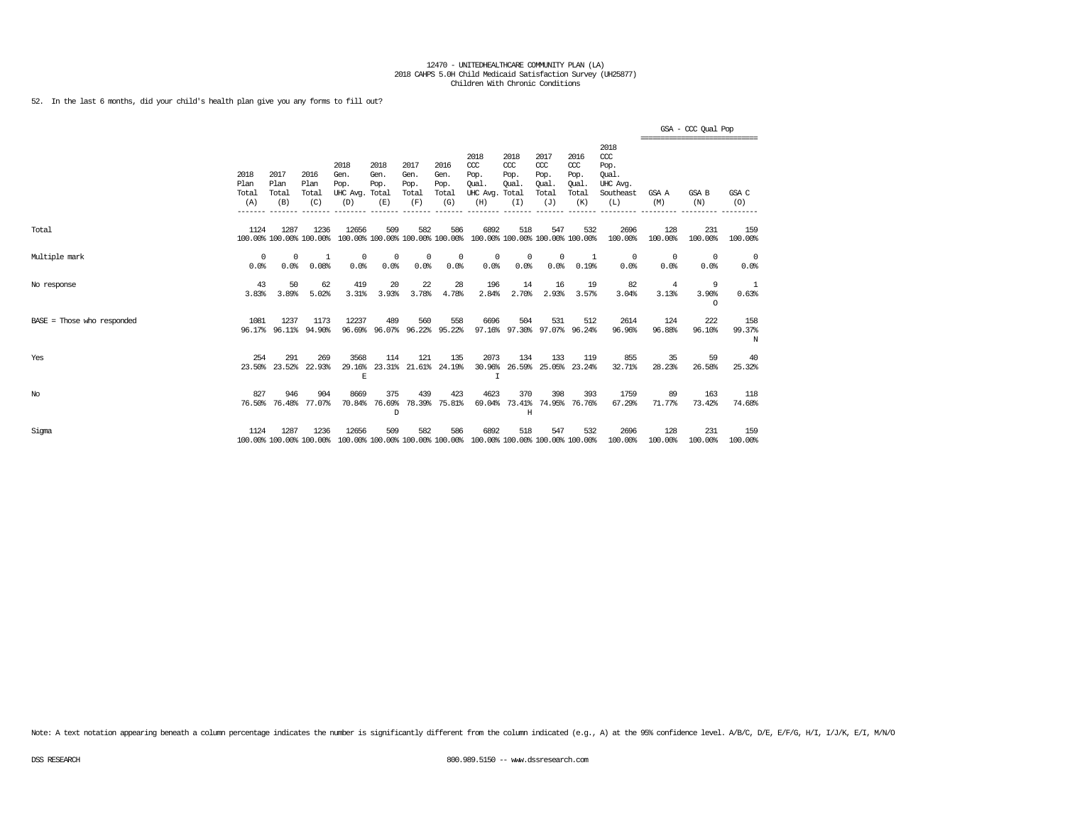52. In the last 6 months, did your child's health plan give you any forms to fill out?

|                            |                              |                                 |                                 |                                         |                                        |                                      |                                      |                                                                         |                                     |                                                   |                                              |                                                                   |                    | GSA - CCC Qual Pop<br>------------------------------ |                    |
|----------------------------|------------------------------|---------------------------------|---------------------------------|-----------------------------------------|----------------------------------------|--------------------------------------|--------------------------------------|-------------------------------------------------------------------------|-------------------------------------|---------------------------------------------------|----------------------------------------------|-------------------------------------------------------------------|--------------------|------------------------------------------------------|--------------------|
|                            | 2018<br>Plan<br>Total<br>(A) | 2017<br>Plan<br>Total<br>(B)    | 2016<br>Plan<br>Total<br>(C)    | 2018<br>Gen.<br>Pop.<br>UHC Avg.<br>(D) | 2018<br>Gen.<br>Pop.<br>Total<br>(E)   | 2017<br>Gen.<br>Pop.<br>Total<br>(F) | 2016<br>Gen.<br>Pop.<br>Total<br>(G) | 2018<br>CCC<br>Pop.<br>Oual.<br>UHC Avg. Total<br>(H)                   | 2018<br>CCC<br>Pop.<br>Qual.<br>(I) | 2017<br>$\alpha$<br>Pop.<br>Oual.<br>Total<br>(J) | 2016<br>ccc<br>Pop.<br>Oual.<br>Total<br>(K) | 2018<br>$\alpha$<br>Pop.<br>Oual.<br>UHC Avg.<br>Southeast<br>(L) | GSA A<br>(M)       | GSA B<br>(N)                                         | GSA C<br>(O)       |
| Total                      | 1124                         | 1287<br>100.00% 100.00% 100.00% | 1236                            | 12656                                   | 509<br>100.00% 100.00% 100.00% 100.00% | 582                                  | 586                                  | 6892<br>100.00% 100.00% 100.00% 100.00%                                 | 518                                 | 547                                               | 532                                          | 2696<br>100.00%                                                   | 128<br>100.00%     | 231<br>100.00%                                       | 159<br>100.00%     |
| Multiple mark              | $\Omega$<br>0.0%             | $\Omega$<br>0.0%                | 1<br>0.08%                      | 0<br>0.0%                               | 0<br>0.0%                              | $^{\circ}$<br>0.0%                   | 0<br>0.0%                            | $^{\circ}$<br>0.0%                                                      | $^{\circ}$<br>0.0%                  | $^{\circ}$<br>0.0%                                | 1<br>0.19%                                   | 0<br>0.0%                                                         | $^{\circ}$<br>0.0% | 0<br>0.0%                                            | - 0<br>0.0%        |
| No response                | 43<br>3.83%                  | 50<br>3.89%                     | 62<br>5.02%                     | 419<br>3.31%                            | 20<br>3.93%                            | 22<br>3.78%                          | 28<br>4.78%                          | 196<br>2.84%                                                            | 14<br>2.70%                         | 16<br>2.93%                                       | 19<br>3.57%                                  | 82<br>3.04%                                                       | 4<br>3.13%         | 9<br>3.90%<br>$\circ$                                | -1<br>0.63%        |
| BASE = Those who responded | 1081                         | 1237<br>96.17% 96.11%           | 1173<br>94.90%                  | 12237<br>96.69%                         | 489<br>96.07%                          | 560<br>96.22%                        | 558<br>95.22%                        | 6696<br>97.16%                                                          | 504<br>97.30%                       | 531                                               | 512<br>97.07% 96.24%                         | 2614<br>96.96%                                                    | 124<br>96.88%      | 222<br>96.10%                                        | 158<br>99.37%<br>N |
| Yes                        | 254                          | 291<br>23.50% 23.52%            | 269<br>22.93%                   | 3568<br>29.16%<br>$\mathbf E$           | 114                                    | 121                                  | 135<br>23.31% 21.61% 24.19%          | 2073<br>30.96%<br>$\mathsf{T}$                                          | 134                                 | 133<br>26.59% 25.05%                              | 119<br>23.24%                                | 855<br>32.71%                                                     | 35<br>28.23%       | 59<br>26.58%                                         | 40<br>25.32%       |
| No                         | 827<br>76.50%                | 946<br>76.48%                   | 904<br>77.07%                   | 8669<br>70.84%                          | 375<br>76.69%<br>D                     | 439<br>78.39%                        | 423<br>75.81%                        | 4623<br>69.04%                                                          | 370<br>73.41%<br>H                  | 398                                               | 393<br>74.95% 76.76%                         | 1759<br>67.29%                                                    | 89<br>71.77%       | 163<br>73.42%                                        | 118<br>74.68%      |
| Sigma                      | 1124                         | 1287                            | 1236<br>100.00% 100.00% 100.00% | 12656                                   | 509                                    | 582                                  | 586                                  | 6892<br>100.00% 100.00% 100.00% 100.00% 100.00% 100.00% 100.00% 100.00% | 518                                 | 547                                               | 532                                          | 2696<br>100.00%                                                   | 128<br>100.00%     | 231<br>100.00%                                       | 159<br>100.00%     |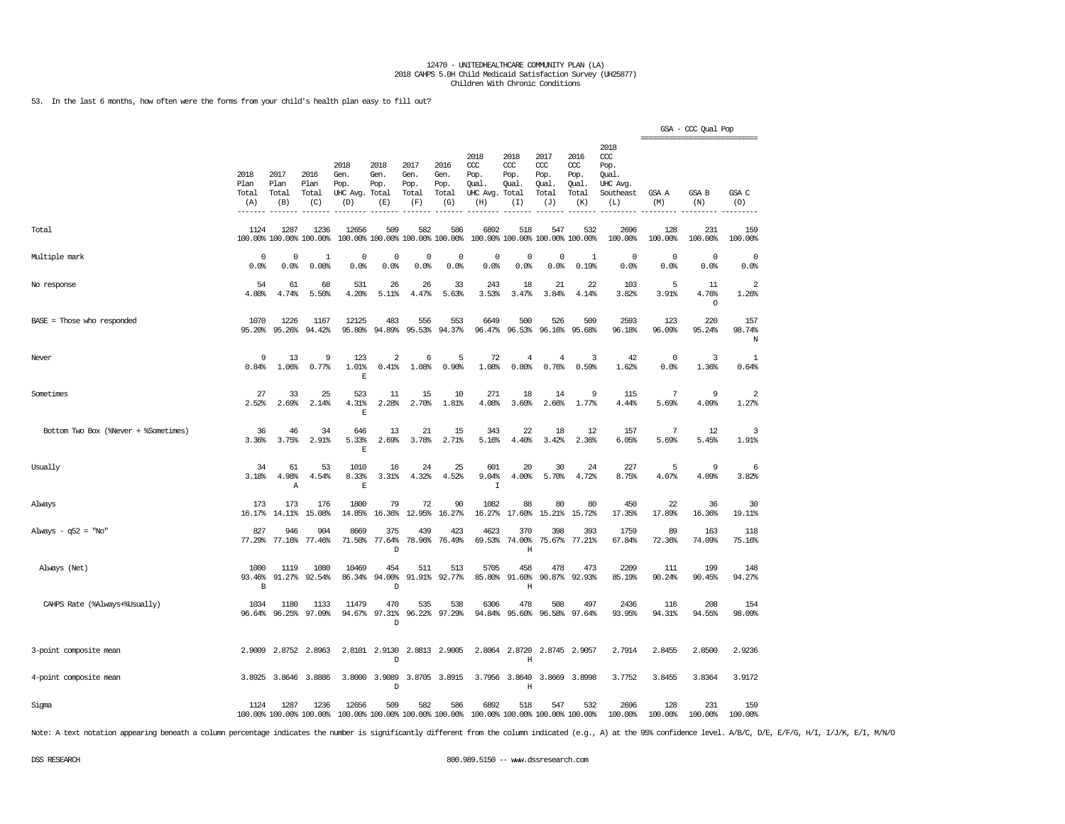53. In the last 6 months, how often were the forms from your child's health plan easy to fill out?

|                                      |                              |                              |                                 |                                         |                                        |                                      |                                      |                                                                         |                                     |                                              |                                              |                                                              |                     | GSA - CCC Qual Pop     |                         |
|--------------------------------------|------------------------------|------------------------------|---------------------------------|-----------------------------------------|----------------------------------------|--------------------------------------|--------------------------------------|-------------------------------------------------------------------------|-------------------------------------|----------------------------------------------|----------------------------------------------|--------------------------------------------------------------|---------------------|------------------------|-------------------------|
|                                      | 2018<br>Plan<br>Total<br>(A) | 2017<br>Plan<br>Total<br>(B) | 2016<br>Plan<br>Total<br>(C)    | 2018<br>Gen.<br>Pop.<br>UHC Avg.<br>(D) | 2018<br>Gen.<br>Pop.<br>Total<br>(E)   | 2017<br>Gen.<br>Pop.<br>Total<br>(F) | 2016<br>Gen.<br>Pop.<br>Total<br>(G) | 2018<br>ccc<br>Pop.<br>Qual.<br>UHC Avg. Total<br>(H)                   | 2018<br>ccc<br>Pop.<br>Qual.<br>(I) | 2017<br>ccc<br>Pop.<br>Qual.<br>Total<br>(J) | 2016<br>ccc<br>Pop.<br>Qual.<br>Total<br>(K) | 2018<br>ccc<br>Pop.<br>Oual.<br>UHC Avg.<br>Southeast<br>(L) | GSA A<br>(M)        | GSA B<br>(N)           | GSA C<br>(O)            |
| Total                                | 1124                         | 1287                         | 1236<br>100.00% 100.00% 100.00% | 12656                                   | 509<br>100.00% 100.00% 100.00% 100.00% | 582                                  | 586                                  | 6892                                                                    | 518                                 | 547                                          | 532<br>100.00% 100.00% 100.00% 100.00%       | 2696<br>100.00%                                              | 128<br>100.00%      | 231<br>100.00%         | 159<br>100.00%          |
| Multiple mark                        | 0<br>0.0%                    | $\Omega$<br>0.0%             | $\mathbf{1}$<br>0.08%           | $\mathbf 0$<br>0.0%                     | $^{\circ}$<br>0.0%                     | $\circ$<br>0.0%                      | $\Omega$<br>0.0%                     | $\mathbf 0$<br>0.0%                                                     | 0<br>0.0%                           | $\mathsf 0$<br>0.0%                          | $\mathbf{1}$<br>0.19%                        | $\mathbf 0$<br>0.0%                                          | $\circ$<br>0.0%     | $\mathbf 0$<br>0.0%    | $^{\circ}$<br>0.0%      |
| No response                          | 54<br>4.80%                  | 61<br>4.74%                  | 68<br>5.50%                     | 531<br>4.20%                            | 26<br>5.11%                            | 26<br>4.47%                          | 33<br>5.63%                          | 243<br>3.53%                                                            | 18<br>3.47%                         | 21<br>3.84%                                  | 22<br>4.14%                                  | 103<br>3.82%                                                 | 5<br>3.91%          | 11<br>4.76%<br>$\circ$ | $\overline{a}$<br>1.26% |
| $BASE = Those who responded$         | 1070<br>95.20%               | 1226<br>95.26%               | 1167<br>94.42%                  | 12125<br>95.80%                         | 483<br>94.89%                          | 556<br>95.53%                        | 553<br>94.37%                        | 6649<br>96.47%                                                          | 500<br>96.53%                       | 526<br>96.16%                                | 509<br>95.68%                                | 2593<br>96.18%                                               | 123<br>96.09%       | 220<br>95.24%          | 157<br>98.74%<br>Ν      |
| Never                                | 9<br>0.84%                   | 13<br>1.06%                  | 9<br>0.77%                      | 123<br>1.01%<br>$\mathbf{E}% _{0}$      | $\overline{2}$<br>0.41%                | 6<br>1.08%                           | -5<br>0.90%                          | 72<br>1.08%                                                             | 4<br>0.80%                          | 4<br>0.76%                                   | 3<br>0.59%                                   | 42<br>1.62%                                                  | $\mathbf 0$<br>0.0% | 3<br>1.36%             | 1<br>0.64%              |
| Sometimes                            | 27<br>2.52%                  | 33<br>2.69%                  | 25<br>2.14%                     | 523<br>4.31%<br>E                       | 11<br>2.28%                            | 15<br>2.70%                          | 10<br>1.81%                          | 271<br>4.08%                                                            | 18<br>3.60%                         | 14<br>2.66%                                  | 9<br>1.77%                                   | 115<br>4.44%                                                 | 7<br>5.69%          | 9<br>4.09%             | $\overline{a}$<br>1.27% |
| Bottom Two Box (%Never + %Sometimes) | 36<br>3.36%                  | 46<br>3.75%                  | 34<br>2.91%                     | 646<br>5.33%<br>$\mathbf{E}% _{0}$      | 13<br>2.69%                            | 21<br>3.78%                          | 15<br>2.71%                          | 343<br>5.16%                                                            | 22<br>4.40%                         | 18<br>3.42%                                  | 12<br>2.36%                                  | 157<br>6.05%                                                 | 7<br>5.69%          | 12<br>5.45%            | 3<br>1.91%              |
| Usually                              | 34<br>3.18%                  | 61<br>4.98%<br>Α             | 53<br>4.54%                     | 1010<br>8.33%<br>$\mathbb E$            | 16<br>3.31%                            | 24<br>4.32%                          | 25<br>4.52%                          | 601<br>9.04%<br>$\mathbbm{1}$                                           | 20<br>4.00%                         | 30<br>5.70%                                  | 24<br>4.72%                                  | 227<br>8.75%                                                 | 5<br>4.07%          | 9<br>4.09%             | 6<br>3.82%              |
| Always                               | 173<br>16.17%                | 173<br>14.11%                | 176<br>15.08%                   | 1800<br>14.85%                          | 79<br>16.36%                           | 72<br>12.95%                         | 90<br>16.27%                         | 1082<br>16.27%                                                          | 88<br>17.60%                        | 80<br>15.21%                                 | 80<br>15.72%                                 | 450<br>17.35%                                                | 22<br>17.89%        | 36<br>16.36%           | 30<br>19.11%            |
| Always - $q52 = "No"$                | 827<br>77.29%                | 946<br>77.16%                | 904<br>77.46%                   | 8669<br>71.50%                          | 375<br>77.64%<br>D                     | 439<br>78.96%                        | 423<br>76.49%                        | 4623<br>69.53%                                                          | 370<br>74.00%<br>Η                  | 398<br>75.67%                                | 393<br>77.21%                                | 1759<br>67.84%                                               | 89<br>72.36%        | 163<br>74.09%          | 118<br>75.16%           |
| Always (Net)                         | 1000<br>93.46%<br>В          | 1119<br>91.27%               | 1080<br>92.54%                  | 10469<br>86.34%                         | 454<br>94.00%<br>D                     | 511<br>91.91%                        | 513<br>92.77%                        | 5705<br>85.80%                                                          | 458<br>91.60%<br>$\mathbf H$        | 478<br>90.87%                                | 473<br>92.93%                                | 2209<br>85.19%                                               | 111<br>90.24%       | 199<br>90.45%          | 148<br>94.27%           |
| CAHPS Rate (%Always+%Usually)        | 1034<br>96.64%               | 1180<br>96.25%               | 1133<br>97.09%                  | 11479<br>94.67%                         | 470<br>97.31%<br>D                     | 535<br>96.22%                        | 538<br>97.29%                        | 6306<br>94.84%                                                          | 478<br>95.60%                       | 508<br>96.58%                                | 497<br>97.64%                                | 2436<br>93.95%                                               | 116<br>94.31%       | 208<br>94.55%          | 154<br>98.09%           |
| 3-point composite mean               | 2.9009                       | 2.8752                       | 2.8963                          | 2.8101                                  | 2.9130<br>D                            |                                      | 2.8813 2.9005                        | 2.8064                                                                  | 2.8720<br>Η                         |                                              | 2.8745 2.9057                                | 2.7914                                                       | 2.8455              | 2.8500                 | 2.9236                  |
| 4-point composite mean               |                              | 3.8925 3.8646                | 3.8886                          |                                         | 3.8000 3.9089<br>D                     |                                      | 3.8705 3.8915                        |                                                                         | 3.7956 3.8640<br>Η                  |                                              | 3.8669 3.8998                                | 3.7752                                                       | 3.8455              | 3.8364                 | 3.9172                  |
| Sigma                                | 1124                         | 1287                         | 1236<br>100.00% 100.00% 100.00% | 12656                                   | 509                                    | 582                                  | 586                                  | 6892<br>100.00% 100.00% 100.00% 100.00% 100.00% 100.00% 100.00% 100.00% | 518                                 | 547                                          | 532                                          | 2696<br>100.00%                                              | 128<br>100.00%      | 231<br>100.00%         | 159<br>100.00%          |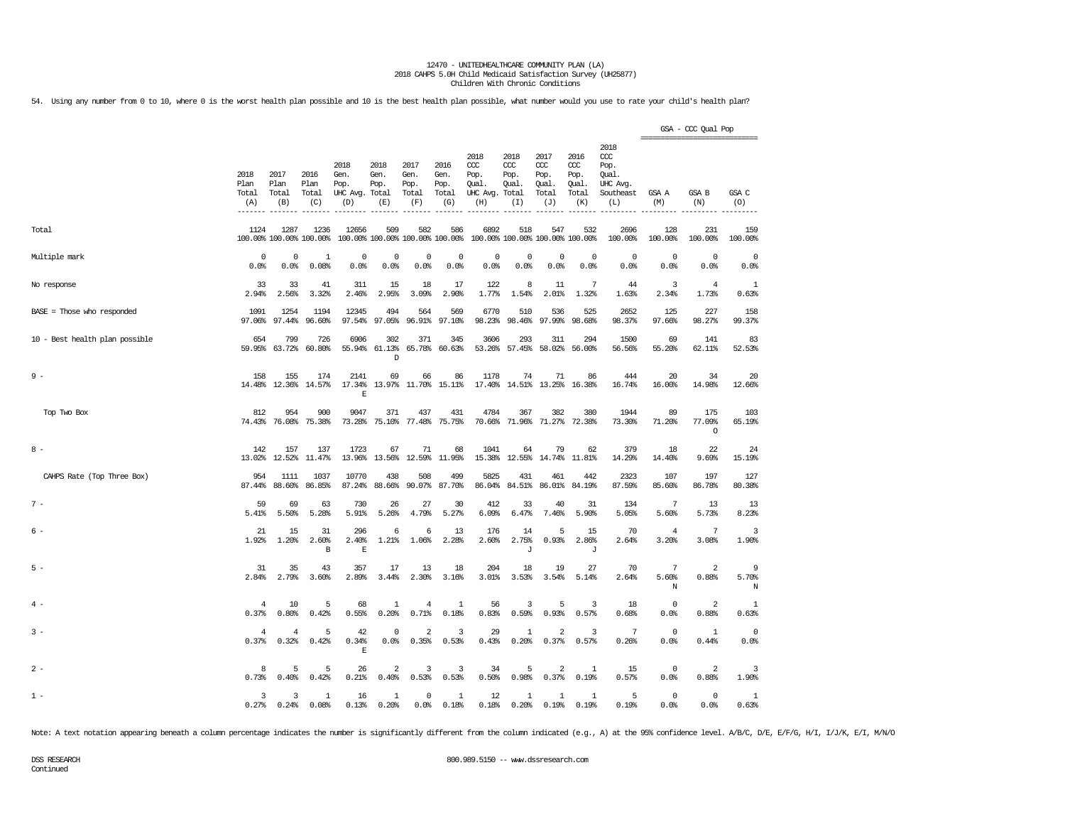54. Using any number from 0 to 10, where 0 is the worst health plan possible and 10 is the best health plan possible, what number would you use to rate your child's health plan?

|                                |                              |                                 |                              |                                               |                                     |                                      |                                      |                                                       |                                     |                                                   |                                                   |                                                                   | ========================== | GSA - CCC Qual Pop       |                 |
|--------------------------------|------------------------------|---------------------------------|------------------------------|-----------------------------------------------|-------------------------------------|--------------------------------------|--------------------------------------|-------------------------------------------------------|-------------------------------------|---------------------------------------------------|---------------------------------------------------|-------------------------------------------------------------------|----------------------------|--------------------------|-----------------|
|                                | 2018<br>Plan<br>Total<br>(A) | 2017<br>Plan<br>Total<br>(B)    | 2016<br>Plan<br>Total<br>(C) | 2018<br>Gen.<br>Pop.<br>UHC Avg. Total<br>(D) | 2018<br>Gen.<br>Pop.<br>(E)         | 2017<br>Gen.<br>Pop.<br>Total<br>(F) | 2016<br>Gen.<br>Pop.<br>Total<br>(G) | 2018<br>ccc<br>Pop.<br>Qual.<br>UHC Avg. Total<br>(H) | 2018<br>CCC<br>Pop.<br>Qual.<br>(I) | 2017<br>$\alpha$<br>Pop.<br>Qual.<br>Total<br>(J) | 2016<br>$\alpha$<br>Pop.<br>Qual.<br>Total<br>(K) | 2018<br>$\alpha$<br>Pop.<br>Oual.<br>UHC Avg.<br>Southeast<br>(L) | GSA A<br>(M)               | GSA B<br>(N)             | GSA C<br>(O)    |
| Total                          | 1124                         | 1287<br>100.00% 100.00% 100.00% | 1236                         | 12656<br>100.00% 100.00% 100.00% 100.00%      | 509                                 | 582                                  | 586                                  | 6892                                                  | 518                                 | 547<br>100.00% 100.00% 100.00% 100.00%            | 532                                               | 2696<br>100.00%                                                   | 128<br>100.00%             | 231<br>100.00%           | 159<br>100.00%  |
| Multiple mark                  | 0                            | $\mathbf 0$                     | 1                            | $\mathbf 0$                                   | 0                                   | $\mathbf 0$                          | $\mathbf 0$                          | $\mathbf 0$                                           | $\mathbf 0$                         | $\mathbf 0$                                       | $\circ$                                           | $\mathbf 0$                                                       | $\circ$                    | $\circ$                  | $\mathbf 0$     |
|                                | 0.0%                         | 0.0%                            | 0.08%                        | 0.0%                                          | 0.0%                                | 0.0%                                 | 0.0%                                 | 0.0%                                                  | 0.0%                                | 0.0%                                              | 0.0%                                              | 0.0%                                                              | 0.0%                       | 0.0%                     | 0.0%            |
| No response                    | 33                           | 33                              | 41                           | 311                                           | 15                                  | 18                                   | 17                                   | 122                                                   | 8                                   | 11                                                | 7                                                 | 44                                                                | 3                          | $\overline{4}$           | 1               |
|                                | 2.94%                        | 2.56%                           | 3.32%                        | 2.46%                                         | 2.95%                               | 3.09%                                | 2.90%                                | 1.77%                                                 | 1.54%                               | 2.01%                                             | 1.32%                                             | 1.63%                                                             | 2.34%                      | 1.73%                    | 0.63%           |
| BASE = Those who responded     | 1091                         | 1254                            | 1194                         | 12345                                         | 494                                 | 564                                  | 569                                  | 6770                                                  | 510                                 | 536                                               | 525                                               | 2652                                                              | 125                        | 227                      | 158             |
|                                | 97.06%                       | 97.44%                          | 96.60%                       | 97.54%                                        | 97.05%                              | 96.91%                               | 97.10%                               | 98.23%                                                | 98.46%                              | 97.99%                                            | 98.68%                                            | 98.37%                                                            | 97.66%                     | 98.27%                   | 99.37%          |
| 10 - Best health plan possible | 654<br>59.95%                | 799<br>63.72%                   | 726<br>60.80%                | 6906                                          | 302<br>55.94% 61.13%<br>$\mathbb D$ | 371                                  | 345<br>65.78% 60.63%                 | 3606                                                  | 293<br>53.26% 57.45%                | 311<br>58.02%                                     | 294<br>56.00%                                     | 1500<br>56.56%                                                    | 69<br>55.20%               | 141<br>62.11%            | 83<br>52.53%    |
| $9 -$                          | 158<br>14.48%                | 155                             | 174<br>12.36% 14.57%         | 2141<br>17.34%<br>E                           | 69<br>13.97%                        | 66<br>11.70%                         | 86<br>15.11%                         | 1178<br>17.40%                                        | 74                                  | 71<br>14.51% 13.25% 16.38%                        | 86                                                | 444<br>16.74%                                                     | 20<br>16.00%               | 34<br>14.98%             | 20<br>12.66%    |
| Top Two Box                    | 812                          | 954<br>74.43% 76.08%            | 900<br>75.38%                | 9047<br>73.28%                                | 371<br>75.10%                       | 437<br>77.48%                        | 431<br>75.75%                        | 4784                                                  | 367                                 | 382<br>70.66% 71.96% 71.27% 72.38%                | 380                                               | 1944<br>73.30%                                                    | 89<br>71.20%               | 175<br>77.09%<br>$\circ$ | 103<br>65.19%   |
| $8 -$                          | 142                          | 157                             | 137                          | 1723                                          | 67                                  | 71                                   | 68                                   | 1041                                                  | 64                                  | 79                                                | 62                                                | 379                                                               | 18                         | 22                       | 24              |
|                                | 13.02%                       | 12.52%                          | 11.47%                       | 13.96%                                        | 13.56%                              | 12.59%                               | 11.95%                               | 15.38%                                                | 12.55%                              | 14.74%                                            | 11.81%                                            | 14.29%                                                            | 14.40%                     | 9.69%                    | 15.19%          |
| CAHPS Rate (Top Three Box)     | 954                          | 1111                            | 1037                         | 10770                                         | 438                                 | 508                                  | 499                                  | 5825                                                  | 431                                 | 461                                               | 442                                               | 2323                                                              | 107                        | 197                      | 127             |
|                                | 87.44%                       | 88.60%                          | 86.85%                       | 87.24%                                        | 88.66%                              | 90.07%                               | 87.70%                               | 86.04%                                                | 84.51%                              | 86.01%                                            | 84.19%                                            | 87.59%                                                            | 85.60%                     | 86.78%                   | 80.38%          |
| $7 -$                          | 59                           | 69                              | 63                           | 730                                           | 26                                  | 27                                   | 30                                   | 412                                                   | 33                                  | 40                                                | 31                                                | 134                                                               | 7                          | 13                       | 13              |
|                                | 5.41%                        | 5.50%                           | 5.28%                        | 5.91%                                         | 5.26%                               | 4.79%                                | 5.27%                                | 6.09%                                                 | 6.47%                               | 7.46%                                             | 5.90%                                             | 5.05%                                                             | 5.60%                      | 5.73%                    | 8.23%           |
| $6 -$                          | 21<br>1.92%                  | 15<br>1.20%                     | 31<br>2.60%<br>B             | 296<br>2.40%<br>E                             | 6<br>1.21%                          | 6<br>1.06%                           | 13<br>2.28%                          | 176<br>2.60%                                          | 14<br>2.75%<br>J                    | 5<br>0.93%                                        | 15<br>2.86%<br>J                                  | 70<br>2.64%                                                       | $\overline{4}$<br>3.20%    | 7<br>3.08%               | 3<br>1.90%      |
| $5 -$                          | 31<br>2.84%                  | 35<br>2.79%                     | 43<br>3.60%                  | 357<br>2.89%                                  | 17<br>3.44%                         | 13<br>2.30%                          | 18<br>3.16%                          | 204<br>3.01%                                          | 18<br>3.53%                         | 19<br>3.54%                                       | 27<br>5.14%                                       | 70<br>2.64%                                                       | 7<br>5.60%<br>N            | $\overline{2}$<br>0.88%  | 9<br>5.70%<br>N |
| $4 -$                          | $\overline{4}$               | 10                              | 5                            | 68                                            | 1                                   | $\overline{4}$                       | 1                                    | 56                                                    | 3                                   | 5                                                 | 3                                                 | 18                                                                | $\mathbf{0}$               | 2                        | 1               |
|                                | 0.37%                        | 0.80%                           | 0.42%                        | 0.55%                                         | 0.20%                               | 0.71%                                | 0.18%                                | 0.83%                                                 | 0.59%                               | 0.93%                                             | 0.57%                                             | 0.68%                                                             | 0.0%                       | 0.88%                    | 0.63%           |
| $3 -$                          | 4<br>0.37%                   | 4<br>0.32%                      | 5<br>0.42%                   | 42<br>0.34%<br>$\mathbf E$                    | $^{\circ}$<br>0.0%                  | $\overline{a}$<br>0.35%              | 3<br>0.53%                           | 29<br>0.43%                                           | $\mathbf{1}$<br>0.20%               | $\overline{a}$<br>0.37%                           | 3<br>0.57%                                        | 7<br>0.26%                                                        | $\mathbf{0}$<br>0.0%       | $\mathbf{1}$<br>0.44%    | 0<br>0.0%       |
| $2 -$                          | 8                            | 5                               | 5                            | 26                                            | 2                                   | 3                                    | 3                                    | 34                                                    | 5                                   | 2                                                 | 1                                                 | 15                                                                | 0                          | 2                        | 3               |
|                                | 0.73%                        | 0.40%                           | 0.42%                        | 0.21%                                         | 0.40%                               | 0.53%                                | 0.53%                                | 0.50%                                                 | 0.98%                               | 0.37%                                             | 0.19%                                             | 0.57%                                                             | 0.0%                       | 0.88%                    | 1.90%           |
| $1 -$                          | 3                            | 3                               | 1                            | 16                                            | 1                                   | $\circ$                              | 1                                    | 12                                                    | 1                                   | $\mathbf{1}$                                      | $\mathbf{1}$                                      | 5                                                                 | $\mathbf 0$                | $\mathbf 0$              | 1               |
|                                | 0.27%                        | 0.24%                           | 0.08%                        | 0.13%                                         | 0.20%                               | 0.0%                                 | 0.18%                                | 0.18%                                                 | 0.20%                               | 0.19%                                             | 0.19%                                             | 0.19%                                                             | $0.0$ %                    | 0.0%                     | 0.63%           |

Note: A text notation appearing beneath a column percentage indicates the number is significantly different from the column indicated (e.g., A) at the 95% confidence level. A/B/C, D/E, E/F/G, H/I, I/J/K, E/I, M/N/O

Continued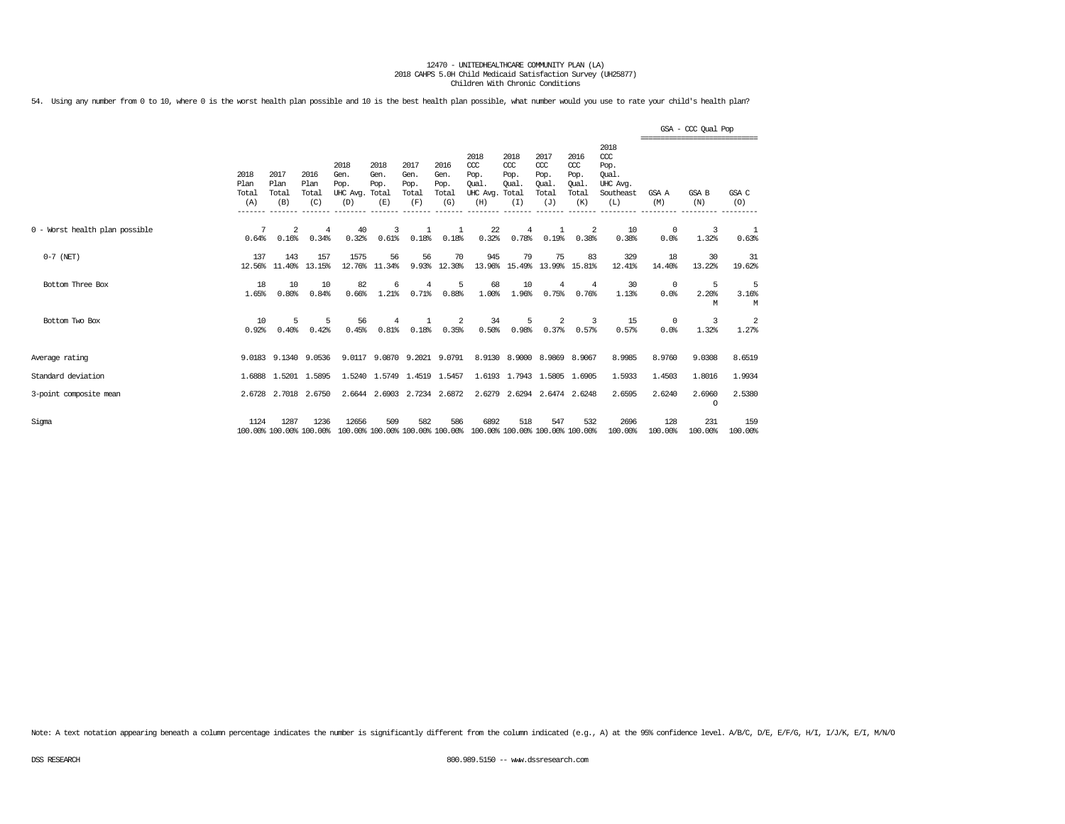54. Using any number from 0 to 10, where 0 is the worst health plan possible and 10 is the best health plan possible, what number would you use to rate your child's health plan?

|                                |                                         |                                 |                              |                                               |                             |                                      |                                      |                                                 |                                              |                                                   |                                                   |                                                                   |                    | GSA - CCC Qual Pop<br>------------------------------- |                 |
|--------------------------------|-----------------------------------------|---------------------------------|------------------------------|-----------------------------------------------|-----------------------------|--------------------------------------|--------------------------------------|-------------------------------------------------|----------------------------------------------|---------------------------------------------------|---------------------------------------------------|-------------------------------------------------------------------|--------------------|-------------------------------------------------------|-----------------|
|                                | 2018<br>Plan<br>Total<br>(A)<br>------- | 2017<br>Plan<br>Total<br>(B)    | 2016<br>Plan<br>Total<br>(C) | 2018<br>Gen.<br>Pop.<br>UHC Avg. Total<br>(D) | 2018<br>Gen.<br>Pop.<br>(E) | 2017<br>Gen.<br>Pop.<br>Total<br>(F) | 2016<br>Gen.<br>Pop.<br>Total<br>(G) | 2018<br>CCC<br>Pop.<br>Qual.<br>UHC Avg.<br>(H) | 2018<br>CCC<br>Pop.<br>Oual.<br>Total<br>(I) | 2017<br>$\alpha$<br>Pop.<br>Oual.<br>Total<br>(J) | 2016<br>$\alpha$<br>Pop.<br>Oual.<br>Total<br>(K) | 2018<br>$\alpha$<br>Pop.<br>Oual.<br>UHC Avg.<br>Southeast<br>(L) | GSA A<br>(M)       | GSA B<br>(N)                                          | GSA C<br>(O)    |
| 0 - Worst health plan possible | 7<br>0.64%                              | 2<br>0.16%                      | 4<br>0.34%                   | 40<br>0.32%                                   | 3<br>0.61%                  | 0.18%                                | 0.18%                                | 22<br>0.32%                                     | $\overline{4}$<br>0.78%                      | 1<br>0.19%                                        | 2<br>0.38%                                        | 10<br>0.38%                                                       | $^{\circ}$<br>0.0% | 3<br>1.32%                                            | 1<br>0.63%      |
| $0-7$ (NET)                    | 137<br>12.56%                           | 143<br>11.40%                   | 157<br>13.15%                | 1575<br>12.76%                                | 56<br>11.34%                | 56                                   | 70<br>9.93% 12.30%                   | 945                                             | 79<br>13.96% 15.49%                          | 75<br>13.99%                                      | 83<br>15.81%                                      | 329<br>12.41%                                                     | 18<br>14.40%       | 30<br>13.22%                                          | 31<br>19.62%    |
| Bottom Three Box               | 18<br>1.65%                             | 10<br>0.80%                     | 10<br>0.84%                  | 82<br>0.66%                                   | 6<br>1.21%                  | 4<br>0.71%                           | 5<br>0.88%                           | 68<br>1.00%                                     | 10<br>1.96%                                  | 4<br>0.75%                                        | $\overline{4}$<br>0.76%                           | 30<br>1.13%                                                       | $^{\circ}$<br>0.0% | 5<br>2.20%<br>M                                       | 5<br>3.16%<br>M |
| Bottom Two Box                 | 10<br>0.92%                             | 5<br>0.40%                      | 5<br>0.42%                   | 56<br>0.45%                                   | 4<br>0.81%                  | 0.18%                                | 2<br>0.35%                           | 34<br>0.50%                                     | 5<br>0.98%                                   | 2<br>0.37%                                        | 3<br>0.57%                                        | 15<br>0.57%                                                       | $^{\circ}$<br>0.0% | 3<br>1.32%                                            | 2<br>1.27%      |
| Average rating                 |                                         | 9.0183 9.1340                   | 9.0536                       | 9.0117                                        | 9.0870                      |                                      | 9.2021 9.0791                        |                                                 | 8.9130 8.9000                                | 8.9869 8.9067                                     |                                                   | 8.9985                                                            | 8.9760             | 9.0308                                                | 8.6519          |
| Standard deviation             |                                         | 1.6888 1.5201                   | 1.5895                       |                                               | 1.5240 1.5749               | 1.4519 1.5457                        |                                      |                                                 | 1.6193 1.7943                                | 1.5805 1.6905                                     |                                                   | 1.5933                                                            | 1.4503             | 1.8016                                                | 1.9934          |
| 3-point composite mean         |                                         | 2.6728 2.7018 2.6750            |                              |                                               | 2.6644 2.6903 2.7234 2.6872 |                                      |                                      | 2.6279                                          |                                              | 2.6294 2.6474 2.6248                              |                                                   | 2.6595                                                            | 2.6240             | 2.6960<br>$\circ$                                     | 2.5380          |
| Sigma                          | 1124                                    | 1287<br>100.00% 100.00% 100.00% | 1236                         | 12656<br>100.00% 100.00% 100.00% 100.00%      | 509                         | 582                                  | 586                                  | 6892<br>100.00% 100.00% 100.00% 100.00%         | 518                                          | 547                                               | 532                                               | 2696<br>100.00%                                                   | 128<br>100.00%     | 231<br>100.00%                                        | 159<br>100.00%  |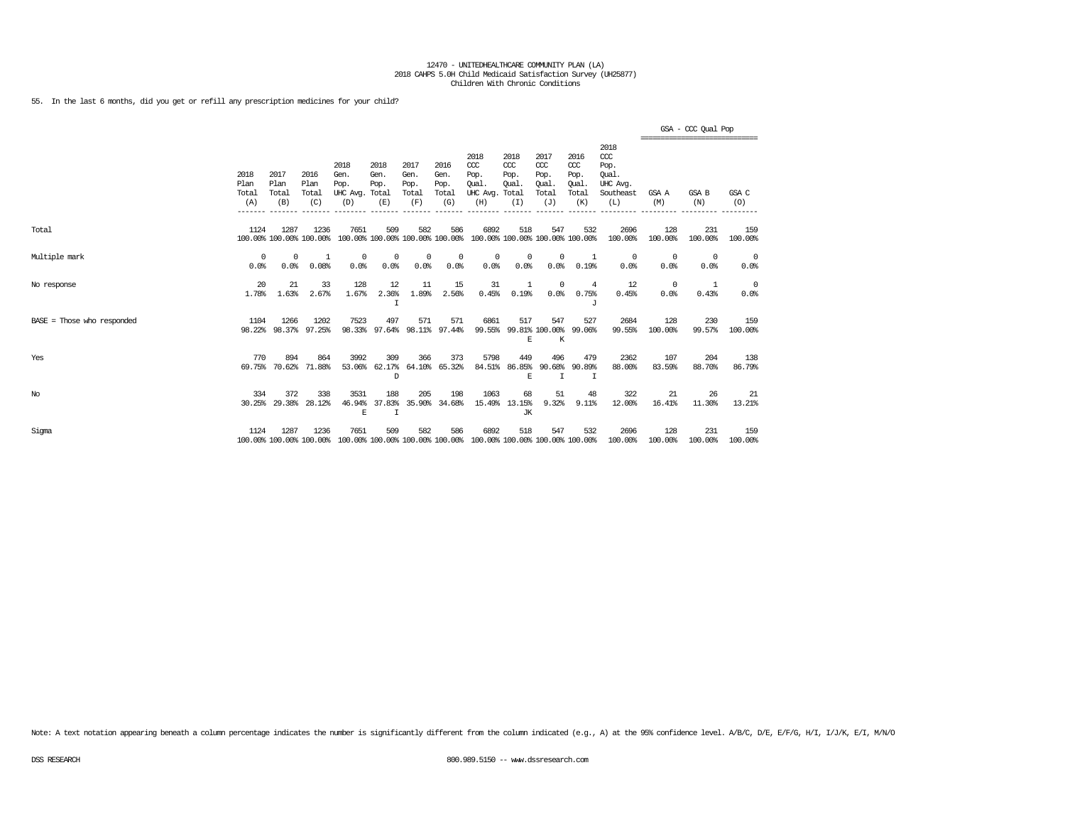55. In the last 6 months, did you get or refill any prescription medicines for your child?

|                              |                              |                                 |                              |                                         |                                        |                                      |                                      |                                                                                         |                                              |                                             |                                              |                                                                   |                  | GSA - CCC Qual Pop<br>============================= |                 |
|------------------------------|------------------------------|---------------------------------|------------------------------|-----------------------------------------|----------------------------------------|--------------------------------------|--------------------------------------|-----------------------------------------------------------------------------------------|----------------------------------------------|---------------------------------------------|----------------------------------------------|-------------------------------------------------------------------|------------------|-----------------------------------------------------|-----------------|
|                              | 2018<br>Plan<br>Total<br>(A) | 2017<br>Plan<br>Total<br>(B)    | 2016<br>Plan<br>Total<br>(C) | 2018<br>Gen.<br>Pop.<br>UHC Avg.<br>(D) | 2018<br>Gen.<br>Pop.<br>Total<br>(E)   | 2017<br>Gen.<br>Pop.<br>Total<br>(F) | 2016<br>Gen.<br>Pop.<br>Total<br>(G) | 2018<br>CCC<br>Pop.<br>Oual.<br>UHC Avg.<br>(H)                                         | 2018<br>ccc<br>Pop.<br>Oual.<br>Total<br>(I) | 2017<br>ccc<br>Pop.<br>Oual<br>Total<br>(J) | 2016<br>ccc<br>Pop.<br>Oual.<br>Total<br>(K) | 2018<br>$\alpha$<br>Pop.<br>Oual.<br>UHC Avg.<br>Southeast<br>(L) | GSA A<br>(M)     | GSA B<br>(N)                                        | GSA C<br>(0)    |
| Total                        | 1124                         | 1287<br>100.00% 100.00% 100.00% | 1236                         | 7651                                    | 509<br>100.00% 100.00% 100.00% 100.00% | 582                                  | 586                                  | 6892<br>100.00% 100.00% 100.00% 100.00%                                                 | 518                                          | 547                                         | 532                                          | 2696<br>100.00%                                                   | 128<br>100.00%   | 231<br>100.00%                                      | 159<br>100.00%  |
| Multiple mark                | 0<br>0.0%                    | $^{\circ}$<br>0.0%              | 1<br>0.08%                   | 0<br>0.0%                               | 0<br>0.0%                              | $^{\circ}$<br>0.0%                   | 0<br>0.0%                            | $^{\circ}$<br>0.0%                                                                      | $^{\circ}$<br>0.0%                           | $\mathbf 0$<br>0.0%                         | 1<br>0.19%                                   | $^{\circ}$<br>0.0%                                                | 0<br>0.0%        | $^{\circ}$<br>0.0%                                  | $\circ$<br>0.0% |
| No response                  | 20<br>1.78%                  | 21<br>1.63%                     | 33<br>2.67%                  | 128<br>1.67%                            | 12<br>2.36%<br>I                       | 11<br>1.89%                          | 15<br>2.56%                          | 31<br>0.45%                                                                             | 1<br>0.19%                                   | $\mathbf 0$<br>0.0%                         | 4<br>0.75%<br>J                              | 12<br>0.45%                                                       | $\Omega$<br>0.0% | -1<br>0.43%                                         | 0<br>0.0%       |
| $BASE = Those who responded$ | 1104                         | 1266<br>98.22% 98.37%           | 1202<br>97.25%               | 7523<br>98.33%                          | 497<br>97.64%                          | 571                                  | 571<br>98.11% 97.44%                 | 6861<br>99.55%                                                                          | 517<br>E                                     | 547<br>99.81% 100.00%<br>K                  | 527<br>99.06%                                | 2684<br>99.55%                                                    | 128<br>100.00%   | 230<br>99.57%                                       | 159<br>100.00%  |
| Yes                          | 770<br>69.75%                | 894<br>70.62%                   | 864<br>71.88%                | 3992<br>53.06%                          | 309<br>62.17%<br>D                     | 366                                  | 373<br>64.10% 65.32%                 | 5798<br>84.51%                                                                          | 449<br>86.85%<br>E                           | 496<br>90.68%<br>$\mathsf{T}$               | 479<br>90.89%<br>I                           | 2362<br>88,00%                                                    | 107<br>83.59%    | 204<br>88.70%                                       | 138<br>86.79%   |
| $_{\mathrm{No}}$             | 334                          | 372<br>30.25% 29.38%            | 338<br>28.12%                | 3531<br>46.94%<br>E                     | 188<br>37.83%<br>$\mathbf I$           | 205<br>35.90%                        | 198<br>34.68%                        | 1063                                                                                    | 68<br>15.49% 13.15%<br><b>JK</b>             | 51<br>9.32%                                 | 48<br>9.11%                                  | 322<br>12.00%                                                     | 21<br>16.41%     | 26<br>11.30%                                        | 21<br>13.21%    |
| Sigma                        | 1124                         | 1287                            | 1236                         | 7651                                    | 509                                    | 582                                  | 586                                  | 6892<br>100.00% 100.00% 100.00% 100.00% 100.00% 100.00% 100.00% 100.00% 100.00% 100.00% | 518                                          | 547                                         | 532                                          | 2696<br>100.00%                                                   | 128<br>100.00%   | 231<br>100.00%                                      | 159<br>100.00%  |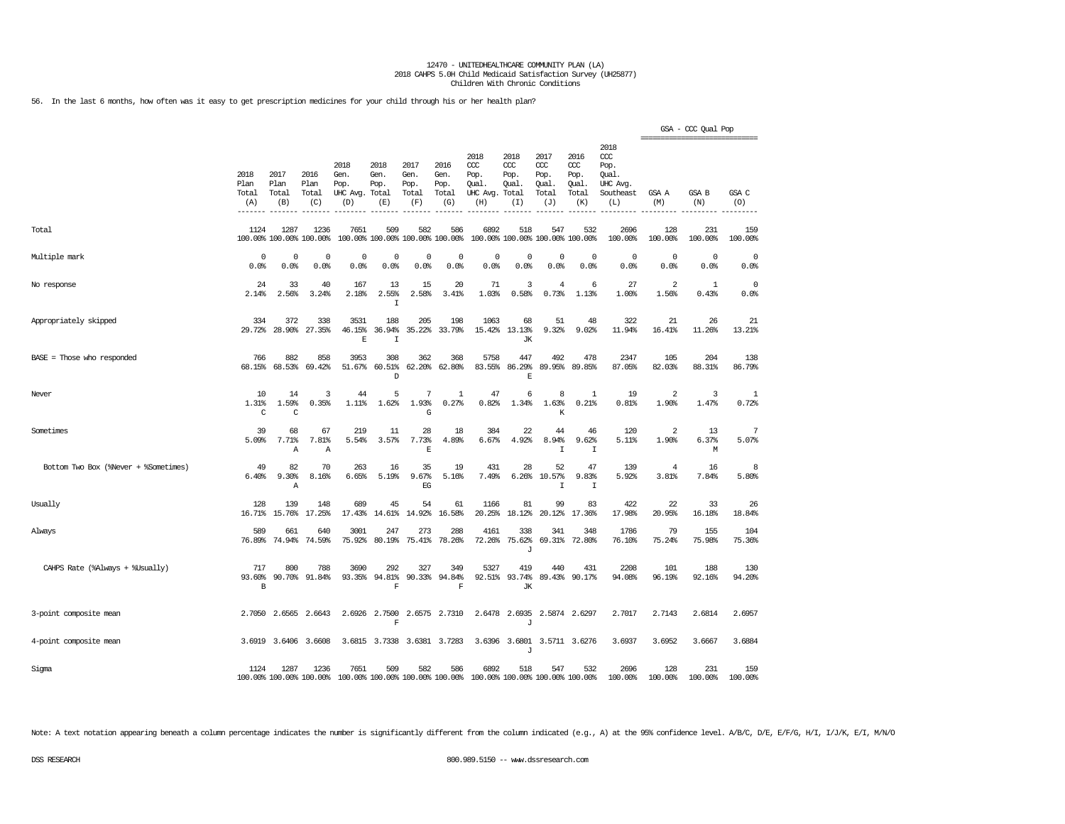56. In the last 6 months, how often was it easy to get prescription medicines for your child through his or her health plan?

|                                      |                               |                              |                                 |                                                                 |                                      |                                      |                                        |                                                       |                                     |                                                   |                                                   |                                                                   | ================================ | GSA - CCC Qual Pop  |                     |
|--------------------------------------|-------------------------------|------------------------------|---------------------------------|-----------------------------------------------------------------|--------------------------------------|--------------------------------------|----------------------------------------|-------------------------------------------------------|-------------------------------------|---------------------------------------------------|---------------------------------------------------|-------------------------------------------------------------------|----------------------------------|---------------------|---------------------|
|                                      | 2018<br>Plan<br>Total<br>(A)  | 2017<br>Plan<br>Total<br>(B) | 2016<br>Plan<br>Total<br>(C)    | 2018<br>Gen.<br>Pop.<br>UHC Avg.<br>(D)                         | 2018<br>Gen.<br>Pop.<br>Total<br>(E) | 2017<br>Gen.<br>Pop.<br>Total<br>(F) | 2016<br>Gen.<br>Pop.<br>Total<br>(G)   | 2018<br>ccc<br>Pop.<br>Oual.<br>UHC Avg. Total<br>(H) | 2018<br>ccc<br>Pop.<br>Oual.<br>(I) | 2017<br>$\alpha$<br>Pop.<br>Oual.<br>Total<br>(J) | 2016<br>$\alpha$<br>Pop.<br>Oual.<br>Total<br>(K) | 2018<br>$\alpha$<br>Pop.<br>Qual.<br>UHC Avg.<br>Southeast<br>(L) | GSA A<br>(M)                     | GSA B<br>(N)        | GSA C<br>(O)        |
| Total                                | 1124                          | 1287                         | 1236<br>100.00% 100.00% 100.00% | 7651                                                            | 509                                  | 582                                  | 586<br>100.00% 100.00% 100.00% 100.00% | 6892                                                  | 518                                 | 547<br>100.00% 100.00% 100.00% 100.00%            | 532                                               | 2696<br>100.00%                                                   | 128<br>100.00%                   | 231<br>100.00%      | 159<br>100.00%      |
| Multiple mark                        | 0<br>0.0%                     | 0<br>0.0%                    | 0<br>0.0%                       | $\mathbf 0$<br>0.0%                                             | 0<br>0.0%                            | $\mathbf 0$<br>0.0%                  | 0<br>0.0%                              | $\mathbf 0$<br>0.0%                                   | 0<br>0.0%                           | 0<br>0.0%                                         | $\mathbf 0$<br>0.0%                               | $\mathbf 0$<br>0.0%                                               | $\mathbf 0$<br>0.0%              | $\mathbf 0$<br>0.0% | $\mathbf 0$<br>0.0% |
| No response                          | 24<br>2.14%                   | 33<br>2.56%                  | 40<br>3.24%                     | 167<br>2.18%                                                    | 13<br>2.55%<br>Ι                     | 15<br>2.58%                          | 20<br>3.41%                            | 71<br>1.03%                                           | 3<br>0.58%                          | $\overline{4}$<br>0.73%                           | 6<br>1.13%                                        | 27<br>1.00%                                                       | $\overline{a}$<br>1.56%          | 1<br>0.43%          | $\mathbf 0$<br>0.0% |
| Appropriately skipped                | 334<br>29.72%                 | 372<br>28.90%                | 338<br>27.35%                   | 3531<br>46.15%<br>$\mathbf{E}$                                  | 188<br>36.94%<br>$\mathsf{T}$        | 205<br>35.22%                        | 198<br>33.79%                          | 1063<br>15.42%                                        | 68<br>13.13%<br><b>JK</b>           | 51<br>9.32%                                       | 48<br>9.02%                                       | 322<br>11.94%                                                     | 21<br>16.41%                     | 26<br>11.26%        | 21<br>13.21%        |
| BASE = Those who responded           | 766<br>68.15%                 | 882<br>68.53%                | 858<br>69.42%                   | 3953<br>51.67%                                                  | 308<br>60.51%<br>D                   | 362<br>62.20%                        | 368<br>62.80%                          | 5758<br>83.55%                                        | 447<br>86.29%<br>E                  | 492<br>89.95%                                     | 478<br>89.85%                                     | 2347<br>87.05%                                                    | 105<br>82.03%                    | 204<br>88.31%       | 138<br>86.79%       |
| Never                                | 10<br>1.31%<br>C              | 14<br>1.59%<br>C             | 3<br>0.35%                      | 44<br>1.11%                                                     | 5<br>1.62%                           | 7<br>1.93%<br>G                      | $\mathbf{1}$<br>0.27%                  | 47<br>0.82%                                           | 6<br>1.34%                          | 8<br>1.63%<br>K                                   | $\mathbf{1}$<br>0.21%                             | 19<br>0.81%                                                       | $\overline{2}$<br>1.90%          | 3<br>1.47%          | 1<br>0.72%          |
| Sometimes                            | 39<br>5.09%                   | 68<br>7.71%<br>Α             | 67<br>7.81%<br>Α                | 219<br>5.54%                                                    | 11<br>3.57%                          | 28<br>7.73%<br>$\mathbf E$           | 18<br>4.89%                            | 384<br>6.67%                                          | 22<br>4.92%                         | 44<br>8.94%<br>I                                  | 46<br>9.62%<br>I                                  | 120<br>5.11%                                                      | 2<br>1.90%                       | 13<br>6.37%<br>М    | 7<br>5.07%          |
| Bottom Two Box (%Never + %Sometimes) | 49<br>6.40%                   | 82<br>9.30%<br>Α             | 70<br>8.16%                     | 263<br>6.65%                                                    | 16<br>5.19%                          | 35<br>9.67%<br>EG                    | 19<br>5.16%                            | 431<br>7.49%                                          | 28<br>6.26%                         | 52<br>10.57%<br>I                                 | 47<br>9.83%<br>I                                  | 139<br>5.92%                                                      | 4<br>3.81%                       | 16<br>7.84%         | 8<br>5.80%          |
| Usually                              | 128<br>16.71%                 | 139<br>15.76%                | 148<br>17.25%                   | 689<br>17.43%                                                   | 45<br>14.61%                         | 54<br>14.92%                         | 61<br>16.58%                           | 1166<br>20.25%                                        | 81<br>18.12%                        | 99<br>20.12%                                      | 83<br>17.36%                                      | 422<br>17.98%                                                     | 22<br>20.95%                     | 33<br>16.18%        | 26<br>18.84%        |
| Always                               | 589<br>76.89%                 | 661<br>74.94%                | 640<br>74.59%                   | 3001<br>75.92%                                                  | 247<br>80.19%                        | 273<br>75.41%                        | 288<br>78.26%                          | 4161<br>72.26%                                        | 338<br>75.62%<br>J                  | 341<br>69.31%                                     | 348<br>72.80%                                     | 1786<br>76.10%                                                    | 79<br>75.24%                     | 155<br>75.98%       | 104<br>75.36%       |
| CAHPS Rate (%Always + %Usually)      | 717<br>93.60%<br>$\, {\bf B}$ | 800<br>90.70%                | 788<br>91.84%                   | 3690<br>93.35%                                                  | 292<br>94.81%<br>$\mathbf F$         | 327<br>90.33%                        | 349<br>94.84%<br>$\mathbf F$           | 5327<br>92.51%                                        | 419<br>93.74%<br>JК                 | 440<br>89.43%                                     | 431<br>90.17%                                     | 2208<br>94.08%                                                    | 101<br>96.19%                    | 188<br>92.16%       | 130<br>94.20%       |
| 3-point composite mean               | 2.7050                        | 2.6565                       | 2.6643                          | 2.6926                                                          | 2.7500<br>F                          |                                      | 2.6575 2.7310                          | 2.6478                                                | 2.6935<br>J                         |                                                   | 2.5874 2.6297                                     | 2.7017                                                            | 2.7143                           | 2.6814              | 2.6957              |
| 4-point composite mean               |                               | 3.6919 3.6406                | 3.6608                          |                                                                 | 3.6815 3.7338                        |                                      | 3.6381 3.7283                          |                                                       | J                                   | 3.6396 3.6801 3.5711 3.6276                       |                                                   | 3.6937                                                            | 3.6952                           | 3.6667              | 3.6884              |
| Sigma                                | 1124                          | 1287                         | 1236                            | 7651<br>100.00% 100.00% 100.00% 100.00% 100.00% 100.00% 100.00% | 509                                  | 582                                  | 586                                    | 6892<br>100.00% 100.00% 100.00% 100.00%               | 518                                 | 547                                               | 532                                               | 2696<br>100.00%                                                   | 128<br>100.00%                   | 231<br>100.00%      | 159<br>100.00%      |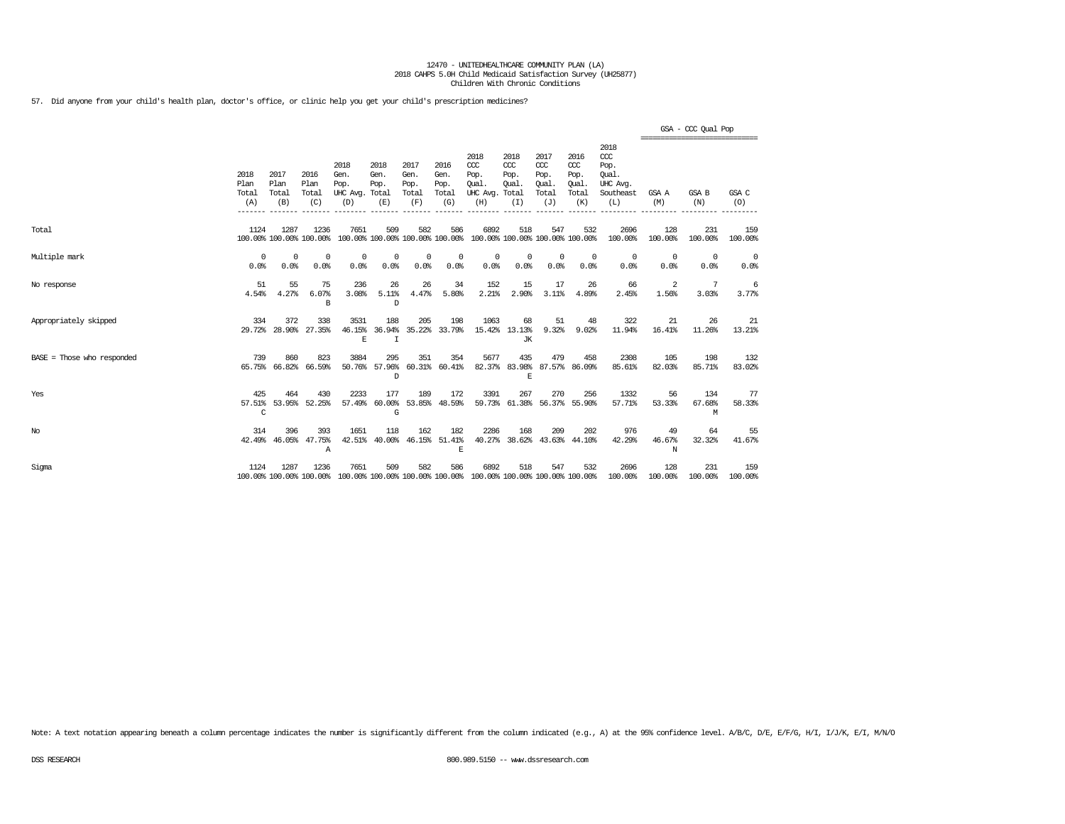57. Did anyone from your child's health plan, doctor's office, or clinic help you get your child's prescription medicines?

|                              |                              |                              |                                  |                                                                                                 |                             |                                      |                                      |                                                                         |                                     |                                              |                                              |                                                              | ------------------------------- | GSA - CCC Qual Pop |                    |
|------------------------------|------------------------------|------------------------------|----------------------------------|-------------------------------------------------------------------------------------------------|-----------------------------|--------------------------------------|--------------------------------------|-------------------------------------------------------------------------|-------------------------------------|----------------------------------------------|----------------------------------------------|--------------------------------------------------------------|---------------------------------|--------------------|--------------------|
|                              | 2018<br>Plan<br>Total<br>(A) | 2017<br>Plan<br>Total<br>(B) | 2016<br>Plan<br>Total<br>(C)     | 2018<br>Gen.<br>Pop.<br>UHC Avg. Total<br>(D)                                                   | 2018<br>Gen.<br>Pop.<br>(E) | 2017<br>Gen.<br>Pop.<br>Total<br>(F) | 2016<br>Gen.<br>Pop.<br>Total<br>(G) | 2018<br>CCC<br>Pop.<br>Oual.<br>UHC Avg. Total<br>(H)                   | 2018<br>CCC<br>Pop.<br>Oual.<br>(I) | 2017<br>ccc<br>Pop.<br>Oual.<br>Total<br>(J) | 2016<br>ccc<br>Pop.<br>Oual.<br>Total<br>(K) | 2018<br>ccc<br>Pop.<br>Oual.<br>UHC Avg.<br>Southeast<br>(L) | GSA A<br>(M)                    | GSA B<br>(N)       | GSA C<br>(O)       |
| Total                        | 1124                         | 1287                         | 1236<br>100.00% 100.00% 100.00%  | 7651                                                                                            | 509                         | 582                                  | 586                                  | 6892<br>100.00% 100.00% 100.00% 100.00% 100.00% 100.00% 100.00% 100.00% | 518                                 | 547                                          | 532                                          | 2696<br>100.00%                                              | 128<br>100.00%                  | 231<br>100.00%     | 159<br>100.00%     |
| Multiple mark                | $\Omega$<br>0.0%             | $\Omega$<br>0.0%             | 0<br>0.0%                        | 0<br>0.0%                                                                                       | 0<br>0.0%                   | 0<br>0.0%                            | 0<br>0.0%                            | $^{\circ}$<br>0.0%                                                      | 0<br>0.0%                           | 0<br>0.0%                                    | $^{\circ}$<br>0.0%                           | $^{\circ}$<br>0.0%                                           | $^{\circ}$<br>0.0%              | $^{\circ}$<br>0.0% | $^{\circ}$<br>0.0% |
| No response                  | 51<br>4.54%                  | 55<br>4.27%                  | 75<br>6.07%<br>B                 | 236<br>3.08%                                                                                    | 26<br>5.11%<br>D            | 26<br>4.47%                          | 34<br>5.80%                          | 152<br>2.21%                                                            | 15<br>2.90%                         | 17<br>3.11%                                  | 26<br>4.89%                                  | 66<br>2.45%                                                  | 2<br>1.56%                      | 7<br>3.03%         | 6<br>3.77%         |
| Appropriately skipped        | 334                          | 372<br>29.72% 28.90%         | 338<br>27.35%                    | 3531<br>46.15%<br>E                                                                             | 188<br>36.94%<br>I          | 205<br>35.22%                        | 198<br>33.79%                        | 1063                                                                    | 68<br>15.42% 13.13%<br>JК           | 51<br>9.32%                                  | 48<br>9.02%                                  | 322<br>11.94%                                                | 21<br>16.41%                    | 26<br>11.26%       | 21<br>13.21%       |
| $BASE = Those who responded$ | 739                          | 860<br>65.75% 66.82%         | 823<br>66.59%                    | 3884                                                                                            | 295<br>50.76% 57.96%<br>D   | 351                                  | 354<br>60.31% 60.41%                 | 5677                                                                    | 435<br>82.37% 83.98%<br>F.          | 479                                          | 458<br>87.57% 86.09%                         | 2308<br>85.61%                                               | 105<br>82.03%                   | 198<br>85.71%      | 132<br>83.02%      |
| Yes                          | 425<br>C                     | 464                          | 430<br>57.51% 53.95% 52.25%      | 2233<br>57.49%                                                                                  | 177<br>G                    | 189                                  | 172<br>60.00% 53.85% 48.59%          | 3391                                                                    | 267                                 | 270                                          | 256<br>59.73% 61.38% 56.37% 55.90%           | 1332<br>57.71%                                               | 56<br>53.33%                    | 134<br>67.68%<br>М | -77<br>58.33%      |
| No                           | 314                          | 396                          | 393<br>42.49% 46.05% 47.75%<br>A | 1651<br>42.51%                                                                                  | 118<br>40.00%               | 162                                  | 182<br>46.15% 51.41%<br>E            | 2286                                                                    | 168                                 | 209                                          | 202<br>40.27% 38.62% 43.63% 44.10%           | 976<br>42.29%                                                | 49<br>46.67%<br>N               | 64<br>32.32%       | 55<br>41.67%       |
| Sigma                        | 1124                         | 1287                         | 1236                             | 7651<br>100.00% 100.00% 100.00% 100.00% 100.00% 100.00% 100.00% 100.00% 100.00% 100.00% 100.00% | 509                         | 582                                  | 586                                  | 6892                                                                    | 518                                 | 547                                          | 532                                          | 2696<br>100.00%                                              | 128<br>100.00%                  | 231<br>100.00%     | 159<br>100.00%     |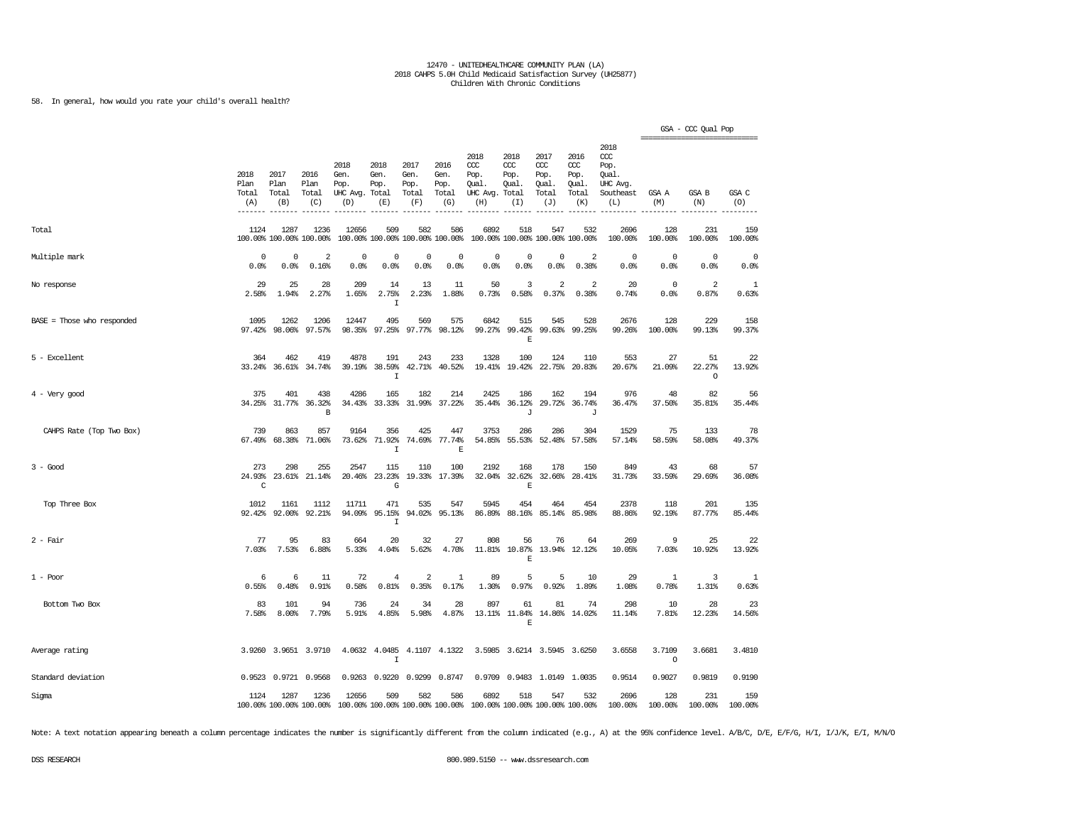58. In general, how would you rate your child's overall health?

|                              |                              |                                 |                                 |                                               |                                        |                                      |                                      |                                                                         |                                     |                                              |                                                   |                                                                   |                     | GSA - CCC Qual Pop      |                     |
|------------------------------|------------------------------|---------------------------------|---------------------------------|-----------------------------------------------|----------------------------------------|--------------------------------------|--------------------------------------|-------------------------------------------------------------------------|-------------------------------------|----------------------------------------------|---------------------------------------------------|-------------------------------------------------------------------|---------------------|-------------------------|---------------------|
|                              | 2018<br>Plan<br>Total<br>(A) | 2017<br>Plan<br>Total<br>(B)    | 2016<br>Plan<br>Total<br>(C)    | 2018<br>Gen.<br>Pop.<br>UHC Avg. Total<br>(D) | 2018<br>Gen.<br>Pop.<br>(E)            | 2017<br>Gen.<br>Pop.<br>Total<br>(F) | 2016<br>Gen.<br>Pop.<br>Total<br>(G) | 2018<br>$CC$<br>Pop.<br>Qual.<br>UHC Avg. Total<br>(H)                  | 2018<br>CCC<br>Pop.<br>Oual.<br>(I) | 2017<br>ccc<br>Pop.<br>Qual.<br>Total<br>(J) | 2016<br>$\alpha$<br>Pop.<br>Qual.<br>Total<br>(K) | 2018<br>$\alpha$<br>Pop.<br>Qual.<br>UHC Avg.<br>Southeast<br>(L) | GSA A<br>(M)        | GSA B<br>(N)            | GSA C<br>(0)        |
| Total                        | 1124                         | 1287<br>100.00% 100.00% 100.00% | 1236                            | 12656                                         | 509<br>100.00% 100.00% 100.00% 100.00% | 582                                  | 586                                  | 6892                                                                    | 518                                 | 547<br>100.00% 100.00% 100.00% 100.00%       | 532                                               | 2696<br>100.00%                                                   | 128<br>100.00%      | 231<br>100.00%          | 159<br>100.00%      |
| Multiple mark                | 0<br>0.0%                    | $\mathbf 0$<br>0.0%             | 2<br>0.16%                      | 0<br>0.0%                                     | 0<br>0.0%                              | 0<br>0.0%                            | 0<br>0.0%                            | 0<br>0.0%                                                               | $\mathbf 0$<br>0.0%                 | 0<br>0.0%                                    | 2<br>0.38%                                        | $\mathbf 0$<br>0.0%                                               | $\mathbf 0$<br>0.0% | $\circ$<br>0.0%         | $\mathbf 0$<br>0.0% |
| No response                  | 29<br>2.58%                  | 25<br>1.94%                     | 28<br>2.27%                     | 209<br>1.65%                                  | 14<br>2.75%<br>$\mathbf I$             | 13<br>2.23%                          | 11<br>1.88%                          | 50<br>0.73%                                                             | 3<br>0.58%                          | $\sqrt{2}$<br>0.37%                          | 2<br>0.38%                                        | 20<br>0.74%                                                       | $\circ$<br>0.0%     | $\overline{2}$<br>0.87% | 1<br>0.63%          |
| $BASE = Those who responded$ | 1095<br>97.42%               | 1262<br>98.06%                  | 1206<br>97.57%                  | 12447<br>98.35%                               | 495<br>97.25%                          | 569<br>97.77%                        | 575<br>98.12%                        | 6842<br>99.27%                                                          | 515<br>99.42%<br>E                  | 545<br>99.63%                                | 528<br>99.25%                                     | 2676<br>99.26%                                                    | 128<br>100.00%      | 229<br>99.13%           | 158<br>99.37%       |
| 5 - Excellent                | 364                          | 462<br>33.24% 36.61% 34.74%     | 419                             | 4878                                          | 191<br>39.19% 38.59%<br>$\mathbf I$    | 243                                  | 233<br>42.71% 40.52%                 | 1328                                                                    | 100<br>19.41% 19.42%                | 124                                          | 110<br>22.75% 20.83%                              | 553<br>20.67%                                                     | 27<br>21.09%        | 51<br>22.27%<br>$\circ$ | 22<br>13.92%        |
| $4$ - Very good              | 375<br>34.25%                | 401<br>31.77%                   | 438<br>36.32%<br>$\, {\bf B}$   | 4286<br>34.43%                                | 165<br>33.33%                          | 182<br>31.99%                        | 214<br>37.22%                        | 2425<br>35.44%                                                          | 186<br>36.12%<br>J                  | 162<br>29.72%                                | 194<br>36.74%<br>J                                | 976<br>36.47%                                                     | 48<br>37.50%        | 82<br>35.81%            | 56<br>35.44%        |
| CAHPS Rate (Top Two Box)     | 739<br>67.49%                | 863<br>68.38%                   | 857<br>71.06%                   | 9164<br>73.62%                                | 356<br>71.92%<br>$\mathbf I$           | 425<br>74.69%                        | 447<br>77.74%<br>E                   | 3753<br>54.85%                                                          | 286                                 | 286<br>55.53% 52.48%                         | 304<br>57.58%                                     | 1529<br>57.14%                                                    | 75<br>58.59%        | 133<br>58.08%           | 78<br>49.37%        |
| $3 - Good$                   | 273<br>24.93%<br>C           | 298<br>23.61%                   | 255<br>21.14%                   | 2547<br>20.46%                                | 115<br>23.23%<br>G                     | 110                                  | 100<br>19.33% 17.39%                 | 2192<br>32.04%                                                          | 168<br>32.62%<br>E                  | 178<br>32.66%                                | 150<br>28.41%                                     | 849<br>31.73%                                                     | 43<br>33.59%        | 68<br>29.69%            | 57<br>36.08%        |
| Top Three Box                | 1012<br>92.42%               | 1161<br>92.00%                  | 1112<br>92.21%                  | 11711<br>94.09%                               | 471<br>95.15%<br>$\mathbf I$           | 535<br>94.02%                        | 547<br>95.13%                        | 5945<br>86.89%                                                          | 454<br>88.16%                       | 464<br>85.14%                                | 454<br>85.98%                                     | 2378<br>88.86%                                                    | 118<br>92.19%       | 201<br>87.77%           | 135<br>85.44%       |
| $2$ - Fair                   | 77<br>7.03%                  | 95<br>7.53%                     | 83<br>6.88%                     | 664<br>5.33%                                  | 20<br>4.04%                            | 32<br>5.62%                          | 27<br>4.70%                          | 808<br>11.81%                                                           | 56<br>10.87%<br>$\mathbb E$         | 76<br>13.94%                                 | 64<br>12.12%                                      | 269<br>10.05%                                                     | 9<br>7.03%          | 25<br>10.92%            | 22<br>13.92%        |
| $1 - Poor$                   | 6<br>0.55%                   | 6<br>0.48%                      | 11<br>0.91%                     | 72<br>0.58%                                   | 4<br>0.81%                             | $\overline{a}$<br>0.35%              | $\mathbf{1}$<br>0.17%                | 89<br>1.30%                                                             | 5<br>0.97%                          | 5<br>0.92%                                   | 10<br>1.89%                                       | 29<br>1.08%                                                       | -1<br>0.78%         | 3<br>1.31%              | -1<br>0.63%         |
| Bottom Two Box               | 83<br>7.58%                  | 101<br>8.00%                    | 94<br>7.79%                     | 736<br>5.91%                                  | 24<br>4.85%                            | 34<br>5.98%                          | 28<br>4.87%                          | 897<br>13.11%                                                           | 61<br>11.84%<br>$\mathbb E$         | 81                                           | 74<br>14.86% 14.02%                               | 298<br>11.14%                                                     | 10<br>7.81%         | 28<br>12.23%            | 23<br>14.56%        |
| Average rating               |                              | 3.9260 3.9651 3.9710            |                                 |                                               | 4.0632 4.0485<br>$\mathbbm{1}$         |                                      | 4.1107 4.1322                        |                                                                         |                                     | 3.5985 3.6214 3.5945 3.6250                  |                                                   | 3.6558                                                            | 3.7109<br>$\circ$   | 3.6681                  | 3.4810              |
| Standard deviation           |                              | 0.9523 0.9721 0.9568            |                                 |                                               | 0.9263 0.9220                          | 0.9299                               | 0.8747                               |                                                                         |                                     | 0.9709 0.9483 1.0149 1.0035                  |                                                   | 0.9514                                                            | 0.9027              | 0.9819                  | 0.9190              |
| Sigma                        | 1124                         | 1287                            | 1236<br>100.00% 100.00% 100.00% | 12656                                         | 509                                    | 582                                  | 586                                  | 6892<br>100.00% 100.00% 100.00% 100.00% 100.00% 100.00% 100.00% 100.00% | 518                                 | 547                                          | 532                                               | 2696<br>100.00%                                                   | 128<br>100.00%      | 231<br>100.00%          | 159<br>100.00%      |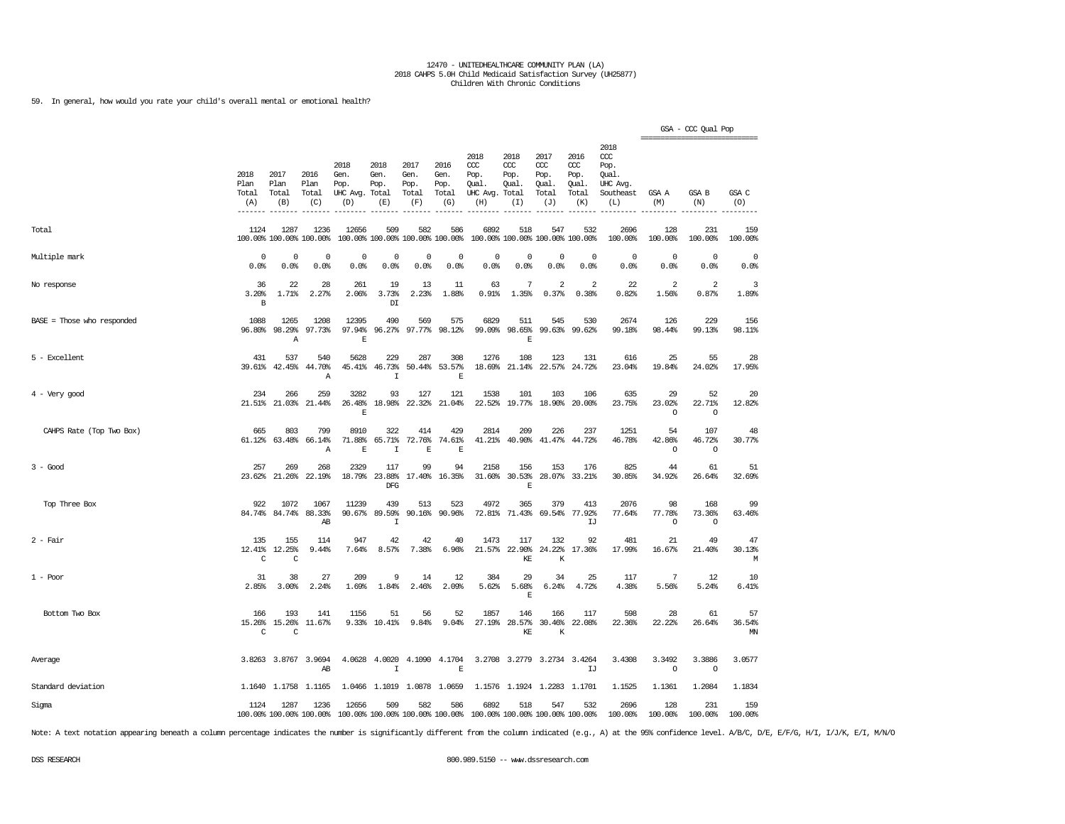59. In general, how would you rate your child's overall mental or emotional health?

|                              |                              |                                    |                                 |                                          |                                       |                                        |                                      |                                                       |                                        |                                             |                                              |                                                                   | ------------------------------- | GSA - CCC Qual Pop               |                     |
|------------------------------|------------------------------|------------------------------------|---------------------------------|------------------------------------------|---------------------------------------|----------------------------------------|--------------------------------------|-------------------------------------------------------|----------------------------------------|---------------------------------------------|----------------------------------------------|-------------------------------------------------------------------|---------------------------------|----------------------------------|---------------------|
|                              | 2018<br>Plan<br>Total<br>(A) | 2017<br>Plan<br>Total<br>(B)       | 2016<br>Plan<br>Total<br>(C)    | 2018<br>Gen.<br>Pop.<br>UHC Avg.<br>(D)  | 2018<br>Gen.<br>Pop.<br>Total<br>(E)  | 2017<br>Gen.<br>Pop.<br>Total<br>(F)   | 2016<br>Gen.<br>Pop.<br>Total<br>(G) | 2018<br>ccc<br>Pop.<br>Qual.<br>UHC Avg. Total<br>(H) | 2018<br>ccc<br>Pop.<br>Oual.<br>(I)    | 2017<br>ccc<br>Pop.<br>Qual<br>Total<br>(J) | 2016<br>ccc<br>Pop.<br>Qual.<br>Total<br>(K) | 2018<br>$\alpha$<br>Pop.<br>Oual.<br>UHC Avg.<br>Southeast<br>(L) | GSA A<br>(M)                    | GSA B<br>(N)                     | GSA C<br>(0)        |
| Total                        | 1124                         | 1287<br>100.00% 100.00% 100.00%    | 1236                            | 12656                                    | 509                                   | 582<br>100.00% 100.00% 100.00% 100.00% | 586                                  | 6892                                                  | 518<br>100.00% 100.00% 100.00% 100.00% | 547                                         | 532                                          | 2696<br>100.00%                                                   | 128<br>100.00%                  | 231<br>100.00%                   | 159<br>100.00%      |
| Multiple mark                | 0<br>0.0%                    | $\mathbf 0$<br>0.0%                | 0<br>0.0%                       | 0<br>0.0%                                | 0<br>0.0%                             | $\mathbf 0$<br>0.0%                    | 0<br>0.0%                            | $\Omega$<br>0.0%                                      | $\mathbf 0$<br>0.0%                    | $\mathbf 0$<br>0.0%                         | $\mathbf 0$<br>0.0%                          | $\mathbf 0$<br>0.0%                                               | $\mathbf 0$<br>0.0%             | $\mathbf 0$<br>0.0%              | $\mathbf 0$<br>0.0% |
| No response                  | 36<br>3.20%<br>$\, {\bf B}$  | 22<br>1.71%                        | 28<br>2.27%                     | 261<br>2.06%                             | 19<br>3.73%<br>$\mathbb{D}\mathbb{I}$ | 13<br>2.23%                            | 11<br>1.88%                          | 63<br>0.91%                                           | $\overline{7}$<br>1.35%                | $\overline{2}$<br>0.37%                     | 2<br>0.38%                                   | 22<br>0.82%                                                       | 2<br>1.56%                      | $\overline{\mathbf{2}}$<br>0.87% | 3<br>1.89%          |
| $BASE = Those who responded$ | 1088<br>96.80%               | 1265<br>98.29%<br>$\boldsymbol{A}$ | 1208<br>97.73%                  | 12395<br>97.94%<br>$\mathbf E$           | 490<br>96.27%                         | 569<br>97.77%                          | 575<br>98.12%                        | 6829<br>99.09%                                        | 511<br>98.65%<br>$\mathbf E$           | 545                                         | 530<br>99.63% 99.62%                         | 2674<br>99.18%                                                    | 126<br>98.44%                   | 229<br>99.13%                    | 156<br>98.11%       |
| 5 - Excellent                | 431<br>39.61%                | 537<br>42.45%                      | 540<br>44.70%<br>$\mathbb{A}$   | 5628<br>45.41%                           | 229<br>46.73%<br>$\mathbf I$          | 287<br>50.44%                          | 308<br>53.57%<br>$\mathbf E$         | 1276<br>18.69%                                        | 108<br>21.14%                          | 123<br>22.57%                               | 131<br>24.72%                                | 616<br>23.04%                                                     | 25<br>19.84%                    | 55<br>24.02%                     | 28<br>17.95%        |
| $4$ - Very good              | 234<br>21.51%                | 266<br>21.03%                      | 259<br>21.44%                   | 3282<br>26.48%<br>$\mathbf{E}$           | 93<br>18.98%                          | 127<br>22.32%                          | 121<br>21.04%                        | 1538<br>22.52%                                        | 101                                    | 103<br>19.77% 18.90%                        | 106<br>20.00%                                | 635<br>23.75%                                                     | 29<br>23.02%<br>$\circ$         | 52<br>22.71%<br>$\circ$          | 20<br>12.82%        |
| CAHPS Rate (Top Two Box)     | 665<br>61.12%                | 803<br>63.48%                      | 799<br>66.14%<br>Α              | 8910<br>71.88%<br>$\mathbf E$            | 322<br>65.71%<br>$\mathbf I$          | 414<br>72.76%<br>$\mathbf E$           | 429<br>74.61%<br>$\mathbf E$         | 2814<br>41.21%                                        | 209<br>40.90%                          | 226<br>41.47%                               | 237<br>44.72%                                | 1251<br>46.78%                                                    | 54<br>42.86%<br>$\circ$         | 107<br>46.72%<br>$\circ$         | 48<br>30.77%        |
| $3 - Good$                   | 257<br>23.62%                | 269<br>21.26%                      | 268<br>22.19%                   | 2329<br>18.79%                           | 117<br>23.88%<br>DFG                  | 99<br>17.40%                           | 94<br>16.35%                         | 2158<br>31.60%                                        | 156<br>30.53%<br>E                     | 153<br>28.07%                               | 176<br>33.21%                                | 825<br>30.85%                                                     | 44<br>34.92%                    | 61<br>26.64%                     | 51<br>32.69%        |
| Top Three Box                | 922<br>84.74%                | 1072<br>84.74%                     | 1067<br>88.33%<br>AВ            | 11239<br>90.67%                          | 439<br>89.59%<br>I                    | 513<br>90.16%                          | 523<br>90.96%                        | 4972<br>72.81%                                        | 365<br>71.43%                          | 379<br>69.54%                               | 413<br>77.92%<br>IJ                          | 2076<br>77.64%                                                    | 98<br>77.78%<br>$\circ$         | 168<br>73.36%<br>$\circ$         | 99<br>63.46%        |
| $2$ - Fair                   | 135<br>12.41%<br>C           | 155<br>12.25%<br>C                 | 114<br>9.44%                    | 947<br>7.64%                             | 42<br>8.57%                           | 42<br>7.38%                            | 40<br>6.96%                          | 1473                                                  | 117<br>21.57% 22.90%<br>KE             | 132<br>24.22%<br>K                          | 92<br>17.36%                                 | 481<br>17.99%                                                     | 21<br>16.67%                    | 49<br>21.40%                     | 47<br>30.13%<br>М   |
| $1 - Poor$                   | 31<br>2.85%                  | 38<br>3.00%                        | 27<br>2.24%                     | 209<br>1.69%                             | 9<br>1.84%                            | 14<br>2.46%                            | 12<br>2.09%                          | 384<br>5.62%                                          | 29<br>5.68%<br>$\mathbf E$             | 34<br>6.24%                                 | 25<br>4.72%                                  | 117<br>4.38%                                                      | 7<br>5.56%                      | 12<br>5.24%                      | 10<br>6.41%         |
| Bottom Two Box               | 166<br>15.26%<br>C           | 193<br>15.26%<br>C                 | 141<br>11.67%                   | 1156<br>9.33%                            | 51<br>10.41%                          | 56<br>9.84%                            | 52<br>9.04%                          | 1857<br>27.19%                                        | 146<br>28.57%<br>KE                    | 166<br>30.46%<br>К                          | 117<br>22.08%                                | 598<br>22.36%                                                     | 28<br>22.22%                    | 61<br>26.64%                     | 57<br>36.54%<br>MN  |
| Average                      |                              | 3.8263 3.8767 3.9694               | AB                              | 4.0628                                   | 4.0020<br>I                           |                                        | 4.1090 4.1704<br>E                   |                                                       | 3.2708 3.2779                          | 3.2734 3.4264                               | IJ                                           | 3.4308                                                            | 3.3492<br>$\circ$               | 3.3886<br>$\circ$                | 3.0577              |
| Standard deviation           |                              | 1.1640 1.1758 1.1165               |                                 |                                          |                                       | 1.0466 1.1019 1.0878 1.0659            |                                      |                                                       | 1.1576 1.1924 1.2283 1.1701            |                                             |                                              | 1.1525                                                            | 1.1361                          | 1.2084                           | 1.1834              |
| Sigma                        | 1124                         | 1287                               | 1236<br>100.00% 100.00% 100.00% | 12656<br>100.00% 100.00% 100.00% 100.00% | 509                                   | 582                                    | 586                                  | 6892<br>100.00% 100.00% 100.00% 100.00%               | 518                                    | 547                                         | 532                                          | 2696<br>100.00%                                                   | 128<br>100.00%                  | 231<br>100.00%                   | 159<br>100.00%      |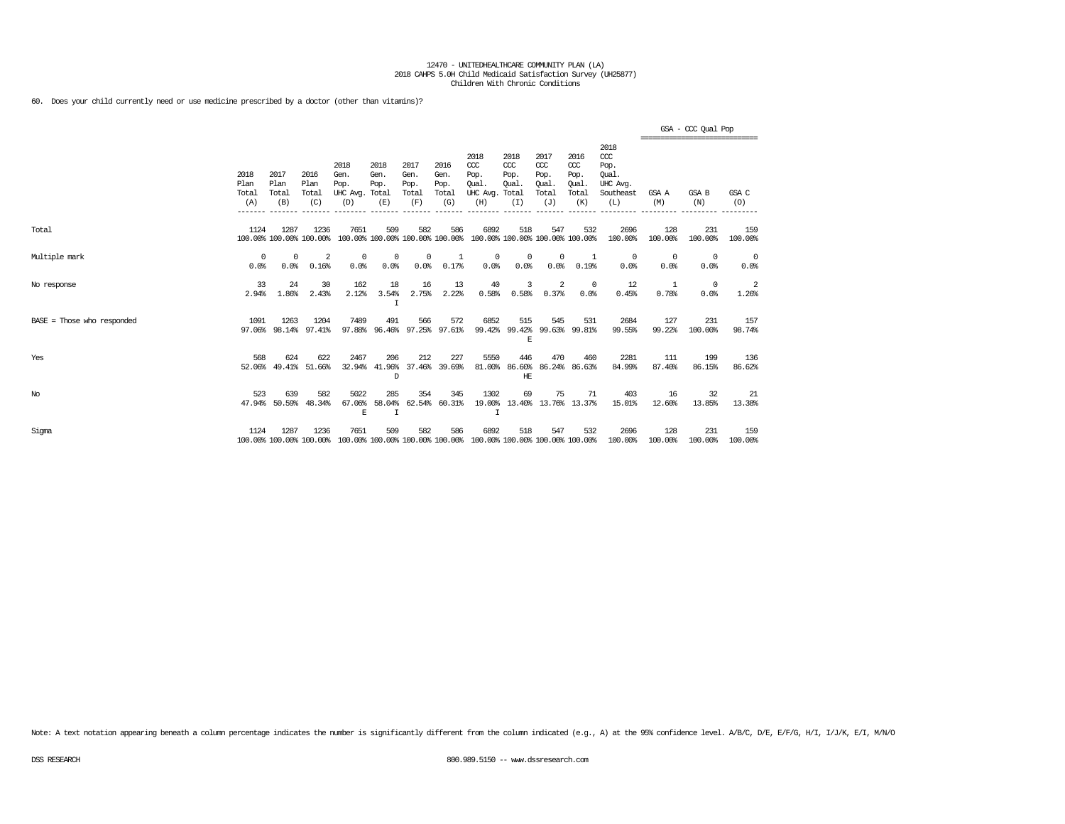60. Does your child currently need or use medicine prescribed by a doctor (other than vitamins)?

|                              |                              |                              |                                 |                                         |                                        |                                      |                                      |                                                                                         |                                               |                                                   |                                              |                                                                   | ----------------------------- | GSA - CCC Qual Pop  |                |
|------------------------------|------------------------------|------------------------------|---------------------------------|-----------------------------------------|----------------------------------------|--------------------------------------|--------------------------------------|-----------------------------------------------------------------------------------------|-----------------------------------------------|---------------------------------------------------|----------------------------------------------|-------------------------------------------------------------------|-------------------------------|---------------------|----------------|
|                              | 2018<br>Plan<br>Total<br>(A) | 2017<br>Plan<br>Total<br>(B) | 2016<br>Plan<br>Total<br>(C)    | 2018<br>Gen.<br>Pop.<br>UHC Avg.<br>(D) | 2018<br>Gen.<br>Pop.<br>Total<br>(E)   | 2017<br>Gen.<br>Pop.<br>Total<br>(F) | 2016<br>Gen.<br>Pop.<br>Total<br>(G) | 2018<br>$CC$<br>Pop.<br>Oual.<br>UHC Avg.<br>(H)                                        | 2018<br>$CC$<br>Pop.<br>Oual.<br>Total<br>(I) | 2017<br>$\alpha$<br>Pop.<br>Oual.<br>Total<br>(J) | 2016<br>ccc<br>Pop.<br>Oual.<br>Total<br>(K) | 2018<br>$\alpha$<br>Pop.<br>Oual.<br>UHC Avg.<br>Southeast<br>(L) | GSA A<br>(M)                  | <b>GSA B</b><br>(N) | GSA C<br>(0)   |
| Total                        | 1124                         | 1287                         | 1236<br>100.00% 100.00% 100.00% | 7651                                    | 509<br>100.00% 100.00% 100.00% 100.00% | 582                                  | 586                                  | 6892<br>100.00% 100.00% 100.00% 100.00%                                                 | 518                                           | 547                                               | 532                                          | 2696<br>100.00%                                                   | 128<br>100.00%                | 231<br>100.00%      | 159<br>100.00% |
| Multiple mark                | 0<br>0.0%                    | 0<br>0.0%                    | -2<br>0.16%                     | $^{\circ}$<br>0.0%                      | $^{\circ}$<br>0.0%                     | $^{\circ}$<br>0.0%                   | -1<br>0.17%                          | $^{\circ}$<br>0.0%                                                                      | $^{\circ}$<br>0.0%                            | $^{\circ}$<br>0.0%                                | 1<br>0.19%                                   | $^{\circ}$<br>0.0%                                                | $\Omega$<br>0.0%              | $^{\circ}$<br>0.0%  | 0<br>0.0%      |
| No response                  | 33<br>2.94%                  | 24<br>1.86%                  | 30<br>2.43%                     | 162<br>2.12%                            | 18<br>3.54%<br>I                       | 16<br>2.75%                          | 13<br>2.22%                          | 40<br>0.58%                                                                             | 3<br>0.58%                                    | 2<br>0.37%                                        | $^{\circ}$<br>0.0%                           | 12<br>0.45%                                                       | -1<br>0.78%                   | $^{\circ}$<br>0.0%  | -2<br>1.26%    |
| $BASE = Those who responded$ | 1091<br>97.06%               | 1263<br>98.14%               | 1204<br>97.41%                  | 7489<br>97.88%                          | 491<br>96.46%                          | 566<br>97.25%                        | 572<br>97.61%                        | 6852<br>99.42%                                                                          | 515<br>99.42%<br>E                            | 545<br>99.63%                                     | 531<br>99.81%                                | 2684<br>99.55%                                                    | 127<br>99.22%                 | 231<br>100.00%      | 157<br>98.74%  |
| Yes                          | 568<br>52.06%                | 624<br>49.41%                | 622<br>51.66%                   | 2467<br>32.94%                          | 206<br>41.96%<br>D                     | 212<br>37.46%                        | 227<br>39.69%                        | 5550<br>81.00%                                                                          | 446<br>HE                                     | 470<br>86.60% 86.24%                              | 460<br>86.63%                                | 2281<br>84.99%                                                    | 111<br>87.40%                 | 199<br>86.15%       | 136<br>86.62%  |
| No                           | 523                          | 639<br>47.94% 50.59%         | 582<br>48.34%                   | 5022<br>67.06%<br>E                     | 285<br>58.04%<br>$\mathbf I$           | 354<br>62.54%                        | 345<br>60.31%                        | 1302<br>19.00%<br>$\top$                                                                | 69                                            | 75<br>13.40% 13.76% 13.37%                        | 71                                           | 403<br>15.01%                                                     | 16<br>12.60%                  | 32<br>13.85%        | 21<br>13.38%   |
| Sigma                        | 1124                         | 1287                         | 1236                            | 7651                                    | 509                                    | 582                                  | 586                                  | 6892<br>100.00% 100.00% 100.00% 100.00% 100.00% 100.00% 100.00% 100.00% 100.00% 100.00% | 518                                           | 547                                               | 532                                          | 2696<br>100.00%                                                   | 128<br>100.00%                | 231<br>100.00%      | 159<br>100.00% |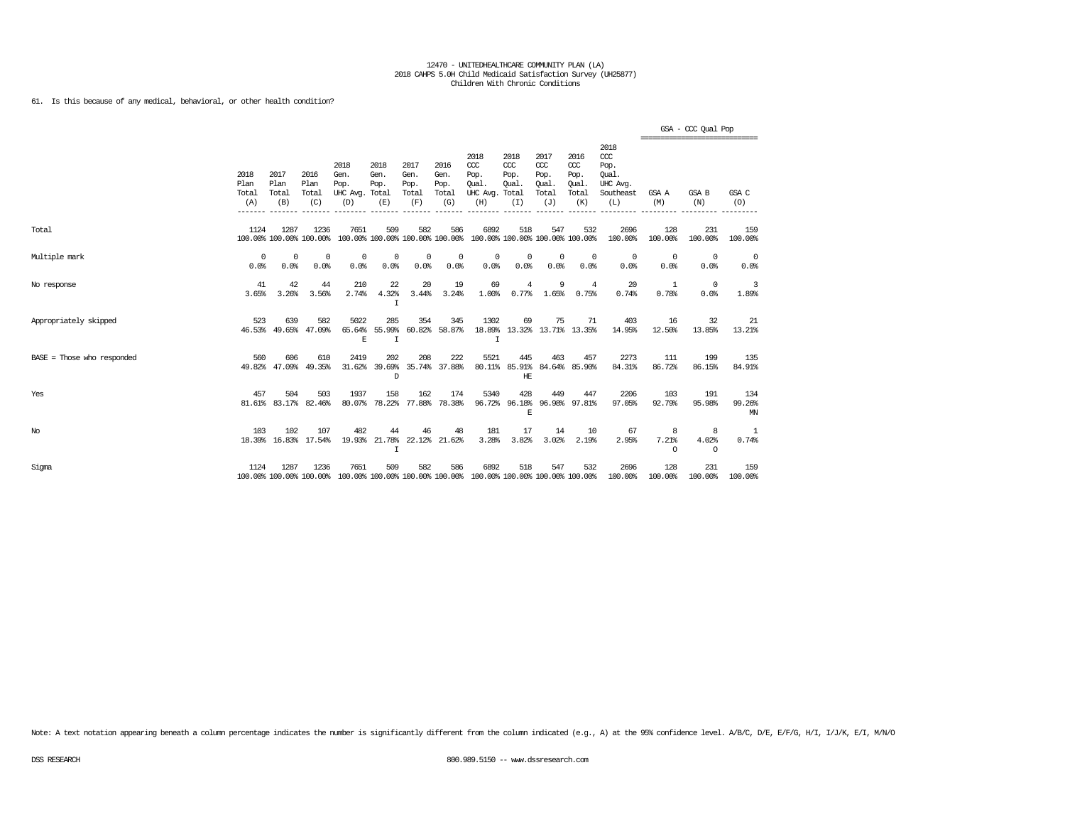61. Is this because of any medical, behavioral, or other health condition?

|                            |                              |                              |                                 |                                                                                                 |                             |                                      |                                      |                                                                         |                                               |                                                   |                                              |                                                                   | ============================== | GSA - CCC Qual Pop    |                     |
|----------------------------|------------------------------|------------------------------|---------------------------------|-------------------------------------------------------------------------------------------------|-----------------------------|--------------------------------------|--------------------------------------|-------------------------------------------------------------------------|-----------------------------------------------|---------------------------------------------------|----------------------------------------------|-------------------------------------------------------------------|--------------------------------|-----------------------|---------------------|
|                            | 2018<br>Plan<br>Total<br>(A) | 2017<br>Plan<br>Total<br>(B) | 2016<br>Plan<br>Total<br>(C)    | 2018<br>Gen.<br>Pop.<br>UHC Avg. Total<br>(D)                                                   | 2018<br>Gen.<br>Pop.<br>(E) | 2017<br>Gen.<br>Pop.<br>Total<br>(F) | 2016<br>Gen.<br>Pop.<br>Total<br>(G) | 2018<br>CCC<br>Pop.<br>Oual.<br>UHC Avg.<br>(H)                         | 2018<br>$CC$<br>Pop.<br>Qual.<br>Total<br>(I) | 2017<br>$\alpha$<br>Pop.<br>Oual.<br>Total<br>(J) | 2016<br>ccc<br>Pop.<br>Qual.<br>Total<br>(K) | 2018<br>$\alpha$<br>Pop.<br>Oual.<br>UHC Avg.<br>Southeast<br>(L) | GSA A<br>(M)                   | GSA B<br>(N)          | GSA C<br>(O)        |
| Total                      | 1124                         | 1287                         | 1236<br>100.00% 100.00% 100.00% | 7651                                                                                            | 509                         | 582                                  | 586                                  | 6892<br>100.00% 100.00% 100.00% 100.00% 100.00% 100.00% 100.00% 100.00% | 518                                           | 547                                               | 532                                          | 2696<br>100.00%                                                   | 128<br>100.00%                 | 231<br>100.00%        | 159<br>100.00%      |
| Multiple mark              | $^{\circ}$<br>0.0%           | $^{\circ}$<br>0.0%           | $^{\circ}$<br>0.0%              | 0<br>0.0%                                                                                       | 0<br>0.0%                   | $^{\circ}$<br>0.0%                   | 0<br>0.0%                            | 0<br>0.0%                                                               | 0<br>0.0%                                     | $^{\circ}$<br>0.0%                                | $^{\circ}$<br>0.0%                           | 0<br>0.0%                                                         | $\overline{0}$<br>0.0%         | $^{\circ}$<br>0.0%    | 0<br>0.0%           |
| No response                | 41<br>3.65%                  | 42<br>3.26%                  | 44<br>3.56%                     | 210<br>2.74%                                                                                    | 22<br>4.32%<br>I            | 20<br>3.44%                          | 19<br>3.24%                          | 69<br>1.00%                                                             | $\overline{4}$<br>0.77%                       | 9<br>1.65%                                        | $\overline{4}$<br>0.75%                      | 20<br>0.74%                                                       | 1<br>0.78%                     | $\circ$<br>0.0%       | 3<br>1.89%          |
| Appropriately skipped      | 523                          | 639                          | 582<br>46.53% 49.65% 47.09%     | 5022<br>65.64%<br>E                                                                             | 285<br>55.99%<br>I          | 354                                  | 345<br>60.82% 58.87%                 | 1302<br>$\top$                                                          | 69                                            | 75                                                | 71<br>18.89% 13.32% 13.71% 13.35%            | 403<br>14.95%                                                     | 16<br>12.50%                   | 32<br>13.85%          | -21<br>13.21%       |
| BASE = Those who responded | 560                          | 606<br>49.82% 47.09%         | 610<br>49.35%                   | 2419<br>31.62%                                                                                  | 202<br>39.69%<br>D          | 208                                  | 222<br>35.74% 37.88%                 | 5521                                                                    | 445<br>80.11% 85.91% 84.64% 85.90%<br>HE      | 463                                               | 457                                          | 2273<br>84.31%                                                    | 111<br>86.72%                  | 199<br>86.15%         | 135<br>84.91%       |
| Yes                        | 457                          | 504                          | 503<br>81.61% 83.17% 82.46%     | 1937<br>80.07%                                                                                  | 158<br>78.22%               | 162                                  | 174<br>77.88% 78.38%                 | 5340                                                                    | 428<br>96.72% 96.18% 96.98% 97.81%<br>E       | 449                                               | 447                                          | 2206<br>97.05%                                                    | 103<br>92.79%                  | 191<br>95.98%         | 134<br>99.26%<br>MN |
| $_{\mathrm{No}}$           | 103                          | 102                          | 107<br>18.39% 16.83% 17.54%     | 482<br>19.93%                                                                                   | 44<br>21.78%<br>I           | 46                                   | 48<br>22.12% 21.62%                  | 181<br>3.28%                                                            | 17<br>3.82%                                   | 14<br>3.02%                                       | 10<br>2.19%                                  | 67<br>2.95%                                                       | 8<br>7.21%<br>$\circ$          | 8<br>4.02%<br>$\circ$ | 1<br>0.74%          |
| Sigma                      | 1124                         | 1287                         | 1236                            | 7651<br>100.00% 100.00% 100.00% 100.00% 100.00% 100.00% 100.00% 100.00% 100.00% 100.00% 100.00% | 509                         | 582                                  | 586                                  | 6892                                                                    | 518                                           | 547                                               | 532                                          | 2696<br>100.00%                                                   | 128<br>100.00%                 | 231<br>100.00%        | 159<br>100.00%      |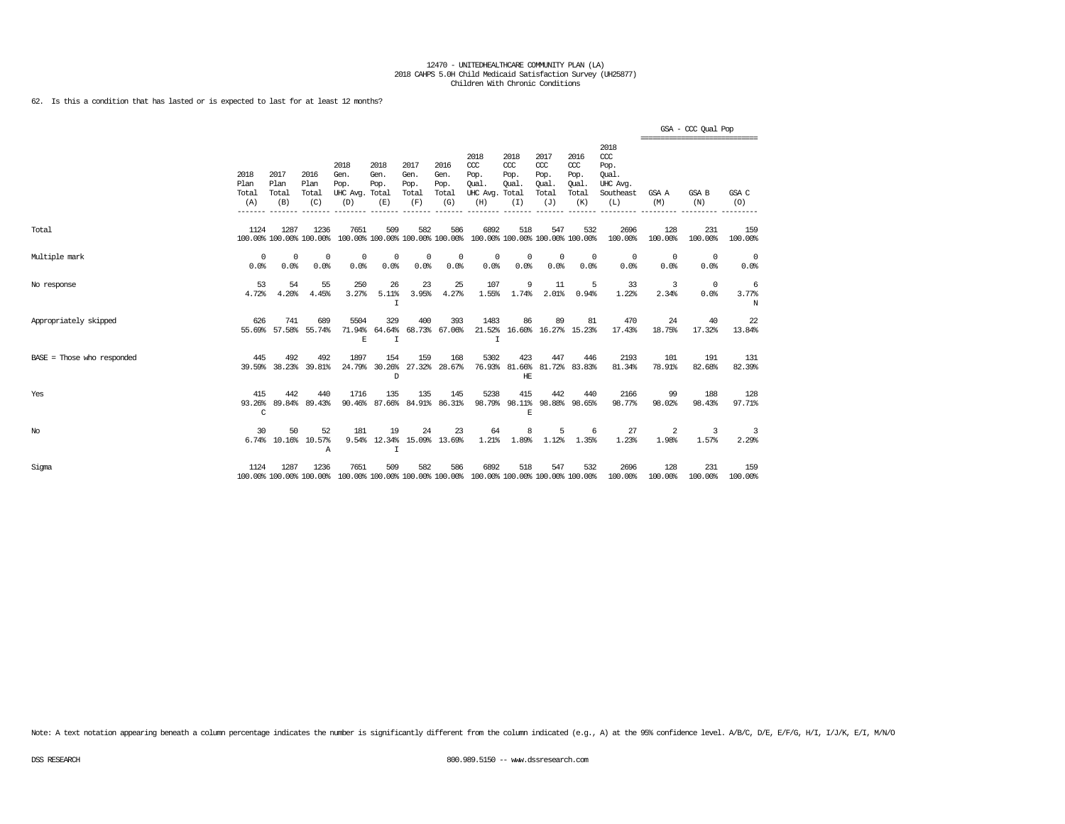62. Is this a condition that has lasted or is expected to last for at least 12 months?

|                              |                              |                              |                                 |                                               |                             |                                      |                                      |                                                                                                 |                                              |                                              |                                              |                                                              | =============================== | GSA - CCC Qual Pop |                 |
|------------------------------|------------------------------|------------------------------|---------------------------------|-----------------------------------------------|-----------------------------|--------------------------------------|--------------------------------------|-------------------------------------------------------------------------------------------------|----------------------------------------------|----------------------------------------------|----------------------------------------------|--------------------------------------------------------------|---------------------------------|--------------------|-----------------|
|                              | 2018<br>Plan<br>Total<br>(A) | 2017<br>Plan<br>Total<br>(B) | 2016<br>Plan<br>Total<br>(C)    | 2018<br>Gen.<br>Pop.<br>UHC Avg. Total<br>(D) | 2018<br>Gen.<br>Pop.<br>(E) | 2017<br>Gen.<br>Pop.<br>Total<br>(F) | 2016<br>Gen.<br>Pop.<br>Total<br>(G) | 2018<br>CCC<br>Pop.<br>Oual.<br>UHC Avg.<br>(H)                                                 | 2018<br>ccc<br>Pop.<br>Oual.<br>Total<br>(I) | 2017<br>ccc<br>Pop.<br>Oual.<br>Total<br>(J) | 2016<br>ccc<br>Pop.<br>Oual.<br>Total<br>(K) | 2018<br>ccc<br>Pop.<br>Oual.<br>UHC Avg.<br>Southeast<br>(L) | GSA A<br>(M)                    | GSA B<br>(N)       | GSA C<br>(0)    |
| Total                        | 1124                         | 1287                         | 1236<br>100.00% 100.00% 100.00% | 7651                                          | 509                         | 582                                  | 586                                  | 6892<br>100.00% 100.00% 100.00% 100.00% 100.00% 100.00% 100.00% 100.00%                         | 518                                          | 547                                          | 532                                          | 2696<br>100.00%                                              | 128<br>100.00%                  | 231<br>100.00%     | 159<br>100.00%  |
| Multiple mark                | 0<br>0.0%                    | $^{\circ}$<br>0.0%           | $^{\circ}$<br>0.0%              | 0<br>0.0%                                     | 0<br>0.0%                   | $^{\circ}$<br>0.0%                   | 0<br>0.0%                            | $\mathbf 0$<br>0.0%                                                                             | 0<br>0.0%                                    | $\circ$<br>0.0%                              | $^{\circ}$<br>0.0%                           | $^{\circ}$<br>0.0%                                           | 0<br>0.0%                       | 0<br>0.0%          | $\circ$<br>0.0% |
| No response                  | 53<br>4.72%                  | 54<br>4.20%                  | 55<br>4.45%                     | 250<br>3.27%                                  | 26<br>5.11%<br>$\mathbf I$  | 23<br>3.95%                          | 25<br>4.27%                          | 107<br>1.55%                                                                                    | 9<br>1.74%                                   | 11<br>2.01%                                  | 5<br>0.94%                                   | 33<br>1.22%                                                  | 3<br>2.34%                      | $^{\circ}$<br>0.0% | 6<br>3.77%<br>N |
| Appropriately skipped        | 626                          | 741<br>55.69% 57.58%         | 689<br>55.74%                   | 5504<br>71.94%<br>E                           | 329<br>64.64%<br>I          | 400                                  | 393<br>68.73% 67.06%                 | 1483<br>$\mathsf{T}$                                                                            | 86                                           | 89<br>21.52% 16.60% 16.27% 15.23%            | 81                                           | 470<br>17.43%                                                | 24<br>18.75%                    | 40<br>17.32%       | 22<br>13.84%    |
| $BASE = Those who responded$ | 445                          | 492<br>39.59% 38.23%         | 492<br>39.81%                   | 1897<br>24.79%                                | 154<br>30.26%<br>D          | 159<br>27.32%                        | 168<br>28.67%                        | 5302                                                                                            | 423<br>HE                                    | 447<br>76.93% 81.66% 81.72% 83.83%           | 446                                          | 2193<br>81.34%                                               | 101<br>78.91%                   | 191<br>82.68%      | 131<br>82.39%   |
| Yes                          | 415<br>93.26%<br>C           | 442<br>89.84%                | 440<br>89.43%                   | 1716<br>90.46%                                | 135                         | 135                                  | 145<br>87.66% 84.91% 86.31%          | 5238<br>98.79%                                                                                  | 415<br>98.11%<br>E                           | 442<br>98.88%                                | 440<br>98.65%                                | 2166<br>98.77%                                               | 99<br>98.02%                    | 188<br>98.43%      | 128<br>97.71%   |
| No                           | 30                           | 50<br>6.74% 10.16%           | 52<br>10.57%<br>Α               | 181<br>9.54%                                  | 19<br>$\mathbf I$           | 24                                   | 23<br>12.34% 15.09% 13.69%           | 64<br>$1.21$ $8$                                                                                | 8<br>1.89%                                   | 5<br>1.12%                                   | -6<br>1.35%                                  | 27<br>1.23%                                                  | 2<br>1.98%                      | 3<br>1.57%         | 3<br>2.29%      |
| Sigma                        | 1124                         | 1287                         | 1236                            | 7651                                          | 509                         | 582                                  | 586                                  | 6892<br>100.00% 100.00% 100.00% 100.00% 100.00% 100.00% 100.00% 100.00% 100.00% 100.00% 100.00% | 518                                          | 547                                          | 532                                          | 2696<br>100.00%                                              | 128<br>100.00%                  | 231<br>100.00%     | 159<br>100.00%  |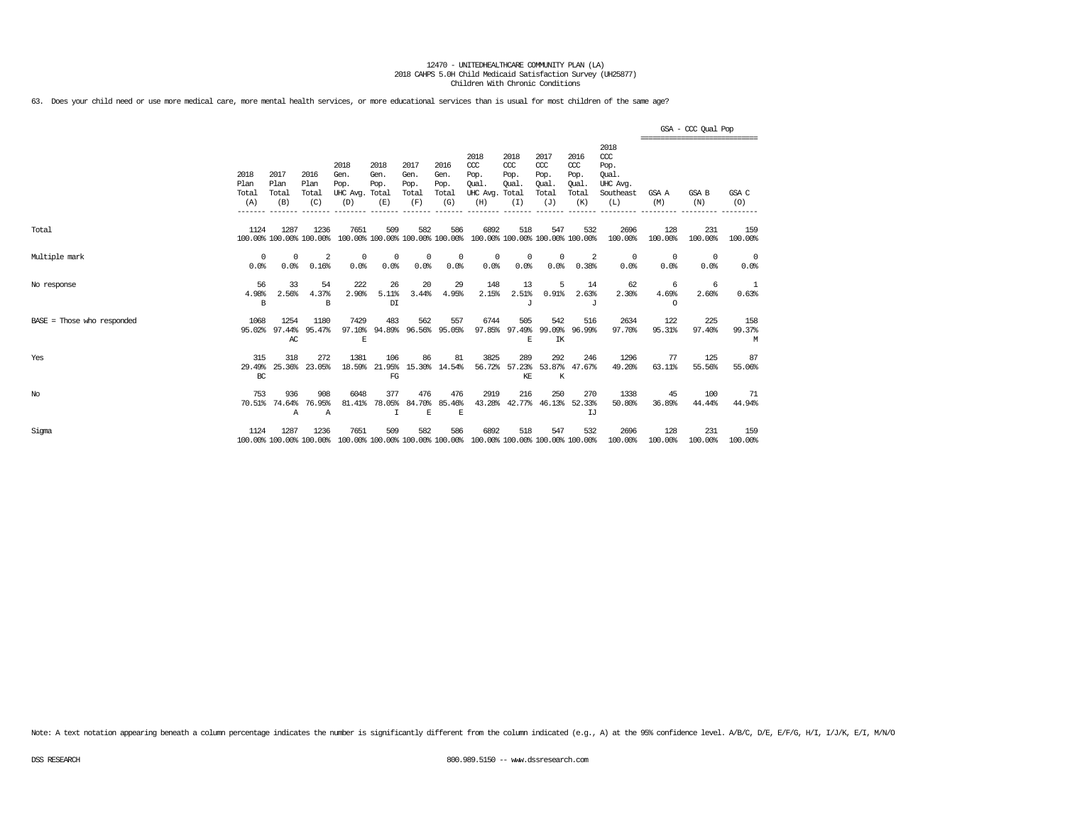63. Does your child need or use more medical care, more mental health services, or more educational services than is usual for most children of the same age?

|                            |                              |                              |                                 |                                         |                                        |                                      |                                      |                                                                         |                                              |                                                   |                                                    |                                                                   | ---------------------------- | GSA - CCC Qual Pop |                        |
|----------------------------|------------------------------|------------------------------|---------------------------------|-----------------------------------------|----------------------------------------|--------------------------------------|--------------------------------------|-------------------------------------------------------------------------|----------------------------------------------|---------------------------------------------------|----------------------------------------------------|-------------------------------------------------------------------|------------------------------|--------------------|------------------------|
|                            | 2018<br>Plan<br>Total<br>(A) | 2017<br>Plan<br>Total<br>(B) | 2016<br>Plan<br>Total<br>(C)    | 2018<br>Gen.<br>Pop.<br>UHC Avg.<br>(D) | 2018<br>Gen.<br>Pop.<br>Total<br>(E)   | 2017<br>Gen.<br>Pop.<br>Total<br>(F) | 2016<br>Gen.<br>Pop.<br>Total<br>(G) | 2018<br>$CC$<br>Pop.<br>Oual.<br>UHC Avg.<br>(H)                        | 2018<br>CCC<br>Pop.<br>Oual.<br>Total<br>(I) | 2017<br>$\alpha$<br>Pop.<br>Oual.<br>Total<br>(J) | 2016<br>ccc<br>Pop.<br><b>Oual</b><br>Total<br>(K) | 2018<br>$\alpha$<br>Pop.<br>Oual.<br>UHC Avg.<br>Southeast<br>(L) | GSA A<br>(M)                 | GSA B<br>(N)       | GSA C<br>(O)           |
| Total                      | 1124                         | 1287                         | 1236<br>100.00% 100.00% 100.00% | 7651                                    | 509<br>100.00% 100.00% 100.00% 100.00% | 582                                  | 586                                  | 6892<br>100.00% 100.00% 100.00% 100.00%                                 | 518                                          | 547                                               | 532                                                | 2696<br>100.00%                                                   | 128<br>100.00%               | 231<br>100.00%     | 159<br>100.00%         |
| Multiple mark              | $^{\circ}$<br>0.0%           | $^{\circ}$<br>0.0%           | 2<br>0.16%                      | $^{\circ}$<br>0.0%                      | $^{\circ}$<br>0.0%                     | $^{\circ}$<br>0.0%                   | $^{\circ}$<br>0.0%                   | $^{\circ}$<br>0.0%                                                      | 0<br>0.0%                                    | $\mathbf{0}$<br>0.0%                              | -2<br>0.38%                                        | $\mathbf 0$<br>0.0%                                               | $\overline{0}$<br>0.0%       | $^{\circ}$<br>0.0% | $\overline{0}$<br>0.0% |
| No response                | 56<br>4.98%<br>B             | 33<br>2.56%                  | 54<br>4.37%<br>B                | 222<br>2.90%                            | 26<br>5.11%<br>DI                      | 20<br>3.44%                          | 29<br>4.95%                          | 148<br>2.15%                                                            | 13<br>2.51%<br>J                             | 5<br>0.91%                                        | 14<br>2.63%<br>J                                   | 62<br>2.30%                                                       | 6<br>4.69%<br>$\Omega$       | -6<br>2.60%        | -1<br>0.63%            |
| BASE = Those who responded | 1068<br>95.02%               | 1254<br>97.44%<br>AC         | 1180<br>95.47%                  | 7429<br>97.10%<br>$\mathbf E$           | 483<br>94.89%                          | 562                                  | 557<br>96.56% 95.05%                 | 6744                                                                    | 505<br>97.85% 97.49% 99.09%<br>F.            | 542<br>IK                                         | 516<br>96.99%                                      | 2634<br>97.70%                                                    | 122<br>95.31%                | 225<br>97.40%      | 158<br>99.37%<br>M     |
| Yes                        | 315<br>29.49%<br>BC          | 318<br>25.36%                | 272<br>23.05%                   | 1381<br>18.59%                          | 106<br>21.95%<br>FG                    | 86                                   | 81<br>15.30% 14.54%                  | 3825<br>56.72%                                                          | 289<br>57.23%<br>KE                          | 292<br>53.87%<br>K                                | 246<br>47.67%                                      | 1296<br>49.20%                                                    | 77<br>63.11%                 | 125<br>55.56%      | 87<br>55.06%           |
| $_{\mathrm{No}}$           | 753<br>70.51%                | 936<br>74.64%<br>Α           | 908<br>76.95%<br>Α              | 6048<br>81.41%                          | 377<br>78.05%                          | 476<br>84.70%<br>E                   | 476<br>85.46%<br>E                   | 2919<br>43.28%                                                          | 216                                          | 250<br>42.77% 46.13%                              | 270<br>52.33%<br>IJ                                | 1338<br>50.80%                                                    | 45<br>36.89%                 | 100<br>44.44%      | 71<br>44.94%           |
| Sigma                      | 1124                         | 1287                         | 1236<br>100.00% 100.00% 100.00% | 7651                                    | 509                                    | 582                                  | 586                                  | 6892<br>100.00% 100.00% 100.00% 100.00% 100.00% 100.00% 100.00% 100.00% | 518                                          | 547                                               | 532                                                | 2696<br>100.00%                                                   | 128<br>100.00%               | 231<br>100.00%     | 159<br>100.00%         |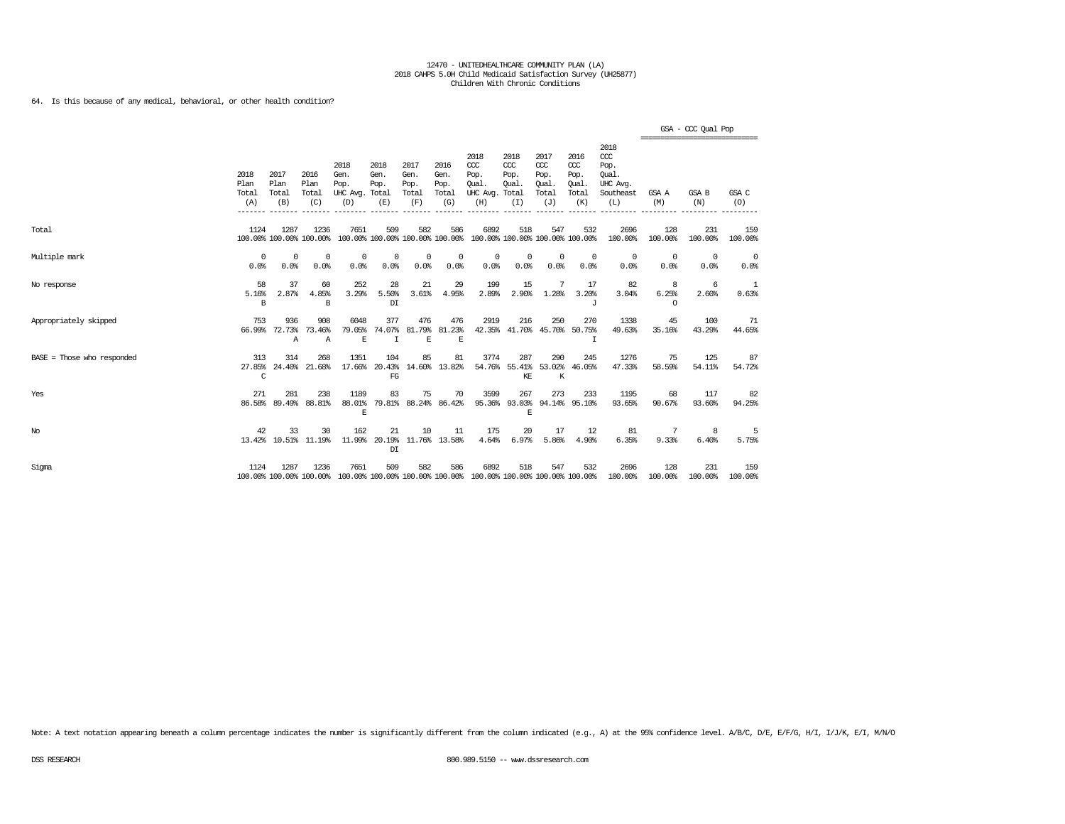64. Is this because of any medical, behavioral, or other health condition?

|                            |                               |                              |                                 |                                                                                                 |                                         |                                      |                                      |                                                                         |                                               |                                                   |                                              |                                                                   | ============================== | GSA - CCC Qual Pop |                |
|----------------------------|-------------------------------|------------------------------|---------------------------------|-------------------------------------------------------------------------------------------------|-----------------------------------------|--------------------------------------|--------------------------------------|-------------------------------------------------------------------------|-----------------------------------------------|---------------------------------------------------|----------------------------------------------|-------------------------------------------------------------------|--------------------------------|--------------------|----------------|
|                            | 2018<br>Plan<br>Total<br>(A)  | 2017<br>Plan<br>Total<br>(B) | 2016<br>Plan<br>Total<br>(C)    | 2018<br>Gen.<br>Pop.<br>UHC Avg. Total<br>(D)                                                   | 2018<br>Gen.<br>Pop.<br>(E)             | 2017<br>Gen.<br>Pop.<br>Total<br>(F) | 2016<br>Gen.<br>Pop.<br>Total<br>(G) | 2018<br>CCC<br>Pop.<br>Oual.<br>UHC Avg.<br>(H)                         | 2018<br>$CC$<br>Pop.<br>Qual.<br>Total<br>(I) | 2017<br>$\alpha$<br>Pop.<br>Oual.<br>Total<br>(J) | 2016<br>ccc<br>Pop.<br>Qual.<br>Total<br>(K) | 2018<br>$\alpha$<br>Pop.<br>Oual.<br>UHC Avg.<br>Southeast<br>(L) | GSA A<br>(M)                   | GSA B<br>(N)       | GSA C<br>(O)   |
| Total                      | 1124                          | 1287                         | 1236<br>100.00% 100.00% 100.00% | 7651                                                                                            | 509                                     | 582                                  | 586                                  | 6892<br>100.00% 100.00% 100.00% 100.00% 100.00% 100.00% 100.00% 100.00% | 518                                           | 547                                               | 532                                          | 2696<br>100.00%                                                   | 128<br>100.00%                 | 231<br>100.00%     | 159<br>100.00% |
| Multiple mark              | $^{\circ}$<br>0.0%            | $^{\circ}$<br>0.0%           | $^{\circ}$<br>0.0%              | 0<br>0.0%                                                                                       | 0<br>0.0%                               | $^{\circ}$<br>0.0%                   | 0<br>0.0%                            | 0<br>0.0%                                                               | 0<br>0.0%                                     | $^{\circ}$<br>0.0%                                | $^{\circ}$<br>0.0%                           | 0<br>0.0%                                                         | $\overline{0}$<br>0.0%         | $^{\circ}$<br>0.0% | 0<br>0.0%      |
| No response                | 58<br>5.16%<br>B              | 37<br>2.87%                  | 60<br>4.85%<br>B                | 252<br>3.29%                                                                                    | 28<br>5.50%<br>DI                       | 21<br>3.61%                          | 29<br>4.95%                          | 199<br>2.89%                                                            | 15<br>2.90%                                   | 7<br>1.28%                                        | 17<br>3.20%<br>$\tau$                        | 82<br>3.04%                                                       | 8<br>6.25%<br>$\Omega$         | -6<br>2.60%        | 1<br>0.63%     |
| Appropriately skipped      | 753                           | 936<br>66.99% 72.73%<br>Α    | 908<br>73.46%<br>$\mathbb{A}$   | 6048<br>79.05%<br>E                                                                             | 377<br>74.07%<br>I                      | 476<br>81.79%<br>E                   | 476<br>81.23%<br>E                   | 2919                                                                    | 216<br>42.35% 41.70% 45.70% 50.75%            | 250                                               | 270<br>$\mathsf{T}$                          | 1338<br>49.63%                                                    | 45<br>35.16%                   | 100<br>43.29%      | -71<br>44.65%  |
| BASE = Those who responded | 313<br>27.85%<br>$\mathsf{C}$ | 314                          | 268<br>24.40% 21.68%            | 1351                                                                                            | 104<br>17.66% 20.43%<br>FG              | 85                                   | 81<br>14.60% 13.82%                  | 3774                                                                    | 287<br>54.76% 55.41% 53.02% 46.05%<br>KE      | 290<br>K                                          | 245                                          | 1276<br>47.33%                                                    | 75<br>58.59%                   | 125<br>54.11%      | 87<br>54.72%   |
| Yes                        | 271                           | 281<br>86.58% 89.49%         | 238<br>88.81%                   | 1189<br>88.01%<br>$\mathbf E$                                                                   | 83                                      | 75                                   | 70<br>79.81% 88.24% 86.42%           | 3599                                                                    | 267<br>95.36% 93.03% 94.14% 95.10%<br>E       | 273                                               | 233                                          | 1195<br>93.65%                                                    | 68<br>90.67%                   | 117<br>93.60%      | 82<br>94.25%   |
| $_{\mathrm{No}}$           | 42                            | 33                           | 30<br>13.42% 10.51% 11.19%      | 162                                                                                             | 21<br>11.99% 20.19% 11.76% 13.58%<br>DI | 10                                   | 11                                   | 175<br>4.64%                                                            | 20<br>6.97%                                   | 17<br>5.86%                                       | 12<br>4.90%                                  | 81<br>6.35%                                                       | -7<br>9.33%                    | 8<br>6.40%         | 5<br>5.75%     |
| Sigma                      | 1124                          | 1287                         | 1236                            | 7651<br>100.00% 100.00% 100.00% 100.00% 100.00% 100.00% 100.00% 100.00% 100.00% 100.00% 100.00% | 509                                     | 582                                  | 586                                  | 6892                                                                    | 518                                           | 547                                               | 532                                          | 2696<br>100.00%                                                   | 128<br>100.00%                 | 231<br>100.00%     | 159<br>100.00% |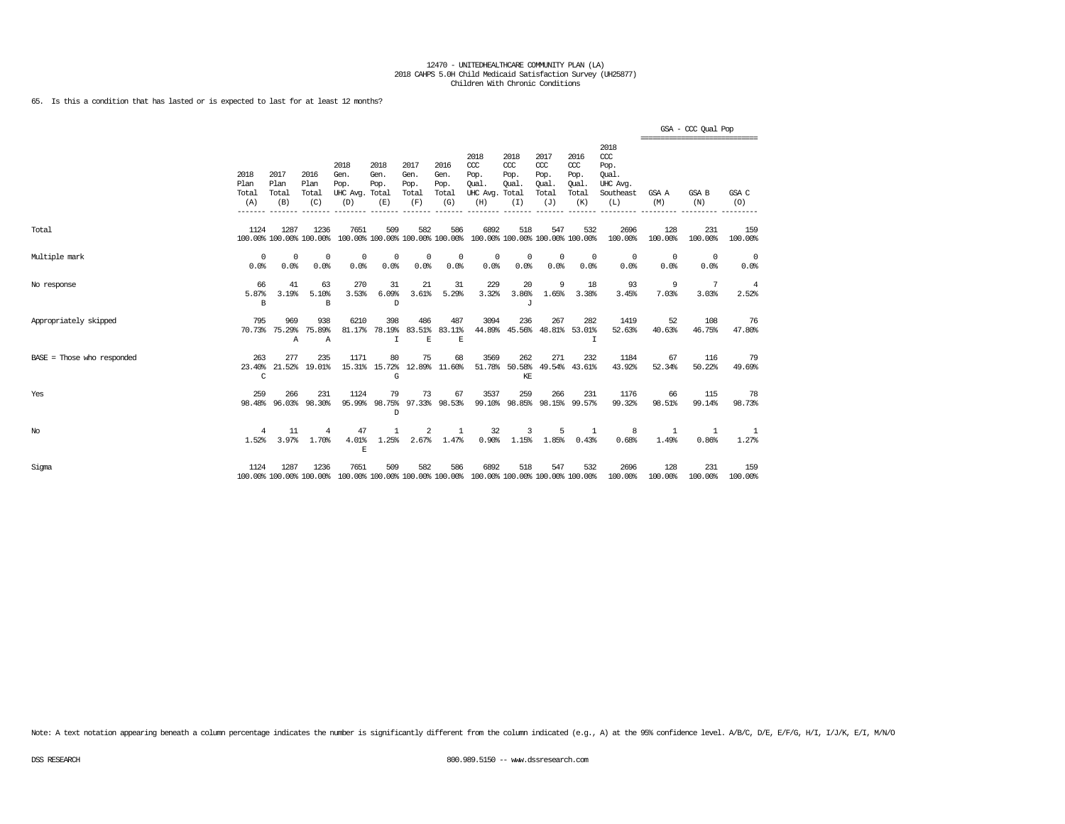65. Is this a condition that has lasted or is expected to last for at least 12 months?

|                              |                              |                              |                                 |                                                                                                 |                                        |                                      |                                      |                                                                         |                                     |                                              |                                              |                                                                 | =============================== | GSA - CCC Qual Pop |                |
|------------------------------|------------------------------|------------------------------|---------------------------------|-------------------------------------------------------------------------------------------------|----------------------------------------|--------------------------------------|--------------------------------------|-------------------------------------------------------------------------|-------------------------------------|----------------------------------------------|----------------------------------------------|-----------------------------------------------------------------|---------------------------------|--------------------|----------------|
|                              | 2018<br>Plan<br>Total<br>(A) | 2017<br>Plan<br>Total<br>(B) | 2016<br>Plan<br>Total<br>(C)    | 2018<br>Gen.<br>Pop.<br>UHC Avg. Total<br>(D)                                                   | 2018<br>Gen.<br>Pop.<br>(E)            | 2017<br>Gen.<br>Pop.<br>Total<br>(F) | 2016<br>Gen.<br>Pop.<br>Total<br>(G) | 2018<br>CCC<br>Pop.<br>Oual.<br>UHC Avg. Total<br>(H)                   | 2018<br>CCC<br>Pop.<br>Oual.<br>(T) | 2017<br>ccc<br>Pop.<br>Oual.<br>Total<br>(J) | 2016<br>ccc<br>Pop.<br>Qual.<br>Total<br>(K) | 2018<br>$\csc$<br>Pop.<br>Oual.<br>UHC Avg.<br>Southeast<br>(L) | GSA A<br>(M)                    | GSA B<br>(N)       | GSA C<br>(O)   |
| Total                        | 1124                         | 1287                         | 1236<br>100.00% 100.00% 100.00% | 7651                                                                                            | 509                                    | 582                                  | 586                                  | 6892<br>100.00% 100.00% 100.00% 100.00% 100.00% 100.00% 100.00% 100.00% | 518                                 | 547                                          | 532                                          | 2696<br>100.00%                                                 | 128<br>100.00%                  | 231<br>100.00%     | 159<br>100.00% |
| Multiple mark                | 0<br>0.0%                    | 0<br>0.0%                    | $\Omega$<br>0.0%                | $^{\circ}$<br>0.0%                                                                              | 0<br>0.0%                              | $^{\circ}$<br>0.0%                   | 0<br>0.0%                            | $^{\circ}$<br>0.0%                                                      | $^{\circ}$<br>0.0%                  | $^{\circ}$<br>0.0%                           | $^{\circ}$<br>0.0%                           | 0<br>0.0%                                                       | $^{\circ}$<br>0.0%              | 0<br>0.0%          | - 0<br>0.0%    |
| No response                  | 66<br>5.87%<br>B             | 41<br>3.19%                  | 63<br>5.10%<br>В                | 270<br>3.53%                                                                                    | 31<br>6.09%<br>D                       | 21<br>3.61%                          | 31<br>5.29%                          | 229<br>3.32%                                                            | 20<br>3.86%<br>J                    | 9<br>1.65%                                   | 18<br>3.38%                                  | 93<br>3.45%                                                     | 9<br>7.03%                      | 7<br>3.03%         | 4<br>2.52%     |
| Appropriately skipped        | 795                          | 969<br>70.73% 75.29%<br>Α    | 938<br>75.89%<br>$\overline{A}$ | 6210                                                                                            | 398<br>81.17% 78.19%<br>$\mathbf I$    | 486<br>$\mathbf E$                   | 487<br>83.51% 83.11%<br>$\mathbf E$  | 3094                                                                    | 236                                 | 267                                          | 282<br>44.89% 45.56% 48.81% 53.01%<br>T      | 1419<br>52.63%                                                  | 52<br>40.63%                    | 108<br>46.75%      | 76<br>47.80%   |
| $BASE = Those who responded$ | 263<br>23.40%<br>C           | 277                          | 235<br>21.52% 19.01%            | 1171                                                                                            | 80<br>15.31% 15.72%<br>G               | 75                                   | 68<br>12.89% 11.60%                  | 3569                                                                    | 262<br>51.78% 50.58%<br>KE          | 271                                          | 232<br>49.54% 43.61%                         | 1184<br>43.92%                                                  | 67<br>52.34%                    | 116<br>50.22%      | -79<br>49.69%  |
| Yes                          | 259<br>98.48%                | 266<br>96.03%                | 231<br>98.30%                   | 1124                                                                                            | 79<br>95.99% 98.75% 97.33% 98.53%<br>D | 73                                   | 67                                   | 3537<br>99.10%                                                          | 259                                 | 266                                          | 231<br>98.85% 98.15% 99.57%                  | 1176<br>99.32%                                                  | 66<br>98.51%                    | 115<br>99.14%      | 78<br>98.73%   |
| No                           | 4<br>1.52%                   | 11<br>3.97%                  | 4<br>1.70%                      | 47<br>4.01%<br>$\mathbf E$                                                                      | 1<br>1.25%                             | 2<br>2.67%                           | <sup>1</sup><br>1.47%                | 32<br>0.90%                                                             | 3<br>1.15%                          | 5<br>$1.85\%$                                | 1<br>0.43%                                   | 8<br>0.68%                                                      | -1<br>1.49%                     | -1<br>0.86%        | -1<br>1.27%    |
| Sigma                        | 1124                         | 1287                         | 1236                            | 7651<br>100.00% 100.00% 100.00% 100.00% 100.00% 100.00% 100.00% 100.00% 100.00% 100.00% 100.00% | 509                                    | 582                                  | 586                                  | 6892                                                                    | 518                                 | 547                                          | 532                                          | 2696<br>100.00%                                                 | 128<br>100.00%                  | 231<br>100.00%     | 159<br>100.00% |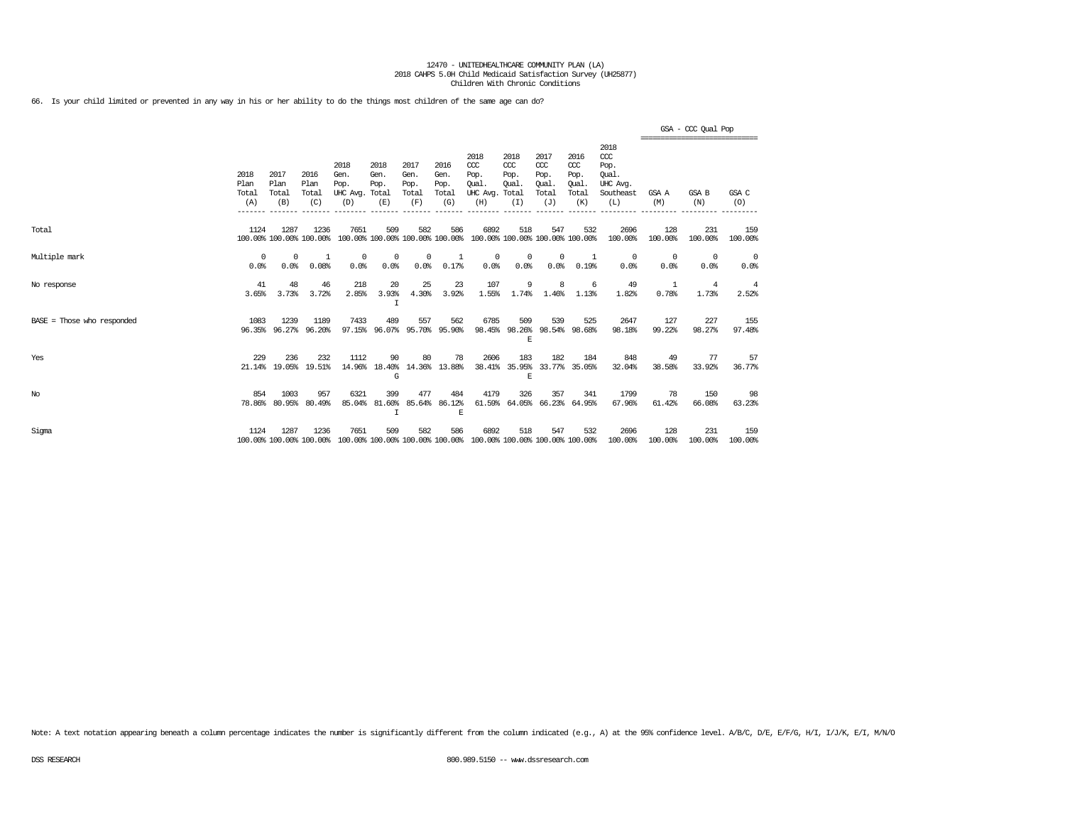66. Is your child limited or prevented in any way in his or her ability to do the things most children of the same age can do?

|                            |                              |                              |                                 |                                         |                                      |                                      |                                      |                                                                         |                                              |                                                   |                                              |                                                              | ------------------------------- | GSA - CCC Qual Pop  |                |
|----------------------------|------------------------------|------------------------------|---------------------------------|-----------------------------------------|--------------------------------------|--------------------------------------|--------------------------------------|-------------------------------------------------------------------------|----------------------------------------------|---------------------------------------------------|----------------------------------------------|--------------------------------------------------------------|---------------------------------|---------------------|----------------|
|                            | 2018<br>Plan<br>Total<br>(A) | 2017<br>Plan<br>Total<br>(B) | 2016<br>Plan<br>Total<br>(C)    | 2018<br>Gen.<br>Pop.<br>UHC Avg.<br>(D) | 2018<br>Gen.<br>Pop.<br>Total<br>(E) | 2017<br>Gen.<br>Pop.<br>Total<br>(F) | 2016<br>Gen.<br>Pop.<br>Total<br>(G) | 2018<br>CCC<br>Pop.<br>Oual.<br>UHC Avg.<br>(H)                         | 2018<br>CCC<br>Pop.<br>Oual.<br>Total<br>(I) | 2017<br>$\alpha$<br>Pop.<br>Oual.<br>Total<br>(J) | 2016<br>ccc<br>Pop.<br>Oual.<br>Total<br>(K) | 2018<br>ccc<br>Pop.<br>Oual.<br>UHC Avg.<br>Southeast<br>(L) | GSA A<br>(M)                    | <b>GSA B</b><br>(N) | GSA C<br>(O)   |
| Total                      | 1124                         | 1287                         | 1236<br>100.00% 100.00% 100.00% | 7651                                    | 509                                  | 582                                  | 586                                  | 6892<br>100.00% 100.00% 100.00% 100.00% 100.00% 100.00% 100.00% 100.00% | 518                                          | 547                                               | 532                                          | 2696<br>100.00%                                              | 128<br>100.00%                  | 231<br>100.00%      | 159<br>100.00% |
| Multiple mark              | 0<br>0.0%                    | 0<br>0.0%                    | 1<br>0.08%                      | $^{\circ}$<br>0.0%                      | $^{\circ}$<br>0.0%                   | $^{\circ}$<br>0.0%                   | 1<br>0.17%                           | $^{\circ}$<br>0.0%                                                      | $^{\circ}$<br>0.0%                           | $^{\circ}$<br>0.0%                                | -1<br>0.19%                                  | 0<br>0.0%                                                    | $^{\circ}$<br>0.0%              | $^{\circ}$<br>0.0%  | - 0<br>0.0%    |
| No response                | 41<br>3.65%                  | 48<br>3.73%                  | 46<br>3.72%                     | 218<br>2.85%                            | 20<br>3.93%<br>I                     | 25<br>4.30%                          | 23<br>3.92%                          | 107<br>1.55%                                                            | 9<br>1.74%                                   | 8<br>1.46%                                        | 6<br>1.13%                                   | 49<br>1.82%                                                  | 1<br>0.78%                      | 4<br>1.73%          | 4<br>2.52%     |
| BASE = Those who responded | 1083                         | 1239<br>96.35% 96.27%        | 1189<br>96.20%                  | 7433                                    | 489<br>97.15% 96.07% 95.70% 95.90%   | 557                                  | 562                                  | 6785<br>98.45%                                                          | 509<br>E                                     | 539                                               | 525<br>98.26% 98.54% 98.68%                  | 2647<br>98.18%                                               | 127<br>99.22%                   | 227<br>98.27%       | 155<br>97.48%  |
| Yes                        | 229<br>21.14%                | 236<br>19.05%                | 232<br>19.51%                   | 1112                                    | 90<br>14.96% 18.40%<br>G             | 80                                   | 78<br>14.36% 13.88%                  | 2606<br>38.41%                                                          | 183<br>E                                     | 182                                               | 184<br>35.95% 33.77% 35.05%                  | 848<br>32.04%                                                | 49<br>38.58%                    | 77<br>33.92%        | 57<br>36.77%   |
| $_{\mathrm{No}}$           | 854                          | 1003<br>78.86% 80.95%        | 957<br>80.49%                   | 6321<br>85.04%                          | 399<br>81.60%<br>T                   | 477                                  | 484<br>85.64% 86.12%<br>E            | 4179                                                                    | 326                                          | 357                                               | 341<br>61.59% 64.05% 66.23% 64.95%           | 1799<br>67.96%                                               | 78<br>61.42%                    | 150<br>66.08%       | 98<br>63.23%   |
| Sigma                      | 1124                         | 1287                         | 1236<br>100.00% 100.00% 100.00% | 7651                                    | 509                                  | 582                                  | 586                                  | 6892<br>100.00% 100.00% 100.00% 100.00% 100.00% 100.00% 100.00% 100.00% | 518                                          | 547                                               | 532                                          | 2696<br>100.00%                                              | 128<br>100.00%                  | 231<br>100.00%      | 159<br>100.00% |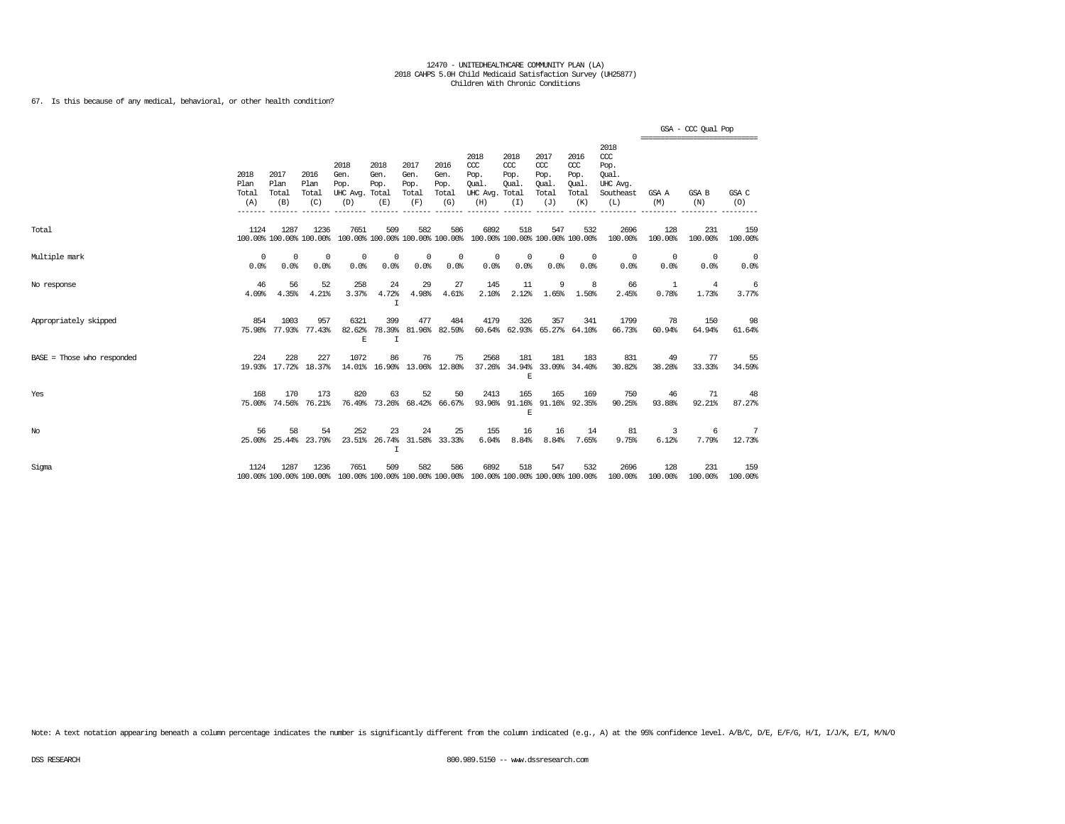### 67. Is this because of any medical, behavioral, or other health condition?

|                              |                              |                              |                                 |                                                                                         |                                        |                                      |                                      |                                                 |                                              |                                                   |                                              |                                                              | ================================ | GSA - CCC Qual Pop |                |
|------------------------------|------------------------------|------------------------------|---------------------------------|-----------------------------------------------------------------------------------------|----------------------------------------|--------------------------------------|--------------------------------------|-------------------------------------------------|----------------------------------------------|---------------------------------------------------|----------------------------------------------|--------------------------------------------------------------|----------------------------------|--------------------|----------------|
|                              | 2018<br>Plan<br>Total<br>(A) | 2017<br>Plan<br>Total<br>(B) | 2016<br>Plan<br>Total<br>(C)    | 2018<br>Gen.<br>Pop.<br>UHC Avg. Total<br>(D)                                           | 2018<br>Gen.<br>Pop.<br>(E)            | 2017<br>Gen.<br>Pop.<br>Total<br>(F) | 2016<br>Gen.<br>Pop.<br>Total<br>(G) | 2018<br>CCC<br>Pop.<br>Oual.<br>UHC Avg.<br>(H) | 2018<br>CCC<br>Pop.<br>Qual.<br>Total<br>(I) | 2017<br>$\alpha$<br>Pop.<br>Qual.<br>Total<br>(J) | 2016<br>ccc<br>Pop.<br>Qual.<br>Total<br>(K) | 2018<br>ccc<br>Pop.<br>Oual.<br>UHC Avg.<br>Southeast<br>(L) | GSA A<br>(M)                     | GSA B<br>(N)       | GSA C<br>(O)   |
| Total                        | 1124                         | 1287                         | 1236<br>100.00% 100.00% 100.00% | 7651                                                                                    | 509<br>100.00% 100.00% 100.00% 100.00% | 582                                  | 586                                  | 6892<br>100.00% 100.00% 100.00% 100.00%         | 518                                          | 547                                               | 532                                          | 2696<br>100.00%                                              | 128<br>100.00%                   | 231<br>100.00%     | 159<br>100.00% |
| Multiple mark                | 0<br>0.0%                    | $\Omega$<br>0.0%             | 0<br>0.0%                       | 0<br>0.0%                                                                               | $\Omega$<br>0.0%                       | $\Omega$<br>0.0%                     | 0<br>0.0%                            | 0<br>0.0%                                       | 0<br>0.0%                                    | $^{\circ}$<br>0.0%                                | $\Omega$<br>0.0%                             | 0<br>0.0%                                                    | $\overline{0}$<br>0.0%           | $\Omega$<br>0.0%   | 0<br>0.0%      |
| No response                  | 46<br>4.09%                  | 56<br>4.35%                  | 52<br>4.21%                     | 258<br>3.37%                                                                            | 24<br>4.72%<br>I                       | 29<br>4.98%                          | 27<br>4.61%                          | 145<br>2.10%                                    | 11<br>2.12%                                  | 9<br>1.65%                                        | 8<br>1.50%                                   | 66<br>2.45%                                                  | -1<br>0.78%                      | 4<br>1.73%         | 6<br>3.77%     |
| Appropriately skipped        | 854<br>75.98%                | 1003                         | 957<br>77.93% 77.43%            | 6321<br>82.62%<br>E                                                                     | 399<br>78.39%<br>I                     | 477                                  | 484<br>81.96% 82.59%                 | 4179                                            | 326                                          | 357                                               | 341<br>60.64% 62.93% 65.27% 64.10%           | 1799<br>66.73%                                               | 78<br>60.94%                     | 150<br>64.94%      | 98<br>61.64%   |
| $BASE = Those who responded$ | 224                          | 228                          | 227<br>19.93% 17.72% 18.37%     | 1072                                                                                    | 86<br>14.01% 16.90% 13.06% 12.80%      | 76                                   | 75                                   | 2568                                            | 181<br>37.26% 34.94%<br>E                    | 181                                               | 183<br>33.09% 34.40%                         | 831<br>30.82%                                                | 49<br>38.28%                     | 77<br>33.33%       | 55<br>34.59%   |
| Yes                          | 168<br>75.00%                | 170<br>74.56%                | 173<br>76.21%                   | 820                                                                                     | 63<br>76.49% 73.26% 68.42% 66.67%      | 52                                   | 50                                   | 2413                                            | 165<br>F.                                    | 165                                               | 169<br>93.96% 91.16% 91.16% 92.35%           | 750<br>90.25%                                                | 46<br>93.88%                     | 71<br>92.21%       | 48<br>87.27%   |
| No                           | 56                           | 58                           | 54<br>25.00% 25.44% 23.79%      | 252<br>23.51%                                                                           | 23<br>I                                | 24                                   | 25<br>26.74% 31.58% 33.33%           | 155<br>6.04%                                    | 16<br>8.84%                                  | 16<br>8.84%                                       | 14<br>7.65%                                  | 81<br>9.75%                                                  | 3<br>6.12%                       | 6<br>7.79%         | 7<br>12.73%    |
| Sigma                        | 1124                         | 1287                         | 1236                            | 7651<br>100.00% 100.00% 100.00% 100.00% 100.00% 100.00% 100.00% 100.00% 100.00% 100.00% | 509                                    | 582                                  | 586                                  | 6892                                            | 518                                          | 547                                               | 532                                          | 2696<br>100.00%                                              | 128<br>100.00%                   | 231<br>100.00%     | 159<br>100.00% |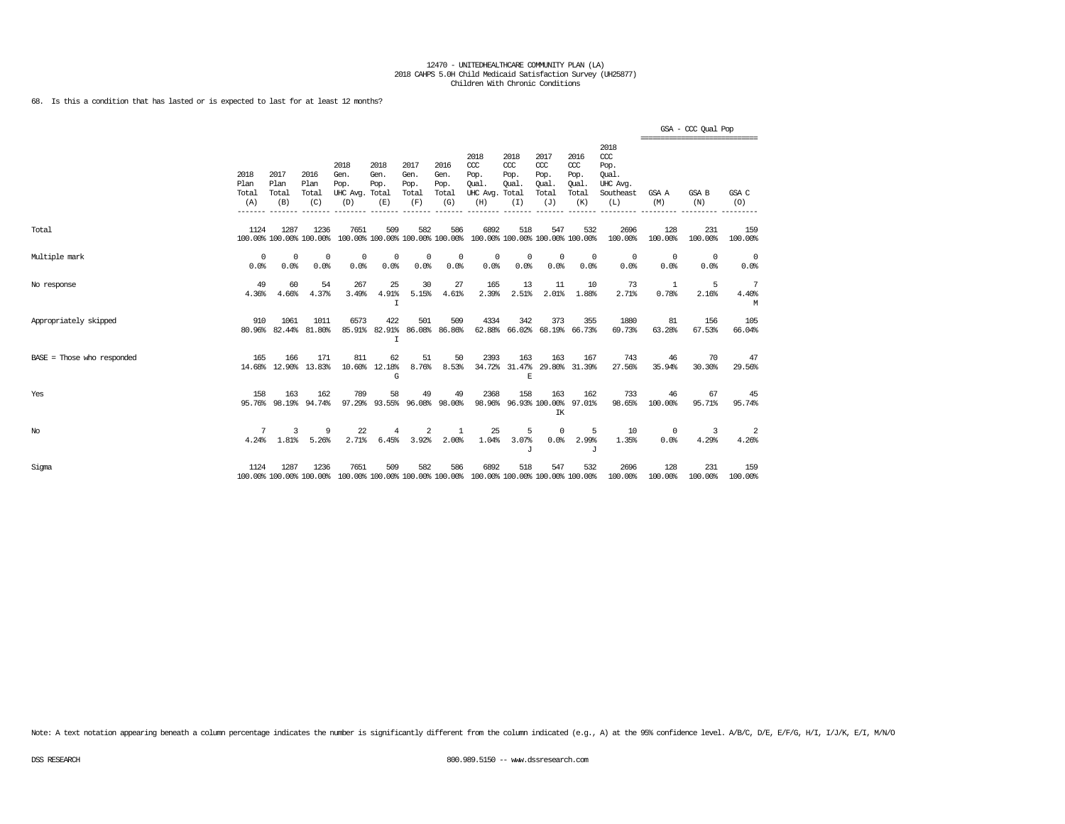68. Is this a condition that has lasted or is expected to last for at least 12 months?

|                              |                              |                              |                                 |                                               |                             |                                      |                                      |                                                                                                 |                                               |                                              |                                              |                                                                   | =============================== | GSA - CCC Qual Pop |                 |
|------------------------------|------------------------------|------------------------------|---------------------------------|-----------------------------------------------|-----------------------------|--------------------------------------|--------------------------------------|-------------------------------------------------------------------------------------------------|-----------------------------------------------|----------------------------------------------|----------------------------------------------|-------------------------------------------------------------------|---------------------------------|--------------------|-----------------|
|                              | 2018<br>Plan<br>Total<br>(A) | 2017<br>Plan<br>Total<br>(B) | 2016<br>Plan<br>Total<br>(C)    | 2018<br>Gen.<br>Pop.<br>UHC Avg. Total<br>(D) | 2018<br>Gen.<br>Pop.<br>(E) | 2017<br>Gen.<br>Pop.<br>Total<br>(F) | 2016<br>Gen.<br>Pop.<br>Total<br>(G) | 2018<br>CCC<br>Pop.<br>Oual.<br>UHC Avg.<br>(H)                                                 | 2018<br>$CC$<br>Pop.<br>Qual.<br>Total<br>(I) | 2017<br>ccc<br>Pop.<br>Oual.<br>Total<br>(J) | 2016<br>ccc<br>Pop.<br>Qual.<br>Total<br>(K) | 2018<br>$\alpha$<br>Pop.<br>Oual.<br>UHC Avg.<br>Southeast<br>(L) | GSA A<br>(M)                    | GSA B<br>(N)       | GSA C<br>(O)    |
| Total                        | 1124                         | 1287                         | 1236<br>100.00% 100.00% 100.00% | 7651<br>100.00% 100.00% 100.00% 100.00%       | 509                         | 582                                  | 586                                  | 6892<br>100.00% 100.00% 100.00% 100.00%                                                         | 518                                           | 547                                          | 532                                          | 2696<br>100.00%                                                   | 128<br>100.00%                  | 231<br>100.00%     | 159<br>100.00%  |
| Multiple mark                | 0<br>0.0%                    | 0<br>0.0%                    | $^{\circ}$<br>0.0%              | 0<br>0.0%                                     | 0<br>0.0%                   | $^{\circ}$<br>0.0%                   | 0<br>0.0%                            | 0<br>0.0%                                                                                       | 0<br>0.0%                                     | $\circ$<br>0.0%                              | $^{\circ}$<br>0.0%                           | $^{\circ}$<br>0.0%                                                | 0<br>0.0%                       | $^{\circ}$<br>0.0% | $\circ$<br>0.0% |
| No response                  | 49<br>4.36%                  | 60<br>4.66%                  | 54<br>4.37%                     | 267<br>3.49%                                  | 25<br>4.91%<br>$\mathbf I$  | 30<br>5.15%                          | 27<br>4.61%                          | 165<br>2.39%                                                                                    | 13<br>2.51%                                   | 11<br>2.01%                                  | 10<br>1.88%                                  | 73<br>2.71%                                                       | 1<br>0.78%                      | 5<br>2.16%         | 7<br>4.40%<br>M |
| Appropriately skipped        | 910<br>80.96%                | 1061<br>82.44%               | 1011<br>81.80%                  | 6573                                          | 422<br>85.91% 82.91%<br>I   | 501                                  | 509<br>86.08% 86.86%                 | 4334<br>62.88%                                                                                  | 342<br>66.02%                                 | 373                                          | 355<br>68.19% 66.73%                         | 1880<br>69.73%                                                    | 81<br>63.28%                    | 156<br>67.53%      | 105<br>66.04%   |
| $BASE = Those who responded$ | 165                          | 166<br>14.68% 12.90%         | 171<br>13.83%                   | 811                                           | 62<br>10.60% 12.18%<br>G    | 51<br>8.76%                          | 50<br>8.53%                          | 2393<br>34.72%                                                                                  | 163<br>31.47%<br>F.                           | 163                                          | 167<br>29.80% 31.39%                         | 743<br>27.56%                                                     | 46<br>35.94%                    | 70<br>30.30%       | 47<br>29.56%    |
| Yes                          | 158                          | 163<br>95.76% 98.19%         | 162<br>94.74%                   | 789<br>97.29%                                 | 58<br>93.55%                | 49<br>96.08%                         | 49<br>98.00%                         | 2368<br>98.96%                                                                                  | 158                                           | 163<br>96.93% 100.00%<br>IK                  | 162<br>97.01%                                | 733<br>98.65%                                                     | 46<br>100.00%                   | 67<br>95.71%       | 45<br>95.74%    |
| No                           | 7<br>4.24%                   | 3<br>1.81%                   | 9<br>5.26%                      | 22<br>2.71%                                   | 4<br>6.45%                  | 2<br>3.92%                           | 1<br>2.00%                           | 25<br>1.04%                                                                                     | 5<br>3.07%<br>J                               | $^{\circ}$<br>0.0%                           | 5<br>2.99%<br>J                              | 10<br>1.35%                                                       | $^{\circ}$<br>0.0%              | 3<br>4.29%         | 2<br>4.26%      |
| Sigma                        | 1124                         | 1287                         | 1236                            | 7651                                          | 509                         | 582                                  | 586                                  | 6892<br>100.00% 100.00% 100.00% 100.00% 100.00% 100.00% 100.00% 100.00% 100.00% 100.00% 100.00% | 518                                           | 547                                          | 532                                          | 2696<br>100.00%                                                   | 128<br>100.00%                  | 231<br>100.00%     | 159<br>100.00%  |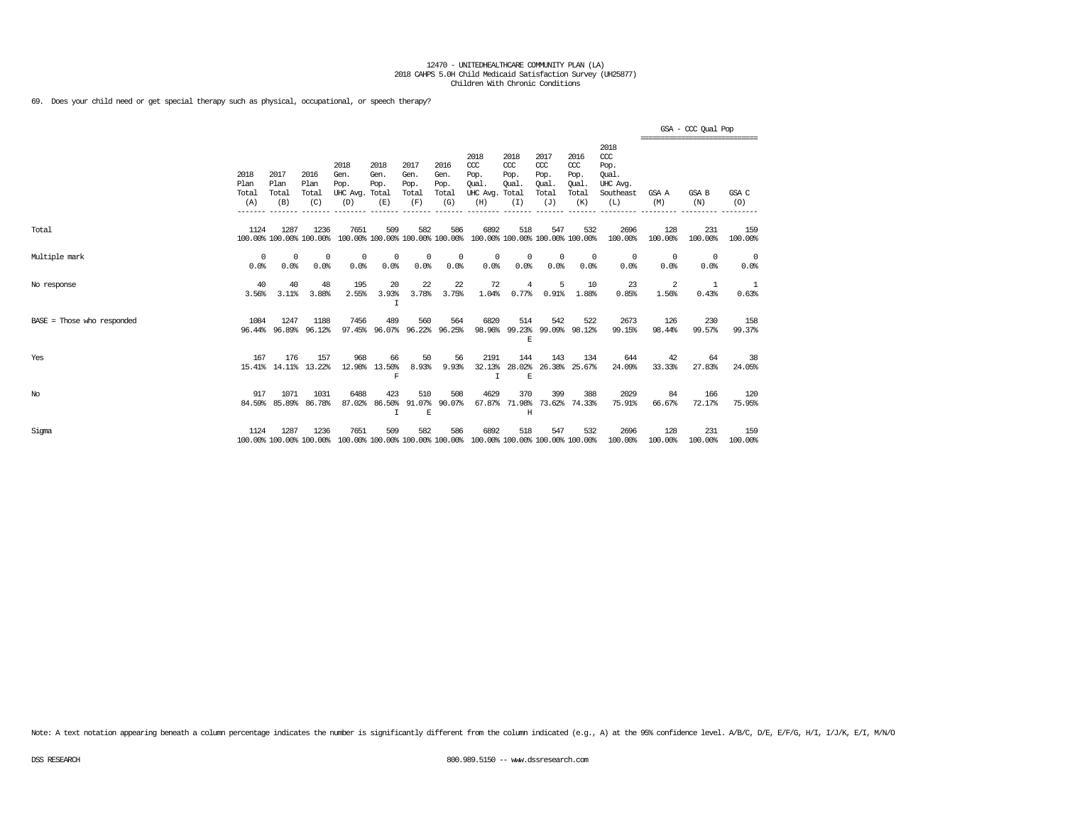69. Does your child need or get special therapy such as physical, occupational, or speech therapy?

|                            |                              |                              |                                 |                                         |                                        |                                      |                                      |                                                                                         |                                              |                                              |                                              |                                                                   | ----------------------------- | GSA - CCC Qual Pop |                |
|----------------------------|------------------------------|------------------------------|---------------------------------|-----------------------------------------|----------------------------------------|--------------------------------------|--------------------------------------|-----------------------------------------------------------------------------------------|----------------------------------------------|----------------------------------------------|----------------------------------------------|-------------------------------------------------------------------|-------------------------------|--------------------|----------------|
|                            | 2018<br>Plan<br>Total<br>(A) | 2017<br>Plan<br>Total<br>(B) | 2016<br>Plan<br>Total<br>(C)    | 2018<br>Gen.<br>Pop.<br>UHC Avg.<br>(D) | 2018<br>Gen.<br>Pop.<br>Total<br>(E)   | 2017<br>Gen.<br>Pop.<br>Total<br>(F) | 2016<br>Gen.<br>Pop.<br>Total<br>(G) | 2018<br>$CC$<br>Pop.<br>Oual.<br>UHC Avg.<br>(H)                                        | 2018<br>ccc<br>Pop.<br>Oual.<br>Total<br>(I) | 2017<br>ccc<br>Pop.<br>Oual.<br>Total<br>(J) | 2016<br>ccc<br>Pop.<br>Oual.<br>Total<br>(K) | 2018<br>$\alpha$<br>Pop.<br>Oual.<br>UHC Avg.<br>Southeast<br>(L) | GSA A<br>(M)                  | GSA B<br>(N)       | GSA C<br>(0)   |
| Total                      | 1124                         | 1287                         | 1236<br>100.00% 100.00% 100.00% | 7651                                    | 509<br>100.00% 100.00% 100.00% 100.00% | 582                                  | 586                                  | 6892<br>100.00% 100.00% 100.00% 100.00%                                                 | 518                                          | 547                                          | 532                                          | 2696<br>100.00%                                                   | 128<br>100.00%                | 231<br>100.00%     | 159<br>100.00% |
| Multiple mark              | 0<br>0.0%                    | $^{\circ}$<br>0.0%           | $^{\circ}$<br>0.0%              | $^{\circ}$<br>0.0%                      | $^{\circ}$<br>0.0%                     | $\circ$<br>0.0%                      | 0<br>0.0%                            | 0<br>0.0%                                                                               | $^{\circ}$<br>0.0%                           | 0<br>0.0%                                    | $^{\circ}$<br>0.0%                           | $^{\circ}$<br>0.0%                                                | 0<br>0.0%                     | $^{\circ}$<br>0.0% | 0<br>0.0%      |
| No response                | 40<br>3.56%                  | 40<br>3.11%                  | 48<br>3.88%                     | 195<br>2.55%                            | 20<br>3.93%<br>Ι                       | 22<br>3.78%                          | 22<br>3.75%                          | 72<br>1.04%                                                                             | 4<br>0.77%                                   | 5<br>0.91%                                   | 10<br>1.88%                                  | 23<br>0.85%                                                       | -2<br>1.56%                   | -1<br>0.43%        | -1<br>0.63%    |
| BASE = Those who responded | 1084                         | 1247<br>96.44% 96.89%        | 1188<br>96.12%                  | 7456<br>97.45%                          | 489<br>96.07%                          | 560                                  | 564<br>96.22% 96.25%                 | 6820<br>98.96%                                                                          | 514<br>E                                     | 542                                          | 522<br>99.23% 99.09% 98.12%                  | 2673<br>99.15%                                                    | 126<br>98.44%                 | 230<br>99.57%      | 158<br>99.37%  |
| Yes                        | 167                          | 176<br>15.41% 14.11% 13.22%  | 157                             | 968<br>12.98%                           | 66<br>13.50%<br>F                      | 50<br>8.93%                          | 56<br>9.93%                          | 2191<br>32.13%<br>$\top$                                                                | 144<br>28.02%<br>E                           | 143<br>26.38%                                | 134<br>25.67%                                | 644<br>24.09%                                                     | 42<br>33.33%                  | 64<br>27.83%       | 38<br>24.05%   |
| $_{\mathrm{No}}$           | 917                          | 1071<br>84.59% 85.89%        | 1031<br>86.78%                  | 6488<br>87.02%                          | 423<br>86.50%<br>$\mathbf I$           | 510<br>91.07%<br>$\mathbf E$         | 508<br>90.07%                        | 4629<br>67.87%                                                                          | 370<br>71.98%<br>H                           | 399                                          | 388<br>73.62% 74.33%                         | 2029<br>75.91%                                                    | 84<br>66.67%                  | 166<br>72.17%      | 120<br>75.95%  |
| Sigma                      | 1124                         | 1287                         | 1236                            | 7651                                    | 509                                    | 582                                  | 586                                  | 6892<br>100.00% 100.00% 100.00% 100.00% 100.00% 100.00% 100.00% 100.00% 100.00% 100.00% | 518                                          | 547                                          | 532                                          | 2696<br>100.00%                                                   | 128<br>100.00%                | 231<br>100.00%     | 159<br>100.00% |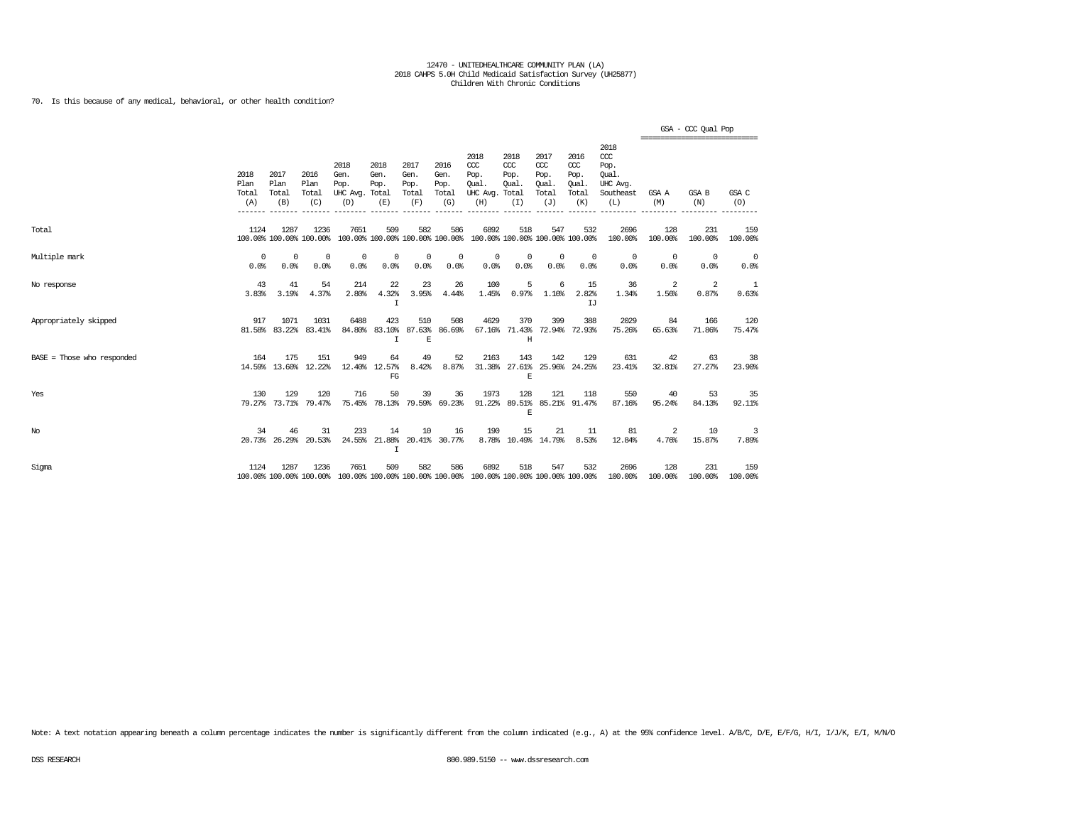70. Is this because of any medical, behavioral, or other health condition?

|                              |                              |                              |                                 |                                                                                                 |                                   |                                      |                                      |                                                                         |                                         |                                                   |                                                   |                                                                   | =============================== | GSA - CCC Qual Pop |                    |
|------------------------------|------------------------------|------------------------------|---------------------------------|-------------------------------------------------------------------------------------------------|-----------------------------------|--------------------------------------|--------------------------------------|-------------------------------------------------------------------------|-----------------------------------------|---------------------------------------------------|---------------------------------------------------|-------------------------------------------------------------------|---------------------------------|--------------------|--------------------|
|                              | 2018<br>Plan<br>Total<br>(A) | 2017<br>Plan<br>Total<br>(B) | 2016<br>Plan<br>Total<br>(C)    | 2018<br>Gen.<br>Pop.<br>UHC Avg. Total<br>(D)                                                   | 2018<br>Gen.<br>Pop.<br>(E)       | 2017<br>Gen.<br>Pop.<br>Total<br>(F) | 2016<br>Gen.<br>Pop.<br>Total<br>(G) | 2018<br>CCC<br>Pop.<br>Oual.<br>UHC Avg. Total<br>(H)                   | 2018<br>CCC<br>Pop.<br>Oual.<br>(I)     | 2017<br>$\alpha$<br>Pop.<br>Oual.<br>Total<br>(J) | 2016<br>$\alpha$<br>Pop.<br>Oual.<br>Total<br>(K) | 2018<br>$\alpha$<br>Pop.<br>Oual.<br>UHC Avg.<br>Southeast<br>(L) | GSA A<br>(M)                    | GSA B<br>(N)       | GSA C<br>(0)       |
| Total                        | 1124                         | 1287                         | 1236<br>100.00% 100.00% 100.00% | 7651                                                                                            | 509                               | 582                                  | 586                                  | 6892<br>100.00% 100.00% 100.00% 100.00% 100.00% 100.00% 100.00% 100.00% | 518                                     | 547                                               | 532                                               | 2696<br>100.00%                                                   | 128<br>100.00%                  | 231<br>100.00%     | 159<br>100.00%     |
| Multiple mark                | $\Omega$<br>0.0%             | $\Omega$<br>0.0%             | $^{\circ}$<br>0.0%              | $^{\circ}$<br>0.0%                                                                              | 0<br>0.0%                         | $^{\circ}$<br>0.0%                   | $\Omega$<br>0.0%                     | $^{\circ}$<br>0.0%                                                      | 0<br>0.0%                               | $\mathbf 0$<br>0.0%                               | $^{\circ}$<br>0.0%                                | 0<br>0.0%                                                         | $^{\circ}$<br>0.0%              | $^{\circ}$<br>0.0% | $^{\circ}$<br>0.0% |
| No response                  | 43<br>3.83%                  | 41<br>3.19%                  | 54<br>4.37%                     | 214<br>2.80%                                                                                    | 22<br>4.32%<br>I                  | 23<br>3.95%                          | 26<br>4.44%                          | 100<br>1.45%                                                            | 5<br>0.97%                              | 6<br>1.10%                                        | 15<br>2.82%<br>IJ                                 | 36<br>1.34%                                                       | 2<br>1.56%                      | 2<br>0.87%         | 1<br>0.63%         |
| Appropriately skipped        | 917                          | 1071<br>81.58% 83.22%        | 1031<br>83.41%                  | 6488<br>84.80%                                                                                  | 423<br>83.10%<br>$\top$           | 510<br>E                             | 508<br>87.63% 86.69%                 | 4629                                                                    | 370<br>67.16% 71.43% 72.94% 72.93%<br>H | 399                                               | 388                                               | 2029<br>75.26%                                                    | 84<br>65.63%                    | 166<br>71.86%      | 120<br>75.47%      |
| $BASE = Those who responded$ | 164                          | 175                          | 151<br>14.59% 13.60% 12.22%     | 949                                                                                             | 64<br>12.40% 12.57%<br>FG         | 49<br>8.42%                          | 52<br>8.87%                          | 2163<br>31.38%                                                          | 143<br>E                                | 142                                               | 129<br>27.61% 25.96% 24.25%                       | 631<br>23.41%                                                     | 42<br>32.81%                    | 63<br>27.27%       | 38<br>23.90%       |
| Yes                          | 130                          | 129                          | 120<br>79.27% 73.71% 79.47%     | 716                                                                                             | 50<br>75.45% 78.13% 79.59% 69.23% | 39                                   | 36                                   | 1973<br>91.22%                                                          | 128<br>E                                | 121                                               | 118<br>89.51% 85.21% 91.47%                       | 550<br>87.16%                                                     | 40<br>95.24%                    | 53<br>84.13%       | 35<br>92.11%       |
| No                           | 34                           | 46<br>20.73% 26.29%          | 31<br>20.53%                    | 233<br>24.55%                                                                                   | 14<br>I                           | 10                                   | 16<br>21.88% 20.41% 30.77%           | 190                                                                     | 15<br>8.78% 10.49% 14.79%               | 21                                                | 11<br>8.53%                                       | 81<br>12.84%                                                      | 2<br>4.76%                      | 10<br>15.87%       | 3<br>7.89%         |
| Sigma                        | 1124                         | 1287                         | 1236                            | 7651<br>100.00% 100.00% 100.00% 100.00% 100.00% 100.00% 100.00% 100.00% 100.00% 100.00% 100.00% | 509                               | 582                                  | 586                                  | 6892                                                                    | 518                                     | 547                                               | 532                                               | 2696<br>100.00%                                                   | 128<br>100.00%                  | 231<br>100.00%     | 159<br>100.00%     |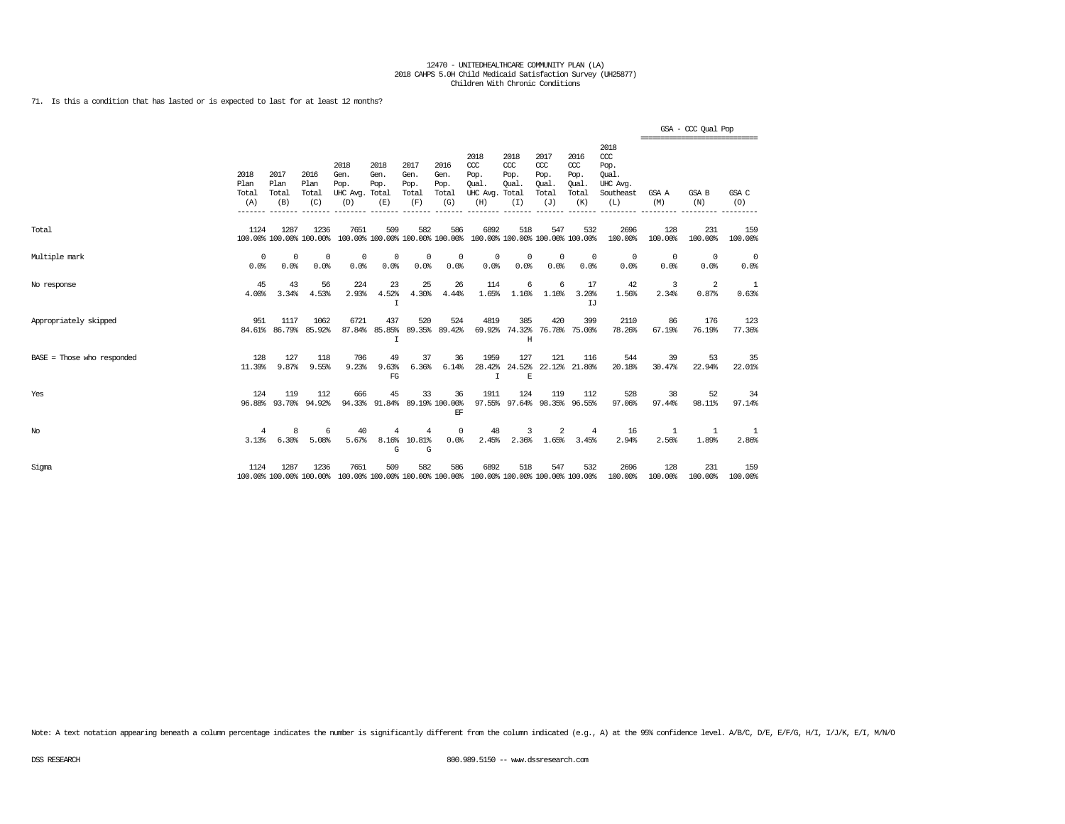71. Is this a condition that has lasted or is expected to last for at least 12 months?

|                              |                              |                              |                                 |                                                                                                 |                             |                                      |                                      |                                                                         |                                     |                                              |                                              |                                                                 | =============================== | GSA - CCC Qual Pop |                |
|------------------------------|------------------------------|------------------------------|---------------------------------|-------------------------------------------------------------------------------------------------|-----------------------------|--------------------------------------|--------------------------------------|-------------------------------------------------------------------------|-------------------------------------|----------------------------------------------|----------------------------------------------|-----------------------------------------------------------------|---------------------------------|--------------------|----------------|
|                              | 2018<br>Plan<br>Total<br>(A) | 2017<br>Plan<br>Total<br>(B) | 2016<br>Plan<br>Total<br>(C)    | 2018<br>Gen.<br>Pop.<br>UHC Avg. Total<br>(D)                                                   | 2018<br>Gen.<br>Pop.<br>(E) | 2017<br>Gen.<br>Pop.<br>Total<br>(F) | 2016<br>Gen.<br>Pop.<br>Total<br>(G) | 2018<br>CCC<br>Pop.<br>Oual.<br>UHC Avg. Total<br>(H)                   | 2018<br>CCC<br>Pop.<br>Oual.<br>(T) | 2017<br>ccc<br>Pop.<br>Oual.<br>Total<br>(J) | 2016<br>ccc<br>Pop.<br>Qual.<br>Total<br>(K) | 2018<br>$\csc$<br>Pop.<br>Oual.<br>UHC Avg.<br>Southeast<br>(L) | GSA A<br>(M)                    | GSA B<br>(N)       | GSA C<br>(O)   |
| Total                        | 1124                         | 1287                         | 1236<br>100.00% 100.00% 100.00% | 7651                                                                                            | 509                         | 582                                  | 586                                  | 6892<br>100.00% 100.00% 100.00% 100.00% 100.00% 100.00% 100.00% 100.00% | 518                                 | 547                                          | 532                                          | 2696<br>100.00%                                                 | 128<br>100.00%                  | 231<br>100.00%     | 159<br>100.00% |
| Multiple mark                | $^{\circ}$<br>0.0%           | 0<br>0.0%                    | $\Omega$<br>0.0%                | 0<br>0.0%                                                                                       | 0<br>0.0%                   | $^{\circ}$<br>0.0%                   | 0<br>0.0%                            | 0<br>0.0%                                                               | $^{\circ}$<br>0.0%                  | $^{\circ}$<br>0.0%                           | $^{\circ}$<br>0.0%                           | 0<br>0.0%                                                       | $^{\circ}$<br>0.0%              | 0<br>0.0%          | - 0<br>0.0%    |
| No response                  | 45<br>4.00%                  | 43<br>3.34%                  | 56<br>4.53%                     | 224<br>2.93%                                                                                    | 23<br>4.52%<br>I            | 25<br>4.30%                          | 26<br>4.44%                          | 114<br>1.65%                                                            | 6<br>1.16%                          | 6<br>1.10%                                   | 17<br>3.20%<br>IJ                            | 42<br>1.56%                                                     | -3<br>2.34%                     | -2<br>0.87%        | -1<br>0.63%    |
| Appropriately skipped        | 951                          | 1117<br>84.61% 86.79%        | 1062<br>85.92%                  | 6721<br>87.84%                                                                                  | 437<br>85.85%<br>T          | 520                                  | 524<br>89.35% 89.42%                 | 4819                                                                    | 385<br>H                            | 420                                          | 399<br>69.92% 74.32% 76.78% 75.00%           | 2110<br>78.26%                                                  | 86<br>67.19%                    | 176<br>76.19%      | 123<br>77.36%  |
| $BASE = Those who responded$ | 128<br>11.39%                | 127<br>9.87%                 | 118<br>9.55%                    | 706<br>9.23%                                                                                    | 49<br>9.63%<br>FG           | 37<br>6.36%                          | 36<br>6.14%                          | 1959<br>$\mathbf{I}$                                                    | 127<br>28.42% 24.52%<br>$\mathbb E$ | 121                                          | 116<br>22.12% 21.80%                         | 544<br>20.18%                                                   | 39<br>30.47%                    | 53<br>22.94%       | 35<br>22.01%   |
| Yes                          | 124                          | 119<br>96.88% 93.70%         | 112<br>94.92%                   | 666                                                                                             | 45<br>94.33% 91.84%         | 33                                   | 36<br>89.19% 100.00%<br>EF           | 1911                                                                    | 124                                 | 119                                          | 112<br>97.55% 97.64% 98.35% 96.55%           | 528<br>97.06%                                                   | 38<br>97.44%                    | 52<br>98.11%       | 34<br>97.14%   |
| No                           | 4<br>3.13%                   | 8<br>6.30%                   | 6<br>5.08%                      | 40<br>5.67%                                                                                     | 4<br>8.16%<br>G             | 4<br>10.81%<br>G                     | $^{\circ}$<br>0.0%                   | 48<br>2.45%                                                             | 3<br>2.36%                          | 2<br>1.65%                                   | $\overline{4}$<br>3.45%                      | 16<br>2.94%                                                     | -1<br>2.56%                     | -1<br>1.89%        | - 1<br>2.86%   |
| Sigma                        | 1124                         | 1287                         | 1236                            | 7651<br>100.00% 100.00% 100.00% 100.00% 100.00% 100.00% 100.00% 100.00% 100.00% 100.00% 100.00% | 509                         | 582                                  | 586                                  | 6892                                                                    | 518                                 | 547                                          | 532                                          | 2696<br>100.00%                                                 | 128<br>100.00%                  | 231<br>100.00%     | 159<br>100.00% |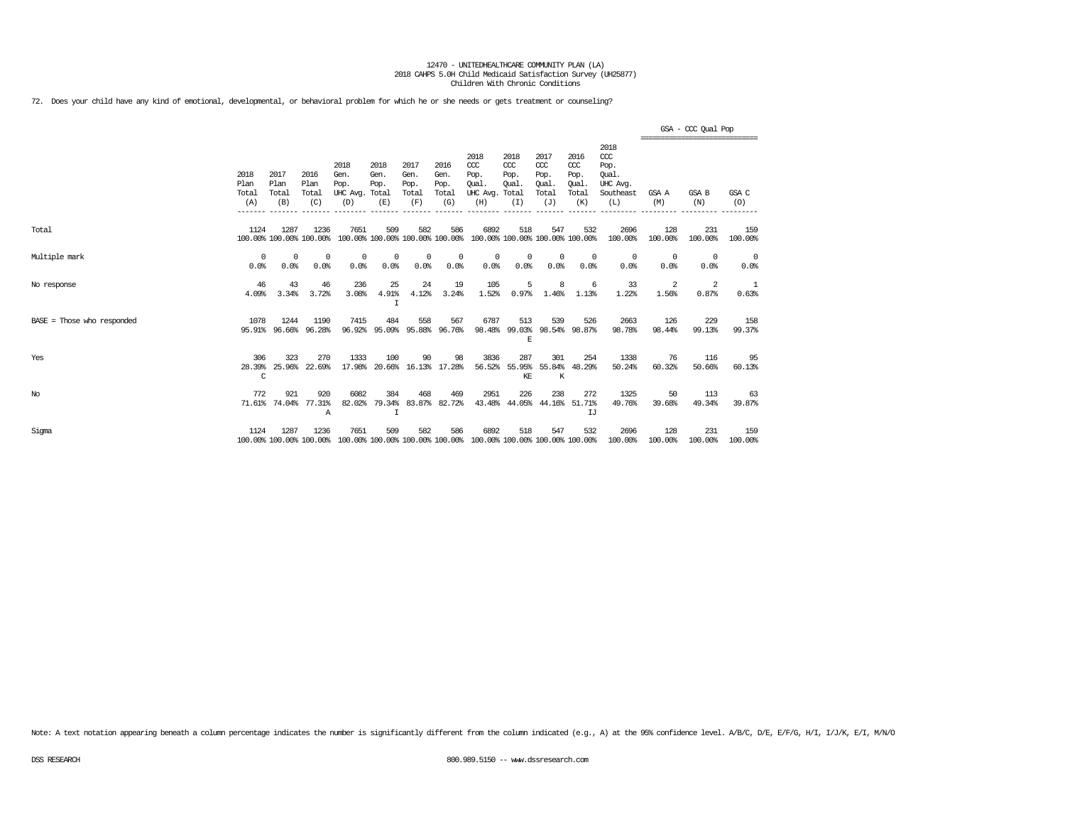72. Does your child have any kind of emotional, developmental, or behavioral problem for which he or she needs or gets treatment or counseling?

|                            |                              |                                 |                              |                                               |                             |                                        |                                      |                                                                         |                                     |                                              |                                                   |                                                                   |                    | GSA - CCC Qual Pop<br>,,,,,,,,,,,,,,,,,,,,,,,,,,,,,,,, |                    |
|----------------------------|------------------------------|---------------------------------|------------------------------|-----------------------------------------------|-----------------------------|----------------------------------------|--------------------------------------|-------------------------------------------------------------------------|-------------------------------------|----------------------------------------------|---------------------------------------------------|-------------------------------------------------------------------|--------------------|--------------------------------------------------------|--------------------|
|                            | 2018<br>Plan<br>Total<br>(A) | 2017<br>Plan<br>Total<br>(B)    | 2016<br>Plan<br>Total<br>(C) | 2018<br>Gen.<br>Pop.<br>UHC Avg. Total<br>(D) | 2018<br>Gen.<br>Pop.<br>(E) | 2017<br>Gen.<br>Pop.<br>Total<br>(F)   | 2016<br>Gen.<br>Pop.<br>Total<br>(G) | 2018<br>CCC<br>Pop.<br>Oual.<br>UHC Avg. Total<br>(H)                   | 2018<br>CCC<br>Pop.<br>Oual.<br>(I) | 2017<br>ccc<br>Pop.<br>Oual.<br>Total<br>(J) | 2016<br>$\alpha$<br>Pop.<br>Oual.<br>Total<br>(K) | 2018<br>$\alpha$<br>Pop.<br>Oual.<br>UHC Avg.<br>Southeast<br>(L) | GSA A<br>(M)       | GSA B<br>(N)                                           | GSA C<br>(O)       |
| Total                      | 1124                         | 1287<br>100.00% 100.00% 100.00% | 1236                         | 7651                                          | 509                         | 582<br>100.00% 100.00% 100.00% 100.00% | 586                                  | 6892<br>100.00% 100.00% 100.00% 100.00%                                 | 518                                 | 547                                          | 532                                               | 2696<br>100.00%                                                   | 128<br>100.00%     | 231<br>100.00%                                         | 159<br>100.00%     |
| Multiple mark              | $^{\circ}$<br>0.0%           | 0<br>0.0%                       | $^{\circ}$<br>0.0%           | 0<br>0.0%                                     | $^{\circ}$<br>0.0%          | $^{\circ}$<br>0.0%                     | $^{\circ}$<br>0.0%                   | $^{\circ}$<br>0.0%                                                      | $^{\circ}$<br>0.0%                  | $\mathbf 0$<br>0.0%                          | 0<br>0.0%                                         | $^{\circ}$<br>0.0%                                                | $^{\circ}$<br>0.0% | $^{\circ}$<br>0.0%                                     | $^{\circ}$<br>0.0% |
| No response                | 46<br>4.09%                  | 43<br>3.34%                     | 46<br>3.72%                  | 236<br>3.08%                                  | 25<br>4.91%<br>I            | 24<br>4.12%                            | 19<br>3.24%                          | 105<br>1.52%                                                            | 5<br>0.97%                          | 8<br>1.46%                                   | 6<br>1.13%                                        | 33<br>1.22%                                                       | 2<br>1.56%         | 2<br>0.87%                                             | 1<br>0.63%         |
| BASE = Those who responded | 1078                         | 1244<br>95.91% 96.66%           | 1190<br>96.28%               | 7415<br>96.92%                                | 484                         | 558<br>95.09% 95.88% 96.76%            | 567                                  | 6787<br>98.48%                                                          | 513<br>E                            | 539                                          | 526<br>99.03% 98.54% 98.87%                       | 2663<br>98.78%                                                    | 126<br>98.44%      | 229<br>99.13%                                          | 158<br>99.37%      |
| Yes                        | 306<br>28.39%<br>C           | 323<br>25.96%                   | 270<br>22.69%                | 1333<br>17.98%                                | 100<br>20.66%               | 90                                     | 98<br>16.13% 17.28%                  | 3836<br>56.52%                                                          | 287<br>KE                           | 301<br>55.95% 55.84%<br>K                    | 254<br>48.29%                                     | 1338<br>50.24%                                                    | 76<br>60.32%       | 116<br>50.66%                                          | 95<br>60.13%       |
| No                         | 772                          | 921<br>71.61% 74.04%            | 920<br>77.31%<br>A           | 6082<br>82.02%                                | 384<br>79.34%<br>I          | 468                                    | 469<br>83.87% 82.72%                 | 2951                                                                    | 226<br>43.48% 44.05% 44.16% 51.71%  | 238                                          | 272<br>IJ                                         | 1325<br>49.76%                                                    | 50<br>39.68%       | 113<br>49.34%                                          | 63<br>39.87%       |
| Sigma                      | 1124                         | 1287<br>100.00% 100.00% 100.00% | 1236                         | 7651                                          | 509                         | 582                                    | 586                                  | 6892<br>100.00% 100.00% 100.00% 100.00% 100.00% 100.00% 100.00% 100.00% | 518                                 | 547                                          | 532                                               | 2696<br>100.00%                                                   | 128<br>100.00%     | 231<br>100.00%                                         | 159<br>100.00%     |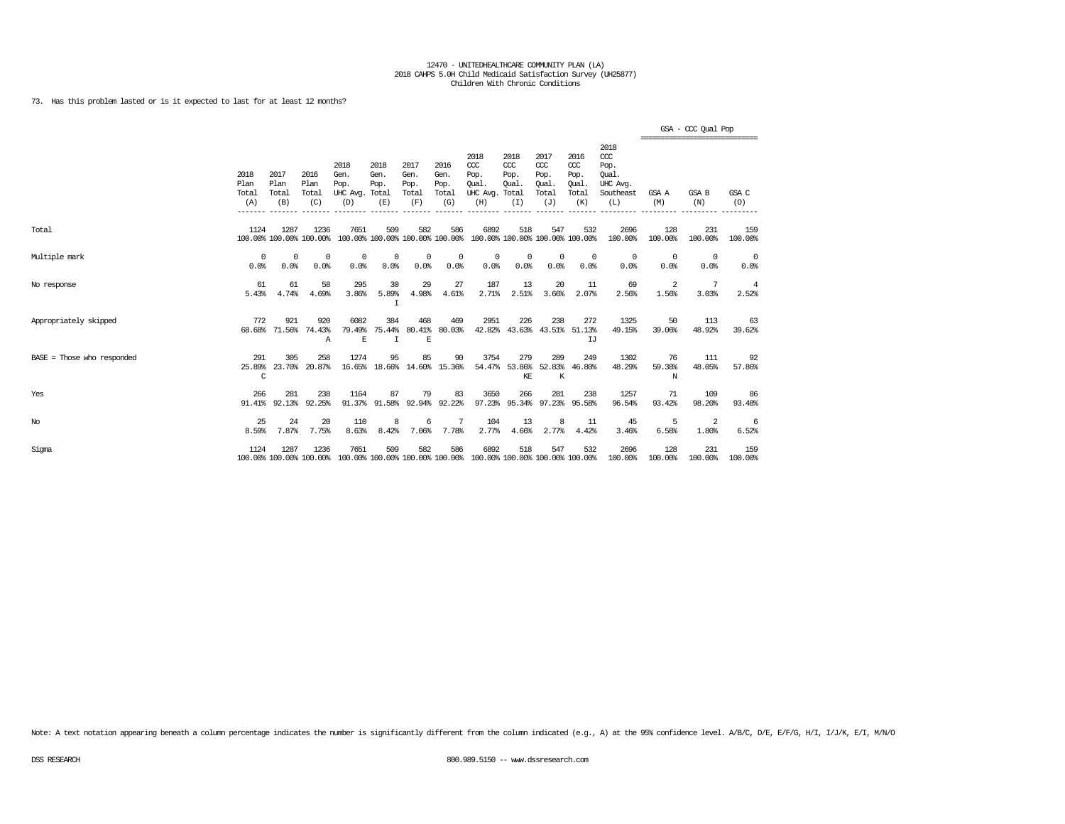73. Has this problem lasted or is it expected to last for at least 12 months?

|                            |                              |                              |                                 |                                                                                         |                              |                                      |                                      |                                                                         |                                              |                                                   |                                                   |                                                                   | ================================ | GSA - CCC Qual Pop |                         |
|----------------------------|------------------------------|------------------------------|---------------------------------|-----------------------------------------------------------------------------------------|------------------------------|--------------------------------------|--------------------------------------|-------------------------------------------------------------------------|----------------------------------------------|---------------------------------------------------|---------------------------------------------------|-------------------------------------------------------------------|----------------------------------|--------------------|-------------------------|
|                            | 2018<br>Plan<br>Total<br>(A) | 2017<br>Plan<br>Total<br>(B) | 2016<br>Plan<br>Total<br>(C)    | 2018<br>Gen.<br>Pop.<br>UHC Avg. Total<br>(D)                                           | 2018<br>Gen.<br>Pop.<br>(E)  | 2017<br>Gen.<br>Pop.<br>Total<br>(F) | 2016<br>Gen.<br>Pop.<br>Total<br>(G) | 2018<br>CCC<br>Pop.<br>Oual.<br>UHC Avg.<br>(H)                         | 2018<br>ccc<br>Pop.<br>Oual.<br>Total<br>(I) | 2017<br>$\alpha$<br>Pop.<br>Oual.<br>Total<br>(J) | 2016<br>$\alpha$<br>Pop.<br>Oual.<br>Total<br>(K) | 2018<br>$\alpha$<br>Pop.<br>Oual.<br>UHC Avg.<br>Southeast<br>(L) | GSA A<br>(M)                     | GSA B<br>(N)       | GSA C<br>(O)            |
| Total                      | 1124                         | 1287                         | 1236<br>100.00% 100.00% 100.00% | 7651                                                                                    | 509                          | 582                                  | 586                                  | 6892<br>100.00% 100.00% 100.00% 100.00% 100.00% 100.00% 100.00% 100.00% | 518                                          | 547                                               | 532                                               | 2696<br>100.00%                                                   | 128<br>100.00%                   | 231<br>100.00%     | 159<br>100.00%          |
| Multiple mark              | $^{\circ}$<br>0.0%           | $^{\circ}$<br>0.0%           | $^{\circ}$<br>0.0%              | $^{\circ}$<br>0.0%                                                                      | $\Omega$<br>0.0%             | $^{\circ}$<br>0.0%                   | 0<br>0.0%                            | $^{\circ}$<br>0.0%                                                      | 0<br>0.0%                                    | $\Omega$<br>0.0%                                  | $^{\circ}$<br>0.0%                                | $^{\circ}$<br>0.0%                                                | $\overline{0}$<br>0.0%           | $^{\circ}$<br>0.0% | $^{\circ}$<br>0.0%      |
| No response                | 61<br>5.43%                  | 61<br>4.74%                  | 58<br>4.69%                     | 295<br>3.86%                                                                            | 30<br>5.89%<br>I             | 29<br>4.98%                          | 27<br>4.61%                          | 187<br>2.71%                                                            | 13<br>2.51%                                  | 20<br>3.66%                                       | 11<br>2.07%                                       | 69<br>2.56%                                                       | 2<br>1.56%                       | 7<br>3.03%         | $\overline{4}$<br>2.52% |
| Appropriately skipped      | 772<br>68.68%                | 921<br>71.56%                | 920<br>74.43%<br>Α              | 6082<br>79.49%<br>$\mathbb E$                                                           | 384<br>75.44%<br>$\mathbf I$ | 468<br>$\mathbf E$                   | 469<br>80.41% 80.03%                 | 2951<br>42.82%                                                          | 226                                          | 238<br>43.63% 43.51% 51.13%                       | 272<br>IJ                                         | 1325<br>49.15%                                                    | 50<br>39.06%                     | 113<br>48.92%      | 63<br>39.62%            |
| BASE = Those who responded | 291<br>25.89%<br>C           | 305<br>23.70%                | 258<br>20.87%                   | 1274                                                                                    | 95<br>16.65% 18.66%          | 85                                   | 90<br>14.60% 15.36%                  | 3754                                                                    | 279<br>54.47% 53.86%<br>KE                   | 289<br>$\rm K$                                    | 249<br>52.83% 46.80%                              | 1302<br>48.29%                                                    | 76<br>59.38%<br>N                | 111<br>48.05%      | 92<br>57.86%            |
| Yes                        | 266<br>91.41%                | 281                          | 238<br>92.13% 92.25%            | 1164                                                                                    | 87<br>91.37% 91.58%          | 79                                   | 83<br>92.94% 92.22%                  | 3650                                                                    | 266                                          | 281<br>97.23% 95.34% 97.23% 95.58%                | 238                                               | 1257<br>96.54%                                                    | 71<br>93.42%                     | 109<br>98.20%      | 86<br>93.48%            |
| $_{\mathrm{No}}$           | 25<br>8.59%                  | 24<br>7.87%                  | 20<br>7.75%                     | 110<br>8.63%                                                                            | 8<br>8.42%                   | 6<br>7.06%                           | 7<br>7.78%                           | 104<br>2.77%                                                            | 13<br>4.66%                                  | 8<br>2.77%                                        | 11<br>4.42%                                       | 45<br>3.46%                                                       | 5<br>6.58%                       | 2<br>1.80%         | 6<br>6.52%              |
| Sigma                      | 1124                         | 1287                         | 1236                            | 7651<br>100.00% 100.00% 100.00% 100.00% 100.00% 100.00% 100.00% 100.00% 100.00% 100.00% | 509                          | 582                                  | 586                                  | 6892                                                                    | 518                                          | 547                                               | 532                                               | 2696<br>100.00%                                                   | 128<br>100.00%                   | 231<br>100.00%     | 159<br>100.00%          |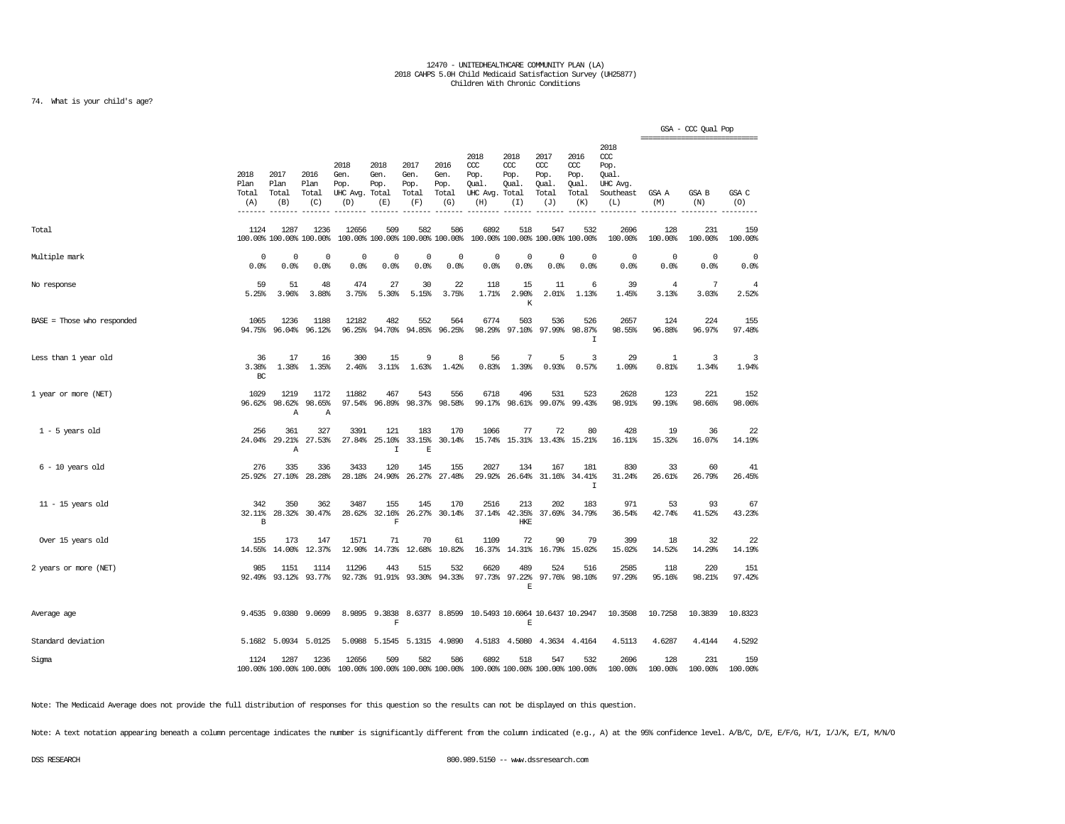### 74. What is your child's age?

|                              |                              |                              |                                 |                                         |                                          |                                      |                                      |                                                                         |                                     |                                                   |                                              |                                                              |                                                 | GSA - CCC Qual Pop |                     |
|------------------------------|------------------------------|------------------------------|---------------------------------|-----------------------------------------|------------------------------------------|--------------------------------------|--------------------------------------|-------------------------------------------------------------------------|-------------------------------------|---------------------------------------------------|----------------------------------------------|--------------------------------------------------------------|-------------------------------------------------|--------------------|---------------------|
|                              | 2018<br>Plan<br>Total<br>(A) | 2017<br>Plan<br>Total<br>(B) | 2016<br>Plan<br>Total<br>(C)    | 2018<br>Gen.<br>Pop.<br>UHC Avg.<br>(D) | 2018<br>Gen.<br>Pop.<br>Total<br>(E)     | 2017<br>Gen.<br>Pop.<br>Total<br>(F) | 2016<br>Gen.<br>Pop.<br>Total<br>(G) | 2018<br>ccc<br>Pop.<br>Qual.<br>UHC Avg. Total<br>(H)                   | 2018<br>ccc<br>Pop.<br>Qual.<br>(I) | 2017<br>$\alpha$<br>Pop.<br>Qual.<br>Total<br>(J) | 2016<br>ccc<br>Pop.<br>Qual.<br>Total<br>(K) | 2018<br>ccc<br>Pop.<br>Qual.<br>UHC Avg.<br>Southeast<br>(L) | -------------------------------<br>GSA A<br>(M) | GSA B<br>(N)       | GSA C<br>(0)        |
| Total                        | 1124                         | 1287                         | 1236<br>100.00% 100.00% 100.00% | 12656                                   | 509<br>100.00% 100.00% 100.00% 100.00%   | 582                                  | 586                                  | 6892                                                                    | 518                                 | 547<br>100.00% 100.00% 100.00% 100.00%            | 532                                          | 2696<br>100.00%                                              | 128<br>100.00%                                  | 231<br>100.00%     | 159<br>100.00%      |
| Multiple mark                | $\mathbf 0$<br>0.0%          | 0<br>0.0%                    | $^{\circ}$<br>0.0%              | $\mathbf 0$<br>0.0%                     | 0<br>0.0%                                | 0<br>0.0%                            | 0<br>0.0%                            | 0<br>0.0%                                                               | 0<br>0.0%                           | 0<br>0.0%                                         | $\mathbf{0}$<br>0.0%                         | 0<br>0.0%                                                    | $\circ$<br>0.0%                                 | 0<br>0.0%          | $\mathbf 0$<br>0.0% |
| No response                  | 59<br>5.25%                  | 51<br>3.96%                  | 48<br>3.88%                     | 474<br>3.75%                            | 27<br>5.30%                              | 30<br>5.15%                          | 22<br>3.75%                          | 118<br>1.71%                                                            | 15<br>2.90%<br>K                    | 11<br>2.01%                                       | 6<br>1.13%                                   | 39<br>1.45%                                                  | 4<br>3.13%                                      | 7<br>3.03%         | 4<br>2.52%          |
| $BASE = Those who responded$ | 1065<br>94.75%               | 1236<br>96.04%               | 1188<br>96.12%                  | 12182                                   | 482<br>96.25% 94.70%                     | 552                                  | 564<br>94.85% 96.25%                 | 6774<br>98.29%                                                          | 503<br>97.10%                       | 536                                               | 526<br>97.99% 98.87%<br>$\mathbbm{I}$        | 2657<br>98.55%                                               | 124<br>96.88%                                   | 224<br>96.97%      | 155<br>97.48%       |
| Less than 1 year old         | 36<br>3.38%<br>BC            | 17<br>1.38%                  | 16<br>1.35%                     | 300<br>2.46%                            | 15<br>3.11%                              | 9<br>1.63%                           | 8<br>1.42%                           | 56<br>0.83%                                                             | 7<br>1.39%                          | 5<br>0.93%                                        | 3<br>0.57%                                   | 29<br>1.09%                                                  | -1<br>0.81%                                     | 3<br>1.34%         | 3<br>1.94%          |
| 1 year or more (NET)         | 1029<br>96.62%               | 1219<br>98.62%<br>Α          | 1172<br>98.65%<br>Α             | 11882                                   | 467<br>97.54% 96.89%                     | 543                                  | 556<br>98.37% 98.58%                 | 6718                                                                    | 496<br>99.17% 98.61%                | 531<br>99.07%                                     | 523<br>99.43%                                | 2628<br>98.91%                                               | 123<br>99.19%                                   | 221<br>98.66%      | 152<br>98.06%       |
| $1 - 5$ years old            | 256<br>24.04%                | 361<br>29.21%<br>Α           | 327<br>27.53%                   | 3391<br>27.84%                          | 121<br>25.10%<br>$\mathbf I$             | 183<br>33.15%<br>E                   | 170<br>30.14%                        | 1066                                                                    | 77                                  | 72<br>15.74% 15.31% 13.43% 15.21%                 | 80                                           | 428<br>16.11%                                                | 19<br>15.32%                                    | 36<br>16.07%       | 22<br>14.19%        |
| $6 - 10$ years old           | 276<br>25.92%                | 335<br>27.10%                | 336<br>28.28%                   | 3433<br>28.18%                          | 120<br>24.90%                            | 145<br>26.27%                        | 155<br>27.48%                        | 2027<br>29.92%                                                          | 134<br>26.64%                       | 167                                               | 181<br>31.16% 34.41%<br>$\mathbf I$          | 830<br>31.24%                                                | 33<br>26.61%                                    | 60<br>26.79%       | 41<br>26.45%        |
| $11 - 15$ years old          | 342<br>32.11%<br>B           | 350<br>28.32%                | 362<br>30.47%                   | 3487<br>28.62%                          | 155<br>32.16%<br>$\mathbf F$             | 145                                  | 170<br>26.27% 30.14%                 | 2516                                                                    | 213<br>37.14% 42.35%<br>HKE         | 202                                               | 183<br>37.69% 34.79%                         | 971<br>36.54%                                                | 53<br>42.74%                                    | 93<br>41.52%       | 67<br>43.23%        |
| Over 15 years old            | 155<br>14.55%                | 173<br>14.00%                | 147<br>12.37%                   | 1571<br>12.90%                          | 71<br>14.73%                             | 70                                   | 61<br>12.68% 10.82%                  | 1109                                                                    | 72<br>16.37% 14.31%                 | 90<br>16.79%                                      | 79<br>15.02%                                 | 399<br>15.02%                                                | 18<br>14.52%                                    | 32<br>14.29%       | 22<br>14.19%        |
| 2 years or more (NET)        | 985<br>92.49%                | 1151<br>93.12%               | 1114<br>93.77%                  | 11296<br>92.73%                         | 443<br>91.91%                            | 515<br>93.30%                        | 532<br>94.33%                        | 6620<br>97.73%                                                          | 489<br>97.22%<br>$\mathbf E$        | 524                                               | 516<br>97.76% 98.10%                         | 2585<br>97.29%                                               | 118<br>95.16%                                   | 220<br>98.21%      | 151<br>97.42%       |
| Average age                  |                              |                              | 9.4535 9.0380 9.0699            |                                         | 8.9895 9.3838<br>$\overline{\mathbf{F}}$ |                                      | 8.6377 8.8599                        | 10.5493 10.6064 10.6437 10.2947                                         | $\mathbb E$                         |                                                   |                                              | 10.3508                                                      | 10.7258                                         | 10.3839            | 10.8323             |
| Standard deviation           |                              |                              | 5.1682 5.0934 5.0125            | 5.0988                                  | 5.1545                                   |                                      | 5.1315 4.9890                        |                                                                         | 4.5183 4.5080                       |                                                   | 4.3634 4.4164                                | 4.5113                                                       | 4.6287                                          | 4.4144             | 4.5292              |
| Sigma                        | 1124                         | 1287                         | 1236<br>100.00% 100.00% 100.00% | 12656                                   | 509                                      | 582                                  | 586                                  | 6892<br>100.00% 100.00% 100.00% 100.00% 100.00% 100.00% 100.00% 100.00% | 518                                 | 547                                               | 532                                          | 2696<br>100.00%                                              | 128<br>100.00%                                  | 231<br>100.00%     | 159<br>100.00%      |

Note: The Medicaid Average does not provide the full distribution of responses for this question so the results can not be displayed on this question.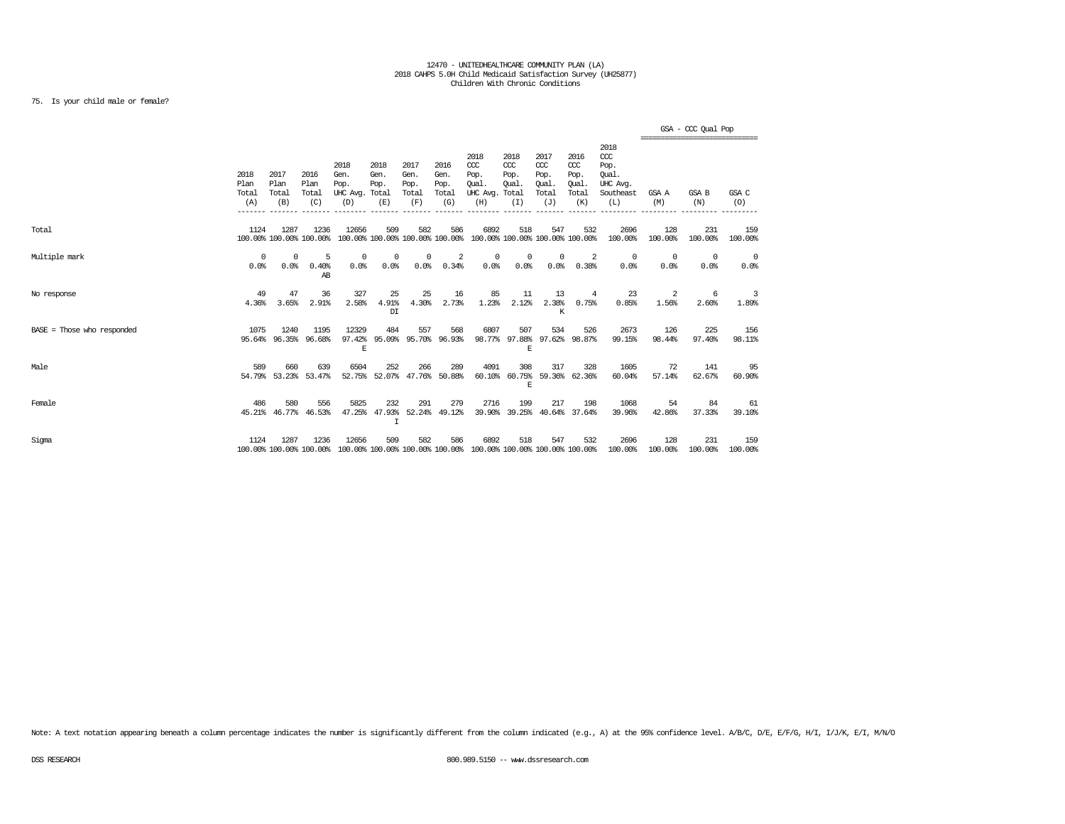### 75. Is your child male or female?

|                            |                              |                              |                                 |                                               |                                                    |                                      |                                      |                                                                         |                                              |                                                   |                                              |                                                                   |                    | GSA - CCC Qual Pop<br>------------------------------ |                        |
|----------------------------|------------------------------|------------------------------|---------------------------------|-----------------------------------------------|----------------------------------------------------|--------------------------------------|--------------------------------------|-------------------------------------------------------------------------|----------------------------------------------|---------------------------------------------------|----------------------------------------------|-------------------------------------------------------------------|--------------------|------------------------------------------------------|------------------------|
|                            | 2018<br>Plan<br>Total<br>(A) | 2017<br>Plan<br>Total<br>(B) | 2016<br>Plan<br>Total<br>(C)    | 2018<br>Gen.<br>Pop.<br>UHC Avg. Total<br>(D) | 2018<br>Gen.<br>Pop.<br>(E)                        | 2017<br>Gen.<br>Pop.<br>Total<br>(F) | 2016<br>Gen.<br>Pop.<br>Total<br>(G) | 2018<br>CCC<br>Pop.<br>Oual.<br>UHC Avg.<br>(H)                         | 2018<br>CCC<br>Pop.<br>Oual.<br>Total<br>(I) | 2017<br>$\alpha$<br>Pop.<br>Oual.<br>Total<br>(J) | 2016<br>ccc<br>Pop.<br>Oual.<br>Total<br>(K) | 2018<br>$\alpha$<br>Pop.<br>Oual.<br>UHC Avq.<br>Southeast<br>(L) | GSA A<br>(M)       | GSA B<br>(N)                                         | GSA C<br>(O)           |
| Total                      | 1124                         | 1287                         | 1236<br>100.00% 100.00% 100.00% | 12656                                         | 509                                                | 582                                  | 586                                  | 6892<br>100.00% 100.00% 100.00% 100.00% 100.00% 100.00% 100.00% 100.00% | 518                                          | 547                                               | 532                                          | 2696<br>100.00%                                                   | 128<br>100.00%     | 231<br>100.00%                                       | 159<br>100.00%         |
| Multiple mark              | $^{\circ}$<br>0.0%           | $^{\circ}$<br>0.0%           | -5<br>0.40%<br>AB               | $\mathbf 0$<br>0.0%                           | 0<br>0.0%                                          | 0<br>0.0%                            | 2<br>0.34%                           | $^{\circ}$<br>$0.0$ %                                                   | 0<br>0.0%                                    | $^{\circ}$<br>0.0%                                | 2<br>0.38%                                   | $\overline{0}$<br>0.0%                                            | $^{\circ}$<br>0.0% | $^{\circ}$<br>0.0%                                   | $\overline{0}$<br>0.0% |
| No response                | 49<br>4.36%                  | 47<br>3.65%                  | 36<br>2.91%                     | 327<br>2.58%                                  | 25<br>4.91%<br>DI                                  | 25<br>4.30%                          | 16<br>2.73%                          | 85<br>1.23%                                                             | 11<br>2.12%                                  | 13<br>2.38%<br>K                                  | 4<br>0.75%                                   | 23<br>0.85%                                                       | 2<br>1.56%         | 6<br>2.60%                                           | 3<br>1.89%             |
| BASE = Those who responded | 1075<br>95.64%               | 1240<br>96.35%               | 1195<br>96.68%                  | 12329<br>97.42%<br>E                          | 484<br>95.09%                                      | 557                                  | 568<br>95.70% 96.93%                 | 6807                                                                    | 507<br>98.77% 97.88%<br>E                    | 534                                               | 526<br>97.62% 98.87%                         | 2673<br>99.15%                                                    | 126<br>98.44%      | 225<br>97.40%                                        | 156<br>98.11%          |
| Male                       | 589                          | 660<br>54.79% 53.23% 53.47%  | 639                             | 6504                                          | 252<br>52.75% 52.07% 47.76% 50.88%                 | 266                                  | 289                                  | 4091                                                                    | 308<br>60.10% 60.75%<br>F.                   | 317                                               | 328<br>59.36% 62.36%                         | 1605<br>60.04%                                                    | 72<br>57.14%       | 141<br>62.67%                                        | 95<br>60.90%           |
| Female                     | 486                          | 580<br>45.21% 46.77%         | 556<br>46.53%                   | 5825                                          | 232<br>47.25% 47.93% 52.24% 49.12%<br>$\mathsf{T}$ | 291                                  | 279                                  | 2716                                                                    | 199<br>39.90% 39.25%                         | 217                                               | 198<br>40.64% 37.64%                         | 1068<br>39.96%                                                    | 54<br>42.86%       | 84<br>37.33%                                         | 61<br>39.10%           |
| Sigma                      | 1124                         | 1287                         | 1236<br>100.00% 100.00% 100.00% | 12656                                         | 509                                                | 582                                  | 586                                  | 6892<br>100.00% 100.00% 100.00% 100.00% 100.00% 100.00% 100.00% 100.00% | 518                                          | 547                                               | 532                                          | 2696<br>100.00%                                                   | 128<br>100.00%     | 231<br>100.00%                                       | 159<br>100.00%         |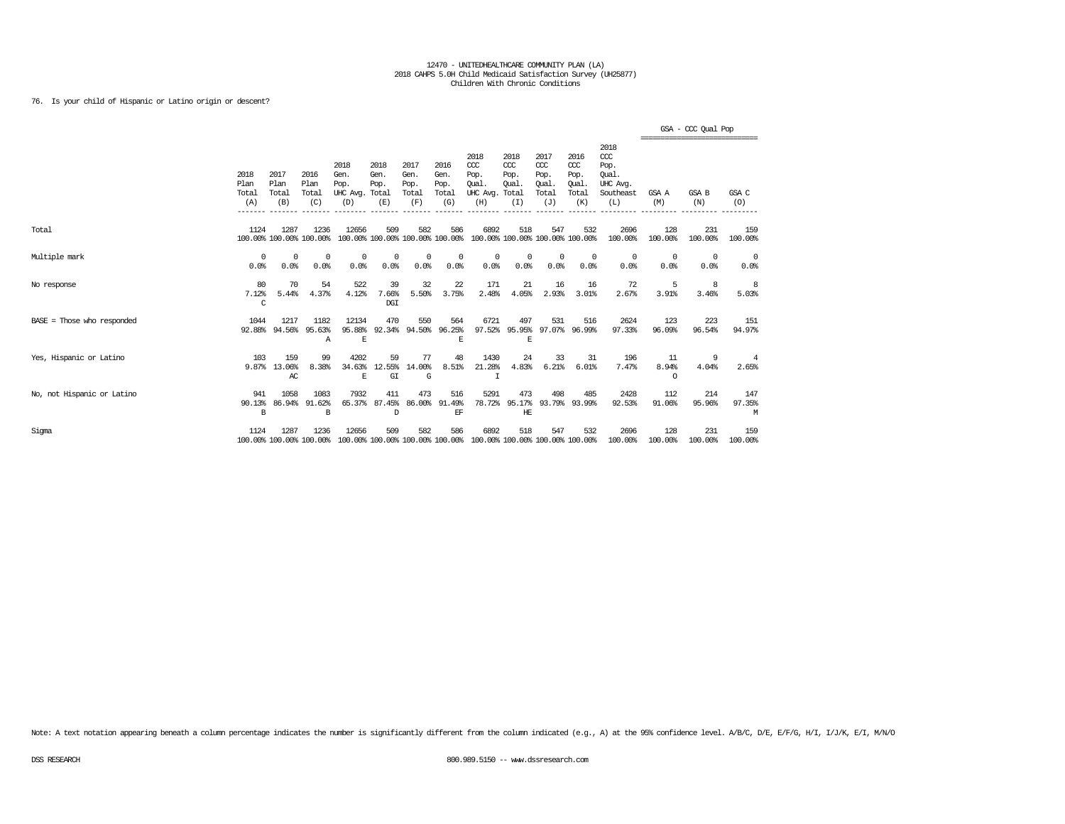### 76. Is your child of Hispanic or Latino origin or descent?

|                            |                              |                              |                                 |                                               |                                        |                                      |                                      |                                                                         |                                              |                                                   |                                              |                                                                   |                         | GSA - CCC Qual Pop<br>================================ |                    |
|----------------------------|------------------------------|------------------------------|---------------------------------|-----------------------------------------------|----------------------------------------|--------------------------------------|--------------------------------------|-------------------------------------------------------------------------|----------------------------------------------|---------------------------------------------------|----------------------------------------------|-------------------------------------------------------------------|-------------------------|--------------------------------------------------------|--------------------|
|                            | 2018<br>Plan<br>Total<br>(A) | 2017<br>Plan<br>Total<br>(B) | 2016<br>Plan<br>Total<br>(C)    | 2018<br>Gen.<br>Pop.<br>UHC Avg. Total<br>(D) | 2018<br>Gen.<br>Pop.<br>(E)            | 2017<br>Gen.<br>Pop.<br>Total<br>(F) | 2016<br>Gen.<br>Pop.<br>Total<br>(G) | 2018<br>CCC<br>Pop.<br>Oual.<br>UHC Avg.<br>(H)                         | 2018<br>CCC<br>Pop.<br>Oual.<br>Total<br>(I) | 2017<br>$\alpha$<br>Pop.<br>Oual.<br>Total<br>(J) | 2016<br>ccc<br>Pop.<br>Qual.<br>Total<br>(K) | 2018<br>$\alpha$<br>Pop.<br>Oual.<br>UHC Avq.<br>Southeast<br>(L) | GSA A<br>(M)            | GSA B<br>(N)                                           | GSA C<br>(0)       |
| Total                      | 1124                         | 1287                         | 1236<br>100.00% 100.00% 100.00% | 12656                                         | 509<br>100.00% 100.00% 100.00% 100.00% | 582                                  | 586                                  | 6892<br>100.00% 100.00% 100.00% 100.00%                                 | 518                                          | 547                                               | 532                                          | 2696<br>100.00%                                                   | 128<br>100.00%          | 231<br>100.00%                                         | 159<br>100.00%     |
| Multiple mark              | $^{\circ}$<br>0.0%           | $^{\circ}$<br>0.0%           | $^{\circ}$<br>0.0%              | $^{\circ}$<br>0.0%                            | $\Omega$<br>0.0%                       | 0<br>0.0%                            | $^{\circ}$<br>0.0%                   | 0<br>0.0%                                                               | $\Omega$<br>0.0%                             | $\circ$<br>0.0%                                   | $^{\circ}$<br>0.0%                           | $^{\circ}$<br>0.0%                                                | 0<br>0.0%               | $^{\circ}$<br>0.0%                                     | $^{\circ}$<br>0.0% |
| No response                | 80<br>7.12%<br>C             | 70<br>5.44%                  | 54<br>4.37%                     | 522<br>4.12%                                  | 39<br>7.66%<br>DGI                     | 32<br>5.50%                          | 22<br>3.75%                          | 171<br>2.48%                                                            | 21<br>4.05%                                  | 16<br>2.93%                                       | 16<br>3.01%                                  | 72<br>2.67%                                                       | 5<br>3.91%              | 8<br>3.46%                                             | 8<br>5.03%         |
| BASE = Those who responded | 1044<br>92.88%               | 1217<br>94.56%               | 1182<br>95.63%<br>Α             | 12134<br>95.88%<br>E                          | 470<br>92.34%                          | 550<br>94.50%                        | 564<br>96.25%<br>E                   | 6721<br>97.52%                                                          | 497<br>95.95%<br>E                           | 531<br>97.07%                                     | 516<br>96.99%                                | 2624<br>97.33%                                                    | 123<br>96.09%           | 223<br>96.54%                                          | 151<br>94.97%      |
| Yes, Hispanic or Latino    | 103<br>9.87%                 | 159<br>13.06%<br>AC          | 99<br>8.38%                     | 4202<br>34.63%<br>E                           | 59<br>12.55%<br>GI                     | 77<br>14.00%<br>G                    | 48<br>8.51%                          | 1430<br>21.28%<br>I                                                     | 24<br>4.83%                                  | 33<br>6.21%                                       | 31<br>6.01%                                  | 196<br>7.47%                                                      | 11<br>8.94%<br>$\Omega$ | 9<br>4.04%                                             | 4<br>2.65%         |
| No, not Hispanic or Latino | 941<br>90.13%<br>B           | 1058<br>86.94%               | 1083<br>91.62%<br>B             | 7932<br>65.37%                                | 411<br>87.45%<br>D                     | 473<br>86,00%                        | 516<br>91.49%<br>EF                  | 5291<br>78.72%                                                          | 473<br>95.17%<br>HE                          | 498                                               | 485<br>93.79% 93.99%                         | 2428<br>92.53%                                                    | 112<br>91.06%           | 214<br>95.96%                                          | 147<br>97.35%<br>М |
| Sigma                      | 1124                         | 1287                         | 1236<br>100.00% 100.00% 100.00% | 12656                                         | 509                                    | 582                                  | 586                                  | 6892<br>100.00% 100.00% 100.00% 100.00% 100.00% 100.00% 100.00% 100.00% | 518                                          | 547                                               | 532                                          | 2696<br>100.00%                                                   | 128<br>100.00%          | 231<br>100.00%                                         | 159<br>100.00%     |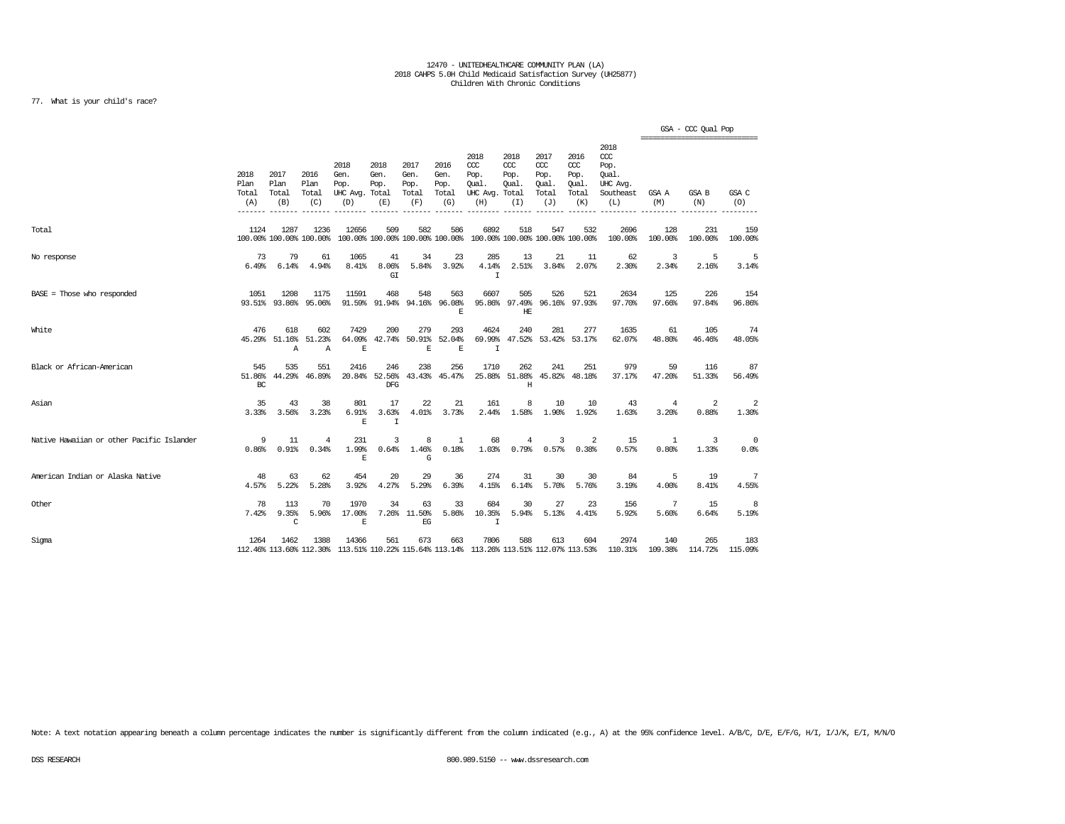### 77. What is your child's race?

|                                           |                              |                                 |                               |                                               |                             |                                      |                                      |                                                                         |                                     |                                                   |                                              |                                                                                                                                 | =============================== | GSA - CCC Qual Pop  |                         |
|-------------------------------------------|------------------------------|---------------------------------|-------------------------------|-----------------------------------------------|-----------------------------|--------------------------------------|--------------------------------------|-------------------------------------------------------------------------|-------------------------------------|---------------------------------------------------|----------------------------------------------|---------------------------------------------------------------------------------------------------------------------------------|---------------------------------|---------------------|-------------------------|
|                                           | 2018<br>Plan<br>Total<br>(A) | 2017<br>Plan<br>Total<br>(B)    | 2016<br>Plan<br>Total<br>(C)  | 2018<br>Gen.<br>Pop.<br>UHC Avg. Total<br>(D) | 2018<br>Gen.<br>Pop.<br>(E) | 2017<br>Gen.<br>Pop.<br>Total<br>(F) | 2016<br>Gen.<br>Pop.<br>Total<br>(G) | 2018<br>$CC$<br>Pop.<br>Oual.<br>UHC Avg. Total<br>(H)                  | 2018<br>CCC<br>Pop.<br>Oual.<br>(I) | 2017<br>$\alpha$<br>Pop.<br>Oual.<br>Total<br>(J) | 2016<br>ccc<br>Pop.<br>Oual.<br>Total<br>(K) | 2018<br>$\alpha$<br>Pop.<br>Oual.<br>UHC Avg.<br>Southeast<br>(L)                                                               | GSA A<br>(M)                    | <b>GSA B</b><br>(N) | GSA C<br>(O)            |
| Total                                     | 1124                         | 1287<br>100.00% 100.00% 100.00% | 1236                          | 12656                                         | 509                         | 582                                  | 586                                  | 6892<br>100.00% 100.00% 100.00% 100.00% 100.00% 100.00% 100.00% 100.00% | 518                                 | 547                                               | 532                                          | 2696<br>100.00%                                                                                                                 | 128<br>100.00%                  | 231<br>100.00%      | 159<br>100.00%          |
| No response                               | 73<br>6.49%                  | 79<br>6.14%                     | 61<br>4.94%                   | 1065<br>8.41%                                 | 41<br>8.06%<br>GI           | 34<br>5.84%                          | 23<br>3.92%                          | 285<br>4.14%<br>T                                                       | 13<br>2.51%                         | 21<br>3.84%                                       | -11<br>2.07%                                 | 62<br>2.30%                                                                                                                     | 3<br>2.34%                      | 5<br>2.16%          | 5<br>3.14%              |
| $BASE = Those who responded$              | 1051                         | 1208<br>93.51% 93.86%           | 1175<br>95.06%                | 11591                                         | 468<br>91.59% 91.94%        | 548                                  | 563<br>94.16% 96.08%<br>E            | 6607                                                                    | 505<br>HE                           | 526<br>95.86% 97.49% 96.16% 97.93%                | 521                                          | 2634<br>97.70%                                                                                                                  | 125<br>97.66%                   | 226<br>97.84%       | 154<br>96.86%           |
| White                                     | 476<br>45.29%                | 618<br>51.16%<br>$\mathbb{A}$   | 602<br>51.23%<br>$\mathbb{A}$ | 7429<br>64.09%<br>E                           | 200<br>42.74%               | 279<br>50.91%<br>E                   | 293<br>52.04%<br>$\mathbb E$         | 4624<br>69.99%<br>I                                                     | 240                                 | 281<br>47.52% 53.42% 53.17%                       | 277                                          | 1635<br>62.07%                                                                                                                  | 61<br>48.80%                    | 105<br>46.46%       | 74<br>48.05%            |
| Black or African-American                 | 545<br>51.86%<br>BC          | 535<br>44.29%                   | 551<br>46.89%                 | 2416<br>20.84%                                | 246<br>52.56%<br>DFG        | 238                                  | 256<br>43.43% 45.47%                 | 1710                                                                    | 262<br>25.88% 51.88%<br>Η           | 241                                               | 251<br>45.82% 48.18%                         | 979<br>37.17%                                                                                                                   | 59<br>47.20%                    | 116<br>51.33%       | 87<br>56.49%            |
| Asian                                     | 35<br>3.33%                  | 43<br>3.56%                     | 38<br>3.23%                   | 801<br>6.91%<br>E                             | 17<br>3.63%<br>$\mathbf I$  | 22<br>4.01%                          | 21<br>3.73%                          | 161<br>2.44%                                                            | 8<br>1.58%                          | 10<br>1.90%                                       | 10<br>1.92%                                  | 43<br>1.63%                                                                                                                     | 4<br>3.20%                      | 2<br>0.88%          | $\overline{2}$<br>1.30% |
| Native Hawaiian or other Pacific Islander | 9<br>0.86%                   | 11<br>0.91%                     | $\overline{4}$<br>0.34%       | 231<br>1.99%<br>F.                            | 3<br>0.64%                  | 8<br>1.46%<br>G                      | $\mathbf{1}$<br>0.18%                | 68<br>1.03%                                                             | $\overline{4}$<br>0.79%             | 3<br>0.57%                                        | 2<br>0.38%                                   | 15<br>0.57%                                                                                                                     | $\mathbf{1}$<br>0.80%           | 3<br>1.33%          | $\overline{0}$<br>0.0%  |
| American Indian or Alaska Native          | 48<br>4.57%                  | 63<br>5.22%                     | 62<br>5.28%                   | 454<br>3.92%                                  | 20<br>4.27%                 | 29<br>5.29%                          | 36<br>6.39%                          | 274<br>4.15%                                                            | 31<br>6.14%                         | 30<br>5.70%                                       | 30<br>5.76%                                  | 84<br>3.19%                                                                                                                     | 5<br>4.00%                      | 19<br>8.41%         | 7<br>4.55%              |
| Other                                     | 78<br>7.42%                  | 113<br>9.35%<br>C               | 70<br>5.96%                   | 1970<br>17.00%<br>$\mathbf E$                 | 34<br>7.26%                 | 63<br>11.50%<br>$EG$                 | 33<br>5.86%                          | 684<br>10.35%<br>$\mathbf I$                                            | 30<br>5.94%                         | 27<br>5.13%                                       | 23<br>4.41%                                  | 156<br>5.92%                                                                                                                    | 7<br>5.60%                      | 15<br>6.64%         | 8<br>5.19%              |
| Sigma                                     | 1264                         | 1462                            | 1388                          | 14366                                         | 561                         | 673                                  | 663                                  | 7806                                                                    | 588                                 | 613                                               | 604                                          | 2974<br>112.46% 113.60% 112.30% 113.51% 110.22% 115.64% 113.14% 113.26% 113.51% 112.07% 113.53% 110.31% 109.38% 114.72% 115.09% | 140                             | 265                 | 183                     |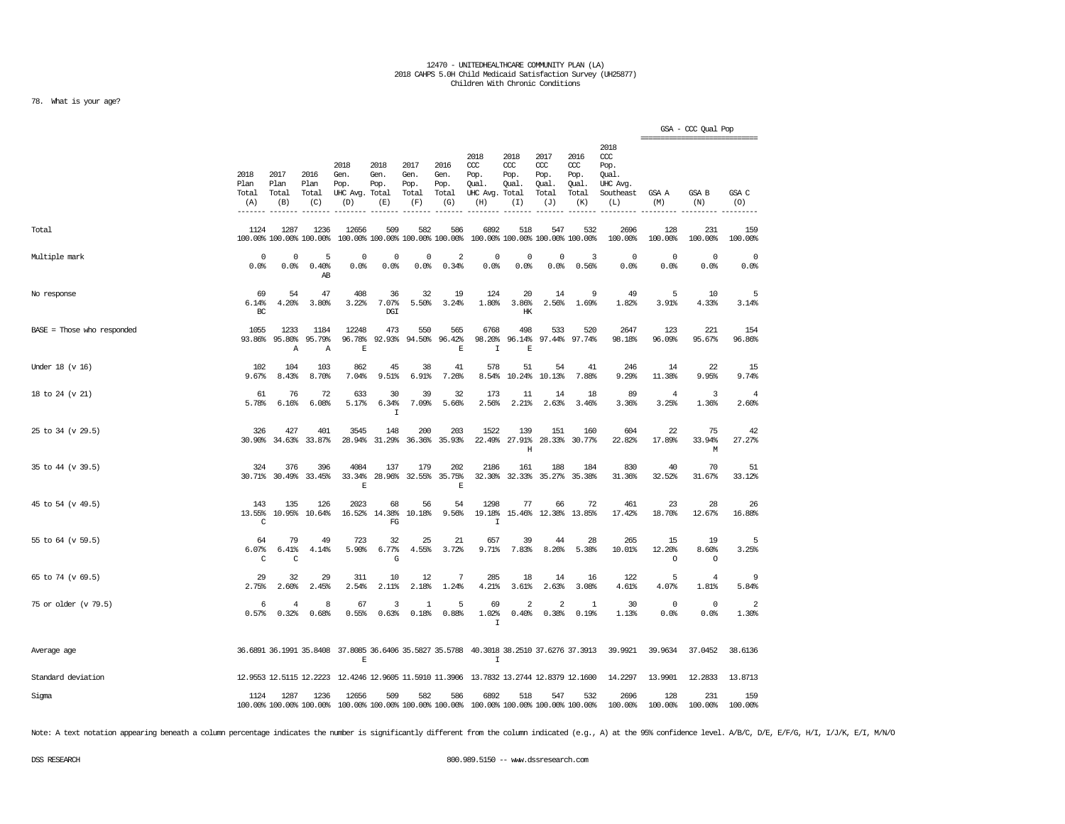### 78. What is your age?

|                            |                                         |                                 |                                |                                               |                                        |                                      |                                      |                                                                                                        |                                     |                                              |                                              |                                                                   |                         | GSA - CCC Qual Pop<br>================================ |                         |
|----------------------------|-----------------------------------------|---------------------------------|--------------------------------|-----------------------------------------------|----------------------------------------|--------------------------------------|--------------------------------------|--------------------------------------------------------------------------------------------------------|-------------------------------------|----------------------------------------------|----------------------------------------------|-------------------------------------------------------------------|-------------------------|--------------------------------------------------------|-------------------------|
|                            | 2018<br>Plan<br>Total<br>(A)<br>------- | 2017<br>Plan<br>Total<br>(B)    | 2016<br>Plan<br>Total<br>(C)   | 2018<br>Gen.<br>Pop.<br>UHC Avg. Total<br>(D) | 2018<br>Gen.<br>Pop.<br>(E)            | 2017<br>Gen.<br>Pop.<br>Total<br>(F) | 2016<br>Gen.<br>Pop.<br>Total<br>(G) | 2018<br>CCC<br>Pop.<br>Qual.<br>UHC Avg. Total<br>(H)                                                  | 2018<br>ccc<br>Pop.<br>Qual.<br>(I) | 2017<br>ccc<br>Pop.<br>Qual.<br>Total<br>(J) | 2016<br>ccc<br>Pop.<br>Qual.<br>Total<br>(K) | 2018<br>$\alpha$<br>Pop.<br>Oual.<br>UHC Avg.<br>Southeast<br>(L) | GSA A<br>(M)            | GSA B<br>(N)                                           | GSA C<br>(0)            |
| Total                      | 1124                                    | 1287<br>100.00% 100.00% 100.00% | 1236                           | 12656                                         | 509<br>100.00% 100.00% 100.00% 100.00% | 582                                  | 586                                  | 6892                                                                                                   | 518                                 | 547<br>100.00% 100.00% 100.00% 100.00%       | 532                                          | 2696<br>100.00%                                                   | 128<br>100.00%          | 231<br>100.00%                                         | 159<br>100.00%          |
| Multiple mark              | 0<br>0.0%                               | 0<br>0.0%                       | 5<br>0.40%<br>AB               | 0<br>0.0%                                     | 0<br>0.0%                              | 0<br>0.0%                            | 2<br>0.34%                           | 0<br>0.0%                                                                                              | 0<br>0.0%                           | 0<br>0.0%                                    | 3<br>0.56%                                   | $\Omega$<br>0.0%                                                  | 0<br>0.0%               | 0<br>0.0%                                              | $\mathbf 0$<br>0.0%     |
| No response                | 69<br>6.14%<br>BC                       | 54<br>4.20%                     | 47<br>3.80%                    | 408<br>3.22%                                  | 36<br>7.07%<br>DGI                     | 32<br>5.50%                          | 19<br>3.24%                          | 124<br>1.80%                                                                                           | 20<br>3.86%<br>HK                   | 14<br>2.56%                                  | 9<br>1.69%                                   | 49<br>1.82%                                                       | 5<br>3.91%              | 10<br>4.33%                                            | 5<br>3.14%              |
| BASE = Those who responded | 1055<br>93.86%                          | 1233<br>95.80%<br>Α             | 1184<br>95.79%<br>$\mathbf{A}$ | 12248<br>96.78%<br>E                          | 473<br>92.93%                          | 550<br>94.50%                        | 565<br>96.42%<br>$\mathbb E$         | 6768<br>98.20%<br>$\mathbf I$                                                                          | 498<br>96.14%<br>E                  | 533<br>97.44%                                | 520<br>97.74%                                | 2647<br>98.18%                                                    | 123<br>96.09%           | 221<br>95.67%                                          | 154<br>96.86%           |
| Under 18 (v 16)            | 102<br>9.67%                            | 104<br>8.43%                    | 103<br>8.70%                   | 862<br>7.04%                                  | 45<br>9.51%                            | 38<br>6.91%                          | 41<br>7.26%                          | 578                                                                                                    | 51<br>8.54% 10.24%                  | 54<br>10.13%                                 | 41<br>7.88%                                  | 246<br>9.29%                                                      | 14<br>11.38%            | 22<br>9.95%                                            | 15<br>9.74%             |
| 18 to 24 (v 21)            | 61<br>5.78%                             | 76<br>6.16%                     | 72<br>6.08%                    | 633<br>5.17%                                  | 30<br>6.34%<br>$\mathbf I$             | 39<br>7.09%                          | 32<br>5.66%                          | 173<br>2.56%                                                                                           | 11<br>2.21%                         | 14<br>2.63%                                  | 18<br>3.46%                                  | 89<br>3.36%                                                       | $\overline{4}$<br>3.25% | 3<br>1.36%                                             | $\overline{4}$<br>2.60% |
| 25 to 34 (v 29.5)          | 326<br>30.90%                           | 427<br>34.63%                   | 401<br>33.87%                  | 3545<br>28.94%                                | 148<br>31.29%                          | 200<br>36.36%                        | 203<br>35.93%                        | 1522<br>22.49%                                                                                         | 139<br>27.91%<br>$\rm H$            | 151<br>28.33%                                | 160<br>30.77%                                | 604<br>22.82%                                                     | 22<br>17.89%            | 75<br>33.94%<br>М                                      | 42<br>27.27%            |
| 35 to 44 (v 39.5)          | 324                                     | 376<br>30.71% 30.49% 33.45%     | 396                            | 4084<br>33.34%<br>E                           | 137<br>28.96%                          | 179                                  | 202<br>32.55% 35.75%<br>$\mathbf E$  | 2186                                                                                                   | 161                                 | 188<br>32.30% 32.33% 35.27% 35.38%           | 184                                          | 830<br>31.36%                                                     | 40<br>32.52%            | 70<br>31.67%                                           | 51<br>33.12%            |
| 45 to 54 (v 49.5)          | 143<br>13.55%<br>C                      | 135<br>10.95%                   | 126<br>10.64%                  | 2023<br>16.52%                                | 68<br>14.38%<br>FG                     | 56<br>10.18%                         | 54<br>9.56%                          | 1298<br>19.18%<br>I                                                                                    | 77<br>15.46%                        | 66                                           | 72<br>12.38% 13.85%                          | 461<br>17.42%                                                     | 23<br>18.70%            | 28<br>12.67%                                           | 26<br>16.88%            |
| 55 to 64 (v 59.5)          | 64<br>6.07%<br>C                        | 79<br>6.41%<br>$\mathtt{C}$     | 49<br>4.14%                    | 723<br>5.90%                                  | 32<br>6.77%<br>$\mathbf G$             | 25<br>4.55%                          | 21<br>3.72%                          | 657<br>9.71%                                                                                           | 39<br>7.83%                         | 44<br>8.26%                                  | 28<br>5.38%                                  | 265<br>10.01%                                                     | 15<br>12.20%<br>$\circ$ | 19<br>8.60%<br>$\circ$                                 | 5<br>3.25%              |
| 65 to 74 (v 69.5)          | 29<br>2.75%                             | 32<br>2.60%                     | 29<br>2.45%                    | 311<br>2.54%                                  | 10<br>2.11%                            | 12<br>2.18%                          | 7<br>1.24%                           | 285<br>4.21%                                                                                           | 18<br>3.61%                         | 14<br>2.63%                                  | 16<br>3.08%                                  | 122<br>4.61%                                                      | 5<br>4.07%              | $\overline{4}$<br>1.81%                                | 9<br>5.84%              |
| 75 or older (v 79.5)       | 6<br>0.57%                              | 4<br>0.32%                      | 8<br>0.68%                     | 67<br>0.55%                                   | 3<br>0.63%                             | $\mathbf{1}$<br>0.18%                | 5<br>0.88%                           | 69<br>1.02%<br>$\mathbf{I}$                                                                            | 2<br>0.40%                          | 2<br>0.38%                                   | 1<br>0.19%                                   | 30<br>1.13%                                                       | $\circ$<br>0.0%         | 0<br>0.0%                                              | $\overline{2}$<br>1.30% |
| Average age                |                                         |                                 |                                | $\mathbb E$                                   |                                        |                                      |                                      | 36.6891 36.1991 35.8408 37.8085 36.6406 35.5827 35.5788 40.3018 38.2510 37.6276 37.3913<br>$\mathbf I$ |                                     |                                              |                                              | 39.9921                                                           | 39.9634                 | 37.0452                                                | 38.6136                 |
| Standard deviation         |                                         |                                 |                                |                                               |                                        |                                      |                                      | 12.9553 12.5115 12.2223 12.4246 12.9605 11.5910 11.3906 13.7832 13.2744 12.8379 12.1600                |                                     |                                              |                                              | 14.2297                                                           | 13.9901                 | 12.2833                                                | 13.8713                 |
| Sigma                      | 1124                                    | 1287<br>100.00% 100.00% 100.00% | 1236                           | 12656                                         | 509<br>100.00% 100.00% 100.00% 100.00% | 582                                  | 586                                  | 6892<br>100.00% 100.00% 100.00% 100.00%                                                                | 518                                 | 547                                          | 532                                          | 2696<br>100.00%                                                   | 128<br>100.00%          | 231<br>100.00%                                         | 159<br>100.00%          |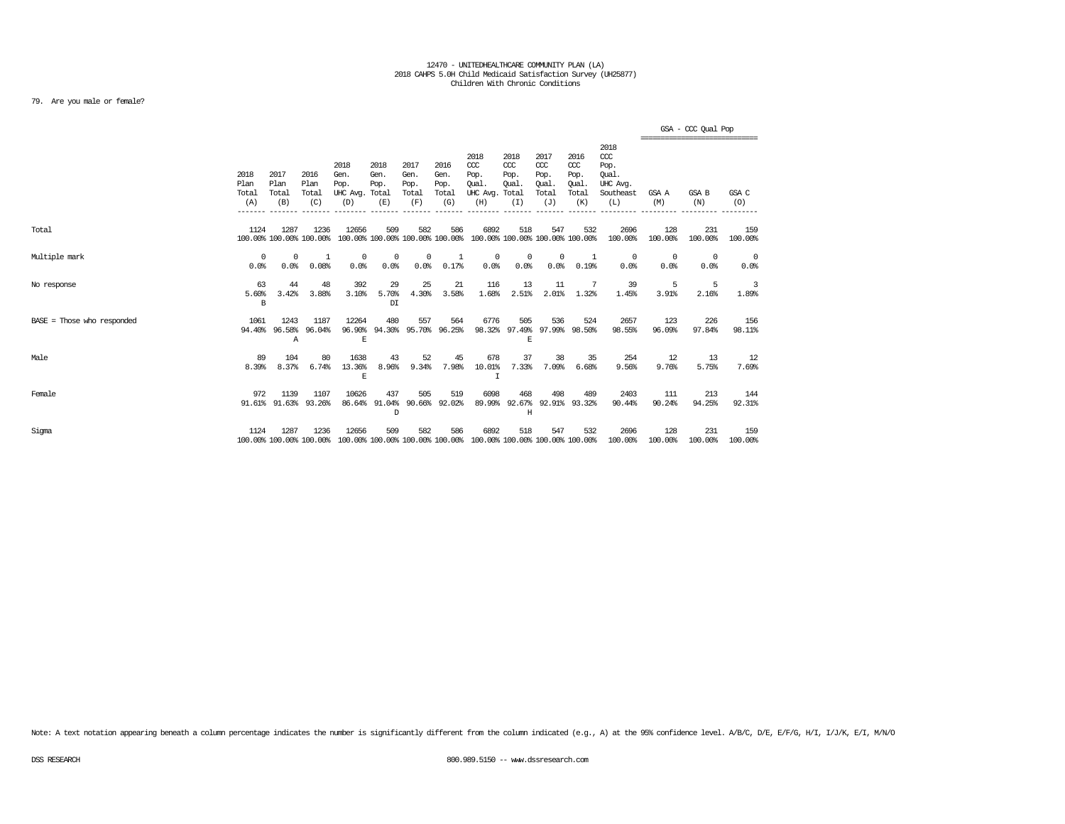### 79. Are you male or female?

|                              |                              |                                 |                              |                                               |                             |                                      |                                        |                                                                         |                                              |                                              |                                              |                                                              |                    | GSA - CCC Qual Pop<br>,,,,,,,,,,,,,,,,,,,,,,,,,,,,,, |                    |
|------------------------------|------------------------------|---------------------------------|------------------------------|-----------------------------------------------|-----------------------------|--------------------------------------|----------------------------------------|-------------------------------------------------------------------------|----------------------------------------------|----------------------------------------------|----------------------------------------------|--------------------------------------------------------------|--------------------|------------------------------------------------------|--------------------|
|                              | 2018<br>Plan<br>Total<br>(A) | 2017<br>Plan<br>Total<br>(B)    | 2016<br>Plan<br>Total<br>(C) | 2018<br>Gen.<br>Pop.<br>UHC Avg. Total<br>(D) | 2018<br>Gen.<br>Pop.<br>(E) | 2017<br>Gen.<br>Pop.<br>Total<br>(F) | 2016<br>Gen.<br>Pop.<br>Total<br>(G)   | 2018<br>CCC<br>Pop.<br>Qual.<br>UHC Avg.<br>(H)                         | 2018<br>CCC<br>Pop.<br>Oual.<br>Total<br>(I) | 2017<br>ccc<br>Pop.<br>Oual.<br>Total<br>(J) | 2016<br>ccc<br>Pop.<br>Oual.<br>Total<br>(K) | 2018<br>ccc<br>Pop.<br>Oual.<br>UHC Avg.<br>Southeast<br>(L) | GSA A<br>(M)       | GSA B<br>(N)                                         | GSA C<br>(O)       |
| Total                        | 1124                         | 1287<br>100.00% 100.00% 100.00% | 1236                         | 12656                                         | 509                         | 582                                  | 586<br>100.00% 100.00% 100.00% 100.00% | 6892<br>100.00% 100.00% 100.00% 100.00%                                 | 518                                          | 547                                          | 532                                          | 2696<br>100.00%                                              | 128<br>100.00%     | 231<br>100.00%                                       | 159<br>100.00%     |
| Multiple mark                | $^{\circ}$<br>0.0%           | 0<br>0.0%                       | -1<br>0.08%                  | $^{\circ}$<br>0.0%                            | $^{\circ}$<br>0.0%          | 0<br>0.0%                            | 1<br>0.17%                             | 0<br>0.0%                                                               | $^{\circ}$<br>0.0%                           | $\mathbf 0$<br>0.0%                          | $\overline{1}$<br>0.19%                      | $\Omega$<br>0.0%                                             | $^{\circ}$<br>0.0% | 0<br>0.0%                                            | $^{\circ}$<br>0.0% |
| No response                  | 63<br>5.60%<br>В             | 44<br>3.42%                     | 48<br>3.88%                  | 392<br>3.10%                                  | 29<br>5.70%<br>DI           | 25<br>4.30%                          | 21<br>3.58%                            | 116<br>1.68%                                                            | 13<br>2.51%                                  | 11<br>2.01%                                  | 1.32%                                        | 39<br>1.45%                                                  | 5<br>3.91%         | 5<br>2.16%                                           | 3<br>1.89%         |
| $BASE = Those who responded$ | 1061<br>94.40%               | 1243<br>96.58%<br>Α             | 1187<br>96.04%               | 12264<br>96.90%<br>E                          | 480<br>94.30%               | 557                                  | 564<br>95.70% 96.25%                   | 6776<br>98.32%                                                          | 505<br>E                                     | 536<br>97.49% 97.99% 98.50%                  | 524                                          | 2657<br>98.55%                                               | 123<br>96.09%      | 226<br>97.84%                                        | 156<br>98.11%      |
| Male                         | 89<br>8.39%                  | 104<br>8.37%                    | 80<br>6.74%                  | 1638<br>13.36%<br>E                           | 43<br>8.96%                 | 52<br>9.34%                          | 45<br>7.98%                            | 678<br>10.01%<br>I                                                      | 37<br>7.33%                                  | 38<br>7.09%                                  | 35<br>6.68%                                  | 254<br>9.56%                                                 | 12<br>9.76%        | 13<br>5.75%                                          | 12<br>7.69%        |
| Female                       | 972                          | 1139<br>91.61% 91.63%           | 1107<br>93.26%               | 10626                                         | 437<br>86.64% 91.04%<br>D   | 505                                  | 519<br>90.66% 92.02%                   | 6098                                                                    | 468<br>89.99% 92.67% 92.91% 93.32%<br>Η      | 498                                          | 489                                          | 2403<br>90.44%                                               | 111<br>90.24%      | 213<br>94.25%                                        | 144<br>92.31%      |
| Sigma                        | 1124                         | 1287<br>100.00% 100.00% 100.00% | 1236                         | 12656                                         | 509                         | 582                                  | 586                                    | 6892<br>100.00% 100.00% 100.00% 100.00% 100.00% 100.00% 100.00% 100.00% | 518                                          | 547                                          | 532                                          | 2696<br>100.00%                                              | 128<br>100.00%     | 231<br>100.00%                                       | 159<br>100.00%     |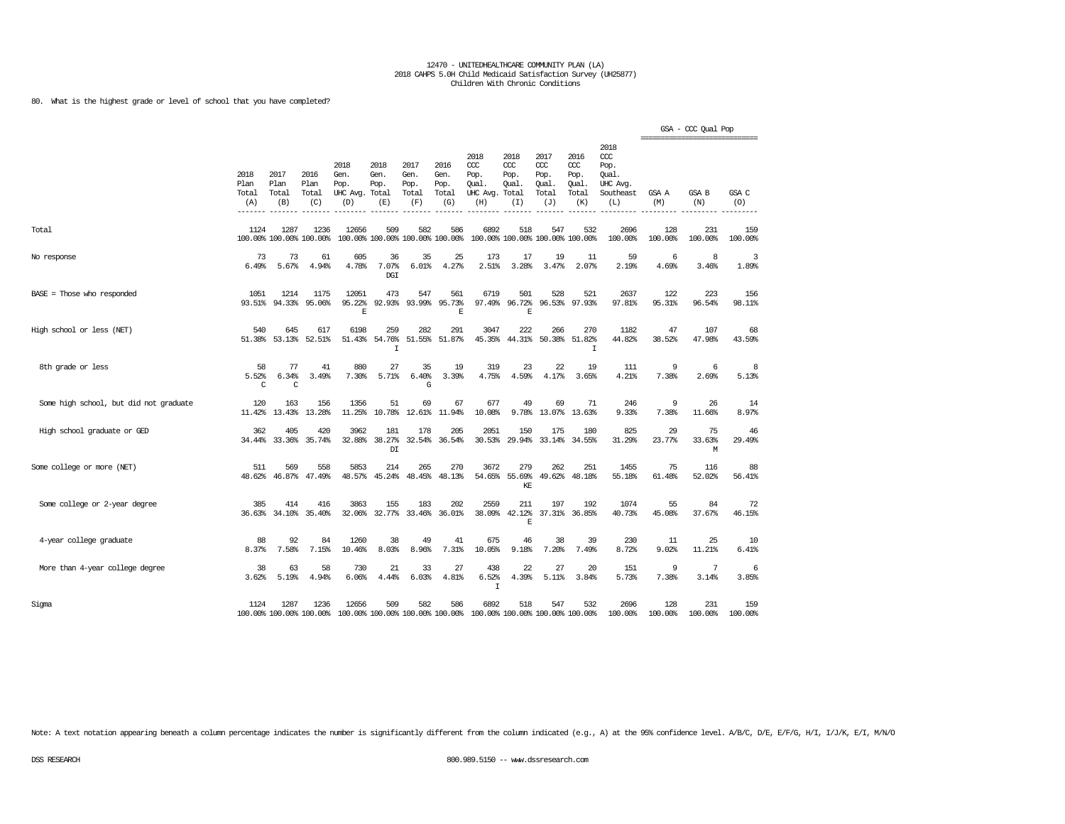### 80. What is the highest grade or level of school that you have completed?

|                                        |                              |                              |                                 |                                               |                                         |                                      |                                      |                                                                         |                                               |                                                   |                                                   |                                                                   | =================== | GSA - CCC Qual Pop |                |
|----------------------------------------|------------------------------|------------------------------|---------------------------------|-----------------------------------------------|-----------------------------------------|--------------------------------------|--------------------------------------|-------------------------------------------------------------------------|-----------------------------------------------|---------------------------------------------------|---------------------------------------------------|-------------------------------------------------------------------|---------------------|--------------------|----------------|
|                                        | 2018<br>Plan<br>Total<br>(A) | 2017<br>Plan<br>Total<br>(B) | 2016<br>Plan<br>Total<br>(C)    | 2018<br>Gen.<br>Pop.<br>UHC Avg. Total<br>(D) | 2018<br>Gen.<br>Pop.<br>(E)             | 2017<br>Gen.<br>Pop.<br>Total<br>(F) | 2016<br>Gen.<br>Pop.<br>Total<br>(G) | 2018<br>CCC<br>Pop.<br>Qual.<br>UHC Avg.<br>(H)                         | 2018<br>$CC$<br>Pop.<br>Qual.<br>Total<br>(I) | 2017<br>$\alpha$<br>Pop.<br>Qual.<br>Total<br>(J) | 2016<br>$\alpha$<br>Pop.<br>Qual.<br>Total<br>(K) | 2018<br>$\alpha$<br>Pop.<br>Oual.<br>UHC Avg.<br>Southeast<br>(L) | GSA A<br>(M)        | GSA B<br>(N)       | GSA C<br>(O)   |
| Total                                  | 1124                         | 1287                         | 1236<br>100.00% 100.00% 100.00% | 12656                                         | 509<br>100.00% 100.00% 100.00% 100.00%  | 582                                  | 586                                  | 6892                                                                    | 518<br>100.00% 100.00% 100.00% 100.00%        | 547                                               | 532                                               | 2696<br>100.00%                                                   | 128<br>100.00%      | 231<br>100.00%     | 159<br>100.00% |
| No response                            | 73<br>6.49%                  | 73<br>5.67%                  | 61<br>4.94%                     | 605<br>4.78%                                  | 36<br>7.07%<br><b>DGI</b>               | 35<br>6.01%                          | 25<br>4.27%                          | 173<br>2.51%                                                            | 17<br>3.28%                                   | 19<br>3.47%                                       | 11<br>2.07%                                       | 59<br>2.19%                                                       | 6<br>4.69%          | 8<br>3.46%         | 3<br>1.89%     |
| BASE = Those who responded             | 1051<br>93.51%               | 1214<br>94.33%               | 1175<br>95.06%                  | 12051<br>95.22%<br>F.                         | 473<br>92.93%                           | 547<br>93.99%                        | 561<br>95.73%<br>E                   | 6719<br>97.49%                                                          | 501<br>96.72%<br>E                            | 528                                               | 521<br>96.53% 97.93%                              | 2637<br>97.81%                                                    | 122<br>95.31%       | 223<br>96.54%      | 156<br>98.11%  |
| High school or less (NET)              | 540<br>51.38%                | 645<br>53.13%                | 617<br>52.51%                   | 6198<br>51.43%                                | 259<br>54.76%<br>$\mathbbm{1}$          | 282<br>51.55%                        | 291<br>51.87%                        | 3047<br>45.35%                                                          | 222<br>44.31%                                 | 266<br>50.38%                                     | 270<br>51.82%<br>I                                | 1182<br>44.82%                                                    | 47<br>38.52%        | 107<br>47.98%      | 68<br>43.59%   |
| 8th grade or less                      | 58<br>5.52%<br>C             | 77<br>6.34%<br>C             | 41<br>3.49%                     | 880<br>7.30%                                  | 27<br>5.71%                             | 35<br>6.40%<br>G                     | 19<br>3.39%                          | 319<br>4.75%                                                            | 23<br>4.59%                                   | 22<br>4.17%                                       | 19<br>3.65%                                       | 111<br>4.21%                                                      | 9<br>7.38%          | 6<br>2.69%         | 8<br>5.13%     |
| Some high school, but did not graduate | 120<br>11.42%                | 163<br>13.43%                | 156<br>13.28%                   | 1356<br>11.25%                                | 51<br>10.78%                            | 69<br>12.61%                         | 67<br>11.94%                         | 677<br>10.08%                                                           | 49<br>9.78%                                   | 69<br>13.07%                                      | 71<br>13.63%                                      | 246<br>9.33%                                                      | 9<br>7.38%          | 26<br>11.66%       | 14<br>8.97%    |
| High school graduate or GED            | 362<br>34.44%                | 405<br>33.36%                | 420<br>35.74%                   | 3962<br>32.88%                                | 181<br>38.27%<br>$\mathbb{D}\mathbb{I}$ | 178<br>32.54%                        | 205<br>36.54%                        | 2051<br>30.53%                                                          | 150<br>29.94%                                 | 175<br>33.14%                                     | 180<br>34.55%                                     | 825<br>31.29%                                                     | 29<br>23.77%        | 75<br>33.63%<br>М  | 46<br>29.49%   |
| Some college or more (NET)             | 511<br>48.62%                | 569<br>46.87%                | 558<br>47.49%                   | 5853<br>48.57%                                | 214<br>45.24%                           | 265<br>48.45%                        | 270<br>48.13%                        | 3672<br>54.65%                                                          | 279<br>55.69%<br>KE                           | 262<br>49.62%                                     | 251<br>48.18%                                     | 1455<br>55.18%                                                    | 75<br>61.48%        | 116<br>52.02%      | 88<br>56.41%   |
| Some college or 2-year degree          | 385<br>36.63%                | 414<br>34.10%                | 416<br>35.40%                   | 3863<br>32.06%                                | 155<br>32.77%                           | 183<br>33.46%                        | 202<br>36.01%                        | 2559<br>38.09%                                                          | 211<br>42.12%<br>E                            | 197                                               | 192<br>37.31% 36.85%                              | 1074<br>40.73%                                                    | 55<br>45.08%        | 84<br>37.67%       | 72<br>46.15%   |
| 4-year college graduate                | 88<br>8.37%                  | 92<br>7.58%                  | 84<br>7.15%                     | 1260<br>10.46%                                | 38<br>8.03%                             | 49<br>8.96%                          | 41<br>7.31%                          | 675<br>10.05%                                                           | 46<br>9.18%                                   | 38<br>7.20%                                       | 39<br>7.49%                                       | 230<br>8.72%                                                      | 11<br>9.02%         | 25<br>11.21%       | 10<br>6.41%    |
| More than 4-year college degree        | 38<br>3.62%                  | 63<br>5.19%                  | 58<br>4.94%                     | 730<br>6.06%                                  | 21<br>4.44%                             | 33<br>6.03%                          | 27<br>4.81%                          | 438<br>6.52%<br>$\mathbf I$                                             | 22<br>4.39%                                   | 27<br>5.11%                                       | 20<br>3.84%                                       | 151<br>5.73%                                                      | 9<br>7.38%          | 7<br>3.14%         | 6<br>3.85%     |
| Sigma                                  | 1124                         | 1287                         | 1236<br>100.00% 100.00% 100.00% | 12656                                         | 509                                     | 582                                  | 586                                  | 6892<br>100.00% 100.00% 100.00% 100.00% 100.00% 100.00% 100.00% 100.00% | 518                                           | 547                                               | 532                                               | 2696<br>100.00%                                                   | 128<br>100.00%      | 231<br>100.00%     | 159<br>100.00% |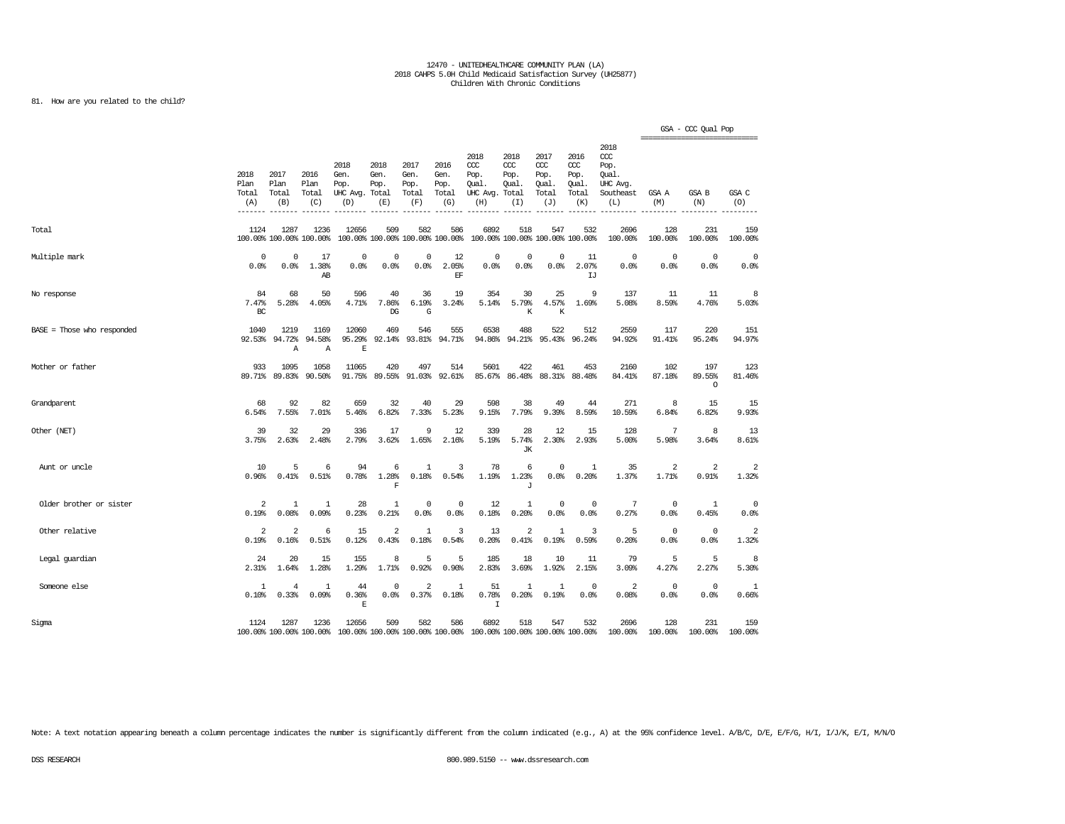### 81. How are you related to the child?

|                            |                                        |                                |                                 |                                               |                                        |                                      |                                      |                                                                         |                                     |                                              |                                              |                                                              |                     | GSA - CCC Qual Pop<br>=============================== |                    |
|----------------------------|----------------------------------------|--------------------------------|---------------------------------|-----------------------------------------------|----------------------------------------|--------------------------------------|--------------------------------------|-------------------------------------------------------------------------|-------------------------------------|----------------------------------------------|----------------------------------------------|--------------------------------------------------------------|---------------------|-------------------------------------------------------|--------------------|
|                            | 2018<br>Plan<br>Total<br>(A)<br>------ | 2017<br>Plan<br>Total<br>(B)   | 2016<br>Plan<br>Total<br>(C)    | 2018<br>Gen.<br>Pop.<br>UHC Avg. Total<br>(D) | 2018<br>Gen.<br>Pop.<br>(E)            | 2017<br>Gen.<br>Pop.<br>Total<br>(F) | 2016<br>Gen.<br>Pop.<br>Total<br>(G) | 2018<br>CCC<br>Pop.<br>Oual.<br>UHC Avg. Total<br>(H)                   | 2018<br>CCC<br>Pop.<br>Oual.<br>(I) | 2017<br>ccc<br>Pop.<br>Oual.<br>Total<br>(J) | 2016<br>ccc<br>Pop.<br>Oual.<br>Total<br>(K) | 2018<br>ccc<br>Pop.<br>Oual.<br>UHC Avg.<br>Southeast<br>(L) | GSA A<br>(M)        | <b>GSA B</b><br>(N)                                   | GSA C<br>(O)       |
| Total                      | 1124                                   | 1287                           | 1236<br>100.00% 100.00% 100.00% | 12656                                         | 509<br>100.00% 100.00% 100.00% 100.00% | 582                                  | 586                                  | 6892                                                                    | 518                                 | 547<br>100.00% 100.00% 100.00% 100.00%       | 532                                          | 2696<br>100.00%                                              | 128<br>100.00%      | 231<br>100.00%                                        | 159<br>100.00%     |
| Multiple mark              | $\Omega$<br>0.0%                       | $\Omega$<br>0.0%               | 17<br>1.38%<br>AB               | 0<br>0.0%                                     | $\Omega$<br>0.0%                       | $^{\circ}$<br>0.0%                   | 12<br>2.05%<br>EF                    | 0<br>0.0%                                                               | $\Omega$<br>0.0%                    | $^{\circ}$<br>0.0%                           | 11<br>2.07%<br>IJ                            | $\mathbf 0$<br>0.0%                                          | $^{\circ}$<br>0.0%  | $\mathbf 0$<br>0.0%                                   | $^{\circ}$<br>0.0% |
| No response                | 84<br>7.47%<br>BC                      | 68<br>5.28%                    | 50<br>4.05%                     | 596<br>4.71%                                  | 40<br>7.86%<br>DG                      | 36<br>6.19%<br>G                     | 19<br>3.24%                          | 354<br>5.14%                                                            | 30<br>5.79%<br>K                    | 25<br>4.57%<br>K                             | 9<br>1.69%                                   | 137<br>5.08%                                                 | 11<br>8.59%         | 11<br>4.76%                                           | 8<br>5.03%         |
| BASE = Those who responded | 1040<br>92.53%                         | 1219<br>94.72%<br>$\mathbb{A}$ | 1169<br>94.58%<br>Α             | 12060<br>95.29%<br>$\mathbf E$                | 469<br>92.14%                          | 546<br>93.81%                        | 555<br>94.71%                        | 6538<br>94.86%                                                          | 488<br>94.21%                       | 522<br>95.43%                                | 512<br>96.24%                                | 2559<br>94.92%                                               | 117<br>91.41%       | 220<br>95.24%                                         | 151<br>94.97%      |
| Mother or father           | 933<br>89.71%                          | 1095<br>89.83%                 | 1058<br>90.50%                  | 11065<br>91.75%                               | 420<br>89.55%                          | 497<br>91.03%                        | 514<br>92.61%                        | 5601<br>85.67%                                                          | 422<br>86.48%                       | 461<br>88.31%                                | 453<br>88.48%                                | 2160<br>84.41%                                               | 102<br>87.18%       | 197<br>89.55%<br>$\circ$                              | 123<br>81.46%      |
| Grandparent                | 68<br>6.54%                            | 92<br>7.55%                    | 82<br>7.01%                     | 659<br>5.46%                                  | 32<br>6.82%                            | 40<br>7.33%                          | 29<br>5.23%                          | 598<br>9.15%                                                            | 38<br>7.79%                         | 49<br>9.39%                                  | 44<br>8.59%                                  | 271<br>10.59%                                                | 8<br>6.84%          | 15<br>6.82%                                           | 15<br>9.93%        |
| Other (NET)                | 39<br>3.75%                            | 32<br>2.63%                    | 29<br>2.48%                     | 336<br>2.79%                                  | 17<br>3.62%                            | 9<br>1.65%                           | 12<br>2.16%                          | 339<br>5.19%                                                            | 28<br>5.74%<br>JК                   | 12<br>2.30%                                  | 15<br>2.93%                                  | 128<br>5.00%                                                 | 7<br>5.98%          | 8<br>3.64%                                            | 13<br>8.61%        |
| Aunt or uncle              | 10<br>0.96%                            | 5<br>0.41%                     | 6<br>0.51%                      | 94<br>0.78%                                   | 6<br>1.28%<br>F                        | 1<br>0.18%                           | 3<br>0.54%                           | 78<br>1.19%                                                             | 6<br>1.23%<br>$\mathbf{J}$          | $\mathbf 0$<br>0.0%                          | 1<br>0.20%                                   | 35<br>1.37%                                                  | 2<br>1.71%          | 2<br>0.91%                                            | 2<br>1.32%         |
| Older brother or sister    | $\overline{2}$<br>0.19%                | 1<br>0.08%                     | 1<br>0.09%                      | 28<br>0.23%                                   | 1<br>0.21%                             | $^{\circ}$<br>0.0%                   | 0<br>0.0%                            | 12<br>0.18%                                                             | 1<br>0.20%                          | $\mathbf 0$<br>0.0%                          | 0<br>0.0%                                    | 7<br>0.27%                                                   | $^{\circ}$<br>0.0%  | 1<br>0.45%                                            | 0<br>0.0%          |
| Other relative             | $\overline{2}$<br>0.19%                | $\overline{2}$<br>0.16%        | 6<br>0.51%                      | 15<br>0.12%                                   | $\overline{\mathbf{2}}$<br>0.43%       | 1<br>0.18%                           | 3<br>0.54%                           | 13<br>0.20%                                                             | 2<br>0.41%                          | $\mathbf{1}$<br>0.19%                        | 3<br>0.59%                                   | 5<br>0.20%                                                   | $^{\circ}$<br>0.0%  | $\overline{0}$<br>0.0%                                | 2<br>1.32%         |
| Legal guardian             | 24<br>2.31%                            | 20<br>1.64%                    | 15<br>1.28%                     | 155<br>1.29%                                  | 8<br>1.71%                             | 5<br>0.92%                           | 5<br>0.90%                           | 185<br>2.83%                                                            | 18<br>3.69%                         | 10<br>1.92%                                  | 11<br>2.15%                                  | 79<br>3.09%                                                  | 5<br>4.27%          | 5<br>2.27%                                            | 8<br>5.30%         |
| Someone else               | $\mathbf{1}$<br>0.10%                  | $\overline{4}$<br>0.33%        | 1<br>0.09%                      | 44<br>0.36%<br>$\mathbf E$                    | $\Omega$<br>0.0%                       | $\overline{2}$<br>0.37%              | 1<br>0.18%                           | 51<br>0.78%<br>$\mathbf I$                                              | $\mathbf{1}$<br>0.20%               | $\mathbf{1}$<br>0.19%                        | $\overline{0}$<br>0.0%                       | 2<br>0.08%                                                   | $\mathbf 0$<br>0.0% | $\overline{0}$<br>0.0%                                | 1<br>0.66%         |
| Sigma                      | 1124                                   | 1287                           | 1236<br>100.00% 100.00% 100.00% | 12656                                         | 509                                    | 582                                  | 586                                  | 6892<br>100.00% 100.00% 100.00% 100.00% 100.00% 100.00% 100.00% 100.00% | 518                                 | 547                                          | 532                                          | 2696<br>100.00%                                              | 128<br>100.00%      | 231<br>100.00%                                        | 159<br>100.00%     |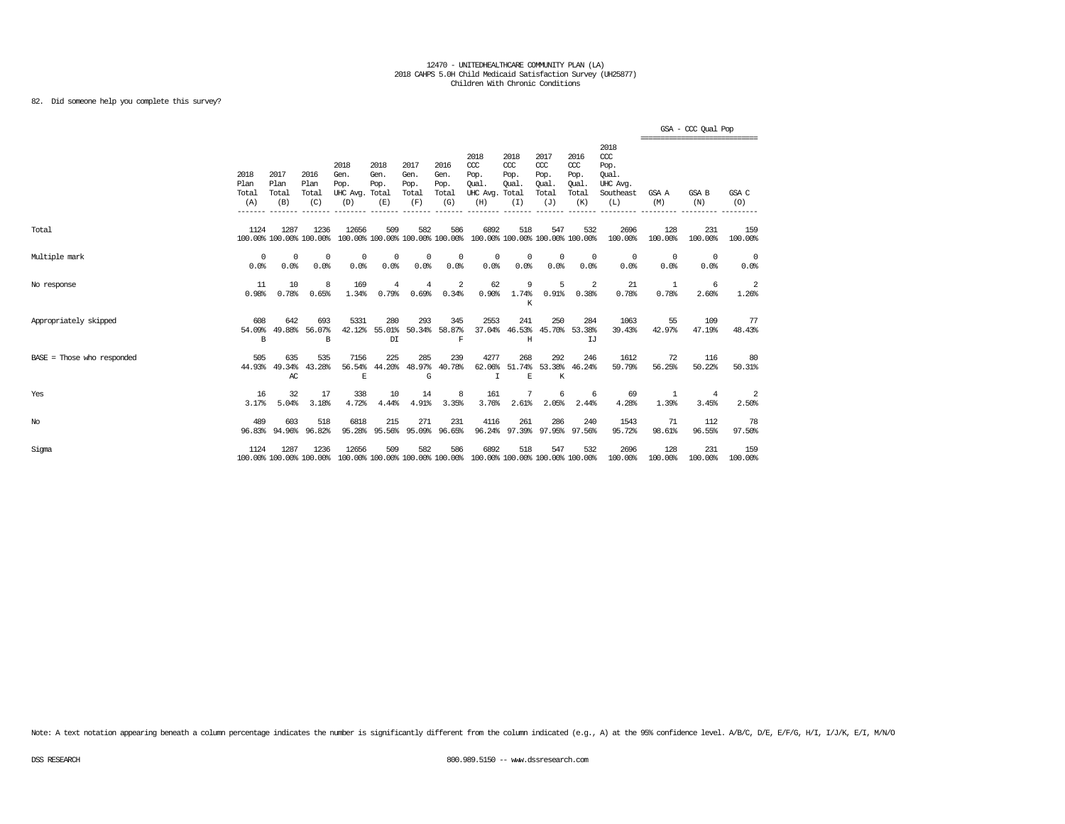82. Did someone help you complete this survey?

|                            |                              |                              |                                 |                                                                                          |                             |                                      |                                      |                                                                         |                                              |                                                   |                                                   |                                                                   | ================================ | GSA - CCC Qual Pop      |                    |
|----------------------------|------------------------------|------------------------------|---------------------------------|------------------------------------------------------------------------------------------|-----------------------------|--------------------------------------|--------------------------------------|-------------------------------------------------------------------------|----------------------------------------------|---------------------------------------------------|---------------------------------------------------|-------------------------------------------------------------------|----------------------------------|-------------------------|--------------------|
|                            | 2018<br>Plan<br>Total<br>(A) | 2017<br>Plan<br>Total<br>(B) | 2016<br>Plan<br>Total<br>(C)    | 2018<br>Gen.<br>Pop.<br>UHC Avg. Total<br>(D)                                            | 2018<br>Gen.<br>Pop.<br>(E) | 2017<br>Gen.<br>Pop.<br>Total<br>(F) | 2016<br>Gen.<br>Pop.<br>Total<br>(G) | 2018<br>CCC<br>Pop.<br>Oual.<br>UHC Avg.<br>(H)                         | 2018<br>ccc<br>Pop.<br>Oual.<br>Total<br>(I) | 2017<br>$\alpha$<br>Pop.<br>Oual.<br>Total<br>(J) | 2016<br>$\alpha$<br>Pop.<br>Oual.<br>Total<br>(K) | 2018<br>$\alpha$<br>Pop.<br>Oual.<br>UHC Avg.<br>Southeast<br>(L) | GSA A<br>(M)                     | GSA B<br>(N)            | GSA C<br>(O)       |
| Total                      | 1124                         | 1287                         | 1236<br>100.00% 100.00% 100.00% | 12656                                                                                    | 509                         | 582                                  | 586                                  | 6892<br>100.00% 100.00% 100.00% 100.00% 100.00% 100.00% 100.00% 100.00% | 518                                          | 547                                               | 532                                               | 2696<br>100.00%                                                   | 128<br>100.00%                   | 231<br>100.00%          | 159<br>100.00%     |
| Multiple mark              | $^{\circ}$<br>0.0%           | $^{\circ}$<br>0.0%           | $^{\circ}$<br>0.0%              | $^{\circ}$<br>0.0%                                                                       | $\Omega$<br>0.0%            | $^{\circ}$<br>0.0%                   | 0<br>0.0%                            | $^{\circ}$<br>0.0%                                                      | 0<br>0.0%                                    | $\Omega$<br>0.0%                                  | $^{\circ}$<br>0.0%                                | $^{\circ}$<br>0.0%                                                | $\overline{0}$<br>0.0%           | $^{\circ}$<br>0.0%      | $^{\circ}$<br>0.0% |
| No response                | 11<br>0.98%                  | 10<br>0.78%                  | 8<br>0.65%                      | 169<br>1.34%                                                                             | $\overline{4}$<br>0.79%     | 4<br>0.69%                           | 2<br>0.34%                           | 62<br>0.90%                                                             | 9<br>1.74%<br>К                              | 5<br>0.91%                                        | -2<br>0.38%                                       | 21<br>0.78%                                                       | -1<br>0.78%                      | -6<br>2.60%             | 2<br>1.26%         |
| Appropriately skipped      | 608<br>54.09%<br>B           | 642<br>49.88%                | 693<br>56.07%<br>B              | 5331<br>42.12%                                                                           | 280<br>55.01%<br>DI         | 293<br>50.34%                        | 345<br>58.87%<br>$\mathbf F$         | 2553<br>37.04%                                                          | 241<br>Η                                     | 250                                               | 284<br>46.53% 45.70% 53.38%<br>LJ                 | 1063<br>39.43%                                                    | 55<br>42.97%                     | 109<br>47.19%           | 77<br>48.43%       |
| BASE = Those who responded | 505<br>44.93%                | 635<br>49.34%<br>AC          | 535<br>43.28%                   | 7156<br>56.54%<br>$\mathbb E$                                                            | 225<br>44.20%               | 285<br>48.97%<br>G                   | 239<br>40.78%                        | 4277<br>62.06%<br>$\mathbf I$                                           | 268<br>$\mathbf E$                           | 292<br>$\rm K$                                    | 246<br>51.74% 53.38% 46.24%                       | 1612<br>59.79%                                                    | 72<br>56.25%                     | 116<br>50.22%           | 80<br>50.31%       |
| Yes                        | 16<br>3.17%                  | 32<br>5.04%                  | 17<br>3.18%                     | 338<br>4.72%                                                                             | 10<br>4.44%                 | 14<br>4.91%                          | 8<br>3.35%                           | 161<br>3.76%                                                            | 7<br>2.61%                                   | 6<br>2.05%                                        | -6<br>2.44%                                       | 69<br>4.28%                                                       | 1<br>1.39%                       | $\overline{4}$<br>3.45% | 2<br>2.50%         |
| $_{\mathrm{No}}$           | 489<br>96.83%                | 603<br>94.96%                | 518<br>96.82%                   | 6818<br>95.28%                                                                           | 215<br>95.56%               | 271<br>95.09%                        | 231<br>96.65%                        | 4116<br>96.24%                                                          | 261                                          | 286                                               | 240<br>97.39% 97.95% 97.56%                       | 1543<br>95.72%                                                    | 71<br>98.61%                     | 112<br>96.55%           | 78<br>97.50%       |
| Sigma                      | 1124                         | 1287                         | 1236                            | 12656<br>100.00% 100.00% 100.00% 100.00% 100.00% 100.00% 100.00% 100.00% 100.00% 100.00% | 509                         | 582                                  | 586                                  | 6892                                                                    | 518                                          | 547                                               | 532                                               | 2696<br>100.00%                                                   | 128<br>100.00%                   | 231<br>100.00%          | 159<br>100.00%     |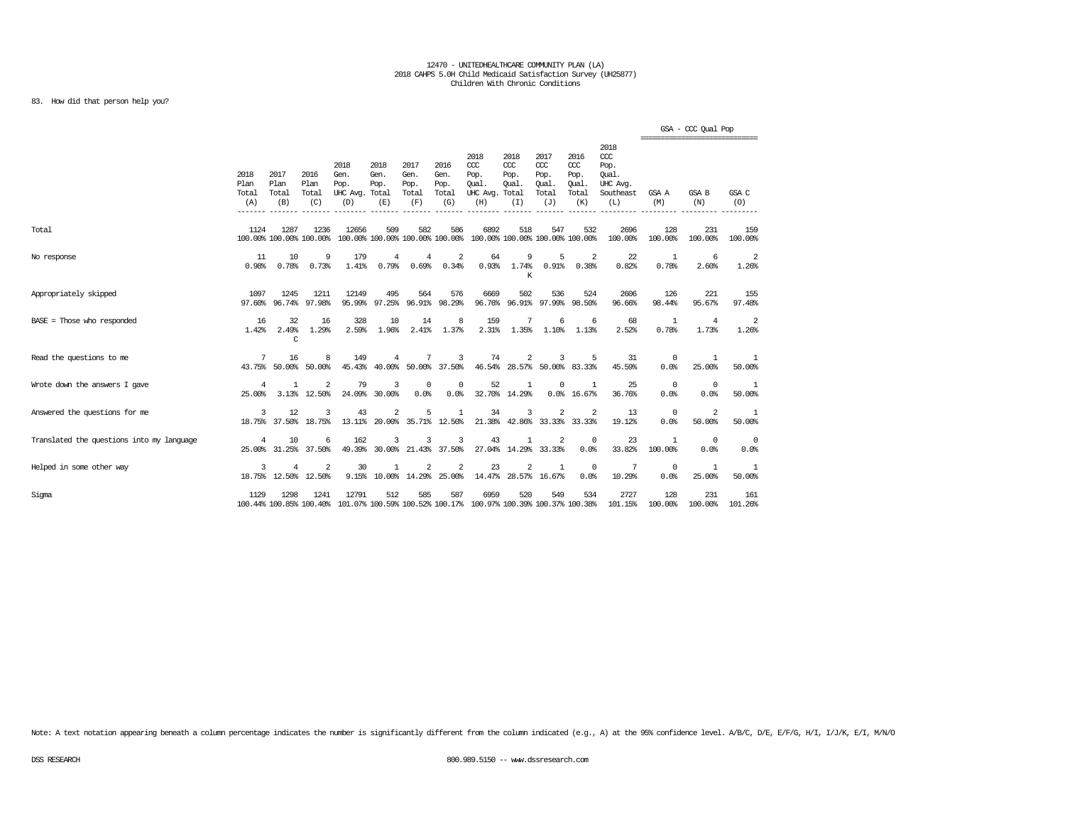### 83. How did that person help you?

|                                           |                              |                              |                                        |                                                                                                  |                                            |                                      |                                      |                                                                         |                                               |                                                   |                                                   |                                                                   |                           | GSA - CCC Qual Pop<br>================================ |                  |
|-------------------------------------------|------------------------------|------------------------------|----------------------------------------|--------------------------------------------------------------------------------------------------|--------------------------------------------|--------------------------------------|--------------------------------------|-------------------------------------------------------------------------|-----------------------------------------------|---------------------------------------------------|---------------------------------------------------|-------------------------------------------------------------------|---------------------------|--------------------------------------------------------|------------------|
|                                           | 2018<br>Plan<br>Total<br>(A) | 2017<br>Plan<br>Total<br>(B) | 2016<br>Plan<br>Total<br>(C)           | 2018<br>Gen.<br>Pop.<br>UHC Avg. Total<br>(D)                                                    | 2018<br>Gen.<br>Pop.<br>(E)                | 2017<br>Gen.<br>Pop.<br>Total<br>(F) | 2016<br>Gen.<br>Pop.<br>Total<br>(G) | 2018<br>CCC<br>Pop.<br>Oual.<br>UHC Avg.<br>(H)                         | 2018<br>$CC$<br>Pop.<br>Oual.<br>Total<br>(I) | 2017<br>$\alpha$<br>Pop.<br>Oual.<br>Total<br>(J) | 2016<br>$\alpha$<br>Pop.<br>Oual.<br>Total<br>(K) | 2018<br>$\alpha$<br>Pop.<br>Oual.<br>UHC Avg.<br>Southeast<br>(L) | GSA A<br>(M)              | <b>GSA B</b><br>(N)                                    | GSA C<br>(O)     |
| Total                                     | 1124                         | 1287                         | 1236<br>100.00% 100.00% 100.00%        | 12656                                                                                            | 509                                        | 582                                  | 586                                  | 6892<br>100.00% 100.00% 100.00% 100.00% 100.00% 100.00% 100.00% 100.00% | 518                                           | 547                                               | 532                                               | 2696<br>100.00%                                                   | 128<br>100.00%            | 231<br>100.00%                                         | 159<br>100.00%   |
| No response                               | 11<br>0.98%                  | 10<br>0.78%                  | 9<br>0.73%                             | 179<br>1.41%                                                                                     | $\overline{4}$<br>0.79%                    | 4<br>0.69%                           | $\overline{\mathbf{c}}$<br>0.34%     | 64<br>0.93%                                                             | 9<br>1.74%<br>K                               | 5<br>0.91%                                        | 2<br>0.38%                                        | 22<br>0.82%                                                       | -1<br>0.78%               | 6<br>2.60%                                             | 2<br>1.26%       |
| Appropriately skipped                     | 1097<br>97.60%               | 1245<br>96.74%               | 1211<br>97.98%                         | 12149<br>95.99%                                                                                  | 495<br>97.25%                              | 564                                  | 576<br>96.91% 98.29%                 | 6669<br>96.76%                                                          | 502                                           | 536<br>96.91% 97.99% 98.50%                       | 524                                               | 2606<br>96.66%                                                    | 126<br>98.44%             | 221<br>95.67%                                          | 155<br>97.48%    |
| $BASE = Those who responded$              | 16<br>1.42%                  | 32<br>2.49%<br>C             | 16<br>1.29%                            | 328<br>2.59%                                                                                     | 10<br>1.96%                                | 14<br>2.41%                          | 8<br>1.37%                           | 159<br>2.31%                                                            | 7<br>1.35%                                    | 6<br>1.10%                                        | 6<br>1.13%                                        | 68<br>2.52%                                                       | -1<br>0.78%               | 4<br>1.73%                                             | 2<br>1.26%       |
| Read the questions to me                  | 7                            | 16<br>43.75% 50.00%          | 8<br>50.00%                            | 149<br>45.43%                                                                                    | 4<br>40.00%                                | 7                                    | 3<br>50.00% 37.50%                   | 74<br>46.54%                                                            | 2<br>28.57% 50.00% 83.33%                     | 3                                                 | 5                                                 | 31<br>45.59%                                                      | $\Omega$<br>0.0%          | -1.<br>25.00%                                          | -1.<br>50.00%    |
| Wrote down the answers I gave             | $\overline{4}$<br>25,00%     | $\mathbf{1}$                 | $\overline{2}$<br>3.13% 12.50%         | 79                                                                                               | 3<br>24.09% 30.00%                         | $^{\circ}$<br>0.0%                   | $^{\circ}$<br>0.0%                   | 52                                                                      | 1<br>32.70% 14.29%                            | $\Omega$                                          | $\overline{1}$<br>0.0%16.67%                      | 25<br>36.76%                                                      | $\overline{0}$<br>0.0%    | $^{\circ}$<br>0.0%                                     | 1<br>50.00%      |
| Answered the questions for me             | 3                            | 12                           | 3<br>18.75% 37.50% 18.75%              | 43                                                                                               | 2<br>13.11% 20.00% 35.71% 12.50%           | 5                                    | 1                                    | 34                                                                      | 3<br>21.38% 42.86% 33.33% 33.33%              | 2                                                 | 2                                                 | 13<br>19.12%                                                      | $\overline{0}$<br>0.0%    | 2<br>50.00%                                            | 1<br>50.00%      |
| Translated the questions into my language | 4                            | 10                           | 6<br>25.00% 31.25% 37.50%              | 162                                                                                              | 3<br>49.39% 30.00% 21.43% 37.50%           |                                      | 3                                    | 43                                                                      | 27.04% 14.29% 33.33%                          | 2                                                 | $\Omega$<br>0.0%                                  | 23<br>33.82%                                                      | $\overline{1}$<br>100.00% | $\Omega$<br>0.0%                                       | $\Omega$<br>0.0% |
| Helped in some other way                  | 3                            | 4                            | $\overline{2}$<br>18.75% 12.50% 12.50% | 30                                                                                               | $\mathbf{1}$<br>9.15% 10.00% 14.29% 25.00% | 2                                    | 2                                    | 23<br>14.47%                                                            | 2                                             | 1<br>28.57% 16.67%                                | $\mathbf{0}$<br>0.0%                              | 7<br>10.29%                                                       | $^{\circ}$<br>0.0%        | 1<br>25.00%                                            | 1<br>50.00%      |
| Sigma                                     | 1129                         | 1298                         | 1241                                   | 12791<br>100.44% 100.85% 100.40% 101.07% 100.59% 100.52% 100.17% 100.97% 100.39% 100.37% 100.38% | 512                                        | 585                                  | 587                                  | 6959                                                                    | 520                                           | 549                                               | 534                                               | 2727<br>101.15%                                                   | 128<br>100.00%            | 231<br>100.00%                                         | 161<br>101.26%   |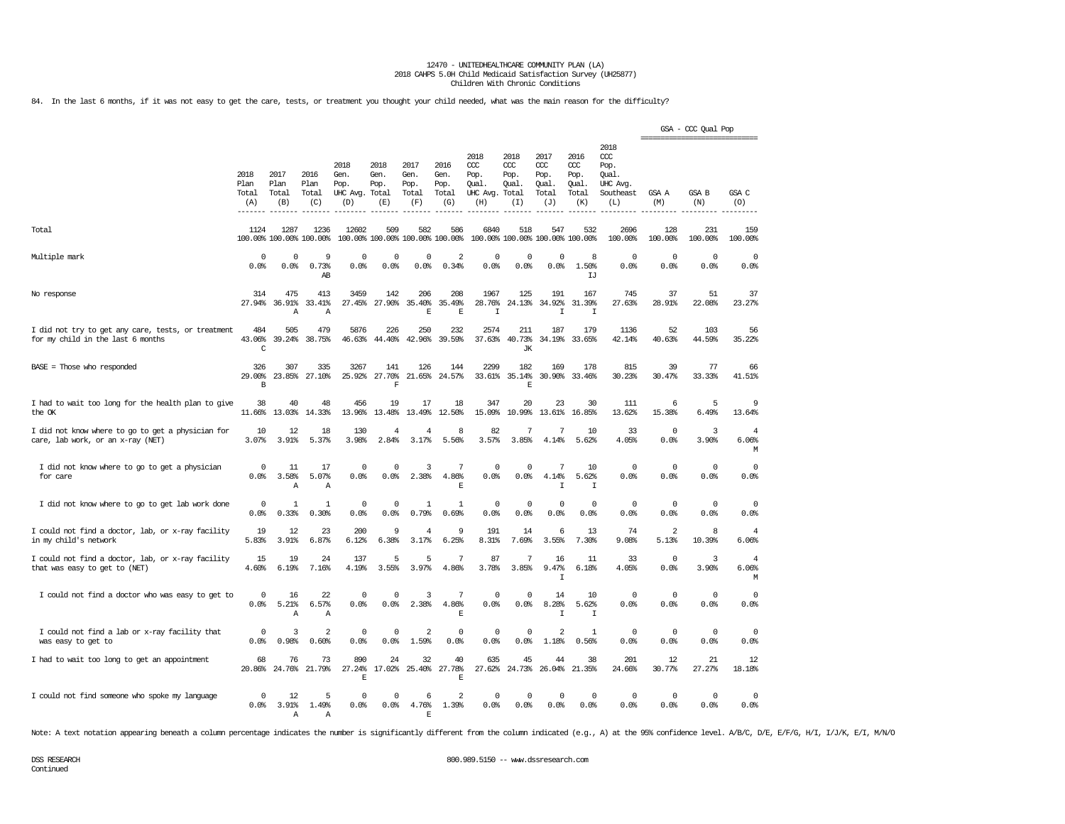84. In the last 6 months, if it was not easy to get the care, tests, or treatment you thought your child needed, what was the main reason for the difficulty?

|                                                                                         |                                             |                              |                                      |                                         |                                      |                                        |                                      |                                                       |                                      |                                                   |                                                   |                                                                   | -----------------------------    | GSA - CCC Qual Pop  |                              |
|-----------------------------------------------------------------------------------------|---------------------------------------------|------------------------------|--------------------------------------|-----------------------------------------|--------------------------------------|----------------------------------------|--------------------------------------|-------------------------------------------------------|--------------------------------------|---------------------------------------------------|---------------------------------------------------|-------------------------------------------------------------------|----------------------------------|---------------------|------------------------------|
|                                                                                         | 2018<br>Plan<br>Total<br>(A)<br>$- - - - -$ | 2017<br>Plan<br>Total<br>(B) | 2016<br>Plan<br>Total<br>(C)         | 2018<br>Gen.<br>Pop.<br>UHC Avg.<br>(D) | 2018<br>Gen.<br>Pop.<br>Total<br>(E) | 2017<br>Gen.<br>Pop.<br>Total<br>(F)   | 2016<br>Gen.<br>Pop.<br>Total<br>(G) | 2018<br>CCC<br>Pop.<br>Oual.<br>UHC Avg. Total<br>(H) | 2018<br>$CC$<br>Pop.<br>Oual.<br>(T) | 2017<br>$\alpha$<br>Pop.<br>Oual.<br>Total<br>(J) | 2016<br>$\alpha$<br>Pop.<br>Oual.<br>Total<br>(K) | 2018<br>$\alpha$<br>Pop.<br>Oual.<br>UHC Avg.<br>Southeast<br>(L) | GSA A<br>(M)                     | GSA B<br>(N)        | GSA C<br>(O)                 |
| Total                                                                                   | 1124                                        | 1287                         | 1236<br>100.00% 100.00% 100.00%      | 12602                                   | 509                                  | 582<br>100.00% 100.00% 100.00% 100.00% | 586                                  | 6840                                                  | 518<br>100.00% 100.00%               | 547                                               | 532<br>100.00% 100.00%                            | 2696<br>100.00%                                                   | 128<br>100.00%                   | 231<br>100.00%      | 159<br>100.00%               |
| Multiple mark                                                                           | 0<br>0.0%                                   | 0<br>0.0%                    | 9<br>0.73%<br>$\mathbb{A}\mathbb{B}$ | 0<br>0.0%                               | 0<br>0.0%                            | $\mathbf 0$<br>0.0%                    | $\overline{2}$<br>0.34%              | 0<br>0.0%                                             | 0<br>0.0%                            | 0<br>0.0%                                         | 8<br>1.50%<br>IJ                                  | $\mathbf 0$<br>0.0%                                               | $\circ$<br>0.0%                  | $\mathbf 0$<br>0.0% | 0<br>0.0%                    |
| No response                                                                             | 314<br>27.94%                               | 475<br>36.91%<br>Α           | 413<br>33.41%<br>Α                   | 3459<br>27.45%                          | 142<br>27.90%                        | 206<br>35.40%<br>F                     | 208<br>35.49%<br>$\mathbf E$         | 1967<br>28.76%<br>$\mathbbm{1}$                       | 125<br>24.13%                        | 191<br>34.92%<br>$\mathbbm{I}$                    | 167<br>31.39%<br>I                                | 745<br>27.63%                                                     | 37<br>28.91%                     | 51<br>22.08%        | 37<br>23.27%                 |
| I did not try to get any care, tests, or treatment<br>for my child in the last 6 months | 484<br>43.06%<br>C                          | 505<br>39.24%                | 479<br>38.75%                        | 5876<br>46.63%                          | 226<br>44.40%                        | 250<br>42.96%                          | 232<br>39.59%                        | 2574<br>37.63%                                        | 211<br>40.73%<br>JК                  | 187<br>34.19%                                     | 179<br>33.65%                                     | 1136<br>42.14%                                                    | 52<br>40.63%                     | 103<br>44.59%       | 56<br>35.22%                 |
| $BASE = Those who responded$                                                            | 326<br>29.00%<br>$\, {\bf B}$               | 307<br>23.85%                | 335<br>27.10%                        | 3267<br>25.92%                          | 141<br>27,70%<br>$\mathbf F$         | 126<br>21.65%                          | 144<br>24.57%                        | 2299<br>33.61%                                        | 182<br>35.14%<br>E                   | 169<br>30.90%                                     | 178<br>33.46%                                     | 815<br>30.23%                                                     | 39<br>30.47%                     | 77<br>33.33%        | 66<br>41.51%                 |
| I had to wait too long for the health plan to give<br>the OK                            | 38<br>11.66%                                | 40<br>13.03%                 | 48<br>14.33%                         | 456<br>13.96%                           | 19<br>13.48%                         | 17<br>13.49%                           | 18<br>12.50%                         | 347<br>15.09%                                         | 20<br>10.99%                         | 23<br>13.61%                                      | 30<br>16.85%                                      | 111<br>13.62%                                                     | 6<br>15.38%                      | 5<br>6.49%          | 9<br>13.64%                  |
| I did not know where to go to get a physician for<br>care, lab work, or an x-ray (NET)  | 10<br>3.07%                                 | 12<br>3.91%                  | 18<br>5.37%                          | 130<br>3.98%                            | $\overline{4}$<br>2.84%              | $\overline{4}$<br>3.17%                | 8<br>5.56%                           | 82<br>3.57%                                           | 7<br>3.85%                           | 7<br>4.14%                                        | 10<br>5.62%                                       | 33<br>4.05%                                                       | $\circ$<br>0.0%                  | 3<br>3.90%          | 4<br>6.06%<br>М              |
| I did not know where to go to get a physician<br>for care                               | 0<br>0.0%                                   | 11<br>3.58%<br>Α             | 17<br>5.07%<br>Α                     | $^{\circ}$<br>0.0%                      | 0<br>0.0%                            | 3<br>2.38%                             | 7<br>4.86%<br>E                      | 0<br>0.0%                                             | 0<br>0.0%                            | 7<br>4.14%<br>I                                   | 10<br>5.62%<br>I                                  | $\Omega$<br>0.0%                                                  | $^{\circ}$<br>0.0%               | 0<br>0.0%           | 0<br>0.0%                    |
| I did not know where to go to get lab work done                                         | 0<br>0.0                                    | $\mathbf{1}$<br>0.33%        | 1<br>0.30%                           | 0<br>0.0%                               | 0<br>0.0%                            | $\mathbf{1}$<br>0.79%                  | 1<br>0.69%                           | 0<br>0.0%                                             | $\mathbf 0$<br>0.0%                  | 0<br>0.0%                                         | $\mathbf 0$<br>0.0%                               | $\mathbf 0$<br>0.0%                                               | $\mathbf 0$<br>0.0%              | $\mathbf 0$<br>0.0% | $\Omega$<br>0.0%             |
| I could not find a doctor, lab, or x-ray facility<br>in my child's network              | 19<br>5.83%                                 | 12<br>3.91%                  | 23<br>6.87%                          | 200<br>6.12%                            | 9<br>6.38%                           | 4<br>3.17%                             | 9<br>6.25%                           | 191<br>8.31%                                          | 14<br>7.69%                          | 6<br>3.55%                                        | 13<br>7.30%                                       | 74<br>9.08%                                                       | $\overline{\mathbf{c}}$<br>5.13% | 8<br>10.39%         | 4<br>6.06%                   |
| I could not find a doctor, lab, or x-ray facility<br>that was easy to get to (NET)      | 15<br>4.60%                                 | 19<br>6.19%                  | 24<br>7.16%                          | 137<br>4.19%                            | 5<br>3.55%                           | 5<br>3.97%                             | 7<br>4.86%                           | 87<br>3.78%                                           | 7<br>3.85%                           | 16<br>9.47%<br>I                                  | 11<br>6.18%                                       | 33<br>4.05%                                                       | $\circ$<br>0.0%                  | 3<br>3.90%          | $\overline{4}$<br>6.06%<br>М |
| I could not find a doctor who was easy to get to                                        | 0<br>0.0%                                   | 16<br>5.21%<br>Α             | 22<br>6.57%<br>Α                     | $\mathbf 0$<br>0.0%                     | 0<br>0.0%                            | 3<br>2.38%                             | 7<br>4.86%<br>$\mathbf E$            | $\mathbf 0$<br>0.0%                                   | $\mathbf 0$<br>0.0%                  | 14<br>8.28%<br>I                                  | 10<br>5.62%<br>I                                  | $\mathbf 0$<br>0.0%                                               | $\mathbf{0}$<br>0.0%             | 0<br>0.0%           | $\mathbb O$<br>0.0%          |
| I could not find a lab or x-ray facility that<br>was easy to get to                     | $\Omega$<br>0.0%                            | 3<br>0.98%                   | 2<br>0.60%                           | $\mathbf 0$<br>0.0%                     | $^{\circ}$<br>0.0%                   | $\overline{2}$<br>1.59%                | $^{\circ}$<br>0.0%                   | $\mathbf 0$<br>0.0%                                   | $\mathbf 0$<br>0.0%                  | $\mathfrak{D}$<br>1.18%                           | $\mathbf{1}$<br>0.56%                             | $\mathbf 0$<br>0.0%                                               | $\mathbf 0$<br>0.0%              | $\mathbf 0$<br>0.0% | $^{\circ}$<br>0.0%           |
| I had to wait too long to get an appointment                                            | 68<br>20.86%                                | 76<br>24.76%                 | 73<br>21.79%                         | 890<br>27.24%<br>$\mathbf{E}% _{0}$     | 24<br>17.02%                         | 32<br>25.40%                           | 40<br>27.78%<br>$\mathbf{E}% _{0}$   | 635<br>27.62%                                         | 45<br>24.73%                         | 44<br>26.04%                                      | 38<br>21.35%                                      | 201<br>24.66%                                                     | 12<br>30.77%                     | 21<br>27.27%        | 12<br>18.18%                 |
| I could not find someone who spoke my language                                          | 0<br>0.0%                                   | 12<br>3.91%<br>A             | 5<br>1.49%<br>A                      | $^{\circ}$<br>0.0%                      | $^{\circ}$<br>0.0%                   | 6<br>4.76%<br>F.                       | $\overline{2}$<br>1.39%              | 0<br>0.0%                                             | 0<br>0.0%                            | $\mathbf 0$<br>0.0%                               | $\mathbf 0$<br>0.0%                               | $\mathbf 0$<br>0.0%                                               | $^{\circ}$<br>0.0%               | $\mathbf 0$<br>0.0% | $^{\circ}$<br>0.0%           |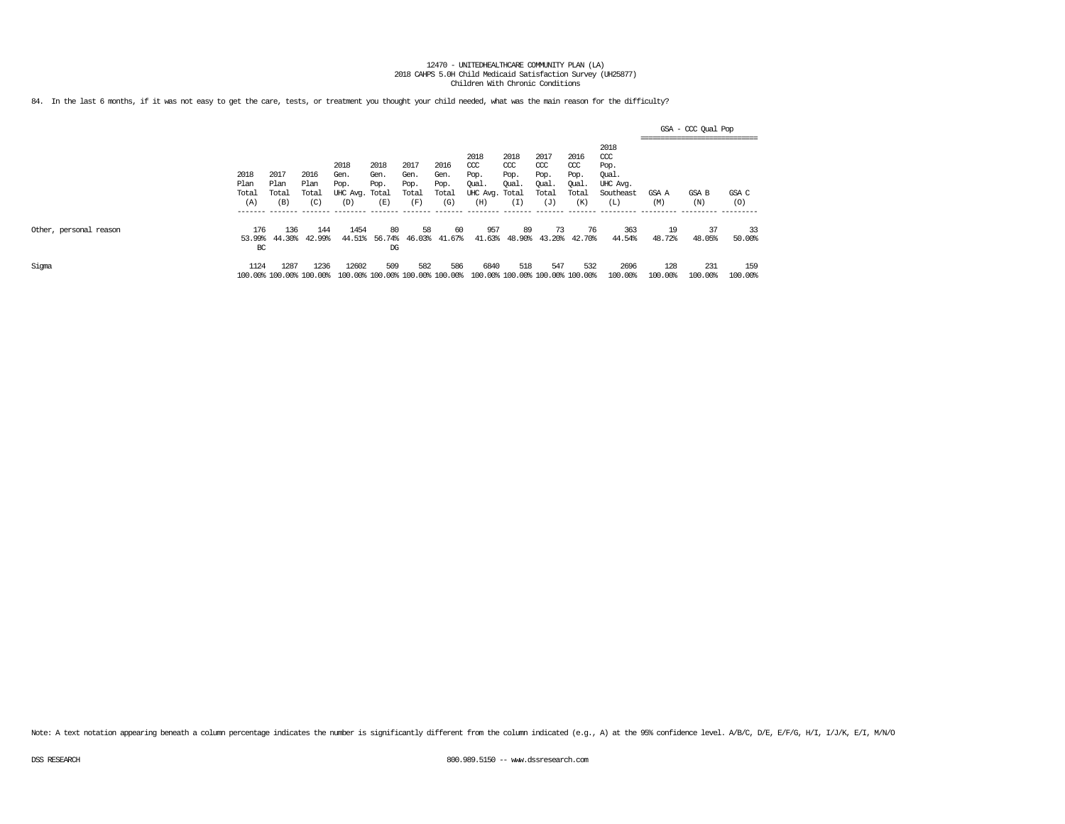84. In the last 6 months, if it was not easy to get the care, tests, or treatment you thought your child needed, what was the main reason for the difficulty?

|                        |                              |                                                |                                          |                                                            |                                        |                                                |                                                 |                                                                    |                                                |                                                               |                                                              |                                                                                       | -------------------------------- | GSA - CCC Qual Pop          |                            |
|------------------------|------------------------------|------------------------------------------------|------------------------------------------|------------------------------------------------------------|----------------------------------------|------------------------------------------------|-------------------------------------------------|--------------------------------------------------------------------|------------------------------------------------|---------------------------------------------------------------|--------------------------------------------------------------|---------------------------------------------------------------------------------------|----------------------------------|-----------------------------|----------------------------|
|                        | 2018<br>Plan<br>Total<br>(A) | 2017<br>Plan<br>Total<br>(B)<br>________ _____ | 2016<br>Plan<br>Total<br>(C)<br>-------- | 2018<br>Gen.<br>Pop.<br>UHC Avg. Total<br>(D)<br>_________ | 2018<br>Gen.<br>Pop.<br>(E)<br>------- | 2017<br>Gen.<br>Pop.<br>Total<br>(F<br>_______ | 2016<br>Gen.<br>Pop.<br>Total<br>(G)<br>_______ | 2018<br>CCC<br>Pop.<br>Qual.<br>UHC Avg. Total<br>(H)<br>_________ | 2018<br>CCC<br>Pop.<br>Qual.<br>L.<br>________ | 2017<br>$\alpha$<br>Pop.<br>Qual.<br>Total<br>(J)<br>-------- | 2016<br>$\alpha$<br>Pop.<br>Oual<br>Total<br>(K)<br>-------- | 2018<br>ccc<br>Pop.<br>Oual.<br>UHC Avg.<br>Southeast<br>$(\mathbb{L})$<br>__________ | GSA A<br>(M)<br>-----------      | GSA B<br>(N)<br>----------- | GSA C<br>(0)<br>---------- |
| Other, personal reason | 176<br>53.99%<br>BC          | 136<br>44.30%                                  | 144<br>42.99%                            | 1454<br>44.51%                                             | 80<br>56.74%<br>$_{DG}$                | 58<br>46.03%                                   | 60<br>41.67%                                    | 957<br>41.63%                                                      | 89<br>48.90%                                   | 73<br>43.20%                                                  | 76<br>42.70%                                                 | 363<br>44.54%                                                                         | 19<br>48.72%                     | 37<br>48.05%                | 33<br>50.00%               |
| Sigma                  | 1124                         | 1287<br>100.00% 100.00% 100.00%                | 1236                                     | 12602                                                      | 509                                    | 582<br>100.00% 100.00% 100.00% 100.00%         | 586                                             | 6840                                                               | 518<br>100.00% 100.00% 100.00% 100.00%         | 547                                                           | 532                                                          | 2696<br>100.00%                                                                       | 128<br>100.00%                   | 231<br>100.00%              | 159<br>100.00%             |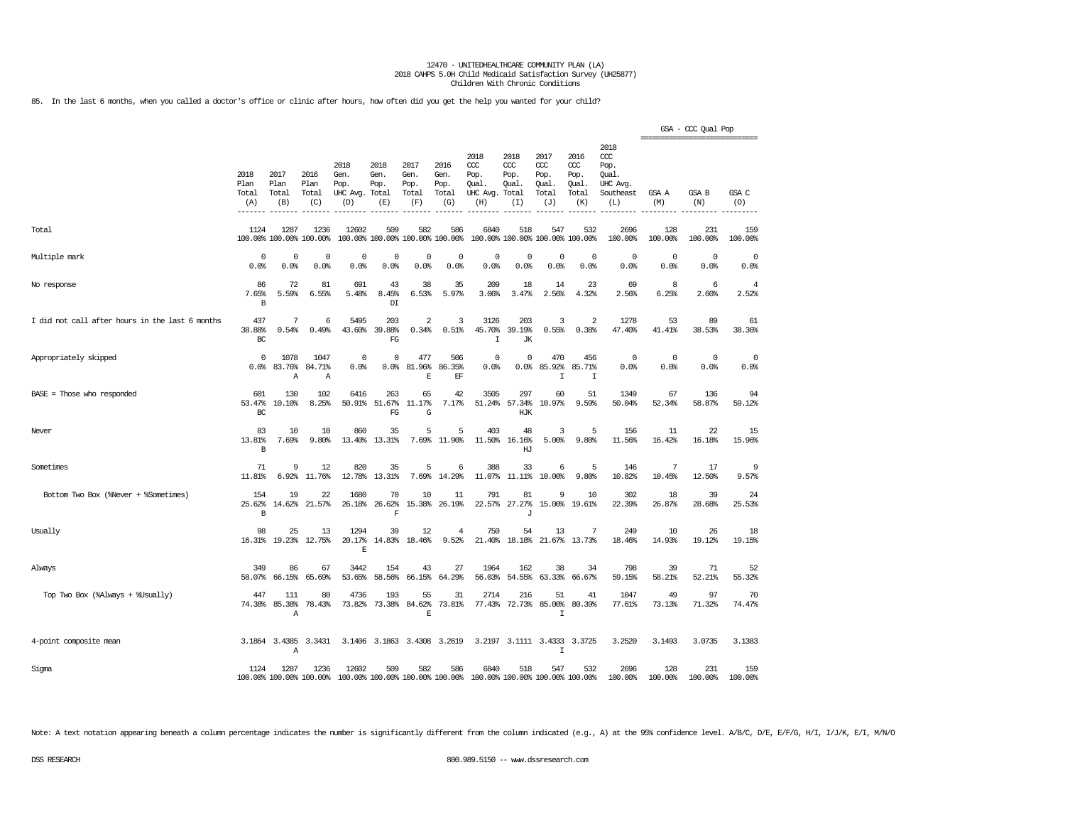85. In the last 6 months, when you called a doctor's office or clinic after hours, how often did you get the help you wanted for your child?

|                                                 |                              |                                 |                                 |                                          |                                        |                                      |                                      |                                                |                                               |                                             |                                              |                                                              | =============================== | GSA - CCC Qual Pop |                         |
|-------------------------------------------------|------------------------------|---------------------------------|---------------------------------|------------------------------------------|----------------------------------------|--------------------------------------|--------------------------------------|------------------------------------------------|-----------------------------------------------|---------------------------------------------|----------------------------------------------|--------------------------------------------------------------|---------------------------------|--------------------|-------------------------|
|                                                 | 2018<br>Plan<br>Total<br>(A) | 2017<br>Plan<br>Total<br>(B)    | 2016<br>Plan<br>Total<br>(C)    | 2018<br>Gen.<br>Pop.<br>UHC Avg.<br>(D)  | 2018<br>Gen.<br>Pop.<br>Total<br>(E)   | 2017<br>Gen.<br>Pop.<br>Total<br>(F) | 2016<br>Gen.<br>Pop.<br>Total<br>(G) | 2018<br>ccc<br>Pop.<br>Oual<br>UHC Avg.<br>(H) | 2018<br>$CC$<br>Pop.<br>Oual.<br>Total<br>(I) | 2017<br>ccc<br>Pop.<br>Qual<br>Total<br>(J) | 2016<br>ccc<br>Pop.<br>Oual.<br>Total<br>(K) | 2018<br>ccc<br>Pop.<br>Qual.<br>UHC Avg.<br>Southeast<br>(L) | GSA A<br>(M)                    | GSA B<br>(N)       | GSA C<br>(O)            |
| Total                                           | 1124                         | 1287<br>100.00% 100.00% 100.00% | 1236                            | 12602                                    | 509<br>100.00% 100.00% 100.00% 100.00% | 582                                  | 586                                  | 6840                                           | 518                                           | 547<br>100.00% 100.00% 100.00% 100.00%      | 532                                          | 2696<br>100.00%                                              | 128<br>100.00%                  | 231<br>100.00%     | 159<br>100.00%          |
| Multiple mark                                   | 0<br>0.0%                    | 0<br>0.0%                       | $\mathbf 0$<br>0.0%             | $\mathsf{O}\xspace$<br>0.0%              | 0<br>0.0%                              | $\mathbb O$<br>0.0%                  | 0<br>0.0%                            | $\mathbf 0$<br>0.0%                            | $\mathbf 0$<br>0.0%                           | $\mathbb O$<br>0.0%                         | $\mathbf 0$<br>0.0%                          | $\circ$<br>0.0%                                              | 0<br>0.0%                       | $\circ$<br>0.0%    | $\mathbf 0$<br>0.0%     |
| No response                                     | 86<br>7.65%<br>B             | 72<br>5.59%                     | 81<br>6.55%                     | 691<br>5.48%                             | 43<br>8.45%<br>$\mathbb{D}\mathbb{I}$  | 38<br>6.53%                          | 35<br>5.97%                          | 209<br>3.06%                                   | 18<br>3.47%                                   | 14<br>2.56%                                 | 23<br>4.32%                                  | 69<br>2.56%                                                  | 8<br>6.25%                      | 6<br>2.60%         | $\overline{4}$<br>2.52% |
| I did not call after hours in the last 6 months | 437<br>38.88%<br>BC          | 7<br>0.54%                      | 6<br>0.49%                      | 5495<br>43.60%                           | 203<br>39.88%<br>FG                    | $\overline{2}$<br>0.34%              | 3<br>0.51%                           | 3126<br>45.70%<br>$\mathbf I$                  | 203<br>39.19%<br><b>JK</b>                    | 3<br>0.55%                                  | $\overline{2}$<br>0.38%                      | 1278<br>47.40%                                               | 53<br>41.41%                    | 89<br>38.53%       | 61<br>38.36%            |
| Appropriately skipped                           | $\Omega$<br>0.0%             | 1078<br>83.76%<br>Α             | 1047<br>84.71%<br>Α             | 0<br>0.0%                                | 0<br>0.0%                              | 477<br>81.96%<br>$\mathbf E$         | 506<br>86.35%<br>$\operatorname{EF}$ | $\mathbf 0$<br>0.0%                            | 0<br>0.0                                      | 470<br>85.92%<br>$\mathsf{T}$               | 456<br>85.71%<br>I                           | 0<br>0.0%                                                    | $\Omega$<br>0.0%                | $\circ$<br>0.0%    | $\mathbf 0$<br>0.0%     |
| $BASE = Those who responded$                    | 601<br>53.47%<br>BC          | 130<br>10.10%                   | 102<br>8.25%                    | 6416<br>50.91%                           | 263<br>51.67%<br>FG                    | 65<br>11.17%<br>G                    | 42<br>7.17%                          | 3505<br>51.24%                                 | 297<br>57.34%<br>HJK                          | 60<br>10.97%                                | 51<br>9.59%                                  | 1349<br>50.04%                                               | 67<br>52.34%                    | 136<br>58.87%      | 94<br>59.12%            |
| Never                                           | 83<br>13.81%<br>B            | 10<br>7.69%                     | 10<br>9.80%                     | 860<br>13.40%                            | 35<br>13.31%                           | 5<br>7.69%                           | 5<br>11.90%                          | 403<br>11.50%                                  | 48<br>16.16%<br>HJ                            | 3<br>5.00%                                  | 5<br>9.80%                                   | 156<br>11.56%                                                | 11<br>16.42%                    | 22<br>16.18%       | 15<br>15.96%            |
| Sometimes                                       | 71<br>11.81%                 | 9<br>6.92%                      | 12<br>11.76%                    | 820<br>12.78%                            | 35<br>13.31%                           | 5<br>7.69%                           | 6<br>14.29%                          | 388<br>11.07%                                  | 33<br>11.11%                                  | 6<br>10.00%                                 | 5<br>9.80%                                   | 146<br>10.82%                                                | 7<br>10.45%                     | 17<br>12.50%       | 9<br>9.57%              |
| Bottom Two Box (%Never + %Sometimes)            | 154<br>25.62%<br>B           | 19<br>14.62%                    | 22<br>21.57%                    | 1680<br>26.18%                           | 70<br>26.62%<br>F                      | 10<br>15.38%                         | 11<br>26.19%                         | 791                                            | 81<br>22.57% 27.27%<br>$\mathbf{J}$           | 9                                           | 10<br>15.00% 19.61%                          | 302<br>22.39%                                                | 18<br>26.87%                    | 39<br>28.68%       | 24<br>25.53%            |
| Usually                                         | 98<br>16.31%                 | 25<br>19.23%                    | 13<br>12.75%                    | 1294<br>20.17%<br>E                      | 39<br>14.83%                           | 12<br>18.46%                         | 4<br>9.52%                           | 750<br>21.40%                                  | 54<br>18.18%                                  | 13<br>21.67%                                | 7<br>13.73%                                  | 249<br>18.46%                                                | 10<br>14.93%                    | 26<br>19.12%       | 18<br>19.15%            |
| Always                                          | 349<br>58.07%                | 86<br>66.15%                    | 67<br>65.69%                    | 3442<br>53.65%                           | 154<br>58.56%                          | 43<br>66.15%                         | 27<br>64.29%                         | 1964<br>56.03%                                 | 162<br>54.55%                                 | 38<br>63.33%                                | 34<br>66.67%                                 | 798<br>59.15%                                                | 39<br>58.21%                    | 71<br>52.21%       | 52<br>55.32%            |
| Top Two Box (%Always + %Usually)                | 447<br>74.38%                | 111<br>85.38%<br>Α              | 80<br>78.43%                    | 4736<br>73.82%                           | 193<br>73.38%                          | 55<br>84.62%<br>E                    | 31<br>73.81%                         | 2714<br>77.43%                                 | 216<br>72.73%                                 | 51<br>85.00%<br>I                           | 41<br>80.39%                                 | 1047<br>77.61%                                               | 49<br>73.13%                    | 97<br>71.32%       | 70<br>74.47%            |
| 4-point composite mean                          |                              | 3.1864 3.4385<br>Α              | 3.3431                          | 3.1406                                   |                                        |                                      | 3.1863 3.4308 3.2619                 |                                                |                                               | 3.2197 3.1111 3.4333<br>$\mathsf{T}$        | 3.3725                                       | 3.2520                                                       | 3.1493                          | 3.0735             | 3.1383                  |
| Sigma                                           | 1124                         | 1287                            | 1236<br>100.00% 100.00% 100.00% | 12602<br>100.00% 100.00% 100.00% 100.00% | 509                                    | 582                                  | 586                                  | 6840                                           | 518                                           | 547<br>100.00% 100.00% 100.00% 100.00%      | 532                                          | 2696<br>100.00%                                              | 128<br>100.00%                  | 231<br>100.00%     | 159<br>100.00%          |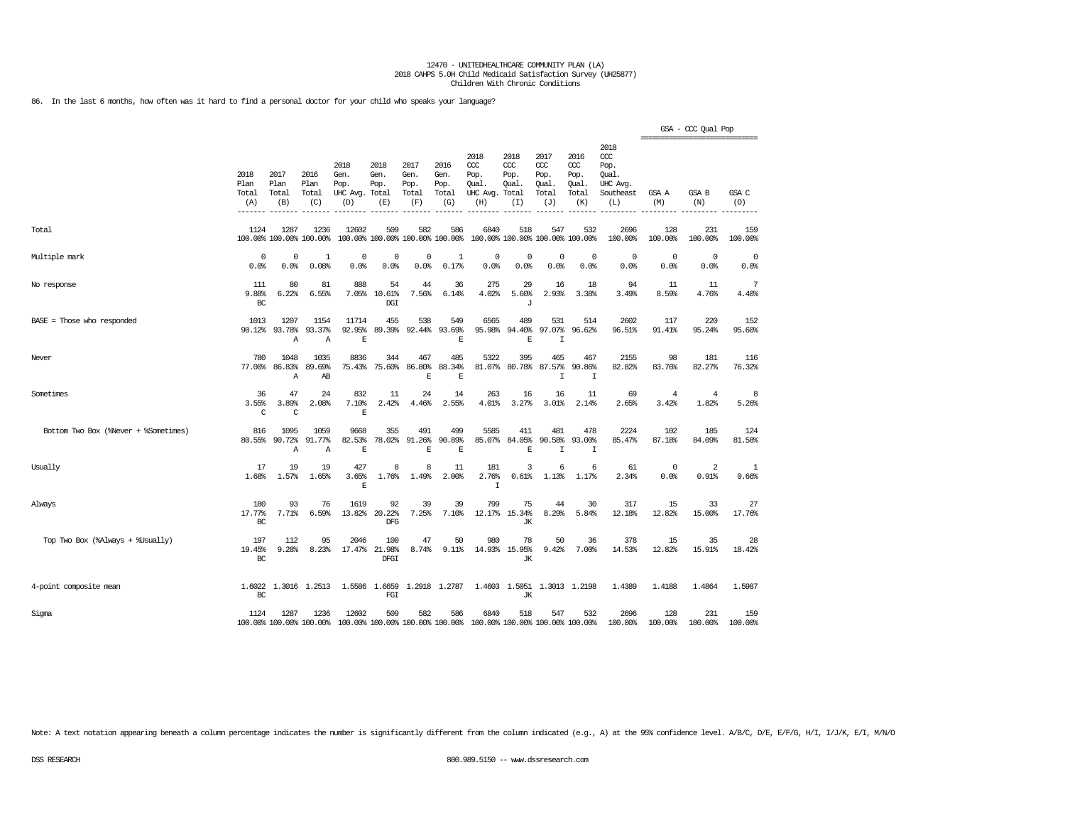86. In the last 6 months, how often was it hard to find a personal doctor for your child who speaks your language?

|                                      |                                       |                                 |                                  |                                               |                                        |                                      |                                      |                                                                         |                                     |                                              |                                                   |                                                              | ------------------------------ | GSA - CCC Qual Pop      |                    |
|--------------------------------------|---------------------------------------|---------------------------------|----------------------------------|-----------------------------------------------|----------------------------------------|--------------------------------------|--------------------------------------|-------------------------------------------------------------------------|-------------------------------------|----------------------------------------------|---------------------------------------------------|--------------------------------------------------------------|--------------------------------|-------------------------|--------------------|
|                                      | 2018<br>Plan<br>Total<br>(A)<br>----- | 2017<br>Plan<br>Total<br>(B)    | 2016<br>Plan<br>Total<br>(C)     | 2018<br>Gen.<br>Pop.<br>UHC Avg. Total<br>(D) | 2018<br>Gen.<br>Pop.<br>(E)            | 2017<br>Gen.<br>Pop.<br>Total<br>(F) | 2016<br>Gen.<br>Pop.<br>Total<br>(G) | 2018<br>CCC<br>Pop.<br>Qual.<br>UHC Avg. Total<br>(H)                   | 2018<br>ccc<br>Pop.<br>Qual.<br>(I) | 2017<br>ccc<br>Pop.<br>Qual.<br>Total<br>(J) | 2016<br>$\alpha$<br>Pop.<br>Qual.<br>Total<br>(K) | 2018<br>ccc<br>Pop.<br>Oual.<br>UHC Avg.<br>Southeast<br>(L) | GSA A<br>(M)                   | GSA B<br>(N)            | GSA C<br>(O)       |
| Total                                | 1124                                  | 1287<br>100.00% 100.00% 100.00% | 1236                             | 12602                                         | 509<br>100.00% 100.00% 100.00% 100.00% | 582                                  | 586                                  | 6840                                                                    | 518                                 | 547<br>100.00% 100.00% 100.00% 100.00%       | 532                                               | 2696<br>100.00%                                              | 128<br>100.00%                 | 231<br>100.00%          | 159<br>100.00%     |
| Multiple mark                        | $\Omega$<br>0.0%                      | $\Omega$<br>0.0%                | $\mathbf{1}$<br>0.08%            | 0<br>0.0%                                     | $\mathbf 0$<br>0.0%                    | $\mathbf 0$<br>0.0%                  | $\mathbf{1}$<br>0.17%                | $^{\circ}$<br>0.0%                                                      | $\mathbf 0$<br>0.0%                 | $\mathbf 0$<br>0.0%                          | $\mathbf 0$<br>0.0%                               | $^{\circ}$<br>0.0%                                           | $^{\circ}$<br>0.0%             | $\circ$<br>0.0%         | $^{\circ}$<br>0.0% |
| No response                          | 111<br>9.88%<br>BC                    | 80<br>6.22%                     | 81<br>6.55%                      | 888<br>7.05%                                  | 54<br>10.61%<br>DGI                    | 44<br>7.56%                          | 36<br>6.14%                          | 275<br>4.02%                                                            | 29<br>5.60%<br>J                    | 16<br>2.93%                                  | 18<br>3.38%                                       | 94<br>3.49%                                                  | 11<br>8.59%                    | 11<br>4.76%             | 7<br>4.40%         |
| $BASE = Those who responded$         | 1013<br>90.12%                        | 1207<br>93.78%<br>Α             | 1154<br>93.37%<br>$\overline{A}$ | 11714<br>92.95%<br>$\mathbf E$                | 455<br>89.39%                          | 538<br>92.44%                        | 549<br>93.69%<br>$\mathbb E$         | 6565<br>95.98%                                                          | 489<br>94.40%<br>$\mathbf E$        | 531<br>97.07%<br>T                           | 514<br>96.62%                                     | 2602<br>96.51%                                               | 117<br>91.41%                  | 220<br>95.24%           | 152<br>95.60%      |
| Never                                | 780<br>77.00%                         | 1048<br>86.83%<br>Α             | 1035<br>89.69%<br>AB             | 8836<br>75.43%                                | 344<br>75.60%                          | 467<br>86.80%<br>E                   | 485<br>88.34%<br>E                   | 5322<br>81.07%                                                          | 395<br>80.78%                       | 465<br>87.57%<br>T                           | 467<br>90.86%<br>$\mathbbm{I}$                    | 2155<br>82.82%                                               | 98<br>83.76%                   | 181<br>82.27%           | 116<br>76.32%      |
| Sometimes                            | 36<br>3.55%<br>$\mathcal{C}$          | 47<br>3.89%<br>$\mathcal{C}$    | 24<br>2.08%                      | 832<br>7.10%<br>E                             | 11<br>2.42%                            | 24<br>4.46%                          | 14<br>2.55%                          | 263<br>4.01%                                                            | 16<br>3.27%                         | 16<br>3.01%                                  | 11<br>2.14%                                       | 69<br>2.65%                                                  | $\overline{4}$<br>3.42%        | 4<br>1.82%              | 8<br>5.26%         |
| Bottom Two Box (%Never + %Sometimes) | 816<br>80.55%                         | 1095<br>90.72%<br>Α             | 1059<br>91.77%<br>Α              | 9668<br>82.53%<br>E                           | 355<br>78.02%                          | 491<br>91.26%<br>E                   | 499<br>90.89%<br>E                   | 5585<br>85.07%                                                          | 411<br>84.05%<br>E                  | 481<br>90.58%<br>I                           | 478<br>93.00%<br>I                                | 2224<br>85.47%                                               | 102<br>87.18%                  | 185<br>84.09%           | 124<br>81.58%      |
| Usually                              | 17<br>1.68%                           | 19<br>1.57%                     | 19<br>1.65%                      | 427<br>3.65%<br>E                             | 8<br>1.76%                             | 8<br>1.49%                           | 11<br>2.00%                          | 181<br>2.76%<br>$\mathbf I$                                             | 3<br>0.61%                          | 6<br>1.13%                                   | 6<br>1.17%                                        | 61<br>2.34%                                                  | $\overline{0}$<br>0.0%         | $\overline{a}$<br>0.91% | 1<br>0.66%         |
| Always                               | 180<br>17.77%<br>BC                   | 93<br>7.71%                     | 76<br>6.59%                      | 1619<br>13.82%                                | 92<br>20.22%<br><b>DFG</b>             | 39<br>7.25%                          | 39<br>7.10%                          | 799<br>12.17%                                                           | 75<br>15.34%<br>JК                  | 44<br>8.29%                                  | 30<br>5.84%                                       | 317<br>12.18%                                                | 15<br>12.82%                   | 33<br>15.00%            | 27<br>17.76%       |
| Top Two Box (%Always + %Usually)     | 197<br>19.45%<br>BC                   | 112<br>9.28%                    | 95<br>8.23%                      | 2046<br>17.47%                                | 100<br>21.98%<br>DFGI                  | 47<br>8.74%                          | 50<br>9.11%                          | 980<br>14.93%                                                           | 78<br>15.95%<br>JК                  | 50<br>9.42%                                  | 36<br>7.00%                                       | 378<br>14.53%                                                | 15<br>12.82%                   | 35<br>15.91%            | 28<br>18.42%       |
| 4-point composite mean               | 1.6022<br>BC                          |                                 | 1.3016 1.2513                    | 1.5586                                        | 1.6659<br>FGI                          | 1.2918                               | 1.2787                               | 1.4603                                                                  | 1.5051<br>JК                        |                                              | 1.3013 1.2198                                     | 1.4389                                                       | 1.4188                         | 1.4864                  | 1.5987             |
| Sigma                                | 1124                                  | 1287                            | 1236<br>100.00% 100.00% 100.00%  | 12602                                         | 509                                    | 582                                  | 586                                  | 6840<br>100.00% 100.00% 100.00% 100.00% 100.00% 100.00% 100.00% 100.00% | 518                                 | 547                                          | 532                                               | 2696<br>100.00%                                              | 128<br>100.00%                 | 231<br>100.00%          | 159<br>100.00%     |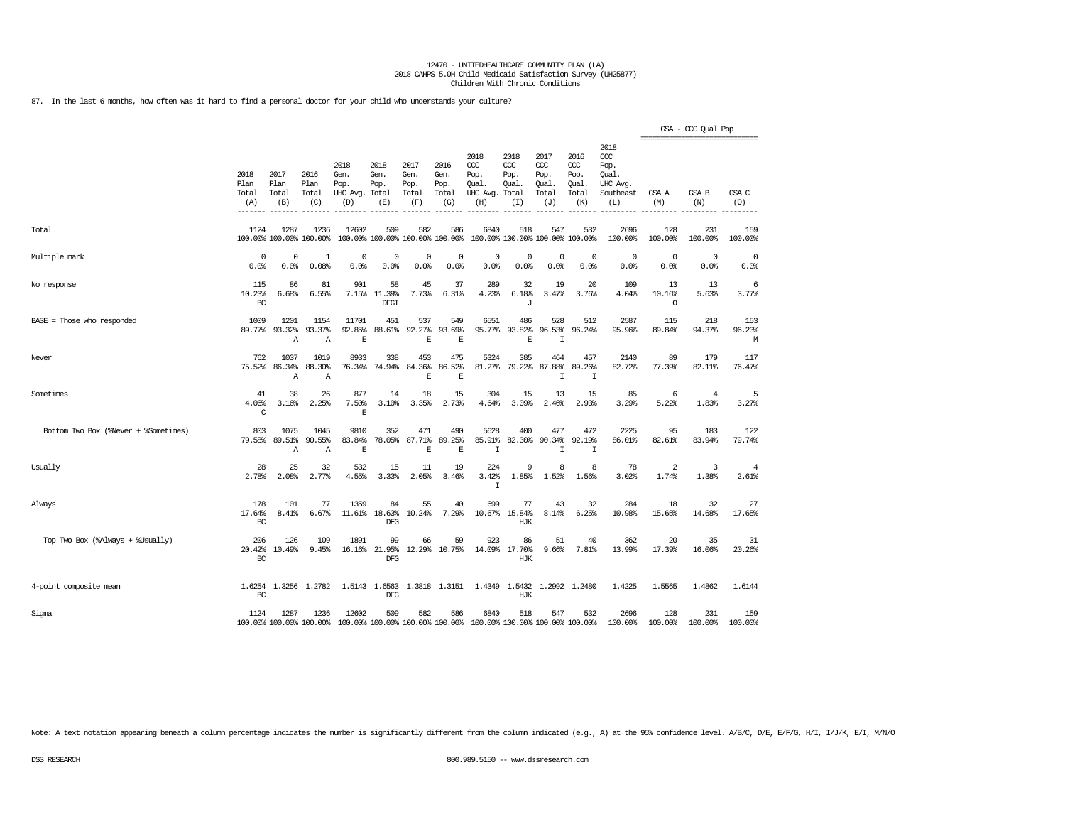87. In the last 6 months, how often was it hard to find a personal doctor for your child who understands your culture?

|                                      |                              |                              |                                 |                                               |                                        |                                      |                                      |                                                 |                                              |                                              |                                              |                                                              | =============================== | GSA - CCC Qual Pop      |                    |
|--------------------------------------|------------------------------|------------------------------|---------------------------------|-----------------------------------------------|----------------------------------------|--------------------------------------|--------------------------------------|-------------------------------------------------|----------------------------------------------|----------------------------------------------|----------------------------------------------|--------------------------------------------------------------|---------------------------------|-------------------------|--------------------|
|                                      | 2018<br>Plan<br>Total<br>(A) | 2017<br>Plan<br>Total<br>(B) | 2016<br>Plan<br>Total<br>(C)    | 2018<br>Gen.<br>Pop.<br>UHC Avg. Total<br>(D) | 2018<br>Gen.<br>Pop.<br>(E)            | 2017<br>Gen.<br>Pop.<br>Total<br>(F) | 2016<br>Gen.<br>Pop.<br>Total<br>(G) | 2018<br>ccc<br>Pop.<br>Qual.<br>UHC Avg.<br>(H) | 2018<br>CCC<br>Pop.<br>Qual.<br>Total<br>(I) | 2017<br>ccc<br>Pop.<br>Qual.<br>Total<br>(J) | 2016<br>ccc<br>Pop.<br>Qual.<br>Total<br>(K) | 2018<br>ccc<br>Pop.<br>Oual.<br>UHC Avg.<br>Southeast<br>(L) | GSA A<br>(M)                    | <b>GSA B</b><br>(N)     | GSA C<br>(O)       |
| Total                                | 1124                         | 1287                         | 1236<br>100.00% 100.00% 100.00% | 12602                                         | 509<br>100.00% 100.00% 100.00% 100.00% | 582                                  | 586                                  | 6840                                            | 518                                          | 547<br>100.00% 100.00% 100.00% 100.00%       | 532                                          | 2696<br>100.00%                                              | 128<br>100.00%                  | 231<br>100.00%          | 159<br>100.00%     |
| Multiple mark                        | $^{\circ}$<br>0.0%           | $\Omega$<br>0.0%             | 1<br>0.08%                      | $\Omega$<br>0.0%                              | 0<br>0.0%                              | 0<br>0.0%                            | 0<br>0.0%                            | $^{\circ}$<br>0.0%                              | $^{\circ}$<br>0.0%                           | $\Omega$<br>0.0%                             | $\Omega$<br>0.0%                             | $\circ$<br>0.0%                                              | 0<br>0.0%                       | $\circ$<br>0.0%         | $^{\circ}$<br>0.0% |
| No response                          | 115<br>10.23%<br>BC          | 86<br>6.68%                  | 81<br>6.55%                     | 901<br>7.15%                                  | 58<br>11.39%<br>DFGI                   | 45<br>7.73%                          | 37<br>6.31%                          | 289<br>4.23%                                    | 32<br>6.18%<br>J                             | 19<br>3.47%                                  | 20<br>3.76%                                  | 109<br>4.04%                                                 | 13<br>10.16%<br>$\circ$         | 13<br>5.63%             | 6<br>3.77%         |
| $BASE = Those who responded$         | 1009<br>89.77%               | 1201<br>93.32%<br>Α          | 1154<br>93.37%<br>Α             | 11701<br>92.85%<br>E                          | 451<br>88.61%                          | 537<br>92.27%<br>E                   | 549<br>93.69%<br>E                   | 6551<br>95.77%                                  | 486<br>93.82%<br>E                           | 528<br>96.53%<br>$\mathbf I$                 | 512<br>96.24%                                | 2587<br>95.96%                                               | 115<br>89.84%                   | 218<br>94.37%           | 153<br>96.23%<br>М |
| Never                                | 762<br>75.52%                | 1037<br>86.34%<br>A          | 1019<br>88.30%<br>Α             | 8933<br>76.34%                                | 338<br>74.94%                          | 453<br>84.36%<br>$\mathbf E$         | 475<br>86.52%<br>$\mathbb E$         | 5324<br>81.27%                                  | 385<br>79.22%                                | 464<br>87.88%<br>I                           | 457<br>89.26%<br>$\mathbf I$                 | 2140<br>82.72%                                               | 89<br>77.39%                    | 179<br>82.11%           | 117<br>76.47%      |
| Sometimes                            | 41<br>4.06%<br>C             | 38<br>3.16%                  | 26<br>2.25%                     | 877<br>7.50%<br>E                             | 14<br>3.10%                            | 18<br>3.35%                          | 15<br>2.73%                          | 304<br>4.64%                                    | 15<br>3.09%                                  | 13<br>2.46%                                  | 15<br>2.93%                                  | 85<br>3.29%                                                  | 6<br>5.22%                      | $\overline{4}$<br>1.83% | 5<br>3.27%         |
| Bottom Two Box (%Never + %Sometimes) | 803<br>79.58%                | 1075<br>89.51%<br>Α          | 1045<br>90.55%<br>Α             | 9810<br>83.84%<br>E                           | 352<br>78.05%                          | 471<br>87.71%<br>$\mathbf E$         | 490<br>89.25%<br>E                   | 5628<br>85.91%<br>$\mathbf I$                   | 400<br>82.30%                                | 477<br>90.34%<br>I                           | 472<br>92.19%<br>I                           | 2225<br>86.01%                                               | 95<br>82.61%                    | 183<br>83.94%           | 122<br>79.74%      |
| Usually                              | 28<br>2.78%                  | 25<br>2.08%                  | 32<br>2.77%                     | 532<br>4.55%                                  | 15<br>3.33%                            | 11<br>2.05%                          | 19<br>3.46%                          | 224<br>3.42%<br>$\mathbf I$                     | 9<br>1.85%                                   | 8<br>1.52%                                   | 8<br>1.56%                                   | 78<br>3.02%                                                  | 2<br>1.74%                      | 3<br>1.38%              | 4<br>2.61%         |
| Always                               | 178<br>17.64%<br>BC          | 101<br>8.41%                 | 77<br>6.67%                     | 1359<br>11.61%                                | 84<br>18.63%<br>DFG                    | 55<br>10.24%                         | 40<br>7.29%                          | 699<br>10.67%                                   | 77<br>15.84%<br>HJK                          | 43<br>8.14%                                  | 32<br>6.25%                                  | 284<br>10.98%                                                | 18<br>15.65%                    | 32<br>14.68%            | 27<br>17.65%       |
| Top Two Box (%Always + %Usually)     | 206<br>20.42%<br>BC          | 126<br>10.49%                | 109<br>9.45%                    | 1891<br>16.16%                                | 99<br>21.95%<br><b>DFG</b>             | 66                                   | 59<br>12.29% 10.75%                  | 923                                             | 86<br>14.09% 17.70%<br>HJK                   | 51<br>9.66%                                  | 40<br>7.81%                                  | 362<br>13.99%                                                | 20<br>17.39%                    | 35<br>16.06%            | 31<br>20.26%       |
| 4-point composite mean               | 1.6254<br>BC                 | 1.3256                       | 1.2782                          |                                               | 1.5143 1.6563<br>$_{\rm DFG}$          |                                      | 1.3818 1.3151                        |                                                 | 1.4349 1.5432<br>HJK                         |                                              | 1.2992 1.2480                                | 1.4225                                                       | 1.5565                          | 1.4862                  | 1.6144             |
| Sigma                                | 1124                         | 1287                         | 1236<br>100.00% 100.00% 100.00% | 12602                                         | 509<br>100.00% 100.00% 100.00% 100.00% | 582                                  | 586                                  | 6840                                            | 518                                          | 547<br>100.00% 100.00% 100.00% 100.00%       | 532                                          | 2696<br>100.00%                                              | 128<br>100.00%                  | 231<br>100.00%          | 159<br>100.00%     |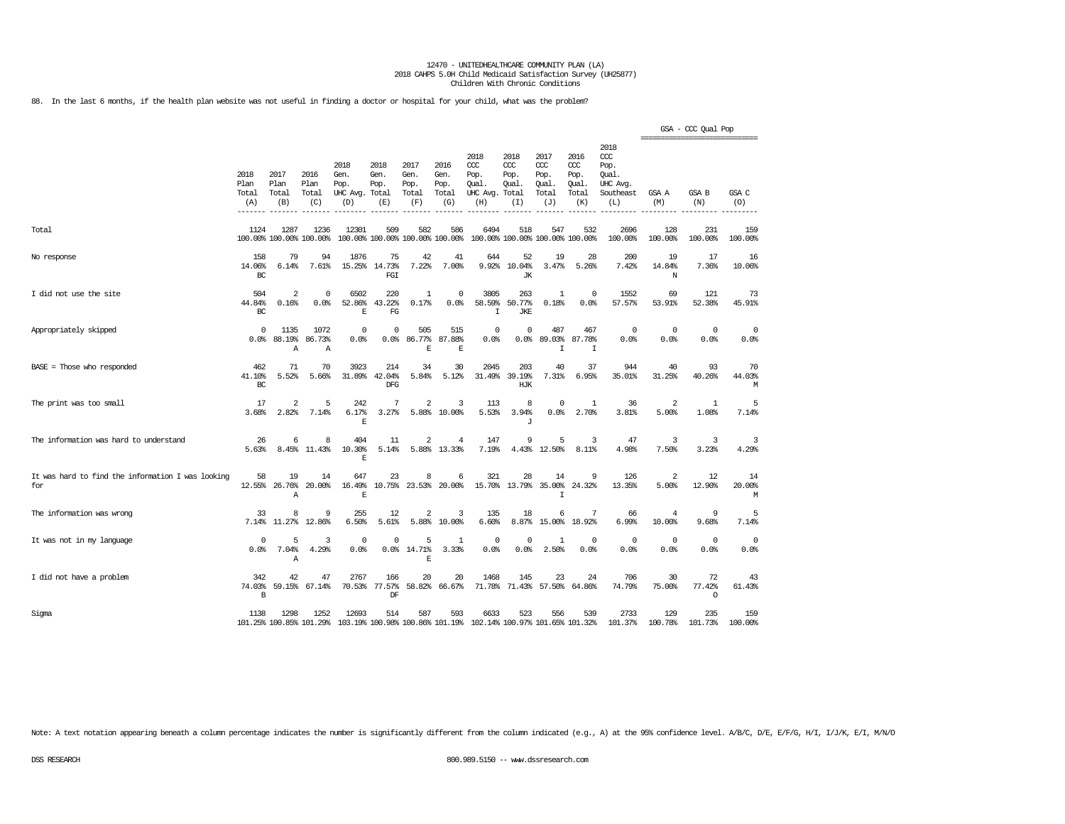88. In the last 6 months, if the health plan website was not useful in finding a doctor or hospital for your child, what was the problem?

|                                                          |                              |                                  |                                 |                                               |                                        |                                      |                                      |                                                                         |                                              |                                              |                                              |                                                                   | ======================= | GSA - CCC Qual Pop      |                     |
|----------------------------------------------------------|------------------------------|----------------------------------|---------------------------------|-----------------------------------------------|----------------------------------------|--------------------------------------|--------------------------------------|-------------------------------------------------------------------------|----------------------------------------------|----------------------------------------------|----------------------------------------------|-------------------------------------------------------------------|-------------------------|-------------------------|---------------------|
|                                                          | 2018<br>Plan<br>Total<br>(A) | 2017<br>Plan<br>Total<br>(B)     | 2016<br>Plan<br>Total<br>(C)    | 2018<br>Gen.<br>Pop.<br>UHC Avg. Total<br>(D) | 2018<br>Gen.<br>Pop.<br>(E)            | 2017<br>Gen.<br>Pop.<br>Total<br>(F) | 2016<br>Gen.<br>Pop.<br>Total<br>(G) | 2018<br>ccc<br>Pop.<br>Qual.<br>UHC Avg.<br>(H)                         | 2018<br>CCC<br>Pop.<br>Oual.<br>Total<br>(I) | 2017<br>ccc<br>Pop.<br>Oual.<br>Total<br>(J) | 2016<br>ccc<br>Pop.<br>Oual.<br>Total<br>(K) | 2018<br>$\alpha$<br>Pop.<br>Oual.<br>UHC Avg.<br>Southeast<br>(L) | GSA A<br>(M)            | GSA B<br>(N)            | GSA C<br>(O)        |
| Total                                                    | 1124                         | 1287                             | 1236<br>100.00% 100.00% 100.00% | 12301                                         | 509<br>100.00% 100.00% 100.00% 100.00% | 582                                  | 586                                  | 6494                                                                    | 518                                          | 547<br>100.00% 100.00% 100.00% 100.00%       | 532                                          | 2696<br>100.00%                                                   | 128<br>100.00%          | 231<br>100.00%          | 159<br>100.00%      |
| No response                                              | 158<br>14.06%<br>BC          | 79<br>6.14%                      | 94<br>7.61%                     | 1876                                          | 75<br>15.25% 14.73%<br>FGI             | 42<br>7.22%                          | 41<br>7.00%                          | 644<br>9.92%                                                            | 52<br>10.04%<br><b>JK</b>                    | 19<br>3.47%                                  | 28<br>5.26%                                  | 200<br>7.42%                                                      | 19<br>14.84%<br>N       | 17<br>7.36%             | 16<br>10.06%        |
| I did not use the site                                   | 504<br>44.84%<br>BC          | $\overline{2}$<br>0.16%          | $^{\circ}$<br>0.0%              | 6502<br>52.86%<br>$\overline{E}$              | 220<br>43.22%<br>FG                    | 1<br>0.17%                           | $\Omega$<br>0.0%                     | 3805<br>58.59%<br>$\mathbf I$                                           | 263<br>50.77%<br><b>JKE</b>                  | $\mathbf{1}$<br>0.18%                        | $\Omega$<br>0.0%                             | 1552<br>57.57%                                                    | 69<br>53.91%            | 121<br>52.38%           | 73<br>45.91%        |
| Appropriately skipped                                    | $\mathbf 0$<br>0.0%          | 1135<br>88.19%<br>Α              | 1072<br>86.73%<br>Α             | $\mathbf 0$<br>0.0%                           | $\mathbf 0$<br>0.0%                    | 505<br>86.77%<br>E                   | 515<br>87.88%<br>E                   | $\overline{0}$<br>0.0%                                                  | $\Omega$<br>0.0%                             | 487<br>89.03%<br>I                           | 467<br>87.78%<br>I                           | $\mathbf 0$<br>0.0%                                               | $^{\circ}$<br>0.0%      | $\circ$<br>0.0%         | $\mathbf 0$<br>0.0% |
| $BASE = Those who responded$                             | 462<br>41.10%<br>BC          | 71<br>5.52%                      | 70<br>5.66%                     | 3923<br>31.89%                                | 214<br>42.04%<br><b>DFG</b>            | 34<br>5.84%                          | 30<br>5.12%                          | 2045<br>31.49%                                                          | 203<br>39.19%<br>HJK                         | 40<br>7.31%                                  | 37<br>6.95%                                  | 944<br>35.01%                                                     | 40<br>31.25%            | 93<br>40.26%            | 70<br>44.03%<br>M   |
| The print was too small                                  | 17<br>3.68%                  | $\overline{\mathbf{c}}$<br>2.82% | 5<br>7.14%                      | 242<br>6.17%<br>E                             | 7<br>3.27%                             | 2<br>5.88%                           | 3<br>10.00%                          | 113<br>5.53%                                                            | 8<br>3.94%<br>J                              | $\Omega$<br>0.0%                             | 1<br>2.70%                                   | 36<br>3.81%                                                       | 2<br>5.00%              | 1<br>1.08%              | 5<br>7.14%          |
| The information was hard to understand                   | 26<br>5.63%                  | 6<br>8.45%                       | 8<br>11.43%                     | 404<br>10.30%<br>$\mathbf E$                  | 11<br>5.14%                            | $\overline{2}$                       | 4<br>5.88% 13.33%                    | 147<br>7.19%                                                            | 9<br>4.43%                                   | 5<br>12.50%                                  | 3<br>8.11%                                   | 47<br>4.98%                                                       | 3<br>7.50%              | 3<br>3.23%              | 3<br>4.29%          |
| It was hard to find the information I was looking<br>for | 58<br>12.55%                 | 19<br>26.76%<br>Α                | 14<br>20.00%                    | 647<br>16.49%<br>E                            | 23<br>10.75%                           | 8<br>23.53%                          | 6<br>20.00%                          | 321<br>15.70%                                                           | 28<br>13.79%                                 | 14<br>35,00%<br>T                            | 9<br>24.32%                                  | 126<br>13.35%                                                     | 2<br>5.00%              | 12<br>12.90%            | 14<br>20.00%<br>M   |
| The information was wrong                                | 33<br>7.14%                  | 8<br>11.27%                      | 9<br>12.86%                     | 255<br>6.50%                                  | 12<br>5.61%                            | $\overline{2}$<br>5.88%              | 3<br>10.00%                          | 135<br>6.60%                                                            | 18<br>8.87%                                  | 6<br>15.00%                                  | 7<br>18.92%                                  | 66<br>6.99%                                                       | 4<br>10.00%             | 9<br>9.68%              | 5<br>7.14%          |
| It was not in my language                                | $\Omega$<br>0.0%             | 5<br>7.04%<br>Α                  | $\overline{3}$<br>4.29%         | $\Omega$<br>0.0%                              | 0<br>0.0%                              | 5<br>14.71%<br>$\mathbf E$           | $\mathbf{1}$<br>3.33%                | $\overline{0}$<br>0.0%                                                  | $\Omega$<br>0.0%                             | $\mathbf{1}$<br>2.50%                        | $\Omega$<br>0.0%                             | $^{\circ}$<br>0.0%                                                | $\Omega$<br>0.0%        | $\mathbf 0$<br>0.0%     | $^{\circ}$<br>0.0%  |
| I did not have a problem                                 | 342<br>74.03%<br>B           | 42<br>59.15%                     | 47<br>67.14%                    | 2767<br>70.53%                                | 166<br>77.57%<br>DF                    | 20<br>58.82%                         | 20<br>66.67%                         | 1468<br>71.78%                                                          | 145<br>71.43%                                | 23<br>57.50%                                 | 24<br>64.86%                                 | 706<br>74.79%                                                     | 30<br>75.00%            | 72<br>77.42%<br>$\circ$ | 43<br>61.43%        |
| Sigma                                                    | 1138                         | 1298                             | 1252<br>101.25% 100.85% 101.29% | 12693                                         | 514                                    | 587                                  | 593                                  | 6633<br>103.19% 100.98% 100.86% 101.19% 102.14% 100.97% 101.65% 101.32% | 523                                          | 556                                          | 539                                          | 2733<br>101.37%                                                   | 129<br>100.78%          | 235<br>101.73%          | 159<br>100.00%      |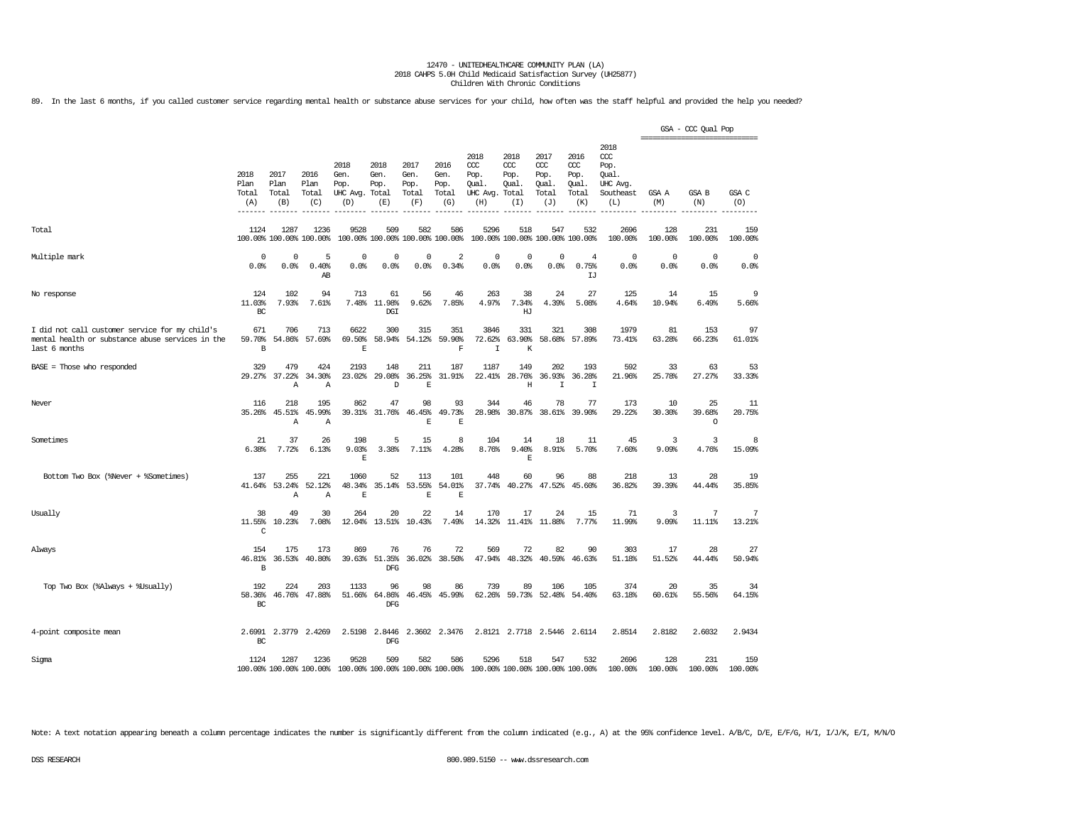89. In the last 6 months, if you called customer service regarding mental health or substance abuse services for your child, how often was the staff helpful and provided the help you needed?

|                                                                                                                     |                              |                              |                                 |                                                                 |                                      |                                      |                                      |                                                 |                                              |                                                   |                                                   |                                                              | ------------------------------- | GSA - CCC Qual Pop      |                |
|---------------------------------------------------------------------------------------------------------------------|------------------------------|------------------------------|---------------------------------|-----------------------------------------------------------------|--------------------------------------|--------------------------------------|--------------------------------------|-------------------------------------------------|----------------------------------------------|---------------------------------------------------|---------------------------------------------------|--------------------------------------------------------------|---------------------------------|-------------------------|----------------|
|                                                                                                                     | 2018<br>Plan<br>Total<br>(A) | 2017<br>Plan<br>Total<br>(B) | 2016<br>Plan<br>Total<br>(C)    | 2018<br>Gen.<br>Pop.<br>UHC Avg.<br>(D)                         | 2018<br>Gen.<br>Pop.<br>Total<br>(E) | 2017<br>Gen.<br>Pop.<br>Total<br>(F) | 2016<br>Gen.<br>Pop.<br>Total<br>(G) | 2018<br>ccc<br>Pop.<br>Qual.<br>UHC Avg.<br>(H) | 2018<br>CCC<br>Pop.<br>Qual.<br>Total<br>(T) | 2017<br>$\alpha$<br>Pop.<br>Qual.<br>Total<br>(J) | 2016<br>$\alpha$<br>Pop.<br>Qual.<br>Total<br>(K) | 2018<br>ccc<br>Pop.<br>Oual.<br>UHC Avg.<br>Southeast<br>(L) | GSA A<br>(M)                    | GSA B<br>(N)            | GSA C<br>(O)   |
| Total                                                                                                               | 1124                         | 1287                         | 1236<br>100.00% 100.00% 100.00% | 9528<br>100.00% 100.00% 100.00% 100.00%                         | 509                                  | 582                                  | 586                                  | 5296                                            | 518<br>100.00% 100.00% 100.00% 100.00%       | 547                                               | 532                                               | 2696<br>100.00%                                              | 128<br>100.00%                  | 231<br>100.00%          | 159<br>100.00% |
| Multiple mark                                                                                                       | 0<br>0.0%                    | 0<br>0.0%                    | 5<br>0.40%<br>AB                | $\Omega$<br>0.0%                                                | $\Omega$<br>0.0%                     | $\mathbf 0$<br>0.0%                  | 2<br>0.34%                           | 0<br>0.0%                                       | $^{\circ}$<br>0.0%                           | 0<br>0.0%                                         | $\overline{4}$<br>0.75%<br>LJ                     | $\Omega$<br>0.0%                                             | 0<br>0.0%                       | $\mathbf 0$<br>0.0%     | 0<br>0.0%      |
| No response                                                                                                         | 124<br>11.03%<br>BC          | 102<br>7.93%                 | 94<br>7.61%                     | 713<br>7.48%                                                    | 61<br>11.98%<br>DGI                  | 56<br>9.62%                          | 46<br>7.85%                          | 263<br>4.97%                                    | 38<br>7.34%<br>HJ                            | 24<br>4.39%                                       | 27<br>5.08%                                       | 125<br>4.64%                                                 | 14<br>10.94%                    | 15<br>6.49%             | 9<br>5.66%     |
| I did not call customer service for my child's<br>mental health or substance abuse services in the<br>last 6 months | 671<br>59.70%<br>В           | 706<br>54.86%                | 713<br>57.69%                   | 6622<br>69.50%<br>E                                             | 300<br>58.94%                        | 315<br>54.12%                        | 351<br>59.90%<br>$\mathbf F$         | 3846<br>72.62%<br>$\mathbf I$                   | 331<br>63.90%<br>$\rm K$                     | 321<br>58.68%                                     | 308<br>57.89%                                     | 1979<br>73.41%                                               | 81<br>63.28%                    | 153<br>66.23%           | 97<br>61.01%   |
| $BASE = Those who responded$                                                                                        | 329<br>29.27%                | 479<br>37.22%<br>Α           | 424<br>34.30%<br>Α              | 2193<br>23.02%                                                  | 148<br>29.08%<br>D                   | 211<br>36.25%<br>E                   | 187<br>31.91%                        | 1187<br>22.41%                                  | 149<br>28.76%<br>Η                           | 202<br>36.93%<br>I                                | 193<br>36.28%<br>I                                | 592<br>21.96%                                                | 33<br>25.78%                    | 63<br>27.27%            | 53<br>33.33%   |
| Never                                                                                                               | 116<br>35.26%                | 218<br>45.51%<br>Α           | 195<br>45.99%<br>$\mathbb{A}$   | 862<br>39.31%                                                   | 47<br>31.76%                         | 98<br>46.45%<br>E                    | 93<br>49.73%<br>F.                   | 344<br>28.98%                                   | 46<br>30.87%                                 | 78<br>38.61%                                      | 77<br>39.90%                                      | 173<br>29.22%                                                | 10<br>30.30%                    | 25<br>39.68%<br>$\circ$ | 11<br>20.75%   |
| Sometimes                                                                                                           | 21<br>6.38%                  | 37<br>7.72%                  | 26<br>6.13%                     | 198<br>9.03%<br>E                                               | 5<br>3.38%                           | 15<br>7.11%                          | 8<br>4.28%                           | 104<br>8.76%                                    | 14<br>9.40%<br>E                             | 18<br>8.91%                                       | 11<br>5.70%                                       | 45<br>7.60%                                                  | 3<br>9.09%                      | 3<br>4.76%              | 8<br>15.09%    |
| Bottom Two Box (%Never + %Sometimes)                                                                                | 137<br>41.64%                | 255<br>53.24%<br>Α           | 221<br>52.12%<br>Α              | 1060<br>48.34%<br>E                                             | 52<br>35.14%                         | 113<br>53.55%<br>$\mathbf E$         | 101<br>54.01%<br>$\mathbb E$         | 448<br>37.74%                                   | 60<br>40.27%                                 | 96<br>47.52%                                      | 88<br>45.60%                                      | 218<br>36.82%                                                | 13<br>39.39%                    | 28<br>44.44%            | 19<br>35.85%   |
| Usually                                                                                                             | 38<br>11.55%<br>$\mathsf C$  | 49<br>10.23%                 | 30<br>7.08%                     | 264<br>12.04%                                                   | 20<br>13.51%                         | 22<br>10.43%                         | 14<br>7.49%                          | 170<br>14.32%                                   | 17                                           | 24<br>11.41% 11.88%                               | 15<br>7.77%                                       | 71<br>11.99%                                                 | 3<br>9.09%                      | 7<br>11.11%             | 7<br>13.21%    |
| Always                                                                                                              | 154<br>46.81%<br>В           | 175<br>36.53%                | 173<br>40.80%                   | 869<br>39.63%                                                   | 76<br>51.35%<br><b>DFG</b>           | 76<br>36.02%                         | 72<br>38.50%                         | 569<br>47.94%                                   | 72<br>48.32%                                 | 82<br>40.59%                                      | 90<br>46.63%                                      | 303<br>51.18%                                                | 17<br>51.52%                    | 28<br>44.44%            | 27<br>50.94%   |
| Top Two Box (%Always + %Usually)                                                                                    | 192<br>58.36%<br>BC          | 224<br>46.76%                | 203<br>47.88%                   | 1133<br>51.66%                                                  | 96<br>64.86%<br>DFG                  | 98<br>46.45%                         | 86<br>45.99%                         | 739<br>62.26%                                   | 89<br>59.73%                                 | 106<br>52.48%                                     | 105<br>54.40%                                     | 374<br>63.18%                                                | 20<br>60.61%                    | 35<br>55.56%            | 34<br>64.15%   |
| 4-point composite mean                                                                                              | 2.6991<br>$_{\rm BC}$        | 2.3779                       | 2.4269                          | 2.5198                                                          | 2.8446<br><b>DFG</b>                 |                                      | 2.3602 2.3476                        |                                                 | 2.8121 2.7718 2.5446 2.6114                  |                                                   |                                                   | 2.8514                                                       | 2.8182                          | 2.6032                  | 2.9434         |
| Sigma                                                                                                               | 1124                         | 1287                         | 1236                            | 9528<br>100.00% 100.00% 100.00% 100.00% 100.00% 100.00% 100.00% | 509                                  | 582                                  | 586                                  | 5296<br>100.00% 100.00% 100.00% 100.00%         | 518                                          | 547                                               | 532                                               | 2696<br>100.00%                                              | 128<br>100.00%                  | 231<br>100.00%          | 159<br>100.00% |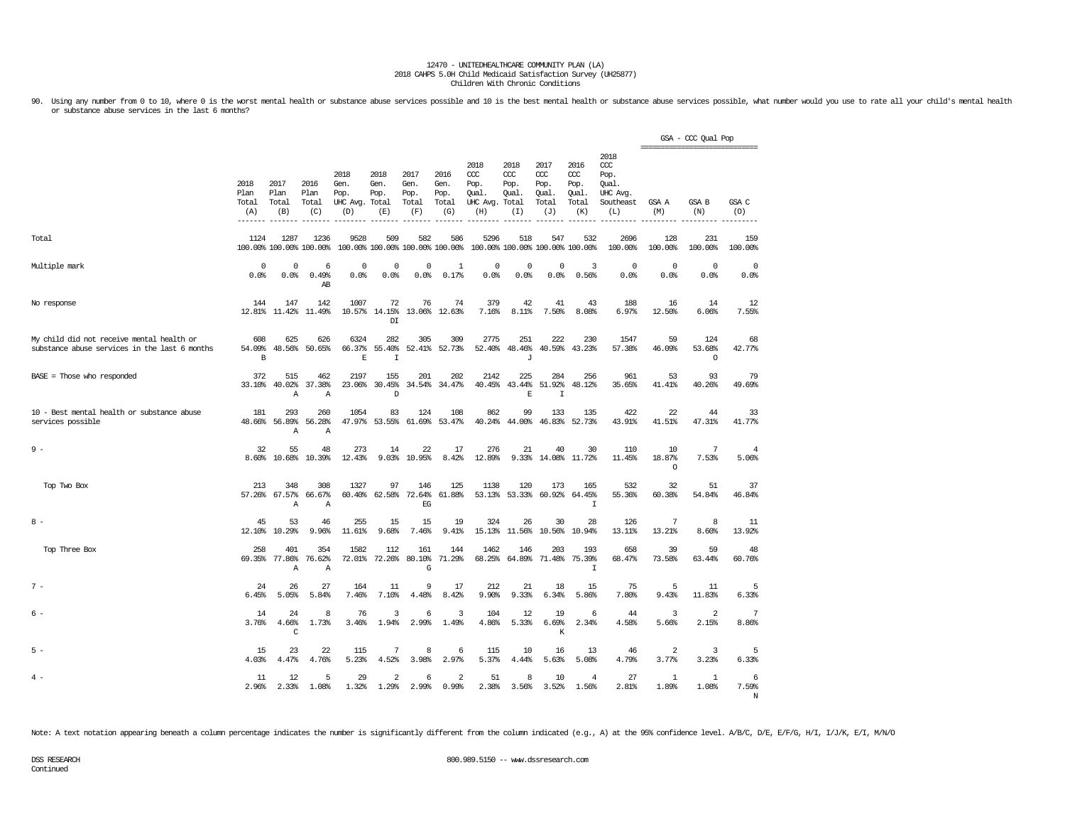90. Using any number from 0 to 10, where 0 is the worst mental health or substance abuse services possible and 10 is the best mental health or substance abuse services possible, what number would you use to rate all your c or substance abuse services in the last 6 months?

|                                                                                            |                              |                               |                                 |                                               |                                  |                                      |                                        |                                                       |                                     |                                                   |                                                   |                                                              | =============================== | GSA - CCC Qual Pop       |                         |
|--------------------------------------------------------------------------------------------|------------------------------|-------------------------------|---------------------------------|-----------------------------------------------|----------------------------------|--------------------------------------|----------------------------------------|-------------------------------------------------------|-------------------------------------|---------------------------------------------------|---------------------------------------------------|--------------------------------------------------------------|---------------------------------|--------------------------|-------------------------|
|                                                                                            | 2018<br>Plan<br>Total<br>(A) | 2017<br>Plan<br>Total<br>(B)  | 2016<br>Plan<br>Total<br>(C)    | 2018<br>Gen.<br>Pop.<br>UHC Avg. Total<br>(D) | 2018<br>Gen.<br>Pop.<br>(E)      | 2017<br>Gen.<br>Pop.<br>Total<br>(F) | 2016<br>Gen.<br>Pop.<br>Total<br>(G)   | 2018<br>ccc<br>Pop.<br>Oual.<br>UHC Avg. Total<br>(H) | 2018<br>CCC<br>Pop.<br>Oual.<br>(I) | 2017<br>$\alpha$<br>Pop.<br>Qual.<br>Total<br>(J) | 2016<br>$\alpha$<br>Pop.<br>Qual.<br>Total<br>(K) | 2018<br>ccc<br>Pop.<br>Oual.<br>UHC Avq.<br>Southeast<br>(L) | GSA A<br>(M)                    | GSA B<br>(N)             | GSA C<br>(O)            |
| Total                                                                                      | 1124                         | 1287                          | 1236<br>100.00% 100.00% 100.00% | 9528                                          | 509                              | 582                                  | 586<br>100.00% 100.00% 100.00% 100.00% | 5296                                                  | 518                                 | 547<br>100.00% 100.00% 100.00% 100.00%            | 532                                               | 2696<br>100.00%                                              | 128<br>100.00%                  | 231<br>100.00%           | 159<br>100.00%          |
| Multiple mark                                                                              | $^{\circ}$<br>0.0%           | $^{\circ}$<br>0.0%            | 6<br>0.49%<br>AB                | $\Omega$<br>0.0%                              | 0<br>0.0%                        | 0<br>0.0%                            | 1<br>0.17%                             | $^{\circ}$<br>0.0%                                    | $\Omega$<br>0.0%                    | $\mathbf 0$<br>0.0%                               | 3<br>0.56%                                        | $\Omega$<br>0.0%                                             | $\Omega$<br>0.0%                | $\Omega$<br>0.0%         | $^{\circ}$<br>0.0%      |
| No response                                                                                | 144<br>12.81%                | 147<br>11.42%                 | 142<br>11.49%                   | 1007<br>10.57%                                | 72<br>14.15%<br>DI               | 76<br>13.06%                         | 74<br>12.63%                           | 379<br>7.16%                                          | 42<br>8.11%                         | 41<br>7.50%                                       | 43<br>8.08%                                       | 188<br>6.97%                                                 | 16<br>12.50%                    | 14<br>6.06%              | 12<br>7.55%             |
| My child did not receive mental health or<br>substance abuse services in the last 6 months | 608<br>54.09%<br>B           | 625<br>48.56%                 | 626<br>50.65%                   | 6324<br>66.37%<br>$\mathbf E$                 | 282<br>55.40%<br>I               | 305<br>52.41%                        | 309<br>52.73%                          | 2775<br>52.40%                                        | 251<br>48.46%<br>J                  | 222<br>40.59%                                     | 230<br>43.23%                                     | 1547<br>57.38%                                               | 59<br>46.09%                    | 124<br>53.68%<br>$\circ$ | 68<br>42.77%            |
| BASE = Those who responded                                                                 | 372<br>33.10%                | 515<br>40.02%<br>$\mathbb{A}$ | 462<br>37.38%<br>Α              | 2197<br>23.06%                                | 155<br>30.45%<br>D               | 201<br>34.54%                        | 202<br>34.47%                          | 2142<br>40.45%                                        | 225<br>43.44%<br>E                  | 284<br>51.92%<br>$\mathbb{I}$                     | 256<br>48.12%                                     | 961<br>35.65%                                                | 53<br>41.41%                    | 93<br>40.26%             | 79<br>49.69%            |
| 10 - Best mental health or substance abuse<br>services possible                            | 181<br>48.66%                | 293<br>56.89%<br>Α            | 260<br>56.28%<br>Α              | 1054<br>47.97%                                | 83<br>53.55%                     | 124<br>61.69%                        | 108<br>53.47%                          | 862<br>40.24%                                         | 99<br>44.00%                        | 133<br>46.83%                                     | 135<br>52.73%                                     | 422<br>43.91%                                                | 22<br>41.51%                    | 44<br>47.31%             | 33<br>41.77%            |
| $9 -$                                                                                      | 32<br>8.60%                  | 55<br>10.68%                  | 48<br>10.39%                    | 273<br>12.43%                                 | 14<br>9.03%                      | 22<br>10.95%                         | 17<br>8.42%                            | 276<br>12.89%                                         | 21<br>9.33%                         | 40<br>14.08%                                      | 30<br>11.72%                                      | 110<br>11.45%                                                | 10<br>18.87%<br>$\circ$         | 7<br>7.53%               | $\overline{4}$<br>5.06% |
| Top Two Box                                                                                | 213<br>57.26%                | 348<br>67.57%<br>Α            | 308<br>66.67%<br>Α              | 1327<br>60.40%                                | 97<br>62.58%                     | 146<br>72.64%<br>EG                  | 125<br>61.88%                          | 1138<br>53.13%                                        | 120<br>53.33%                       | 173<br>60.92%                                     | 165<br>64.45%<br>$\mathbf I$                      | 532<br>55.36%                                                | 32<br>60.38%                    | 51<br>54.84%             | 37<br>46.84%            |
| $8 -$                                                                                      | 45<br>12.10%                 | 53<br>10.29%                  | 46<br>9.96%                     | 255<br>11.61%                                 | 15<br>9.68%                      | 15<br>7.46%                          | 19<br>9.41%                            | 324<br>15.13%                                         | 26<br>11.56%                        | 30<br>10.56%                                      | 28<br>10.94%                                      | 126<br>13.11%                                                | 7<br>13.21%                     | 8<br>8.60%               | 11<br>13.92%            |
| Top Three Box                                                                              | 258<br>69.35%                | 401<br>77.86%<br>A            | 354<br>76.62%<br>$\overline{A}$ | 1582<br>72.01%                                | 112<br>72.26%                    | 161<br>80.10%<br>G                   | 144<br>71.29%                          | 1462<br>68.25%                                        | 146<br>64.89%                       | 203<br>71.48%                                     | 193<br>75.39%<br>$\mathbf I$                      | 658<br>68.47%                                                | 39<br>73.58%                    | 59<br>63.44%             | 48<br>60.76%            |
| $7 -$                                                                                      | 24<br>6.45%                  | 26<br>5.05%                   | 27<br>5.84%                     | 164<br>7.46%                                  | 11<br>7.10%                      | 9<br>4.48%                           | 17<br>8.42%                            | 212<br>9.90%                                          | 21<br>9.33%                         | 18<br>6.34%                                       | 15<br>5.86%                                       | 75<br>7.80%                                                  | 5<br>9.43%                      | 11<br>11.83%             | 5<br>6.33%              |
| 6 -                                                                                        | 14<br>3.76%                  | 24<br>4.66%<br>C              | 8<br>1.73%                      | 76<br>3.46%                                   | 3<br>1.94%                       | 6<br>2.99%                           | 3<br>1.49%                             | 104<br>4.86%                                          | 12<br>5.33%                         | 19<br>6.69%<br>K                                  | 6<br>2.34%                                        | 44<br>4.58%                                                  | 3<br>5.66%                      | 2<br>2.15%               | 7<br>8.86%              |
| $5 -$                                                                                      | 15<br>4.03%                  | 23<br>4.47%                   | 22<br>4.76%                     | 115<br>5.23%                                  | 7<br>4.52%                       | 8<br>3.98%                           | 6<br>2.97%                             | 115<br>5.37%                                          | 10<br>4.44%                         | 16<br>5.63%                                       | 13<br>5.08%                                       | 46<br>4.79%                                                  | 2<br>3.77%                      | 3<br>3.23%               | 5<br>6.33%              |
| $4 -$                                                                                      | 11<br>2.96%                  | 12<br>2.33%                   | 5<br>1.08%                      | 29<br>1.32%                                   | $\overline{\mathbf{c}}$<br>1.29% | 6<br>2.99%                           | $\overline{2}$<br>0.99%                | 51<br>2.38%                                           | 8<br>3.56%                          | 10<br>3.52%                                       | $\overline{4}$<br>1.56%                           | 27<br>2.81%                                                  | $\mathbf{1}$<br>1.89%           | $\mathbf{1}$<br>1.08%    | 6<br>7.59%<br>N         |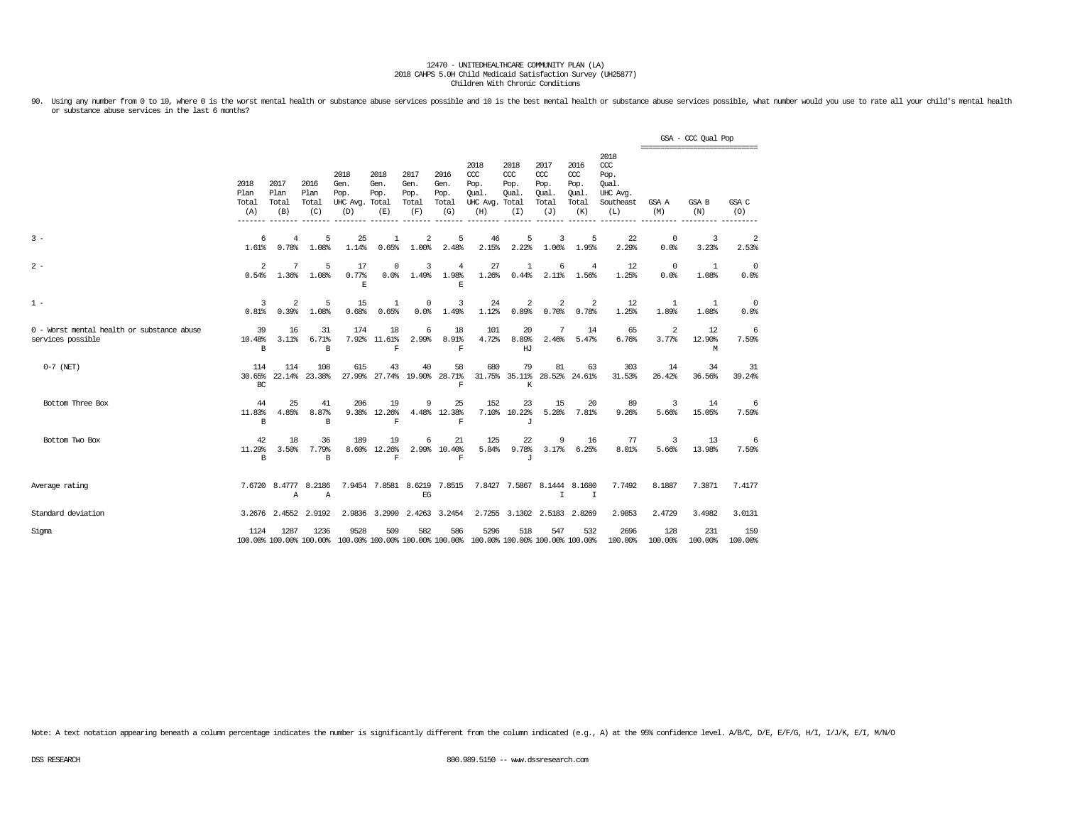90. Using any number from 0 to 10, where 0 is the worst mental health or substance abuse services possible and 10 is the best mental health or substance abuse services possible, what number would you use to rate all your c or substance abuse services in the last 6 months?

|                                                                 |                              |                                      |                              |                                               |                                    |                                      |                                      |                                                                                         |                                        |                                                 |                                              |                                                                   |                        | GSA - CCC Qual Pop<br>------------------------------ |                         |
|-----------------------------------------------------------------|------------------------------|--------------------------------------|------------------------------|-----------------------------------------------|------------------------------------|--------------------------------------|--------------------------------------|-----------------------------------------------------------------------------------------|----------------------------------------|-------------------------------------------------|----------------------------------------------|-------------------------------------------------------------------|------------------------|------------------------------------------------------|-------------------------|
|                                                                 | 2018<br>Plan<br>Total<br>(A) | 2017<br>Plan<br>Total<br>(B)         | 2016<br>Plan<br>Total<br>(C) | 2018<br>Gen.<br>Pop.<br>UHC Avg. Total<br>(D) | 2018<br>Gen.<br>Pop.<br>(E)        | 2017<br>Gen.<br>Pop.<br>Total<br>(F) | 2016<br>Gen.<br>Pop.<br>Total<br>(G) | 2018<br>CCC<br>Pop.<br>Oual.<br>UHC Avg. Total<br>(H)                                   | 2018<br>CCC<br>Pop.<br>Oual.<br>(I)    | 2017<br>$\csc$<br>Pop.<br>Oual.<br>Total<br>(J) | 2016<br>ccc<br>Pop.<br>Qual.<br>Total<br>(K) | 2018<br>$\alpha$<br>Pop.<br>Oual.<br>UHC Avq.<br>Southeast<br>(L) | GSA A<br>(M)           | GSA B<br>(N)                                         | GSA C<br>(O)            |
| $3 -$                                                           | 6<br>1.61%                   | 4<br>0.78%                           | 5<br>1.08%                   | 25<br>1.14%                                   | 1<br>0.65%                         | 2<br>1.00%                           | 5<br>2.48%                           | 46<br>2.15%                                                                             | 5<br>2.22%                             | 3<br>1.06%                                      | 5<br>1.95%                                   | 22<br>2.29%                                                       | 0<br>0.0%              | 3<br>3.23%                                           | $\overline{2}$<br>2.53% |
| $2 -$                                                           | 2<br>0.54%                   | 7<br>1.36%                           | 5<br>1.08%                   | 17<br>0.77%<br>E                              | $^{\circ}$<br>0.0%                 | 3<br>1.49%                           | 4<br>1.98%<br>$\,$ E                 | 27<br>1.26%                                                                             | 1<br>0.44%                             | 6                                               | 4<br>2.11% 1.56%                             | 12<br>1.25%                                                       | $\overline{0}$<br>0.0% | 1<br>1.08%                                           | 0<br>0.0%               |
| $1 -$                                                           | 3<br>0.81%                   | 2<br>0.39%                           | 5<br>1.08%                   | 15<br>0.68%                                   | 1<br>0.65%                         | 0<br>0.0%                            | 3<br>1.49%                           | 24<br>1.12%                                                                             | 2<br>0.89%                             | 2<br>0.70%                                      | -2<br>0.78%                                  | 12<br>1.25%                                                       | 1<br>1.89%             | 1<br>1.08%                                           | 0<br>0.0%               |
| 0 - Worst mental health or substance abuse<br>services possible | 39<br>10.48%<br>B            | 16<br>3.11%                          | 31<br>6.71%<br>B             | 174                                           | 18<br>7.92% 11.61%<br>$\mathbf F$  | 6<br>2.99%                           | 18<br>8.91%<br>$\mathbf F$           | 101<br>4.72%                                                                            | 20<br>8.89%<br>HJ                      | 7<br>2.46%                                      | 14<br>5.47%                                  | 65<br>6.76%                                                       | 2<br>3.77%             | 12<br>12.90%<br>М                                    | 6<br>7.59%              |
| $0-7$ (NET)                                                     | 114<br>30.65%<br>BC          | 114                                  | 108<br>22.14% 23.38%         | 615                                           | 43<br>27.99% 27.74%                | 40                                   | 58<br>19.90% 28.71%<br>$\mathbf F$   | 680                                                                                     | 79<br>31.75% 35.11% 28.52% 24.61%<br>К | 81                                              | 63                                           | 303<br>31.53%                                                     | 14<br>26.42%           | 34<br>36.56%                                         | 31<br>39.24%            |
| Bottom Three Box                                                | 44<br>11.83%<br>B            | 25<br>4.85%                          | 41<br>8.87%<br>B             | 206                                           | 19<br>9.38% 12.26%<br>$\mathbf F$  | 9                                    | 25<br>4.48% 12.38%<br>$\mathbf F$    | 152                                                                                     | 23<br>7.10% 10.22%<br>J                | 15                                              | 20<br>5.28% 7.81%                            | 89<br>9.26%                                                       | 3<br>5.66%             | 14<br>15.05%                                         | 6<br>7.59%              |
| Bottom Two Box                                                  | 42<br>11.29%<br>B.           | 18<br>3.50%                          | 36<br>7.79%<br>B.            | 189                                           | 19<br>8.60% 12.26%<br>$\mathbf{F}$ | 6                                    | 21<br>2.99% 10.40%<br>$\mathbf{F}$   | 125                                                                                     | 22<br>5.84% 9.78%<br>$\cdot$ T         | 9                                               | 16<br>$3.17%$ 6.25%                          | 77<br>8.01%                                                       | 3<br>5.66%             | 13<br>13.98%                                         | 6<br>7.59%              |
| Average rating                                                  |                              | 7.6720 8.4777 8.2186<br>$\mathbb{A}$ | $\mathbb{A}$                 |                                               | 7.9454 7.8581 8.6219 7.8515        | EG                                   |                                      |                                                                                         | 7.8427 7.5867 8.1444 8.1680            | $\mathbb{I}$                                    | $\mathbb{I}$                                 | 7.7492                                                            | 8.1887                 | 7.3871                                               | 7.4177                  |
| Standard deviation                                              |                              | 3.2676 2.4552 2.9192                 |                              |                                               | 2.9836 3.2990 2.4263 3.2454        |                                      |                                      |                                                                                         | 2.7255 3.1302                          |                                                 | 2.5183 2.8269                                | 2.9853                                                            | 2.4729                 | 3.4982                                               | 3.0131                  |
| Sigma                                                           | 1124                         | 1287                                 | 1236                         | 9528                                          | 509                                | 582                                  | 586                                  | 5296<br>100.00% 100.00% 100.00% 100.00% 100.00% 100.00% 100.00% 100.00% 100.00% 100.00% | 518                                    | 547                                             | 532                                          | 2696<br>100.00%                                                   | 128<br>100.00%         | 231<br>100.00%                                       | 159<br>100.00%          |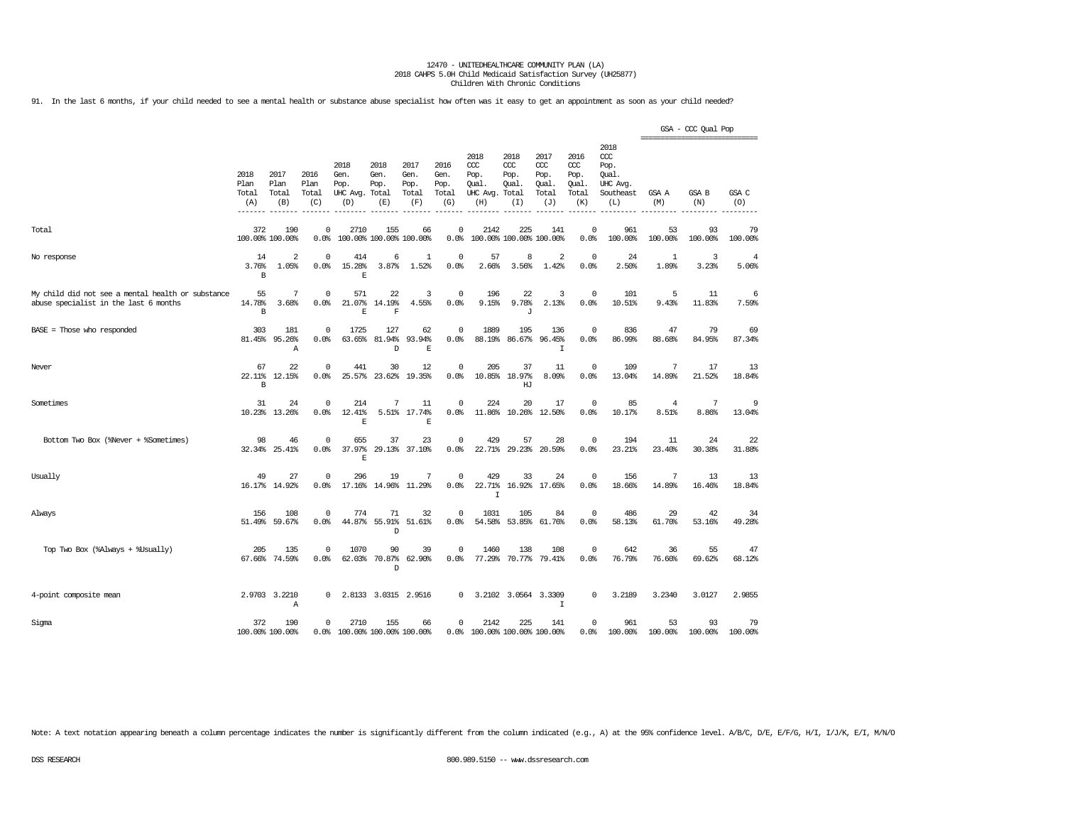91. In the last 6 months, if your child needed to see a mental health or substance abuse specialist how often was it easy to get an appointment as soon as your child needed?

|                                                                                            |                              |                              |                              |                                         |                                      |                                      |                                      |                                                       |                                    |                                              |                                              |                                                              |                         | GSA - CCC Qual Pop<br>------------------------------ |               |
|--------------------------------------------------------------------------------------------|------------------------------|------------------------------|------------------------------|-----------------------------------------|--------------------------------------|--------------------------------------|--------------------------------------|-------------------------------------------------------|------------------------------------|----------------------------------------------|----------------------------------------------|--------------------------------------------------------------|-------------------------|------------------------------------------------------|---------------|
|                                                                                            | 2018<br>Plan<br>Total<br>(A) | 2017<br>Plan<br>Total<br>(B) | 2016<br>Plan<br>Total<br>(C) | 2018<br>Gen.<br>Pop.<br>UHC Avg.<br>(D) | 2018<br>Gen.<br>Pop.<br>Total<br>(E) | 2017<br>Gen.<br>Pop.<br>Total<br>(F) | 2016<br>Gen.<br>Pop.<br>Total<br>(G) | 2018<br>ccc<br>Pop.<br>Qual.<br>UHC Avg. Total<br>(H) | 2018<br>CCC<br>Pop.<br>Qual<br>(I) | 2017<br>ccc<br>Pop.<br>Qual.<br>Total<br>(J) | 2016<br>ccc<br>Pop.<br>Qual.<br>Total<br>(K) | 2018<br>ccc<br>Pop.<br>Qual.<br>UHC Avg.<br>Southeast<br>(L) | GSA A<br>(M)            | GSA B<br>(N)                                         | GSA C<br>(O)  |
| Total                                                                                      | 372                          | 190<br>100.00% 100.00%       | $\Omega$<br>0.0%             | 2710                                    | 155<br>100.00% 100.00% 100.00%       | 66                                   | $\Omega$<br>0.0%                     | 2142                                                  | 225<br>100.00% 100.00% 100.00%     | 141                                          | $\Omega$<br>0.0%                             | 961<br>100.00%                                               | 53<br>100.00%           | 93<br>100.00%                                        | 79<br>100.00% |
| No response                                                                                | 14<br>3.76%<br>B             | $\overline{2}$<br>1.05%      | 0<br>0.0%                    | 414<br>15.28%<br>E                      | 6<br>3.87%                           | 1<br>1.52%                           | $\mathbf 0$<br>0.0%                  | 57<br>2.66%                                           | 8<br>3.56%                         | 2<br>1.42%                                   | $^{\circ}$<br>0.0%                           | 24<br>2.50%                                                  | 1<br>1.89%              | 3<br>3.23%                                           | 4<br>5.06%    |
| My child did not see a mental health or substance<br>abuse specialist in the last 6 months | 55<br>14.78%<br>B            | 7<br>3.68%                   | $\Omega$<br>0.0%             | 571<br>21.07%<br>$\mathbf E$            | 22<br>14.19%<br>$\mathbf F$          | 3<br>4.55%                           | $\Omega$<br>0.0%                     | 196<br>9.15%                                          | 22<br>9.78%<br>J                   | 3<br>2.13%                                   | $\Omega$<br>0.0%                             | 101<br>10.51%                                                | 5<br>9.43%              | 11<br>11.83%                                         | 6<br>7.59%    |
| BASE = Those who responded                                                                 | 303<br>81.45%                | 181<br>95.26%<br>Α           | 0<br>0.0%                    | 1725<br>63.65%                          | 127<br>81.94%<br>D                   | 62<br>93.94%<br>$\mathbf E$          | $\mathbf 0$<br>0.0%                  | 1889<br>88.19%                                        | 195<br>86.67%                      | 136<br>96.45%<br>$\mathbf I$                 | $\overline{0}$<br>0.0%                       | 836<br>86.99%                                                | 47<br>88.68%            | 79<br>84.95%                                         | 69<br>87.34%  |
| Never                                                                                      | 67<br>22.11%<br>B            | 22<br>12.15%                 | $^{\circ}$<br>0.0%           | 441<br>25.57%                           | 30<br>23.62%                         | 12<br>19.35%                         | $\mathbf 0$<br>0.0%                  | 205<br>10.85%                                         | 37<br>18.97%<br>HJ                 | 11<br>8.09%                                  | $^{\circ}$<br>0.0%                           | 109<br>13.04%                                                | 7<br>14.89%             | 17<br>21.52%                                         | 13<br>18.84%  |
| Sometimes                                                                                  | 31<br>10.23%                 | 24<br>13.26%                 | $\circ$<br>0.0%              | 214<br>12.41%<br>E                      | 7<br>5.51%                           | 11<br>17.74%<br>$\mathbb E$          | $\mathbf 0$<br>0.0%                  | 224<br>11.86%                                         | 20<br>10.26%                       | 17<br>12.50%                                 | $\mathbf 0$<br>0.0%                          | 85<br>10.17%                                                 | $\overline{4}$<br>8.51% | 7<br>8.86%                                           | 9<br>13.04%   |
| Bottom Two Box (%Never + %Sometimes)                                                       | 98<br>32.34%                 | 46<br>25.41%                 | $\Omega$<br>0.0%             | 655<br>37.97%<br>E                      | 37<br>29.13%                         | 23<br>37.10%                         | $\Omega$<br>0.0%                     | 429<br>22.71%                                         | 57<br>29.23%                       | 28<br>20.59%                                 | $^{\circ}$<br>0.0%                           | 194<br>23.21%                                                | 11<br>23.40%            | 24<br>30.38%                                         | 22<br>31.88%  |
| Usually                                                                                    | 49                           | 27<br>16.17% 14.92%          | $\circ$<br>0.0%              | 296<br>17.16%                           | 19<br>14.96%                         | 7<br>11.29%                          | $\mathbf 0$<br>0.0%                  | 429<br>22.71%<br>$\mathsf{T}$                         | 33<br>16.92%                       | 24<br>17.65%                                 | $\overline{0}$<br>0.0%                       | 156<br>18.66%                                                | 7<br>14.89%             | 13<br>16.46%                                         | 13<br>18.84%  |
| Always                                                                                     | 156                          | 108<br>51.49% 59.67%         | $\mathbf 0$<br>0.0%          | 774<br>44.87%                           | 71<br>55.91%<br>D                    | 32<br>51.61%                         | $\mathbf 0$<br>0.0%                  | 1031<br>54.58%                                        | 105<br>53.85%                      | 84<br>61.76%                                 | $\mathbf 0$<br>0.0%                          | 486<br>58.13%                                                | 29<br>61.70%            | 42<br>53.16%                                         | 34<br>49.28%  |
| Top Two Box (%Always + %Usually)                                                           | 205<br>67.66%                | 135<br>74.59%                | 0<br>0.0%                    | 1070<br>62.03%                          | 90<br>70.87%<br>D                    | 39<br>62.90%                         | $\mathbf 0$<br>0.0%                  | 1460<br>77.29%                                        | 138<br>70.77%                      | 108<br>79.41%                                | $\mathbf 0$<br>0.0%                          | 642<br>76.79%                                                | 36<br>76.60%            | 55<br>69.62%                                         | 47<br>68.12%  |
| 4-point composite mean                                                                     |                              | 2.9703 3.2210<br>Α           | 0                            |                                         | 2.8133 3.0315                        | 2.9516                               | 0                                    | 3.2102                                                | 3.0564                             | 3.3309<br>$\mathbf I$                        | $\Omega$                                     | 3.2189                                                       | 3.2340                  | 3.0127                                               | 2.9855        |
| Sigma                                                                                      | 372                          | 190<br>100.00% 100.00%       | 0<br>0.0%                    | 2710<br>100.00% 100.00% 100.00%         | 155                                  | 66                                   | $\mathsf 0$                          | 2142<br>0.0% 100.00% 100.00% 100.00%                  | 225                                | 141                                          | $\mathbf 0$<br>0.0%                          | 961<br>100.00%                                               | 53<br>100.00%           | 93<br>100.00%                                        | 79<br>100.00% |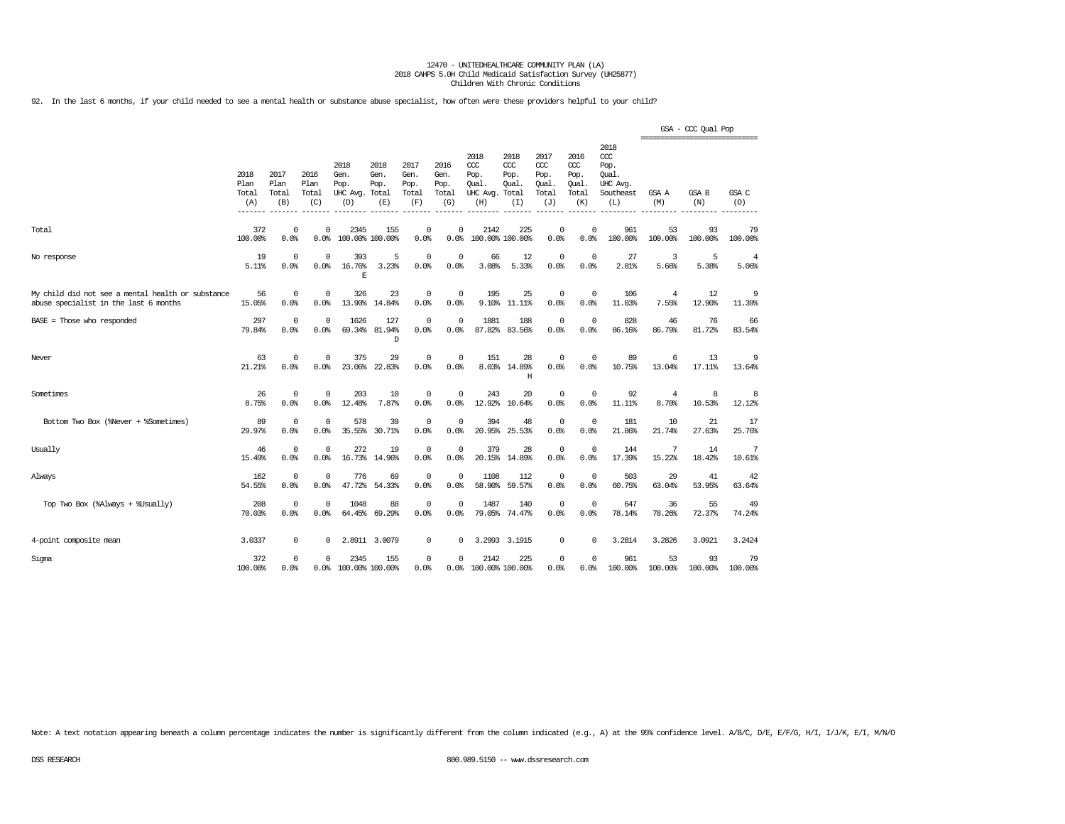92. In the last 6 months, if your child needed to see a mental health or substance abuse specialist, how often were these providers helpful to your child?

|                                                                                            |                              |                              |                              |                                         |                                      |                                      |                                      |                                                 |                                              |                                                   |                                              |                                                                   | ================================ | GSA - CCC Qual Pop |                         |
|--------------------------------------------------------------------------------------------|------------------------------|------------------------------|------------------------------|-----------------------------------------|--------------------------------------|--------------------------------------|--------------------------------------|-------------------------------------------------|----------------------------------------------|---------------------------------------------------|----------------------------------------------|-------------------------------------------------------------------|----------------------------------|--------------------|-------------------------|
|                                                                                            | 2018<br>Plan<br>Total<br>(A) | 2017<br>Plan<br>Total<br>(B) | 2016<br>Plan<br>Total<br>(C) | 2018<br>Gen.<br>Pop.<br>UHC Avg.<br>(D) | 2018<br>Gen.<br>Pop.<br>Total<br>(E) | 2017<br>Gen.<br>Pop.<br>Total<br>(F) | 2016<br>Gen.<br>Pop.<br>Total<br>(G) | 2018<br>CCC<br>Pop.<br>Qual.<br>UHC Avg.<br>(H) | 2018<br>CCC<br>Pop.<br>Qual.<br>Total<br>(I) | 2017<br>$\alpha$<br>Pop.<br>Qual.<br>Total<br>(J) | 2016<br>ccc<br>Pop.<br>Qual.<br>Total<br>(K) | 2018<br>$\alpha$<br>Pop.<br>Qual.<br>UHC Avg.<br>Southeast<br>(L) | GSA A<br>(M)                     | GSA B<br>(N)       | GSA C<br>(0)            |
| Total                                                                                      | 372<br>100.00%               | $\mathbf 0$<br>0.0%          | $\Omega$<br>0.0%             | 2345<br>100.00% 100.00%                 | 155                                  | $\Omega$<br>0.0%                     | 0<br>0.0%                            | 2142                                            | 225<br>100.00% 100.00%                       | $\circ$<br>0.0%                                   | $\Omega$<br>0.0%                             | 961<br>100.00%                                                    | 53<br>100.00%                    | 93<br>100.00%      | 79<br>100.00%           |
| No response                                                                                | 19<br>5.11%                  | $\Omega$<br>0.0%             | $^{\circ}$<br>0.0%           | 393<br>16.76%<br>E                      | 5<br>3.23%                           | $\Omega$<br>0.0%                     | $\Omega$<br>0.0%                     | 66<br>3.08%                                     | 12<br>5.33%                                  | 0<br>0.0%                                         | 0<br>0.0%                                    | 27<br>2.81%                                                       | 3<br>5.66%                       | 5<br>5.38%         | $\overline{4}$<br>5.06% |
| My child did not see a mental health or substance<br>abuse specialist in the last 6 months | 56<br>15.05%                 | $\mathbf 0$<br>0.0%          | 0<br>0.0%                    | 326<br>13.90%                           | 23<br>14.84%                         | 0<br>0.0%                            | 0<br>0.0%                            | 195<br>9.10%                                    | 25<br>11.11%                                 | 0<br>0.0%                                         | $\circ$<br>0.0%                              | 106<br>11.03%                                                     | 4<br>7.55%                       | 12<br>12.90%       | 9<br>11.39%             |
| BASE = Those who responded                                                                 | 297<br>79.84%                | $\mathbf 0$<br>0.0%          | 0<br>0.0%                    | 1626<br>69.34%                          | 127<br>81.94%<br>D                   | 0<br>0.0%                            | $\mathbf 0$<br>0.0%                  | 1881<br>87.82%                                  | 188<br>83.56%                                | $\mathbb O$<br>0.0%                               | $\mathbf 0$<br>0.0%                          | 828<br>86.16%                                                     | 46<br>86.79%                     | 76<br>81.72%       | 66<br>83.54%            |
| Never                                                                                      | 63<br>21.21%                 | 0<br>0.0%                    | 0<br>0.0%                    | 375<br>23.06%                           | 29<br>22.83%                         | 0<br>0.0%                            | 0<br>0.0%                            | 151<br>8.03%                                    | 28<br>14.89%<br>H                            | $\mathsf 0$<br>0.0%                               | $\mathbf 0$<br>0.0%                          | 89<br>10.75%                                                      | 6<br>13.04%                      | 13<br>17.11%       | 9<br>13.64%             |
| Sometimes                                                                                  | 26<br>8.75%                  | 0<br>0.0%                    | 0<br>0.0%                    | 203<br>12.48%                           | 10<br>7.87%                          | 0<br>0.0%                            | 0<br>0.0%                            | 243<br>12.92%                                   | 20<br>10.64%                                 | 0<br>0.0%                                         | $\mathbf 0$<br>0.0%                          | 92<br>11.11%                                                      | 4<br>8.70%                       | 8<br>10.53%        | 8<br>12.12%             |
| Bottom Two Box (%Never + %Sometimes)                                                       | 89<br>29.97%                 | 0<br>0.0%                    | $^{\circ}$<br>0.0%           | 578<br>35.55%                           | 39<br>30.71%                         | 0<br>0.0%                            | $\mathbf 0$<br>0.0%                  | 394<br>20.95%                                   | 48<br>25.53%                                 | $\circ$<br>0.0%                                   | $\circ$<br>0.0%                              | 181<br>21.86%                                                     | 10<br>21.74%                     | 21<br>27.63%       | 17<br>25.76%            |
| Usually                                                                                    | 46<br>15.49%                 | 0<br>0.0%                    | $^{\circ}$<br>0.0%           | 272<br>16.73%                           | 19<br>14.96%                         | 0<br>0.0%                            | $\mathbf 0$<br>0.0%                  | 379<br>20.15%                                   | 28<br>14.89%                                 | $\mathbb O$<br>0.0%                               | $\overline{0}$<br>0.0%                       | 144<br>17.39%                                                     | 7<br>15.22%                      | 14<br>18.42%       | 7<br>10.61%             |
| Always                                                                                     | 162<br>54.55%                | $\mathbf 0$<br>0.0%          | $\mathbf 0$<br>0.0%          | 776<br>47.72%                           | 69<br>54.33%                         | 0<br>0.0%                            | $\mathbf 0$<br>0.0%                  | 1108<br>58.90%                                  | 112<br>59.57%                                | $\mathbb O$<br>0.0%                               | $\circ$<br>0.0%                              | 503<br>60.75%                                                     | 29<br>63.04%                     | 41<br>53.95%       | 42<br>63.64%            |
| Top Two Box (%Always + %Usually)                                                           | 208<br>70.03%                | $\mathbf 0$<br>0.0%          | $\mathbf 0$<br>0.0%          | 1048<br>64.45%                          | 88<br>69.29%                         | $\mathbf 0$<br>0.0%                  | $\mathbf 0$<br>0.0%                  | 1487<br>79.05%                                  | 140<br>74.47%                                | $\circ$<br>0.0%                                   | $\overline{0}$<br>0.0%                       | 647<br>78.14%                                                     | 36<br>78.26%                     | 55<br>72.37%       | 49<br>74.24%            |
| 4-point composite mean                                                                     | 3.0337                       | 0                            | 0                            |                                         | 2.8911 3.0079                        | 0                                    | 0                                    | 3.2993                                          | 3.1915                                       | $\mathsf 0$                                       | $\Omega$                                     | 3.2814                                                            | 3.2826                           | 3.0921             | 3.2424                  |
| Sigma                                                                                      | 372<br>100.00%               | 0<br>0.0%                    | $\Omega$<br>0.0%             | 2345<br>100.00% 100.00%                 | 155                                  | $\Omega$<br>0.0%                     | 0<br>0.0%                            | 2142<br>100.00% 100.00%                         | 225                                          | 0<br>0.0%                                         | $\Omega$<br>0.0%                             | 961<br>100.00%                                                    | 53<br>100.00%                    | 93<br>100.00%      | 79<br>100.00%           |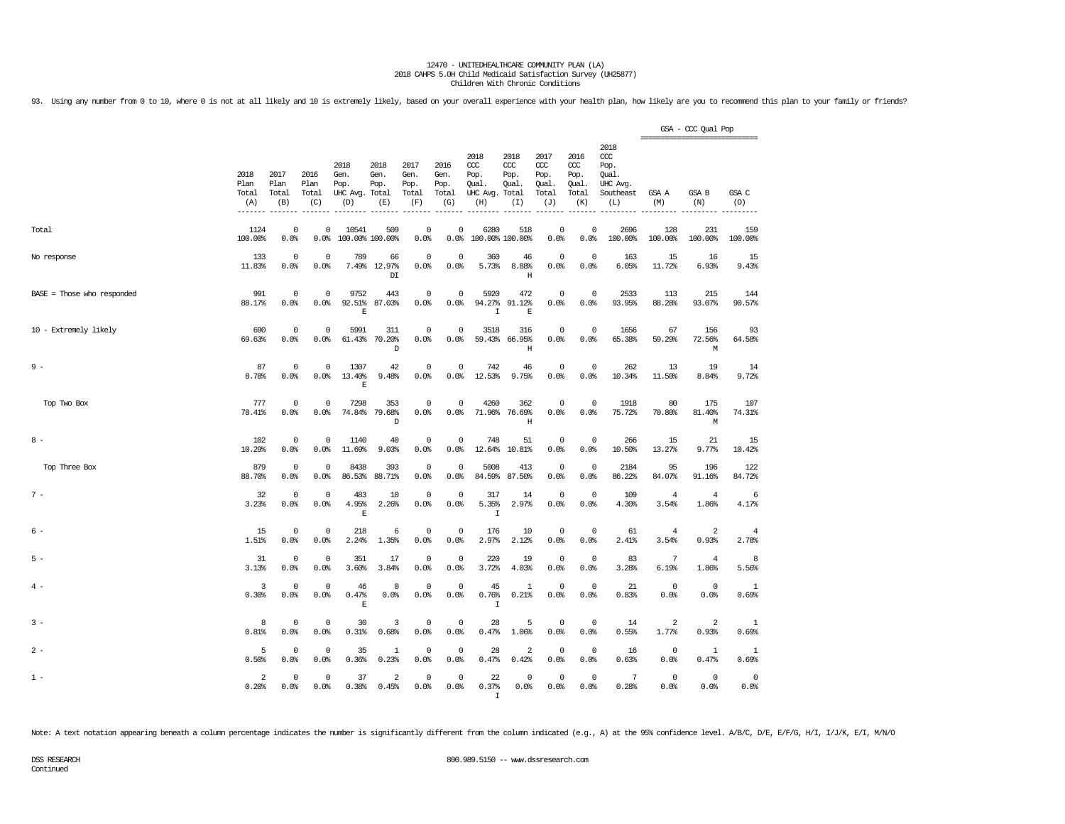93. Using any number from 0 to 10, where 0 is not at all likely and 10 is extremely likely, based on your overall experience with your health plan, how likely are you to recommend this plan to your family or friends?

|                              |                                       |                              |                              |                                               |                               |                                      |                                      |                                                       |                                     |                                              |                                                   |                                                                   | ================================ | GSA - CCC Qual Pop      |                         |
|------------------------------|---------------------------------------|------------------------------|------------------------------|-----------------------------------------------|-------------------------------|--------------------------------------|--------------------------------------|-------------------------------------------------------|-------------------------------------|----------------------------------------------|---------------------------------------------------|-------------------------------------------------------------------|----------------------------------|-------------------------|-------------------------|
|                              | 2018<br>Plan<br>Total<br>(A)<br>----- | 2017<br>Plan<br>Total<br>(B) | 2016<br>Plan<br>Total<br>(C) | 2018<br>Gen.<br>Pop.<br>UHC Avg. Total<br>(D) | 2018<br>Gen.<br>Pop.<br>(E)   | 2017<br>Gen.<br>Pop.<br>Total<br>(F) | 2016<br>Gen.<br>Pop.<br>Total<br>(G) | 2018<br>ccc<br>Pop.<br>Qual.<br>UHC Avg. Total<br>(H) | 2018<br>ccc<br>Pop.<br>Qual.<br>(I) | 2017<br>ccc<br>Pop.<br>Qual.<br>Total<br>(J) | 2016<br>$\alpha$<br>Pop.<br>Oual.<br>Total<br>(K) | 2018<br>$\alpha$<br>Pop.<br>Qual.<br>UHC Avg.<br>Southeast<br>(L) | GSA A<br>(M)                     | GSA B<br>(N)            | GSA C<br>(O)            |
| Total                        | 1124<br>100.00%                       | $^{\circ}$<br>0.0%           | 0<br>0.0%                    | 10541<br>100.00% 100.00%                      | 509                           | $^{\circ}$<br>0.0%                   | 0<br>0.0%                            | 6280<br>100.00% 100.00%                               | 518                                 | 0<br>0.0%                                    | 0<br>0.0%                                         | 2696<br>100.00%                                                   | 128<br>100.00%                   | 231<br>100.00%          | 159<br>100.00%          |
| No response                  | 133<br>11.83%                         | $^{\circ}$<br>0.0%           | $^{\circ}$<br>0.0%           | 789                                           | 66<br>7.49% 12.97%<br>DI      | $\overline{0}$<br>0.0%               | 0<br>0.0%                            | 360<br>5.73%                                          | 46<br>8.88%<br>$\rm H$              | $\mathbf{0}$<br>0.0%                         | $\mathbf 0$<br>0.0%                               | 163<br>6.05%                                                      | 15<br>11.72%                     | 16<br>6.93%             | 15<br>9.43%             |
| $BASE = Those who responded$ | 991<br>88.17%                         | $\mathbf 0$<br>0.0%          | $\Omega$<br>0.0%             | 9752<br>92.51%<br>$\mathbf E$                 | 443<br>87.03%                 | $\mathbf 0$<br>0.0%                  | $\mathbf 0$<br>0.0%                  | 5920<br>94.27%<br>$\mathbf I$                         | 472<br>91.12%<br>$\mathbf E$        | $\circ$<br>0.0%                              | $\circ$<br>0.0%                                   | 2533<br>93.95%                                                    | 113<br>88.28%                    | 215<br>93.07%           | 144<br>90.57%           |
| 10 - Extremely likely        | 690<br>69.63%                         | $\mathbf 0$<br>0.0%          | $\mathbf 0$<br>0.0%          | 5991<br>61.43%                                | 311<br>70.20%<br>D            | $\mathbf 0$<br>0.0%                  | $\mathbf 0$<br>0.0%                  | 3518<br>59.43%                                        | 316<br>66.95%<br>$\rm H$            | $\mathbf 0$<br>0.0%                          | $\circ$<br>0.0%                                   | 1656<br>65.38%                                                    | 67<br>59.29%                     | 156<br>72.56%<br>М      | 93<br>64.58%            |
| $9 -$                        | 87<br>8.78%                           | $\mathbf 0$<br>0.0%          | $\mathbf 0$<br>0.0%          | 1307<br>13.40%<br>$\mathbf E$                 | 42<br>9.48%                   | $\mathbf 0$<br>0.0%                  | $\mathsf 0$<br>0.0%                  | 742<br>12.53%                                         | 46<br>9.75%                         | $\mathbb O$<br>0.0%                          | $\mathsf 0$<br>0.0%                               | 262<br>10.34%                                                     | 13<br>11.50%                     | 19<br>8.84%             | 14<br>9.72%             |
| Top Two Box                  | 777<br>78.41%                         | $\mathbf 0$<br>0.0%          | $\mathbf 0$<br>0.0%          | 7298<br>74.84%                                | 353<br>79.68%<br>$\mathbb{D}$ | $\overline{0}$<br>0.0%               | $\mathbf 0$<br>0.0%                  | 4260<br>71.96%                                        | 362<br>76.69%<br>H                  | $\mathbf 0$<br>0.0%                          | $\circ$<br>0.0%                                   | 1918<br>75.72%                                                    | 80<br>70.80%                     | 175<br>81.40%<br>M      | 107<br>74.31%           |
| $8 -$                        | 102<br>10.29%                         | $\mathbb O$<br>0.0%          | 0<br>0.0%                    | 1140<br>11.69%                                | 40<br>9.03%                   | $^{\circ}$<br>0.0%                   | $\mathsf 0$<br>0.0%                  | 748<br>12.64%                                         | 51<br>10.81%                        | $\mathbb O$<br>0.0%                          | $\mathbf 0$<br>0.0%                               | 266<br>10.50%                                                     | 15<br>13.27%                     | 21<br>9.77%             | 15<br>10.42%            |
| Top Three Box                | 879<br>88.70%                         | $\mathbf 0$<br>0.0%          | $\mathbf 0$<br>0.0%          | 8438<br>86.53%                                | 393<br>88.71%                 | $\mathbf 0$<br>0.0%                  | $\mathsf 0$<br>0.0%                  | 5008<br>84.59%                                        | 413<br>87.50%                       | $\mathbb O$<br>0.0%                          | $\circ$<br>0.0%                                   | 2184<br>86.22%                                                    | 95<br>84.07%                     | 196<br>91.16%           | 122<br>84.72%           |
| $7 -$                        | 32<br>3.23%                           | $\mathbf 0$<br>0.0%          | $\mathbf 0$<br>0.0%          | 483<br>4.95%<br>$\mathbf E$                   | 10<br>2.26%                   | $\overline{0}$<br>0.0%               | $\mathbf 0$<br>0.0%                  | 317<br>5.35%<br>$\mathbf I$                           | 14<br>2.97%                         | $\mathbf 0$<br>0.0%                          | $\mathbf 0$<br>0.0%                               | 109<br>4.30%                                                      | $\overline{4}$<br>3.54%          | $\overline{4}$<br>1.86% | 6<br>4.17%              |
| $6 -$                        | 15<br>1.51%                           | $\mathbf 0$<br>0.0%          | $\mathbf 0$<br>0.0%          | 218<br>2.24%                                  | 6<br>1.35%                    | $\mathbf 0$<br>0.0%                  | 0<br>0.0%                            | 176<br>2.97%                                          | 10<br>2.12%                         | $\mathbb O$<br>0.0%                          | $\mathbf 0$<br>0.0%                               | 61<br>2.41%                                                       | $\overline{4}$<br>3.54%          | 2<br>0.93%              | $\overline{4}$<br>2.78% |
| $5 -$                        | 31<br>3.13%                           | $\mathbf 0$<br>0.0%          | $\mathbf 0$<br>0.0%          | 351<br>3.60%                                  | 17<br>3.84%                   | $\overline{0}$<br>0.0%               | $\mathbf 0$<br>0.0%                  | 220<br>3.72%                                          | 19<br>4.03%                         | $\mathbf{0}$<br>0.0%                         | $\Omega$<br>0.0%                                  | 83<br>3.28%                                                       | 7<br>6.19%                       | $\overline{4}$<br>1.86% | 8<br>5.56%              |
| $4 -$                        | 3<br>0.30%                            | $^{\circ}$<br>0.0%           | $^{\circ}$<br>0.0%           | 46<br>0.47%<br>$\mathbf E$                    | $^{\circ}$<br>0.0%            | $\overline{0}$<br>0.0%               | $^{\circ}$<br>0.0%                   | 45<br>0.76%<br>$\mathbf I$                            | 1<br>0.21%                          | $\mathbf{0}$<br>0.0%                         | $\mathbf{0}$<br>0.0%                              | 21<br>0.83%                                                       | $\overline{0}$<br>0.0%           | $\Omega$<br>0.0%        | 1<br>0.69%              |
| $3 -$                        | 8<br>0.81%                            | $^{\circ}$<br>0.0%           | $^{\circ}$<br>0.0%           | 30<br>0.31%                                   | 3<br>0.68%                    | $\overline{0}$<br>0.0%               | $\mathbf 0$<br>0.0%                  | 28<br>0.47%                                           | 5<br>1.06%                          | $\mathbf{0}$<br>0.0%                         | $\mathbf 0$<br>0.0%                               | 14<br>0.55%                                                       | $\overline{2}$<br>1.77%          | $\overline{2}$<br>0.93% | 1<br>0.69%              |
| $2 -$                        | 5<br>0.50%                            | $^{\circ}$<br>0.0%           | $^{\circ}$<br>0.0%           | 35<br>0.36%                                   | 1<br>0.23%                    | $\overline{0}$<br>0.0%               | $\mathbf 0$<br>0.0%                  | 28<br>0.47%                                           | $\overline{a}$<br>0.42%             | $\mathbf{0}$<br>0.0%                         | $\Omega$<br>0.0%                                  | 16<br>0.63%                                                       | $\overline{0}$<br>0.0%           | -1<br>0.47%             | 1<br>0.69%              |
| $1 -$                        | $\overline{c}$<br>0.20%               | $\mathbf 0$<br>0.0%          | $\mathbf 0$<br>0.0%          | 37<br>0.38%                                   | $\overline{2}$<br>0.45%       | $\mathbf 0$<br>0.0%                  | $\mathbf 0$<br>0.0%                  | 22<br>0.37%<br>I                                      | $\mathbf 0$<br>0.0%                 | $\circ$<br>0.0%                              | $\circ$<br>0.0%                                   | 7<br>0.28%                                                        | $\circ$<br>0.0%                  | $\mathbf 0$<br>0.0%     | $\overline{0}$<br>0.0%  |

Note: A text notation appearing beneath a column percentage indicates the number is significantly different from the column indicated (e.g., A) at the 95% confidence level. A/B/C, D/E, E/F/G, H/I, I/J/K, E/I, M/N/O

Continued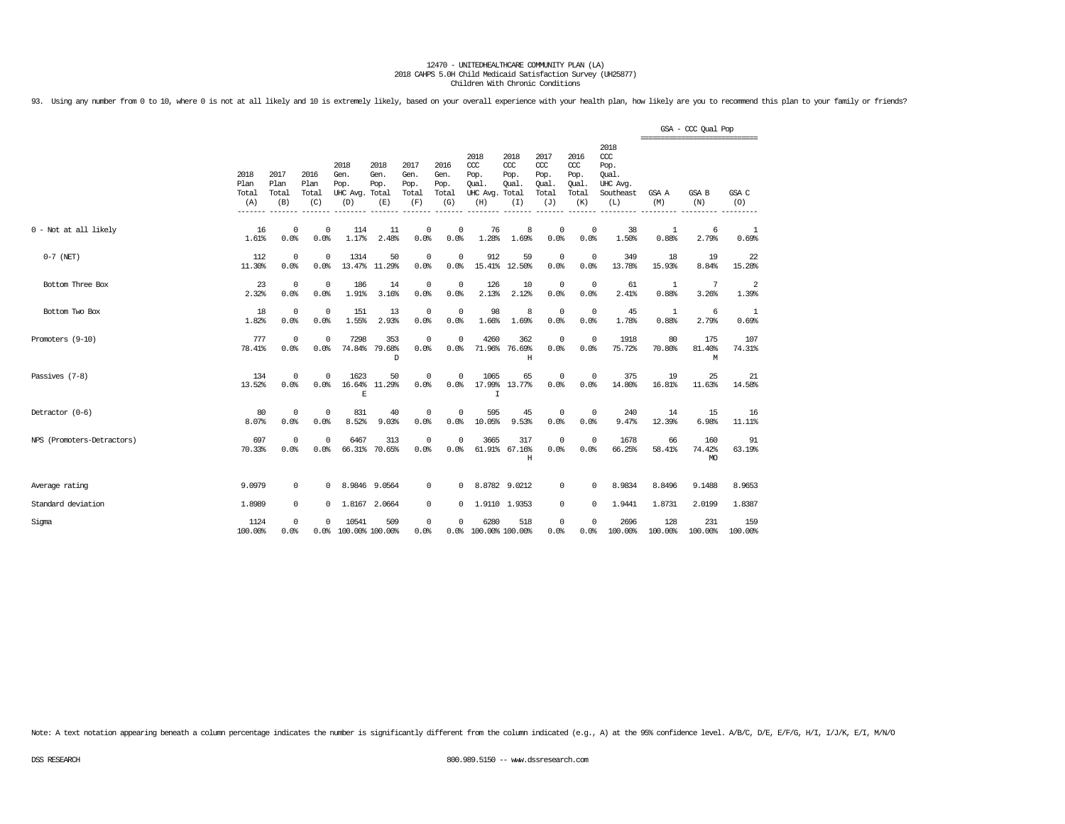93. Using any number from 0 to 10, where 0 is not at all likely and 10 is extremely likely, based on your overall experience with your health plan, how likely are you to recommend this plan to your family or friends?

|                            |                              |                              |                                    |                                               |                             |                                      |                                      |                                                 |                                              |                                              |                                              |                                                                   | ================================ | GSA - CCC Qual Pop   |                |
|----------------------------|------------------------------|------------------------------|------------------------------------|-----------------------------------------------|-----------------------------|--------------------------------------|--------------------------------------|-------------------------------------------------|----------------------------------------------|----------------------------------------------|----------------------------------------------|-------------------------------------------------------------------|----------------------------------|----------------------|----------------|
|                            | 2018<br>Plan<br>Total<br>(A) | 2017<br>Plan<br>Total<br>(B) | 2016<br>Plan<br>Total<br>(C)       | 2018<br>Gen.<br>Pop.<br>UHC Avg. Total<br>(D) | 2018<br>Gen.<br>Pop.<br>(E) | 2017<br>Gen.<br>Pop.<br>Total<br>(F) | 2016<br>Gen.<br>Pop.<br>Total<br>(G) | 2018<br>ccc<br>Pop.<br>Oual.<br>UHC Avg.<br>(H) | 2018<br>CCC<br>Pop.<br>Oual.<br>Total<br>(I) | 2017<br>ccc<br>Pop.<br>Oual.<br>Total<br>(J) | 2016<br>ccc<br>Pop.<br>Oual.<br>Total<br>(K) | 2018<br>$\alpha$<br>Pop.<br>Oual.<br>UHC Avg.<br>Southeast<br>(L) | GSA A<br>(M)                     | GSA B<br>(N)         | GSA C<br>(O)   |
| 0 - Not at all likely      | 16<br>1.61%                  | 0.0%                         | $\mathbf 0$<br>$^{\circ}$<br>0.0%  | 114<br>1.17%                                  | 11<br>2.48%                 | 0<br>0.0%                            | 0<br>0.0%                            | 76<br>1.28%                                     | 8<br>1.69%                                   | $\mathbf{0}$<br>0.0%                         | $\circ$<br>0.0%                              | 38<br>1.50%                                                       | $\mathbf{1}$<br>0.88%            | 6<br>2.79%           | 1<br>0.69%     |
| $0-7$ (NET)                | 112<br>11.30%                | 0.0%                         | $^{\circ}$<br>$^{\circ}$<br>0.0%   | 1314<br>13.47%                                | 50<br>11.29%                | 0<br>0.0%                            | $\mathbf 0$<br>0.0%                  | 912<br>15.41%                                   | 59<br>12.50%                                 | $\mathbf 0$<br>0.0%                          | $^{\circ}$<br>0.0%                           | 349<br>13.78%                                                     | 18<br>15.93%                     | 19<br>8.84%          | 22<br>15.28%   |
| Bottom Three Box           | 23<br>2.32%                  | 0.0%                         | $^{\circ}$<br>$^{\circ}$<br>0.0%   | 186<br>1.91%                                  | 14<br>3.16%                 | $^{\circ}$<br>0.0%                   | $^{\circ}$<br>0.0%                   | 126<br>2.13%                                    | 10<br>2.12%                                  | $\circ$<br>0.0%                              | $^{\circ}$<br>0.0%                           | 61<br>2.41%                                                       | 1<br>0.88%                       | 7<br>3.26%           | 2<br>1.39%     |
| Bottom Two Box             | 18<br>1.82%                  | 0.0%                         | $\mathbf 0$<br>$\mathbf 0$<br>0.0% | 151<br>1.55%                                  | 13<br>2.93%                 | 0<br>0.0%                            | $\mathbb O$<br>0.0%                  | 98<br>1.66%                                     | 8<br>1.69%                                   | $\mathbb O$<br>0.0%                          | $\circ$<br>0.0%                              | 45<br>1.78%                                                       | 1<br>0.88%                       | 6<br>2.79%           | -1<br>0.69%    |
| Promoters (9-10)           | 777<br>78.41%                | 0.0%                         | $\mathbf 0$<br>$\mathbf 0$<br>0.0% | 7298                                          | 353<br>74.84% 79.68%<br>D   | $^{\circ}$<br>0.0%                   | $\Omega$<br>0.0%                     | 4260                                            | 362<br>71.96% 76.69%<br>Η                    | $\mathbb O$<br>0.0%                          | $^{\circ}$<br>0.0%                           | 1918<br>75.72%                                                    | 80<br>70.80%                     | 175<br>81.40%<br>М   | 107<br>74.31%  |
| Passives (7-8)             | 134<br>13.52%                | 0.0%                         | $\mathbf 0$<br>$\Omega$<br>0.0%    | 1623<br>16.64%<br>E                           | 50<br>11.29%                | $^{\circ}$<br>0.0%                   | 0<br>0.0%                            | 1065<br>17.99%<br>T                             | 65<br>13.77%                                 | $\Omega$<br>0.0%                             | $\mathbf 0$<br>0.0%                          | 375<br>14.80%                                                     | 19<br>16.81%                     | 25<br>11.63%         | 21<br>14.58%   |
| Detractor (0-6)            | 80<br>8.07%                  | 0.0%                         | $\mathbf 0$<br>$^{\circ}$<br>0.0%  | 831<br>8.52%                                  | 40<br>9.03%                 | 0<br>0.0%                            | $^{\circ}$<br>0.0%                   | 595<br>10.05%                                   | 45<br>9.53%                                  | $\mathbf 0$<br>0.0%                          | 0<br>0.0%                                    | 240<br>9.47%                                                      | 14<br>12.39%                     | 15<br>6.98%          | 16<br>11.11%   |
| NPS (Promoters-Detractors) | 697<br>70.33%                | 0.0%                         | $\mathbf 0$<br>$\mathbf 0$<br>0.0% | 6467                                          | 313<br>66.31% 70.65%        | $\overline{0}$<br>0.0%               | $\Omega$<br>0.0%                     | 3665                                            | 317<br>61.91% 67.16%<br>H                    | $\mathbb O$<br>0.0%                          | $\Omega$<br>0.0%                             | 1678<br>66.25%                                                    | 66<br>58.41%                     | 160<br>74.42%<br>MO. | 91<br>63.19%   |
| Average rating             | 9.0979                       |                              | 0<br>$^{\circ}$                    |                                               | 8.9846 9.0564               | 0                                    | 0                                    |                                                 | 8.8782 9.0212                                | $^{\circ}$                                   | $\mathbf 0$                                  | 8.9834                                                            | 8.8496                           | 9.1488               | 8.9653         |
| Standard deviation         | 1.8989                       |                              | 0<br>$^{\circ}$                    |                                               | 1.8167 2.0664               | $^{\circ}$                           | $^{\circ}$                           |                                                 | 1.9110 1.9353                                | $^{\circ}$                                   | $\circ$                                      | 1.9441                                                            | 1.8731                           | 2.0199               | 1.8387         |
| Sigma                      | 1124<br>100.00%              | 0.0%                         | $^{\circ}$<br>$\Omega$<br>0.0%     | 10541<br>100.00% 100.00%                      | 509                         | 0<br>0.0%                            | 0                                    | 6280<br>0.0% 100.00% 100.00%                    | 518                                          | $\circ$<br>0.0%                              | $\Omega$<br>0.0%                             | 2696<br>100.00%                                                   | 128<br>100.00%                   | 231<br>100.00%       | 159<br>100.00% |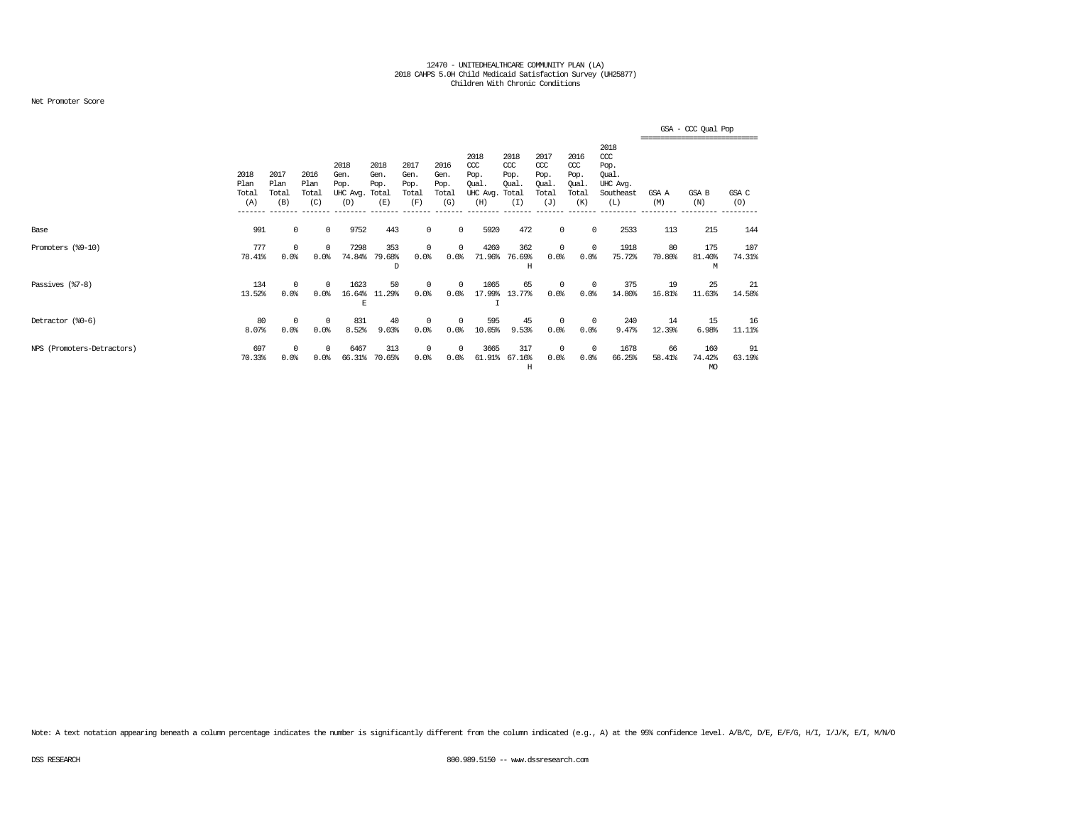### Net Promoter Score

|                            |                              |                              |                              |                                         |                                      |                                      |                                      |                                                  |                                             |                                              |                                                   |                                                                   |              | GSA - CCC Qual Pop                          |               |
|----------------------------|------------------------------|------------------------------|------------------------------|-----------------------------------------|--------------------------------------|--------------------------------------|--------------------------------------|--------------------------------------------------|---------------------------------------------|----------------------------------------------|---------------------------------------------------|-------------------------------------------------------------------|--------------|---------------------------------------------|---------------|
|                            | 2018<br>Plan<br>Total<br>(A) | 2017<br>Plan<br>Total<br>(B) | 2016<br>Plan<br>Total<br>(C) | 2018<br>Gen.<br>Pop.<br>UHC Avg.<br>(D) | 2018<br>Gen.<br>Pop.<br>Total<br>(E) | 2017<br>Gen.<br>Pop.<br>Total<br>(F) | 2016<br>Gen.<br>Pop.<br>Total<br>(G) | 2018<br>$CC$<br>Pop.<br>Qual.<br>UHC Avg.<br>(H) | 2018<br>CCC<br>Pop.<br>Oual<br>Total<br>(I) | 2017<br>ccc<br>Pop.<br>Qual.<br>Total<br>(J) | 2016<br>$\alpha$<br>Pop.<br>Qual.<br>Total<br>(K) | 2018<br>$\alpha$<br>Pop.<br>Qual.<br>UHC Avg.<br>Southeast<br>(L) | GSA A<br>(M) | ===========================<br>GSA B<br>(N) | GSA C<br>(O)  |
| Base                       | 991                          |                              | 0<br>$^{\circ}$              | 9752                                    | 443                                  | 0                                    | $^{\circ}$                           | 5920                                             | 472                                         | 0                                            | $^{\circ}$                                        | 2533                                                              | 113          | 215                                         | 144           |
| Promoters (%9-10)          | 777<br>78.41%                | 0<br>0.0%                    | $^{\circ}$<br>0.0%           | 7298<br>74.84%                          | 353<br>79.68%<br>D                   | $\Omega$<br>0.0%                     | 0<br>0.0%                            | 4260<br>71.96%                                   | 362<br>76.69%<br>Н                          | 0<br>0.0%                                    | $^{\circ}$<br>0.0%                                | 1918<br>75.72%                                                    | 80<br>70.80% | 175<br>81.40%<br>M                          | 107<br>74.31% |
| Passives (%7-8)            | 134<br>13.52%                | $\Omega$<br>0.0%             | $^{\circ}$<br>0.0%           | 1623<br>16.64%<br>E                     | 50<br>11.29%                         | $\Omega$<br>0.0                      | 0<br>0.0%                            | 1065<br>17.99%                                   | 65<br>13.77%                                | 0<br>0.0%                                    | $^{\circ}$<br>0.0%                                | 375<br>14.80%                                                     | 19<br>16.81% | 25<br>11.63%                                | 21<br>14.58%  |
| Detractor (%0-6)           | 80<br>8.07%                  | $\Omega$<br>0.0%             | $^{\circ}$<br>0.0%           | 831<br>8.52%                            | 40<br>9.03%                          | $\Omega$<br>0.0%                     | 0<br>0.0%                            | 595<br>10.05%                                    | 45<br>9.53%                                 | $^{\circ}$<br>0.0%                           | $\overline{0}$<br>0.0%                            | 240<br>9.47%                                                      | 14<br>12.39% | 15<br>6.98%                                 | 16<br>11.11%  |
| NPS (Promoters-Detractors) | 697<br>70.33%                | 0<br>0.0%                    | $^{\circ}$<br>0.0%           | 6467<br>66.31%                          | 313<br>70.65%                        | 0<br>0.0%                            | 0<br>0.0                             | 3665<br>61.91%                                   | 317<br>67.16%<br>Н                          | 0<br>0.0%                                    | $\overline{0}$<br>0.0%                            | 1678<br>66.25%                                                    | 66<br>58.41% | 160<br>74.42%<br>MO                         | 91<br>63.19%  |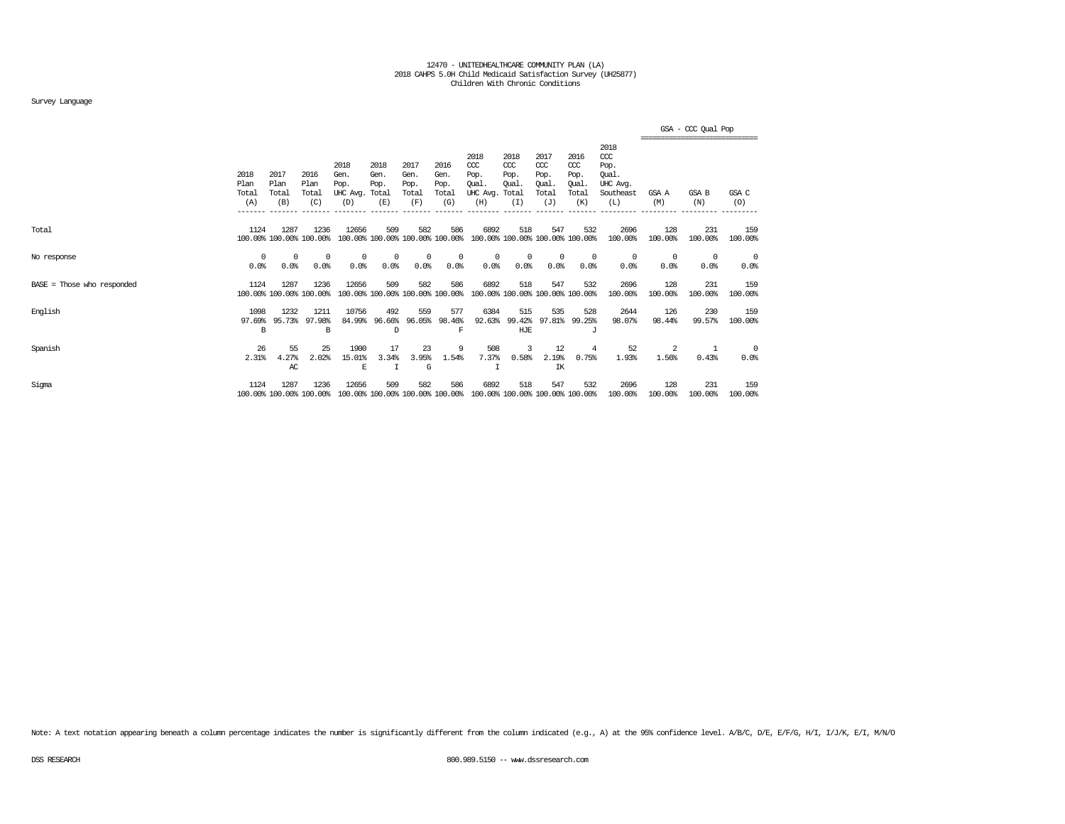### Survey Language

|                            |                              |                                 |                                |                                         |                                        |                                      |                                      |                                                 |                                              |                                                   |                                                   |                                                                   |                | GSA - CCC Qual Pop                     |                    |
|----------------------------|------------------------------|---------------------------------|--------------------------------|-----------------------------------------|----------------------------------------|--------------------------------------|--------------------------------------|-------------------------------------------------|----------------------------------------------|---------------------------------------------------|---------------------------------------------------|-------------------------------------------------------------------|----------------|----------------------------------------|--------------------|
|                            | 2018<br>Plan<br>Total<br>(A) | 2017<br>Plan<br>Total<br>(B)    | 2016<br>Plan<br>Total<br>(C)   | 2018<br>Gen.<br>Pop.<br>UHC Avg.<br>(D) | 2018<br>Gen.<br>Pop.<br>Total<br>(E)   | 2017<br>Gen.<br>Pop.<br>Total<br>(F) | 2016<br>Gen.<br>Pop.<br>Total<br>(G) | 2018<br>CCC<br>Pop.<br>Oual.<br>UHC Avg.<br>(H) | 2018<br>$CC$<br>Pop.<br>Oual<br>Total<br>(I) | 2017<br>$\alpha$<br>Pop.<br>Oual.<br>Total<br>(J) | 2016<br>$\alpha$<br>Pop.<br>Oual.<br>Total<br>(K) | 2018<br>$\alpha$<br>Pop.<br>Qual.<br>UHC Avq.<br>Southeast<br>(L) | GSA A<br>(M)   | ----------------------<br>GSA B<br>(N) | GSA C<br>(O)       |
| Total                      | 1124                         | 1287<br>100.00% 100.00% 100.00% | 1236                           | 12656                                   | 509<br>100.00% 100.00% 100.00% 100.00% | 582                                  | 586                                  | 6892                                            | 518                                          | 547                                               | 532<br>100.00% 100.00% 100.00% 100.00%            | 2696<br>100.00%                                                   | 128<br>100.00% | 231<br>100.00%                         | 159<br>100.00%     |
| No response                | $^{\circ}$<br>0.0%           | $\Omega$<br>0.0%                | $^{\circ}$<br>0.0%             | $^{\circ}$<br>0.0%                      | $^{\circ}$<br>0.0%                     | $\Omega$<br>0.0%                     | $^{\circ}$<br>0.0%                   | 0<br>0.0%                                       | $^{\circ}$<br>0.0%                           | $\mathbf 0$<br>0.0%                               | $\Omega$<br>0.0%                                  | $\Omega$<br>0.0%                                                  | 0<br>0.0%      | 0<br>0.0%                              | $\Omega$<br>0.0%   |
| BASE = Those who responded | 1124                         | 1287<br>100.00% 100.00% 100.00% | 1236                           | 12656                                   | 509<br>100.00% 100.00% 100.00% 100.00% | 582                                  | 586                                  | 6892                                            | 518                                          | 547                                               | 532<br>100.00% 100.00% 100.00% 100.00%            | 2696<br>100.00%                                                   | 128<br>100.00% | 231<br>100.00%                         | 159<br>100.00%     |
| English                    | 1098<br>97.69%<br>B          | 1232<br>95.73%                  | 1211<br>97.98%<br><sub>R</sub> | 10756<br>84.99%                         | 492<br>96.66%<br>D                     | 559<br>96.05%                        | 577<br>98.46%<br>F                   | 6384<br>92.63%                                  | 515<br>99.42%<br>HJE                         | 535<br>97.81%                                     | 528<br>99.25%<br>$\tau$                           | 2644<br>98.07%                                                    | 126<br>98.44%  | 230<br>99.57%                          | 159<br>100.00%     |
| Spanish                    | 26<br>2.31%                  | 55<br>4.27%<br>AC               | 25<br>2.02%                    | 1900<br>15.01%<br>E                     | 17<br>3.34%<br>$\top$                  | 23<br>3.95%<br>G                     | 9<br>1.54%                           | 508<br>7.37%                                    | 3<br>0.58%                                   | 12<br>2.19%<br>IK                                 | 4<br>0.75%                                        | 52<br>1.93%                                                       | 2<br>1.56%     | 1<br>0.43%                             | $^{\circ}$<br>0.0% |
| Sigma                      | 1124                         | 1287<br>100.00% 100.00% 100.00% | 1236                           | 12656                                   | 509<br>100.00% 100.00% 100.00% 100.00% | 582                                  | 586                                  | 6892<br>100.00% 100.00% 100.00% 100.00%         | 518                                          | 547                                               | 532                                               | 2696<br>100.00%                                                   | 128<br>100.00% | 231<br>100.00%                         | 159<br>100.00%     |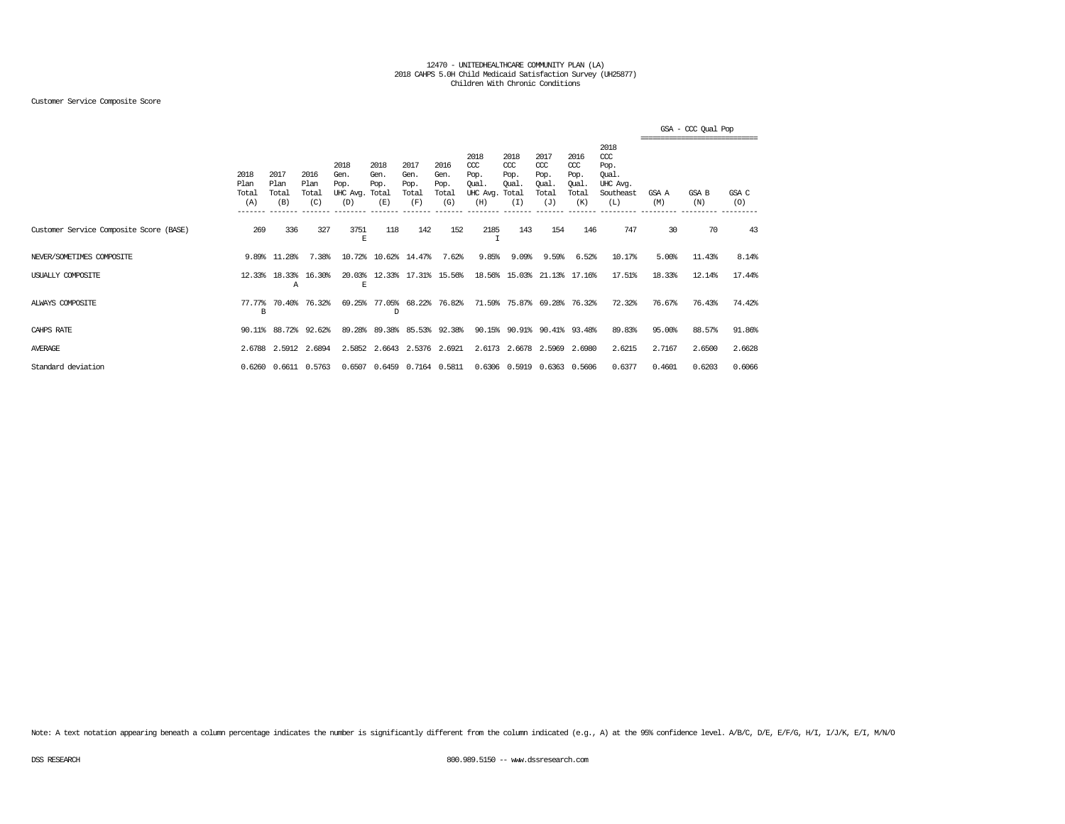### Customer Service Composite Score

|                                         |                              |                              |                              |                                               |                             |                                      |                                      |                                                 |                                               |                                                   |                                              |                                                                   |              | GSA - CCC Qual Pop<br>,,,,,,,,,,,,,,,,,,,,,,,,,,,,,,,,, |              |
|-----------------------------------------|------------------------------|------------------------------|------------------------------|-----------------------------------------------|-----------------------------|--------------------------------------|--------------------------------------|-------------------------------------------------|-----------------------------------------------|---------------------------------------------------|----------------------------------------------|-------------------------------------------------------------------|--------------|---------------------------------------------------------|--------------|
|                                         | 2018<br>Plan<br>Total<br>(A) | 2017<br>Plan<br>Total<br>(B) | 2016<br>Plan<br>Total<br>(C) | 2018<br>Gen.<br>Pop.<br>UHC Avg. Total<br>(D) | 2018<br>Gen.<br>Pop.<br>(E) | 2017<br>Gen.<br>Pop.<br>Total<br>(F) | 2016<br>Gen.<br>Pop.<br>Total<br>(G) | 2018<br>CCC<br>Pop.<br>Qual.<br>UHC Avg.<br>(H) | 2018<br>$CC$<br>Pop.<br>Oual.<br>Total<br>(I) | 2017<br>$\alpha$<br>Pop.<br>Oual.<br>Total<br>(J) | 2016<br>ccc<br>Pop.<br>Oual.<br>Total<br>(K) | 2018<br>$\alpha$<br>Pop.<br>Oual.<br>UHC Avg.<br>Southeast<br>(L) | GSA A<br>(M) | GSA B<br>(N)                                            | GSA C<br>(O) |
| Customer Service Composite Score (BASE) | 269                          | 336                          | 327                          | 3751<br>Е                                     | 118                         | 142                                  | 152                                  | 2185                                            | 143                                           | 154                                               | 146                                          | 747                                                               | 30           | 70                                                      | 43           |
| NEVER/SOMETIMES COMPOSITE               |                              | 9.89% 11.28%                 | 7.38%                        | 10.72%                                        |                             | 10.62% 14.47%                        | 7.62%                                | 9.85%                                           | 9.09%                                         | 9.59%                                             | 6.52%                                        | 10.17%                                                            | 5.00%        | 11.43%                                                  | 8.14%        |
| USUALLY COMPOSITE                       | 12.33%                       | 18.33%<br>Α                  | 16.30%                       | 20.03%<br>E                                   |                             | 12.33% 17.31% 15.56%                 |                                      |                                                 | 18.56% 15.03%                                 |                                                   | 21.13% 17.16%                                | 17.51%                                                            | 18.33%       | 12.14%                                                  | 17.44%       |
| ALWAYS COMPOSITE                        | 77.77%<br>в                  | 70.40%                       | 76.32%                       | 69.25%                                        | D                           | 77.05% 68.22% 76.82%                 |                                      |                                                 | 71.59% 75.87% 69.28% 76.32%                   |                                                   |                                              | 72.32%                                                            | 76.67%       | 76.43%                                                  | 74.42%       |
| CAHPS RATE                              |                              | 90.11% 88.72% 92.62%         |                              | 89.28%                                        | 89.38%                      |                                      | 85.53% 92.38%                        |                                                 | 90.15% 90.91% 90.41% 93.48%                   |                                                   |                                              | 89.83%                                                            | 95.00%       | 88.57%                                                  | 91.86%       |
| <b>AVERAGE</b>                          |                              | 2.6788 2.5912 2.6894         |                              |                                               | 2.5852 2.6643 2.5376 2.6921 |                                      |                                      |                                                 | 2.6173 2.6678 2.5969 2.6980                   |                                                   |                                              | 2.6215                                                            | 2.7167       | 2.6500                                                  | 2.6628       |
| Standard deviation                      |                              | 0.6260 0.6611 0.5763         |                              |                                               | 0.6507 0.6459 0.7164 0.5811 |                                      |                                      |                                                 | 0.6306 0.5919 0.6363 0.5606                   |                                                   |                                              | 0.6377                                                            | 0.4601       | 0.6203                                                  | 0.6066       |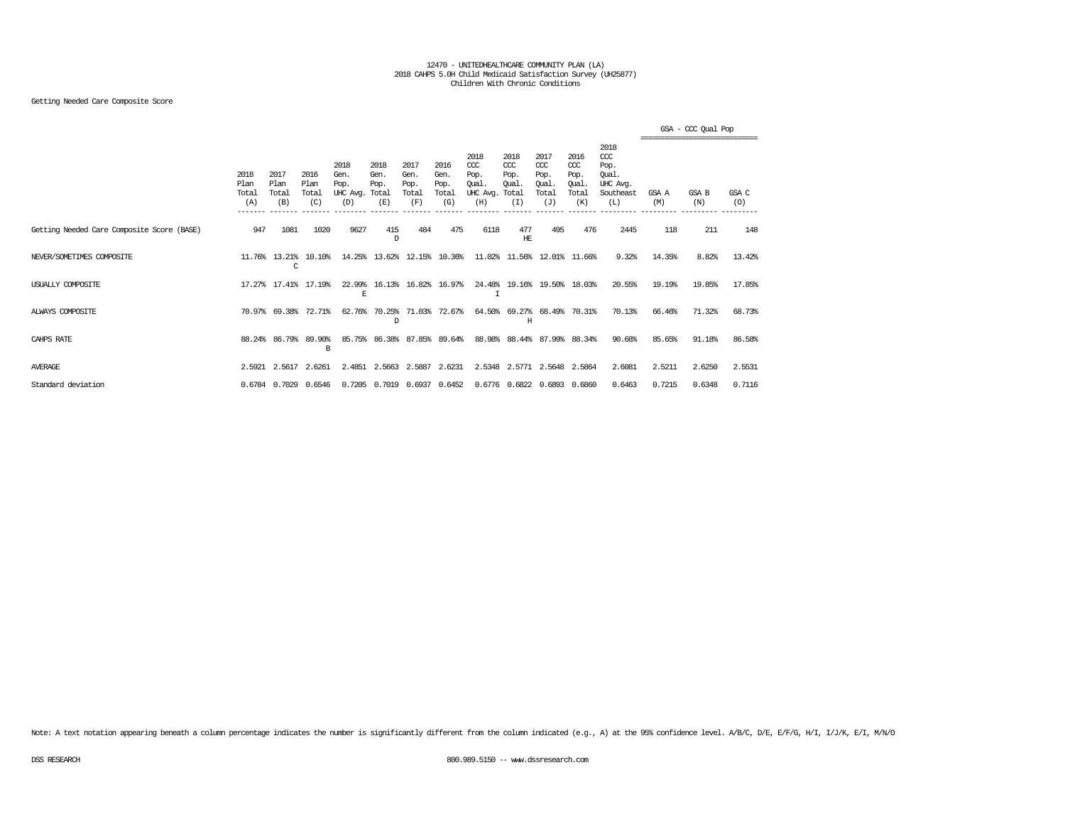### Getting Needed Care Composite Score

|                                            |                                         |                                            |                                         |                                               |                             |                                      |                                      |                                                  |                                              |                                                   |                                                   |                                                                   |              | GSA - CCC Qual Pop |              |
|--------------------------------------------|-----------------------------------------|--------------------------------------------|-----------------------------------------|-----------------------------------------------|-----------------------------|--------------------------------------|--------------------------------------|--------------------------------------------------|----------------------------------------------|---------------------------------------------------|---------------------------------------------------|-------------------------------------------------------------------|--------------|--------------------|--------------|
|                                            | 2018<br>Plan<br>Total<br>(A)<br>_______ | 2017<br>Plan<br>Total<br>(B)<br>$--------$ | 2016<br>Plan<br>Total<br>(C)<br>------- | 2018<br>Gen.<br>Pop.<br>UHC Avg. Total<br>(D) | 2018<br>Gen.<br>Pop.<br>(E) | 2017<br>Gen.<br>Pop.<br>Total<br>(F) | 2016<br>Gen.<br>Pop.<br>Total<br>(G) | 2018<br>$CC$<br>Pop.<br>Oual.<br>UHC Avg.<br>(H) | 2018<br>CCC<br>Pop.<br>Oual.<br>Total<br>(I) | 2017<br>$\alpha$<br>Pop.<br>Oual.<br>Total<br>(J) | 2016<br>$\alpha$<br>Pop.<br>Oual.<br>Total<br>(K) | 2018<br>$\alpha$<br>Pop.<br>Oual.<br>UHC Avg.<br>Southeast<br>(L) | GSA A<br>(M) | GSA B<br>(N)       | GSA C<br>(O) |
| Getting Needed Care Composite Score (BASE) | 947                                     | 1081                                       | 1020                                    | 9627                                          | 415<br>D                    | 484                                  | 475                                  | 6118                                             | 477<br>HЕ                                    | 495                                               | 476                                               | 2445                                                              | 118          | 211                | 148          |
| NEVER/SOMETIMES COMPOSITE                  |                                         | 11.76% 13.21%<br>C                         | 10.10%                                  |                                               | 14.25% 13.62%               |                                      | 12.15% 10.36%                        |                                                  | 11.02% 11.56%                                |                                                   | 12.01% 11.66%                                     | 9.32%                                                             | 14.35%       | 8.82%              | 13.42%       |
| USUALLY COMPOSITE                          |                                         | 17.27% 17.41%                              | 17.19%                                  | E                                             | 22.99% 16.13%               |                                      | 16.82% 16.97%                        | I                                                |                                              | 24.48% 19.16% 19.50% 18.03%                       |                                                   | 20.55%                                                            | 19.19%       | 19.85%             | 17.85%       |
| ALWAYS COMPOSITE                           | 70.97%                                  | 69.38%                                     | 72.71%                                  | 62.76%                                        | 70.25%<br>D                 |                                      | 71.03% 72.67%                        |                                                  | 64.50% 69.27%<br>H                           |                                                   | 68.49% 70.31%                                     | 70.13%                                                            | 66.46%       | 71.32%             | 68.73%       |
| CAHPS RATE                                 |                                         | 88.24% 86.79%                              | 89.90%<br>B                             | 85.75%                                        | 86.38%                      |                                      | 87.85% 89.64%                        | 88.98%                                           | 88.44%                                       |                                                   | 87.99% 88.34%                                     | 90.68%                                                            | 85.65%       | 91.18%             | 86.58%       |
| <b>AVERAGE</b>                             |                                         | 2.5921 2.5617                              | 2.6261                                  |                                               | 2.4851 2.5663 2.5887 2.6231 |                                      |                                      |                                                  |                                              | 2.5348 2.5771 2.5648 2.5864                       |                                                   | 2.6081                                                            | 2.5211       | 2.6250             | 2.5531       |
| Standard deviation                         |                                         | 0.6784 0.7029                              | 0.6546                                  |                                               | 0.7205 0.7019 0.6937 0.6452 |                                      |                                      |                                                  |                                              | 0.6776 0.6822 0.6893 0.6860                       |                                                   | 0.6463                                                            | 0.7215       | 0.6348             | 0.7116       |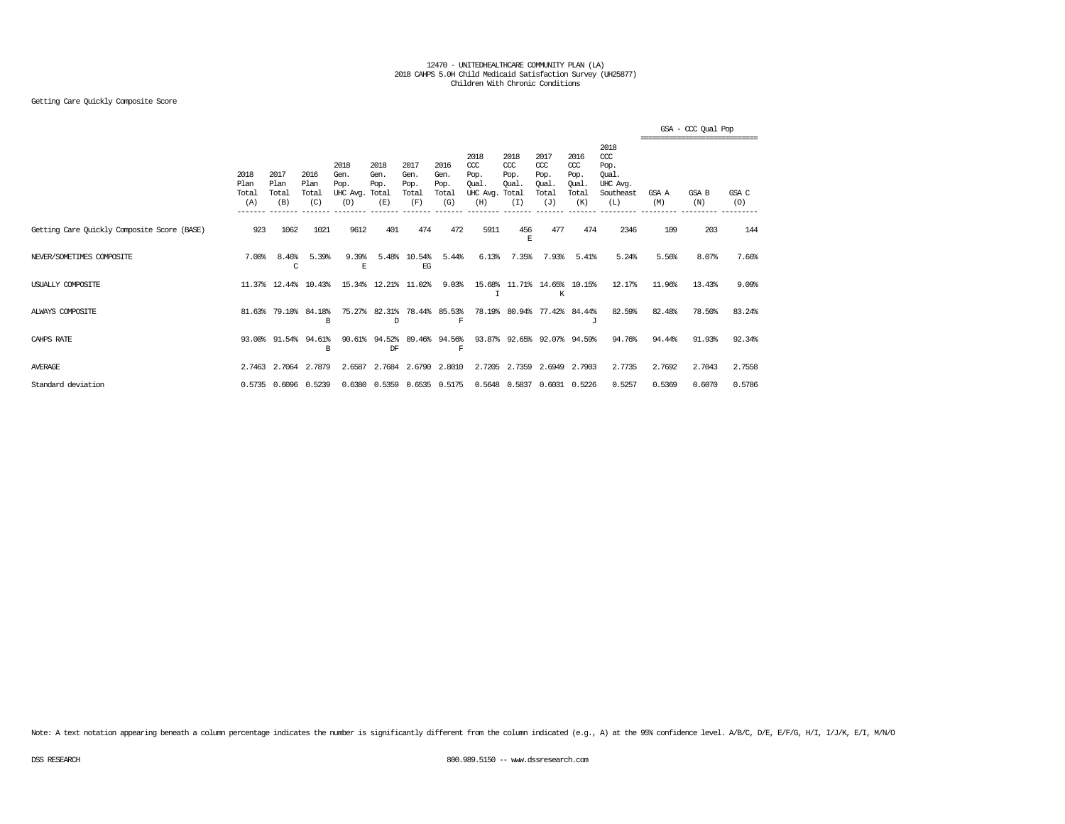### Getting Care Quickly Composite Score

|                                             |                              |                                         |                              |                                               |                             |                                      |                                      |                                                 |                                              |                                                   |                                              |                                                              |              | GSA - CCC Oual Pop |              |
|---------------------------------------------|------------------------------|-----------------------------------------|------------------------------|-----------------------------------------------|-----------------------------|--------------------------------------|--------------------------------------|-------------------------------------------------|----------------------------------------------|---------------------------------------------------|----------------------------------------------|--------------------------------------------------------------|--------------|--------------------|--------------|
|                                             | 2018<br>Plan<br>Total<br>(A) | 2017<br>Plan<br>Total<br>(B)<br>------- | 2016<br>Plan<br>Total<br>(C) | 2018<br>Gen.<br>Pop.<br>UHC Avg. Total<br>(D) | 2018<br>Gen.<br>Pop.<br>(E) | 2017<br>Gen.<br>Pop.<br>Total<br>(F) | 2016<br>Gen.<br>Pop.<br>Total<br>(G) | 2018<br>CCC<br>Pop.<br>Oual.<br>UHC Avg.<br>(H) | 2018<br>CCC<br>Pop.<br>Oual.<br>Total<br>(I) | 2017<br>$\alpha$<br>Pop.<br>Oual.<br>Total<br>(J) | 2016<br>ccc<br>Pop.<br>Oual.<br>Total<br>(K) | 2018<br>ccc<br>Pop.<br>Oual.<br>UHC Avg.<br>Southeast<br>(L) | GSA A<br>(M) | GSA B<br>(N)       | GSA C<br>(O) |
| Getting Care Quickly Composite Score (BASE) | 923                          | 1062                                    | 1021                         | 9612                                          | 401                         | 474                                  | 472                                  | 5911                                            | 456<br>F.                                    | 477                                               | 474                                          | 2346                                                         | 109          | 203                | 144          |
| NEVER/SOMETIMES COMPOSITE                   | 7.00%                        | 8.46%<br>C                              | 5.39%                        | 9.39%<br>E                                    | 5.48%                       | 10.54%<br>EG                         | 5.44%                                | 6.13%                                           | 7.35%                                        | 7.93%                                             | 5.41%                                        | 5.24%                                                        | 5.56%        | 8.07%              | 7.66%        |
| USUALLY COMPOSITE                           |                              | 11.37% 12.44%                           | 10.43%                       |                                               | 15.34% 12.21%               | 11.02%                               | 9.03%                                | I                                               |                                              | 15.68% 11.71% 14.65% 10.15%<br>К                  |                                              | 12.17%                                                       | 11.96%       | 13.43%             | 9.09%        |
| ALWAYS COMPOSITE                            | 81.63%                       | 79.10%                                  | 84.18%<br>B                  | 75.27%                                        | 82.31%<br>D                 |                                      | 78.44% 85.53%<br>$\mathbf F$         |                                                 | 78.19% 80.94%                                |                                                   | 77.42% 84.44%<br>J                           | 82.59%                                                       | 82.48%       | 78.50%             | 83.24%       |
| CAHPS RATE                                  |                              | 93.00% 91.54%                           | 94.61%<br>B                  | 90.61                                         | 94.52%<br>DF                | 89.46%                               | 94.56%<br>$\mathbf F$                |                                                 |                                              | 93.87% 92.65% 92.07% 94.59%                       |                                              | 94.76%                                                       | 94.44%       | 91.93%             | 92.34%       |
| <b>AVERAGE</b>                              | 2.7463                       | 2.7064                                  | 2.7879                       | 2.6587                                        | 2.7684                      | 2.6790                               | 2.8010                               |                                                 | 2.7205 2.7359                                | 2.6949                                            | 2.7903                                       | 2.7735                                                       | 2.7692       | 2.7043             | 2.7558       |
| Standard deviation                          |                              |                                         | 0.5735 0.6096 0.5239         |                                               | 0.6380 0.5359 0.6535 0.5175 |                                      |                                      |                                                 | 0.5648 0.5837                                |                                                   | 0.6031 0.5226                                | 0.5257                                                       | 0.5369       | 0.6070             | 0.5786       |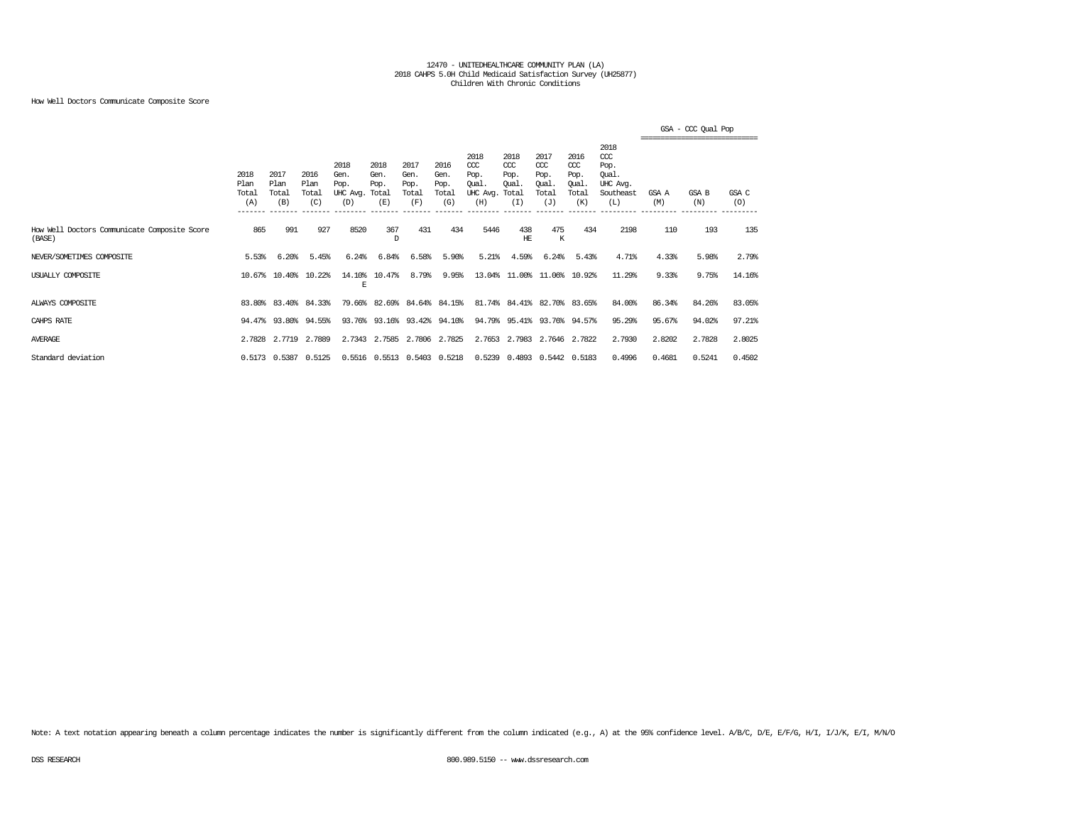### How Well Doctors Communicate Composite Score

|                                                        |                                         |                                         |                              |                                               |                             |                                      |                                      |                                                 |                                               |                                                   |                                                   |                                                                   | --------------------------------- | GSA - CCC Qual Pop |              |
|--------------------------------------------------------|-----------------------------------------|-----------------------------------------|------------------------------|-----------------------------------------------|-----------------------------|--------------------------------------|--------------------------------------|-------------------------------------------------|-----------------------------------------------|---------------------------------------------------|---------------------------------------------------|-------------------------------------------------------------------|-----------------------------------|--------------------|--------------|
|                                                        | 2018<br>Plan<br>Total<br>(A)<br>_______ | 2017<br>Plan<br>Total<br>(B)<br>------- | 2016<br>Plan<br>Total<br>(C) | 2018<br>Gen.<br>Pop.<br>UHC Avg. Total<br>(D) | 2018<br>Gen.<br>Pop.<br>(E) | 2017<br>Gen.<br>Pop.<br>Total<br>(F) | 2016<br>Gen.<br>Pop.<br>Total<br>(G) | 2018<br>CCC<br>Pop.<br>Oual.<br>UHC Avg.<br>(H) | 2018<br>$CC$<br>Pop.<br>Oual.<br>Total<br>(I) | 2017<br>$\alpha$<br>Pop.<br>Oual.<br>Total<br>(J) | 2016<br>$\alpha$<br>Pop.<br>Oual.<br>Total<br>(K) | 2018<br>$\alpha$<br>Pop.<br>Oual.<br>UHC Avg.<br>Southeast<br>(L) | GSA A<br>(M)                      | GSA B<br>(N)       | GSA C<br>(O) |
| How Well Doctors Communicate Composite Score<br>(BASE) | 865                                     | 991                                     | 927                          | 8520                                          | 367<br>D                    | 431                                  | 434                                  | 5446                                            | 438<br>HЕ                                     | 475<br>К                                          | 434                                               | 2198                                                              | 110                               | 193                | 135          |
| NEVER/SOMETIMES COMPOSITE                              | 5.53%                                   | 6.20%                                   | 5.45%                        | 6.24%                                         | 6.84%                       | 6.58%                                | 5.90%                                | 5.21%                                           | 4.59%                                         | 6.24%                                             | 5.43%                                             | 4.71%                                                             | 4.33%                             | 5.98%              | 2.79%        |
| USUALLY COMPOSITE                                      |                                         | 10.67% 10.40%                           | 10.22%                       | 14.10%<br>E                                   | 10.47%                      | 8.79%                                | 9.95%                                |                                                 | 13.04% 11.00% 11.06% 10.92%                   |                                                   |                                                   | 11.29%                                                            | 9.33%                             | 9.75%              | 14.16%       |
| ALWAYS COMPOSITE                                       |                                         | 83.80% 83.40%                           | 84.33%                       |                                               | 79.66% 82.69% 84.64% 84.15% |                                      |                                      |                                                 | 81.74% 84.41% 82.70% 83.65%                   |                                                   |                                                   | 84.00%                                                            | 86.34%                            | 84.26%             | 83.05%       |
| CAHPS RATE                                             |                                         | 94.47% 93.80% 94.55%                    |                              |                                               | 93.76% 93.16% 93.42% 94.10% |                                      |                                      |                                                 | 94.79% 95.41% 93.76% 94.57%                   |                                                   |                                                   | 95.29%                                                            | 95.67%                            | 94.02%             | 97.21%       |
| <b>AVERAGE</b>                                         | 2.7828                                  | 2.7719                                  | 2,7889                       | 2.7343                                        | 2.7585                      | 2.7806                               | 2.7825                               |                                                 | 2.7653 2.7983                                 |                                                   | 2.7646 2.7822                                     | 2.7930                                                            | 2.8202                            | 2.7828             | 2.8025       |
| Standard deviation                                     |                                         | 0.5173 0.5387                           | 0.5125                       |                                               | 0.5516 0.5513 0.5403 0.5218 |                                      |                                      | 0.5239                                          |                                               | 0.4893 0.5442 0.5183                              |                                                   | 0.4996                                                            | 0.4681                            | 0.5241             | 0.4502       |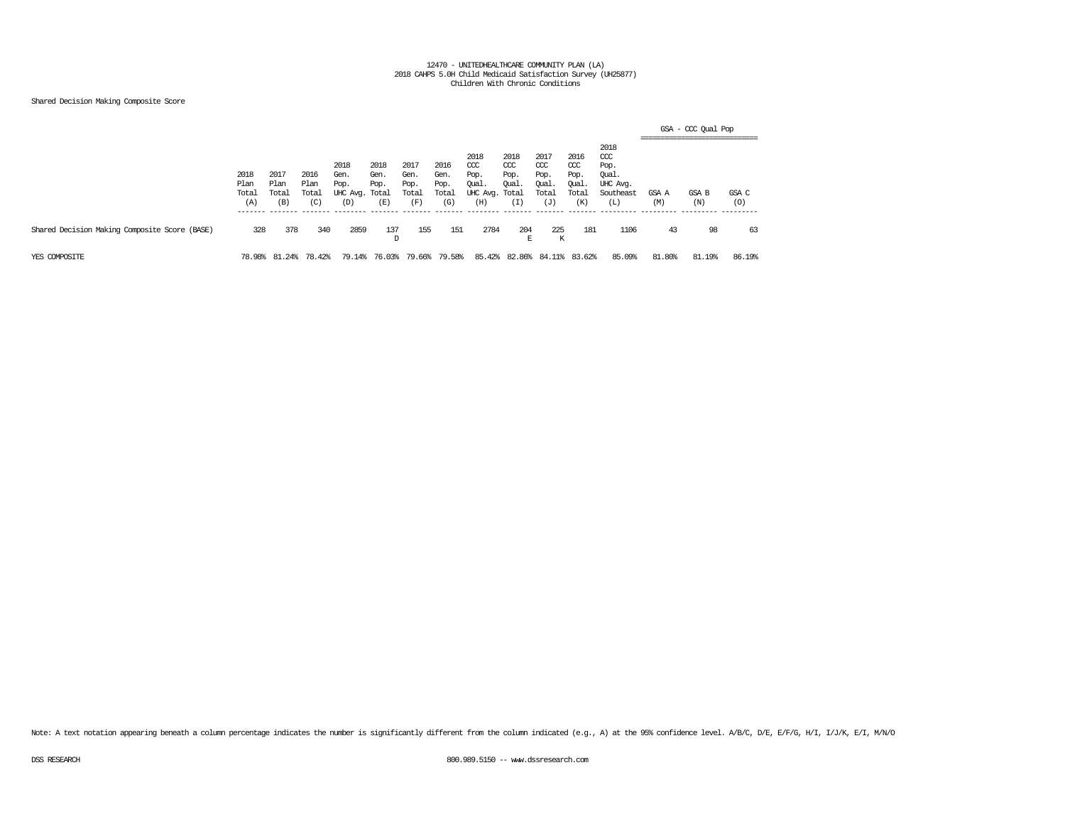### Shared Decision Making Composite Score

|                                               |                                          |                                          |                              |                                               |                             |                                      |                                      |                                                       |                                     |                                              |                                                   |                                                              | GSA - CCC Qual Pop<br>------------------------------- |              |                          |  |  |  |
|-----------------------------------------------|------------------------------------------|------------------------------------------|------------------------------|-----------------------------------------------|-----------------------------|--------------------------------------|--------------------------------------|-------------------------------------------------------|-------------------------------------|----------------------------------------------|---------------------------------------------------|--------------------------------------------------------------|-------------------------------------------------------|--------------|--------------------------|--|--|--|
|                                               | 2018<br>Plan<br>Total<br>(A)<br>-------- | 2017<br>Plan<br>Total<br>(B)<br>________ | 2016<br>Plan<br>Total<br>(C) | 2018<br>Gen.<br>Pop.<br>UHC Avg. Total<br>(D) | 2018<br>Gen.<br>Pop.<br>(E) | 2017<br>Gen.<br>Pop.<br>Total<br>(F) | 2016<br>Gen.<br>Pop.<br>Total<br>(G) | 2018<br>CCC<br>Pop.<br>Qual.<br>UHC Avg. Total<br>(H) | 2018<br>CCC<br>Pop.<br>Qual.<br>(1) | 2017<br>ccc<br>Pop.<br>Qual.<br>Total<br>(J) | 2016<br>$\alpha$<br>Pop.<br>Qual.<br>Total<br>(K) | 2018<br>ccc<br>Pop.<br>Qual.<br>UHC Avg.<br>Southeast<br>(L) | GSA A<br>(M)                                          | GSA B<br>(N) | GSA C<br>(0)<br>-------- |  |  |  |
| Shared Decision Making Composite Score (BASE) | 328                                      | 378                                      | 340                          | 2859                                          | 137<br>D                    | 155                                  | 151                                  | 2784                                                  | 204<br>E                            | 225<br>К                                     | 181                                               | 1106                                                         | 43                                                    | 98           | 63                       |  |  |  |
| YES COMPOSITE                                 | 78.98%                                   | .24%<br>- 81                             | 78.42%                       | 79.14%                                        | 76.03%                      | 79.66%                               | 79.58%                               | 85.42%                                                | 82.86%                              | 84.                                          | 83.62%                                            | 85.09%                                                       | 81.80%                                                | 81.19%       | 86.19%                   |  |  |  |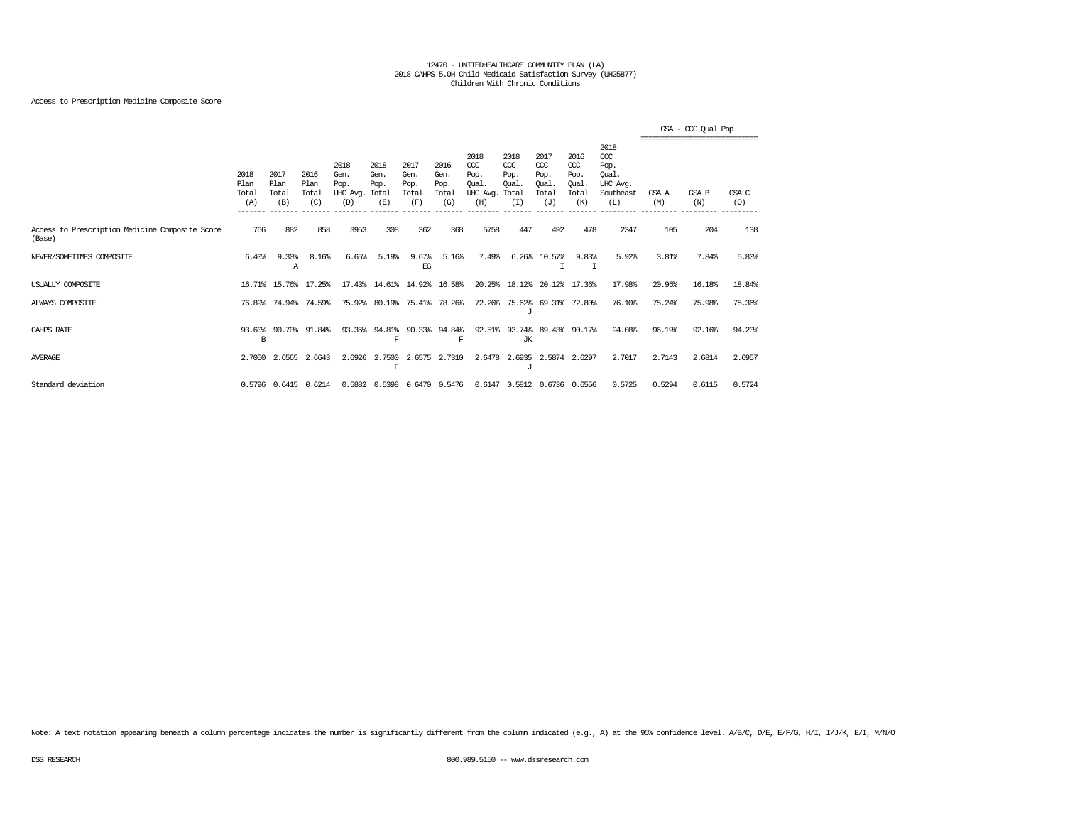### Access to Prescription Medicine Composite Score

|                                                           |                              |                              |                              |                                               |                                  |                                      |                                      |                                                  |                                              |                                              |                                                   |                                                                   |              | GSA - CCC Qual Pop |              |
|-----------------------------------------------------------|------------------------------|------------------------------|------------------------------|-----------------------------------------------|----------------------------------|--------------------------------------|--------------------------------------|--------------------------------------------------|----------------------------------------------|----------------------------------------------|---------------------------------------------------|-------------------------------------------------------------------|--------------|--------------------|--------------|
|                                                           | 2018<br>Plan<br>Total<br>(A) | 2017<br>Plan<br>Total<br>(B) | 2016<br>Plan<br>Total<br>(C) | 2018<br>Gen.<br>Pop.<br>UHC Avg. Total<br>(D) | 2018<br>Gen.<br>Pop.<br>(E)      | 2017<br>Gen.<br>Pop.<br>Total<br>(F) | 2016<br>Gen.<br>Pop.<br>Total<br>(G) | 2018<br>$CC$<br>Pop.<br>Oual.<br>UHC Avg.<br>(H) | 2018<br>CCC<br>Pop.<br>Oual.<br>Total<br>(I) | 2017<br>ccc<br>Pop.<br>Oual.<br>Total<br>(J) | 2016<br>$\alpha$<br>Pop.<br>Oual.<br>Total<br>(K) | 2018<br>$\alpha$<br>Pop.<br>Oual.<br>UHC Avq.<br>Southeast<br>(L) | GSA A<br>(M) | GSA B<br>(N)       | GSA C<br>(0) |
| Access to Prescription Medicine Composite Score<br>(Base) | 766                          | 882                          | 858                          | 3953                                          | 308                              | 362                                  | 368                                  | 5758                                             | 447                                          | 492                                          | 478                                               | 2347                                                              | 105          | 204                | 138          |
| NEVER/SOMETIMES COMPOSITE                                 | 6.40%                        | 9.30%<br>Α                   | 8.16%                        | 6.65%                                         | 5.19%                            | 9.67%<br>EG                          | 5.16%                                | 7.49%                                            | 6.26%                                        | 10.57%                                       | 9.83%<br>T                                        | 5.92%                                                             | 3.81%        | 7.84%              | 5.80%        |
| USUALLY COMPOSITE                                         |                              |                              | 16.71% 15.76% 17.25%         |                                               | 17.43% 14.61% 14.92% 16.58%      |                                      |                                      |                                                  | 20.25% 18.12%                                |                                              | 20.12% 17.36%                                     | 17.98%                                                            | 20.95%       | 16.18%             | 18.84%       |
| ALWAYS COMPOSITE                                          | 76.89%                       | 74.94%                       | 74.59%                       | 75.92%                                        | 80.19%                           |                                      | 75.41% 78.26%                        |                                                  | 72.26% 75.62%<br>J                           |                                              | 69.31% 72.80%                                     | 76.10%                                                            | 75.24%       | 75.98%             | 75.36%       |
| CAHPS RATE                                                | B                            | 93.60% 90.70%                | 91.84%                       |                                               | 93.35% 94.81% 90.33% 94.84%<br>F |                                      | F                                    |                                                  | 92.51% 93.74%<br>JК                          |                                              | 89.43% 90.17%                                     | 94.08%                                                            | 96.19%       | 92.16%             | 94.20%       |
| <b>AVERAGE</b>                                            |                              | 2.7050 2.6565                | 2.6643                       | 2.6926                                        | 2,7500<br>F                      | 2.6575                               | 2.7310                               | 2.6478                                           | 2.6935<br>$\cdot$ T                          | 2.5874                                       | 2.6297                                            | 2.7017                                                            | 2.7143       | 2.6814             | 2.6957       |
| Standard deviation                                        |                              |                              | 0.5796 0.6415 0.6214         |                                               | 0.5882 0.5398 0.6470 0.5476      |                                      |                                      |                                                  |                                              | 0.6147 0.5812 0.6736 0.6556                  |                                                   | 0.5725                                                            | 0.5294       | 0.6115             | 0.5724       |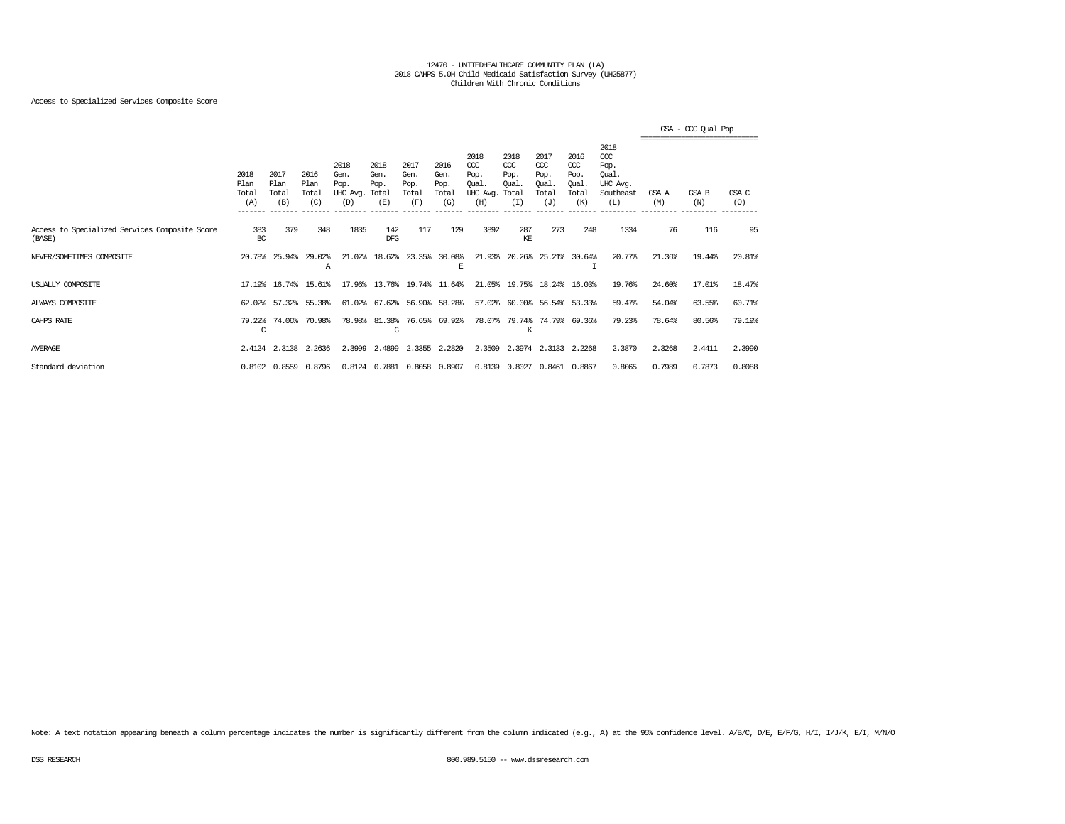### Access to Specialized Services Composite Score

|                                                          |                              |                                         |                              |                                               |                             |                                      |                                      |                                                  |                                                     |                                                   |                                                   |                                                                   |              | GSA - CCC Oual Pop<br>------------------------------ |              |
|----------------------------------------------------------|------------------------------|-----------------------------------------|------------------------------|-----------------------------------------------|-----------------------------|--------------------------------------|--------------------------------------|--------------------------------------------------|-----------------------------------------------------|---------------------------------------------------|---------------------------------------------------|-------------------------------------------------------------------|--------------|------------------------------------------------------|--------------|
|                                                          | 2018<br>Plan<br>Total<br>(A) | 2017<br>Plan<br>Total<br>(B)<br>------- | 2016<br>Plan<br>Total<br>(C) | 2018<br>Gen.<br>Pop.<br>UHC Avg. Total<br>(D) | 2018<br>Gen.<br>Pop.<br>(E) | 2017<br>Gen.<br>Pop.<br>Total<br>(F) | 2016<br>Gen.<br>Pop.<br>Total<br>(G) | 2018<br>$CC$<br>Pop.<br>Qual.<br>UHC Avg.<br>(H) | 2018<br>$CC$<br>Pop.<br><b>Oual</b><br>Total<br>(I) | 2017<br>$\alpha$<br>Pop.<br>Oual.<br>Total<br>(J) | 2016<br>$\alpha$<br>Pop.<br>Oual.<br>Total<br>(K) | 2018<br>$\alpha$<br>Pop.<br>Oual.<br>UHC Avg.<br>Southeast<br>(L) | GSA A<br>(M) | GSA B<br>(N)                                         | GSA C<br>(O) |
| Access to Specialized Services Composite Score<br>(BASE) | 383<br>BC                    | 379                                     | 348                          | 1835                                          | 142<br>DFG.                 | 117                                  | 129                                  | 3892                                             | 287<br>KE                                           | 273                                               | 248                                               | 1334                                                              | 76           | 116                                                  | 95           |
| NEVER/SOMETIMES COMPOSITE                                | 20.78%                       | 25.94%                                  | 29.02%<br>А                  | 21.02%                                        | 18.62%                      | 23.35%                               | 30.08%<br>E                          | 21.93%                                           | 20.26%                                              | 25.21%                                            | 30.64%                                            | 20.77%                                                            | 21.36%       | 19.44%                                               | 20.81%       |
| USUALLY COMPOSITE                                        | 17.19%                       | 16.74%                                  | 15.61%                       |                                               | 17.96% 13.76%               | 19.74%                               | 11.64%                               |                                                  | 21.05% 19.75%                                       | 18.24%                                            | 16.03%                                            | 19.76%                                                            | 24.60%       | 17.01%                                               | 18.47%       |
| ALWAYS COMPOSITE                                         | 62.02%                       | 57.32%                                  | 55.38%                       | 61.02%                                        | 67.62%                      |                                      | 56.90% 58.28%                        | 57.02%                                           | $60.00$ <sup>\$</sup>                               |                                                   | 56.54% 53.33%                                     | 59.47%                                                            | 54.04%       | 63.55%                                               | 60.71%       |
| CAHPS RATE                                               | 79.22%<br>C                  | 74.06%                                  | 70.98%                       | 78.98%                                        | 81.38%<br>G                 |                                      | 76.65% 69.92%                        | 78.07%                                           | 79.74%<br>K                                         |                                                   | 74.79% 69.36%                                     | 79.23%                                                            | 78.64%       | 80.56%                                               | 79.19%       |
| <b>AVERAGE</b>                                           |                              | 2.4124 2.3138                           | 2.2636                       | 2.3999                                        | 2.4899                      |                                      | 2.3355 2.2820                        |                                                  |                                                     | 2.3509 2.3974 2.3133 2.2268                       |                                                   | 2.3870                                                            | 2.3268       | 2.4411                                               | 2.3990       |
| Standard deviation                                       |                              | $0.8102$ 0.8559                         | 0.8796                       |                                               | 0.8124 0.7881               |                                      | 0.8058 0.8907                        |                                                  | 0.8139 0.8027                                       |                                                   | 0.8461 0.8867                                     | 0.8065                                                            | 0.7989       | 0.7873                                               | 0.8088       |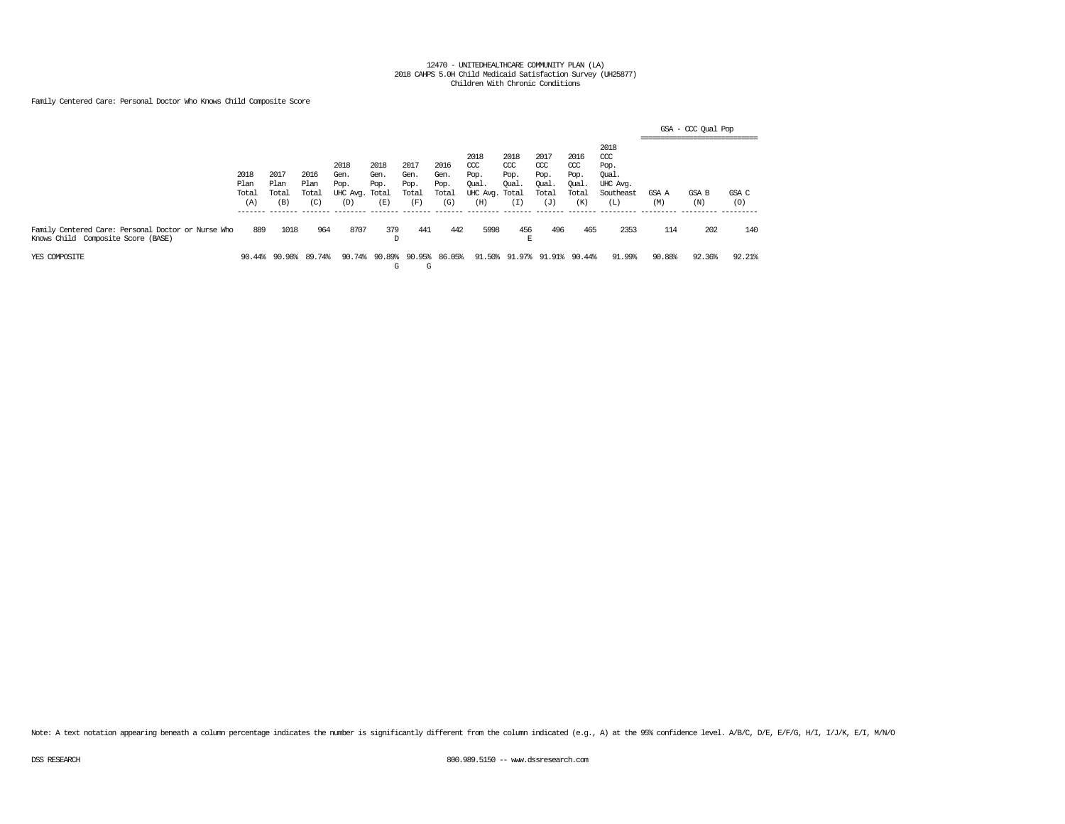Family Centered Care: Personal Doctor Who Knows Child Composite Score

|                                                                                          |                              |                              |                              |                                               |                             |                                      |                                      |                                                       |                                     |                                                   |                                                   |                                                              | ------------------------------- | GSA - CCC Qual Pop |              |
|------------------------------------------------------------------------------------------|------------------------------|------------------------------|------------------------------|-----------------------------------------------|-----------------------------|--------------------------------------|--------------------------------------|-------------------------------------------------------|-------------------------------------|---------------------------------------------------|---------------------------------------------------|--------------------------------------------------------------|---------------------------------|--------------------|--------------|
|                                                                                          | 2018<br>Plan<br>Total<br>(A) | 2017<br>Plan<br>Total<br>(B) | 2016<br>Plan<br>Total<br>(C) | 2018<br>Gen.<br>Pop.<br>UHC Avg. Total<br>(D) | 2018<br>Gen.<br>Pop.<br>(E) | 2017<br>Gen.<br>Pop.<br>Total<br>(F) | 2016<br>Gen.<br>Pop.<br>Total<br>(G) | 2018<br>CCC<br>Pop.<br>Qual.<br>UHC Avg. Total<br>(H) | 2018<br>CCC<br>Pop.<br>Qual.<br>(T) | 2017<br>$\alpha$<br>Pop.<br>Qual.<br>Total<br>(J) | 2016<br>$\alpha$<br>Pop.<br>Qual.<br>Total<br>(K) | 2018<br>ccc<br>Pop.<br>Qual.<br>UHC Avg.<br>Southeast<br>(L) | GSA A<br>(M)                    | GSA B<br>(N)       | GSA C<br>(0) |
| Family Centered Care: Personal Doctor or Nurse Who<br>Knows Child Composite Score (BASE) | 889                          | 1018                         | 964                          | 8707                                          | 379<br>D.                   | 441                                  | 442                                  | 5998                                                  | 456<br>F                            | 496                                               | 465                                               | 2353                                                         | 114                             | 202                | 140          |
| YES COMPOSITE                                                                            | 90.44%                       | 90.98%                       | 89.74%                       | 90.74%                                        | 90.89%<br>$\left( -\right)$ | G                                    | 90.95% 86.05%                        |                                                       |                                     | 91.50% 91.97% 91.91% 90.44%                       |                                                   | 91.99%                                                       | 90.88%                          | 92.36%             | 92.21%       |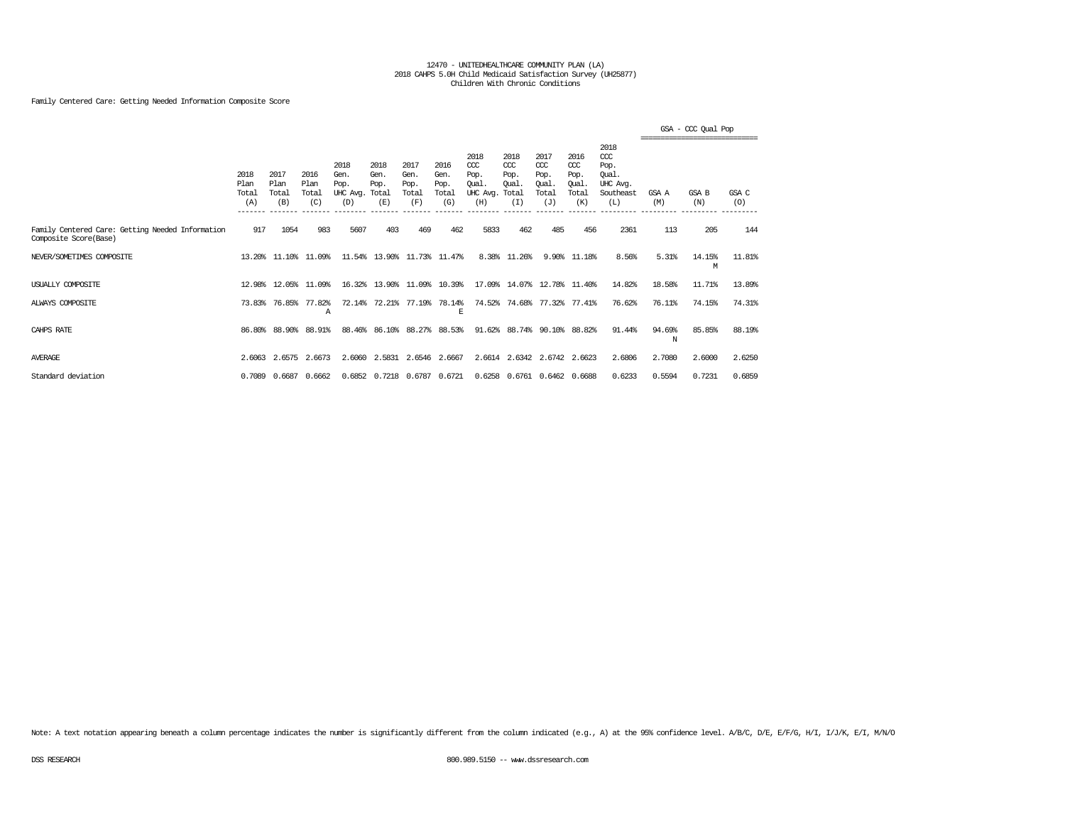### Family Centered Care: Getting Needed Information Composite Score

|                                                                           |                                         |                                         |                              |                                               |                             |                                      |                                      |                                                              |                                              |                                                   |                                                   |                                                                   |                           | GSA - CCC Oual Pop |              |
|---------------------------------------------------------------------------|-----------------------------------------|-----------------------------------------|------------------------------|-----------------------------------------------|-----------------------------|--------------------------------------|--------------------------------------|--------------------------------------------------------------|----------------------------------------------|---------------------------------------------------|---------------------------------------------------|-------------------------------------------------------------------|---------------------------|--------------------|--------------|
|                                                                           | 2018<br>Plan<br>Total<br>(A)<br>_______ | 2017<br>Plan<br>Total<br>(B)<br>------- | 2016<br>Plan<br>Total<br>(C) | 2018<br>Gen.<br>Pop.<br>UHC Avg. Total<br>(D) | 2018<br>Gen.<br>Pop.<br>(E) | 2017<br>Gen.<br>Pop.<br>Total<br>(F) | 2016<br>Gen.<br>Pop.<br>Total<br>(G) | 2018<br>$CC$<br>Pop.<br>Qual.<br>UHC Avg.<br>(H)<br>-------- | 2018<br>CCC<br>Pop.<br>Oual.<br>Total<br>(I) | 2017<br>$\alpha$<br>Pop.<br>Oual.<br>Total<br>(J) | 2016<br>$\alpha$<br>Pop.<br>Oual.<br>Total<br>(K) | 2018<br>$\alpha$<br>Pop.<br>Oual.<br>UHC Avq.<br>Southeast<br>(L) | GSA A<br>(M)<br>_________ | GSA B<br>(N)       | GSA C<br>(O) |
| Family Centered Care: Getting Needed Information<br>Composite Score(Base) | 917                                     | 1054                                    | 983                          | 5607                                          | 403                         | 469                                  | 462                                  | 5833                                                         | 462                                          | 485                                               | 456                                               | 2361                                                              | 113                       | 205                | 144          |
| NEVER/SOMETIMES COMPOSITE                                                 |                                         | 13.20% 11.10%                           | 11.09%                       |                                               | 11.54% 13.90% 11.73% 11.47% |                                      |                                      |                                                              | 8.38% 11.26%                                 | 9.90%                                             | 11.18%                                            | 8.56%                                                             | 5.31%                     | 14.15%<br>М        | 11.81%       |
| USUALLY COMPOSITE                                                         | 12.98%                                  | 12.05%                                  | 11.09%                       |                                               | 16.32% 13.90%               |                                      | 11.09% 10.39%                        |                                                              | 17.09% 14.07%                                |                                                   | 12.78% 11.40%                                     | 14.82%                                                            | 18.58%                    | 11.71%             | 13.89%       |
| ALWAYS COMPOSITE                                                          | 73.83%                                  | 76.85%                                  | 77.82%<br>А                  | 72.14%                                        | 72.21%                      | 77.19%                               | 78.14%<br>E                          | 74.52%                                                       | 74.68%                                       |                                                   | 77.32% 77.41%                                     | 76.62%                                                            | 76.11%                    | 74.15%             | 74.31%       |
| CAHPS RATE                                                                | 86.80%                                  | 88.90%                                  | 88.91%                       | 88.46%                                        | 86.10%                      |                                      | 88.27% 88.53%                        | 91.62%                                                       | 88.74%                                       | 90.10%                                            | 88.82%                                            | 91.44%                                                            | 94.69%<br>N               | 85.85%             | 88.19%       |
| <b>AVERAGE</b>                                                            |                                         | 2.6063 2.6575                           | 2.6673                       |                                               | 2.6060 2.5831               |                                      | 2.6546 2.6667                        |                                                              | 2.6614 2.6342 2.6742 2.6623                  |                                                   |                                                   | 2.6806                                                            | 2.7080                    | 2.6000             | 2.6250       |
| Standard deviation                                                        |                                         | 0.7089 0.6687                           | 0.6662                       |                                               | 0.6852 0.7218 0.6787 0.6721 |                                      |                                      |                                                              | 0.6258 0.6761 0.6462 0.6688                  |                                                   |                                                   | 0.6233                                                            | 0.5594                    | 0.7231             | 0.6859       |